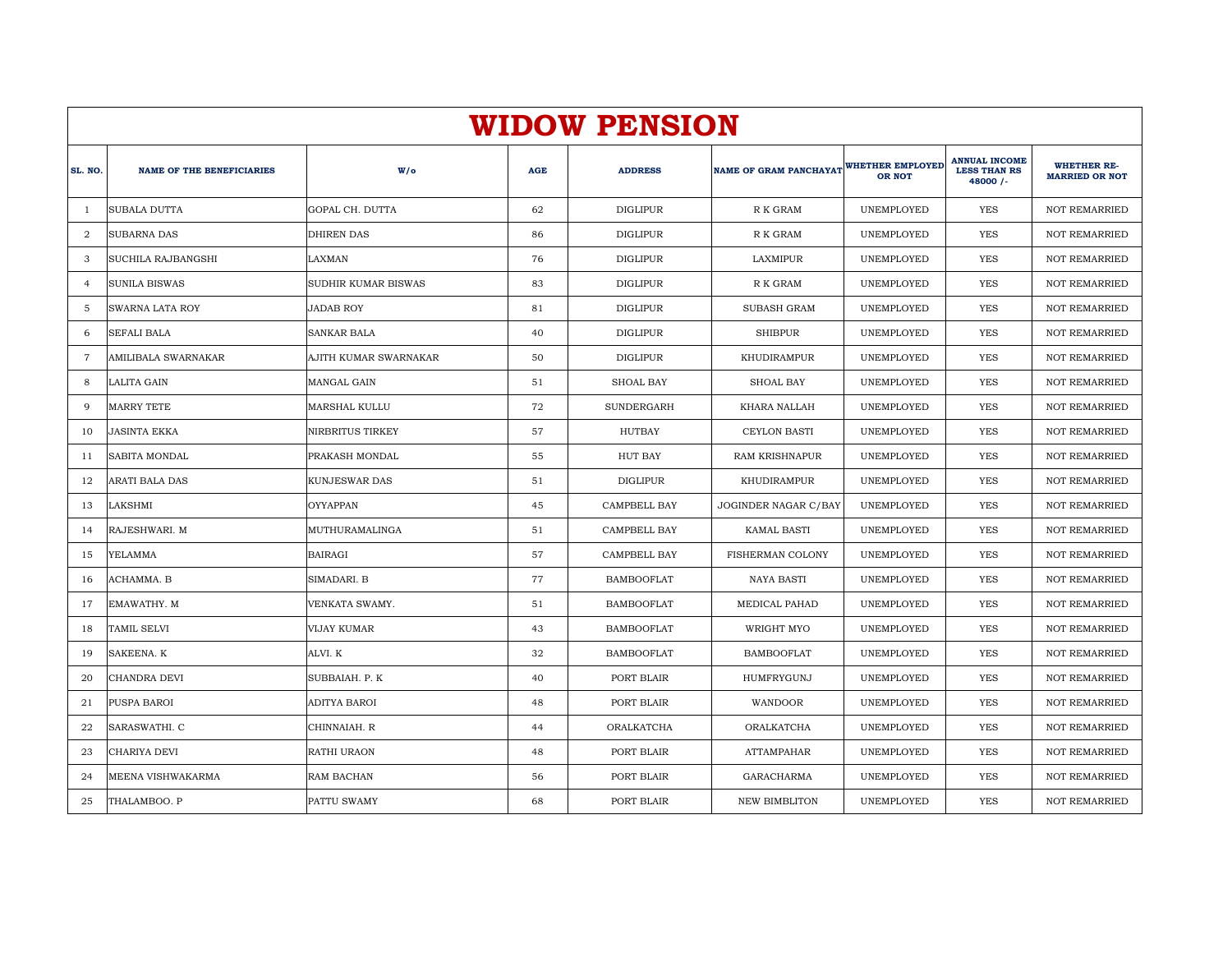|                | <b>WIDOW PENSION</b>             |                            |            |                   |                               |                                   |                                                         |                                             |  |  |  |  |
|----------------|----------------------------------|----------------------------|------------|-------------------|-------------------------------|-----------------------------------|---------------------------------------------------------|---------------------------------------------|--|--|--|--|
| SL. NO.        | <b>NAME OF THE BENEFICIARIES</b> | $W/\circ$                  | <b>AGE</b> | <b>ADDRESS</b>    | <b>NAME OF GRAM PANCHAYAT</b> | WHETHER EMPLOYED<br><b>OR NOT</b> | <b>ANNUAL INCOME</b><br><b>LESS THAN RS</b><br>48000 /- | <b>WHETHER RE-</b><br><b>MARRIED OR NOT</b> |  |  |  |  |
| -1             | <b>SUBALA DUTTA</b>              | GOPAL CH. DUTTA            | 62         | <b>DIGLIPUR</b>   | R K GRAM                      | UNEMPLOYED                        | <b>YES</b>                                              | <b>NOT REMARRIED</b>                        |  |  |  |  |
| $\overline{2}$ | <b>SUBARNA DAS</b>               | <b>DHIREN DAS</b>          | 86         | <b>DIGLIPUR</b>   | R K GRAM                      | UNEMPLOYED                        | YES                                                     | <b>NOT REMARRIED</b>                        |  |  |  |  |
| 3              | SUCHILA RAJBANGSHI               | LAXMAN                     | 76         | DIGLIPUR          | LAXMIPUR                      | UNEMPLOYED                        | <b>YES</b>                                              | <b>NOT REMARRIED</b>                        |  |  |  |  |
| $\overline{4}$ | <b>SUNILA BISWAS</b>             | <b>SUDHIR KUMAR BISWAS</b> | 83         | <b>DIGLIPUR</b>   | R K GRAM                      | UNEMPLOYED                        | YES                                                     | <b>NOT REMARRIED</b>                        |  |  |  |  |
| -5             | SWARNA LATA ROY                  | <b>JADAB ROY</b>           | 81         | <b>DIGLIPUR</b>   | <b>SUBASH GRAM</b>            | UNEMPLOYED                        | YES                                                     | <b>NOT REMARRIED</b>                        |  |  |  |  |
| 6              | <b>SEFALI BALA</b>               | <b>SANKAR BALA</b>         | 40         | <b>DIGLIPUR</b>   | <b>SHIBPUR</b>                | UNEMPLOYED                        | <b>YES</b>                                              | <b>NOT REMARRIED</b>                        |  |  |  |  |
| -7             | AMILIBALA SWARNAKAR              | AJITH KUMAR SWARNAKAR      | 50         | <b>DIGLIPUR</b>   | KHUDIRAMPUR                   | UNEMPLOYED                        | YES                                                     | <b>NOT REMARRIED</b>                        |  |  |  |  |
| 8              | LALITA GAIN                      | MANGAL GAIN                | 51         | <b>SHOAL BAY</b>  | <b>SHOAL BAY</b>              | UNEMPLOYED                        | <b>YES</b>                                              | <b>NOT REMARRIED</b>                        |  |  |  |  |
| q              | <b>MARRY TETE</b>                | <b>MARSHAL KULLU</b>       | 72         | SUNDERGARH        | KHARA NALLAH                  | UNEMPLOYED                        | <b>YES</b>                                              | <b>NOT REMARRIED</b>                        |  |  |  |  |
| 10             | JASINTA EKKA                     | NIRBRITUS TIRKEY           | 57         | HUTBAY            | <b>CEYLON BASTI</b>           | UNEMPLOYED                        | YES                                                     | <b>NOT REMARRIED</b>                        |  |  |  |  |
| 11             | <b>SABITA MONDAL</b>             | PRAKASH MONDAL             | 55         | HUT BAY           | RAM KRISHNAPUR                | UNEMPLOYED                        | <b>YES</b>                                              | <b>NOT REMARRIED</b>                        |  |  |  |  |
| 12             | ARATI BALA DAS                   | <b>KUNJESWAR DAS</b>       | 51         | <b>DIGLIPUR</b>   | KHUDIRAMPUR                   | UNEMPLOYED                        | <b>YES</b>                                              | <b>NOT REMARRIED</b>                        |  |  |  |  |
| 13             | LAKSHMI                          | OYYAPPAN                   | 45         | CAMPBELL BAY      | JOGINDER NAGAR C/BAY          | UNEMPLOYED                        | YES                                                     | <b>NOT REMARRIED</b>                        |  |  |  |  |
| 14             | RAJESHWARI. M                    | MUTHURAMALINGA             | 51         | CAMPBELL BAY      | <b>KAMAL BASTI</b>            | UNEMPLOYED                        | <b>YES</b>                                              | <b>NOT REMARRIED</b>                        |  |  |  |  |
| 15             | YELAMMA                          | <b>BAIRAGI</b>             | 57         | CAMPBELL BAY      | FISHERMAN COLONY              | <b>UNEMPLOYED</b>                 | <b>YES</b>                                              | <b>NOT REMARRIED</b>                        |  |  |  |  |
| 16             | ACHAMMA. B                       | SIMADARI. B                | 77         | <b>BAMBOOFLAT</b> | <b>NAYA BASTI</b>             | UNEMPLOYED                        | <b>YES</b>                                              | <b>NOT REMARRIED</b>                        |  |  |  |  |
| 17             | EMAWATHY. M                      | VENKATA SWAMY.             | 51         | <b>BAMBOOFLAT</b> | MEDICAL PAHAD                 | UNEMPLOYED                        | YES                                                     | <b>NOT REMARRIED</b>                        |  |  |  |  |
| 18             | TAMIL SELVI                      | VIJAY KUMAR                | 43         | <b>BAMBOOFLAT</b> | WRIGHT MYO                    | UNEMPLOYED                        | <b>YES</b>                                              | <b>NOT REMARRIED</b>                        |  |  |  |  |
| 19             | SAKEENA. K                       | ALVI. K                    | 32         | <b>BAMBOOFLAT</b> | <b>BAMBOOFLAT</b>             | UNEMPLOYED                        | <b>YES</b>                                              | <b>NOT REMARRIED</b>                        |  |  |  |  |
| 20             | CHANDRA DEVI                     | SUBBAIAH. P. K             | 40         | PORT BLAIR        | HUMFRYGUNJ                    | UNEMPLOYED                        | YES                                                     | <b>NOT REMARRIED</b>                        |  |  |  |  |
| 21             | PUSPA BAROI                      | ADITYA BAROI               | 48         | PORT BLAIR        | WANDOOR                       | UNEMPLOYED                        | YES                                                     | <b>NOT REMARRIED</b>                        |  |  |  |  |
| 22             | SARASWATHI. C                    | CHINNAIAH. R               | 44         | ORALKATCHA        | ORALKATCHA                    | UNEMPLOYED                        | <b>YES</b>                                              | <b>NOT REMARRIED</b>                        |  |  |  |  |
| 23             | CHARIYA DEVI                     | RATHI URAON                | 48         | PORT BLAIR        | <b>ATTAMPAHAR</b>             | UNEMPLOYED                        | YES                                                     | <b>NOT REMARRIED</b>                        |  |  |  |  |
| 24             | MEENA VISHWAKARMA                | RAM BACHAN                 | 56         | PORT BLAIR        | GARACHARMA                    | UNEMPLOYED                        | <b>YES</b>                                              | <b>NOT REMARRIED</b>                        |  |  |  |  |
| 25             | THALAMBOO. P                     | PATTU SWAMY                | 68         | PORT BLAIR        | <b>NEW BIMBLITON</b>          | UNEMPLOYED                        | <b>YES</b>                                              | <b>NOT REMARRIED</b>                        |  |  |  |  |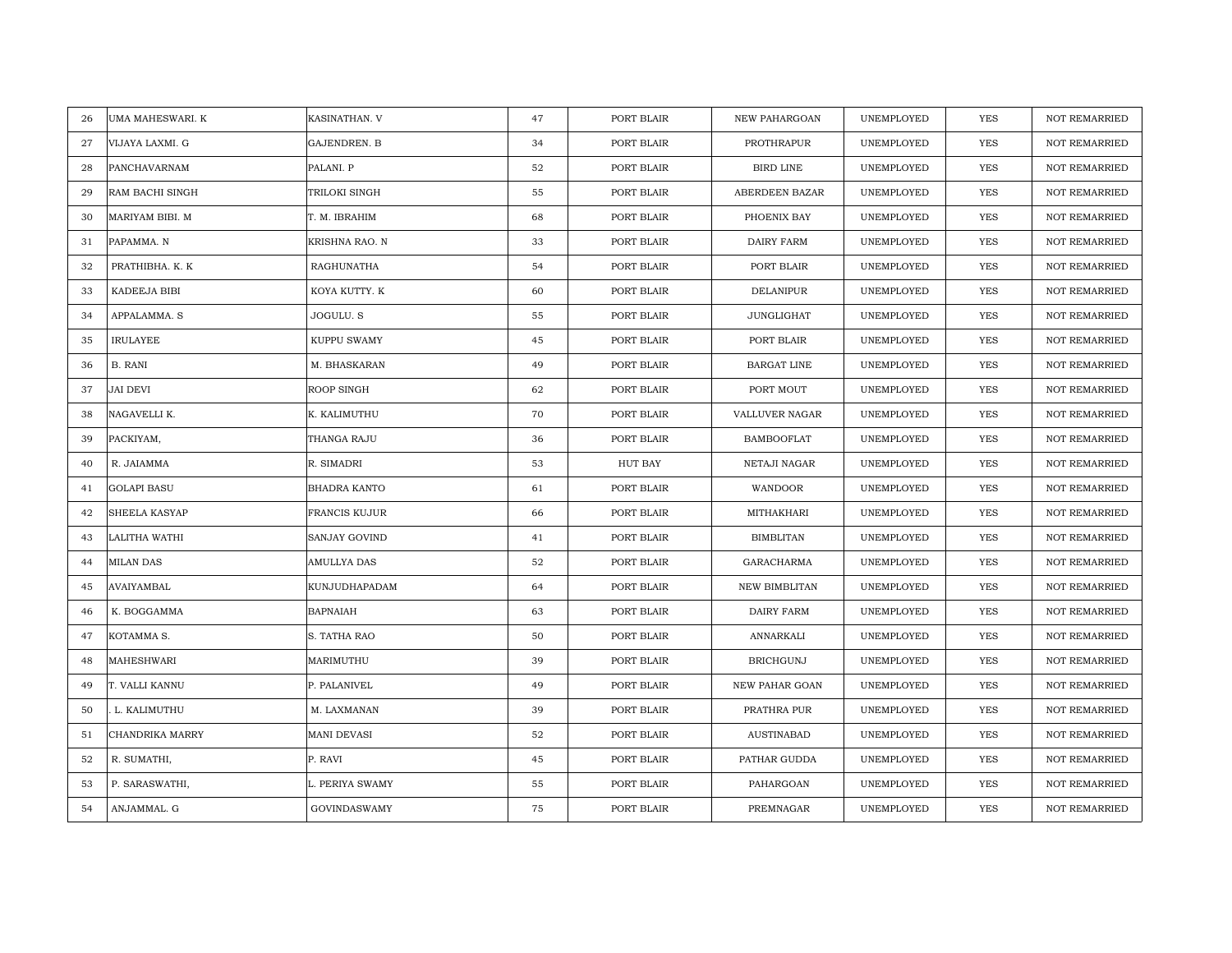| 26 | UMA MAHESWARI. K     | KASINATHAN. V       | 47 | PORT BLAIR | <b>NEW PAHARGOAN</b> | UNEMPLOYED | <b>YES</b> | <b>NOT REMARRIED</b> |
|----|----------------------|---------------------|----|------------|----------------------|------------|------------|----------------------|
| 27 | VIJAYA LAXMI. G      | GAJENDREN. B        | 34 | PORT BLAIR | PROTHRAPUR           | UNEMPLOYED | <b>YES</b> | <b>NOT REMARRIED</b> |
| 28 | PANCHAVARNAM         | PALANI. P           | 52 | PORT BLAIR | <b>BIRD LINE</b>     | UNEMPLOYED | YES        | <b>NOT REMARRIED</b> |
| 29 | RAM BACHI SINGH      | TRILOKI SINGH       | 55 | PORT BLAIR | ABERDEEN BAZAR       | UNEMPLOYED | YES        | <b>NOT REMARRIED</b> |
| 30 | MARIYAM BIBI. M      | T. M. IBRAHIM       | 68 | PORT BLAIR | PHOENIX BAY          | UNEMPLOYED | YES        | <b>NOT REMARRIED</b> |
| 31 | PAPAMMA. N           | KRISHNA RAO. N      | 33 | PORT BLAIR | DAIRY FARM           | UNEMPLOYED | YES        | NOT REMARRIED        |
| 32 | PRATHIBHA, K. K      | RAGHUNATHA          | 54 | PORT BLAIR | PORT BLAIR           | UNEMPLOYED | <b>YES</b> | NOT REMARRIED        |
| 33 | KADEEJA BIBI         | KOYA KUTTY. K       | 60 | PORT BLAIR | DELANIPUR            | UNEMPLOYED | YES        | NOT REMARRIED        |
| 34 | APPALAMMA. S         | JOGULU. S           | 55 | PORT BLAIR | JUNGLIGHAT           | UNEMPLOYED | YES        | NOT REMARRIED        |
| 35 | <b>IRULAYEE</b>      | KUPPU SWAMY         | 45 | PORT BLAIR | PORT BLAIR           | UNEMPLOYED | <b>YES</b> | <b>NOT REMARRIED</b> |
| 36 | B. RANI              | M. BHASKARAN        | 49 | PORT BLAIR | BARGAT LINE          | UNEMPLOYED | <b>YES</b> | <b>NOT REMARRIED</b> |
| 37 | <b>JAI DEVI</b>      | ROOP SINGH          | 62 | PORT BLAIR | PORT MOUT            | UNEMPLOYED | <b>YES</b> | <b>NOT REMARRIED</b> |
| 38 | NAGAVELLI K.         | K. KALIMUTHU        | 70 | PORT BLAIR | VALLUVER NAGAR       | UNEMPLOYED | YES        | NOT REMARRIED        |
| 39 | PACKIYAM,            | THANGA RAJU         | 36 | PORT BLAIR | <b>BAMBOOFLAT</b>    | UNEMPLOYED | YES        | <b>NOT REMARRIED</b> |
| 40 | R. JAIAMMA           | R. SIMADRI          | 53 | HUT BAY    | NETAJI NAGAR         | UNEMPLOYED | YES        | NOT REMARRIED        |
| 41 | <b>GOLAPI BASU</b>   | BHADRA KANTO        | 61 | PORT BLAIR | WANDOOR              | UNEMPLOYED | YES        | <b>NOT REMARRIED</b> |
| 42 | <b>SHEELA KASYAP</b> | FRANCIS KUJUR       | 66 | PORT BLAIR | MITHAKHARI           | UNEMPLOYED | YES        | NOT REMARRIED        |
| 43 | LALITHA WATHI        | SANJAY GOVIND       | 41 | PORT BLAIR | <b>BIMBLITAN</b>     | UNEMPLOYED | YES        | <b>NOT REMARRIED</b> |
| 44 | <b>MILAN DAS</b>     | AMULLYA DAS         | 52 | PORT BLAIR | GARACHARMA           | UNEMPLOYED | YES        | NOT REMARRIED        |
| 45 | AVAIYAMBAL           | KUNJUDHAPADAM       | 64 | PORT BLAIR | NEW BIMBLITAN        | UNEMPLOYED | <b>YES</b> | <b>NOT REMARRIED</b> |
| 46 | K. BOGGAMMA          | BAPNAIAH            | 63 | PORT BLAIR | DAIRY FARM           | UNEMPLOYED | <b>YES</b> | <b>NOT REMARRIED</b> |
| 47 | KOTAMMA S.           | S. TATHA RAO        | 50 | PORT BLAIR | ANNARKALI            | UNEMPLOYED | <b>YES</b> | <b>NOT REMARRIED</b> |
| 48 | MAHESHWARI           | MARIMUTHU           | 39 | PORT BLAIR | <b>BRICHGUNJ</b>     | UNEMPLOYED | <b>YES</b> | <b>NOT REMARRIED</b> |
| 49 | T. VALLI KANNU       | P. PALANIVEL        | 49 | PORT BLAIR | NEW PAHAR GOAN       | UNEMPLOYED | YES        | <b>NOT REMARRIED</b> |
| 50 | L. KALIMUTHU         | M. LAXMANAN         | 39 | PORT BLAIR | PRATHRA PUR          | UNEMPLOYED | <b>YES</b> | <b>NOT REMARRIED</b> |
| 51 | CHANDRIKA MARRY      | MANI DEVASI         | 52 | PORT BLAIR | <b>AUSTINABAD</b>    | UNEMPLOYED | YES        | NOT REMARRIED        |
| 52 | R. SUMATHI,          | P. RAVI             | 45 | PORT BLAIR | PATHAR GUDDA         | UNEMPLOYED | YES        | <b>NOT REMARRIED</b> |
| 53 | P. SARASWATHI,       | L. PERIYA SWAMY     | 55 | PORT BLAIR | PAHARGOAN            | UNEMPLOYED | YES        | <b>NOT REMARRIED</b> |
| 54 | ANJAMMAL. G          | <b>GOVINDASWAMY</b> | 75 | PORT BLAIR | PREMNAGAR            | UNEMPLOYED | YES        | NOT REMARRIED        |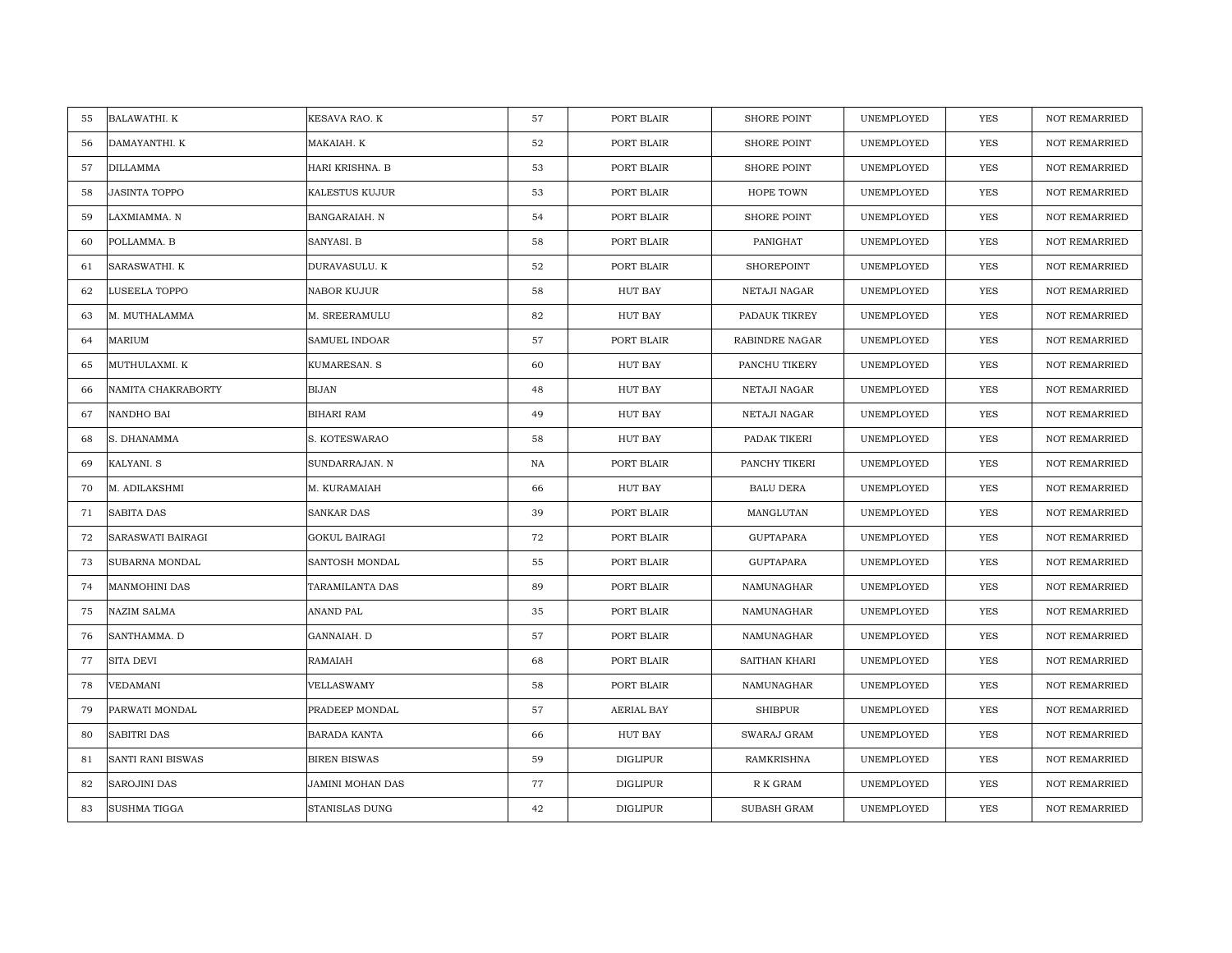| 55 | <b>BALAWATHI. K</b>      | KESAVA RAO. K     | 57 | PORT BLAIR      | <b>SHORE POINT</b> | UNEMPLOYED | <b>YES</b> | <b>NOT REMARRIED</b> |
|----|--------------------------|-------------------|----|-----------------|--------------------|------------|------------|----------------------|
| 56 | DAMAYANTHI. K            | MAKAIAH. K        | 52 | PORT BLAIR      | <b>SHORE POINT</b> | UNEMPLOYED | <b>YES</b> | <b>NOT REMARRIED</b> |
| 57 | <b>DILLAMMA</b>          | HARI KRISHNA. B   | 53 | PORT BLAIR      | <b>SHORE POINT</b> | UNEMPLOYED | YES        | <b>NOT REMARRIED</b> |
| 58 | <b>JASINTA TOPPO</b>     | KALESTUS KUJUR    | 53 | PORT BLAIR      | HOPE TOWN          | UNEMPLOYED | YES        | <b>NOT REMARRIED</b> |
| 59 | LAXMIAMMA. N             | BANGARAIAH. N     | 54 | PORT BLAIR      | <b>SHORE POINT</b> | UNEMPLOYED | YES        | <b>NOT REMARRIED</b> |
| 60 | POLLAMMA. B              | SANYASI. B        | 58 | PORT BLAIR      | PANIGHAT           | UNEMPLOYED | YES        | NOT REMARRIED        |
| 61 | SARASWATHI. K            | DURAVASULU. K     | 52 | PORT BLAIR      | <b>SHOREPOINT</b>  | UNEMPLOYED | <b>YES</b> | NOT REMARRIED        |
| 62 | LUSEELA TOPPO            | NABOR KUJUR       | 58 | HUT BAY         | NETAJI NAGAR       | UNEMPLOYED | YES        | NOT REMARRIED        |
| 63 | M. MUTHALAMMA            | M. SREERAMULU     | 82 | HUT BAY         | PADAUK TIKREY      | UNEMPLOYED | YES        | NOT REMARRIED        |
| 64 | MARIUM                   | SAMUEL INDOAR     | 57 | PORT BLAIR      | RABINDRE NAGAR     | UNEMPLOYED | <b>YES</b> | <b>NOT REMARRIED</b> |
| 65 | MUTHULAXMI. K            | KUMARESAN. S      | 60 | HUT BAY         | PANCHU TIKERY      | UNEMPLOYED | <b>YES</b> | <b>NOT REMARRIED</b> |
| 66 | NAMITA CHAKRABORTY       | <b>BIJAN</b>      | 48 | HUT BAY         | NETAJI NAGAR       | UNEMPLOYED | <b>YES</b> | <b>NOT REMARRIED</b> |
| 67 | NANDHO BAI               | <b>BIHARI RAM</b> | 49 | HUT BAY         | NETAJI NAGAR       | UNEMPLOYED | YES        | NOT REMARRIED        |
| 68 | S. DHANAMMA              | S. KOTESWARAO     | 58 | HUT BAY         | PADAK TIKERI       | UNEMPLOYED | <b>YES</b> | <b>NOT REMARRIED</b> |
| 69 | KALYANI. S               | SUNDARRAJAN. N    | NA | PORT BLAIR      | PANCHY TIKERI      | UNEMPLOYED | YES        | NOT REMARRIED        |
| 70 | M. ADILAKSHMI            | M. KURAMAIAH      | 66 | HUT BAY         | <b>BALU DERA</b>   | UNEMPLOYED | YES        | <b>NOT REMARRIED</b> |
| 71 | <b>SABITA DAS</b>        | <b>SANKAR DAS</b> | 39 | PORT BLAIR      | MANGLUTAN          | UNEMPLOYED | YES        | NOT REMARRIED        |
| 72 | SARASWATI BAIRAGI        | GOKUL BAIRAGI     | 72 | PORT BLAIR      | GUPTAPARA          | UNEMPLOYED | YES        | NOT REMARRIED        |
| 73 | SUBARNA MONDAL           | SANTOSH MONDAL    | 55 | PORT BLAIR      | <b>GUPTAPARA</b>   | UNEMPLOYED | YES        | <b>NOT REMARRIED</b> |
| 74 | MANMOHINI DAS            | TARAMILANTA DAS   | 89 | PORT BLAIR      | NAMUNAGHAR         | UNEMPLOYED | <b>YES</b> | <b>NOT REMARRIED</b> |
| 75 | <b>NAZIM SALMA</b>       | ANAND PAL         | 35 | PORT BLAIR      | NAMUNAGHAR         | UNEMPLOYED | <b>YES</b> | <b>NOT REMARRIED</b> |
| 76 | SANTHAMMA. D             | GANNAIAH. D       | 57 | PORT BLAIR      | NAMUNAGHAR         | UNEMPLOYED | <b>YES</b> | <b>NOT REMARRIED</b> |
| 77 | <b>SITA DEVI</b>         | RAMAIAH           | 68 | PORT BLAIR      | SAITHAN KHARI      | UNEMPLOYED | <b>YES</b> | <b>NOT REMARRIED</b> |
| 78 | VEDAMANI                 | <b>VELLASWAMY</b> | 58 | PORT BLAIR      | NAMUNAGHAR         | UNEMPLOYED | YES        | <b>NOT REMARRIED</b> |
| 79 | PARWATI MONDAL           | PRADEEP MONDAL    | 57 | AERIAL BAY      | <b>SHIBPUR</b>     | UNEMPLOYED | <b>YES</b> | <b>NOT REMARRIED</b> |
| 80 | <b>SABITRI DAS</b>       | BARADA KANTA      | 66 | HUT BAY         | SWARAJ GRAM        | UNEMPLOYED | YES        | NOT REMARRIED        |
| 81 | <b>SANTI RANI BISWAS</b> | BIREN BISWAS      | 59 | <b>DIGLIPUR</b> | RAMKRISHNA         | UNEMPLOYED | <b>YES</b> | <b>NOT REMARRIED</b> |
| 82 | <b>SAROJINI DAS</b>      | JAMINI MOHAN DAS  | 77 | DIGLIPUR        | R K GRAM           | UNEMPLOYED | YES        | <b>NOT REMARRIED</b> |
| 83 | <b>SUSHMA TIGGA</b>      | STANISLAS DUNG    | 42 | <b>DIGLIPUR</b> | SUBASH GRAM        | UNEMPLOYED | YES        | NOT REMARRIED        |
|    |                          |                   |    |                 |                    |            |            |                      |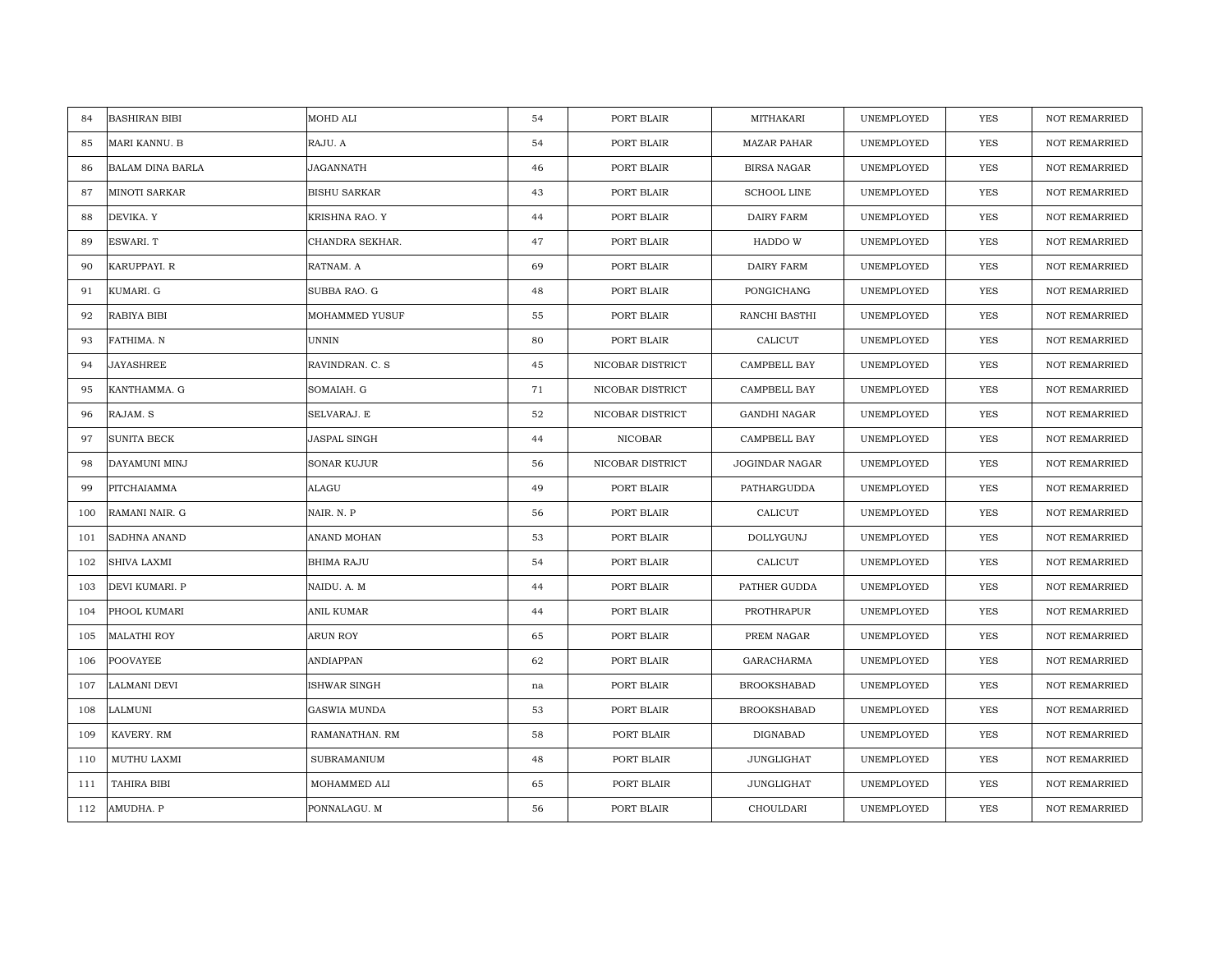| <b>BASHIRAN BIBI</b><br>84    | MOHD ALI            | 54 | PORT BLAIR       | MITHAKARI           | UNEMPLOYED | YES        | <b>NOT REMARRIED</b> |
|-------------------------------|---------------------|----|------------------|---------------------|------------|------------|----------------------|
| MARI KANNU. B<br>85           | RAJU. A             | 54 | PORT BLAIR       | <b>MAZAR PAHAR</b>  | UNEMPLOYED | YES        | <b>NOT REMARRIED</b> |
| 86<br><b>BALAM DINA BARLA</b> | JAGANNATH           | 46 | PORT BLAIR       | <b>BIRSA NAGAR</b>  | UNEMPLOYED | <b>YES</b> | <b>NOT REMARRIED</b> |
| MINOTI SARKAR<br>87           | <b>BISHU SARKAR</b> | 43 | PORT BLAIR       | <b>SCHOOL LINE</b>  | UNEMPLOYED | YES        | <b>NOT REMARRIED</b> |
| 88<br>DEVIKA. Y               | KRISHNA RAO. Y      | 44 | PORT BLAIR       | DAIRY FARM          | UNEMPLOYED | <b>YES</b> | <b>NOT REMARRIED</b> |
| 89<br>ESWARI. T               | CHANDRA SEKHAR.     | 47 | PORT BLAIR       | HADDO W             | UNEMPLOYED | YES        | <b>NOT REMARRIED</b> |
| 90<br>KARUPPAYI, R            | RATNAM. A           | 69 | PORT BLAIR       | DAIRY FARM          | UNEMPLOYED | YES        | <b>NOT REMARRIED</b> |
| 91<br>KUMARI. G               | SUBBA RAO. G        | 48 | PORT BLAIR       | PONGICHANG          | UNEMPLOYED | YES        | NOT REMARRIED        |
| 92<br>RABIYA BIBI             | MOHAMMED YUSUF      | 55 | PORT BLAIR       | RANCHI BASTHI       | UNEMPLOYED | YES        | NOT REMARRIED        |
| 93<br>FATHIMA. N              | UNNIN               | 80 | PORT BLAIR       | CALICUT             | UNEMPLOYED | YES        | <b>NOT REMARRIED</b> |
| 94<br>JAYASHREE               | RAVINDRAN. C. S     | 45 | NICOBAR DISTRICT | CAMPBELL BAY        | UNEMPLOYED | YES        | <b>NOT REMARRIED</b> |
| 95<br>KANTHAMMA. G            | SOMAIAH. G          | 71 | NICOBAR DISTRICT | CAMPBELL BAY        | UNEMPLOYED | YES        | NOT REMARRIED        |
| 96<br>RAJAM. S                | SELVARAJ. E         | 52 | NICOBAR DISTRICT | <b>GANDHI NAGAR</b> | UNEMPLOYED | YES        | NOT REMARRIED        |
| <b>SUNITA BECK</b><br>97      | JASPAL SINGH        | 44 | NICOBAR          | CAMPBELL BAY        | UNEMPLOYED | YES        | <b>NOT REMARRIED</b> |
| 98<br>DAYAMUNI MINJ           | SONAR KUJUR         | 56 | NICOBAR DISTRICT | JOGINDAR NAGAR      | UNEMPLOYED | YES        | <b>NOT REMARRIED</b> |
| 99<br>PITCHAIAMMA             | ALAGU               | 49 | PORT BLAIR       | PATHARGUDDA         | UNEMPLOYED | YES        | <b>NOT REMARRIED</b> |
| RAMANI NAIR. G<br>100         | NAIR. N. P          | 56 | PORT BLAIR       | CALICUT             | UNEMPLOYED | YES        | NOT REMARRIED        |
| SADHNA ANAND<br>101           | ANAND MOHAN         | 53 | PORT BLAIR       | DOLLYGUNJ           | UNEMPLOYED | YES        | <b>NOT REMARRIED</b> |
| 102<br>SHIVA LAXMI            | BHIMA RAJU          | 54 | PORT BLAIR       | CALICUT             | UNEMPLOYED | YES        | NOT REMARRIED        |
| 103<br>DEVI KUMARI. P         | NAIDU. A. M         | 44 | PORT BLAIR       | PATHER GUDDA        | UNEMPLOYED | <b>YES</b> | <b>NOT REMARRIED</b> |
| PHOOL KUMARI<br>104           | ANIL KUMAR          | 44 | PORT BLAIR       | PROTHRAPUR          | UNEMPLOYED | YES        | <b>NOT REMARRIED</b> |
| 105<br><b>MALATHI ROY</b>     | ARUN ROY            | 65 | PORT BLAIR       | PREM NAGAR          | UNEMPLOYED | YES        | NOT REMARRIED        |
| POOVAYEE<br>106               | ANDIAPPAN           | 62 | PORT BLAIR       | GARACHARMA          | UNEMPLOYED | <b>YES</b> | <b>NOT REMARRIED</b> |
| LALMANI DEVI<br>107           | ISHWAR SINGH        | na | PORT BLAIR       | <b>BROOKSHABAD</b>  | UNEMPLOYED | YES        | <b>NOT REMARRIED</b> |
| 108<br>LALMUNI                | GASWIA MUNDA        | 53 | PORT BLAIR       | <b>BROOKSHABAD</b>  | UNEMPLOYED | YES        | NOT REMARRIED        |
| KAVERY. RM<br>109             | RAMANATHAN. RM      | 58 | PORT BLAIR       | DIGNABAD            | UNEMPLOYED | YES        | NOT REMARRIED        |
| MUTHU LAXMI<br>110            | <b>SUBRAMANIUM</b>  | 48 | PORT BLAIR       | JUNGLIGHAT          | UNEMPLOYED | YES        | <b>NOT REMARRIED</b> |
| TAHIRA BIBI<br>111            | MOHAMMED ALI        | 65 | PORT BLAIR       | JUNGLIGHAT          | UNEMPLOYED | YES        | <b>NOT REMARRIED</b> |
| 112<br>AMUDHA. P              | PONNALAGU. M        | 56 | PORT BLAIR       | CHOULDARI           | UNEMPLOYED | <b>YES</b> | <b>NOT REMARRIED</b> |
|                               |                     |    |                  |                     |            |            |                      |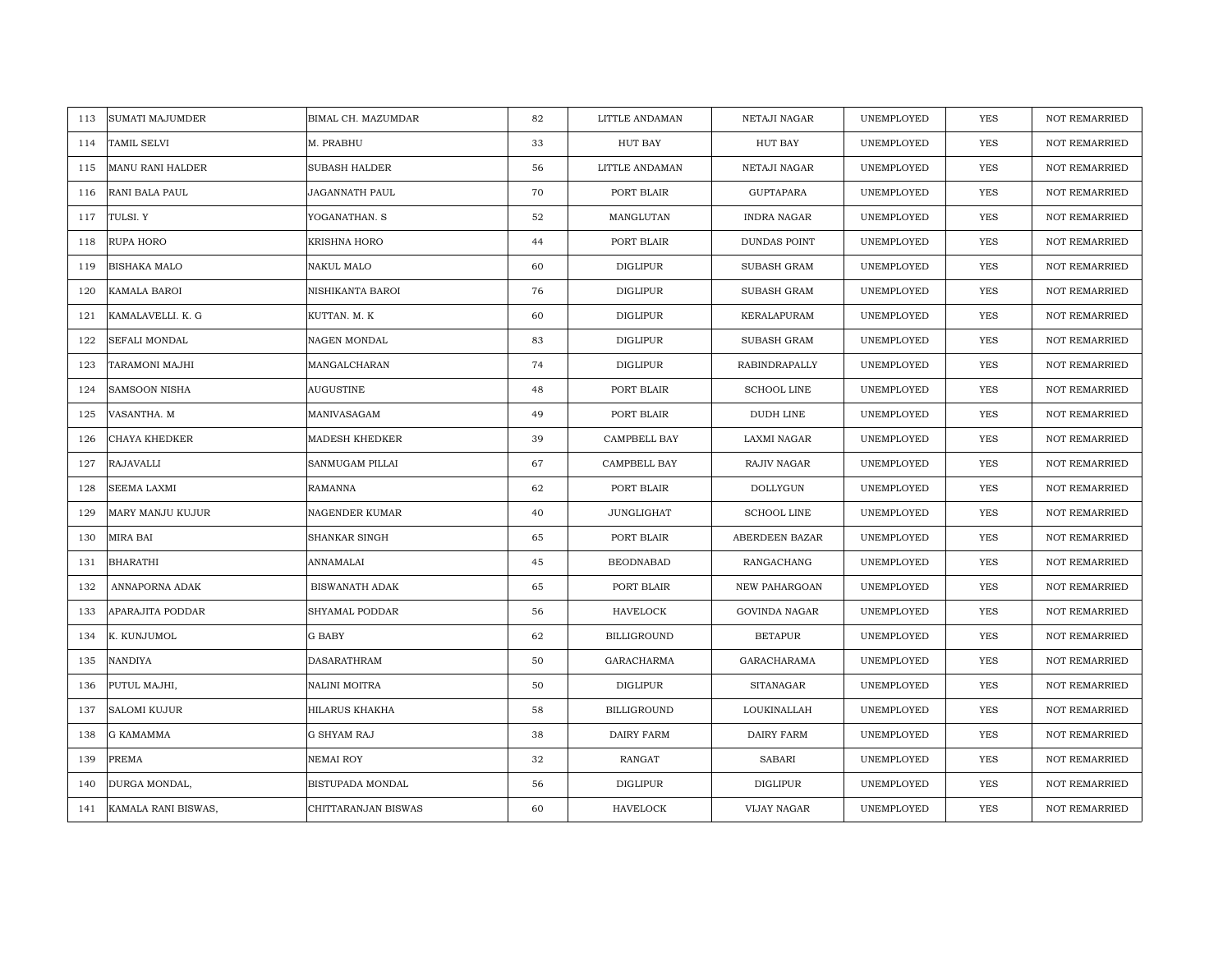| <b>SUMATI MAJUMDER</b><br>113 | BIMAL CH. MAZUMDAR      | 82 | LITTLE ANDAMAN     | NETAJI NAGAR         | UNEMPLOYED | <b>YES</b> | <b>NOT REMARRIED</b> |
|-------------------------------|-------------------------|----|--------------------|----------------------|------------|------------|----------------------|
| TAMIL SELVI<br>114            | M. PRABHU               | 33 | HUT BAY            | <b>HUT BAY</b>       | UNEMPLOYED | <b>YES</b> | NOT REMARRIED        |
| MANU RANI HALDER<br>115       | <b>SUBASH HALDER</b>    | 56 | LITTLE ANDAMAN     | NETAJI NAGAR         | UNEMPLOYED | YES        | <b>NOT REMARRIED</b> |
| 116<br>RANI BALA PAUL         | JAGANNATH PAUL          | 70 | PORT BLAIR         | <b>GUPTAPARA</b>     | UNEMPLOYED | YES        | <b>NOT REMARRIED</b> |
| 117<br>TULSI. Y               | YOGANATHAN. S           | 52 | MANGLUTAN          | <b>INDRA NAGAR</b>   | UNEMPLOYED | YES        | <b>NOT REMARRIED</b> |
| 118<br>RUPA HORO              | KRISHNA HORO            | 44 | PORT BLAIR         | DUNDAS POINT         | UNEMPLOYED | YES        | NOT REMARRIED        |
| <b>BISHAKA MALO</b><br>119    | NAKUL MALO              | 60 | <b>DIGLIPUR</b>    | <b>SUBASH GRAM</b>   | UNEMPLOYED | <b>YES</b> | <b>NOT REMARRIED</b> |
| 120<br>KAMALA BAROI           | NISHIKANTA BAROI        | 76 | DIGLIPUR           | <b>SUBASH GRAM</b>   | UNEMPLOYED | YES        | <b>NOT REMARRIED</b> |
| 121<br>KAMALAVELLI. K. G      | KUTTAN. M. K            | 60 | <b>DIGLIPUR</b>    | KERALAPURAM          | UNEMPLOYED | YES        | NOT REMARRIED        |
| SEFALI MONDAL<br>122          | NAGEN MONDAL            | 83 | <b>DIGLIPUR</b>    | SUBASH GRAM          | UNEMPLOYED | YES        | NOT REMARRIED        |
| TARAMONI MAJHI<br>123         | MANGALCHARAN            | 74 | DIGLIPUR           | RABINDRAPALLY        | UNEMPLOYED | YES        | <b>NOT REMARRIED</b> |
| 124<br><b>SAMSOON NISHA</b>   | <b>AUGUSTINE</b>        | 48 | PORT BLAIR         | <b>SCHOOL LINE</b>   | UNEMPLOYED | YES        | <b>NOT REMARRIED</b> |
| VASANTHA. M<br>125            | MANIVASAGAM             | 49 | PORT BLAIR         | DUDH LINE            | UNEMPLOYED | YES        | NOT REMARRIED        |
| CHAYA KHEDKER<br>126          | <b>MADESH KHEDKER</b>   | 39 | CAMPBELL BAY       | LAXMI NAGAR          | UNEMPLOYED | <b>YES</b> | <b>NOT REMARRIED</b> |
| 127<br>RAJAVALLI              | SANMUGAM PILLAI         | 67 | CAMPBELL BAY       | RAJIV NAGAR          | UNEMPLOYED | <b>YES</b> | <b>NOT REMARRIED</b> |
| SEEMA LAXMI<br>128            | RAMANNA                 | 62 | PORT BLAIR         | DOLLYGUN             | UNEMPLOYED | <b>YES</b> | NOT REMARRIED        |
| MARY MANJU KUJUR<br>129       | <b>NAGENDER KUMAR</b>   | 40 | <b>JUNGLIGHAT</b>  | <b>SCHOOL LINE</b>   | UNEMPLOYED | YES        | <b>NOT REMARRIED</b> |
| 130<br>MIRA BAI               | SHANKAR SINGH           | 65 | PORT BLAIR         | ABERDEEN BAZAR       | UNEMPLOYED | <b>YES</b> | <b>NOT REMARRIED</b> |
| <b>BHARATHI</b><br>131        | ANNAMALAI               | 45 | <b>BEODNABAD</b>   | RANGACHANG           | UNEMPLOYED | <b>YES</b> | <b>NOT REMARRIED</b> |
| 132<br>ANNAPORNA ADAK         | <b>BISWANATH ADAK</b>   | 65 | PORT BLAIR         | NEW PAHARGOAN        | UNEMPLOYED | YES        | <b>NOT REMARRIED</b> |
| APARAJITA PODDAR<br>133       | SHYAMAL PODDAR          | 56 | HAVELOCK           | <b>GOVINDA NAGAR</b> | UNEMPLOYED | <b>YES</b> | <b>NOT REMARRIED</b> |
| K. KUNJUMOL<br>134            | G BABY                  | 62 | <b>BILLIGROUND</b> | <b>BETAPUR</b>       | UNEMPLOYED | YES        | NOT REMARRIED        |
| NANDIYA<br>135                | DASARATHRAM             | 50 | GARACHARMA         | GARACHARAMA          | UNEMPLOYED | <b>YES</b> | <b>NOT REMARRIED</b> |
| PUTUL MAJHI,<br>136           | NALINI MOITRA           | 50 | DIGLIPUR           | <b>SITANAGAR</b>     | UNEMPLOYED | YES        | NOT REMARRIED        |
| <b>SALOMI KUJUR</b><br>137    | HILARUS KHAKHA          | 58 | <b>BILLIGROUND</b> | LOUKINALLAH          | UNEMPLOYED | <b>YES</b> | <b>NOT REMARRIED</b> |
| 138<br>G KAMAMMA              | <b>G SHYAM RAJ</b>      | 38 | DAIRY FARM         | DAIRY FARM           | UNEMPLOYED | YES        | NOT REMARRIED        |
| PREMA<br>139                  | <b>NEMAI ROY</b>        | 32 | RANGAT             | <b>SABARI</b>        | UNEMPLOYED | <b>YES</b> | <b>NOT REMARRIED</b> |
| DURGA MONDAL,<br>140          | <b>BISTUPADA MONDAL</b> | 56 | DIGLIPUR           | DIGLIPUR             | UNEMPLOYED | YES        | <b>NOT REMARRIED</b> |
| KAMALA RANI BISWAS,<br>141    | CHITTARANJAN BISWAS     | 60 | HAVELOCK           | VIJAY NAGAR          | UNEMPLOYED | YES        | NOT REMARRIED        |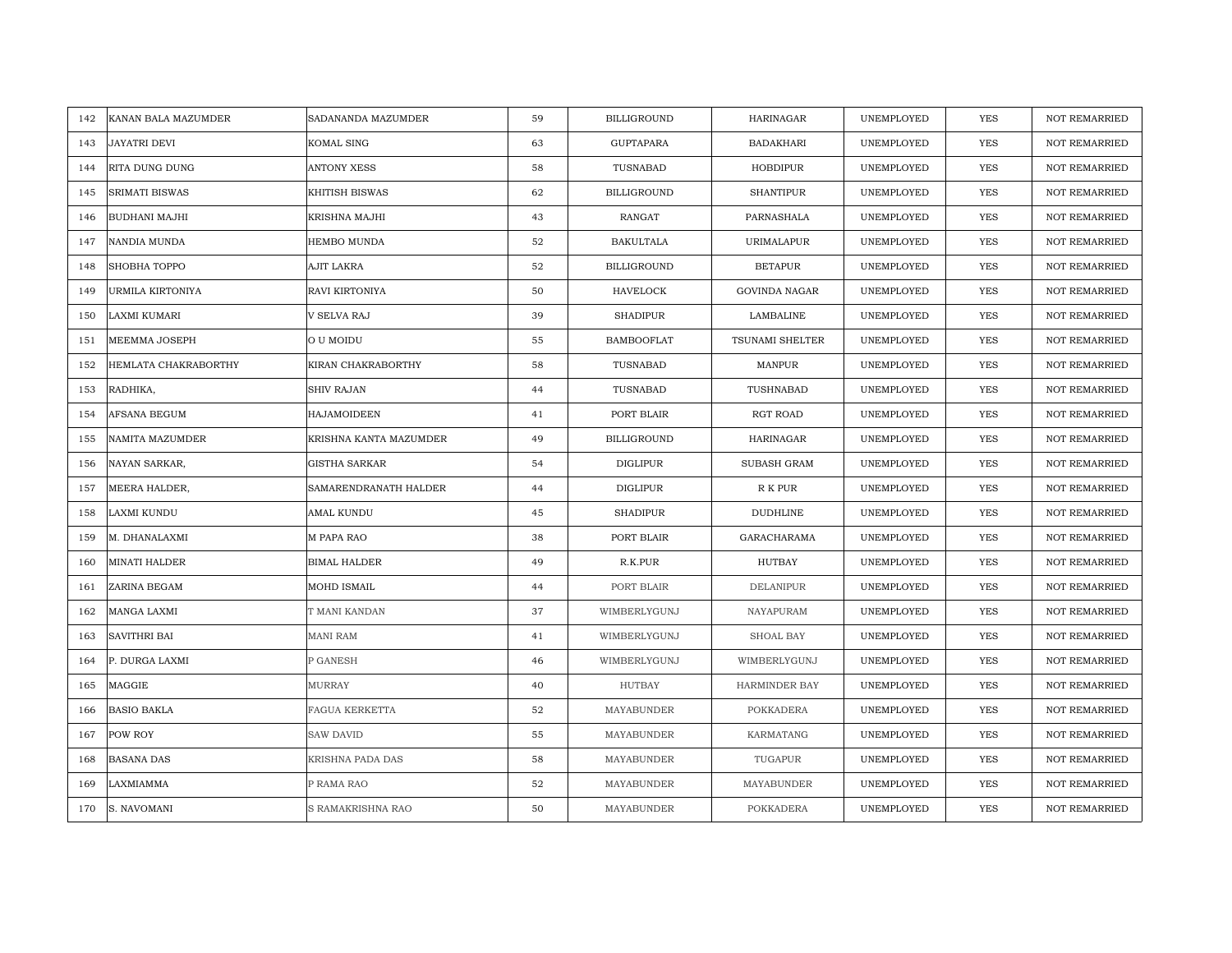| KANAN BALA MAZUMDER<br>142  | SADANANDA MAZUMDER     | 59 | <b>BILLIGROUND</b> | HARINAGAR            | UNEMPLOYED | <b>YES</b> | <b>NOT REMARRIED</b> |
|-----------------------------|------------------------|----|--------------------|----------------------|------------|------------|----------------------|
| JAYATRI DEVI<br>143         | KOMAL SING             | 63 | <b>GUPTAPARA</b>   | <b>BADAKHARI</b>     | UNEMPLOYED | <b>YES</b> | NOT REMARRIED        |
| RITA DUNG DUNG<br>144       | <b>ANTONY XESS</b>     | 58 | TUSNABAD           | HOBDIPUR             | UNEMPLOYED | <b>YES</b> | <b>NOT REMARRIED</b> |
| 145<br>SRIMATI BISWAS       | KHITISH BISWAS         | 62 | <b>BILLIGROUND</b> | <b>SHANTIPUR</b>     | UNEMPLOYED | <b>YES</b> | NOT REMARRIED        |
| BUDHANI MAJHI<br>146        | KRISHNA MAJHI          | 43 | <b>RANGAT</b>      | PARNASHALA           | UNEMPLOYED | <b>YES</b> | <b>NOT REMARRIED</b> |
| NANDIA MUNDA<br>147         | HEMBO MUNDA            | 52 | <b>BAKULTALA</b>   | URIMALAPUR           | UNEMPLOYED | YES        | <b>NOT REMARRIED</b> |
| SHOBHA TOPPO<br>148         | AJIT LAKRA             | 52 | <b>BILLIGROUND</b> | <b>BETAPUR</b>       | UNEMPLOYED | <b>YES</b> | <b>NOT REMARRIED</b> |
| URMILA KIRTONIYA<br>149     | RAVI KIRTONIYA         | 50 | HAVELOCK           | <b>GOVINDA NAGAR</b> | UNEMPLOYED | YES        | NOT REMARRIED        |
| LAXMI KUMARI<br>150         | V SELVA RAJ            | 39 | <b>SHADIPUR</b>    | LAMBALINE            | UNEMPLOYED | YES        | NOT REMARRIED        |
| MEEMMA JOSEPH<br>151        | O U MOIDU              | 55 | <b>BAMBOOFLAT</b>  | TSUNAMI SHELTER      | UNEMPLOYED | YES        | <b>NOT REMARRIED</b> |
| HEMLATA CHAKRABORTHY<br>152 | KIRAN CHAKRABORTHY     | 58 | TUSNABAD           | MANPUR               | UNEMPLOYED | YES        | <b>NOT REMARRIED</b> |
| 153<br>RADHIKA,             | <b>SHIV RAJAN</b>      | 44 | TUSNABAD           | TUSHNABAD            | UNEMPLOYED | YES        | <b>NOT REMARRIED</b> |
| 154<br>AFSANA BEGUM         | HAJAMOIDEEN            | 41 | PORT BLAIR         | RGT ROAD             | UNEMPLOYED | YES        | NOT REMARRIED        |
| NAMITA MAZUMDER<br>155      | KRISHNA KANTA MAZUMDER | 49 | <b>BILLIGROUND</b> | HARINAGAR            | UNEMPLOYED | <b>YES</b> | <b>NOT REMARRIED</b> |
| 156<br>NAYAN SARKAR,        | <b>GISTHA SARKAR</b>   | 54 | DIGLIPUR           | SUBASH GRAM          | UNEMPLOYED | YES        | NOT REMARRIED        |
| MEERA HALDER,<br>157        | SAMARENDRANATH HALDER  | 44 | DIGLIPUR           | R K PUR              | UNEMPLOYED | <b>YES</b> | <b>NOT REMARRIED</b> |
| LAXMI KUNDU<br>158          | AMAL KUNDU             | 45 | <b>SHADIPUR</b>    | <b>DUDHLINE</b>      | UNEMPLOYED | YES        | <b>NOT REMARRIED</b> |
| M. DHANALAXMI<br>159        | M PAPA RAO             | 38 | PORT BLAIR         | GARACHARAMA          | UNEMPLOYED | <b>YES</b> | <b>NOT REMARRIED</b> |
| MINATI HALDER<br>160        | <b>BIMAL HALDER</b>    | 49 | R.K.PUR            | <b>HUTBAY</b>        | UNEMPLOYED | <b>YES</b> | NOT REMARRIED        |
| ZARINA BEGAM<br>161         | MOHD ISMAIL            | 44 | PORT BLAIR         | <b>DELANIPUR</b>     | UNEMPLOYED | YES        | NOT REMARRIED        |
| MANGA LAXMI<br>162          | T MANI KANDAN          | 37 | WIMBERLYGUNJ       | NAYAPURAM            | UNEMPLOYED | YES        | <b>NOT REMARRIED</b> |
| 163<br><b>SAVITHRI BAI</b>  | MANI RAM               | 41 | WIMBERLYGUNJ       | SHOAL BAY            | UNEMPLOYED | YES        | NOT REMARRIED        |
| P. DURGA LAXMI<br>164       | P GANESH               | 46 | WIMBERLYGUNJ       | WIMBERLYGUNJ         | UNEMPLOYED | YES        | <b>NOT REMARRIED</b> |
| MAGGIE<br>165               | <b>MURRAY</b>          | 40 | <b>HUTBAY</b>      | <b>HARMINDER BAY</b> | UNEMPLOYED | YES        | <b>NOT REMARRIED</b> |
| 166<br>BASIO BAKLA          | FAGUA KERKETTA         | 52 | MAYABUNDER         | POKKADERA            | UNEMPLOYED | YES        | <b>NOT REMARRIED</b> |
| POW ROY<br>167              | SAW DAVID              | 55 | MAYABUNDER         | KARMATANG            | UNEMPLOYED | YES        | NOT REMARRIED        |
| 168<br>BASANA DAS           | KRISHNA PADA DAS       | 58 | MAYABUNDER         | TUGAPUR              | UNEMPLOYED | <b>YES</b> | <b>NOT REMARRIED</b> |
| LAXMIAMMA<br>169            | P RAMA RAO             | 52 | MAYABUNDER         | MAYABUNDER           | UNEMPLOYED | <b>YES</b> | <b>NOT REMARRIED</b> |
| S. NAVOMANI<br>170          | S RAMAKRISHNA RAO      | 50 | MAYABUNDER         | POKKADERA            | UNEMPLOYED | <b>YES</b> | <b>NOT REMARRIED</b> |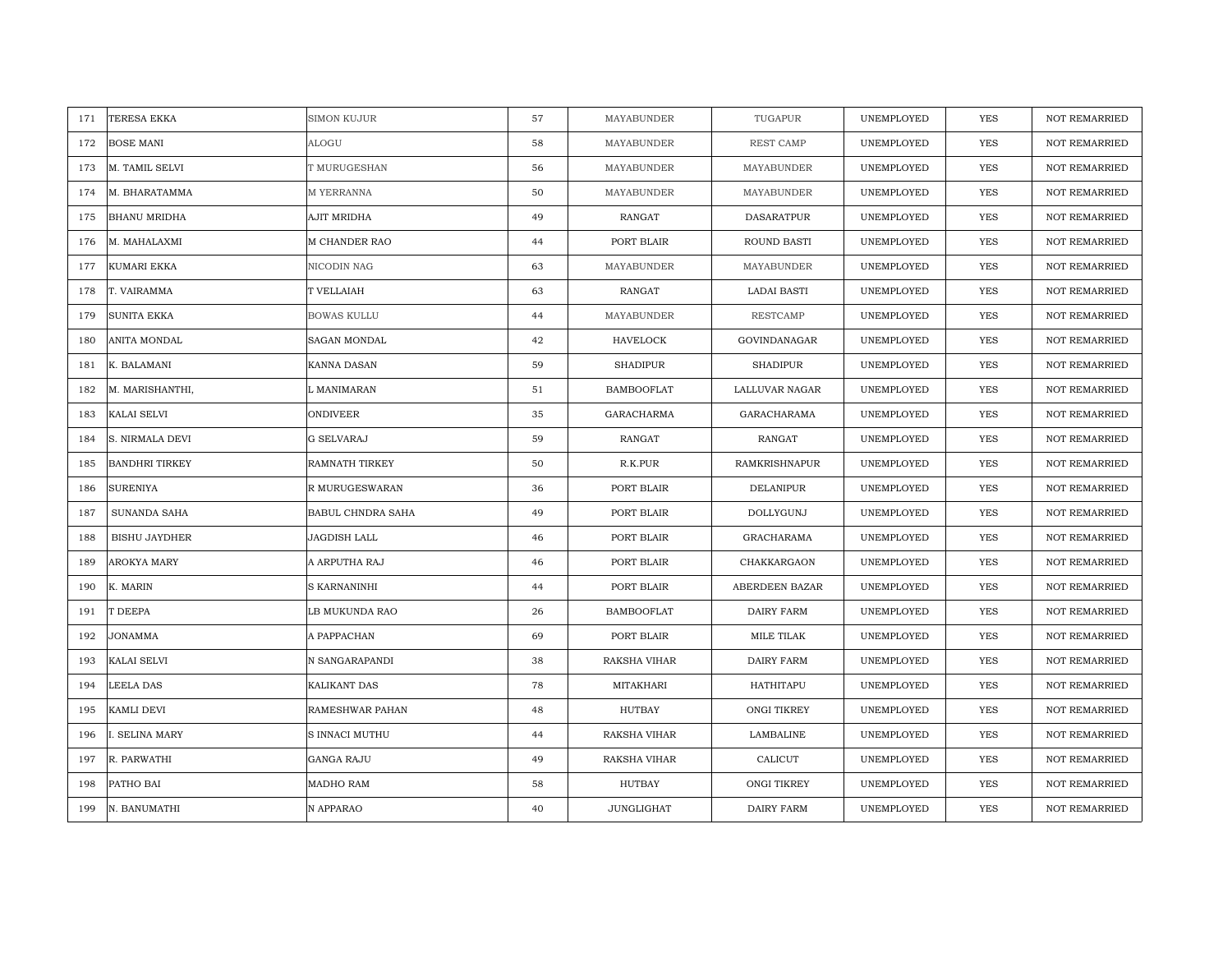| TERESA EKKA<br>171           | <b>SIMON KUJUR</b> | 57 | MAYABUNDER        | TUGAPUR              | UNEMPLOYED | <b>YES</b> | <b>NOT REMARRIED</b> |
|------------------------------|--------------------|----|-------------------|----------------------|------------|------------|----------------------|
| <b>BOSE MANI</b><br>172      | ALOGU              | 58 | MAYABUNDER        | REST CAMP            | UNEMPLOYED | <b>YES</b> | NOT REMARRIED        |
| M. TAMIL SELVI<br>173        | T MURUGESHAN       | 56 | MAYABUNDER        | MAYABUNDER           | UNEMPLOYED | <b>YES</b> | <b>NOT REMARRIED</b> |
| 174<br>M. BHARATAMMA         | M YERRANNA         | 50 | MAYABUNDER        | MAYABUNDER           | UNEMPLOYED | <b>YES</b> | NOT REMARRIED        |
| <b>BHANU MRIDHA</b><br>175   | AJIT MRIDHA        | 49 | RANGAT            | <b>DASARATPUR</b>    | UNEMPLOYED | <b>YES</b> | <b>NOT REMARRIED</b> |
| M. MAHALAXMI<br>176          | M CHANDER RAO      | 44 | PORT BLAIR        | <b>ROUND BASTI</b>   | UNEMPLOYED | YES        | <b>NOT REMARRIED</b> |
| KUMARI EKKA<br>177           | NICODIN NAG        | 63 | MAYABUNDER        | MAYABUNDER           | UNEMPLOYED | <b>YES</b> | <b>NOT REMARRIED</b> |
| T. VAIRAMMA<br>178           | T VELLAIAH         | 63 | RANGAT            | LADAI BASTI          | UNEMPLOYED | YES        | NOT REMARRIED        |
| SUNITA EKKA<br>179           | <b>BOWAS KULLU</b> | 44 | MAYABUNDER        | RESTCAMP             | UNEMPLOYED | YES        | NOT REMARRIED        |
| ANITA MONDAL<br>180          | SAGAN MONDAL       | 42 | HAVELOCK          | GOVINDANAGAR         | UNEMPLOYED | YES        | <b>NOT REMARRIED</b> |
| K. BALAMANI<br>181           | KANNA DASAN        | 59 | <b>SHADIPUR</b>   | <b>SHADIPUR</b>      | UNEMPLOYED | YES        | <b>NOT REMARRIED</b> |
| M. MARISHANTHI,<br>182       | L MANIMARAN        | 51 | <b>BAMBOOFLAT</b> | LALLUVAR NAGAR       | UNEMPLOYED | YES        | NOT REMARRIED        |
| 183<br>KALAI SELVI           | <b>ONDIVEER</b>    | 35 | GARACHARMA        | GARACHARAMA          | UNEMPLOYED | YES        | NOT REMARRIED        |
| S. NIRMALA DEVI<br>184       | <b>G SELVARAJ</b>  | 59 | RANGAT            | RANGAT               | UNEMPLOYED | <b>YES</b> | <b>NOT REMARRIED</b> |
| 185<br><b>BANDHRI TIRKEY</b> | RAMNATH TIRKEY     | 50 | R.K.PUR           | <b>RAMKRISHNAPUR</b> | UNEMPLOYED | YES        | NOT REMARRIED        |
| <b>SURENIYA</b><br>186       | R MURUGESWARAN     | 36 | PORT BLAIR        | <b>DELANIPUR</b>     | UNEMPLOYED | <b>YES</b> | NOT REMARRIED        |
| 187<br>SUNANDA SAHA          | BABUL CHNDRA SAHA  | 49 | PORT BLAIR        | <b>DOLLYGUNJ</b>     | UNEMPLOYED | YES        | <b>NOT REMARRIED</b> |
| <b>BISHU JAYDHER</b><br>188  | JAGDISH LALL       | 46 | PORT BLAIR        | GRACHARAMA           | UNEMPLOYED | <b>YES</b> | <b>NOT REMARRIED</b> |
| AROKYA MARY<br>189           | A ARPUTHA RAJ      | 46 | PORT BLAIR        | CHAKKARGAON          | UNEMPLOYED | <b>YES</b> | NOT REMARRIED        |
| 190<br>K. MARIN              | S KARNANINHI       | 44 | PORT BLAIR        | ABERDEEN BAZAR       | UNEMPLOYED | YES        | NOT REMARRIED        |
| 191<br>T DEEPA               | LB MUKUNDA RAO     | 26 | <b>BAMBOOFLAT</b> | DAIRY FARM           | UNEMPLOYED | YES        | NOT REMARRIED        |
| JONAMMA<br>192               | A PAPPACHAN        | 69 | PORT BLAIR        | MILE TILAK           | UNEMPLOYED | YES        | NOT REMARRIED        |
| KALAI SELVI<br>193           | N SANGARAPANDI     | 38 | RAKSHA VIHAR      | DAIRY FARM           | UNEMPLOYED | YES        | <b>NOT REMARRIED</b> |
| 194<br>LEELA DAS             | KALIKANT DAS       | 78 | MITAKHARI         | HATHITAPU            | UNEMPLOYED | YES        | <b>NOT REMARRIED</b> |
| 195<br>KAMLI DEVI            | RAMESHWAR PAHAN    | 48 | HUTBAY            | ONGI TIKREY          | UNEMPLOYED | YES        | NOT REMARRIED        |
| . SELINA MARY<br>196         | S INNACI MUTHU     | 44 | RAKSHA VIHAR      | LAMBALINE            | UNEMPLOYED | YES        | NOT REMARRIED        |
| R. PARWATHI<br>197           | GANGA RAJU         | 49 | RAKSHA VIHAR      | CALICUT              | UNEMPLOYED | <b>YES</b> | <b>NOT REMARRIED</b> |
| PATHO BAI<br>198             | MADHO RAM          | 58 | HUTBAY            | ONGI TIKREY          | UNEMPLOYED | <b>YES</b> | <b>NOT REMARRIED</b> |
| 199<br>N. BANUMATHI          | N APPARAO          | 40 | <b>JUNGLIGHAT</b> | <b>DAIRY FARM</b>    | UNEMPLOYED | <b>YES</b> | <b>NOT REMARRIED</b> |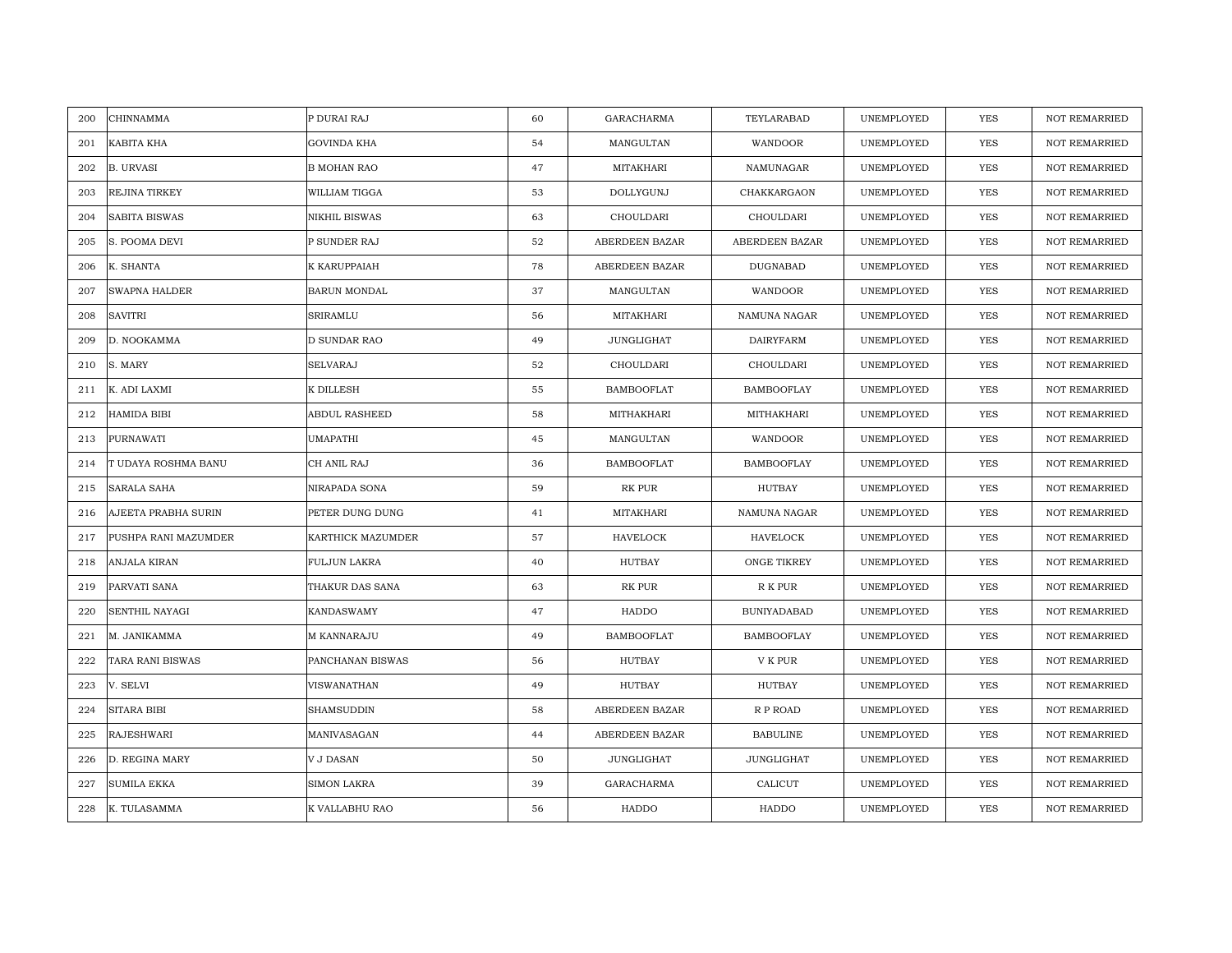| 200 | CHINNAMMA            | P DURAI RAJ        | 60 | <b>GARACHARMA</b> | TEYLARABAD         | UNEMPLOYED | YES        | <b>NOT REMARRIED</b> |
|-----|----------------------|--------------------|----|-------------------|--------------------|------------|------------|----------------------|
| 201 | KABITA KHA           | GOVINDA KHA        | 54 | MANGULTAN         | WANDOOR            | UNEMPLOYED | <b>YES</b> | NOT REMARRIED        |
| 202 | <b>B. URVASI</b>     | <b>B MOHAN RAO</b> | 47 | MITAKHARI         | NAMUNAGAR          | UNEMPLOYED | <b>YES</b> | <b>NOT REMARRIED</b> |
| 203 | REJINA TIRKEY        | WILLIAM TIGGA      | 53 | DOLLYGUNJ         | CHAKKARGAON        | UNEMPLOYED | YES        | <b>NOT REMARRIED</b> |
| 204 | SABITA BISWAS        | NIKHIL BISWAS      | 63 | CHOULDARI         | CHOULDARI          | UNEMPLOYED | YES        | <b>NOT REMARRIED</b> |
| 205 | S. POOMA DEVI        | P SUNDER RAJ       | 52 | ABERDEEN BAZAR    | ABERDEEN BAZAR     | UNEMPLOYED | YES        | NOT REMARRIED        |
| 206 | K. SHANTA            | K KARUPPAIAH       | 78 | ABERDEEN BAZAR    | DUGNABAD           | UNEMPLOYED | <b>YES</b> | <b>NOT REMARRIED</b> |
| 207 | SWAPNA HALDER        | BARUN MONDAL       | 37 | MANGULTAN         | WANDOOR            | UNEMPLOYED | YES        | <b>NOT REMARRIED</b> |
| 208 | <b>SAVITRI</b>       | SRIRAMLU           | 56 | MITAKHARI         | NAMUNA NAGAR       | UNEMPLOYED | YES        | <b>NOT REMARRIED</b> |
| 209 | D. NOOKAMMA          | D SUNDAR RAO       | 49 | <b>JUNGLIGHAT</b> | <b>DAIRYFARM</b>   | UNEMPLOYED | YES        | NOT REMARRIED        |
| 210 | S. MARY              | SELVARAJ           | 52 | CHOULDARI         | CHOULDARI          | UNEMPLOYED | YES        | <b>NOT REMARRIED</b> |
| 211 | K. ADI LAXMI         | K DILLESH          | 55 | <b>BAMBOOFLAT</b> | <b>BAMBOOFLAY</b>  | UNEMPLOYED | YES        | <b>NOT REMARRIED</b> |
| 212 | HAMIDA BIBI          | ABDUL RASHEED      | 58 | MITHAKHARI        | MITHAKHARI         | UNEMPLOYED | YES        | <b>NOT REMARRIED</b> |
| 213 | PURNAWATI            | UMAPATHI           | 45 | MANGULTAN         | WANDOOR            | UNEMPLOYED | <b>YES</b> | <b>NOT REMARRIED</b> |
| 214 | T UDAYA ROSHMA BANU  | CH ANIL RAJ        | 36 | <b>BAMBOOFLAT</b> | <b>BAMBOOFLAY</b>  | UNEMPLOYED | YES        | <b>NOT REMARRIED</b> |
| 215 | SARALA SAHA          | NIRAPADA SONA      | 59 | RK PUR            | HUTBAY             | UNEMPLOYED | <b>YES</b> | <b>NOT REMARRIED</b> |
| 216 | AJEETA PRABHA SURIN  | PETER DUNG DUNG    | 41 | MITAKHARI         | NAMUNA NAGAR       | UNEMPLOYED | <b>YES</b> | <b>NOT REMARRIED</b> |
| 217 | PUSHPA RANI MAZUMDER | KARTHICK MAZUMDER  | 57 | HAVELOCK          | HAVELOCK           | UNEMPLOYED | <b>YES</b> | <b>NOT REMARRIED</b> |
| 218 | ANJALA KIRAN         | FULJUN LAKRA       | 40 | HUTBAY            | ONGE TIKREY        | UNEMPLOYED | <b>YES</b> | <b>NOT REMARRIED</b> |
| 219 | PARVATI SANA         | THAKUR DAS SANA    | 63 | RK PUR            | R K PUR            | UNEMPLOYED | YES        | <b>NOT REMARRIED</b> |
| 220 | SENTHIL NAYAGI       | KANDASWAMY         | 47 | HADDO             | <b>BUNIYADABAD</b> | UNEMPLOYED | YES        | <b>NOT REMARRIED</b> |
| 221 | M. JANIKAMMA         | M KANNARAJU        | 49 | <b>BAMBOOFLAT</b> | <b>BAMBOOFLAY</b>  | UNEMPLOYED | YES        | <b>NOT REMARRIED</b> |
| 222 | TARA RANI BISWAS     | PANCHANAN BISWAS   | 56 | <b>HUTBAY</b>     | V K PUR            | UNEMPLOYED | YES        | <b>NOT REMARRIED</b> |
| 223 | V. SELVI             | VISWANATHAN        | 49 | <b>HUTBAY</b>     | HUTBAY             | UNEMPLOYED | YES        | <b>NOT REMARRIED</b> |
| 224 | <b>SITARA BIBI</b>   | SHAMSUDDIN         | 58 | ABERDEEN BAZAR    | R P ROAD           | UNEMPLOYED | <b>YES</b> | <b>NOT REMARRIED</b> |
| 225 | RAJESHWARI           | MANIVASAGAN        | 44 | ABERDEEN BAZAR    | <b>BABULINE</b>    | UNEMPLOYED | YES        | NOT REMARRIED        |
| 226 | D. REGINA MARY       | V J DASAN          | 50 | JUNGLIGHAT        | JUNGLIGHAT         | UNEMPLOYED | YES        | <b>NOT REMARRIED</b> |
| 227 | <b>SUMILA EKKA</b>   | SIMON LAKRA        | 39 | <b>GARACHARMA</b> | CALICUT            | UNEMPLOYED | YES        | <b>NOT REMARRIED</b> |
| 228 | K. TULASAMMA         | K VALLABHU RAO     | 56 | HADDO             | HADDO              | UNEMPLOYED | YES        | <b>NOT REMARRIED</b> |
|     |                      |                    |    |                   |                    |            |            |                      |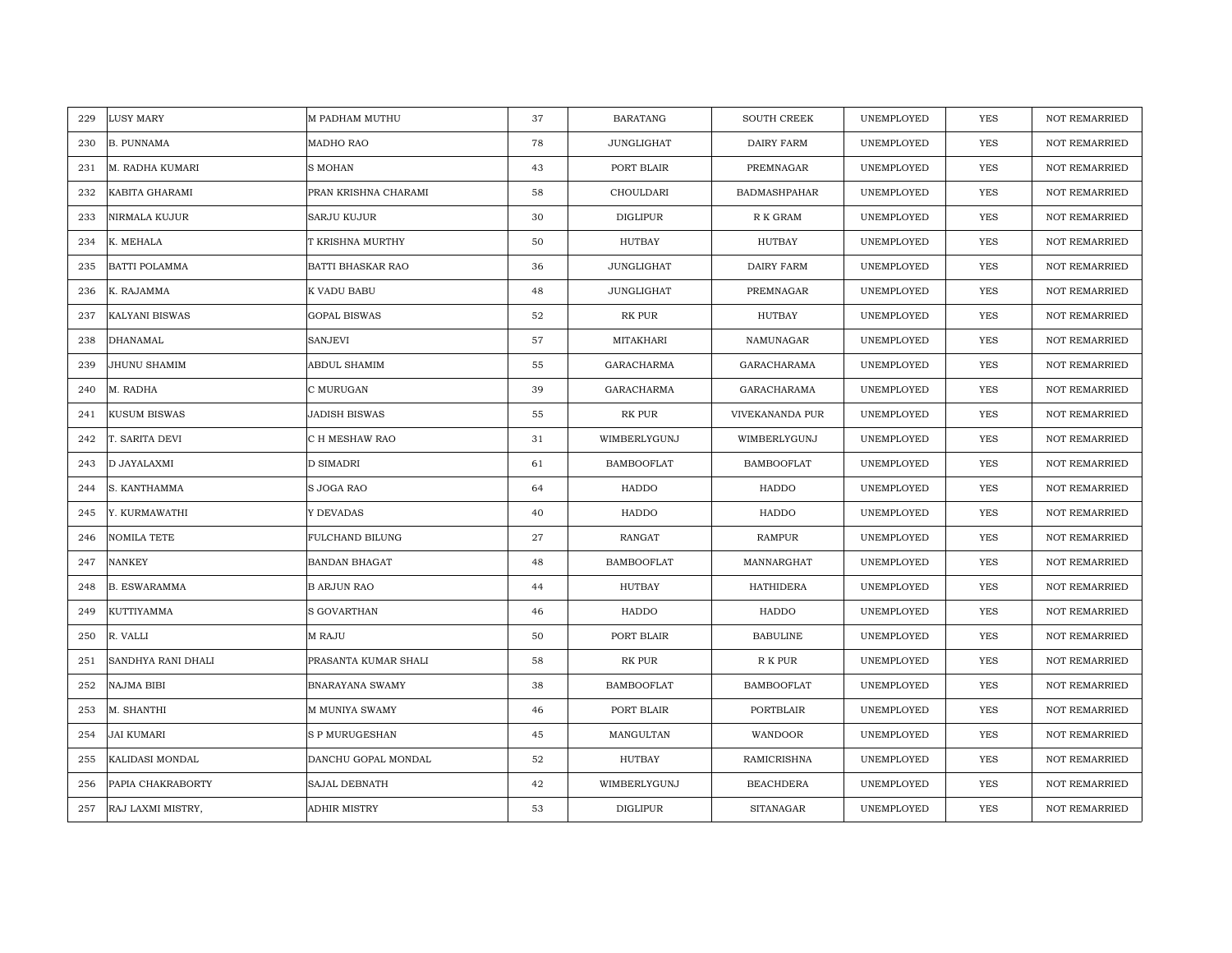| 229<br>LUSY MARY            | M PADHAM MUTHU         | 37 | <b>BARATANG</b>   | <b>SOUTH CREEK</b>  | UNEMPLOYED | <b>YES</b> | <b>NOT REMARRIED</b> |
|-----------------------------|------------------------|----|-------------------|---------------------|------------|------------|----------------------|
| 230<br><b>B. PUNNAMA</b>    | MADHO RAO              | 78 | JUNGLIGHAT        | <b>DAIRY FARM</b>   | UNEMPLOYED | <b>YES</b> | <b>NOT REMARRIED</b> |
| M. RADHA KUMARI<br>231      | <b>S MOHAN</b>         | 43 | PORT BLAIR        | PREMNAGAR           | UNEMPLOYED | YES        | <b>NOT REMARRIED</b> |
| 232<br>KABITA GHARAMI       | PRAN KRISHNA CHARAMI   | 58 | CHOULDARI         | <b>BADMASHPAHAR</b> | UNEMPLOYED | <b>YES</b> | <b>NOT REMARRIED</b> |
| NIRMALA KUJUR<br>233        | <b>SARJU KUJUR</b>     | 30 | DIGLIPUR          | R K GRAM            | UNEMPLOYED | YES        | <b>NOT REMARRIED</b> |
| 234<br>K. MEHALA            | T KRISHNA MURTHY       | 50 | HUTBAY            | HUTBAY              | UNEMPLOYED | YES        | NOT REMARRIED        |
| <b>BATTI POLAMMA</b><br>235 | BATTI BHASKAR RAO      | 36 | <b>JUNGLIGHAT</b> | <b>DAIRY FARM</b>   | UNEMPLOYED | <b>YES</b> | <b>NOT REMARRIED</b> |
| K. RAJAMMA<br>236           | K VADU BABU            | 48 | JUNGLIGHAT        | PREMNAGAR           | UNEMPLOYED | YES        | <b>NOT REMARRIED</b> |
| KALYANI BISWAS<br>237       | <b>GOPAL BISWAS</b>    | 52 | RK PUR            | HUTBAY              | UNEMPLOYED | YES        | NOT REMARRIED        |
| <b>DHANAMAL</b><br>238      | SANJEVI                | 57 | <b>MITAKHARI</b>  | NAMUNAGAR           | UNEMPLOYED | YES        | NOT REMARRIED        |
| 239<br>JHUNU SHAMIM         | ABDUL SHAMIM           | 55 | GARACHARMA        | GARACHARAMA         | UNEMPLOYED | YES        | <b>NOT REMARRIED</b> |
| M. RADHA<br>240             | C MURUGAN              | 39 | GARACHARMA        | GARACHARAMA         | UNEMPLOYED | YES        | NOT REMARRIED        |
| KUSUM BISWAS<br>241         | JADISH BISWAS          | 55 | RK PUR            | VIVEKANANDA PUR     | UNEMPLOYED | YES        | NOT REMARRIED        |
| T. SARITA DEVI<br>242       | C H MESHAW RAO         | 31 | WIMBERLYGUNJ      | WIMBERLYGUNJ        | UNEMPLOYED | <b>YES</b> | <b>NOT REMARRIED</b> |
| D JAYALAXMI<br>243          | D SIMADRI              | 61 | <b>BAMBOOFLAT</b> | <b>BAMBOOFLAT</b>   | UNEMPLOYED | <b>YES</b> | <b>NOT REMARRIED</b> |
| 244<br>S. KANTHAMMA         | S JOGA RAO             | 64 | HADDO             | HADDO               | UNEMPLOYED | <b>YES</b> | <b>NOT REMARRIED</b> |
| Y. KURMAWATHI<br>245        | Y DEVADAS              | 40 | HADDO             | HADDO               | UNEMPLOYED | YES        | <b>NOT REMARRIED</b> |
| 246<br>NOMILA TETE          | FULCHAND BILUNG        | 27 | RANGAT            | <b>RAMPUR</b>       | UNEMPLOYED | <b>YES</b> | <b>NOT REMARRIED</b> |
| <b>NANKEY</b><br>247        | <b>BANDAN BHAGAT</b>   | 48 | <b>BAMBOOFLAT</b> | MANNARGHAT          | UNEMPLOYED | <b>YES</b> | <b>NOT REMARRIED</b> |
| <b>B. ESWARAMMA</b><br>248  | <b>B ARJUN RAO</b>     | 44 | HUTBAY            | <b>HATHIDERA</b>    | UNEMPLOYED | YES        | <b>NOT REMARRIED</b> |
| KUTTIYAMMA<br>249           | S GOVARTHAN            | 46 | HADDO             | HADDO               | UNEMPLOYED | <b>YES</b> | <b>NOT REMARRIED</b> |
| 250<br>R. VALLI             | M RAJU                 | 50 | PORT BLAIR        | <b>BABULINE</b>     | UNEMPLOYED | YES        | NOT REMARRIED        |
| SANDHYA RANI DHALI<br>251   | PRASANTA KUMAR SHALI   | 58 | RK PUR            | R K PUR             | UNEMPLOYED | <b>YES</b> | <b>NOT REMARRIED</b> |
| 252<br>NAJMA BIBI           | <b>BNARAYANA SWAMY</b> | 38 | <b>BAMBOOFLAT</b> | <b>BAMBOOFLAT</b>   | UNEMPLOYED | <b>YES</b> | <b>NOT REMARRIED</b> |
| M. SHANTHI<br>253           | M MUNIYA SWAMY         | 46 | PORT BLAIR        | PORTBLAIR           | UNEMPLOYED | <b>YES</b> | <b>NOT REMARRIED</b> |
| 254<br>JAI KUMARI           | S P MURUGESHAN         | 45 | MANGULTAN         | WANDOOR             | UNEMPLOYED | YES        | NOT REMARRIED        |
| 255<br>KALIDASI MONDAL      | DANCHU GOPAL MONDAL    | 52 | HUTBAY            | <b>RAMICRISHNA</b>  | UNEMPLOYED | <b>YES</b> | <b>NOT REMARRIED</b> |
| PAPIA CHAKRABORTY<br>256    | <b>SAJAL DEBNATH</b>   | 42 | WIMBERLYGUNJ      | <b>BEACHDERA</b>    | UNEMPLOYED | YES        | <b>NOT REMARRIED</b> |
| RAJ LAXMI MISTRY,<br>257    | ADHIR MISTRY           | 53 | <b>DIGLIPUR</b>   | <b>SITANAGAR</b>    | UNEMPLOYED | YES        | NOT REMARRIED        |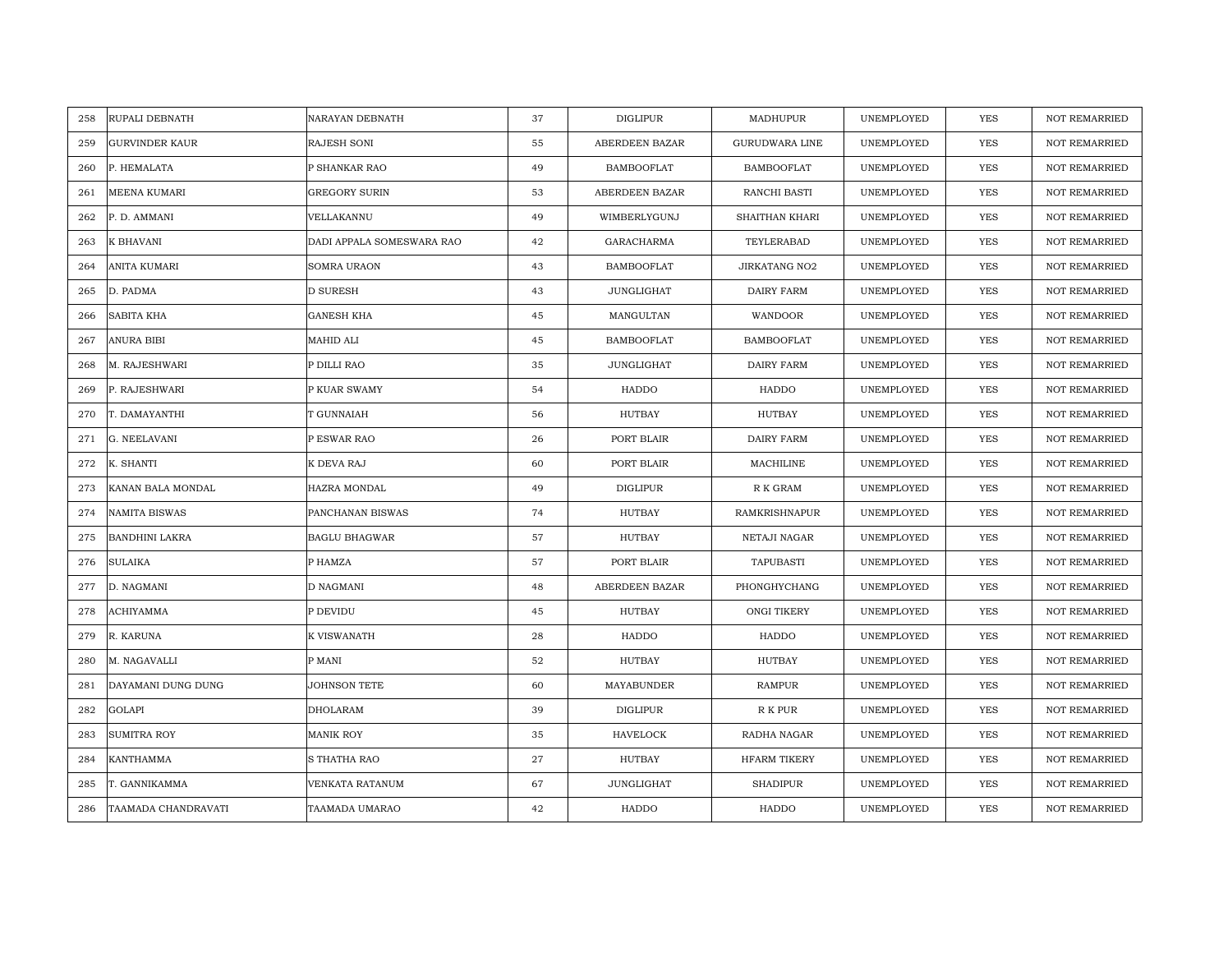| RUPALI DEBNATH<br>258        | NARAYAN DEBNATH           | 37 | <b>DIGLIPUR</b>   | MADHUPUR              | UNEMPLOYED | <b>YES</b> | <b>NOT REMARRIED</b> |
|------------------------------|---------------------------|----|-------------------|-----------------------|------------|------------|----------------------|
| <b>GURVINDER KAUR</b><br>259 | <b>RAJESH SONI</b>        | 55 | ABERDEEN BAZAR    | <b>GURUDWARA LINE</b> | UNEMPLOYED | <b>YES</b> | <b>NOT REMARRIED</b> |
| 260<br>P. HEMALATA           | P SHANKAR RAO             | 49 | <b>BAMBOOFLAT</b> | <b>BAMBOOFLAT</b>     | UNEMPLOYED | YES        | NOT REMARRIED        |
| MEENA KUMARI<br>261          | <b>GREGORY SURIN</b>      | 53 | ABERDEEN BAZAR    | RANCHI BASTI          | UNEMPLOYED | <b>YES</b> | <b>NOT REMARRIED</b> |
| P. D. AMMANI<br>262          | VELLAKANNU                | 49 | WIMBERLYGUNJ      | SHAITHAN KHARI        | UNEMPLOYED | YES        | <b>NOT REMARRIED</b> |
| 263<br>K BHAVANI             | DADI APPALA SOMESWARA RAO | 42 | GARACHARMA        | TEYLERABAD            | UNEMPLOYED | <b>YES</b> | NOT REMARRIED        |
| ANITA KUMARI<br>264          | <b>SOMRA URAON</b>        | 43 | <b>BAMBOOFLAT</b> | <b>JIRKATANG NO2</b>  | UNEMPLOYED | <b>YES</b> | <b>NOT REMARRIED</b> |
| 265<br>D. PADMA              | <b>D SURESH</b>           | 43 | JUNGLIGHAT        | DAIRY FARM            | UNEMPLOYED | <b>YES</b> | <b>NOT REMARRIED</b> |
| SABITA KHA<br>266            | <b>GANESH KHA</b>         | 45 | MANGULTAN         | WANDOOR               | UNEMPLOYED | <b>YES</b> | <b>NOT REMARRIED</b> |
| ANURA BIBI<br>267            | MAHID ALI                 | 45 | <b>BAMBOOFLAT</b> | <b>BAMBOOFLAT</b>     | UNEMPLOYED | YES        | <b>NOT REMARRIED</b> |
| 268<br>M. RAJESHWARI         | P DILLI RAO               | 35 | JUNGLIGHAT        | DAIRY FARM            | UNEMPLOYED | <b>YES</b> | <b>NOT REMARRIED</b> |
| P. RAJESHWARI<br>269         | P KUAR SWAMY              | 54 | HADDO             | HADDO                 | UNEMPLOYED | <b>YES</b> | <b>NOT REMARRIED</b> |
| 270<br>T. DAMAYANTHI         | T GUNNAIAH                | 56 | HUTBAY            | HUTBAY                | UNEMPLOYED | YES        | <b>NOT REMARRIED</b> |
| G. NEELAVANI<br>271          | P ESWAR RAO               | 26 | PORT BLAIR        | DAIRY FARM            | UNEMPLOYED | <b>YES</b> | NOT REMARRIED        |
| 272<br>K. SHANTI             | K DEVA RAJ                | 60 | PORT BLAIR        | MACHILINE             | UNEMPLOYED | YES        | <b>NOT REMARRIED</b> |
| 273<br>KANAN BALA MONDAL     | HAZRA MONDAL              | 49 | <b>DIGLIPUR</b>   | R K GRAM              | UNEMPLOYED | <b>YES</b> | <b>NOT REMARRIED</b> |
| NAMITA BISWAS<br>274         | PANCHANAN BISWAS          | 74 | HUTBAY            | <b>RAMKRISHNAPUR</b>  | UNEMPLOYED | YES        | <b>NOT REMARRIED</b> |
| 275<br><b>BANDHINI LAKRA</b> | <b>BAGLU BHAGWAR</b>      | 57 | HUTBAY            | <b>NETAJI NAGAR</b>   | UNEMPLOYED | <b>YES</b> | <b>NOT REMARRIED</b> |
| <b>SULAIKA</b><br>276        | P HAMZA                   | 57 | PORT BLAIR        | TAPUBASTI             | UNEMPLOYED | <b>YES</b> | <b>NOT REMARRIED</b> |
| 277<br>D. NAGMANI            | <b>D NAGMANI</b>          | 48 | ABERDEEN BAZAR    | PHONGHYCHANG          | UNEMPLOYED | <b>YES</b> | <b>NOT REMARRIED</b> |
| <b>ACHIYAMMA</b><br>278      | P DEVIDU                  | 45 | <b>HUTBAY</b>     | ONGI TIKERY           | UNEMPLOYED | <b>YES</b> | <b>NOT REMARRIED</b> |
| R. KARUNA<br>279             | K VISWANATH               | 28 | HADDO             | HADDO                 | UNEMPLOYED | <b>YES</b> | <b>NOT REMARRIED</b> |
| 280<br>M. NAGAVALLI          | P MANI                    | 52 | HUTBAY            | HUTBAY                | UNEMPLOYED | <b>YES</b> | <b>NOT REMARRIED</b> |
| DAYAMANI DUNG DUNG<br>281    | JOHNSON TETE              | 60 | MAYABUNDER        | <b>RAMPUR</b>         | UNEMPLOYED | YES        | <b>NOT REMARRIED</b> |
| <b>GOLAPI</b><br>282         | <b>DHOLARAM</b>           | 39 | <b>DIGLIPUR</b>   | R K PUR               | UNEMPLOYED | YES        | <b>NOT REMARRIED</b> |
| 283<br><b>SUMITRA ROY</b>    | <b>MANIK ROY</b>          | 35 | <b>HAVELOCK</b>   | RADHA NAGAR           | UNEMPLOYED | YES        | <b>NOT REMARRIED</b> |
| 284<br>KANTHAMMA             | S THATHA RAO              | 27 | HUTBAY            | <b>HFARM TIKERY</b>   | UNEMPLOYED | <b>YES</b> | NOT REMARRIED        |
| T. GANNIKAMMA<br>285         | VENKATA RATANUM           | 67 | JUNGLIGHAT        | <b>SHADIPUR</b>       | UNEMPLOYED | <b>YES</b> | <b>NOT REMARRIED</b> |
| 286<br>TAAMADA CHANDRAVATI   | TAAMADA UMARAO            | 42 | HADDO             | HADDO                 | UNEMPLOYED | <b>YES</b> | NOT REMARRIED        |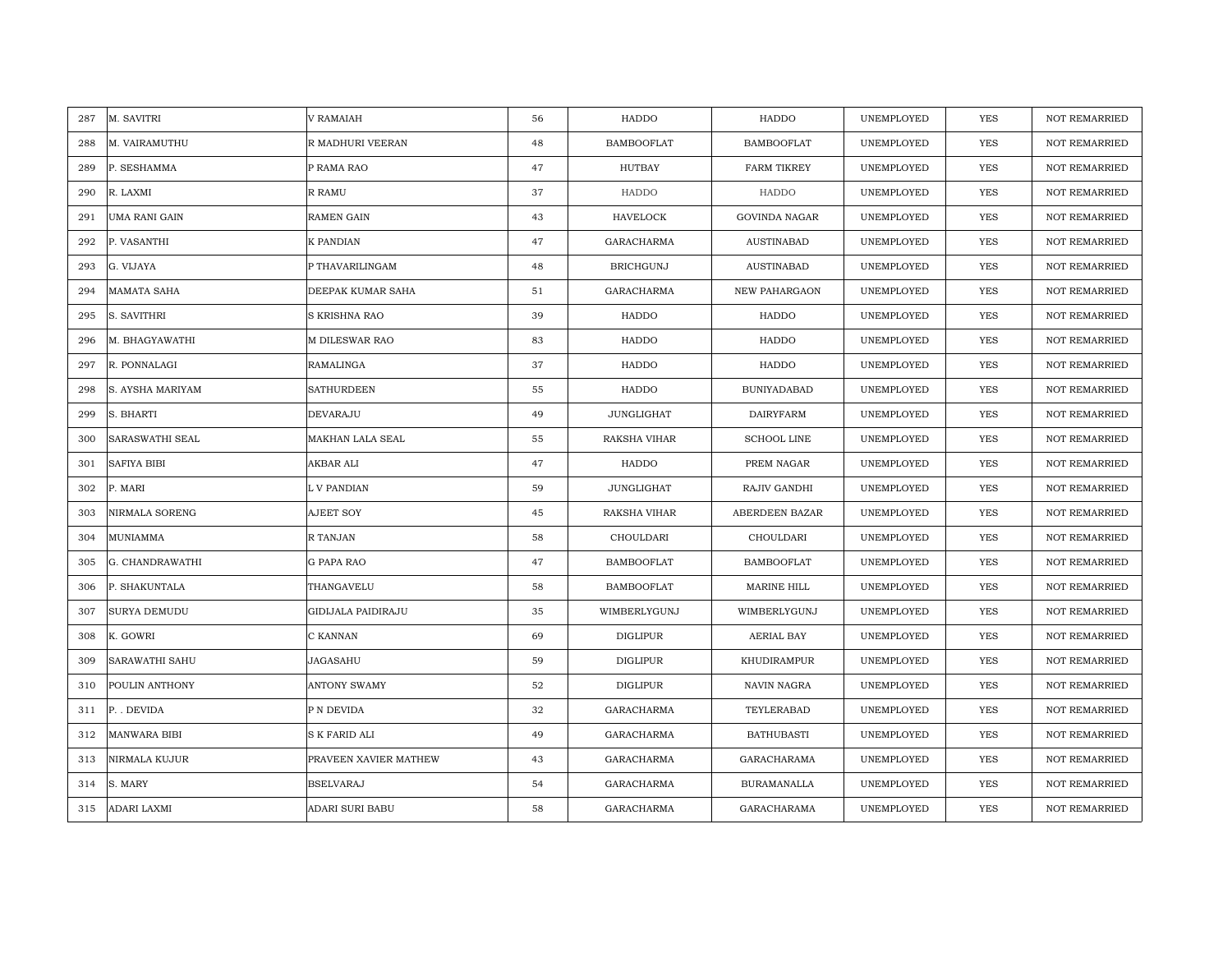| M. SAVITRI<br>287             | <b>V RAMAIAH</b>          | 56 | HADDO             | HADDO                | UNEMPLOYED | <b>YES</b> | <b>NOT REMARRIED</b> |
|-------------------------------|---------------------------|----|-------------------|----------------------|------------|------------|----------------------|
| M. VAIRAMUTHU<br>288          | R MADHURI VEERAN          | 48 | <b>BAMBOOFLAT</b> | <b>BAMBOOFLAT</b>    | UNEMPLOYED | <b>YES</b> | NOT REMARRIED        |
| 289<br>P. SESHAMMA            | P RAMA RAO                | 47 | HUTBAY            | <b>FARM TIKREY</b>   | UNEMPLOYED | <b>YES</b> | <b>NOT REMARRIED</b> |
| R. LAXMI<br>290               | <b>R RAMU</b>             | 37 | HADDO             | HADDO                | UNEMPLOYED | <b>YES</b> | <b>NOT REMARRIED</b> |
| UMA RANI GAIN<br>291          | <b>RAMEN GAIN</b>         | 43 | <b>HAVELOCK</b>   | <b>GOVINDA NAGAR</b> | UNEMPLOYED | <b>YES</b> | <b>NOT REMARRIED</b> |
| 292<br>P. VASANTHI            | K PANDIAN                 | 47 | <b>GARACHARMA</b> | <b>AUSTINABAD</b>    | UNEMPLOYED | <b>YES</b> | <b>NOT REMARRIED</b> |
| G. VIJAYA<br>293              | P THAVARILINGAM           | 48 | <b>BRICHGUNJ</b>  | <b>AUSTINABAD</b>    | UNEMPLOYED | <b>YES</b> | <b>NOT REMARRIED</b> |
| <b>MAMATA SAHA</b><br>294     | DEEPAK KUMAR SAHA         | 51 | GARACHARMA        | NEW PAHARGAON        | UNEMPLOYED | YES        | NOT REMARRIED        |
| S. SAVITHRI<br>295            | S KRISHNA RAO             | 39 | HADDO             | HADDO                | UNEMPLOYED | YES        | <b>NOT REMARRIED</b> |
| M. BHAGYAWATHI<br>296         | M DILESWAR RAO            | 83 | HADDO             | HADDO                | UNEMPLOYED | YES        | <b>NOT REMARRIED</b> |
| R. PONNALAGI<br>297           | RAMALINGA                 | 37 | HADDO             | HADDO                | UNEMPLOYED | <b>YES</b> | <b>NOT REMARRIED</b> |
| 298<br>S. AYSHA MARIYAM       | <b>SATHURDEEN</b>         | 55 | HADDO             | <b>BUNIYADABAD</b>   | UNEMPLOYED | YES        | <b>NOT REMARRIED</b> |
| 299<br>S. BHARTI              | DEVARAJU                  | 49 | JUNGLIGHAT        | <b>DAIRYFARM</b>     | UNEMPLOYED | <b>YES</b> | <b>NOT REMARRIED</b> |
| <b>SARASWATHI SEAL</b><br>300 | MAKHAN LALA SEAL          | 55 | RAKSHA VIHAR      | <b>SCHOOL LINE</b>   | UNEMPLOYED | <b>YES</b> | <b>NOT REMARRIED</b> |
| 301<br><b>SAFIYA BIBI</b>     | AKBAR ALI                 | 47 | HADDO             | PREM NAGAR           | UNEMPLOYED | YES        | NOT REMARRIED        |
| 302<br>P. MARI                | L V PANDIAN               | 59 | <b>JUNGLIGHAT</b> | RAJIV GANDHI         | UNEMPLOYED | <b>YES</b> | <b>NOT REMARRIED</b> |
| NIRMALA SORENG<br>303         | <b>AJEET SOY</b>          | 45 | RAKSHA VIHAR      | ABERDEEN BAZAR       | UNEMPLOYED | <b>YES</b> | <b>NOT REMARRIED</b> |
| MUNIAMMA<br>304               | R TANJAN                  | 58 | CHOULDARI         | CHOULDARI            | UNEMPLOYED | <b>YES</b> | <b>NOT REMARRIED</b> |
| G. CHANDRAWATHI<br>305        | G PAPA RAO                | 47 | <b>BAMBOOFLAT</b> | <b>BAMBOOFLAT</b>    | UNEMPLOYED | <b>YES</b> | NOT REMARRIED        |
| 306<br>P. SHAKUNTALA          | THANGAVELU                | 58 | <b>BAMBOOFLAT</b> | MARINE HILL          | UNEMPLOYED | <b>YES</b> | <b>NOT REMARRIED</b> |
| SURYA DEMUDU<br>307           | <b>GIDIJALA PAIDIRAJU</b> | 35 | WIMBERLYGUNJ      | WIMBERLYGUNJ         | UNEMPLOYED | YES        | <b>NOT REMARRIED</b> |
| K. GOWRI<br>308               | C KANNAN                  | 69 | <b>DIGLIPUR</b>   | AERIAL BAY           | UNEMPLOYED | YES        | <b>NOT REMARRIED</b> |
| SARAWATHI SAHU<br>309         | JAGASAHU                  | 59 | <b>DIGLIPUR</b>   | KHUDIRAMPUR          | UNEMPLOYED | YES        | <b>NOT REMARRIED</b> |
| 310<br>POULIN ANTHONY         | <b>ANTONY SWAMY</b>       | 52 | <b>DIGLIPUR</b>   | NAVIN NAGRA          | UNEMPLOYED | YES        | <b>NOT REMARRIED</b> |
| 311<br>P. DEVIDA              | P N DEVIDA                | 32 | GARACHARMA        | TEYLERABAD           | UNEMPLOYED | YES        | <b>NOT REMARRIED</b> |
| MANWARA BIBI<br>312           | S K FARID ALI             | 49 | GARACHARMA        | <b>BATHUBASTI</b>    | UNEMPLOYED | <b>YES</b> | <b>NOT REMARRIED</b> |
| NIRMALA KUJUR<br>313          | PRAVEEN XAVIER MATHEW     | 43 | <b>GARACHARMA</b> | <b>GARACHARAMA</b>   | UNEMPLOYED | YES        | <b>NOT REMARRIED</b> |
| S. MARY<br>314                | <b>BSELVARAJ</b>          | 54 | GARACHARMA        | <b>BURAMANALLA</b>   | UNEMPLOYED | <b>YES</b> | <b>NOT REMARRIED</b> |
| ADARI LAXMI<br>315            | ADARI SURI BABU           | 58 | <b>GARACHARMA</b> | <b>GARACHARAMA</b>   | UNEMPLOYED | <b>YES</b> | <b>NOT REMARRIED</b> |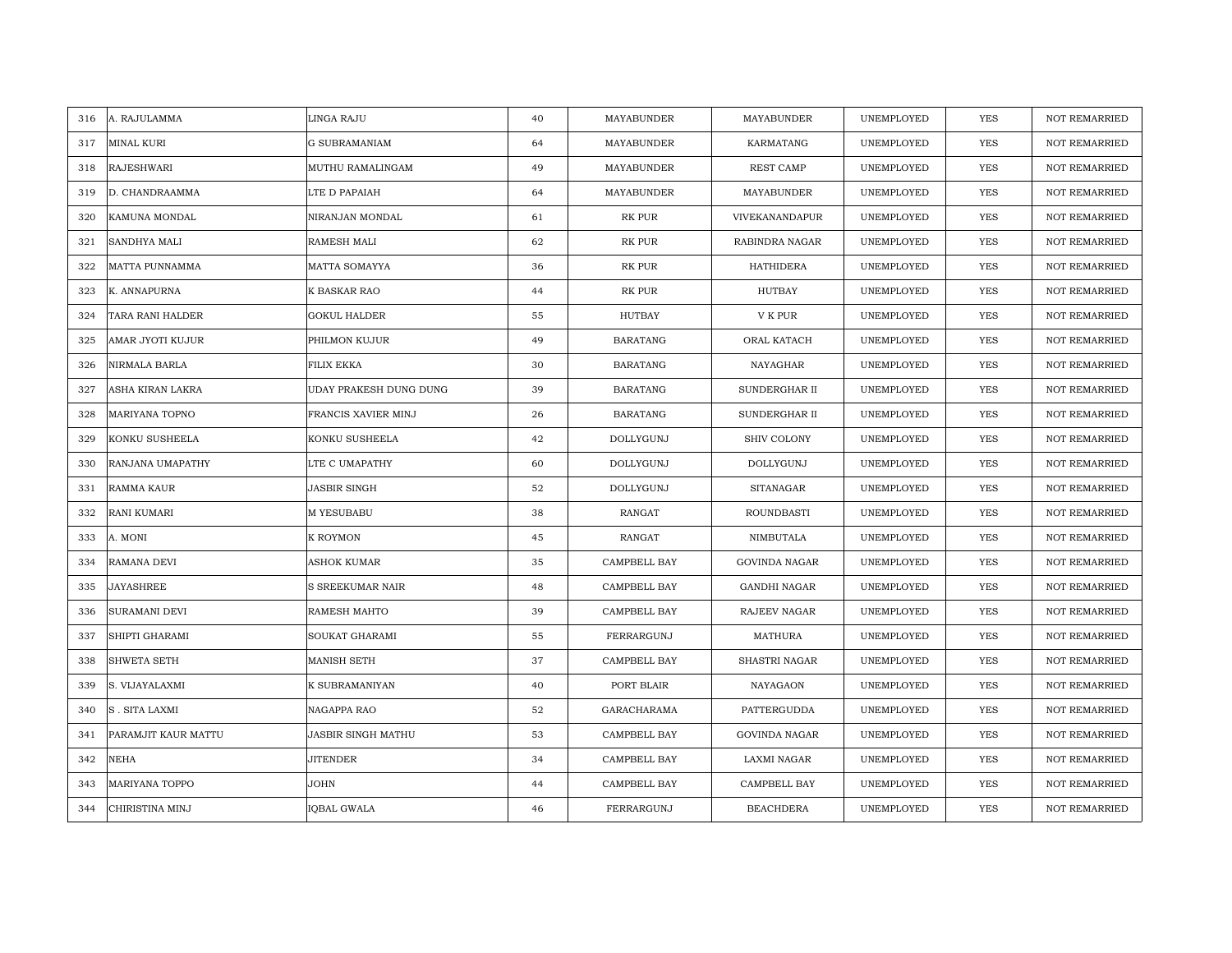| 316<br>A. RAJULAMMA         | LINGA RAJU             | 40 | MAYABUNDER          | MAYABUNDER           | UNEMPLOYED | YES        | <b>NOT REMARRIED</b> |
|-----------------------------|------------------------|----|---------------------|----------------------|------------|------------|----------------------|
| MINAL KURI<br>317           | <b>G SUBRAMANIAM</b>   | 64 | MAYABUNDER          | KARMATANG            | UNEMPLOYED | <b>YES</b> | NOT REMARRIED        |
| <b>RAJESHWARI</b><br>318    | MUTHU RAMALINGAM       | 49 | <b>MAYABUNDER</b>   | <b>REST CAMP</b>     | UNEMPLOYED | <b>YES</b> | <b>NOT REMARRIED</b> |
| 319<br>D. CHANDRAAMMA       | LTE D PAPAIAH          | 64 | MAYABUNDER          | MAYABUNDER           | UNEMPLOYED | YES        | <b>NOT REMARRIED</b> |
| KAMUNA MONDAL<br>320        | NIRANJAN MONDAL        | 61 | RK PUR              | VIVEKANANDAPUR       | UNEMPLOYED | YES        | <b>NOT REMARRIED</b> |
| 321<br>SANDHYA MALI         | RAMESH MALI            | 62 | RK PUR              | RABINDRA NAGAR       | UNEMPLOYED | YES        | <b>NOT REMARRIED</b> |
| MATTA PUNNAMMA<br>322       | MATTA SOMAYYA          | 36 | <b>RK PUR</b>       | <b>HATHIDERA</b>     | UNEMPLOYED | <b>YES</b> | <b>NOT REMARRIED</b> |
| 323<br>K. ANNAPURNA         | K BASKAR RAO           | 44 | RK PUR              | HUTBAY               | UNEMPLOYED | YES        | <b>NOT REMARRIED</b> |
| TARA RANI HALDER<br>324     | GOKUL HALDER           | 55 | HUTBAY              | V K PUR              | UNEMPLOYED | YES        | <b>NOT REMARRIED</b> |
| 325<br>AMAR JYOTI KUJUR     | PHILMON KUJUR          | 49 | <b>BARATANG</b>     | ORAL KATACH          | UNEMPLOYED | YES        | NOT REMARRIED        |
| 326<br>NIRMALA BARLA        | FILIX EKKA             | 30 | <b>BARATANG</b>     | NAYAGHAR             | UNEMPLOYED | YES        | <b>NOT REMARRIED</b> |
| 327<br>ASHA KIRAN LAKRA     | UDAY PRAKESH DUNG DUNG | 39 | <b>BARATANG</b>     | SUNDERGHAR II        | UNEMPLOYED | YES        | <b>NOT REMARRIED</b> |
| 328<br>MARIYANA TOPNO       | FRANCIS XAVIER MINJ    | 26 | <b>BARATANG</b>     | SUNDERGHAR II        | UNEMPLOYED | YES        | <b>NOT REMARRIED</b> |
| KONKU SUSHEELA<br>329       | KONKU SUSHEELA         | 42 | DOLLYGUNJ           | <b>SHIV COLONY</b>   | UNEMPLOYED | <b>YES</b> | <b>NOT REMARRIED</b> |
| RANJANA UMAPATHY<br>330     | LTE C UMAPATHY         | 60 | DOLLYGUNJ           | DOLLYGUNJ            | UNEMPLOYED | YES        | <b>NOT REMARRIED</b> |
| 331<br>RAMMA KAUR           | JASBIR SINGH           | 52 | DOLLYGUNJ           | <b>SITANAGAR</b>     | UNEMPLOYED | <b>YES</b> | <b>NOT REMARRIED</b> |
| 332<br>RANI KUMARI          | M YESUBABU             | 38 | RANGAT              | <b>ROUNDBASTI</b>    | UNEMPLOYED | <b>YES</b> | <b>NOT REMARRIED</b> |
| 333<br>A. MONI              | K ROYMON               | 45 | RANGAT              | NIMBUTALA            | UNEMPLOYED | <b>YES</b> | <b>NOT REMARRIED</b> |
| RAMANA DEVI<br>334          | <b>ASHOK KUMAR</b>     | 35 | <b>CAMPBELL BAY</b> | <b>GOVINDA NAGAR</b> | UNEMPLOYED | <b>YES</b> | <b>NOT REMARRIED</b> |
| 335<br>JAYASHREE            | S SREEKUMAR NAIR       | 48 | CAMPBELL BAY        | <b>GANDHI NAGAR</b>  | UNEMPLOYED | YES        | <b>NOT REMARRIED</b> |
| <b>SURAMANI DEVI</b><br>336 | RAMESH MAHTO           | 39 | CAMPBELL BAY        | RAJEEV NAGAR         | UNEMPLOYED | YES        | <b>NOT REMARRIED</b> |
| SHIPTI GHARAMI<br>337       | SOUKAT GHARAMI         | 55 | FERRARGUNJ          | MATHURA              | UNEMPLOYED | YES        | <b>NOT REMARRIED</b> |
| SHWETA SETH<br>338          | MANISH SETH            | 37 | CAMPBELL BAY        | SHASTRI NAGAR        | UNEMPLOYED | YES        | <b>NOT REMARRIED</b> |
| 339<br>S. VIJAYALAXMI       | K SUBRAMANIYAN         | 40 | PORT BLAIR          | NAYAGAON             | UNEMPLOYED | YES        | <b>NOT REMARRIED</b> |
| 340<br><b>S. SITA LAXMI</b> | NAGAPPA RAO            | 52 | <b>GARACHARAMA</b>  | PATTERGUDDA          | UNEMPLOYED | <b>YES</b> | <b>NOT REMARRIED</b> |
| 341<br>PARAMJIT KAUR MATTU  | JASBIR SINGH MATHU     | 53 | CAMPBELL BAY        | <b>GOVINDA NAGAR</b> | UNEMPLOYED | YES        | NOT REMARRIED        |
| NEHA<br>342                 | JITENDER               | 34 | CAMPBELL BAY        | LAXMI NAGAR          | UNEMPLOYED | YES        | <b>NOT REMARRIED</b> |
| MARIYANA TOPPO<br>343       | JOHN                   | 44 | CAMPBELL BAY        | CAMPBELL BAY         | UNEMPLOYED | YES        | <b>NOT REMARRIED</b> |
| CHIRISTINA MINJ<br>344      | IQBAL GWALA            | 46 | FERRARGUNJ          | <b>BEACHDERA</b>     | UNEMPLOYED | YES        | NOT REMARRIED        |
|                             |                        |    |                     |                      |            |            |                      |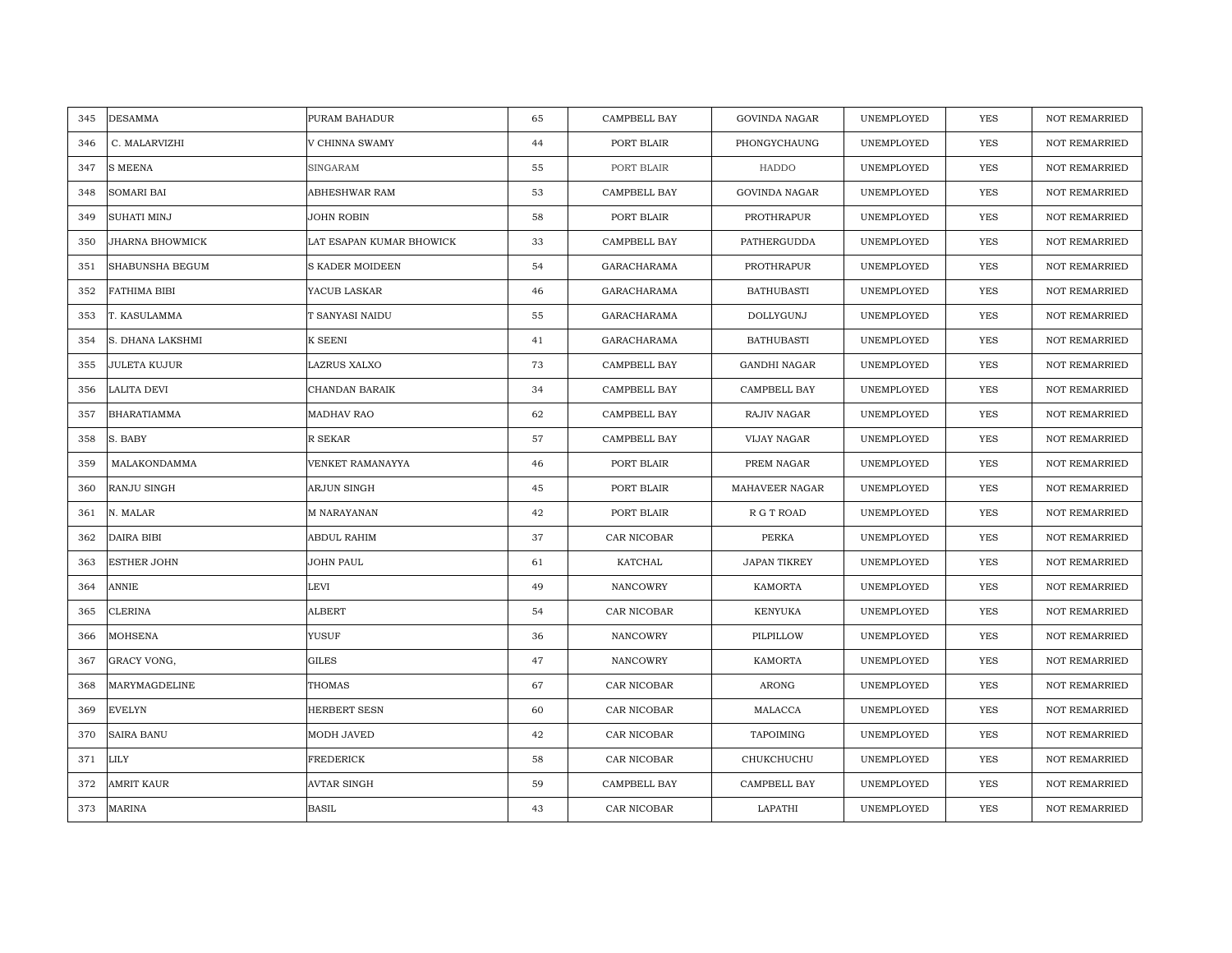| <b>DESAMMA</b><br>345   | PURAM BAHADUR            | 65 | CAMPBELL BAY | <b>GOVINDA NAGAR</b> | UNEMPLOYED | <b>YES</b> | <b>NOT REMARRIED</b> |
|-------------------------|--------------------------|----|--------------|----------------------|------------|------------|----------------------|
| C. MALARVIZHI<br>346    | V CHINNA SWAMY           | 44 | PORT BLAIR   | PHONGYCHAUNG         | UNEMPLOYED | <b>YES</b> | <b>NOT REMARRIED</b> |
| <b>S MEENA</b><br>347   | <b>SINGARAM</b>          | 55 | PORT BLAIR   | HADDO                | UNEMPLOYED | <b>YES</b> | <b>NOT REMARRIED</b> |
| SOMARI BAI<br>348       | ABHESHWAR RAM            | 53 | CAMPBELL BAY | <b>GOVINDA NAGAR</b> | UNEMPLOYED | YES        | <b>NOT REMARRIED</b> |
| 349<br>SUHATI MINJ      | JOHN ROBIN               | 58 | PORT BLAIR   | PROTHRAPUR           | UNEMPLOYED | YES        | NOT REMARRIED        |
| 350<br>JHARNA BHOWMICK  | LAT ESAPAN KUMAR BHOWICK | 33 | CAMPBELL BAY | PATHERGUDDA          | UNEMPLOYED | YES        | NOT REMARRIED        |
| SHABUNSHA BEGUM<br>351  | S KADER MOIDEEN          | 54 | GARACHARAMA  | PROTHRAPUR           | UNEMPLOYED | YES        | NOT REMARRIED        |
| 352<br>FATHIMA BIBI     | YACUB LASKAR             | 46 | GARACHARAMA  | <b>BATHUBASTI</b>    | UNEMPLOYED | YES        | NOT REMARRIED        |
| T. KASULAMMA<br>353     | T SANYASI NAIDU          | 55 | GARACHARAMA  | DOLLYGUNJ            | UNEMPLOYED | <b>YES</b> | NOT REMARRIED        |
| S. DHANA LAKSHMI<br>354 | K SEENI                  | 41 | GARACHARAMA  | <b>BATHUBASTI</b>    | UNEMPLOYED | YES        | <b>NOT REMARRIED</b> |
| JULETA KUJUR<br>355     | LAZRUS XALXO             | 73 | CAMPBELL BAY | <b>GANDHI NAGAR</b>  | UNEMPLOYED | <b>YES</b> | <b>NOT REMARRIED</b> |
| LALITA DEVI<br>356      | CHANDAN BARAIK           | 34 | CAMPBELL BAY | CAMPBELL BAY         | UNEMPLOYED | YES        | NOT REMARRIED        |
| 357<br>BHARATIAMMA      | MADHAV RAO               | 62 | CAMPBELL BAY | RAJIV NAGAR          | UNEMPLOYED | YES        | <b>NOT REMARRIED</b> |
| S. BABY<br>358          | R SEKAR                  | 57 | CAMPBELL BAY | VIJAY NAGAR          | UNEMPLOYED | <b>YES</b> | <b>NOT REMARRIED</b> |
| MALAKONDAMMA<br>359     | VENKET RAMANAYYA         | 46 | PORT BLAIR   | PREM NAGAR           | UNEMPLOYED | YES        | <b>NOT REMARRIED</b> |
| 360<br>RANJU SINGH      | ARJUN SINGH              | 45 | PORT BLAIR   | MAHAVEER NAGAR       | UNEMPLOYED | <b>YES</b> | <b>NOT REMARRIED</b> |
| N. MALAR<br>361         | M NARAYANAN              | 42 | PORT BLAIR   | R G T ROAD           | UNEMPLOYED | <b>YES</b> | <b>NOT REMARRIED</b> |
| DAIRA BIBI<br>362       | ABDUL RAHIM              | 37 | CAR NICOBAR  | PERKA                | UNEMPLOYED | <b>YES</b> | <b>NOT REMARRIED</b> |
| ESTHER JOHN<br>363      | JOHN PAUL                | 61 | KATCHAL      | <b>JAPAN TIKREY</b>  | UNEMPLOYED | <b>YES</b> | <b>NOT REMARRIED</b> |
| ANNIE<br>364            | LEVI                     | 49 | NANCOWRY     | KAMORTA              | UNEMPLOYED | YES        | <b>NOT REMARRIED</b> |
| <b>CLERINA</b><br>365   | <b>ALBERT</b>            | 54 | CAR NICOBAR  | KENYUKA              | UNEMPLOYED | YES        | NOT REMARRIED        |
| 366<br>MOHSENA          | YUSUF                    | 36 | NANCOWRY     | PILPILLOW            | UNEMPLOYED | YES        | NOT REMARRIED        |
| GRACY VONG,<br>367      | <b>GILES</b>             | 47 | NANCOWRY     | KAMORTA              | UNEMPLOYED | <b>YES</b> | <b>NOT REMARRIED</b> |
| MARYMAGDELINE<br>368    | <b>THOMAS</b>            | 67 | CAR NICOBAR  | ARONG                | UNEMPLOYED | YES        | <b>NOT REMARRIED</b> |
| 369<br>EVELYN           | HERBERT SESN             | 60 | CAR NICOBAR  | MALACCA              | UNEMPLOYED | YES        | <b>NOT REMARRIED</b> |
| SAIRA BANU<br>370       | MODH JAVED               | 42 | CAR NICOBAR  | <b>TAPOIMING</b>     | UNEMPLOYED | YES        | NOT REMARRIED        |
| LILY<br>371             | FREDERICK                | 58 | CAR NICOBAR  | CHUKCHUCHU           | UNEMPLOYED | <b>YES</b> | <b>NOT REMARRIED</b> |
| AMRIT KAUR<br>372       | <b>AVTAR SINGH</b>       | 59 | CAMPBELL BAY | CAMPBELL BAY         | UNEMPLOYED | <b>YES</b> | <b>NOT REMARRIED</b> |
| MARINA<br>373           | <b>BASIL</b>             | 43 | CAR NICOBAR  | LAPATHI              | UNEMPLOYED | <b>YES</b> | <b>NOT REMARRIED</b> |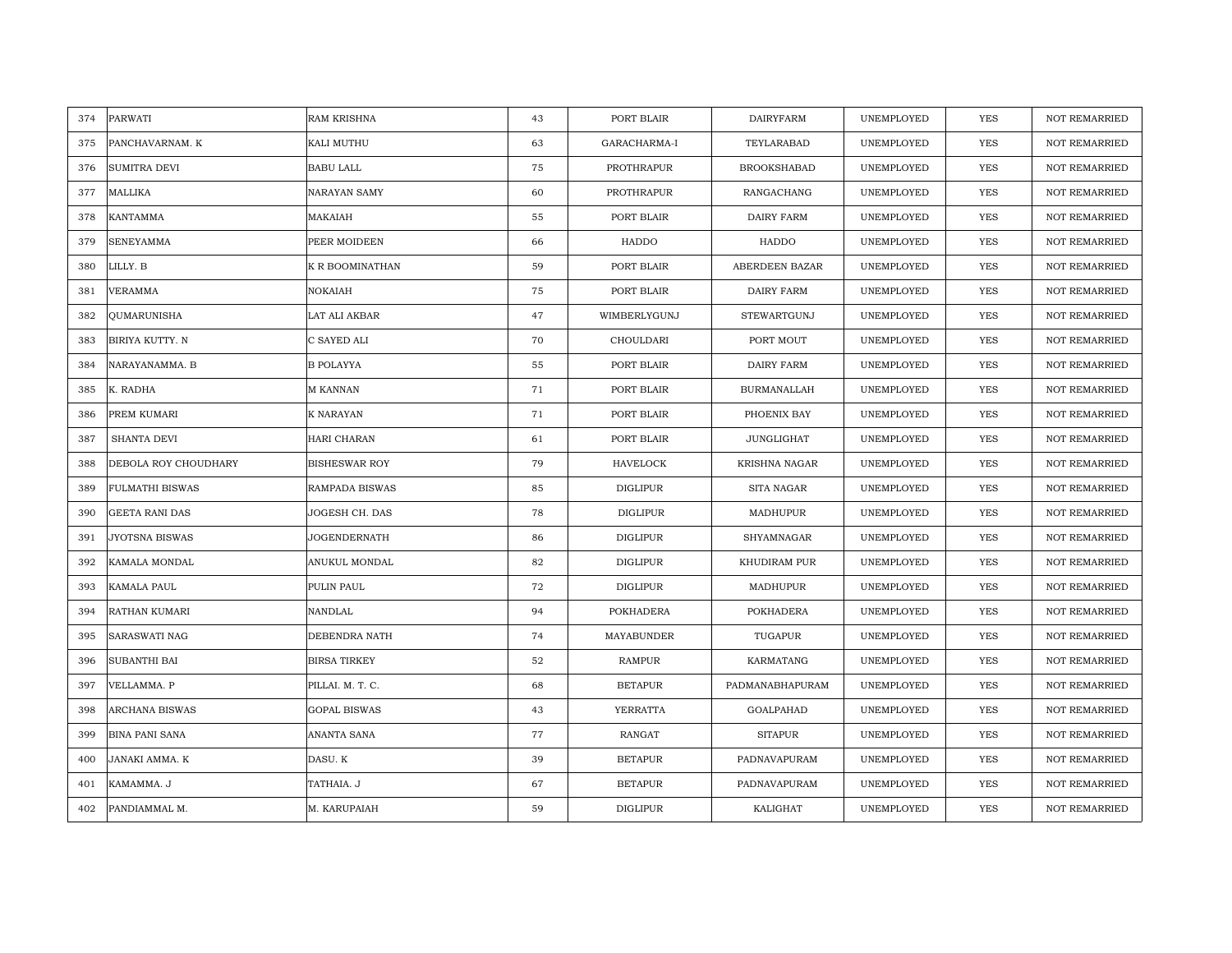| PARWATI<br>374               | <b>RAM KRISHNA</b>   | 43 | PORT BLAIR      | <b>DAIRYFARM</b>      | UNEMPLOYED | <b>YES</b> | <b>NOT REMARRIED</b> |
|------------------------------|----------------------|----|-----------------|-----------------------|------------|------------|----------------------|
| PANCHAVARNAM. K<br>375       | KALI MUTHU           | 63 | GARACHARMA-I    | TEYLARABAD            | UNEMPLOYED | <b>YES</b> | NOT REMARRIED        |
| SUMITRA DEVI<br>376          | <b>BABU LALL</b>     | 75 | PROTHRAPUR      | <b>BROOKSHABAD</b>    | UNEMPLOYED | <b>YES</b> | <b>NOT REMARRIED</b> |
| 377<br>MALLIKA               | NARAYAN SAMY         | 60 | PROTHRAPUR      | RANGACHANG            | UNEMPLOYED | <b>YES</b> | <b>NOT REMARRIED</b> |
| KANTAMMA<br>378              | MAKAIAH              | 55 | PORT BLAIR      | <b>DAIRY FARM</b>     | UNEMPLOYED | <b>YES</b> | <b>NOT REMARRIED</b> |
| 379<br>SENEYAMMA             | PEER MOIDEEN         | 66 | HADDO           | HADDO                 | UNEMPLOYED | YES        | <b>NOT REMARRIED</b> |
| LILLY. B<br>380              | K R BOOMINATHAN      | 59 | PORT BLAIR      | <b>ABERDEEN BAZAR</b> | UNEMPLOYED | <b>YES</b> | <b>NOT REMARRIED</b> |
| VERAMMA<br>381               | NOKAIAH              | 75 | PORT BLAIR      | DAIRY FARM            | UNEMPLOYED | YES        | NOT REMARRIED        |
| QUMARUNISHA<br>382           | LAT ALI AKBAR        | 47 | WIMBERLYGUNJ    | STEWARTGUNJ           | UNEMPLOYED | YES        | NOT REMARRIED        |
| BIRIYA KUTTY. N<br>383       | C SAYED ALI          | 70 | CHOULDARI       | PORT MOUT             | UNEMPLOYED | YES        | <b>NOT REMARRIED</b> |
| NARAYANAMMA. B<br>384        | <b>B POLAYYA</b>     | 55 | PORT BLAIR      | DAIRY FARM            | UNEMPLOYED | <b>YES</b> | <b>NOT REMARRIED</b> |
| K. RADHA<br>385              | M KANNAN             | 71 | PORT BLAIR      | <b>BURMANALLAH</b>    | UNEMPLOYED | YES        | <b>NOT REMARRIED</b> |
| 386<br>PREM KUMARI           | K NARAYAN            | 71 | PORT BLAIR      | PHOENIX BAY           | UNEMPLOYED | YES        | <b>NOT REMARRIED</b> |
| SHANTA DEVI<br>387           | HARI CHARAN          | 61 | PORT BLAIR      | JUNGLIGHAT            | UNEMPLOYED | <b>YES</b> | <b>NOT REMARRIED</b> |
| 388<br>DEBOLA ROY CHOUDHARY  | <b>BISHESWAR ROY</b> | 79 | HAVELOCK        | KRISHNA NAGAR         | UNEMPLOYED | YES        | NOT REMARRIED        |
| 389<br>FULMATHI BISWAS       | RAMPADA BISWAS       | 85 | <b>DIGLIPUR</b> | SITA NAGAR            | UNEMPLOYED | <b>YES</b> | <b>NOT REMARRIED</b> |
| <b>GEETA RANI DAS</b><br>390 | JOGESH CH. DAS       | 78 | <b>DIGLIPUR</b> | <b>MADHUPUR</b>       | UNEMPLOYED | YES        | <b>NOT REMARRIED</b> |
| JYOTSNA BISWAS<br>391        | JOGENDERNATH         | 86 | DIGLIPUR        | SHYAMNAGAR            | UNEMPLOYED | <b>YES</b> | <b>NOT REMARRIED</b> |
| 392<br>KAMALA MONDAL         | ANUKUL MONDAL        | 82 | <b>DIGLIPUR</b> | KHUDIRAM PUR          | UNEMPLOYED | <b>YES</b> | NOT REMARRIED        |
| 393<br>KAMALA PAUL           | PULIN PAUL           | 72 | DIGLIPUR        | MADHUPUR              | UNEMPLOYED | YES        | <b>NOT REMARRIED</b> |
| RATHAN KUMARI<br>394         | NANDLAL              | 94 | POKHADERA       | POKHADERA             | UNEMPLOYED | YES        | <b>NOT REMARRIED</b> |
| 395<br>SARASWATI NAG         | DEBENDRA NATH        | 74 | MAYABUNDER      | TUGAPUR               | UNEMPLOYED | YES        | <b>NOT REMARRIED</b> |
| SUBANTHI BAI<br>396          | <b>BIRSA TIRKEY</b>  | 52 | RAMPUR          | KARMATANG             | UNEMPLOYED | YES        | <b>NOT REMARRIED</b> |
| 397<br>VELLAMMA. P           | PILLAI. M. T. C.     | 68 | <b>BETAPUR</b>  | PADMANABHAPURAM       | UNEMPLOYED | YES        | <b>NOT REMARRIED</b> |
| 398<br>ARCHANA BISWAS        | <b>GOPAL BISWAS</b>  | 43 | YERRATTA        | GOALPAHAD             | UNEMPLOYED | YES        | <b>NOT REMARRIED</b> |
| 399<br><b>BINA PANI SANA</b> | ANANTA SANA          | 77 | RANGAT          | <b>SITAPUR</b>        | UNEMPLOYED | YES        | NOT REMARRIED        |
| 400<br>JANAKI AMMA. K        | DASU. K              | 39 | <b>BETAPUR</b>  | PADNAVAPURAM          | UNEMPLOYED | <b>YES</b> | <b>NOT REMARRIED</b> |
| 401<br>KAMAMMA. J            | TATHAIA. J           | 67 | <b>BETAPUR</b>  | PADNAVAPURAM          | UNEMPLOYED | <b>YES</b> | <b>NOT REMARRIED</b> |
| 402<br>PANDIAMMAL M.         | M. KARUPAIAH         | 59 | <b>DIGLIPUR</b> | KALIGHAT              | UNEMPLOYED | <b>YES</b> | <b>NOT REMARRIED</b> |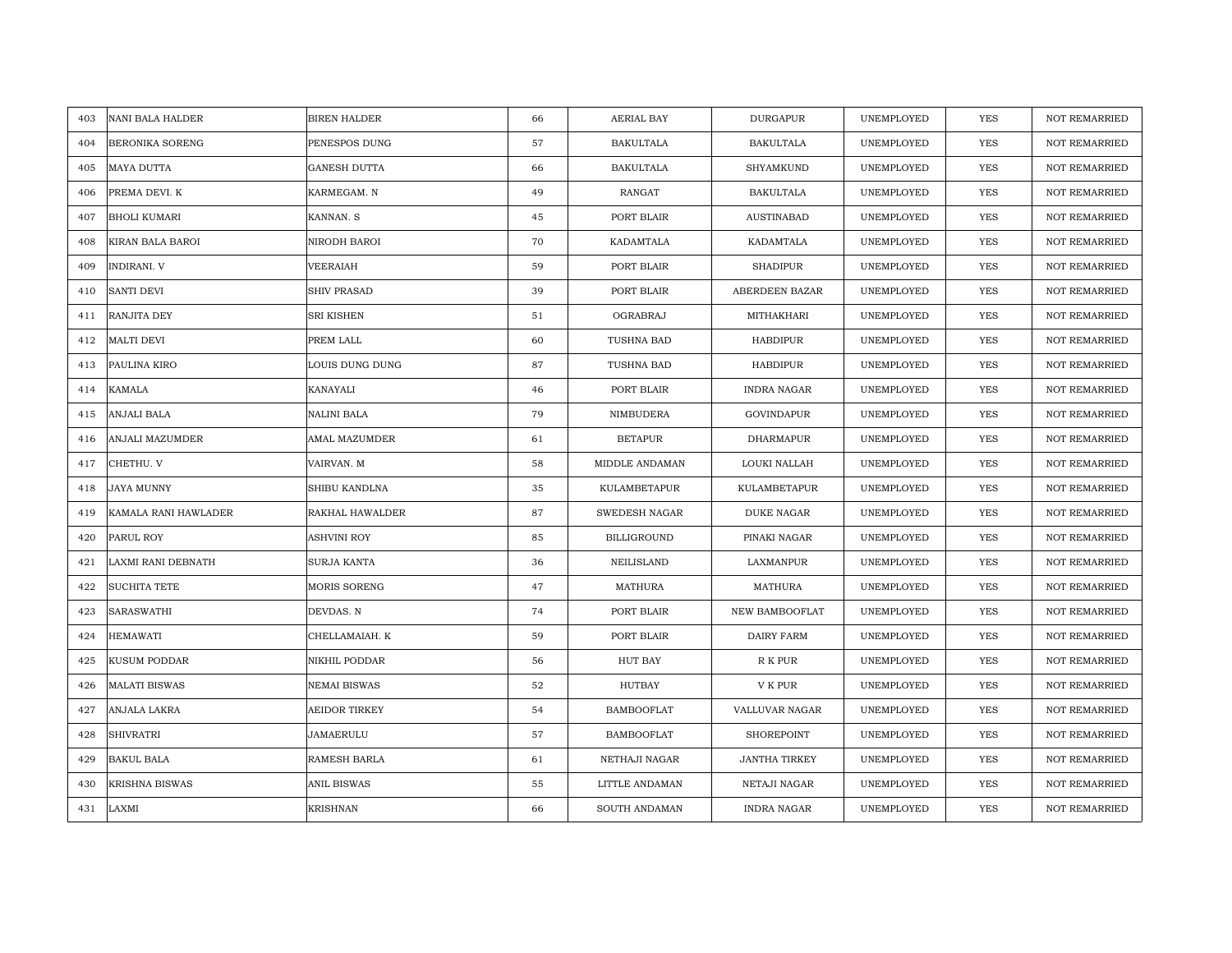| NANI BALA HALDER<br>403     | <b>BIREN HALDER</b> | 66 | AERIAL BAY           | <b>DURGAPUR</b>      | UNEMPLOYED | <b>YES</b> | <b>NOT REMARRIED</b> |
|-----------------------------|---------------------|----|----------------------|----------------------|------------|------------|----------------------|
| BERONIKA SORENG<br>404      | PENESPOS DUNG       | 57 | <b>BAKULTALA</b>     | <b>BAKULTALA</b>     | UNEMPLOYED | <b>YES</b> | <b>NOT REMARRIED</b> |
| MAYA DUTTA<br>405           | <b>GANESH DUTTA</b> | 66 | <b>BAKULTALA</b>     | SHYAMKUND            | UNEMPLOYED | YES        | <b>NOT REMARRIED</b> |
| PREMA DEVI. K<br>406        | KARMEGAM. N         | 49 | RANGAT               | <b>BAKULTALA</b>     | UNEMPLOYED | YES        | <b>NOT REMARRIED</b> |
| 407<br><b>BHOLI KUMARI</b>  | KANNAN. S           | 45 | PORT BLAIR           | <b>AUSTINABAD</b>    | UNEMPLOYED | YES        | <b>NOT REMARRIED</b> |
| 408<br>KIRAN BALA BAROI     | NIRODH BAROI        | 70 | KADAMTALA            | KADAMTALA            | UNEMPLOYED | YES        | NOT REMARRIED        |
| INDIRANI. V<br>409          | VEERAIAH            | 59 | PORT BLAIR           | <b>SHADIPUR</b>      | UNEMPLOYED | YES        | NOT REMARRIED        |
| <b>SANTI DEVI</b><br>410    | SHIV PRASAD         | 39 | PORT BLAIR           | ABERDEEN BAZAR       | UNEMPLOYED | YES        | NOT REMARRIED        |
| RANJITA DEY<br>411          | SRI KISHEN          | 51 | OGRABRAJ             | MITHAKHARI           | UNEMPLOYED | <b>YES</b> | NOT REMARRIED        |
| MALTI DEVI<br>412           | PREM LALL           | 60 | TUSHNA BAD           | HABDIPUR             | UNEMPLOYED | YES        | <b>NOT REMARRIED</b> |
| PAULINA KIRO<br>413         | LOUIS DUNG DUNG     | 87 | TUSHNA BAD           | HABDIPUR             | UNEMPLOYED | <b>YES</b> | <b>NOT REMARRIED</b> |
| KAMALA<br>414               | KANAYALI            | 46 | PORT BLAIR           | <b>INDRA NAGAR</b>   | UNEMPLOYED | <b>YES</b> | <b>NOT REMARRIED</b> |
| ANJALI BALA<br>415          | NALINI BALA         | 79 | NIMBUDERA            | GOVINDAPUR           | UNEMPLOYED | YES        | NOT REMARRIED        |
| ANJALI MAZUMDER<br>416      | AMAL MAZUMDER       | 61 | <b>BETAPUR</b>       | DHARMAPUR            | UNEMPLOYED | <b>YES</b> | <b>NOT REMARRIED</b> |
| 417<br>CHETHU. V            | VAIRVAN. M          | 58 | MIDDLE ANDAMAN       | LOUKI NALLAH         | UNEMPLOYED | YES        | NOT REMARRIED        |
| JAYA MUNNY<br>418           | SHIBU KANDLNA       | 35 | KULAMBETAPUR         | <b>KULAMBETAPUR</b>  | UNEMPLOYED | <b>YES</b> | <b>NOT REMARRIED</b> |
| 419<br>KAMALA RANI HAWLADER | RAKHAL HAWALDER     | 87 | <b>SWEDESH NAGAR</b> | <b>DUKE NAGAR</b>    | UNEMPLOYED | YES        | NOT REMARRIED        |
| 420<br>PARUL ROY            | ASHVINI ROY         | 85 | <b>BILLIGROUND</b>   | PINAKI NAGAR         | UNEMPLOYED | <b>YES</b> | <b>NOT REMARRIED</b> |
| LAXMI RANI DEBNATH<br>421   | SURJA KANTA         | 36 | NEILISLAND           | LAXMANPUR            | UNEMPLOYED | YES        | NOT REMARRIED        |
| 422<br><b>SUCHITA TETE</b>  | <b>MORIS SORENG</b> | 47 | MATHURA              | MATHURA              | UNEMPLOYED | <b>YES</b> | <b>NOT REMARRIED</b> |
| SARASWATHI<br>423           | DEVDAS. N           | 74 | PORT BLAIR           | NEW BAMBOOFLAT       | UNEMPLOYED | <b>YES</b> | <b>NOT REMARRIED</b> |
| HEMAWATI<br>424             | CHELLAMAIAH. K      | 59 | PORT BLAIR           | <b>DAIRY FARM</b>    | UNEMPLOYED | YES        | <b>NOT REMARRIED</b> |
| KUSUM PODDAR<br>425         | NIKHIL PODDAR       | 56 | HUT BAY              | R K PUR              | UNEMPLOYED | <b>YES</b> | <b>NOT REMARRIED</b> |
| <b>MALATI BISWAS</b><br>426 | <b>NEMAI BISWAS</b> | 52 | <b>HUTBAY</b>        | V K PUR              | UNEMPLOYED | YES        | <b>NOT REMARRIED</b> |
| ANJALA LAKRA<br>427         | AEIDOR TIRKEY       | 54 | <b>BAMBOOFLAT</b>    | VALLUVAR NAGAR       | UNEMPLOYED | YES        | <b>NOT REMARRIED</b> |
| <b>SHIVRATRI</b><br>428     | <b>JAMAERULU</b>    | 57 | <b>BAMBOOFLAT</b>    | SHOREPOINT           | UNEMPLOYED | YES        | NOT REMARRIED        |
| 429<br>BAKUL BALA           | RAMESH BARLA        | 61 | NETHAJI NAGAR        | <b>JANTHA TIRKEY</b> | UNEMPLOYED | <b>YES</b> | NOT REMARRIED        |
| 430<br>KRISHNA BISWAS       | ANIL BISWAS         | 55 | LITTLE ANDAMAN       | NETAJI NAGAR         | UNEMPLOYED | YES        | <b>NOT REMARRIED</b> |
| LAXMI<br>431                | <b>KRISHNAN</b>     | 66 | SOUTH ANDAMAN        | <b>INDRA NAGAR</b>   | UNEMPLOYED | YES        | NOT REMARRIED        |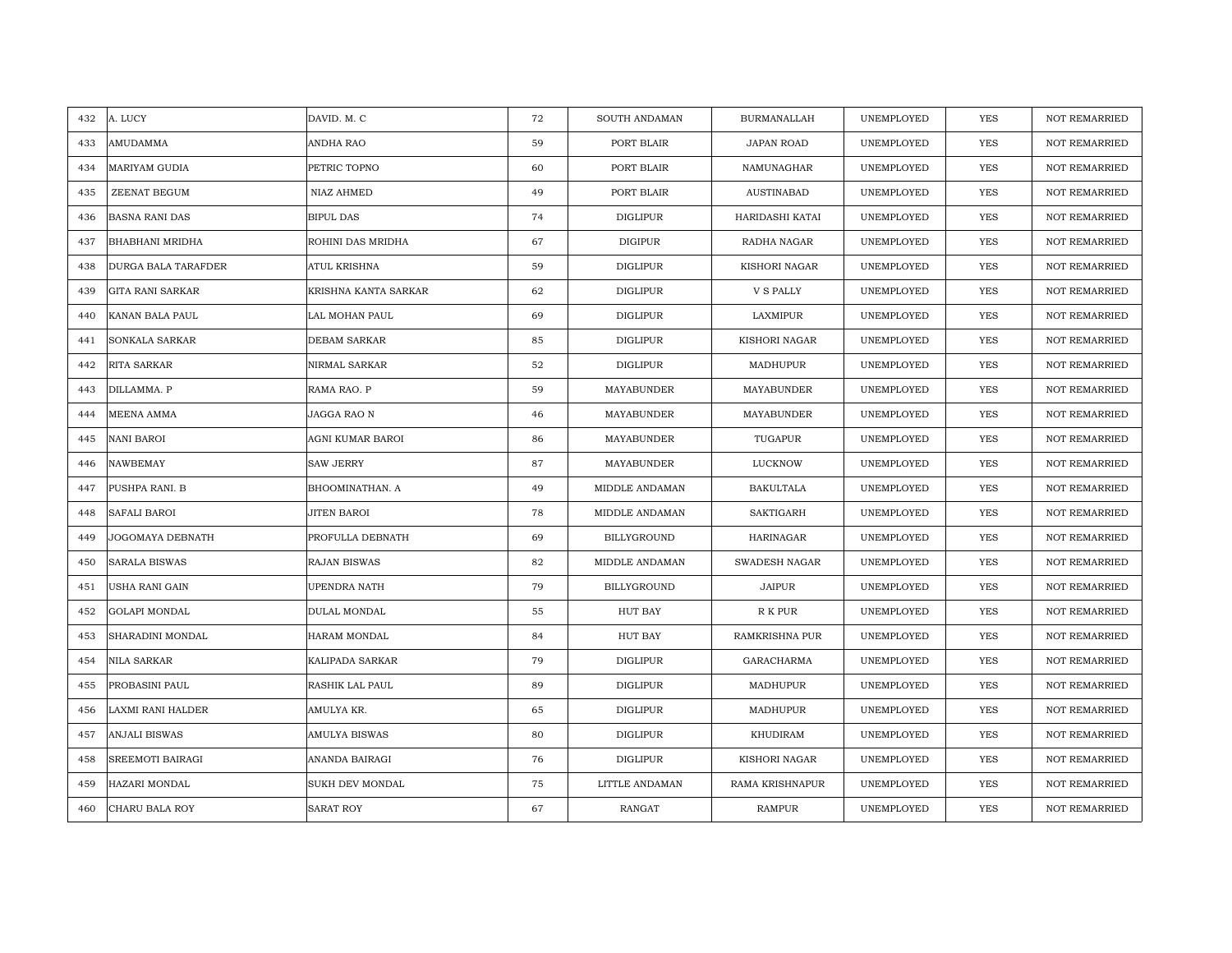| A. LUCY<br>432                 | DAVID. M. C            | 72 | SOUTH ANDAMAN   | <b>BURMANALLAH</b> | UNEMPLOYED | <b>YES</b> | <b>NOT REMARRIED</b> |
|--------------------------------|------------------------|----|-----------------|--------------------|------------|------------|----------------------|
| AMUDAMMA<br>433                | ANDHA RAO              | 59 | PORT BLAIR      | JAPAN ROAD         | UNEMPLOYED | <b>YES</b> | <b>NOT REMARRIED</b> |
| MARIYAM GUDIA<br>434           | PETRIC TOPNO           | 60 | PORT BLAIR      | NAMUNAGHAR         | UNEMPLOYED | <b>YES</b> | <b>NOT REMARRIED</b> |
| ZEENAT BEGUM<br>435            | NIAZ AHMED             | 49 | PORT BLAIR      | <b>AUSTINABAD</b>  | UNEMPLOYED | <b>YES</b> | <b>NOT REMARRIED</b> |
| 436<br><b>BASNA RANI DAS</b>   | <b>BIPUL DAS</b>       | 74 | <b>DIGLIPUR</b> | HARIDASHI KATAI    | UNEMPLOYED | YES        | <b>NOT REMARRIED</b> |
| 437<br>BHABHANI MRIDHA         | ROHINI DAS MRIDHA      | 67 | DIGIPUR         | RADHA NAGAR        | UNEMPLOYED | YES        | NOT REMARRIED        |
| 438<br>DURGA BALA TARAFDER     | <b>ATUL KRISHNA</b>    | 59 | DIGLIPUR        | KISHORI NAGAR      | UNEMPLOYED | <b>YES</b> | <b>NOT REMARRIED</b> |
| 439<br><b>GITA RANI SARKAR</b> | KRISHNA KANTA SARKAR   | 62 | DIGLIPUR        | V S PALLY          | UNEMPLOYED | YES        | <b>NOT REMARRIED</b> |
| KANAN BALA PAUL<br>440         | LAL MOHAN PAUL         | 69 | DIGLIPUR        | LAXMIPUR           | UNEMPLOYED | <b>YES</b> | <b>NOT REMARRIED</b> |
| SONKALA SARKAR<br>441          | DEBAM SARKAR           | 85 | <b>DIGLIPUR</b> | KISHORI NAGAR      | UNEMPLOYED | YES        | <b>NOT REMARRIED</b> |
| RITA SARKAR<br>442             | NIRMAL SARKAR          | 52 | DIGLIPUR        | MADHUPUR           | UNEMPLOYED | <b>YES</b> | <b>NOT REMARRIED</b> |
| 443<br>DILLAMMA. P             | RAMA RAO. P            | 59 | MAYABUNDER      | MAYABUNDER         | UNEMPLOYED | <b>YES</b> | NOT REMARRIED        |
| MEENA AMMA<br>444              | JAGGA RAO N            | 46 | MAYABUNDER      | MAYABUNDER         | UNEMPLOYED | YES        | NOT REMARRIED        |
| NANI BAROI<br>445              | AGNI KUMAR BAROI       | 86 | MAYABUNDER      | TUGAPUR            | UNEMPLOYED | YES        | <b>NOT REMARRIED</b> |
| NAWBEMAY<br>446                | <b>SAW JERRY</b>       | 87 | MAYABUNDER      | LUCKNOW            | UNEMPLOYED | YES        | <b>NOT REMARRIED</b> |
| PUSHPA RANI. B<br>447          | BHOOMINATHAN. A        | 49 | MIDDLE ANDAMAN  | <b>BAKULTALA</b>   | UNEMPLOYED | <b>YES</b> | NOT REMARRIED        |
| SAFALI BAROI<br>448            | <b>JITEN BAROI</b>     | 78 | MIDDLE ANDAMAN  | <b>SAKTIGARH</b>   | UNEMPLOYED | <b>YES</b> | <b>NOT REMARRIED</b> |
| JOGOMAYA DEBNATH<br>449        | PROFULLA DEBNATH       | 69 | BILLYGROUND     | <b>HARINAGAR</b>   | UNEMPLOYED | <b>YES</b> | NOT REMARRIED        |
| 450<br><b>SARALA BISWAS</b>    | RAJAN BISWAS           | 82 | MIDDLE ANDAMAN  | SWADESH NAGAR      | UNEMPLOYED | YES        | NOT REMARRIED        |
| 451<br>USHA RANI GAIN          | UPENDRA NATH           | 79 | BILLYGROUND     | <b>JAIPUR</b>      | UNEMPLOYED | YES        | NOT REMARRIED        |
| GOLAPI MONDAL<br>452           | DULAL MONDAL           | 55 | HUT BAY         | R K PUR            | UNEMPLOYED | <b>YES</b> | <b>NOT REMARRIED</b> |
| 453<br>SHARADINI MONDAL        | HARAM MONDAL           | 84 | HUT BAY         | RAMKRISHNA PUR     | UNEMPLOYED | YES        | <b>NOT REMARRIED</b> |
| 454<br>NILA SARKAR             | KALIPADA SARKAR        | 79 | DIGLIPUR        | GARACHARMA         | UNEMPLOYED | YES        | <b>NOT REMARRIED</b> |
| PROBASINI PAUL<br>455          | <b>RASHIK LAL PAUL</b> | 89 | <b>DIGLIPUR</b> | MADHUPUR           | UNEMPLOYED | YES        | <b>NOT REMARRIED</b> |
| 456<br>LAXMI RANI HALDER       | AMULYA KR.             | 65 | DIGLIPUR        | MADHUPUR           | UNEMPLOYED | YES        | <b>NOT REMARRIED</b> |
| ANJALI BISWAS<br>457           | <b>AMULYA BISWAS</b>   | 80 | DIGLIPUR        | KHUDIRAM           | UNEMPLOYED | YES        | <b>NOT REMARRIED</b> |
| 458<br>SREEMOTI BAIRAGI        | ANANDA BAIRAGI         | 76 | <b>DIGLIPUR</b> | KISHORI NAGAR      | UNEMPLOYED | YES        | NOT REMARRIED        |
| HAZARI MONDAL<br>459           | SUKH DEV MONDAL        | 75 | LITTLE ANDAMAN  | RAMA KRISHNAPUR    | UNEMPLOYED | <b>YES</b> | <b>NOT REMARRIED</b> |
| 460<br>CHARU BALA ROY          | <b>SARAT ROY</b>       | 67 | RANGAT          | <b>RAMPUR</b>      | UNEMPLOYED | <b>YES</b> | <b>NOT REMARRIED</b> |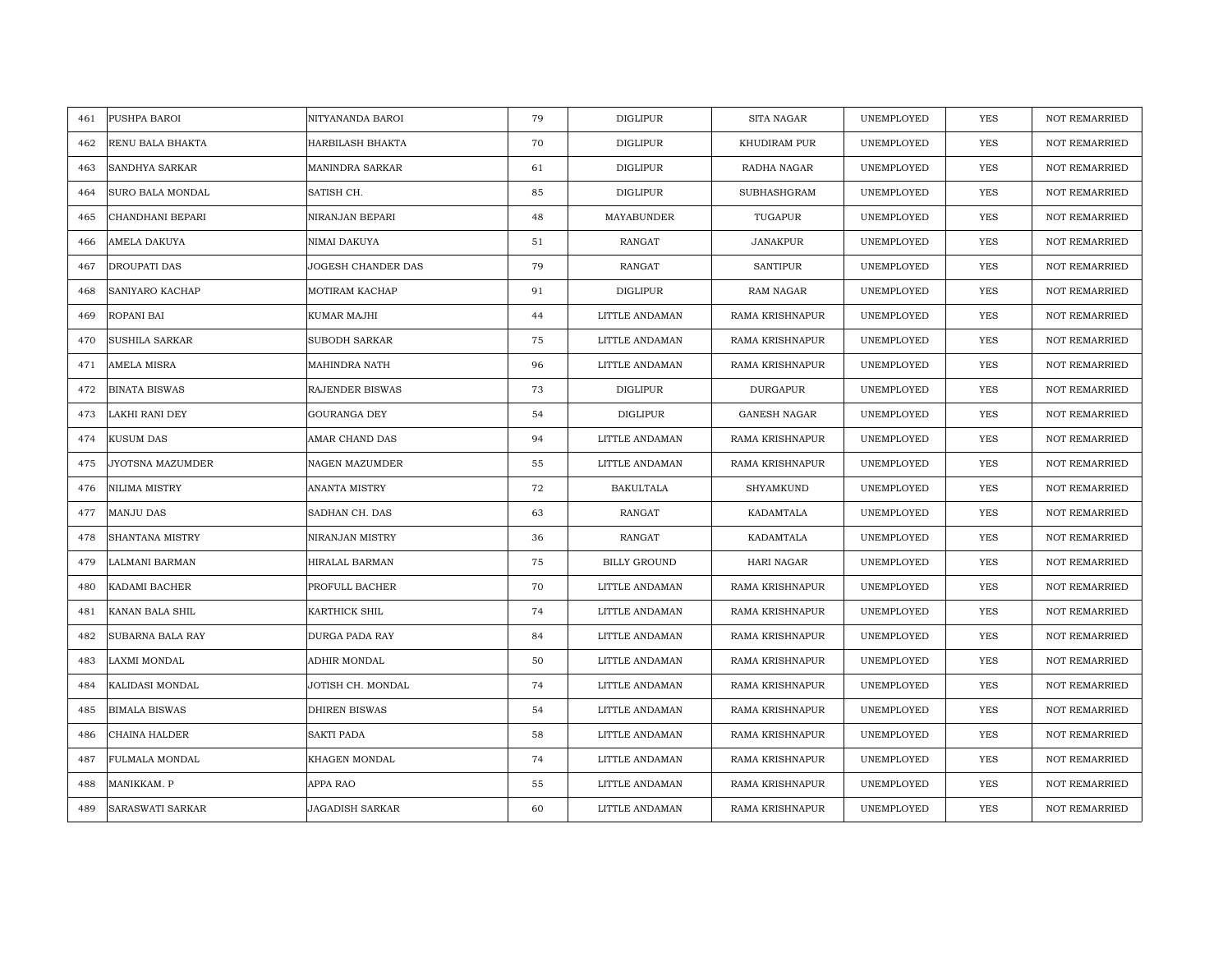| PUSHPA BAROI<br>461          | NITYANANDA BAROI       | 79 | DIGLIPUR            | SITA NAGAR             | UNEMPLOYED | <b>YES</b> | <b>NOT REMARRIED</b> |
|------------------------------|------------------------|----|---------------------|------------------------|------------|------------|----------------------|
| RENU BALA BHAKTA<br>462      | HARBILASH BHAKTA       | 70 | <b>DIGLIPUR</b>     | KHUDIRAM PUR           | UNEMPLOYED | <b>YES</b> | NOT REMARRIED        |
| <b>SANDHYA SARKAR</b><br>463 | <b>MANINDRA SARKAR</b> | 61 | <b>DIGLIPUR</b>     | RADHA NAGAR            | UNEMPLOYED | YES        | <b>NOT REMARRIED</b> |
| 464<br>SURO BALA MONDAL      | SATISH CH.             | 85 | DIGLIPUR            | SUBHASHGRAM            | UNEMPLOYED | <b>YES</b> | <b>NOT REMARRIED</b> |
| CHANDHANI BEPARI<br>465      | NIRANJAN BEPARI        | 48 | MAYABUNDER          | TUGAPUR                | UNEMPLOYED | YES        | NOT REMARRIED        |
| AMELA DAKUYA<br>466          | NIMAI DAKUYA           | 51 | RANGAT              | <b>JANAKPUR</b>        | UNEMPLOYED | YES        | NOT REMARRIED        |
| DROUPATI DAS<br>467          | JOGESH CHANDER DAS     | 79 | <b>RANGAT</b>       | <b>SANTIPUR</b>        | UNEMPLOYED | <b>YES</b> | <b>NOT REMARRIED</b> |
| SANIYARO KACHAP<br>468       | MOTIRAM KACHAP         | 91 | DIGLIPUR            | <b>RAM NAGAR</b>       | UNEMPLOYED | YES        | <b>NOT REMARRIED</b> |
| 469<br>ROPANI BAI            | KUMAR MAJHI            | 44 | LITTLE ANDAMAN      | RAMA KRISHNAPUR        | UNEMPLOYED | <b>YES</b> | NOT REMARRIED        |
| 470<br>SUSHILA SARKAR        | SUBODH SARKAR          | 75 | LITTLE ANDAMAN      | RAMA KRISHNAPUR        | UNEMPLOYED | YES        | <b>NOT REMARRIED</b> |
| 471<br>AMELA MISRA           | MAHINDRA NATH          | 96 | LITTLE ANDAMAN      | RAMA KRISHNAPUR        | UNEMPLOYED | YES        | <b>NOT REMARRIED</b> |
| 472<br><b>BINATA BISWAS</b>  | RAJENDER BISWAS        | 73 | <b>DIGLIPUR</b>     | <b>DURGAPUR</b>        | UNEMPLOYED | YES        | <b>NOT REMARRIED</b> |
| 473<br>LAKHI RANI DEY        | GOURANGA DEY           | 54 | <b>DIGLIPUR</b>     | <b>GANESH NAGAR</b>    | UNEMPLOYED | YES        | NOT REMARRIED        |
| KUSUM DAS<br>474             | AMAR CHAND DAS         | 94 | LITTLE ANDAMAN      | <b>RAMA KRISHNAPUR</b> | UNEMPLOYED | <b>YES</b> | <b>NOT REMARRIED</b> |
| JYOTSNA MAZUMDER<br>475      | NAGEN MAZUMDER         | 55 | LITTLE ANDAMAN      | <b>RAMA KRISHNAPUR</b> | UNEMPLOYED | <b>YES</b> | <b>NOT REMARRIED</b> |
| 476<br>NILIMA MISTRY         | ANANTA MISTRY          | 72 | <b>BAKULTALA</b>    | SHYAMKUND              | UNEMPLOYED | <b>YES</b> | <b>NOT REMARRIED</b> |
| <b>MANJU DAS</b><br>477      | SADHAN CH. DAS         | 63 | <b>RANGAT</b>       | KADAMTALA              | UNEMPLOYED | YES        | <b>NOT REMARRIED</b> |
| 478<br>SHANTANA MISTRY       | NIRANJAN MISTRY        | 36 | RANGAT              | KADAMTALA              | UNEMPLOYED | <b>YES</b> | <b>NOT REMARRIED</b> |
| 479<br>LALMANI BARMAN        | HIRALAL BARMAN         | 75 | <b>BILLY GROUND</b> | HARI NAGAR             | UNEMPLOYED | <b>YES</b> | <b>NOT REMARRIED</b> |
| 480<br>KADAMI BACHER         | PROFULL BACHER         | 70 | LITTLE ANDAMAN      | RAMA KRISHNAPUR        | UNEMPLOYED | YES        | NOT REMARRIED        |
| 481<br>KANAN BALA SHIL       | KARTHICK SHIL          | 74 | LITTLE ANDAMAN      | RAMA KRISHNAPUR        | UNEMPLOYED | <b>YES</b> | <b>NOT REMARRIED</b> |
| 482<br>SUBARNA BALA RAY      | DURGA PADA RAY         | 84 | LITTLE ANDAMAN      | <b>RAMA KRISHNAPUR</b> | UNEMPLOYED | YES        | NOT REMARRIED        |
| 483<br>LAXMI MONDAL          | ADHIR MONDAL           | 50 | LITTLE ANDAMAN      | RAMA KRISHNAPUR        | UNEMPLOYED | YES        | NOT REMARRIED        |
| KALIDASI MONDAL<br>484       | JOTISH CH. MONDAL      | 74 | LITTLE ANDAMAN      | <b>RAMA KRISHNAPUR</b> | UNEMPLOYED | YES        | <b>NOT REMARRIED</b> |
| <b>BIMALA BISWAS</b><br>485  | <b>DHIREN BISWAS</b>   | 54 | LITTLE ANDAMAN      | RAMA KRISHNAPUR        | UNEMPLOYED | <b>YES</b> | <b>NOT REMARRIED</b> |
| 486<br>CHAINA HALDER         | <b>SAKTI PADA</b>      | 58 | LITTLE ANDAMAN      | RAMA KRISHNAPUR        | UNEMPLOYED | YES        | NOT REMARRIED        |
| FULMALA MONDAL<br>487        | KHAGEN MONDAL          | 74 | LITTLE ANDAMAN      | <b>RAMA KRISHNAPUR</b> | UNEMPLOYED | <b>YES</b> | <b>NOT REMARRIED</b> |
| MANIKKAM. P<br>488           | APPA RAO               | 55 | LITTLE ANDAMAN      | RAMA KRISHNAPUR        | UNEMPLOYED | YES        | <b>NOT REMARRIED</b> |
| SARASWATI SARKAR<br>489      | <b>JAGADISH SARKAR</b> | 60 | LITTLE ANDAMAN      | RAMA KRISHNAPUR        | UNEMPLOYED | YES        | NOT REMARRIED        |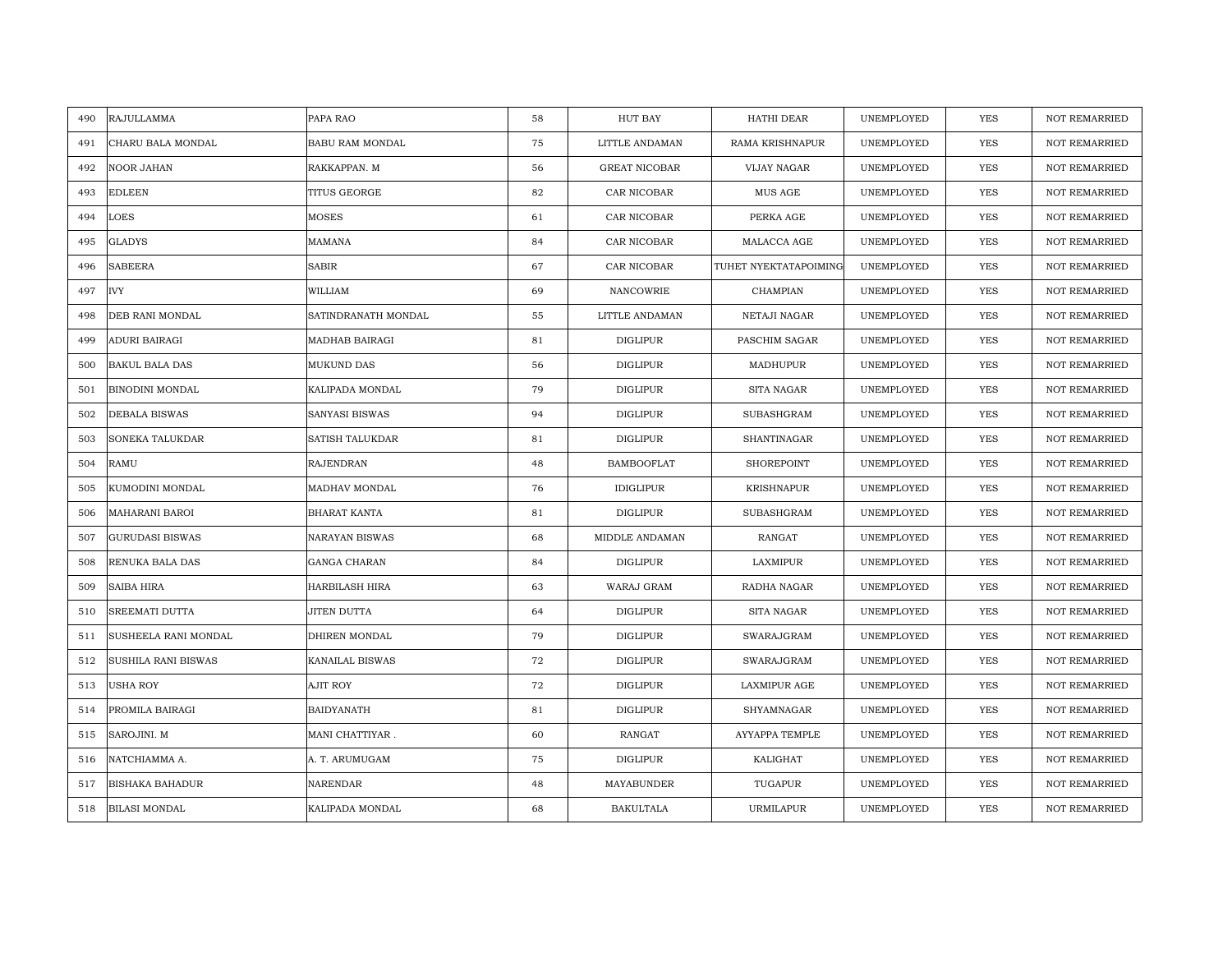| 490<br>RAJULLAMMA           | PAPA RAO            | 58 | HUT BAY              | HATHI DEAR             | UNEMPLOYED | YES        | <b>NOT REMARRIED</b> |
|-----------------------------|---------------------|----|----------------------|------------------------|------------|------------|----------------------|
| 491<br>CHARU BALA MONDAL    | BABU RAM MONDAL     | 75 | LITTLE ANDAMAN       | <b>RAMA KRISHNAPUR</b> | UNEMPLOYED | <b>YES</b> | <b>NOT REMARRIED</b> |
| 492<br>NOOR JAHAN           | RAKKAPPAN. M        | 56 | <b>GREAT NICOBAR</b> | <b>VIJAY NAGAR</b>     | UNEMPLOYED | <b>YES</b> | <b>NOT REMARRIED</b> |
| 493<br><b>EDLEEN</b>        | TITUS GEORGE        | 82 | CAR NICOBAR          | MUS AGE                | UNEMPLOYED | YES        | <b>NOT REMARRIED</b> |
| 494<br>LOES                 | MOSES               | 61 | CAR NICOBAR          | PERKA AGE              | UNEMPLOYED | <b>YES</b> | <b>NOT REMARRIED</b> |
| 495<br><b>GLADYS</b>        | MAMANA              | 84 | CAR NICOBAR          | MALACCA AGE            | UNEMPLOYED | YES        | <b>NOT REMARRIED</b> |
| <b>SABEERA</b><br>496       | <b>SABIR</b>        | 67 | CAR NICOBAR          | TUHET NYEKTATAPOIMING  | UNEMPLOYED | <b>YES</b> | <b>NOT REMARRIED</b> |
| IVY<br>497                  | WILLIAM             | 69 | NANCOWRIE            | CHAMPIAN               | UNEMPLOYED | YES        | <b>NOT REMARRIED</b> |
| 498<br>DEB RANI MONDAL      | SATINDRANATH MONDAL | 55 | LITTLE ANDAMAN       | NETAJI NAGAR           | UNEMPLOYED | YES        | <b>NOT REMARRIED</b> |
| 499<br>ADURI BAIRAGI        | MADHAB BAIRAGI      | 81 | <b>DIGLIPUR</b>      | PASCHIM SAGAR          | UNEMPLOYED | YES        | NOT REMARRIED        |
| 500<br>BAKUL BALA DAS       | MUKUND DAS          | 56 | <b>DIGLIPUR</b>      | MADHUPUR               | UNEMPLOYED | YES        | <b>NOT REMARRIED</b> |
| 501<br>BINODINI MONDAL      | KALIPADA MONDAL     | 79 | <b>DIGLIPUR</b>      | SITA NAGAR             | UNEMPLOYED | YES        | <b>NOT REMARRIED</b> |
| 502<br>DEBALA BISWAS        | SANYASI BISWAS      | 94 | <b>DIGLIPUR</b>      | SUBASHGRAM             | UNEMPLOYED | YES        | <b>NOT REMARRIED</b> |
| SONEKA TALUKDAR<br>503      | SATISH TALUKDAR     | 81 | <b>DIGLIPUR</b>      | <b>SHANTINAGAR</b>     | UNEMPLOYED | <b>YES</b> | <b>NOT REMARRIED</b> |
| 504<br>RAMU                 | RAJENDRAN           | 48 | <b>BAMBOOFLAT</b>    | SHOREPOINT             | UNEMPLOYED | YES        | <b>NOT REMARRIED</b> |
| KUMODINI MONDAL<br>505      | MADHAV MONDAL       | 76 | <b>IDIGLIPUR</b>     | <b>KRISHNAPUR</b>      | UNEMPLOYED | <b>YES</b> | <b>NOT REMARRIED</b> |
| MAHARANI BAROI<br>506       | BHARAT KANTA        | 81 | <b>DIGLIPUR</b>      | <b>SUBASHGRAM</b>      | UNEMPLOYED | <b>YES</b> | <b>NOT REMARRIED</b> |
| 507<br>GURUDASI BISWAS      | NARAYAN BISWAS      | 68 | MIDDLE ANDAMAN       | RANGAT                 | UNEMPLOYED | <b>YES</b> | <b>NOT REMARRIED</b> |
| RENUKA BALA DAS<br>508      | GANGA CHARAN        | 84 | <b>DIGLIPUR</b>      | LAXMIPUR               | UNEMPLOYED | <b>YES</b> | <b>NOT REMARRIED</b> |
| 509<br>SAIBA HIRA           | HARBILASH HIRA      | 63 | WARAJ GRAM           | RADHA NAGAR            | UNEMPLOYED | YES        | NOT REMARRIED        |
| SREEMATI DUTTA<br>510       | JITEN DUTTA         | 64 | <b>DIGLIPUR</b>      | SITA NAGAR             | UNEMPLOYED | <b>YES</b> | <b>NOT REMARRIED</b> |
| 511<br>SUSHEELA RANI MONDAL | DHIREN MONDAL       | 79 | <b>DIGLIPUR</b>      | SWARAJGRAM             | UNEMPLOYED | YES        | <b>NOT REMARRIED</b> |
| SUSHILA RANI BISWAS<br>512  | KANAILAL BISWAS     | 72 | <b>DIGLIPUR</b>      | SWARAJGRAM             | UNEMPLOYED | YES        | NOT REMARRIED        |
| USHA ROY<br>513             | AJIT ROY            | 72 | <b>DIGLIPUR</b>      | <b>LAXMIPUR AGE</b>    | UNEMPLOYED | YES        | <b>NOT REMARRIED</b> |
| 514<br>PROMILA BAIRAGI      | BAIDYANATH          | 81 | <b>DIGLIPUR</b>      | SHYAMNAGAR             | UNEMPLOYED | <b>YES</b> | <b>NOT REMARRIED</b> |
| SAROJINI. M<br>515          | MANI CHATTIYAR.     | 60 | RANGAT               | AYYAPPA TEMPLE         | UNEMPLOYED | YES        | NOT REMARRIED        |
| 516<br>NATCHIAMMA A.        | A. T. ARUMUGAM      | 75 | <b>DIGLIPUR</b>      | KALIGHAT               | UNEMPLOYED | YES        | <b>NOT REMARRIED</b> |
| BISHAKA BAHADUR<br>517      | NARENDAR            | 48 | MAYABUNDER           | TUGAPUR                | UNEMPLOYED | YES        | <b>NOT REMARRIED</b> |
| <b>BILASI MONDAL</b><br>518 | KALIPADA MONDAL     | 68 | <b>BAKULTALA</b>     | <b>URMILAPUR</b>       | UNEMPLOYED | YES        | <b>NOT REMARRIED</b> |
|                             |                     |    |                      |                        |            |            |                      |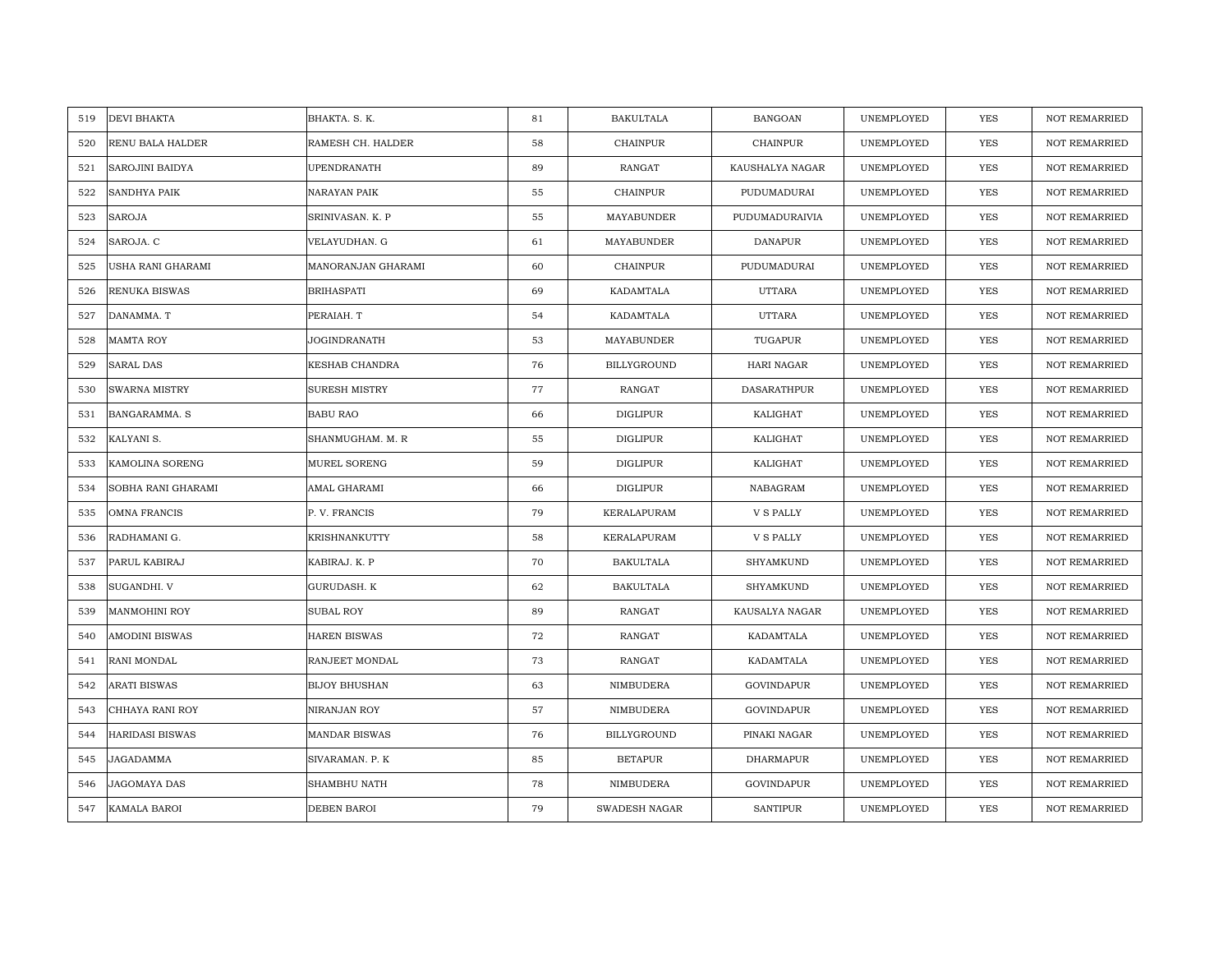| DEVI BHAKTA<br>519            | BHAKTA. S. K.        | 81 | <b>BAKULTALA</b> | <b>BANGOAN</b>     | UNEMPLOYED | <b>YES</b> | <b>NOT REMARRIED</b> |
|-------------------------------|----------------------|----|------------------|--------------------|------------|------------|----------------------|
| 520<br>RENU BALA HALDER       | RAMESH CH. HALDER    | 58 | <b>CHAINPUR</b>  | <b>CHAINPUR</b>    | UNEMPLOYED | <b>YES</b> | <b>NOT REMARRIED</b> |
| SAROJINI BAIDYA<br>521        | UPENDRANATH          | 89 | <b>RANGAT</b>    | KAUSHALYA NAGAR    | UNEMPLOYED | YES        | <b>NOT REMARRIED</b> |
| SANDHYA PAIK<br>522           | NARAYAN PAIK         | 55 | CHAINPUR         | PUDUMADURAI        | UNEMPLOYED | YES        | <b>NOT REMARRIED</b> |
| <b>SAROJA</b><br>523          | SRINIVASAN. K. P     | 55 | MAYABUNDER       | PUDUMADURAIVIA     | UNEMPLOYED | YES        | <b>NOT REMARRIED</b> |
| 524<br>SAROJA. C              | VELAYUDHAN. G        | 61 | MAYABUNDER       | <b>DANAPUR</b>     | UNEMPLOYED | YES        | NOT REMARRIED        |
| USHA RANI GHARAMI<br>525      | MANORANJAN GHARAMI   | 60 | <b>CHAINPUR</b>  | PUDUMADURAI        | UNEMPLOYED | YES        | <b>NOT REMARRIED</b> |
| RENUKA BISWAS<br>526          | <b>BRIHASPATI</b>    | 69 | KADAMTALA        | <b>UTTARA</b>      | UNEMPLOYED | YES        | NOT REMARRIED        |
| DANAMMA. T<br>527             | PERAIAH. T           | 54 | KADAMTALA        | <b>UTTARA</b>      | UNEMPLOYED | <b>YES</b> | NOT REMARRIED        |
| <b>MAMTA ROY</b><br>528       | JOGINDRANATH         | 53 | MAYABUNDER       | TUGAPUR            | UNEMPLOYED | YES        | <b>NOT REMARRIED</b> |
| <b>SARAL DAS</b><br>529       | KESHAB CHANDRA       | 76 | BILLYGROUND      | HARI NAGAR         | UNEMPLOYED | <b>YES</b> | <b>NOT REMARRIED</b> |
| 530<br>SWARNA MISTRY          | <b>SURESH MISTRY</b> | 77 | <b>RANGAT</b>    | <b>DASARATHPUR</b> | UNEMPLOYED | <b>YES</b> | <b>NOT REMARRIED</b> |
| BANGARAMMA. S<br>531          | <b>BABU RAO</b>      | 66 | DIGLIPUR         | KALIGHAT           | UNEMPLOYED | YES        | NOT REMARRIED        |
| KALYANI S.<br>532             | SHANMUGHAM. M. R     | 55 | <b>DIGLIPUR</b>  | KALIGHAT           | UNEMPLOYED | <b>YES</b> | <b>NOT REMARRIED</b> |
| 533<br>KAMOLINA SORENG        | MUREL SORENG         | 59 | <b>DIGLIPUR</b>  | KALIGHAT           | UNEMPLOYED | YES        | NOT REMARRIED        |
| SOBHA RANI GHARAMI<br>534     | AMAL GHARAMI         | 66 | DIGLIPUR         | NABAGRAM           | UNEMPLOYED | <b>YES</b> | <b>NOT REMARRIED</b> |
| OMNA FRANCIS<br>535           | P.V. FRANCIS         | 79 | KERALAPURAM      | V S PALLY          | UNEMPLOYED | YES        | <b>NOT REMARRIED</b> |
| RADHAMANI G.<br>536           | KRISHNANKUTTY        | 58 | KERALAPURAM      | V S PALLY          | UNEMPLOYED | <b>YES</b> | <b>NOT REMARRIED</b> |
| PARUL KABIRAJ<br>537          | KABIRAJ. K. P        | 70 | <b>BAKULTALA</b> | SHYAMKUND          | UNEMPLOYED | YES        | <b>NOT REMARRIED</b> |
| 538<br>SUGANDHI. V            | GURUDASH. K          | 62 | <b>BAKULTALA</b> | SHYAMKUND          | UNEMPLOYED | <b>YES</b> | <b>NOT REMARRIED</b> |
| 539<br><b>MANMOHINI ROY</b>   | <b>SUBAL ROY</b>     | 89 | <b>RANGAT</b>    | KAUSALYA NAGAR     | UNEMPLOYED | <b>YES</b> | <b>NOT REMARRIED</b> |
| AMODINI BISWAS<br>540         | <b>HAREN BISWAS</b>  | 72 | RANGAT           | KADAMTALA          | UNEMPLOYED | YES        | <b>NOT REMARRIED</b> |
| 541<br>RANI MONDAL            | RANJEET MONDAL       | 73 | RANGAT           | KADAMTALA          | UNEMPLOYED | <b>YES</b> | <b>NOT REMARRIED</b> |
| <b>ARATI BISWAS</b><br>542    | <b>BIJOY BHUSHAN</b> | 63 | NIMBUDERA        | <b>GOVINDAPUR</b>  | UNEMPLOYED | YES        | <b>NOT REMARRIED</b> |
| CHHAYA RANI ROY<br>543        | NIRANJAN ROY         | 57 | NIMBUDERA        | <b>GOVINDAPUR</b>  | UNEMPLOYED | <b>YES</b> | <b>NOT REMARRIED</b> |
| <b>HARIDASI BISWAS</b><br>544 | <b>MANDAR BISWAS</b> | 76 | BILLYGROUND      | PINAKI NAGAR       | UNEMPLOYED | YES        | NOT REMARRIED        |
| JAGADAMMA<br>545              | SIVARAMAN. P. K      | 85 | <b>BETAPUR</b>   | DHARMAPUR          | UNEMPLOYED | <b>YES</b> | <b>NOT REMARRIED</b> |
| JAGOMAYA DAS<br>546           | SHAMBHU NATH         | 78 | NIMBUDERA        | <b>GOVINDAPUR</b>  | UNEMPLOYED | YES        | <b>NOT REMARRIED</b> |
| KAMALA BAROI<br>547           | DEBEN BAROI          | 79 | SWADESH NAGAR    | <b>SANTIPUR</b>    | UNEMPLOYED | YES        | NOT REMARRIED        |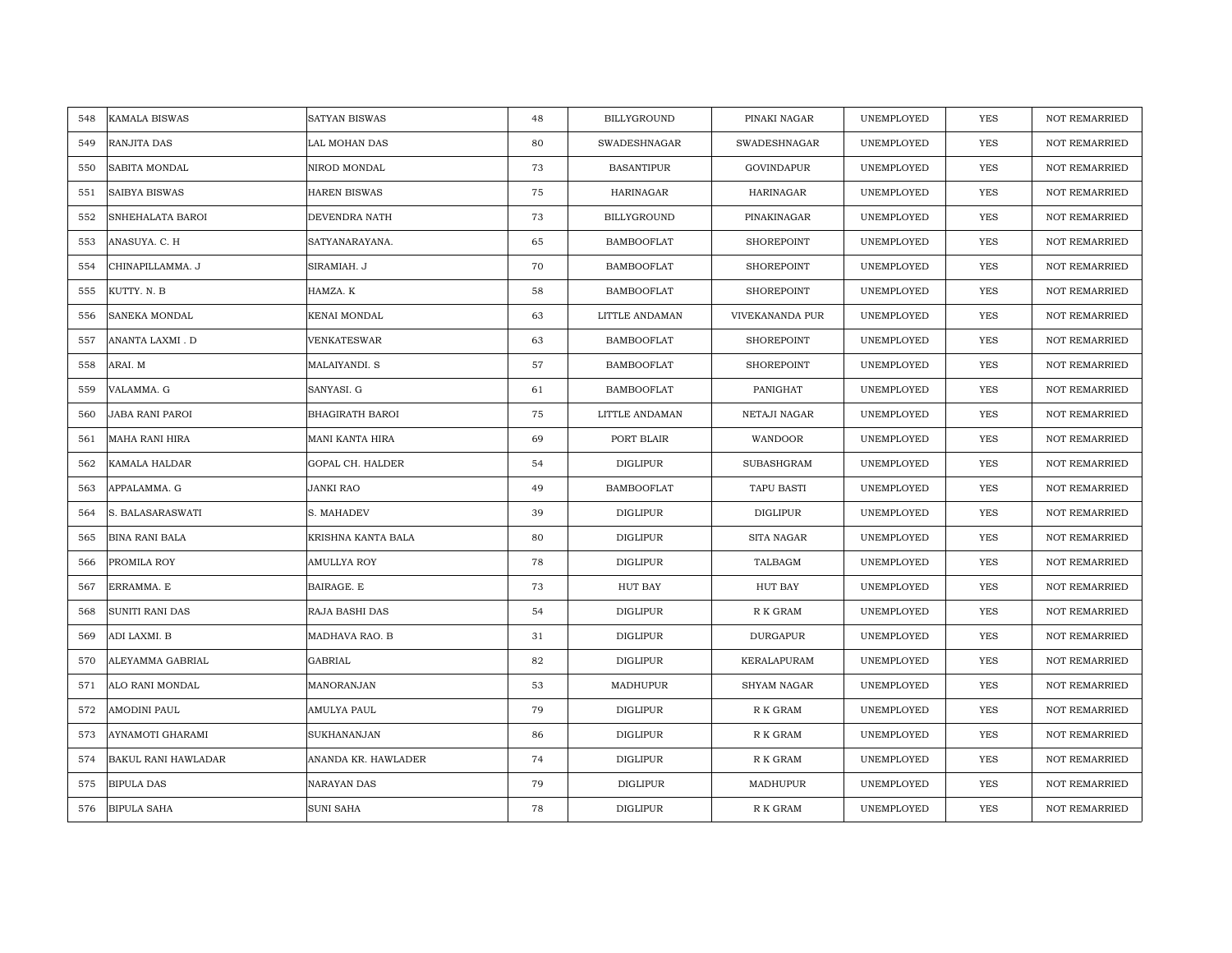| KAMALA BISWAS<br>548         | <b>SATYAN BISWAS</b> | 48 | BILLYGROUND         | PINAKI NAGAR        | UNEMPLOYED | <b>YES</b> | <b>NOT REMARRIED</b> |
|------------------------------|----------------------|----|---------------------|---------------------|------------|------------|----------------------|
| RANJITA DAS<br>549           | LAL MOHAN DAS        | 80 | <b>SWADESHNAGAR</b> | <b>SWADESHNAGAR</b> | UNEMPLOYED | <b>YES</b> | NOT REMARRIED        |
| SABITA MONDAL<br>550         | NIROD MONDAL         | 73 | <b>BASANTIPUR</b>   | GOVINDAPUR          | UNEMPLOYED | YES        | <b>NOT REMARRIED</b> |
| <b>SAIBYA BISWAS</b><br>551  | HAREN BISWAS         | 75 | <b>HARINAGAR</b>    | HARINAGAR           | UNEMPLOYED | YES        | <b>NOT REMARRIED</b> |
| SNHEHALATA BAROI<br>552      | DEVENDRA NATH        | 73 | BILLYGROUND         | PINAKINAGAR         | UNEMPLOYED | YES        | <b>NOT REMARRIED</b> |
| ANASUYA. C. H<br>553         | SATYANARAYANA.       | 65 | <b>BAMBOOFLAT</b>   | SHOREPOINT          | UNEMPLOYED | YES        | NOT REMARRIED        |
| CHINAPILLAMMA. J<br>554      | SIRAMIAH. J          | 70 | <b>BAMBOOFLAT</b>   | SHOREPOINT          | UNEMPLOYED | <b>YES</b> | <b>NOT REMARRIED</b> |
| KUTTY. N. B<br>555           | HAMZA. K             | 58 | <b>BAMBOOFLAT</b>   | SHOREPOINT          | UNEMPLOYED | YES        | <b>NOT REMARRIED</b> |
| SANEKA MONDAL<br>556         | KENAI MONDAL         | 63 | LITTLE ANDAMAN      | VIVEKANANDA PUR     | UNEMPLOYED | YES        | NOT REMARRIED        |
| ANANTA LAXMI. D<br>557       | VENKATESWAR          | 63 | <b>BAMBOOFLAT</b>   | SHOREPOINT          | UNEMPLOYED | YES        | NOT REMARRIED        |
| 558<br>ARAI. M               | MALAIYANDI. S        | 57 | BAMBOOFLAT          | SHOREPOINT          | UNEMPLOYED | YES        | <b>NOT REMARRIED</b> |
| VALAMMA. G<br>559            | SANYASI. G           | 61 | <b>BAMBOOFLAT</b>   | PANIGHAT            | UNEMPLOYED | YES        | <b>NOT REMARRIED</b> |
| 560<br>JABA RANI PAROI       | BHAGIRATH BAROI      | 75 | LITTLE ANDAMAN      | NETAJI NAGAR        | UNEMPLOYED | YES        | NOT REMARRIED        |
| <b>MAHA RANI HIRA</b><br>561 | MANI KANTA HIRA      | 69 | PORT BLAIR          | WANDOOR             | UNEMPLOYED | YES        | <b>NOT REMARRIED</b> |
| KAMALA HALDAR<br>562         | GOPAL CH. HALDER     | 54 | DIGLIPUR            | SUBASHGRAM          | UNEMPLOYED | <b>YES</b> | <b>NOT REMARRIED</b> |
| APPALAMMA. G<br>563          | JANKI RAO            | 49 | <b>BAMBOOFLAT</b>   | TAPU BASTI          | UNEMPLOYED | <b>YES</b> | NOT REMARRIED        |
| S. BALASARASWATI<br>564      | S. MAHADEV           | 39 | <b>DIGLIPUR</b>     | <b>DIGLIPUR</b>     | UNEMPLOYED | YES        | <b>NOT REMARRIED</b> |
| 565<br>BINA RANI BALA        | KRISHNA KANTA BALA   | 80 | DIGLIPUR            | SITA NAGAR          | UNEMPLOYED | <b>YES</b> | <b>NOT REMARRIED</b> |
| PROMILA ROY<br>566           | <b>AMULLYA ROY</b>   | 78 | DIGLIPUR            | TALBAGM             | UNEMPLOYED | <b>YES</b> | <b>NOT REMARRIED</b> |
| ERRAMMA. E<br>567            | BAIRAGE. E           | 73 | HUT BAY             | HUT BAY             | UNEMPLOYED | YES        | <b>NOT REMARRIED</b> |
| SUNITI RANI DAS<br>568       | RAJA BASHI DAS       | 54 | <b>DIGLIPUR</b>     | R K GRAM            | UNEMPLOYED | <b>YES</b> | <b>NOT REMARRIED</b> |
| ADI LAXMI. B<br>569          | MADHAVA RAO. B       | 31 | DIGLIPUR            | <b>DURGAPUR</b>     | UNEMPLOYED | YES        | NOT REMARRIED        |
| 570<br>ALEYAMMA GABRIAL      | GABRIAL              | 82 | <b>DIGLIPUR</b>     | KERALAPURAM         | UNEMPLOYED | YES        | NOT REMARRIED        |
| 571<br>ALO RANI MONDAL       | MANORANJAN           | 53 | MADHUPUR            | SHYAM NAGAR         | UNEMPLOYED | YES        | NOT REMARRIED        |
| AMODINI PAUL<br>572          | AMULYA PAUL          | 79 | DIGLIPUR            | R K GRAM            | UNEMPLOYED | <b>YES</b> | <b>NOT REMARRIED</b> |
| AYNAMOTI GHARAMI<br>573      | SUKHANANJAN          | 86 | DIGLIPUR            | R K GRAM            | UNEMPLOYED | YES        | NOT REMARRIED        |
| 574<br>BAKUL RANI HAWLADAR   | ANANDA KR. HAWLADER  | 74 | DIGLIPUR            | R K GRAM            | UNEMPLOYED | <b>YES</b> | <b>NOT REMARRIED</b> |
| <b>BIPULA DAS</b><br>575     | NARAYAN DAS          | 79 | <b>DIGLIPUR</b>     | MADHUPUR            | UNEMPLOYED | YES        | <b>NOT REMARRIED</b> |
| <b>BIPULA SAHA</b><br>576    | <b>SUNI SAHA</b>     | 78 | <b>DIGLIPUR</b>     | R K GRAM            | UNEMPLOYED | YES        | NOT REMARRIED        |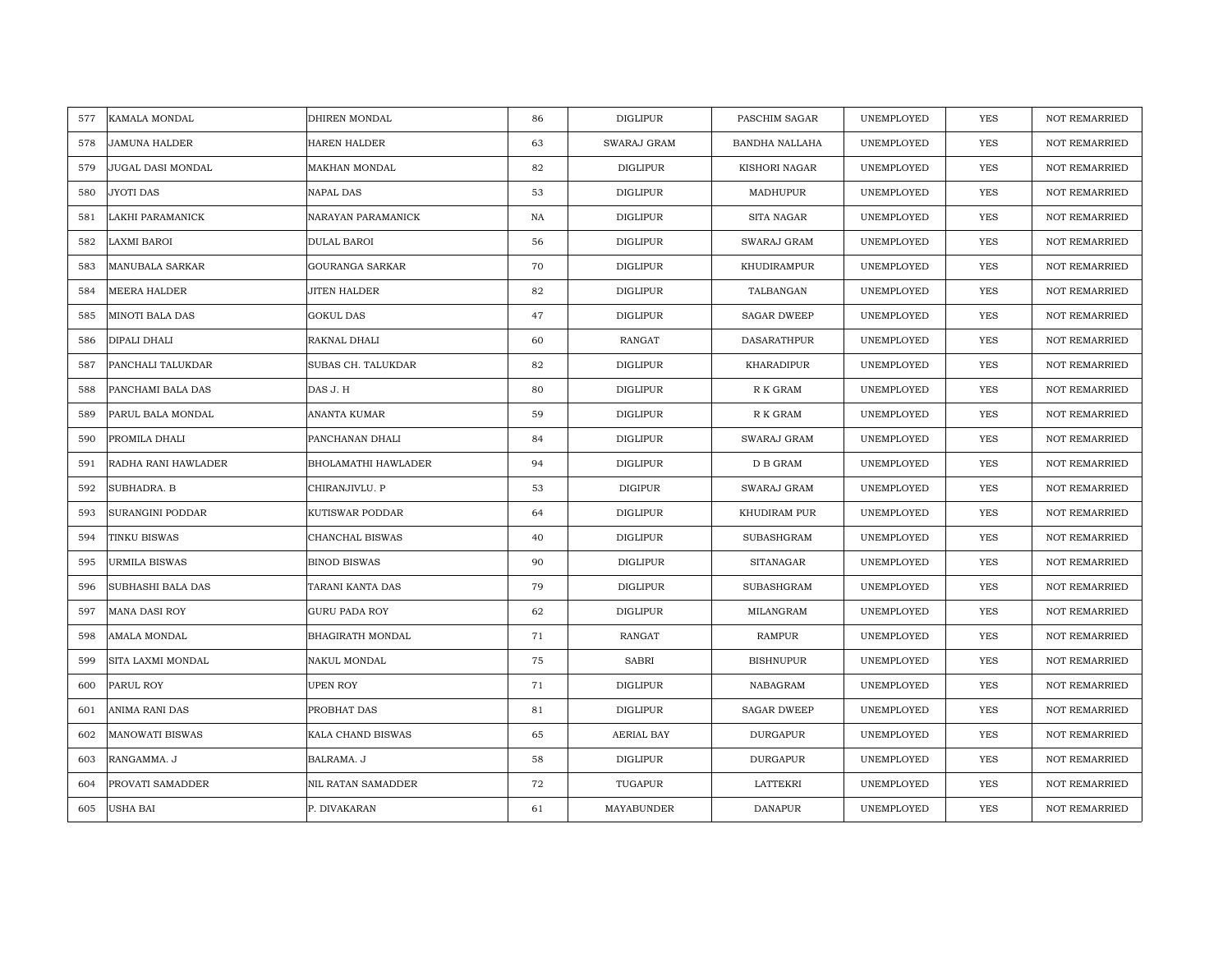| KAMALA MONDAL<br>577          | DHIREN MONDAL          | 86 | DIGLIPUR          | PASCHIM SAGAR      | UNEMPLOYED | <b>YES</b> | <b>NOT REMARRIED</b> |
|-------------------------------|------------------------|----|-------------------|--------------------|------------|------------|----------------------|
| JAMUNA HALDER<br>578          | <b>HAREN HALDER</b>    | 63 | SWARAJ GRAM       | BANDHA NALLAHA     | UNEMPLOYED | <b>YES</b> | <b>NOT REMARRIED</b> |
| JUGAL DASI MONDAL<br>579      | MAKHAN MONDAL          | 82 | <b>DIGLIPUR</b>   | KISHORI NAGAR      | UNEMPLOYED | YES        | <b>NOT REMARRIED</b> |
| JYOTI DAS<br>580              | NAPAL DAS              | 53 | DIGLIPUR          | MADHUPUR           | UNEMPLOYED | <b>YES</b> | <b>NOT REMARRIED</b> |
| 581<br>LAKHI PARAMANICK       | NARAYAN PARAMANICK     | NA | <b>DIGLIPUR</b>   | SITA NAGAR         | UNEMPLOYED | YES        | <b>NOT REMARRIED</b> |
| 582<br>LAXMI BAROI            | DULAL BAROI            | 56 | <b>DIGLIPUR</b>   | SWARAJ GRAM        | UNEMPLOYED | YES        | NOT REMARRIED        |
| 583<br>MANUBALA SARKAR        | <b>GOURANGA SARKAR</b> | 70 | DIGLIPUR          | KHUDIRAMPUR        | UNEMPLOYED | YES        | <b>NOT REMARRIED</b> |
| 584<br>MEERA HALDER           | JITEN HALDER           | 82 | DIGLIPUR          | TALBANGAN          | UNEMPLOYED | YES        | NOT REMARRIED        |
| <b>MINOTI BALA DAS</b><br>585 | <b>GOKUL DAS</b>       | 47 | <b>DIGLIPUR</b>   | <b>SAGAR DWEEP</b> | UNEMPLOYED | <b>YES</b> | NOT REMARRIED        |
| DIPALI DHALI<br>586           | RAKNAL DHALI           | 60 | <b>RANGAT</b>     | DASARATHPUR        | UNEMPLOYED | YES        | <b>NOT REMARRIED</b> |
| PANCHALI TALUKDAR<br>587      | SUBAS CH. TALUKDAR     | 82 | <b>DIGLIPUR</b>   | KHARADIPUR         | UNEMPLOYED | <b>YES</b> | <b>NOT REMARRIED</b> |
| PANCHAMI BALA DAS<br>588      | DAS J.H                | 80 | <b>DIGLIPUR</b>   | R K GRAM           | UNEMPLOYED | <b>YES</b> | <b>NOT REMARRIED</b> |
| 589<br>PARUL BALA MONDAL      | ANANTA KUMAR           | 59 | DIGLIPUR          | R K GRAM           | UNEMPLOYED | YES        | NOT REMARRIED        |
| PROMILA DHALI<br>590          | PANCHANAN DHALI        | 84 | <b>DIGLIPUR</b>   | SWARAJ GRAM        | UNEMPLOYED | <b>YES</b> | <b>NOT REMARRIED</b> |
| 591<br>RADHA RANI HAWLADER    | BHOLAMATHI HAWLADER    | 94 | <b>DIGLIPUR</b>   | ${\bf D}$ B GRAM   | UNEMPLOYED | YES        | NOT REMARRIED        |
| 592<br>SUBHADRA. B            | CHIRANJIVLU. P         | 53 | <b>DIGIPUR</b>    | SWARAJ GRAM        | UNEMPLOYED | YES        | <b>NOT REMARRIED</b> |
| SURANGINI PODDAR<br>593       | KUTISWAR PODDAR        | 64 | <b>DIGLIPUR</b>   | KHUDIRAM PUR       | UNEMPLOYED | YES        | <b>NOT REMARRIED</b> |
| 594<br>TINKU BISWAS           | CHANCHAL BISWAS        | 40 | DIGLIPUR          | <b>SUBASHGRAM</b>  | UNEMPLOYED | <b>YES</b> | <b>NOT REMARRIED</b> |
| URMILA BISWAS<br>595          | <b>BINOD BISWAS</b>    | 90 | <b>DIGLIPUR</b>   | <b>SITANAGAR</b>   | UNEMPLOYED | YES        | <b>NOT REMARRIED</b> |
| 596<br>SUBHASHI BALA DAS      | TARANI KANTA DAS       | 79 | <b>DIGLIPUR</b>   | SUBASHGRAM         | UNEMPLOYED | <b>YES</b> | <b>NOT REMARRIED</b> |
| 597<br><b>MANA DASI ROY</b>   | <b>GURU PADA ROY</b>   | 62 | <b>DIGLIPUR</b>   | MILANGRAM          | UNEMPLOYED | <b>YES</b> | <b>NOT REMARRIED</b> |
| AMALA MONDAL<br>598           | BHAGIRATH MONDAL       | 71 | <b>RANGAT</b>     | <b>RAMPUR</b>      | UNEMPLOYED | YES        | <b>NOT REMARRIED</b> |
| 599<br>SITA LAXMI MONDAL      | NAKUL MONDAL           | 75 | <b>SABRI</b>      | <b>BISHNUPUR</b>   | UNEMPLOYED | YES        | <b>NOT REMARRIED</b> |
| PARUL ROY<br>600              | <b>UPEN ROY</b>        | 71 | <b>DIGLIPUR</b>   | NABAGRAM           | UNEMPLOYED | YES        | <b>NOT REMARRIED</b> |
| ANIMA RANI DAS<br>601         | PROBHAT DAS            | 81 | DIGLIPUR          | <b>SAGAR DWEEP</b> | UNEMPLOYED | <b>YES</b> | <b>NOT REMARRIED</b> |
| 602<br><b>MANOWATI BISWAS</b> | KALA CHAND BISWAS      | 65 | <b>AERIAL BAY</b> | <b>DURGAPUR</b>    | UNEMPLOYED | YES        | NOT REMARRIED        |
| 603<br>RANGAMMA. J            | BALRAMA. J             | 58 | DIGLIPUR          | <b>DURGAPUR</b>    | UNEMPLOYED | <b>YES</b> | <b>NOT REMARRIED</b> |
| PROVATI SAMADDER<br>604       | NIL RATAN SAMADDER     | 72 | TUGAPUR           | LATTEKRI           | UNEMPLOYED | YES        | <b>NOT REMARRIED</b> |
| <b>USHA BAI</b><br>605        | P. DIVAKARAN           | 61 | MAYABUNDER        | <b>DANAPUR</b>     | UNEMPLOYED | YES        | NOT REMARRIED        |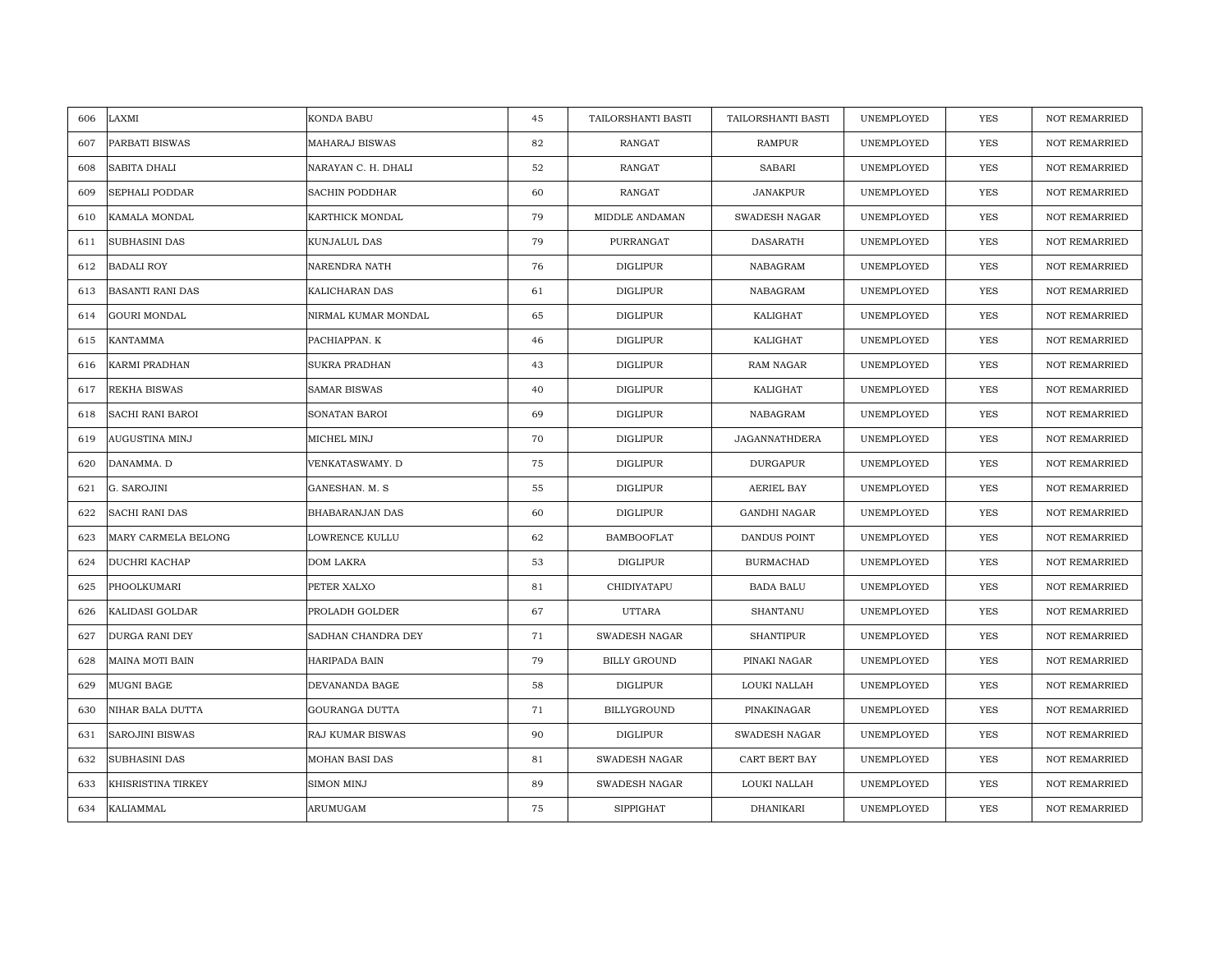| LAXMI<br>606                  | KONDA BABU            | 45 | TAILORSHANTI BASTI   | TAILORSHANTI BASTI   | UNEMPLOYED | <b>YES</b> | <b>NOT REMARRIED</b> |
|-------------------------------|-----------------------|----|----------------------|----------------------|------------|------------|----------------------|
| PARBATI BISWAS<br>607         | <b>MAHARAJ BISWAS</b> | 82 | <b>RANGAT</b>        | <b>RAMPUR</b>        | UNEMPLOYED | <b>YES</b> | <b>NOT REMARRIED</b> |
| SABITA DHALI<br>608           | NARAYAN C. H. DHALI   | 52 | <b>RANGAT</b>        | <b>SABARI</b>        | UNEMPLOYED | YES        | <b>NOT REMARRIED</b> |
| 609<br>SEPHALI PODDAR         | SACHIN PODDHAR        | 60 | RANGAT               | <b>JANAKPUR</b>      | UNEMPLOYED | YES        | <b>NOT REMARRIED</b> |
| 610<br>KAMALA MONDAL          | KARTHICK MONDAL       | 79 | MIDDLE ANDAMAN       | SWADESH NAGAR        | UNEMPLOYED | YES        | <b>NOT REMARRIED</b> |
| SUBHASINI DAS<br>611          | KUNJALUL DAS          | 79 | PURRANGAT            | <b>DASARATH</b>      | UNEMPLOYED | YES        | NOT REMARRIED        |
| <b>BADALI ROY</b><br>612      | NARENDRA NATH         | 76 | DIGLIPUR             | NABAGRAM             | UNEMPLOYED | YES        | <b>NOT REMARRIED</b> |
| 613<br>BASANTI RANI DAS       | KALICHARAN DAS        | 61 | DIGLIPUR             | NABAGRAM             | UNEMPLOYED | YES        | NOT REMARRIED        |
| <b>GOURI MONDAL</b><br>614    | NIRMAL KUMAR MONDAL   | 65 | DIGLIPUR             | KALIGHAT             | UNEMPLOYED | <b>YES</b> | NOT REMARRIED        |
| <b>KANTAMMA</b><br>615        | PACHIAPPAN. K         | 46 | <b>DIGLIPUR</b>      | KALIGHAT             | UNEMPLOYED | YES        | <b>NOT REMARRIED</b> |
| KARMI PRADHAN<br>616          | <b>SUKRA PRADHAN</b>  | 43 | DIGLIPUR             | RAM NAGAR            | UNEMPLOYED | <b>YES</b> | <b>NOT REMARRIED</b> |
| REKHA BISWAS<br>617           | <b>SAMAR BISWAS</b>   | 40 | DIGLIPUR             | KALIGHAT             | UNEMPLOYED | <b>YES</b> | <b>NOT REMARRIED</b> |
| 618<br>SACHI RANI BAROI       | SONATAN BAROI         | 69 | DIGLIPUR             | NABAGRAM             | UNEMPLOYED | YES        | NOT REMARRIED        |
| AUGUSTINA MINJ<br>619         | MICHEL MINJ           | 70 | <b>DIGLIPUR</b>      | <b>JAGANNATHDERA</b> | UNEMPLOYED | <b>YES</b> | <b>NOT REMARRIED</b> |
| 620<br>DANAMMA. D             | VENKATASWAMY. D       | 75 | <b>DIGLIPUR</b>      | <b>DURGAPUR</b>      | UNEMPLOYED | YES        | NOT REMARRIED        |
| 621<br>G. SAROJINI            | GANESHAN. M. S        | 55 | <b>DIGLIPUR</b>      | <b>AERIEL BAY</b>    | UNEMPLOYED | YES        | <b>NOT REMARRIED</b> |
| <b>SACHI RANI DAS</b><br>622  | BHABARANJAN DAS       | 60 | <b>DIGLIPUR</b>      | <b>GANDHI NAGAR</b>  | UNEMPLOYED | YES        | <b>NOT REMARRIED</b> |
| 623<br>MARY CARMELA BELONG    | LOWRENCE KULLU        | 62 | <b>BAMBOOFLAT</b>    | <b>DANDUS POINT</b>  | UNEMPLOYED | <b>YES</b> | <b>NOT REMARRIED</b> |
| DUCHRI KACHAP<br>624          | DOM LAKRA             | 53 | <b>DIGLIPUR</b>      | <b>BURMACHAD</b>     | UNEMPLOYED | YES        | <b>NOT REMARRIED</b> |
| 625<br>PHOOLKUMARI            | PETER XALXO           | 81 | CHIDIYATAPU          | <b>BADA BALU</b>     | UNEMPLOYED | <b>YES</b> | <b>NOT REMARRIED</b> |
| KALIDASI GOLDAR<br>626        | PROLADH GOLDER        | 67 | <b>UTTARA</b>        | <b>SHANTANU</b>      | UNEMPLOYED | <b>YES</b> | <b>NOT REMARRIED</b> |
| DURGA RANI DEY<br>627         | SADHAN CHANDRA DEY    | 71 | <b>SWADESH NAGAR</b> | <b>SHANTIPUR</b>     | UNEMPLOYED | YES        | <b>NOT REMARRIED</b> |
| MAINA MOTI BAIN<br>628        | HARIPADA BAIN         | 79 | <b>BILLY GROUND</b>  | PINAKI NAGAR         | UNEMPLOYED | <b>YES</b> | <b>NOT REMARRIED</b> |
| 629<br>MUGNI BAGE             | DEVANANDA BAGE        | 58 | <b>DIGLIPUR</b>      | LOUKI NALLAH         | UNEMPLOYED | YES        | <b>NOT REMARRIED</b> |
| NIHAR BALA DUTTA<br>630       | GOURANGA DUTTA        | 71 | <b>BILLYGROUND</b>   | PINAKINAGAR          | UNEMPLOYED | <b>YES</b> | <b>NOT REMARRIED</b> |
| 631<br><b>SAROJINI BISWAS</b> | RAJ KUMAR BISWAS      | 90 | DIGLIPUR             | SWADESH NAGAR        | UNEMPLOYED | YES        | NOT REMARRIED        |
| 632<br>SUBHASINI DAS          | MOHAN BASI DAS        | 81 | SWADESH NAGAR        | CART BERT BAY        | UNEMPLOYED | <b>YES</b> | <b>NOT REMARRIED</b> |
| KHISRISTINA TIRKEY<br>633     | <b>SIMON MINJ</b>     | 89 | <b>SWADESH NAGAR</b> | LOUKI NALLAH         | UNEMPLOYED | YES        | <b>NOT REMARRIED</b> |
| KALIAMMAL<br>634              | ARUMUGAM              | 75 | <b>SIPPIGHAT</b>     | DHANIKARI            | UNEMPLOYED | YES        | NOT REMARRIED        |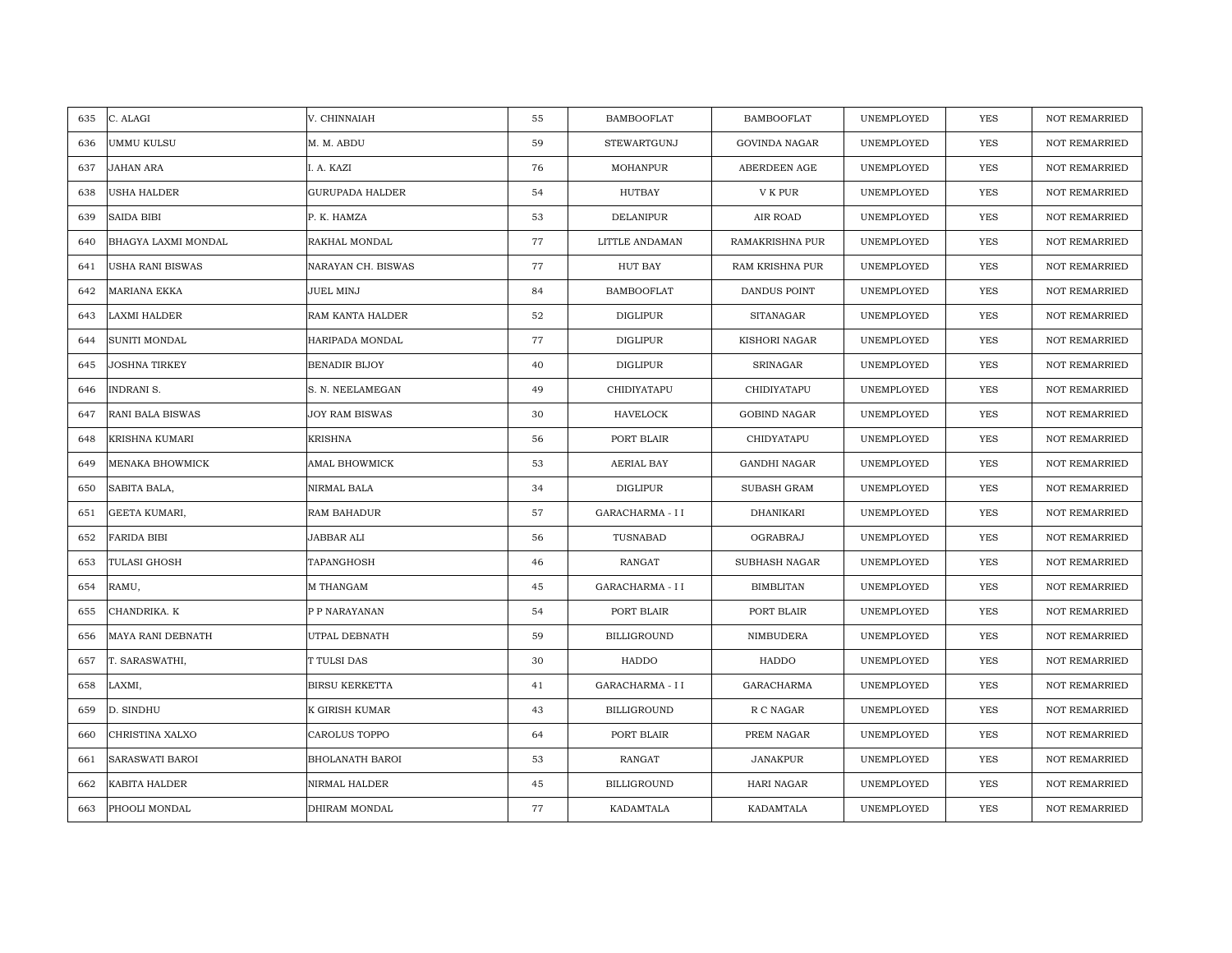| 635 | C. ALAGI               | V. CHINNAIAH           | 55 | <b>BAMBOOFLAT</b>  | <b>BAMBOOFLAT</b>    | UNEMPLOYED | YES        | <b>NOT REMARRIED</b> |
|-----|------------------------|------------------------|----|--------------------|----------------------|------------|------------|----------------------|
| 636 | <b>UMMU KULSU</b>      | M. M. ABDU             | 59 | STEWARTGUNJ        | <b>GOVINDA NAGAR</b> | UNEMPLOYED | <b>YES</b> | <b>NOT REMARRIED</b> |
| 637 | JAHAN ARA              | I. A. KAZI             | 76 | <b>MOHANPUR</b>    | ABERDEEN AGE         | UNEMPLOYED | YES        | <b>NOT REMARRIED</b> |
| 638 | USHA HALDER            | <b>GURUPADA HALDER</b> | 54 | HUTBAY             | V K PUR              | UNEMPLOYED | YES        | <b>NOT REMARRIED</b> |
| 639 | <b>SAIDA BIBI</b>      | P. K. HAMZA            | 53 | <b>DELANIPUR</b>   | AIR ROAD             | UNEMPLOYED | YES        | NOT REMARRIED        |
| 640 | BHAGYA LAXMI MONDAL    | RAKHAL MONDAL          | 77 | LITTLE ANDAMAN     | RAMAKRISHNA PUR      | UNEMPLOYED | YES        | NOT REMARRIED        |
| 641 | USHA RANI BISWAS       | NARAYAN CH. BISWAS     | 77 | <b>HUT BAY</b>     | RAM KRISHNA PUR      | UNEMPLOYED | YES        | <b>NOT REMARRIED</b> |
| 642 | MARIANA EKKA           | JUEL MINJ              | 84 | <b>BAMBOOFLAT</b>  | DANDUS POINT         | UNEMPLOYED | YES        | <b>NOT REMARRIED</b> |
| 643 | LAXMI HALDER           | RAM KANTA HALDER       | 52 | <b>DIGLIPUR</b>    | <b>SITANAGAR</b>     | UNEMPLOYED | <b>YES</b> | NOT REMARRIED        |
| 644 | <b>SUNITI MONDAL</b>   | HARIPADA MONDAL        | 77 | <b>DIGLIPUR</b>    | KISHORI NAGAR        | UNEMPLOYED | <b>YES</b> | <b>NOT REMARRIED</b> |
| 645 | <b>JOSHNA TIRKEY</b>   | <b>BENADIR BIJOY</b>   | 40 | <b>DIGLIPUR</b>    | SRINAGAR             | UNEMPLOYED | <b>YES</b> | <b>NOT REMARRIED</b> |
| 646 | <b>INDRANI S.</b>      | S. N. NEELAMEGAN       | 49 | CHIDIYATAPU        | CHIDIYATAPU          | UNEMPLOYED | <b>YES</b> | <b>NOT REMARRIED</b> |
| 647 | RANI BALA BISWAS       | <b>JOY RAM BISWAS</b>  | 30 | HAVELOCK           | <b>GOBIND NAGAR</b>  | UNEMPLOYED | YES        | <b>NOT REMARRIED</b> |
| 648 | <b>KRISHNA KUMARI</b>  | <b>KRISHNA</b>         | 56 | PORT BLAIR         | CHIDYATAPU           | UNEMPLOYED | <b>YES</b> | NOT REMARRIED        |
| 649 | MENAKA BHOWMICK        | AMAL BHOWMICK          | 53 | AERIAL BAY         | <b>GANDHI NAGAR</b>  | UNEMPLOYED | YES        | NOT REMARRIED        |
| 650 | SABITA BALA,           | NIRMAL BALA            | 34 | <b>DIGLIPUR</b>    | <b>SUBASH GRAM</b>   | UNEMPLOYED | YES        | <b>NOT REMARRIED</b> |
| 651 | GEETA KUMARI,          | RAM BAHADUR            | 57 | GARACHARMA - I I   | DHANIKARI            | UNEMPLOYED | YES        | <b>NOT REMARRIED</b> |
| 652 | <b>FARIDA BIBI</b>     | JABBAR ALI             | 56 | TUSNABAD           | OGRABRAJ             | UNEMPLOYED | YES        | <b>NOT REMARRIED</b> |
| 653 | TULASI GHOSH           | TAPANGHOSH             | 46 | RANGAT             | SUBHASH NAGAR        | UNEMPLOYED | YES        | NOT REMARRIED        |
| 654 | RAMU,                  | M THANGAM              | 45 | GARACHARMA - I I   | <b>BIMBLITAN</b>     | UNEMPLOYED | <b>YES</b> | <b>NOT REMARRIED</b> |
| 655 | CHANDRIKA. K           | P P NARAYANAN          | 54 | PORT BLAIR         | PORT BLAIR           | UNEMPLOYED | YES        | <b>NOT REMARRIED</b> |
| 656 | MAYA RANI DEBNATH      | UTPAL DEBNATH          | 59 | <b>BILLIGROUND</b> | NIMBUDERA            | UNEMPLOYED | <b>YES</b> | <b>NOT REMARRIED</b> |
| 657 | T. SARASWATHI,         | T TULSI DAS            | 30 | HADDO              | HADDO                | UNEMPLOYED | YES        | <b>NOT REMARRIED</b> |
| 658 | LAXMI,                 | <b>BIRSU KERKETTA</b>  | 41 | GARACHARMA - I I   | <b>GARACHARMA</b>    | UNEMPLOYED | YES        | NOT REMARRIED        |
| 659 | D. SINDHU              | K GIRISH KUMAR         | 43 | <b>BILLIGROUND</b> | R C NAGAR            | UNEMPLOYED | <b>YES</b> | <b>NOT REMARRIED</b> |
| 660 | CHRISTINA XALXO        | CAROLUS TOPPO          | 64 | PORT BLAIR         | PREM NAGAR           | UNEMPLOYED | YES        | NOT REMARRIED        |
| 661 | <b>SARASWATI BAROI</b> | <b>BHOLANATH BAROI</b> | 53 | RANGAT             | JANAKPUR             | UNEMPLOYED | <b>YES</b> | <b>NOT REMARRIED</b> |
| 662 | <b>KABITA HALDER</b>   | NIRMAL HALDER          | 45 | <b>BILLIGROUND</b> | <b>HARI NAGAR</b>    | UNEMPLOYED | YES        | <b>NOT REMARRIED</b> |
| 663 | PHOOLI MONDAL          | DHIRAM MONDAL          | 77 | KADAMTALA          | KADAMTALA            | UNEMPLOYED | YES        | NOT REMARRIED        |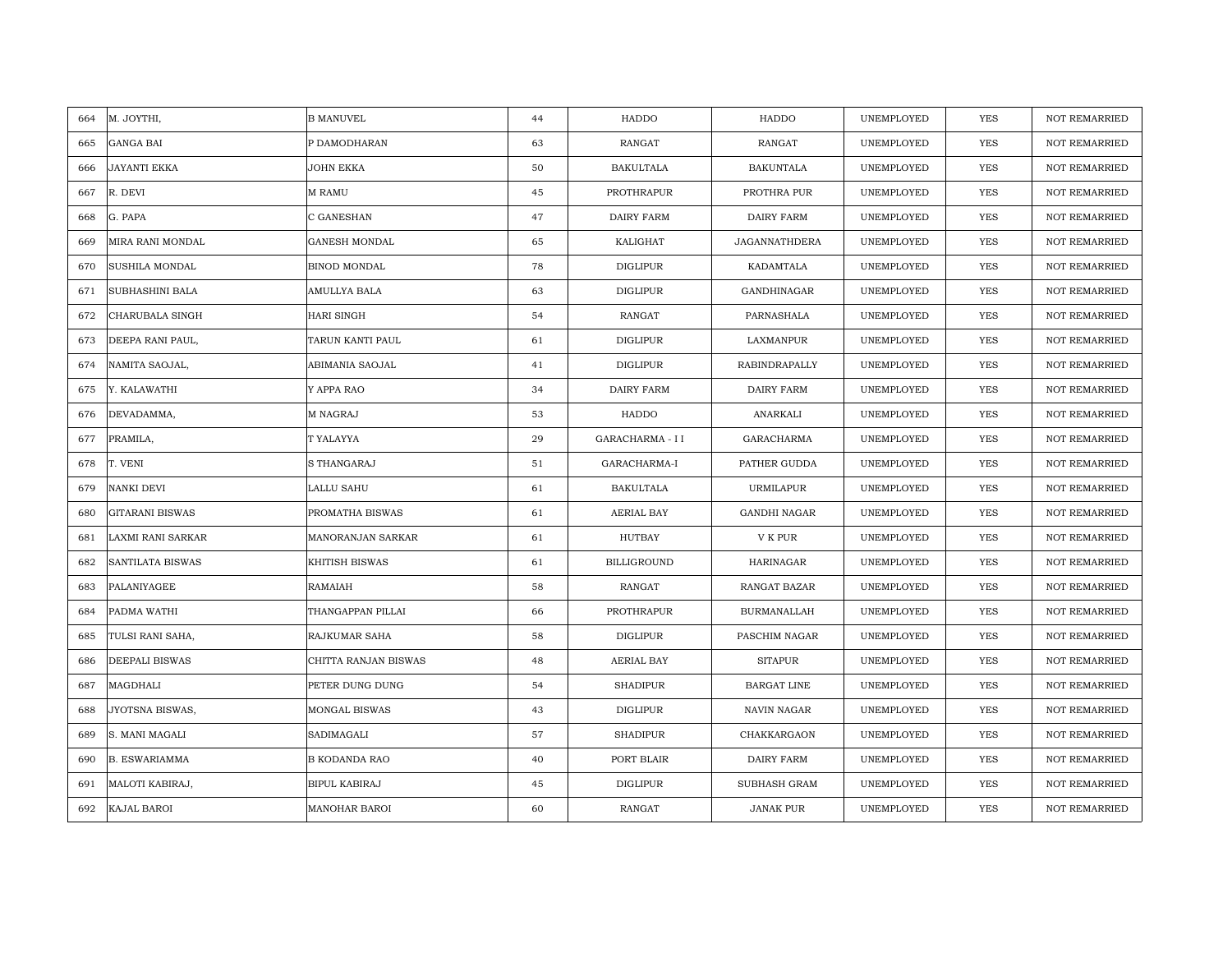| 664 | M. JOYTHI,             | <b>B MANUVEL</b>     | 44 | HADDO              | HADDO                | UNEMPLOYED | <b>YES</b> | <b>NOT REMARRIED</b> |
|-----|------------------------|----------------------|----|--------------------|----------------------|------------|------------|----------------------|
| 665 | <b>GANGA BAI</b>       | P DAMODHARAN         | 63 | RANGAT             | RANGAT               | UNEMPLOYED | <b>YES</b> | <b>NOT REMARRIED</b> |
| 666 | <b>JAYANTI EKKA</b>    | JOHN EKKA            | 50 | <b>BAKULTALA</b>   | <b>BAKUNTALA</b>     | UNEMPLOYED | YES        | <b>NOT REMARRIED</b> |
| 667 | R. DEVI                | M RAMU               | 45 | PROTHRAPUR         | PROTHRA PUR          | UNEMPLOYED | YES        | <b>NOT REMARRIED</b> |
| 668 | G. PAPA                | C GANESHAN           | 47 | DAIRY FARM         | <b>DAIRY FARM</b>    | UNEMPLOYED | YES        | <b>NOT REMARRIED</b> |
| 669 | MIRA RANI MONDAL       | GANESH MONDAL        | 65 | KALIGHAT           | <b>JAGANNATHDERA</b> | UNEMPLOYED | <b>YES</b> | <b>NOT REMARRIED</b> |
| 670 | <b>SUSHILA MONDAL</b>  | BINOD MONDAL         | 78 | <b>DIGLIPUR</b>    | KADAMTALA            | UNEMPLOYED | <b>YES</b> | <b>NOT REMARRIED</b> |
| 671 | SUBHASHINI BALA        | AMULLYA BALA         | 63 | <b>DIGLIPUR</b>    | GANDHINAGAR          | UNEMPLOYED | YES        | <b>NOT REMARRIED</b> |
| 672 | CHARUBALA SINGH        | HARI SINGH           | 54 | RANGAT             | PARNASHALA           | UNEMPLOYED | <b>YES</b> | NOT REMARRIED        |
| 673 | DEEPA RANI PAUL,       | TARUN KANTI PAUL     | 61 | <b>DIGLIPUR</b>    | LAXMANPUR            | UNEMPLOYED | <b>YES</b> | <b>NOT REMARRIED</b> |
| 674 | NAMITA SAOJAL,         | ABIMANIA SAOJAL      | 41 | <b>DIGLIPUR</b>    | <b>RABINDRAPALLY</b> | UNEMPLOYED | <b>YES</b> | <b>NOT REMARRIED</b> |
| 675 | Y. KALAWATHI           | Y APPA RAO           | 34 | <b>DAIRY FARM</b>  | <b>DAIRY FARM</b>    | UNEMPLOYED | <b>YES</b> | <b>NOT REMARRIED</b> |
| 676 | DEVADAMMA,             | M NAGRAJ             | 53 | HADDO              | ANARKALI             | UNEMPLOYED | YES        | <b>NOT REMARRIED</b> |
| 677 | PRAMILA,               | T YALAYYA            | 29 | GARACHARMA - I I   | GARACHARMA           | UNEMPLOYED | <b>YES</b> | <b>NOT REMARRIED</b> |
| 678 | T. VENI                | S THANGARAJ          | 51 | GARACHARMA-I       | PATHER GUDDA         | UNEMPLOYED | YES        | NOT REMARRIED        |
| 679 | NANKI DEVI             | LALLU SAHU           | 61 | <b>BAKULTALA</b>   | URMILAPUR            | UNEMPLOYED | <b>YES</b> | <b>NOT REMARRIED</b> |
| 680 | <b>GITARANI BISWAS</b> | PROMATHA BISWAS      | 61 | AERIAL BAY         | <b>GANDHI NAGAR</b>  | UNEMPLOYED | YES        | <b>NOT REMARRIED</b> |
| 681 | LAXMI RANI SARKAR      | MANORANJAN SARKAR    | 61 | HUTBAY             | V K PUR              | UNEMPLOYED | <b>YES</b> | <b>NOT REMARRIED</b> |
| 682 | SANTILATA BISWAS       | KHITISH BISWAS       | 61 | <b>BILLIGROUND</b> | HARINAGAR            | UNEMPLOYED | YES        | <b>NOT REMARRIED</b> |
| 683 | PALANIYAGEE            | RAMAIAH              | 58 | RANGAT             | <b>RANGAT BAZAR</b>  | UNEMPLOYED | <b>YES</b> | <b>NOT REMARRIED</b> |
| 684 | PADMA WATHI            | THANGAPPAN PILLAI    | 66 | PROTHRAPUR         | <b>BURMANALLAH</b>   | UNEMPLOYED | <b>YES</b> | <b>NOT REMARRIED</b> |
| 685 | TULSI RANI SAHA,       | RAJKUMAR SAHA        | 58 | <b>DIGLIPUR</b>    | PASCHIM NAGAR        | UNEMPLOYED | <b>YES</b> | <b>NOT REMARRIED</b> |
| 686 | DEEPALI BISWAS         | CHITTA RANJAN BISWAS | 48 | AERIAL BAY         | <b>SITAPUR</b>       | UNEMPLOYED | <b>YES</b> | <b>NOT REMARRIED</b> |
| 687 | MAGDHALI               | PETER DUNG DUNG      | 54 | <b>SHADIPUR</b>    | BARGAT LINE          | UNEMPLOYED | YES        | <b>NOT REMARRIED</b> |
| 688 | JYOTSNA BISWAS,        | MONGAL BISWAS        | 43 | <b>DIGLIPUR</b>    | NAVIN NAGAR          | UNEMPLOYED | <b>YES</b> | <b>NOT REMARRIED</b> |
| 689 | S. MANI MAGALI         | SADIMAGALI           | 57 | <b>SHADIPUR</b>    | CHAKKARGAON          | UNEMPLOYED | YES        | NOT REMARRIED        |
| 690 | <b>B. ESWARIAMMA</b>   | B KODANDA RAO        | 40 | PORT BLAIR         | DAIRY FARM           | UNEMPLOYED | <b>YES</b> | <b>NOT REMARRIED</b> |
| 691 | MALOTI KABIRAJ,        | BIPUL KABIRAJ        | 45 | DIGLIPUR           | SUBHASH GRAM         | UNEMPLOYED | YES        | <b>NOT REMARRIED</b> |
| 692 | KAJAL BAROI            | MANOHAR BAROI        | 60 | RANGAT             | <b>JANAK PUR</b>     | UNEMPLOYED | YES        | NOT REMARRIED        |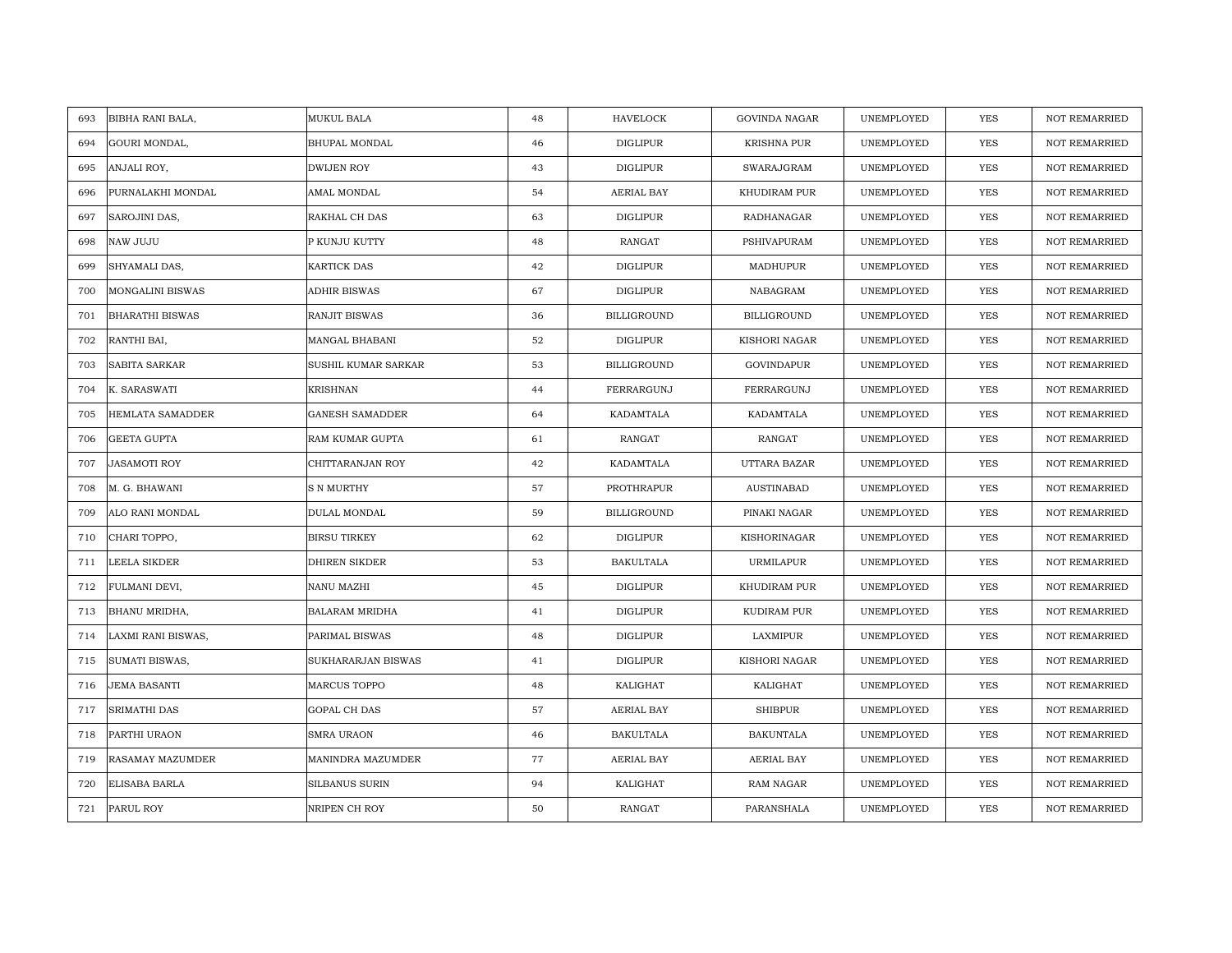| 693<br>BIBHA RANI BALA,        | MUKUL BALA             | 48 | HAVELOCK           | <b>GOVINDA NAGAR</b> | UNEMPLOYED | <b>YES</b> | <b>NOT REMARRIED</b> |
|--------------------------------|------------------------|----|--------------------|----------------------|------------|------------|----------------------|
| 694<br>GOURI MONDAL,           | <b>BHUPAL MONDAL</b>   | 46 | <b>DIGLIPUR</b>    | <b>KRISHNA PUR</b>   | UNEMPLOYED | <b>YES</b> | NOT REMARRIED        |
| 695<br>ANJALI ROY,             | <b>DWIJEN ROY</b>      | 43 | <b>DIGLIPUR</b>    | SWARAJGRAM           | UNEMPLOYED | YES        | <b>NOT REMARRIED</b> |
| PURNALAKHI MONDAL<br>696       | AMAL MONDAL            | 54 | AERIAL BAY         | KHUDIRAM PUR         | UNEMPLOYED | <b>YES</b> | <b>NOT REMARRIED</b> |
| 697<br>SAROJINI DAS,           | RAKHAL CH DAS          | 63 | DIGLIPUR           | RADHANAGAR           | UNEMPLOYED | YES        | <b>NOT REMARRIED</b> |
| 698<br>NAW JUJU                | P KUNJU KUTTY          | 48 | RANGAT             | PSHIVAPURAM          | UNEMPLOYED | YES        | NOT REMARRIED        |
| SHYAMALI DAS,<br>699           | <b>KARTICK DAS</b>     | 42 | <b>DIGLIPUR</b>    | MADHUPUR             | UNEMPLOYED | <b>YES</b> | <b>NOT REMARRIED</b> |
| 700<br><b>MONGALINI BISWAS</b> | ADHIR BISWAS           | 67 | DIGLIPUR           | NABAGRAM             | UNEMPLOYED | YES        | <b>NOT REMARRIED</b> |
| 701<br><b>BHARATHI BISWAS</b>  | RANJIT BISWAS          | 36 | <b>BILLIGROUND</b> | <b>BILLIGROUND</b>   | UNEMPLOYED | YES        | NOT REMARRIED        |
| RANTHI BAI,<br>702             | MANGAL BHABANI         | 52 | <b>DIGLIPUR</b>    | KISHORI NAGAR        | UNEMPLOYED | YES        | NOT REMARRIED        |
| 703<br>SABITA SARKAR           | SUSHIL KUMAR SARKAR    | 53 | <b>BILLIGROUND</b> | GOVINDAPUR           | UNEMPLOYED | YES        | <b>NOT REMARRIED</b> |
| 704<br>K. SARASWATI            | <b>KRISHNAN</b>        | 44 | FERRARGUNJ         | FERRARGUNJ           | UNEMPLOYED | YES        | NOT REMARRIED        |
| HEMLATA SAMADDER<br>705        | <b>GANESH SAMADDER</b> | 64 | KADAMTALA          | KADAMTALA            | UNEMPLOYED | YES        | NOT REMARRIED        |
| <b>GEETA GUPTA</b><br>706      | RAM KUMAR GUPTA        | 61 | <b>RANGAT</b>      | RANGAT               | UNEMPLOYED | <b>YES</b> | <b>NOT REMARRIED</b> |
| 707<br><b>JASAMOTI ROY</b>     | CHITTARANJAN ROY       | 42 | KADAMTALA          | UTTARA BAZAR         | UNEMPLOYED | <b>YES</b> | <b>NOT REMARRIED</b> |
| M. G. BHAWANI<br>708           | S N MURTHY             | 57 | PROTHRAPUR         | <b>AUSTINABAD</b>    | UNEMPLOYED | <b>YES</b> | NOT REMARRIED        |
| ALO RANI MONDAL<br>709         | DULAL MONDAL           | 59 | <b>BILLIGROUND</b> | PINAKI NAGAR         | UNEMPLOYED | YES        | <b>NOT REMARRIED</b> |
| 710<br>CHARI TOPPO,            | <b>BIRSU TIRKEY</b>    | 62 | DIGLIPUR           | KISHORINAGAR         | UNEMPLOYED | <b>YES</b> | <b>NOT REMARRIED</b> |
| LEELA SIKDER<br>711            | <b>DHIREN SIKDER</b>   | 53 | <b>BAKULTALA</b>   | URMILAPUR            | UNEMPLOYED | <b>YES</b> | <b>NOT REMARRIED</b> |
| 712<br>FULMANI DEVI,           | NANU MAZHI             | 45 | DIGLIPUR           | KHUDIRAM PUR         | UNEMPLOYED | YES        | <b>NOT REMARRIED</b> |
| BHANU MRIDHA,<br>713           | BALARAM MRIDHA         | 41 | <b>DIGLIPUR</b>    | KUDIRAM PUR          | UNEMPLOYED | <b>YES</b> | <b>NOT REMARRIED</b> |
| 714<br>LAXMI RANI BISWAS,      | PARIMAL BISWAS         | 48 | DIGLIPUR           | LAXMIPUR             | UNEMPLOYED | YES        | NOT REMARRIED        |
| 715<br>SUMATI BISWAS,          | SUKHARARJAN BISWAS     | 41 | <b>DIGLIPUR</b>    | KISHORI NAGAR        | UNEMPLOYED | YES        | <b>NOT REMARRIED</b> |
| <b>JEMA BASANTI</b><br>716     | <b>MARCUS TOPPO</b>    | 48 | KALIGHAT           | KALIGHAT             | UNEMPLOYED | YES        | NOT REMARRIED        |
| 717<br>SRIMATHI DAS            | GOPAL CH DAS           | 57 | AERIAL BAY         | <b>SHIBPUR</b>       | UNEMPLOYED | <b>YES</b> | <b>NOT REMARRIED</b> |
| 718<br>PARTHI URAON            | SMRA URAON             | 46 | <b>BAKULTALA</b>   | <b>BAKUNTALA</b>     | UNEMPLOYED | YES        | NOT REMARRIED        |
| 719<br>RASAMAY MAZUMDER        | MANINDRA MAZUMDER      | 77 | AERIAL BAY         | <b>AERIAL BAY</b>    | UNEMPLOYED | <b>YES</b> | <b>NOT REMARRIED</b> |
| 720<br>ELISABA BARLA           | <b>SILBANUS SURIN</b>  | 94 | KALIGHAT           | RAM NAGAR            | UNEMPLOYED | YES        | <b>NOT REMARRIED</b> |
| PARUL ROY<br>721               | NRIPEN CH ROY          | 50 | RANGAT             | PARANSHALA           | UNEMPLOYED | YES        | NOT REMARRIED        |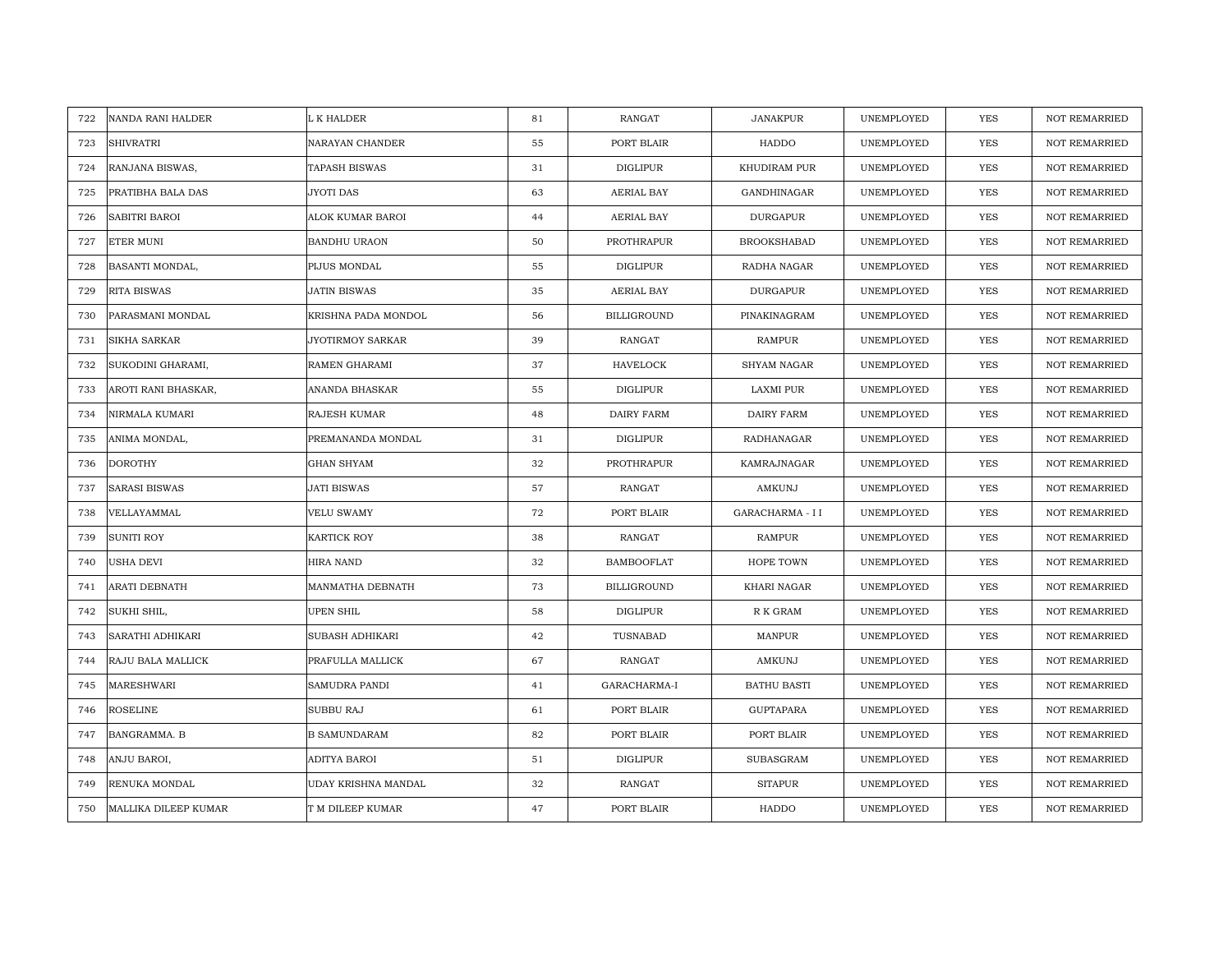| 722 | NANDA RANI HALDER    | L K HALDER           | 81 | RANGAT             | <b>JANAKPUR</b>    | UNEMPLOYED | <b>YES</b> | <b>NOT REMARRIED</b> |
|-----|----------------------|----------------------|----|--------------------|--------------------|------------|------------|----------------------|
| 723 | <b>SHIVRATRI</b>     | NARAYAN CHANDER      | 55 | PORT BLAIR         | HADDO              | UNEMPLOYED | <b>YES</b> | NOT REMARRIED        |
| 724 | RANJANA BISWAS,      | <b>TAPASH BISWAS</b> | 31 | <b>DIGLIPUR</b>    | KHUDIRAM PUR       | UNEMPLOYED | <b>YES</b> | <b>NOT REMARRIED</b> |
| 725 | PRATIBHA BALA DAS    | <b>JYOTI DAS</b>     | 63 | AERIAL BAY         | GANDHINAGAR        | UNEMPLOYED | YES        | <b>NOT REMARRIED</b> |
| 726 | <b>SABITRI BAROI</b> | ALOK KUMAR BAROI     | 44 | AERIAL BAY         | <b>DURGAPUR</b>    | UNEMPLOYED | YES        | <b>NOT REMARRIED</b> |
| 727 | ETER MUNI            | BANDHU URAON         | 50 | PROTHRAPUR         | <b>BROOKSHABAD</b> | UNEMPLOYED | YES        | <b>NOT REMARRIED</b> |
| 728 | BASANTI MONDAL,      | PIJUS MONDAL         | 55 | <b>DIGLIPUR</b>    | RADHA NAGAR        | UNEMPLOYED | <b>YES</b> | <b>NOT REMARRIED</b> |
| 729 | RITA BISWAS          | JATIN BISWAS         | 35 | AERIAL BAY         | <b>DURGAPUR</b>    | UNEMPLOYED | <b>YES</b> | <b>NOT REMARRIED</b> |
| 730 | PARASMANI MONDAL     | KRISHNA PADA MONDOL  | 56 | <b>BILLIGROUND</b> | PINAKINAGRAM       | UNEMPLOYED | YES        | <b>NOT REMARRIED</b> |
| 731 | SIKHA SARKAR         | JYOTIRMOY SARKAR     | 39 | <b>RANGAT</b>      | <b>RAMPUR</b>      | UNEMPLOYED | YES        | NOT REMARRIED        |
| 732 | SUKODINI GHARAMI,    | RAMEN GHARAMI        | 37 | HAVELOCK           | SHYAM NAGAR        | UNEMPLOYED | YES        | <b>NOT REMARRIED</b> |
| 733 | AROTI RANI BHASKAR,  | ANANDA BHASKAR       | 55 | <b>DIGLIPUR</b>    | LAXMI PUR          | UNEMPLOYED | YES        | NOT REMARRIED        |
| 734 | NIRMALA KUMARI       | RAJESH KUMAR         | 48 | DAIRY FARM         | DAIRY FARM         | UNEMPLOYED | YES        | NOT REMARRIED        |
| 735 | ANIMA MONDAL,        | PREMANANDA MONDAL    | 31 | <b>DIGLIPUR</b>    | RADHANAGAR         | UNEMPLOYED | <b>YES</b> | <b>NOT REMARRIED</b> |
| 736 | <b>DOROTHY</b>       | <b>GHAN SHYAM</b>    | 32 | PROTHRAPUR         | KAMRAJNAGAR        | UNEMPLOYED | <b>YES</b> | <b>NOT REMARRIED</b> |
| 737 | <b>SARASI BISWAS</b> | JATI BISWAS          | 57 | RANGAT             | AMKUNJ             | UNEMPLOYED | <b>YES</b> | NOT REMARRIED        |
| 738 | VELLAYAMMAL          | <b>VELU SWAMY</b>    | 72 | PORT BLAIR         | GARACHARMA - I I   | UNEMPLOYED | <b>YES</b> | <b>NOT REMARRIED</b> |
| 739 | SUNITI ROY           | KARTICK ROY          | 38 | RANGAT             | RAMPUR             | UNEMPLOYED | <b>YES</b> | <b>NOT REMARRIED</b> |
| 740 | <b>USHA DEVI</b>     | HIRA NAND            | 32 | <b>BAMBOOFLAT</b>  | HOPE TOWN          | UNEMPLOYED | <b>YES</b> | <b>NOT REMARRIED</b> |
| 741 | ARATI DEBNATH        | MANMATHA DEBNATH     | 73 | <b>BILLIGROUND</b> | KHARI NAGAR        | UNEMPLOYED | YES        | <b>NOT REMARRIED</b> |
| 742 | SUKHI SHIL,          | <b>UPEN SHIL</b>     | 58 | <b>DIGLIPUR</b>    | R K GRAM           | UNEMPLOYED | <b>YES</b> | NOT REMARRIED        |
| 743 | SARATHI ADHIKARI     | SUBASH ADHIKARI      | 42 | TUSNABAD           | MANPUR             | UNEMPLOYED | YES        | NOT REMARRIED        |
| 744 | RAJU BALA MALLICK    | PRAFULLA MALLICK     | 67 | RANGAT             | AMKUNJ             | UNEMPLOYED | YES        | NOT REMARRIED        |
| 745 | MARESHWARI           | <b>SAMUDRA PANDI</b> | 41 | GARACHARMA-I       | <b>BATHU BASTI</b> | UNEMPLOYED | YES        | NOT REMARRIED        |
| 746 | <b>ROSELINE</b>      | SUBBU RAJ            | 61 | PORT BLAIR         | <b>GUPTAPARA</b>   | UNEMPLOYED | <b>YES</b> | <b>NOT REMARRIED</b> |
| 747 | BANGRAMMA. B         | <b>B SAMUNDARAM</b>  | 82 | PORT BLAIR         | PORT BLAIR         | UNEMPLOYED | YES        | NOT REMARRIED        |
| 748 | ANJU BAROI,          | ADITYA BAROI         | 51 | <b>DIGLIPUR</b>    | <b>SUBASGRAM</b>   | UNEMPLOYED | <b>YES</b> | <b>NOT REMARRIED</b> |
| 749 | RENUKA MONDAL        | UDAY KRISHNA MANDAL  | 32 | RANGAT             | <b>SITAPUR</b>     | UNEMPLOYED | YES        | <b>NOT REMARRIED</b> |
| 750 | MALLIKA DILEEP KUMAR | T M DILEEP KUMAR     | 47 | PORT BLAIR         | HADDO              | UNEMPLOYED | YES        | NOT REMARRIED        |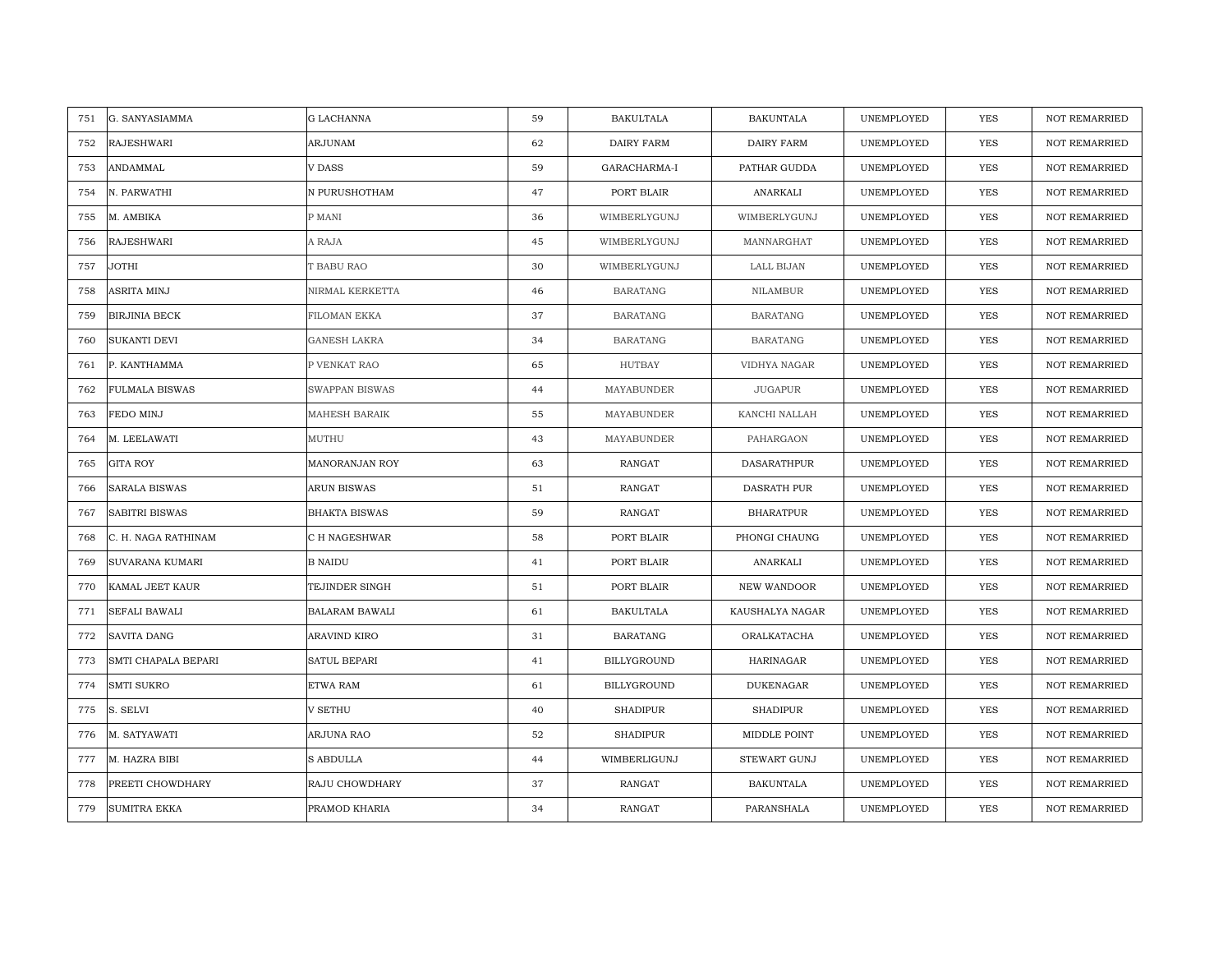| G. SANYASIAMMA<br>751        | G LACHANNA            | 59 | <b>BAKULTALA</b>   | <b>BAKUNTALA</b>    | UNEMPLOYED | <b>YES</b> | <b>NOT REMARRIED</b> |
|------------------------------|-----------------------|----|--------------------|---------------------|------------|------------|----------------------|
| <b>RAJESHWARI</b><br>752     | ARJUNAM               | 62 | DAIRY FARM         | <b>DAIRY FARM</b>   | UNEMPLOYED | <b>YES</b> | NOT REMARRIED        |
| ANDAMMAL<br>753              | <b>V DASS</b>         | 59 | GARACHARMA-I       | PATHAR GUDDA        | UNEMPLOYED | YES        | <b>NOT REMARRIED</b> |
| 754<br>N. PARWATHI           | N PURUSHOTHAM         | 47 | PORT BLAIR         | ANARKALI            | UNEMPLOYED | YES        | <b>NOT REMARRIED</b> |
| M. AMBIKA<br>755             | P MANI                | 36 | WIMBERLYGUNJ       | WIMBERLYGUNJ        | UNEMPLOYED | YES        | <b>NOT REMARRIED</b> |
| RAJESHWARI<br>756            | A RAJA                | 45 | WIMBERLYGUNJ       | MANNARGHAT          | UNEMPLOYED | YES        | NOT REMARRIED        |
| <b>JOTHI</b><br>757          | T BABU RAO            | 30 | WIMBERLYGUNJ       | LALL BIJAN          | UNEMPLOYED | <b>YES</b> | <b>NOT REMARRIED</b> |
| ASRITA MINJ<br>758           | NIRMAL KERKETTA       | 46 | <b>BARATANG</b>    | NILAMBUR            | UNEMPLOYED | YES        | <b>NOT REMARRIED</b> |
| <b>BIRJINIA BECK</b><br>759  | FILOMAN EKKA          | 37 | <b>BARATANG</b>    | <b>BARATANG</b>     | UNEMPLOYED | YES        | NOT REMARRIED        |
| SUKANTI DEVI<br>760          | <b>GANESH LAKRA</b>   | 34 | <b>BARATANG</b>    | <b>BARATANG</b>     | UNEMPLOYED | YES        | NOT REMARRIED        |
| 761<br>P. KANTHAMMA          | P VENKAT RAO          | 65 | HUTBAY             | VIDHYA NAGAR        | UNEMPLOYED | YES        | <b>NOT REMARRIED</b> |
| 762<br>FULMALA BISWAS        | <b>SWAPPAN BISWAS</b> | 44 | MAYABUNDER         | <b>JUGAPUR</b>      | UNEMPLOYED | YES        | <b>NOT REMARRIED</b> |
| FEDO MINJ<br>763             | MAHESH BARAIK         | 55 | MAYABUNDER         | KANCHI NALLAH       | UNEMPLOYED | YES        | NOT REMARRIED        |
| M. LEELAWATI<br>764          | MUTHU                 | 43 | MAYABUNDER         | PAHARGAON           | UNEMPLOYED | <b>YES</b> | <b>NOT REMARRIED</b> |
| GITA ROY<br>765              | MANORANJAN ROY        | 63 | RANGAT             | DASARATHPUR         | UNEMPLOYED | <b>YES</b> | <b>NOT REMARRIED</b> |
| <b>SARALA BISWAS</b><br>766  | ARUN BISWAS           | 51 | RANGAT             | DASRATH PUR         | UNEMPLOYED | <b>YES</b> | <b>NOT REMARRIED</b> |
| <b>SABITRI BISWAS</b><br>767 | <b>BHAKTA BISWAS</b>  | 59 | <b>RANGAT</b>      | <b>BHARATPUR</b>    | UNEMPLOYED | YES        | <b>NOT REMARRIED</b> |
| 768<br>C. H. NAGA RATHINAM   | C H NAGESHWAR         | 58 | PORT BLAIR         | PHONGI CHAUNG       | UNEMPLOYED | <b>YES</b> | <b>NOT REMARRIED</b> |
| SUVARANA KUMARI<br>769       | <b>B NAIDU</b>        | 41 | PORT BLAIR         | ANARKALI            | UNEMPLOYED | <b>YES</b> | <b>NOT REMARRIED</b> |
| 770<br>KAMAL JEET KAUR       | TEJINDER SINGH        | 51 | PORT BLAIR         | NEW WANDOOR         | UNEMPLOYED | YES        | <b>NOT REMARRIED</b> |
| <b>SEFALI BAWALI</b><br>771  | <b>BALARAM BAWALI</b> | 61 | <b>BAKULTALA</b>   | KAUSHALYA NAGAR     | UNEMPLOYED | <b>YES</b> | <b>NOT REMARRIED</b> |
| 772<br>SAVITA DANG           | ARAVIND KIRO          | 31 | <b>BARATANG</b>    | ORALKATACHA         | UNEMPLOYED | YES        | NOT REMARRIED        |
| SMTI CHAPALA BEPARI<br>773   | SATUL BEPARI          | 41 | BILLYGROUND        | HARINAGAR           | UNEMPLOYED | <b>YES</b> | <b>NOT REMARRIED</b> |
| <b>SMTI SUKRO</b><br>774     | ETWA RAM              | 61 | <b>BILLYGROUND</b> | DUKENAGAR           | UNEMPLOYED | YES        | <b>NOT REMARRIED</b> |
| 775<br>S. SELVI              | V SETHU               | 40 | <b>SHADIPUR</b>    | <b>SHADIPUR</b>     | UNEMPLOYED | <b>YES</b> | <b>NOT REMARRIED</b> |
| M. SATYAWATI<br>776          | ARJUNA RAO            | 52 | <b>SHADIPUR</b>    | MIDDLE POINT        | UNEMPLOYED | YES        | NOT REMARRIED        |
| 777<br>M. HAZRA BIBI         | <b>S ABDULLA</b>      | 44 | WIMBERLIGUNJ       | <b>STEWART GUNJ</b> | UNEMPLOYED | <b>YES</b> | <b>NOT REMARRIED</b> |
| PREETI CHOWDHARY<br>778      | RAJU CHOWDHARY        | 37 | RANGAT             | <b>BAKUNTALA</b>    | UNEMPLOYED | YES        | <b>NOT REMARRIED</b> |
| <b>SUMITRA EKKA</b><br>779   | PRAMOD KHARIA         | 34 | RANGAT             | PARANSHALA          | UNEMPLOYED | YES        | NOT REMARRIED        |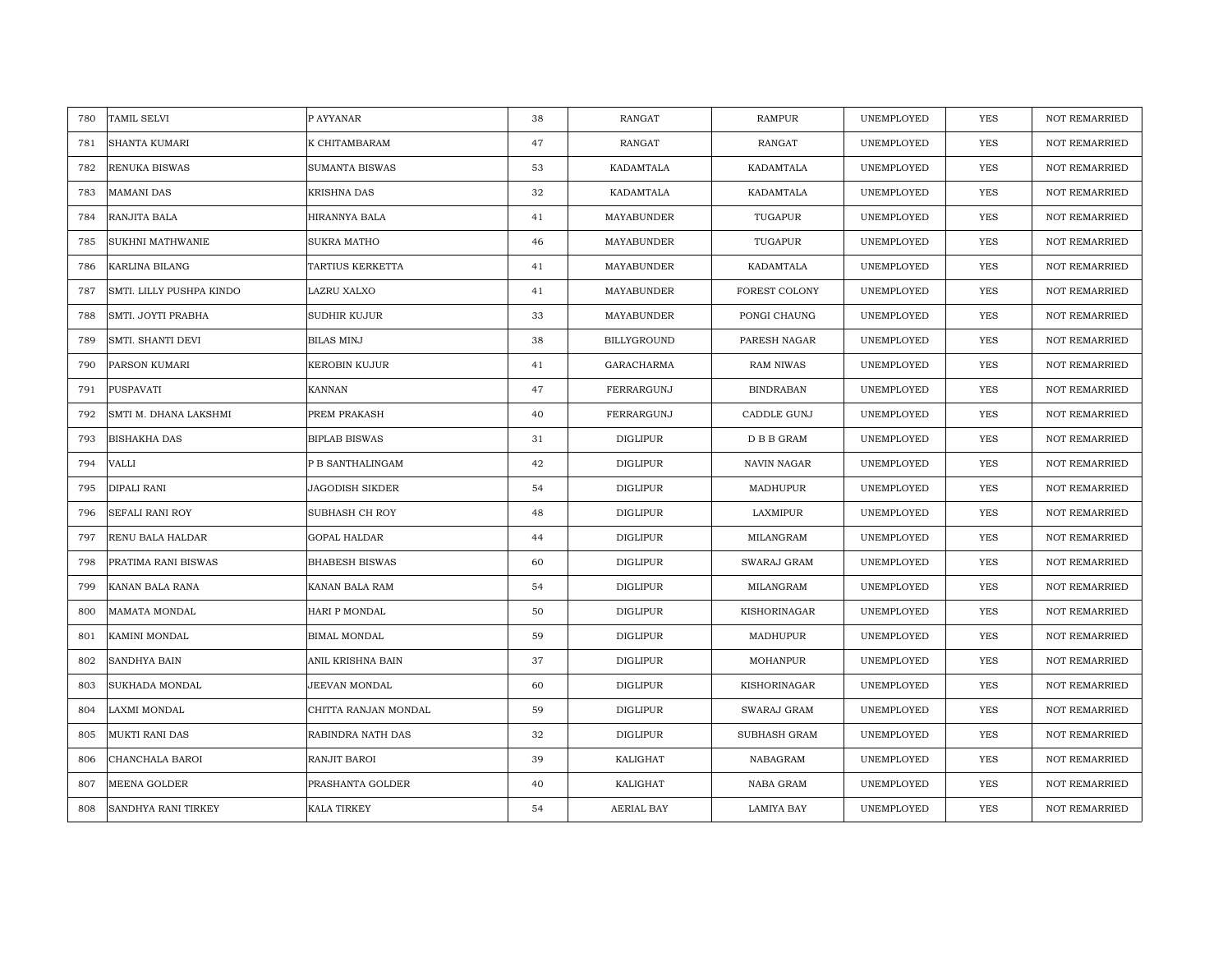| TAMIL SELVI<br>780              | P AYYANAR             | 38 | <b>RANGAT</b>   | <b>RAMPUR</b>       | UNEMPLOYED | <b>YES</b> | <b>NOT REMARRIED</b> |
|---------------------------------|-----------------------|----|-----------------|---------------------|------------|------------|----------------------|
| SHANTA KUMARI<br>781            | K CHITAMBARAM         | 47 | RANGAT          | RANGAT              | UNEMPLOYED | <b>YES</b> | <b>NOT REMARRIED</b> |
| 782<br>RENUKA BISWAS            | SUMANTA BISWAS        | 53 | KADAMTALA       | KADAMTALA           | UNEMPLOYED | YES        | <b>NOT REMARRIED</b> |
| 783<br><b>MAMANI DAS</b>        | KRISHNA DAS           | 32 | KADAMTALA       | KADAMTALA           | UNEMPLOYED | <b>YES</b> | <b>NOT REMARRIED</b> |
| RANJITA BALA<br>784             | HIRANNYA BALA         | 41 | MAYABUNDER      | TUGAPUR             | UNEMPLOYED | YES        | <b>NOT REMARRIED</b> |
| SUKHNI MATHWANIE<br>785         | <b>SUKRA MATHO</b>    | 46 | MAYABUNDER      | TUGAPUR             | UNEMPLOYED | YES        | NOT REMARRIED        |
| KARLINA BILANG<br>786           | TARTIUS KERKETTA      | 41 | MAYABUNDER      | KADAMTALA           | UNEMPLOYED | <b>YES</b> | <b>NOT REMARRIED</b> |
| SMTI. LILLY PUSHPA KINDO<br>787 | LAZRU XALXO           | 41 | MAYABUNDER      | FOREST COLONY       | UNEMPLOYED | YES        | <b>NOT REMARRIED</b> |
| SMTI. JOYTI PRABHA<br>788       | SUDHIR KUJUR          | 33 | MAYABUNDER      | PONGI CHAUNG        | UNEMPLOYED | <b>YES</b> | NOT REMARRIED        |
| 789<br>SMTI. SHANTI DEVI        | <b>BILAS MINJ</b>     | 38 | BILLYGROUND     | PARESH NAGAR        | UNEMPLOYED | YES        | <b>NOT REMARRIED</b> |
| 790<br>PARSON KUMARI            | KEROBIN KUJUR         | 41 | GARACHARMA      | <b>RAM NIWAS</b>    | UNEMPLOYED | YES        | <b>NOT REMARRIED</b> |
| 791<br>PUSPAVATI                | KANNAN                | 47 | FERRARGUNJ      | <b>BINDRABAN</b>    | UNEMPLOYED | YES        | <b>NOT REMARRIED</b> |
| 792<br>SMTI M. DHANA LAKSHMI    | PREM PRAKASH          | 40 | FERRARGUNJ      | CADDLE GUNJ         | UNEMPLOYED | YES        | NOT REMARRIED        |
| <b>BISHAKHA DAS</b><br>793      | <b>BIPLAB BISWAS</b>  | 31 | <b>DIGLIPUR</b> | D B B GRAM          | UNEMPLOYED | <b>YES</b> | <b>NOT REMARRIED</b> |
| 794<br>VALLI                    | P B SANTHALINGAM      | 42 | DIGLIPUR        | NAVIN NAGAR         | UNEMPLOYED | <b>YES</b> | <b>NOT REMARRIED</b> |
| DIPALI RANI<br>795              | JAGODISH SIKDER       | 54 | DIGLIPUR        | MADHUPUR            | UNEMPLOYED | <b>YES</b> | <b>NOT REMARRIED</b> |
| SEFALI RANI ROY<br>796          | SUBHASH CH ROY        | 48 | <b>DIGLIPUR</b> | LAXMIPUR            | UNEMPLOYED | YES        | <b>NOT REMARRIED</b> |
| 797<br>RENU BALA HALDAR         | GOPAL HALDAR          | 44 | DIGLIPUR        | MILANGRAM           | UNEMPLOYED | <b>YES</b> | <b>NOT REMARRIED</b> |
| 798<br>PRATIMA RANI BISWAS      | <b>BHABESH BISWAS</b> | 60 | <b>DIGLIPUR</b> | SWARAJ GRAM         | UNEMPLOYED | <b>YES</b> | <b>NOT REMARRIED</b> |
| 799<br>KANAN BALA RANA          | KANAN BALA RAM        | 54 | <b>DIGLIPUR</b> | MILANGRAM           | UNEMPLOYED | YES        | <b>NOT REMARRIED</b> |
| 800<br>MAMATA MONDAL            | HARI P MONDAL         | 50 | <b>DIGLIPUR</b> | KISHORINAGAR        | UNEMPLOYED | <b>YES</b> | <b>NOT REMARRIED</b> |
| 801<br>KAMINI MONDAL            | BIMAL MONDAL          | 59 | DIGLIPUR        | MADHUPUR            | UNEMPLOYED | YES        | NOT REMARRIED        |
| 802<br>SANDHYA BAIN             | ANIL KRISHNA BAIN     | 37 | <b>DIGLIPUR</b> | MOHANPUR            | UNEMPLOYED | <b>YES</b> | <b>NOT REMARRIED</b> |
| 803<br>SUKHADA MONDAL           | JEEVAN MONDAL         | 60 | <b>DIGLIPUR</b> | KISHORINAGAR        | UNEMPLOYED | YES        | <b>NOT REMARRIED</b> |
| 804<br>LAXMI MONDAL             | CHITTA RANJAN MONDAL  | 59 | DIGLIPUR        | SWARAJ GRAM         | UNEMPLOYED | <b>YES</b> | <b>NOT REMARRIED</b> |
| 805<br>MUKTI RANI DAS           | RABINDRA NATH DAS     | 32 | DIGLIPUR        | <b>SUBHASH GRAM</b> | UNEMPLOYED | YES        | NOT REMARRIED        |
| 806<br>CHANCHALA BAROI          | RANJIT BAROI          | 39 | KALIGHAT        | NABAGRAM            | UNEMPLOYED | <b>YES</b> | <b>NOT REMARRIED</b> |
| MEENA GOLDER<br>807             | PRASHANTA GOLDER      | 40 | KALIGHAT        | NABA GRAM           | UNEMPLOYED | YES        | <b>NOT REMARRIED</b> |
| 808<br>SANDHYA RANI TIRKEY      | KALA TIRKEY           | 54 | AERIAL BAY      | <b>LAMIYA BAY</b>   | UNEMPLOYED | YES        | NOT REMARRIED        |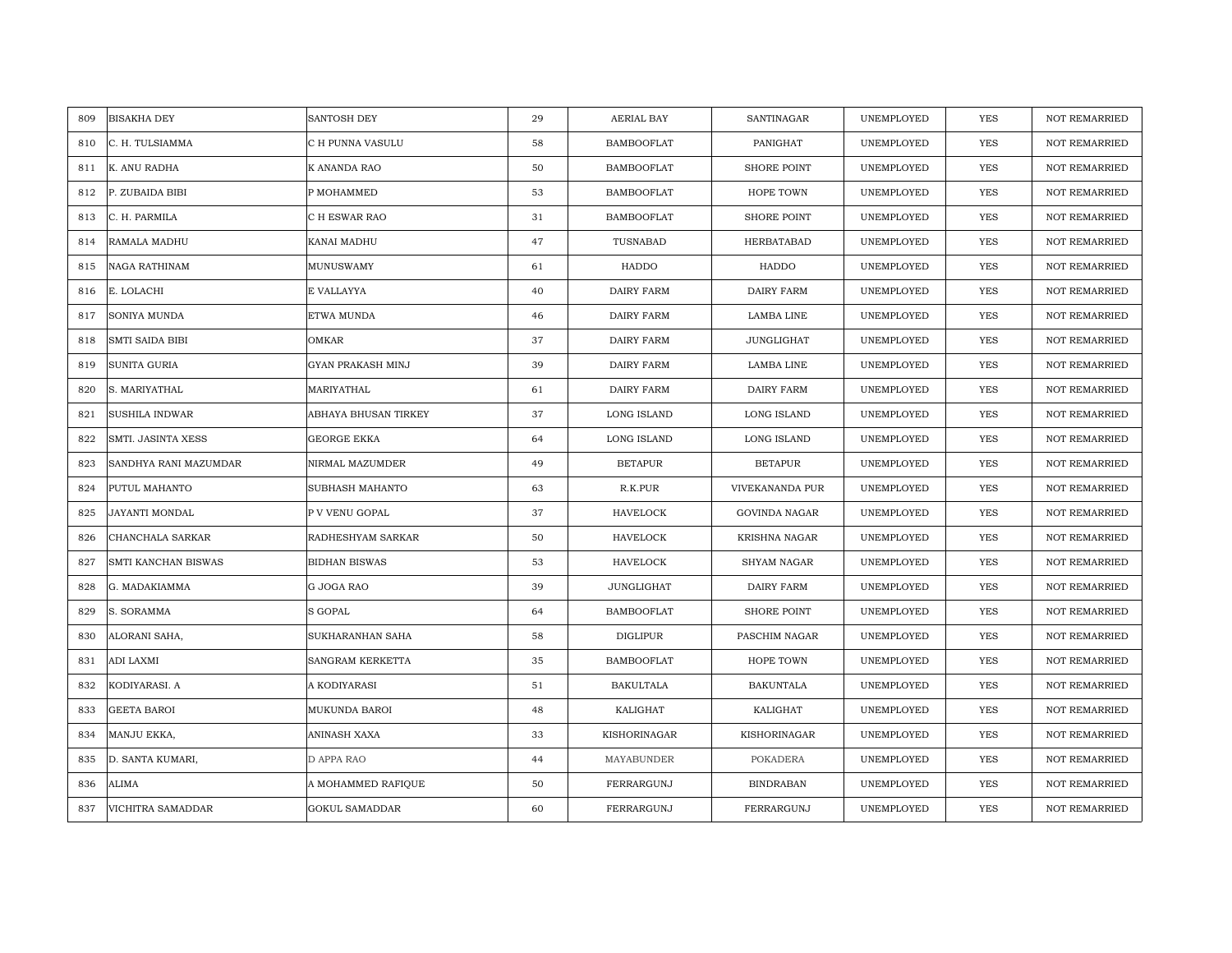| 809 | <b>BISAKHA DEY</b>     | SANTOSH DEY           | 29 | AERIAL BAY        | SANTINAGAR           | UNEMPLOYED | <b>YES</b> | <b>NOT REMARRIED</b> |
|-----|------------------------|-----------------------|----|-------------------|----------------------|------------|------------|----------------------|
|     |                        |                       |    |                   |                      |            |            |                      |
| 810 | C. H. TULSIAMMA        | C H PUNNA VASULU      | 58 | <b>BAMBOOFLAT</b> | PANIGHAT             | UNEMPLOYED | <b>YES</b> | <b>NOT REMARRIED</b> |
| 811 | K. ANU RADHA           | K ANANDA RAO          | 50 | <b>BAMBOOFLAT</b> | <b>SHORE POINT</b>   | UNEMPLOYED | YES        | <b>NOT REMARRIED</b> |
| 812 | P. ZUBAIDA BIBI        | P MOHAMMED            | 53 | <b>BAMBOOFLAT</b> | HOPE TOWN            | UNEMPLOYED | YES        | <b>NOT REMARRIED</b> |
| 813 | C. H. PARMILA          | C H ESWAR RAO         | 31 | <b>BAMBOOFLAT</b> | <b>SHORE POINT</b>   | UNEMPLOYED | YES        | <b>NOT REMARRIED</b> |
| 814 | RAMALA MADHU           | KANAI MADHU           | 47 | TUSNABAD          | HERBATABAD           | UNEMPLOYED | <b>YES</b> | NOT REMARRIED        |
| 815 | NAGA RATHINAM          | MUNUSWAMY             | 61 | HADDO             | HADDO                | UNEMPLOYED | <b>YES</b> | <b>NOT REMARRIED</b> |
| 816 | E. LOLACHI             | E VALLAYYA            | 40 | DAIRY FARM        | <b>DAIRY FARM</b>    | UNEMPLOYED | YES        | <b>NOT REMARRIED</b> |
| 817 | SONIYA MUNDA           | ETWA MUNDA            | 46 | DAIRY FARM        | LAMBA LINE           | UNEMPLOYED | <b>YES</b> | NOT REMARRIED        |
| 818 | <b>SMTI SAIDA BIBI</b> | OMKAR                 | 37 | <b>DAIRY FARM</b> | <b>JUNGLIGHAT</b>    | UNEMPLOYED | <b>YES</b> | <b>NOT REMARRIED</b> |
| 819 | SUNITA GURIA           | GYAN PRAKASH MINJ     | 39 | DAIRY FARM        | LAMBA LINE           | UNEMPLOYED | <b>YES</b> | <b>NOT REMARRIED</b> |
| 820 | S. MARIYATHAL          | MARIYATHAL            | 61 | DAIRY FARM        | <b>DAIRY FARM</b>    | UNEMPLOYED | <b>YES</b> | <b>NOT REMARRIED</b> |
| 821 | <b>SUSHILA INDWAR</b>  | ABHAYA BHUSAN TIRKEY  | 37 | LONG ISLAND       | LONG ISLAND          | UNEMPLOYED | YES        | NOT REMARRIED        |
| 822 | SMTI. JASINTA XESS     | GEORGE EKKA           | 64 | LONG ISLAND       | LONG ISLAND          | UNEMPLOYED | <b>YES</b> | <b>NOT REMARRIED</b> |
| 823 | SANDHYA RANI MAZUMDAR  | NIRMAL MAZUMDER       | 49 | <b>BETAPUR</b>    | <b>BETAPUR</b>       | UNEMPLOYED | YES        | NOT REMARRIED        |
| 824 | PUTUL MAHANTO          | SUBHASH MAHANTO       | 63 | R.K.PUR           | VIVEKANANDA PUR      | UNEMPLOYED | <b>YES</b> | <b>NOT REMARRIED</b> |
| 825 | JAYANTI MONDAL         | P V VENU GOPAL        | 37 | <b>HAVELOCK</b>   | <b>GOVINDA NAGAR</b> | UNEMPLOYED | YES        | NOT REMARRIED        |
| 826 | CHANCHALA SARKAR       | RADHESHYAM SARKAR     | 50 | HAVELOCK          | KRISHNA NAGAR        | UNEMPLOYED | YES        | <b>NOT REMARRIED</b> |
| 827 | SMTI KANCHAN BISWAS    | <b>BIDHAN BISWAS</b>  | 53 | <b>HAVELOCK</b>   | <b>SHYAM NAGAR</b>   | UNEMPLOYED | YES        | <b>NOT REMARRIED</b> |
| 828 | G. MADAKIAMMA          | G JOGA RAO            | 39 | JUNGLIGHAT        | DAIRY FARM           | UNEMPLOYED | <b>YES</b> | <b>NOT REMARRIED</b> |
| 829 | S. SORAMMA             | S GOPAL               | 64 | <b>BAMBOOFLAT</b> | <b>SHORE POINT</b>   | UNEMPLOYED | <b>YES</b> | <b>NOT REMARRIED</b> |
| 830 | ALORANI SAHA,          | SUKHARANHAN SAHA      | 58 | DIGLIPUR          | PASCHIM NAGAR        | UNEMPLOYED | <b>YES</b> | <b>NOT REMARRIED</b> |
| 831 | <b>ADI LAXMI</b>       | SANGRAM KERKETTA      | 35 | <b>BAMBOOFLAT</b> | HOPE TOWN            | UNEMPLOYED | <b>YES</b> | <b>NOT REMARRIED</b> |
| 832 | KODIYARASI. A          | A KODIYARASI          | 51 | <b>BAKULTALA</b>  | <b>BAKUNTALA</b>     | UNEMPLOYED | YES        | <b>NOT REMARRIED</b> |
| 833 | <b>GEETA BAROI</b>     | MUKUNDA BAROI         | 48 | KALIGHAT          | KALIGHAT             | UNEMPLOYED | <b>YES</b> | <b>NOT REMARRIED</b> |
| 834 | MANJU EKKA,            | ANINASH XAXA          | 33 | KISHORINAGAR      | KISHORINAGAR         | UNEMPLOYED | YES        | NOT REMARRIED        |
| 835 | D. SANTA KUMARI,       | D APPA RAO            | 44 | MAYABUNDER        | POKADERA             | UNEMPLOYED | <b>YES</b> | <b>NOT REMARRIED</b> |
| 836 | ALIMA                  | A MOHAMMED RAFIQUE    | 50 | FERRARGUNJ        | <b>BINDRABAN</b>     | UNEMPLOYED | YES        | <b>NOT REMARRIED</b> |
| 837 | VICHITRA SAMADDAR      | <b>GOKUL SAMADDAR</b> | 60 | FERRARGUNJ        | FERRARGUNJ           | UNEMPLOYED | YES        | NOT REMARRIED        |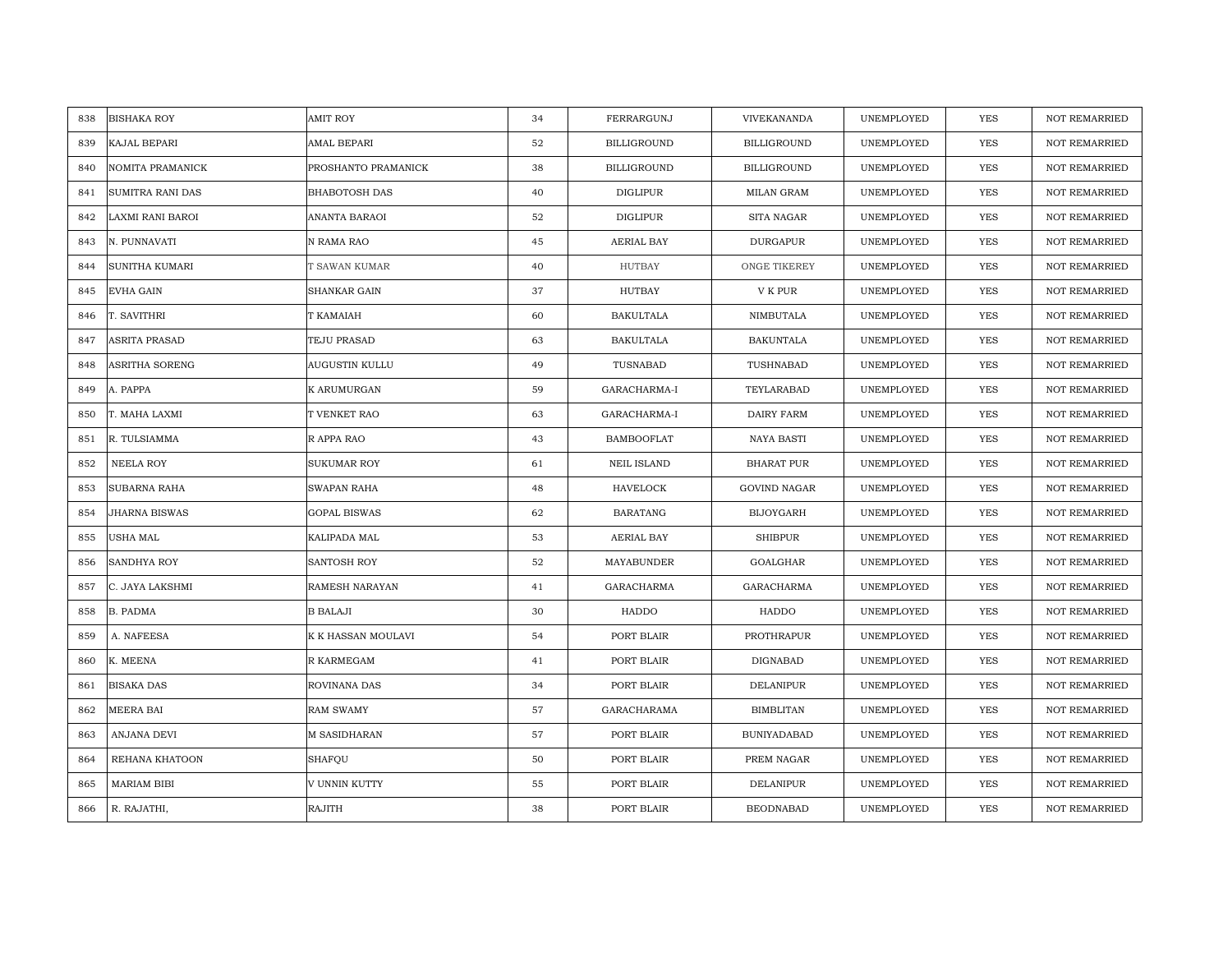| <b>BISHAKA ROY</b><br>838      | <b>AMIT ROY</b>     | 34 | FERRARGUNJ         | VIVEKANANDA         | UNEMPLOYED | <b>YES</b> | <b>NOT REMARRIED</b> |
|--------------------------------|---------------------|----|--------------------|---------------------|------------|------------|----------------------|
| 839<br>KAJAL BEPARI            | AMAL BEPARI         | 52 | <b>BILLIGROUND</b> | <b>BILLIGROUND</b>  | UNEMPLOYED | <b>YES</b> | NOT REMARRIED        |
| 840<br>NOMITA PRAMANICK        | PROSHANTO PRAMANICK | 38 | <b>BILLIGROUND</b> | <b>BILLIGROUND</b>  | UNEMPLOYED | <b>YES</b> | <b>NOT REMARRIED</b> |
| <b>SUMITRA RANI DAS</b><br>841 | BHABOTOSH DAS       | 40 | DIGLIPUR           | MILAN GRAM          | UNEMPLOYED | <b>YES</b> | <b>NOT REMARRIED</b> |
| LAXMI RANI BAROI<br>842        | ANANTA BARAOI       | 52 | DIGLIPUR           | SITA NAGAR          | UNEMPLOYED | YES        | <b>NOT REMARRIED</b> |
| 843<br>N. PUNNAVATI            | N RAMA RAO          | 45 | AERIAL BAY         | <b>DURGAPUR</b>     | UNEMPLOYED | YES        | NOT REMARRIED        |
| SUNITHA KUMARI<br>844          | T SAWAN KUMAR       | 40 | <b>HUTBAY</b>      | ONGE TIKEREY        | UNEMPLOYED | <b>YES</b> | <b>NOT REMARRIED</b> |
| 845<br>EVHA GAIN               | SHANKAR GAIN        | 37 | HUTBAY             | V K PUR             | UNEMPLOYED | YES        | <b>NOT REMARRIED</b> |
| 846<br>T. SAVITHRI             | T KAMAIAH           | 60 | <b>BAKULTALA</b>   | NIMBUTALA           | UNEMPLOYED | YES        | NOT REMARRIED        |
| ASRITA PRASAD<br>847           | TEJU PRASAD         | 63 | <b>BAKULTALA</b>   | <b>BAKUNTALA</b>    | UNEMPLOYED | YES        | NOT REMARRIED        |
| 848<br>ASRITHA SORENG          | AUGUSTIN KULLU      | 49 | TUSNABAD           | TUSHNABAD           | UNEMPLOYED | <b>YES</b> | <b>NOT REMARRIED</b> |
| 849<br>A. PAPPA                | K ARUMURGAN         | 59 | GARACHARMA-I       | TEYLARABAD          | UNEMPLOYED | YES        | <b>NOT REMARRIED</b> |
| 850<br>T. MAHA LAXMI           | T VENKET RAO        | 63 | GARACHARMA-I       | DAIRY FARM          | UNEMPLOYED | YES        | NOT REMARRIED        |
| R. TULSIAMMA<br>851            | R APPA RAO          | 43 | <b>BAMBOOFLAT</b>  | <b>NAYA BASTI</b>   | UNEMPLOYED | <b>YES</b> | <b>NOT REMARRIED</b> |
| NEELA ROY<br>852               | <b>SUKUMAR ROY</b>  | 61 | <b>NEIL ISLAND</b> | <b>BHARAT PUR</b>   | UNEMPLOYED | <b>YES</b> | <b>NOT REMARRIED</b> |
| SUBARNA RAHA<br>853            | <b>SWAPAN RAHA</b>  | 48 | HAVELOCK           | <b>GOVIND NAGAR</b> | UNEMPLOYED | <b>YES</b> | <b>NOT REMARRIED</b> |
| JHARNA BISWAS<br>854           | <b>GOPAL BISWAS</b> | 62 | <b>BARATANG</b>    | <b>BIJOYGARH</b>    | UNEMPLOYED | YES        | <b>NOT REMARRIED</b> |
| 855<br>USHA MAL                | KALIPADA MAL        | 53 | AERIAL BAY         | <b>SHIBPUR</b>      | UNEMPLOYED | <b>YES</b> | <b>NOT REMARRIED</b> |
| SANDHYA ROY<br>856             | SANTOSH ROY         | 52 | MAYABUNDER         | GOALGHAR            | UNEMPLOYED | <b>YES</b> | <b>NOT REMARRIED</b> |
| 857<br>C. JAYA LAKSHMI         | RAMESH NARAYAN      | 41 | GARACHARMA         | GARACHARMA          | UNEMPLOYED | YES        | <b>NOT REMARRIED</b> |
| <b>B. PADMA</b><br>858         | <b>B BALAJI</b>     | 30 | HADDO              | HADDO               | UNEMPLOYED | <b>YES</b> | <b>NOT REMARRIED</b> |
| 859<br>A. NAFEESA              | K K HASSAN MOULAVI  | 54 | PORT BLAIR         | PROTHRAPUR          | UNEMPLOYED | YES        | NOT REMARRIED        |
| K. MEENA<br>860                | R KARMEGAM          | 41 | PORT BLAIR         | DIGNABAD            | UNEMPLOYED | <b>YES</b> | <b>NOT REMARRIED</b> |
| <b>BISAKA DAS</b><br>861       | ROVINANA DAS        | 34 | PORT BLAIR         | <b>DELANIPUR</b>    | UNEMPLOYED | <b>YES</b> | NOT REMARRIED        |
| 862<br>MEERA BAI               | RAM SWAMY           | 57 | <b>GARACHARAMA</b> | <b>BIMBLITAN</b>    | UNEMPLOYED | <b>YES</b> | <b>NOT REMARRIED</b> |
| 863<br>ANJANA DEVI             | <b>M SASIDHARAN</b> | 57 | PORT BLAIR         | <b>BUNIYADABAD</b>  | UNEMPLOYED | YES        | NOT REMARRIED        |
| 864<br>REHANA KHATOON          | <b>SHAFQU</b>       | 50 | PORT BLAIR         | PREM NAGAR          | UNEMPLOYED | <b>YES</b> | <b>NOT REMARRIED</b> |
| <b>MARIAM BIBI</b><br>865      | V UNNIN KUTTY       | 55 | PORT BLAIR         | <b>DELANIPUR</b>    | UNEMPLOYED | YES        | <b>NOT REMARRIED</b> |
| R. RAJATHI,<br>866             | RAJITH              | 38 | PORT BLAIR         | <b>BEODNABAD</b>    | UNEMPLOYED | YES        | NOT REMARRIED        |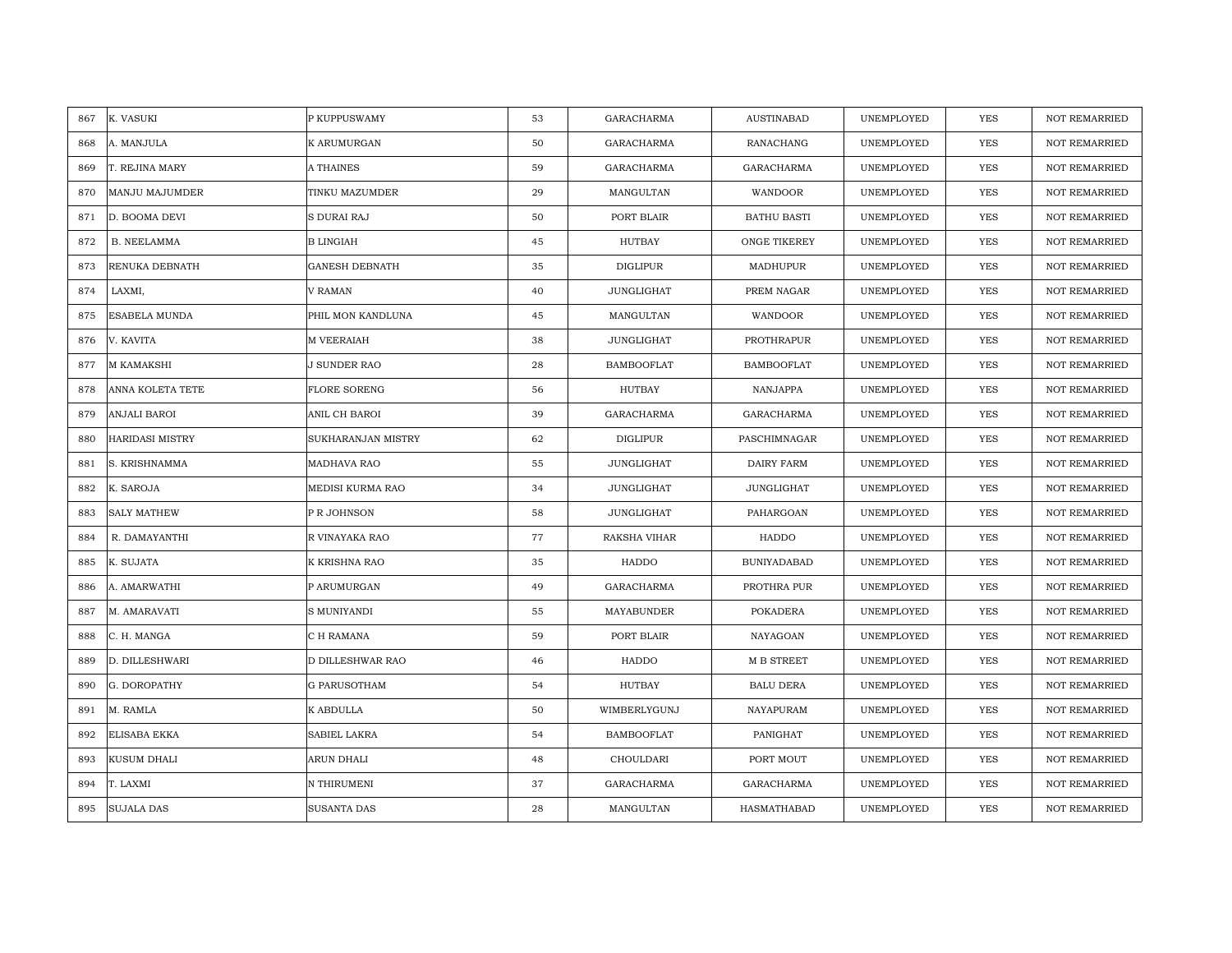| K. VASUKI<br>867              | P KUPPUSWAMY          | 53 | <b>GARACHARMA</b> | <b>AUSTINABAD</b>  | UNEMPLOYED | <b>YES</b> | <b>NOT REMARRIED</b> |
|-------------------------------|-----------------------|----|-------------------|--------------------|------------|------------|----------------------|
| A. MANJULA<br>868             | K ARUMURGAN           | 50 | <b>GARACHARMA</b> | RANACHANG          | UNEMPLOYED | <b>YES</b> | <b>NOT REMARRIED</b> |
| T. REJINA MARY<br>869         | A THAINES             | 59 | <b>GARACHARMA</b> | <b>GARACHARMA</b>  | UNEMPLOYED | YES        | <b>NOT REMARRIED</b> |
| MANJU MAJUMDER<br>870         | TINKU MAZUMDER        | 29 | MANGULTAN         | WANDOOR            | UNEMPLOYED | YES        | <b>NOT REMARRIED</b> |
| 871<br>D. BOOMA DEVI          | S DURAI RAJ           | 50 | PORT BLAIR        | <b>BATHU BASTI</b> | UNEMPLOYED | YES        | <b>NOT REMARRIED</b> |
| 872<br><b>B. NEELAMMA</b>     | <b>B LINGIAH</b>      | 45 | HUTBAY            | ONGE TIKEREY       | UNEMPLOYED | YES        | NOT REMARRIED        |
| RENUKA DEBNATH<br>873         | <b>GANESH DEBNATH</b> | 35 | DIGLIPUR          | MADHUPUR           | UNEMPLOYED | YES        | <b>NOT REMARRIED</b> |
| LAXMI,<br>874                 | V RAMAN               | 40 | JUNGLIGHAT        | PREM NAGAR         | UNEMPLOYED | YES        | NOT REMARRIED        |
| ESABELA MUNDA<br>875          | PHIL MON KANDLUNA     | 45 | MANGULTAN         | WANDOOR            | UNEMPLOYED | <b>YES</b> | NOT REMARRIED        |
| V. KAVITA<br>876              | M VEERAIAH            | 38 | <b>JUNGLIGHAT</b> | PROTHRAPUR         | UNEMPLOYED | <b>YES</b> | <b>NOT REMARRIED</b> |
| M KAMAKSHI<br>877             | J SUNDER RAO          | 28 | <b>BAMBOOFLAT</b> | <b>BAMBOOFLAT</b>  | UNEMPLOYED | <b>YES</b> | <b>NOT REMARRIED</b> |
| ANNA KOLETA TETE<br>878       | <b>FLORE SORENG</b>   | 56 | <b>HUTBAY</b>     | NANJAPPA           | UNEMPLOYED | <b>YES</b> | <b>NOT REMARRIED</b> |
| 879<br>ANJALI BAROI           | ANIL CH BAROI         | 39 | GARACHARMA        | GARACHARMA         | UNEMPLOYED | YES        | NOT REMARRIED        |
| <b>HARIDASI MISTRY</b><br>880 | SUKHARANJAN MISTRY    | 62 | <b>DIGLIPUR</b>   | PASCHIMNAGAR       | UNEMPLOYED | <b>YES</b> | <b>NOT REMARRIED</b> |
| 881<br>S. KRISHNAMMA          | MADHAVA RAO           | 55 | JUNGLIGHAT        | <b>DAIRY FARM</b>  | UNEMPLOYED | YES        | NOT REMARRIED        |
| 882<br>K. SAROJA              | MEDISI KURMA RAO      | 34 | JUNGLIGHAT        | <b>JUNGLIGHAT</b>  | UNEMPLOYED | <b>YES</b> | <b>NOT REMARRIED</b> |
| <b>SALY MATHEW</b><br>883     | P R JOHNSON           | 58 | JUNGLIGHAT        | PAHARGOAN          | UNEMPLOYED | YES        | <b>NOT REMARRIED</b> |
| 884<br>R. DAMAYANTHI          | R VINAYAKA RAO        | 77 | RAKSHA VIHAR      | HADDO              | UNEMPLOYED | <b>YES</b> | <b>NOT REMARRIED</b> |
| K. SUJATA<br>885              | K KRISHNA RAO         | 35 | HADDO             | <b>BUNIYADABAD</b> | UNEMPLOYED | YES        | <b>NOT REMARRIED</b> |
| A. AMARWATHI<br>886           | P ARUMURGAN           | 49 | <b>GARACHARMA</b> | PROTHRA PUR        | UNEMPLOYED | <b>YES</b> | <b>NOT REMARRIED</b> |
| 887<br>M. AMARAVATI           | <b>S MUNIYANDI</b>    | 55 | MAYABUNDER        | POKADERA           | UNEMPLOYED | <b>YES</b> | <b>NOT REMARRIED</b> |
| C. H. MANGA<br>888            | C H RAMANA            | 59 | PORT BLAIR        | NAYAGOAN           | UNEMPLOYED | YES        | <b>NOT REMARRIED</b> |
| 889<br>D. DILLESHWARI         | D DILLESHWAR RAO      | 46 | HADDO             | M B STREET         | UNEMPLOYED | <b>YES</b> | <b>NOT REMARRIED</b> |
| 890<br>G. DOROPATHY           | <b>G PARUSOTHAM</b>   | 54 | <b>HUTBAY</b>     | <b>BALU DERA</b>   | UNEMPLOYED | YES        | <b>NOT REMARRIED</b> |
| M. RAMLA<br>891               | K ABDULLA             | 50 | WIMBERLYGUNJ      | NAYAPURAM          | UNEMPLOYED | <b>YES</b> | <b>NOT REMARRIED</b> |
| ELISABA EKKA<br>892           | <b>SABIEL LAKRA</b>   | 54 | <b>BAMBOOFLAT</b> | PANIGHAT           | UNEMPLOYED | YES        | NOT REMARRIED        |
| KUSUM DHALI<br>893            | ARUN DHALI            | 48 | CHOULDARI         | PORT MOUT          | UNEMPLOYED | <b>YES</b> | <b>NOT REMARRIED</b> |
| 894<br>T. LAXMI               | N THIRUMENI           | 37 | <b>GARACHARMA</b> | GARACHARMA         | UNEMPLOYED | YES        | <b>NOT REMARRIED</b> |
| <b>SUJALA DAS</b><br>895      | SUSANTA DAS           | 28 | MANGULTAN         | HASMATHABAD        | UNEMPLOYED | YES        | NOT REMARRIED        |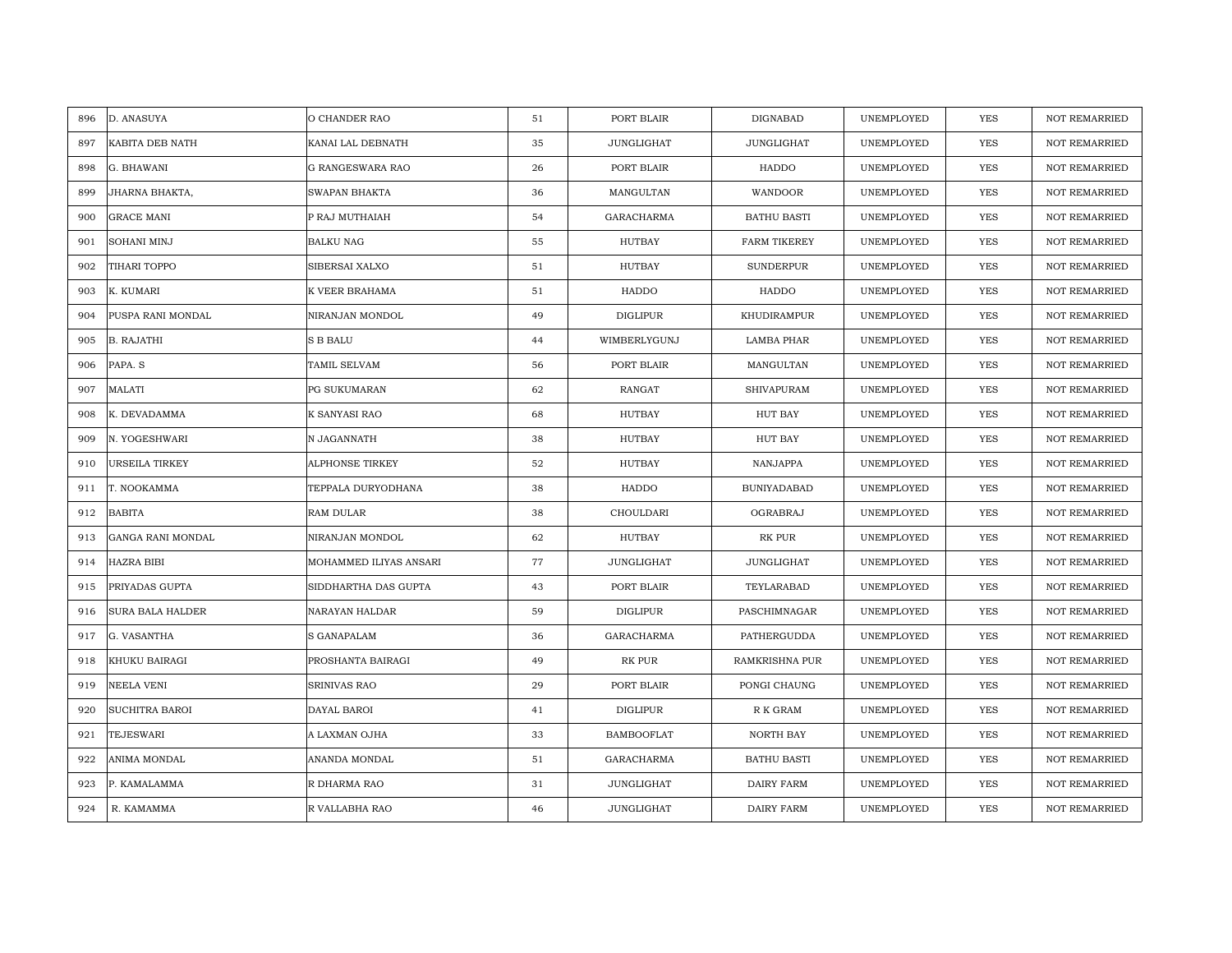| D. ANASUYA<br>896            | O CHANDER RAO           | 51 | PORT BLAIR        | DIGNABAD            | UNEMPLOYED | <b>YES</b> | <b>NOT REMARRIED</b> |
|------------------------------|-------------------------|----|-------------------|---------------------|------------|------------|----------------------|
| 897<br>KABITA DEB NATH       | KANAI LAL DEBNATH       | 35 | <b>JUNGLIGHAT</b> | <b>JUNGLIGHAT</b>   | UNEMPLOYED | <b>YES</b> | <b>NOT REMARRIED</b> |
| 898<br>G. BHAWANI            | <b>G RANGESWARA RAO</b> | 26 | PORT BLAIR        | HADDO               | UNEMPLOYED | YES        | <b>NOT REMARRIED</b> |
| 899<br>JHARNA BHAKTA,        | SWAPAN BHAKTA           | 36 | MANGULTAN         | WANDOOR             | UNEMPLOYED | <b>YES</b> | <b>NOT REMARRIED</b> |
| 900<br><b>GRACE MANI</b>     | P RAJ MUTHAIAH          | 54 | GARACHARMA        | <b>BATHU BASTI</b>  | UNEMPLOYED | YES        | <b>NOT REMARRIED</b> |
| 901<br>SOHANI MINJ           | <b>BALKU NAG</b>        | 55 | HUTBAY            | <b>FARM TIKEREY</b> | UNEMPLOYED | YES        | NOT REMARRIED        |
| 902<br>TIHARI TOPPO          | SIBERSAI XALXO          | 51 | <b>HUTBAY</b>     | SUNDERPUR           | UNEMPLOYED | YES        | <b>NOT REMARRIED</b> |
| K. KUMARI<br>903             | K VEER BRAHAMA          | 51 | HADDO             | HADDO               | UNEMPLOYED | YES        | <b>NOT REMARRIED</b> |
| 904<br>PUSPA RANI MONDAL     | NIRANJAN MONDOL         | 49 | DIGLIPUR          | KHUDIRAMPUR         | UNEMPLOYED | <b>YES</b> | NOT REMARRIED        |
| <b>B. RAJATHI</b><br>905     | <b>S B BALU</b>         | 44 | WIMBERLYGUNJ      | <b>LAMBA PHAR</b>   | UNEMPLOYED | YES        | <b>NOT REMARRIED</b> |
| PAPA. S<br>906               | TAMIL SELVAM            | 56 | PORT BLAIR        | MANGULTAN           | UNEMPLOYED | <b>YES</b> | <b>NOT REMARRIED</b> |
| 907<br>MALATI                | PG SUKUMARAN            | 62 | <b>RANGAT</b>     | <b>SHIVAPURAM</b>   | UNEMPLOYED | <b>YES</b> | <b>NOT REMARRIED</b> |
| 908<br>K. DEVADAMMA          | K SANYASI RAO           | 68 | HUTBAY            | <b>HUT BAY</b>      | UNEMPLOYED | YES        | NOT REMARRIED        |
| N. YOGESHWARI<br>909         | N JAGANNATH             | 38 | HUTBAY            | <b>HUT BAY</b>      | UNEMPLOYED | <b>YES</b> | <b>NOT REMARRIED</b> |
| 910<br>URSEILA TIRKEY        | ALPHONSE TIRKEY         | 52 | <b>HUTBAY</b>     | NANJAPPA            | UNEMPLOYED | YES        | NOT REMARRIED        |
| 911<br>T. NOOKAMMA           | TEPPALA DURYODHANA      | 38 | HADDO             | <b>BUNIYADABAD</b>  | UNEMPLOYED | <b>YES</b> | <b>NOT REMARRIED</b> |
| <b>BABITA</b><br>912         | RAM DULAR               | 38 | CHOULDARI         | OGRABRAJ            | UNEMPLOYED | YES        | <b>NOT REMARRIED</b> |
| 913<br>GANGA RANI MONDAL     | NIRANJAN MONDOL         | 62 | HUTBAY            | RK PUR              | UNEMPLOYED | <b>YES</b> | <b>NOT REMARRIED</b> |
| HAZRA BIBI<br>914            | MOHAMMED ILIYAS ANSARI  | 77 | JUNGLIGHAT        | <b>JUNGLIGHAT</b>   | UNEMPLOYED | YES        | <b>NOT REMARRIED</b> |
| 915<br>PRIYADAS GUPTA        | SIDDHARTHA DAS GUPTA    | 43 | PORT BLAIR        | TEYLARABAD          | UNEMPLOYED | <b>YES</b> | <b>NOT REMARRIED</b> |
| SURA BALA HALDER<br>916      | NARAYAN HALDAR          | 59 | DIGLIPUR          | PASCHIMNAGAR        | UNEMPLOYED | <b>YES</b> | <b>NOT REMARRIED</b> |
| 917<br>G. VASANTHA           | S GANAPALAM             | 36 | <b>GARACHARMA</b> | PATHERGUDDA         | UNEMPLOYED | YES        | <b>NOT REMARRIED</b> |
| 918<br>KHUKU BAIRAGI         | PROSHANTA BAIRAGI       | 49 | RK PUR            | RAMKRISHNA PUR      | UNEMPLOYED | <b>YES</b> | <b>NOT REMARRIED</b> |
| 919<br>NEELA VENI            | SRINIVAS RAO            | 29 | PORT BLAIR        | PONGI CHAUNG        | UNEMPLOYED | YES        | <b>NOT REMARRIED</b> |
| <b>SUCHITRA BAROI</b><br>920 | DAYAL BAROI             | 41 | DIGLIPUR          | R K GRAM            | UNEMPLOYED | <b>YES</b> | <b>NOT REMARRIED</b> |
| 921<br>TEJESWARI             | A LAXMAN OJHA           | 33 | <b>BAMBOOFLAT</b> | NORTH BAY           | UNEMPLOYED | YES        | NOT REMARRIED        |
| 922<br>ANIMA MONDAL          | ANANDA MONDAL           | 51 | GARACHARMA        | <b>BATHU BASTI</b>  | UNEMPLOYED | <b>YES</b> | <b>NOT REMARRIED</b> |
| 923<br>P. KAMALAMMA          | R DHARMA RAO            | 31 | JUNGLIGHAT        | DAIRY FARM          | UNEMPLOYED | YES        | <b>NOT REMARRIED</b> |
| R. KAMAMMA<br>924            | R VALLABHA RAO          | 46 | JUNGLIGHAT        | DAIRY FARM          | UNEMPLOYED | YES        | NOT REMARRIED        |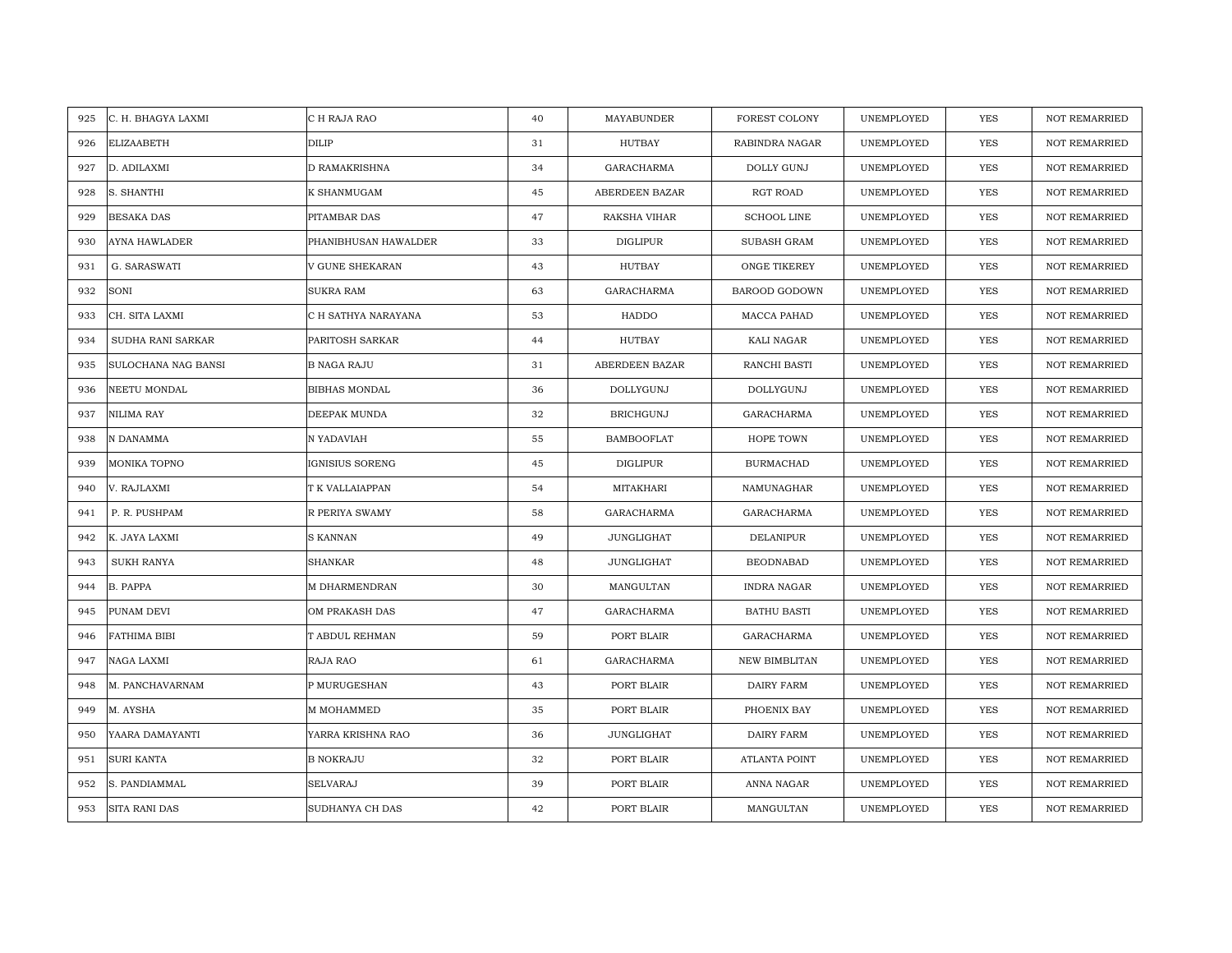| C. H. BHAGYA LAXMI<br>925   | C H RAJA RAO         | 40 | MAYABUNDER        | <b>FOREST COLONY</b> | UNEMPLOYED | <b>YES</b> | <b>NOT REMARRIED</b> |
|-----------------------------|----------------------|----|-------------------|----------------------|------------|------------|----------------------|
| 926<br>ELIZAABETH           | <b>DILIP</b>         | 31 | HUTBAY            | RABINDRA NAGAR       | UNEMPLOYED | <b>YES</b> | <b>NOT REMARRIED</b> |
| 927<br>D. ADILAXMI          | <b>D RAMAKRISHNA</b> | 34 | <b>GARACHARMA</b> | <b>DOLLY GUNJ</b>    | UNEMPLOYED | <b>YES</b> | <b>NOT REMARRIED</b> |
| 928<br>S. SHANTHI           | K SHANMUGAM          | 45 | ABERDEEN BAZAR    | RGT ROAD             | UNEMPLOYED | YES        | <b>NOT REMARRIED</b> |
| 929<br><b>BESAKA DAS</b>    | PITAMBAR DAS         | 47 | RAKSHA VIHAR      | <b>SCHOOL LINE</b>   | UNEMPLOYED | YES        | <b>NOT REMARRIED</b> |
| 930<br>AYNA HAWLADER        | PHANIBHUSAN HAWALDER | 33 | <b>DIGLIPUR</b>   | SUBASH GRAM          | UNEMPLOYED | YES        | <b>NOT REMARRIED</b> |
| G. SARASWATI<br>931         | V GUNE SHEKARAN      | 43 | <b>HUTBAY</b>     | ONGE TIKEREY         | UNEMPLOYED | <b>YES</b> | <b>NOT REMARRIED</b> |
| SONI<br>932                 | <b>SUKRA RAM</b>     | 63 | GARACHARMA        | BAROOD GODOWN        | UNEMPLOYED | <b>YES</b> | <b>NOT REMARRIED</b> |
| 933<br>CH. SITA LAXMI       | C H SATHYA NARAYANA  | 53 | <b>HADDO</b>      | MACCA PAHAD          | UNEMPLOYED | <b>YES</b> | <b>NOT REMARRIED</b> |
| SUDHA RANI SARKAR<br>934    | PARITOSH SARKAR      | 44 | <b>HUTBAY</b>     | KALI NAGAR           | UNEMPLOYED | <b>YES</b> | NOT REMARRIED        |
| 935<br>SULOCHANA NAG BANSI  | <b>B NAGA RAJU</b>   | 31 | ABERDEEN BAZAR    | RANCHI BASTI         | UNEMPLOYED | <b>YES</b> | <b>NOT REMARRIED</b> |
| 936<br>NEETU MONDAL         | <b>BIBHAS MONDAL</b> | 36 | DOLLYGUNJ         | DOLLYGUNJ            | UNEMPLOYED | YES        | <b>NOT REMARRIED</b> |
| 937<br>NILIMA RAY           | DEEPAK MUNDA         | 32 | <b>BRICHGUNJ</b>  | GARACHARMA           | UNEMPLOYED | YES        | <b>NOT REMARRIED</b> |
| 938<br>N DANAMMA            | N YADAVIAH           | 55 | <b>BAMBOOFLAT</b> | HOPE TOWN            | UNEMPLOYED | <b>YES</b> | <b>NOT REMARRIED</b> |
| MONIKA TOPNO<br>939         | IGNISIUS SORENG      | 45 | <b>DIGLIPUR</b>   | <b>BURMACHAD</b>     | UNEMPLOYED | <b>YES</b> | <b>NOT REMARRIED</b> |
| V. RAJLAXMI<br>940          | T K VALLAIAPPAN      | 54 | MITAKHARI         | NAMUNAGHAR           | UNEMPLOYED | YES        | NOT REMARRIED        |
| P. R. PUSHPAM<br>941        | R PERIYA SWAMY       | 58 | <b>GARACHARMA</b> | <b>GARACHARMA</b>    | UNEMPLOYED | <b>YES</b> | <b>NOT REMARRIED</b> |
| 942<br>K. JAYA LAXMI        | <b>S KANNAN</b>      | 49 | JUNGLIGHAT        | <b>DELANIPUR</b>     | UNEMPLOYED | <b>YES</b> | <b>NOT REMARRIED</b> |
| 943<br><b>SUKH RANYA</b>    | <b>SHANKAR</b>       | 48 | JUNGLIGHAT        | <b>BEODNABAD</b>     | UNEMPLOYED | <b>YES</b> | <b>NOT REMARRIED</b> |
| 944<br><b>B. PAPPA</b>      | M DHARMENDRAN        | 30 | MANGULTAN         | <b>INDRA NAGAR</b>   | UNEMPLOYED | <b>YES</b> | <b>NOT REMARRIED</b> |
| PUNAM DEVI<br>945           | OM PRAKASH DAS       | 47 | GARACHARMA        | <b>BATHU BASTI</b>   | UNEMPLOYED | <b>YES</b> | <b>NOT REMARRIED</b> |
| FATHIMA BIBI<br>946         | T ABDUL REHMAN       | 59 | PORT BLAIR        | <b>GARACHARMA</b>    | UNEMPLOYED | <b>YES</b> | <b>NOT REMARRIED</b> |
| NAGA LAXMI<br>947           | RAJA RAO             | 61 | GARACHARMA        | NEW BIMBLITAN        | UNEMPLOYED | YES        | <b>NOT REMARRIED</b> |
| M. PANCHAVARNAM<br>948      | P MURUGESHAN         | 43 | PORT BLAIR        | <b>DAIRY FARM</b>    | UNEMPLOYED | YES        | NOT REMARRIED        |
| 949<br>M. AYSHA             | M MOHAMMED           | 35 | PORT BLAIR        | PHOENIX BAY          | UNEMPLOYED | <b>YES</b> | <b>NOT REMARRIED</b> |
| 950<br>YAARA DAMAYANTI      | YARRA KRISHNA RAO    | 36 | JUNGLIGHAT        | DAIRY FARM           | UNEMPLOYED | YES        | <b>NOT REMARRIED</b> |
| <b>SURI KANTA</b><br>951    | <b>B NOKRAJU</b>     | 32 | PORT BLAIR        | <b>ATLANTA POINT</b> | UNEMPLOYED | <b>YES</b> | <b>NOT REMARRIED</b> |
| S. PANDIAMMAL<br>952        | <b>SELVARAJ</b>      | 39 | PORT BLAIR        | ANNA NAGAR           | UNEMPLOYED | YES        | <b>NOT REMARRIED</b> |
| <b>SITA RANI DAS</b><br>953 | SUDHANYA CH DAS      | 42 | PORT BLAIR        | MANGULTAN            | UNEMPLOYED | YES        | NOT REMARRIED        |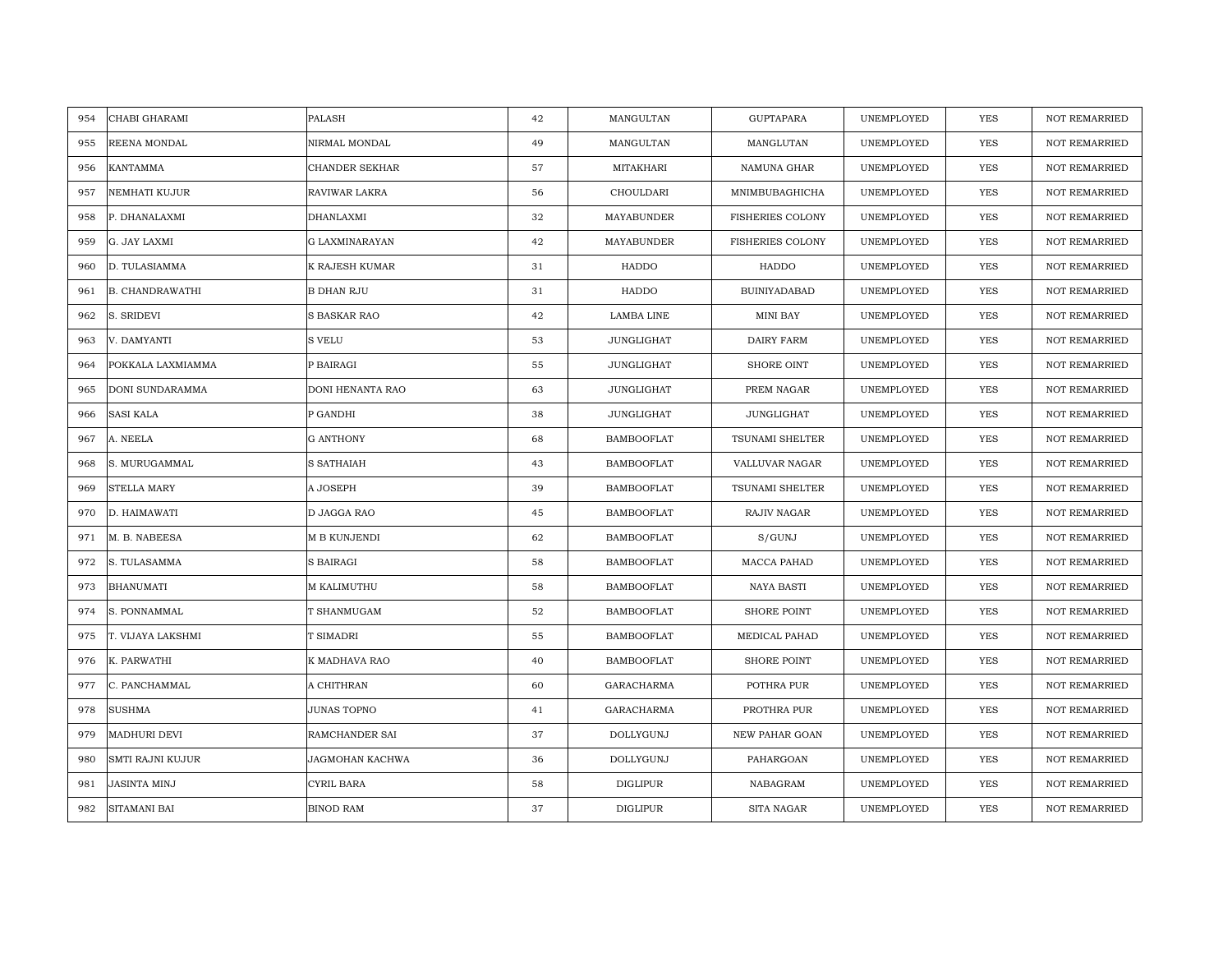| CHABI GHARAMI<br>954          | <b>PALASH</b>         | 42 | MANGULTAN         | <b>GUPTAPARA</b>        | UNEMPLOYED | <b>YES</b> | <b>NOT REMARRIED</b> |
|-------------------------------|-----------------------|----|-------------------|-------------------------|------------|------------|----------------------|
| REENA MONDAL<br>955           | NIRMAL MONDAL         | 49 | MANGULTAN         | MANGLUTAN               | UNEMPLOYED | <b>YES</b> | NOT REMARRIED        |
| 956<br>KANTAMMA               | CHANDER SEKHAR        | 57 | MITAKHARI         | NAMUNA GHAR             | UNEMPLOYED | YES        | <b>NOT REMARRIED</b> |
| NEMHATI KUJUR<br>957          | RAVIWAR LAKRA         | 56 | CHOULDARI         | MNIMBUBAGHICHA          | UNEMPLOYED | <b>YES</b> | <b>NOT REMARRIED</b> |
| P. DHANALAXMI<br>958          | <b>DHANLAXMI</b>      | 32 | MAYABUNDER        | <b>FISHERIES COLONY</b> | UNEMPLOYED | YES        | <b>NOT REMARRIED</b> |
| 959<br>G. JAY LAXMI           | <b>G LAXMINARAYAN</b> | 42 | MAYABUNDER        | <b>FISHERIES COLONY</b> | UNEMPLOYED | YES        | NOT REMARRIED        |
| D. TULASIAMMA<br>960          | K RAJESH KUMAR        | 31 | HADDO             | <b>HADDO</b>            | UNEMPLOYED | <b>YES</b> | <b>NOT REMARRIED</b> |
| <b>B. CHANDRAWATHI</b><br>961 | <b>B DHAN RJU</b>     | 31 | HADDO             | <b>BUINIYADABAD</b>     | UNEMPLOYED | YES        | <b>NOT REMARRIED</b> |
| 962<br>S. SRIDEVI             | S BASKAR RAO          | 42 | <b>LAMBA LINE</b> | <b>MINI BAY</b>         | UNEMPLOYED | YES        | NOT REMARRIED        |
| V. DAMYANTI<br>963            | S VELU                | 53 | <b>JUNGLIGHAT</b> | <b>DAIRY FARM</b>       | UNEMPLOYED | YES        | <b>NOT REMARRIED</b> |
| POKKALA LAXMIAMMA<br>964      | P BAIRAGI             | 55 | JUNGLIGHAT        | SHORE OINT              | UNEMPLOYED | YES        | <b>NOT REMARRIED</b> |
| DONI SUNDARAMMA<br>965        | DONI HENANTA RAO      | 63 | JUNGLIGHAT        | PREM NAGAR              | UNEMPLOYED | YES        | <b>NOT REMARRIED</b> |
| <b>SASI KALA</b><br>966       | P GANDHI              | 38 | JUNGLIGHAT        | <b>JUNGLIGHAT</b>       | UNEMPLOYED | YES        | NOT REMARRIED        |
| A. NEELA<br>967               | <b>G ANTHONY</b>      | 68 | <b>BAMBOOFLAT</b> | TSUNAMI SHELTER         | UNEMPLOYED | <b>YES</b> | <b>NOT REMARRIED</b> |
| S. MURUGAMMAL<br>968          | S SATHAIAH            | 43 | <b>BAMBOOFLAT</b> | VALLUVAR NAGAR          | UNEMPLOYED | <b>YES</b> | <b>NOT REMARRIED</b> |
| <b>STELLA MARY</b><br>969     | A JOSEPH              | 39 | <b>BAMBOOFLAT</b> | <b>TSUNAMI SHELTER</b>  | UNEMPLOYED | <b>YES</b> | <b>NOT REMARRIED</b> |
| 970<br>D. HAIMAWATI           | D JAGGA RAO           | 45 | <b>BAMBOOFLAT</b> | <b>RAJIV NAGAR</b>      | UNEMPLOYED | YES        | <b>NOT REMARRIED</b> |
| 971<br>M. B. NABEESA          | M B KUNJENDI          | 62 | <b>BAMBOOFLAT</b> | S/GUNJ                  | UNEMPLOYED | <b>YES</b> | <b>NOT REMARRIED</b> |
| S. TULASAMMA<br>972           | <b>S BAIRAGI</b>      | 58 | <b>BAMBOOFLAT</b> | MACCA PAHAD             | UNEMPLOYED | <b>YES</b> | <b>NOT REMARRIED</b> |
| 973<br><b>BHANUMATI</b>       | M KALIMUTHU           | 58 | <b>BAMBOOFLAT</b> | <b>NAYA BASTI</b>       | UNEMPLOYED | YES        | <b>NOT REMARRIED</b> |
| S. PONNAMMAL<br>974           | T SHANMUGAM           | 52 | <b>BAMBOOFLAT</b> | <b>SHORE POINT</b>      | UNEMPLOYED | <b>YES</b> | <b>NOT REMARRIED</b> |
| T. VIJAYA LAKSHMI<br>975      | T SIMADRI             | 55 | <b>BAMBOOFLAT</b> | MEDICAL PAHAD           | UNEMPLOYED | YES        | NOT REMARRIED        |
| 976<br>K. PARWATHI            | K MADHAVA RAO         | 40 | <b>BAMBOOFLAT</b> | <b>SHORE POINT</b>      | UNEMPLOYED | <b>YES</b> | <b>NOT REMARRIED</b> |
| 977<br>C. PANCHAMMAL          | A CHITHRAN            | 60 | <b>GARACHARMA</b> | POTHRA PUR              | UNEMPLOYED | <b>YES</b> | <b>NOT REMARRIED</b> |
| 978<br><b>SUSHMA</b>          | JUNAS TOPNO           | 41 | <b>GARACHARMA</b> | PROTHRA PUR             | UNEMPLOYED | <b>YES</b> | <b>NOT REMARRIED</b> |
| MADHURI DEVI<br>979           | RAMCHANDER SAI        | 37 | DOLLYGUNJ         | <b>NEW PAHAR GOAN</b>   | UNEMPLOYED | YES        | NOT REMARRIED        |
| 980<br>SMTI RAJNI KUJUR       | JAGMOHAN KACHWA       | 36 | DOLLYGUNJ         | PAHARGOAN               | UNEMPLOYED | <b>YES</b> | <b>NOT REMARRIED</b> |
| 981<br>JASINTA MINJ           | CYRIL BARA            | 58 | <b>DIGLIPUR</b>   | NABAGRAM                | UNEMPLOYED | YES        | <b>NOT REMARRIED</b> |
| SITAMANI BAI<br>982           | <b>BINOD RAM</b>      | 37 | <b>DIGLIPUR</b>   | SITA NAGAR              | UNEMPLOYED | YES        | NOT REMARRIED        |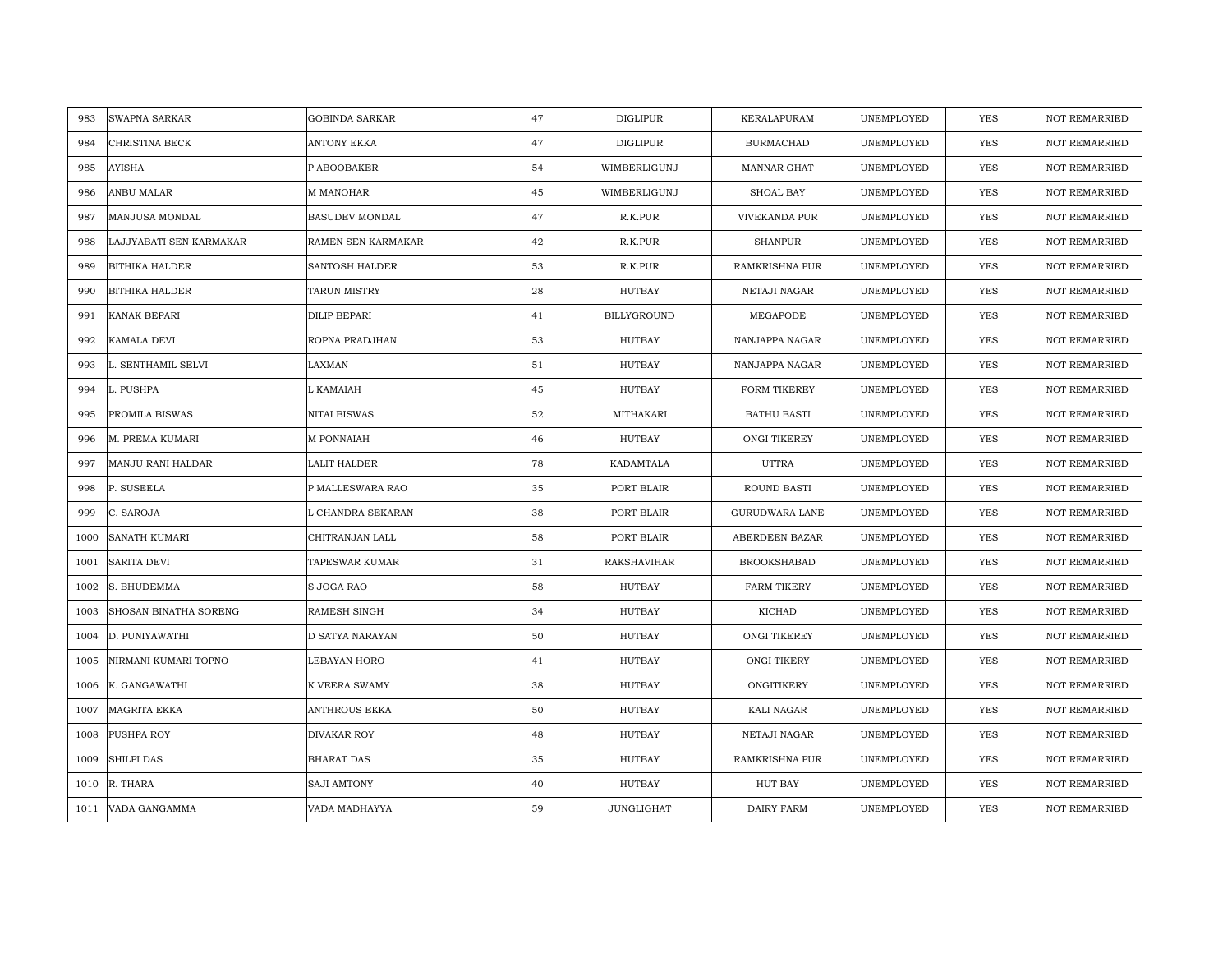| SWAPNA SARKAR<br>983           | <b>GOBINDA SARKAR</b> | 47 | DIGLIPUR           | KERALAPURAM           | UNEMPLOYED | <b>YES</b> | <b>NOT REMARRIED</b> |
|--------------------------------|-----------------------|----|--------------------|-----------------------|------------|------------|----------------------|
| CHRISTINA BECK<br>984          | ANTONY EKKA           | 47 | DIGLIPUR           | <b>BURMACHAD</b>      | UNEMPLOYED | <b>YES</b> | <b>NOT REMARRIED</b> |
| <b>AYISHA</b><br>985           | P ABOOBAKER           | 54 | WIMBERLIGUNJ       | MANNAR GHAT           | UNEMPLOYED | YES        | <b>NOT REMARRIED</b> |
| ANBU MALAR<br>986              | M MANOHAR             | 45 | WIMBERLIGUNJ       | SHOAL BAY             | UNEMPLOYED | YES        | NOT REMARRIED        |
| MANJUSA MONDAL<br>987          | <b>BASUDEV MONDAL</b> | 47 | R.K.PUR            | VIVEKANDA PUR         | UNEMPLOYED | YES        | <b>NOT REMARRIED</b> |
| 988<br>LAJJYABATI SEN KARMAKAR | RAMEN SEN KARMAKAR    | 42 | R.K.PUR            | <b>SHANPUR</b>        | UNEMPLOYED | YES        | NOT REMARRIED        |
| <b>BITHIKA HALDER</b><br>989   | <b>SANTOSH HALDER</b> | 53 | R.K.PUR            | RAMKRISHNA PUR        | UNEMPLOYED | <b>YES</b> | <b>NOT REMARRIED</b> |
| 990<br><b>BITHIKA HALDER</b>   | TARUN MISTRY          | 28 | HUTBAY             | NETAJI NAGAR          | UNEMPLOYED | YES        | <b>NOT REMARRIED</b> |
| 991<br>KANAK BEPARI            | DILIP BEPARI          | 41 | BILLYGROUND        | MEGAPODE              | UNEMPLOYED | YES        | NOT REMARRIED        |
| 992<br>KAMALA DEVI             | ROPNA PRADJHAN        | 53 | <b>HUTBAY</b>      | NANJAPPA NAGAR        | UNEMPLOYED | YES        | NOT REMARRIED        |
| 993<br>L. SENTHAMIL SELVI      | LAXMAN                | 51 | HUTBAY             | NANJAPPA NAGAR        | UNEMPLOYED | YES        | <b>NOT REMARRIED</b> |
| 994<br>L. PUSHPA               | L KAMAIAH             | 45 | HUTBAY             | FORM TIKEREY          | UNEMPLOYED | YES        | <b>NOT REMARRIED</b> |
| 995<br>PROMILA BISWAS          | NITAI BISWAS          | 52 | MITHAKARI          | <b>BATHU BASTI</b>    | UNEMPLOYED | YES        | NOT REMARRIED        |
| 996<br>M. PREMA KUMARI         | M PONNAIAH            | 46 | HUTBAY             | ONGI TIKEREY          | UNEMPLOYED | <b>YES</b> | <b>NOT REMARRIED</b> |
| 997<br>MANJU RANI HALDAR       | LALIT HALDER          | 78 | KADAMTALA          | UTTRA                 | UNEMPLOYED | <b>YES</b> | <b>NOT REMARRIED</b> |
| 998<br>P. SUSEELA              | P MALLESWARA RAO      | 35 | PORT BLAIR         | <b>ROUND BASTI</b>    | UNEMPLOYED | <b>YES</b> | <b>NOT REMARRIED</b> |
| 999<br>C. SAROJA               | L CHANDRA SEKARAN     | 38 | PORT BLAIR         | <b>GURUDWARA LANE</b> | UNEMPLOYED | YES        | <b>NOT REMARRIED</b> |
| 1000<br>SANATH KUMARI          | CHITRANJAN LALL       | 58 | PORT BLAIR         | ABERDEEN BAZAR        | UNEMPLOYED | <b>YES</b> | <b>NOT REMARRIED</b> |
| <b>SARITA DEVI</b><br>1001     | <b>TAPESWAR KUMAR</b> | 31 | <b>RAKSHAVIHAR</b> | <b>BROOKSHABAD</b>    | UNEMPLOYED | YES        | <b>NOT REMARRIED</b> |
| 1002<br>S. BHUDEMMA            | S JOGA RAO            | 58 | HUTBAY             | <b>FARM TIKERY</b>    | UNEMPLOYED | YES        | <b>NOT REMARRIED</b> |
| SHOSAN BINATHA SORENG<br>1003  | RAMESH SINGH          | 34 | HUTBAY             | <b>KICHAD</b>         | UNEMPLOYED | <b>YES</b> | <b>NOT REMARRIED</b> |
| 1004<br>D. PUNIYAWATHI         | D SATYA NARAYAN       | 50 | HUTBAY             | ONGI TIKEREY          | UNEMPLOYED | YES        | NOT REMARRIED        |
| NIRMANI KUMARI TOPNO<br>1005   | LEBAYAN HORO          | 41 | HUTBAY             | ONGI TIKERY           | UNEMPLOYED | <b>YES</b> | <b>NOT REMARRIED</b> |
| K. GANGAWATHI<br>1006          | K VEERA SWAMY         | 38 | <b>HUTBAY</b>      | ONGITIKERY            | UNEMPLOYED | YES        | <b>NOT REMARRIED</b> |
| 1007<br>MAGRITA EKKA           | ANTHROUS EKKA         | 50 | <b>HUTBAY</b>      | KALI NAGAR            | UNEMPLOYED | <b>YES</b> | <b>NOT REMARRIED</b> |
| 1008<br>PUSHPA ROY             | DIVAKAR ROY           | 48 | HUTBAY             | NETAJI NAGAR          | UNEMPLOYED | YES        | NOT REMARRIED        |
| SHILPI DAS<br>1009             | <b>BHARAT DAS</b>     | 35 | HUTBAY             | RAMKRISHNA PUR        | UNEMPLOYED | <b>YES</b> | <b>NOT REMARRIED</b> |
| R. THARA<br>1010               | <b>SAJI AMTONY</b>    | 40 | <b>HUTBAY</b>      | <b>HUT BAY</b>        | UNEMPLOYED | YES        | <b>NOT REMARRIED</b> |
| VADA GANGAMMA<br>1011          | VADA MADHAYYA         | 59 | JUNGLIGHAT         | DAIRY FARM            | UNEMPLOYED | YES        | NOT REMARRIED        |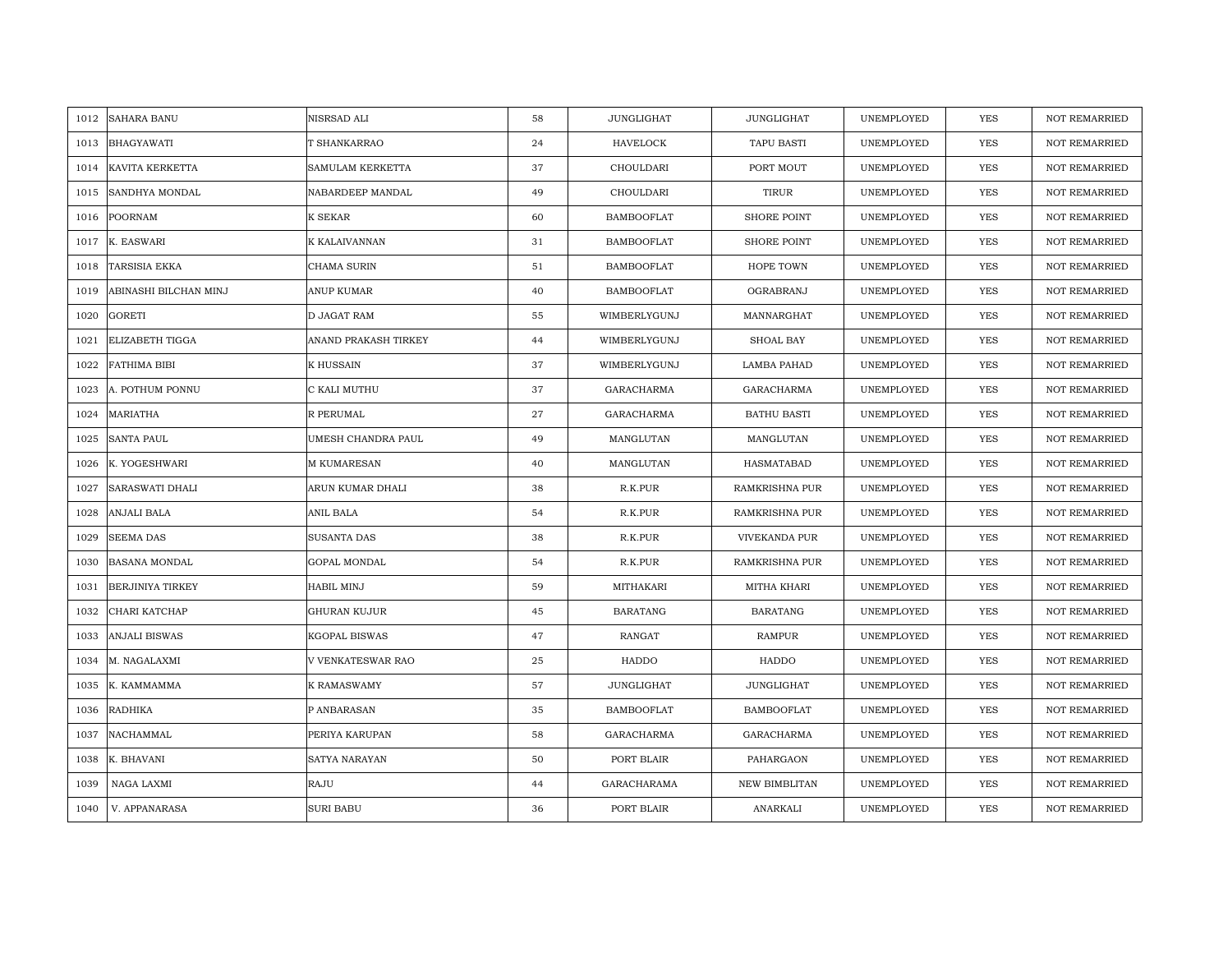| 1012 | <b>SAHARA BANU</b>      | NISRSAD ALI             | 58 | JUNGLIGHAT        | <b>JUNGLIGHAT</b>     | UNEMPLOYED | <b>YES</b> | <b>NOT REMARRIED</b> |
|------|-------------------------|-------------------------|----|-------------------|-----------------------|------------|------------|----------------------|
| 1013 | <b>BHAGYAWATI</b>       | T SHANKARRAO            | 24 | <b>HAVELOCK</b>   | TAPU BASTI            | UNEMPLOYED | <b>YES</b> | NOT REMARRIED        |
| 1014 | KAVITA KERKETTA         | <b>SAMULAM KERKETTA</b> | 37 | CHOULDARI         | PORT MOUT             | UNEMPLOYED | <b>YES</b> | <b>NOT REMARRIED</b> |
|      |                         |                         |    |                   |                       |            |            |                      |
| 1015 | SANDHYA MONDAL          | NABARDEEP MANDAL        | 49 | CHOULDARI         | TIRUR                 | UNEMPLOYED | YES        | NOT REMARRIED        |
| 1016 | <b>POORNAM</b>          | K SEKAR                 | 60 | <b>BAMBOOFLAT</b> | <b>SHORE POINT</b>    | UNEMPLOYED | YES        | <b>NOT REMARRIED</b> |
| 1017 | K. EASWARI              | K KALAIVANNAN           | 31 | <b>BAMBOOFLAT</b> | SHORE POINT           | UNEMPLOYED | YES        | NOT REMARRIED        |
| 1018 | <b>TARSISIA EKKA</b>    | CHAMA SURIN             | 51 | <b>BAMBOOFLAT</b> | HOPE TOWN             | UNEMPLOYED | <b>YES</b> | <b>NOT REMARRIED</b> |
| 1019 | ABINASHI BILCHAN MINJ   | ANUP KUMAR              | 40 | <b>BAMBOOFLAT</b> | OGRABRANJ             | UNEMPLOYED | YES        | <b>NOT REMARRIED</b> |
| 1020 | <b>GORETI</b>           | D JAGAT RAM             | 55 | WIMBERLYGUNJ      | MANNARGHAT            | UNEMPLOYED | YES        | NOT REMARRIED        |
| 1021 | ELIZABETH TIGGA         | ANAND PRAKASH TIRKEY    | 44 | WIMBERLYGUNJ      | SHOAL BAY             | UNEMPLOYED | <b>YES</b> | NOT REMARRIED        |
| 1022 | FATHIMA BIBI            | K HUSSAIN               | 37 | WIMBERLYGUNJ      | LAMBA PAHAD           | UNEMPLOYED | YES        | <b>NOT REMARRIED</b> |
| 1023 | A. POTHUM PONNU         | C KALI MUTHU            | 37 | GARACHARMA        | GARACHARMA            | UNEMPLOYED | YES        | NOT REMARRIED        |
| 1024 | MARIATHA                | R PERUMAL               | 27 | GARACHARMA        | <b>BATHU BASTI</b>    | UNEMPLOYED | YES        | NOT REMARRIED        |
| 1025 | <b>SANTA PAUL</b>       | UMESH CHANDRA PAUL      | 49 | MANGLUTAN         | MANGLUTAN             | UNEMPLOYED | YES        | <b>NOT REMARRIED</b> |
| 1026 | K. YOGESHWARI           | <b>M KUMARESAN</b>      | 40 | MANGLUTAN         | HASMATABAD            | UNEMPLOYED | YES        | <b>NOT REMARRIED</b> |
| 1027 | <b>SARASWATI DHALI</b>  | ARUN KUMAR DHALI        | 38 | R.K.PUR           | RAMKRISHNA PUR        | UNEMPLOYED | <b>YES</b> | <b>NOT REMARRIED</b> |
| 1028 | <b>ANJALI BALA</b>      | ANIL BALA               | 54 | R.K.PUR           | <b>RAMKRISHNA PUR</b> | UNEMPLOYED | YES        | <b>NOT REMARRIED</b> |
| 1029 | <b>SEEMA DAS</b>        | SUSANTA DAS             | 38 | R.K.PUR           | VIVEKANDA PUR         | UNEMPLOYED | <b>YES</b> | <b>NOT REMARRIED</b> |
| 1030 | <b>BASANA MONDAL</b>    | <b>GOPAL MONDAL</b>     | 54 | R.K.PUR           | RAMKRISHNA PUR        | UNEMPLOYED | YES        | <b>NOT REMARRIED</b> |
| 1031 | <b>BERJINIYA TIRKEY</b> | HABIL MINJ              | 59 | MITHAKARI         | MITHA KHARI           | UNEMPLOYED | YES        | NOT REMARRIED        |
| 1032 | CHARI KATCHAP           | GHURAN KUJUR            | 45 | <b>BARATANG</b>   | <b>BARATANG</b>       | UNEMPLOYED | <b>YES</b> | <b>NOT REMARRIED</b> |
| 1033 | ANJALI BISWAS           | KGOPAL BISWAS           | 47 | RANGAT            | RAMPUR                | UNEMPLOYED | YES        | NOT REMARRIED        |
| 1034 | M. NAGALAXMI            | V VENKATESWAR RAO       | 25 | HADDO             | HADDO                 | UNEMPLOYED | YES        | NOT REMARRIED        |
| 1035 | K. KAMMAMMA             | K RAMASWAMY             | 57 | JUNGLIGHAT        | <b>JUNGLIGHAT</b>     | UNEMPLOYED | YES        | <b>NOT REMARRIED</b> |
| 1036 | <b>RADHIKA</b>          | P ANBARASAN             | 35 | <b>BAMBOOFLAT</b> | <b>BAMBOOFLAT</b>     | UNEMPLOYED | YES        | <b>NOT REMARRIED</b> |
| 1037 | NACHAMMAL               | PERIYA KARUPAN          | 58 | GARACHARMA        | GARACHARMA            | UNEMPLOYED | YES        | NOT REMARRIED        |
| 1038 | K. BHAVANI              | SATYA NARAYAN           | 50 | PORT BLAIR        | PAHARGAON             | UNEMPLOYED | YES        | <b>NOT REMARRIED</b> |
| 1039 | NAGA LAXMI              | <b>RAJU</b>             | 44 | GARACHARAMA       | <b>NEW BIMBLITAN</b>  | UNEMPLOYED | YES        | <b>NOT REMARRIED</b> |
| 1040 | V. APPANARASA           | <b>SURI BABU</b>        | 36 | PORT BLAIR        | ANARKALI              | UNEMPLOYED | YES        | NOT REMARRIED        |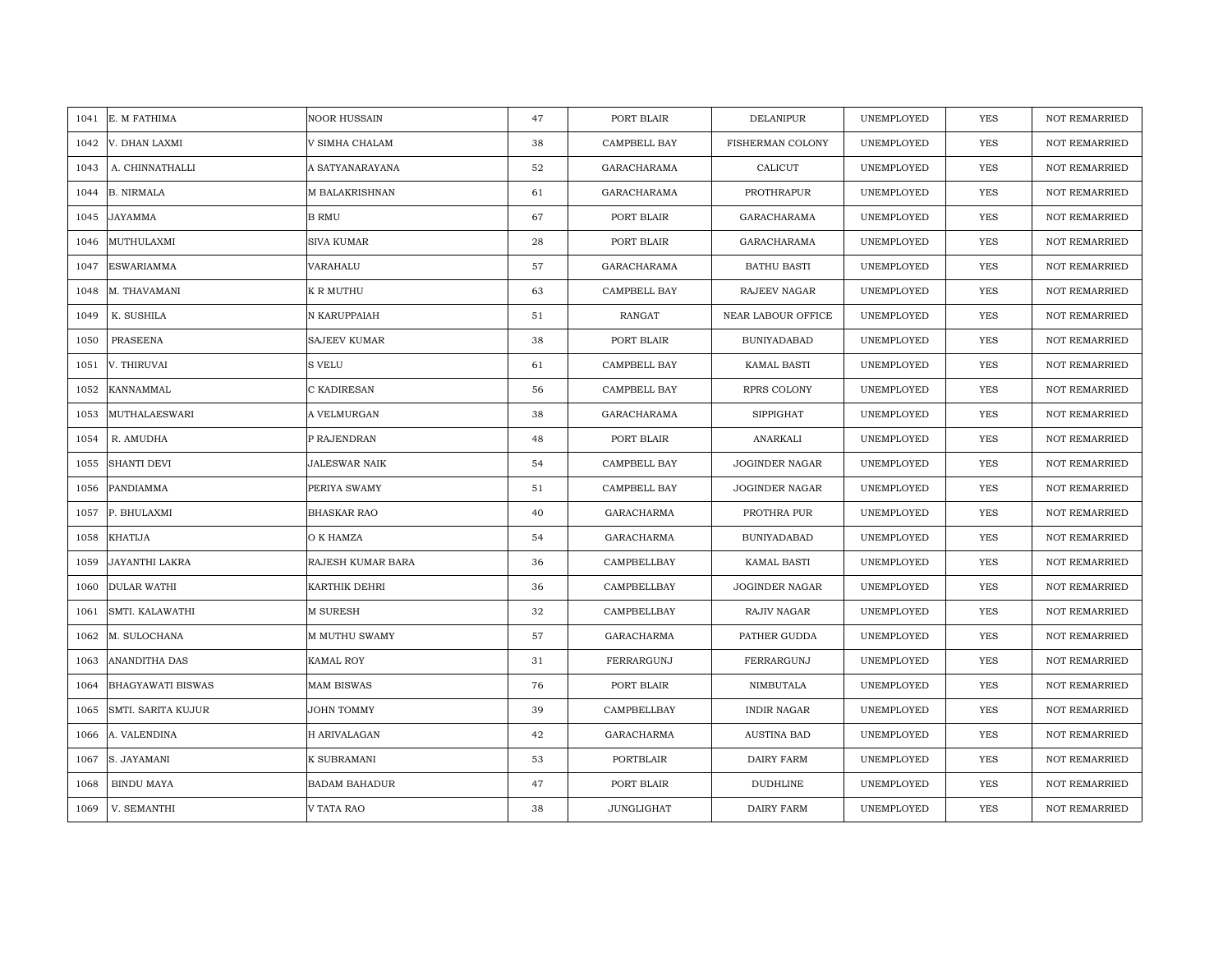| E. M FATHIMA<br>1041             | NOOR HUSSAIN         | 47 | PORT BLAIR        | <b>DELANIPUR</b>      | UNEMPLOYED | <b>YES</b> | <b>NOT REMARRIED</b> |
|----------------------------------|----------------------|----|-------------------|-----------------------|------------|------------|----------------------|
| 1042<br>V. DHAN LAXMI            | V SIMHA CHALAM       | 38 | CAMPBELL BAY      | FISHERMAN COLONY      | UNEMPLOYED | <b>YES</b> | <b>NOT REMARRIED</b> |
| A. CHINNATHALLI<br>1043          | A SATYANARAYANA      | 52 | GARACHARAMA       | CALICUT               | UNEMPLOYED | YES        | <b>NOT REMARRIED</b> |
| <b>B. NIRMALA</b><br>1044        | M BALAKRISHNAN       | 61 | GARACHARAMA       | PROTHRAPUR            | UNEMPLOYED | YES        | <b>NOT REMARRIED</b> |
| JAYAMMA<br>1045                  | <b>B RMU</b>         | 67 | PORT BLAIR        | GARACHARAMA           | UNEMPLOYED | YES        | <b>NOT REMARRIED</b> |
| MUTHULAXMI<br>1046               | SIVA KUMAR           | 28 | PORT BLAIR        | GARACHARAMA           | UNEMPLOYED | YES        | NOT REMARRIED        |
| 1047<br>ESWARIAMMA               | VARAHALU             | 57 | GARACHARAMA       | <b>BATHU BASTI</b>    | UNEMPLOYED | YES        | <b>NOT REMARRIED</b> |
| M. THAVAMANI<br>1048             | K R MUTHU            | 63 | CAMPBELL BAY      | <b>RAJEEV NAGAR</b>   | UNEMPLOYED | YES        | NOT REMARRIED        |
| K. SUSHILA<br>1049               | N KARUPPAIAH         | 51 | RANGAT            | NEAR LABOUR OFFICE    | UNEMPLOYED | <b>YES</b> | NOT REMARRIED        |
| PRASEENA<br>1050                 | <b>SAJEEV KUMAR</b>  | 38 | PORT BLAIR        | <b>BUNIYADABAD</b>    | UNEMPLOYED | <b>YES</b> | <b>NOT REMARRIED</b> |
| V. THIRUVAI<br>1051              | S VELU               | 61 | CAMPBELL BAY      | <b>KAMAL BASTI</b>    | UNEMPLOYED | <b>YES</b> | <b>NOT REMARRIED</b> |
| 1052<br>KANNAMMAL                | C KADIRESAN          | 56 | CAMPBELL BAY      | RPRS COLONY           | UNEMPLOYED | <b>YES</b> | <b>NOT REMARRIED</b> |
| 1053<br>MUTHALAESWARI            | A VELMURGAN          | 38 | GARACHARAMA       | <b>SIPPIGHAT</b>      | UNEMPLOYED | YES        | NOT REMARRIED        |
| R. AMUDHA<br>1054                | P RAJENDRAN          | 48 | PORT BLAIR        | ANARKALI              | UNEMPLOYED | <b>YES</b> | <b>NOT REMARRIED</b> |
| <b>SHANTI DEVI</b><br>1055       | JALESWAR NAIK        | 54 | CAMPBELL BAY      | JOGINDER NAGAR        | UNEMPLOYED | YES        | NOT REMARRIED        |
| PANDIAMMA<br>1056                | PERIYA SWAMY         | 51 | CAMPBELL BAY      | JOGINDER NAGAR        | UNEMPLOYED | <b>YES</b> | NOT REMARRIED        |
| 1057<br>P. BHULAXMI              | <b>BHASKAR RAO</b>   | 40 | <b>GARACHARMA</b> | PROTHRA PUR           | UNEMPLOYED | YES        | NOT REMARRIED        |
| 1058<br>KHATIJA                  | O K HAMZA            | 54 | GARACHARMA        | <b>BUNIYADABAD</b>    | UNEMPLOYED | <b>YES</b> | <b>NOT REMARRIED</b> |
| JAYANTHI LAKRA<br>1059           | RAJESH KUMAR BARA    | 36 | CAMPBELLBAY       | KAMAL BASTI           | UNEMPLOYED | YES        | NOT REMARRIED        |
| 1060<br><b>DULAR WATHI</b>       | KARTHIK DEHRI        | 36 | CAMPBELLBAY       | <b>JOGINDER NAGAR</b> | UNEMPLOYED | <b>YES</b> | <b>NOT REMARRIED</b> |
| SMTI. KALAWATHI<br>1061          | <b>M SURESH</b>      | 32 | CAMPBELLBAY       | RAJIV NAGAR           | UNEMPLOYED | <b>YES</b> | <b>NOT REMARRIED</b> |
| M. SULOCHANA<br>1062             | M MUTHU SWAMY        | 57 | <b>GARACHARMA</b> | PATHER GUDDA          | UNEMPLOYED | YES        | <b>NOT REMARRIED</b> |
| ANANDITHA DAS<br>1063            | KAMAL ROY            | 31 | FERRARGUNJ        | FERRARGUNJ            | UNEMPLOYED | <b>YES</b> | <b>NOT REMARRIED</b> |
| <b>BHAGYAWATI BISWAS</b><br>1064 | MAM BISWAS           | 76 | PORT BLAIR        | NIMBUTALA             | UNEMPLOYED | YES        | <b>NOT REMARRIED</b> |
| SMTI. SARITA KUJUR<br>1065       | JOHN TOMMY           | 39 | CAMPBELLBAY       | <b>INDIR NAGAR</b>    | UNEMPLOYED | <b>YES</b> | <b>NOT REMARRIED</b> |
| 1066<br>A. VALENDINA             | <b>H ARIVALAGAN</b>  | 42 | GARACHARMA        | <b>AUSTINA BAD</b>    | UNEMPLOYED | YES        | NOT REMARRIED        |
| 1067<br>S. JAYAMANI              | K SUBRAMANI          | 53 | PORTBLAIR         | DAIRY FARM            | UNEMPLOYED | <b>YES</b> | <b>NOT REMARRIED</b> |
| 1068<br><b>BINDU MAYA</b>        | <b>BADAM BAHADUR</b> | 47 | PORT BLAIR        | <b>DUDHLINE</b>       | UNEMPLOYED | YES        | <b>NOT REMARRIED</b> |
| V. SEMANTHI<br>1069              | V TATA RAO           | 38 | JUNGLIGHAT        | DAIRY FARM            | UNEMPLOYED | YES        | NOT REMARRIED        |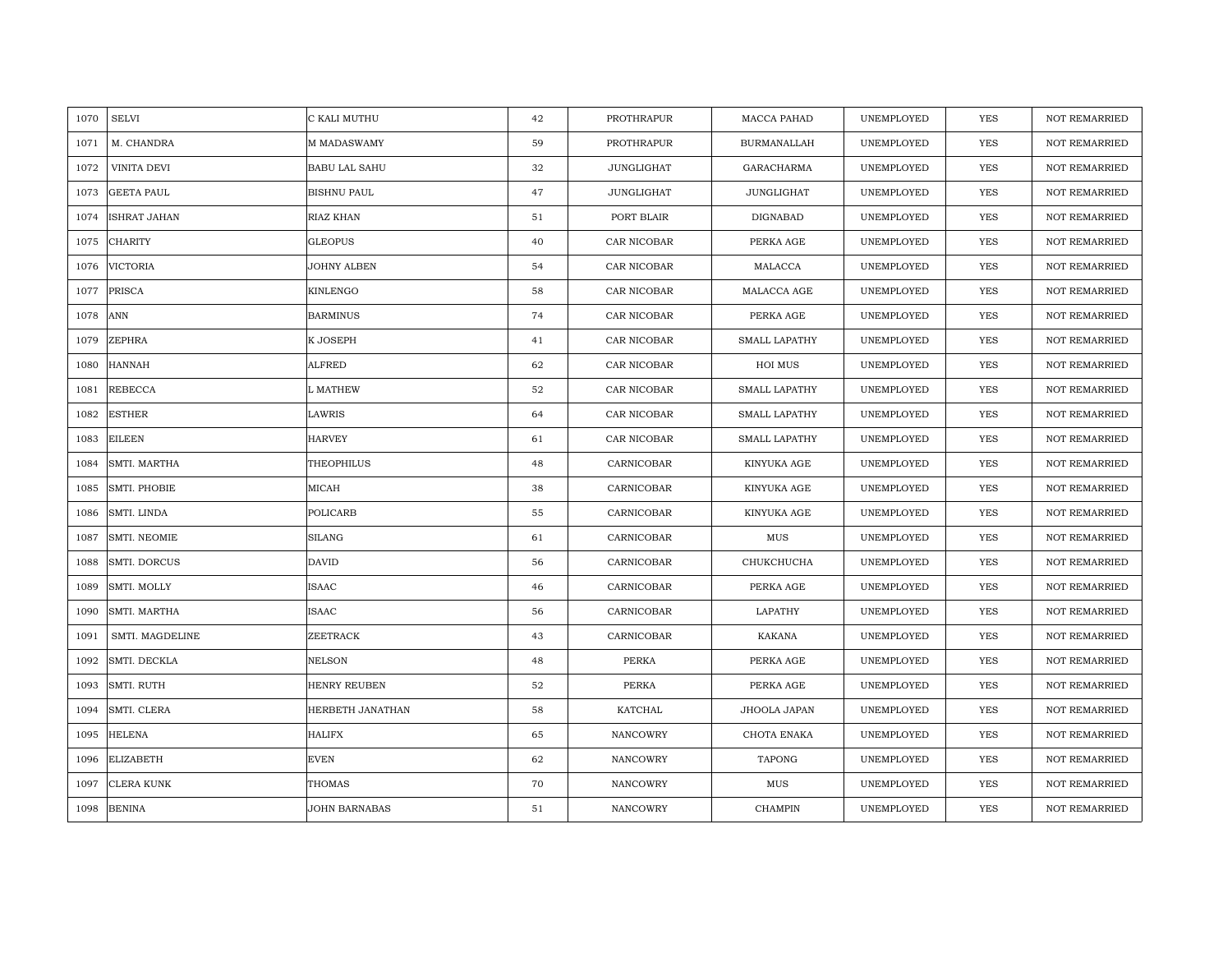| 1070 | <b>SELVI</b>      | C KALI MUTHU         | 42 | PROTHRAPUR        | MACCA PAHAD          | UNEMPLOYED | YES        | <b>NOT REMARRIED</b> |
|------|-------------------|----------------------|----|-------------------|----------------------|------------|------------|----------------------|
| 1071 | M. CHANDRA        | M MADASWAMY          | 59 | PROTHRAPUR        | <b>BURMANALLAH</b>   | UNEMPLOYED | <b>YES</b> | <b>NOT REMARRIED</b> |
| 1072 | VINITA DEVI       | <b>BABU LAL SAHU</b> | 32 | <b>JUNGLIGHAT</b> | GARACHARMA           | UNEMPLOYED | <b>YES</b> | <b>NOT REMARRIED</b> |
| 1073 | <b>GEETA PAUL</b> | <b>BISHNU PAUL</b>   | 47 | JUNGLIGHAT        | <b>JUNGLIGHAT</b>    | UNEMPLOYED | YES        | <b>NOT REMARRIED</b> |
| 1074 | ISHRAT JAHAN      | RIAZ KHAN            | 51 | PORT BLAIR        | DIGNABAD             | UNEMPLOYED | YES        | <b>NOT REMARRIED</b> |
| 1075 | <b>CHARITY</b>    | <b>GLEOPUS</b>       | 40 | CAR NICOBAR       | PERKA AGE            | UNEMPLOYED | <b>YES</b> | NOT REMARRIED        |
| 1076 | <b>VICTORIA</b>   | JOHNY ALBEN          | 54 | CAR NICOBAR       | MALACCA              | UNEMPLOYED | YES        | <b>NOT REMARRIED</b> |
| 1077 | PRISCA            | KINLENGO             | 58 | CAR NICOBAR       | MALACCA AGE          | UNEMPLOYED | <b>YES</b> | NOT REMARRIED        |
| 1078 | ANN               | <b>BARMINUS</b>      | 74 | CAR NICOBAR       | PERKA AGE            | UNEMPLOYED | <b>YES</b> | NOT REMARRIED        |
| 1079 | <b>ZEPHRA</b>     | K JOSEPH             | 41 | CAR NICOBAR       | <b>SMALL LAPATHY</b> | UNEMPLOYED | YES        | <b>NOT REMARRIED</b> |
| 1080 | HANNAH            | ALFRED               | 62 | CAR NICOBAR       | HOI MUS              | UNEMPLOYED | YES        | <b>NOT REMARRIED</b> |
| 1081 | <b>REBECCA</b>    | L MATHEW             | 52 | CAR NICOBAR       | SMALL LAPATHY        | UNEMPLOYED | YES        | <b>NOT REMARRIED</b> |
| 1082 | <b>ESTHER</b>     | LAWRIS               | 64 | CAR NICOBAR       | <b>SMALL LAPATHY</b> | UNEMPLOYED | <b>YES</b> | <b>NOT REMARRIED</b> |
| 1083 | <b>EILEEN</b>     | <b>HARVEY</b>        | 61 | CAR NICOBAR       | <b>SMALL LAPATHY</b> | UNEMPLOYED | <b>YES</b> | <b>NOT REMARRIED</b> |
| 1084 | SMTI. MARTHA      | <b>THEOPHILUS</b>    | 48 | CARNICOBAR        | KINYUKA AGE          | UNEMPLOYED | <b>YES</b> | <b>NOT REMARRIED</b> |
| 1085 | SMTI. PHOBIE      | MICAH                | 38 | CARNICOBAR        | KINYUKA AGE          | UNEMPLOYED | <b>YES</b> | <b>NOT REMARRIED</b> |
| 1086 | SMTI. LINDA       | POLICARB             | 55 | CARNICOBAR        | KINYUKA AGE          | UNEMPLOYED | <b>YES</b> | <b>NOT REMARRIED</b> |
| 1087 | SMTI. NEOMIE      | <b>SILANG</b>        | 61 | CARNICOBAR        | MUS                  | UNEMPLOYED | <b>YES</b> | <b>NOT REMARRIED</b> |
| 1088 | SMTI. DORCUS      | <b>DAVID</b>         | 56 | CARNICOBAR        | СНИКСНИСНА           | UNEMPLOYED | <b>YES</b> | <b>NOT REMARRIED</b> |
| 1089 | SMTI. MOLLY       | ISAAC                | 46 | CARNICOBAR        | PERKA AGE            | UNEMPLOYED | <b>YES</b> | NOT REMARRIED        |
| 1090 | SMTI. MARTHA      | ISAAC                | 56 | CARNICOBAR        | LAPATHY              | UNEMPLOYED | YES        | NOT REMARRIED        |
| 1091 | SMTI. MAGDELINE   | ZEETRACK             | 43 | CARNICOBAR        | <b>KAKANA</b>        | UNEMPLOYED | YES        | NOT REMARRIED        |
| 1092 | SMTI. DECKLA      | <b>NELSON</b>        | 48 | <b>PERKA</b>      | PERKA AGE            | UNEMPLOYED | <b>YES</b> | <b>NOT REMARRIED</b> |
| 1093 | SMTI. RUTH        | HENRY REUBEN         | 52 | <b>PERKA</b>      | PERKA AGE            | UNEMPLOYED | YES        | <b>NOT REMARRIED</b> |
| 1094 | SMTI. CLERA       | HERBETH JANATHAN     | 58 | KATCHAL           | JHOOLA JAPAN         | UNEMPLOYED | <b>YES</b> | <b>NOT REMARRIED</b> |
| 1095 | <b>HELENA</b>     | <b>HALIFX</b>        | 65 | NANCOWRY          | CHOTA ENAKA          | UNEMPLOYED | YES        | NOT REMARRIED        |
| 1096 | <b>ELIZABETH</b>  | <b>EVEN</b>          | 62 | NANCOWRY          | TAPONG               | UNEMPLOYED | YES        | <b>NOT REMARRIED</b> |
| 1097 | CLERA KUNK        | <b>THOMAS</b>        | 70 | NANCOWRY          | MUS                  | UNEMPLOYED | YES        | <b>NOT REMARRIED</b> |
| 1098 | <b>BENINA</b>     | <b>JOHN BARNABAS</b> | 51 | NANCOWRY          | <b>CHAMPIN</b>       | UNEMPLOYED | <b>YES</b> | <b>NOT REMARRIED</b> |
|      |                   |                      |    |                   |                      |            |            |                      |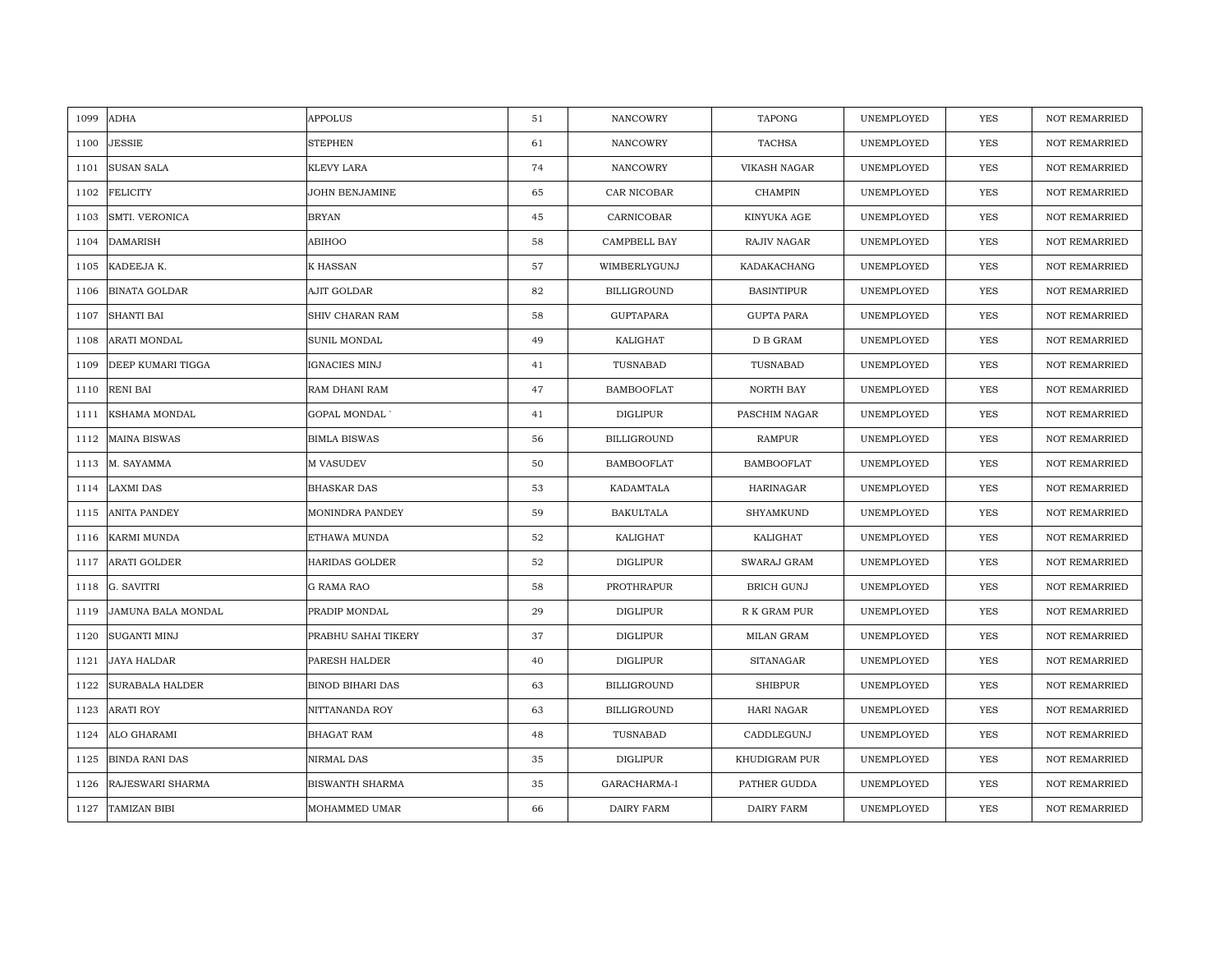| 1099 | <b>ADHA</b>            | <b>APPOLUS</b>          | 51 | <b>NANCOWRY</b>    | <b>TAPONG</b>       | UNEMPLOYED | <b>YES</b> | <b>NOT REMARRIED</b> |
|------|------------------------|-------------------------|----|--------------------|---------------------|------------|------------|----------------------|
| 1100 | <b>JESSIE</b>          | <b>STEPHEN</b>          | 61 | <b>NANCOWRY</b>    | <b>TACHSA</b>       | UNEMPLOYED | <b>YES</b> | <b>NOT REMARRIED</b> |
| 1101 | <b>SUSAN SALA</b>      | KLEVY LARA              | 74 | <b>NANCOWRY</b>    | <b>VIKASH NAGAR</b> | UNEMPLOYED | YES        | <b>NOT REMARRIED</b> |
| 1102 | <b>FELICITY</b>        | JOHN BENJAMINE          | 65 | CAR NICOBAR        | <b>CHAMPIN</b>      | UNEMPLOYED | YES        | <b>NOT REMARRIED</b> |
| 1103 | SMTI. VERONICA         | <b>BRYAN</b>            | 45 | CARNICOBAR         | KINYUKA AGE         | UNEMPLOYED | YES        | <b>NOT REMARRIED</b> |
| 1104 | <b>DAMARISH</b>        | ABIHOO                  | 58 | CAMPBELL BAY       | RAJIV NAGAR         | UNEMPLOYED | <b>YES</b> | NOT REMARRIED        |
| 1105 | KADEEJA K.             | <b>K HASSAN</b>         | 57 | WIMBERLYGUNJ       | KADAKACHANG         | UNEMPLOYED | YES        | <b>NOT REMARRIED</b> |
| 1106 | <b>BINATA GOLDAR</b>   | AJIT GOLDAR             | 82 | BILLIGROUND        | <b>BASINTIPUR</b>   | UNEMPLOYED | YES        | <b>NOT REMARRIED</b> |
| 1107 | <b>SHANTI BAI</b>      | SHIV CHARAN RAM         | 58 | GUPTAPARA          | <b>GUPTA PARA</b>   | UNEMPLOYED | <b>YES</b> | NOT REMARRIED        |
| 1108 | ARATI MONDAL           | SUNIL MONDAL            | 49 | KALIGHAT           | D B GRAM            | UNEMPLOYED | YES        | <b>NOT REMARRIED</b> |
| 1109 | DEEP KUMARI TIGGA      | <b>IGNACIES MINJ</b>    | 41 | TUSNABAD           | TUSNABAD            | UNEMPLOYED | YES        | <b>NOT REMARRIED</b> |
| 1110 | <b>RENI BAI</b>        | RAM DHANI RAM           | 47 | <b>BAMBOOFLAT</b>  | NORTH BAY           | UNEMPLOYED | YES        | <b>NOT REMARRIED</b> |
| 1111 | KSHAMA MONDAL          | <b>GOPAL MONDAL</b>     | 41 | <b>DIGLIPUR</b>    | PASCHIM NAGAR       | UNEMPLOYED | <b>YES</b> | NOT REMARRIED        |
| 1112 | <b>MAINA BISWAS</b>    | <b>BIMLA BISWAS</b>     | 56 | <b>BILLIGROUND</b> | <b>RAMPUR</b>       | UNEMPLOYED | <b>YES</b> | <b>NOT REMARRIED</b> |
| 1113 | M. SAYAMMA             | M VASUDEV               | 50 | <b>BAMBOOFLAT</b>  | <b>BAMBOOFLAT</b>   | UNEMPLOYED | YES        | NOT REMARRIED        |
| 1114 | <b>LAXMI DAS</b>       | <b>BHASKAR DAS</b>      | 53 | KADAMTALA          | <b>HARINAGAR</b>    | UNEMPLOYED | YES        | NOT REMARRIED        |
| 1115 | <b>ANITA PANDEY</b>    | MONINDRA PANDEY         | 59 | <b>BAKULTALA</b>   | SHYAMKUND           | UNEMPLOYED | YES        | <b>NOT REMARRIED</b> |
| 1116 | <b>KARMI MUNDA</b>     | ETHAWA MUNDA            | 52 | KALIGHAT           | KALIGHAT            | UNEMPLOYED | YES        | <b>NOT REMARRIED</b> |
| 1117 | <b>ARATI GOLDER</b>    | <b>HARIDAS GOLDER</b>   | 52 | <b>DIGLIPUR</b>    | SWARAJ GRAM         | UNEMPLOYED | YES        | <b>NOT REMARRIED</b> |
|      | 1118 G. SAVITRI        | G RAMA RAO              | 58 | PROTHRAPUR         | <b>BRICH GUNJ</b>   | UNEMPLOYED | YES        | <b>NOT REMARRIED</b> |
| 1119 | JAMUNA BALA MONDAL     | PRADIP MONDAL           | 29 | <b>DIGLIPUR</b>    | R K GRAM PUR        | UNEMPLOYED | YES        | <b>NOT REMARRIED</b> |
| 1120 | <b>SUGANTI MINJ</b>    | PRABHU SAHAI TIKERY     | 37 | DIGLIPUR           | MILAN GRAM          | UNEMPLOYED | YES        | <b>NOT REMARRIED</b> |
| 1121 | <b>JAYA HALDAR</b>     | PARESH HALDER           | 40 | <b>DIGLIPUR</b>    | <b>SITANAGAR</b>    | UNEMPLOYED | YES        | <b>NOT REMARRIED</b> |
| 1122 | <b>SURABALA HALDER</b> | <b>BINOD BIHARI DAS</b> | 63 | <b>BILLIGROUND</b> | <b>SHIBPUR</b>      | UNEMPLOYED | <b>YES</b> | <b>NOT REMARRIED</b> |
| 1123 | ARATI ROY              | NITTANANDA ROY          | 63 | <b>BILLIGROUND</b> | HARI NAGAR          | UNEMPLOYED | YES        | <b>NOT REMARRIED</b> |
| 1124 | ALO GHARAMI            | BHAGAT RAM              | 48 | TUSNABAD           | CADDLEGUNJ          | UNEMPLOYED | YES        | NOT REMARRIED        |
| 1125 | <b>BINDA RANI DAS</b>  | NIRMAL DAS              | 35 | <b>DIGLIPUR</b>    | KHUDIGRAM PUR       | UNEMPLOYED | <b>YES</b> | <b>NOT REMARRIED</b> |
| 1126 | RAJESWARI SHARMA       | <b>BISWANTH SHARMA</b>  | 35 | GARACHARMA-I       | PATHER GUDDA        | UNEMPLOYED | YES        | <b>NOT REMARRIED</b> |
| 1127 | TAMIZAN BIBI           | MOHAMMED UMAR           | 66 | DAIRY FARM         | <b>DAIRY FARM</b>   | UNEMPLOYED | YES        | NOT REMARRIED        |
|      |                        |                         |    |                    |                     |            |            |                      |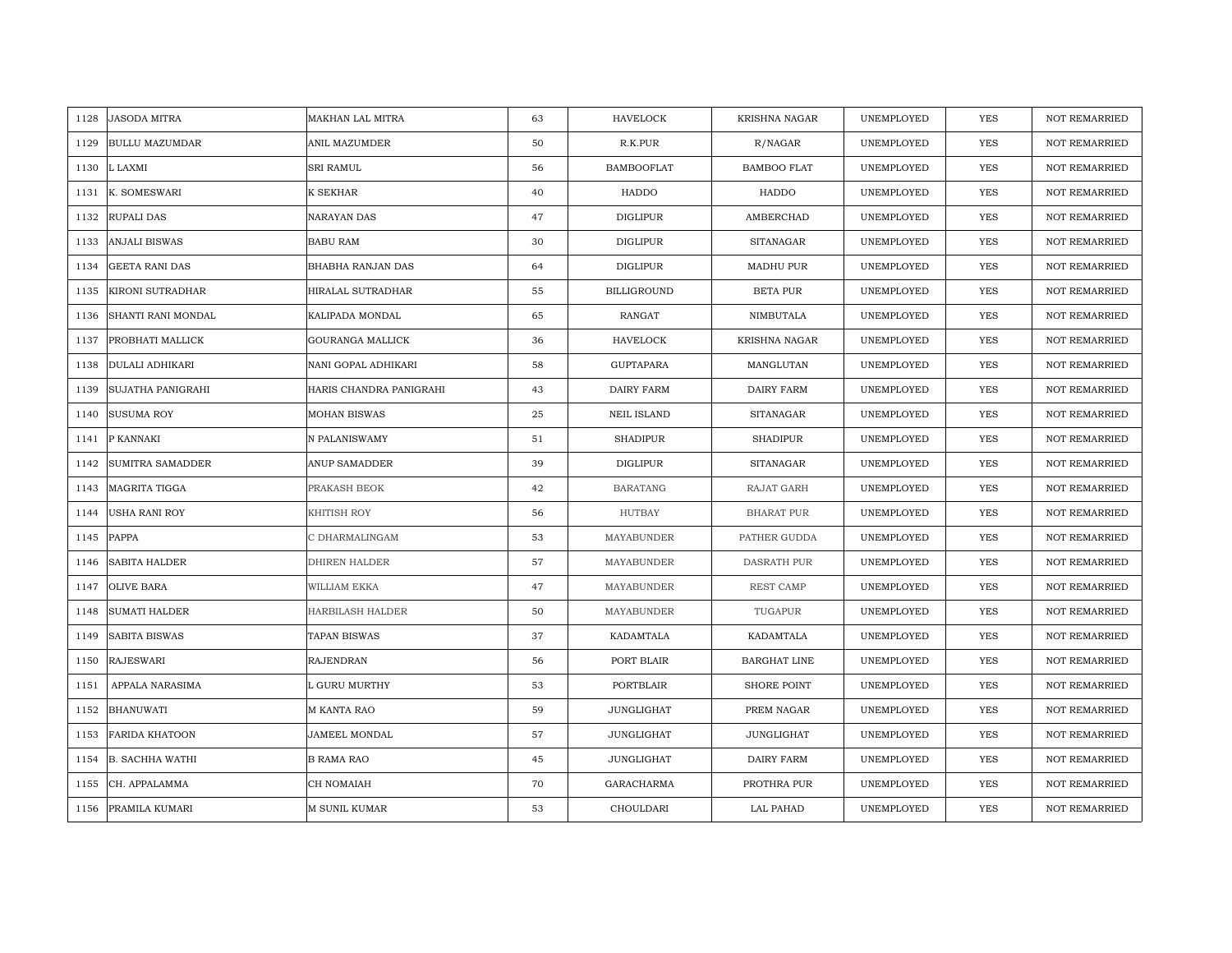| 1128 | <b>JASODA MITRA</b>      | MAKHAN LAL MITRA        | 63 | <b>HAVELOCK</b>    | <b>KRISHNA NAGAR</b> | UNEMPLOYED | <b>YES</b> | <b>NOT REMARRIED</b> |
|------|--------------------------|-------------------------|----|--------------------|----------------------|------------|------------|----------------------|
| 1129 | <b>BULLU MAZUMDAR</b>    | ANIL MAZUMDER           | 50 | R.K.PUR            | R/NAGAR              | UNEMPLOYED | <b>YES</b> | <b>NOT REMARRIED</b> |
| 1130 | L LAXMI                  | <b>SRI RAMUL</b>        | 56 | <b>BAMBOOFLAT</b>  | <b>BAMBOO FLAT</b>   | UNEMPLOYED | <b>YES</b> | <b>NOT REMARRIED</b> |
| 1131 | K. SOMESWARI             | K SEKHAR                | 40 | HADDO              | HADDO                | UNEMPLOYED | YES        | <b>NOT REMARRIED</b> |
| 1132 | RUPALI DAS               | NARAYAN DAS             | 47 | <b>DIGLIPUR</b>    | AMBERCHAD            | UNEMPLOYED | YES        | <b>NOT REMARRIED</b> |
| 1133 | <b>ANJALI BISWAS</b>     | <b>BABU RAM</b>         | 30 | <b>DIGLIPUR</b>    | <b>SITANAGAR</b>     | UNEMPLOYED | <b>YES</b> | NOT REMARRIED        |
| 1134 | <b>GEETA RANI DAS</b>    | BHABHA RANJAN DAS       | 64 | DIGLIPUR           | MADHU PUR            | UNEMPLOYED | YES        | NOT REMARRIED        |
| 1135 | <b>KIRONI SUTRADHAR</b>  | HIRALAL SUTRADHAR       | 55 | <b>BILLIGROUND</b> | <b>BETA PUR</b>      | UNEMPLOYED | YES        | NOT REMARRIED        |
| 1136 | SHANTI RANI MONDAL       | KALIPADA MONDAL         | 65 | RANGAT             | NIMBUTALA            | UNEMPLOYED | YES        | NOT REMARRIED        |
| 1137 | PROBHATI MALLICK         | GOURANGA MALLICK        | 36 | <b>HAVELOCK</b>    | <b>KRISHNA NAGAR</b> | UNEMPLOYED | YES        | <b>NOT REMARRIED</b> |
| 1138 | <b>DULALI ADHIKARI</b>   | NANI GOPAL ADHIKARI     | 58 | GUPTAPARA          | MANGLUTAN            | UNEMPLOYED | YES        | <b>NOT REMARRIED</b> |
| 1139 | <b>SUJATHA PANIGRAHI</b> | HARIS CHANDRA PANIGRAHI | 43 | DAIRY FARM         | DAIRY FARM           | UNEMPLOYED | YES        | NOT REMARRIED        |
| 1140 | <b>SUSUMA ROY</b>        | <b>MOHAN BISWAS</b>     | 25 | <b>NEIL ISLAND</b> | SITANAGAR            | UNEMPLOYED | YES        | <b>NOT REMARRIED</b> |
| 1141 | P KANNAKI                | N PALANISWAMY           | 51 | <b>SHADIPUR</b>    | <b>SHADIPUR</b>      | UNEMPLOYED | YES        | <b>NOT REMARRIED</b> |
| 1142 | <b>SUMITRA SAMADDER</b>  | <b>ANUP SAMADDER</b>    | 39 | <b>DIGLIPUR</b>    | <b>SITANAGAR</b>     | UNEMPLOYED | YES        | <b>NOT REMARRIED</b> |
| 1143 | MAGRITA TIGGA            | PRAKASH BEOK            | 42 | <b>BARATANG</b>    | RAJAT GARH           | UNEMPLOYED | <b>YES</b> | <b>NOT REMARRIED</b> |
| 1144 | <b>USHA RANI ROY</b>     | KHITISH ROY             | 56 | <b>HUTBAY</b>      | <b>BHARAT PUR</b>    | UNEMPLOYED | YES        | <b>NOT REMARRIED</b> |
| 1145 | PAPPA                    | C DHARMALINGAM          | 53 | MAYABUNDER         | PATHER GUDDA         | UNEMPLOYED | YES        | <b>NOT REMARRIED</b> |
| 1146 | <b>SABITA HALDER</b>     | <b>DHIREN HALDER</b>    | 57 | MAYABUNDER         | <b>DASRATH PUR</b>   | UNEMPLOYED | <b>YES</b> | <b>NOT REMARRIED</b> |
| 1147 | <b>OLIVE BARA</b>        | WILLIAM EKKA            | 47 | MAYABUNDER         | REST CAMP            | UNEMPLOYED | YES        | <b>NOT REMARRIED</b> |
| 1148 | <b>SUMATI HALDER</b>     | HARBILASH HALDER        | 50 | MAYABUNDER         | TUGAPUR              | UNEMPLOYED | YES        | NOT REMARRIED        |
| 1149 | SABITA BISWAS            | TAPAN BISWAS            | 37 | KADAMTALA          | KADAMTALA            | UNEMPLOYED | YES        | NOT REMARRIED        |
| 1150 | <b>RAJESWARI</b>         | <b>RAJENDRAN</b>        | 56 | PORT BLAIR         | BARGHAT LINE         | UNEMPLOYED | <b>YES</b> | <b>NOT REMARRIED</b> |
| 1151 | APPALA NARASIMA          | L GURU MURTHY           | 53 | PORTBLAIR          | <b>SHORE POINT</b>   | UNEMPLOYED | YES        | <b>NOT REMARRIED</b> |
| 1152 | <b>BHANUWATI</b>         | M KANTA RAO             | 59 | JUNGLIGHAT         | PREM NAGAR           | UNEMPLOYED | YES        | <b>NOT REMARRIED</b> |
| 1153 | <b>FARIDA KHATOON</b>    | JAMEEL MONDAL           | 57 | JUNGLIGHAT         | JUNGLIGHAT           | UNEMPLOYED | YES        | NOT REMARRIED        |
|      | 1154 B. SACHHA WATHI     | <b>B RAMA RAO</b>       | 45 | JUNGLIGHAT         | DAIRY FARM           | UNEMPLOYED | YES        | <b>NOT REMARRIED</b> |
| 1155 | CH. APPALAMMA            | CH NOMAIAH              | 70 | GARACHARMA         | PROTHRA PUR          | UNEMPLOYED | YES        | <b>NOT REMARRIED</b> |
|      | 1156 PRAMILA KUMARI      | <b>M SUNIL KUMAR</b>    | 53 | CHOULDARI          | LAL PAHAD            | UNEMPLOYED | <b>YES</b> | <b>NOT REMARRIED</b> |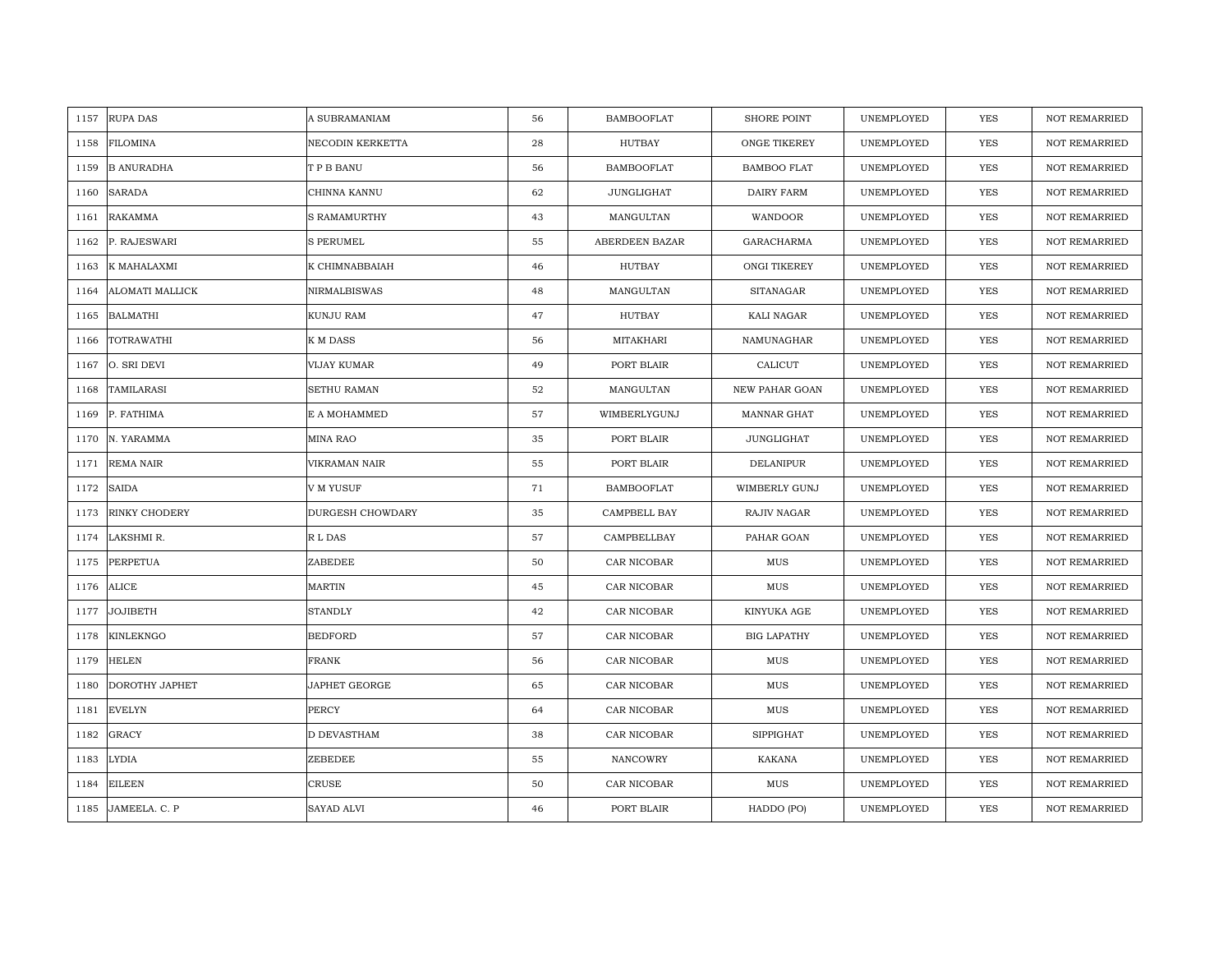| 1157 | <b>RUPA DAS</b>        | A SUBRAMANIAM           | 56 | <b>BAMBOOFLAT</b> | <b>SHORE POINT</b>   | UNEMPLOYED | <b>YES</b> | <b>NOT REMARRIED</b> |
|------|------------------------|-------------------------|----|-------------------|----------------------|------------|------------|----------------------|
| 1158 | <b>FILOMINA</b>        | NECODIN KERKETTA        | 28 | HUTBAY            | ONGE TIKEREY         | UNEMPLOYED | <b>YES</b> | NOT REMARRIED        |
| 1159 | <b>B ANURADHA</b>      | T P B BANU              | 56 | <b>BAMBOOFLAT</b> | <b>BAMBOO FLAT</b>   | UNEMPLOYED | <b>YES</b> | <b>NOT REMARRIED</b> |
| 1160 | <b>SARADA</b>          | CHINNA KANNU            | 62 | JUNGLIGHAT        | DAIRY FARM           | UNEMPLOYED | <b>YES</b> | <b>NOT REMARRIED</b> |
| 1161 | <b>RAKAMMA</b>         | S RAMAMURTHY            | 43 | MANGULTAN         | WANDOOR              | UNEMPLOYED | YES        | <b>NOT REMARRIED</b> |
| 1162 | P. RAJESWARI           | <b>S PERUMEL</b>        | 55 | ABERDEEN BAZAR    | GARACHARMA           | UNEMPLOYED | <b>YES</b> | <b>NOT REMARRIED</b> |
| 1163 | K MAHALAXMI            | K CHIMNABBAIAH          | 46 | <b>HUTBAY</b>     | ONGI TIKEREY         | UNEMPLOYED | <b>YES</b> | <b>NOT REMARRIED</b> |
| 1164 | <b>ALOMATI MALLICK</b> | <b>NIRMALBISWAS</b>     | 48 | MANGULTAN         | <b>SITANAGAR</b>     | UNEMPLOYED | <b>YES</b> | <b>NOT REMARRIED</b> |
| 1165 | <b>BALMATHI</b>        | KUNJU RAM               | 47 | HUTBAY            | KALI NAGAR           | UNEMPLOYED | YES        | NOT REMARRIED        |
| 1166 | TOTRAWATHI             | K M DASS                | 56 | MITAKHARI         | NAMUNAGHAR           | UNEMPLOYED | <b>YES</b> | NOT REMARRIED        |
| 1167 | O. SRI DEVI            | VIJAY KUMAR             | 49 | PORT BLAIR        | CALICUT              | UNEMPLOYED | <b>YES</b> | <b>NOT REMARRIED</b> |
| 1168 | TAMILARASI             | <b>SETHU RAMAN</b>      | 52 | MANGULTAN         | NEW PAHAR GOAN       | UNEMPLOYED | YES        | <b>NOT REMARRIED</b> |
| 1169 | P. FATHIMA             | E A MOHAMMED            | 57 | WIMBERLYGUNJ      | MANNAR GHAT          | UNEMPLOYED | YES        | <b>NOT REMARRIED</b> |
| 1170 | N. YARAMMA             | MINA RAO                | 35 | PORT BLAIR        | JUNGLIGHAT           | UNEMPLOYED | <b>YES</b> | <b>NOT REMARRIED</b> |
| 1171 | <b>REMA NAIR</b>       | VIKRAMAN NAIR           | 55 | PORT BLAIR        | <b>DELANIPUR</b>     | UNEMPLOYED | <b>YES</b> | <b>NOT REMARRIED</b> |
| 1172 | <b>SAIDA</b>           | V M YUSUF               | 71 | <b>BAMBOOFLAT</b> | <b>WIMBERLY GUNJ</b> | UNEMPLOYED | <b>YES</b> | <b>NOT REMARRIED</b> |
| 1173 | <b>RINKY CHODERY</b>   | <b>DURGESH CHOWDARY</b> | 35 | CAMPBELL BAY      | RAJIV NAGAR          | UNEMPLOYED | <b>YES</b> | <b>NOT REMARRIED</b> |
| 1174 | LAKSHMI R.             | R L DAS                 | 57 | CAMPBELLBAY       | PAHAR GOAN           | UNEMPLOYED | <b>YES</b> | <b>NOT REMARRIED</b> |
| 1175 | <b>PERPETUA</b>        | ZABEDEE                 | 50 | CAR NICOBAR       | MUS                  | UNEMPLOYED | <b>YES</b> | <b>NOT REMARRIED</b> |
|      | 1176 ALICE             | MARTIN                  | 45 | CAR NICOBAR       | $_{\rm MUS}$         | UNEMPLOYED | <b>YES</b> | <b>NOT REMARRIED</b> |
| 1177 | <b>JOJIBETH</b>        | <b>STANDLY</b>          | 42 | CAR NICOBAR       | KINYUKA AGE          | UNEMPLOYED | <b>YES</b> | NOT REMARRIED        |
| 1178 | <b>KINLEKNGO</b>       | <b>BEDFORD</b>          | 57 | CAR NICOBAR       | <b>BIG LAPATHY</b>   | UNEMPLOYED | YES        | NOT REMARRIED        |
| 1179 | <b>HELEN</b>           | <b>FRANK</b>            | 56 | CAR NICOBAR       | $_{\rm MUS}$         | UNEMPLOYED | <b>YES</b> | <b>NOT REMARRIED</b> |
| 1180 | DOROTHY JAPHET         | JAPHET GEORGE           | 65 | CAR NICOBAR       | $_{\rm MUS}$         | UNEMPLOYED | <b>YES</b> | NOT REMARRIED        |
| 1181 | <b>EVELYN</b>          | <b>PERCY</b>            | 64 | CAR NICOBAR       | $_{\rm MUS}$         | UNEMPLOYED | <b>YES</b> | <b>NOT REMARRIED</b> |
| 1182 | <b>GRACY</b>           | <b>D DEVASTHAM</b>      | 38 | CAR NICOBAR       | SIPPIGHAT            | UNEMPLOYED | YES        | NOT REMARRIED        |
| 1183 | <b>LYDIA</b>           | ZEBEDEE                 | 55 | NANCOWRY          | <b>KAKANA</b>        | UNEMPLOYED | <b>YES</b> | <b>NOT REMARRIED</b> |
| 1184 | <b>EILEEN</b>          | <b>CRUSE</b>            | 50 | CAR NICOBAR       | MUS                  | UNEMPLOYED | YES        | <b>NOT REMARRIED</b> |
| 1185 | JAMEELA. C. P          | SAYAD ALVI              | 46 | PORT BLAIR        | HADDO (PO)           | UNEMPLOYED | YES        | NOT REMARRIED        |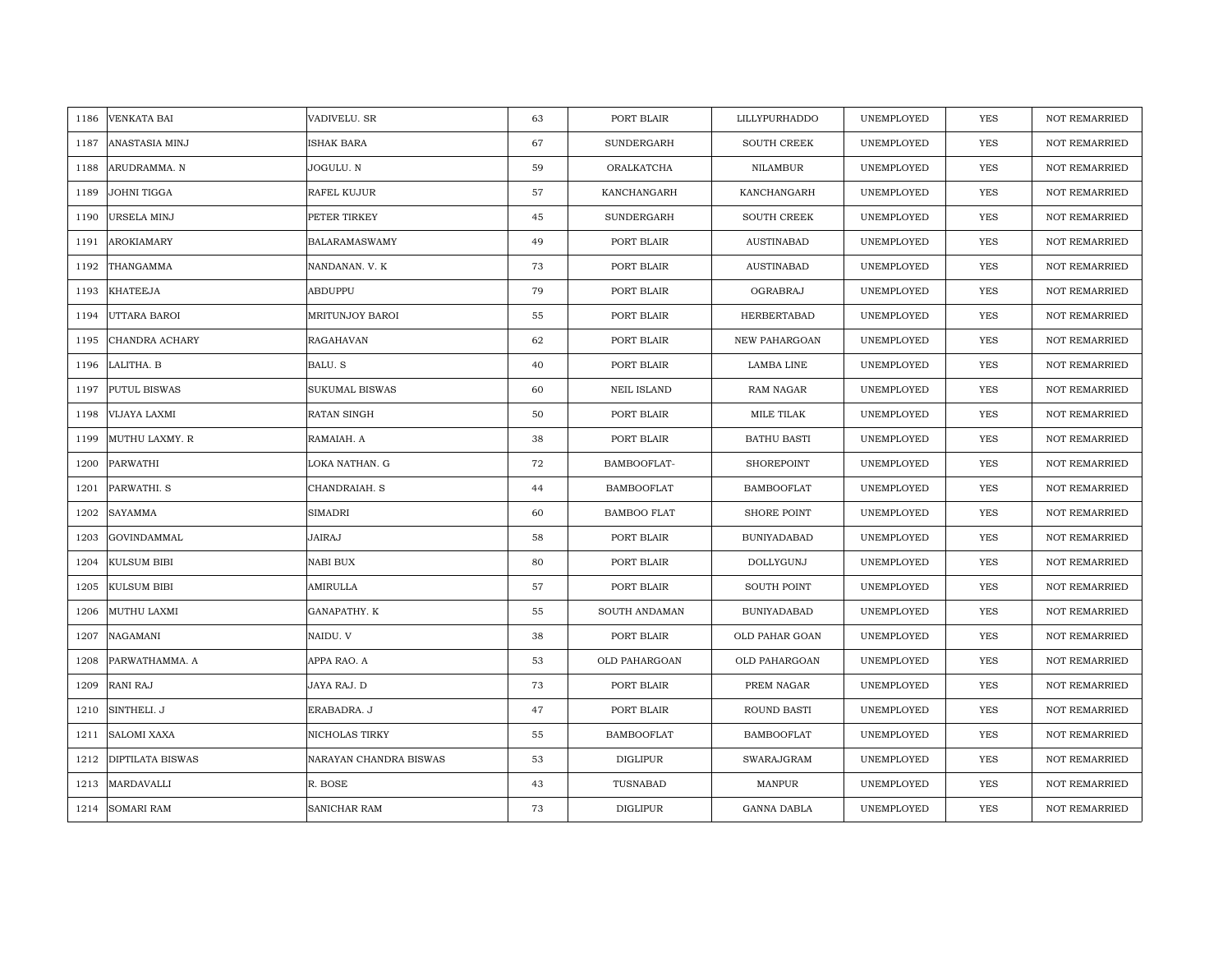| 1186 | <b>VENKATA BAI</b>      | VADIVELU. SR           | 63 | PORT BLAIR         | LILLYPURHADDO        | UNEMPLOYED | <b>YES</b> | <b>NOT REMARRIED</b> |
|------|-------------------------|------------------------|----|--------------------|----------------------|------------|------------|----------------------|
| 1187 | ANASTASIA MINJ          | <b>ISHAK BARA</b>      | 67 | <b>SUNDERGARH</b>  | <b>SOUTH CREEK</b>   | UNEMPLOYED | <b>YES</b> | <b>NOT REMARRIED</b> |
| 1188 | ARUDRAMMA. N            | JOGULU. N              | 59 | ORALKATCHA         | NILAMBUR             | UNEMPLOYED | YES        | <b>NOT REMARRIED</b> |
| 1189 | JOHNI TIGGA             | RAFEL KUJUR            | 57 | KANCHANGARH        | KANCHANGARH          | UNEMPLOYED | YES        | <b>NOT REMARRIED</b> |
| 1190 | URSELA MINJ             | PETER TIRKEY           | 45 | SUNDERGARH         | <b>SOUTH CREEK</b>   | UNEMPLOYED | YES        | NOT REMARRIED        |
| 1191 | <b>AROKIAMARY</b>       | <b>BALARAMASWAMY</b>   | 49 | PORT BLAIR         | <b>AUSTINABAD</b>    | UNEMPLOYED | <b>YES</b> | NOT REMARRIED        |
| 1192 | THANGAMMA               | NANDANAN. V. K         | 73 | PORT BLAIR         | AUSTINABAD           | UNEMPLOYED | <b>YES</b> | <b>NOT REMARRIED</b> |
| 1193 | <b>KHATEEJA</b>         | ABDUPPU                | 79 | PORT BLAIR         | OGRABRAJ             | UNEMPLOYED | YES        | NOT REMARRIED        |
| 1194 | UTTARA BAROI            | MRITUNJOY BAROI        | 55 | PORT BLAIR         | HERBERTABAD          | UNEMPLOYED | <b>YES</b> | NOT REMARRIED        |
| 1195 | CHANDRA ACHARY          | <b>RAGAHAVAN</b>       | 62 | PORT BLAIR         | <b>NEW PAHARGOAN</b> | UNEMPLOYED | <b>YES</b> | <b>NOT REMARRIED</b> |
| 1196 | LALITHA. B              | BALU. S                | 40 | PORT BLAIR         | LAMBA LINE           | UNEMPLOYED | <b>YES</b> | <b>NOT REMARRIED</b> |
| 1197 | <b>PUTUL BISWAS</b>     | <b>SUKUMAL BISWAS</b>  | 60 | <b>NEIL ISLAND</b> | <b>RAM NAGAR</b>     | UNEMPLOYED | <b>YES</b> | <b>NOT REMARRIED</b> |
| 1198 | VIJAYA LAXMI            | RATAN SINGH            | 50 | PORT BLAIR         | MILE TILAK           | UNEMPLOYED | <b>YES</b> | <b>NOT REMARRIED</b> |
| 1199 | MUTHU LAXMY. R          | RAMAIAH. A             | 38 | PORT BLAIR         | <b>BATHU BASTI</b>   | UNEMPLOYED | <b>YES</b> | NOT REMARRIED        |
| 1200 | PARWATHI                | LOKA NATHAN. G         | 72 | BAMBOOFLAT-        | SHOREPOINT           | UNEMPLOYED | YES        | NOT REMARRIED        |
| 1201 | PARWATHI. S             | CHANDRAIAH. S          | 44 | <b>BAMBOOFLAT</b>  | <b>BAMBOOFLAT</b>    | UNEMPLOYED | YES        | NOT REMARRIED        |
| 1202 | <b>SAYAMMA</b>          | <b>SIMADRI</b>         | 60 | <b>BAMBOO FLAT</b> | <b>SHORE POINT</b>   | UNEMPLOYED | YES        | <b>NOT REMARRIED</b> |
| 1203 | <b>GOVINDAMMAL</b>      | <b>JAIRAJ</b>          | 58 | PORT BLAIR         | <b>BUNIYADABAD</b>   | UNEMPLOYED | <b>YES</b> | <b>NOT REMARRIED</b> |
| 1204 | <b>KULSUM BIBI</b>      | NABI BUX               | 80 | PORT BLAIR         | DOLLYGUNJ            | UNEMPLOYED | YES        | NOT REMARRIED        |
| 1205 | <b>KULSUM BIBI</b>      | AMIRULLA               | 57 | PORT BLAIR         | <b>SOUTH POINT</b>   | UNEMPLOYED | <b>YES</b> | <b>NOT REMARRIED</b> |
| 1206 | MUTHU LAXMI             | GANAPATHY. K           | 55 | SOUTH ANDAMAN      | <b>BUNIYADABAD</b>   | UNEMPLOYED | <b>YES</b> | <b>NOT REMARRIED</b> |
| 1207 | NAGAMANI                | NAIDU. V               | 38 | PORT BLAIR         | OLD PAHAR GOAN       | UNEMPLOYED | <b>YES</b> | <b>NOT REMARRIED</b> |
| 1208 | PARWATHAMMA. A          | APPA RAO. A            | 53 | OLD PAHARGOAN      | OLD PAHARGOAN        | UNEMPLOYED | YES        | <b>NOT REMARRIED</b> |
| 1209 | <b>RANI RAJ</b>         | JAYA RAJ. D            | 73 | PORT BLAIR         | PREM NAGAR           | UNEMPLOYED | YES        | <b>NOT REMARRIED</b> |
| 1210 | SINTHELI. J             | ERABADRA. J            | 47 | PORT BLAIR         | ROUND BASTI          | UNEMPLOYED | <b>YES</b> | <b>NOT REMARRIED</b> |
| 1211 | <b>SALOMI XAXA</b>      | NICHOLAS TIRKY         | 55 | <b>BAMBOOFLAT</b>  | <b>BAMBOOFLAT</b>    | UNEMPLOYED | YES        | NOT REMARRIED        |
| 1212 | <b>DIPTILATA BISWAS</b> | NARAYAN CHANDRA BISWAS | 53 | <b>DIGLIPUR</b>    | SWARAJGRAM           | UNEMPLOYED | <b>YES</b> | <b>NOT REMARRIED</b> |
| 1213 | MARDAVALLI              | R. BOSE                | 43 | TUSNABAD           | MANPUR               | UNEMPLOYED | YES        | <b>NOT REMARRIED</b> |
| 1214 | <b>SOMARI RAM</b>       | SANICHAR RAM           | 73 | <b>DIGLIPUR</b>    | <b>GANNA DABLA</b>   | UNEMPLOYED | YES        | NOT REMARRIED        |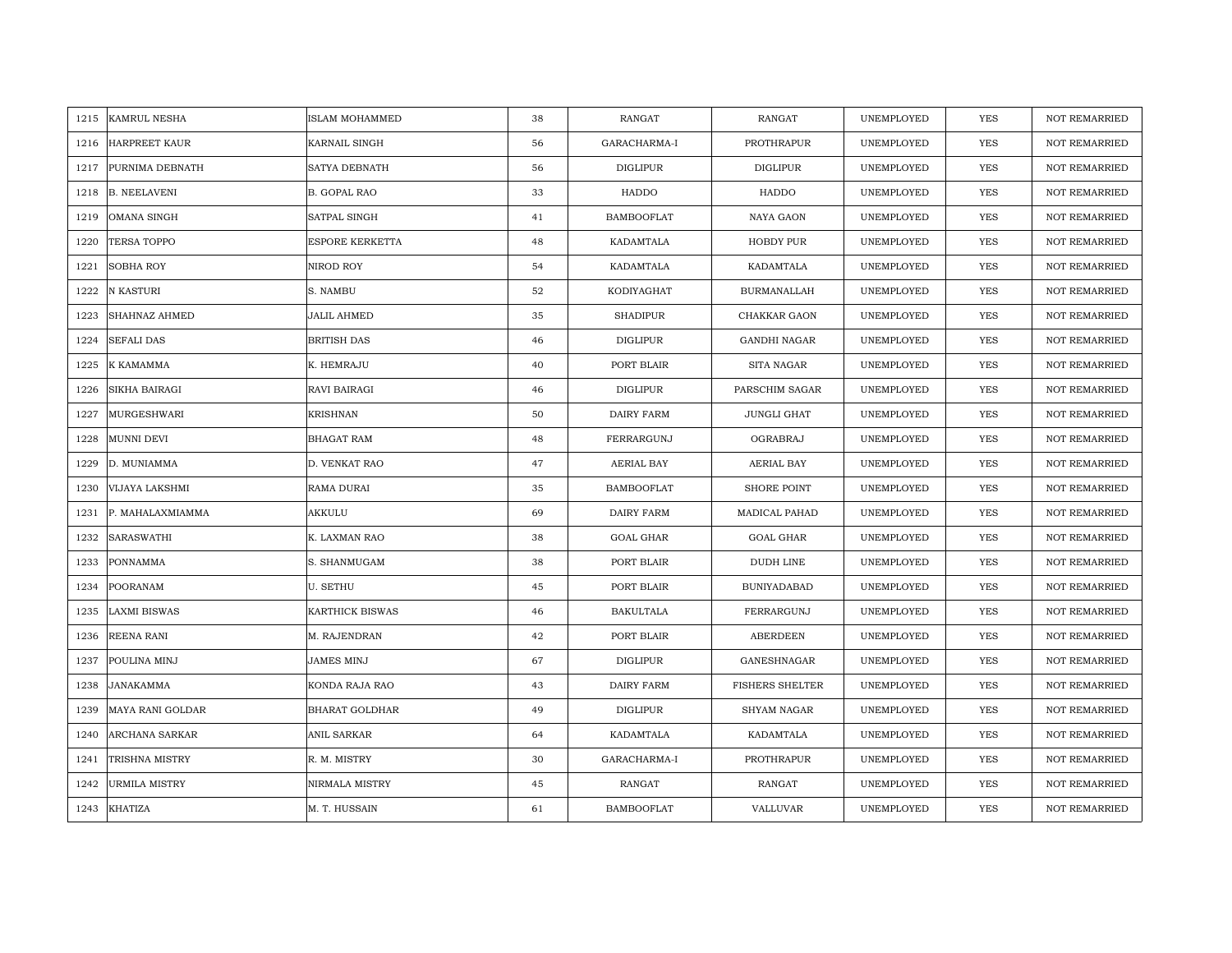| 1215 | <b>KAMRUL NESHA</b>  | <b>ISLAM MOHAMMED</b> | 38 | RANGAT            | RANGAT                 | UNEMPLOYED | <b>YES</b> | <b>NOT REMARRIED</b> |
|------|----------------------|-----------------------|----|-------------------|------------------------|------------|------------|----------------------|
| 1216 | <b>HARPREET KAUR</b> | KARNAIL SINGH         | 56 | GARACHARMA-I      | PROTHRAPUR             | UNEMPLOYED | <b>YES</b> | NOT REMARRIED        |
| 1217 | PURNIMA DEBNATH      | <b>SATYA DEBNATH</b>  | 56 | <b>DIGLIPUR</b>   | <b>DIGLIPUR</b>        | UNEMPLOYED | YES        | <b>NOT REMARRIED</b> |
| 1218 | <b>B. NEELAVENI</b>  | <b>B. GOPAL RAO</b>   | 33 | HADDO             | HADDO                  | UNEMPLOYED | <b>YES</b> | <b>NOT REMARRIED</b> |
| 1219 | <b>OMANA SINGH</b>   | SATPAL SINGH          | 41 | <b>BAMBOOFLAT</b> | NAYA GAON              | UNEMPLOYED | YES        | <b>NOT REMARRIED</b> |
| 1220 | <b>TERSA TOPPO</b>   | ESPORE KERKETTA       | 48 | KADAMTALA         | HOBDY PUR              | UNEMPLOYED | <b>YES</b> | <b>NOT REMARRIED</b> |
| 1221 | <b>SOBHA ROY</b>     | NIROD ROY             | 54 | KADAMTALA         | KADAMTALA              | UNEMPLOYED | YES        | <b>NOT REMARRIED</b> |
| 1222 | N KASTURI            | S. NAMBU              | 52 | KODIYAGHAT        | <b>BURMANALLAH</b>     | UNEMPLOYED | YES        | NOT REMARRIED        |
| 1223 | SHAHNAZ AHMED        | <b>JALIL AHMED</b>    | 35 | <b>SHADIPUR</b>   | CHAKKAR GAON           | UNEMPLOYED | YES        | NOT REMARRIED        |
| 1224 | <b>SEFALI DAS</b>    | <b>BRITISH DAS</b>    | 46 | <b>DIGLIPUR</b>   | <b>GANDHI NAGAR</b>    | UNEMPLOYED | <b>YES</b> | <b>NOT REMARRIED</b> |
| 1225 | K KAMAMMA            | K. HEMRAJU            | 40 | PORT BLAIR        | SITA NAGAR             | UNEMPLOYED | YES        | <b>NOT REMARRIED</b> |
| 1226 | SIKHA BAIRAGI        | RAVI BAIRAGI          | 46 | <b>DIGLIPUR</b>   | PARSCHIM SAGAR         | UNEMPLOYED | YES        | NOT REMARRIED        |
| 1227 | MURGESHWARI          | <b>KRISHNAN</b>       | 50 | DAIRY FARM        | <b>JUNGLI GHAT</b>     | UNEMPLOYED | <b>YES</b> | NOT REMARRIED        |
| 1228 | <b>MUNNI DEVI</b>    | <b>BHAGAT RAM</b>     | 48 | FERRARGUNJ        | OGRABRAJ               | UNEMPLOYED | YES        | <b>NOT REMARRIED</b> |
| 1229 | D. MUNIAMMA          | D. VENKAT RAO         | 47 | AERIAL BAY        | <b>AERIAL BAY</b>      | UNEMPLOYED | YES        | NOT REMARRIED        |
| 1230 | VIJAYA LAKSHMI       | RAMA DURAI            | 35 | <b>BAMBOOFLAT</b> | <b>SHORE POINT</b>     | UNEMPLOYED | <b>YES</b> | <b>NOT REMARRIED</b> |
| 1231 | P. MAHALAXMIAMMA     | AKKULU                | 69 | DAIRY FARM        | MADICAL PAHAD          | UNEMPLOYED | <b>YES</b> | NOT REMARRIED        |
| 1232 | SARASWATHI           | K. LAXMAN RAO         | 38 | GOAL GHAR         | <b>GOAL GHAR</b>       | UNEMPLOYED | YES        | <b>NOT REMARRIED</b> |
| 1233 | <b>PONNAMMA</b>      | S. SHANMUGAM          | 38 | PORT BLAIR        | DUDH LINE              | UNEMPLOYED | <b>YES</b> | NOT REMARRIED        |
| 1234 | <b>POORANAM</b>      | <b>U. SETHU</b>       | 45 | PORT BLAIR        | <b>BUNIYADABAD</b>     | UNEMPLOYED | <b>YES</b> | <b>NOT REMARRIED</b> |
| 1235 | <b>LAXMI BISWAS</b>  | KARTHICK BISWAS       | 46 | BAKULTALA         | FERRARGUNJ             | UNEMPLOYED | YES        | <b>NOT REMARRIED</b> |
| 1236 | REENA RANI           | M. RAJENDRAN          | 42 | PORT BLAIR        | ABERDEEN               | UNEMPLOYED | YES        | NOT REMARRIED        |
| 1237 | POULINA MINJ         | <b>JAMES MINJ</b>     | 67 | <b>DIGLIPUR</b>   | GANESHNAGAR            | UNEMPLOYED | YES        | <b>NOT REMARRIED</b> |
| 1238 | <b>JANAKAMMA</b>     | KONDA RAJA RAO        | 43 | DAIRY FARM        | <b>FISHERS SHELTER</b> | UNEMPLOYED | <b>YES</b> | <b>NOT REMARRIED</b> |
| 1239 | MAYA RANI GOLDAR     | BHARAT GOLDHAR        | 49 | DIGLIPUR          | <b>SHYAM NAGAR</b>     | UNEMPLOYED | YES        | <b>NOT REMARRIED</b> |
| 1240 | ARCHANA SARKAR       | ANIL SARKAR           | 64 | KADAMTALA         | KADAMTALA              | UNEMPLOYED | YES        | NOT REMARRIED        |
| 1241 | TRISHNA MISTRY       | R. M. MISTRY          | 30 | GARACHARMA-I      | PROTHRAPUR             | UNEMPLOYED | YES        | NOT REMARRIED        |
| 1242 | URMILA MISTRY        | NIRMALA MISTRY        | 45 | RANGAT            | RANGAT                 | UNEMPLOYED | YES        | <b>NOT REMARRIED</b> |
| 1243 | <b>KHATIZA</b>       | M. T. HUSSAIN         | 61 | <b>BAMBOOFLAT</b> | VALLUVAR               | UNEMPLOYED | <b>YES</b> | <b>NOT REMARRIED</b> |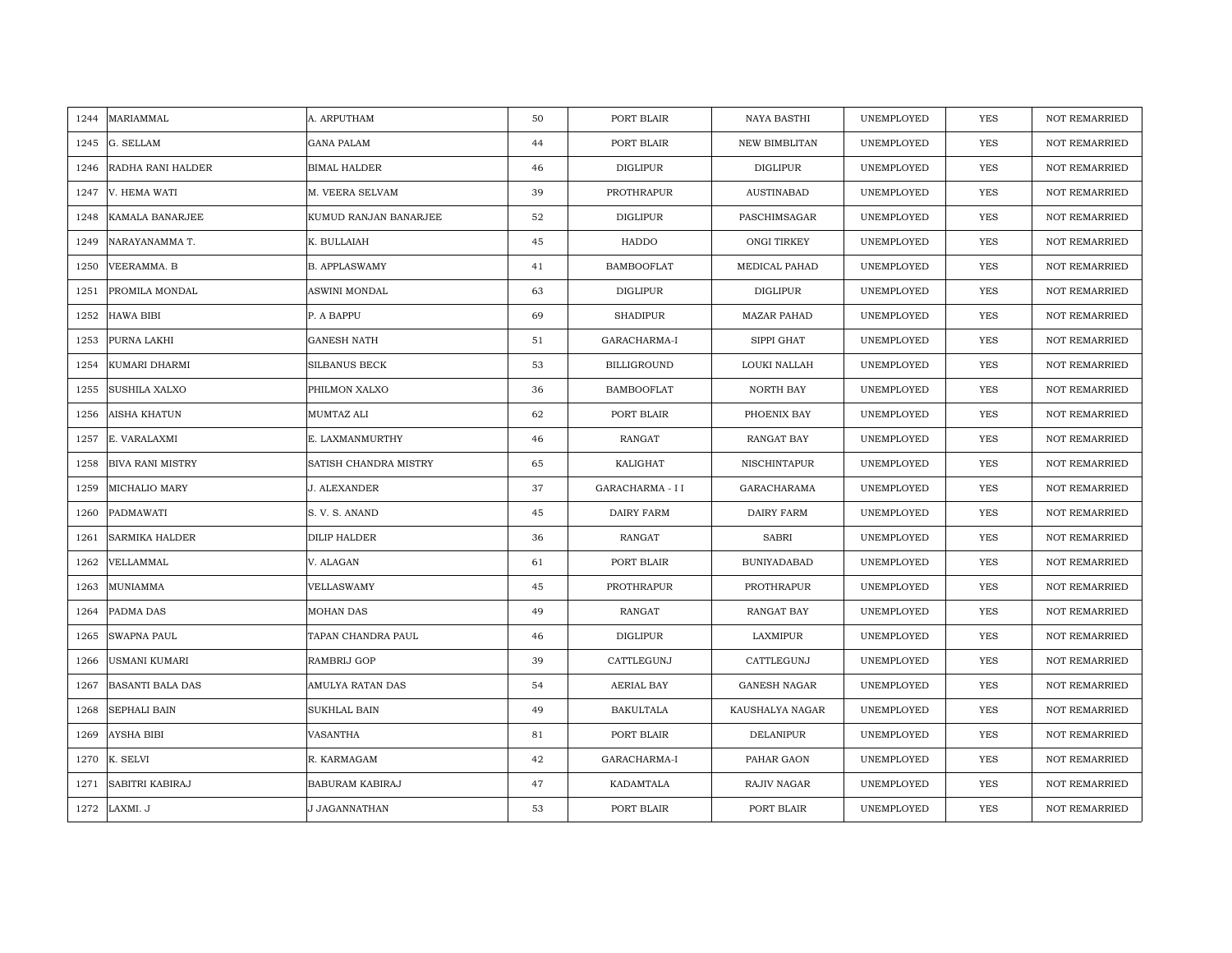| MARIAMMAL<br>1244               | A. ARPUTHAM           | 50 | PORT BLAIR         | NAYA BASTHI          | UNEMPLOYED | <b>YES</b> | <b>NOT REMARRIED</b> |
|---------------------------------|-----------------------|----|--------------------|----------------------|------------|------------|----------------------|
| 1245<br>G. SELLAM               | <b>GANA PALAM</b>     | 44 | PORT BLAIR         | <b>NEW BIMBLITAN</b> | UNEMPLOYED | <b>YES</b> | <b>NOT REMARRIED</b> |
| RADHA RANI HALDER<br>1246       | <b>BIMAL HALDER</b>   | 46 | DIGLIPUR           | DIGLIPUR             | UNEMPLOYED | YES        | <b>NOT REMARRIED</b> |
| V. HEMA WATI<br>1247            | M. VEERA SELVAM       | 39 | PROTHRAPUR         | <b>AUSTINABAD</b>    | UNEMPLOYED | YES        | <b>NOT REMARRIED</b> |
| 1248<br>KAMALA BANARJEE         | KUMUD RANJAN BANARJEE | 52 | <b>DIGLIPUR</b>    | PASCHIMSAGAR         | UNEMPLOYED | YES        | <b>NOT REMARRIED</b> |
| 1249<br>NARAYANAMMA T.          | K. BULLAIAH           | 45 | HADDO              | ONGI TIRKEY          | UNEMPLOYED | YES        | NOT REMARRIED        |
| 1250<br>VEERAMMA. B             | <b>B. APPLASWAMY</b>  | 41 | <b>BAMBOOFLAT</b>  | MEDICAL PAHAD        | UNEMPLOYED | YES        | <b>NOT REMARRIED</b> |
| PROMILA MONDAL<br>1251          | ASWINI MONDAL         | 63 | DIGLIPUR           | DIGLIPUR             | UNEMPLOYED | YES        | NOT REMARRIED        |
| 1252<br>HAWA BIBI               | P. A BAPPU            | 69 | <b>SHADIPUR</b>    | <b>MAZAR PAHAD</b>   | UNEMPLOYED | <b>YES</b> | NOT REMARRIED        |
| PURNA LAKHI<br>1253             | <b>GANESH NATH</b>    | 51 | GARACHARMA-I       | SIPPI GHAT           | UNEMPLOYED | <b>YES</b> | <b>NOT REMARRIED</b> |
| KUMARI DHARMI<br>1254           | <b>SILBANUS BECK</b>  | 53 | <b>BILLIGROUND</b> | LOUKI NALLAH         | UNEMPLOYED | <b>YES</b> | <b>NOT REMARRIED</b> |
| SUSHILA XALXO<br>1255           | PHILMON XALXO         | 36 | <b>BAMBOOFLAT</b>  | NORTH BAY            | UNEMPLOYED | <b>YES</b> | <b>NOT REMARRIED</b> |
| 1256<br>AISHA KHATUN            | MUMTAZ ALI            | 62 | PORT BLAIR         | PHOENIX BAY          | UNEMPLOYED | YES        | NOT REMARRIED        |
| E. VARALAXMI<br>1257            | E. LAXMANMURTHY       | 46 | RANGAT             | RANGAT BAY           | UNEMPLOYED | <b>YES</b> | <b>NOT REMARRIED</b> |
| 1258<br><b>BIVA RANI MISTRY</b> | SATISH CHANDRA MISTRY | 65 | KALIGHAT           | NISCHINTAPUR         | UNEMPLOYED | YES        | NOT REMARRIED        |
| MICHALIO MARY<br>1259           | J. ALEXANDER          | 37 | GARACHARMA - II    | GARACHARAMA          | UNEMPLOYED | YES        | <b>NOT REMARRIED</b> |
| PADMAWATI<br>1260               | S. V. S. ANAND        | 45 | DAIRY FARM         | <b>DAIRY FARM</b>    | UNEMPLOYED | YES        | <b>NOT REMARRIED</b> |
| SARMIKA HALDER<br>1261          | DILIP HALDER          | 36 | RANGAT             | SABRI                | UNEMPLOYED | <b>YES</b> | <b>NOT REMARRIED</b> |
| VELLAMMAL<br>1262               | V. ALAGAN             | 61 | PORT BLAIR         | <b>BUNIYADABAD</b>   | UNEMPLOYED | YES        | <b>NOT REMARRIED</b> |
| MUNIAMMA<br>1263                | VELLASWAMY            | 45 | PROTHRAPUR         | PROTHRAPUR           | UNEMPLOYED | <b>YES</b> | <b>NOT REMARRIED</b> |
| PADMA DAS<br>1264               | <b>MOHAN DAS</b>      | 49 | <b>RANGAT</b>      | RANGAT BAY           | UNEMPLOYED | <b>YES</b> | <b>NOT REMARRIED</b> |
| SWAPNA PAUL<br>1265             | TAPAN CHANDRA PAUL    | 46 | DIGLIPUR           | LAXMIPUR             | UNEMPLOYED | YES        | <b>NOT REMARRIED</b> |
| USMANI KUMARI<br>1266           | RAMBRIJ GOP           | 39 | CATTLEGUNJ         | CATTLEGUNJ           | UNEMPLOYED | <b>YES</b> | <b>NOT REMARRIED</b> |
| <b>BASANTI BALA DAS</b><br>1267 | AMULYA RATAN DAS      | 54 | AERIAL BAY         | <b>GANESH NAGAR</b>  | UNEMPLOYED | YES        | <b>NOT REMARRIED</b> |
| SEPHALI BAIN<br>1268            | SUKHLAL BAIN          | 49 | <b>BAKULTALA</b>   | KAUSHALYA NAGAR      | UNEMPLOYED | <b>YES</b> | <b>NOT REMARRIED</b> |
| AYSHA BIBI<br>1269              | VASANTHA              | 81 | PORT BLAIR         | <b>DELANIPUR</b>     | UNEMPLOYED | YES        | NOT REMARRIED        |
| 1270<br>K. SELVI                | R. KARMAGAM           | 42 | GARACHARMA-I       | PAHAR GAON           | UNEMPLOYED | <b>YES</b> | <b>NOT REMARRIED</b> |
| SABITRI KABIRAJ<br>1271         | BABURAM KABIRAJ       | 47 | KADAMTALA          | RAJIV NAGAR          | UNEMPLOYED | YES        | <b>NOT REMARRIED</b> |
| 1272<br>LAXMI. J                | J JAGANNATHAN         | 53 | PORT BLAIR         | PORT BLAIR           | UNEMPLOYED | YES        | NOT REMARRIED        |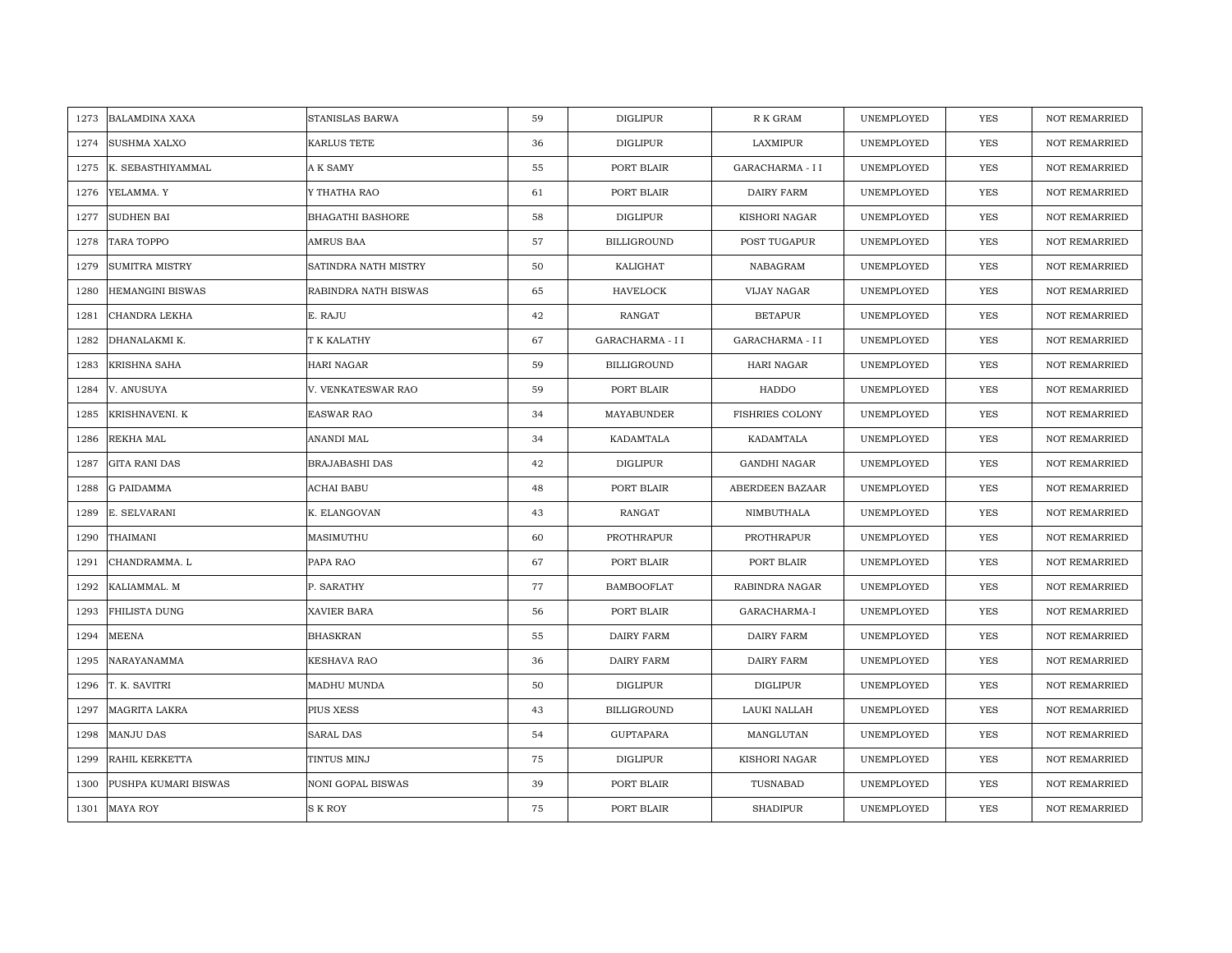| <b>BALAMDINA XAXA</b><br>1273 | STANISLAS BARWA      | 59 | DIGLIPUR           | R K GRAM               | UNEMPLOYED | <b>YES</b> | <b>NOT REMARRIED</b> |
|-------------------------------|----------------------|----|--------------------|------------------------|------------|------------|----------------------|
| 1274<br><b>SUSHMA XALXO</b>   | KARLUS TETE          | 36 | <b>DIGLIPUR</b>    | LAXMIPUR               | UNEMPLOYED | <b>YES</b> | <b>NOT REMARRIED</b> |
| K. SEBASTHIYAMMAL<br>1275     | A K SAMY             | 55 | PORT BLAIR         | GARACHARMA - I I       | UNEMPLOYED | YES        | <b>NOT REMARRIED</b> |
| 1276<br>YELAMMA. Y            | Y THATHA RAO         | 61 | PORT BLAIR         | DAIRY FARM             | UNEMPLOYED | YES        | <b>NOT REMARRIED</b> |
| <b>SUDHEN BAI</b><br>1277     | BHAGATHI BASHORE     | 58 | <b>DIGLIPUR</b>    | KISHORI NAGAR          | UNEMPLOYED | YES        | <b>NOT REMARRIED</b> |
| 1278<br>TARA TOPPO            | AMRUS BAA            | 57 | <b>BILLIGROUND</b> | POST TUGAPUR           | UNEMPLOYED | YES        | NOT REMARRIED        |
| 1279<br>SUMITRA MISTRY        | SATINDRA NATH MISTRY | 50 | KALIGHAT           | NABAGRAM               | UNEMPLOYED | YES        | <b>NOT REMARRIED</b> |
| 1280<br>HEMANGINI BISWAS      | RABINDRA NATH BISWAS | 65 | <b>HAVELOCK</b>    | VIJAY NAGAR            | UNEMPLOYED | YES        | NOT REMARRIED        |
| CHANDRA LEKHA<br>1281         | E. RAJU              | 42 | RANGAT             | <b>BETAPUR</b>         | UNEMPLOYED | <b>YES</b> | NOT REMARRIED        |
| DHANALAKMI K.<br>1282         | T K KALATHY          | 67 | GARACHARMA - I I   | GARACHARMA - I I       | UNEMPLOYED | <b>YES</b> | <b>NOT REMARRIED</b> |
| KRISHNA SAHA<br>1283          | HARI NAGAR           | 59 | <b>BILLIGROUND</b> | HARI NAGAR             | UNEMPLOYED | <b>YES</b> | <b>NOT REMARRIED</b> |
| 1284<br>V. ANUSUYA            | V. VENKATESWAR RAO   | 59 | PORT BLAIR         | HADDO                  | UNEMPLOYED | <b>YES</b> | <b>NOT REMARRIED</b> |
| 1285<br>KRISHNAVENI. K        | <b>EASWAR RAO</b>    | 34 | MAYABUNDER         | <b>FISHRIES COLONY</b> | UNEMPLOYED | YES        | NOT REMARRIED        |
| REKHA MAL<br>1286             | ANANDI MAL           | 34 | KADAMTALA          | KADAMTALA              | UNEMPLOYED | <b>YES</b> | <b>NOT REMARRIED</b> |
| 1287<br><b>GITA RANI DAS</b>  | BRAJABASHI DAS       | 42 | <b>DIGLIPUR</b>    | <b>GANDHI NAGAR</b>    | UNEMPLOYED | YES        | NOT REMARRIED        |
| 1288<br><b>G PAIDAMMA</b>     | ACHAI BABU           | 48 | PORT BLAIR         | ABERDEEN BAZAAR        | UNEMPLOYED | <b>YES</b> | <b>NOT REMARRIED</b> |
| E. SELVARANI<br>1289          | K. ELANGOVAN         | 43 | <b>RANGAT</b>      | NIMBUTHALA             | UNEMPLOYED | YES        | NOT REMARRIED        |
| 1290<br>THAIMANI              | MASIMUTHU            | 60 | PROTHRAPUR         | PROTHRAPUR             | UNEMPLOYED | <b>YES</b> | <b>NOT REMARRIED</b> |
| CHANDRAMMA. L<br>1291         | PAPA RAO             | 67 | PORT BLAIR         | PORT BLAIR             | UNEMPLOYED | YES        | <b>NOT REMARRIED</b> |
| 1292<br>KALIAMMAL. M          | P. SARATHY           | 77 | <b>BAMBOOFLAT</b>  | RABINDRA NAGAR         | UNEMPLOYED | <b>YES</b> | <b>NOT REMARRIED</b> |
| <b>FHILISTA DUNG</b><br>1293  | XAVIER BARA          | 56 | PORT BLAIR         | GARACHARMA-I           | UNEMPLOYED | <b>YES</b> | <b>NOT REMARRIED</b> |
| 1294<br>MEENA                 | <b>BHASKRAN</b>      | 55 | DAIRY FARM         | DAIRY FARM             | UNEMPLOYED | YES        | <b>NOT REMARRIED</b> |
| NARAYANAMMA<br>1295           | KESHAVA RAO          | 36 | DAIRY FARM         | DAIRY FARM             | UNEMPLOYED | <b>YES</b> | <b>NOT REMARRIED</b> |
| T. K. SAVITRI<br>1296         | MADHU MUNDA          | 50 | <b>DIGLIPUR</b>    | <b>DIGLIPUR</b>        | UNEMPLOYED | YES        | <b>NOT REMARRIED</b> |
| MAGRITA LAKRA<br>1297         | PIUS XESS            | 43 | <b>BILLIGROUND</b> | LAUKI NALLAH           | UNEMPLOYED | <b>YES</b> | <b>NOT REMARRIED</b> |
| 1298<br>MANJU DAS             | SARAL DAS            | 54 | <b>GUPTAPARA</b>   | MANGLUTAN              | UNEMPLOYED | YES        | NOT REMARRIED        |
| 1299<br>RAHIL KERKETTA        | TINTUS MINJ          | 75 | DIGLIPUR           | KISHORI NAGAR          | UNEMPLOYED | <b>YES</b> | <b>NOT REMARRIED</b> |
| PUSHPA KUMARI BISWAS<br>1300  | NONI GOPAL BISWAS    | 39 | PORT BLAIR         | TUSNABAD               | UNEMPLOYED | YES        | <b>NOT REMARRIED</b> |
| <b>MAYA ROY</b><br>1301       | S K ROY              | 75 | PORT BLAIR         | <b>SHADIPUR</b>        | UNEMPLOYED | YES        | NOT REMARRIED        |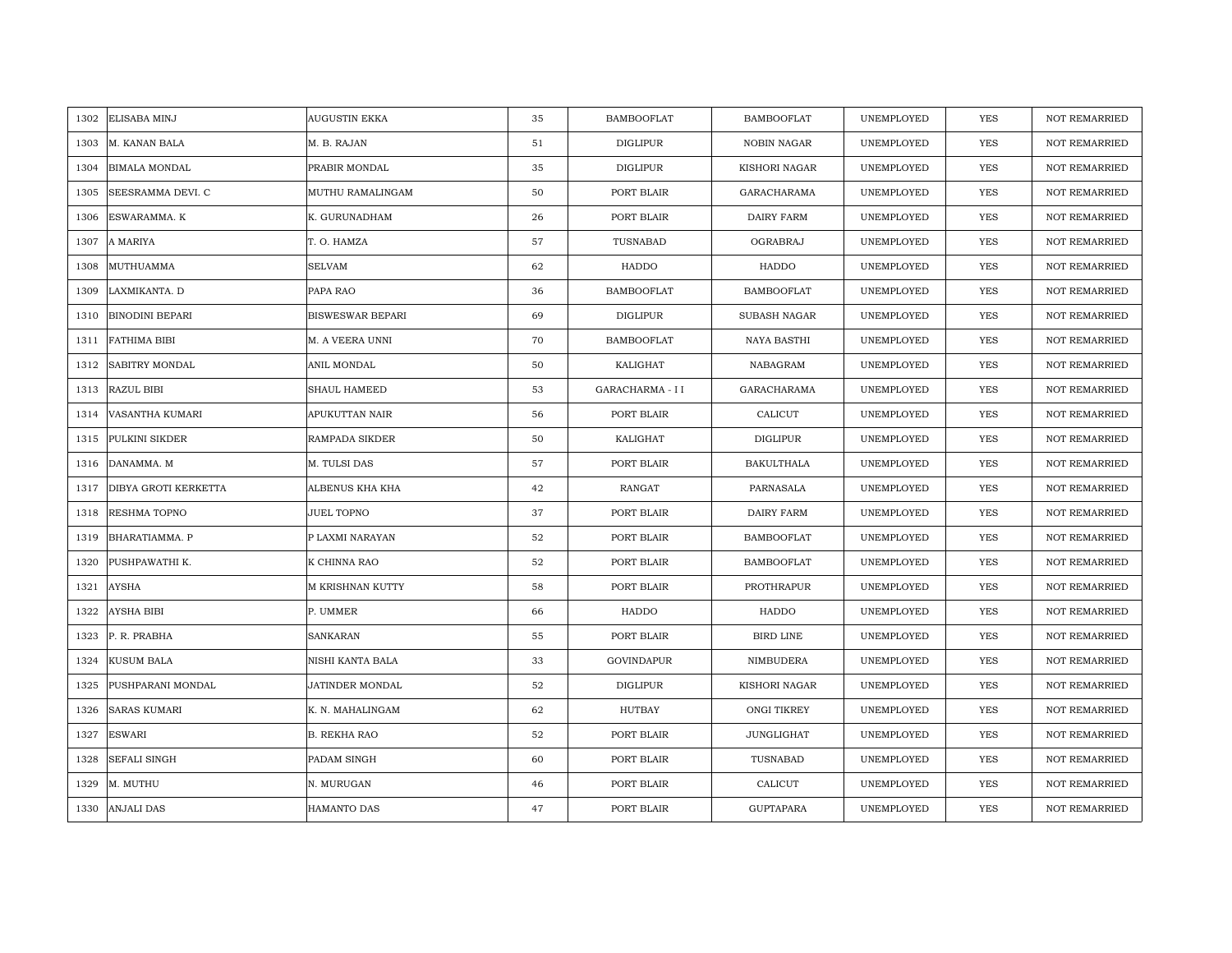|      | 1302 ELISABA MINJ      | <b>AUGUSTIN EKKA</b>    | 35 | <b>BAMBOOFLAT</b> | <b>BAMBOOFLAT</b>         | UNEMPLOYED | <b>YES</b> | <b>NOT REMARRIED</b> |
|------|------------------------|-------------------------|----|-------------------|---------------------------|------------|------------|----------------------|
| 1303 | M. KANAN BALA          | M. B. RAJAN             | 51 | <b>DIGLIPUR</b>   | <b>NOBIN NAGAR</b>        | UNEMPLOYED | <b>YES</b> | <b>NOT REMARRIED</b> |
| 1304 | <b>BIMALA MONDAL</b>   | PRABIR MONDAL           | 35 | <b>DIGLIPUR</b>   | KISHORI NAGAR             | UNEMPLOYED | <b>YES</b> | <b>NOT REMARRIED</b> |
| 1305 | SEESRAMMA DEVI. C      | MUTHU RAMALINGAM        | 50 | PORT BLAIR        | GARACHARAMA               | UNEMPLOYED | YES        | <b>NOT REMARRIED</b> |
| 1306 | ESWARAMMA. K           | K. GURUNADHAM           | 26 | PORT BLAIR        | DAIRY FARM                | UNEMPLOYED | YES        | <b>NOT REMARRIED</b> |
| 1307 | A MARIYA               | T. O. HAMZA             | 57 | TUSNABAD          | OGRABRAJ                  | UNEMPLOYED | <b>YES</b> | NOT REMARRIED        |
| 1308 | MUTHUAMMA              | <b>SELVAM</b>           | 62 | HADDO             | HADDO                     | UNEMPLOYED | <b>YES</b> | NOT REMARRIED        |
| 1309 | LAXMIKANTA. D          | PAPA RAO                | 36 | <b>BAMBOOFLAT</b> | <b>BAMBOOFLAT</b>         | UNEMPLOYED | YES        | NOT REMARRIED        |
| 1310 | <b>BINODINI BEPARI</b> | <b>BISWESWAR BEPARI</b> | 69 | <b>DIGLIPUR</b>   | SUBASH NAGAR              | UNEMPLOYED | YES        | NOT REMARRIED        |
| 1311 | <b>FATHIMA BIBI</b>    | M. A VEERA UNNI         | 70 | <b>BAMBOOFLAT</b> | NAYA BASTHI               | UNEMPLOYED | YES        | <b>NOT REMARRIED</b> |
| 1312 | <b>SABITRY MONDAL</b>  | ANIL MONDAL             | 50 | KALIGHAT          | $\operatorname{NABAGRAM}$ | UNEMPLOYED | YES        | <b>NOT REMARRIED</b> |
| 1313 | RAZUL BIBI             | SHAUL HAMEED            | 53 | GARACHARMA - II   | GARACHARAMA               | UNEMPLOYED | YES        | NOT REMARRIED        |
| 1314 | VASANTHA KUMARI        | APUKUTTAN NAIR          | 56 | PORT BLAIR        | CALICUT                   | UNEMPLOYED | YES        | <b>NOT REMARRIED</b> |
| 1315 | PULKINI SIKDER         | RAMPADA SIKDER          | 50 | KALIGHAT          | DIGLIPUR                  | UNEMPLOYED | YES        | <b>NOT REMARRIED</b> |
| 1316 | DANAMMA. M             | M. TULSI DAS            | 57 | PORT BLAIR        | <b>BAKULTHALA</b>         | UNEMPLOYED | YES        | NOT REMARRIED        |
| 1317 | DIBYA GROTI KERKETTA   | ALBENUS KHA KHA         | 42 | RANGAT            | PARNASALA                 | UNEMPLOYED | <b>YES</b> | <b>NOT REMARRIED</b> |
| 1318 | RESHMA TOPNO           | <b>JUEL TOPNO</b>       | 37 | PORT BLAIR        | DAIRY FARM                | UNEMPLOYED | YES        | <b>NOT REMARRIED</b> |
| 1319 | <b>BHARATIAMMA. P</b>  | P LAXMI NARAYAN         | 52 | PORT BLAIR        | <b>BAMBOOFLAT</b>         | UNEMPLOYED | YES        | <b>NOT REMARRIED</b> |
| 1320 | PUSHPAWATHI K.         | K CHINNA RAO            | 52 | PORT BLAIR        | <b>BAMBOOFLAT</b>         | UNEMPLOYED | <b>YES</b> | <b>NOT REMARRIED</b> |
| 1321 | <b>AYSHA</b>           | M KRISHNAN KUTTY        | 58 | PORT BLAIR        | PROTHRAPUR                | UNEMPLOYED | YES        | <b>NOT REMARRIED</b> |
| 1322 | <b>AYSHA BIBI</b>      | P. UMMER                | 66 | HADDO             | HADDO                     | UNEMPLOYED | YES        | NOT REMARRIED        |
| 1323 | P. R. PRABHA           | <b>SANKARAN</b>         | 55 | PORT BLAIR        | <b>BIRD LINE</b>          | UNEMPLOYED | YES        | NOT REMARRIED        |
| 1324 | <b>KUSUM BALA</b>      | NISHI KANTA BALA        | 33 | GOVINDAPUR        | NIMBUDERA                 | UNEMPLOYED | <b>YES</b> | <b>NOT REMARRIED</b> |
| 1325 | PUSHPARANI MONDAL      | JATINDER MONDAL         | 52 | <b>DIGLIPUR</b>   | KISHORI NAGAR             | UNEMPLOYED | <b>YES</b> | <b>NOT REMARRIED</b> |
| 1326 | <b>SARAS KUMARI</b>    | K. N. MAHALINGAM        | 62 | HUTBAY            | ONGI TIKREY               | UNEMPLOYED | <b>YES</b> | <b>NOT REMARRIED</b> |
| 1327 | <b>ESWARI</b>          | <b>B. REKHA RAO</b>     | 52 | PORT BLAIR        | JUNGLIGHAT                | UNEMPLOYED | YES        | NOT REMARRIED        |
| 1328 | <b>SEFALI SINGH</b>    | PADAM SINGH             | 60 | PORT BLAIR        | TUSNABAD                  | UNEMPLOYED | YES        | <b>NOT REMARRIED</b> |
| 1329 | M. MUTHU               | N. MURUGAN              | 46 | PORT BLAIR        | CALICUT                   | UNEMPLOYED | YES        | <b>NOT REMARRIED</b> |
| 1330 | <b>ANJALI DAS</b>      | <b>HAMANTO DAS</b>      | 47 | PORT BLAIR        | <b>GUPTAPARA</b>          | UNEMPLOYED | <b>YES</b> | <b>NOT REMARRIED</b> |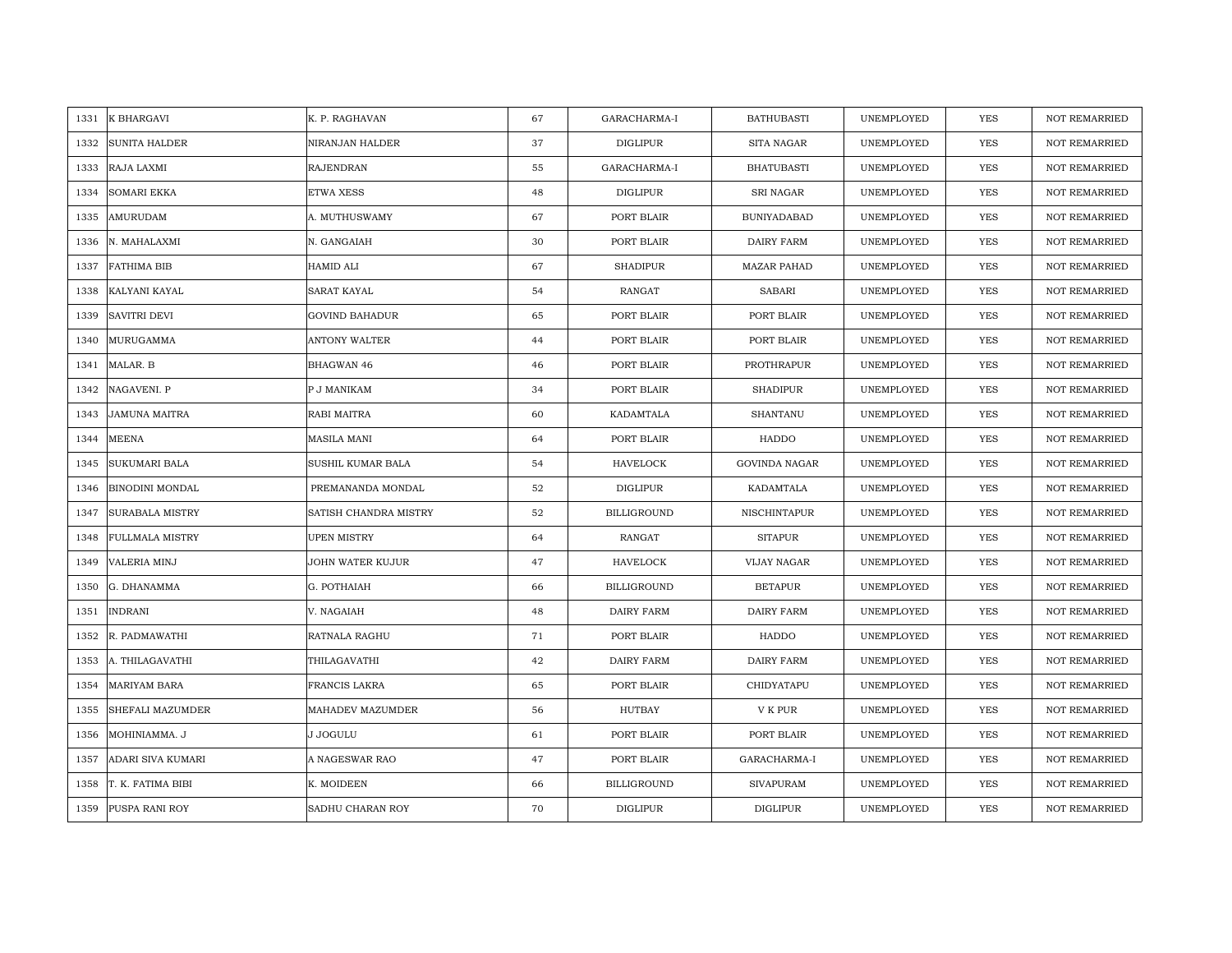| 1331 | K BHARGAVI             | K. P. RAGHAVAN        | 67 | GARACHARMA-I       | <b>BATHUBASTI</b>  | UNEMPLOYED | YES        | <b>NOT REMARRIED</b> |
|------|------------------------|-----------------------|----|--------------------|--------------------|------------|------------|----------------------|
| 1332 | <b>SUNITA HALDER</b>   | NIRANJAN HALDER       | 37 | DIGLIPUR           | SITA NAGAR         | UNEMPLOYED | YES        | NOT REMARRIED        |
| 1333 | RAJA LAXMI             | <b>RAJENDRAN</b>      | 55 | GARACHARMA-I       | <b>BHATUBASTI</b>  | UNEMPLOYED | <b>YES</b> | <b>NOT REMARRIED</b> |
| 1334 | <b>SOMARI EKKA</b>     | <b>ETWA XESS</b>      | 48 | DIGLIPUR           | <b>SRI NAGAR</b>   | UNEMPLOYED | <b>YES</b> | <b>NOT REMARRIED</b> |
| 1335 | AMURUDAM               | A. MUTHUSWAMY         | 67 | PORT BLAIR         | <b>BUNIYADABAD</b> | UNEMPLOYED | <b>YES</b> | <b>NOT REMARRIED</b> |
| 1336 | N. MAHALAXMI           | N. GANGAIAH           | 30 | PORT BLAIR         | DAIRY FARM         | UNEMPLOYED | <b>YES</b> | <b>NOT REMARRIED</b> |
| 1337 | <b>FATHIMA BIB</b>     | <b>HAMID ALI</b>      | 67 | <b>SHADIPUR</b>    | <b>MAZAR PAHAD</b> | UNEMPLOYED | YES        | <b>NOT REMARRIED</b> |
| 1338 | KALYANI KAYAL          | <b>SARAT KAYAL</b>    | 54 | RANGAT             | SABARI             | UNEMPLOYED | YES        | <b>NOT REMARRIED</b> |
| 1339 | <b>SAVITRI DEVI</b>    | <b>GOVIND BAHADUR</b> | 65 | PORT BLAIR         | PORT BLAIR         | UNEMPLOYED | YES        | <b>NOT REMARRIED</b> |
| 1340 | MURUGAMMA              | <b>ANTONY WALTER</b>  | 44 | PORT BLAIR         | PORT BLAIR         | UNEMPLOYED | <b>YES</b> | <b>NOT REMARRIED</b> |
| 1341 | MALAR. B               | BHAGWAN 46            | 46 | PORT BLAIR         | PROTHRAPUR         | UNEMPLOYED | YES        | <b>NOT REMARRIED</b> |
| 1342 | NAGAVENI. P            | P J MANIKAM           | 34 | PORT BLAIR         | <b>SHADIPUR</b>    | UNEMPLOYED | YES        | NOT REMARRIED        |
| 1343 | <b>JAMUNA MAITRA</b>   | RABI MAITRA           | 60 | KADAMTALA          | SHANTANU           | UNEMPLOYED | <b>YES</b> | NOT REMARRIED        |
| 1344 | <b>MEENA</b>           | <b>MASILA MANI</b>    | 64 | PORT BLAIR         | HADDO              | UNEMPLOYED | YES        | <b>NOT REMARRIED</b> |
| 1345 | SUKUMARI BALA          | SUSHIL KUMAR BALA     | 54 | HAVELOCK           | GOVINDA NAGAR      | UNEMPLOYED | YES        | <b>NOT REMARRIED</b> |
| 1346 | <b>BINODINI MONDAL</b> | PREMANANDA MONDAL     | 52 | DIGLIPUR           | KADAMTALA          | UNEMPLOYED | YES        | <b>NOT REMARRIED</b> |
| 1347 | <b>SURABALA MISTRY</b> | SATISH CHANDRA MISTRY | 52 | <b>BILLIGROUND</b> | NISCHINTAPUR       | UNEMPLOYED | <b>YES</b> | NOT REMARRIED        |
| 1348 | <b>FULLMALA MISTRY</b> | <b>UPEN MISTRY</b>    | 64 | RANGAT             | <b>SITAPUR</b>     | UNEMPLOYED | YES        | <b>NOT REMARRIED</b> |
| 1349 | <b>VALERIA MINJ</b>    | JOHN WATER KUJUR      | 47 | <b>HAVELOCK</b>    | VIJAY NAGAR        | UNEMPLOYED | <b>YES</b> | NOT REMARRIED        |
| 1350 | G. DHANAMMA            | G. POTHAIAH           | 66 | <b>BILLIGROUND</b> | <b>BETAPUR</b>     | UNEMPLOYED | <b>YES</b> | <b>NOT REMARRIED</b> |
| 1351 | <b>INDRANI</b>         | V. NAGAIAH            | 48 | DAIRY FARM         | DAIRY FARM         | UNEMPLOYED | YES        | <b>NOT REMARRIED</b> |
| 1352 | R. PADMAWATHI          | RATNALA RAGHU         | 71 | PORT BLAIR         | HADDO              | UNEMPLOYED | YES        | <b>NOT REMARRIED</b> |
| 1353 | A. THILAGAVATHI        | THILAGAVATHI          | 42 | DAIRY FARM         | DAIRY FARM         | UNEMPLOYED | <b>YES</b> | <b>NOT REMARRIED</b> |
| 1354 | <b>MARIYAM BARA</b>    | <b>FRANCIS LAKRA</b>  | 65 | PORT BLAIR         | CHIDYATAPU         | UNEMPLOYED | YES        | <b>NOT REMARRIED</b> |
| 1355 | SHEFALI MAZUMDER       | MAHADEV MAZUMDER      | 56 | HUTBAY             | V K PUR            | UNEMPLOYED | YES        | <b>NOT REMARRIED</b> |
| 1356 | MOHINIAMMA. J          | <b>J JOGULU</b>       | 61 | PORT BLAIR         | PORT BLAIR         | UNEMPLOYED | YES        | NOT REMARRIED        |
| 1357 | ADARI SIVA KUMARI      | A NAGESWAR RAO        | 47 | PORT BLAIR         | GARACHARMA-I       | UNEMPLOYED | YES        | <b>NOT REMARRIED</b> |
| 1358 | T. K. FATIMA BIBI      | K. MOIDEEN            | 66 | <b>BILLIGROUND</b> | <b>SIVAPURAM</b>   | UNEMPLOYED | YES        | <b>NOT REMARRIED</b> |
|      | 1359 PUSPA RANI ROY    | SADHU CHARAN ROY      | 70 | DIGLIPUR           | DIGLIPUR           | UNEMPLOYED | <b>YES</b> | <b>NOT REMARRIED</b> |
|      |                        |                       |    |                    |                    |            |            |                      |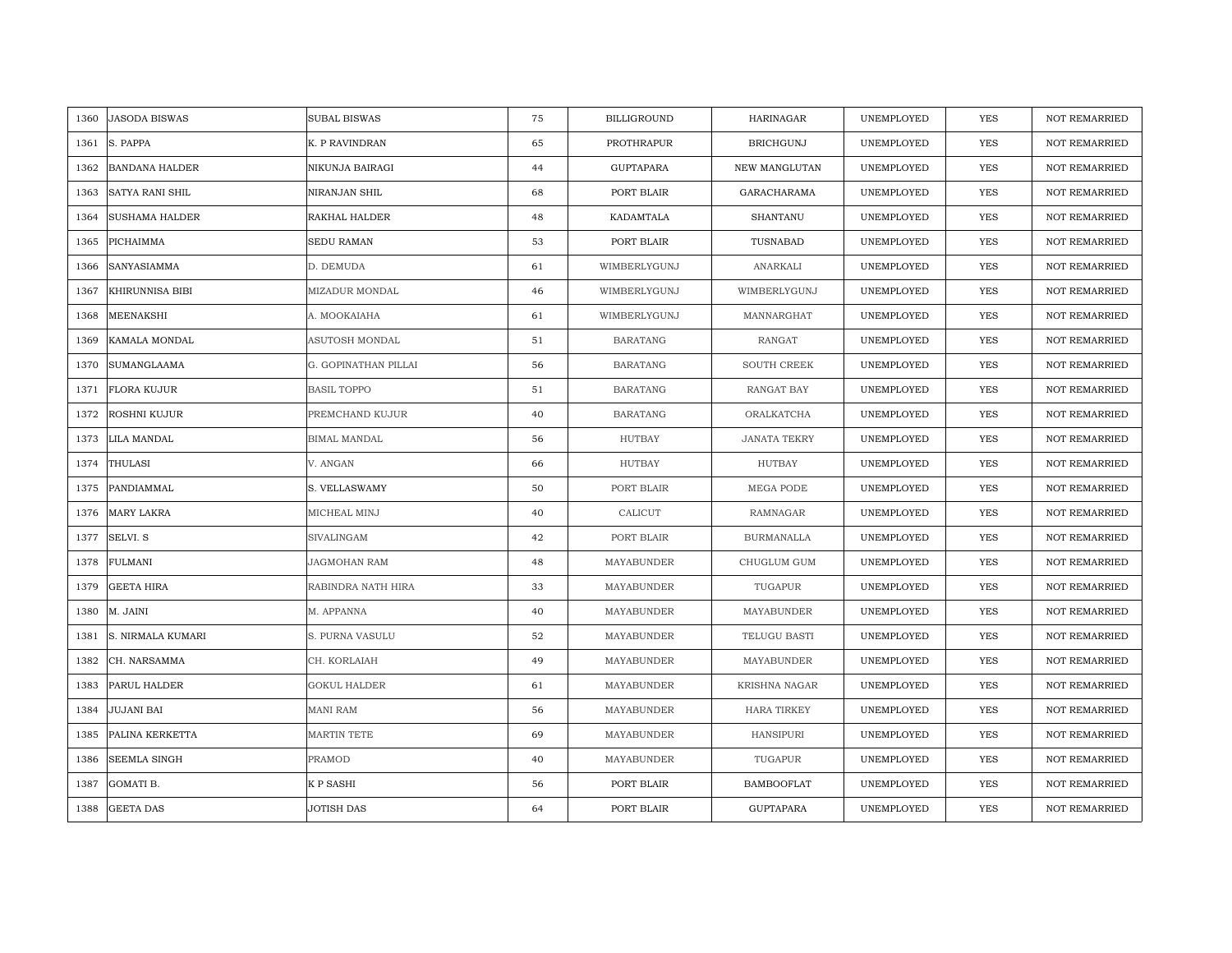| 1360 | <b>JASODA BISWAS</b>  | SUBAL BISWAS         | 75 | <b>BILLIGROUND</b> | <b>HARINAGAR</b>     | UNEMPLOYED | <b>YES</b> | <b>NOT REMARRIED</b> |
|------|-----------------------|----------------------|----|--------------------|----------------------|------------|------------|----------------------|
| 1361 | S. PAPPA              | K. P RAVINDRAN       | 65 | PROTHRAPUR         | <b>BRICHGUNJ</b>     | UNEMPLOYED | <b>YES</b> | <b>NOT REMARRIED</b> |
| 1362 | <b>BANDANA HALDER</b> | NIKUNJA BAIRAGI      | 44 | GUPTAPARA          | <b>NEW MANGLUTAN</b> | UNEMPLOYED | <b>YES</b> | <b>NOT REMARRIED</b> |
| 1363 | SATYA RANI SHIL       | NIRANJAN SHIL        | 68 | PORT BLAIR         | GARACHARAMA          | UNEMPLOYED | YES        | <b>NOT REMARRIED</b> |
| 1364 | <b>SUSHAMA HALDER</b> | RAKHAL HALDER        | 48 | KADAMTALA          | SHANTANU             | UNEMPLOYED | YES        | NOT REMARRIED        |
| 1365 | PICHAIMMA             | SEDU RAMAN           | 53 | PORT BLAIR         | TUSNABAD             | UNEMPLOYED | YES        | NOT REMARRIED        |
| 1366 | SANYASIAMMA           | D. DEMUDA            | 61 | WIMBERLYGUNJ       | ANARKALI             | UNEMPLOYED | YES        | NOT REMARRIED        |
| 1367 | KHIRUNNISA BIBI       | MIZADUR MONDAL       | 46 | WIMBERLYGUNJ       | WIMBERLYGUNJ         | UNEMPLOYED | YES        | NOT REMARRIED        |
| 1368 | MEENAKSHI             | A. MOOKAIAHA         | 61 | WIMBERLYGUNJ       | MANNARGHAT           | UNEMPLOYED | YES        | NOT REMARRIED        |
| 1369 | KAMALA MONDAL         | ASUTOSH MONDAL       | 51 | <b>BARATANG</b>    | <b>RANGAT</b>        | UNEMPLOYED | YES        | <b>NOT REMARRIED</b> |
| 1370 | <b>SUMANGLAAMA</b>    | G. GOPINATHAN PILLAI | 56 | <b>BARATANG</b>    | SOUTH CREEK          | UNEMPLOYED | YES        | <b>NOT REMARRIED</b> |
| 1371 | <b>FLORA KUJUR</b>    | <b>BASIL TOPPO</b>   | 51 | <b>BARATANG</b>    | RANGAT BAY           | UNEMPLOYED | YES        | NOT REMARRIED        |
| 1372 | ROSHNI KUJUR          | PREMCHAND KUJUR      | 40 | <b>BARATANG</b>    | ORALKATCHA           | UNEMPLOYED | YES        | <b>NOT REMARRIED</b> |
| 1373 | LILA MANDAL           | <b>BIMAL MANDAL</b>  | 56 | <b>HUTBAY</b>      | <b>JANATA TEKRY</b>  | UNEMPLOYED | YES        | <b>NOT REMARRIED</b> |
| 1374 | THULASI               | V. ANGAN             | 66 | HUTBAY             | HUTBAY               | UNEMPLOYED | YES        | <b>NOT REMARRIED</b> |
| 1375 | PANDIAMMAL            | S. VELLASWAMY        | 50 | PORT BLAIR         | MEGA PODE            | UNEMPLOYED | <b>YES</b> | <b>NOT REMARRIED</b> |
| 1376 | <b>MARY LAKRA</b>     | MICHEAL MINJ         | 40 | CALICUT            | <b>RAMNAGAR</b>      | UNEMPLOYED | YES        | <b>NOT REMARRIED</b> |
| 1377 | SELVI. S              | SIVALINGAM           | 42 | PORT BLAIR         | <b>BURMANALLA</b>    | UNEMPLOYED | YES        | <b>NOT REMARRIED</b> |
| 1378 | <b>FULMANI</b>        | JAGMOHAN RAM         | 48 | MAYABUNDER         | CHUGLUM GUM          | UNEMPLOYED | <b>YES</b> | <b>NOT REMARRIED</b> |
| 1379 | <b>GEETA HIRA</b>     | RABINDRA NATH HIRA   | 33 | MAYABUNDER         | TUGAPUR              | UNEMPLOYED | YES        | <b>NOT REMARRIED</b> |
| 1380 | M. JAINI              | M. APPANNA           | 40 | MAYABUNDER         | MAYABUNDER           | UNEMPLOYED | YES        | NOT REMARRIED        |
| 1381 | S. NIRMALA KUMARI     | S. PURNA VASULU      | 52 | MAYABUNDER         | TELUGU BASTI         | UNEMPLOYED | YES        | NOT REMARRIED        |
| 1382 | CH. NARSAMMA          | CH. KORLAIAH         | 49 | MAYABUNDER         | MAYABUNDER           | UNEMPLOYED | <b>YES</b> | <b>NOT REMARRIED</b> |
| 1383 | PARUL HALDER          | <b>GOKUL HALDER</b>  | 61 | MAYABUNDER         | <b>KRISHNA NAGAR</b> | UNEMPLOYED | YES        | <b>NOT REMARRIED</b> |
| 1384 | <b>JUJANI BAI</b>     | MANI RAM             | 56 | MAYABUNDER         | <b>HARA TIRKEY</b>   | UNEMPLOYED | YES        | <b>NOT REMARRIED</b> |
| 1385 | PALINA KERKETTA       | MARTIN TETE          | 69 | MAYABUNDER         | <b>HANSIPURI</b>     | UNEMPLOYED | YES        | NOT REMARRIED        |
| 1386 | <b>SEEMLA SINGH</b>   | PRAMOD               | 40 | MAYABUNDER         | TUGAPUR              | UNEMPLOYED | YES        | <b>NOT REMARRIED</b> |
| 1387 | GOMATI B.             | K P SASHI            | 56 | PORT BLAIR         | <b>BAMBOOFLAT</b>    | UNEMPLOYED | YES        | <b>NOT REMARRIED</b> |
| 1388 | <b>GEETA DAS</b>      | <b>JOTISH DAS</b>    | 64 | PORT BLAIR         | <b>GUPTAPARA</b>     | UNEMPLOYED | <b>YES</b> | <b>NOT REMARRIED</b> |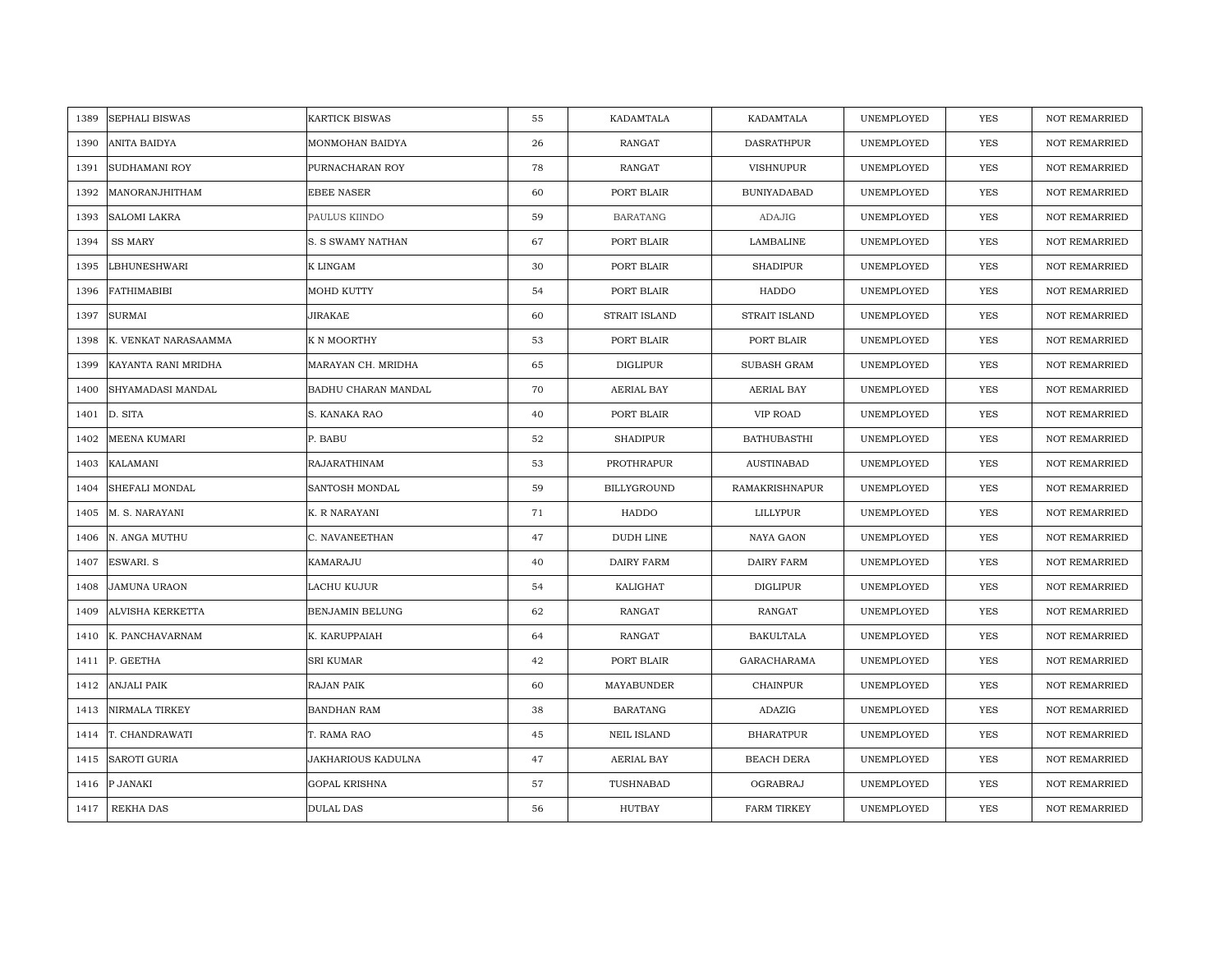| 1389 | <b>SEPHALI BISWAS</b>   | <b>KARTICK BISWAS</b> | 55 | KADAMTALA          | KADAMTALA          | UNEMPLOYED | YES        | <b>NOT REMARRIED</b> |
|------|-------------------------|-----------------------|----|--------------------|--------------------|------------|------------|----------------------|
| 1390 | <b>ANITA BAIDYA</b>     | MONMOHAN BAIDYA       | 26 | RANGAT             | DASRATHPUR         | UNEMPLOYED | <b>YES</b> | NOT REMARRIED        |
| 1391 | <b>SUDHAMANI ROY</b>    | PURNACHARAN ROY       | 78 | <b>RANGAT</b>      | <b>VISHNUPUR</b>   | UNEMPLOYED | YES        | <b>NOT REMARRIED</b> |
| 1392 | MANORANJHITHAM          | <b>EBEE NASER</b>     | 60 | PORT BLAIR         | <b>BUNIYADABAD</b> | UNEMPLOYED | <b>YES</b> | NOT REMARRIED        |
| 1393 | <b>SALOMI LAKRA</b>     | PAULUS KIINDO         | 59 | <b>BARATANG</b>    | <b>ADAJIG</b>      | UNEMPLOYED | YES        | <b>NOT REMARRIED</b> |
| 1394 | <b>SS MARY</b>          | S. S SWAMY NATHAN     | 67 | PORT BLAIR         | LAMBALINE          | UNEMPLOYED | YES        | <b>NOT REMARRIED</b> |
| 1395 | <b>LBHUNESHWARI</b>     | K LINGAM              | 30 | PORT BLAIR         | <b>SHADIPUR</b>    | UNEMPLOYED | YES        | <b>NOT REMARRIED</b> |
| 1396 | <b>FATHIMABIBI</b>      | MOHD KUTTY            | 54 | PORT BLAIR         | HADDO              | UNEMPLOYED | YES        | NOT REMARRIED        |
| 1397 | <b>SURMAI</b>           | JIRAKAE               | 60 | STRAIT ISLAND      | STRAIT ISLAND      | UNEMPLOYED | YES        | NOT REMARRIED        |
| 1398 | K. VENKAT NARASAAMMA    | K N MOORTHY           | 53 | PORT BLAIR         | PORT BLAIR         | UNEMPLOYED | YES        | <b>NOT REMARRIED</b> |
| 1399 | KAYANTA RANI MRIDHA     | MARAYAN CH. MRIDHA    | 65 | <b>DIGLIPUR</b>    | SUBASH GRAM        | UNEMPLOYED | YES        | <b>NOT REMARRIED</b> |
| 1400 | SHYAMADASI MANDAL       | BADHU CHARAN MANDAL   | 70 | AERIAL BAY         | AERIAL BAY         | UNEMPLOYED | YES        | NOT REMARRIED        |
| 1401 | D. SITA                 | S. KANAKA RAO         | 40 | PORT BLAIR         | VIP ROAD           | UNEMPLOYED | YES        | NOT REMARRIED        |
| 1402 | <b>MEENA KUMARI</b>     | P. BABU               | 52 | <b>SHADIPUR</b>    | <b>BATHUBASTHI</b> | UNEMPLOYED | <b>YES</b> | <b>NOT REMARRIED</b> |
| 1403 | <b>KALAMANI</b>         | RAJARATHINAM          | 53 | PROTHRAPUR         | AUSTINABAD         | UNEMPLOYED | YES        | NOT REMARRIED        |
| 1404 | SHEFALI MONDAL          | SANTOSH MONDAL        | 59 | BILLYGROUND        | RAMAKRISHNAPUR     | UNEMPLOYED | YES        | <b>NOT REMARRIED</b> |
| 1405 | M. S. NARAYANI          | K. R NARAYANI         | 71 | HADDO              | LILLYPUR           | UNEMPLOYED | YES        | NOT REMARRIED        |
| 1406 | N. ANGA MUTHU           | C. NAVANEETHAN        | 47 | DUDH LINE          | NAYA GAON          | UNEMPLOYED | YES        | <b>NOT REMARRIED</b> |
| 1407 | <b>ESWARI. S</b>        | KAMARAJU              | 40 | DAIRY FARM         | <b>DAIRY FARM</b>  | UNEMPLOYED | YES        | NOT REMARRIED        |
| 1408 | <b>JAMUNA URAON</b>     | LACHU KUJUR           | 54 | KALIGHAT           | <b>DIGLIPUR</b>    | UNEMPLOYED | <b>YES</b> | <b>NOT REMARRIED</b> |
| 1409 | <b>ALVISHA KERKETTA</b> | BENJAMIN BELUNG       | 62 | RANGAT             | RANGAT             | UNEMPLOYED | YES        | <b>NOT REMARRIED</b> |
| 1410 | K. PANCHAVARNAM         | K. KARUPPAIAH         | 64 | RANGAT             | <b>BAKULTALA</b>   | UNEMPLOYED | YES        | NOT REMARRIED        |
| 1411 | P. GEETHA               | <b>SRI KUMAR</b>      | 42 | PORT BLAIR         | GARACHARAMA        | UNEMPLOYED | YES        | <b>NOT REMARRIED</b> |
| 1412 | <b>ANJALI PAIK</b>      | RAJAN PAIK            | 60 | MAYABUNDER         | <b>CHAINPUR</b>    | UNEMPLOYED | YES        | <b>NOT REMARRIED</b> |
| 1413 | <b>NIRMALA TIRKEY</b>   | <b>BANDHAN RAM</b>    | 38 | <b>BARATANG</b>    | ADAZIG             | UNEMPLOYED | YES        | <b>NOT REMARRIED</b> |
| 1414 | T. CHANDRAWATI          | T. RAMA RAO           | 45 | <b>NEIL ISLAND</b> | <b>BHARATPUR</b>   | UNEMPLOYED | YES        | NOT REMARRIED        |
| 1415 | <b>SAROTI GURIA</b>     | JAKHARIOUS KADULNA    | 47 | AERIAL BAY         | <b>BEACH DERA</b>  | UNEMPLOYED | YES        | <b>NOT REMARRIED</b> |
| 1416 | P JANAKI                | <b>GOPAL KRISHNA</b>  | 57 | TUSHNABAD          | OGRABRAJ           | UNEMPLOYED | YES        | <b>NOT REMARRIED</b> |
| 1417 | REKHA DAS               | <b>DULAL DAS</b>      | 56 | <b>HUTBAY</b>      | <b>FARM TIRKEY</b> | UNEMPLOYED | <b>YES</b> | <b>NOT REMARRIED</b> |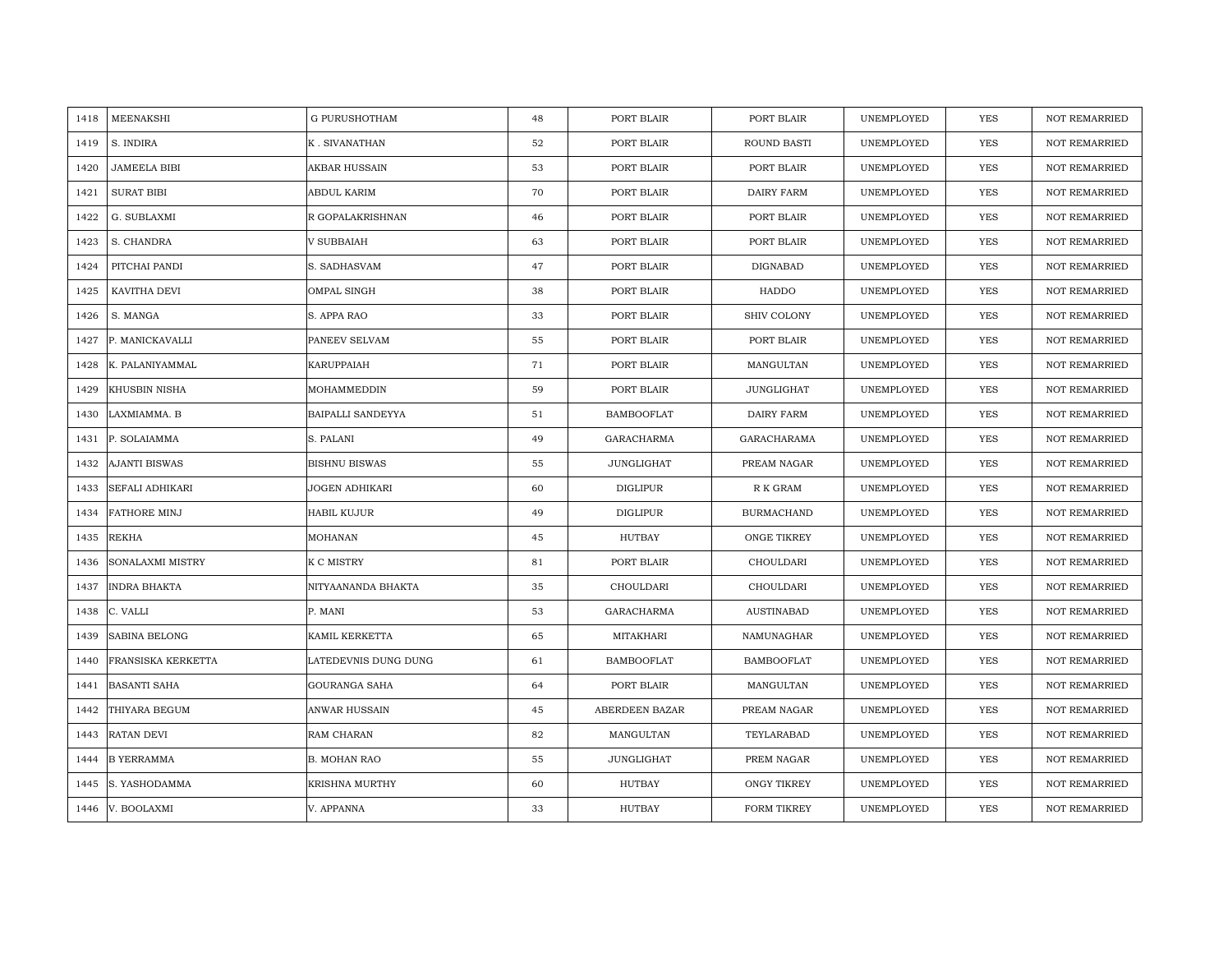| MEENAKSHI<br>1418           | <b>G PURUSHOTHAM</b> | 48 | PORT BLAIR        | PORT BLAIR         | UNEMPLOYED | <b>YES</b> | <b>NOT REMARRIED</b> |
|-----------------------------|----------------------|----|-------------------|--------------------|------------|------------|----------------------|
| S. INDIRA<br>1419           | K. SIVANATHAN        | 52 | PORT BLAIR        | ROUND BASTI        | UNEMPLOYED | <b>YES</b> | <b>NOT REMARRIED</b> |
| 1420<br><b>JAMEELA BIBI</b> | AKBAR HUSSAIN        | 53 | PORT BLAIR        | PORT BLAIR         | UNEMPLOYED | YES        | <b>NOT REMARRIED</b> |
| 1421<br><b>SURAT BIBI</b>   | ABDUL KARIM          | 70 | PORT BLAIR        | <b>DAIRY FARM</b>  | UNEMPLOYED | <b>YES</b> | <b>NOT REMARRIED</b> |
| 1422<br>G. SUBLAXMI         | R GOPALAKRISHNAN     | 46 | PORT BLAIR        | PORT BLAIR         | UNEMPLOYED | YES        | <b>NOT REMARRIED</b> |
| 1423<br>S. CHANDRA          | V SUBBAIAH           | 63 | PORT BLAIR        | PORT BLAIR         | UNEMPLOYED | YES        | NOT REMARRIED        |
| 1424<br>PITCHAI PANDI       | S. SADHASVAM         | 47 | PORT BLAIR        | DIGNABAD           | UNEMPLOYED | YES        | <b>NOT REMARRIED</b> |
| KAVITHA DEVI<br>1425        | OMPAL SINGH          | 38 | PORT BLAIR        | HADDO              | UNEMPLOYED | YES        | NOT REMARRIED        |
| S. MANGA<br>1426            | S. APPA RAO          | 33 | PORT BLAIR        | SHIV COLONY        | UNEMPLOYED | <b>YES</b> | NOT REMARRIED        |
| P. MANICKAVALLI<br>1427     | PANEEV SELVAM        | 55 | PORT BLAIR        | PORT BLAIR         | UNEMPLOYED | <b>YES</b> | <b>NOT REMARRIED</b> |
| K. PALANIYAMMAL<br>1428     | KARUPPAIAH           | 71 | PORT BLAIR        | MANGULTAN          | UNEMPLOYED | <b>YES</b> | <b>NOT REMARRIED</b> |
| 1429<br>KHUSBIN NISHA       | MOHAMMEDDIN          | 59 | PORT BLAIR        | <b>JUNGLIGHAT</b>  | UNEMPLOYED | <b>YES</b> | <b>NOT REMARRIED</b> |
| 1430<br>LAXMIAMMA. B        | BAIPALLI SANDEYYA    | 51 | <b>BAMBOOFLAT</b> | DAIRY FARM         | UNEMPLOYED | YES        | NOT REMARRIED        |
| 1431<br>P. SOLAIAMMA        | S. PALANI            | 49 | GARACHARMA        | GARACHARAMA        | UNEMPLOYED | <b>YES</b> | <b>NOT REMARRIED</b> |
| 1432<br>AJANTI BISWAS       | <b>BISHNU BISWAS</b> | 55 | JUNGLIGHAT        | PREAM NAGAR        | UNEMPLOYED | YES        | NOT REMARRIED        |
| SEFALI ADHIKARI<br>1433     | JOGEN ADHIKARI       | 60 | <b>DIGLIPUR</b>   | R K GRAM           | UNEMPLOYED | <b>YES</b> | <b>NOT REMARRIED</b> |
| <b>FATHORE MINJ</b><br>1434 | <b>HABIL KUJUR</b>   | 49 | <b>DIGLIPUR</b>   | <b>BURMACHAND</b>  | UNEMPLOYED | YES        | <b>NOT REMARRIED</b> |
| 1435<br>REKHA               | MOHANAN              | 45 | HUTBAY            | ONGE TIKREY        | UNEMPLOYED | <b>YES</b> | <b>NOT REMARRIED</b> |
| SONALAXMI MISTRY<br>1436    | K C MISTRY           | 81 | PORT BLAIR        | CHOULDARI          | UNEMPLOYED | YES        | NOT REMARRIED        |
| 1437<br>INDRA BHAKTA        | NITYAANANDA BHAKTA   | 35 | CHOULDARI         | CHOULDARI          | UNEMPLOYED | <b>YES</b> | <b>NOT REMARRIED</b> |
| C. VALLI<br>1438            | P. MANI              | 53 | <b>GARACHARMA</b> | <b>AUSTINABAD</b>  | UNEMPLOYED | <b>YES</b> | <b>NOT REMARRIED</b> |
| 1439<br>SABINA BELONG       | KAMIL KERKETTA       | 65 | MITAKHARI         | NAMUNAGHAR         | UNEMPLOYED | YES        | <b>NOT REMARRIED</b> |
| FRANSISKA KERKETTA<br>1440  | LATEDEVNIS DUNG DUNG | 61 | <b>BAMBOOFLAT</b> | <b>BAMBOOFLAT</b>  | UNEMPLOYED | <b>YES</b> | <b>NOT REMARRIED</b> |
| <b>BASANTI SAHA</b><br>1441 | <b>GOURANGA SAHA</b> | 64 | PORT BLAIR        | MANGULTAN          | UNEMPLOYED | YES        | <b>NOT REMARRIED</b> |
| THIYARA BEGUM<br>1442       | ANWAR HUSSAIN        | 45 | ABERDEEN BAZAR    | PREAM NAGAR        | UNEMPLOYED | <b>YES</b> | <b>NOT REMARRIED</b> |
| 1443<br>RATAN DEVI          | RAM CHARAN           | 82 | MANGULTAN         | TEYLARABAD         | UNEMPLOYED | YES        | NOT REMARRIED        |
| <b>B YERRAMMA</b><br>1444   | <b>B. MOHAN RAO</b>  | 55 | JUNGLIGHAT        | PREM NAGAR         | UNEMPLOYED | <b>YES</b> | <b>NOT REMARRIED</b> |
| S. YASHODAMMA<br>1445       | KRISHNA MURTHY       | 60 | HUTBAY            | <b>ONGY TIKREY</b> | UNEMPLOYED | YES        | <b>NOT REMARRIED</b> |
| V. BOOLAXMI<br>1446         | V. APPANNA           | 33 | HUTBAY            | FORM TIKREY        | UNEMPLOYED | YES        | NOT REMARRIED        |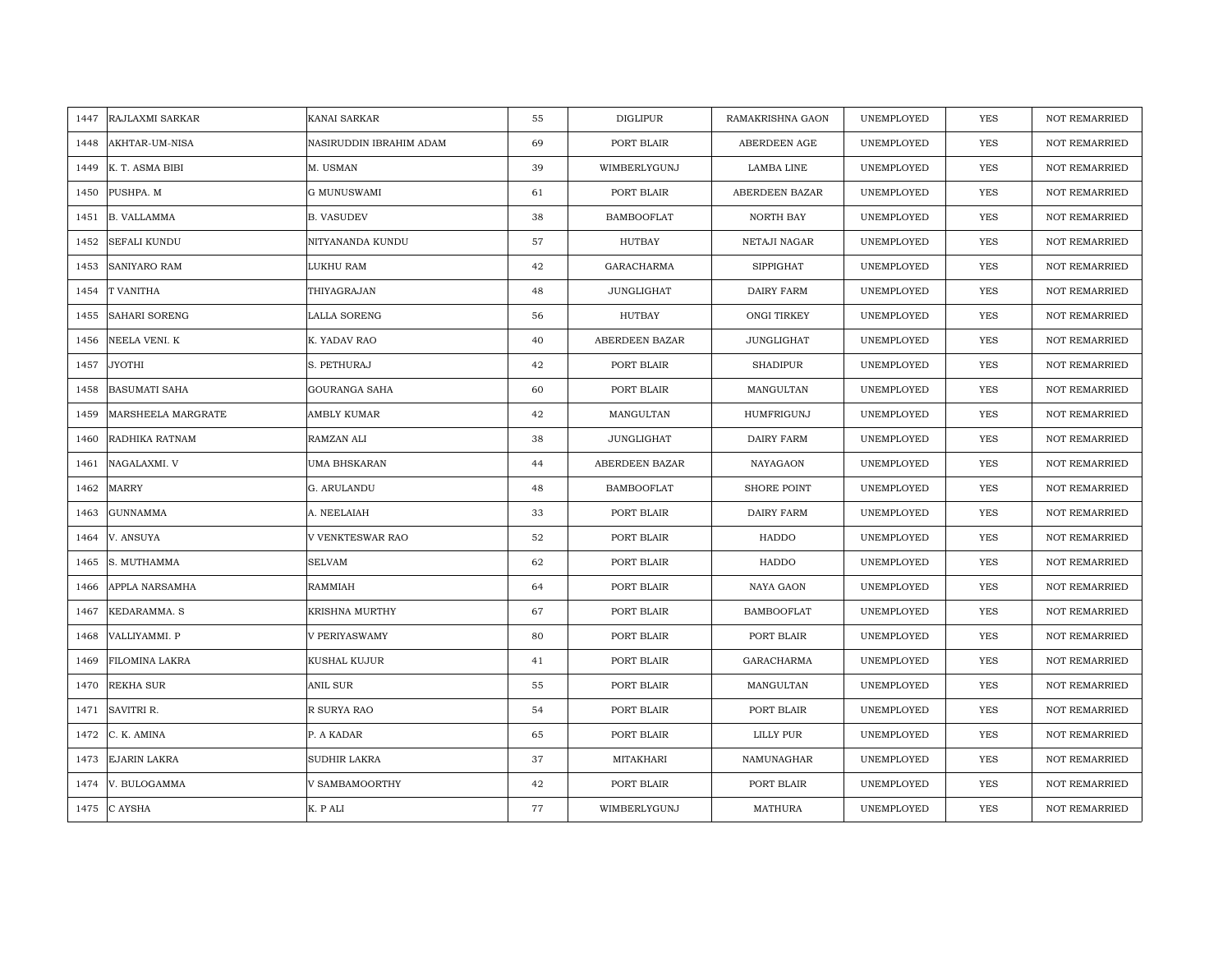| RAJLAXMI SARKAR<br>1447     | KANAI SARKAR            | 55 | DIGLIPUR          | RAMAKRISHNA GAON  | UNEMPLOYED | <b>YES</b> | <b>NOT REMARRIED</b> |
|-----------------------------|-------------------------|----|-------------------|-------------------|------------|------------|----------------------|
| AKHTAR-UM-NISA<br>1448      | NASIRUDDIN IBRAHIM ADAM | 69 | PORT BLAIR        | ABERDEEN AGE      | UNEMPLOYED | YES        | NOT REMARRIED        |
| K. T. ASMA BIBI<br>1449     | M. USMAN                | 39 | WIMBERLYGUNJ      | LAMBA LINE        | UNEMPLOYED | YES        | <b>NOT REMARRIED</b> |
| 1450<br>PUSHPA. M           | <b>G MUNUSWAMI</b>      | 61 | PORT BLAIR        | ABERDEEN BAZAR    | UNEMPLOYED | <b>YES</b> | <b>NOT REMARRIED</b> |
| <b>B. VALLAMMA</b><br>1451  | <b>B. VASUDEV</b>       | 38 | <b>BAMBOOFLAT</b> | NORTH BAY         | UNEMPLOYED | <b>YES</b> | <b>NOT REMARRIED</b> |
| 1452<br>SEFALI KUNDU        | NITYANANDA KUNDU        | 57 | HUTBAY            | NETAJI NAGAR      | UNEMPLOYED | YES        | <b>NOT REMARRIED</b> |
| <b>SANIYARO RAM</b><br>1453 | LUKHU RAM               | 42 | <b>GARACHARMA</b> | <b>SIPPIGHAT</b>  | UNEMPLOYED | <b>YES</b> | <b>NOT REMARRIED</b> |
| T VANITHA<br>1454           | THIYAGRAJAN             | 48 | JUNGLIGHAT        | DAIRY FARM        | UNEMPLOYED | YES        | NOT REMARRIED        |
| SAHARI SORENG<br>1455       | LALLA SORENG            | 56 | HUTBAY            | ONGI TIRKEY       | UNEMPLOYED | YES        | NOT REMARRIED        |
| NEELA VENI. K<br>1456       | K. YADAV RAO            | 40 | ABERDEEN BAZAR    | <b>JUNGLIGHAT</b> | UNEMPLOYED | YES        | <b>NOT REMARRIED</b> |
| JYOTHI<br>1457              | S. PETHURAJ             | 42 | PORT BLAIR        | <b>SHADIPUR</b>   | UNEMPLOYED | YES        | <b>NOT REMARRIED</b> |
| BASUMATI SAHA<br>1458       | <b>GOURANGA SAHA</b>    | 60 | PORT BLAIR        | MANGULTAN         | UNEMPLOYED | YES        | NOT REMARRIED        |
| 1459<br>MARSHEELA MARGRATE  | AMBLY KUMAR             | 42 | MANGULTAN         | HUMFRIGUNJ        | UNEMPLOYED | YES        | NOT REMARRIED        |
| RADHIKA RATNAM<br>1460      | RAMZAN ALI              | 38 | JUNGLIGHAT        | DAIRY FARM        | UNEMPLOYED | YES        | <b>NOT REMARRIED</b> |
| 1461<br>NAGALAXMI. V        | UMA BHSKARAN            | 44 | ABERDEEN BAZAR    | $\it NAYAGAON$    | UNEMPLOYED | YES        | NOT REMARRIED        |
| 1462<br>MARRY               | G. ARULANDU             | 48 | <b>BAMBOOFLAT</b> | SHORE POINT       | UNEMPLOYED | <b>YES</b> | NOT REMARRIED        |
| <b>GUNNAMMA</b><br>1463     | A. NEELAIAH             | 33 | PORT BLAIR        | DAIRY FARM        | UNEMPLOYED | YES        | NOT REMARRIED        |
| V. ANSUYA<br>1464           | V VENKTESWAR RAO        | 52 | PORT BLAIR        | HADDO             | UNEMPLOYED | <b>YES</b> | <b>NOT REMARRIED</b> |
| S. MUTHAMMA<br>1465         | <b>SELVAM</b>           | 62 | PORT BLAIR        | HADDO             | UNEMPLOYED | <b>YES</b> | NOT REMARRIED        |
| 1466<br>APPLA NARSAMHA      | RAMMIAH                 | 64 | PORT BLAIR        | NAYA GAON         | UNEMPLOYED | YES        | NOT REMARRIED        |
| KEDARAMMA. S<br>1467        | KRISHNA MURTHY          | 67 | PORT BLAIR        | <b>BAMBOOFLAT</b> | UNEMPLOYED | YES        | NOT REMARRIED        |
| 1468<br>VALLIYAMMI. P       | V PERIYASWAMY           | 80 | PORT BLAIR        | PORT BLAIR        | UNEMPLOYED | YES        | NOT REMARRIED        |
| FILOMINA LAKRA<br>1469      | KUSHAL KUJUR            | 41 | PORT BLAIR        | GARACHARMA        | UNEMPLOYED | YES        | <b>NOT REMARRIED</b> |
| 1470<br>REKHA SUR           | ANIL SUR                | 55 | PORT BLAIR        | MANGULTAN         | UNEMPLOYED | YES        | <b>NOT REMARRIED</b> |
| 1471<br>SAVITRI R.          | R SURYA RAO             | 54 | PORT BLAIR        | PORT BLAIR        | UNEMPLOYED | YES        | <b>NOT REMARRIED</b> |
| C. K. AMINA<br>1472         | P. A KADAR              | 65 | PORT BLAIR        | LILLY PUR         | UNEMPLOYED | YES        | NOT REMARRIED        |
| EJARIN LAKRA<br>1473        | SUDHIR LAKRA            | 37 | MITAKHARI         | NAMUNAGHAR        | UNEMPLOYED | <b>YES</b> | <b>NOT REMARRIED</b> |
| V. BULOGAMMA<br>1474        | V SAMBAMOORTHY          | 42 | PORT BLAIR        | PORT BLAIR        | UNEMPLOYED | <b>YES</b> | <b>NOT REMARRIED</b> |
| 1475<br>C AYSHA             | K. P ALI                | 77 | WIMBERLYGUNJ      | <b>MATHURA</b>    | UNEMPLOYED | <b>YES</b> | NOT REMARRIED        |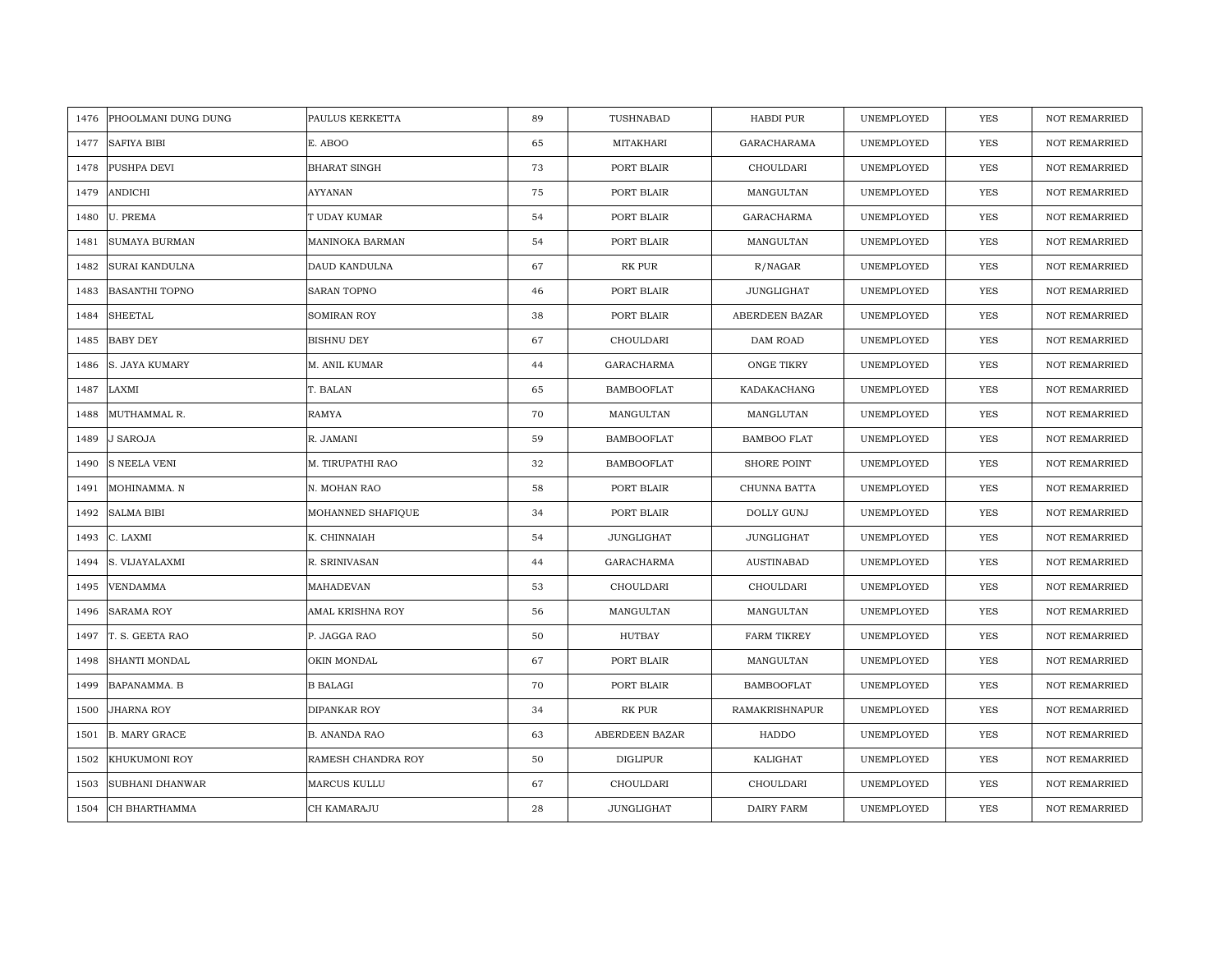| PHOOLMANI DUNG DUNG<br>1476   | PAULUS KERKETTA      | 89 | TUSHNABAD         | HABDI PUR             | UNEMPLOYED | <b>YES</b> | <b>NOT REMARRIED</b> |
|-------------------------------|----------------------|----|-------------------|-----------------------|------------|------------|----------------------|
| 1477<br>SAFIYA BIBI           | E. ABOO              | 65 | MITAKHARI         | <b>GARACHARAMA</b>    | UNEMPLOYED | <b>YES</b> | <b>NOT REMARRIED</b> |
| PUSHPA DEVI<br>1478           | <b>BHARAT SINGH</b>  | 73 | PORT BLAIR        | CHOULDARI             | UNEMPLOYED | YES        | <b>NOT REMARRIED</b> |
| 1479<br>ANDICHI               | <b>AYYANAN</b>       | 75 | PORT BLAIR        | MANGULTAN             | UNEMPLOYED | YES        | <b>NOT REMARRIED</b> |
| <b>U. PREMA</b><br>1480       | T UDAY KUMAR         | 54 | PORT BLAIR        | GARACHARMA            | UNEMPLOYED | YES        | <b>NOT REMARRIED</b> |
| SUMAYA BURMAN<br>1481         | MANINOKA BARMAN      | 54 | PORT BLAIR        | MANGULTAN             | UNEMPLOYED | YES        | <b>NOT REMARRIED</b> |
| SURAI KANDULNA<br>1482        | DAUD KANDULNA        | 67 | RK PUR            | R/NAGAR               | UNEMPLOYED | YES        | <b>NOT REMARRIED</b> |
| <b>BASANTHI TOPNO</b><br>1483 | SARAN TOPNO          | 46 | PORT BLAIR        | <b>JUNGLIGHAT</b>     | UNEMPLOYED | YES        | <b>NOT REMARRIED</b> |
| <b>SHEETAL</b><br>1484        | SOMIRAN ROY          | 38 | PORT BLAIR        | ABERDEEN BAZAR        | UNEMPLOYED | YES        | NOT REMARRIED        |
| <b>BABY DEY</b><br>1485       | BISHNU DEY           | 67 | CHOULDARI         | DAM ROAD              | UNEMPLOYED | <b>YES</b> | <b>NOT REMARRIED</b> |
| S. JAYA KUMARY<br>1486        | M. ANIL KUMAR        | 44 | <b>GARACHARMA</b> | ONGE TIKRY            | UNEMPLOYED | <b>YES</b> | <b>NOT REMARRIED</b> |
| LAXMI<br>1487                 | T. BALAN             | 65 | <b>BAMBOOFLAT</b> | KADAKACHANG           | UNEMPLOYED | <b>YES</b> | <b>NOT REMARRIED</b> |
| 1488<br>MUTHAMMAL R.          | RAMYA                | 70 | MANGULTAN         | MANGLUTAN             | UNEMPLOYED | YES        | NOT REMARRIED        |
| 1489<br>J SAROJA              | R. JAMANI            | 59 | <b>BAMBOOFLAT</b> | <b>BAMBOO FLAT</b>    | UNEMPLOYED | YES        | <b>NOT REMARRIED</b> |
| 1490<br><b>S NEELA VENI</b>   | M. TIRUPATHI RAO     | 32 | <b>BAMBOOFLAT</b> | SHORE POINT           | UNEMPLOYED | YES        | NOT REMARRIED        |
| 1491<br>MOHINAMMA. N          | N. MOHAN RAO         | 58 | PORT BLAIR        | CHUNNA BATTA          | UNEMPLOYED | <b>YES</b> | <b>NOT REMARRIED</b> |
| <b>SALMA BIBI</b><br>1492     | MOHANNED SHAFIQUE    | 34 | PORT BLAIR        | DOLLY GUNJ            | UNEMPLOYED | YES        | NOT REMARRIED        |
| 1493<br>C. LAXMI              | K. CHINNAIAH         | 54 | JUNGLIGHAT        | JUNGLIGHAT            | UNEMPLOYED | <b>YES</b> | <b>NOT REMARRIED</b> |
| S. VIJAYALAXMI<br>1494        | R. SRINIVASAN        | 44 | GARACHARMA        | <b>AUSTINABAD</b>     | UNEMPLOYED | YES        | <b>NOT REMARRIED</b> |
| 1495<br><b>VENDAMMA</b>       | MAHADEVAN            | 53 | CHOULDARI         | CHOULDARI             | UNEMPLOYED | <b>YES</b> | <b>NOT REMARRIED</b> |
| 1496<br><b>SARAMA ROY</b>     | AMAL KRISHNA ROY     | 56 | MANGULTAN         | MANGULTAN             | UNEMPLOYED | <b>YES</b> | <b>NOT REMARRIED</b> |
| T. S. GEETA RAO<br>1497       | P. JAGGA RAO         | 50 | HUTBAY            | <b>FARM TIKREY</b>    | UNEMPLOYED | <b>YES</b> | <b>NOT REMARRIED</b> |
| SHANTI MONDAL<br>1498         | OKIN MONDAL          | 67 | PORT BLAIR        | MANGULTAN             | UNEMPLOYED | <b>YES</b> | <b>NOT REMARRIED</b> |
| 1499<br>BAPANAMMA. B          | <b>B BALAGI</b>      | 70 | PORT BLAIR        | <b>BAMBOOFLAT</b>     | UNEMPLOYED | <b>YES</b> | <b>NOT REMARRIED</b> |
| JHARNA ROY<br>1500            | DIPANKAR ROY         | 34 | RK PUR            | <b>RAMAKRISHNAPUR</b> | UNEMPLOYED | YES        | <b>NOT REMARRIED</b> |
| 1501<br><b>B. MARY GRACE</b>  | <b>B. ANANDA RAO</b> | 63 | ABERDEEN BAZAR    | HADDO                 | UNEMPLOYED | YES        | NOT REMARRIED        |
| 1502<br>KHUKUMONI ROY         | RAMESH CHANDRA ROY   | 50 | DIGLIPUR          | KALIGHAT              | UNEMPLOYED | YES        | <b>NOT REMARRIED</b> |
| SUBHANI DHANWAR<br>1503       | <b>MARCUS KULLU</b>  | 67 | CHOULDARI         | CHOULDARI             | UNEMPLOYED | YES        | <b>NOT REMARRIED</b> |
| CH BHARTHAMMA<br>1504         | CH KAMARAJU          | 28 | JUNGLIGHAT        | DAIRY FARM            | UNEMPLOYED | YES        | NOT REMARRIED        |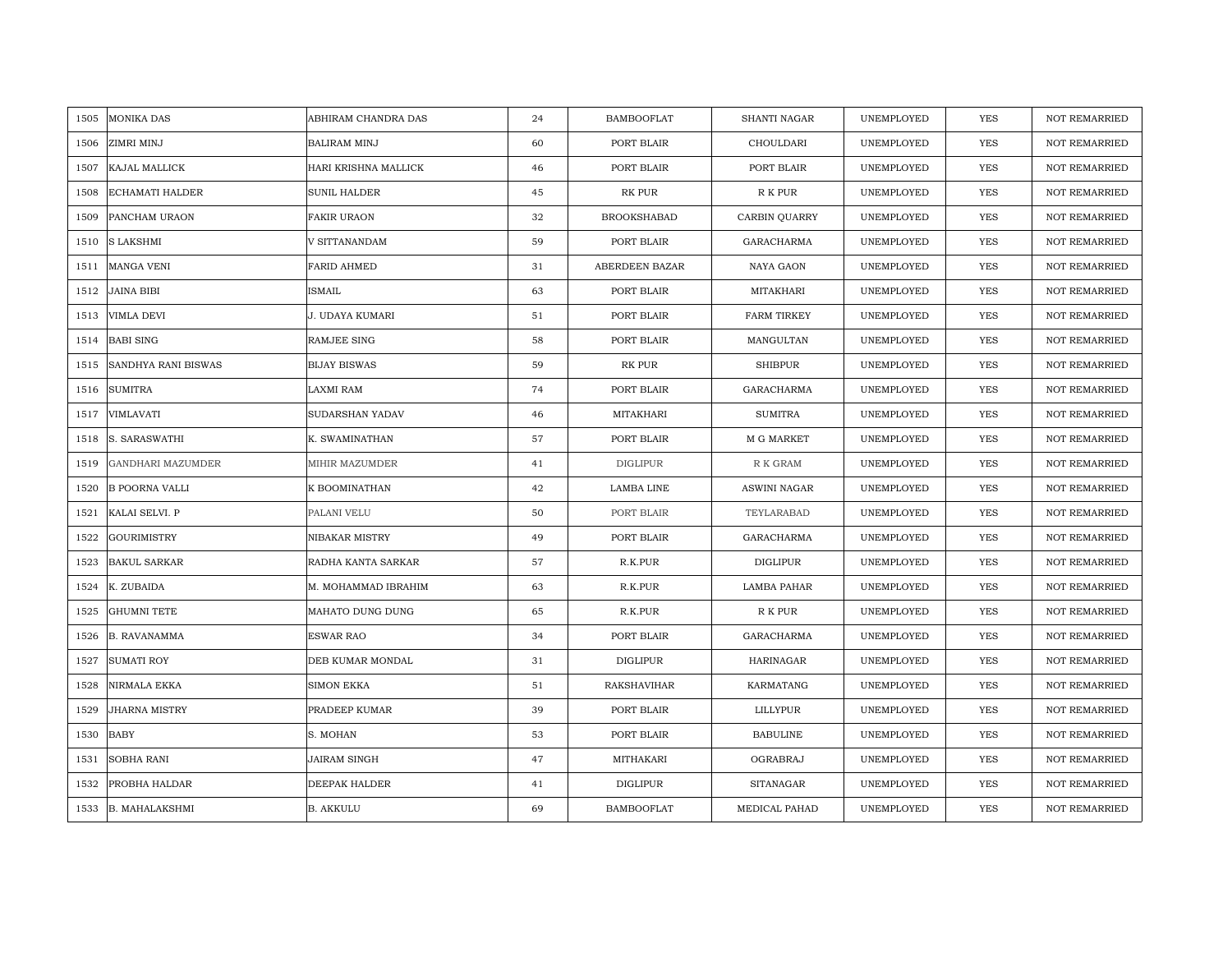| 1505 | <b>MONIKA DAS</b>        | ABHIRAM CHANDRA DAS  | 24 | <b>BAMBOOFLAT</b>  | SHANTI NAGAR        | UNEMPLOYED | <b>YES</b> | <b>NOT REMARRIED</b> |
|------|--------------------------|----------------------|----|--------------------|---------------------|------------|------------|----------------------|
| 1506 | ZIMRI MINJ               | <b>BALIRAM MINJ</b>  | 60 | PORT BLAIR         | CHOULDARI           | UNEMPLOYED | <b>YES</b> | NOT REMARRIED        |
| 1507 | KAJAL MALLICK            | HARI KRISHNA MALLICK | 46 | PORT BLAIR         | PORT BLAIR          | UNEMPLOYED | <b>YES</b> | <b>NOT REMARRIED</b> |
| 1508 | ECHAMATI HALDER          | SUNIL HALDER         | 45 | RK PUR             | ${\mathbb R}$ K PUR | UNEMPLOYED | YES        | <b>NOT REMARRIED</b> |
| 1509 | PANCHAM URAON            | FAKIR URAON          | 32 | <b>BROOKSHABAD</b> | CARBIN QUARRY       | UNEMPLOYED | YES        | <b>NOT REMARRIED</b> |
| 1510 | <b>S LAKSHMI</b>         | V SITTANANDAM        | 59 | PORT BLAIR         | GARACHARMA          | UNEMPLOYED | YES        | NOT REMARRIED        |
| 1511 | <b>MANGA VENI</b>        | FARID AHMED          | 31 | ABERDEEN BAZAR     | NAYA GAON           | UNEMPLOYED | <b>YES</b> | <b>NOT REMARRIED</b> |
| 1512 | <b>JAINA BIBI</b>        | <b>ISMAIL</b>        | 63 | PORT BLAIR         | MITAKHARI           | UNEMPLOYED | YES        | <b>NOT REMARRIED</b> |
| 1513 | VIMLA DEVI               | J. UDAYA KUMARI      | 51 | PORT BLAIR         | <b>FARM TIRKEY</b>  | UNEMPLOYED | YES        | NOT REMARRIED        |
| 1514 | <b>BABI SING</b>         | RAMJEE SING          | 58 | PORT BLAIR         | MANGULTAN           | UNEMPLOYED | YES        | NOT REMARRIED        |
| 1515 | SANDHYA RANI BISWAS      | <b>BIJAY BISWAS</b>  | 59 | RK PUR             | <b>SHIBPUR</b>      | UNEMPLOYED | YES        | <b>NOT REMARRIED</b> |
| 1516 | <b>SUMITRA</b>           | LAXMI RAM            | 74 | PORT BLAIR         | GARACHARMA          | UNEMPLOYED | YES        | <b>NOT REMARRIED</b> |
| 1517 | VIMLAVATI                | SUDARSHAN YADAV      | 46 | MITAKHARI          | <b>SUMITRA</b>      | UNEMPLOYED | YES        | NOT REMARRIED        |
| 1518 | S. SARASWATHI            | K. SWAMINATHAN       | 57 | PORT BLAIR         | M G MARKET          | UNEMPLOYED | <b>YES</b> | <b>NOT REMARRIED</b> |
| 1519 | <b>GANDHARI MAZUMDER</b> | MIHIR MAZUMDER       | 41 | <b>DIGLIPUR</b>    | R K GRAM            | UNEMPLOYED | YES        | <b>NOT REMARRIED</b> |
| 1520 | <b>B POORNA VALLI</b>    | K BOOMINATHAN        | 42 | LAMBA LINE         | <b>ASWINI NAGAR</b> | UNEMPLOYED | <b>YES</b> | NOT REMARRIED        |
| 1521 | KALAI SELVI. P           | PALANI VELU          | 50 | PORT BLAIR         | TEYLARABAD          | UNEMPLOYED | YES        | <b>NOT REMARRIED</b> |
| 1522 | <b>GOURIMISTRY</b>       | NIBAKAR MISTRY       | 49 | PORT BLAIR         | <b>GARACHARMA</b>   | UNEMPLOYED | <b>YES</b> | <b>NOT REMARRIED</b> |
| 1523 | <b>BAKUL SARKAR</b>      | RADHA KANTA SARKAR   | 57 | R.K.PUR            | <b>DIGLIPUR</b>     | UNEMPLOYED | <b>YES</b> | <b>NOT REMARRIED</b> |
| 1524 | K. ZUBAIDA               | M. MOHAMMAD IBRAHIM  | 63 | R.K.PUR            | LAMBA PAHAR         | UNEMPLOYED | <b>YES</b> | NOT REMARRIED        |
| 1525 | <b>GHUMNI TETE</b>       | MAHATO DUNG DUNG     | 65 | R.K.PUR            | R K PUR             | UNEMPLOYED | <b>YES</b> | <b>NOT REMARRIED</b> |
| 1526 | <b>B. RAVANAMMA</b>      | ESWAR RAO            | 34 | PORT BLAIR         | GARACHARMA          | UNEMPLOYED | YES        | NOT REMARRIED        |
| 1527 | <b>SUMATI ROY</b>        | DEB KUMAR MONDAL     | 31 | <b>DIGLIPUR</b>    | <b>HARINAGAR</b>    | UNEMPLOYED | <b>YES</b> | NOT REMARRIED        |
| 1528 | NIRMALA EKKA             | <b>SIMON EKKA</b>    | 51 | <b>RAKSHAVIHAR</b> | KARMATANG           | UNEMPLOYED | <b>YES</b> | NOT REMARRIED        |
| 1529 | JHARNA MISTRY            | PRADEEP KUMAR        | 39 | PORT BLAIR         | LILLYPUR            | UNEMPLOYED | <b>YES</b> | <b>NOT REMARRIED</b> |
| 1530 | <b>BABY</b>              | S. MOHAN             | 53 | PORT BLAIR         | <b>BABULINE</b>     | UNEMPLOYED | YES        | NOT REMARRIED        |
| 1531 | <b>SOBHA RANI</b>        | <b>JAIRAM SINGH</b>  | 47 | MITHAKARI          | OGRABRAJ            | UNEMPLOYED | YES        | <b>NOT REMARRIED</b> |
| 1532 | PROBHA HALDAR            | DEEPAK HALDER        | 41 | <b>DIGLIPUR</b>    | <b>SITANAGAR</b>    | UNEMPLOYED | YES        | <b>NOT REMARRIED</b> |
|      | 1533 B. MAHALAKSHMI      | <b>B. AKKULU</b>     | 69 | <b>BAMBOOFLAT</b>  | MEDICAL PAHAD       | UNEMPLOYED | YES        | NOT REMARRIED        |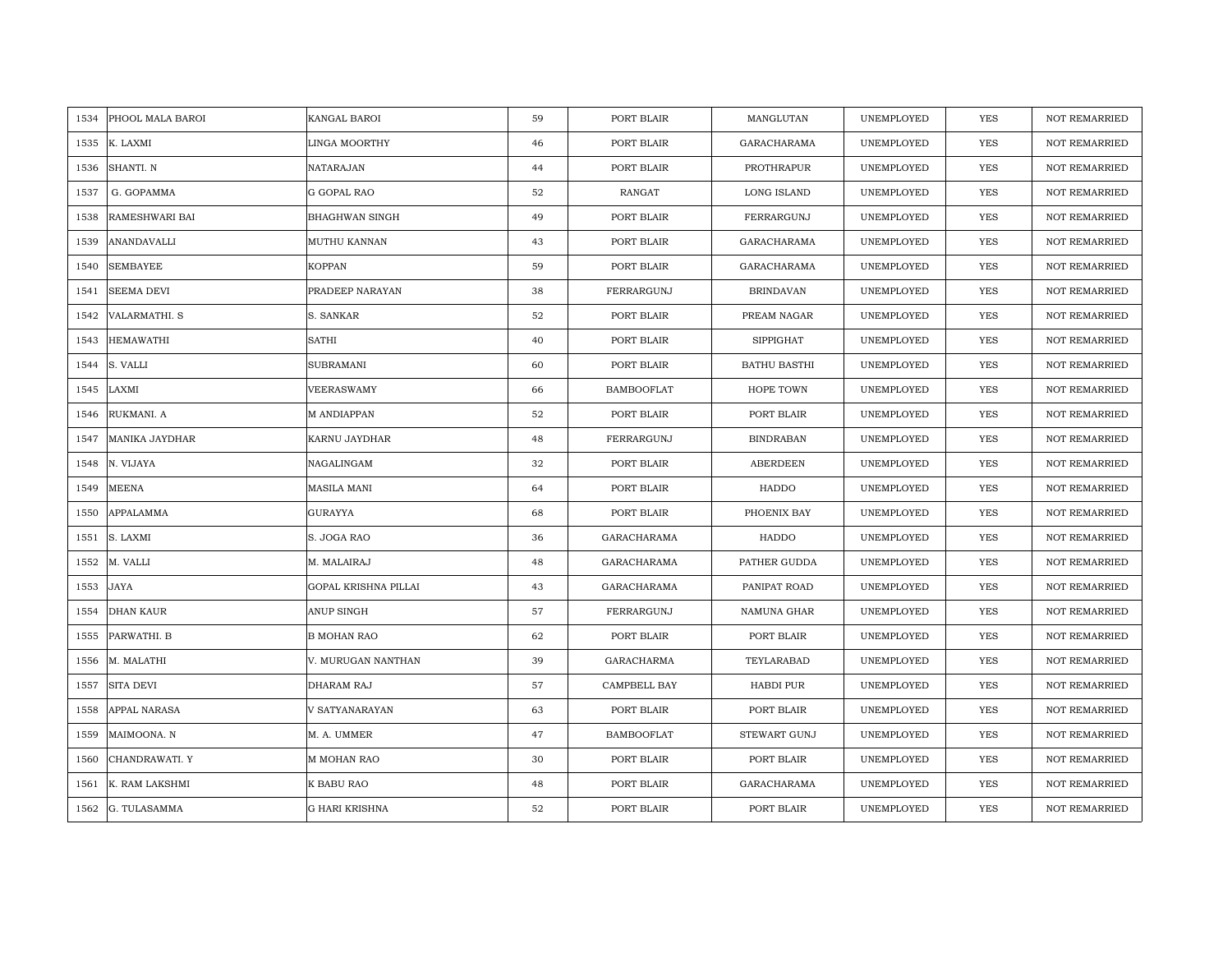| PHOOL MALA BAROI<br>1534      | KANGAL BAROI          | 59 | PORT BLAIR        | MANGLUTAN           | UNEMPLOYED | <b>YES</b> | <b>NOT REMARRIED</b> |
|-------------------------------|-----------------------|----|-------------------|---------------------|------------|------------|----------------------|
| 1535<br>K. LAXMI              | LINGA MOORTHY         | 46 | PORT BLAIR        | GARACHARAMA         | UNEMPLOYED | <b>YES</b> | NOT REMARRIED        |
| SHANTI. N<br>1536             | <b>NATARAJAN</b>      | 44 | PORT BLAIR        | PROTHRAPUR          | UNEMPLOYED | YES        | <b>NOT REMARRIED</b> |
| G. GOPAMMA<br>1537            | G GOPAL RAO           | 52 | RANGAT            | LONG ISLAND         | UNEMPLOYED | <b>YES</b> | <b>NOT REMARRIED</b> |
| RAMESHWARI BAI<br>1538        | BHAGHWAN SINGH        | 49 | PORT BLAIR        | FERRARGUNJ          | UNEMPLOYED | YES        | <b>NOT REMARRIED</b> |
| 1539<br>ANANDAVALLI           | MUTHU KANNAN          | 43 | PORT BLAIR        | GARACHARAMA         | UNEMPLOYED | YES        | NOT REMARRIED        |
| <b>SEMBAYEE</b><br>1540       | <b>KOPPAN</b>         | 59 | PORT BLAIR        | GARACHARAMA         | UNEMPLOYED | <b>YES</b> | <b>NOT REMARRIED</b> |
| 1541<br>SEEMA DEVI            | PRADEEP NARAYAN       | 38 | FERRARGUNJ        | <b>BRINDAVAN</b>    | UNEMPLOYED | YES        | NOT REMARRIED        |
| 1542<br>VALARMATHI. S         | S. SANKAR             | 52 | PORT BLAIR        | PREAM NAGAR         | UNEMPLOYED | YES        | NOT REMARRIED        |
| <b>HEMAWATHI</b><br>1543      | <b>SATHI</b>          | 40 | PORT BLAIR        | <b>SIPPIGHAT</b>    | UNEMPLOYED | YES        | NOT REMARRIED        |
| 1544<br>S. VALLI              | SUBRAMANI             | 60 | PORT BLAIR        | <b>BATHU BASTHI</b> | UNEMPLOYED | YES        | <b>NOT REMARRIED</b> |
| LAXMI<br>1545                 | VEERASWAMY            | 66 | <b>BAMBOOFLAT</b> | HOPE TOWN           | UNEMPLOYED | YES        | <b>NOT REMARRIED</b> |
| RUKMANI. A<br>1546            | M ANDIAPPAN           | 52 | PORT BLAIR        | PORT BLAIR          | UNEMPLOYED | YES        | NOT REMARRIED        |
| <b>MANIKA JAYDHAR</b><br>1547 | KARNU JAYDHAR         | 48 | FERRARGUNJ        | <b>BINDRABAN</b>    | UNEMPLOYED | <b>YES</b> | <b>NOT REMARRIED</b> |
| N. VIJAYA<br>1548             | NAGALINGAM            | 32 | PORT BLAIR        | ABERDEEN            | UNEMPLOYED | <b>YES</b> | <b>NOT REMARRIED</b> |
| MEENA<br>1549                 | <b>MASILA MANI</b>    | 64 | PORT BLAIR        | HADDO               | UNEMPLOYED | <b>YES</b> | NOT REMARRIED        |
| APPALAMMA<br>1550             | <b>GURAYYA</b>        | 68 | PORT BLAIR        | PHOENIX BAY         | UNEMPLOYED | YES        | <b>NOT REMARRIED</b> |
| 1551<br>S. LAXMI              | S. JOGA RAO           | 36 | GARACHARAMA       | HADDO               | UNEMPLOYED | <b>YES</b> | <b>NOT REMARRIED</b> |
| M. VALLI<br>1552              | M. MALAIRAJ           | 48 | GARACHARAMA       | PATHER GUDDA        | UNEMPLOYED | <b>YES</b> | <b>NOT REMARRIED</b> |
| JAYA<br>1553                  | GOPAL KRISHNA PILLAI  | 43 | GARACHARAMA       | PANIPAT ROAD        | UNEMPLOYED | YES        | NOT REMARRIED        |
| DHAN KAUR<br>1554             | ANUP SINGH            | 57 | FERRARGUNJ        | NAMUNA GHAR         | UNEMPLOYED | YES        | <b>NOT REMARRIED</b> |
| 1555<br>PARWATHI. B           | <b>B MOHAN RAO</b>    | 62 | PORT BLAIR        | PORT BLAIR          | UNEMPLOYED | YES        | NOT REMARRIED        |
| M. MALATHI<br>1556            | V. MURUGAN NANTHAN    | 39 | GARACHARMA        | TEYLARABAD          | UNEMPLOYED | <b>YES</b> | NOT REMARRIED        |
| <b>SITA DEVI</b><br>1557      | DHARAM RAJ            | 57 | CAMPBELL BAY      | HABDI PUR           | UNEMPLOYED | <b>YES</b> | NOT REMARRIED        |
| APPAL NARASA<br>1558          | V SATYANARAYAN        | 63 | PORT BLAIR        | PORT BLAIR          | UNEMPLOYED | <b>YES</b> | <b>NOT REMARRIED</b> |
| 1559<br>MAIMOONA. N           | M. A. UMMER           | 47 | <b>BAMBOOFLAT</b> | STEWART GUNJ        | UNEMPLOYED | YES        | NOT REMARRIED        |
| 1560<br>CHANDRAWATI. Y        | <b>M MOHAN RAO</b>    | 30 | PORT BLAIR        | PORT BLAIR          | UNEMPLOYED | <b>YES</b> | <b>NOT REMARRIED</b> |
| K. RAM LAKSHMI<br>1561        | K BABU RAO            | 48 | PORT BLAIR        | GARACHARAMA         | UNEMPLOYED | YES        | <b>NOT REMARRIED</b> |
| G. TULASAMMA<br>1562          | <b>G HARI KRISHNA</b> | 52 | PORT BLAIR        | PORT BLAIR          | UNEMPLOYED | YES        | NOT REMARRIED        |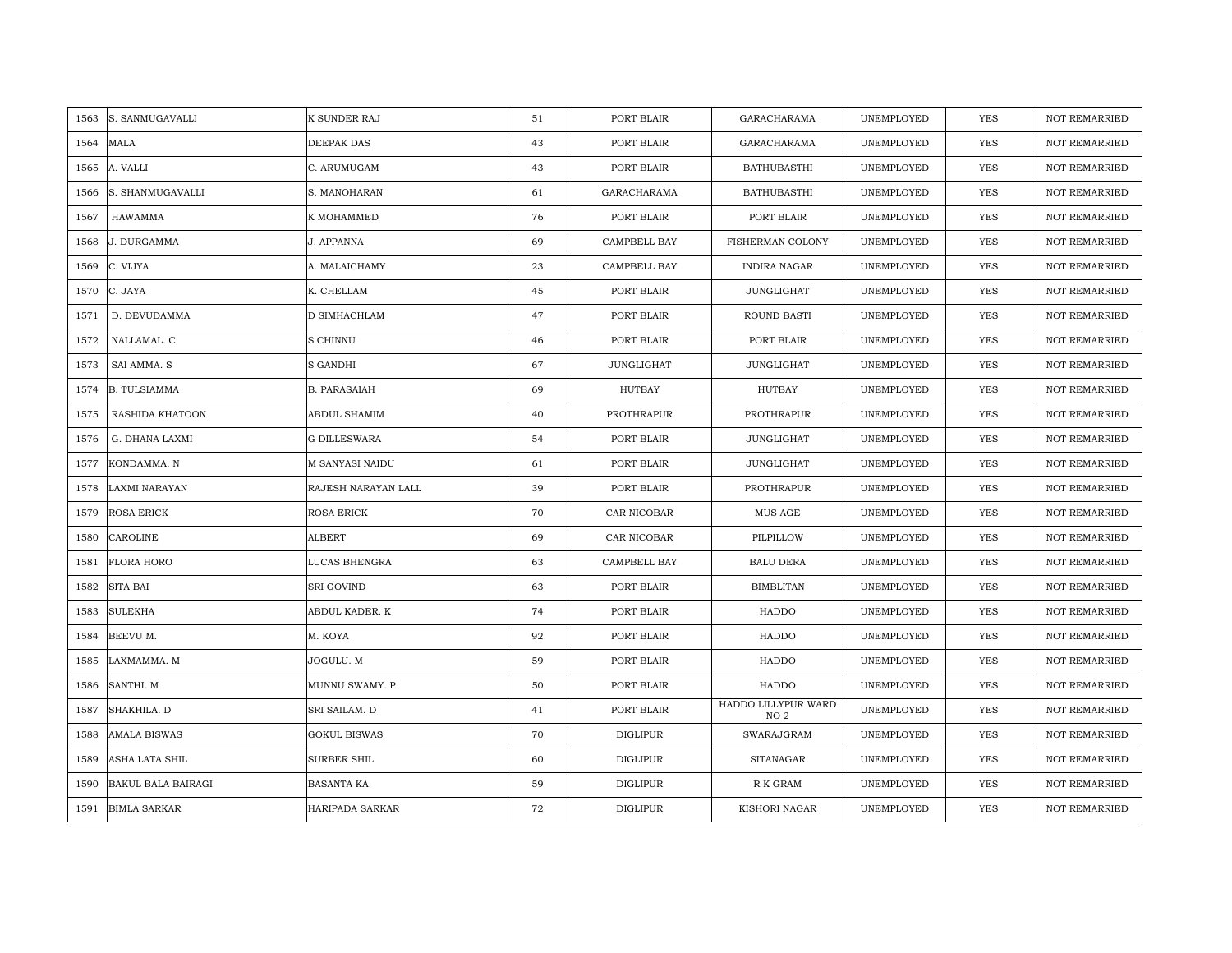| S. SANMUGAVALLI<br>1563           | K SUNDER RAJ        | 51 | PORT BLAIR      | <b>GARACHARAMA</b>                     | UNEMPLOYED | <b>YES</b> | <b>NOT REMARRIED</b> |
|-----------------------------------|---------------------|----|-----------------|----------------------------------------|------------|------------|----------------------|
| <b>MALA</b><br>1564               | DEEPAK DAS          | 43 | PORT BLAIR      | GARACHARAMA                            | UNEMPLOYED | <b>YES</b> | NOT REMARRIED        |
| 1565<br>A. VALLI                  | C. ARUMUGAM         | 43 | PORT BLAIR      | <b>BATHUBASTHI</b>                     | UNEMPLOYED | YES        | <b>NOT REMARRIED</b> |
| S. SHANMUGAVALLI<br>1566          | S. MANOHARAN        | 61 | GARACHARAMA     | <b>BATHUBASTHI</b>                     | UNEMPLOYED | <b>YES</b> | NOT REMARRIED        |
| <b>HAWAMMA</b><br>1567            | K MOHAMMED          | 76 | PORT BLAIR      | PORT BLAIR                             | UNEMPLOYED | <b>YES</b> | <b>NOT REMARRIED</b> |
| 1568<br>J. DURGAMMA               | J. APPANNA          | 69 | CAMPBELL BAY    | FISHERMAN COLONY                       | UNEMPLOYED | YES        | <b>NOT REMARRIED</b> |
| C. VIJYA<br>1569                  | A. MALAICHAMY       | 23 | CAMPBELL BAY    | <b>INDIRA NAGAR</b>                    | UNEMPLOYED | <b>YES</b> | <b>NOT REMARRIED</b> |
| 1570<br>C. JAYA                   | K. CHELLAM          | 45 | PORT BLAIR      | <b>JUNGLIGHAT</b>                      | UNEMPLOYED | YES        | NOT REMARRIED        |
| D. DEVUDAMMA<br>1571              | D SIMHACHLAM        | 47 | PORT BLAIR      | ROUND BASTI                            | UNEMPLOYED | YES        | NOT REMARRIED        |
| NALLAMAL. C<br>1572               | S CHINNU            | 46 | PORT BLAIR      | PORT BLAIR                             | UNEMPLOYED | YES        | <b>NOT REMARRIED</b> |
| SAI AMMA. S<br>1573               | S GANDHI            | 67 | JUNGLIGHAT      | <b>JUNGLIGHAT</b>                      | UNEMPLOYED | <b>YES</b> | <b>NOT REMARRIED</b> |
| <b>B. TULSIAMMA</b><br>1574       | <b>B. PARASAIAH</b> | 69 | <b>HUTBAY</b>   | HUTBAY                                 | UNEMPLOYED | YES        | <b>NOT REMARRIED</b> |
| 1575<br>RASHIDA KHATOON           | ABDUL SHAMIM        | 40 | PROTHRAPUR      | PROTHRAPUR                             | UNEMPLOYED | YES        | NOT REMARRIED        |
| 1576<br>G. DHANA LAXMI            | <b>G DILLESWARA</b> | 54 | PORT BLAIR      | JUNGLIGHAT                             | UNEMPLOYED | <b>YES</b> | <b>NOT REMARRIED</b> |
| 1577<br>KONDAMMA. N               | M SANYASI NAIDU     | 61 | PORT BLAIR      | <b>JUNGLIGHAT</b>                      | UNEMPLOYED | YES        | NOT REMARRIED        |
| LAXMI NARAYAN<br>1578             | RAJESH NARAYAN LALL | 39 | PORT BLAIR      | PROTHRAPUR                             | UNEMPLOYED | YES        | NOT REMARRIED        |
| <b>ROSA ERICK</b><br>1579         | ROSA ERICK          | 70 | CAR NICOBAR     | MUS AGE                                | UNEMPLOYED | YES        | <b>NOT REMARRIED</b> |
| 1580<br>CAROLINE                  | <b>ALBERT</b>       | 69 | CAR NICOBAR     | PILPILLOW                              | UNEMPLOYED | <b>YES</b> | <b>NOT REMARRIED</b> |
| FLORA HORO<br>1581                | LUCAS BHENGRA       | 63 | CAMPBELL BAY    | <b>BALU DERA</b>                       | UNEMPLOYED | <b>YES</b> | NOT REMARRIED        |
| SITA BAI<br>1582                  | SRI GOVIND          | 63 | PORT BLAIR      | <b>BIMBLITAN</b>                       | UNEMPLOYED | YES        | <b>NOT REMARRIED</b> |
| <b>SULEKHA</b><br>1583            | ABDUL KADER. K      | 74 | PORT BLAIR      | HADDO                                  | UNEMPLOYED | YES        | <b>NOT REMARRIED</b> |
| BEEVU M.<br>1584                  | M. KOYA             | 92 | PORT BLAIR      | HADDO                                  | UNEMPLOYED | YES        | NOT REMARRIED        |
| 1585<br>LAXMAMMA. M               | JOGULU. M           | 59 | PORT BLAIR      | HADDO                                  | UNEMPLOYED | YES        | <b>NOT REMARRIED</b> |
| 1586<br>SANTHI. M                 | MUNNU SWAMY. P      | 50 | PORT BLAIR      | HADDO                                  | UNEMPLOYED | YES        | <b>NOT REMARRIED</b> |
| 1587<br>SHAKHILA. D               | SRI SAILAM. D       | 41 | PORT BLAIR      | HADDO LILLYPUR WARD<br>NO <sub>2</sub> | UNEMPLOYED | YES        | <b>NOT REMARRIED</b> |
| AMALA BISWAS<br>1588              | <b>GOKUL BISWAS</b> | 70 | DIGLIPUR        | SWARAJGRAM                             | UNEMPLOYED | YES        | NOT REMARRIED        |
| 1589<br>ASHA LATA SHIL            | SURBER SHIL         | 60 | DIGLIPUR        | <b>SITANAGAR</b>                       | UNEMPLOYED | <b>YES</b> | <b>NOT REMARRIED</b> |
| <b>BAKUL BALA BAIRAGI</b><br>1590 | BASANTA KA          | 59 | DIGLIPUR        | R K GRAM                               | UNEMPLOYED | <b>YES</b> | <b>NOT REMARRIED</b> |
| 1591<br><b>BIMLA SARKAR</b>       | HARIPADA SARKAR     | 72 | <b>DIGLIPUR</b> | KISHORI NAGAR                          | UNEMPLOYED | <b>YES</b> | <b>NOT REMARRIED</b> |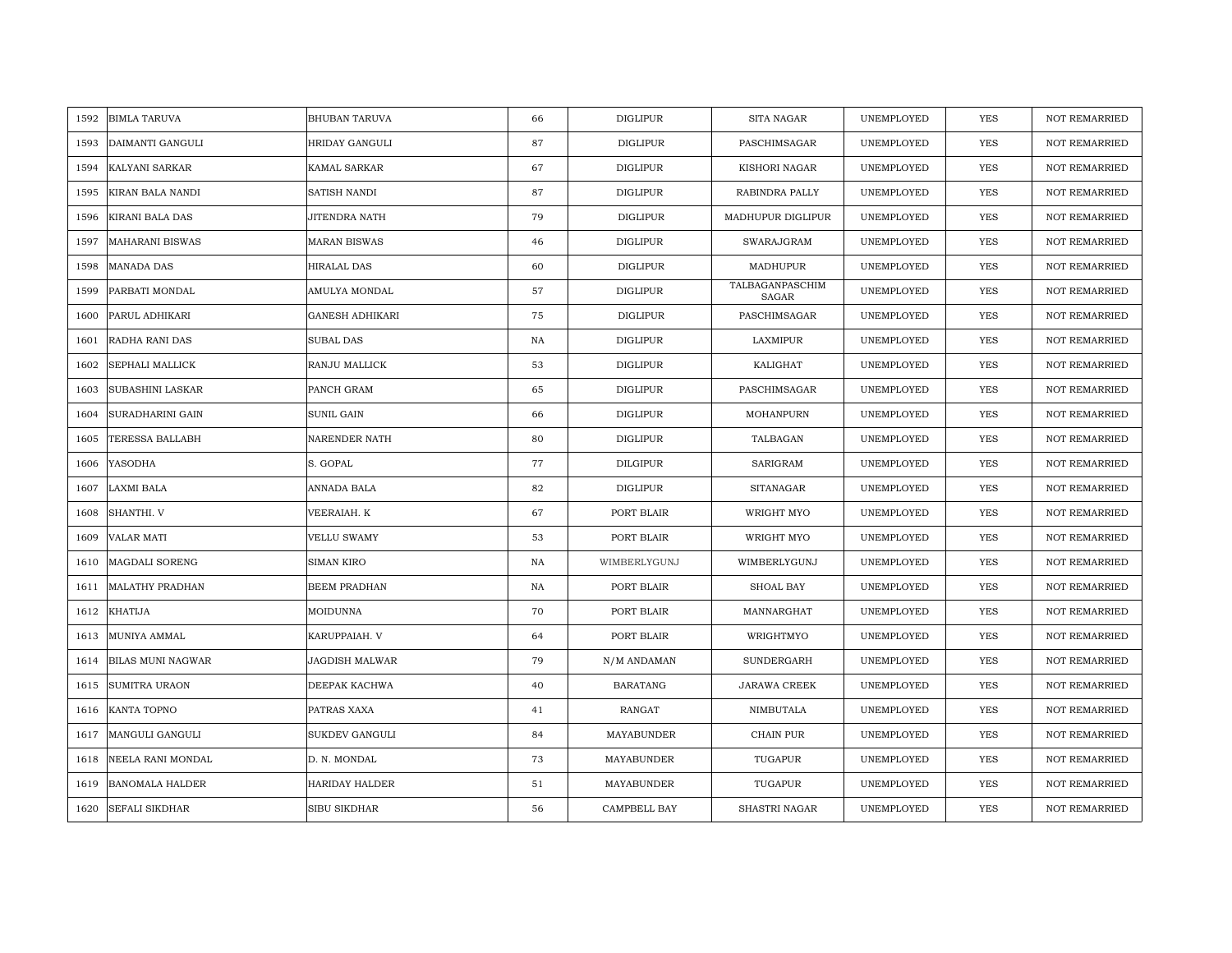| 1592 | <b>BIMLA TARUVA</b>      | <b>BHUBAN TARUVA</b>   | 66 | <b>DIGLIPUR</b> | <b>SITA NAGAR</b>        | UNEMPLOYED | <b>YES</b> | <b>NOT REMARRIED</b> |
|------|--------------------------|------------------------|----|-----------------|--------------------------|------------|------------|----------------------|
| 1593 | DAIMANTI GANGULI         | <b>HRIDAY GANGULI</b>  | 87 | <b>DIGLIPUR</b> | PASCHIMSAGAR             | UNEMPLOYED | <b>YES</b> | <b>NOT REMARRIED</b> |
| 1594 | <b>KALYANI SARKAR</b>    | KAMAL SARKAR           | 67 | <b>DIGLIPUR</b> | KISHORI NAGAR            | UNEMPLOYED | YES        | <b>NOT REMARRIED</b> |
| 1595 | KIRAN BALA NANDI         | SATISH NANDI           | 87 | <b>DIGLIPUR</b> | RABINDRA PALLY           | UNEMPLOYED | YES        | <b>NOT REMARRIED</b> |
| 1596 | KIRANI BALA DAS          | JITENDRA NATH          | 79 | DIGLIPUR        | MADHUPUR DIGLIPUR        | UNEMPLOYED | YES        | <b>NOT REMARRIED</b> |
| 1597 | <b>MAHARANI BISWAS</b>   | <b>MARAN BISWAS</b>    | 46 | <b>DIGLIPUR</b> | SWARAJGRAM               | UNEMPLOYED | YES        | NOT REMARRIED        |
| 1598 | <b>MANADA DAS</b>        | HIRALAL DAS            | 60 | DIGLIPUR        | MADHUPUR                 | UNEMPLOYED | YES        | <b>NOT REMARRIED</b> |
| 1599 | PARBATI MONDAL           | AMULYA MONDAL          | 57 | <b>DIGLIPUR</b> | TALBAGANPASCHIM<br>SAGAR | UNEMPLOYED | YES        | <b>NOT REMARRIED</b> |
| 1600 | PARUL ADHIKARI           | <b>GANESH ADHIKARI</b> | 75 | DIGLIPUR        | PASCHIMSAGAR             | UNEMPLOYED | <b>YES</b> | NOT REMARRIED        |
| 1601 | RADHA RANI DAS           | <b>SUBAL DAS</b>       | NA | <b>DIGLIPUR</b> | LAXMIPUR                 | UNEMPLOYED | YES        | <b>NOT REMARRIED</b> |
| 1602 | SEPHALI MALLICK          | RANJU MALLICK          | 53 | <b>DIGLIPUR</b> | KALIGHAT                 | UNEMPLOYED | YES        | <b>NOT REMARRIED</b> |
| 1603 | <b>SUBASHINI LASKAR</b>  | PANCH GRAM             | 65 | <b>DIGLIPUR</b> | PASCHIMSAGAR             | UNEMPLOYED | YES        | <b>NOT REMARRIED</b> |
| 1604 | SURADHARINI GAIN         | <b>SUNIL GAIN</b>      | 66 | <b>DIGLIPUR</b> | MOHANPURN                | UNEMPLOYED | YES        | NOT REMARRIED        |
| 1605 | <b>TERESSA BALLABH</b>   | NARENDER NATH          | 80 | <b>DIGLIPUR</b> | TALBAGAN                 | UNEMPLOYED | <b>YES</b> | <b>NOT REMARRIED</b> |
| 1606 | YASODHA                  | S. GOPAL               | 77 | <b>DILGIPUR</b> | SARIGRAM                 | UNEMPLOYED | YES        | NOT REMARRIED        |
| 1607 | LAXMI BALA               | ANNADA BALA            | 82 | <b>DIGLIPUR</b> | <b>SITANAGAR</b>         | UNEMPLOYED | YES        | NOT REMARRIED        |
| 1608 | SHANTHI. V               | VEERAIAH. K            | 67 | PORT BLAIR      | WRIGHT MYO               | UNEMPLOYED | YES        | <b>NOT REMARRIED</b> |
| 1609 | <b>VALAR MATI</b>        | <b>VELLU SWAMY</b>     | 53 | PORT BLAIR      | WRIGHT MYO               | UNEMPLOYED | YES        | <b>NOT REMARRIED</b> |
| 1610 | <b>MAGDALI SORENG</b>    | <b>SIMAN KIRO</b>      | NA | WIMBERLYGUNJ    | WIMBERLYGUNJ             | UNEMPLOYED | YES        | <b>NOT REMARRIED</b> |
| 1611 | <b>MALATHY PRADHAN</b>   | BEEM PRADHAN           | NA | PORT BLAIR      | SHOAL BAY                | UNEMPLOYED | YES        | <b>NOT REMARRIED</b> |
| 1612 | <b>KHATIJA</b>           | MOIDUNNA               | 70 | PORT BLAIR      | MANNARGHAT               | UNEMPLOYED | YES        | <b>NOT REMARRIED</b> |
| 1613 | MUNIYA AMMAL             | KARUPPAIAH. V          | 64 | PORT BLAIR      | WRIGHTMYO                | UNEMPLOYED | YES        | <b>NOT REMARRIED</b> |
| 1614 | <b>BILAS MUNI NAGWAR</b> | JAGDISH MALWAR         | 79 | N/M ANDAMAN     | SUNDERGARH               | UNEMPLOYED | <b>YES</b> | <b>NOT REMARRIED</b> |
| 1615 | <b>SUMITRA URAON</b>     | DEEPAK KACHWA          | 40 | <b>BARATANG</b> | JARAWA CREEK             | UNEMPLOYED | <b>YES</b> | <b>NOT REMARRIED</b> |
| 1616 | KANTA TOPNO              | PATRAS XAXA            | 41 | <b>RANGAT</b>   | NIMBUTALA                | UNEMPLOYED | YES        | <b>NOT REMARRIED</b> |
| 1617 | MANGULI GANGULI          | SUKDEV GANGULI         | 84 | MAYABUNDER      | CHAIN PUR                | UNEMPLOYED | YES        | NOT REMARRIED        |
| 1618 | NEELA RANI MONDAL        | D. N. MONDAL           | 73 | MAYABUNDER      | TUGAPUR                  | UNEMPLOYED | YES        | <b>NOT REMARRIED</b> |
| 1619 | <b>BANOMALA HALDER</b>   | HARIDAY HALDER         | 51 | MAYABUNDER      | TUGAPUR                  | UNEMPLOYED | YES        | <b>NOT REMARRIED</b> |
| 1620 | <b>SEFALI SIKDHAR</b>    | SIBU SIKDHAR           | 56 | CAMPBELL BAY    | SHASTRI NAGAR            | UNEMPLOYED | YES        | NOT REMARRIED        |
|      |                          |                        |    |                 |                          |            |            |                      |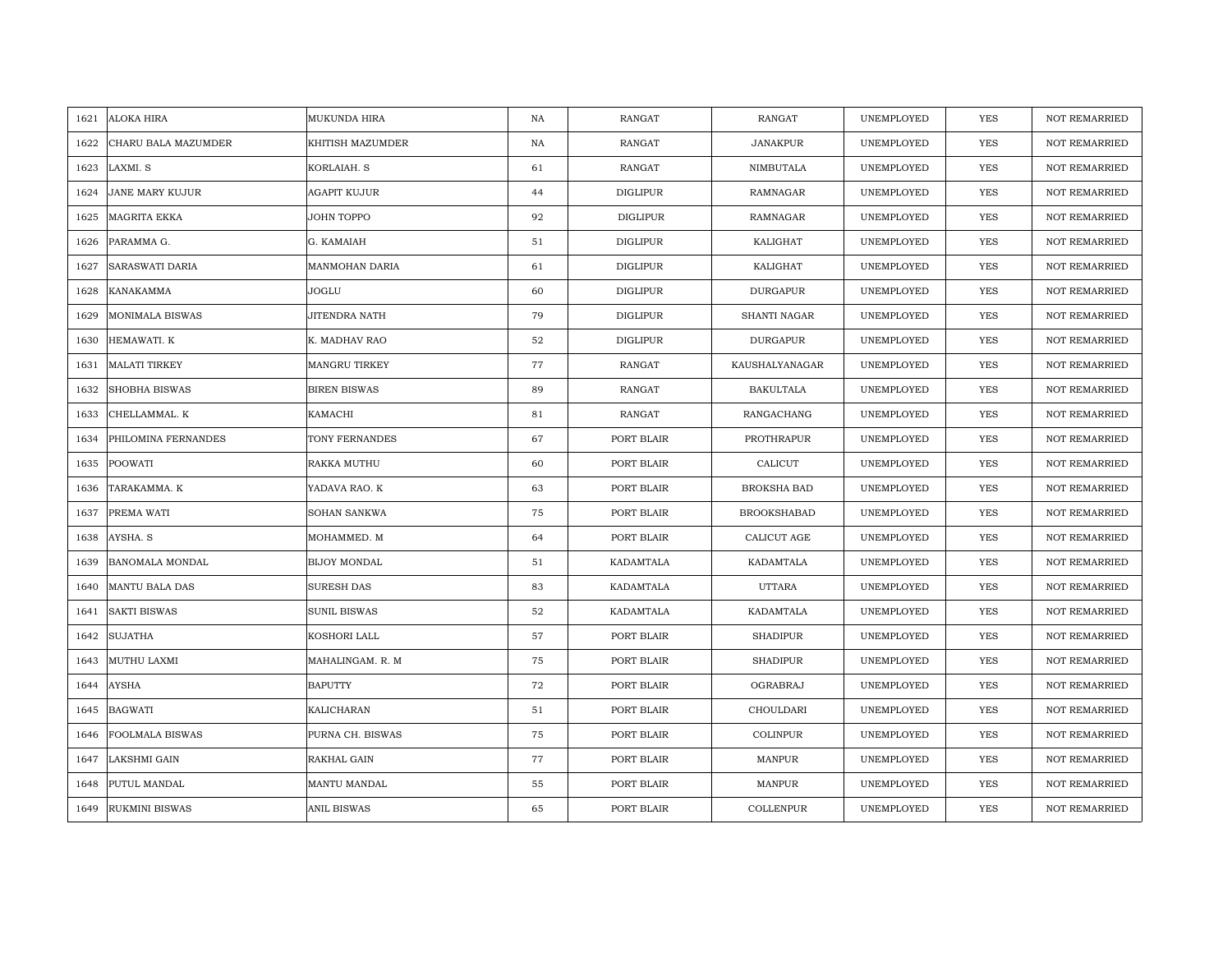| 1621 | ALOKA HIRA             | MUKUNDA HIRA        | NA | <b>RANGAT</b>   | RANGAT             | UNEMPLOYED | <b>YES</b> | <b>NOT REMARRIED</b> |
|------|------------------------|---------------------|----|-----------------|--------------------|------------|------------|----------------------|
| 1622 | CHARU BALA MAZUMDER    | KHITISH MAZUMDER    | NA | <b>RANGAT</b>   | <b>JANAKPUR</b>    | UNEMPLOYED | <b>YES</b> | <b>NOT REMARRIED</b> |
| 1623 | LAXMI. S               | KORLAIAH. S         | 61 | RANGAT          | NIMBUTALA          | UNEMPLOYED | YES        | <b>NOT REMARRIED</b> |
| 1624 | JANE MARY KUJUR        | AGAPIT KUJUR        | 44 | <b>DIGLIPUR</b> | RAMNAGAR           | UNEMPLOYED | YES        | <b>NOT REMARRIED</b> |
| 1625 | MAGRITA EKKA           | JOHN TOPPO          | 92 | DIGLIPUR        | RAMNAGAR           | UNEMPLOYED | YES        | <b>NOT REMARRIED</b> |
| 1626 | PARAMMA G.             | G. KAMAIAH          | 51 | <b>DIGLIPUR</b> | KALIGHAT           | UNEMPLOYED | <b>YES</b> | NOT REMARRIED        |
| 1627 | <b>SARASWATI DARIA</b> | MANMOHAN DARIA      | 61 | <b>DIGLIPUR</b> | KALIGHAT           | UNEMPLOYED | YES        | <b>NOT REMARRIED</b> |
| 1628 | KANAKAMMA              | JOGLU               | 60 | <b>DIGLIPUR</b> | <b>DURGAPUR</b>    | UNEMPLOYED | YES        | <b>NOT REMARRIED</b> |
| 1629 | <b>MONIMALA BISWAS</b> | JITENDRA NATH       | 79 | <b>DIGLIPUR</b> | SHANTI NAGAR       | UNEMPLOYED | <b>YES</b> | NOT REMARRIED        |
| 1630 | HEMAWATI. K            | K. MADHAV RAO       | 52 | <b>DIGLIPUR</b> | <b>DURGAPUR</b>    | UNEMPLOYED | YES        | <b>NOT REMARRIED</b> |
| 1631 | <b>MALATI TIRKEY</b>   | MANGRU TIRKEY       | 77 | <b>RANGAT</b>   | KAUSHALYANAGAR     | UNEMPLOYED | <b>YES</b> | <b>NOT REMARRIED</b> |
| 1632 | <b>SHOBHA BISWAS</b>   | <b>BIREN BISWAS</b> | 89 | RANGAT          | <b>BAKULTALA</b>   | UNEMPLOYED | YES        | <b>NOT REMARRIED</b> |
| 1633 | CHELLAMMAL. K          | KAMACHI             | 81 | RANGAT          | RANGACHANG         | UNEMPLOYED | <b>YES</b> | NOT REMARRIED        |
| 1634 | PHILOMINA FERNANDES    | TONY FERNANDES      | 67 | PORT BLAIR      | PROTHRAPUR         | UNEMPLOYED | <b>YES</b> | <b>NOT REMARRIED</b> |
| 1635 | POOWATI                | RAKKA MUTHU         | 60 | PORT BLAIR      | CALICUT            | UNEMPLOYED | YES        | NOT REMARRIED        |
| 1636 | TARAKAMMA. K           | YADAVA RAO. K       | 63 | PORT BLAIR      | <b>BROKSHA BAD</b> | UNEMPLOYED | <b>YES</b> | NOT REMARRIED        |
| 1637 | PREMA WATI             | <b>SOHAN SANKWA</b> | 75 | PORT BLAIR      | <b>BROOKSHABAD</b> | UNEMPLOYED | YES        | <b>NOT REMARRIED</b> |
| 1638 | AYSHA. S               | MOHAMMED. M         | 64 | PORT BLAIR      | CALICUT AGE        | UNEMPLOYED | YES        | <b>NOT REMARRIED</b> |
| 1639 | <b>BANOMALA MONDAL</b> | <b>BIJOY MONDAL</b> | 51 | KADAMTALA       | KADAMTALA          | UNEMPLOYED | YES        | NOT REMARRIED        |
| 1640 | <b>MANTU BALA DAS</b>  | <b>SURESH DAS</b>   | 83 | KADAMTALA       | <b>UTTARA</b>      | UNEMPLOYED | YES        | <b>NOT REMARRIED</b> |
| 1641 | <b>SAKTI BISWAS</b>    | <b>SUNIL BISWAS</b> | 52 | KADAMTALA       | KADAMTALA          | UNEMPLOYED | YES        | <b>NOT REMARRIED</b> |
| 1642 | SUJATHA                | KOSHORI LALL        | 57 | PORT BLAIR      | <b>SHADIPUR</b>    | UNEMPLOYED | YES        | <b>NOT REMARRIED</b> |
| 1643 | MUTHU LAXMI            | MAHALINGAM. R. M    | 75 | PORT BLAIR      | <b>SHADIPUR</b>    | UNEMPLOYED | <b>YES</b> | <b>NOT REMARRIED</b> |
| 1644 | <b>AYSHA</b>           | <b>BAPUTTY</b>      | 72 | PORT BLAIR      | OGRABRAJ           | UNEMPLOYED | <b>YES</b> | <b>NOT REMARRIED</b> |
| 1645 | <b>BAGWATI</b>         | KALICHARAN          | 51 | PORT BLAIR      | CHOULDARI          | UNEMPLOYED | YES        | <b>NOT REMARRIED</b> |
| 1646 | FOOLMALA BISWAS        | PURNA CH. BISWAS    | 75 | PORT BLAIR      | COLINPUR           | UNEMPLOYED | YES        | NOT REMARRIED        |
| 1647 | LAKSHMI GAIN           | RAKHAL GAIN         | 77 | PORT BLAIR      | <b>MANPUR</b>      | UNEMPLOYED | YES        | NOT REMARRIED        |
| 1648 | PUTUL MANDAL           | MANTU MANDAL        | 55 | PORT BLAIR      | MANPUR             | UNEMPLOYED | YES        | <b>NOT REMARRIED</b> |
| 1649 | <b>RUKMINI BISWAS</b>  | ANIL BISWAS         | 65 | PORT BLAIR      | COLLENPUR          | UNEMPLOYED | YES        | NOT REMARRIED        |
|      |                        |                     |    |                 |                    |            |            |                      |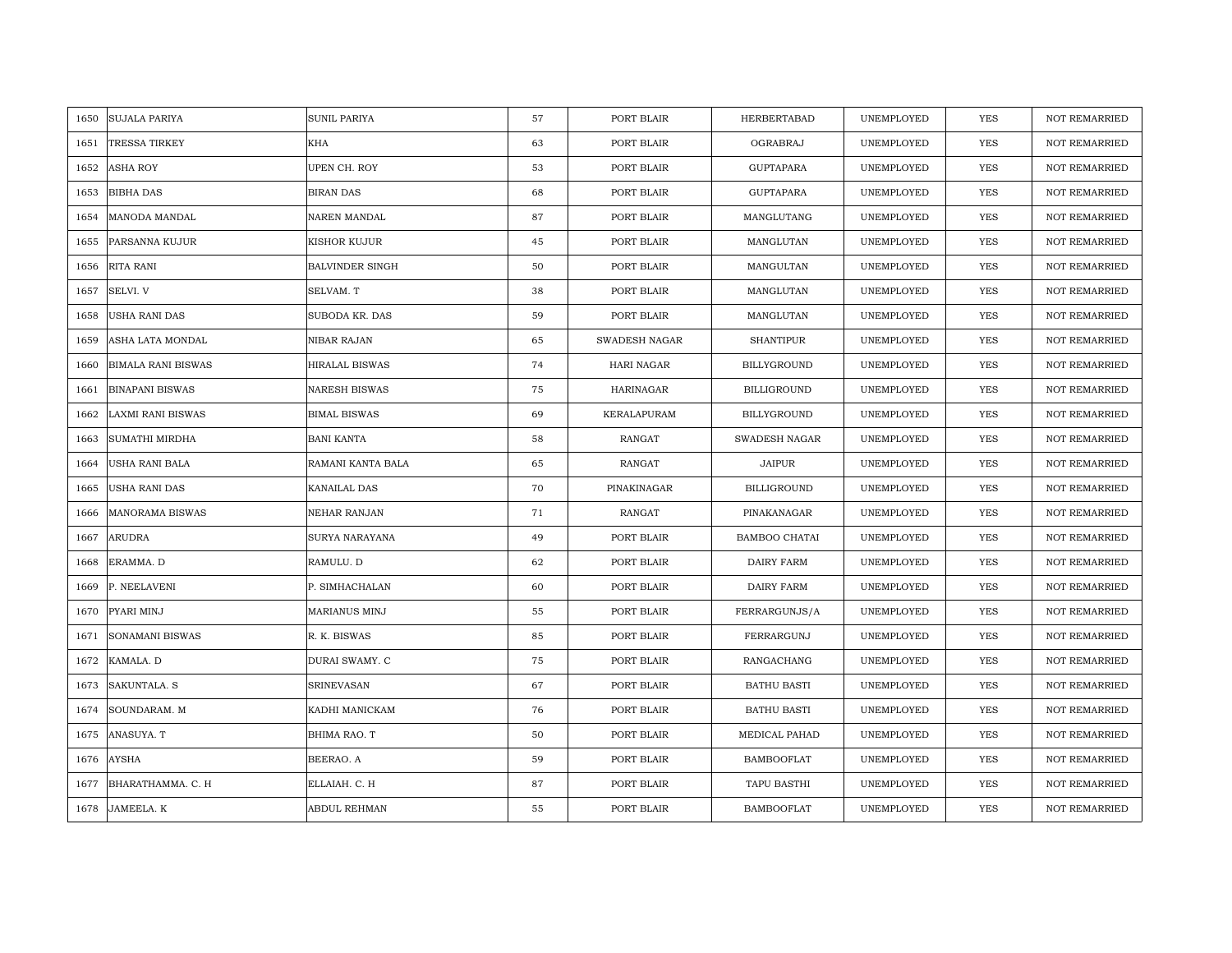| <b>SUJALA PARIYA</b><br>1650      | <b>SUNIL PARIYA</b>    | 57 | PORT BLAIR       | HERBERTABAD          | UNEMPLOYED | <b>YES</b> | <b>NOT REMARRIED</b> |
|-----------------------------------|------------------------|----|------------------|----------------------|------------|------------|----------------------|
| <b>TRESSA TIRKEY</b><br>1651      | KHA                    | 63 | PORT BLAIR       | OGRABRAJ             | UNEMPLOYED | <b>YES</b> | NOT REMARRIED        |
| <b>ASHA ROY</b><br>1652           | UPEN CH. ROY           | 53 | PORT BLAIR       | <b>GUPTAPARA</b>     | UNEMPLOYED | <b>YES</b> | <b>NOT REMARRIED</b> |
| 1653<br><b>BIBHA DAS</b>          | BIRAN DAS              | 68 | PORT BLAIR       | <b>GUPTAPARA</b>     | UNEMPLOYED | <b>YES</b> | NOT REMARRIED        |
| MANODA MANDAL<br>1654             | NAREN MANDAL           | 87 | PORT BLAIR       | MANGLUTANG           | UNEMPLOYED | <b>YES</b> | <b>NOT REMARRIED</b> |
| PARSANNA KUJUR<br>1655            | KISHOR KUJUR           | 45 | PORT BLAIR       | MANGLUTAN            | UNEMPLOYED | <b>YES</b> | <b>NOT REMARRIED</b> |
| RITA RANI<br>1656                 | <b>BALVINDER SINGH</b> | 50 | PORT BLAIR       | MANGULTAN            | UNEMPLOYED | <b>YES</b> | <b>NOT REMARRIED</b> |
| SELVI. V<br>1657                  | SELVAM. T              | 38 | PORT BLAIR       | MANGLUTAN            | UNEMPLOYED | YES        | NOT REMARRIED        |
| USHA RANI DAS<br>1658             | SUBODA KR. DAS         | 59 | PORT BLAIR       | MANGLUTAN            | UNEMPLOYED | YES        | NOT REMARRIED        |
| ASHA LATA MONDAL<br>1659          | NIBAR RAJAN            | 65 | SWADESH NAGAR    | <b>SHANTIPUR</b>     | UNEMPLOYED | YES        | <b>NOT REMARRIED</b> |
| <b>BIMALA RANI BISWAS</b><br>1660 | <b>HIRALAL BISWAS</b>  | 74 | HARI NAGAR       | BILLYGROUND          | UNEMPLOYED | YES        | <b>NOT REMARRIED</b> |
| <b>BINAPANI BISWAS</b><br>1661    | <b>NARESH BISWAS</b>   | 75 | <b>HARINAGAR</b> | BILLIGROUND          | UNEMPLOYED | YES        | <b>NOT REMARRIED</b> |
| 1662<br>LAXMI RANI BISWAS         | <b>BIMAL BISWAS</b>    | 69 | KERALAPURAM      | BILLYGROUND          | UNEMPLOYED | YES        | <b>NOT REMARRIED</b> |
| SUMATHI MIRDHA<br>1663            | <b>BANI KANTA</b>      | 58 | RANGAT           | SWADESH NAGAR        | UNEMPLOYED | <b>YES</b> | <b>NOT REMARRIED</b> |
| 1664<br>USHA RANI BALA            | RAMANI KANTA BALA      | 65 | <b>RANGAT</b>    | <b>JAIPUR</b>        | UNEMPLOYED | YES        | NOT REMARRIED        |
| USHA RANI DAS<br>1665             | KANAILAL DAS           | 70 | PINAKINAGAR      | <b>BILLIGROUND</b>   | UNEMPLOYED | <b>YES</b> | <b>NOT REMARRIED</b> |
| <b>MANORAMA BISWAS</b><br>1666    | NEHAR RANJAN           | 71 | <b>RANGAT</b>    | PINAKANAGAR          | UNEMPLOYED | YES        | <b>NOT REMARRIED</b> |
| 1667<br>ARUDRA                    | SURYA NARAYANA         | 49 | PORT BLAIR       | <b>BAMBOO CHATAI</b> | UNEMPLOYED | <b>YES</b> | <b>NOT REMARRIED</b> |
| ERAMMA. D<br>1668                 | RAMULU. D              | 62 | PORT BLAIR       | DAIRY FARM           | UNEMPLOYED | <b>YES</b> | NOT REMARRIED        |
| 1669<br>P. NEELAVENI              | P. SIMHACHALAN         | 60 | PORT BLAIR       | DAIRY FARM           | UNEMPLOYED | YES        | <b>NOT REMARRIED</b> |
| PYARI MINJ<br>1670                | MARIANUS MINJ          | 55 | PORT BLAIR       | FERRARGUNJS/A        | UNEMPLOYED | YES        | <b>NOT REMARRIED</b> |
| 1671<br><b>SONAMANI BISWAS</b>    | R. K. BISWAS           | 85 | PORT BLAIR       | FERRARGUNJ           | UNEMPLOYED | YES        | <b>NOT REMARRIED</b> |
| KAMALA. D<br>1672                 | DURAI SWAMY. C         | 75 | PORT BLAIR       | RANGACHANG           | UNEMPLOYED | YES        | <b>NOT REMARRIED</b> |
| 1673<br>SAKUNTALA. S              | <b>SRINEVASAN</b>      | 67 | PORT BLAIR       | <b>BATHU BASTI</b>   | UNEMPLOYED | YES        | <b>NOT REMARRIED</b> |
| 1674<br>SOUNDARAM. M              | KADHI MANICKAM         | 76 | PORT BLAIR       | <b>BATHU BASTI</b>   | UNEMPLOYED | YES        | <b>NOT REMARRIED</b> |
| ANASUYA. T<br>1675                | BHIMA RAO. T           | 50 | PORT BLAIR       | MEDICAL PAHAD        | UNEMPLOYED | YES        | NOT REMARRIED        |
| <b>AYSHA</b><br>1676              | BEERAO. A              | 59 | PORT BLAIR       | <b>BAMBOOFLAT</b>    | UNEMPLOYED | <b>YES</b> | <b>NOT REMARRIED</b> |
| BHARATHAMMA, C. H<br>1677         | ELLAIAH. C. H          | 87 | PORT BLAIR       | TAPU BASTHI          | UNEMPLOYED | <b>YES</b> | <b>NOT REMARRIED</b> |
| 1678<br>JAMEELA. K                | <b>ABDUL REHMAN</b>    | 55 | PORT BLAIR       | <b>BAMBOOFLAT</b>    | UNEMPLOYED | <b>YES</b> | <b>NOT REMARRIED</b> |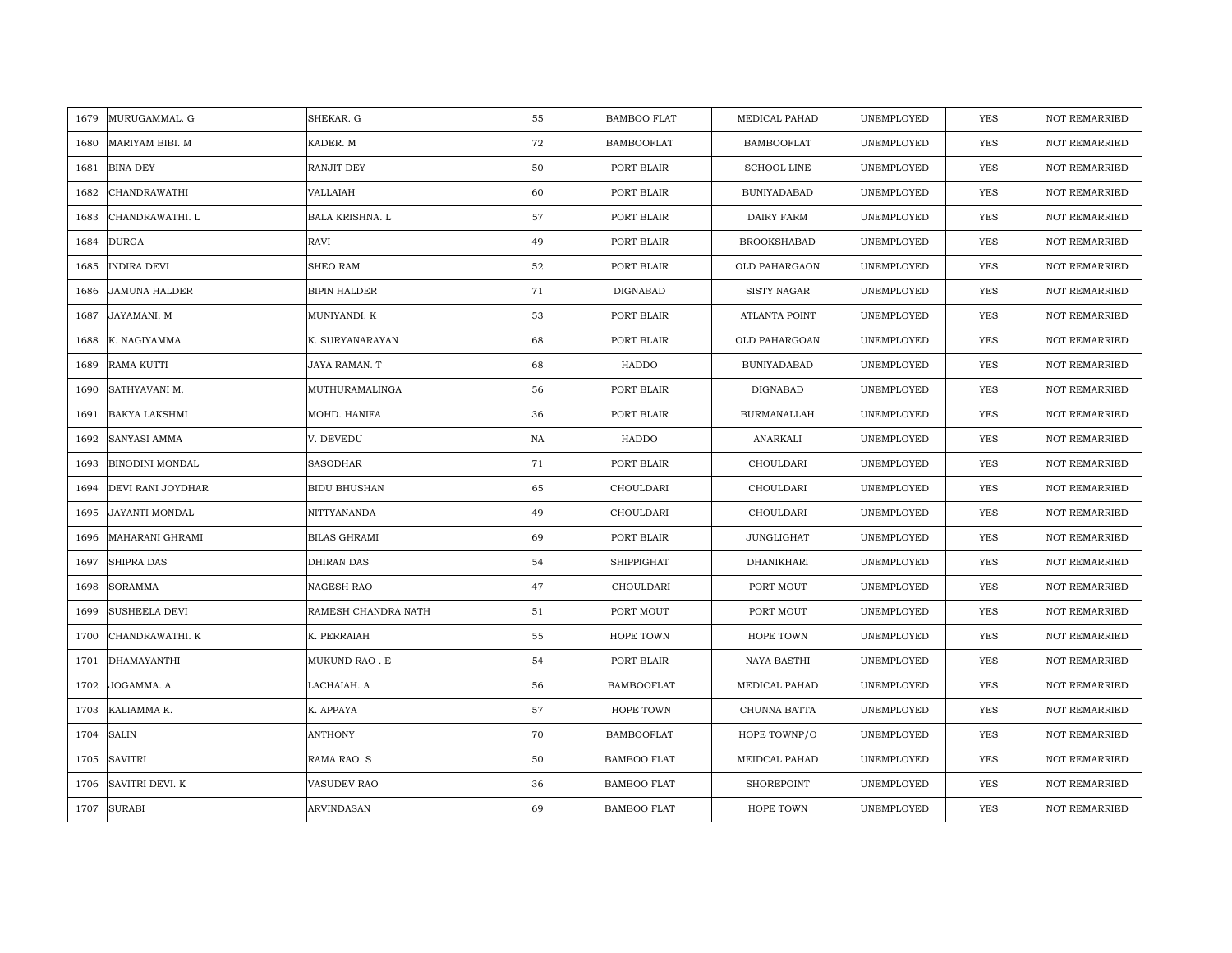| MURUGAMMAL. G<br>1679          | SHEKAR. G              | 55 | <b>BAMBOO FLAT</b> | MEDICAL PAHAD      | UNEMPLOYED | <b>YES</b> | <b>NOT REMARRIED</b> |
|--------------------------------|------------------------|----|--------------------|--------------------|------------|------------|----------------------|
| MARIYAM BIBI. M<br>1680        | KADER. M               | 72 | <b>BAMBOOFLAT</b>  | <b>BAMBOOFLAT</b>  | UNEMPLOYED | <b>YES</b> | NOT REMARRIED        |
| <b>BINA DEY</b><br>1681        | RANJIT DEY             | 50 | PORT BLAIR         | <b>SCHOOL LINE</b> | UNEMPLOYED | <b>YES</b> | <b>NOT REMARRIED</b> |
| <b>CHANDRAWATHI</b><br>1682    | VALLAIAH               | 60 | PORT BLAIR         | <b>BUNIYADABAD</b> | UNEMPLOYED | <b>YES</b> | <b>NOT REMARRIED</b> |
| CHANDRAWATHI. L<br>1683        | <b>BALA KRISHNA. L</b> | 57 | PORT BLAIR         | <b>DAIRY FARM</b>  | UNEMPLOYED | <b>YES</b> | <b>NOT REMARRIED</b> |
| 1684<br>DURGA                  | RAVI                   | 49 | PORT BLAIR         | <b>BROOKSHABAD</b> | UNEMPLOYED | <b>YES</b> | <b>NOT REMARRIED</b> |
| INDIRA DEVI<br>1685            | SHEO RAM               | 52 | PORT BLAIR         | OLD PAHARGAON      | UNEMPLOYED | <b>YES</b> | <b>NOT REMARRIED</b> |
| <b>JAMUNA HALDER</b><br>1686   | BIPIN HALDER           | 71 | DIGNABAD           | <b>SISTY NAGAR</b> | UNEMPLOYED | YES        | NOT REMARRIED        |
| JAYAMANI. M<br>1687            | MUNIYANDI. K           | 53 | PORT BLAIR         | ATLANTA POINT      | UNEMPLOYED | YES        | NOT REMARRIED        |
| K. NAGIYAMMA<br>1688           | K. SURYANARAYAN        | 68 | PORT BLAIR         | OLD PAHARGOAN      | UNEMPLOYED | YES        | <b>NOT REMARRIED</b> |
| RAMA KUTTI<br>1689             | JAYA RAMAN. T          | 68 | HADDO              | <b>BUNIYADABAD</b> | UNEMPLOYED | YES        | <b>NOT REMARRIED</b> |
| 1690<br>SATHYAVANI M.          | MUTHURAMALINGA         | 56 | PORT BLAIR         | DIGNABAD           | UNEMPLOYED | YES        | <b>NOT REMARRIED</b> |
| 1691<br>BAKYA LAKSHMI          | MOHD. HANIFA           | 36 | PORT BLAIR         | <b>BURMANALLAH</b> | UNEMPLOYED | YES        | NOT REMARRIED        |
| SANYASI AMMA<br>1692           | V. DEVEDU              | NA | HADDO              | ANARKALI           | UNEMPLOYED | <b>YES</b> | <b>NOT REMARRIED</b> |
| 1693<br>BINODINI MONDAL        | <b>SASODHAR</b>        | 71 | PORT BLAIR         | CHOULDARI          | UNEMPLOYED | YES        | NOT REMARRIED        |
| DEVI RANI JOYDHAR<br>1694      | <b>BIDU BHUSHAN</b>    | 65 | CHOULDARI          | CHOULDARI          | UNEMPLOYED | <b>YES</b> | <b>NOT REMARRIED</b> |
| 1695<br>JAYANTI MONDAL         | NITTYANANDA            | 49 | CHOULDARI          | CHOULDARI          | UNEMPLOYED | YES        | <b>NOT REMARRIED</b> |
| MAHARANI GHRAMI<br>1696        | <b>BILAS GHRAMI</b>    | 69 | PORT BLAIR         | <b>JUNGLIGHAT</b>  | UNEMPLOYED | <b>YES</b> | <b>NOT REMARRIED</b> |
| SHIPRA DAS<br>1697             | DHIRAN DAS             | 54 | <b>SHIPPIGHAT</b>  | DHANIKHARI         | UNEMPLOYED | <b>YES</b> | NOT REMARRIED        |
| <b>SORAMMA</b><br>1698         | NAGESH RAO             | 47 | CHOULDARI          | PORT MOUT          | UNEMPLOYED | YES        | NOT REMARRIED        |
| <b>SUSHEELA DEVI</b><br>1699   | RAMESH CHANDRA NATH    | 51 | PORT MOUT          | PORT MOUT          | UNEMPLOYED | YES        | NOT REMARRIED        |
| 1700<br>CHANDRAWATHI. K        | K. PERRAIAH            | 55 | HOPE TOWN          | HOPE TOWN          | UNEMPLOYED | YES        | NOT REMARRIED        |
| DHAMAYANTHI<br>1701            | MUKUND RAO . E         | 54 | PORT BLAIR         | NAYA BASTHI        | UNEMPLOYED | YES        | <b>NOT REMARRIED</b> |
| 1702<br>JOGAMMA. A             | LACHAIAH. A            | 56 | <b>BAMBOOFLAT</b>  | MEDICAL PAHAD      | UNEMPLOYED | YES        | <b>NOT REMARRIED</b> |
| 1703<br>KALIAMMA K.            | K. APPAYA              | 57 | HOPE TOWN          | CHUNNA BATTA       | UNEMPLOYED | YES        | <b>NOT REMARRIED</b> |
| <b>SALIN</b><br>1704           | <b>ANTHONY</b>         | 70 | <b>BAMBOOFLAT</b>  | HOPE TOWNP/O       | UNEMPLOYED | YES        | NOT REMARRIED        |
| 1705<br><b>SAVITRI</b>         | RAMA RAO. S            | 50 | <b>BAMBOO FLAT</b> | MEIDCAL PAHAD      | UNEMPLOYED | <b>YES</b> | <b>NOT REMARRIED</b> |
| <b>SAVITRI DEVI. K</b><br>1706 | VASUDEV RAO            | 36 | <b>BAMBOO FLAT</b> | SHOREPOINT         | UNEMPLOYED | <b>YES</b> | <b>NOT REMARRIED</b> |
| 1707<br><b>SURABI</b>          | ARVINDASAN             | 69 | <b>BAMBOO FLAT</b> | HOPE TOWN          | UNEMPLOYED | <b>YES</b> | <b>NOT REMARRIED</b> |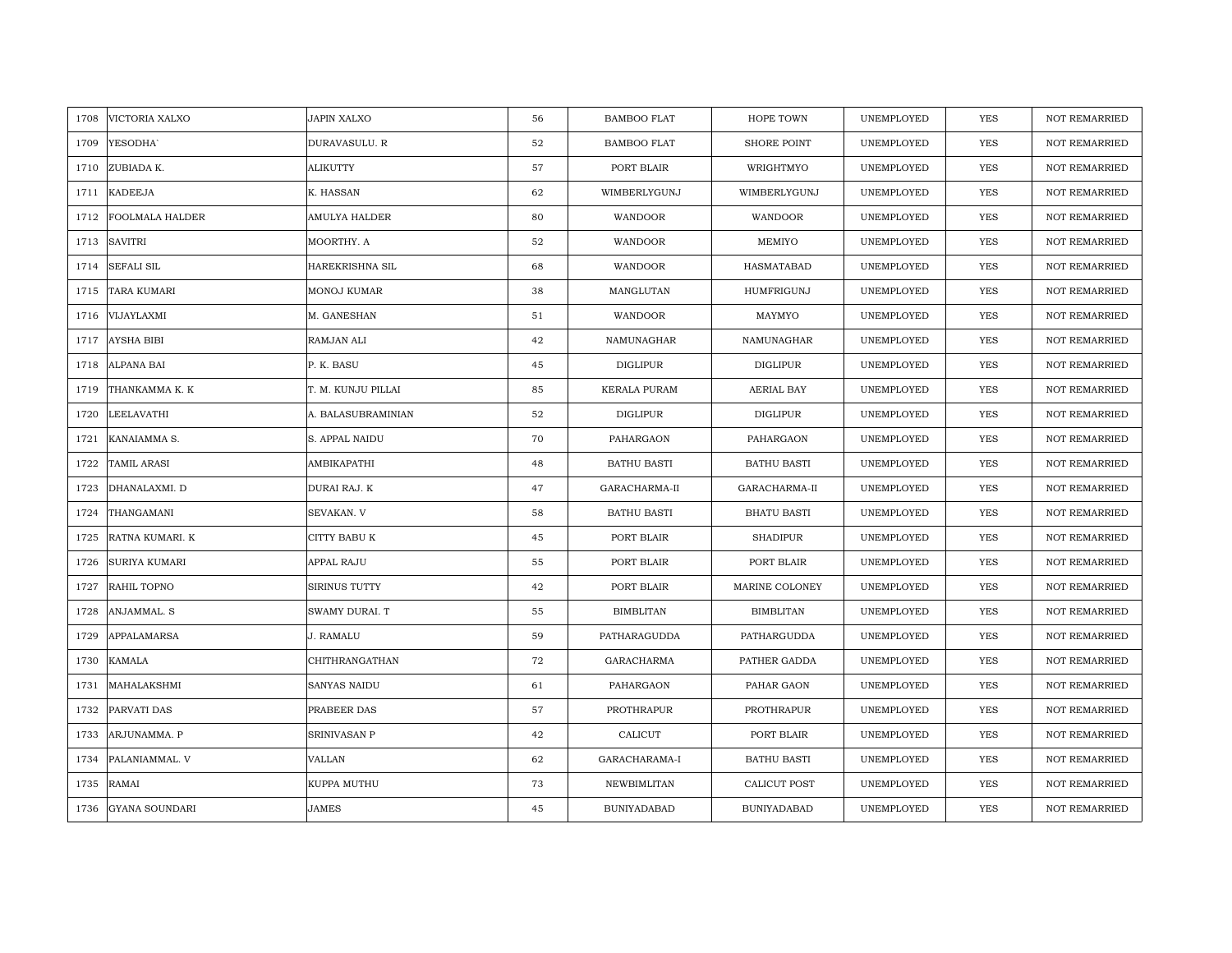| VICTORIA XALXO<br>1708        | JAPIN XALXO        | 56 | <b>BAMBOO FLAT</b> | HOPE TOWN           | UNEMPLOYED | <b>YES</b> | <b>NOT REMARRIED</b> |
|-------------------------------|--------------------|----|--------------------|---------------------|------------|------------|----------------------|
| 1709<br>YESODHA <sup>®</sup>  | DURAVASULU. R      | 52 | <b>BAMBOO FLAT</b> | SHORE POINT         | UNEMPLOYED | <b>YES</b> | NOT REMARRIED        |
| ZUBIADA K.<br>1710            | <b>ALIKUTTY</b>    | 57 | PORT BLAIR         | WRIGHTMYO           | UNEMPLOYED | YES        | <b>NOT REMARRIED</b> |
| <b>KADEEJA</b><br>1711        | K. HASSAN          | 62 | WIMBERLYGUNJ       | WIMBERLYGUNJ        | UNEMPLOYED | YES        | <b>NOT REMARRIED</b> |
| 1712<br>FOOLMALA HALDER       | AMULYA HALDER      | 80 | WANDOOR            | WANDOOR             | UNEMPLOYED | YES        | <b>NOT REMARRIED</b> |
| 1713<br><b>SAVITRI</b>        | MOORTHY. A         | 52 | WANDOOR            | MEMIYO              | UNEMPLOYED | YES        | NOT REMARRIED        |
| <b>SEFALI SIL</b><br>1714     | HAREKRISHNA SIL    | 68 | WANDOOR            | HASMATABAD          | UNEMPLOYED | <b>YES</b> | <b>NOT REMARRIED</b> |
| 1715<br>TARA KUMARI           | MONOJ KUMAR        | 38 | MANGLUTAN          | HUMFRIGUNJ          | UNEMPLOYED | YES        | <b>NOT REMARRIED</b> |
| 1716<br>VIJAYLAXMI            | M. GANESHAN        | 51 | WANDOOR            | MAYMYO              | UNEMPLOYED | YES        | NOT REMARRIED        |
| <b>AYSHA BIBI</b><br>1717     | RAMJAN ALI         | 42 | NAMUNAGHAR         | NAMUNAGHAR          | UNEMPLOYED | YES        | NOT REMARRIED        |
| 1718<br>ALPANA BAI            | P. K. BASU         | 45 | DIGLIPUR           | DIGLIPUR            | UNEMPLOYED | YES        | <b>NOT REMARRIED</b> |
| 1719<br>THANKAMMA K. K        | T. M. KUNJU PILLAI | 85 | KERALA PURAM       | <b>AERIAL BAY</b>   | UNEMPLOYED | YES        | NOT REMARRIED        |
| LEELAVATHI<br>1720            | A. BALASUBRAMINIAN | 52 | DIGLIPUR           | DIGLIPUR            | UNEMPLOYED | YES        | NOT REMARRIED        |
| 1721<br>KANAIAMMA S.          | S. APPAL NAIDU     | 70 | PAHARGAON          | PAHARGAON           | UNEMPLOYED | <b>YES</b> | <b>NOT REMARRIED</b> |
| 1722<br><b>TAMIL ARASI</b>    | AMBIKAPATHI        | 48 | <b>BATHU BASTI</b> | <b>BATHU BASTI</b>  | UNEMPLOYED | <b>YES</b> | <b>NOT REMARRIED</b> |
| DHANALAXMI. D<br>1723         | DURAI RAJ. K       | 47 | GARACHARMA-II      | GARACHARMA-II       | UNEMPLOYED | <b>YES</b> | NOT REMARRIED        |
| THANGAMANI<br>1724            | SEVAKAN. V         | 58 | <b>BATHU BASTI</b> | <b>BHATU BASTI</b>  | UNEMPLOYED | YES        | <b>NOT REMARRIED</b> |
| 1725<br>RATNA KUMARI. K       | CITTY BABU K       | 45 | PORT BLAIR         | <b>SHADIPUR</b>     | UNEMPLOYED | <b>YES</b> | <b>NOT REMARRIED</b> |
| <b>SURIYA KUMARI</b><br>1726  | APPAL RAJU         | 55 | PORT BLAIR         | PORT BLAIR          | UNEMPLOYED | <b>YES</b> | <b>NOT REMARRIED</b> |
| 1727<br>RAHIL TOPNO           | SIRINUS TUTTY      | 42 | PORT BLAIR         | MARINE COLONEY      | UNEMPLOYED | YES        | <b>NOT REMARRIED</b> |
| ANJAMMAL. S<br>1728           | SWAMY DURAI. T     | 55 | <b>BIMBLITAN</b>   | <b>BIMBLITAN</b>    | UNEMPLOYED | <b>YES</b> | <b>NOT REMARRIED</b> |
| 1729<br>APPALAMARSA           | J. RAMALU          | 59 | PATHARAGUDDA       | PATHARGUDDA         | UNEMPLOYED | YES        | NOT REMARRIED        |
| 1730<br>KAMALA                | CHITHRANGATHAN     | 72 | GARACHARMA         | PATHER GADDA        | UNEMPLOYED | <b>YES</b> | <b>NOT REMARRIED</b> |
| 1731<br>MAHALAKSHMI           | SANYAS NAIDU       | 61 | PAHARGAON          | PAHAR GAON          | UNEMPLOYED | <b>YES</b> | NOT REMARRIED        |
| 1732<br>PARVATI DAS           | PRABEER DAS        | 57 | PROTHRAPUR         | PROTHRAPUR          | UNEMPLOYED | <b>YES</b> | <b>NOT REMARRIED</b> |
| 1733<br>ARJUNAMMA. P          | SRINIVASAN P       | 42 | CALICUT            | PORT BLAIR          | UNEMPLOYED | YES        | NOT REMARRIED        |
| 1734<br>PALANIAMMAL. V        | VALLAN             | 62 | GARACHARAMA-I      | <b>BATHU BASTI</b>  | UNEMPLOYED | <b>YES</b> | <b>NOT REMARRIED</b> |
| RAMAI<br>1735                 | KUPPA MUTHU        | 73 | NEWBIMLITAN        | <b>CALICUT POST</b> | UNEMPLOYED | YES        | <b>NOT REMARRIED</b> |
| <b>GYANA SOUNDARI</b><br>1736 | JAMES              | 45 | <b>BUNIYADABAD</b> | <b>BUNIYADABAD</b>  | UNEMPLOYED | YES        | NOT REMARRIED        |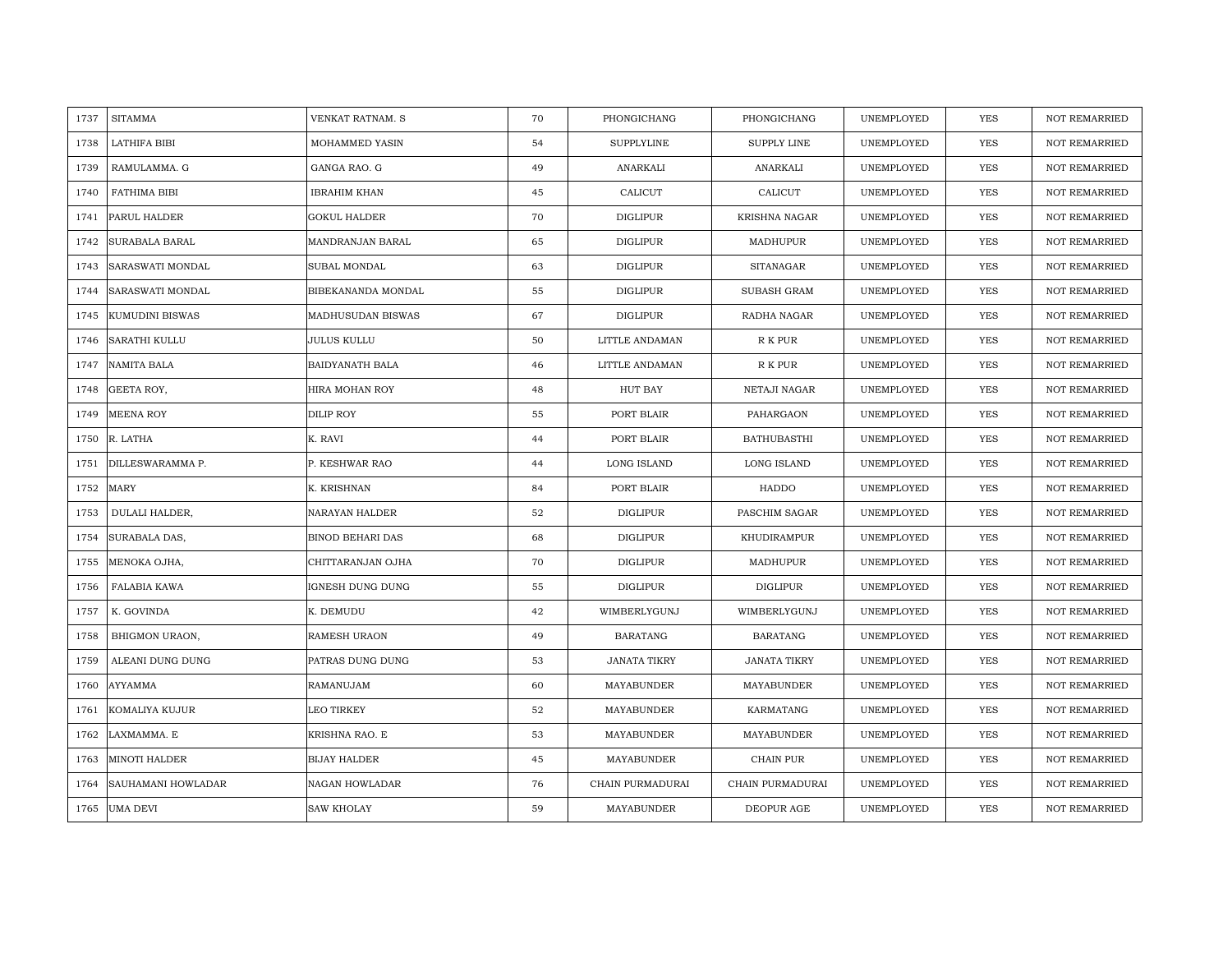| 1737 | <b>SITAMMA</b>            | VENKAT RATNAM. S        | 70 | PHONGICHANG       | PHONGICHANG         | UNEMPLOYED | <b>YES</b> | <b>NOT REMARRIED</b> |
|------|---------------------------|-------------------------|----|-------------------|---------------------|------------|------------|----------------------|
| 1738 | LATHIFA BIBI              | MOHAMMED YASIN          | 54 | <b>SUPPLYLINE</b> | <b>SUPPLY LINE</b>  | UNEMPLOYED | <b>YES</b> | <b>NOT REMARRIED</b> |
| 1739 | RAMULAMMA. G              | GANGA RAO. G            | 49 | ANARKALI          | ANARKALI            | UNEMPLOYED | YES        | <b>NOT REMARRIED</b> |
| 1740 | FATHIMA BIBI              | <b>IBRAHIM KHAN</b>     | 45 | CALICUT           | CALICUT             | UNEMPLOYED | YES        | <b>NOT REMARRIED</b> |
| 1741 | PARUL HALDER              | <b>GOKUL HALDER</b>     | 70 | <b>DIGLIPUR</b>   | KRISHNA NAGAR       | UNEMPLOYED | YES        | <b>NOT REMARRIED</b> |
| 1742 | SURABALA BARAL            | MANDRANJAN BARAL        | 65 | <b>DIGLIPUR</b>   | MADHUPUR            | UNEMPLOYED | <b>YES</b> | NOT REMARRIED        |
| 1743 | <b>SARASWATI MONDAL</b>   | SUBAL MONDAL            | 63 | <b>DIGLIPUR</b>   | <b>SITANAGAR</b>    | UNEMPLOYED | YES        | <b>NOT REMARRIED</b> |
| 1744 | SARASWATI MONDAL          | BIBEKANANDA MONDAL      | 55 | <b>DIGLIPUR</b>   | <b>SUBASH GRAM</b>  | UNEMPLOYED | YES        | <b>NOT REMARRIED</b> |
| 1745 | <b>KUMUDINI BISWAS</b>    | MADHUSUDAN BISWAS       | 67 | <b>DIGLIPUR</b>   | RADHA NAGAR         | UNEMPLOYED | <b>YES</b> | NOT REMARRIED        |
| 1746 | <b>SARATHI KULLU</b>      | <b>JULUS KULLU</b>      | 50 | LITTLE ANDAMAN    | R K PUR             | UNEMPLOYED | YES        | <b>NOT REMARRIED</b> |
| 1747 | NAMITA BALA               | BAIDYANATH BALA         | 46 | LITTLE ANDAMAN    | R K PUR             | UNEMPLOYED | YES        | <b>NOT REMARRIED</b> |
| 1748 | GEETA ROY,                | HIRA MOHAN ROY          | 48 | HUT BAY           | NETAJI NAGAR        | UNEMPLOYED | YES        | <b>NOT REMARRIED</b> |
| 1749 | <b>MEENA ROY</b>          | DILIP ROY               | 55 | PORT BLAIR        | PAHARGAON           | UNEMPLOYED | <b>YES</b> | NOT REMARRIED        |
| 1750 | R. LATHA                  | K. RAVI                 | 44 | PORT BLAIR        | <b>BATHUBASTHI</b>  | UNEMPLOYED | <b>YES</b> | <b>NOT REMARRIED</b> |
| 1751 | DILLESWARAMMA P.          | P. KESHWAR RAO          | 44 | LONG ISLAND       | LONG ISLAND         | UNEMPLOYED | YES        | NOT REMARRIED        |
| 1752 | MARY                      | K. KRISHNAN             | 84 | PORT BLAIR        | HADDO               | UNEMPLOYED | <b>YES</b> | NOT REMARRIED        |
| 1753 | DULALI HALDER,            | NARAYAN HALDER          | 52 | DIGLIPUR          | PASCHIM SAGAR       | UNEMPLOYED | YES        | <b>NOT REMARRIED</b> |
| 1754 | SURABALA DAS,             | <b>BINOD BEHARI DAS</b> | 68 | DIGLIPUR          | KHUDIRAMPUR         | UNEMPLOYED | YES        | <b>NOT REMARRIED</b> |
| 1755 | MENOKA OJHA,              | CHITTARANJAN OJHA       | 70 | <b>DIGLIPUR</b>   | MADHUPUR            | UNEMPLOYED | YES        | <b>NOT REMARRIED</b> |
| 1756 | FALABIA KAWA              | IGNESH DUNG DUNG        | 55 | <b>DIGLIPUR</b>   | <b>DIGLIPUR</b>     | UNEMPLOYED | YES        | <b>NOT REMARRIED</b> |
| 1757 | K. GOVINDA                | K. DEMUDU               | 42 | WIMBERLYGUNJ      | WIMBERLYGUNJ        | UNEMPLOYED | YES        | <b>NOT REMARRIED</b> |
| 1758 | BHIGMON URAON,            | RAMESH URAON            | 49 | <b>BARATANG</b>   | <b>BARATANG</b>     | UNEMPLOYED | YES        | <b>NOT REMARRIED</b> |
| 1759 | ALEANI DUNG DUNG          | PATRAS DUNG DUNG        | 53 | JANATA TIKRY      | <b>JANATA TIKRY</b> | UNEMPLOYED | YES        | <b>NOT REMARRIED</b> |
| 1760 | AYYAMMA                   | RAMANUJAM               | 60 | MAYABUNDER        | MAYABUNDER          | UNEMPLOYED | YES        | <b>NOT REMARRIED</b> |
| 1761 | KOMALIYA KUJUR            | LEO TIRKEY              | 52 | MAYABUNDER        | KARMATANG           | UNEMPLOYED | YES        | <b>NOT REMARRIED</b> |
| 1762 | LAXMAMMA. E               | KRISHNA RAO. E          | 53 | MAYABUNDER        | MAYABUNDER          | UNEMPLOYED | YES        | NOT REMARRIED        |
| 1763 | <b>MINOTI HALDER</b>      | <b>BIJAY HALDER</b>     | 45 | MAYABUNDER        | CHAIN PUR           | UNEMPLOYED | YES        | <b>NOT REMARRIED</b> |
| 1764 | <b>SAUHAMANI HOWLADAR</b> | NAGAN HOWLADAR          | 76 | CHAIN PURMADURAI  | CHAIN PURMADURAI    | UNEMPLOYED | YES        | <b>NOT REMARRIED</b> |
| 1765 | <b>UMA DEVI</b>           | <b>SAW KHOLAY</b>       | 59 | MAYABUNDER        | DEOPUR AGE          | UNEMPLOYED | YES        | NOT REMARRIED        |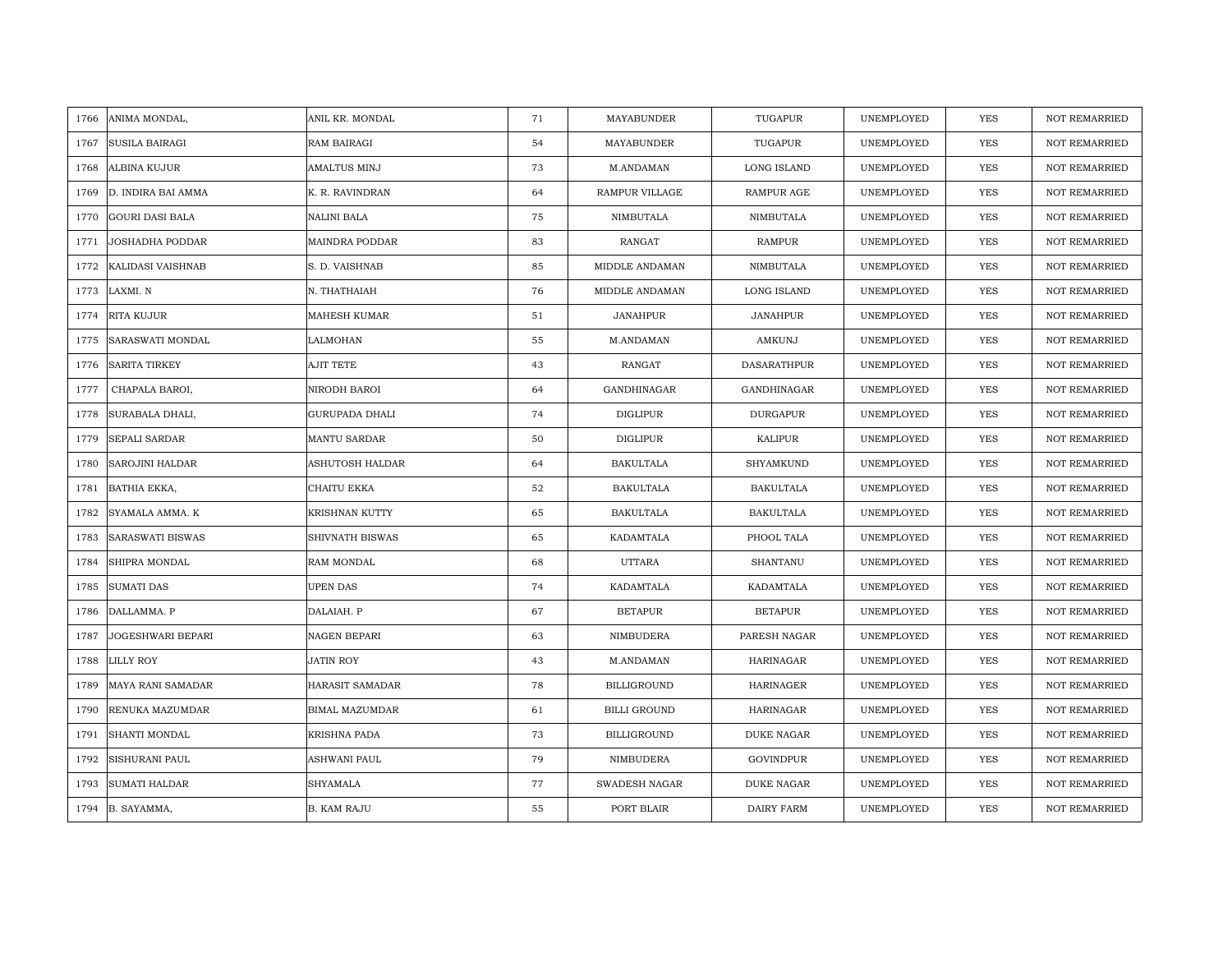| 1766 | ANIMA MONDAL,            | ANIL KR. MONDAL        | 71 | MAYABUNDER           | TUGAPUR            | UNEMPLOYED | YES        | <b>NOT REMARRIED</b> |
|------|--------------------------|------------------------|----|----------------------|--------------------|------------|------------|----------------------|
| 1767 | <b>SUSILA BAIRAGI</b>    | RAM BAIRAGI            | 54 | MAYABUNDER           | TUGAPUR            | UNEMPLOYED | <b>YES</b> | NOT REMARRIED        |
| 1768 | <b>ALBINA KUJUR</b>      | <b>AMALTUS MINJ</b>    | 73 | M.ANDAMAN            | <b>LONG ISLAND</b> | UNEMPLOYED | <b>YES</b> | <b>NOT REMARRIED</b> |
| 1769 | D. INDIRA BAI AMMA       | K. R. RAVINDRAN        | 64 | RAMPUR VILLAGE       | RAMPUR AGE         | UNEMPLOYED | <b>YES</b> | <b>NOT REMARRIED</b> |
| 1770 | <b>GOURI DASI BALA</b>   | <b>NALINI BALA</b>     | 75 | NIMBUTALA            | NIMBUTALA          | UNEMPLOYED | <b>YES</b> | <b>NOT REMARRIED</b> |
| 1771 | <b>JOSHADHA PODDAR</b>   | MAINDRA PODDAR         | 83 | RANGAT               | <b>RAMPUR</b>      | UNEMPLOYED | <b>YES</b> | <b>NOT REMARRIED</b> |
| 1772 | KALIDASI VAISHNAB        | S. D. VAISHNAB         | 85 | MIDDLE ANDAMAN       | NIMBUTALA          | UNEMPLOYED | YES        | <b>NOT REMARRIED</b> |
| 1773 | LAXMI. N                 | N. THATHAIAH           | 76 | MIDDLE ANDAMAN       | LONG ISLAND        | UNEMPLOYED | YES        | <b>NOT REMARRIED</b> |
| 1774 | RITA KUJUR               | MAHESH KUMAR           | 51 | <b>JANAHPUR</b>      | <b>JANAHPUR</b>    | UNEMPLOYED | YES        | NOT REMARRIED        |
| 1775 | SARASWATI MONDAL         | LALMOHAN               | 55 | M.ANDAMAN            | AMKUNJ             | UNEMPLOYED | YES        | <b>NOT REMARRIED</b> |
| 1776 | <b>SARITA TIRKEY</b>     | <b>AJIT TETE</b>       | 43 | RANGAT               | DASARATHPUR        | UNEMPLOYED | YES        | <b>NOT REMARRIED</b> |
| 1777 | CHAPALA BAROI,           | NIRODH BAROI           | 64 | GANDHINAGAR          | GANDHINAGAR        | UNEMPLOYED | YES        | NOT REMARRIED        |
| 1778 | SURABALA DHALI,          | <b>GURUPADA DHALI</b>  | 74 | <b>DIGLIPUR</b>      | <b>DURGAPUR</b>    | UNEMPLOYED | YES        | <b>NOT REMARRIED</b> |
| 1779 | <b>SEPALI SARDAR</b>     | <b>MANTU SARDAR</b>    | 50 | DIGLIPUR             | KALIPUR            | UNEMPLOYED | <b>YES</b> | <b>NOT REMARRIED</b> |
| 1780 | <b>SAROJINI HALDAR</b>   | ASHUTOSH HALDAR        | 64 | <b>BAKULTALA</b>     | <b>SHYAMKUND</b>   | UNEMPLOYED | YES        | NOT REMARRIED        |
| 1781 | BATHIA EKKA,             | CHAITU EKKA            | 52 | <b>BAKULTALA</b>     | <b>BAKULTALA</b>   | UNEMPLOYED | YES        | NOT REMARRIED        |
| 1782 | SYAMALA AMMA. K          | <b>KRISHNAN KUTTY</b>  | 65 | <b>BAKULTALA</b>     | <b>BAKULTALA</b>   | UNEMPLOYED | YES        | NOT REMARRIED        |
| 1783 | <b>SARASWATI BISWAS</b>  | <b>SHIVNATH BISWAS</b> | 65 | KADAMTALA            | PHOOL TALA         | UNEMPLOYED | YES        | <b>NOT REMARRIED</b> |
| 1784 | SHIPRA MONDAL            | RAM MONDAL             | 68 | <b>UTTARA</b>        | SHANTANU           | UNEMPLOYED | YES        | <b>NOT REMARRIED</b> |
| 1785 | <b>SUMATI DAS</b>        | <b>UPEN DAS</b>        | 74 | KADAMTALA            | KADAMTALA          | UNEMPLOYED | <b>YES</b> | <b>NOT REMARRIED</b> |
| 1786 | DALLAMMA. P              | DALAIAH. P             | 67 | <b>BETAPUR</b>       | <b>BETAPUR</b>     | UNEMPLOYED | YES        | <b>NOT REMARRIED</b> |
| 1787 | <b>JOGESHWARI BEPARI</b> | NAGEN BEPARI           | 63 | NIMBUDERA            | PARESH NAGAR       | UNEMPLOYED | YES        | NOT REMARRIED        |
| 1788 | LILLY ROY                | <b>JATIN ROY</b>       | 43 | M.ANDAMAN            | <b>HARINAGAR</b>   | UNEMPLOYED | YES        | <b>NOT REMARRIED</b> |
| 1789 | MAYA RANI SAMADAR        | <b>HARASIT SAMADAR</b> | 78 | <b>BILLIGROUND</b>   | <b>HARINAGER</b>   | UNEMPLOYED | YES        | <b>NOT REMARRIED</b> |
| 1790 | RENUKA MAZUMDAR          | <b>BIMAL MAZUMDAR</b>  | 61 | <b>BILLI GROUND</b>  | HARINAGAR          | UNEMPLOYED | YES        | <b>NOT REMARRIED</b> |
| 1791 | SHANTI MONDAL            | <b>KRISHNA PADA</b>    | 73 | <b>BILLIGROUND</b>   | DUKE NAGAR         | UNEMPLOYED | YES        | NOT REMARRIED        |
| 1792 | <b>SISHURANI PAUL</b>    | ASHWANI PAUL           | 79 | NIMBUDERA            | GOVINDPUR          | UNEMPLOYED | YES        | <b>NOT REMARRIED</b> |
| 1793 | <b>SUMATI HALDAR</b>     | <b>SHYAMALA</b>        | 77 | <b>SWADESH NAGAR</b> | DUKE NAGAR         | UNEMPLOYED | <b>YES</b> | <b>NOT REMARRIED</b> |
|      | 1794 B. SAYAMMA,         | <b>B. KAM RAJU</b>     | 55 | PORT BLAIR           | <b>DAIRY FARM</b>  | UNEMPLOYED | <b>YES</b> | <b>NOT REMARRIED</b> |
|      |                          |                        |    |                      |                    |            |            |                      |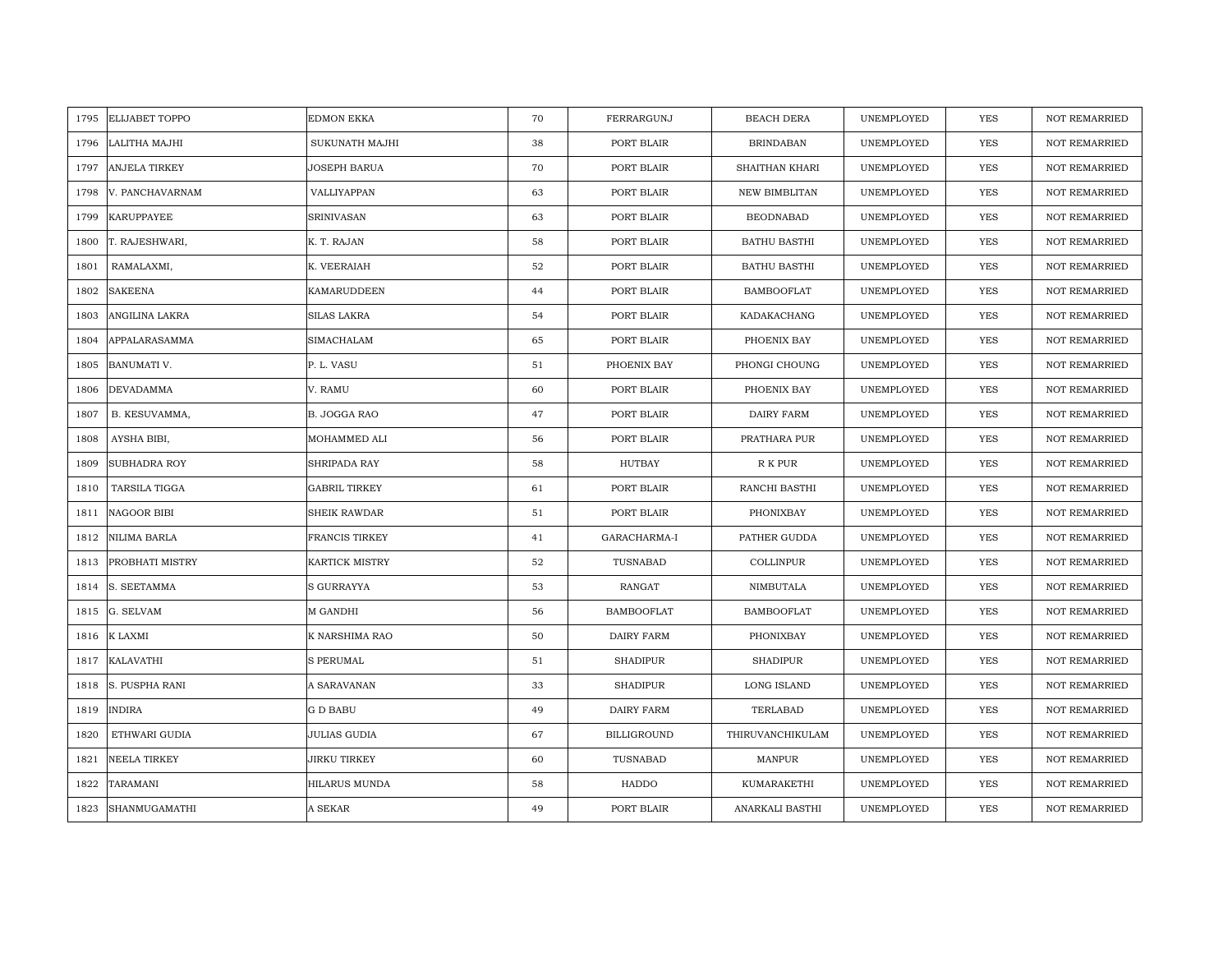| 1795 | <b>ELIJABET TOPPO</b> | <b>EDMON EKKA</b>    | 70 | FERRARGUNJ         | <b>BEACH DERA</b>   | UNEMPLOYED | <b>YES</b> | <b>NOT REMARRIED</b> |
|------|-----------------------|----------------------|----|--------------------|---------------------|------------|------------|----------------------|
| 1796 | LALITHA MAJHI         | SUKUNATH MAJHI       | 38 | PORT BLAIR         | <b>BRINDABAN</b>    | UNEMPLOYED | <b>YES</b> | NOT REMARRIED        |
| 1797 | <b>ANJELA TIRKEY</b>  | JOSEPH BARUA         | 70 | PORT BLAIR         | SHAITHAN KHARI      | UNEMPLOYED | YES        | <b>NOT REMARRIED</b> |
| 1798 | V. PANCHAVARNAM       | VALLIYAPPAN          | 63 | PORT BLAIR         | NEW BIMBLITAN       | UNEMPLOYED | YES        | <b>NOT REMARRIED</b> |
| 1799 | <b>KARUPPAYEE</b>     | <b>SRINIVASAN</b>    | 63 | PORT BLAIR         | <b>BEODNABAD</b>    | UNEMPLOYED | YES        | NOT REMARRIED        |
| 1800 | T. RAJESHWARI,        | K. T. RAJAN          | 58 | PORT BLAIR         | <b>BATHU BASTHI</b> | UNEMPLOYED | YES        | NOT REMARRIED        |
| 1801 | RAMALAXMI,            | K. VEERAIAH          | 52 | PORT BLAIR         | <b>BATHU BASTHI</b> | UNEMPLOYED | <b>YES</b> | <b>NOT REMARRIED</b> |
| 1802 | <b>SAKEENA</b>        | KAMARUDDEEN          | 44 | PORT BLAIR         | <b>BAMBOOFLAT</b>   | UNEMPLOYED | YES        | NOT REMARRIED        |
| 1803 | ANGILINA LAKRA        | SILAS LAKRA          | 54 | PORT BLAIR         | KADAKACHANG         | UNEMPLOYED | YES        | NOT REMARRIED        |
| 1804 | APPALARASAMMA         | SIMACHALAM           | 65 | PORT BLAIR         | PHOENIX BAY         | UNEMPLOYED | <b>YES</b> | NOT REMARRIED        |
| 1805 | <b>BANUMATI V.</b>    | P. L. VASU           | 51 | PHOENIX BAY        | PHONGI CHOUNG       | UNEMPLOYED | YES        | <b>NOT REMARRIED</b> |
| 1806 | <b>DEVADAMMA</b>      | V. RAMU              | 60 | PORT BLAIR         | PHOENIX BAY         | UNEMPLOYED | YES        | <b>NOT REMARRIED</b> |
| 1807 | B. KESUVAMMA,         | B. JOGGA RAO         | 47 | PORT BLAIR         | DAIRY FARM          | UNEMPLOYED | YES        | NOT REMARRIED        |
| 1808 | AYSHA BIBI,           | MOHAMMED ALI         | 56 | PORT BLAIR         | PRATHARA PUR        | UNEMPLOYED | <b>YES</b> | <b>NOT REMARRIED</b> |
| 1809 | <b>SUBHADRA ROY</b>   | SHRIPADA RAY         | 58 | HUTBAY             | R K PUR             | UNEMPLOYED | YES        | <b>NOT REMARRIED</b> |
| 1810 | <b>TARSILA TIGGA</b>  | <b>GABRIL TIRKEY</b> | 61 | PORT BLAIR         | RANCHI BASTHI       | UNEMPLOYED | <b>YES</b> | NOT REMARRIED        |
| 1811 | <b>NAGOOR BIBI</b>    | <b>SHEIK RAWDAR</b>  | 51 | PORT BLAIR         | PHONIXBAY           | UNEMPLOYED | YES        | <b>NOT REMARRIED</b> |
| 1812 | <b>NILIMA BARLA</b>   | FRANCIS TIRKEY       | 41 | GARACHARMA-I       | PATHER GUDDA        | UNEMPLOYED | <b>YES</b> | <b>NOT REMARRIED</b> |
| 1813 | PROBHATI MISTRY       | KARTICK MISTRY       | 52 | TUSNABAD           | COLLINPUR           | UNEMPLOYED | YES        | <b>NOT REMARRIED</b> |
| 1814 | S. SEETAMMA           | S GURRAYYA           | 53 | RANGAT             | NIMBUTALA           | UNEMPLOYED | <b>YES</b> | NOT REMARRIED        |
| 1815 | G. SELVAM             | M GANDHI             | 56 | <b>BAMBOOFLAT</b>  | <b>BAMBOOFLAT</b>   | UNEMPLOYED | <b>YES</b> | <b>NOT REMARRIED</b> |
| 1816 | K LAXMI               | K NARSHIMA RAO       | 50 | DAIRY FARM         | PHONIXBAY           | UNEMPLOYED | YES        | NOT REMARRIED        |
| 1817 | <b>KALAVATHI</b>      | <b>S PERUMAL</b>     | 51 | <b>SHADIPUR</b>    | <b>SHADIPUR</b>     | UNEMPLOYED | <b>YES</b> | NOT REMARRIED        |
| 1818 | S. PUSPHA RANI        | A SARAVANAN          | 33 | <b>SHADIPUR</b>    | LONG ISLAND         | UNEMPLOYED | <b>YES</b> | NOT REMARRIED        |
| 1819 | <b>INDIRA</b>         | G D BABU             | 49 | DAIRY FARM         | TERLABAD            | UNEMPLOYED | <b>YES</b> | <b>NOT REMARRIED</b> |
| 1820 | ETHWARI GUDIA         | <b>JULIAS GUDIA</b>  | 67 | <b>BILLIGROUND</b> | THIRUVANCHIKULAM    | UNEMPLOYED | YES        | NOT REMARRIED        |
| 1821 | <b>NEELA TIRKEY</b>   | JIRKU TIRKEY         | 60 | TUSNABAD           | <b>MANPUR</b>       | UNEMPLOYED | YES        | <b>NOT REMARRIED</b> |
| 1822 | TARAMANI              | <b>HILARUS MUNDA</b> | 58 | HADDO              | KUMARAKETHI         | UNEMPLOYED | YES        | <b>NOT REMARRIED</b> |
| 1823 | SHANMUGAMATHI         | A SEKAR              | 49 | PORT BLAIR         | ANARKALI BASTHI     | UNEMPLOYED | YES        | NOT REMARRIED        |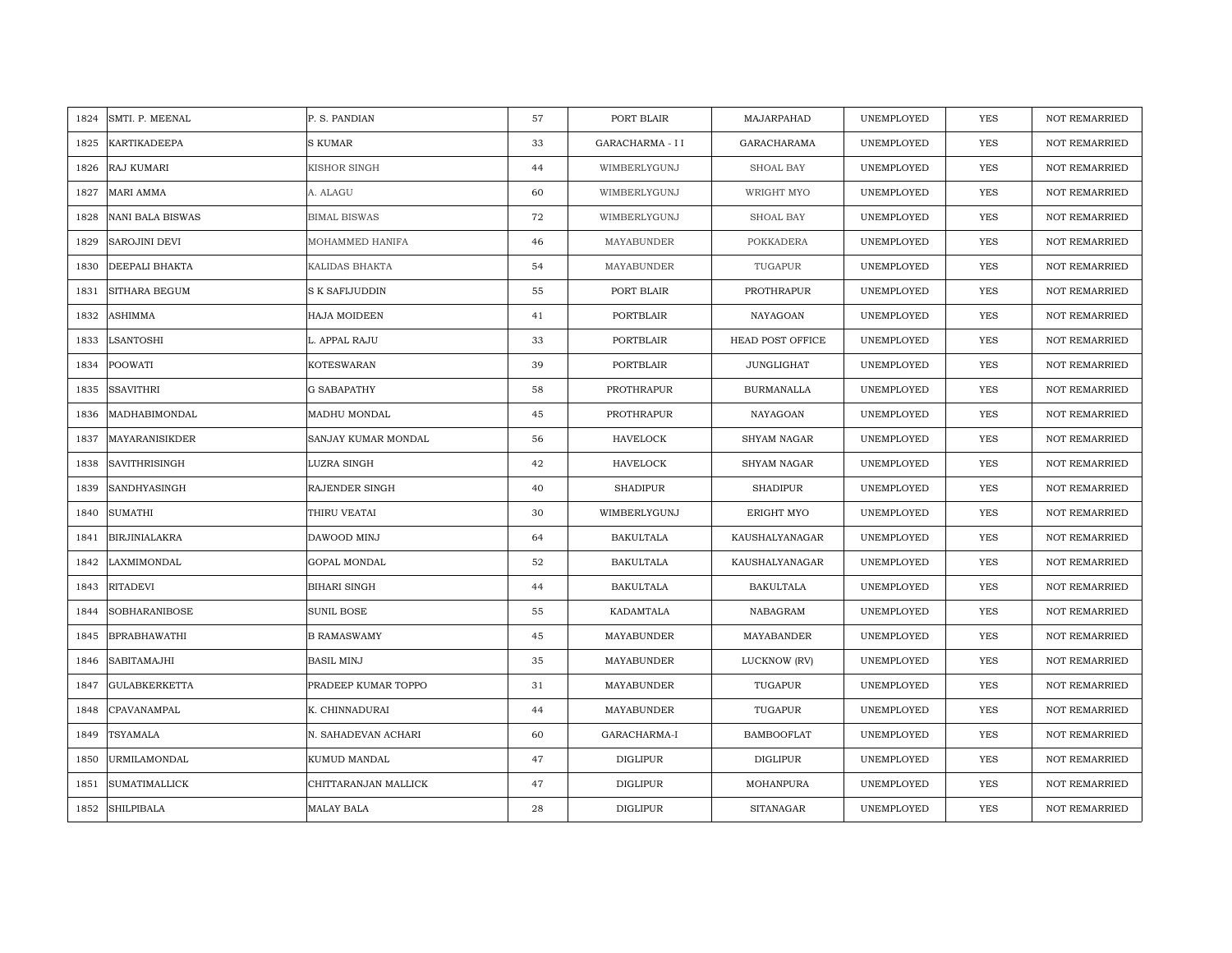| SMTI. P. MEENAL<br>1824      | P. S. PANDIAN         | 57 | PORT BLAIR       | MAJARPAHAD         | UNEMPLOYED | <b>YES</b> | <b>NOT REMARRIED</b> |
|------------------------------|-----------------------|----|------------------|--------------------|------------|------------|----------------------|
| KARTIKADEEPA<br>1825         | <b>S KUMAR</b>        | 33 | GARACHARMA - II  | GARACHARAMA        | UNEMPLOYED | <b>YES</b> | NOT REMARRIED        |
| <b>RAJ KUMARI</b><br>1826    | KISHOR SINGH          | 44 | WIMBERLYGUNJ     | SHOAL BAY          | UNEMPLOYED | YES        | <b>NOT REMARRIED</b> |
| 1827<br>MARI AMMA            | A. ALAGU              | 60 | WIMBERLYGUNJ     | WRIGHT MYO         | UNEMPLOYED | <b>YES</b> | <b>NOT REMARRIED</b> |
| NANI BALA BISWAS<br>1828     | <b>BIMAL BISWAS</b>   | 72 | WIMBERLYGUNJ     | <b>SHOAL BAY</b>   | UNEMPLOYED | <b>YES</b> | <b>NOT REMARRIED</b> |
| 1829<br>SAROJINI DEVI        | MOHAMMED HANIFA       | 46 | MAYABUNDER       | <b>POKKADERA</b>   | UNEMPLOYED | YES        | <b>NOT REMARRIED</b> |
| DEEPALI BHAKTA<br>1830       | KALIDAS BHAKTA        | 54 | MAYABUNDER       | TUGAPUR            | UNEMPLOYED | <b>YES</b> | <b>NOT REMARRIED</b> |
| 1831<br><b>SITHARA BEGUM</b> | <b>S K SAFIJUDDIN</b> | 55 | PORT BLAIR       | PROTHRAPUR         | UNEMPLOYED | YES        | NOT REMARRIED        |
| 1832<br>ASHIMMA              | HAJA MOIDEEN          | 41 | PORTBLAIR        | NAYAGOAN           | UNEMPLOYED | YES        | NOT REMARRIED        |
| 1833<br>LSANTOSHI            | L. APPAL RAJU         | 33 | PORTBLAIR        | HEAD POST OFFICE   | UNEMPLOYED | YES        | <b>NOT REMARRIED</b> |
| 1834<br>POOWATI              | KOTESWARAN            | 39 | PORTBLAIR        | <b>JUNGLIGHAT</b>  | UNEMPLOYED | <b>YES</b> | <b>NOT REMARRIED</b> |
| <b>SSAVITHRI</b><br>1835     | <b>G SABAPATHY</b>    | 58 | PROTHRAPUR       | <b>BURMANALLA</b>  | UNEMPLOYED | YES        | <b>NOT REMARRIED</b> |
| 1836<br>MADHABIMONDAL        | MADHU MONDAL          | 45 | PROTHRAPUR       | NAYAGOAN           | UNEMPLOYED | YES        | NOT REMARRIED        |
| 1837<br>MAYARANISIKDER       | SANJAY KUMAR MONDAL   | 56 | HAVELOCK         | <b>SHYAM NAGAR</b> | UNEMPLOYED | <b>YES</b> | <b>NOT REMARRIED</b> |
| 1838<br><b>SAVITHRISINGH</b> | LUZRA SINGH           | 42 | <b>HAVELOCK</b>  | <b>SHYAM NAGAR</b> | UNEMPLOYED | YES        | NOT REMARRIED        |
| SANDHYASINGH<br>1839         | RAJENDER SINGH        | 40 | <b>SHADIPUR</b>  | <b>SHADIPUR</b>    | UNEMPLOYED | <b>YES</b> | <b>NOT REMARRIED</b> |
| <b>SUMATHI</b><br>1840       | THIRU VEATAI          | 30 | WIMBERLYGUNJ     | ERIGHT MYO         | UNEMPLOYED | YES        | <b>NOT REMARRIED</b> |
| BIRJINIALAKRA<br>1841        | DAWOOD MINJ           | 64 | <b>BAKULTALA</b> | KAUSHALYANAGAR     | UNEMPLOYED | <b>YES</b> | <b>NOT REMARRIED</b> |
| LAXMIMONDAL<br>1842          | GOPAL MONDAL          | 52 | <b>BAKULTALA</b> | KAUSHALYANAGAR     | UNEMPLOYED | <b>YES</b> | NOT REMARRIED        |
| <b>RITADEVI</b><br>1843      | <b>BIHARI SINGH</b>   | 44 | BAKULTALA        | <b>BAKULTALA</b>   | UNEMPLOYED | YES        | <b>NOT REMARRIED</b> |
| SOBHARANIBOSE<br>1844        | <b>SUNIL BOSE</b>     | 55 | KADAMTALA        | NABAGRAM           | UNEMPLOYED | YES        | <b>NOT REMARRIED</b> |
| 1845<br><b>BPRABHAWATHI</b>  | <b>B RAMASWAMY</b>    | 45 | MAYABUNDER       | MAYABANDER         | UNEMPLOYED | YES        | NOT REMARRIED        |
| SABITAMAJHI<br>1846          | <b>BASIL MINJ</b>     | 35 | MAYABUNDER       | LUCKNOW (RV)       | UNEMPLOYED | YES        | <b>NOT REMARRIED</b> |
| 1847<br><b>GULABKERKETTA</b> | PRADEEP KUMAR TOPPO   | 31 | MAYABUNDER       | TUGAPUR            | UNEMPLOYED | YES        | <b>NOT REMARRIED</b> |
| 1848<br>CPAVANAMPAL          | K. CHINNADURAI        | 44 | MAYABUNDER       | TUGAPUR            | UNEMPLOYED | YES        | <b>NOT REMARRIED</b> |
| TSYAMALA<br>1849             | N. SAHADEVAN ACHARI   | 60 | GARACHARMA-I     | <b>BAMBOOFLAT</b>  | UNEMPLOYED | YES        | NOT REMARRIED        |
| URMILAMONDAL<br>1850         | KUMUD MANDAL          | 47 | DIGLIPUR         | DIGLIPUR           | UNEMPLOYED | <b>YES</b> | <b>NOT REMARRIED</b> |
| <b>SUMATIMALLICK</b><br>1851 | CHITTARANJAN MALLICK  | 47 | DIGLIPUR         | MOHANPURA          | UNEMPLOYED | <b>YES</b> | <b>NOT REMARRIED</b> |
| 1852<br><b>SHILPIBALA</b>    | <b>MALAY BALA</b>     | 28 | <b>DIGLIPUR</b>  | <b>SITANAGAR</b>   | UNEMPLOYED | <b>YES</b> | <b>NOT REMARRIED</b> |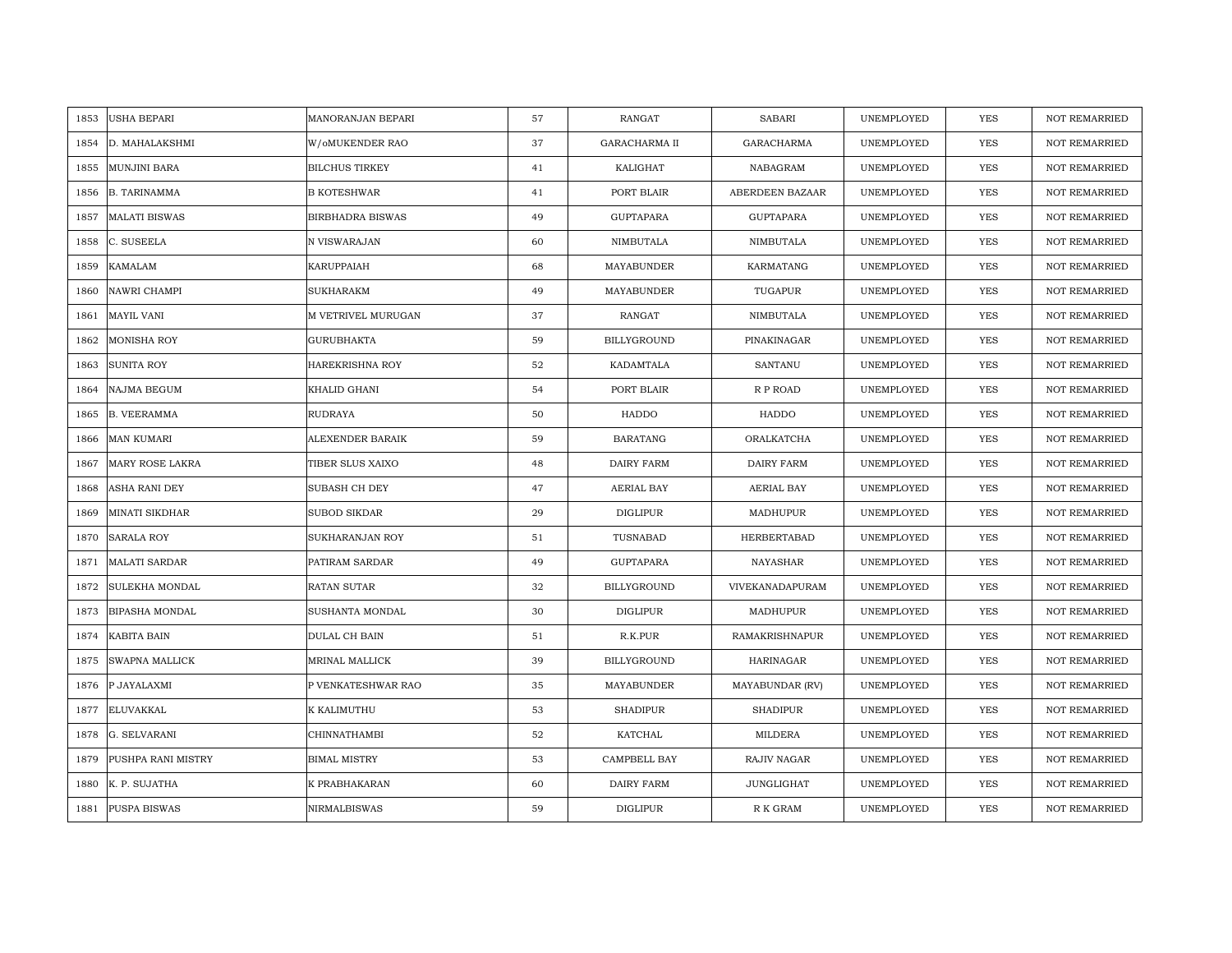| USHA BEPARI<br>1853           | MANORANJAN BEPARI       | 57 | <b>RANGAT</b>        | <b>SABARI</b>     | UNEMPLOYED | <b>YES</b> | <b>NOT REMARRIED</b> |
|-------------------------------|-------------------------|----|----------------------|-------------------|------------|------------|----------------------|
| D. MAHALAKSHMI<br>1854        | W/oMUKENDER RAO         | 37 | <b>GARACHARMA II</b> | GARACHARMA        | UNEMPLOYED | <b>YES</b> | NOT REMARRIED        |
| 1855<br>MUNJINI BARA          | <b>BILCHUS TIRKEY</b>   | 41 | KALIGHAT             | NABAGRAM          | UNEMPLOYED | YES        | <b>NOT REMARRIED</b> |
| <b>B. TARINAMMA</b><br>1856   | <b>B KOTESHWAR</b>      | 41 | PORT BLAIR           | ABERDEEN BAZAAR   | UNEMPLOYED | <b>YES</b> | <b>NOT REMARRIED</b> |
| <b>MALATI BISWAS</b><br>1857  | <b>BIRBHADRA BISWAS</b> | 49 | <b>GUPTAPARA</b>     | <b>GUPTAPARA</b>  | UNEMPLOYED | YES        | <b>NOT REMARRIED</b> |
| 1858<br>C. SUSEELA            | N VISWARAJAN            | 60 | NIMBUTALA            | NIMBUTALA         | UNEMPLOYED | YES        | NOT REMARRIED        |
| KAMALAM<br>1859               | KARUPPAIAH              | 68 | MAYABUNDER           | KARMATANG         | UNEMPLOYED | <b>YES</b> | <b>NOT REMARRIED</b> |
| 1860<br>NAWRI CHAMPI          | SUKHARAKM               | 49 | MAYABUNDER           | TUGAPUR           | UNEMPLOYED | YES        | <b>NOT REMARRIED</b> |
| 1861<br>MAYIL VANI            | M VETRIVEL MURUGAN      | 37 | RANGAT               | NIMBUTALA         | UNEMPLOYED | YES        | NOT REMARRIED        |
| MONISHA ROY<br>1862           | <b>GURUBHAKTA</b>       | 59 | BILLYGROUND          | PINAKINAGAR       | UNEMPLOYED | YES        | NOT REMARRIED        |
| 1863<br>SUNITA ROY            | HAREKRISHNA ROY         | 52 | KADAMTALA            | <b>SANTANU</b>    | UNEMPLOYED | <b>YES</b> | <b>NOT REMARRIED</b> |
| 1864<br>NAJMA BEGUM           | KHALID GHANI            | 54 | PORT BLAIR           | R P ROAD          | UNEMPLOYED | YES        | <b>NOT REMARRIED</b> |
| <b>B. VEERAMMA</b><br>1865    | RUDRAYA                 | 50 | HADDO                | HADDO             | UNEMPLOYED | YES        | NOT REMARRIED        |
| 1866<br><b>MAN KUMARI</b>     | ALEXENDER BARAIK        | 59 | <b>BARATANG</b>      | ORALKATCHA        | UNEMPLOYED | <b>YES</b> | <b>NOT REMARRIED</b> |
| MARY ROSE LAKRA<br>1867       | TIBER SLUS XAIXO        | 48 | DAIRY FARM           | <b>DAIRY FARM</b> | UNEMPLOYED | YES        | <b>NOT REMARRIED</b> |
| ASHA RANI DEY<br>1868         | SUBASH CH DEY           | 47 | AERIAL BAY           | <b>AERIAL BAY</b> | UNEMPLOYED | <b>YES</b> | <b>NOT REMARRIED</b> |
| <b>MINATI SIKDHAR</b><br>1869 | <b>SUBOD SIKDAR</b>     | 29 | <b>DIGLIPUR</b>      | MADHUPUR          | UNEMPLOYED | YES        | <b>NOT REMARRIED</b> |
| 1870<br><b>SARALA ROY</b>     | SUKHARANJAN ROY         | 51 | TUSNABAD             | HERBERTABAD       | UNEMPLOYED | <b>YES</b> | <b>NOT REMARRIED</b> |
| <b>MALATI SARDAR</b><br>1871  | PATIRAM SARDAR          | 49 | <b>GUPTAPARA</b>     | NAYASHAR          | UNEMPLOYED | YES        | <b>NOT REMARRIED</b> |
| 1872<br>SULEKHA MONDAL        | RATAN SUTAR             | 32 | BILLYGROUND          | VIVEKANADAPURAM   | UNEMPLOYED | YES        | <b>NOT REMARRIED</b> |
| BIPASHA MONDAL<br>1873        | SUSHANTA MONDAL         | 30 | <b>DIGLIPUR</b>      | MADHUPUR          | UNEMPLOYED | <b>YES</b> | <b>NOT REMARRIED</b> |
| 1874<br>KABITA BAIN           | DULAL CH BAIN           | 51 | R.K.PUR              | RAMAKRISHNAPUR    | UNEMPLOYED | YES        | NOT REMARRIED        |
| 1875<br>SWAPNA MALLICK        | MRINAL MALLICK          | 39 | BILLYGROUND          | HARINAGAR         | UNEMPLOYED | <b>YES</b> | <b>NOT REMARRIED</b> |
| 1876<br>P JAYALAXMI           | P VENKATESHWAR RAO      | 35 | MAYABUNDER           | MAYABUNDAR (RV)   | UNEMPLOYED | <b>YES</b> | <b>NOT REMARRIED</b> |
| 1877<br>ELUVAKKAL             | K KALIMUTHU             | 53 | <b>SHADIPUR</b>      | <b>SHADIPUR</b>   | UNEMPLOYED | <b>YES</b> | <b>NOT REMARRIED</b> |
| 1878<br>G. SELVARANI          | CHINNATHAMBI            | 52 | KATCHAL              | MILDERA           | UNEMPLOYED | YES        | NOT REMARRIED        |
| 1879<br>PUSHPA RANI MISTRY    | <b>BIMAL MISTRY</b>     | 53 | CAMPBELL BAY         | RAJIV NAGAR       | UNEMPLOYED | <b>YES</b> | <b>NOT REMARRIED</b> |
| 1880<br>K. P. SUJATHA         | K PRABHAKARAN           | 60 | DAIRY FARM           | <b>JUNGLIGHAT</b> | UNEMPLOYED | YES        | <b>NOT REMARRIED</b> |
| PUSPA BISWAS<br>1881          | NIRMALBISWAS            | 59 | <b>DIGLIPUR</b>      | R K GRAM          | UNEMPLOYED | YES        | NOT REMARRIED        |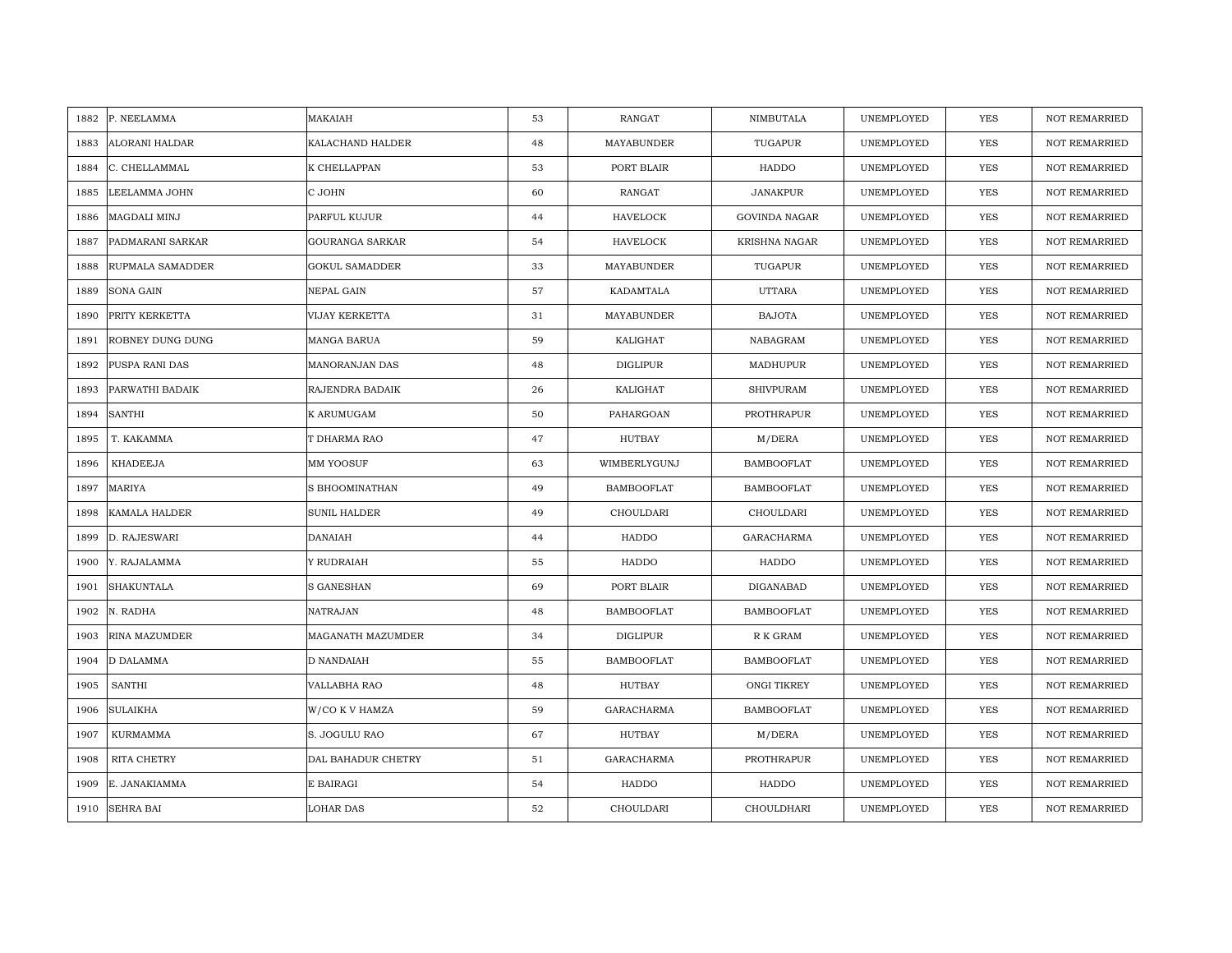| 1882 | P. NEELAMMA           | MAKAIAH                | 53 | <b>RANGAT</b>     | NIMBUTALA            | UNEMPLOYED | YES        | <b>NOT REMARRIED</b> |
|------|-----------------------|------------------------|----|-------------------|----------------------|------------|------------|----------------------|
| 1883 | <b>ALORANI HALDAR</b> | KALACHAND HALDER       | 48 | MAYABUNDER        | TUGAPUR              | UNEMPLOYED | <b>YES</b> | NOT REMARRIED        |
| 1884 | C. CHELLAMMAL         | K CHELLAPPAN           | 53 | PORT BLAIR        | HADDO                | UNEMPLOYED | <b>YES</b> | <b>NOT REMARRIED</b> |
| 1885 | LEELAMMA JOHN         | C JOHN                 | 60 | <b>RANGAT</b>     | <b>JANAKPUR</b>      | UNEMPLOYED | <b>YES</b> | <b>NOT REMARRIED</b> |
| 1886 | MAGDALI MINJ          | PARFUL KUJUR           | 44 | <b>HAVELOCK</b>   | <b>GOVINDA NAGAR</b> | UNEMPLOYED | <b>YES</b> | <b>NOT REMARRIED</b> |
| 1887 | PADMARANI SARKAR      | <b>GOURANGA SARKAR</b> | 54 | <b>HAVELOCK</b>   | <b>KRISHNA NAGAR</b> | UNEMPLOYED | <b>YES</b> | <b>NOT REMARRIED</b> |
| 1888 | RUPMALA SAMADDER      | <b>GOKUL SAMADDER</b>  | 33 | MAYABUNDER        | TUGAPUR              | UNEMPLOYED | <b>YES</b> | <b>NOT REMARRIED</b> |
| 1889 | SONA GAIN             | <b>NEPAL GAIN</b>      | 57 | KADAMTALA         | <b>UTTARA</b>        | UNEMPLOYED | YES        | NOT REMARRIED        |
| 1890 | PRITY KERKETTA        | <b>VIJAY KERKETTA</b>  | 31 | MAYABUNDER        | <b>BAJOTA</b>        | UNEMPLOYED | YES        | <b>NOT REMARRIED</b> |
| 1891 | ROBNEY DUNG DUNG      | MANGA BARUA            | 59 | KALIGHAT          | NABAGRAM             | UNEMPLOYED | <b>YES</b> | NOT REMARRIED        |
| 1892 | PUSPA RANI DAS        | MANORANJAN DAS         | 48 | DIGLIPUR          | MADHUPUR             | UNEMPLOYED | YES        | <b>NOT REMARRIED</b> |
| 1893 | PARWATHI BADAIK       | RAJENDRA BADAIK        | 26 | KALIGHAT          | <b>SHIVPURAM</b>     | UNEMPLOYED | YES        | NOT REMARRIED        |
| 1894 | <b>SANTHI</b>         | K ARUMUGAM             | 50 | PAHARGOAN         | PROTHRAPUR           | UNEMPLOYED | <b>YES</b> | NOT REMARRIED        |
| 1895 | T. KAKAMMA            | T DHARMA RAO           | 47 | <b>HUTBAY</b>     | M/DERA               | UNEMPLOYED | <b>YES</b> | <b>NOT REMARRIED</b> |
| 1896 | <b>KHADEEJA</b>       | MM YOOSUF              | 63 | WIMBERLYGUNJ      | <b>BAMBOOFLAT</b>    | UNEMPLOYED | <b>YES</b> | <b>NOT REMARRIED</b> |
| 1897 | MARIYA                | S BHOOMINATHAN         | 49 | <b>BAMBOOFLAT</b> | <b>BAMBOOFLAT</b>    | UNEMPLOYED | <b>YES</b> | <b>NOT REMARRIED</b> |
| 1898 | <b>KAMALA HALDER</b>  | <b>SUNIL HALDER</b>    | 49 | CHOULDARI         | CHOULDARI            | UNEMPLOYED | YES        | NOT REMARRIED        |
| 1899 | D. RAJESWARI          | <b>DANAIAH</b>         | 44 | HADDO             | GARACHARMA           | UNEMPLOYED | YES        | <b>NOT REMARRIED</b> |
| 1900 | Y. RAJALAMMA          | Y RUDRAIAH             | 55 | HADDO             | HADDO                | UNEMPLOYED | YES        | <b>NOT REMARRIED</b> |
| 1901 | <b>SHAKUNTALA</b>     | <b>S GANESHAN</b>      | 69 | PORT BLAIR        | <b>DIGANABAD</b>     | UNEMPLOYED | <b>YES</b> | <b>NOT REMARRIED</b> |
| 1902 | N. RADHA              | <b>NATRAJAN</b>        | 48 | <b>BAMBOOFLAT</b> | <b>BAMBOOFLAT</b>    | UNEMPLOYED | <b>YES</b> | <b>NOT REMARRIED</b> |
| 1903 | RINA MAZUMDER         | MAGANATH MAZUMDER      | 34 | DIGLIPUR          | R K GRAM             | UNEMPLOYED | YES        | NOT REMARRIED        |
| 1904 | D DALAMMA             | D NANDAIAH             | 55 | <b>BAMBOOFLAT</b> | <b>BAMBOOFLAT</b>    | UNEMPLOYED | <b>YES</b> | <b>NOT REMARRIED</b> |
| 1905 | SANTHI                | <b>VALLABHA RAO</b>    | 48 | HUTBAY            | ONGI TIKREY          | UNEMPLOYED | <b>YES</b> | <b>NOT REMARRIED</b> |
| 1906 | <b>SULAIKHA</b>       | W/CO K V HAMZA         | 59 | GARACHARMA        | <b>BAMBOOFLAT</b>    | UNEMPLOYED | YES        | <b>NOT REMARRIED</b> |
| 1907 | KURMAMMA              | S. JOGULU RAO          | 67 | HUTBAY            | M/DERA               | UNEMPLOYED | YES        | NOT REMARRIED        |
| 1908 | RITA CHETRY           | DAL BAHADUR CHETRY     | 51 | GARACHARMA        | PROTHRAPUR           | UNEMPLOYED | YES        | <b>NOT REMARRIED</b> |
| 1909 | E. JANAKIAMMA         | E BAIRAGI              | 54 | HADDO             | HADDO                | UNEMPLOYED | <b>YES</b> | <b>NOT REMARRIED</b> |
| 1910 | <b>SEHRA BAI</b>      | <b>LOHAR DAS</b>       | 52 | CHOULDARI         | CHOULDHARI           | UNEMPLOYED | <b>YES</b> | <b>NOT REMARRIED</b> |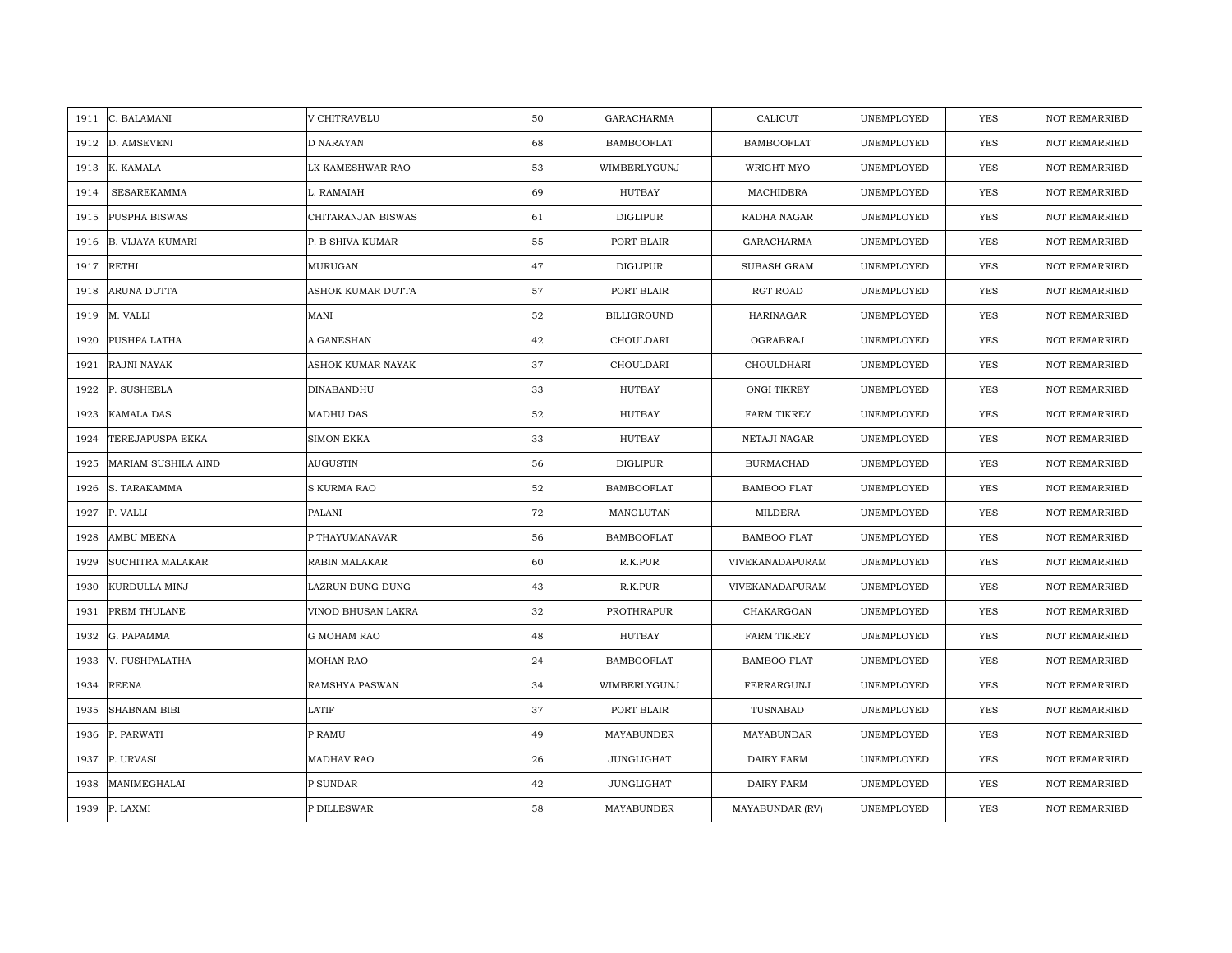| C. BALAMANI<br>1911             | V CHITRAVELU       | 50 | <b>GARACHARMA</b>  | CALICUT            | UNEMPLOYED | <b>YES</b> | <b>NOT REMARRIED</b> |
|---------------------------------|--------------------|----|--------------------|--------------------|------------|------------|----------------------|
| 1912<br>D. AMSEVENI             | D NARAYAN          | 68 | <b>BAMBOOFLAT</b>  | <b>BAMBOOFLAT</b>  | UNEMPLOYED | <b>YES</b> | NOT REMARRIED        |
| 1913<br>K. KAMALA               | LK KAMESHWAR RAO   | 53 | WIMBERLYGUNJ       | WRIGHT MYO         | UNEMPLOYED | YES        | <b>NOT REMARRIED</b> |
| <b>SESAREKAMMA</b><br>1914      | L. RAMAIAH         | 69 | HUTBAY             | MACHIDERA          | UNEMPLOYED | <b>YES</b> | <b>NOT REMARRIED</b> |
| PUSPHA BISWAS<br>1915           | CHITARANJAN BISWAS | 61 | DIGLIPUR           | RADHA NAGAR        | UNEMPLOYED | <b>YES</b> | <b>NOT REMARRIED</b> |
| 1916<br><b>B. VIJAYA KUMARI</b> | P. B SHIVA KUMAR   | 55 | PORT BLAIR         | GARACHARMA         | UNEMPLOYED | YES        | NOT REMARRIED        |
| <b>RETHI</b><br>1917            | MURUGAN            | 47 | DIGLIPUR           | <b>SUBASH GRAM</b> | UNEMPLOYED | YES        | <b>NOT REMARRIED</b> |
| ARUNA DUTTA<br>1918             | ASHOK KUMAR DUTTA  | 57 | PORT BLAIR         | RGT ROAD           | UNEMPLOYED | YES        | NOT REMARRIED        |
| 1919<br>M. VALLI                | MANI               | 52 | <b>BILLIGROUND</b> | HARINAGAR          | UNEMPLOYED | YES        | NOT REMARRIED        |
| PUSHPA LATHA<br>1920            | A GANESHAN         | 42 | CHOULDARI          | OGRABRAJ           | UNEMPLOYED | YES        | NOT REMARRIED        |
| 1921<br>RAJNI NAYAK             | ASHOK KUMAR NAYAK  | 37 | CHOULDARI          | CHOULDHARI         | UNEMPLOYED | YES        | <b>NOT REMARRIED</b> |
| P. SUSHEELA<br>1922             | DINABANDHU         | 33 | <b>HUTBAY</b>      | ONGI TIKREY        | UNEMPLOYED | YES        | NOT REMARRIED        |
| 1923<br>KAMALA DAS              | MADHU DAS          | 52 | HUTBAY             | <b>FARM TIKREY</b> | UNEMPLOYED | <b>YES</b> | NOT REMARRIED        |
| 1924<br>TEREJAPUSPA EKKA        | <b>SIMON EKKA</b>  | 33 | HUTBAY             | NETAJI NAGAR       | UNEMPLOYED | YES        | <b>NOT REMARRIED</b> |
| 1925<br>MARIAM SUSHILA AIND     | <b>AUGUSTIN</b>    | 56 | <b>DIGLIPUR</b>    | <b>BURMACHAD</b>   | UNEMPLOYED | YES        | NOT REMARRIED        |
| S. TARAKAMMA<br>1926            | S KURMA RAO        | 52 | <b>BAMBOOFLAT</b>  | <b>BAMBOO FLAT</b> | UNEMPLOYED | <b>YES</b> | <b>NOT REMARRIED</b> |
| 1927<br>P. VALLI                | PALANI             | 72 | MANGLUTAN          | MILDERA            | UNEMPLOYED | YES        | <b>NOT REMARRIED</b> |
| 1928<br>AMBU MEENA              | P THAYUMANAVAR     | 56 | <b>BAMBOOFLAT</b>  | <b>BAMBOO FLAT</b> | UNEMPLOYED | YES        | NOT REMARRIED        |
| SUCHITRA MALAKAR<br>1929        | RABIN MALAKAR      | 60 | R.K.PUR            | VIVEKANADAPURAM    | UNEMPLOYED | YES        | NOT REMARRIED        |
| 1930<br>KURDULLA MINJ           | LAZRUN DUNG DUNG   | 43 | R.K.PUR            | VIVEKANADAPURAM    | UNEMPLOYED | YES        | NOT REMARRIED        |
| 1931<br>PREM THULANE            | VINOD BHUSAN LAKRA | 32 | PROTHRAPUR         | CHAKARGOAN         | UNEMPLOYED | <b>YES</b> | <b>NOT REMARRIED</b> |
| 1932<br>G. PAPAMMA              | <b>G MOHAM RAO</b> | 48 | HUTBAY             | <b>FARM TIKREY</b> | UNEMPLOYED | <b>YES</b> | <b>NOT REMARRIED</b> |
| V. PUSHPALATHA<br>1933          | <b>MOHAN RAO</b>   | 24 | <b>BAMBOOFLAT</b>  | <b>BAMBOO FLAT</b> | UNEMPLOYED | <b>YES</b> | <b>NOT REMARRIED</b> |
| <b>REENA</b><br>1934            | RAMSHYA PASWAN     | 34 | WIMBERLYGUNJ       | FERRARGUNJ         | UNEMPLOYED | YES        | <b>NOT REMARRIED</b> |
| 1935<br>SHABNAM BIBI            | LATIF              | 37 | PORT BLAIR         | TUSNABAD           | UNEMPLOYED | <b>YES</b> | <b>NOT REMARRIED</b> |
| 1936<br>P. PARWATI              | P RAMU             | 49 | MAYABUNDER         | MAYABUNDAR         | UNEMPLOYED | <b>YES</b> | <b>NOT REMARRIED</b> |
| 1937<br>P. URVASI               | <b>MADHAV RAO</b>  | 26 | JUNGLIGHAT         | DAIRY FARM         | UNEMPLOYED | YES        | NOT REMARRIED        |
| MANIMEGHALAI<br>1938            | P SUNDAR           | 42 | JUNGLIGHAT         | <b>DAIRY FARM</b>  | UNEMPLOYED | <b>YES</b> | <b>NOT REMARRIED</b> |
| 1939<br>P. LAXMI                | P DILLESWAR        | 58 | MAYABUNDER         | MAYABUNDAR (RV)    | UNEMPLOYED | <b>YES</b> | <b>NOT REMARRIED</b> |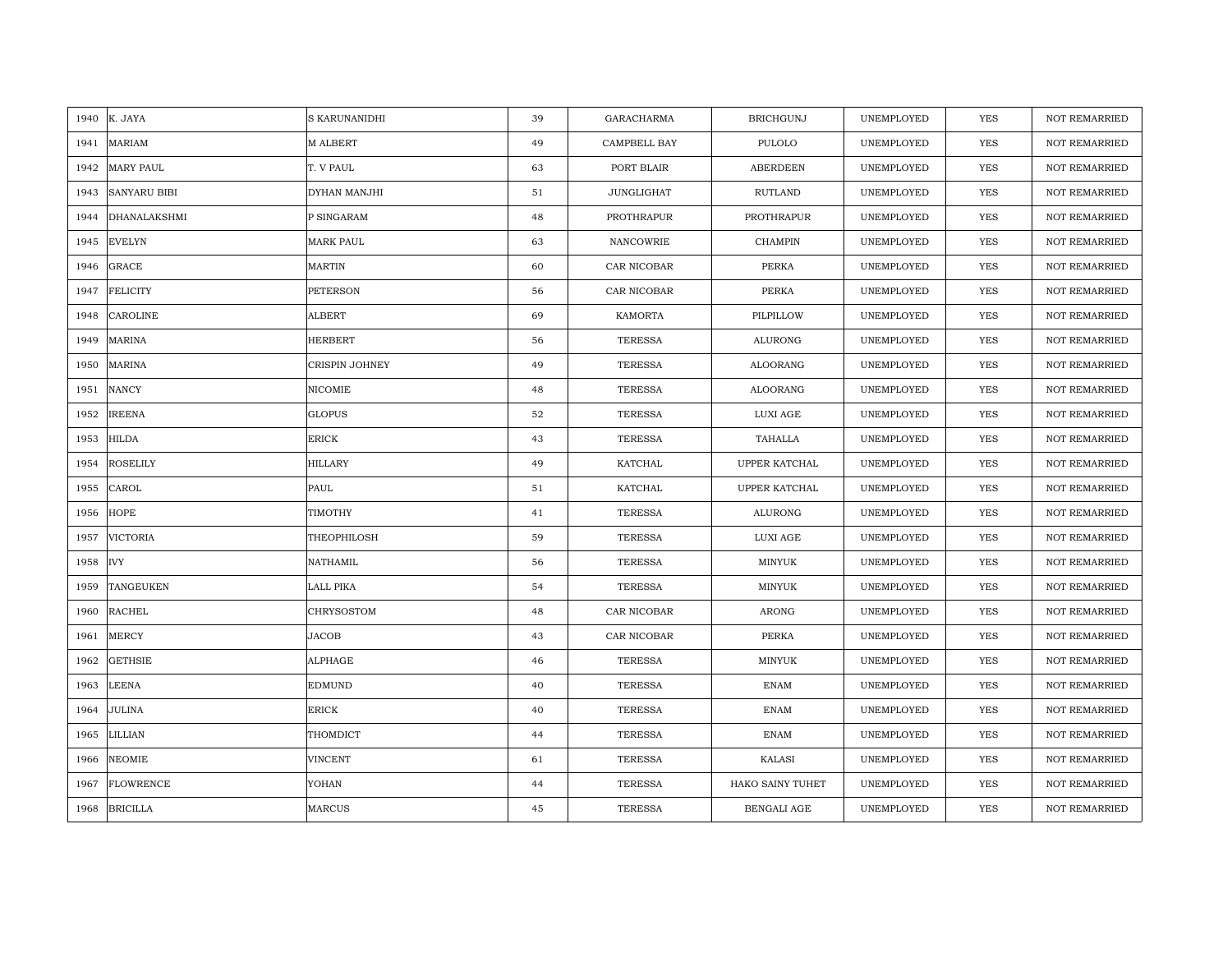|      | 1940 K. JAYA        | S KARUNANIDHI    | 39 | <b>GARACHARMA</b> | <b>BRICHGUNJ</b> | UNEMPLOYED | <b>YES</b> | <b>NOT REMARRIED</b> |
|------|---------------------|------------------|----|-------------------|------------------|------------|------------|----------------------|
| 1941 | <b>MARIAM</b>       | M ALBERT         | 49 | CAMPBELL BAY      | PULOLO           | UNEMPLOYED | YES        | NOT REMARRIED        |
| 1942 | <b>MARY PAUL</b>    | T. V PAUL        | 63 | PORT BLAIR        | <b>ABERDEEN</b>  | UNEMPLOYED | YES        | <b>NOT REMARRIED</b> |
| 1943 | <b>SANYARU BIBI</b> | DYHAN MANJHI     | 51 | JUNGLIGHAT        | RUTLAND          | UNEMPLOYED | <b>YES</b> | <b>NOT REMARRIED</b> |
| 1944 | <b>DHANALAKSHMI</b> | P SINGARAM       | 48 | PROTHRAPUR        | PROTHRAPUR       | UNEMPLOYED | YES        | <b>NOT REMARRIED</b> |
| 1945 | <b>EVELYN</b>       | <b>MARK PAUL</b> | 63 | NANCOWRIE         | <b>CHAMPIN</b>   | UNEMPLOYED | YES        | <b>NOT REMARRIED</b> |
| 1946 | <b>GRACE</b>        | <b>MARTIN</b>    | 60 | CAR NICOBAR       | PERKA            | UNEMPLOYED | <b>YES</b> | <b>NOT REMARRIED</b> |
| 1947 | <b>FELICITY</b>     | PETERSON         | 56 | CAR NICOBAR       | PERKA            | UNEMPLOYED | YES        | NOT REMARRIED        |
| 1948 | CAROLINE            | ALBERT           | 69 | KAMORTA           | PILPILLOW        | UNEMPLOYED | YES        | NOT REMARRIED        |
| 1949 | <b>MARINA</b>       | <b>HERBERT</b>   | 56 | <b>TERESSA</b>    | ALURONG          | UNEMPLOYED | <b>YES</b> | <b>NOT REMARRIED</b> |
| 1950 | <b>MARINA</b>       | CRISPIN JOHNEY   | 49 | <b>TERESSA</b>    | ALOORANG         | UNEMPLOYED | YES        | <b>NOT REMARRIED</b> |
| 1951 | <b>NANCY</b>        | NICOMIE          | 48 | <b>TERESSA</b>    | ALOORANG         | UNEMPLOYED | YES        | NOT REMARRIED        |
| 1952 | <b>IREENA</b>       | <b>GLOPUS</b>    | 52 | <b>TERESSA</b>    | LUXI AGE         | UNEMPLOYED | <b>YES</b> | NOT REMARRIED        |
| 1953 | <b>HILDA</b>        | <b>ERICK</b>     | 43 | <b>TERESSA</b>    | TAHALLA          | UNEMPLOYED | <b>YES</b> | <b>NOT REMARRIED</b> |
| 1954 | <b>ROSELILY</b>     | <b>HILLARY</b>   | 49 | KATCHAL           | UPPER KATCHAL    | UNEMPLOYED | YES        | NOT REMARRIED        |
| 1955 | CAROL               | PAUL             | 51 | KATCHAL           | UPPER KATCHAL    | UNEMPLOYED | YES        | <b>NOT REMARRIED</b> |
| 1956 | <b>HOPE</b>         | TIMOTHY          | 41 | <b>TERESSA</b>    | <b>ALURONG</b>   | UNEMPLOYED | YES        | NOT REMARRIED        |
| 1957 | VICTORIA            | THEOPHILOSH      | 59 | <b>TERESSA</b>    | LUXI AGE         | UNEMPLOYED | YES        | <b>NOT REMARRIED</b> |
| 1958 | <b>IVY</b>          | NATHAMIL         | 56 | <b>TERESSA</b>    | MINYUK           | UNEMPLOYED | YES        | NOT REMARRIED        |
| 1959 | TANGEUKEN           | LALL PIKA        | 54 | <b>TERESSA</b>    | MINYUK           | UNEMPLOYED | YES        | <b>NOT REMARRIED</b> |
| 1960 | <b>RACHEL</b>       | CHRYSOSTOM       | 48 | CAR NICOBAR       | ARONG            | UNEMPLOYED | YES        | <b>NOT REMARRIED</b> |
| 1961 | MERCY               | JACOB            | 43 | CAR NICOBAR       | PERKA            | UNEMPLOYED | YES        | NOT REMARRIED        |
| 1962 | <b>GETHSIE</b>      | ALPHAGE          | 46 | <b>TERESSA</b>    | MINYUK           | UNEMPLOYED | <b>YES</b> | <b>NOT REMARRIED</b> |
| 1963 | LEENA               | <b>EDMUND</b>    | 40 | <b>TERESSA</b>    | <b>ENAM</b>      | UNEMPLOYED | <b>YES</b> | <b>NOT REMARRIED</b> |
| 1964 | <b>JULINA</b>       | <b>ERICK</b>     | 40 | <b>TERESSA</b>    | <b>ENAM</b>      | UNEMPLOYED | YES        | NOT REMARRIED        |
| 1965 | LILLIAN             | THOMDICT         | 44 | <b>TERESSA</b>    | <b>ENAM</b>      | UNEMPLOYED | YES        | NOT REMARRIED        |
| 1966 | <b>NEOMIE</b>       | <b>VINCENT</b>   | 61 | <b>TERESSA</b>    | KALASI           | UNEMPLOYED | YES        | NOT REMARRIED        |
| 1967 | <b>FLOWRENCE</b>    | YOHAN            | 44 | <b>TERESSA</b>    | HAKO SAINY TUHET | UNEMPLOYED | <b>YES</b> | <b>NOT REMARRIED</b> |
| 1968 | <b>BRICILLA</b>     | <b>MARCUS</b>    | 45 | <b>TERESSA</b>    | BENGALI AGE      | UNEMPLOYED | <b>YES</b> | <b>NOT REMARRIED</b> |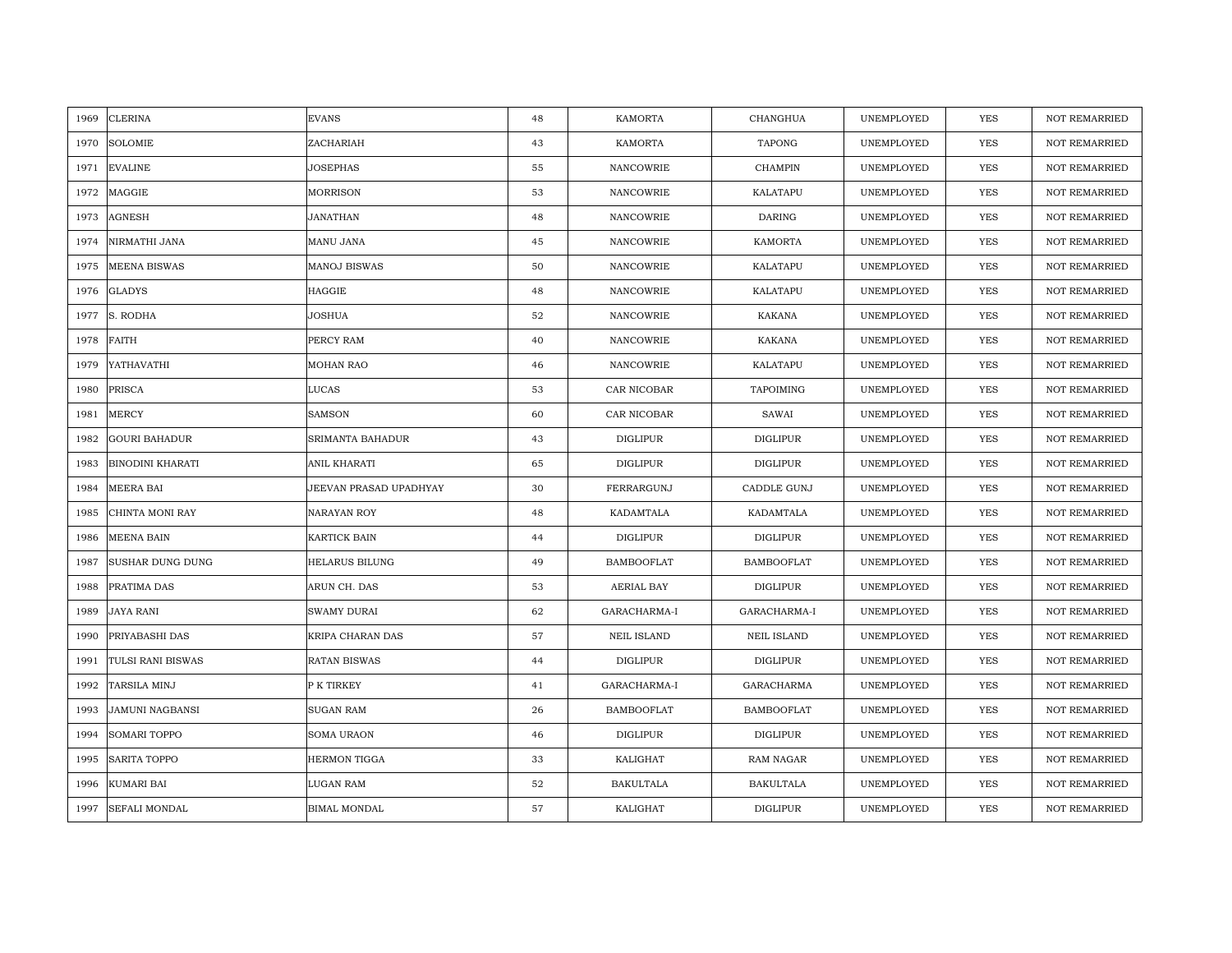| 1969 | <b>CLERINA</b>          | <b>EVANS</b>           | 48 | <b>KAMORTA</b>     | CHANGHUA           | UNEMPLOYED | <b>YES</b> | <b>NOT REMARRIED</b> |
|------|-------------------------|------------------------|----|--------------------|--------------------|------------|------------|----------------------|
| 1970 | <b>SOLOMIE</b>          | ZACHARIAH              | 43 | KAMORTA            | <b>TAPONG</b>      | UNEMPLOYED | <b>YES</b> | NOT REMARRIED        |
| 1971 | <b>EVALINE</b>          | <b>JOSEPHAS</b>        | 55 | NANCOWRIE          | <b>CHAMPIN</b>     | UNEMPLOYED | YES        | <b>NOT REMARRIED</b> |
| 1972 | MAGGIE                  | <b>MORRISON</b>        | 53 | NANCOWRIE          | KALATAPU           | UNEMPLOYED | <b>YES</b> | <b>NOT REMARRIED</b> |
| 1973 | <b>AGNESH</b>           | <b>JANATHAN</b>        | 48 | NANCOWRIE          | <b>DARING</b>      | UNEMPLOYED | YES        | <b>NOT REMARRIED</b> |
| 1974 | NIRMATHI JANA           | MANU JANA              | 45 | NANCOWRIE          | <b>KAMORTA</b>     | UNEMPLOYED | YES        | <b>NOT REMARRIED</b> |
| 1975 | <b>MEENA BISWAS</b>     | <b>MANOJ BISWAS</b>    | 50 | <b>NANCOWRIE</b>   | KALATAPU           | UNEMPLOYED | YES        | <b>NOT REMARRIED</b> |
| 1976 | <b>GLADYS</b>           | HAGGIE                 | 48 | NANCOWRIE          | KALATAPU           | UNEMPLOYED | YES        | NOT REMARRIED        |
| 1977 | S. RODHA                | JOSHUA                 | 52 | NANCOWRIE          | <b>KAKANA</b>      | UNEMPLOYED | YES        | NOT REMARRIED        |
| 1978 | FAITH                   | PERCY RAM              | 40 | NANCOWRIE          | <b>KAKANA</b>      | UNEMPLOYED | YES        | <b>NOT REMARRIED</b> |
| 1979 | YATHAVATHI              | MOHAN RAO              | 46 | NANCOWRIE          | KALATAPU           | UNEMPLOYED | YES        | <b>NOT REMARRIED</b> |
| 1980 | PRISCA                  | LUCAS                  | 53 | CAR NICOBAR        | <b>TAPOIMING</b>   | UNEMPLOYED | YES        | NOT REMARRIED        |
| 1981 | <b>MERCY</b>            | <b>SAMSON</b>          | 60 | CAR NICOBAR        | SAWAI              | UNEMPLOYED | YES        | NOT REMARRIED        |
| 1982 | <b>GOURI BAHADUR</b>    | SRIMANTA BAHADUR       | 43 | <b>DIGLIPUR</b>    | <b>DIGLIPUR</b>    | UNEMPLOYED | <b>YES</b> | <b>NOT REMARRIED</b> |
| 1983 | <b>BINODINI KHARATI</b> | ANIL KHARATI           | 65 | <b>DIGLIPUR</b>    | <b>DIGLIPUR</b>    | UNEMPLOYED | YES        | NOT REMARRIED        |
| 1984 | MEERA BAI               | JEEVAN PRASAD UPADHYAY | 30 | FERRARGUNJ         | CADDLE GUNJ        | UNEMPLOYED | YES        | <b>NOT REMARRIED</b> |
| 1985 | CHINTA MONI RAY         | NARAYAN ROY            | 48 | KADAMTALA          | KADAMTALA          | UNEMPLOYED | YES        | <b>NOT REMARRIED</b> |
| 1986 | <b>MEENA BAIN</b>       | KARTICK BAIN           | 44 | DIGLIPUR           | DIGLIPUR           | UNEMPLOYED | YES        | <b>NOT REMARRIED</b> |
| 1987 | <b>SUSHAR DUNG DUNG</b> | <b>HELARUS BILUNG</b>  | 49 | <b>BAMBOOFLAT</b>  | <b>BAMBOOFLAT</b>  | UNEMPLOYED | <b>YES</b> | NOT REMARRIED        |
| 1988 | PRATIMA DAS             | ARUN CH. DAS           | 53 | AERIAL BAY         | <b>DIGLIPUR</b>    | UNEMPLOYED | <b>YES</b> | <b>NOT REMARRIED</b> |
| 1989 | <b>JAYA RANI</b>        | <b>SWAMY DURAI</b>     | 62 | GARACHARMA-I       | GARACHARMA-I       | UNEMPLOYED | YES        | <b>NOT REMARRIED</b> |
| 1990 | PRIYABASHI DAS          | KRIPA CHARAN DAS       | 57 | <b>NEIL ISLAND</b> | <b>NEIL ISLAND</b> | UNEMPLOYED | YES        | NOT REMARRIED        |
| 1991 | TULSI RANI BISWAS       | <b>RATAN BISWAS</b>    | 44 | <b>DIGLIPUR</b>    | <b>DIGLIPUR</b>    | UNEMPLOYED | YES        | <b>NOT REMARRIED</b> |
| 1992 | TARSILA MINJ            | P K TIRKEY             | 41 | GARACHARMA-I       | <b>GARACHARMA</b>  | UNEMPLOYED | YES        | <b>NOT REMARRIED</b> |
| 1993 | <b>JAMUNI NAGBANSI</b>  | <b>SUGAN RAM</b>       | 26 | <b>BAMBOOFLAT</b>  | <b>BAMBOOFLAT</b>  | UNEMPLOYED | YES        | <b>NOT REMARRIED</b> |
| 1994 | SOMARI TOPPO            | <b>SOMA URAON</b>      | 46 | <b>DIGLIPUR</b>    | <b>DIGLIPUR</b>    | UNEMPLOYED | YES        | NOT REMARRIED        |
| 1995 | <b>SARITA TOPPO</b>     | <b>HERMON TIGGA</b>    | 33 | KALIGHAT           | RAM NAGAR          | UNEMPLOYED | YES        | <b>NOT REMARRIED</b> |
| 1996 | <b>KUMARI BAI</b>       | LUGAN RAM              | 52 | <b>BAKULTALA</b>   | <b>BAKULTALA</b>   | UNEMPLOYED | <b>YES</b> | <b>NOT REMARRIED</b> |
| 1997 | <b>SEFALI MONDAL</b>    | <b>BIMAL MONDAL</b>    | 57 | KALIGHAT           | <b>DIGLIPUR</b>    | UNEMPLOYED | <b>YES</b> | <b>NOT REMARRIED</b> |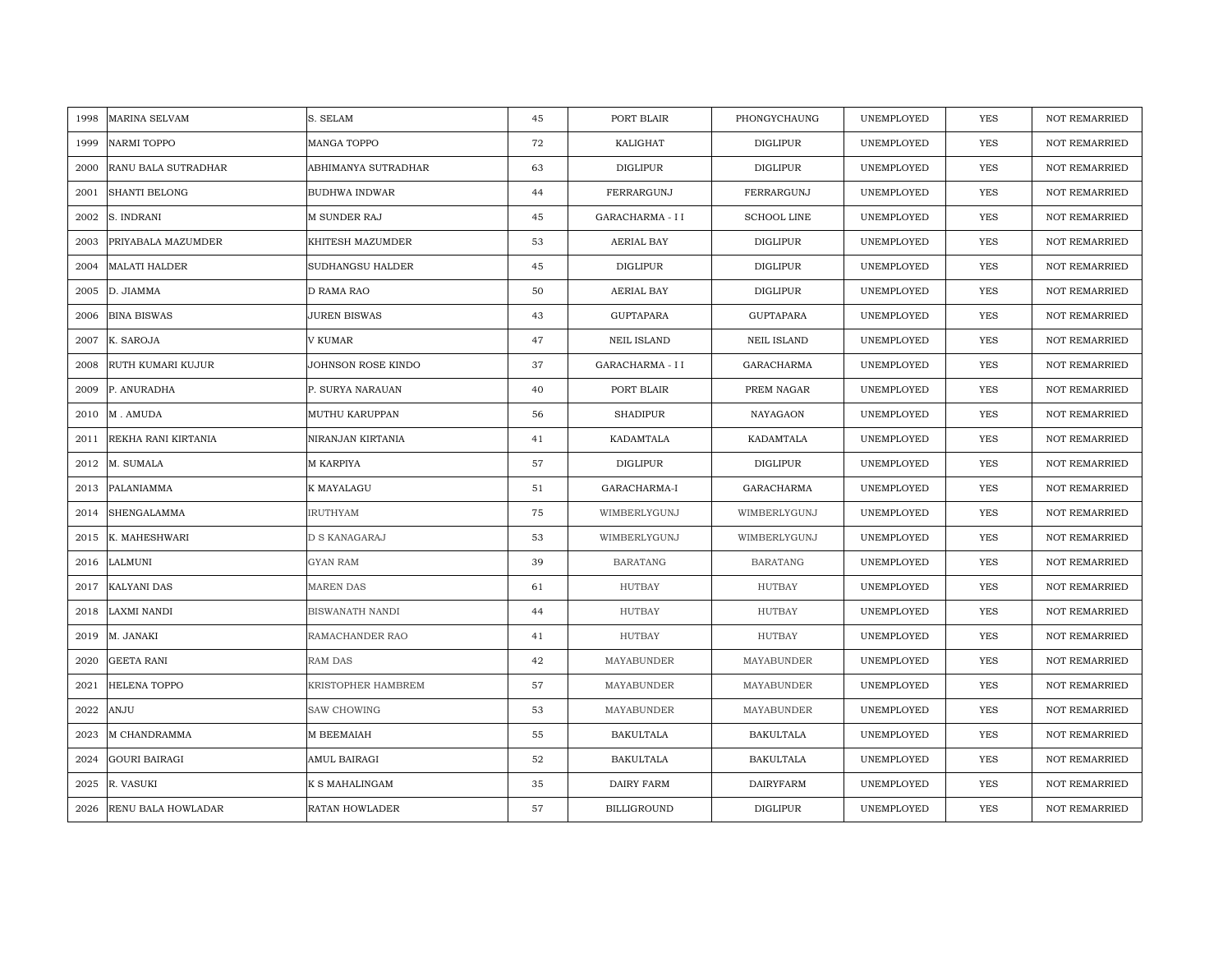| 1998 | <b>MARINA SELVAM</b>      | S. SELAM               | 45 | PORT BLAIR         | PHONGYCHAUNG       | UNEMPLOYED | YES        | <b>NOT REMARRIED</b> |
|------|---------------------------|------------------------|----|--------------------|--------------------|------------|------------|----------------------|
| 1999 | <b>NARMI TOPPO</b>        | MANGA TOPPO            | 72 | KALIGHAT           | DIGLIPUR           | UNEMPLOYED | <b>YES</b> | <b>NOT REMARRIED</b> |
| 2000 | RANU BALA SUTRADHAR       | ABHIMANYA SUTRADHAR    | 63 | <b>DIGLIPUR</b>    | <b>DIGLIPUR</b>    | UNEMPLOYED | <b>YES</b> | <b>NOT REMARRIED</b> |
| 2001 | <b>SHANTI BELONG</b>      | <b>BUDHWA INDWAR</b>   | 44 | FERRARGUNJ         | FERRARGUNJ         | UNEMPLOYED | <b>YES</b> | <b>NOT REMARRIED</b> |
| 2002 | S. INDRANI                | <b>M SUNDER RAJ</b>    | 45 | GARACHARMA - I I   | <b>SCHOOL LINE</b> | UNEMPLOYED | <b>YES</b> | <b>NOT REMARRIED</b> |
| 2003 | PRIYABALA MAZUMDER        | KHITESH MAZUMDER       | 53 | AERIAL BAY         | DIGLIPUR           | UNEMPLOYED | <b>YES</b> | <b>NOT REMARRIED</b> |
| 2004 | <b>MALATI HALDER</b>      | SUDHANGSU HALDER       | 45 | <b>DIGLIPUR</b>    | DIGLIPUR           | UNEMPLOYED | <b>YES</b> | <b>NOT REMARRIED</b> |
| 2005 | D. JIAMMA                 | D RAMA RAO             | 50 | AERIAL BAY         | DIGLIPUR           | UNEMPLOYED | YES        | <b>NOT REMARRIED</b> |
| 2006 | <b>BINA BISWAS</b>        | <b>JUREN BISWAS</b>    | 43 | GUPTAPARA          | <b>GUPTAPARA</b>   | UNEMPLOYED | <b>YES</b> | NOT REMARRIED        |
| 2007 | K. SAROJA                 | V KUMAR                | 47 | <b>NEIL ISLAND</b> | NEIL ISLAND        | UNEMPLOYED | <b>YES</b> | <b>NOT REMARRIED</b> |
| 2008 | RUTH KUMARI KUJUR         | JOHNSON ROSE KINDO     | 37 | GARACHARMA - I I   | GARACHARMA         | UNEMPLOYED | YES        | <b>NOT REMARRIED</b> |
| 2009 | P. ANURADHA               | P. SURYA NARAUAN       | 40 | PORT BLAIR         | PREM NAGAR         | UNEMPLOYED | <b>YES</b> | NOT REMARRIED        |
| 2010 | M. AMUDA                  | MUTHU KARUPPAN         | 56 | <b>SHADIPUR</b>    | NAYAGAON           | UNEMPLOYED | <b>YES</b> | <b>NOT REMARRIED</b> |
| 2011 | REKHA RANI KIRTANIA       | NIRANJAN KIRTANIA      | 41 | KADAMTALA          | KADAMTALA          | UNEMPLOYED | YES        | <b>NOT REMARRIED</b> |
| 2012 | M. SUMALA                 | M KARPIYA              | 57 | <b>DIGLIPUR</b>    | <b>DIGLIPUR</b>    | UNEMPLOYED | YES        | <b>NOT REMARRIED</b> |
| 2013 | PALANIAMMA                | K MAYALAGU             | 51 | GARACHARMA-I       | GARACHARMA         | UNEMPLOYED | <b>YES</b> | NOT REMARRIED        |
| 2014 | SHENGALAMMA               | <b>IRUTHYAM</b>        | 75 | WIMBERLYGUNJ       | WIMBERLYGUNJ       | UNEMPLOYED | <b>YES</b> | NOT REMARRIED        |
| 2015 | K. MAHESHWARI             | D S KANAGARAJ          | 53 | WIMBERLYGUNJ       | WIMBERLYGUNJ       | UNEMPLOYED | YES        | <b>NOT REMARRIED</b> |
| 2016 | LALMUNI                   | <b>GYAN RAM</b>        | 39 | <b>BARATANG</b>    | <b>BARATANG</b>    | UNEMPLOYED | <b>YES</b> | <b>NOT REMARRIED</b> |
| 2017 | <b>KALYANI DAS</b>        | <b>MAREN DAS</b>       | 61 | <b>HUTBAY</b>      | <b>HUTBAY</b>      | UNEMPLOYED | <b>YES</b> | <b>NOT REMARRIED</b> |
| 2018 | <b>LAXMI NANDI</b>        | <b>BISWANATH NANDI</b> | 44 | <b>HUTBAY</b>      | <b>HUTBAY</b>      | UNEMPLOYED | YES        | <b>NOT REMARRIED</b> |
| 2019 | M. JANAKI                 | RAMACHANDER RAO        | 41 | <b>HUTBAY</b>      | <b>HUTBAY</b>      | UNEMPLOYED | YES        | <b>NOT REMARRIED</b> |
| 2020 | GEETA RANI                | RAM DAS                | 42 | MAYABUNDER         | MAYABUNDER         | UNEMPLOYED | YES        | <b>NOT REMARRIED</b> |
| 2021 | <b>HELENA TOPPO</b>       | KRISTOPHER HAMBREM     | 57 | MAYABUNDER         | MAYABUNDER         | UNEMPLOYED | YES        | <b>NOT REMARRIED</b> |
| 2022 | ANJU                      | <b>SAW CHOWING</b>     | 53 | MAYABUNDER         | MAYABUNDER         | UNEMPLOYED | <b>YES</b> | <b>NOT REMARRIED</b> |
| 2023 | M CHANDRAMMA              | M BEEMAIAH             | 55 | <b>BAKULTALA</b>   | <b>BAKULTALA</b>   | UNEMPLOYED | YES        | NOT REMARRIED        |
| 2024 | <b>GOURI BAIRAGI</b>      | AMUL BAIRAGI           | 52 | BAKULTALA          | <b>BAKULTALA</b>   | UNEMPLOYED | YES        | <b>NOT REMARRIED</b> |
| 2025 | R. VASUKI                 | K S MAHALINGAM         | 35 | DAIRY FARM         | <b>DAIRYFARM</b>   | UNEMPLOYED | <b>YES</b> | <b>NOT REMARRIED</b> |
| 2026 | <b>RENU BALA HOWLADAR</b> | RATAN HOWLADER         | 57 | <b>BILLIGROUND</b> | <b>DIGLIPUR</b>    | UNEMPLOYED | <b>YES</b> | <b>NOT REMARRIED</b> |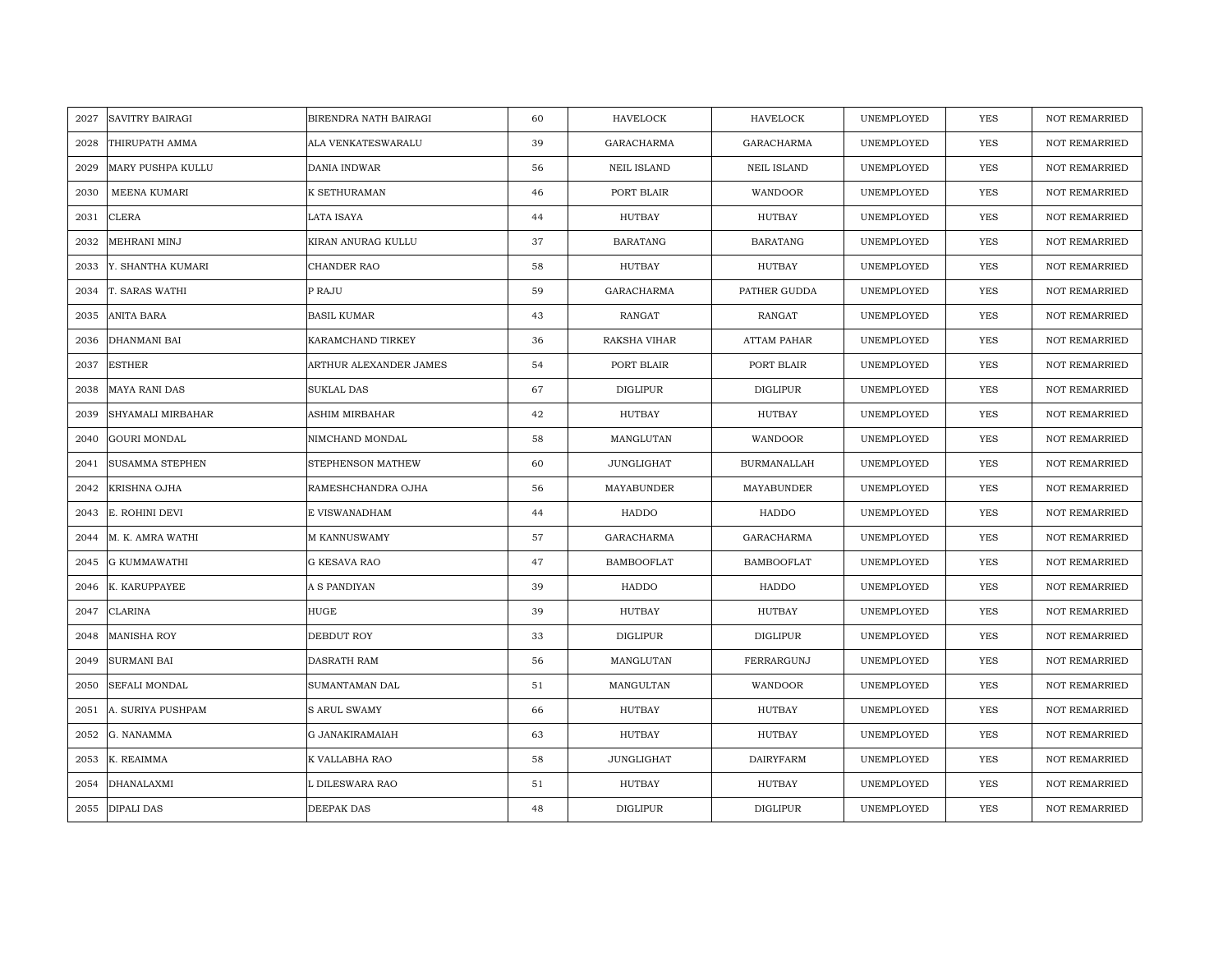| 2027 | <b>SAVITRY BAIRAGI</b> | BIRENDRA NATH BAIRAGI  | 60 | <b>HAVELOCK</b>    | <b>HAVELOCK</b>    | UNEMPLOYED | <b>YES</b> | <b>NOT REMARRIED</b> |
|------|------------------------|------------------------|----|--------------------|--------------------|------------|------------|----------------------|
| 2028 | THIRUPATH AMMA         | ALA VENKATESWARALU     | 39 | <b>GARACHARMA</b>  | GARACHARMA         | UNEMPLOYED | <b>YES</b> | NOT REMARRIED        |
| 2029 | MARY PUSHPA KULLU      | DANIA INDWAR           | 56 | <b>NEIL ISLAND</b> | <b>NEIL ISLAND</b> | UNEMPLOYED | <b>YES</b> | <b>NOT REMARRIED</b> |
| 2030 | MEENA KUMARI           | K SETHURAMAN           | 46 | PORT BLAIR         | WANDOOR            | UNEMPLOYED | <b>YES</b> | <b>NOT REMARRIED</b> |
| 2031 | <b>CLERA</b>           | LATA ISAYA             | 44 | HUTBAY             | <b>HUTBAY</b>      | UNEMPLOYED | <b>YES</b> | <b>NOT REMARRIED</b> |
| 2032 | MEHRANI MINJ           | KIRAN ANURAG KULLU     | 37 | <b>BARATANG</b>    | <b>BARATANG</b>    | UNEMPLOYED | <b>YES</b> | <b>NOT REMARRIED</b> |
| 2033 | Y. SHANTHA KUMARI      | <b>CHANDER RAO</b>     | 58 | <b>HUTBAY</b>      | HUTBAY             | UNEMPLOYED | <b>YES</b> | <b>NOT REMARRIED</b> |
| 2034 | T. SARAS WATHI         | P RAJU                 | 59 | GARACHARMA         | PATHER GUDDA       | UNEMPLOYED | YES        | NOT REMARRIED        |
| 2035 | ANITA BARA             | <b>BASIL KUMAR</b>     | 43 | RANGAT             | RANGAT             | UNEMPLOYED | YES        | NOT REMARRIED        |
| 2036 | <b>DHANMANI BAI</b>    | KARAMCHAND TIRKEY      | 36 | RAKSHA VIHAR       | ATTAM PAHAR        | UNEMPLOYED | <b>YES</b> | <b>NOT REMARRIED</b> |
| 2037 | <b>ESTHER</b>          | ARTHUR ALEXANDER JAMES | 54 | PORT BLAIR         | PORT BLAIR         | UNEMPLOYED | <b>YES</b> | <b>NOT REMARRIED</b> |
| 2038 | <b>MAYA RANI DAS</b>   | SUKLAL DAS             | 67 | <b>DIGLIPUR</b>    | <b>DIGLIPUR</b>    | UNEMPLOYED | YES        | NOT REMARRIED        |
| 2039 | SHYAMALI MIRBAHAR      | ASHIM MIRBAHAR         | 42 | HUTBAY             | HUTBAY             | UNEMPLOYED | <b>YES</b> | NOT REMARRIED        |
| 2040 | <b>GOURI MONDAL</b>    | NIMCHAND MONDAL        | 58 | MANGLUTAN          | WANDOOR            | UNEMPLOYED | <b>YES</b> | <b>NOT REMARRIED</b> |
| 2041 | <b>SUSAMMA STEPHEN</b> | STEPHENSON MATHEW      | 60 | JUNGLIGHAT         | <b>BURMANALLAH</b> | UNEMPLOYED | YES        | NOT REMARRIED        |
| 2042 | KRISHNA OJHA           | RAMESHCHANDRA OJHA     | 56 | MAYABUNDER         | MAYABUNDER         | UNEMPLOYED | YES        | <b>NOT REMARRIED</b> |
| 2043 | E. ROHINI DEVI         | E VISWANADHAM          | 44 | HADDO              | HADDO              | UNEMPLOYED | <b>YES</b> | <b>NOT REMARRIED</b> |
| 2044 | M. K. AMRA WATHI       | M KANNUSWAMY           | 57 | GARACHARMA         | GARACHARMA         | UNEMPLOYED | <b>YES</b> | <b>NOT REMARRIED</b> |
| 2045 | <b>G KUMMAWATHI</b>    | G KESAVA RAO           | 47 | <b>BAMBOOFLAT</b>  | <b>BAMBOOFLAT</b>  | UNEMPLOYED | <b>YES</b> | NOT REMARRIED        |
| 2046 | K. KARUPPAYEE          | A S PANDIYAN           | 39 | HADDO              | HADDO              | UNEMPLOYED | <b>YES</b> | <b>NOT REMARRIED</b> |
| 2047 | <b>CLARINA</b>         | HUGE                   | 39 | HUTBAY             | HUTBAY             | UNEMPLOYED | <b>YES</b> | <b>NOT REMARRIED</b> |
| 2048 | <b>MANISHA ROY</b>     | DEBDUT ROY             | 33 | <b>DIGLIPUR</b>    | <b>DIGLIPUR</b>    | UNEMPLOYED | YES        | NOT REMARRIED        |
| 2049 | SURMANI BAI            | DASRATH RAM            | 56 | MANGLUTAN          | FERRARGUNJ         | UNEMPLOYED | YES        | <b>NOT REMARRIED</b> |
| 2050 | SEFALI MONDAL          | SUMANTAMAN DAL         | 51 | MANGULTAN          | WANDOOR            | UNEMPLOYED | YES        | <b>NOT REMARRIED</b> |
| 2051 | A. SURIYA PUSHPAM      | <b>S ARUL SWAMY</b>    | 66 | HUTBAY             | HUTBAY             | UNEMPLOYED | YES        | NOT REMARRIED        |
| 2052 | G. NANAMMA             | G JANAKIRAMAIAH        | 63 | HUTBAY             | HUTBAY             | UNEMPLOYED | YES        | NOT REMARRIED        |
| 2053 | K. REAIMMA             | K VALLABHA RAO         | 58 | JUNGLIGHAT         | <b>DAIRYFARM</b>   | UNEMPLOYED | YES        | <b>NOT REMARRIED</b> |
| 2054 | DHANALAXMI             | L DILESWARA RAO        | 51 | HUTBAY             | HUTBAY             | UNEMPLOYED | <b>YES</b> | <b>NOT REMARRIED</b> |
|      | 2055 DIPALI DAS        | DEEPAK DAS             | 48 | <b>DIGLIPUR</b>    | <b>DIGLIPUR</b>    | UNEMPLOYED | <b>YES</b> | <b>NOT REMARRIED</b> |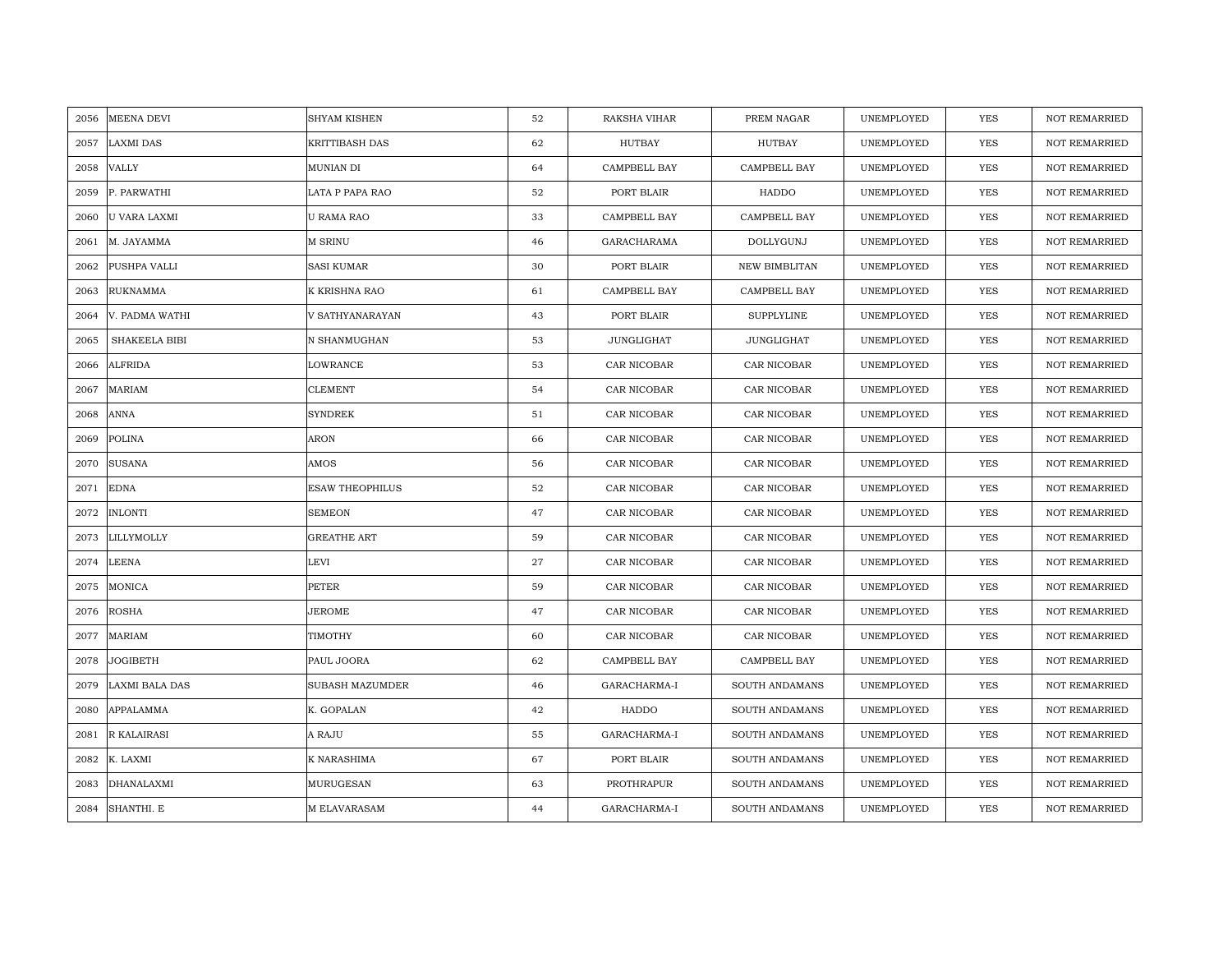| 2056 | MEENA DEVI           | SHYAM KISHEN           | 52 | RAKSHA VIHAR | PREM NAGAR           | UNEMPLOYED | YES        | <b>NOT REMARRIED</b> |
|------|----------------------|------------------------|----|--------------|----------------------|------------|------------|----------------------|
| 2057 | <b>LAXMI DAS</b>     | <b>KRITTIBASH DAS</b>  | 62 | HUTBAY       | HUTBAY               | UNEMPLOYED | <b>YES</b> | <b>NOT REMARRIED</b> |
| 2058 | <b>VALLY</b>         | MUNIAN DI              | 64 | CAMPBELL BAY | CAMPBELL BAY         | UNEMPLOYED | <b>YES</b> | <b>NOT REMARRIED</b> |
| 2059 | P. PARWATHI          | LATA P PAPA RAO        | 52 | PORT BLAIR   | HADDO                | UNEMPLOYED | YES        | <b>NOT REMARRIED</b> |
| 2060 | <b>U VARA LAXMI</b>  | <b>U RAMA RAO</b>      | 33 | CAMPBELL BAY | CAMPBELL BAY         | UNEMPLOYED | YES        | NOT REMARRIED        |
| 2061 | M. JAYAMMA           | <b>M SRINU</b>         | 46 | GARACHARAMA  | DOLLYGUNJ            | UNEMPLOYED | <b>YES</b> | NOT REMARRIED        |
| 2062 | PUSHPA VALLI         | <b>SASI KUMAR</b>      | 30 | PORT BLAIR   | <b>NEW BIMBLITAN</b> | UNEMPLOYED | <b>YES</b> | NOT REMARRIED        |
| 2063 | <b>RUKNAMMA</b>      | K KRISHNA RAO          | 61 | CAMPBELL BAY | CAMPBELL BAY         | UNEMPLOYED | YES        | NOT REMARRIED        |
| 2064 | V. PADMA WATHI       | V SATHYANARAYAN        | 43 | PORT BLAIR   | <b>SUPPLYLINE</b>    | UNEMPLOYED | YES        | NOT REMARRIED        |
| 2065 | <b>SHAKEELA BIBI</b> | N SHANMUGHAN           | 53 | JUNGLIGHAT   | JUNGLIGHAT           | UNEMPLOYED | <b>YES</b> | <b>NOT REMARRIED</b> |
| 2066 | <b>ALFRIDA</b>       | LOWRANCE               | 53 | CAR NICOBAR  | CAR NICOBAR          | UNEMPLOYED | YES        | <b>NOT REMARRIED</b> |
| 2067 | MARIAM               | <b>CLEMENT</b>         | 54 | CAR NICOBAR  | CAR NICOBAR          | UNEMPLOYED | YES        | NOT REMARRIED        |
| 2068 | <b>ANNA</b>          | <b>SYNDREK</b>         | 51 | CAR NICOBAR  | CAR NICOBAR          | UNEMPLOYED | <b>YES</b> | <b>NOT REMARRIED</b> |
| 2069 | <b>POLINA</b>        | ARON                   | 66 | CAR NICOBAR  | CAR NICOBAR          | UNEMPLOYED | <b>YES</b> | <b>NOT REMARRIED</b> |
| 2070 | <b>SUSANA</b>        | AMOS                   | 56 | CAR NICOBAR  | CAR NICOBAR          | UNEMPLOYED | <b>YES</b> | <b>NOT REMARRIED</b> |
| 2071 | <b>EDNA</b>          | <b>ESAW THEOPHILUS</b> | 52 | CAR NICOBAR  | CAR NICOBAR          | UNEMPLOYED | <b>YES</b> | <b>NOT REMARRIED</b> |
| 2072 | <b>INLONTI</b>       | <b>SEMEON</b>          | 47 | CAR NICOBAR  | CAR NICOBAR          | UNEMPLOYED | <b>YES</b> | <b>NOT REMARRIED</b> |
| 2073 | LILLYMOLLY           | <b>GREATHE ART</b>     | 59 | CAR NICOBAR  | CAR NICOBAR          | UNEMPLOYED | <b>YES</b> | <b>NOT REMARRIED</b> |
| 2074 | <b>LEENA</b>         | LEVI                   | 27 | CAR NICOBAR  | CAR NICOBAR          | UNEMPLOYED | <b>YES</b> | <b>NOT REMARRIED</b> |
| 2075 | MONICA               | PETER                  | 59 | CAR NICOBAR  | CAR NICOBAR          | UNEMPLOYED | <b>YES</b> | <b>NOT REMARRIED</b> |
| 2076 | <b>ROSHA</b>         | JEROME                 | 47 | CAR NICOBAR  | CAR NICOBAR          | UNEMPLOYED | <b>YES</b> | NOT REMARRIED        |
| 2077 | <b>MARIAM</b>        | TIMOTHY                | 60 | CAR NICOBAR  | CAR NICOBAR          | UNEMPLOYED | YES        | NOT REMARRIED        |
| 2078 | JOGIBETH             | PAUL JOORA             | 62 | CAMPBELL BAY | CAMPBELL BAY         | UNEMPLOYED | <b>YES</b> | <b>NOT REMARRIED</b> |
| 2079 | LAXMI BALA DAS       | SUBASH MAZUMDER        | 46 | GARACHARMA-I | SOUTH ANDAMANS       | UNEMPLOYED | <b>YES</b> | <b>NOT REMARRIED</b> |
| 2080 | APPALAMMA            | K. GOPALAN             | 42 | HADDO        | SOUTH ANDAMANS       | UNEMPLOYED | <b>YES</b> | NOT REMARRIED        |
| 2081 | R KALAIRASI          | A RAJU                 | 55 | GARACHARMA-I | SOUTH ANDAMANS       | UNEMPLOYED | YES        | NOT REMARRIED        |
| 2082 | K. LAXMI             | K NARASHIMA            | 67 | PORT BLAIR   | SOUTH ANDAMANS       | UNEMPLOYED | YES        | NOT REMARRIED        |
| 2083 | DHANALAXMI           | MURUGESAN              | 63 | PROTHRAPUR   | SOUTH ANDAMANS       | UNEMPLOYED | <b>YES</b> | <b>NOT REMARRIED</b> |
| 2084 | SHANTHI. E           | M ELAVARASAM           | 44 | GARACHARMA-I | SOUTH ANDAMANS       | UNEMPLOYED | <b>YES</b> | <b>NOT REMARRIED</b> |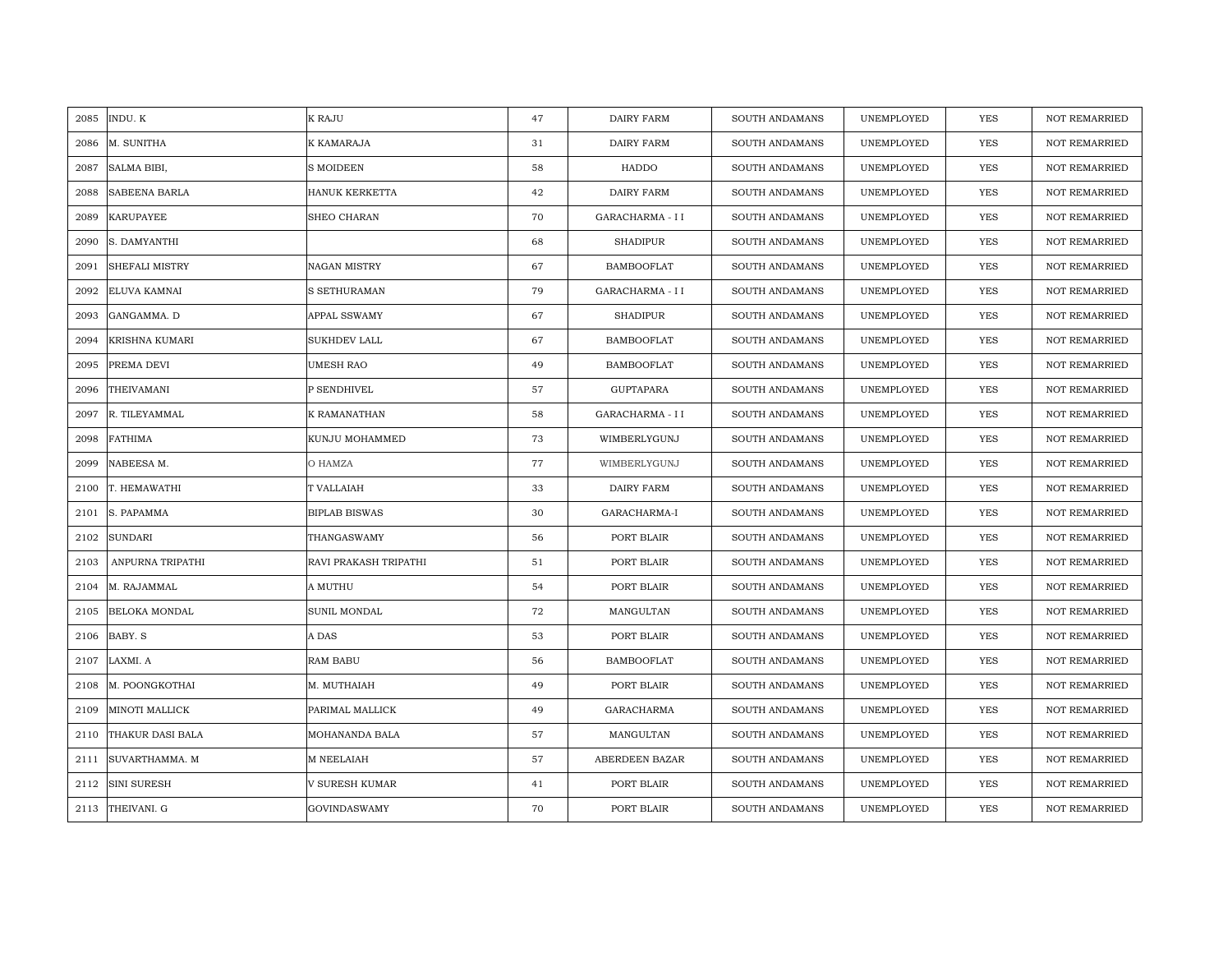| 2085 | INDU. K               | K RAJU                | 47 | DAIRY FARM        | SOUTH ANDAMANS        | UNEMPLOYED | <b>YES</b> | <b>NOT REMARRIED</b> |
|------|-----------------------|-----------------------|----|-------------------|-----------------------|------------|------------|----------------------|
| 2086 | M. SUNITHA            | K KAMARAJA            | 31 | DAIRY FARM        | SOUTH ANDAMANS        | UNEMPLOYED | <b>YES</b> | NOT REMARRIED        |
| 2087 | SALMA BIBI,           | <b>S MOIDEEN</b>      | 58 | HADDO             | SOUTH ANDAMANS        | UNEMPLOYED | <b>YES</b> | <b>NOT REMARRIED</b> |
| 2088 | <b>SABEENA BARLA</b>  | HANUK KERKETTA        | 42 | DAIRY FARM        | SOUTH ANDAMANS        | UNEMPLOYED | <b>YES</b> | NOT REMARRIED        |
| 2089 | <b>KARUPAYEE</b>      | <b>SHEO CHARAN</b>    | 70 | GARACHARMA - I I  | <b>SOUTH ANDAMANS</b> | UNEMPLOYED | <b>YES</b> | <b>NOT REMARRIED</b> |
| 2090 | S. DAMYANTHI          |                       | 68 | <b>SHADIPUR</b>   | SOUTH ANDAMANS        | UNEMPLOYED | <b>YES</b> | <b>NOT REMARRIED</b> |
| 2091 | <b>SHEFALI MISTRY</b> | <b>NAGAN MISTRY</b>   | 67 | <b>BAMBOOFLAT</b> | <b>SOUTH ANDAMANS</b> | UNEMPLOYED | YES        | <b>NOT REMARRIED</b> |
| 2092 | ELUVA KAMNAI          | S SETHURAMAN          | 79 | GARACHARMA - II   | SOUTH ANDAMANS        | UNEMPLOYED | YES        | NOT REMARRIED        |
| 2093 | GANGAMMA. D           | APPAL SSWAMY          | 67 | <b>SHADIPUR</b>   | SOUTH ANDAMANS        | UNEMPLOYED | YES        | NOT REMARRIED        |
| 2094 | KRISHNA KUMARI        | SUKHDEV LALL          | 67 | <b>BAMBOOFLAT</b> | SOUTH ANDAMANS        | UNEMPLOYED | YES        | <b>NOT REMARRIED</b> |
| 2095 | PREMA DEVI            | <b>UMESH RAO</b>      | 49 | <b>BAMBOOFLAT</b> | SOUTH ANDAMANS        | UNEMPLOYED | <b>YES</b> | <b>NOT REMARRIED</b> |
| 2096 | THEIVAMANI            | P SENDHIVEL           | 57 | GUPTAPARA         | SOUTH ANDAMANS        | UNEMPLOYED | YES        | NOT REMARRIED        |
| 2097 | R. TILEYAMMAL         | K RAMANATHAN          | 58 | GARACHARMA - I I  | SOUTH ANDAMANS        | UNEMPLOYED | YES        | NOT REMARRIED        |
| 2098 | <b>FATHIMA</b>        | KUNJU MOHAMMED        | 73 | WIMBERLYGUNJ      | SOUTH ANDAMANS        | UNEMPLOYED | <b>YES</b> | <b>NOT REMARRIED</b> |
| 2099 | NABEESA M.            | O HAMZA               | 77 | WIMBERLYGUNJ      | SOUTH ANDAMANS        | UNEMPLOYED | YES        | NOT REMARRIED        |
| 2100 | T. HEMAWATHI          | T VALLAIAH            | 33 | DAIRY FARM        | SOUTH ANDAMANS        | UNEMPLOYED | YES        | <b>NOT REMARRIED</b> |
| 2101 | S. PAPAMMA            | <b>BIPLAB BISWAS</b>  | 30 | GARACHARMA-I      | SOUTH ANDAMANS        | UNEMPLOYED | YES        | <b>NOT REMARRIED</b> |
| 2102 | <b>SUNDARI</b>        | THANGASWAMY           | 56 | PORT BLAIR        | SOUTH ANDAMANS        | UNEMPLOYED | <b>YES</b> | <b>NOT REMARRIED</b> |
| 2103 | ANPURNA TRIPATHI      | RAVI PRAKASH TRIPATHI | 51 | PORT BLAIR        | SOUTH ANDAMANS        | UNEMPLOYED | YES        | NOT REMARRIED        |
| 2104 | M. RAJAMMAL           | A MUTHU               | 54 | PORT BLAIR        | SOUTH ANDAMANS        | UNEMPLOYED | <b>YES</b> | <b>NOT REMARRIED</b> |
| 2105 | <b>BELOKA MONDAL</b>  | <b>SUNIL MONDAL</b>   | 72 | MANGULTAN         | SOUTH ANDAMANS        | UNEMPLOYED | YES        | <b>NOT REMARRIED</b> |
| 2106 | BABY. S               | A DAS                 | 53 | PORT BLAIR        | SOUTH ANDAMANS        | UNEMPLOYED | YES        | NOT REMARRIED        |
| 2107 | LAXMI. A              | <b>RAM BABU</b>       | 56 | <b>BAMBOOFLAT</b> | SOUTH ANDAMANS        | UNEMPLOYED | YES        | <b>NOT REMARRIED</b> |
| 2108 | M. POONGKOTHAI        | M. MUTHAIAH           | 49 | PORT BLAIR        | SOUTH ANDAMANS        | UNEMPLOYED | YES        | <b>NOT REMARRIED</b> |
| 2109 | MINOTI MALLICK        | PARIMAL MALLICK       | 49 | GARACHARMA        | SOUTH ANDAMANS        | UNEMPLOYED | YES        | NOT REMARRIED        |
| 2110 | THAKUR DASI BALA      | MOHANANDA BALA        | 57 | MANGULTAN         | SOUTH ANDAMANS        | UNEMPLOYED | <b>YES</b> | NOT REMARRIED        |
| 2111 | SUVARTHAMMA. M        | M NEELAIAH            | 57 | ABERDEEN BAZAR    | SOUTH ANDAMANS        | UNEMPLOYED | YES        | <b>NOT REMARRIED</b> |
| 2112 | <b>SINI SURESH</b>    | V SURESH KUMAR        | 41 | PORT BLAIR        | SOUTH ANDAMANS        | UNEMPLOYED | <b>YES</b> | <b>NOT REMARRIED</b> |
|      | 2113 THEIVANI. G      | <b>GOVINDASWAMY</b>   | 70 | PORT BLAIR        | SOUTH ANDAMANS        | UNEMPLOYED | <b>YES</b> | <b>NOT REMARRIED</b> |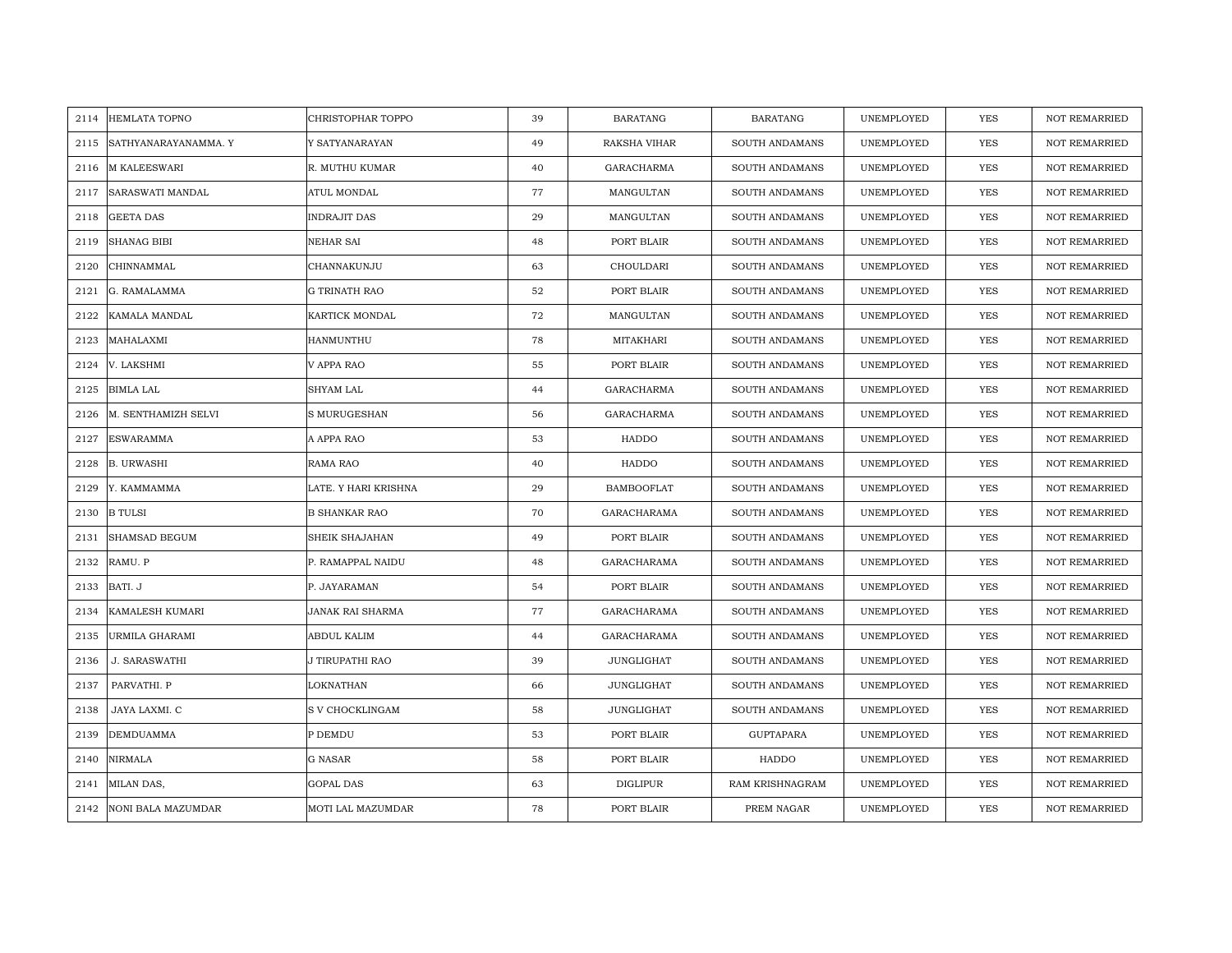|      | 2114 HEMLATA TOPNO   | CHRISTOPHAR TOPPO    | 39 | <b>BARATANG</b>   | <b>BARATANG</b>  | UNEMPLOYED | YES        | <b>NOT REMARRIED</b> |
|------|----------------------|----------------------|----|-------------------|------------------|------------|------------|----------------------|
| 2115 | SATHYANARAYANAMMA. Y | Y SATYANARAYAN       | 49 | RAKSHA VIHAR      | SOUTH ANDAMANS   | UNEMPLOYED | <b>YES</b> | <b>NOT REMARRIED</b> |
| 2116 | <b>M KALEESWARI</b>  | R. MUTHU KUMAR       | 40 | GARACHARMA        | SOUTH ANDAMANS   | UNEMPLOYED | YES        | <b>NOT REMARRIED</b> |
| 2117 | SARASWATI MANDAL     | ATUL MONDAL          | 77 | MANGULTAN         | SOUTH ANDAMANS   | UNEMPLOYED | YES        | <b>NOT REMARRIED</b> |
| 2118 | <b>GEETA DAS</b>     | <b>INDRAJIT DAS</b>  | 29 | MANGULTAN         | SOUTH ANDAMANS   | UNEMPLOYED | YES        | NOT REMARRIED        |
| 2119 | <b>SHANAG BIBI</b>   | NEHAR SAI            | 48 | PORT BLAIR        | SOUTH ANDAMANS   | UNEMPLOYED | <b>YES</b> | NOT REMARRIED        |
| 2120 | CHINNAMMAL           | CHANNAKUNJU          | 63 | CHOULDARI         | SOUTH ANDAMANS   | UNEMPLOYED | <b>YES</b> | <b>NOT REMARRIED</b> |
| 2121 | G. RAMALAMMA         | <b>G TRINATH RAO</b> | 52 | PORT BLAIR        | SOUTH ANDAMANS   | UNEMPLOYED | YES        | <b>NOT REMARRIED</b> |
| 2122 | KAMALA MANDAL        | KARTICK MONDAL       | 72 | MANGULTAN         | SOUTH ANDAMANS   | UNEMPLOYED | <b>YES</b> | NOT REMARRIED        |
| 2123 | MAHALAXMI            | HANMUNTHU            | 78 | MITAKHARI         | SOUTH ANDAMANS   | UNEMPLOYED | <b>YES</b> | <b>NOT REMARRIED</b> |
| 2124 | V. LAKSHMI           | V APPA RAO           | 55 | PORT BLAIR        | SOUTH ANDAMANS   | UNEMPLOYED | <b>YES</b> | <b>NOT REMARRIED</b> |
| 2125 | <b>BIMLA LAL</b>     | SHYAM LAL            | 44 | <b>GARACHARMA</b> | SOUTH ANDAMANS   | UNEMPLOYED | <b>YES</b> | NOT REMARRIED        |
| 2126 | M. SENTHAMIZH SELVI  | S MURUGESHAN         | 56 | GARACHARMA        | SOUTH ANDAMANS   | UNEMPLOYED | <b>YES</b> | NOT REMARRIED        |
| 2127 | <b>ESWARAMMA</b>     | A APPA RAO           | 53 | HADDO             | SOUTH ANDAMANS   | UNEMPLOYED | <b>YES</b> | <b>NOT REMARRIED</b> |
| 2128 | <b>B. URWASHI</b>    | RAMA RAO             | 40 | HADDO             | SOUTH ANDAMANS   | UNEMPLOYED | YES        | NOT REMARRIED        |
| 2129 | Y. KAMMAMMA          | LATE. Y HARI KRISHNA | 29 | <b>BAMBOOFLAT</b> | SOUTH ANDAMANS   | UNEMPLOYED | <b>YES</b> | NOT REMARRIED        |
| 2130 | <b>B</b> TULSI       | <b>B SHANKAR RAO</b> | 70 | GARACHARAMA       | SOUTH ANDAMANS   | UNEMPLOYED | YES        | <b>NOT REMARRIED</b> |
| 2131 | <b>SHAMSAD BEGUM</b> | SHEIK SHAJAHAN       | 49 | PORT BLAIR        | SOUTH ANDAMANS   | UNEMPLOYED | YES        | <b>NOT REMARRIED</b> |
| 2132 | RAMU. P              | P. RAMAPPAL NAIDU    | 48 | GARACHARAMA       | SOUTH ANDAMANS   | UNEMPLOYED | <b>YES</b> | NOT REMARRIED        |
| 2133 | BATI. J              | P. JAYARAMAN         | 54 | PORT BLAIR        | SOUTH ANDAMANS   | UNEMPLOYED | <b>YES</b> | <b>NOT REMARRIED</b> |
| 2134 | KAMALESH KUMARI      | JANAK RAI SHARMA     | 77 | GARACHARAMA       | SOUTH ANDAMANS   | UNEMPLOYED | <b>YES</b> | <b>NOT REMARRIED</b> |
| 2135 | URMILA GHARAMI       | ABDUL KALIM          | 44 | GARACHARAMA       | SOUTH ANDAMANS   | UNEMPLOYED | YES        | <b>NOT REMARRIED</b> |
| 2136 | <b>J. SARASWATHI</b> | J TIRUPATHI RAO      | 39 | JUNGLIGHAT        | SOUTH ANDAMANS   | UNEMPLOYED | YES        | <b>NOT REMARRIED</b> |
| 2137 | PARVATHI. P          | LOKNATHAN            | 66 | JUNGLIGHAT        | SOUTH ANDAMANS   | UNEMPLOYED | YES        | <b>NOT REMARRIED</b> |
| 2138 | JAYA LAXMI. C        | S V CHOCKLINGAM      | 58 | JUNGLIGHAT        | SOUTH ANDAMANS   | UNEMPLOYED | <b>YES</b> | <b>NOT REMARRIED</b> |
| 2139 | <b>DEMDUAMMA</b>     | P DEMDU              | 53 | PORT BLAIR        | <b>GUPTAPARA</b> | UNEMPLOYED | YES        | NOT REMARRIED        |
| 2140 | <b>NIRMALA</b>       | G NASAR              | 58 | PORT BLAIR        | HADDO            | UNEMPLOYED | <b>YES</b> | <b>NOT REMARRIED</b> |
| 2141 | MILAN DAS,           | GOPAL DAS            | 63 | DIGLIPUR          | RAM KRISHNAGRAM  | UNEMPLOYED | YES        | <b>NOT REMARRIED</b> |
| 2142 | NONI BALA MAZUMDAR   | MOTI LAL MAZUMDAR    | 78 | PORT BLAIR        | PREM NAGAR       | UNEMPLOYED | YES        | NOT REMARRIED        |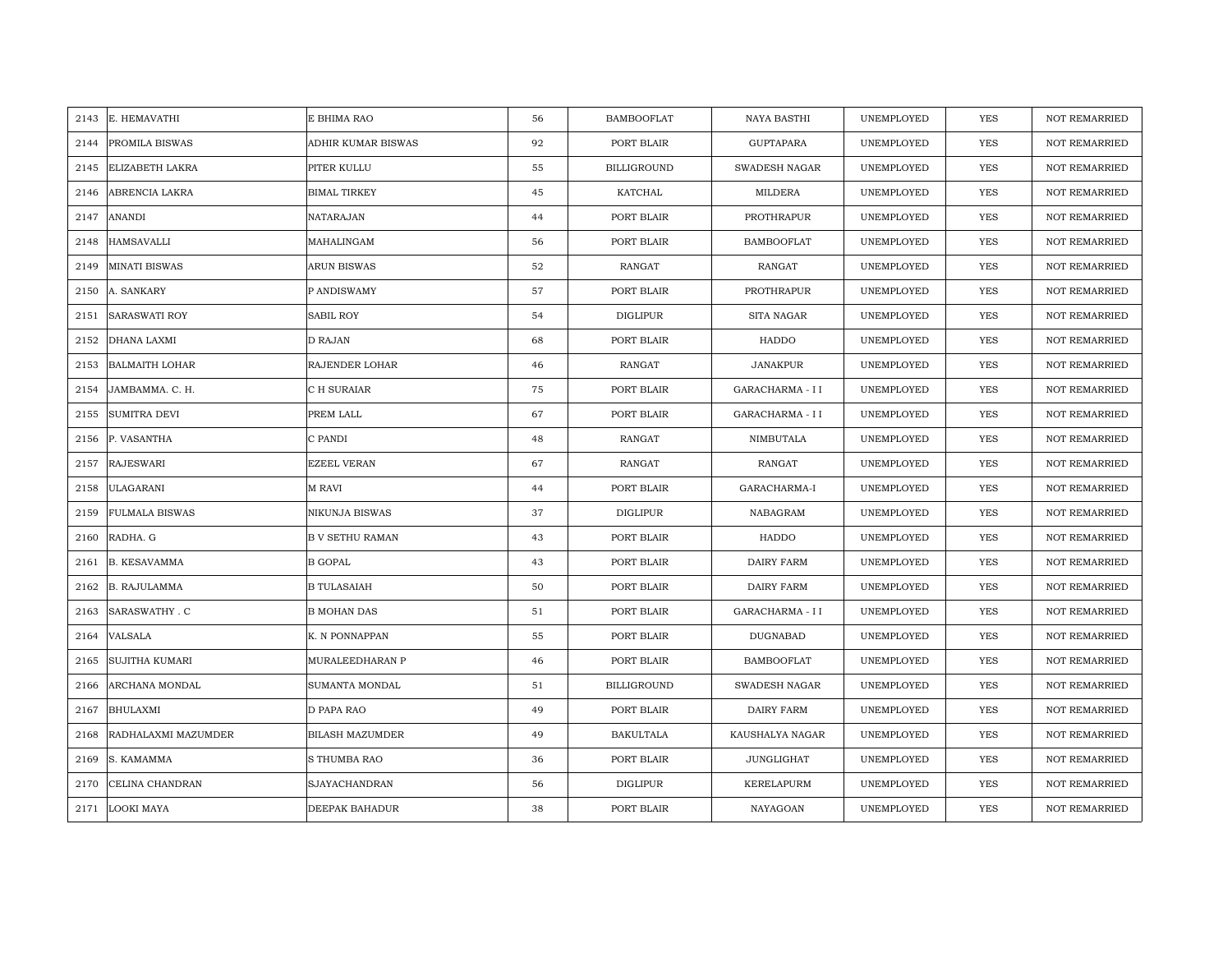| 2143 | E. HEMAVATHI           | E BHIMA RAO            | 56 | <b>BAMBOOFLAT</b>  | NAYA BASTHI          | UNEMPLOYED | <b>YES</b> | <b>NOT REMARRIED</b> |
|------|------------------------|------------------------|----|--------------------|----------------------|------------|------------|----------------------|
| 2144 | PROMILA BISWAS         | ADHIR KUMAR BISWAS     | 92 | PORT BLAIR         | <b>GUPTAPARA</b>     | UNEMPLOYED | <b>YES</b> | <b>NOT REMARRIED</b> |
| 2145 | <b>ELIZABETH LAKRA</b> | PITER KULLU            | 55 | <b>BILLIGROUND</b> | <b>SWADESH NAGAR</b> | UNEMPLOYED | YES        | <b>NOT REMARRIED</b> |
| 2146 | ABRENCIA LAKRA         | <b>BIMAL TIRKEY</b>    | 45 | KATCHAL            | MILDERA              | UNEMPLOYED | YES        | <b>NOT REMARRIED</b> |
| 2147 | <b>ANANDI</b>          | NATARAJAN              | 44 | PORT BLAIR         | PROTHRAPUR           | UNEMPLOYED | YES        | <b>NOT REMARRIED</b> |
| 2148 | <b>HAMSAVALLI</b>      | MAHALINGAM             | 56 | PORT BLAIR         | <b>BAMBOOFLAT</b>    | UNEMPLOYED | <b>YES</b> | NOT REMARRIED        |
| 2149 | <b>MINATI BISWAS</b>   | ARUN BISWAS            | 52 | RANGAT             | RANGAT               | UNEMPLOYED | YES        | <b>NOT REMARRIED</b> |
| 2150 | A. SANKARY             | P ANDISWAMY            | 57 | PORT BLAIR         | PROTHRAPUR           | UNEMPLOYED | YES        | <b>NOT REMARRIED</b> |
| 2151 | <b>SARASWATI ROY</b>   | <b>SABIL ROY</b>       | 54 | <b>DIGLIPUR</b>    | SITA NAGAR           | UNEMPLOYED | <b>YES</b> | NOT REMARRIED        |
| 2152 | <b>DHANA LAXMI</b>     | D RAJAN                | 68 | PORT BLAIR         | HADDO                | UNEMPLOYED | YES        | <b>NOT REMARRIED</b> |
| 2153 | <b>BALMAITH LOHAR</b>  | RAJENDER LOHAR         | 46 | RANGAT             | <b>JANAKPUR</b>      | UNEMPLOYED | YES        | <b>NOT REMARRIED</b> |
| 2154 | JAMBAMMA. C. H.        | C H SURAIAR            | 75 | PORT BLAIR         | GARACHARMA - I I     | UNEMPLOYED | YES        | NOT REMARRIED        |
| 2155 | <b>SUMITRA DEVI</b>    | PREM LALL              | 67 | PORT BLAIR         | GARACHARMA - I I     | UNEMPLOYED | <b>YES</b> | NOT REMARRIED        |
| 2156 | P. VASANTHA            | C PANDI                | 48 | RANGAT             | NIMBUTALA            | UNEMPLOYED | <b>YES</b> | <b>NOT REMARRIED</b> |
| 2157 | <b>RAJESWARI</b>       | EZEEL VERAN            | 67 | <b>RANGAT</b>      | RANGAT               | UNEMPLOYED | YES        | NOT REMARRIED        |
| 2158 | <b>ULAGARANI</b>       | M RAVI                 | 44 | PORT BLAIR         | GARACHARMA-I         | UNEMPLOYED | <b>YES</b> | NOT REMARRIED        |
| 2159 | <b>FULMALA BISWAS</b>  | <b>NIKUNJA BISWAS</b>  | 37 | <b>DIGLIPUR</b>    | NABAGRAM             | UNEMPLOYED | YES        | <b>NOT REMARRIED</b> |
| 2160 | RADHA. G               | <b>B V SETHU RAMAN</b> | 43 | PORT BLAIR         | HADDO                | UNEMPLOYED | YES        | <b>NOT REMARRIED</b> |
| 2161 | <b>B. KESAVAMMA</b>    | <b>B GOPAL</b>         | 43 | PORT BLAIR         | DAIRY FARM           | UNEMPLOYED | YES        | NOT REMARRIED        |
| 2162 | <b>B. RAJULAMMA</b>    | <b>B TULASAIAH</b>     | 50 | PORT BLAIR         | DAIRY FARM           | UNEMPLOYED | YES        | <b>NOT REMARRIED</b> |
| 2163 | <b>SARASWATHY . C</b>  | <b>B MOHAN DAS</b>     | 51 | PORT BLAIR         | GARACHARMA - I I     | UNEMPLOYED | YES        | <b>NOT REMARRIED</b> |
| 2164 | VALSALA                | K. N PONNAPPAN         | 55 | PORT BLAIR         | DUGNABAD             | UNEMPLOYED | YES        | <b>NOT REMARRIED</b> |
| 2165 | <b>SUJITHA KUMARI</b>  | MURALEEDHARAN P        | 46 | PORT BLAIR         | <b>BAMBOOFLAT</b>    | UNEMPLOYED | YES        | <b>NOT REMARRIED</b> |
| 2166 | ARCHANA MONDAL         | SUMANTA MONDAL         | 51 | <b>BILLIGROUND</b> | SWADESH NAGAR        | UNEMPLOYED | <b>YES</b> | <b>NOT REMARRIED</b> |
| 2167 | <b>BHULAXMI</b>        | D PAPA RAO             | 49 | PORT BLAIR         | DAIRY FARM           | UNEMPLOYED | YES        | <b>NOT REMARRIED</b> |
| 2168 | RADHALAXMI MAZUMDER    | <b>BILASH MAZUMDER</b> | 49 | <b>BAKULTALA</b>   | KAUSHALYA NAGAR      | UNEMPLOYED | YES        | NOT REMARRIED        |
| 2169 | S. KAMAMMA             | S THUMBA RAO           | 36 | PORT BLAIR         | JUNGLIGHAT           | UNEMPLOYED | YES        | NOT REMARRIED        |
| 2170 | CELINA CHANDRAN        | SJAYACHANDRAN          | 56 | DIGLIPUR           | <b>KERELAPURM</b>    | UNEMPLOYED | YES        | <b>NOT REMARRIED</b> |
|      | 2171 LOOKI MAYA        | DEEPAK BAHADUR         | 38 | PORT BLAIR         | NAYAGOAN             | UNEMPLOYED | YES        | NOT REMARRIED        |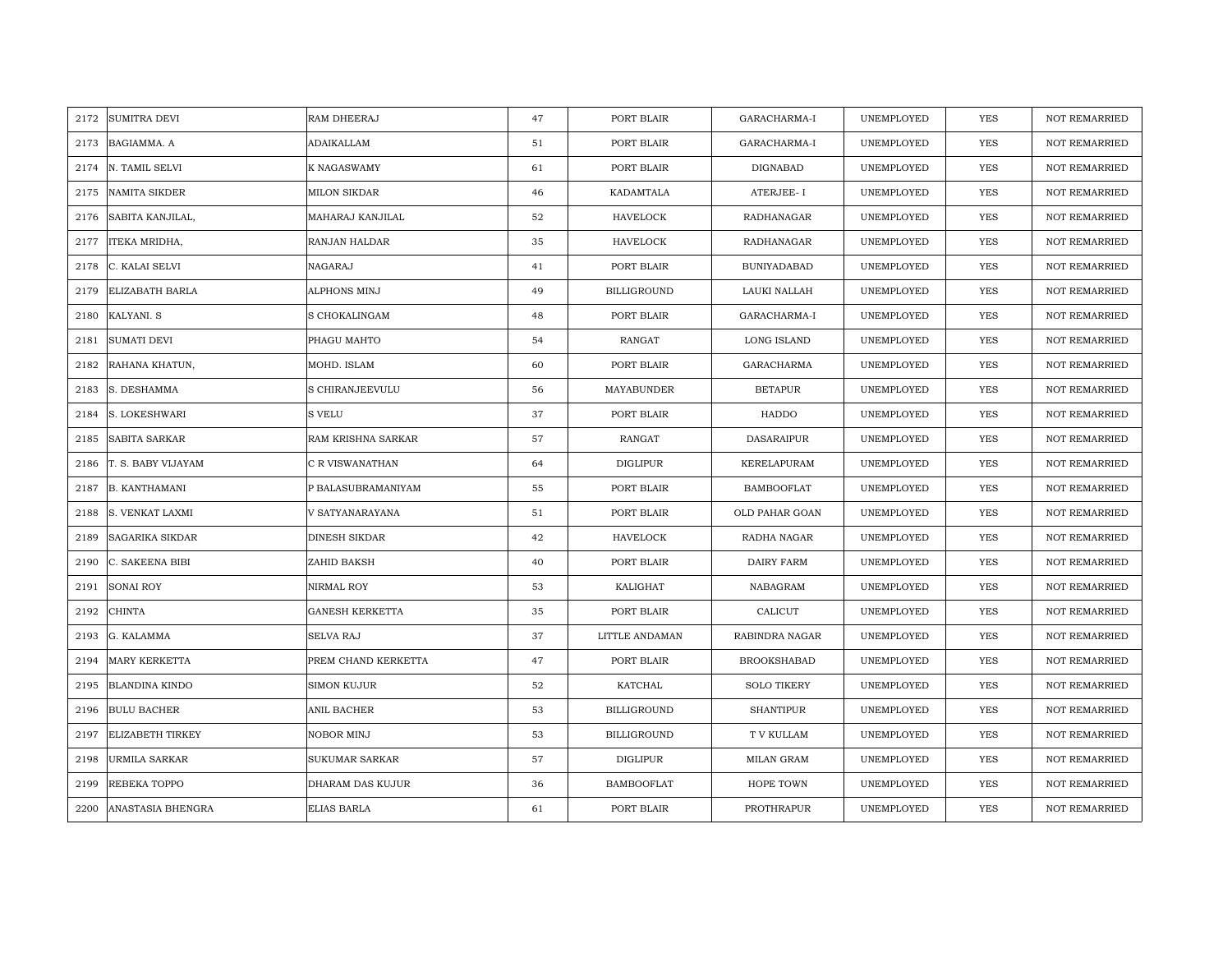| 2172 | <b>SUMITRA DEVI</b>     | RAM DHEERAJ            | 47 | PORT BLAIR         | GARACHARMA-I       | UNEMPLOYED | <b>YES</b> | <b>NOT REMARRIED</b> |
|------|-------------------------|------------------------|----|--------------------|--------------------|------------|------------|----------------------|
| 2173 | BAGIAMMA. A             | ADAIKALLAM             | 51 | PORT BLAIR         | GARACHARMA-I       | UNEMPLOYED | <b>YES</b> | <b>NOT REMARRIED</b> |
| 2174 | N. TAMIL SELVI          | K NAGASWAMY            | 61 | PORT BLAIR         | DIGNABAD           | UNEMPLOYED | YES        | <b>NOT REMARRIED</b> |
| 2175 | <b>NAMITA SIKDER</b>    | MILON SIKDAR           | 46 | KADAMTALA          | ATERJEE-I          | UNEMPLOYED | YES        | <b>NOT REMARRIED</b> |
| 2176 | SABITA KANJILAL,        | MAHARAJ KANJILAL       | 52 | <b>HAVELOCK</b>    | RADHANAGAR         | UNEMPLOYED | YES        | <b>NOT REMARRIED</b> |
| 2177 | ITEKA MRIDHA,           | RANJAN HALDAR          | 35 | <b>HAVELOCK</b>    | RADHANAGAR         | UNEMPLOYED | <b>YES</b> | NOT REMARRIED        |
| 2178 | C. KALAI SELVI          | NAGARAJ                | 41 | PORT BLAIR         | <b>BUNIYADABAD</b> | UNEMPLOYED | YES        | <b>NOT REMARRIED</b> |
| 2179 | <b>ELIZABATH BARLA</b>  | ALPHONS MINJ           | 49 | <b>BILLIGROUND</b> | LAUKI NALLAH       | UNEMPLOYED | YES        | <b>NOT REMARRIED</b> |
| 2180 | KALYANI. S              | S CHOKALINGAM          | 48 | PORT BLAIR         | GARACHARMA-I       | UNEMPLOYED | <b>YES</b> | NOT REMARRIED        |
| 2181 | <b>SUMATI DEVI</b>      | PHAGU MAHTO            | 54 | <b>RANGAT</b>      | <b>LONG ISLAND</b> | UNEMPLOYED | YES        | <b>NOT REMARRIED</b> |
| 2182 | RAHANA KHATUN,          | MOHD. ISLAM            | 60 | PORT BLAIR         | <b>GARACHARMA</b>  | UNEMPLOYED | YES        | <b>NOT REMARRIED</b> |
| 2183 | S. DESHAMMA             | S CHIRANJEEVULU        | 56 | MAYABUNDER         | <b>BETAPUR</b>     | UNEMPLOYED | YES        | NOT REMARRIED        |
| 2184 | S. LOKESHWARI           | S VELU                 | 37 | PORT BLAIR         | HADDO              | UNEMPLOYED | <b>YES</b> | NOT REMARRIED        |
| 2185 | <b>SABITA SARKAR</b>    | RAM KRISHNA SARKAR     | 57 | RANGAT             | DASARAIPUR         | UNEMPLOYED | <b>YES</b> | <b>NOT REMARRIED</b> |
| 2186 | T. S. BABY VIJAYAM      | C R VISWANATHAN        | 64 | <b>DIGLIPUR</b>    | KERELAPURAM        | UNEMPLOYED | YES        | NOT REMARRIED        |
| 2187 | <b>B. KANTHAMANI</b>    | P BALASUBRAMANIYAM     | 55 | PORT BLAIR         | <b>BAMBOOFLAT</b>  | UNEMPLOYED | <b>YES</b> | NOT REMARRIED        |
| 2188 | S. VENKAT LAXMI         | V SATYANARAYANA        | 51 | PORT BLAIR         | OLD PAHAR GOAN     | UNEMPLOYED | YES        | <b>NOT REMARRIED</b> |
| 2189 | <b>SAGARIKA SIKDAR</b>  | <b>DINESH SIKDAR</b>   | 42 | HAVELOCK           | RADHA NAGAR        | UNEMPLOYED | YES        | <b>NOT REMARRIED</b> |
| 2190 | C. SAKEENA BIBI         | ZAHID BAKSH            | 40 | PORT BLAIR         | DAIRY FARM         | UNEMPLOYED | YES        | NOT REMARRIED        |
| 2191 | <b>SONAI ROY</b>        | NIRMAL ROY             | 53 | KALIGHAT           | NABAGRAM           | UNEMPLOYED | YES        | <b>NOT REMARRIED</b> |
| 2192 | <b>CHINTA</b>           | <b>GANESH KERKETTA</b> | 35 | PORT BLAIR         | CALICUT            | UNEMPLOYED | YES        | <b>NOT REMARRIED</b> |
| 2193 | G. KALAMMA              | <b>SELVA RAJ</b>       | 37 | LITTLE ANDAMAN     | RABINDRA NAGAR     | UNEMPLOYED | YES        | <b>NOT REMARRIED</b> |
| 2194 | MARY KERKETTA           | PREM CHAND KERKETTA    | 47 | PORT BLAIR         | <b>BROOKSHABAD</b> | UNEMPLOYED | YES        | <b>NOT REMARRIED</b> |
| 2195 | <b>BLANDINA KINDO</b>   | SIMON KUJUR            | 52 | KATCHAL            | <b>SOLO TIKERY</b> | UNEMPLOYED | YES        | <b>NOT REMARRIED</b> |
| 2196 | <b>BULU BACHER</b>      | ANIL BACHER            | 53 | <b>BILLIGROUND</b> | <b>SHANTIPUR</b>   | UNEMPLOYED | YES        | <b>NOT REMARRIED</b> |
| 2197 | <b>ELIZABETH TIRKEY</b> | NOBOR MINJ             | 53 | <b>BILLIGROUND</b> | T V KULLAM         | UNEMPLOYED | YES        | NOT REMARRIED        |
| 2198 | <b>URMILA SARKAR</b>    | <b>SUKUMAR SARKAR</b>  | 57 | DIGLIPUR           | MILAN GRAM         | UNEMPLOYED | YES        | NOT REMARRIED        |
| 2199 | <b>REBEKA TOPPO</b>     | DHARAM DAS KUJUR       | 36 | <b>BAMBOOFLAT</b>  | HOPE TOWN          | UNEMPLOYED | YES        | <b>NOT REMARRIED</b> |
| 2200 | ANASTASIA BHENGRA       | <b>ELIAS BARLA</b>     | 61 | PORT BLAIR         | PROTHRAPUR         | UNEMPLOYED | YES        | NOT REMARRIED        |
|      |                         |                        |    |                    |                    |            |            |                      |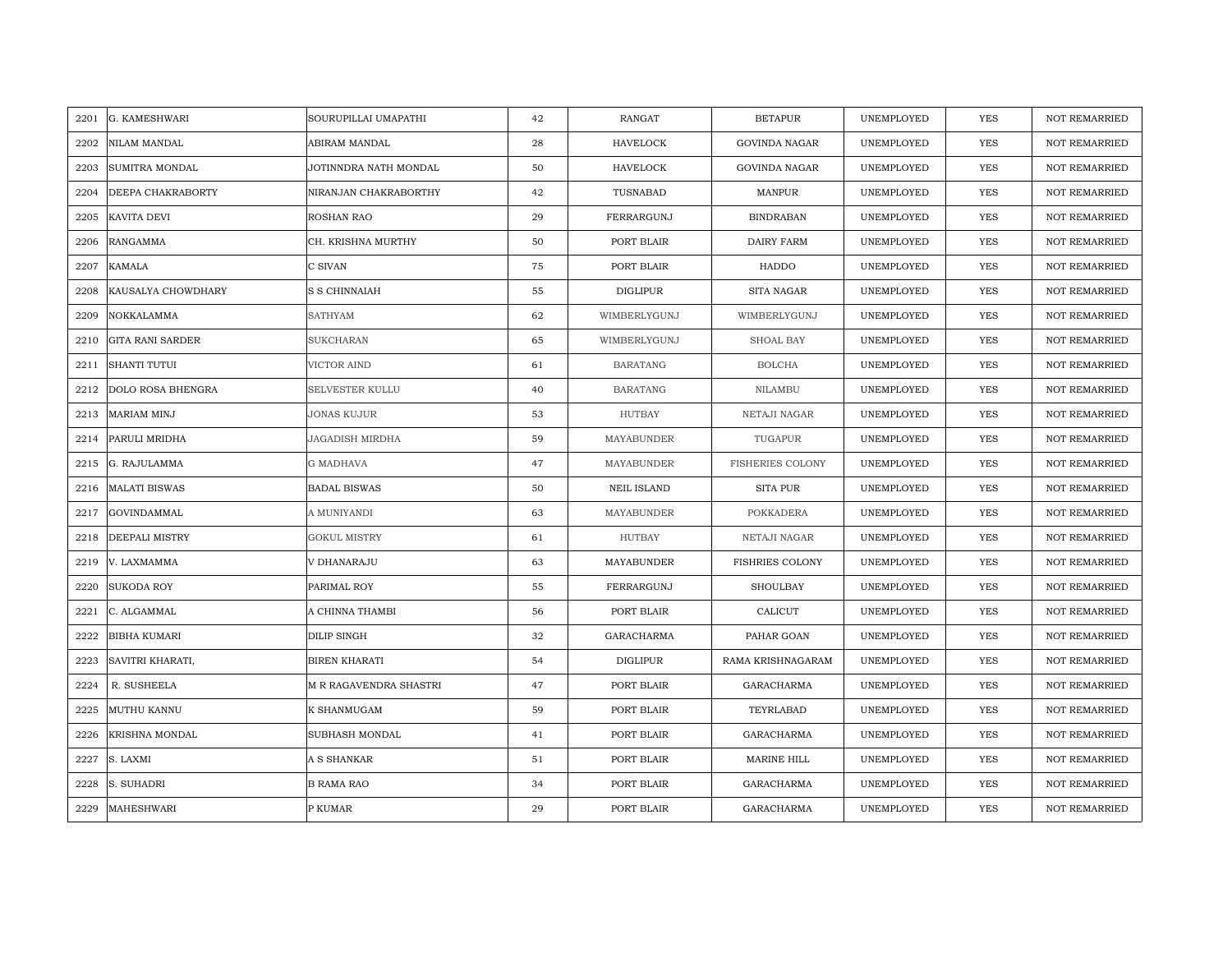| 2201 | G. KAMESHWARI           | SOURUPILLAI UMAPATHI   | 42 | RANGAT             | <b>BETAPUR</b>          | UNEMPLOYED | <b>YES</b> | <b>NOT REMARRIED</b> |
|------|-------------------------|------------------------|----|--------------------|-------------------------|------------|------------|----------------------|
| 2202 | NILAM MANDAL            | ABIRAM MANDAL          | 28 | <b>HAVELOCK</b>    | <b>GOVINDA NAGAR</b>    | UNEMPLOYED | <b>YES</b> | NOT REMARRIED        |
| 2203 | <b>SUMITRA MONDAL</b>   | JOTINNDRA NATH MONDAL  | 50 | <b>HAVELOCK</b>    | <b>GOVINDA NAGAR</b>    | UNEMPLOYED | <b>YES</b> | <b>NOT REMARRIED</b> |
| 2204 | DEEPA CHAKRABORTY       | NIRANJAN CHAKRABORTHY  | 42 | TUSNABAD           | MANPUR                  | UNEMPLOYED | <b>YES</b> | <b>NOT REMARRIED</b> |
| 2205 | KAVITA DEVI             | ROSHAN RAO             | 29 | FERRARGUNJ         | <b>BINDRABAN</b>        | UNEMPLOYED | <b>YES</b> | <b>NOT REMARRIED</b> |
| 2206 | <b>RANGAMMA</b>         | CH. KRISHNA MURTHY     | 50 | PORT BLAIR         | <b>DAIRY FARM</b>       | UNEMPLOYED | YES        | NOT REMARRIED        |
| 2207 | <b>KAMALA</b>           | C SIVAN                | 75 | PORT BLAIR         | HADDO                   | UNEMPLOYED | <b>YES</b> | <b>NOT REMARRIED</b> |
| 2208 | KAUSALYA CHOWDHARY      | S S CHINNAIAH          | 55 | <b>DIGLIPUR</b>    | SITA NAGAR              | UNEMPLOYED | YES        | NOT REMARRIED        |
| 2209 | NOKKALAMMA              | <b>SATHYAM</b>         | 62 | WIMBERLYGUNJ       | WIMBERLYGUNJ            | UNEMPLOYED | YES        | NOT REMARRIED        |
| 2210 | <b>GITA RANI SARDER</b> | <b>SUKCHARAN</b>       | 65 | WIMBERLYGUNJ       | SHOAL BAY               | UNEMPLOYED | <b>YES</b> | NOT REMARRIED        |
| 2211 | <b>SHANTI TUTUI</b>     | VICTOR AIND            | 61 | <b>BARATANG</b>    | <b>BOLCHA</b>           | UNEMPLOYED | <b>YES</b> | <b>NOT REMARRIED</b> |
| 2212 | DOLO ROSA BHENGRA       | SELVESTER KULLU        | 40 | <b>BARATANG</b>    | <b>NILAMBU</b>          | UNEMPLOYED | <b>YES</b> | <b>NOT REMARRIED</b> |
| 2213 | <b>MARIAM MINJ</b>      | JONAS KUJUR            | 53 | HUTBAY             | NETAJI NAGAR            | UNEMPLOYED | YES        | NOT REMARRIED        |
| 2214 | PARULI MRIDHA           | JAGADISH MIRDHA        | 59 | MAYABUNDER         | TUGAPUR                 | UNEMPLOYED | <b>YES</b> | <b>NOT REMARRIED</b> |
| 2215 | G. RAJULAMMA            | <b>G MADHAVA</b>       | 47 | MAYABUNDER         | <b>FISHERIES COLONY</b> | UNEMPLOYED | <b>YES</b> | NOT REMARRIED        |
| 2216 | <b>MALATI BISWAS</b>    | <b>BADAL BISWAS</b>    | 50 | <b>NEIL ISLAND</b> | <b>SITA PUR</b>         | UNEMPLOYED | <b>YES</b> | NOT REMARRIED        |
| 2217 | <b>GOVINDAMMAL</b>      | A MUNIYANDI            | 63 | MAYABUNDER         | <b>POKKADERA</b>        | UNEMPLOYED | <b>YES</b> | <b>NOT REMARRIED</b> |
| 2218 | DEEPALI MISTRY          | <b>GOKUL MISTRY</b>    | 61 | <b>HUTBAY</b>      | NETAJI NAGAR            | UNEMPLOYED | <b>YES</b> | <b>NOT REMARRIED</b> |
| 2219 | V. LAXMAMMA             | V DHANARAJU            | 63 | MAYABUNDER         | <b>FISHRIES COLONY</b>  | UNEMPLOYED | <b>YES</b> | <b>NOT REMARRIED</b> |
| 2220 | <b>SUKODA ROY</b>       | PARIMAL ROY            | 55 | FERRARGUNJ         | <b>SHOULBAY</b>         | UNEMPLOYED | <b>YES</b> | NOT REMARRIED        |
| 2221 | C. ALGAMMAL             | A CHINNA THAMBI        | 56 | PORT BLAIR         | CALICUT                 | UNEMPLOYED | <b>YES</b> | <b>NOT REMARRIED</b> |
| 2222 | <b>BIBHA KUMARI</b>     | DILIP SINGH            | 32 | GARACHARMA         | PAHAR GOAN              | UNEMPLOYED | YES        | NOT REMARRIED        |
| 2223 | SAVITRI KHARATI,        | <b>BIREN KHARATI</b>   | 54 | <b>DIGLIPUR</b>    | RAMA KRISHNAGARAM       | UNEMPLOYED | YES        | <b>NOT REMARRIED</b> |
| 2224 | R. SUSHEELA             | M R RAGAVENDRA SHASTRI | 47 | PORT BLAIR         | <b>GARACHARMA</b>       | UNEMPLOYED | <b>YES</b> | NOT REMARRIED        |
| 2225 | MUTHU KANNU             | K SHANMUGAM            | 59 | PORT BLAIR         | TEYRLABAD               | UNEMPLOYED | <b>YES</b> | <b>NOT REMARRIED</b> |
| 2226 | KRISHNA MONDAL          | SUBHASH MONDAL         | 41 | PORT BLAIR         | GARACHARMA              | UNEMPLOYED | YES        | NOT REMARRIED        |
| 2227 | S. LAXMI                | A S SHANKAR            | 51 | PORT BLAIR         | MARINE HILL             | UNEMPLOYED | <b>YES</b> | <b>NOT REMARRIED</b> |
| 2228 | S. SUHADRI              | <b>B RAMA RAO</b>      | 34 | PORT BLAIR         | <b>GARACHARMA</b>       | UNEMPLOYED | YES        | <b>NOT REMARRIED</b> |
| 2229 | MAHESHWARI              | P KUMAR                | 29 | PORT BLAIR         | GARACHARMA              | UNEMPLOYED | YES        | NOT REMARRIED        |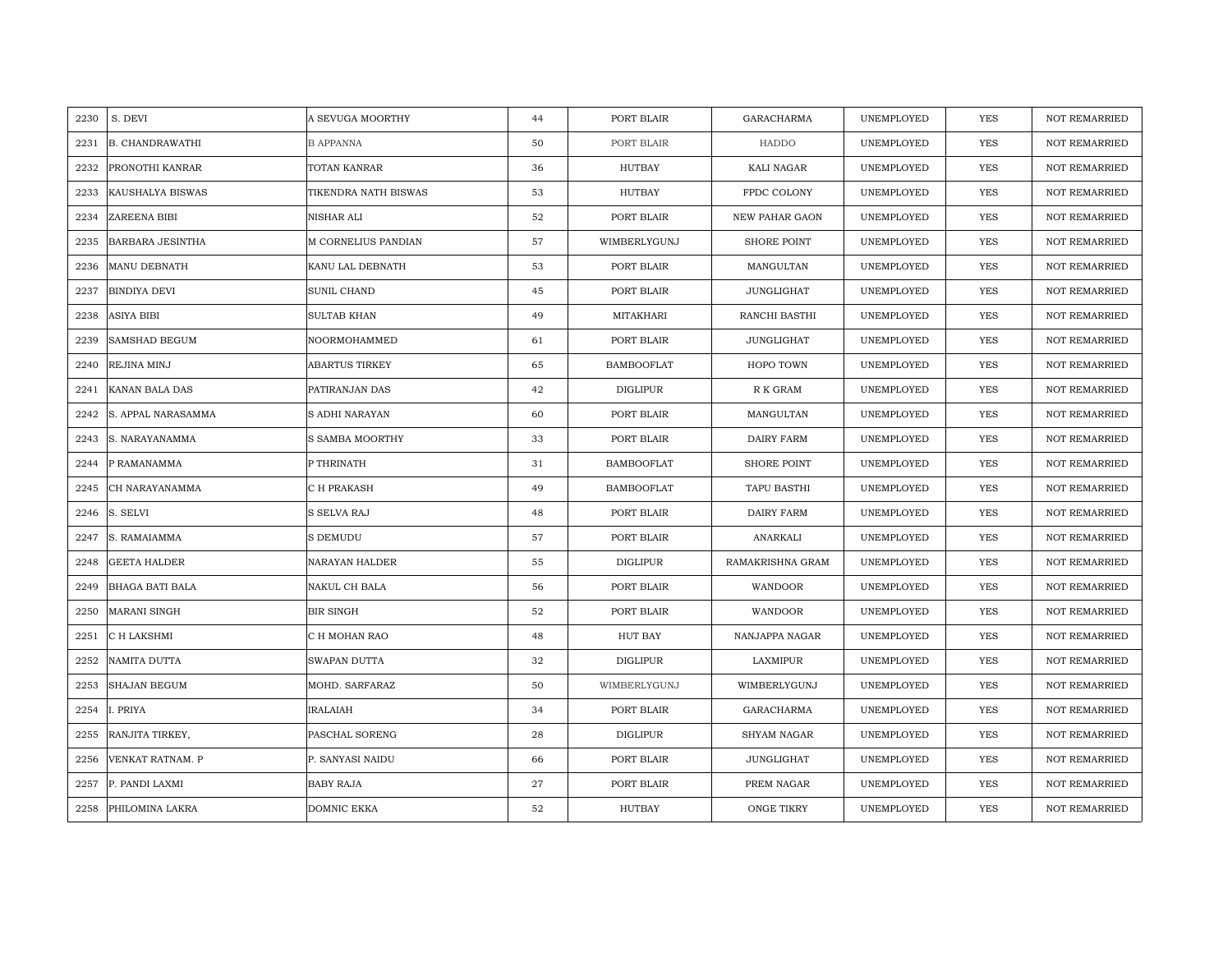| 2230 | S. DEVI                 | A SEVUGA MOORTHY      | 44 | PORT BLAIR        | <b>GARACHARMA</b>     | UNEMPLOYED | YES        | <b>NOT REMARRIED</b> |
|------|-------------------------|-----------------------|----|-------------------|-----------------------|------------|------------|----------------------|
| 2231 | <b>B. CHANDRAWATHI</b>  | <b>B APPANNA</b>      | 50 | PORT BLAIR        | HADDO                 | UNEMPLOYED | <b>YES</b> | <b>NOT REMARRIED</b> |
| 2232 | PRONOTHI KANRAR         | TOTAN KANRAR          | 36 | <b>HUTBAY</b>     | KALI NAGAR            | UNEMPLOYED | YES        | <b>NOT REMARRIED</b> |
| 2233 | KAUSHALYA BISWAS        | TIKENDRA NATH BISWAS  | 53 | HUTBAY            | FPDC COLONY           | UNEMPLOYED | YES        | <b>NOT REMARRIED</b> |
| 2234 | ZAREENA BIBI            | NISHAR ALI            | 52 | PORT BLAIR        | <b>NEW PAHAR GAON</b> | UNEMPLOYED | YES        | <b>NOT REMARRIED</b> |
| 2235 | <b>BARBARA JESINTHA</b> | M CORNELIUS PANDIAN   | 57 | WIMBERLYGUNJ      | SHORE POINT           | UNEMPLOYED | <b>YES</b> | NOT REMARRIED        |
| 2236 | <b>MANU DEBNATH</b>     | KANU LAL DEBNATH      | 53 | PORT BLAIR        | MANGULTAN             | UNEMPLOYED | <b>YES</b> | <b>NOT REMARRIED</b> |
| 2237 | <b>BINDIYA DEVI</b>     | SUNIL CHAND           | 45 | PORT BLAIR        | JUNGLIGHAT            | UNEMPLOYED | <b>YES</b> | <b>NOT REMARRIED</b> |
| 2238 | ASIYA BIBI              | <b>SULTAB KHAN</b>    | 49 | MITAKHARI         | RANCHI BASTHI         | UNEMPLOYED | <b>YES</b> | NOT REMARRIED        |
| 2239 | <b>SAMSHAD BEGUM</b>    | NOORMOHAMMED          | 61 | PORT BLAIR        | <b>JUNGLIGHAT</b>     | UNEMPLOYED | <b>YES</b> | <b>NOT REMARRIED</b> |
| 2240 | REJINA MINJ             | <b>ABARTUS TIRKEY</b> | 65 | <b>BAMBOOFLAT</b> | HOPO TOWN             | UNEMPLOYED | <b>YES</b> | <b>NOT REMARRIED</b> |
| 2241 | KANAN BALA DAS          | PATIRANJAN DAS        | 42 | <b>DIGLIPUR</b>   | R K GRAM              | UNEMPLOYED | <b>YES</b> | <b>NOT REMARRIED</b> |
| 2242 | S. APPAL NARASAMMA      | S ADHI NARAYAN        | 60 | PORT BLAIR        | MANGULTAN             | UNEMPLOYED | <b>YES</b> | NOT REMARRIED        |
| 2243 | S. NARAYANAMMA          | S SAMBA MOORTHY       | 33 | PORT BLAIR        | <b>DAIRY FARM</b>     | UNEMPLOYED | <b>YES</b> | <b>NOT REMARRIED</b> |
| 2244 | P RAMANAMMA             | P THRINATH            | 31 | <b>BAMBOOFLAT</b> | SHORE POINT           | UNEMPLOYED | YES        | NOT REMARRIED        |
| 2245 | CH NARAYANAMMA          | C H PRAKASH           | 49 | <b>BAMBOOFLAT</b> | TAPU BASTHI           | UNEMPLOYED | <b>YES</b> | NOT REMARRIED        |
| 2246 | S. SELVI                | S SELVA RAJ           | 48 | PORT BLAIR        | <b>DAIRY FARM</b>     | UNEMPLOYED | YES        | <b>NOT REMARRIED</b> |
| 2247 | S. RAMAIAMMA            | S DEMUDU              | 57 | PORT BLAIR        | ANARKALI              | UNEMPLOYED | YES        | <b>NOT REMARRIED</b> |
| 2248 | <b>GEETA HALDER</b>     | <b>NARAYAN HALDER</b> | 55 | <b>DIGLIPUR</b>   | RAMAKRISHNA GRAM      | UNEMPLOYED | <b>YES</b> | NOT REMARRIED        |
| 2249 | <b>BHAGA BATI BALA</b>  | NAKUL CH BALA         | 56 | PORT BLAIR        | WANDOOR               | UNEMPLOYED | <b>YES</b> | <b>NOT REMARRIED</b> |
| 2250 | <b>MARANI SINGH</b>     | <b>BIR SINGH</b>      | 52 | PORT BLAIR        | WANDOOR               | UNEMPLOYED | <b>YES</b> | <b>NOT REMARRIED</b> |
| 2251 | C H LAKSHMI             | C H MOHAN RAO         | 48 | HUT BAY           | NANJAPPA NAGAR        | UNEMPLOYED | <b>YES</b> | <b>NOT REMARRIED</b> |
| 2252 | NAMITA DUTTA            | SWAPAN DUTTA          | 32 | <b>DIGLIPUR</b>   | LAXMIPUR              | UNEMPLOYED | YES        | <b>NOT REMARRIED</b> |
| 2253 | <b>SHAJAN BEGUM</b>     | MOHD. SARFARAZ        | 50 | WIMBERLYGUNJ      | WIMBERLYGUNJ          | UNEMPLOYED | YES        | <b>NOT REMARRIED</b> |
| 2254 | . PRIYA                 | <b>IRALAIAH</b>       | 34 | PORT BLAIR        | GARACHARMA            | UNEMPLOYED | <b>YES</b> | <b>NOT REMARRIED</b> |
| 2255 | RANJITA TIRKEY,         | PASCHAL SORENG        | 28 | <b>DIGLIPUR</b>   | SHYAM NAGAR           | UNEMPLOYED | YES        | NOT REMARRIED        |
| 2256 | VENKAT RATNAM. P        | P. SANYASI NAIDU      | 66 | PORT BLAIR        | JUNGLIGHAT            | UNEMPLOYED | <b>YES</b> | NOT REMARRIED        |
| 2257 | P. PANDI LAXMI          | <b>BABY RAJA</b>      | 27 | PORT BLAIR        | PREM NAGAR            | UNEMPLOYED | YES        | <b>NOT REMARRIED</b> |
| 2258 | PHILOMINA LAKRA         | DOMNIC EKKA           | 52 | HUTBAY            | ONGE TIKRY            | UNEMPLOYED | YES        | NOT REMARRIED        |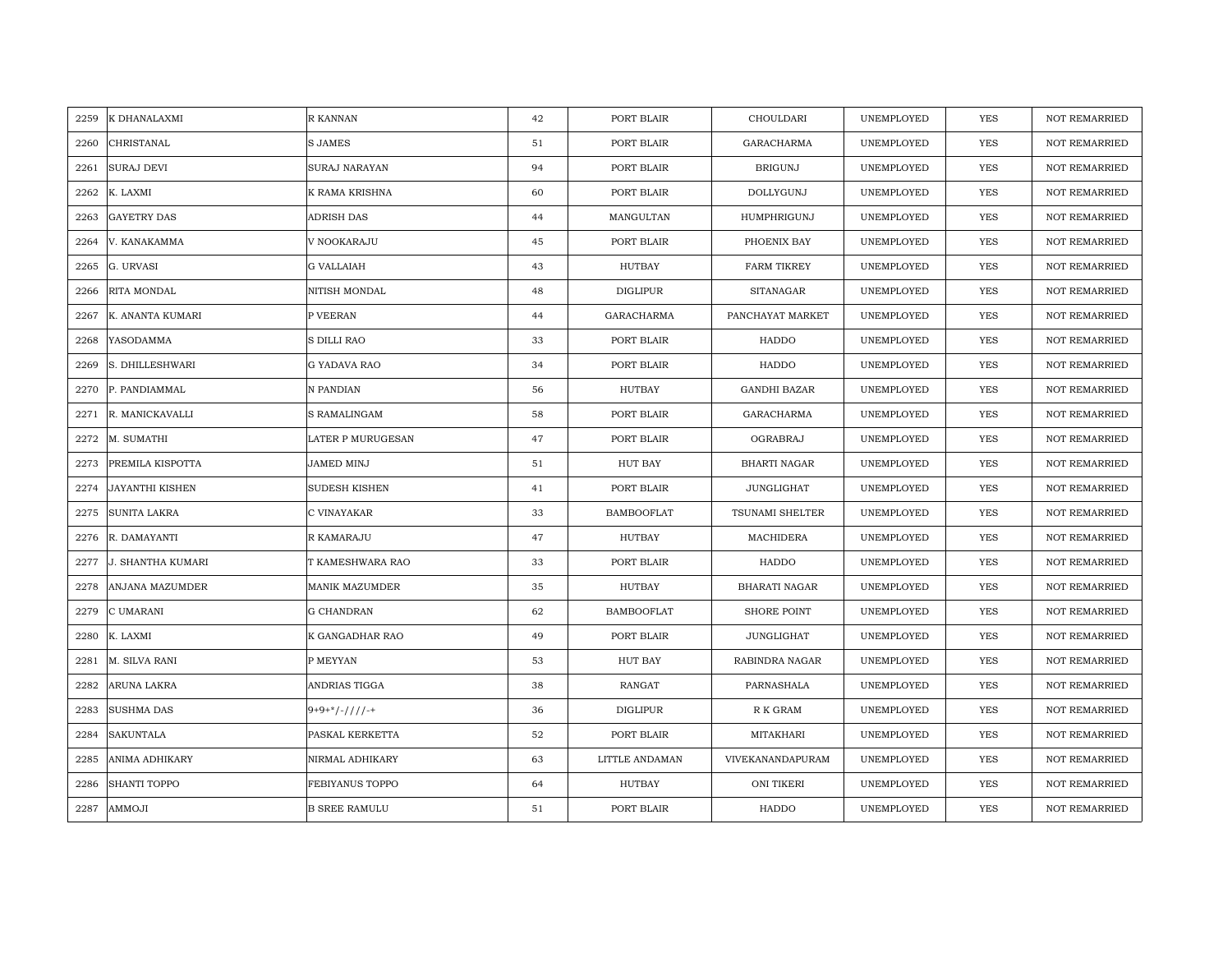| 2259 | K DHANALAXMI             | R KANNAN             | 42 | PORT BLAIR        | CHOULDARI              | UNEMPLOYED | <b>YES</b> | <b>NOT REMARRIED</b> |
|------|--------------------------|----------------------|----|-------------------|------------------------|------------|------------|----------------------|
|      |                          |                      |    |                   |                        |            |            |                      |
| 2260 | CHRISTANAL               | <b>S JAMES</b>       | 51 | PORT BLAIR        | <b>GARACHARMA</b>      | UNEMPLOYED | <b>YES</b> | <b>NOT REMARRIED</b> |
| 2261 | <b>SURAJ DEVI</b>        | SURAJ NARAYAN        | 94 | PORT BLAIR        | <b>BRIGUNJ</b>         | UNEMPLOYED | YES        | <b>NOT REMARRIED</b> |
| 2262 | K. LAXMI                 | K RAMA KRISHNA       | 60 | PORT BLAIR        | DOLLYGUNJ              | UNEMPLOYED | YES        | <b>NOT REMARRIED</b> |
| 2263 | <b>GAYETRY DAS</b>       | ADRISH DAS           | 44 | MANGULTAN         | HUMPHRIGUNJ            | UNEMPLOYED | YES        | <b>NOT REMARRIED</b> |
| 2264 | V. KANAKAMMA             | V NOOKARAJU          | 45 | PORT BLAIR        | PHOENIX BAY            | UNEMPLOYED | <b>YES</b> | NOT REMARRIED        |
| 2265 | G. URVASI                | <b>G VALLAIAH</b>    | 43 | HUTBAY            | <b>FARM TIKREY</b>     | UNEMPLOYED | YES        | <b>NOT REMARRIED</b> |
| 2266 | RITA MONDAL              | NITISH MONDAL        | 48 | DIGLIPUR          | <b>SITANAGAR</b>       | UNEMPLOYED | YES        | <b>NOT REMARRIED</b> |
| 2267 | K. ANANTA KUMARI         | P VEERAN             | 44 | GARACHARMA        | PANCHAYAT MARKET       | UNEMPLOYED | <b>YES</b> | NOT REMARRIED        |
| 2268 | YASODAMMA                | S DILLI RAO          | 33 | PORT BLAIR        | HADDO                  | UNEMPLOYED | YES        | <b>NOT REMARRIED</b> |
| 2269 | S. DHILLESHWARI          | G YADAVA RAO         | 34 | PORT BLAIR        | HADDO                  | UNEMPLOYED | YES        | <b>NOT REMARRIED</b> |
| 2270 | P. PANDIAMMAL            | N PANDIAN            | 56 | HUTBAY            | <b>GANDHI BAZAR</b>    | UNEMPLOYED | YES        | <b>NOT REMARRIED</b> |
| 2271 | R. MANICKAVALLI          | S RAMALINGAM         | 58 | PORT BLAIR        | GARACHARMA             | UNEMPLOYED | <b>YES</b> | NOT REMARRIED        |
| 2272 | M. SUMATHI               | LATER P MURUGESAN    | 47 | PORT BLAIR        | OGRABRAJ               | UNEMPLOYED | <b>YES</b> | <b>NOT REMARRIED</b> |
| 2273 | PREMILA KISPOTTA         | JAMED MINJ           | 51 | HUT BAY           | <b>BHARTI NAGAR</b>    | UNEMPLOYED | YES        | NOT REMARRIED        |
| 2274 | <b>JAYANTHI KISHEN</b>   | <b>SUDESH KISHEN</b> | 41 | PORT BLAIR        | JUNGLIGHAT             | UNEMPLOYED | YES        | NOT REMARRIED        |
| 2275 | <b>SUNITA LAKRA</b>      | C VINAYAKAR          | 33 | <b>BAMBOOFLAT</b> | <b>TSUNAMI SHELTER</b> | UNEMPLOYED | YES        | <b>NOT REMARRIED</b> |
| 2276 | R. DAMAYANTI             | R KAMARAJU           | 47 | HUTBAY            | MACHIDERA              | UNEMPLOYED | YES        | <b>NOT REMARRIED</b> |
| 2277 | <b>J. SHANTHA KUMARI</b> | T KAMESHWARA RAO     | 33 | PORT BLAIR        | HADDO                  | UNEMPLOYED | YES        | <b>NOT REMARRIED</b> |
| 2278 | <b>ANJANA MAZUMDER</b>   | MANIK MAZUMDER       | 35 | HUTBAY            | <b>BHARATI NAGAR</b>   | UNEMPLOYED | YES        | <b>NOT REMARRIED</b> |
| 2279 | C UMARANI                | <b>G CHANDRAN</b>    | 62 | <b>BAMBOOFLAT</b> | <b>SHORE POINT</b>     | UNEMPLOYED | YES        | <b>NOT REMARRIED</b> |
| 2280 | K. LAXMI                 | K GANGADHAR RAO      | 49 | PORT BLAIR        | <b>JUNGLIGHAT</b>      | UNEMPLOYED | YES        | <b>NOT REMARRIED</b> |
| 2281 | M. SILVA RANI            | P MEYYAN             | 53 | HUT BAY           | RABINDRA NAGAR         | UNEMPLOYED | YES        | <b>NOT REMARRIED</b> |
| 2282 | ARUNA LAKRA              | ANDRIAS TIGGA        | 38 | RANGAT            | PARNASHALA             | UNEMPLOYED | YES        | <b>NOT REMARRIED</b> |
| 2283 | <b>SUSHMA DAS</b>        | $9+9+*/-///+$        | 36 | <b>DIGLIPUR</b>   | R K GRAM               | UNEMPLOYED | YES        | <b>NOT REMARRIED</b> |
| 2284 | <b>SAKUNTALA</b>         | PASKAL KERKETTA      | 52 | PORT BLAIR        | MITAKHARI              | UNEMPLOYED | YES        | NOT REMARRIED        |
| 2285 | <b>ANIMA ADHIKARY</b>    | NIRMAL ADHIKARY      | 63 | LITTLE ANDAMAN    | VIVEKANANDAPURAM       | UNEMPLOYED | YES        | <b>NOT REMARRIED</b> |
| 2286 | <b>SHANTI TOPPO</b>      | FEBIYANUS TOPPO      | 64 | HUTBAY            | <b>ONI TIKERI</b>      | UNEMPLOYED | YES        | <b>NOT REMARRIED</b> |
| 2287 | AMMOJI                   | <b>B SREE RAMULU</b> | 51 | PORT BLAIR        | HADDO                  | UNEMPLOYED | YES        | NOT REMARRIED        |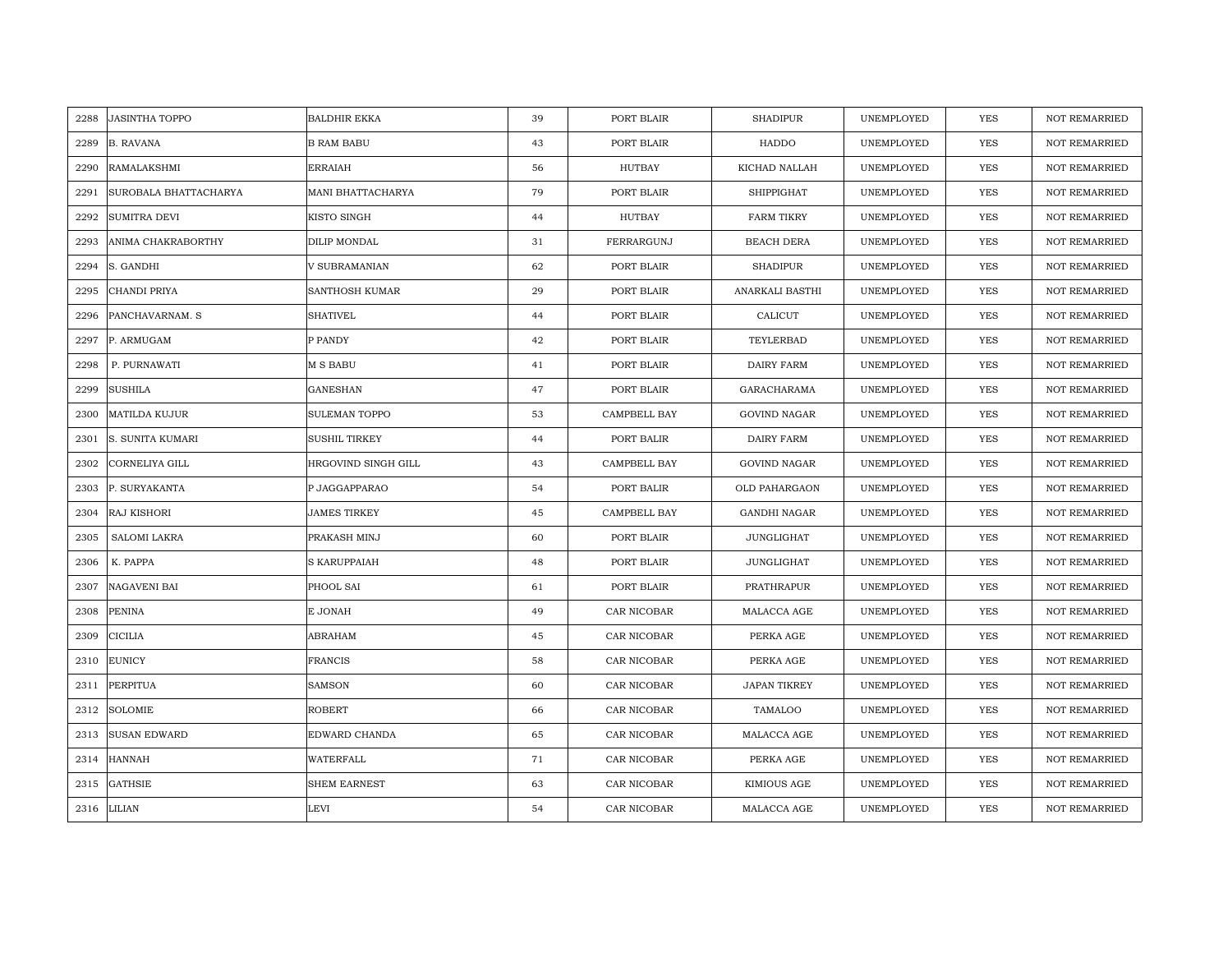| 2288 | <b>JASINTHA TOPPO</b>   | <b>BALDHIR EKKA</b>  | 39 | PORT BLAIR   | <b>SHADIPUR</b>     | UNEMPLOYED | YES        | <b>NOT REMARRIED</b> |
|------|-------------------------|----------------------|----|--------------|---------------------|------------|------------|----------------------|
| 2289 | <b>B. RAVANA</b>        | <b>B RAM BABU</b>    | 43 | PORT BLAIR   | HADDO               | UNEMPLOYED | YES        | NOT REMARRIED        |
| 2290 | RAMALAKSHMI             | <b>ERRAIAH</b>       | 56 | HUTBAY       | KICHAD NALLAH       | UNEMPLOYED | <b>YES</b> | <b>NOT REMARRIED</b> |
| 2291 | SUROBALA BHATTACHARYA   | MANI BHATTACHARYA    | 79 | PORT BLAIR   | <b>SHIPPIGHAT</b>   | UNEMPLOYED | <b>YES</b> | <b>NOT REMARRIED</b> |
| 2292 | SUMITRA DEVI            | KISTO SINGH          | 44 | HUTBAY       | <b>FARM TIKRY</b>   | UNEMPLOYED | <b>YES</b> | <b>NOT REMARRIED</b> |
| 2293 | ANIMA CHAKRABORTHY      | DILIP MONDAL         | 31 | FERRARGUNJ   | <b>BEACH DERA</b>   | UNEMPLOYED | YES        | NOT REMARRIED        |
| 2294 | S. GANDHI               | V SUBRAMANIAN        | 62 | PORT BLAIR   | <b>SHADIPUR</b>     | UNEMPLOYED | <b>YES</b> | <b>NOT REMARRIED</b> |
| 2295 | CHANDI PRIYA            | SANTHOSH KUMAR       | 29 | PORT BLAIR   | ANARKALI BASTHI     | UNEMPLOYED | YES        | NOT REMARRIED        |
| 2296 | PANCHAVARNAM. S         | <b>SHATIVEL</b>      | 44 | PORT BLAIR   | CALICUT             | UNEMPLOYED | YES        | <b>NOT REMARRIED</b> |
| 2297 | P. ARMUGAM              | P PANDY              | 42 | PORT BLAIR   | TEYLERBAD           | UNEMPLOYED | <b>YES</b> | <b>NOT REMARRIED</b> |
| 2298 | P. PURNAWATI            | <b>M S BABU</b>      | 41 | PORT BLAIR   | DAIRY FARM          | UNEMPLOYED | <b>YES</b> | <b>NOT REMARRIED</b> |
| 2299 | <b>SUSHILA</b>          | GANESHAN             | 47 | PORT BLAIR   | GARACHARAMA         | UNEMPLOYED | <b>YES</b> | NOT REMARRIED        |
| 2300 | <b>MATILDA KUJUR</b>    | SULEMAN TOPPO        | 53 | CAMPBELL BAY | <b>GOVIND NAGAR</b> | UNEMPLOYED | <b>YES</b> | <b>NOT REMARRIED</b> |
| 2301 | <b>S. SUNITA KUMARI</b> | <b>SUSHIL TIRKEY</b> | 44 | PORT BALIR   | DAIRY FARM          | UNEMPLOYED | <b>YES</b> | <b>NOT REMARRIED</b> |
| 2302 | CORNELIYA GILL          | HRGOVIND SINGH GILL  | 43 | CAMPBELL BAY | <b>GOVIND NAGAR</b> | UNEMPLOYED | YES        | <b>NOT REMARRIED</b> |
| 2303 | P. SURYAKANTA           | P JAGGAPPARAO        | 54 | PORT BALIR   | OLD PAHARGAON       | UNEMPLOYED | <b>YES</b> | <b>NOT REMARRIED</b> |
| 2304 | RAJ KISHORI             | <b>JAMES TIRKEY</b>  | 45 | CAMPBELL BAY | <b>GANDHI NAGAR</b> | UNEMPLOYED | <b>YES</b> | <b>NOT REMARRIED</b> |
| 2305 | SALOMI LAKRA            | PRAKASH MINJ         | 60 | PORT BLAIR   | <b>JUNGLIGHAT</b>   | UNEMPLOYED | <b>YES</b> | NOT REMARRIED        |
| 2306 | K. PAPPA                | S KARUPPAIAH         | 48 | PORT BLAIR   | JUNGLIGHAT          | UNEMPLOYED | <b>YES</b> | <b>NOT REMARRIED</b> |
| 2307 | NAGAVENI BAI            | PHOOL SAI            | 61 | PORT BLAIR   | PRATHRAPUR          | UNEMPLOYED | <b>YES</b> | <b>NOT REMARRIED</b> |
| 2308 | <b>PENINA</b>           | E JONAH              | 49 | CAR NICOBAR  | MALACCA AGE         | UNEMPLOYED | YES        | <b>NOT REMARRIED</b> |
| 2309 | <b>CICILIA</b>          | ABRAHAM              | 45 | CAR NICOBAR  | PERKA AGE           | UNEMPLOYED | YES        | NOT REMARRIED        |
| 2310 | <b>EUNICY</b>           | <b>FRANCIS</b>       | 58 | CAR NICOBAR  | PERKA AGE           | UNEMPLOYED | <b>YES</b> | <b>NOT REMARRIED</b> |
| 2311 | <b>PERPITUA</b>         | <b>SAMSON</b>        | 60 | CAR NICOBAR  | <b>JAPAN TIKREY</b> | UNEMPLOYED | <b>YES</b> | <b>NOT REMARRIED</b> |
| 2312 | <b>SOLOMIE</b>          | ROBERT               | 66 | CAR NICOBAR  | TAMALOO             | UNEMPLOYED | YES        | <b>NOT REMARRIED</b> |
| 2313 | <b>SUSAN EDWARD</b>     | EDWARD CHANDA        | 65 | CAR NICOBAR  | MALACCA AGE         | UNEMPLOYED | <b>YES</b> | <b>NOT REMARRIED</b> |
| 2314 | <b>HANNAH</b>           | WATERFALL            | 71 | CAR NICOBAR  | PERKA AGE           | UNEMPLOYED | <b>YES</b> | NOT REMARRIED        |
| 2315 | <b>GATHSIE</b>          | SHEM EARNEST         | 63 | CAR NICOBAR  | KIMIOUS AGE         | UNEMPLOYED | YES        | <b>NOT REMARRIED</b> |
|      | 2316 LILIAN             | LEVI                 | 54 | CAR NICOBAR  | MALACCA AGE         | UNEMPLOYED | <b>YES</b> | <b>NOT REMARRIED</b> |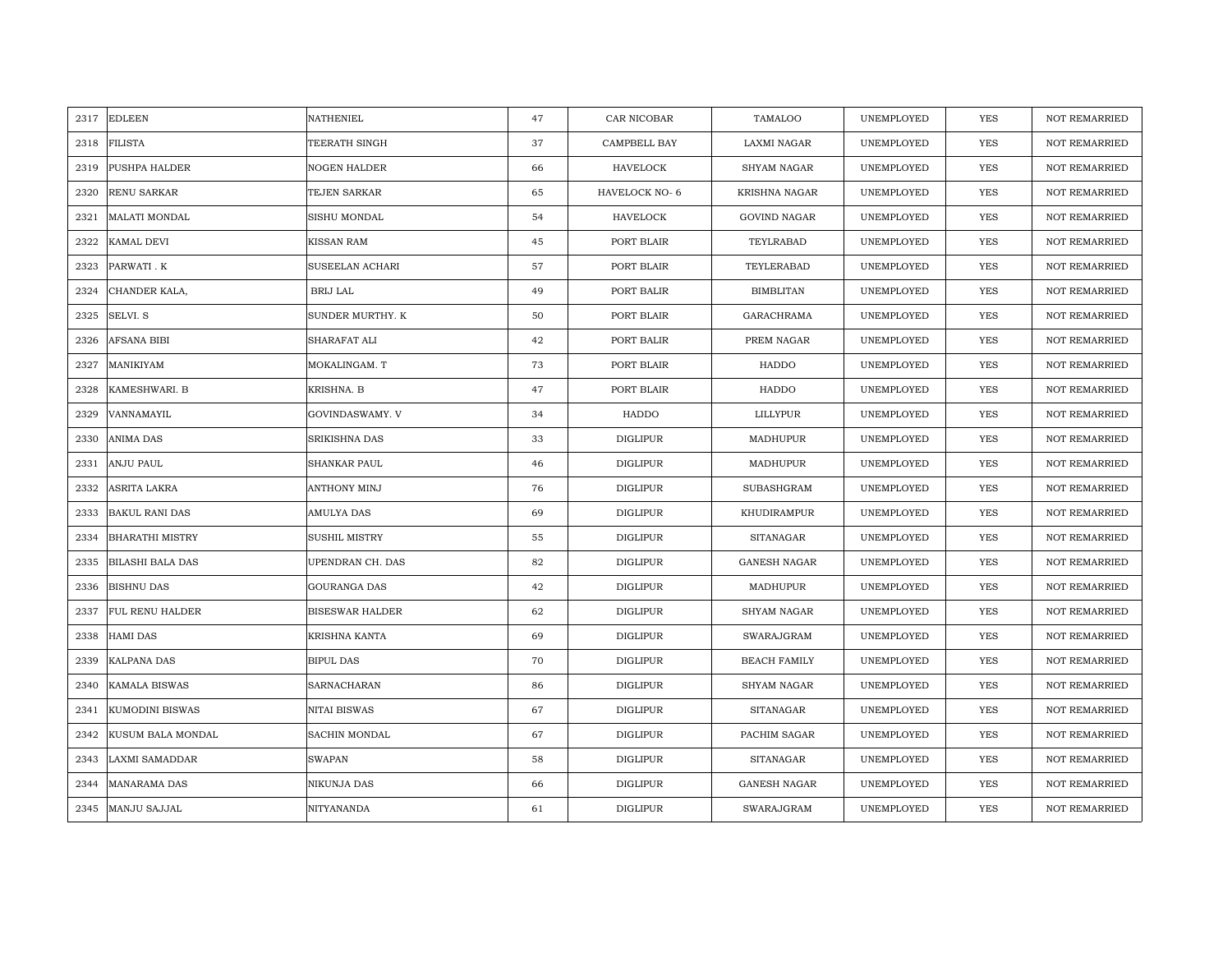|      | 2317 EDLEEN             | NATHENIEL              | 47 | CAR NICOBAR     | TAMALOO             | UNEMPLOYED | YES        | <b>NOT REMARRIED</b> |
|------|-------------------------|------------------------|----|-----------------|---------------------|------------|------------|----------------------|
| 2318 | <b>FILISTA</b>          | TEERATH SINGH          | 37 | CAMPBELL BAY    | LAXMI NAGAR         | UNEMPLOYED | <b>YES</b> | NOT REMARRIED        |
| 2319 | PUSHPA HALDER           | <b>NOGEN HALDER</b>    | 66 | <b>HAVELOCK</b> | <b>SHYAM NAGAR</b>  | UNEMPLOYED | <b>YES</b> | <b>NOT REMARRIED</b> |
| 2320 | RENU SARKAR             | TEJEN SARKAR           | 65 | HAVELOCK NO-6   | KRISHNA NAGAR       | UNEMPLOYED | <b>YES</b> | <b>NOT REMARRIED</b> |
| 2321 | <b>MALATI MONDAL</b>    | SISHU MONDAL           | 54 | <b>HAVELOCK</b> | <b>GOVIND NAGAR</b> | UNEMPLOYED | <b>YES</b> | <b>NOT REMARRIED</b> |
| 2322 | KAMAL DEVI              | <b>KISSAN RAM</b>      | 45 | PORT BLAIR      | TEYLRABAD           | UNEMPLOYED | <b>YES</b> | <b>NOT REMARRIED</b> |
| 2323 | PARWATI . K             | SUSEELAN ACHARI        | 57 | PORT BLAIR      | TEYLERABAD          | UNEMPLOYED | <b>YES</b> | <b>NOT REMARRIED</b> |
| 2324 | CHANDER KALA,           | BRIJ LAL               | 49 | PORT BALIR      | <b>BIMBLITAN</b>    | UNEMPLOYED | YES        | <b>NOT REMARRIED</b> |
| 2325 | SELVI. S                | SUNDER MURTHY. K       | 50 | PORT BLAIR      | GARACHRAMA          | UNEMPLOYED | YES        | <b>NOT REMARRIED</b> |
| 2326 | AFSANA BIBI             | SHARAFAT ALI           | 42 | PORT BALIR      | PREM NAGAR          | UNEMPLOYED | YES        | <b>NOT REMARRIED</b> |
| 2327 | MANIKIYAM               | MOKALINGAM. T          | 73 | PORT BLAIR      | HADDO               | UNEMPLOYED | YES        | <b>NOT REMARRIED</b> |
| 2328 | KAMESHWARI. B           | KRISHNA. B             | 47 | PORT BLAIR      | HADDO               | UNEMPLOYED | YES        | <b>NOT REMARRIED</b> |
| 2329 | VANNAMAYIL              | GOVINDASWAMY. V        | 34 | HADDO           | LILLYPUR            | UNEMPLOYED | YES        | <b>NOT REMARRIED</b> |
| 2330 | <b>ANIMA DAS</b>        | <b>SRIKISHNA DAS</b>   | 33 | <b>DIGLIPUR</b> | MADHUPUR            | UNEMPLOYED | <b>YES</b> | <b>NOT REMARRIED</b> |
| 2331 | <b>ANJU PAUL</b>        | SHANKAR PAUL           | 46 | <b>DIGLIPUR</b> | MADHUPUR            | UNEMPLOYED | YES        | <b>NOT REMARRIED</b> |
| 2332 | ASRITA LAKRA            | ANTHONY MINJ           | 76 | <b>DIGLIPUR</b> | SUBASHGRAM          | UNEMPLOYED | YES        | <b>NOT REMARRIED</b> |
| 2333 | <b>BAKUL RANI DAS</b>   | AMULYA DAS             | 69 | <b>DIGLIPUR</b> | KHUDIRAMPUR         | UNEMPLOYED | YES        | NOT REMARRIED        |
| 2334 | <b>BHARATHI MISTRY</b>  | <b>SUSHIL MISTRY</b>   | 55 | <b>DIGLIPUR</b> | <b>SITANAGAR</b>    | UNEMPLOYED | YES        | NOT REMARRIED        |
| 2335 | <b>BILASHI BALA DAS</b> | UPENDRAN CH. DAS       | 82 | <b>DIGLIPUR</b> | <b>GANESH NAGAR</b> | UNEMPLOYED | <b>YES</b> | <b>NOT REMARRIED</b> |
| 2336 | <b>BISHNU DAS</b>       | GOURANGA DAS           | 42 | <b>DIGLIPUR</b> | MADHUPUR            | UNEMPLOYED | <b>YES</b> | <b>NOT REMARRIED</b> |
| 2337 | <b>FUL RENU HALDER</b>  | <b>BISESWAR HALDER</b> | 62 | <b>DIGLIPUR</b> | <b>SHYAM NAGAR</b>  | UNEMPLOYED | <b>YES</b> | <b>NOT REMARRIED</b> |
| 2338 | <b>HAMI DAS</b>         | KRISHNA KANTA          | 69 | <b>DIGLIPUR</b> | SWARAJGRAM          | UNEMPLOYED | YES        | NOT REMARRIED        |
| 2339 | KALPANA DAS             | <b>BIPUL DAS</b>       | 70 | <b>DIGLIPUR</b> | <b>BEACH FAMILY</b> | UNEMPLOYED | <b>YES</b> | <b>NOT REMARRIED</b> |
| 2340 | KAMALA BISWAS           | SARNACHARAN            | 86 | <b>DIGLIPUR</b> | <b>SHYAM NAGAR</b>  | UNEMPLOYED | YES        | <b>NOT REMARRIED</b> |
| 2341 | KUMODINI BISWAS         | NITAI BISWAS           | 67 | <b>DIGLIPUR</b> | <b>SITANAGAR</b>    | UNEMPLOYED | YES        | <b>NOT REMARRIED</b> |
| 2342 | KUSUM BALA MONDAL       | SACHIN MONDAL          | 67 | <b>DIGLIPUR</b> | PACHIM SAGAR        | UNEMPLOYED | YES        | NOT REMARRIED        |
| 2343 | LAXMI SAMADDAR          | SWAPAN                 | 58 | DIGLIPUR        | <b>SITANAGAR</b>    | UNEMPLOYED | YES        | <b>NOT REMARRIED</b> |
| 2344 | <b>MANARAMA DAS</b>     | NIKUNJA DAS            | 66 | <b>DIGLIPUR</b> | <b>GANESH NAGAR</b> | UNEMPLOYED | <b>YES</b> | <b>NOT REMARRIED</b> |
| 2345 | <b>MANJU SAJJAL</b>     | NITYANANDA             | 61 | <b>DIGLIPUR</b> | SWARAJGRAM          | UNEMPLOYED | <b>YES</b> | NOT REMARRIED        |
|      |                         |                        |    |                 |                     |            |            |                      |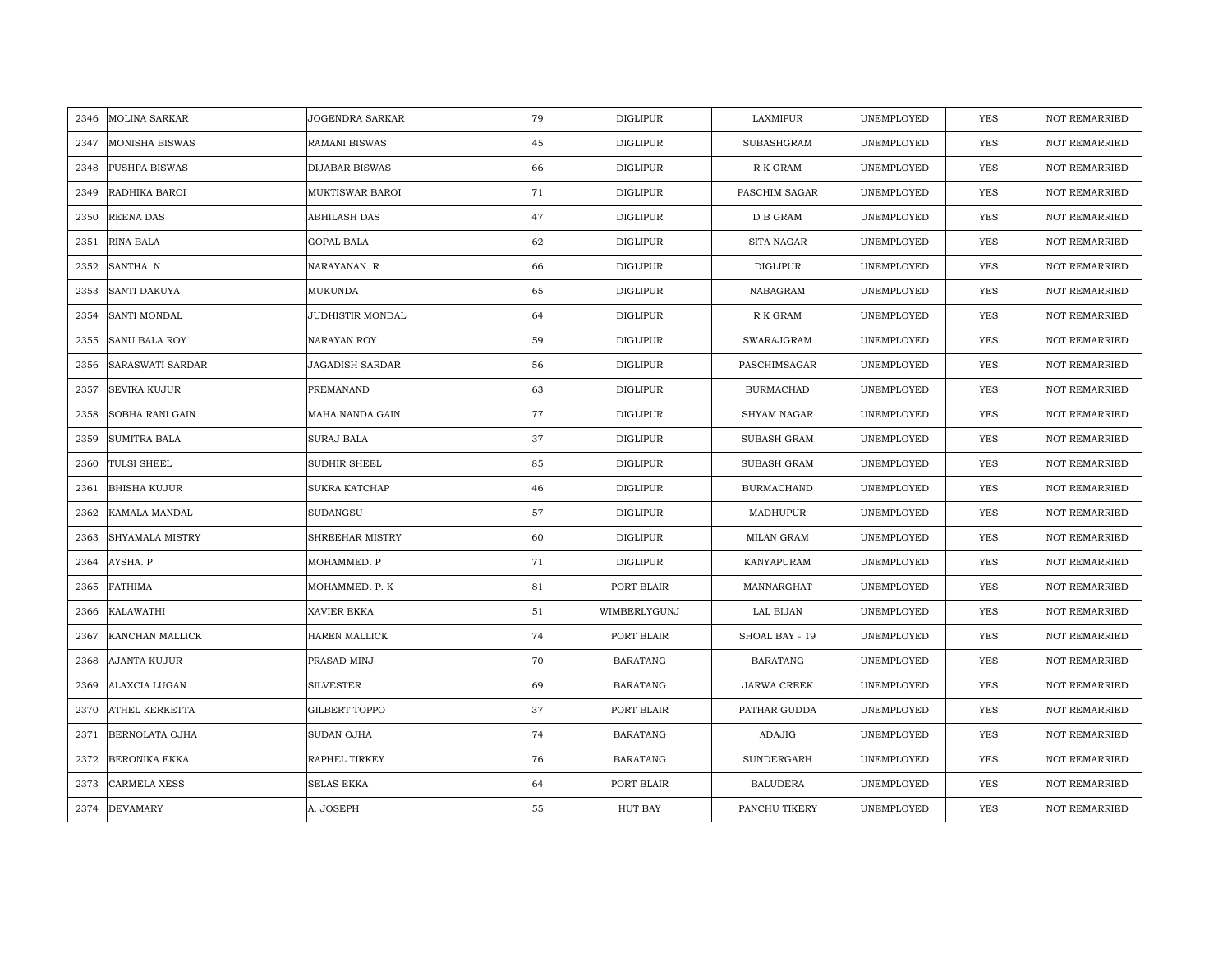| 2346 | <b>MOLINA SARKAR</b>  | JOGENDRA SARKAR       | 79 | <b>DIGLIPUR</b> | LAXMIPUR           | UNEMPLOYED | YES        | <b>NOT REMARRIED</b> |
|------|-----------------------|-----------------------|----|-----------------|--------------------|------------|------------|----------------------|
| 2347 | <b>MONISHA BISWAS</b> | <b>RAMANI BISWAS</b>  | 45 | <b>DIGLIPUR</b> | SUBASHGRAM         | UNEMPLOYED | <b>YES</b> | <b>NOT REMARRIED</b> |
| 2348 | PUSHPA BISWAS         | <b>DIJABAR BISWAS</b> | 66 | <b>DIGLIPUR</b> | R K GRAM           | UNEMPLOYED | YES        | <b>NOT REMARRIED</b> |
| 2349 | RADHIKA BAROI         | MUKTISWAR BAROI       | 71 | <b>DIGLIPUR</b> | PASCHIM SAGAR      | UNEMPLOYED | YES        | <b>NOT REMARRIED</b> |
| 2350 | <b>REENA DAS</b>      | ABHILASH DAS          | 47 | <b>DIGLIPUR</b> | D B GRAM           | UNEMPLOYED | YES        | <b>NOT REMARRIED</b> |
| 2351 | <b>RINA BALA</b>      | GOPAL BALA            | 62 | <b>DIGLIPUR</b> | SITA NAGAR         | UNEMPLOYED | YES        | NOT REMARRIED        |
| 2352 | SANTHA. N             | NARAYANAN. R          | 66 | DIGLIPUR        | DIGLIPUR           | UNEMPLOYED | YES        | <b>NOT REMARRIED</b> |
| 2353 | <b>SANTI DAKUYA</b>   | MUKUNDA               | 65 | <b>DIGLIPUR</b> | NABAGRAM           | UNEMPLOYED | YES        | <b>NOT REMARRIED</b> |
| 2354 | SANTI MONDAL          | JUDHISTIR MONDAL      | 64 | <b>DIGLIPUR</b> | R K GRAM           | UNEMPLOYED | <b>YES</b> | NOT REMARRIED        |
| 2355 | <b>SANU BALA ROY</b>  | NARAYAN ROY           | 59 | <b>DIGLIPUR</b> | SWARAJGRAM         | UNEMPLOYED | YES        | <b>NOT REMARRIED</b> |
| 2356 | SARASWATI SARDAR      | JAGADISH SARDAR       | 56 | <b>DIGLIPUR</b> | PASCHIMSAGAR       | UNEMPLOYED | YES        | <b>NOT REMARRIED</b> |
| 2357 | SEVIKA KUJUR          | PREMANAND             | 63 | <b>DIGLIPUR</b> | <b>BURMACHAD</b>   | UNEMPLOYED | YES        | NOT REMARRIED        |
| 2358 | SOBHA RANI GAIN       | MAHA NANDA GAIN       | 77 | <b>DIGLIPUR</b> | SHYAM NAGAR        | UNEMPLOYED | <b>YES</b> | NOT REMARRIED        |
| 2359 | <b>SUMITRA BALA</b>   | SURAJ BALA            | 37 | <b>DIGLIPUR</b> | SUBASH GRAM        | UNEMPLOYED | <b>YES</b> | <b>NOT REMARRIED</b> |
| 2360 | TULSI SHEEL           | SUDHIR SHEEL          | 85 | <b>DIGLIPUR</b> | SUBASH GRAM        | UNEMPLOYED | YES        | NOT REMARRIED        |
| 2361 | <b>BHISHA KUJUR</b>   | <b>SUKRA KATCHAP</b>  | 46 | <b>DIGLIPUR</b> | <b>BURMACHAND</b>  | UNEMPLOYED | <b>YES</b> | NOT REMARRIED        |
| 2362 | KAMALA MANDAL         | SUDANGSU              | 57 | <b>DIGLIPUR</b> | MADHUPUR           | UNEMPLOYED | YES        | <b>NOT REMARRIED</b> |
| 2363 | SHYAMALA MISTRY       | SHREEHAR MISTRY       | 60 | <b>DIGLIPUR</b> | MILAN GRAM         | UNEMPLOYED | YES        | <b>NOT REMARRIED</b> |
| 2364 | AYSHA. P              | MOHAMMED. P           | 71 | <b>DIGLIPUR</b> | KANYAPURAM         | UNEMPLOYED | YES        | NOT REMARRIED        |
| 2365 | <b>FATHIMA</b>        | MOHAMMED. P. K        | 81 | PORT BLAIR      | MANNARGHAT         | UNEMPLOYED | YES        | <b>NOT REMARRIED</b> |
| 2366 | <b>KALAWATHI</b>      | XAVIER EKKA           | 51 | WIMBERLYGUNJ    | LAL BIJAN          | UNEMPLOYED | YES        | <b>NOT REMARRIED</b> |
| 2367 | KANCHAN MALLICK       | HAREN MALLICK         | 74 | PORT BLAIR      | SHOAL BAY - 19     | UNEMPLOYED | YES        | <b>NOT REMARRIED</b> |
| 2368 | AJANTA KUJUR          | PRASAD MINJ           | 70 | <b>BARATANG</b> | <b>BARATANG</b>    | UNEMPLOYED | <b>YES</b> | <b>NOT REMARRIED</b> |
| 2369 | ALAXCIA LUGAN         | <b>SILVESTER</b>      | 69 | <b>BARATANG</b> | <b>JARWA CREEK</b> | UNEMPLOYED | <b>YES</b> | <b>NOT REMARRIED</b> |
| 2370 | ATHEL KERKETTA        | <b>GILBERT TOPPO</b>  | 37 | PORT BLAIR      | PATHAR GUDDA       | UNEMPLOYED | YES        | <b>NOT REMARRIED</b> |
| 2371 | BERNOLATA OJHA        | SUDAN OJHA            | 74 | <b>BARATANG</b> | <b>ADAJIG</b>      | UNEMPLOYED | YES        | NOT REMARRIED        |
| 2372 | <b>BERONIKA EKKA</b>  | RAPHEL TIRKEY         | 76 | <b>BARATANG</b> | SUNDERGARH         | UNEMPLOYED | YES        | NOT REMARRIED        |
| 2373 | <b>CARMELA XESS</b>   | <b>SELAS EKKA</b>     | 64 | PORT BLAIR      | <b>BALUDERA</b>    | UNEMPLOYED | YES        | <b>NOT REMARRIED</b> |
| 2374 | <b>DEVAMARY</b>       | A. JOSEPH             | 55 | HUT BAY         | PANCHU TIKERY      | UNEMPLOYED | YES        | NOT REMARRIED        |
|      |                       |                       |    |                 |                    |            |            |                      |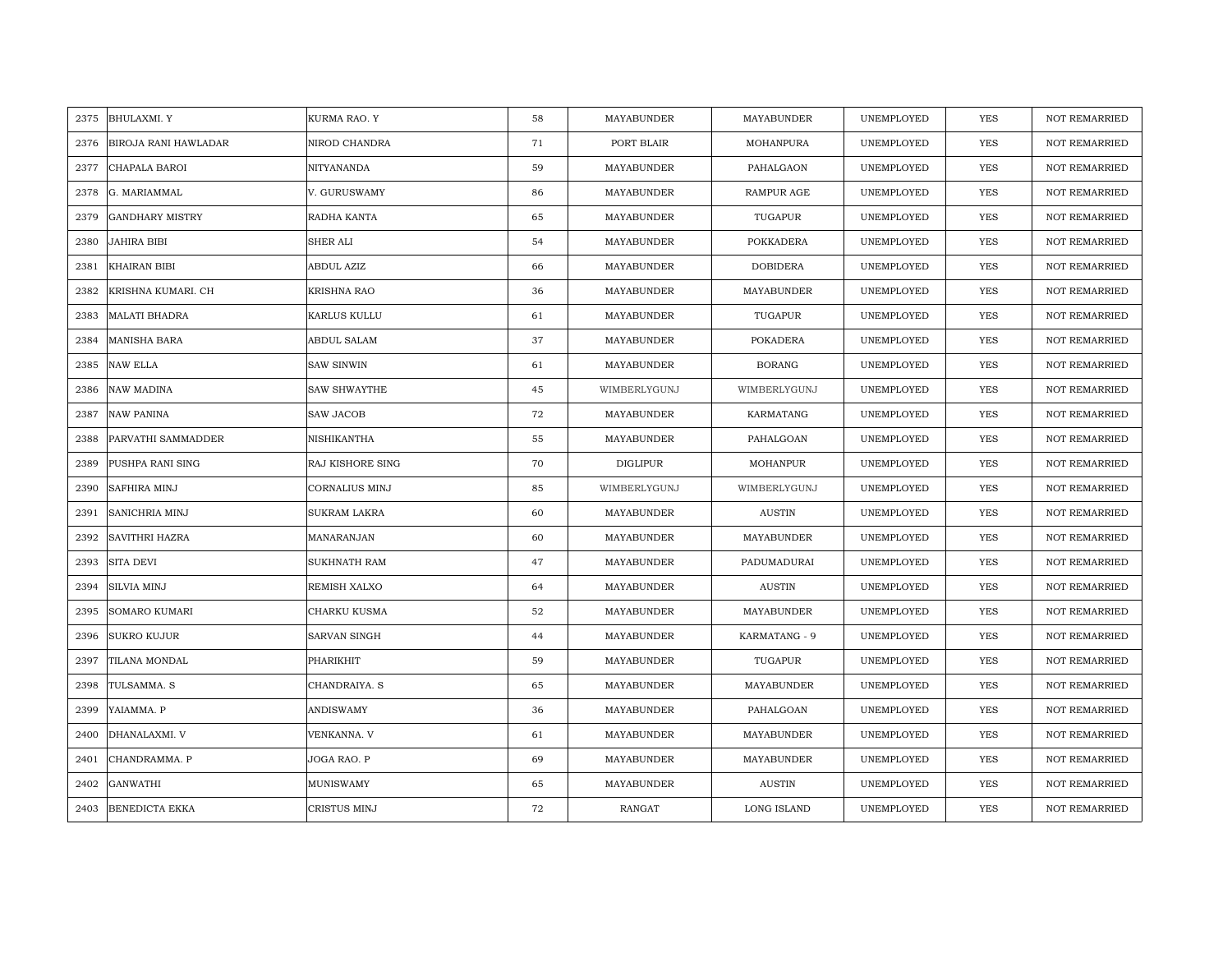| 2375 | <b>BHULAXMI.Y</b>           | KURMA RAO. Y        | 58 | MAYABUNDER      | MAYABUNDER         | UNEMPLOYED | YES        | <b>NOT REMARRIED</b> |
|------|-----------------------------|---------------------|----|-----------------|--------------------|------------|------------|----------------------|
| 2376 | <b>BIROJA RANI HAWLADAR</b> | NIROD CHANDRA       | 71 | PORT BLAIR      | MOHANPURA          | UNEMPLOYED | <b>YES</b> | <b>NOT REMARRIED</b> |
| 2377 | CHAPALA BAROI               | NITYANANDA          | 59 | MAYABUNDER      | PAHALGAON          | UNEMPLOYED | <b>YES</b> | <b>NOT REMARRIED</b> |
| 2378 | G. MARIAMMAL                | V. GURUSWAMY        | 86 | MAYABUNDER      | <b>RAMPUR AGE</b>  | UNEMPLOYED | YES        | <b>NOT REMARRIED</b> |
| 2379 | <b>GANDHARY MISTRY</b>      | RADHA KANTA         | 65 | MAYABUNDER      | TUGAPUR            | UNEMPLOYED | YES        | <b>NOT REMARRIED</b> |
| 2380 | <b>JAHIRA BIBI</b>          | SHER ALI            | 54 | MAYABUNDER      | <b>POKKADERA</b>   | UNEMPLOYED | YES        | NOT REMARRIED        |
| 2381 | <b>KHAIRAN BIBI</b>         | ABDUL AZIZ          | 66 | MAYABUNDER      | <b>DOBIDERA</b>    | UNEMPLOYED | <b>YES</b> | NOT REMARRIED        |
| 2382 | KRISHNA KUMARI. CH          | KRISHNA RAO         | 36 | MAYABUNDER      | MAYABUNDER         | UNEMPLOYED | YES        | NOT REMARRIED        |
| 2383 | <b>MALATI BHADRA</b>        | KARLUS KULLU        | 61 | MAYABUNDER      | TUGAPUR            | UNEMPLOYED | YES        | <b>NOT REMARRIED</b> |
| 2384 | <b>MANISHA BARA</b>         | ABDUL SALAM         | 37 | MAYABUNDER      | POKADERA           | UNEMPLOYED | YES        | <b>NOT REMARRIED</b> |
| 2385 | <b>NAW ELLA</b>             | <b>SAW SINWIN</b>   | 61 | MAYABUNDER      | <b>BORANG</b>      | UNEMPLOYED | YES        | <b>NOT REMARRIED</b> |
| 2386 | NAW MADINA                  | SAW SHWAYTHE        | 45 | WIMBERLYGUNJ    | WIMBERLYGUNJ       | UNEMPLOYED | YES        | <b>NOT REMARRIED</b> |
| 2387 | <b>NAW PANINA</b>           | <b>SAW JACOB</b>    | 72 | MAYABUNDER      | KARMATANG          | UNEMPLOYED | <b>YES</b> | <b>NOT REMARRIED</b> |
| 2388 | PARVATHI SAMMADDER          | NISHIKANTHA         | 55 | MAYABUNDER      | PAHALGOAN          | UNEMPLOYED | <b>YES</b> | <b>NOT REMARRIED</b> |
| 2389 | PUSHPA RANI SING            | RAJ KISHORE SING    | 70 | <b>DIGLIPUR</b> | MOHANPUR           | UNEMPLOYED | <b>YES</b> | <b>NOT REMARRIED</b> |
| 2390 | <b>SAFHIRA MINJ</b>         | CORNALIUS MINJ      | 85 | WIMBERLYGUNJ    | WIMBERLYGUNJ       | UNEMPLOYED | <b>YES</b> | <b>NOT REMARRIED</b> |
| 2391 | SANICHRIA MINJ              | <b>SUKRAM LAKRA</b> | 60 | MAYABUNDER      | <b>AUSTIN</b>      | UNEMPLOYED | <b>YES</b> | <b>NOT REMARRIED</b> |
| 2392 | <b>SAVITHRI HAZRA</b>       | MANARANJAN          | 60 | MAYABUNDER      | MAYABUNDER         | UNEMPLOYED | <b>YES</b> | <b>NOT REMARRIED</b> |
| 2393 | <b>SITA DEVI</b>            | <b>SUKHNATH RAM</b> | 47 | MAYABUNDER      | PADUMADURAI        | UNEMPLOYED | <b>YES</b> | <b>NOT REMARRIED</b> |
| 2394 | <b>SILVIA MINJ</b>          | REMISH XALXO        | 64 | MAYABUNDER      | <b>AUSTIN</b>      | UNEMPLOYED | YES        | <b>NOT REMARRIED</b> |
| 2395 | SOMARO KUMARI               | CHARKU KUSMA        | 52 | MAYABUNDER      | MAYABUNDER         | UNEMPLOYED | YES        | <b>NOT REMARRIED</b> |
| 2396 | <b>SUKRO KUJUR</b>          | SARVAN SINGH        | 44 | MAYABUNDER      | KARMATANG - 9      | UNEMPLOYED | YES        | NOT REMARRIED        |
| 2397 | TILANA MONDAL               | PHARIKHIT           | 59 | MAYABUNDER      | TUGAPUR            | UNEMPLOYED | <b>YES</b> | <b>NOT REMARRIED</b> |
| 2398 | TULSAMMA. S                 | CHANDRAIYA. S       | 65 | MAYABUNDER      | MAYABUNDER         | UNEMPLOYED | <b>YES</b> | <b>NOT REMARRIED</b> |
| 2399 | YAIAMMA. P                  | ANDISWAMY           | 36 | MAYABUNDER      | PAHALGOAN          | UNEMPLOYED | YES        | <b>NOT REMARRIED</b> |
| 2400 | DHANALAXMI. V               | VENKANNA. V         | 61 | MAYABUNDER      | MAYABUNDER         | UNEMPLOYED | YES        | NOT REMARRIED        |
| 2401 | CHANDRAMMA. P               | JOGA RAO. P         | 69 | MAYABUNDER      | MAYABUNDER         | UNEMPLOYED | YES        | NOT REMARRIED        |
| 2402 | GANWATHI                    | <b>MUNISWAMY</b>    | 65 | MAYABUNDER      | <b>AUSTIN</b>      | UNEMPLOYED | <b>YES</b> | <b>NOT REMARRIED</b> |
|      | 2403 BENEDICTA EKKA         | CRISTUS MINJ        | 72 | <b>RANGAT</b>   | <b>LONG ISLAND</b> | UNEMPLOYED | <b>YES</b> | <b>NOT REMARRIED</b> |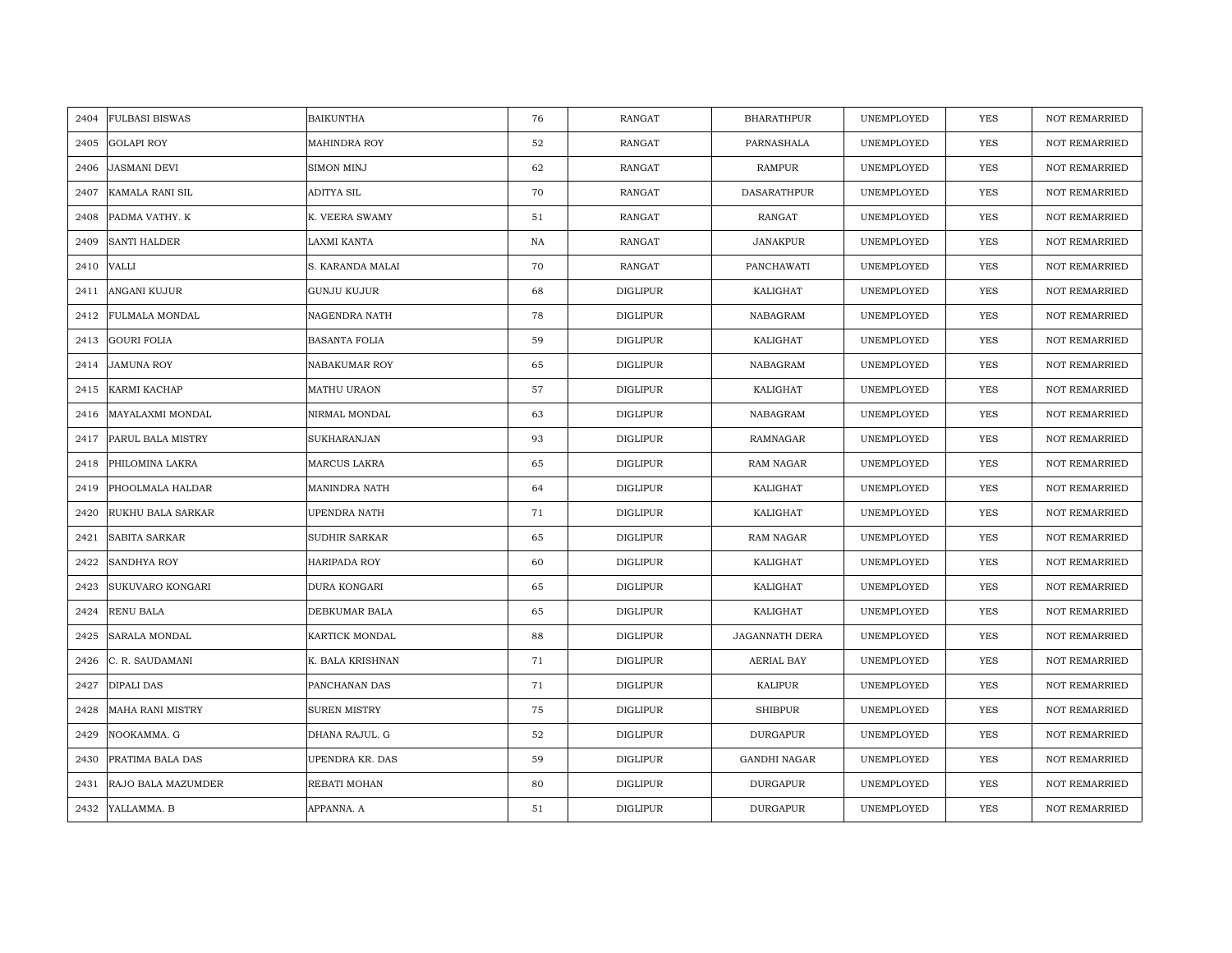| 2404 | <b>FULBASI BISWAS</b>   | <b>BAIKUNTHA</b>    | 76 | RANGAT          | <b>BHARATHPUR</b>   | UNEMPLOYED | YES        | <b>NOT REMARRIED</b> |
|------|-------------------------|---------------------|----|-----------------|---------------------|------------|------------|----------------------|
| 2405 | <b>GOLAPI ROY</b>       | <b>MAHINDRA ROY</b> | 52 | RANGAT          | PARNASHALA          | UNEMPLOYED | <b>YES</b> | <b>NOT REMARRIED</b> |
| 2406 | <b>JASMANI DEVI</b>     | SIMON MINJ          | 62 | <b>RANGAT</b>   | <b>RAMPUR</b>       | UNEMPLOYED | <b>YES</b> | <b>NOT REMARRIED</b> |
| 2407 | KAMALA RANI SIL         | ADITYA SIL          | 70 | RANGAT          | DASARATHPUR         | UNEMPLOYED | YES        | NOT REMARRIED        |
| 2408 | PADMA VATHY. K          | K. VEERA SWAMY      | 51 | RANGAT          | RANGAT              | UNEMPLOYED | YES        | <b>NOT REMARRIED</b> |
| 2409 | <b>SANTI HALDER</b>     | LAXMI KANTA         | NA | RANGAT          | <b>JANAKPUR</b>     | UNEMPLOYED | YES        | <b>NOT REMARRIED</b> |
| 2410 | <b>VALLI</b>            | S. KARANDA MALAI    | 70 | RANGAT          | PANCHAWATI          | UNEMPLOYED | <b>YES</b> | <b>NOT REMARRIED</b> |
| 2411 | ANGANI KUJUR            | GUNJU KUJUR         | 68 | DIGLIPUR        | KALIGHAT            | UNEMPLOYED | YES        | <b>NOT REMARRIED</b> |
| 2412 | FULMALA MONDAL          | NAGENDRA NATH       | 78 | <b>DIGLIPUR</b> | NABAGRAM            | UNEMPLOYED | YES        | <b>NOT REMARRIED</b> |
| 2413 | <b>GOURI FOLIA</b>      | BASANTA FOLIA       | 59 | <b>DIGLIPUR</b> | KALIGHAT            | UNEMPLOYED | <b>YES</b> | NOT REMARRIED        |
| 2414 | JAMUNA ROY              | NABAKUMAR ROY       | 65 | <b>DIGLIPUR</b> | NABAGRAM            | UNEMPLOYED | <b>YES</b> | <b>NOT REMARRIED</b> |
| 2415 | KARMI KACHAP            | MATHU URAON         | 57 | <b>DIGLIPUR</b> | KALIGHAT            | UNEMPLOYED | <b>YES</b> | <b>NOT REMARRIED</b> |
| 2416 | MAYALAXMI MONDAL        | NIRMAL MONDAL       | 63 | <b>DIGLIPUR</b> | NABAGRAM            | UNEMPLOYED | YES        | <b>NOT REMARRIED</b> |
| 2417 | PARUL BALA MISTRY       | SUKHARANJAN         | 93 | <b>DIGLIPUR</b> | RAMNAGAR            | UNEMPLOYED | <b>YES</b> | <b>NOT REMARRIED</b> |
| 2418 | PHILOMINA LAKRA         | MARCUS LAKRA        | 65 | DIGLIPUR        | RAM NAGAR           | UNEMPLOYED | YES        | <b>NOT REMARRIED</b> |
| 2419 | PHOOLMALA HALDAR        | MANINDRA NATH       | 64 | <b>DIGLIPUR</b> | KALIGHAT            | UNEMPLOYED | YES        | <b>NOT REMARRIED</b> |
| 2420 | RUKHU BALA SARKAR       | UPENDRA NATH        | 71 | <b>DIGLIPUR</b> | KALIGHAT            | UNEMPLOYED | <b>YES</b> | <b>NOT REMARRIED</b> |
| 2421 | SABITA SARKAR           | SUDHIR SARKAR       | 65 | DIGLIPUR        | <b>RAM NAGAR</b>    | UNEMPLOYED | <b>YES</b> | NOT REMARRIED        |
| 2422 | <b>SANDHYA ROY</b>      | HARIPADA ROY        | 60 | <b>DIGLIPUR</b> | KALIGHAT            | UNEMPLOYED | <b>YES</b> | <b>NOT REMARRIED</b> |
| 2423 | SUKUVARO KONGARI        | DURA KONGARI        | 65 | <b>DIGLIPUR</b> | KALIGHAT            | UNEMPLOYED | YES        | <b>NOT REMARRIED</b> |
| 2424 | RENU BALA               | DEBKUMAR BALA       | 65 | <b>DIGLIPUR</b> | KALIGHAT            | UNEMPLOYED | YES        | NOT REMARRIED        |
| 2425 | SARALA MONDAL           | KARTICK MONDAL      | 88 | DIGLIPUR        | JAGANNATH DERA      | UNEMPLOYED | YES        | NOT REMARRIED        |
| 2426 | C. R. SAUDAMANI         | K. BALA KRISHNAN    | 71 | <b>DIGLIPUR</b> | <b>AERIAL BAY</b>   | UNEMPLOYED | YES        | <b>NOT REMARRIED</b> |
| 2427 | <b>DIPALI DAS</b>       | PANCHANAN DAS       | 71 | <b>DIGLIPUR</b> | <b>KALIPUR</b>      | UNEMPLOYED | <b>YES</b> | NOT REMARRIED        |
| 2428 | <b>MAHA RANI MISTRY</b> | <b>SUREN MISTRY</b> | 75 | <b>DIGLIPUR</b> | <b>SHIBPUR</b>      | UNEMPLOYED | <b>YES</b> | <b>NOT REMARRIED</b> |
| 2429 | NOOKAMMA. G             | DHANA RAJUL. G      | 52 | <b>DIGLIPUR</b> | <b>DURGAPUR</b>     | UNEMPLOYED | YES        | NOT REMARRIED        |
| 2430 | PRATIMA BALA DAS        | UPENDRA KR. DAS     | 59 | <b>DIGLIPUR</b> | <b>GANDHI NAGAR</b> | UNEMPLOYED | <b>YES</b> | <b>NOT REMARRIED</b> |
| 2431 | RAJO BALA MAZUMDER      | REBATI MOHAN        | 80 | <b>DIGLIPUR</b> | DURGAPUR            | UNEMPLOYED | YES        | <b>NOT REMARRIED</b> |
| 2432 | YALLAMMA. B             | APPANNA. A          | 51 | <b>DIGLIPUR</b> | <b>DURGAPUR</b>     | UNEMPLOYED | YES        | <b>NOT REMARRIED</b> |
|      |                         |                     |    |                 |                     |            |            |                      |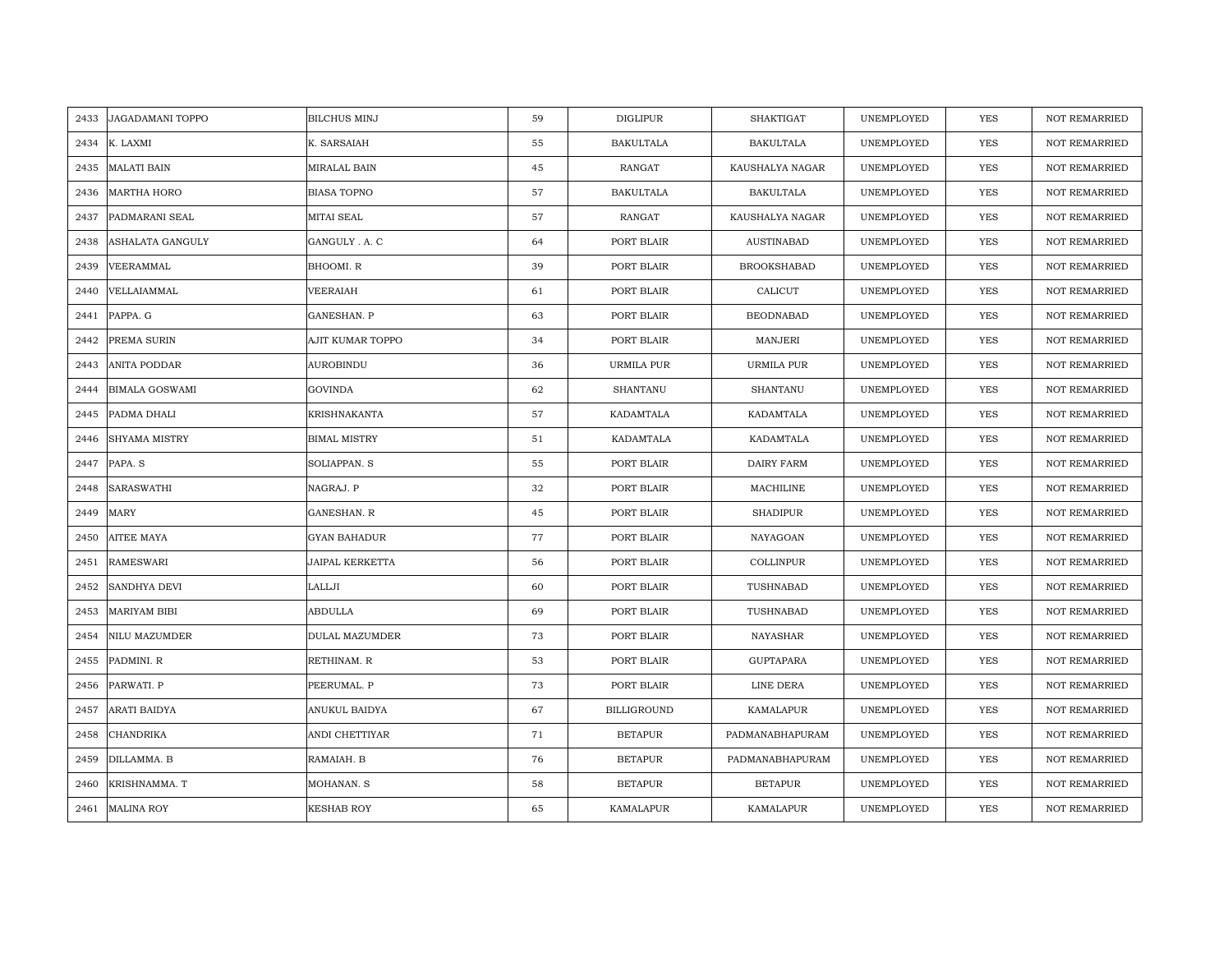| 2433 | JAGADAMANI TOPPO      | <b>BILCHUS MINJ</b>    | 59 | <b>DIGLIPUR</b>    | SHAKTIGAT          | UNEMPLOYED | <b>YES</b> | <b>NOT REMARRIED</b> |
|------|-----------------------|------------------------|----|--------------------|--------------------|------------|------------|----------------------|
| 2434 | K. LAXMI              | K. SARSAIAH            | 55 | <b>BAKULTALA</b>   | <b>BAKULTALA</b>   | UNEMPLOYED | <b>YES</b> | NOT REMARRIED        |
| 2435 | <b>MALATI BAIN</b>    | MIRALAL BAIN           | 45 | RANGAT             | KAUSHALYA NAGAR    | UNEMPLOYED | YES        | <b>NOT REMARRIED</b> |
| 2436 | <b>MARTHA HORO</b>    | <b>BIASA TOPNO</b>     | 57 | <b>BAKULTALA</b>   | <b>BAKULTALA</b>   | UNEMPLOYED | <b>YES</b> | <b>NOT REMARRIED</b> |
| 2437 | PADMARANI SEAL        | <b>MITAI SEAL</b>      | 57 | <b>RANGAT</b>      | KAUSHALYA NAGAR    | UNEMPLOYED | YES        | <b>NOT REMARRIED</b> |
| 2438 | ASHALATA GANGULY      | GANGULY . A. C         | 64 | PORT BLAIR         | AUSTINABAD         | UNEMPLOYED | YES        | <b>NOT REMARRIED</b> |
| 2439 | VEERAMMAL             | BHOOMI.R               | 39 | PORT BLAIR         | <b>BROOKSHABAD</b> | UNEMPLOYED | YES        | <b>NOT REMARRIED</b> |
| 2440 | VELLAIAMMAL           | VEERAIAH               | 61 | PORT BLAIR         | CALICUT            | UNEMPLOYED | YES        | NOT REMARRIED        |
| 2441 | PAPPA. G              | GANESHAN. P            | 63 | PORT BLAIR         | <b>BEODNABAD</b>   | UNEMPLOYED | YES        | NOT REMARRIED        |
| 2442 | PREMA SURIN           | AJIT KUMAR TOPPO       | 34 | PORT BLAIR         | <b>MANJERI</b>     | UNEMPLOYED | <b>YES</b> | <b>NOT REMARRIED</b> |
| 2443 | ANITA PODDAR          | <b>AUROBINDU</b>       | 36 | URMILA PUR         | URMILA PUR         | UNEMPLOYED | YES        | <b>NOT REMARRIED</b> |
| 2444 | <b>BIMALA GOSWAMI</b> | <b>GOVINDA</b>         | 62 | SHANTANU           | SHANTANU           | UNEMPLOYED | YES        | NOT REMARRIED        |
| 2445 | PADMA DHALI           | KRISHNAKANTA           | 57 | KADAMTALA          | KADAMTALA          | UNEMPLOYED | YES        | NOT REMARRIED        |
| 2446 | <b>SHYAMA MISTRY</b>  | <b>BIMAL MISTRY</b>    | 51 | KADAMTALA          | KADAMTALA          | UNEMPLOYED | <b>YES</b> | <b>NOT REMARRIED</b> |
| 2447 | PAPA. S               | SOLIAPPAN. S           | 55 | PORT BLAIR         | <b>DAIRY FARM</b>  | UNEMPLOYED | YES        | NOT REMARRIED        |
| 2448 | SARASWATHI            | NAGRAJ. P              | 32 | PORT BLAIR         | MACHILINE          | UNEMPLOYED | YES        | <b>NOT REMARRIED</b> |
| 2449 | MARY                  | GANESHAN. R            | 45 | PORT BLAIR         | <b>SHADIPUR</b>    | UNEMPLOYED | <b>YES</b> | NOT REMARRIED        |
| 2450 | AITEE MAYA            | <b>GYAN BAHADUR</b>    | 77 | PORT BLAIR         | NAYAGOAN           | UNEMPLOYED | YES        | <b>NOT REMARRIED</b> |
| 2451 | <b>RAMESWARI</b>      | <b>JAIPAL KERKETTA</b> | 56 | PORT BLAIR         | <b>COLLINPUR</b>   | UNEMPLOYED | YES        | NOT REMARRIED        |
| 2452 | <b>SANDHYA DEVI</b>   | LALLJI                 | 60 | PORT BLAIR         | TUSHNABAD          | UNEMPLOYED | YES        | NOT REMARRIED        |
| 2453 | <b>MARIYAM BIBI</b>   | <b>ABDULLA</b>         | 69 | PORT BLAIR         | TUSHNABAD          | UNEMPLOYED | YES        | <b>NOT REMARRIED</b> |
| 2454 | NILU MAZUMDER         | DULAL MAZUMDER         | 73 | PORT BLAIR         | NAYASHAR           | UNEMPLOYED | YES        | NOT REMARRIED        |
| 2455 | PADMINI. R            | RETHINAM. R            | 53 | PORT BLAIR         | GUPTAPARA          | UNEMPLOYED | YES        | <b>NOT REMARRIED</b> |
| 2456 | PARWATI. P            | PEERUMAL. P            | 73 | PORT BLAIR         | LINE DERA          | UNEMPLOYED | YES        | <b>NOT REMARRIED</b> |
| 2457 | ARATI BAIDYA          | ANUKUL BAIDYA          | 67 | <b>BILLIGROUND</b> | KAMALAPUR          | UNEMPLOYED | YES        | <b>NOT REMARRIED</b> |
| 2458 | CHANDRIKA             | ANDI CHETTIYAR         | 71 | <b>BETAPUR</b>     | PADMANABHAPURAM    | UNEMPLOYED | YES        | NOT REMARRIED        |
| 2459 | DILLAMMA. B           | RAMAIAH. B             | 76 | <b>BETAPUR</b>     | PADMANABHAPURAM    | UNEMPLOYED | YES        | NOT REMARRIED        |
| 2460 | KRISHNAMMA. T         | MOHANAN. S             | 58 | <b>BETAPUR</b>     | <b>BETAPUR</b>     | UNEMPLOYED | YES        | <b>NOT REMARRIED</b> |
|      | 2461 MALINA ROY       | <b>KESHAB ROY</b>      | 65 | <b>KAMALAPUR</b>   | KAMALAPUR          | UNEMPLOYED | <b>YES</b> | <b>NOT REMARRIED</b> |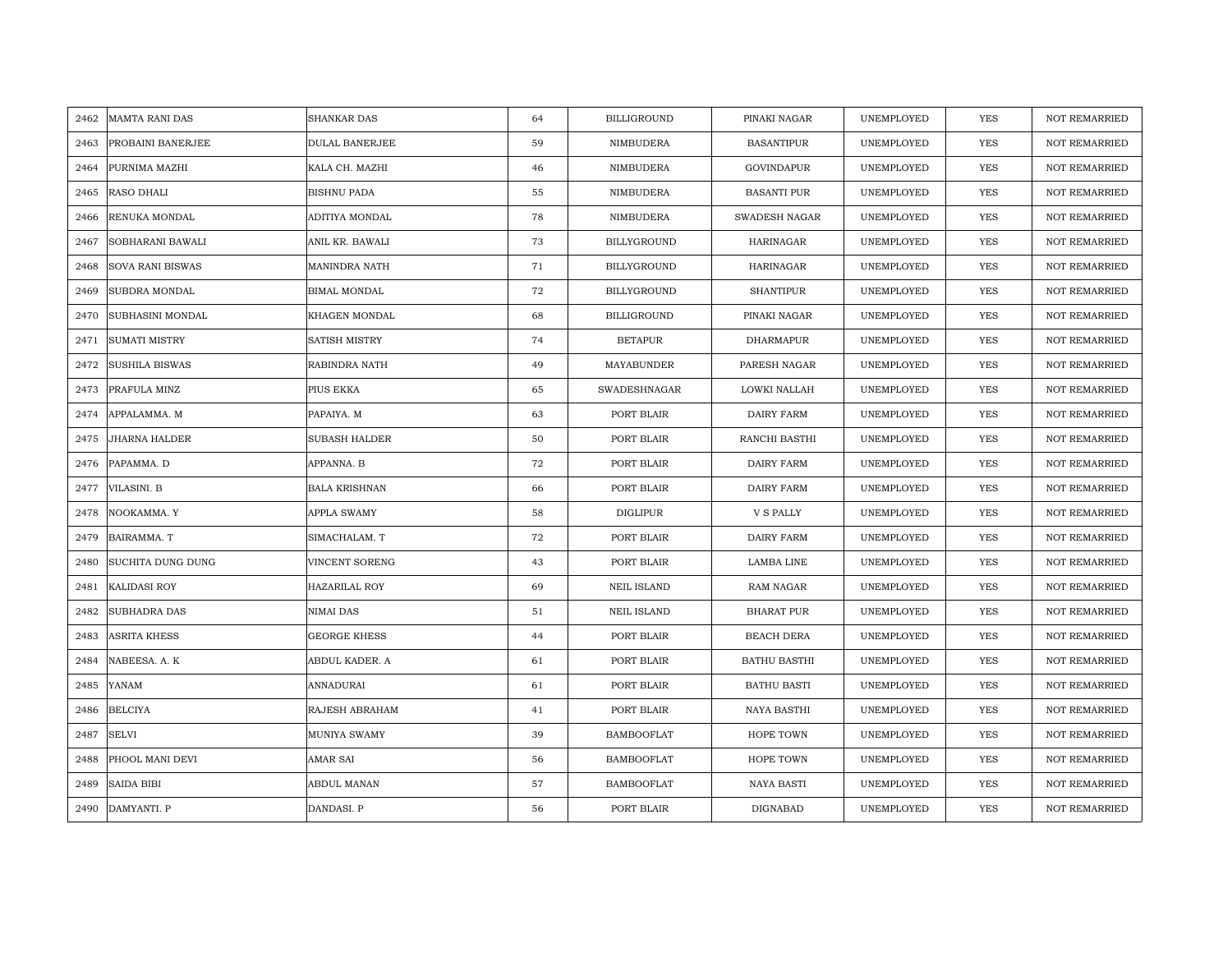| 2462 | <b>MAMTA RANI DAS</b>   | <b>SHANKAR DAS</b>   | 64 | <b>BILLIGROUND</b> | PINAKI NAGAR         | UNEMPLOYED | YES        | <b>NOT REMARRIED</b> |
|------|-------------------------|----------------------|----|--------------------|----------------------|------------|------------|----------------------|
| 2463 | PROBAINI BANERJEE       | DULAL BANERJEE       | 59 | NIMBUDERA          | <b>BASANTIPUR</b>    | UNEMPLOYED | YES        | NOT REMARRIED        |
| 2464 | PURNIMA MAZHI           | KALA CH. MAZHI       | 46 | NIMBUDERA          | <b>GOVINDAPUR</b>    | UNEMPLOYED | <b>YES</b> | <b>NOT REMARRIED</b> |
| 2465 | RASO DHALI              | <b>BISHNU PADA</b>   | 55 | NIMBUDERA          | <b>BASANTI PUR</b>   | UNEMPLOYED | <b>YES</b> | <b>NOT REMARRIED</b> |
| 2466 | RENUKA MONDAL           | ADITIYA MONDAL       | 78 | NIMBUDERA          | <b>SWADESH NAGAR</b> | UNEMPLOYED | <b>YES</b> | <b>NOT REMARRIED</b> |
| 2467 | SOBHARANI BAWALI        | ANIL KR. BAWALI      | 73 | <b>BILLYGROUND</b> | <b>HARINAGAR</b>     | UNEMPLOYED | <b>YES</b> | <b>NOT REMARRIED</b> |
| 2468 | <b>SOVA RANI BISWAS</b> | MANINDRA NATH        | 71 | <b>BILLYGROUND</b> | HARINAGAR            | UNEMPLOYED | <b>YES</b> | <b>NOT REMARRIED</b> |
| 2469 | SUBDRA MONDAL           | <b>BIMAL MONDAL</b>  | 72 | <b>BILLYGROUND</b> | <b>SHANTIPUR</b>     | UNEMPLOYED | YES        | <b>NOT REMARRIED</b> |
| 2470 | SUBHASINI MONDAL        | KHAGEN MONDAL        | 68 | <b>BILLIGROUND</b> | PINAKI NAGAR         | UNEMPLOYED | YES        | NOT REMARRIED        |
| 2471 | <b>SUMATI MISTRY</b>    | SATISH MISTRY        | 74 | <b>BETAPUR</b>     | DHARMAPUR            | UNEMPLOYED | YES        | <b>NOT REMARRIED</b> |
| 2472 | SUSHILA BISWAS          | RABINDRA NATH        | 49 | MAYABUNDER         | PARESH NAGAR         | UNEMPLOYED | YES        | <b>NOT REMARRIED</b> |
| 2473 | PRAFULA MINZ            | PIUS EKKA            | 65 | SWADESHNAGAR       | LOWKI NALLAH         | UNEMPLOYED | YES        | NOT REMARRIED        |
| 2474 | APPALAMMA. M            | PAPAIYA. M           | 63 | PORT BLAIR         | DAIRY FARM           | UNEMPLOYED | YES        | NOT REMARRIED        |
| 2475 | <b>JHARNA HALDER</b>    | SUBASH HALDER        | 50 | PORT BLAIR         | RANCHI BASTHI        | UNEMPLOYED | <b>YES</b> | <b>NOT REMARRIED</b> |
| 2476 | PAPAMMA. D              | APPANNA. B           | 72 | PORT BLAIR         | DAIRY FARM           | UNEMPLOYED | YES        | NOT REMARRIED        |
| 2477 | VILASINI. B             | <b>BALA KRISHNAN</b> | 66 | PORT BLAIR         | <b>DAIRY FARM</b>    | UNEMPLOYED | YES        | <b>NOT REMARRIED</b> |
| 2478 | NOOKAMMA. Y             | APPLA SWAMY          | 58 | <b>DIGLIPUR</b>    | <b>V S PALLY</b>     | UNEMPLOYED | YES        | NOT REMARRIED        |
| 2479 | BAIRAMMA. T             | SIMACHALAM. T        | 72 | PORT BLAIR         | <b>DAIRY FARM</b>    | UNEMPLOYED | YES        | NOT REMARRIED        |
| 2480 | SUCHITA DUNG DUNG       | VINCENT SORENG       | 43 | PORT BLAIR         | LAMBA LINE           | UNEMPLOYED | YES        | NOT REMARRIED        |
| 2481 | <b>KALIDASI ROY</b>     | HAZARILAL ROY        | 69 | <b>NEIL ISLAND</b> | RAM NAGAR            | UNEMPLOYED | YES        | <b>NOT REMARRIED</b> |
| 2482 | SUBHADRA DAS            | NIMAI DAS            | 51 | <b>NEIL ISLAND</b> | <b>BHARAT PUR</b>    | UNEMPLOYED | YES        | <b>NOT REMARRIED</b> |
| 2483 | ASRITA KHESS            | GEORGE KHESS         | 44 | PORT BLAIR         | <b>BEACH DERA</b>    | UNEMPLOYED | YES        | NOT REMARRIED        |
| 2484 | NABEESA. A. K           | ABDUL KADER. A       | 61 | PORT BLAIR         | <b>BATHU BASTHI</b>  | UNEMPLOYED | YES        | <b>NOT REMARRIED</b> |
| 2485 | YANAM                   | ANNADURAI            | 61 | PORT BLAIR         | <b>BATHU BASTI</b>   | UNEMPLOYED | YES        | <b>NOT REMARRIED</b> |
| 2486 | <b>BELCIYA</b>          | RAJESH ABRAHAM       | 41 | PORT BLAIR         | NAYA BASTHI          | UNEMPLOYED | YES        | <b>NOT REMARRIED</b> |
| 2487 | <b>SELVI</b>            | MUNIYA SWAMY         | 39 | <b>BAMBOOFLAT</b>  | HOPE TOWN            | UNEMPLOYED | YES        | NOT REMARRIED        |
| 2488 | PHOOL MANI DEVI         | AMAR SAI             | 56 | <b>BAMBOOFLAT</b>  | HOPE TOWN            | UNEMPLOYED | YES        | <b>NOT REMARRIED</b> |
| 2489 | <b>SAIDA BIBI</b>       | ABDUL MANAN          | 57 | <b>BAMBOOFLAT</b>  | <b>NAYA BASTI</b>    | UNEMPLOYED | YES        | <b>NOT REMARRIED</b> |
|      | 2490 DAMYANTI. P        | DANDASI. P           | 56 | PORT BLAIR         | DIGNABAD             | UNEMPLOYED | <b>YES</b> | <b>NOT REMARRIED</b> |
|      |                         |                      |    |                    |                      |            |            |                      |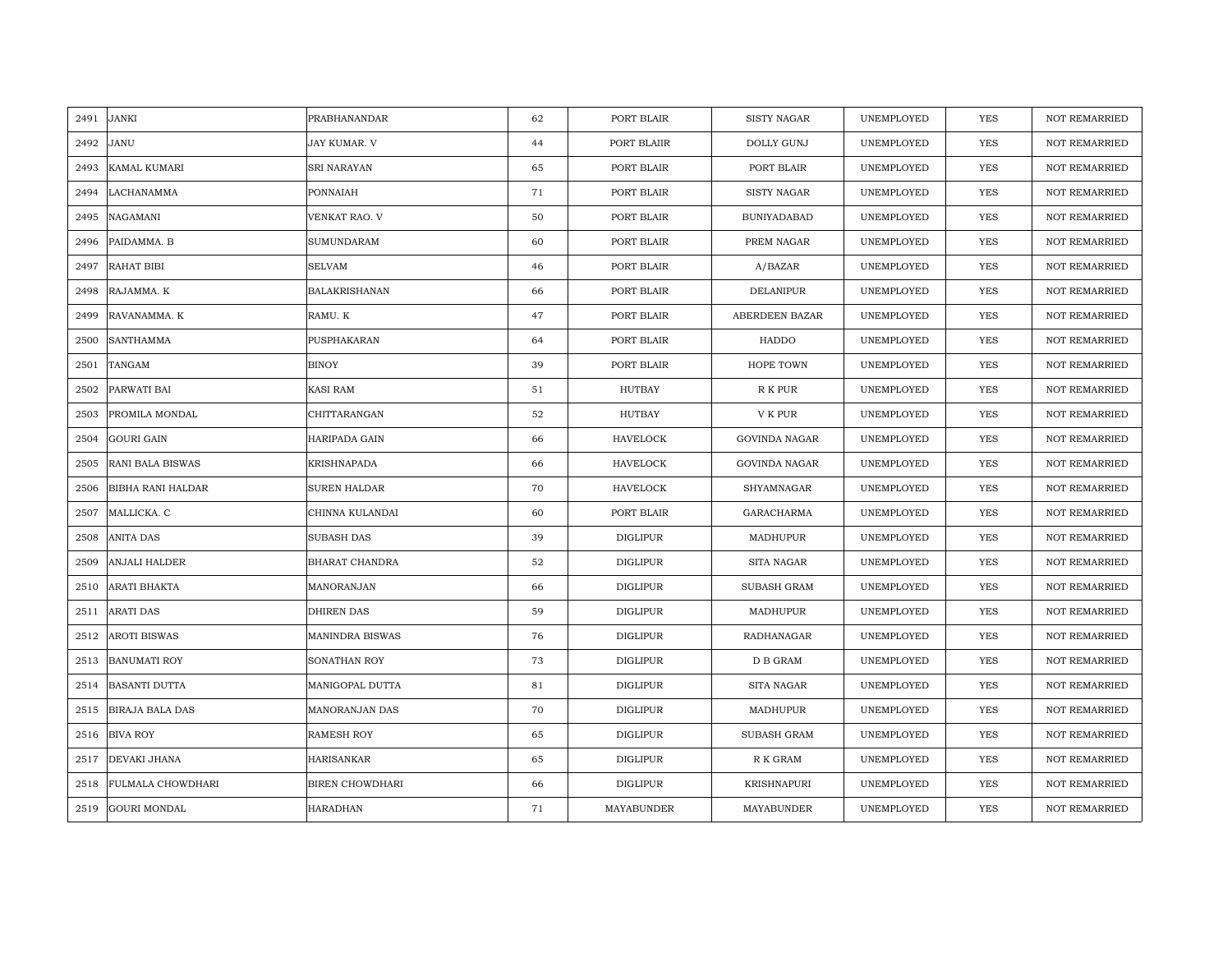| 2491 | <b>JANKI</b>             | PRABHANANDAR           | 62 | PORT BLAIR      | <b>SISTY NAGAR</b>   | UNEMPLOYED | YES        | <b>NOT REMARRIED</b> |
|------|--------------------------|------------------------|----|-----------------|----------------------|------------|------------|----------------------|
| 2492 | JANU                     | JAY KUMAR. V           | 44 | PORT BLAIIR     | <b>DOLLY GUNJ</b>    | UNEMPLOYED | <b>YES</b> | <b>NOT REMARRIED</b> |
| 2493 | <b>KAMAL KUMARI</b>      | SRI NARAYAN            | 65 | PORT BLAIR      | PORT BLAIR           | UNEMPLOYED | YES        | <b>NOT REMARRIED</b> |
| 2494 | LACHANAMMA               | PONNAIAH               | 71 | PORT BLAIR      | <b>SISTY NAGAR</b>   | UNEMPLOYED | YES        | <b>NOT REMARRIED</b> |
| 2495 | NAGAMANI                 | VENKAT RAO. V          | 50 | PORT BLAIR      | <b>BUNIYADABAD</b>   | UNEMPLOYED | YES        | <b>NOT REMARRIED</b> |
| 2496 | PAIDAMMA. B              | SUMUNDARAM             | 60 | PORT BLAIR      | PREM NAGAR           | UNEMPLOYED | YES        | NOT REMARRIED        |
| 2497 | <b>RAHAT BIBI</b>        | <b>SELVAM</b>          | 46 | PORT BLAIR      | A/BAZAR              | UNEMPLOYED | <b>YES</b> | <b>NOT REMARRIED</b> |
| 2498 | RAJAMMA. K               | <b>BALAKRISHANAN</b>   | 66 | PORT BLAIR      | <b>DELANIPUR</b>     | UNEMPLOYED | <b>YES</b> | <b>NOT REMARRIED</b> |
| 2499 | RAVANAMMA. K             | RAMU. K                | 47 | PORT BLAIR      | ABERDEEN BAZAR       | UNEMPLOYED | <b>YES</b> | NOT REMARRIED        |
| 2500 | <b>SANTHAMMA</b>         | PUSPHAKARAN            | 64 | PORT BLAIR      | HADDO                | UNEMPLOYED | <b>YES</b> | <b>NOT REMARRIED</b> |
| 2501 | TANGAM                   | <b>BINOY</b>           | 39 | PORT BLAIR      | HOPE TOWN            | UNEMPLOYED | <b>YES</b> | <b>NOT REMARRIED</b> |
| 2502 | PARWATI BAI              | <b>KASI RAM</b>        | 51 | HUTBAY          | R K PUR              | UNEMPLOYED | <b>YES</b> | <b>NOT REMARRIED</b> |
| 2503 | PROMILA MONDAL           | CHITTARANGAN           | 52 | <b>HUTBAY</b>   | V K PUR              | UNEMPLOYED | YES        | <b>NOT REMARRIED</b> |
| 2504 | <b>GOURI GAIN</b>        | HARIPADA GAIN          | 66 | <b>HAVELOCK</b> | <b>GOVINDA NAGAR</b> | UNEMPLOYED | <b>YES</b> | <b>NOT REMARRIED</b> |
| 2505 | RANI BALA BISWAS         | KRISHNAPADA            | 66 | HAVELOCK        | <b>GOVINDA NAGAR</b> | UNEMPLOYED | YES        | NOT REMARRIED        |
| 2506 | <b>BIBHA RANI HALDAR</b> | SUREN HALDAR           | 70 | <b>HAVELOCK</b> | SHYAMNAGAR           | UNEMPLOYED | YES        | <b>NOT REMARRIED</b> |
| 2507 | MALLICKA. C              | CHINNA KULANDAI        | 60 | PORT BLAIR      | <b>GARACHARMA</b>    | UNEMPLOYED | YES        | <b>NOT REMARRIED</b> |
| 2508 | ANITA DAS                | <b>SUBASH DAS</b>      | 39 | <b>DIGLIPUR</b> | MADHUPUR             | UNEMPLOYED | <b>YES</b> | <b>NOT REMARRIED</b> |
| 2509 | <b>ANJALI HALDER</b>     | BHARAT CHANDRA         | 52 | <b>DIGLIPUR</b> | SITA NAGAR           | UNEMPLOYED | <b>YES</b> | NOT REMARRIED        |
| 2510 | <b>ARATI BHAKTA</b>      | MANORANJAN             | 66 | <b>DIGLIPUR</b> | <b>SUBASH GRAM</b>   | UNEMPLOYED | <b>YES</b> | <b>NOT REMARRIED</b> |
| 2511 | <b>ARATI DAS</b>         | <b>DHIREN DAS</b>      | 59 | <b>DIGLIPUR</b> | MADHUPUR             | UNEMPLOYED | <b>YES</b> | <b>NOT REMARRIED</b> |
| 2512 | <b>AROTI BISWAS</b>      | <b>MANINDRA BISWAS</b> | 76 | <b>DIGLIPUR</b> | RADHANAGAR           | UNEMPLOYED | <b>YES</b> | <b>NOT REMARRIED</b> |
| 2513 | <b>BANUMATI ROY</b>      | SONATHAN ROY           | 73 | <b>DIGLIPUR</b> | D B GRAM             | UNEMPLOYED | YES        | <b>NOT REMARRIED</b> |
| 2514 | <b>BASANTI DUTTA</b>     | MANIGOPAL DUTTA        | 81 | <b>DIGLIPUR</b> | SITA NAGAR           | UNEMPLOYED | YES        | <b>NOT REMARRIED</b> |
| 2515 | <b>BIRAJA BALA DAS</b>   | MANORANJAN DAS         | 70 | <b>DIGLIPUR</b> | MADHUPUR             | UNEMPLOYED | <b>YES</b> | <b>NOT REMARRIED</b> |
| 2516 | <b>BIVA ROY</b>          | <b>RAMESH ROY</b>      | 65 | <b>DIGLIPUR</b> | SUBASH GRAM          | UNEMPLOYED | YES        | NOT REMARRIED        |
| 2517 | DEVAKI JHANA             | HARISANKAR             | 65 | <b>DIGLIPUR</b> | R K GRAM             | UNEMPLOYED | <b>YES</b> | NOT REMARRIED        |
| 2518 | <b>FULMALA CHOWDHARI</b> | <b>BIREN CHOWDHARI</b> | 66 | <b>DIGLIPUR</b> | KRISHNAPURI          | UNEMPLOYED | YES        | <b>NOT REMARRIED</b> |
| 2519 | <b>GOURI MONDAL</b>      | HARADHAN               | 71 | MAYABUNDER      | MAYABUNDER           | UNEMPLOYED | YES        | NOT REMARRIED        |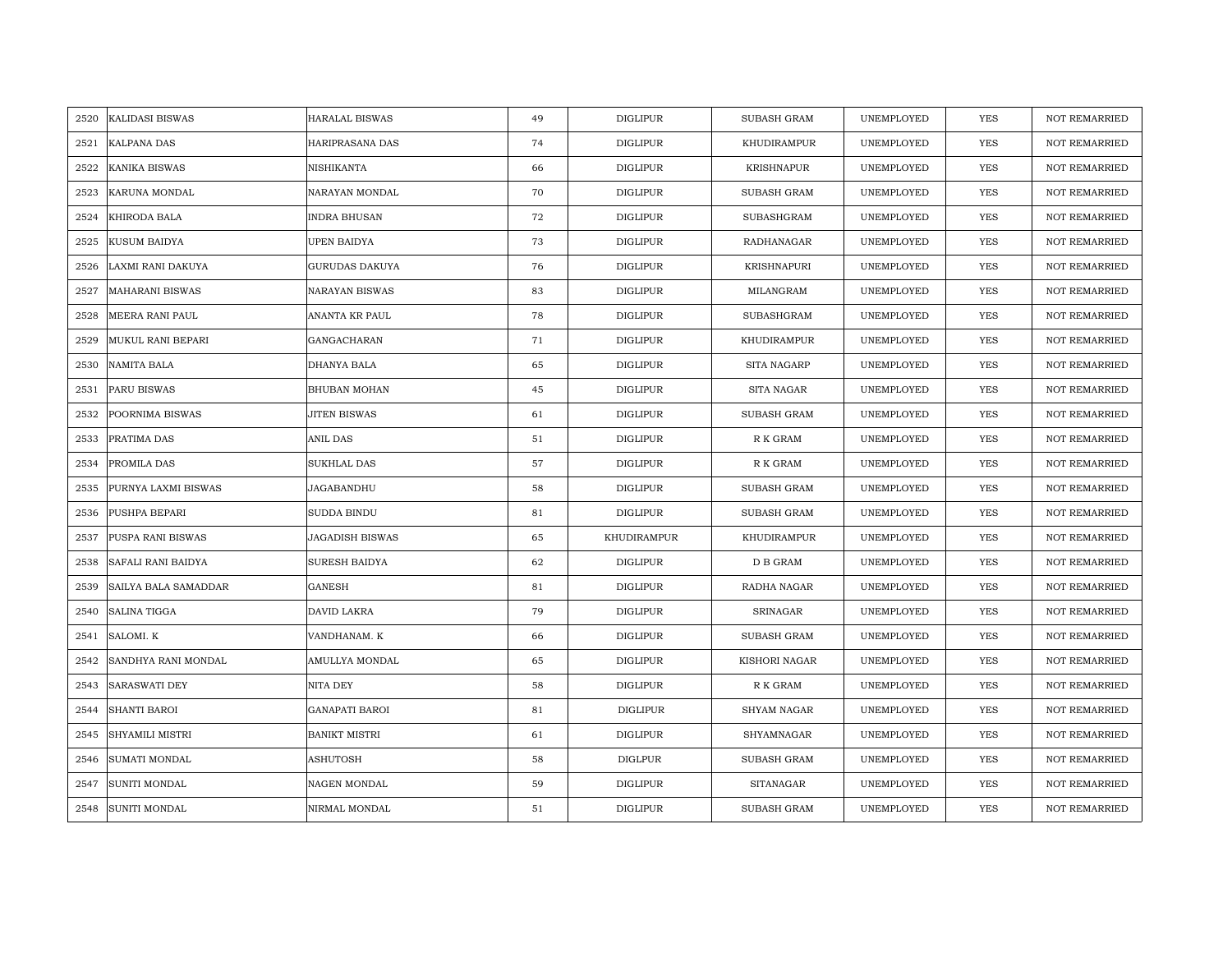| 2520 | <b>KALIDASI BISWAS</b> | <b>HARALAL BISWAS</b> | 49 | <b>DIGLIPUR</b> | <b>SUBASH GRAM</b> | UNEMPLOYED | <b>YES</b> | <b>NOT REMARRIED</b> |
|------|------------------------|-----------------------|----|-----------------|--------------------|------------|------------|----------------------|
| 2521 | <b>KALPANA DAS</b>     | HARIPRASANA DAS       | 74 | <b>DIGLIPUR</b> | KHUDIRAMPUR        | UNEMPLOYED | <b>YES</b> | NOT REMARRIED        |
| 2522 | <b>KANIKA BISWAS</b>   | NISHIKANTA            | 66 | <b>DIGLIPUR</b> | <b>KRISHNAPUR</b>  | UNEMPLOYED | <b>YES</b> | <b>NOT REMARRIED</b> |
| 2523 | KARUNA MONDAL          | NARAYAN MONDAL        | 70 | <b>DIGLIPUR</b> | SUBASH GRAM        | UNEMPLOYED | YES        | <b>NOT REMARRIED</b> |
| 2524 | KHIRODA BALA           | <b>INDRA BHUSAN</b>   | 72 | <b>DIGLIPUR</b> | SUBASHGRAM         | UNEMPLOYED | YES        | <b>NOT REMARRIED</b> |
| 2525 | KUSUM BAIDYA           | UPEN BAIDYA           | 73 | <b>DIGLIPUR</b> | RADHANAGAR         | UNEMPLOYED | YES        | NOT REMARRIED        |
| 2526 | LAXMI RANI DAKUYA      | <b>GURUDAS DAKUYA</b> | 76 | <b>DIGLIPUR</b> | KRISHNAPURI        | UNEMPLOYED | <b>YES</b> | <b>NOT REMARRIED</b> |
| 2527 | <b>MAHARANI BISWAS</b> | <b>NARAYAN BISWAS</b> | 83 | DIGLIPUR        | MILANGRAM          | UNEMPLOYED | YES        | NOT REMARRIED        |
| 2528 | MEERA RANI PAUL        | ANANTA KR PAUL        | 78 | DIGLIPUR        | SUBASHGRAM         | UNEMPLOYED | YES        | NOT REMARRIED        |
| 2529 | MUKUL RANI BEPARI      | GANGACHARAN           | 71 | <b>DIGLIPUR</b> | KHUDIRAMPUR        | UNEMPLOYED | YES        | NOT REMARRIED        |
| 2530 | NAMITA BALA            | DHANYA BALA           | 65 | <b>DIGLIPUR</b> | SITA NAGARP        | UNEMPLOYED | <b>YES</b> | <b>NOT REMARRIED</b> |
| 2531 | PARU BISWAS            | <b>BHUBAN MOHAN</b>   | 45 | <b>DIGLIPUR</b> | SITA NAGAR         | UNEMPLOYED | <b>YES</b> | <b>NOT REMARRIED</b> |
| 2532 | POORNIMA BISWAS        | JITEN BISWAS          | 61 | <b>DIGLIPUR</b> | SUBASH GRAM        | UNEMPLOYED | YES        | NOT REMARRIED        |
| 2533 | PRATIMA DAS            | <b>ANIL DAS</b>       | 51 | <b>DIGLIPUR</b> | R K GRAM           | UNEMPLOYED | <b>YES</b> | <b>NOT REMARRIED</b> |
| 2534 | PROMILA DAS            | <b>SUKHLAL DAS</b>    | 57 | <b>DIGLIPUR</b> | R K GRAM           | UNEMPLOYED | <b>YES</b> | NOT REMARRIED        |
| 2535 | PURNYA LAXMI BISWAS    | JAGABANDHU            | 58 | <b>DIGLIPUR</b> | <b>SUBASH GRAM</b> | UNEMPLOYED | YES        | NOT REMARRIED        |
| 2536 | PUSHPA BEPARI          | SUDDA BINDU           | 81 | <b>DIGLIPUR</b> | <b>SUBASH GRAM</b> | UNEMPLOYED | <b>YES</b> | <b>NOT REMARRIED</b> |
| 2537 | PUSPA RANI BISWAS      | JAGADISH BISWAS       | 65 | KHUDIRAMPUR     | KHUDIRAMPUR        | UNEMPLOYED | <b>YES</b> | <b>NOT REMARRIED</b> |
| 2538 | SAFALI RANI BAIDYA     | <b>SURESH BAIDYA</b>  | 62 | <b>DIGLIPUR</b> | D B GRAM           | UNEMPLOYED | <b>YES</b> | <b>NOT REMARRIED</b> |
| 2539 | SAILYA BALA SAMADDAR   | <b>GANESH</b>         | 81 | <b>DIGLIPUR</b> | RADHA NAGAR        | UNEMPLOYED | YES        | <b>NOT REMARRIED</b> |
| 2540 | SALINA TIGGA           | DAVID LAKRA           | 79 | <b>DIGLIPUR</b> | SRINAGAR           | UNEMPLOYED | <b>YES</b> | <b>NOT REMARRIED</b> |
| 2541 | SALOMI. K              | VANDHANAM. K          | 66 | DIGLIPUR        | <b>SUBASH GRAM</b> | UNEMPLOYED | YES        | NOT REMARRIED        |
| 2542 | SANDHYA RANI MONDAL    | AMULLYA MONDAL        | 65 | <b>DIGLIPUR</b> | KISHORI NAGAR      | UNEMPLOYED | YES        | <b>NOT REMARRIED</b> |
| 2543 | <b>SARASWATI DEY</b>   | NITA DEY              | 58 | <b>DIGLIPUR</b> | R K GRAM           | UNEMPLOYED | YES        | <b>NOT REMARRIED</b> |
| 2544 | <b>SHANTI BAROI</b>    | <b>GANAPATI BAROI</b> | 81 | DIGLIPUR        | SHYAM NAGAR        | UNEMPLOYED | <b>YES</b> | <b>NOT REMARRIED</b> |
| 2545 | SHYAMILI MISTRI        | <b>BANIKT MISTRI</b>  | 61 | <b>DIGLIPUR</b> | SHYAMNAGAR         | UNEMPLOYED | YES        | NOT REMARRIED        |
| 2546 | <b>SUMATI MONDAL</b>   | ASHUTOSH              | 58 | <b>DIGLPUR</b>  | <b>SUBASH GRAM</b> | UNEMPLOYED | <b>YES</b> | <b>NOT REMARRIED</b> |
| 2547 | SUNITI MONDAL          | NAGEN MONDAL          | 59 | <b>DIGLIPUR</b> | <b>SITANAGAR</b>   | UNEMPLOYED | YES        | <b>NOT REMARRIED</b> |
| 2548 | SUNITI MONDAL          | NIRMAL MONDAL         | 51 | <b>DIGLIPUR</b> | <b>SUBASH GRAM</b> | UNEMPLOYED | YES        | NOT REMARRIED        |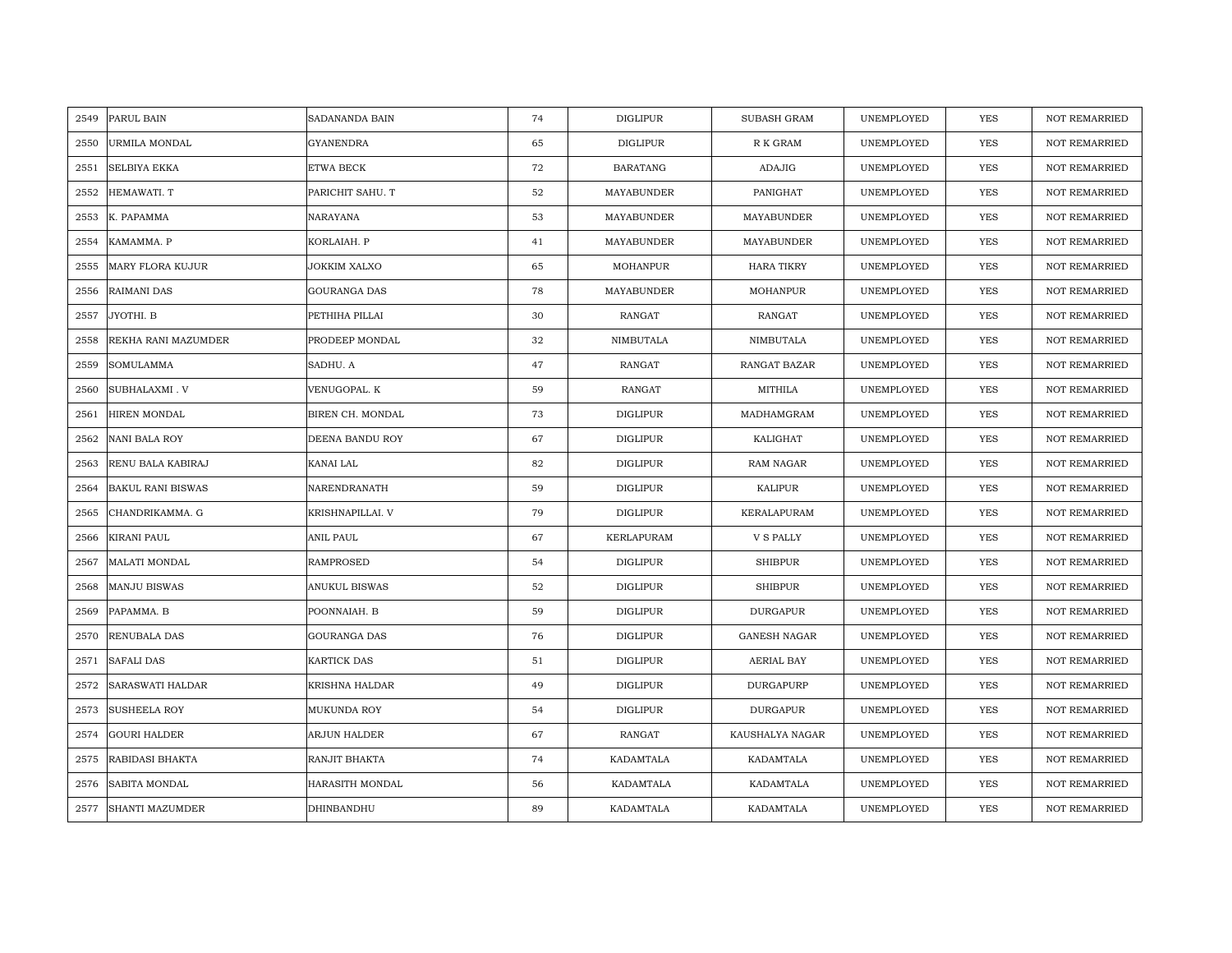| 2549 | PARUL BAIN               | SADANANDA BAIN   | 74 | <b>DIGLIPUR</b>   | <b>SUBASH GRAM</b>  | UNEMPLOYED | <b>YES</b> | <b>NOT REMARRIED</b> |
|------|--------------------------|------------------|----|-------------------|---------------------|------------|------------|----------------------|
| 2550 | <b>URMILA MONDAL</b>     | <b>GYANENDRA</b> | 65 | <b>DIGLIPUR</b>   | R K GRAM            | UNEMPLOYED | <b>YES</b> | <b>NOT REMARRIED</b> |
| 2551 | <b>SELBIYA EKKA</b>      | ETWA BECK        | 72 | <b>BARATANG</b>   | <b>ADAJIG</b>       | UNEMPLOYED | YES        | <b>NOT REMARRIED</b> |
| 2552 | HEMAWATI. T              | PARICHIT SAHU. T | 52 | MAYABUNDER        | PANIGHAT            | UNEMPLOYED | YES        | <b>NOT REMARRIED</b> |
| 2553 | K. PAPAMMA               | NARAYANA         | 53 | MAYABUNDER        | MAYABUNDER          | UNEMPLOYED | YES        | <b>NOT REMARRIED</b> |
| 2554 | KAMAMMA. P               | KORLAIAH. P      | 41 | MAYABUNDER        | MAYABUNDER          | UNEMPLOYED | YES        | NOT REMARRIED        |
| 2555 | <b>MARY FLORA KUJUR</b>  | JOKKIM XALXO     | 65 | <b>MOHANPUR</b>   | <b>HARA TIKRY</b>   | UNEMPLOYED | <b>YES</b> | <b>NOT REMARRIED</b> |
| 2556 | <b>RAIMANI DAS</b>       | GOURANGA DAS     | 78 | MAYABUNDER        | MOHANPUR            | UNEMPLOYED | <b>YES</b> | <b>NOT REMARRIED</b> |
| 2557 | JYOTHI. B                | PETHIHA PILLAI   | 30 | RANGAT            | RANGAT              | UNEMPLOYED | YES        | <b>NOT REMARRIED</b> |
| 2558 | REKHA RANI MAZUMDER      | PRODEEP MONDAL   | 32 | NIMBUTALA         | NIMBUTALA           | UNEMPLOYED | <b>YES</b> | <b>NOT REMARRIED</b> |
| 2559 | <b>SOMULAMMA</b>         | SADHU. A         | 47 | RANGAT            | RANGAT BAZAR        | UNEMPLOYED | <b>YES</b> | <b>NOT REMARRIED</b> |
| 2560 | SUBHALAXMI. V            | VENUGOPAL. K     | 59 | RANGAT            | MITHILA             | UNEMPLOYED | <b>YES</b> | <b>NOT REMARRIED</b> |
| 2561 | HIREN MONDAL             | BIREN CH. MONDAL | 73 | <b>DIGLIPUR</b>   | MADHAMGRAM          | UNEMPLOYED | YES        | NOT REMARRIED        |
| 2562 | NANI BALA ROY            | DEENA BANDU ROY  | 67 | <b>DIGLIPUR</b>   | KALIGHAT            | UNEMPLOYED | <b>YES</b> | <b>NOT REMARRIED</b> |
| 2563 | RENU BALA KABIRAJ        | KANAI LAL        | 82 | <b>DIGLIPUR</b>   | RAM NAGAR           | UNEMPLOYED | YES        | <b>NOT REMARRIED</b> |
| 2564 | <b>BAKUL RANI BISWAS</b> | NARENDRANATH     | 59 | <b>DIGLIPUR</b>   | KALIPUR             | UNEMPLOYED | YES        | <b>NOT REMARRIED</b> |
| 2565 | CHANDRIKAMMA. G          | KRISHNAPILLAI. V | 79 | <b>DIGLIPUR</b>   | KERALAPURAM         | UNEMPLOYED | YES        | <b>NOT REMARRIED</b> |
| 2566 | KIRANI PAUL              | ANIL PAUL        | 67 | <b>KERLAPURAM</b> | ${\tt V}$ S PALLY   | UNEMPLOYED | <b>YES</b> | <b>NOT REMARRIED</b> |
| 2567 | MALATI MONDAL            | RAMPROSED        | 54 | <b>DIGLIPUR</b>   | <b>SHIBPUR</b>      | UNEMPLOYED | YES        | NOT REMARRIED        |
| 2568 | <b>MANJU BISWAS</b>      | ANUKUL BISWAS    | 52 | <b>DIGLIPUR</b>   | <b>SHIBPUR</b>      | UNEMPLOYED | <b>YES</b> | <b>NOT REMARRIED</b> |
| 2569 | PAPAMMA. B               | POONNAIAH. B     | 59 | <b>DIGLIPUR</b>   | DURGAPUR            | UNEMPLOYED | <b>YES</b> | <b>NOT REMARRIED</b> |
| 2570 | RENUBALA DAS             | GOURANGA DAS     | 76 | DIGLIPUR          | <b>GANESH NAGAR</b> | UNEMPLOYED | YES        | <b>NOT REMARRIED</b> |
| 2571 | <b>SAFALI DAS</b>        | KARTICK DAS      | 51 | <b>DIGLIPUR</b>   | <b>AERIAL BAY</b>   | UNEMPLOYED | YES        | <b>NOT REMARRIED</b> |
| 2572 | <b>SARASWATI HALDAR</b>  | KRISHNA HALDAR   | 49 | <b>DIGLIPUR</b>   | DURGAPURP           | UNEMPLOYED | YES        | NOT REMARRIED        |
| 2573 | <b>SUSHEELA ROY</b>      | MUKUNDA ROY      | 54 | <b>DIGLIPUR</b>   | <b>DURGAPUR</b>     | UNEMPLOYED | YES        | <b>NOT REMARRIED</b> |
| 2574 | <b>GOURI HALDER</b>      | ARJUN HALDER     | 67 | RANGAT            | KAUSHALYA NAGAR     | UNEMPLOYED | YES        | NOT REMARRIED        |
| 2575 | RABIDASI BHAKTA          | RANJIT BHAKTA    | 74 | KADAMTALA         | KADAMTALA           | UNEMPLOYED | <b>YES</b> | <b>NOT REMARRIED</b> |
| 2576 | SABITA MONDAL            | HARASITH MONDAL  | 56 | KADAMTALA         | KADAMTALA           | UNEMPLOYED | YES        | <b>NOT REMARRIED</b> |
| 2577 | <b>SHANTI MAZUMDER</b>   | DHINBANDHU       | 89 | KADAMTALA         | KADAMTALA           | UNEMPLOYED | YES        | NOT REMARRIED        |
|      |                          |                  |    |                   |                     |            |            |                      |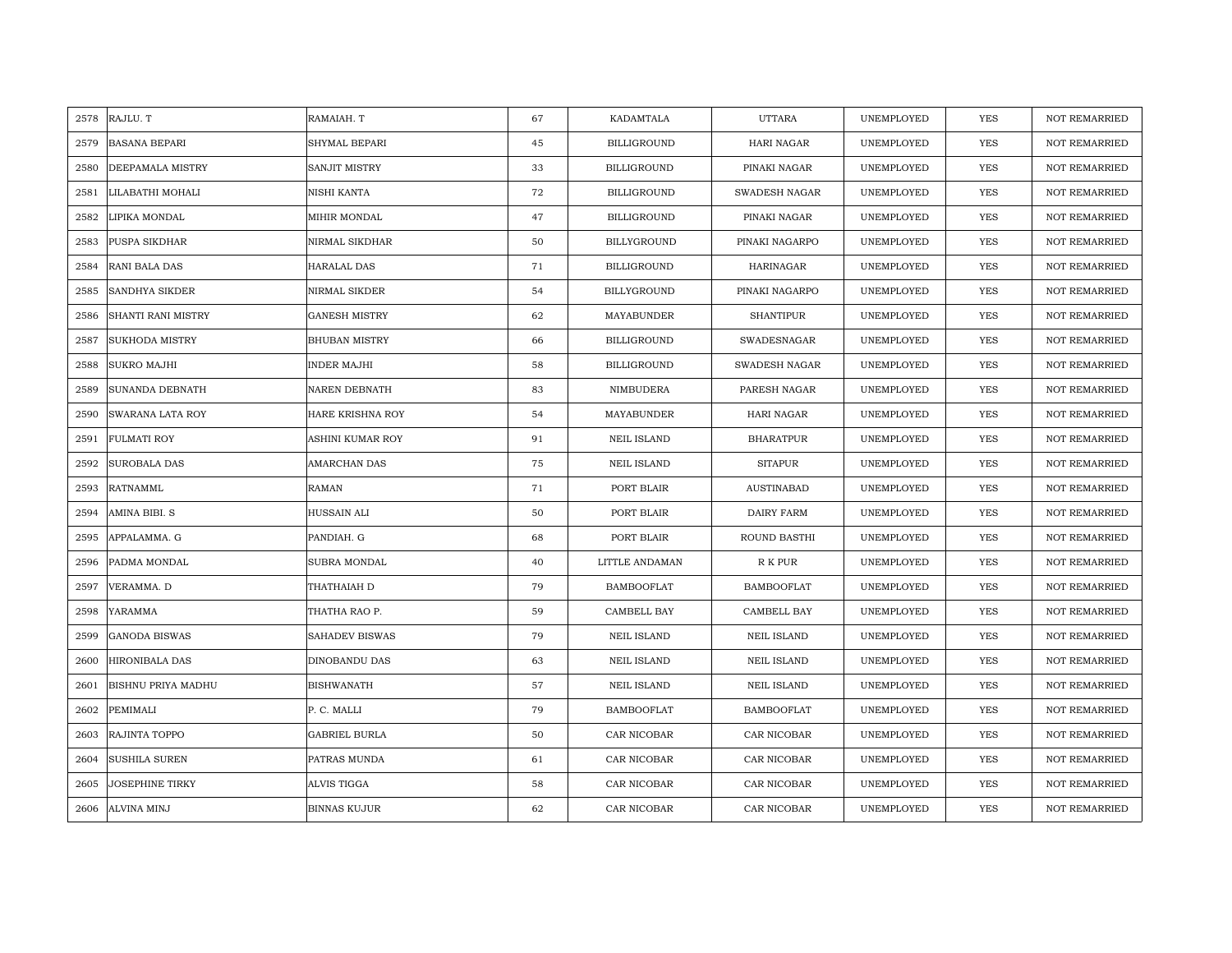|      | 2578 RAJLU. T          | RAMAIAH. T           | 67 | KADAMTALA          | <b>UTTARA</b>        | UNEMPLOYED | <b>YES</b> | <b>NOT REMARRIED</b> |
|------|------------------------|----------------------|----|--------------------|----------------------|------------|------------|----------------------|
| 2579 | <b>BASANA BEPARI</b>   | SHYMAL BEPARI        | 45 | <b>BILLIGROUND</b> | HARI NAGAR           | UNEMPLOYED | <b>YES</b> | NOT REMARRIED        |
| 2580 | DEEPAMALA MISTRY       | <b>SANJIT MISTRY</b> | 33 | <b>BILLIGROUND</b> | PINAKI NAGAR         | UNEMPLOYED | <b>YES</b> | <b>NOT REMARRIED</b> |
| 2581 | LILABATHI MOHALI       | NISHI KANTA          | 72 | <b>BILLIGROUND</b> | <b>SWADESH NAGAR</b> | UNEMPLOYED | <b>YES</b> | NOT REMARRIED        |
| 2582 | LIPIKA MONDAL          | MIHIR MONDAL         | 47 | <b>BILLIGROUND</b> | PINAKI NAGAR         | UNEMPLOYED | <b>YES</b> | <b>NOT REMARRIED</b> |
| 2583 | PUSPA SIKDHAR          | NIRMAL SIKDHAR       | 50 | BILLYGROUND        | PINAKI NAGARPO       | UNEMPLOYED | <b>YES</b> | <b>NOT REMARRIED</b> |
| 2584 | RANI BALA DAS          | <b>HARALAL DAS</b>   | 71 | <b>BILLIGROUND</b> | <b>HARINAGAR</b>     | UNEMPLOYED | YES        | <b>NOT REMARRIED</b> |
| 2585 | <b>SANDHYA SIKDER</b>  | NIRMAL SIKDER        | 54 | BILLYGROUND        | PINAKI NAGARPO       | UNEMPLOYED | YES        | NOT REMARRIED        |
| 2586 | SHANTI RANI MISTRY     | <b>GANESH MISTRY</b> | 62 | MAYABUNDER         | <b>SHANTIPUR</b>     | UNEMPLOYED | YES        | NOT REMARRIED        |
| 2587 | <b>SUKHODA MISTRY</b>  | <b>BHUBAN MISTRY</b> | 66 | <b>BILLIGROUND</b> | SWADESNAGAR          | UNEMPLOYED | YES        | <b>NOT REMARRIED</b> |
| 2588 | <b>SUKRO MAJHI</b>     | <b>INDER MAJHI</b>   | 58 | <b>BILLIGROUND</b> | SWADESH NAGAR        | UNEMPLOYED | <b>YES</b> | <b>NOT REMARRIED</b> |
| 2589 | SUNANDA DEBNATH        | NAREN DEBNATH        | 83 | NIMBUDERA          | PARESH NAGAR         | UNEMPLOYED | YES        | NOT REMARRIED        |
| 2590 | SWARANA LATA ROY       | HARE KRISHNA ROY     | 54 | MAYABUNDER         | HARI NAGAR           | UNEMPLOYED | YES        | NOT REMARRIED        |
| 2591 | <b>FULMATI ROY</b>     | ASHINI KUMAR ROY     | 91 | <b>NEIL ISLAND</b> | <b>BHARATPUR</b>     | UNEMPLOYED | <b>YES</b> | <b>NOT REMARRIED</b> |
| 2592 | <b>SUROBALA DAS</b>    | AMARCHAN DAS         | 75 | <b>NEIL ISLAND</b> | <b>SITAPUR</b>       | UNEMPLOYED | YES        | NOT REMARRIED        |
| 2593 | RATNAMML               | RAMAN                | 71 | PORT BLAIR         | <b>AUSTINABAD</b>    | UNEMPLOYED | YES        | <b>NOT REMARRIED</b> |
| 2594 | AMINA BIBI. S          | HUSSAIN ALI          | 50 | PORT BLAIR         | DAIRY FARM           | UNEMPLOYED | YES        | <b>NOT REMARRIED</b> |
| 2595 | APPALAMMA. G           | PANDIAH. G           | 68 | PORT BLAIR         | ROUND BASTHI         | UNEMPLOYED | <b>YES</b> | <b>NOT REMARRIED</b> |
| 2596 | PADMA MONDAL           | SUBRA MONDAL         | 40 | LITTLE ANDAMAN     | R K PUR              | UNEMPLOYED | YES        | NOT REMARRIED        |
| 2597 | VERAMMA. D             | THATHAIAH D          | 79 | <b>BAMBOOFLAT</b>  | <b>BAMBOOFLAT</b>    | UNEMPLOYED | <b>YES</b> | <b>NOT REMARRIED</b> |
| 2598 | YARAMMA                | THATHA RAO P.        | 59 | CAMBELL BAY        | CAMBELL BAY          | UNEMPLOYED | <b>YES</b> | <b>NOT REMARRIED</b> |
| 2599 | <b>GANODA BISWAS</b>   | SAHADEV BISWAS       | 79 | <b>NEIL ISLAND</b> | <b>NEIL ISLAND</b>   | UNEMPLOYED | YES        | NOT REMARRIED        |
| 2600 | <b>HIRONIBALA DAS</b>  | DINOBANDU DAS        | 63 | <b>NEIL ISLAND</b> | <b>NEIL ISLAND</b>   | UNEMPLOYED | YES        | <b>NOT REMARRIED</b> |
| 2601 | BISHNU PRIYA MADHU     | <b>BISHWANATH</b>    | 57 | <b>NEIL ISLAND</b> | <b>NEIL ISLAND</b>   | UNEMPLOYED | YES        | <b>NOT REMARRIED</b> |
| 2602 | PEMIMALI               | P. C. MALLI          | 79 | <b>BAMBOOFLAT</b>  | <b>BAMBOOFLAT</b>    | UNEMPLOYED | YES        | <b>NOT REMARRIED</b> |
| 2603 | RAJINTA TOPPO          | <b>GABRIEL BURLA</b> | 50 | CAR NICOBAR        | CAR NICOBAR          | UNEMPLOYED | YES        | NOT REMARRIED        |
| 2604 | <b>SUSHILA SUREN</b>   | PATRAS MUNDA         | 61 | CAR NICOBAR        | CAR NICOBAR          | UNEMPLOYED | YES        | <b>NOT REMARRIED</b> |
| 2605 | <b>JOSEPHINE TIRKY</b> | <b>ALVIS TIGGA</b>   | 58 | CAR NICOBAR        | CAR NICOBAR          | UNEMPLOYED | <b>YES</b> | <b>NOT REMARRIED</b> |
| 2606 | <b>ALVINA MINJ</b>     | <b>BINNAS KUJUR</b>  | 62 | CAR NICOBAR        | CAR NICOBAR          | UNEMPLOYED | <b>YES</b> | <b>NOT REMARRIED</b> |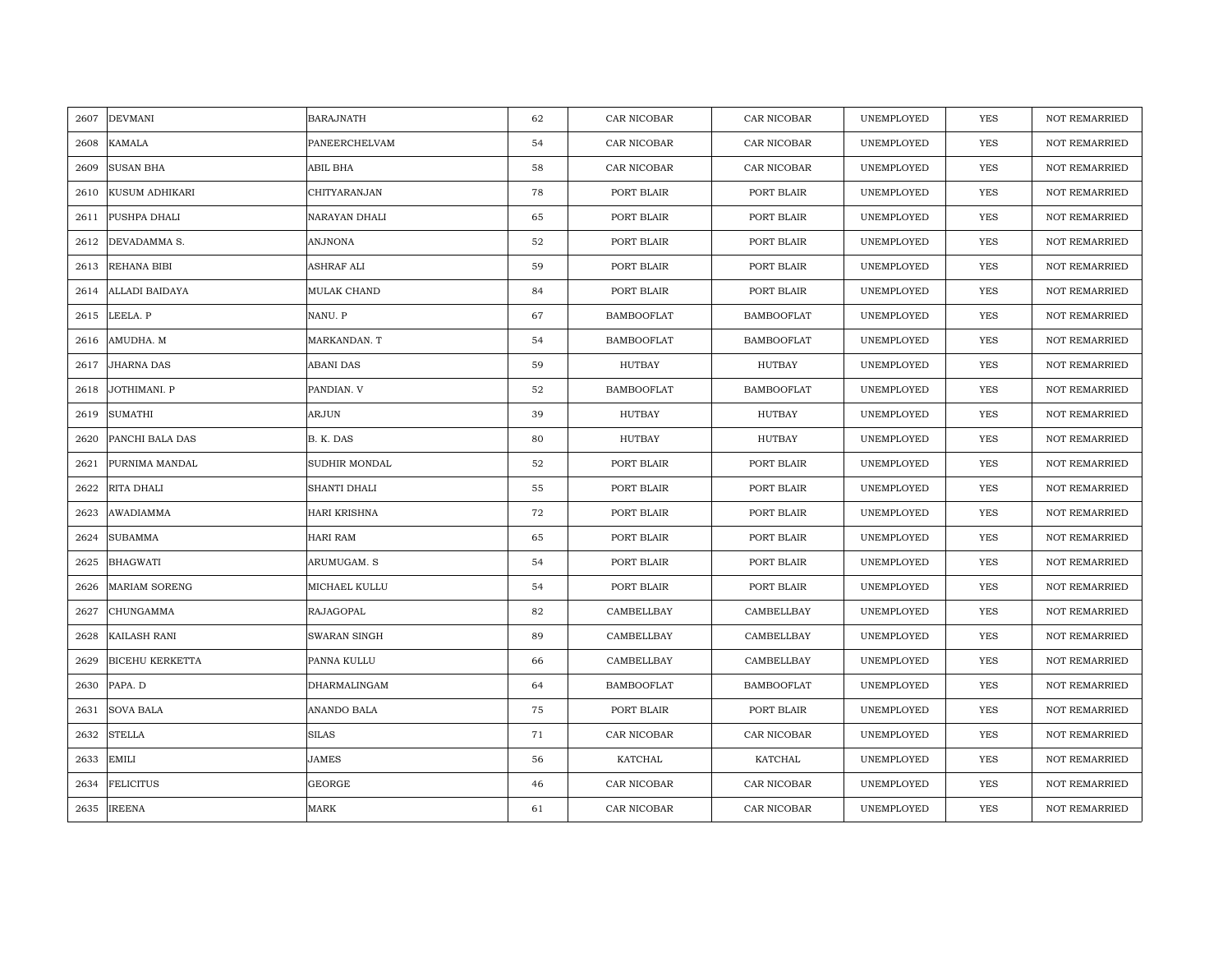| 2607 | <b>DEVMANI</b>         | <b>BARAJNATH</b>    | 62 | CAR NICOBAR       | CAR NICOBAR       | UNEMPLOYED | YES        | <b>NOT REMARRIED</b> |
|------|------------------------|---------------------|----|-------------------|-------------------|------------|------------|----------------------|
| 2608 | <b>KAMALA</b>          | PANEERCHELVAM       | 54 | CAR NICOBAR       | CAR NICOBAR       | UNEMPLOYED | <b>YES</b> | <b>NOT REMARRIED</b> |
| 2609 | <b>SUSAN BHA</b>       | ABIL BHA            | 58 | CAR NICOBAR       | CAR NICOBAR       | UNEMPLOYED | <b>YES</b> | <b>NOT REMARRIED</b> |
| 2610 | KUSUM ADHIKARI         | CHITYARANJAN        | 78 | PORT BLAIR        | PORT BLAIR        | UNEMPLOYED | YES        | <b>NOT REMARRIED</b> |
| 2611 | PUSHPA DHALI           | NARAYAN DHALI       | 65 | PORT BLAIR        | PORT BLAIR        | UNEMPLOYED | YES        | NOT REMARRIED        |
| 2612 | DEVADAMMA S.           | ANJNONA             | 52 | PORT BLAIR        | PORT BLAIR        | UNEMPLOYED | YES        | NOT REMARRIED        |
| 2613 | REHANA BIBI            | <b>ASHRAF ALI</b>   | 59 | PORT BLAIR        | PORT BLAIR        | UNEMPLOYED | <b>YES</b> | NOT REMARRIED        |
| 2614 | ALLADI BAIDAYA         | MULAK CHAND         | 84 | PORT BLAIR        | PORT BLAIR        | UNEMPLOYED | YES        | NOT REMARRIED        |
| 2615 | LEELA. P               | NANU. P             | 67 | <b>BAMBOOFLAT</b> | <b>BAMBOOFLAT</b> | UNEMPLOYED | YES        | <b>NOT REMARRIED</b> |
| 2616 | AMUDHA. M              | MARKANDAN. T        | 54 | <b>BAMBOOFLAT</b> | <b>BAMBOOFLAT</b> | UNEMPLOYED | YES        | NOT REMARRIED        |
| 2617 | <b>JHARNA DAS</b>      | <b>ABANI DAS</b>    | 59 | HUTBAY            | HUTBAY            | UNEMPLOYED | YES        | <b>NOT REMARRIED</b> |
| 2618 | JOTHIMANI. P           | PANDIAN. V          | 52 | <b>BAMBOOFLAT</b> | <b>BAMBOOFLAT</b> | UNEMPLOYED | YES        | NOT REMARRIED        |
| 2619 | <b>SUMATHI</b>         | ARJUN               | 39 | HUTBAY            | HUTBAY            | UNEMPLOYED | <b>YES</b> | <b>NOT REMARRIED</b> |
| 2620 | PANCHI BALA DAS        | B. K. DAS           | 80 | HUTBAY            | HUTBAY            | UNEMPLOYED | <b>YES</b> | <b>NOT REMARRIED</b> |
| 2621 | PURNIMA MANDAL         | SUDHIR MONDAL       | 52 | PORT BLAIR        | PORT BLAIR        | UNEMPLOYED | YES        | NOT REMARRIED        |
| 2622 | RITA DHALI             | SHANTI DHALI        | 55 | PORT BLAIR        | PORT BLAIR        | UNEMPLOYED | <b>YES</b> | <b>NOT REMARRIED</b> |
| 2623 | AWADIAMMA              | <b>HARI KRISHNA</b> | 72 | PORT BLAIR        | PORT BLAIR        | UNEMPLOYED | <b>YES</b> | <b>NOT REMARRIED</b> |
| 2624 | <b>SUBAMMA</b>         | <b>HARI RAM</b>     | 65 | PORT BLAIR        | PORT BLAIR        | UNEMPLOYED | <b>YES</b> | NOT REMARRIED        |
| 2625 | <b>BHAGWATI</b>        | ARUMUGAM. S         | 54 | PORT BLAIR        | PORT BLAIR        | UNEMPLOYED | <b>YES</b> | <b>NOT REMARRIED</b> |
| 2626 | <b>MARIAM SORENG</b>   | MICHAEL KULLU       | 54 | PORT BLAIR        | PORT BLAIR        | UNEMPLOYED | <b>YES</b> | <b>NOT REMARRIED</b> |
| 2627 | CHUNGAMMA              | <b>RAJAGOPAL</b>    | 82 | CAMBELLBAY        | CAMBELLBAY        | UNEMPLOYED | YES        | NOT REMARRIED        |
| 2628 | KAILASH RANI           | SWARAN SINGH        | 89 | CAMBELLBAY        | CAMBELLBAY        | UNEMPLOYED | YES        | NOT REMARRIED        |
| 2629 | <b>BICEHU KERKETTA</b> | PANNA KULLU         | 66 | CAMBELLBAY        | CAMBELLBAY        | UNEMPLOYED | <b>YES</b> | <b>NOT REMARRIED</b> |
| 2630 | PAPA. D                | DHARMALINGAM        | 64 | <b>BAMBOOFLAT</b> | <b>BAMBOOFLAT</b> | UNEMPLOYED | <b>YES</b> | <b>NOT REMARRIED</b> |
| 2631 | <b>SOVA BALA</b>       | ANANDO BALA         | 75 | PORT BLAIR        | PORT BLAIR        | UNEMPLOYED | <b>YES</b> | <b>NOT REMARRIED</b> |
| 2632 | <b>STELLA</b>          | <b>SILAS</b>        | 71 | CAR NICOBAR       | CAR NICOBAR       | UNEMPLOYED | YES        | NOT REMARRIED        |
| 2633 | <b>EMILI</b>           | JAMES               | 56 | KATCHAL           | KATCHAL           | UNEMPLOYED | YES        | NOT REMARRIED        |
| 2634 | <b>FELICITUS</b>       | <b>GEORGE</b>       | 46 | CAR NICOBAR       | CAR NICOBAR       | UNEMPLOYED | <b>YES</b> | NOT REMARRIED        |
| 2635 | <b>IREENA</b>          | MARK                | 61 | CAR NICOBAR       | CAR NICOBAR       | UNEMPLOYED | <b>YES</b> | <b>NOT REMARRIED</b> |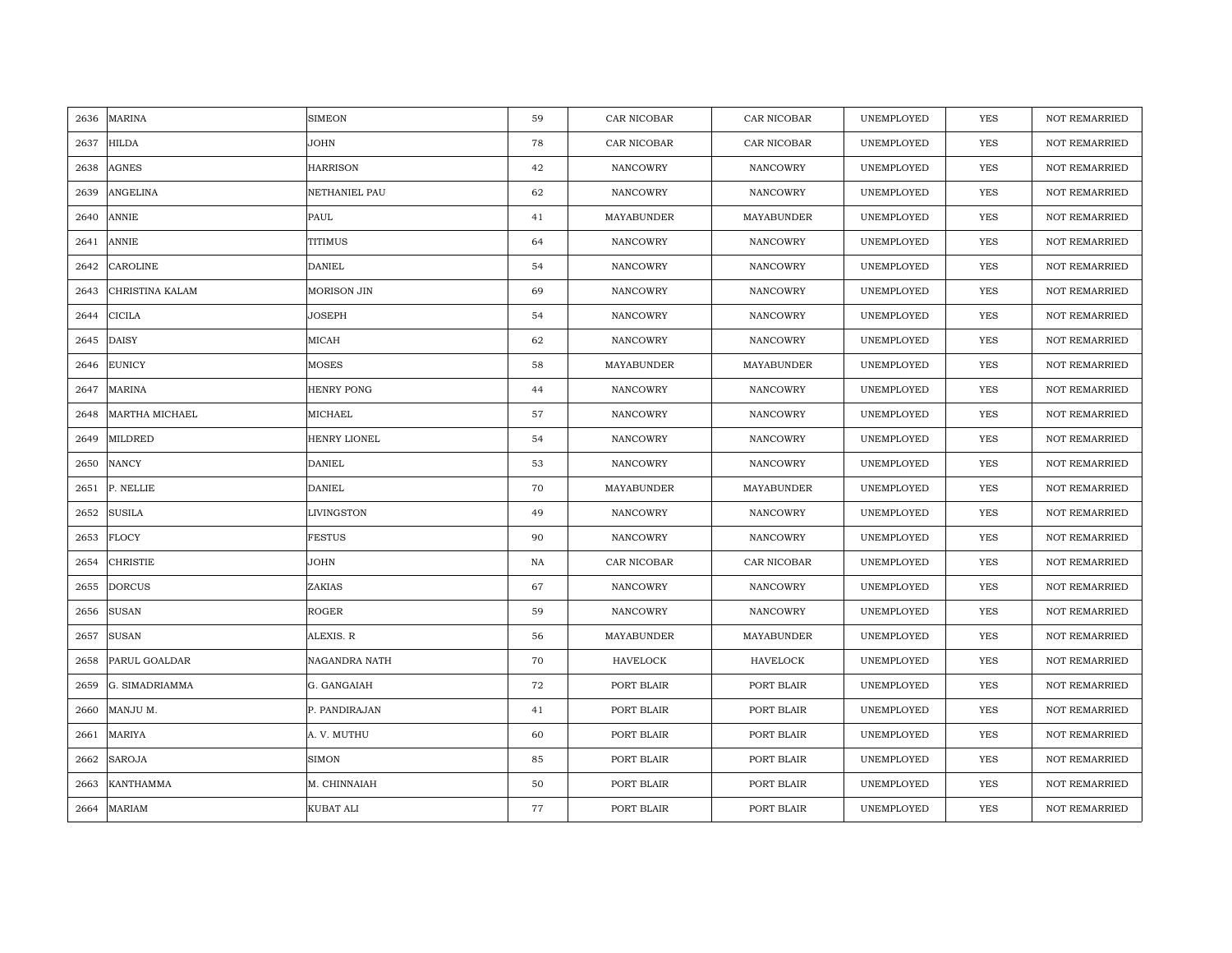| 2636 | MARINA          | <b>SIMEON</b>     | 59 | CAR NICOBAR     | CAR NICOBAR     | UNEMPLOYED | <b>YES</b> | <b>NOT REMARRIED</b> |
|------|-----------------|-------------------|----|-----------------|-----------------|------------|------------|----------------------|
| 2637 | <b>HILDA</b>    | <b>JOHN</b>       | 78 | CAR NICOBAR     | CAR NICOBAR     | UNEMPLOYED | <b>YES</b> | <b>NOT REMARRIED</b> |
| 2638 | <b>AGNES</b>    | <b>HARRISON</b>   | 42 | NANCOWRY        | NANCOWRY        | UNEMPLOYED | YES        | <b>NOT REMARRIED</b> |
| 2639 | ANGELINA        | NETHANIEL PAU     | 62 | NANCOWRY        | NANCOWRY        | UNEMPLOYED | YES        | <b>NOT REMARRIED</b> |
| 2640 | <b>ANNIE</b>    | PAUL              | 41 | MAYABUNDER      | MAYABUNDER      | UNEMPLOYED | YES        | NOT REMARRIED        |
| 2641 | <b>ANNIE</b>    | <b>TITIMUS</b>    | 64 | NANCOWRY        | NANCOWRY        | UNEMPLOYED | YES        | NOT REMARRIED        |
| 2642 | CAROLINE        | <b>DANIEL</b>     | 54 | <b>NANCOWRY</b> | NANCOWRY        | UNEMPLOYED | <b>YES</b> | <b>NOT REMARRIED</b> |
| 2643 | CHRISTINA KALAM | MORISON JIN       | 69 | NANCOWRY        | NANCOWRY        | UNEMPLOYED | YES        | <b>NOT REMARRIED</b> |
| 2644 | <b>CICILA</b>   | JOSEPH            | 54 | NANCOWRY        | NANCOWRY        | UNEMPLOYED | YES        | <b>NOT REMARRIED</b> |
| 2645 | <b>DAISY</b>    | MICAH             | 62 | <b>NANCOWRY</b> | <b>NANCOWRY</b> | UNEMPLOYED | YES        | <b>NOT REMARRIED</b> |
| 2646 | <b>EUNICY</b>   | MOSES             | 58 | MAYABUNDER      | MAYABUNDER      | UNEMPLOYED | YES        | NOT REMARRIED        |
| 2647 | MARINA          | <b>HENRY PONG</b> | 44 | NANCOWRY        | NANCOWRY        | UNEMPLOYED | <b>YES</b> | <b>NOT REMARRIED</b> |
| 2648 | MARTHA MICHAEL  | MICHAEL           | 57 | NANCOWRY        | NANCOWRY        | UNEMPLOYED | YES        | NOT REMARRIED        |
| 2649 | <b>MILDRED</b>  | HENRY LIONEL      | 54 | NANCOWRY        | NANCOWRY        | UNEMPLOYED | YES        | <b>NOT REMARRIED</b> |
| 2650 | <b>NANCY</b>    | <b>DANIEL</b>     | 53 | NANCOWRY        | NANCOWRY        | UNEMPLOYED | YES        | NOT REMARRIED        |
| 2651 | P. NELLIE       | <b>DANIEL</b>     | 70 | MAYABUNDER      | MAYABUNDER      | UNEMPLOYED | YES        | NOT REMARRIED        |
| 2652 | <b>SUSILA</b>   | LIVINGSTON        | 49 | NANCOWRY        | NANCOWRY        | UNEMPLOYED | YES        | <b>NOT REMARRIED</b> |
| 2653 | <b>FLOCY</b>    | <b>FESTUS</b>     | 90 | NANCOWRY        | NANCOWRY        | UNEMPLOYED | <b>YES</b> | <b>NOT REMARRIED</b> |
| 2654 | <b>CHRISTIE</b> | JOHN              | NA | CAR NICOBAR     | CAR NICOBAR     | UNEMPLOYED | YES        | NOT REMARRIED        |
| 2655 | <b>DORCUS</b>   | ZAKIAS            | 67 | NANCOWRY        | NANCOWRY        | UNEMPLOYED | YES        | <b>NOT REMARRIED</b> |
| 2656 | <b>SUSAN</b>    | ROGER             | 59 | NANCOWRY        | <b>NANCOWRY</b> | UNEMPLOYED | <b>YES</b> | <b>NOT REMARRIED</b> |
| 2657 | <b>SUSAN</b>    | ALEXIS. R         | 56 | MAYABUNDER      | MAYABUNDER      | UNEMPLOYED | YES        | NOT REMARRIED        |
| 2658 | PARUL GOALDAR   | NAGANDRA NATH     | 70 | <b>HAVELOCK</b> | HAVELOCK        | UNEMPLOYED | YES        | <b>NOT REMARRIED</b> |
| 2659 | G. SIMADRIAMMA  | G. GANGAIAH       | 72 | PORT BLAIR      | PORT BLAIR      | UNEMPLOYED | YES        | NOT REMARRIED        |
| 2660 | MANJU M.        | P. PANDIRAJAN     | 41 | PORT BLAIR      | PORT BLAIR      | UNEMPLOYED | YES        | NOT REMARRIED        |
| 2661 | <b>MARIYA</b>   | A. V. MUTHU       | 60 | PORT BLAIR      | PORT BLAIR      | UNEMPLOYED | YES        | NOT REMARRIED        |
| 2662 | SAROJA          | <b>SIMON</b>      | 85 | PORT BLAIR      | PORT BLAIR      | UNEMPLOYED | YES        | NOT REMARRIED        |
| 2663 | KANTHAMMA       | M. CHINNAIAH      | 50 | PORT BLAIR      | PORT BLAIR      | UNEMPLOYED | YES        | <b>NOT REMARRIED</b> |
| 2664 | <b>MARIAM</b>   | KUBAT ALI         | 77 | PORT BLAIR      | PORT BLAIR      | UNEMPLOYED | YES        | NOT REMARRIED        |
|      |                 |                   |    |                 |                 |            |            |                      |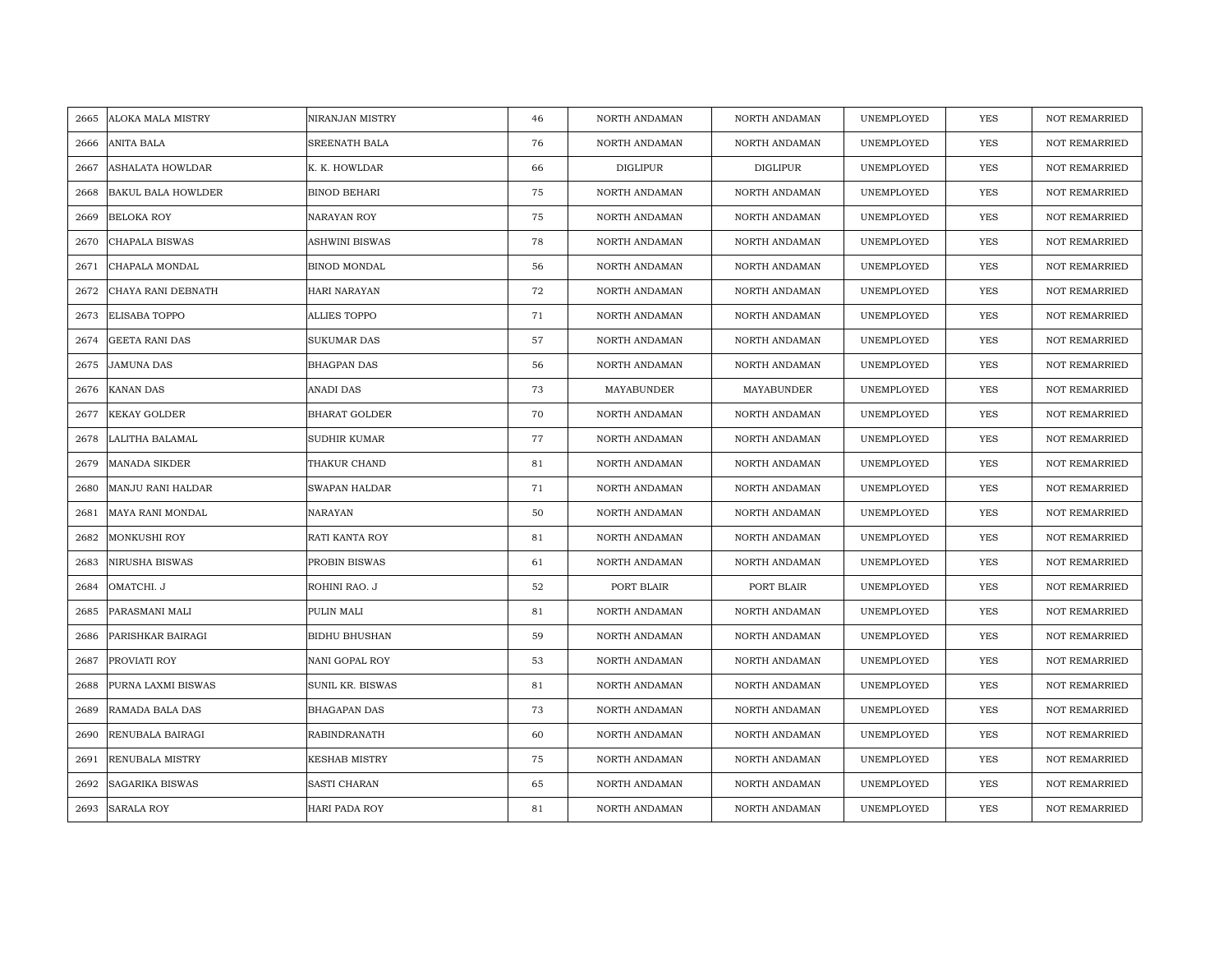| 2665 | <b>ALOKA MALA MISTRY</b>  | NIRANJAN MISTRY      | 46 | NORTH ANDAMAN   | NORTH ANDAMAN   | UNEMPLOYED | YES        | <b>NOT REMARRIED</b> |
|------|---------------------------|----------------------|----|-----------------|-----------------|------------|------------|----------------------|
| 2666 | <b>ANITA BALA</b>         | SREENATH BALA        | 76 | NORTH ANDAMAN   | NORTH ANDAMAN   | UNEMPLOYED | <b>YES</b> | <b>NOT REMARRIED</b> |
| 2667 | <b>ASHALATA HOWLDAR</b>   | K. K. HOWLDAR        | 66 | <b>DIGLIPUR</b> | <b>DIGLIPUR</b> | UNEMPLOYED | <b>YES</b> | <b>NOT REMARRIED</b> |
| 2668 | <b>BAKUL BALA HOWLDER</b> | <b>BINOD BEHARI</b>  | 75 | NORTH ANDAMAN   | NORTH ANDAMAN   | UNEMPLOYED | <b>YES</b> | <b>NOT REMARRIED</b> |
| 2669 | <b>BELOKA ROY</b>         | NARAYAN ROY          | 75 | NORTH ANDAMAN   | NORTH ANDAMAN   | UNEMPLOYED | YES        | NOT REMARRIED        |
| 2670 | CHAPALA BISWAS            | ASHWINI BISWAS       | 78 | NORTH ANDAMAN   | NORTH ANDAMAN   | UNEMPLOYED | <b>YES</b> | NOT REMARRIED        |
| 2671 | CHAPALA MONDAL            | BINOD MONDAL         | 56 | NORTH ANDAMAN   | NORTH ANDAMAN   | UNEMPLOYED | <b>YES</b> | <b>NOT REMARRIED</b> |
| 2672 | CHAYA RANI DEBNATH        | HARI NARAYAN         | 72 | NORTH ANDAMAN   | NORTH ANDAMAN   | UNEMPLOYED | YES        | <b>NOT REMARRIED</b> |
| 2673 | <b>ELISABA TOPPO</b>      | ALLIES TOPPO         | 71 | NORTH ANDAMAN   | NORTH ANDAMAN   | UNEMPLOYED | <b>YES</b> | NOT REMARRIED        |
| 2674 | <b>GEETA RANI DAS</b>     | <b>SUKUMAR DAS</b>   | 57 | NORTH ANDAMAN   | NORTH ANDAMAN   | UNEMPLOYED | YES        | <b>NOT REMARRIED</b> |
| 2675 | <b>JAMUNA DAS</b>         | <b>BHAGPAN DAS</b>   | 56 | NORTH ANDAMAN   | NORTH ANDAMAN   | UNEMPLOYED | <b>YES</b> | <b>NOT REMARRIED</b> |
| 2676 | <b>KANAN DAS</b>          | ANADI DAS            | 73 | MAYABUNDER      | MAYABUNDER      | UNEMPLOYED | <b>YES</b> | NOT REMARRIED        |
| 2677 | KEKAY GOLDER              | <b>BHARAT GOLDER</b> | 70 | NORTH ANDAMAN   | NORTH ANDAMAN   | UNEMPLOYED | <b>YES</b> | NOT REMARRIED        |
| 2678 | LALITHA BALAMAL           | SUDHIR KUMAR         | 77 | NORTH ANDAMAN   | NORTH ANDAMAN   | UNEMPLOYED | <b>YES</b> | NOT REMARRIED        |
| 2679 | <b>MANADA SIKDER</b>      | THAKUR CHAND         | 81 | NORTH ANDAMAN   | NORTH ANDAMAN   | UNEMPLOYED | YES        | NOT REMARRIED        |
| 2680 | MANJU RANI HALDAR         | SWAPAN HALDAR        | 71 | NORTH ANDAMAN   | NORTH ANDAMAN   | UNEMPLOYED | <b>YES</b> | NOT REMARRIED        |
| 2681 | MAYA RANI MONDAL          | NARAYAN              | 50 | NORTH ANDAMAN   | NORTH ANDAMAN   | UNEMPLOYED | YES        | <b>NOT REMARRIED</b> |
| 2682 | MONKUSHI ROY              | RATI KANTA ROY       | 81 | NORTH ANDAMAN   | NORTH ANDAMAN   | UNEMPLOYED | YES        | <b>NOT REMARRIED</b> |
| 2683 | NIRUSHA BISWAS            | PROBIN BISWAS        | 61 | NORTH ANDAMAN   | NORTH ANDAMAN   | UNEMPLOYED | <b>YES</b> | NOT REMARRIED        |
| 2684 | OMATCHI. J                | ROHINI RAO. J        | 52 | PORT BLAIR      | PORT BLAIR      | UNEMPLOYED | <b>YES</b> | <b>NOT REMARRIED</b> |
| 2685 | PARASMANI MALI            | PULIN MALI           | 81 | NORTH ANDAMAN   | NORTH ANDAMAN   | UNEMPLOYED | <b>YES</b> | <b>NOT REMARRIED</b> |
| 2686 | PARISHKAR BAIRAGI         | <b>BIDHU BHUSHAN</b> | 59 | NORTH ANDAMAN   | NORTH ANDAMAN   | UNEMPLOYED | YES        | <b>NOT REMARRIED</b> |
| 2687 | PROVIATI ROY              | NANI GOPAL ROY       | 53 | NORTH ANDAMAN   | NORTH ANDAMAN   | UNEMPLOYED | YES        | NOT REMARRIED        |
| 2688 | PURNA LAXMI BISWAS        | SUNIL KR. BISWAS     | 81 | NORTH ANDAMAN   | NORTH ANDAMAN   | UNEMPLOYED | YES        | <b>NOT REMARRIED</b> |
| 2689 | RAMADA BALA DAS           | <b>BHAGAPAN DAS</b>  | 73 | NORTH ANDAMAN   | NORTH ANDAMAN   | UNEMPLOYED | <b>YES</b> | <b>NOT REMARRIED</b> |
| 2690 | RENUBALA BAIRAGI          | RABINDRANATH         | 60 | NORTH ANDAMAN   | NORTH ANDAMAN   | UNEMPLOYED | YES        | NOT REMARRIED        |
| 2691 | RENUBALA MISTRY           | <b>KESHAB MISTRY</b> | 75 | NORTH ANDAMAN   | NORTH ANDAMAN   | UNEMPLOYED | YES        | NOT REMARRIED        |
| 2692 | <b>SAGARIKA BISWAS</b>    | SASTI CHARAN         | 65 | NORTH ANDAMAN   | NORTH ANDAMAN   | UNEMPLOYED | YES        | <b>NOT REMARRIED</b> |
| 2693 | <b>SARALA ROY</b>         | HARI PADA ROY        | 81 | NORTH ANDAMAN   | NORTH ANDAMAN   | UNEMPLOYED | YES        | NOT REMARRIED        |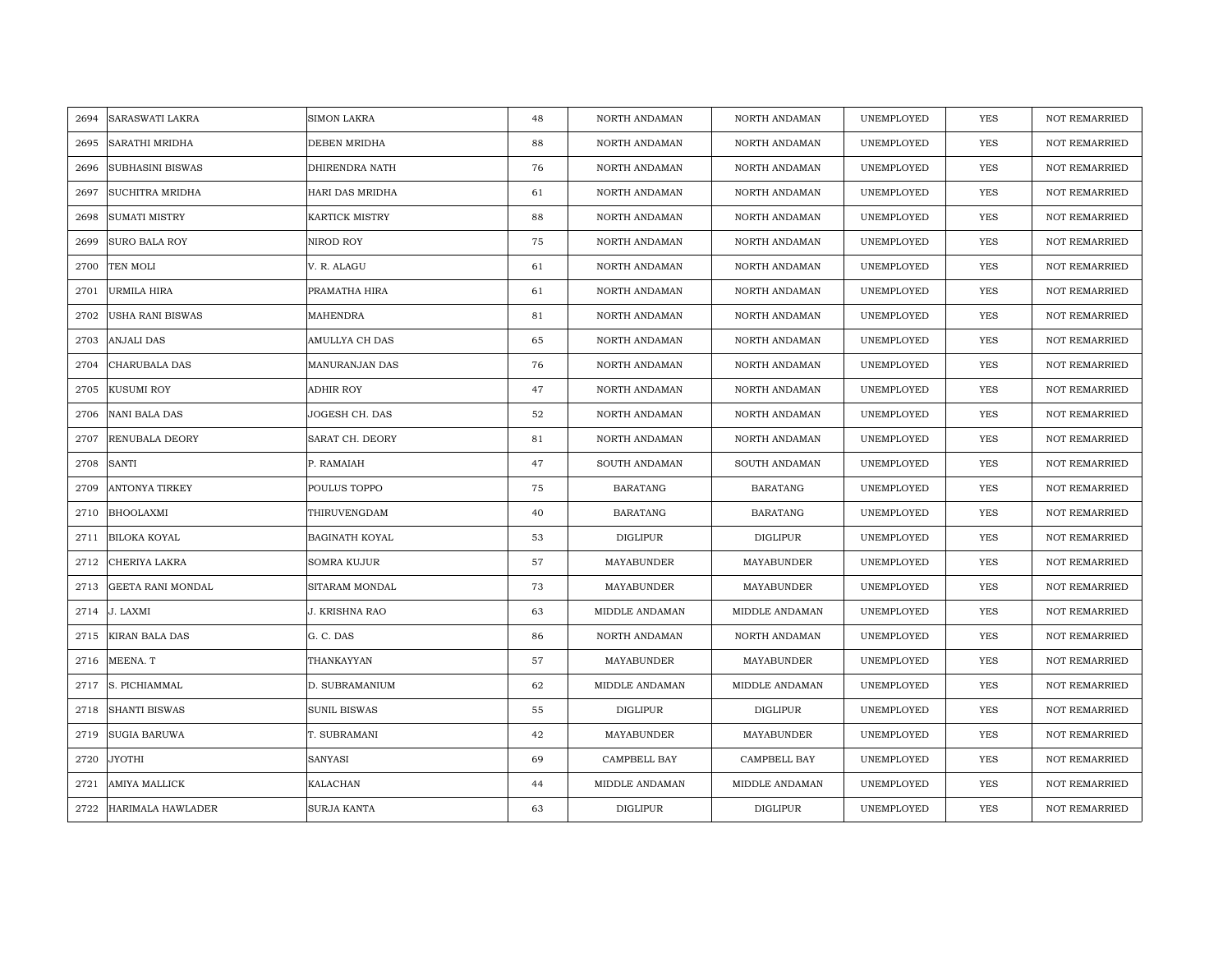| 2694 | <b>SARASWATI LAKRA</b>   | SIMON LAKRA           | 48 | NORTH ANDAMAN   | NORTH ANDAMAN   | UNEMPLOYED | YES        | <b>NOT REMARRIED</b> |
|------|--------------------------|-----------------------|----|-----------------|-----------------|------------|------------|----------------------|
| 2695 | <b>SARATHI MRIDHA</b>    | DEBEN MRIDHA          | 88 | NORTH ANDAMAN   | NORTH ANDAMAN   | UNEMPLOYED | <b>YES</b> | <b>NOT REMARRIED</b> |
| 2696 | <b>SUBHASINI BISWAS</b>  | DHIRENDRA NATH        | 76 | NORTH ANDAMAN   | NORTH ANDAMAN   | UNEMPLOYED | YES        | <b>NOT REMARRIED</b> |
| 2697 | SUCHITRA MRIDHA          | HARI DAS MRIDHA       | 61 | NORTH ANDAMAN   | NORTH ANDAMAN   | UNEMPLOYED | <b>YES</b> | <b>NOT REMARRIED</b> |
| 2698 | <b>SUMATI MISTRY</b>     | KARTICK MISTRY        | 88 | NORTH ANDAMAN   | NORTH ANDAMAN   | UNEMPLOYED | YES        | NOT REMARRIED        |
| 2699 | <b>SURO BALA ROY</b>     | NIROD ROY             | 75 | NORTH ANDAMAN   | NORTH ANDAMAN   | UNEMPLOYED | <b>YES</b> | NOT REMARRIED        |
| 2700 | TEN MOLI                 | V. R. ALAGU           | 61 | NORTH ANDAMAN   | NORTH ANDAMAN   | UNEMPLOYED | <b>YES</b> | <b>NOT REMARRIED</b> |
| 2701 | URMILA HIRA              | PRAMATHA HIRA         | 61 | NORTH ANDAMAN   | NORTH ANDAMAN   | UNEMPLOYED | YES        | <b>NOT REMARRIED</b> |
| 2702 | <b>USHA RANI BISWAS</b>  | MAHENDRA              | 81 | NORTH ANDAMAN   | NORTH ANDAMAN   | UNEMPLOYED | <b>YES</b> | NOT REMARRIED        |
| 2703 | <b>ANJALI DAS</b>        | AMULLYA CH DAS        | 65 | NORTH ANDAMAN   | NORTH ANDAMAN   | UNEMPLOYED | <b>YES</b> | <b>NOT REMARRIED</b> |
| 2704 | CHARUBALA DAS            | MANURANJAN DAS        | 76 | NORTH ANDAMAN   | NORTH ANDAMAN   | UNEMPLOYED | <b>YES</b> | NOT REMARRIED        |
| 2705 | <b>KUSUMI ROY</b>        | ADHIR ROY             | 47 | NORTH ANDAMAN   | NORTH ANDAMAN   | UNEMPLOYED | <b>YES</b> | NOT REMARRIED        |
| 2706 | <b>NANI BALA DAS</b>     | JOGESH CH. DAS        | 52 | NORTH ANDAMAN   | NORTH ANDAMAN   | UNEMPLOYED | <b>YES</b> | NOT REMARRIED        |
| 2707 | RENUBALA DEORY           | SARAT CH. DEORY       | 81 | NORTH ANDAMAN   | NORTH ANDAMAN   | UNEMPLOYED | <b>YES</b> | NOT REMARRIED        |
| 2708 | <b>SANTI</b>             | P. RAMAIAH            | 47 | SOUTH ANDAMAN   | SOUTH ANDAMAN   | UNEMPLOYED | YES        | NOT REMARRIED        |
| 2709 | <b>ANTONYA TIRKEY</b>    | POULUS TOPPO          | 75 | <b>BARATANG</b> | <b>BARATANG</b> | UNEMPLOYED | <b>YES</b> | NOT REMARRIED        |
| 2710 | <b>BHOOLAXMI</b>         | THIRUVENGDAM          | 40 | <b>BARATANG</b> | <b>BARATANG</b> | UNEMPLOYED | <b>YES</b> | <b>NOT REMARRIED</b> |
| 2711 | <b>BILOKA KOYAL</b>      | <b>BAGINATH KOYAL</b> | 53 | <b>DIGLIPUR</b> | <b>DIGLIPUR</b> | UNEMPLOYED | YES        | <b>NOT REMARRIED</b> |
| 2712 | CHERIYA LAKRA            | <b>SOMRA KUJUR</b>    | 57 | MAYABUNDER      | MAYABUNDER      | UNEMPLOYED | <b>YES</b> | NOT REMARRIED        |
| 2713 | <b>GEETA RANI MONDAL</b> | SITARAM MONDAL        | 73 | MAYABUNDER      | MAYABUNDER      | UNEMPLOYED | <b>YES</b> | <b>NOT REMARRIED</b> |
| 2714 | J. LAXMI                 | J. KRISHNA RAO        | 63 | MIDDLE ANDAMAN  | MIDDLE ANDAMAN  | UNEMPLOYED | <b>YES</b> | <b>NOT REMARRIED</b> |
| 2715 | <b>KIRAN BALA DAS</b>    | G. C. DAS             | 86 | NORTH ANDAMAN   | NORTH ANDAMAN   | UNEMPLOYED | YES        | <b>NOT REMARRIED</b> |
| 2716 | MEENA. T                 | THANKAYYAN            | 57 | MAYABUNDER      | MAYABUNDER      | UNEMPLOYED | YES        | NOT REMARRIED        |
| 2717 | S. PICHIAMMAL            | D. SUBRAMANIUM        | 62 | MIDDLE ANDAMAN  | MIDDLE ANDAMAN  | UNEMPLOYED | YES        | <b>NOT REMARRIED</b> |
| 2718 | <b>SHANTI BISWAS</b>     | <b>SUNIL BISWAS</b>   | 55 | <b>DIGLIPUR</b> | <b>DIGLIPUR</b> | UNEMPLOYED | <b>YES</b> | <b>NOT REMARRIED</b> |
| 2719 | <b>SUGIA BARUWA</b>      | T. SUBRAMANI          | 42 | MAYABUNDER      | MAYABUNDER      | UNEMPLOYED | YES        | NOT REMARRIED        |
| 2720 | <b>JYOTHI</b>            | SANYASI               | 69 | CAMPBELL BAY    | CAMPBELL BAY    | UNEMPLOYED | YES        | NOT REMARRIED        |
| 2721 | AMIYA MALLICK            | KALACHAN              | 44 | MIDDLE ANDAMAN  | MIDDLE ANDAMAN  | UNEMPLOYED | YES        | <b>NOT REMARRIED</b> |
| 2722 | HARIMALA HAWLADER        | SURJA KANTA           | 63 | <b>DIGLIPUR</b> | <b>DIGLIPUR</b> | UNEMPLOYED | YES        | NOT REMARRIED        |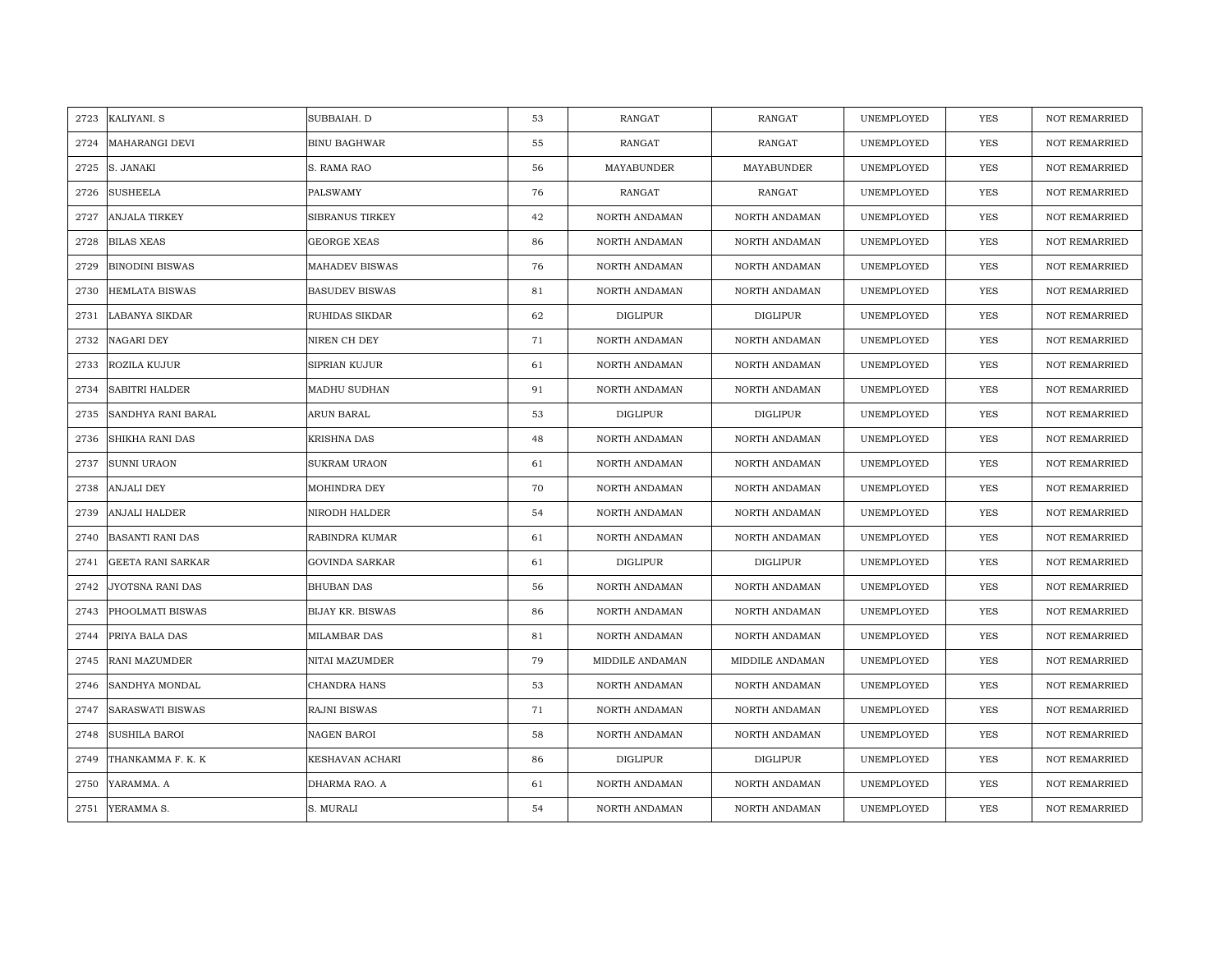| 2723 | KALIYANI. S              | SUBBAIAH. D             | 53 | <b>RANGAT</b>   | RANGAT          | UNEMPLOYED | <b>YES</b> | <b>NOT REMARRIED</b> |
|------|--------------------------|-------------------------|----|-----------------|-----------------|------------|------------|----------------------|
| 2724 | <b>MAHARANGI DEVI</b>    | <b>BINU BAGHWAR</b>     | 55 | RANGAT          | RANGAT          | UNEMPLOYED | <b>YES</b> | NOT REMARRIED        |
| 2725 | S. JANAKI                | S. RAMA RAO             | 56 | MAYABUNDER      | MAYABUNDER      | UNEMPLOYED | YES        | <b>NOT REMARRIED</b> |
| 2726 | <b>SUSHEELA</b>          | PALSWAMY                | 76 | <b>RANGAT</b>   | RANGAT          | UNEMPLOYED | <b>YES</b> | NOT REMARRIED        |
| 2727 | <b>ANJALA TIRKEY</b>     | <b>SIBRANUS TIRKEY</b>  | 42 | NORTH ANDAMAN   | NORTH ANDAMAN   | UNEMPLOYED | YES        | <b>NOT REMARRIED</b> |
| 2728 | <b>BILAS XEAS</b>        | <b>GEORGE XEAS</b>      | 86 | NORTH ANDAMAN   | NORTH ANDAMAN   | UNEMPLOYED | YES        | <b>NOT REMARRIED</b> |
| 2729 | <b>BINODINI BISWAS</b>   | MAHADEV BISWAS          | 76 | NORTH ANDAMAN   | NORTH ANDAMAN   | UNEMPLOYED | YES        | <b>NOT REMARRIED</b> |
| 2730 | HEMLATA BISWAS           | <b>BASUDEV BISWAS</b>   | 81 | NORTH ANDAMAN   | NORTH ANDAMAN   | UNEMPLOYED | YES        | NOT REMARRIED        |
| 2731 | LABANYA SIKDAR           | RUHIDAS SIKDAR          | 62 | <b>DIGLIPUR</b> | <b>DIGLIPUR</b> | UNEMPLOYED | YES        | NOT REMARRIED        |
| 2732 | <b>NAGARI DEY</b>        | NIREN CH DEY            | 71 | NORTH ANDAMAN   | NORTH ANDAMAN   | UNEMPLOYED | YES        | <b>NOT REMARRIED</b> |
| 2733 | ROZILA KUJUR             | SIPRIAN KUJUR           | 61 | NORTH ANDAMAN   | NORTH ANDAMAN   | UNEMPLOYED | YES        | <b>NOT REMARRIED</b> |
| 2734 | <b>SABITRI HALDER</b>    | MADHU SUDHAN            | 91 | NORTH ANDAMAN   | NORTH ANDAMAN   | UNEMPLOYED | YES        | NOT REMARRIED        |
| 2735 | SANDHYA RANI BARAL       | ARUN BARAL              | 53 | <b>DIGLIPUR</b> | DIGLIPUR        | UNEMPLOYED | YES        | NOT REMARRIED        |
| 2736 | <b>SHIKHA RANI DAS</b>   | <b>KRISHNA DAS</b>      | 48 | NORTH ANDAMAN   | NORTH ANDAMAN   | UNEMPLOYED | <b>YES</b> | <b>NOT REMARRIED</b> |
| 2737 | SUNNI URAON              | SUKRAM URAON            | 61 | NORTH ANDAMAN   | NORTH ANDAMAN   | UNEMPLOYED | YES        | NOT REMARRIED        |
| 2738 | <b>ANJALI DEY</b>        | MOHINDRA DEY            | 70 | NORTH ANDAMAN   | NORTH ANDAMAN   | UNEMPLOYED | YES        | NOT REMARRIED        |
| 2739 | <b>ANJALI HALDER</b>     | NIRODH HALDER           | 54 | NORTH ANDAMAN   | NORTH ANDAMAN   | UNEMPLOYED | YES        | <b>NOT REMARRIED</b> |
| 2740 | <b>BASANTI RANI DAS</b>  | RABINDRA KUMAR          | 61 | NORTH ANDAMAN   | NORTH ANDAMAN   | UNEMPLOYED | YES        | <b>NOT REMARRIED</b> |
| 2741 | <b>GEETA RANI SARKAR</b> | <b>GOVINDA SARKAR</b>   | 61 | <b>DIGLIPUR</b> | <b>DIGLIPUR</b> | UNEMPLOYED | <b>YES</b> | NOT REMARRIED        |
| 2742 | JYOTSNA RANI DAS         | <b>BHUBAN DAS</b>       | 56 | NORTH ANDAMAN   | NORTH ANDAMAN   | UNEMPLOYED | <b>YES</b> | <b>NOT REMARRIED</b> |
| 2743 | PHOOLMATI BISWAS         | <b>BIJAY KR. BISWAS</b> | 86 | NORTH ANDAMAN   | NORTH ANDAMAN   | UNEMPLOYED | YES        | <b>NOT REMARRIED</b> |
| 2744 | PRIYA BALA DAS           | <b>MILAMBAR DAS</b>     | 81 | NORTH ANDAMAN   | NORTH ANDAMAN   | UNEMPLOYED | YES        | NOT REMARRIED        |
| 2745 | RANI MAZUMDER            | NITAI MAZUMDER          | 79 | MIDDILE ANDAMAN | MIDDILE ANDAMAN | UNEMPLOYED | YES        | <b>NOT REMARRIED</b> |
| 2746 | SANDHYA MONDAL           | CHANDRA HANS            | 53 | NORTH ANDAMAN   | NORTH ANDAMAN   | UNEMPLOYED | YES        | <b>NOT REMARRIED</b> |
| 2747 | <b>SARASWATI BISWAS</b>  | RAJNI BISWAS            | 71 | NORTH ANDAMAN   | NORTH ANDAMAN   | UNEMPLOYED | YES        | <b>NOT REMARRIED</b> |
| 2748 | SUSHILA BAROI            | NAGEN BAROI             | 58 | NORTH ANDAMAN   | NORTH ANDAMAN   | UNEMPLOYED | YES        | NOT REMARRIED        |
| 2749 | THANKAMMA F. K. K        | KESHAVAN ACHARI         | 86 | DIGLIPUR        | DIGLIPUR        | UNEMPLOYED | YES        | <b>NOT REMARRIED</b> |
| 2750 | YARAMMA. A               | DHARMA RAO. A           | 61 | NORTH ANDAMAN   | NORTH ANDAMAN   | UNEMPLOYED | YES        | <b>NOT REMARRIED</b> |
| 2751 | YERAMMA S.               | S. MURALI               | 54 | NORTH ANDAMAN   | NORTH ANDAMAN   | UNEMPLOYED | <b>YES</b> | <b>NOT REMARRIED</b> |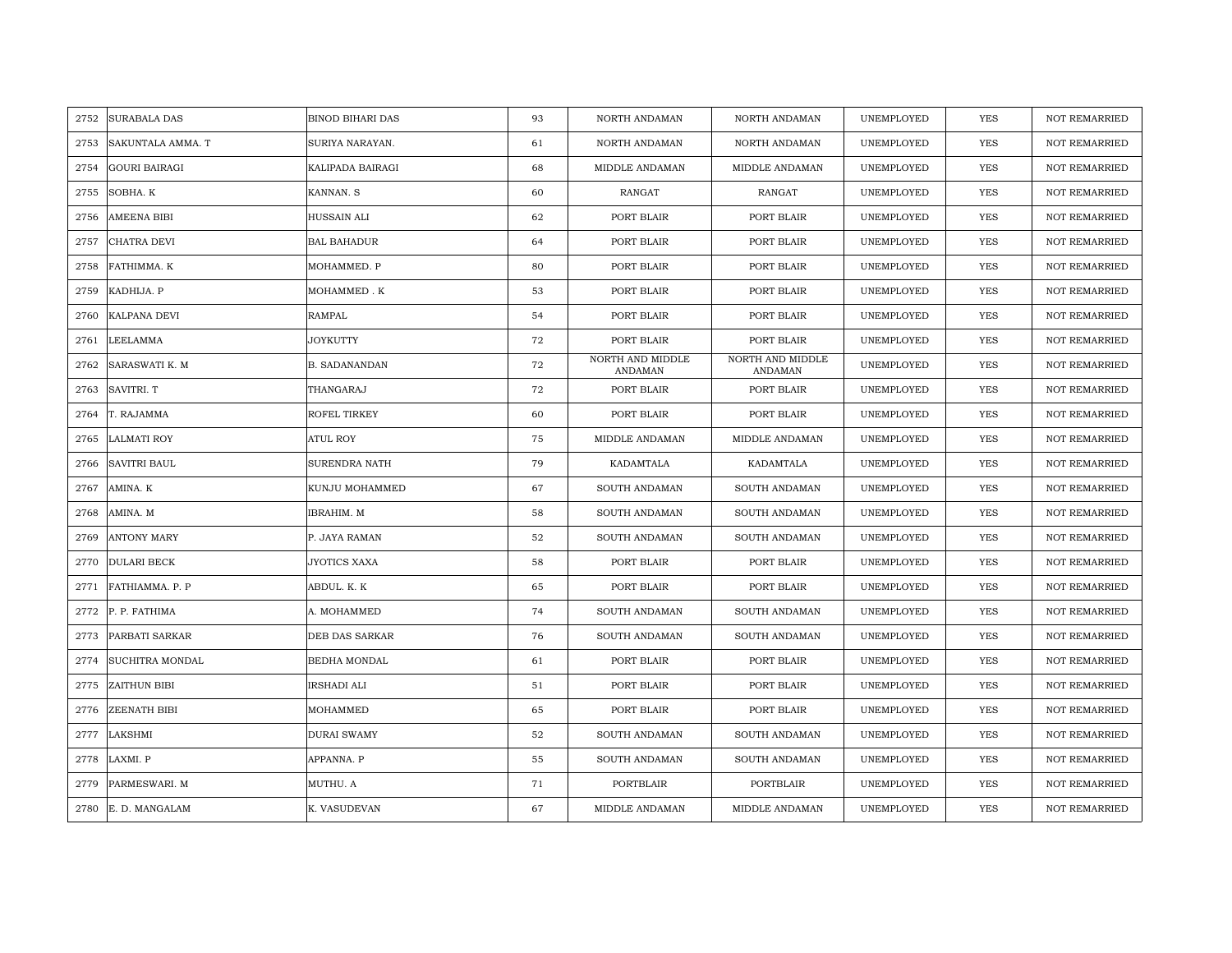| 2752 | <b>SURABALA DAS</b>  | <b>BINOD BIHARI DAS</b> | 93 | NORTH ANDAMAN               | NORTH ANDAMAN               | UNEMPLOYED | YES        | <b>NOT REMARRIED</b> |
|------|----------------------|-------------------------|----|-----------------------------|-----------------------------|------------|------------|----------------------|
| 2753 | SAKUNTALA AMMA. T    | SURIYA NARAYAN.         | 61 | NORTH ANDAMAN               | NORTH ANDAMAN               | UNEMPLOYED | <b>YES</b> | <b>NOT REMARRIED</b> |
| 2754 | <b>GOURI BAIRAGI</b> | KALIPADA BAIRAGI        | 68 | MIDDLE ANDAMAN              | MIDDLE ANDAMAN              | UNEMPLOYED | <b>YES</b> | <b>NOT REMARRIED</b> |
| 2755 | SOBHA. K             | KANNAN. S               | 60 | RANGAT                      | RANGAT                      | UNEMPLOYED | YES        | <b>NOT REMARRIED</b> |
| 2756 | AMEENA BIBI          | HUSSAIN ALI             | 62 | PORT BLAIR                  | PORT BLAIR                  | UNEMPLOYED | YES        | NOT REMARRIED        |
| 2757 | CHATRA DEVI          | <b>BAL BAHADUR</b>      | 64 | PORT BLAIR                  | PORT BLAIR                  | UNEMPLOYED | YES        | NOT REMARRIED        |
| 2758 | FATHIMMA. K          | MOHAMMED. P             | 80 | PORT BLAIR                  | PORT BLAIR                  | UNEMPLOYED | YES        | <b>NOT REMARRIED</b> |
| 2759 | KADHIJA. P           | MOHAMMED. K             | 53 | PORT BLAIR                  | PORT BLAIR                  | UNEMPLOYED | YES        | <b>NOT REMARRIED</b> |
| 2760 | KALPANA DEVI         | RAMPAL                  | 54 | PORT BLAIR                  | PORT BLAIR                  | UNEMPLOYED | YES        | <b>NOT REMARRIED</b> |
| 2761 | <b>LEELAMMA</b>      | JOYKUTTY                | 72 | PORT BLAIR                  | PORT BLAIR                  | UNEMPLOYED | YES        | <b>NOT REMARRIED</b> |
| 2762 | SARASWATI K. M       | <b>B. SADANANDAN</b>    | 72 | NORTH AND MIDDLE<br>ANDAMAN | NORTH AND MIDDLE<br>ANDAMAN | UNEMPLOYED | <b>YES</b> | <b>NOT REMARRIED</b> |
| 2763 | SAVITRI. T           | THANGARAJ               | 72 | PORT BLAIR                  | PORT BLAIR                  | UNEMPLOYED | YES        | <b>NOT REMARRIED</b> |
| 2764 | T. RAJAMMA           | ROFEL TIRKEY            | 60 | PORT BLAIR                  | PORT BLAIR                  | UNEMPLOYED | <b>YES</b> | <b>NOT REMARRIED</b> |
| 2765 | <b>LALMATI ROY</b>   | ATUL ROY                | 75 | MIDDLE ANDAMAN              | MIDDLE ANDAMAN              | UNEMPLOYED | <b>YES</b> | <b>NOT REMARRIED</b> |
| 2766 | <b>SAVITRI BAUL</b>  | SURENDRA NATH           | 79 | KADAMTALA                   | KADAMTALA                   | UNEMPLOYED | <b>YES</b> | <b>NOT REMARRIED</b> |
| 2767 | AMINA. K             | KUNJU MOHAMMED          | 67 | SOUTH ANDAMAN               | SOUTH ANDAMAN               | UNEMPLOYED | YES        | <b>NOT REMARRIED</b> |
| 2768 | AMINA. M             | IBRAHIM. M              | 58 | SOUTH ANDAMAN               | SOUTH ANDAMAN               | UNEMPLOYED | <b>YES</b> | <b>NOT REMARRIED</b> |
| 2769 | <b>ANTONY MARY</b>   | P. JAYA RAMAN           | 52 | SOUTH ANDAMAN               | SOUTH ANDAMAN               | UNEMPLOYED | <b>YES</b> | <b>NOT REMARRIED</b> |
| 2770 | <b>DULARI BECK</b>   | JYOTICS XAXA            | 58 | PORT BLAIR                  | PORT BLAIR                  | UNEMPLOYED | <b>YES</b> | <b>NOT REMARRIED</b> |
| 2771 | FATHIAMMA. P. P      | ABDUL. K. K             | 65 | PORT BLAIR                  | PORT BLAIR                  | UNEMPLOYED | YES        | <b>NOT REMARRIED</b> |
| 2772 | P. P. FATHIMA        | A. MOHAMMED             | 74 | SOUTH ANDAMAN               | SOUTH ANDAMAN               | UNEMPLOYED | YES        | NOT REMARRIED        |
| 2773 | PARBATI SARKAR       | DEB DAS SARKAR          | 76 | SOUTH ANDAMAN               | SOUTH ANDAMAN               | UNEMPLOYED | YES        | <b>NOT REMARRIED</b> |
| 2774 | SUCHITRA MONDAL      | BEDHA MONDAL            | 61 | PORT BLAIR                  | PORT BLAIR                  | UNEMPLOYED | <b>YES</b> | <b>NOT REMARRIED</b> |
| 2775 | ZAITHUN BIBI         | IRSHADI ALI             | 51 | PORT BLAIR                  | PORT BLAIR                  | UNEMPLOYED | <b>YES</b> | <b>NOT REMARRIED</b> |
| 2776 | ZEENATH BIBI         | MOHAMMED                | 65 | PORT BLAIR                  | PORT BLAIR                  | UNEMPLOYED | YES        | <b>NOT REMARRIED</b> |
| 2777 | LAKSHMI              | <b>DURAI SWAMY</b>      | 52 | SOUTH ANDAMAN               | SOUTH ANDAMAN               | UNEMPLOYED | YES        | NOT REMARRIED        |
| 2778 | LAXMI. P             | APPANNA. P              | 55 | SOUTH ANDAMAN               | SOUTH ANDAMAN               | UNEMPLOYED | YES        | <b>NOT REMARRIED</b> |
| 2779 | PARMESWARI. M        | MUTHU. A                | 71 | <b>PORTBLAIR</b>            | PORTBLAIR                   | UNEMPLOYED | <b>YES</b> | <b>NOT REMARRIED</b> |
|      | 2780 E.D. MANGALAM   | K. VASUDEVAN            | 67 | MIDDLE ANDAMAN              | MIDDLE ANDAMAN              | UNEMPLOYED | <b>YES</b> | <b>NOT REMARRIED</b> |
|      |                      |                         |    |                             |                             |            |            |                      |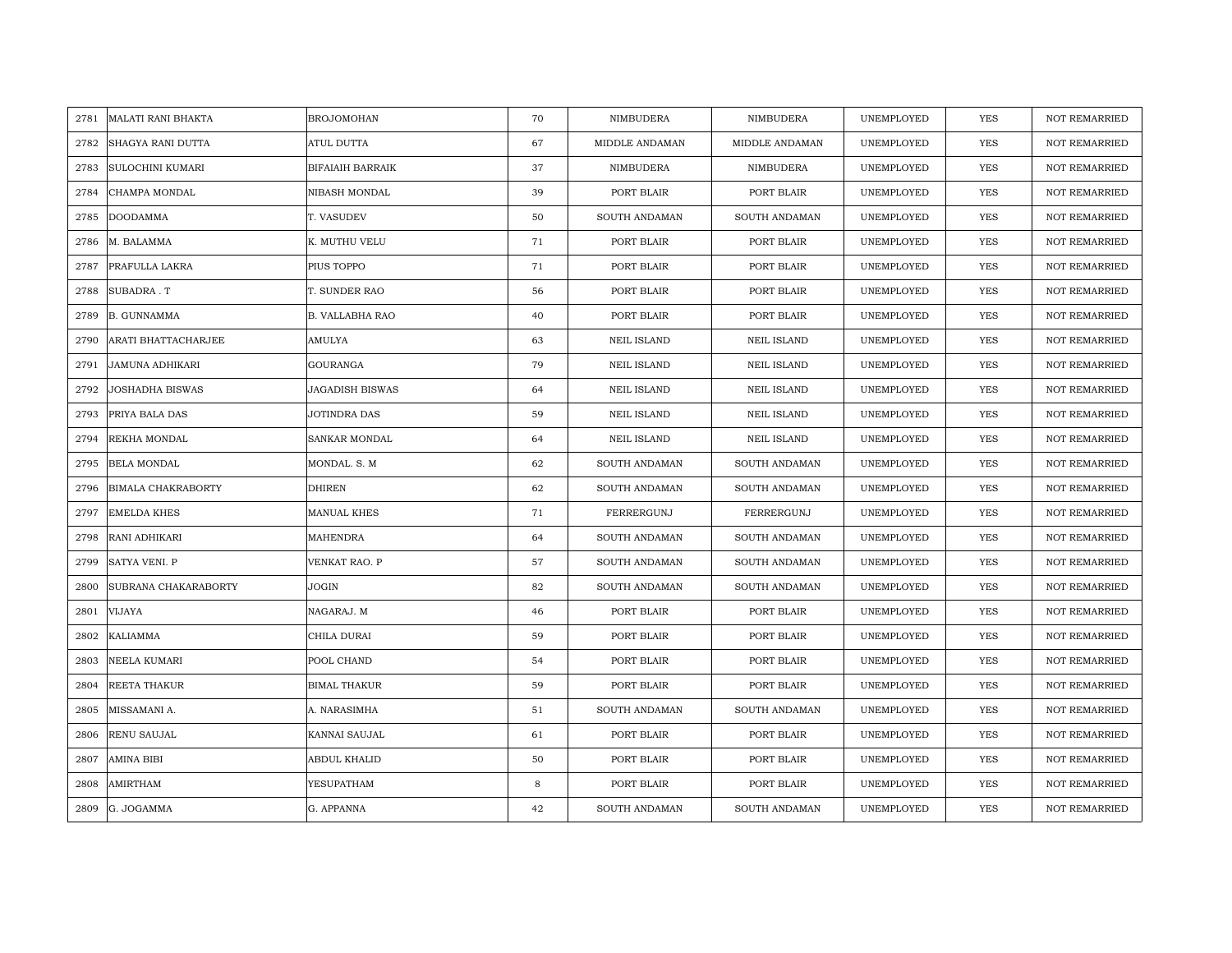| 2781 | <b>MALATI RANI BHAKTA</b> | <b>BROJOMOHAN</b>       | 70 | NIMBUDERA          | NIMBUDERA          | UNEMPLOYED | YES        | <b>NOT REMARRIED</b> |
|------|---------------------------|-------------------------|----|--------------------|--------------------|------------|------------|----------------------|
| 2782 | SHAGYA RANI DUTTA         | ATUL DUTTA              | 67 | MIDDLE ANDAMAN     | MIDDLE ANDAMAN     | UNEMPLOYED | <b>YES</b> | <b>NOT REMARRIED</b> |
| 2783 | <b>SULOCHINI KUMARI</b>   | <b>BIFAIAIH BARRAIK</b> | 37 | NIMBUDERA          | NIMBUDERA          | UNEMPLOYED | <b>YES</b> | <b>NOT REMARRIED</b> |
| 2784 | CHAMPA MONDAL             | NIBASH MONDAL           | 39 | PORT BLAIR         | PORT BLAIR         | UNEMPLOYED | YES        | <b>NOT REMARRIED</b> |
| 2785 | <b>DOODAMMA</b>           | T. VASUDEV              | 50 | SOUTH ANDAMAN      | SOUTH ANDAMAN      | UNEMPLOYED | YES        | NOT REMARRIED        |
| 2786 | M. BALAMMA                | K. MUTHU VELU           | 71 | PORT BLAIR         | PORT BLAIR         | UNEMPLOYED | YES        | NOT REMARRIED        |
| 2787 | PRAFULLA LAKRA            | PIUS TOPPO              | 71 | PORT BLAIR         | PORT BLAIR         | UNEMPLOYED | <b>YES</b> | NOT REMARRIED        |
| 2788 | SUBADRA.T                 | T. SUNDER RAO           | 56 | PORT BLAIR         | PORT BLAIR         | UNEMPLOYED | YES        | NOT REMARRIED        |
| 2789 | <b>B. GUNNAMMA</b>        | B. VALLABHA RAO         | 40 | PORT BLAIR         | PORT BLAIR         | UNEMPLOYED | YES        | NOT REMARRIED        |
| 2790 | ARATI BHATTACHARJEE       | AMULYA                  | 63 | <b>NEIL ISLAND</b> | <b>NEIL ISLAND</b> | UNEMPLOYED | YES        | <b>NOT REMARRIED</b> |
| 2791 | JAMUNA ADHIKARI           | <b>GOURANGA</b>         | 79 | <b>NEIL ISLAND</b> | <b>NEIL ISLAND</b> | UNEMPLOYED | YES        | <b>NOT REMARRIED</b> |
| 2792 | JOSHADHA BISWAS           | JAGADISH BISWAS         | 64 | <b>NEIL ISLAND</b> | <b>NEIL ISLAND</b> | UNEMPLOYED | YES        | NOT REMARRIED        |
| 2793 | PRIYA BALA DAS            | JOTINDRA DAS            | 59 | <b>NEIL ISLAND</b> | <b>NEIL ISLAND</b> | UNEMPLOYED | <b>YES</b> | <b>NOT REMARRIED</b> |
| 2794 | REKHA MONDAL              | SANKAR MONDAL           | 64 | <b>NEIL ISLAND</b> | <b>NEIL ISLAND</b> | UNEMPLOYED | <b>YES</b> | <b>NOT REMARRIED</b> |
| 2795 | <b>BELA MONDAL</b>        | MONDAL. S. M            | 62 | SOUTH ANDAMAN      | SOUTH ANDAMAN      | UNEMPLOYED | <b>YES</b> | <b>NOT REMARRIED</b> |
| 2796 | <b>BIMALA CHAKRABORTY</b> | <b>DHIREN</b>           | 62 | SOUTH ANDAMAN      | SOUTH ANDAMAN      | UNEMPLOYED | <b>YES</b> | <b>NOT REMARRIED</b> |
| 2797 | <b>EMELDA KHES</b>        | <b>MANUAL KHES</b>      | 71 | FERRERGUNJ         | FERRERGUNJ         | UNEMPLOYED | <b>YES</b> | <b>NOT REMARRIED</b> |
| 2798 | RANI ADHIKARI             | MAHENDRA                | 64 | SOUTH ANDAMAN      | SOUTH ANDAMAN      | UNEMPLOYED | <b>YES</b> | <b>NOT REMARRIED</b> |
| 2799 | SATYA VENI. P             | VENKAT RAO. P           | 57 | SOUTH ANDAMAN      | SOUTH ANDAMAN      | UNEMPLOYED | <b>YES</b> | <b>NOT REMARRIED</b> |
| 2800 | SUBRANA CHAKARABORTY      | JOGIN                   | 82 | SOUTH ANDAMAN      | SOUTH ANDAMAN      | UNEMPLOYED | <b>YES</b> | <b>NOT REMARRIED</b> |
| 2801 | <b>VIJAYA</b>             | NAGARAJ. M              | 46 | PORT BLAIR         | PORT BLAIR         | UNEMPLOYED | <b>YES</b> | NOT REMARRIED        |
| 2802 | KALIAMMA                  | CHILA DURAI             | 59 | PORT BLAIR         | PORT BLAIR         | UNEMPLOYED | YES        | NOT REMARRIED        |
| 2803 | NEELA KUMARI              | POOL CHAND              | 54 | PORT BLAIR         | PORT BLAIR         | UNEMPLOYED | <b>YES</b> | <b>NOT REMARRIED</b> |
| 2804 | REETA THAKUR              | <b>BIMAL THAKUR</b>     | 59 | PORT BLAIR         | PORT BLAIR         | UNEMPLOYED | <b>YES</b> | <b>NOT REMARRIED</b> |
| 2805 | MISSAMANI A.              | A. NARASIMHA            | 51 | SOUTH ANDAMAN      | SOUTH ANDAMAN      | UNEMPLOYED | YES        | <b>NOT REMARRIED</b> |
| 2806 | RENU SAUJAL               | KANNAI SAUJAL           | 61 | PORT BLAIR         | PORT BLAIR         | UNEMPLOYED | YES        | NOT REMARRIED        |
| 2807 | <b>AMINA BIBI</b>         | ABDUL KHALID            | 50 | PORT BLAIR         | PORT BLAIR         | UNEMPLOYED | YES        | NOT REMARRIED        |
| 2808 | AMIRTHAM                  | YESUPATHAM              | 8  | PORT BLAIR         | PORT BLAIR         | UNEMPLOYED | <b>YES</b> | <b>NOT REMARRIED</b> |
| 2809 | G. JOGAMMA                | G. APPANNA              | 42 | SOUTH ANDAMAN      | SOUTH ANDAMAN      | UNEMPLOYED | <b>YES</b> | <b>NOT REMARRIED</b> |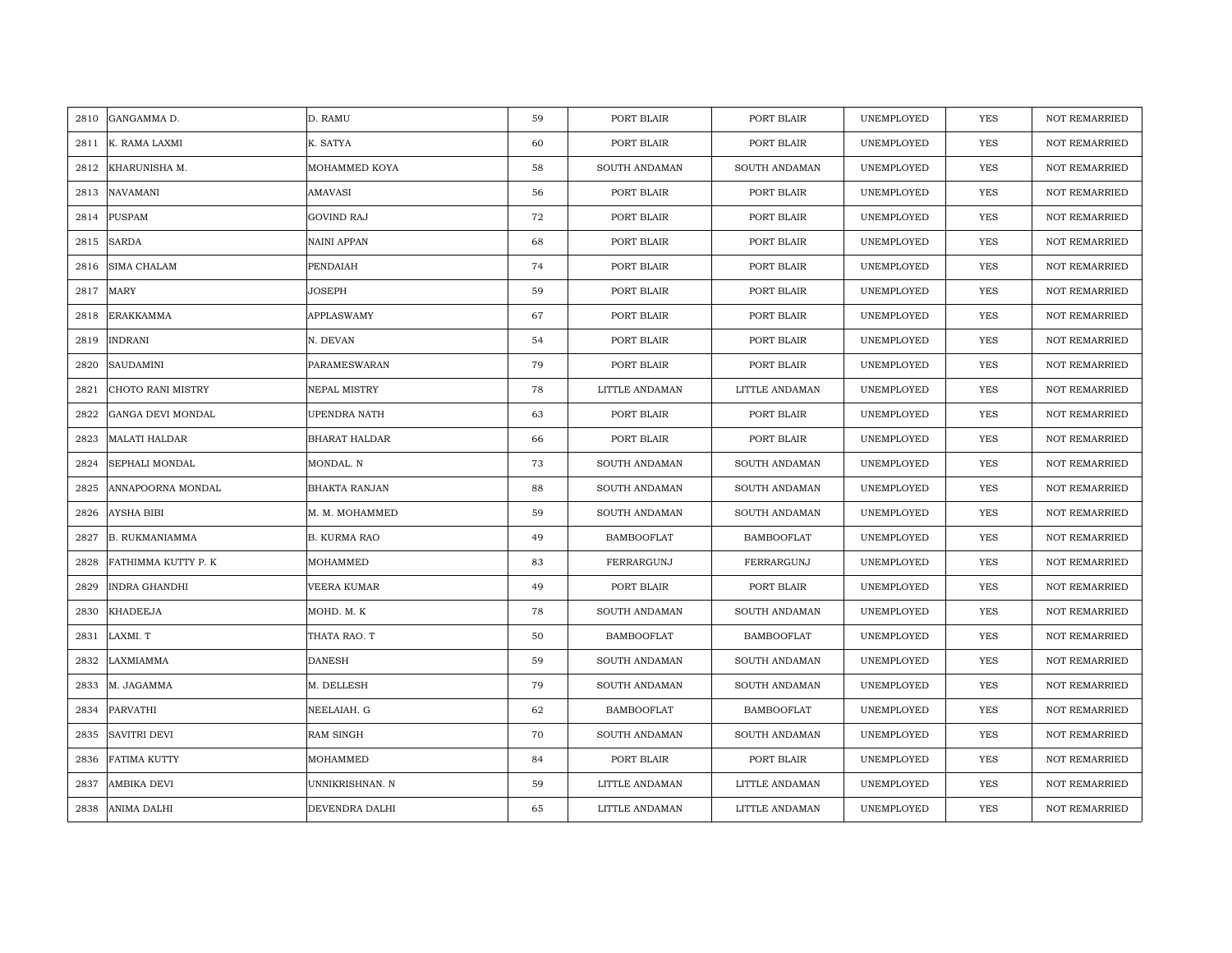| 2810 | GANGAMMA D.           | D. RAMU              | 59 | PORT BLAIR        | PORT BLAIR        | UNEMPLOYED | <b>YES</b> | <b>NOT REMARRIED</b> |
|------|-----------------------|----------------------|----|-------------------|-------------------|------------|------------|----------------------|
| 2811 | K. RAMA LAXMI         | K. SATYA             | 60 | PORT BLAIR        | PORT BLAIR        | UNEMPLOYED | <b>YES</b> | NOT REMARRIED        |
| 2812 | KHARUNISHA M.         | MOHAMMED KOYA        | 58 | SOUTH ANDAMAN     | SOUTH ANDAMAN     | UNEMPLOYED | YES        | <b>NOT REMARRIED</b> |
| 2813 | <b>NAVAMANI</b>       | AMAVASI              | 56 | PORT BLAIR        | PORT BLAIR        | UNEMPLOYED | <b>YES</b> | NOT REMARRIED        |
| 2814 | <b>PUSPAM</b>         | <b>GOVIND RAJ</b>    | 72 | PORT BLAIR        | PORT BLAIR        | UNEMPLOYED | YES        | <b>NOT REMARRIED</b> |
| 2815 | <b>SARDA</b>          | NAINI APPAN          | 68 | PORT BLAIR        | PORT BLAIR        | UNEMPLOYED | YES        | <b>NOT REMARRIED</b> |
| 2816 | <b>SIMA CHALAM</b>    | PENDAIAH             | 74 | PORT BLAIR        | PORT BLAIR        | UNEMPLOYED | <b>YES</b> | <b>NOT REMARRIED</b> |
| 2817 | MARY                  | JOSEPH               | 59 | PORT BLAIR        | PORT BLAIR        | UNEMPLOYED | YES        | <b>NOT REMARRIED</b> |
| 2818 | ERAKKAMMA             | <b>APPLASWAMY</b>    | 67 | PORT BLAIR        | PORT BLAIR        | UNEMPLOYED | YES        | NOT REMARRIED        |
| 2819 | <b>INDRANI</b>        | N. DEVAN             | 54 | PORT BLAIR        | PORT BLAIR        | UNEMPLOYED | YES        | <b>NOT REMARRIED</b> |
| 2820 | <b>SAUDAMINI</b>      | PARAMESWARAN         | 79 | PORT BLAIR        | PORT BLAIR        | UNEMPLOYED | YES        | <b>NOT REMARRIED</b> |
| 2821 | CHOTO RANI MISTRY     | NEPAL MISTRY         | 78 | LITTLE ANDAMAN    | LITTLE ANDAMAN    | UNEMPLOYED | YES        | NOT REMARRIED        |
| 2822 | GANGA DEVI MONDAL     | UPENDRA NATH         | 63 | PORT BLAIR        | PORT BLAIR        | UNEMPLOYED | <b>YES</b> | NOT REMARRIED        |
| 2823 | <b>MALATI HALDAR</b>  | <b>BHARAT HALDAR</b> | 66 | PORT BLAIR        | PORT BLAIR        | UNEMPLOYED | <b>YES</b> | <b>NOT REMARRIED</b> |
| 2824 | SEPHALI MONDAL        | MONDAL. N            | 73 | SOUTH ANDAMAN     | SOUTH ANDAMAN     | UNEMPLOYED | YES        | NOT REMARRIED        |
| 2825 | ANNAPOORNA MONDAL     | <b>BHAKTA RANJAN</b> | 88 | SOUTH ANDAMAN     | SOUTH ANDAMAN     | UNEMPLOYED | YES        | <b>NOT REMARRIED</b> |
| 2826 | <b>AYSHA BIBI</b>     | M. M. MOHAMMED       | 59 | SOUTH ANDAMAN     | SOUTH ANDAMAN     | UNEMPLOYED | YES        | <b>NOT REMARRIED</b> |
| 2827 | <b>B. RUKMANIAMMA</b> | <b>B. KURMA RAO</b>  | 49 | <b>BAMBOOFLAT</b> | <b>BAMBOOFLAT</b> | UNEMPLOYED | YES        | <b>NOT REMARRIED</b> |
| 2828 | FATHIMMA KUTTY P. K   | MOHAMMED             | 83 | FERRARGUNJ        | FERRARGUNJ        | UNEMPLOYED | <b>YES</b> | NOT REMARRIED        |
| 2829 | <b>INDRA GHANDHI</b>  | VEERA KUMAR          | 49 | PORT BLAIR        | PORT BLAIR        | UNEMPLOYED | <b>YES</b> | <b>NOT REMARRIED</b> |
| 2830 | <b>KHADEEJA</b>       | MOHD. M. K           | 78 | SOUTH ANDAMAN     | SOUTH ANDAMAN     | UNEMPLOYED | YES        | <b>NOT REMARRIED</b> |
| 2831 | LAXMI. T              | THATA RAO. T         | 50 | BAMBOOFLAT        | <b>BAMBOOFLAT</b> | UNEMPLOYED | YES        | NOT REMARRIED        |
| 2832 | LAXMIAMMA             | <b>DANESH</b>        | 59 | SOUTH ANDAMAN     | SOUTH ANDAMAN     | UNEMPLOYED | YES        | <b>NOT REMARRIED</b> |
| 2833 | M. JAGAMMA            | M. DELLESH           | 79 | SOUTH ANDAMAN     | SOUTH ANDAMAN     | UNEMPLOYED | YES        | <b>NOT REMARRIED</b> |
| 2834 | PARVATHI              | NEELAIAH. G          | 62 | BAMBOOFLAT        | <b>BAMBOOFLAT</b> | UNEMPLOYED | YES        | <b>NOT REMARRIED</b> |
| 2835 | <b>SAVITRI DEVI</b>   | <b>RAM SINGH</b>     | 70 | SOUTH ANDAMAN     | SOUTH ANDAMAN     | UNEMPLOYED | YES        | NOT REMARRIED        |
| 2836 | FATIMA KUTTY          | MOHAMMED             | 84 | PORT BLAIR        | PORT BLAIR        | UNEMPLOYED | YES        | <b>NOT REMARRIED</b> |
| 2837 | <b>AMBIKA DEVI</b>    | UNNIKRISHNAN. N      | 59 | LITTLE ANDAMAN    | LITTLE ANDAMAN    | UNEMPLOYED | YES        | <b>NOT REMARRIED</b> |
| 2838 | <b>ANIMA DALHI</b>    | DEVENDRA DALHI       | 65 | LITTLE ANDAMAN    | LITTLE ANDAMAN    | UNEMPLOYED | <b>YES</b> | <b>NOT REMARRIED</b> |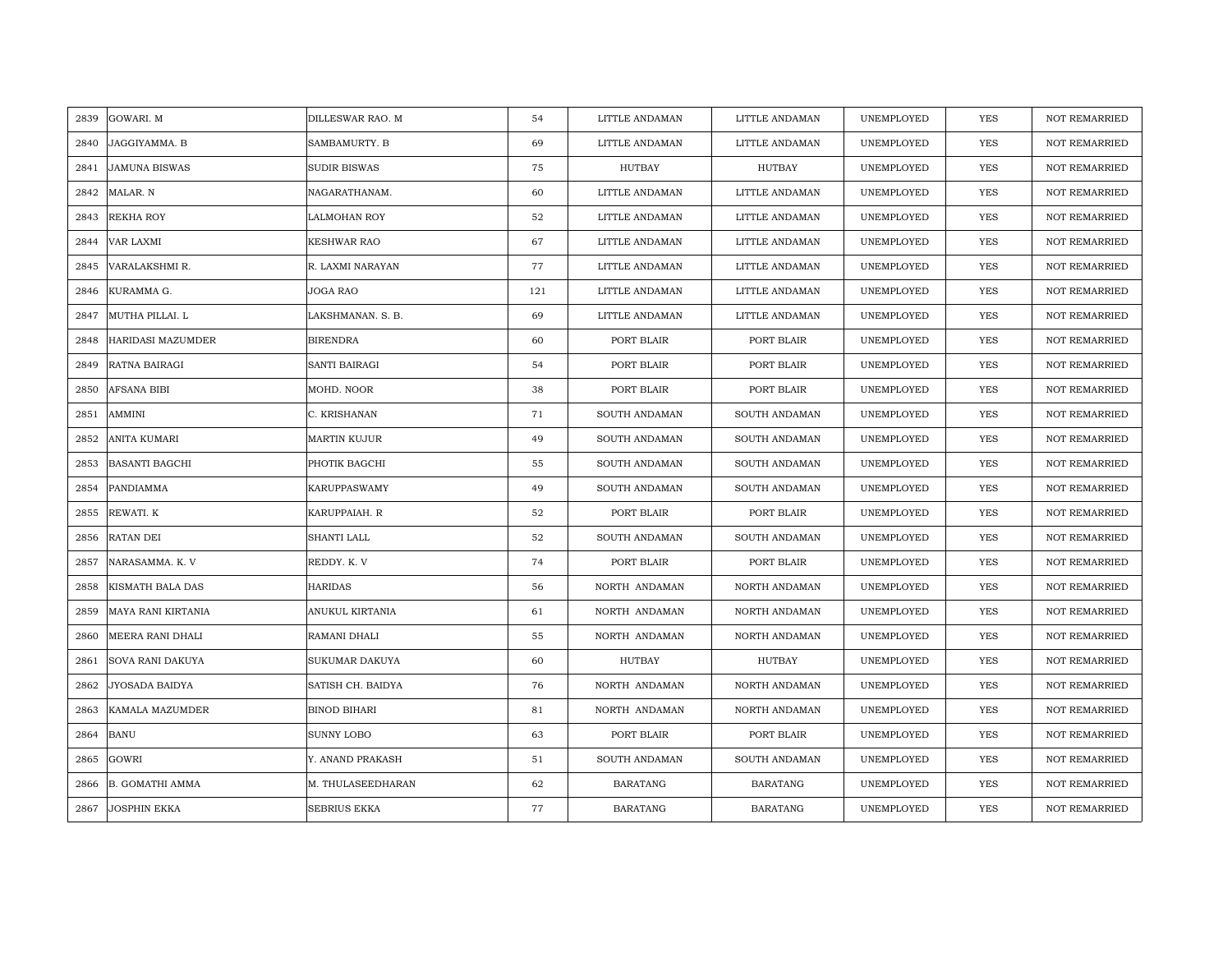| 2839 | GOWARI. M              | DILLESWAR RAO. M    | 54  | LITTLE ANDAMAN  | LITTLE ANDAMAN  | UNEMPLOYED | YES        | <b>NOT REMARRIED</b> |
|------|------------------------|---------------------|-----|-----------------|-----------------|------------|------------|----------------------|
| 2840 | JAGGIYAMMA. B          | SAMBAMURTY. B       | 69  | LITTLE ANDAMAN  | LITTLE ANDAMAN  | UNEMPLOYED | <b>YES</b> | <b>NOT REMARRIED</b> |
| 2841 | <b>JAMUNA BISWAS</b>   | <b>SUDIR BISWAS</b> | 75  | HUTBAY          | <b>HUTBAY</b>   | UNEMPLOYED | <b>YES</b> | <b>NOT REMARRIED</b> |
| 2842 | MALAR. N               | NAGARATHANAM.       | 60  | LITTLE ANDAMAN  | LITTLE ANDAMAN  | UNEMPLOYED | <b>YES</b> | <b>NOT REMARRIED</b> |
| 2843 | REKHA ROY              | LALMOHAN ROY        | 52  | LITTLE ANDAMAN  | LITTLE ANDAMAN  | UNEMPLOYED | YES        | NOT REMARRIED        |
| 2844 | VAR LAXMI              | KESHWAR RAO         | 67  | LITTLE ANDAMAN  | LITTLE ANDAMAN  | UNEMPLOYED | <b>YES</b> | NOT REMARRIED        |
| 2845 | VARALAKSHMI R.         | R. LAXMI NARAYAN    | 77  | LITTLE ANDAMAN  | LITTLE ANDAMAN  | UNEMPLOYED | <b>YES</b> | <b>NOT REMARRIED</b> |
| 2846 | KURAMMA G.             | JOGA RAO            | 121 | LITTLE ANDAMAN  | LITTLE ANDAMAN  | UNEMPLOYED | YES        | <b>NOT REMARRIED</b> |
| 2847 | MUTHA PILLAI. L        | LAKSHMANAN, S. B.   | 69  | LITTLE ANDAMAN  | LITTLE ANDAMAN  | UNEMPLOYED | <b>YES</b> | NOT REMARRIED        |
| 2848 | HARIDASI MAZUMDER      | <b>BIRENDRA</b>     | 60  | PORT BLAIR      | PORT BLAIR      | UNEMPLOYED | <b>YES</b> | <b>NOT REMARRIED</b> |
| 2849 | RATNA BAIRAGI          | SANTI BAIRAGI       | 54  | PORT BLAIR      | PORT BLAIR      | UNEMPLOYED | YES        | <b>NOT REMARRIED</b> |
| 2850 | AFSANA BIBI            | MOHD. NOOR          | 38  | PORT BLAIR      | PORT BLAIR      | UNEMPLOYED | <b>YES</b> | NOT REMARRIED        |
| 2851 | AMMINI                 | C. KRISHANAN        | 71  | SOUTH ANDAMAN   | SOUTH ANDAMAN   | UNEMPLOYED | <b>YES</b> | NOT REMARRIED        |
| 2852 | ANITA KUMARI           | MARTIN KUJUR        | 49  | SOUTH ANDAMAN   | SOUTH ANDAMAN   | UNEMPLOYED | <b>YES</b> | <b>NOT REMARRIED</b> |
| 2853 | <b>BASANTI BAGCHI</b>  | PHOTIK BAGCHI       | 55  | SOUTH ANDAMAN   | SOUTH ANDAMAN   | UNEMPLOYED | YES        | NOT REMARRIED        |
| 2854 | PANDIAMMA              | <b>KARUPPASWAMY</b> | 49  | SOUTH ANDAMAN   | SOUTH ANDAMAN   | UNEMPLOYED | <b>YES</b> | NOT REMARRIED        |
| 2855 | REWATI. K              | KARUPPAIAH. R       | 52  | PORT BLAIR      | PORT BLAIR      | UNEMPLOYED | YES        | <b>NOT REMARRIED</b> |
| 2856 | RATAN DEI              | SHANTI LALL         | 52  | SOUTH ANDAMAN   | SOUTH ANDAMAN   | UNEMPLOYED | YES        | <b>NOT REMARRIED</b> |
| 2857 | NARASAMMA. K. V        | REDDY. K. V         | 74  | PORT BLAIR      | PORT BLAIR      | UNEMPLOYED | <b>YES</b> | <b>NOT REMARRIED</b> |
| 2858 | KISMATH BALA DAS       | HARIDAS             | 56  | NORTH ANDAMAN   | NORTH ANDAMAN   | UNEMPLOYED | <b>YES</b> | <b>NOT REMARRIED</b> |
| 2859 | MAYA RANI KIRTANIA     | ANUKUL KIRTANIA     | 61  | NORTH ANDAMAN   | NORTH ANDAMAN   | UNEMPLOYED | <b>YES</b> | <b>NOT REMARRIED</b> |
| 2860 | MEERA RANI DHALI       | RAMANI DHALI        | 55  | NORTH ANDAMAN   | NORTH ANDAMAN   | UNEMPLOYED | YES        | <b>NOT REMARRIED</b> |
| 2861 | SOVA RANI DAKUYA       | SUKUMAR DAKUYA      | 60  | HUTBAY          | HUTBAY          | UNEMPLOYED | YES        | NOT REMARRIED        |
| 2862 | JYOSADA BAIDYA         | SATISH CH. BAIDYA   | 76  | NORTH ANDAMAN   | NORTH ANDAMAN   | UNEMPLOYED | YES        | <b>NOT REMARRIED</b> |
| 2863 | KAMALA MAZUMDER        | <b>BINOD BIHARI</b> | 81  | NORTH ANDAMAN   | NORTH ANDAMAN   | UNEMPLOYED | <b>YES</b> | <b>NOT REMARRIED</b> |
| 2864 | <b>BANU</b>            | SUNNY LOBO          | 63  | PORT BLAIR      | PORT BLAIR      | UNEMPLOYED | <b>YES</b> | NOT REMARRIED        |
| 2865 | GOWRI                  | Y. ANAND PRAKASH    | 51  | SOUTH ANDAMAN   | SOUTH ANDAMAN   | UNEMPLOYED | YES        | <b>NOT REMARRIED</b> |
| 2866 | <b>B. GOMATHI AMMA</b> | M. THULASEEDHARAN   | 62  | <b>BARATANG</b> | <b>BARATANG</b> | UNEMPLOYED | YES        | <b>NOT REMARRIED</b> |
| 2867 | <b>JOSPHIN EKKA</b>    | SEBRIUS EKKA        | 77  | <b>BARATANG</b> | <b>BARATANG</b> | UNEMPLOYED | YES        | NOT REMARRIED        |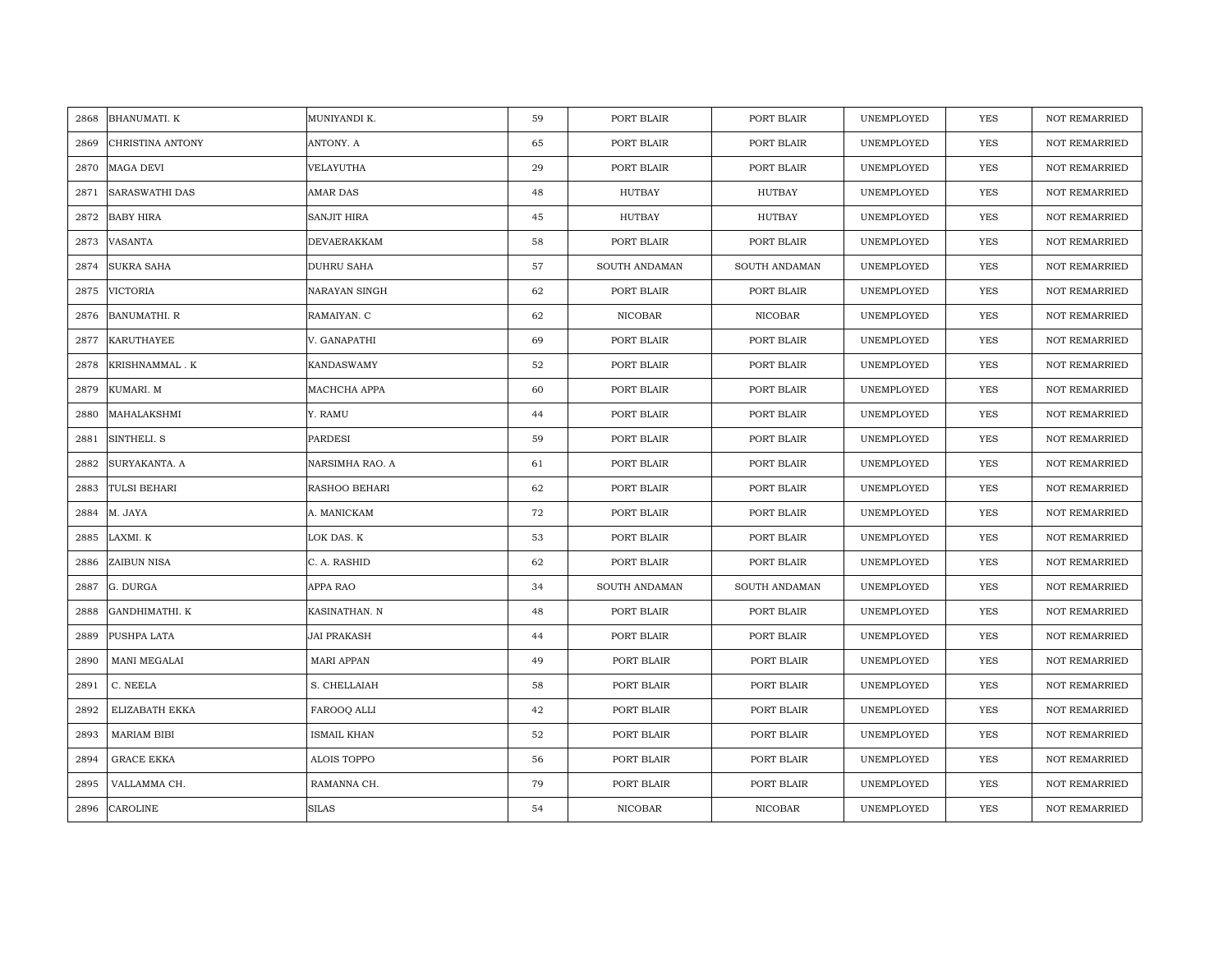| 2868 | <b>BHANUMATI. K</b>   | MUNIYANDI K.       | 59 | PORT BLAIR    | PORT BLAIR     | UNEMPLOYED | <b>YES</b> | <b>NOT REMARRIED</b> |
|------|-----------------------|--------------------|----|---------------|----------------|------------|------------|----------------------|
| 2869 | CHRISTINA ANTONY      | ANTONY. A          | 65 | PORT BLAIR    | PORT BLAIR     | UNEMPLOYED | YES        | <b>NOT REMARRIED</b> |
| 2870 | <b>MAGA DEVI</b>      | VELAYUTHA          | 29 | PORT BLAIR    | PORT BLAIR     | UNEMPLOYED | <b>YES</b> | <b>NOT REMARRIED</b> |
| 2871 | <b>SARASWATHI DAS</b> | <b>AMAR DAS</b>    | 48 | <b>HUTBAY</b> | <b>HUTBAY</b>  | UNEMPLOYED | <b>YES</b> | <b>NOT REMARRIED</b> |
| 2872 | <b>BABY HIRA</b>      | <b>SANJIT HIRA</b> | 45 | HUTBAY        | <b>HUTBAY</b>  | UNEMPLOYED | <b>YES</b> | <b>NOT REMARRIED</b> |
| 2873 | VASANTA               | DEVAERAKKAM        | 58 | PORT BLAIR    | PORT BLAIR     | UNEMPLOYED | <b>YES</b> | NOT REMARRIED        |
| 2874 | <b>SUKRA SAHA</b>     | <b>DUHRU SAHA</b>  | 57 | SOUTH ANDAMAN | SOUTH ANDAMAN  | UNEMPLOYED | <b>YES</b> | <b>NOT REMARRIED</b> |
| 2875 | VICTORIA              | NARAYAN SINGH      | 62 | PORT BLAIR    | PORT BLAIR     | UNEMPLOYED | YES        | NOT REMARRIED        |
| 2876 | <b>BANUMATHI. R</b>   | RAMAIYAN. C        | 62 | NICOBAR       | NICOBAR        | UNEMPLOYED | YES        | NOT REMARRIED        |
| 2877 | <b>KARUTHAYEE</b>     | V. GANAPATHI       | 69 | PORT BLAIR    | PORT BLAIR     | UNEMPLOYED | <b>YES</b> | <b>NOT REMARRIED</b> |
| 2878 | KRISHNAMMAL.K         | <b>KANDASWAMY</b>  | 52 | PORT BLAIR    | PORT BLAIR     | UNEMPLOYED | YES        | <b>NOT REMARRIED</b> |
| 2879 | KUMARI. M             | MACHCHA APPA       | 60 | PORT BLAIR    | PORT BLAIR     | UNEMPLOYED | YES        | NOT REMARRIED        |
| 2880 | MAHALAKSHMI           | Y. RAMU            | 44 | PORT BLAIR    | PORT BLAIR     | UNEMPLOYED | <b>YES</b> | NOT REMARRIED        |
| 2881 | SINTHELI. S           | <b>PARDESI</b>     | 59 | PORT BLAIR    | PORT BLAIR     | UNEMPLOYED | <b>YES</b> | <b>NOT REMARRIED</b> |
| 2882 | SURYAKANTA. A         | NARSIMHA RAO. A    | 61 | PORT BLAIR    | PORT BLAIR     | UNEMPLOYED | YES        | NOT REMARRIED        |
| 2883 | TULSI BEHARI          | RASHOO BEHARI      | 62 | PORT BLAIR    | PORT BLAIR     | UNEMPLOYED | YES        | <b>NOT REMARRIED</b> |
| 2884 | M. JAYA               | A. MANICKAM        | 72 | PORT BLAIR    | PORT BLAIR     | UNEMPLOYED | <b>YES</b> | NOT REMARRIED        |
| 2885 | LAXMI. K              | LOK DAS. K         | 53 | PORT BLAIR    | PORT BLAIR     | UNEMPLOYED | YES        | <b>NOT REMARRIED</b> |
| 2886 | ZAIBUN NISA           | C. A. RASHID       | 62 | PORT BLAIR    | PORT BLAIR     | UNEMPLOYED | <b>YES</b> | <b>NOT REMARRIED</b> |
| 2887 | G. DURGA              | APPA RAO           | 34 | SOUTH ANDAMAN | SOUTH ANDAMAN  | UNEMPLOYED | YES        | NOT REMARRIED        |
| 2888 | GANDHIMATHI. K        | KASINATHAN. N      | 48 | PORT BLAIR    | PORT BLAIR     | UNEMPLOYED | <b>YES</b> | <b>NOT REMARRIED</b> |
| 2889 | PUSHPA LATA           | <b>JAI PRAKASH</b> | 44 | PORT BLAIR    | PORT BLAIR     | UNEMPLOYED | YES        | NOT REMARRIED        |
| 2890 | MANI MEGALAI          | MARI APPAN         | 49 | PORT BLAIR    | PORT BLAIR     | UNEMPLOYED | YES        | <b>NOT REMARRIED</b> |
| 2891 | C. NEELA              | S. CHELLAIAH       | 58 | PORT BLAIR    | PORT BLAIR     | UNEMPLOYED | <b>YES</b> | <b>NOT REMARRIED</b> |
| 2892 | ELIZABATH EKKA        | FAROOQ ALLI        | 42 | PORT BLAIR    | PORT BLAIR     | UNEMPLOYED | YES        | <b>NOT REMARRIED</b> |
| 2893 | <b>MARIAM BIBI</b>    | <b>ISMAIL KHAN</b> | 52 | PORT BLAIR    | PORT BLAIR     | UNEMPLOYED | YES        | NOT REMARRIED        |
| 2894 | <b>GRACE EKKA</b>     | ALOIS TOPPO        | 56 | PORT BLAIR    | PORT BLAIR     | UNEMPLOYED | YES        | NOT REMARRIED        |
| 2895 | VALLAMMA CH.          | RAMANNA CH.        | 79 | PORT BLAIR    | PORT BLAIR     | UNEMPLOYED | <b>YES</b> | NOT REMARRIED        |
| 2896 | <b>CAROLINE</b>       | <b>SILAS</b>       | 54 | NICOBAR       | <b>NICOBAR</b> | UNEMPLOYED | <b>YES</b> | NOT REMARRIED        |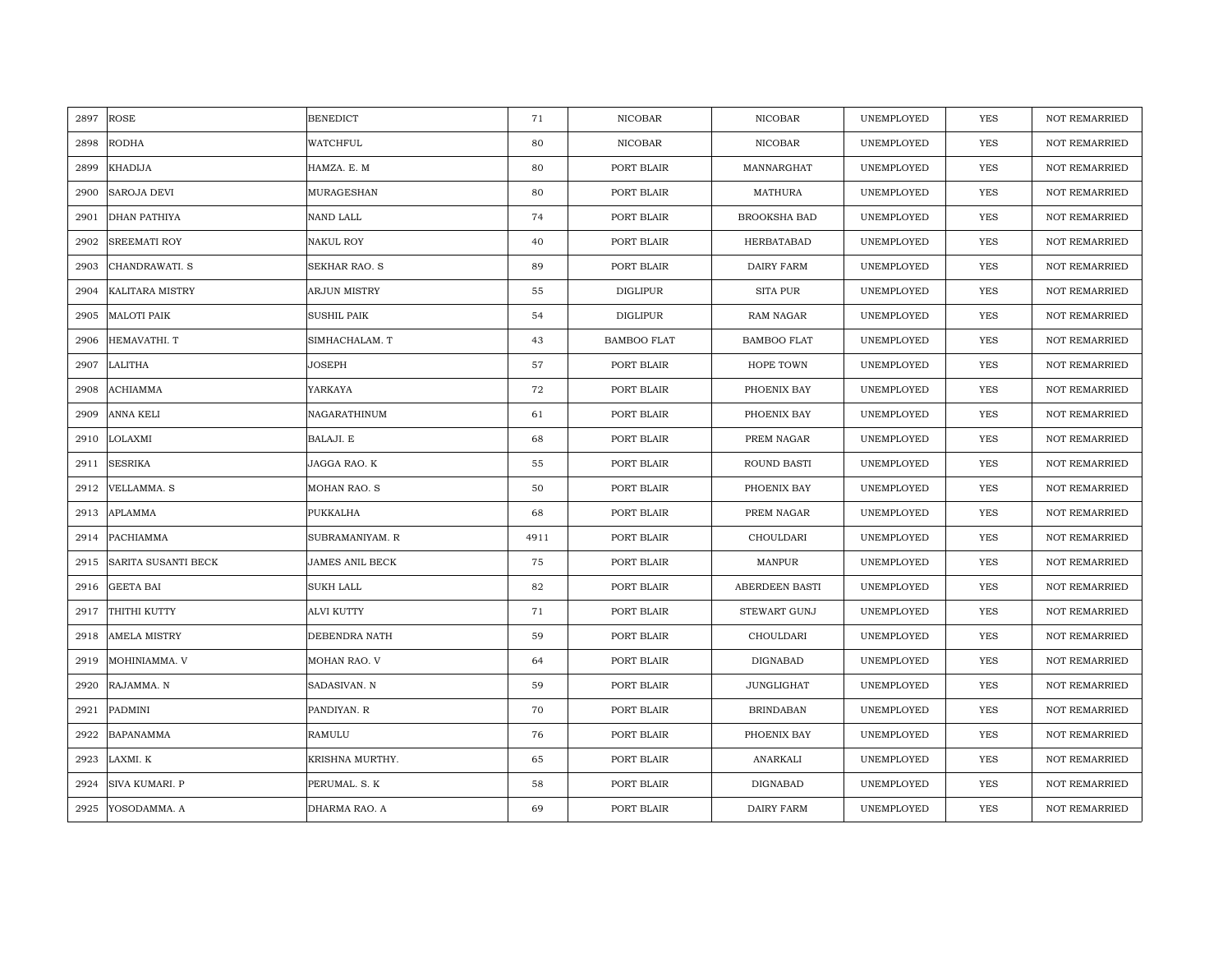| 2897 | ROSE                   | <b>BENEDICT</b>        | 71   | <b>NICOBAR</b>     | NICOBAR               | UNEMPLOYED | YES        | <b>NOT REMARRIED</b> |
|------|------------------------|------------------------|------|--------------------|-----------------------|------------|------------|----------------------|
| 2898 | <b>RODHA</b>           | <b>WATCHFUL</b>        | 80   | <b>NICOBAR</b>     | NICOBAR               | UNEMPLOYED | <b>YES</b> | <b>NOT REMARRIED</b> |
| 2899 | <b>KHADIJA</b>         | HAMZA. E. M            | 80   | PORT BLAIR         | MANNARGHAT            | UNEMPLOYED | YES        | <b>NOT REMARRIED</b> |
| 2900 | SAROJA DEVI            | MURAGESHAN             | 80   | PORT BLAIR         | MATHURA               | UNEMPLOYED | YES        | <b>NOT REMARRIED</b> |
| 2901 | DHAN PATHIYA           | NAND LALL              | 74   | PORT BLAIR         | BROOKSHA BAD          | UNEMPLOYED | YES        | NOT REMARRIED        |
| 2902 | SREEMATI ROY           | <b>NAKUL ROY</b>       | 40   | PORT BLAIR         | HERBATABAD            | UNEMPLOYED | YES        | NOT REMARRIED        |
| 2903 | CHANDRAWATI. S         | <b>SEKHAR RAO. S</b>   | 89   | PORT BLAIR         | DAIRY FARM            | UNEMPLOYED | <b>YES</b> | <b>NOT REMARRIED</b> |
| 2904 | <b>KALITARA MISTRY</b> | ARJUN MISTRY           | 55   | <b>DIGLIPUR</b>    | SITA PUR              | UNEMPLOYED | <b>YES</b> | <b>NOT REMARRIED</b> |
| 2905 | <b>MALOTI PAIK</b>     | <b>SUSHIL PAIK</b>     | 54   | <b>DIGLIPUR</b>    | <b>RAM NAGAR</b>      | UNEMPLOYED | <b>YES</b> | NOT REMARRIED        |
| 2906 | HEMAVATHI. T           | SIMHACHALAM. T         | 43   | <b>BAMBOO FLAT</b> | <b>BAMBOO FLAT</b>    | UNEMPLOYED | <b>YES</b> | <b>NOT REMARRIED</b> |
| 2907 | LALITHA                | JOSEPH                 | 57   | PORT BLAIR         | HOPE TOWN             | UNEMPLOYED | <b>YES</b> | <b>NOT REMARRIED</b> |
| 2908 | <b>ACHIAMMA</b>        | YARKAYA                | 72   | PORT BLAIR         | PHOENIX BAY           | UNEMPLOYED | <b>YES</b> | NOT REMARRIED        |
| 2909 | <b>ANNA KELI</b>       | NAGARATHINUM           | 61   | PORT BLAIR         | PHOENIX BAY           | UNEMPLOYED | YES        | NOT REMARRIED        |
| 2910 | LOLAXMI                | BALAJI. E              | 68   | PORT BLAIR         | PREM NAGAR            | UNEMPLOYED | <b>YES</b> | <b>NOT REMARRIED</b> |
| 2911 | <b>SESRIKA</b>         | JAGGA RAO. K           | 55   | PORT BLAIR         | ROUND BASTI           | UNEMPLOYED | YES        | NOT REMARRIED        |
| 2912 | VELLAMMA. S            | MOHAN RAO. S           | 50   | PORT BLAIR         | PHOENIX BAY           | UNEMPLOYED | YES        | NOT REMARRIED        |
| 2913 | <b>APLAMMA</b>         | PUKKALHA               | 68   | PORT BLAIR         | PREM NAGAR            | UNEMPLOYED | YES        | <b>NOT REMARRIED</b> |
| 2914 | PACHIAMMA              | SUBRAMANIYAM. R        | 4911 | PORT BLAIR         | CHOULDARI             | UNEMPLOYED | <b>YES</b> | <b>NOT REMARRIED</b> |
| 2915 | SARITA SUSANTI BECK    | <b>JAMES ANIL BECK</b> | 75   | PORT BLAIR         | MANPUR                | UNEMPLOYED | <b>YES</b> | NOT REMARRIED        |
| 2916 | <b>GEETA BAI</b>       | <b>SUKH LALL</b>       | 82   | PORT BLAIR         | <b>ABERDEEN BASTI</b> | UNEMPLOYED | <b>YES</b> | <b>NOT REMARRIED</b> |
| 2917 | THITHI KUTTY           | <b>ALVI KUTTY</b>      | 71   | PORT BLAIR         | <b>STEWART GUNJ</b>   | UNEMPLOYED | <b>YES</b> | <b>NOT REMARRIED</b> |
| 2918 | <b>AMELA MISTRY</b>    | DEBENDRA NATH          | 59   | PORT BLAIR         | CHOULDARI             | UNEMPLOYED | <b>YES</b> | <b>NOT REMARRIED</b> |
| 2919 | MOHINIAMMA. V          | MOHAN RAO. V           | 64   | PORT BLAIR         | DIGNABAD              | UNEMPLOYED | YES        | <b>NOT REMARRIED</b> |
| 2920 | RAJAMMA. N             | SADASIVAN. N           | 59   | PORT BLAIR         | <b>JUNGLIGHAT</b>     | UNEMPLOYED | YES        | <b>NOT REMARRIED</b> |
| 2921 | PADMINI                | PANDIYAN. R            | 70   | PORT BLAIR         | <b>BRINDABAN</b>      | UNEMPLOYED | <b>YES</b> | <b>NOT REMARRIED</b> |
| 2922 | <b>BAPANAMMA</b>       | RAMULU                 | 76   | PORT BLAIR         | PHOENIX BAY           | UNEMPLOYED | YES        | NOT REMARRIED        |
| 2923 | LAXMI. K               | KRISHNA MURTHY.        | 65   | PORT BLAIR         | ANARKALI              | UNEMPLOYED | <b>YES</b> | NOT REMARRIED        |
| 2924 | SIVA KUMARI. P         | PERUMAL. S. K          | 58   | PORT BLAIR         | DIGNABAD              | UNEMPLOYED | YES        | <b>NOT REMARRIED</b> |
| 2925 | YOSODAMMA. A           | DHARMA RAO. A          | 69   | PORT BLAIR         | <b>DAIRY FARM</b>     | UNEMPLOYED | YES        | NOT REMARRIED        |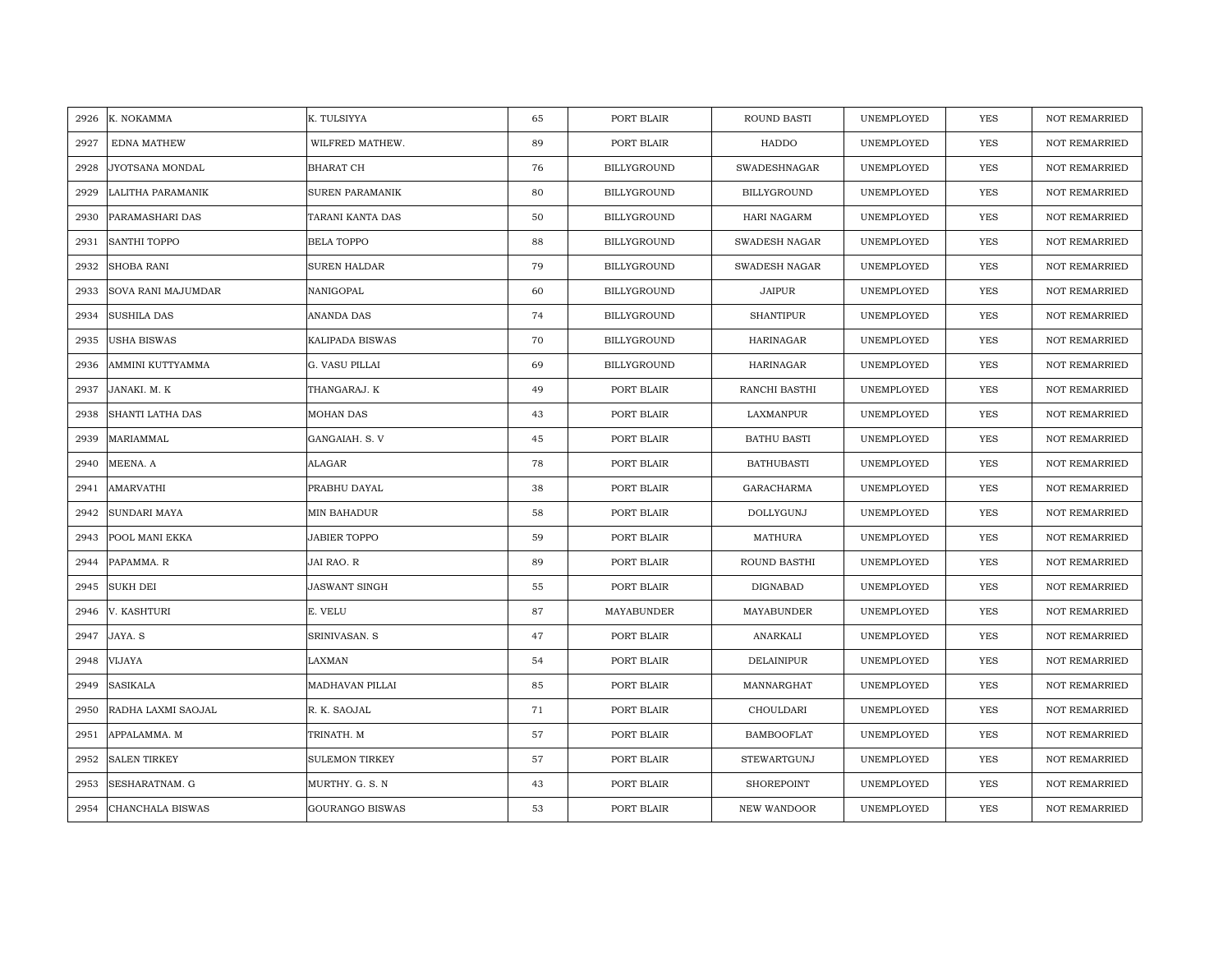| 2926 | K. NOKAMMA          | K. TULSIYYA            | 65 | PORT BLAIR         | ROUND BASTI          | UNEMPLOYED | YES        | <b>NOT REMARRIED</b> |
|------|---------------------|------------------------|----|--------------------|----------------------|------------|------------|----------------------|
| 2927 | <b>EDNA MATHEW</b>  | WILFRED MATHEW.        | 89 | PORT BLAIR         | HADDO                | UNEMPLOYED | YES        | NOT REMARRIED        |
| 2928 | JYOTSANA MONDAL     | <b>BHARAT CH</b>       | 76 | BILLYGROUND        | <b>SWADESHNAGAR</b>  | UNEMPLOYED | <b>YES</b> | <b>NOT REMARRIED</b> |
| 2929 | LALITHA PARAMANIK   | <b>SUREN PARAMANIK</b> | 80 | <b>BILLYGROUND</b> | <b>BILLYGROUND</b>   | UNEMPLOYED | <b>YES</b> | <b>NOT REMARRIED</b> |
| 2930 | PARAMASHARI DAS     | TARANI KANTA DAS       | 50 | BILLYGROUND        | <b>HARI NAGARM</b>   | UNEMPLOYED | <b>YES</b> | <b>NOT REMARRIED</b> |
| 2931 | SANTHI TOPPO        | <b>BELA TOPPO</b>      | 88 | BILLYGROUND        | <b>SWADESH NAGAR</b> | UNEMPLOYED | <b>YES</b> | <b>NOT REMARRIED</b> |
| 2932 | SHOBA RANI          | SUREN HALDAR           | 79 | <b>BILLYGROUND</b> | SWADESH NAGAR        | UNEMPLOYED | <b>YES</b> | <b>NOT REMARRIED</b> |
| 2933 | SOVA RANI MAJUMDAR  | NANIGOPAL              | 60 | BILLYGROUND        | JAIPUR               | UNEMPLOYED | YES        | <b>NOT REMARRIED</b> |
| 2934 | <b>SUSHILA DAS</b>  | ANANDA DAS             | 74 | BILLYGROUND        | <b>SHANTIPUR</b>     | UNEMPLOYED | YES        | <b>NOT REMARRIED</b> |
| 2935 | USHA BISWAS         | KALIPADA BISWAS        | 70 | BILLYGROUND        | <b>HARINAGAR</b>     | UNEMPLOYED | YES        | <b>NOT REMARRIED</b> |
| 2936 | AMMINI KUTTYAMMA    | G. VASU PILLAI         | 69 | BILLYGROUND        | <b>HARINAGAR</b>     | UNEMPLOYED | YES        | <b>NOT REMARRIED</b> |
| 2937 | JANAKI. M. K        | THANGARAJ. K           | 49 | PORT BLAIR         | RANCHI BASTHI        | UNEMPLOYED | YES        | <b>NOT REMARRIED</b> |
| 2938 | SHANTI LATHA DAS    | MOHAN DAS              | 43 | PORT BLAIR         | LAXMANPUR            | UNEMPLOYED | YES        | <b>NOT REMARRIED</b> |
| 2939 | MARIAMMAL           | GANGAIAH. S. V         | 45 | PORT BLAIR         | <b>BATHU BASTI</b>   | UNEMPLOYED | YES        | <b>NOT REMARRIED</b> |
| 2940 | MEENA. A            | ALAGAR                 | 78 | PORT BLAIR         | <b>BATHUBASTI</b>    | UNEMPLOYED | YES        | <b>NOT REMARRIED</b> |
| 2941 | AMARVATHI           | PRABHU DAYAL           | 38 | PORT BLAIR         | GARACHARMA           | UNEMPLOYED | <b>YES</b> | NOT REMARRIED        |
| 2942 | SUNDARI MAYA        | MIN BAHADUR            | 58 | PORT BLAIR         | DOLLYGUNJ            | UNEMPLOYED | YES        | <b>NOT REMARRIED</b> |
| 2943 | POOL MANI EKKA      | <b>JABIER TOPPO</b>    | 59 | PORT BLAIR         | MATHURA              | UNEMPLOYED | YES        | <b>NOT REMARRIED</b> |
| 2944 | PAPAMMA. R          | JAI RAO. R             | 89 | PORT BLAIR         | ROUND BASTHI         | UNEMPLOYED | <b>YES</b> | <b>NOT REMARRIED</b> |
| 2945 | <b>SUKH DEI</b>     | JASWANT SINGH          | 55 | PORT BLAIR         | DIGNABAD             | UNEMPLOYED | <b>YES</b> | <b>NOT REMARRIED</b> |
| 2946 | V. KASHTURI         | E. VELU                | 87 | MAYABUNDER         | MAYABUNDER           | UNEMPLOYED | <b>YES</b> | <b>NOT REMARRIED</b> |
| 2947 | JAYA. S             | SRINIVASAN. S          | 47 | PORT BLAIR         | ANARKALI             | UNEMPLOYED | YES        | NOT REMARRIED        |
| 2948 | <b>VIJAYA</b>       | LAXMAN                 | 54 | PORT BLAIR         | DELAINIPUR           | UNEMPLOYED | <b>YES</b> | <b>NOT REMARRIED</b> |
| 2949 | SASIKALA            | MADHAVAN PILLAI        | 85 | PORT BLAIR         | MANNARGHAT           | UNEMPLOYED | YES        | <b>NOT REMARRIED</b> |
| 2950 | RADHA LAXMI SAOJAL  | R. K. SAOJAL           | 71 | PORT BLAIR         | CHOULDARI            | UNEMPLOYED | YES        | <b>NOT REMARRIED</b> |
| 2951 | APPALAMMA. M        | TRINATH. M             | 57 | PORT BLAIR         | <b>BAMBOOFLAT</b>    | UNEMPLOYED | YES        | <b>NOT REMARRIED</b> |
| 2952 | <b>SALEN TIRKEY</b> | <b>SULEMON TIRKEY</b>  | 57 | PORT BLAIR         | <b>STEWARTGUNJ</b>   | UNEMPLOYED | YES        | NOT REMARRIED        |
| 2953 | SESHARATNAM. G      | MURTHY. G. S. N        | 43 | PORT BLAIR         | SHOREPOINT           | UNEMPLOYED | YES        | <b>NOT REMARRIED</b> |
| 2954 | CHANCHALA BISWAS    | <b>GOURANGO BISWAS</b> | 53 | PORT BLAIR         | NEW WANDOOR          | UNEMPLOYED | <b>YES</b> | <b>NOT REMARRIED</b> |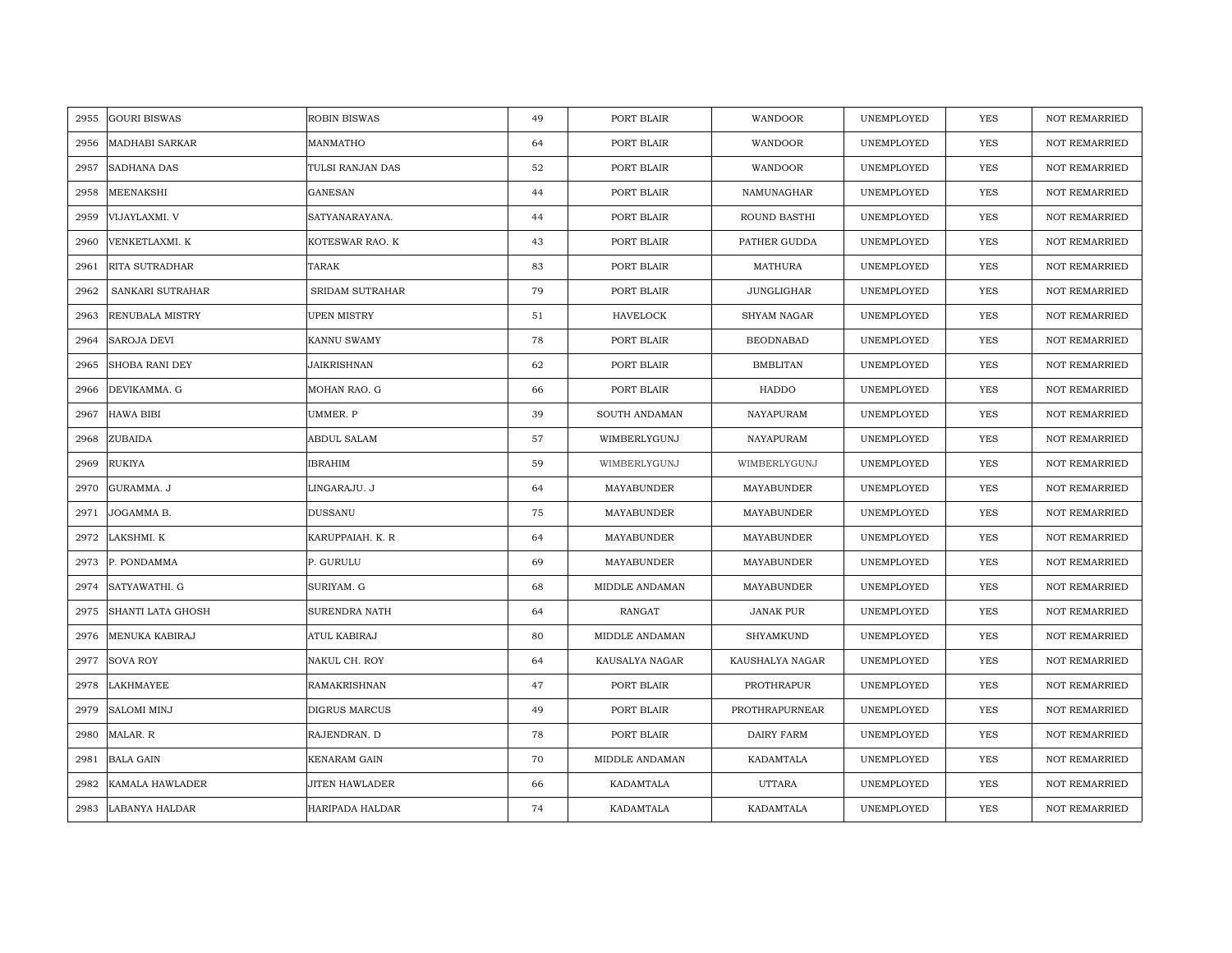| 2955 | <b>GOURI BISWAS</b>   | <b>ROBIN BISWAS</b> | 49 | PORT BLAIR      | WANDOOR           | UNEMPLOYED | YES        | <b>NOT REMARRIED</b> |
|------|-----------------------|---------------------|----|-----------------|-------------------|------------|------------|----------------------|
| 2956 | <b>MADHABI SARKAR</b> | MANMATHO            | 64 | PORT BLAIR      | WANDOOR           | UNEMPLOYED | <b>YES</b> | <b>NOT REMARRIED</b> |
| 2957 | <b>SADHANA DAS</b>    | TULSI RANJAN DAS    | 52 | PORT BLAIR      | WANDOOR           | UNEMPLOYED | <b>YES</b> | <b>NOT REMARRIED</b> |
| 2958 | MEENAKSHI             | GANESAN             | 44 | PORT BLAIR      | NAMUNAGHAR        | UNEMPLOYED | YES        | <b>NOT REMARRIED</b> |
| 2959 | VIJAYLAXMI. V         | SATYANARAYANA.      | 44 | PORT BLAIR      | ROUND BASTHI      | UNEMPLOYED | YES        | NOT REMARRIED        |
| 2960 | VENKETLAXMI. K        | KOTESWAR RAO. K     | 43 | PORT BLAIR      | PATHER GUDDA      | UNEMPLOYED | YES        | NOT REMARRIED        |
| 2961 | <b>RITA SUTRADHAR</b> | TARAK               | 83 | PORT BLAIR      | MATHURA           | UNEMPLOYED | <b>YES</b> | NOT REMARRIED        |
| 2962 | SANKARI SUTRAHAR      | SRIDAM SUTRAHAR     | 79 | PORT BLAIR      | <b>JUNGLIGHAR</b> | UNEMPLOYED | YES        | NOT REMARRIED        |
| 2963 | RENUBALA MISTRY       | <b>UPEN MISTRY</b>  | 51 | <b>HAVELOCK</b> | SHYAM NAGAR       | UNEMPLOYED | YES        | <b>NOT REMARRIED</b> |
| 2964 | <b>SAROJA DEVI</b>    | KANNU SWAMY         | 78 | PORT BLAIR      | <b>BEODNABAD</b>  | UNEMPLOYED | YES        | <b>NOT REMARRIED</b> |
| 2965 | <b>SHOBA RANI DEY</b> | JAIKRISHNAN         | 62 | PORT BLAIR      | <b>BMBLITAN</b>   | UNEMPLOYED | YES        | <b>NOT REMARRIED</b> |
| 2966 | DEVIKAMMA. G          | MOHAN RAO. G        | 66 | PORT BLAIR      | HADDO             | UNEMPLOYED | YES        | NOT REMARRIED        |
| 2967 | <b>HAWA BIBI</b>      | UMMER. P            | 39 | SOUTH ANDAMAN   | NAYAPURAM         | UNEMPLOYED | <b>YES</b> | <b>NOT REMARRIED</b> |
| 2968 | ZUBAIDA               | ABDUL SALAM         | 57 | WIMBERLYGUNJ    | NAYAPURAM         | UNEMPLOYED | <b>YES</b> | <b>NOT REMARRIED</b> |
| 2969 | <b>RUKIYA</b>         | <b>IBRAHIM</b>      | 59 | WIMBERLYGUNJ    | WIMBERLYGUNJ      | UNEMPLOYED | <b>YES</b> | <b>NOT REMARRIED</b> |
| 2970 | GURAMMA. J            | LINGARAJU. J        | 64 | MAYABUNDER      | MAYABUNDER        | UNEMPLOYED | <b>YES</b> | <b>NOT REMARRIED</b> |
| 2971 | JOGAMMA B.            | <b>DUSSANU</b>      | 75 | MAYABUNDER      | MAYABUNDER        | UNEMPLOYED | <b>YES</b> | <b>NOT REMARRIED</b> |
| 2972 | LAKSHMI. K            | KARUPPAIAH. K. R    | 64 | MAYABUNDER      | MAYABUNDER        | UNEMPLOYED | <b>YES</b> | <b>NOT REMARRIED</b> |
| 2973 | P. PONDAMMA           | P. GURULU           | 69 | MAYABUNDER      | MAYABUNDER        | UNEMPLOYED | <b>YES</b> | <b>NOT REMARRIED</b> |
| 2974 | SATYAWATHI. G         | SURIYAM. G          | 68 | MIDDLE ANDAMAN  | MAYABUNDER        | UNEMPLOYED | <b>YES</b> | <b>NOT REMARRIED</b> |
| 2975 | SHANTI LATA GHOSH     | SURENDRA NATH       | 64 | RANGAT          | <b>JANAK PUR</b>  | UNEMPLOYED | <b>YES</b> | NOT REMARRIED        |
| 2976 | MENUKA KABIRAJ        | ATUL KABIRAJ        | 80 | MIDDLE ANDAMAN  | SHYAMKUND         | UNEMPLOYED | YES        | NOT REMARRIED        |
| 2977 | <b>SOVA ROY</b>       | NAKUL CH. ROY       | 64 | KAUSALYA NAGAR  | KAUSHALYA NAGAR   | UNEMPLOYED | <b>YES</b> | <b>NOT REMARRIED</b> |
| 2978 | LAKHMAYEE             | <b>RAMAKRISHNAN</b> | 47 | PORT BLAIR      | PROTHRAPUR        | UNEMPLOYED | YES        | <b>NOT REMARRIED</b> |
| 2979 | <b>SALOMI MINJ</b>    | DIGRUS MARCUS       | 49 | PORT BLAIR      | PROTHRAPURNEAR    | UNEMPLOYED | YES        | <b>NOT REMARRIED</b> |
| 2980 | MALAR. R              | RAJENDRAN. D        | 78 | PORT BLAIR      | DAIRY FARM        | UNEMPLOYED | YES        | NOT REMARRIED        |
| 2981 | <b>BALA GAIN</b>      | KENARAM GAIN        | 70 | MIDDLE ANDAMAN  | KADAMTALA         | UNEMPLOYED | YES        | NOT REMARRIED        |
| 2982 | KAMALA HAWLADER       | JITEN HAWLADER      | 66 | KADAMTALA       | <b>UTTARA</b>     | UNEMPLOYED | YES        | <b>NOT REMARRIED</b> |
| 2983 | LABANYA HALDAR        | HARIPADA HALDAR     | 74 | KADAMTALA       | KADAMTALA         | UNEMPLOYED | <b>YES</b> | <b>NOT REMARRIED</b> |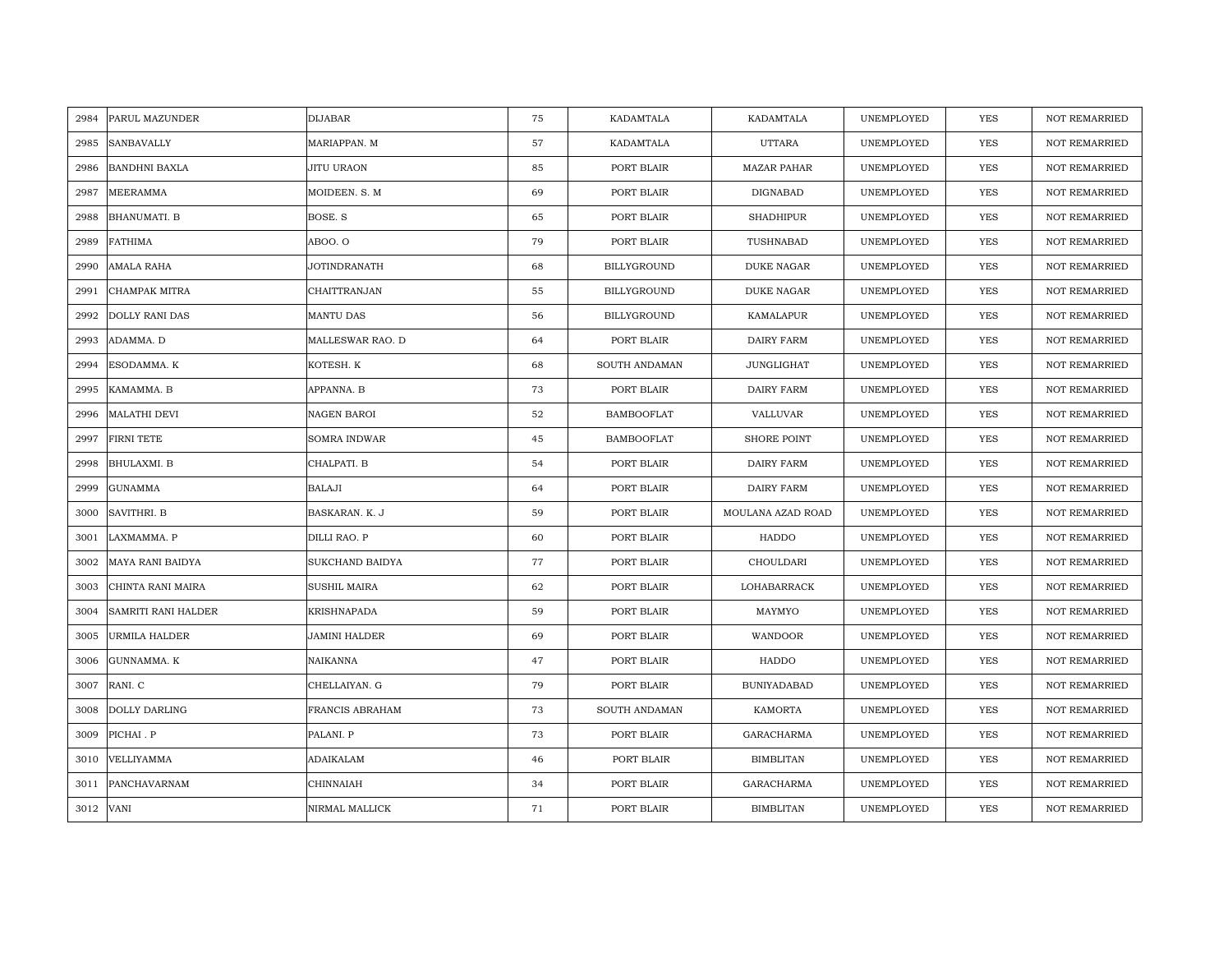| 2984 | PARUL MAZUNDER        | <b>DIJABAR</b>      | 75 | KADAMTALA         | KADAMTALA          | UNEMPLOYED | YES        | <b>NOT REMARRIED</b> |
|------|-----------------------|---------------------|----|-------------------|--------------------|------------|------------|----------------------|
| 2985 | SANBAVALLY            | MARIAPPAN. M        | 57 | KADAMTALA         | <b>UTTARA</b>      | UNEMPLOYED | YES        | NOT REMARRIED        |
| 2986 | <b>BANDHNI BAXLA</b>  | JITU URAON          | 85 | PORT BLAIR        | <b>MAZAR PAHAR</b> | UNEMPLOYED | <b>YES</b> | <b>NOT REMARRIED</b> |
| 2987 | MEERAMMA              | MOIDEEN. S. M       | 69 | PORT BLAIR        | DIGNABAD           | UNEMPLOYED | <b>YES</b> | <b>NOT REMARRIED</b> |
| 2988 | <b>BHANUMATI. B</b>   | BOSE. S             | 65 | PORT BLAIR        | <b>SHADHIPUR</b>   | UNEMPLOYED | <b>YES</b> | <b>NOT REMARRIED</b> |
| 2989 | <b>FATHIMA</b>        | ABOO. O             | 79 | PORT BLAIR        | TUSHNABAD          | UNEMPLOYED | <b>YES</b> | <b>NOT REMARRIED</b> |
| 2990 | AMALA RAHA            | JOTINDRANATH        | 68 | BILLYGROUND       | <b>DUKE NAGAR</b>  | UNEMPLOYED | <b>YES</b> | <b>NOT REMARRIED</b> |
| 2991 | CHAMPAK MITRA         | CHAITTRANJAN        | 55 | BILLYGROUND       | <b>DUKE NAGAR</b>  | UNEMPLOYED | YES        | <b>NOT REMARRIED</b> |
| 2992 | <b>DOLLY RANI DAS</b> | MANTU DAS           | 56 | BILLYGROUND       | KAMALAPUR          | UNEMPLOYED | YES        | <b>NOT REMARRIED</b> |
| 2993 | ADAMMA. D             | MALLESWAR RAO. D    | 64 | PORT BLAIR        | DAIRY FARM         | UNEMPLOYED | <b>YES</b> | <b>NOT REMARRIED</b> |
| 2994 | ESODAMMA. K           | KOTESH. K           | 68 | SOUTH ANDAMAN     | <b>JUNGLIGHAT</b>  | UNEMPLOYED | YES        | <b>NOT REMARRIED</b> |
| 2995 | KAMAMMA. B            | APPANNA. B          | 73 | PORT BLAIR        | <b>DAIRY FARM</b>  | UNEMPLOYED | YES        | <b>NOT REMARRIED</b> |
| 2996 | <b>MALATHI DEVI</b>   | NAGEN BAROI         | 52 | <b>BAMBOOFLAT</b> | VALLUVAR           | UNEMPLOYED | <b>YES</b> | <b>NOT REMARRIED</b> |
| 2997 | <b>FIRNI TETE</b>     | SOMRA INDWAR        | 45 | <b>BAMBOOFLAT</b> | <b>SHORE POINT</b> | UNEMPLOYED | <b>YES</b> | <b>NOT REMARRIED</b> |
| 2998 | BHULAXMI. B           | CHALPATI. B         | 54 | PORT BLAIR        | DAIRY FARM         | UNEMPLOYED | YES        | <b>NOT REMARRIED</b> |
| 2999 | <b>GUNAMMA</b>        | <b>BALAJI</b>       | 64 | PORT BLAIR        | DAIRY FARM         | UNEMPLOYED | YES        | <b>NOT REMARRIED</b> |
| 3000 | SAVITHRI. B           | BASKARAN. K. J      | 59 | PORT BLAIR        | MOULANA AZAD ROAD  | UNEMPLOYED | <b>YES</b> | NOT REMARRIED        |
| 3001 | LAXMAMMA. P           | DILLI RAO. P        | 60 | PORT BLAIR        | HADDO              | UNEMPLOYED | YES        | <b>NOT REMARRIED</b> |
| 3002 | MAYA RANI BAIDYA      | SUKCHAND BAIDYA     | 77 | PORT BLAIR        | CHOULDARI          | UNEMPLOYED | <b>YES</b> | <b>NOT REMARRIED</b> |
| 3003 | CHINTA RANI MAIRA     | <b>SUSHIL MAIRA</b> | 62 | PORT BLAIR        | LOHABARRACK        | UNEMPLOYED | <b>YES</b> | <b>NOT REMARRIED</b> |
| 3004 | SAMRITI RANI HALDER   | KRISHNAPADA         | 59 | PORT BLAIR        | MAYMYO             | UNEMPLOYED | YES        | <b>NOT REMARRIED</b> |
| 3005 | URMILA HALDER         | JAMINI HALDER       | 69 | PORT BLAIR        | WANDOOR            | UNEMPLOYED | YES        | <b>NOT REMARRIED</b> |
| 3006 | GUNNAMMA. K           | NAIKANNA            | 47 | PORT BLAIR        | HADDO              | UNEMPLOYED | YES        | <b>NOT REMARRIED</b> |
| 3007 | RANI. C               | CHELLAIYAN. G       | 79 | PORT BLAIR        | <b>BUNIYADABAD</b> | UNEMPLOYED | YES        | <b>NOT REMARRIED</b> |
| 3008 | DOLLY DARLING         | FRANCIS ABRAHAM     | 73 | SOUTH ANDAMAN     | KAMORTA            | UNEMPLOYED | YES        | <b>NOT REMARRIED</b> |
| 3009 | PICHAI . P            | PALANI. P           | 73 | PORT BLAIR        | GARACHARMA         | UNEMPLOYED | YES        | NOT REMARRIED        |
| 3010 | VELLIYAMMA            | ADAIKALAM           | 46 | PORT BLAIR        | <b>BIMBLITAN</b>   | UNEMPLOYED | YES        | <b>NOT REMARRIED</b> |
| 3011 | PANCHAVARNAM          | CHINNAIAH           | 34 | PORT BLAIR        | GARACHARMA         | UNEMPLOYED | <b>YES</b> | <b>NOT REMARRIED</b> |
|      | 3012 VANI             | NIRMAL MALLICK      | 71 | PORT BLAIR        | <b>BIMBLITAN</b>   | UNEMPLOYED | <b>YES</b> | <b>NOT REMARRIED</b> |
|      |                       |                     |    |                   |                    |            |            |                      |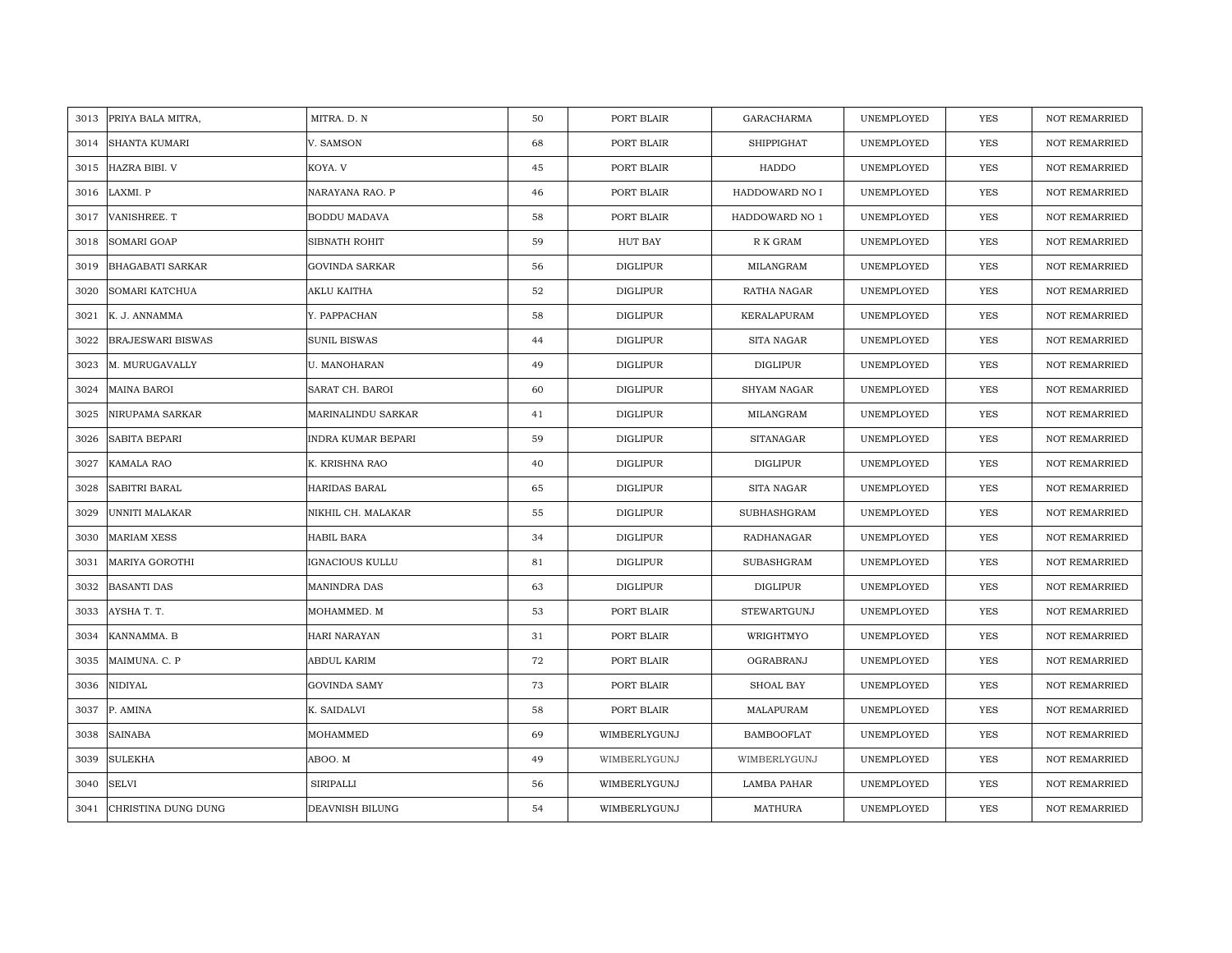| 3013 | PRIYA BALA MITRA,        | MITRA. D. N         | 50 | PORT BLAIR      | <b>GARACHARMA</b>  | UNEMPLOYED | YES        | <b>NOT REMARRIED</b> |
|------|--------------------------|---------------------|----|-----------------|--------------------|------------|------------|----------------------|
| 3014 | <b>SHANTA KUMARI</b>     | V. SAMSON           | 68 | PORT BLAIR      | SHIPPIGHAT         | UNEMPLOYED | YES        | NOT REMARRIED        |
| 3015 | HAZRA BIBI. V            | KOYA. V             | 45 | PORT BLAIR      | HADDO              | UNEMPLOYED | <b>YES</b> | <b>NOT REMARRIED</b> |
| 3016 | LAXMI. P                 | NARAYANA RAO. P     | 46 | PORT BLAIR      | HADDOWARD NO I     | UNEMPLOYED | <b>YES</b> | <b>NOT REMARRIED</b> |
| 3017 | VANISHREE. T             | <b>BODDU MADAVA</b> | 58 | PORT BLAIR      | HADDOWARD NO 1     | UNEMPLOYED | <b>YES</b> | <b>NOT REMARRIED</b> |
| 3018 | SOMARI GOAP              | SIBNATH ROHIT       | 59 | HUT BAY         | R K GRAM           | UNEMPLOYED | <b>YES</b> | <b>NOT REMARRIED</b> |
| 3019 | <b>BHAGABATI SARKAR</b>  | GOVINDA SARKAR      | 56 | <b>DIGLIPUR</b> | MILANGRAM          | UNEMPLOYED | <b>YES</b> | <b>NOT REMARRIED</b> |
| 3020 | SOMARI KATCHUA           | AKLU KAITHA         | 52 | DIGLIPUR        | RATHA NAGAR        | UNEMPLOYED | YES        | <b>NOT REMARRIED</b> |
| 3021 | K. J. ANNAMMA            | Y. PAPPACHAN        | 58 | DIGLIPUR        | KERALAPURAM        | UNEMPLOYED | YES        | NOT REMARRIED        |
| 3022 | <b>BRAJESWARI BISWAS</b> | <b>SUNIL BISWAS</b> | 44 | <b>DIGLIPUR</b> | SITA NAGAR         | UNEMPLOYED | YES        | <b>NOT REMARRIED</b> |
| 3023 | M. MURUGAVALLY           | U. MANOHARAN        | 49 | <b>DIGLIPUR</b> | DIGLIPUR           | UNEMPLOYED | YES        | <b>NOT REMARRIED</b> |
| 3024 | <b>MAINA BAROI</b>       | SARAT CH. BAROI     | 60 | <b>DIGLIPUR</b> | SHYAM NAGAR        | UNEMPLOYED | YES        | NOT REMARRIED        |
| 3025 | NIRUPAMA SARKAR          | MARINALINDU SARKAR  | 41 | <b>DIGLIPUR</b> | MILANGRAM          | UNEMPLOYED | YES        | NOT REMARRIED        |
| 3026 | <b>SABITA BEPARI</b>     | INDRA KUMAR BEPARI  | 59 | <b>DIGLIPUR</b> | <b>SITANAGAR</b>   | UNEMPLOYED | <b>YES</b> | NOT REMARRIED        |
| 3027 | KAMALA RAO               | K. KRISHNA RAO      | 40 | <b>DIGLIPUR</b> | <b>DIGLIPUR</b>    | UNEMPLOYED | YES        | <b>NOT REMARRIED</b> |
| 3028 | SABITRI BARAL            | HARIDAS BARAL       | 65 | <b>DIGLIPUR</b> | SITA NAGAR         | UNEMPLOYED | YES        | <b>NOT REMARRIED</b> |
| 3029 | UNNITI MALAKAR           | NIKHIL CH. MALAKAR  | 55 | <b>DIGLIPUR</b> | SUBHASHGRAM        | UNEMPLOYED | YES        | NOT REMARRIED        |
| 3030 | <b>MARIAM XESS</b>       | <b>HABIL BARA</b>   | 34 | <b>DIGLIPUR</b> | RADHANAGAR         | UNEMPLOYED | YES        | <b>NOT REMARRIED</b> |
| 3031 | <b>MARIYA GOROTHI</b>    | IGNACIOUS KULLU     | 81 | <b>DIGLIPUR</b> | SUBASHGRAM         | UNEMPLOYED | YES        | <b>NOT REMARRIED</b> |
| 3032 | <b>BASANTI DAS</b>       | <b>MANINDRA DAS</b> | 63 | <b>DIGLIPUR</b> | <b>DIGLIPUR</b>    | UNEMPLOYED | <b>YES</b> | <b>NOT REMARRIED</b> |
| 3033 | AYSHA T. T.              | MOHAMMED. M         | 53 | PORT BLAIR      | <b>STEWARTGUNJ</b> | UNEMPLOYED | YES        | <b>NOT REMARRIED</b> |
| 3034 | KANNAMMA. B              | HARI NARAYAN        | 31 | PORT BLAIR      | WRIGHTMYO          | UNEMPLOYED | YES        | <b>NOT REMARRIED</b> |
| 3035 | MAIMUNA. C. P            | ABDUL KARIM         | 72 | PORT BLAIR      | OGRABRANJ          | UNEMPLOYED | YES        | <b>NOT REMARRIED</b> |
| 3036 | NIDIYAL                  | <b>GOVINDA SAMY</b> | 73 | PORT BLAIR      | SHOAL BAY          | UNEMPLOYED | YES        | <b>NOT REMARRIED</b> |
| 3037 | P. AMINA                 | K. SAIDALVI         | 58 | PORT BLAIR      | MALAPURAM          | UNEMPLOYED | YES        | <b>NOT REMARRIED</b> |
| 3038 | <b>SAINABA</b>           | MOHAMMED            | 69 | WIMBERLYGUNJ    | <b>BAMBOOFLAT</b>  | UNEMPLOYED | YES        | NOT REMARRIED        |
| 3039 | <b>SULEKHA</b>           | ABOO. M             | 49 | WIMBERLYGUNJ    | WIMBERLYGUNJ       | UNEMPLOYED | YES        | <b>NOT REMARRIED</b> |
| 3040 | <b>SELVI</b>             | SIRIPALLI           | 56 | WIMBERLYGUNJ    | LAMBA PAHAR        | UNEMPLOYED | YES        | <b>NOT REMARRIED</b> |
| 3041 | CHRISTINA DUNG DUNG      | DEAVNISH BILUNG     | 54 | WIMBERLYGUNJ    | MATHURA            | UNEMPLOYED | <b>YES</b> | NOT REMARRIED        |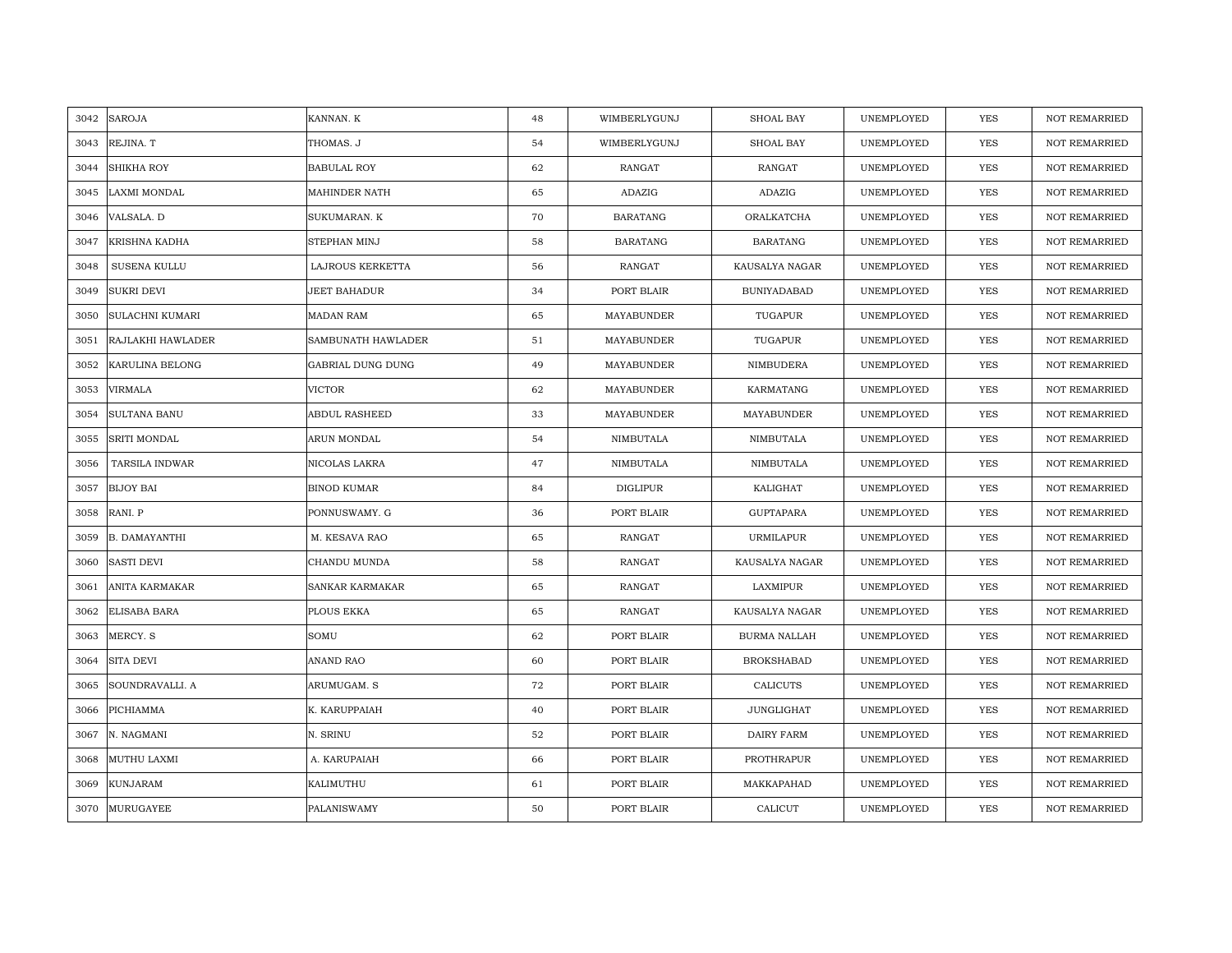| 3042 | <b>SAROJA</b>          | KANNAN. K          | 48 | WIMBERLYGUNJ    | <b>SHOAL BAY</b>    | UNEMPLOYED | YES        | <b>NOT REMARRIED</b> |
|------|------------------------|--------------------|----|-----------------|---------------------|------------|------------|----------------------|
| 3043 | REJINA. T              | THOMAS. J          | 54 | WIMBERLYGUNJ    | SHOAL BAY           | UNEMPLOYED | <b>YES</b> | <b>NOT REMARRIED</b> |
| 3044 | <b>SHIKHA ROY</b>      | <b>BABULAL ROY</b> | 62 | <b>RANGAT</b>   | <b>RANGAT</b>       | UNEMPLOYED | YES        | <b>NOT REMARRIED</b> |
| 3045 | <b>LAXMI MONDAL</b>    | MAHINDER NATH      | 65 | ADAZIG          | ADAZIG              | UNEMPLOYED | YES        | <b>NOT REMARRIED</b> |
| 3046 | VALSALA. D             | SUKUMARAN. K       | 70 | <b>BARATANG</b> | ORALKATCHA          | UNEMPLOYED | YES        | <b>NOT REMARRIED</b> |
| 3047 | KRISHNA KADHA          | STEPHAN MINJ       | 58 | <b>BARATANG</b> | <b>BARATANG</b>     | UNEMPLOYED | <b>YES</b> | <b>NOT REMARRIED</b> |
| 3048 | SUSENA KULLU           | LAJROUS KERKETTA   | 56 | RANGAT          | KAUSALYA NAGAR      | UNEMPLOYED | YES        | NOT REMARRIED        |
| 3049 | <b>SUKRI DEVI</b>      | JEET BAHADUR       | 34 | PORT BLAIR      | <b>BUNIYADABAD</b>  | UNEMPLOYED | YES        | NOT REMARRIED        |
| 3050 | <b>SULACHNI KUMARI</b> | <b>MADAN RAM</b>   | 65 | MAYABUNDER      | TUGAPUR             | UNEMPLOYED | YES        | NOT REMARRIED        |
| 3051 | RAJLAKHI HAWLADER      | SAMBUNATH HAWLADER | 51 | MAYABUNDER      | TUGAPUR             | UNEMPLOYED | YES        | NOT REMARRIED        |
| 3052 | KARULINA BELONG        | GABRIAL DUNG DUNG  | 49 | MAYABUNDER      | NIMBUDERA           | UNEMPLOYED | YES        | <b>NOT REMARRIED</b> |
| 3053 | <b>VIRMALA</b>         | <b>VICTOR</b>      | 62 | MAYABUNDER      | KARMATANG           | UNEMPLOYED | YES        | NOT REMARRIED        |
| 3054 | <b>SULTANA BANU</b>    | ABDUL RASHEED      | 33 | MAYABUNDER      | MAYABUNDER          | UNEMPLOYED | YES        | NOT REMARRIED        |
| 3055 | SRITI MONDAL           | ARUN MONDAL        | 54 | NIMBUTALA       | NIMBUTALA           | UNEMPLOYED | YES        | <b>NOT REMARRIED</b> |
| 3056 | TARSILA INDWAR         | NICOLAS LAKRA      | 47 | NIMBUTALA       | NIMBUTALA           | UNEMPLOYED | YES        | NOT REMARRIED        |
| 3057 | <b>BIJOY BAI</b>       | <b>BINOD KUMAR</b> | 84 | <b>DIGLIPUR</b> | KALIGHAT            | UNEMPLOYED | <b>YES</b> | <b>NOT REMARRIED</b> |
| 3058 | RANI. P                | PONNUSWAMY. G      | 36 | PORT BLAIR      | <b>GUPTAPARA</b>    | UNEMPLOYED | YES        | <b>NOT REMARRIED</b> |
| 3059 | <b>B. DAMAYANTHI</b>   | M. KESAVA RAO      | 65 | RANGAT          | <b>URMILAPUR</b>    | UNEMPLOYED | YES        | NOT REMARRIED        |
| 3060 | <b>SASTI DEVI</b>      | CHANDU MUNDA       | 58 | RANGAT          | KAUSALYA NAGAR      | UNEMPLOYED | YES        | NOT REMARRIED        |
| 3061 | ANITA KARMAKAR         | SANKAR KARMAKAR    | 65 | RANGAT          | LAXMIPUR            | UNEMPLOYED | YES        | <b>NOT REMARRIED</b> |
| 3062 | <b>ELISABA BARA</b>    | PLOUS EKKA         | 65 | RANGAT          | KAUSALYA NAGAR      | UNEMPLOYED | YES        | <b>NOT REMARRIED</b> |
| 3063 | MERCY. S               | SOMU               | 62 | PORT BLAIR      | <b>BURMA NALLAH</b> | UNEMPLOYED | YES        | <b>NOT REMARRIED</b> |
| 3064 | <b>SITA DEVI</b>       | ANAND RAO          | 60 | PORT BLAIR      | <b>BROKSHABAD</b>   | UNEMPLOYED | YES        | <b>NOT REMARRIED</b> |
| 3065 | SOUNDRAVALLI. A        | ARUMUGAM. S        | 72 | PORT BLAIR      | <b>CALICUTS</b>     | UNEMPLOYED | YES        | NOT REMARRIED        |
| 3066 | PICHIAMMA              | K. KARUPPAIAH      | 40 | PORT BLAIR      | JUNGLIGHAT          | UNEMPLOYED | YES        | NOT REMARRIED        |
| 3067 | N. NAGMANI             | N. SRINU           | 52 | PORT BLAIR      | DAIRY FARM          | UNEMPLOYED | <b>YES</b> | <b>NOT REMARRIED</b> |
| 3068 | MUTHU LAXMI            | A. KARUPAIAH       | 66 | PORT BLAIR      | PROTHRAPUR          | UNEMPLOYED | YES        | NOT REMARRIED        |
| 3069 | <b>KUNJARAM</b>        | KALIMUTHU          | 61 | PORT BLAIR      | MAKKAPAHAD          | UNEMPLOYED | YES        | <b>NOT REMARRIED</b> |
| 3070 | <b>MURUGAYEE</b>       | PALANISWAMY        | 50 | PORT BLAIR      | CALICUT             | UNEMPLOYED | <b>YES</b> | <b>NOT REMARRIED</b> |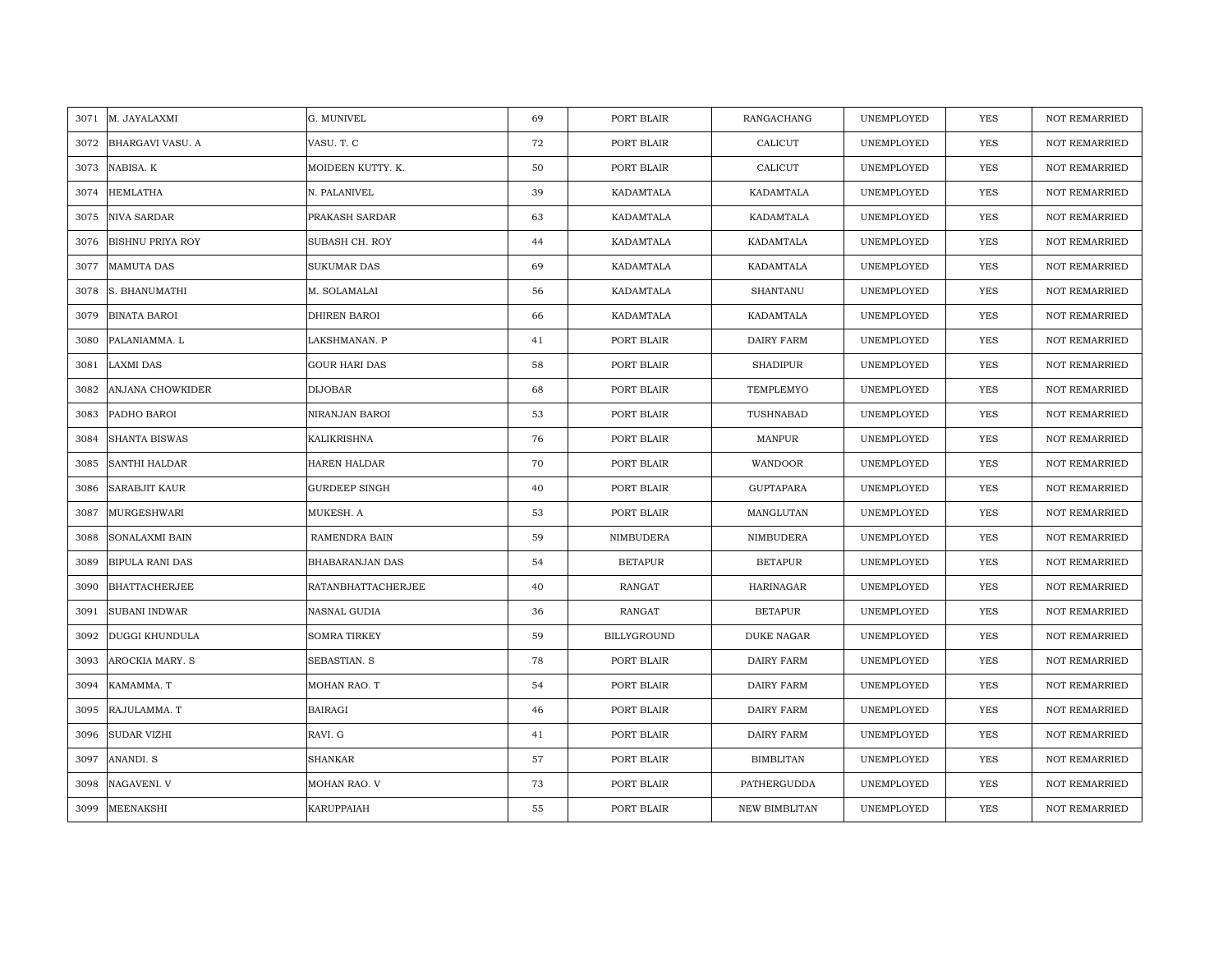|      | 3071 M. JAYALAXMI       | G. MUNIVEL             | 69 | PORT BLAIR     | RANGACHANG           | UNEMPLOYED | YES        | <b>NOT REMARRIED</b> |
|------|-------------------------|------------------------|----|----------------|----------------------|------------|------------|----------------------|
| 3072 | <b>BHARGAVI VASU. A</b> | VASU. T. C             | 72 | PORT BLAIR     | CALICUT              | UNEMPLOYED | <b>YES</b> | <b>NOT REMARRIED</b> |
| 3073 | NABISA. K               | MOIDEEN KUTTY. K.      | 50 | PORT BLAIR     | CALICUT              | UNEMPLOYED | <b>YES</b> | <b>NOT REMARRIED</b> |
| 3074 | <b>HEMLATHA</b>         | N. PALANIVEL           | 39 | KADAMTALA      | KADAMTALA            | UNEMPLOYED | <b>YES</b> | <b>NOT REMARRIED</b> |
| 3075 | <b>NIVA SARDAR</b>      | PRAKASH SARDAR         | 63 | KADAMTALA      | KADAMTALA            | UNEMPLOYED | YES        | <b>NOT REMARRIED</b> |
| 3076 | <b>BISHNU PRIYA ROY</b> | SUBASH CH. ROY         | 44 | KADAMTALA      | KADAMTALA            | UNEMPLOYED | <b>YES</b> | <b>NOT REMARRIED</b> |
| 3077 | <b>MAMUTA DAS</b>       | SUKUMAR DAS            | 69 | KADAMTALA      | KADAMTALA            | UNEMPLOYED | YES        | NOT REMARRIED        |
| 3078 | S. BHANUMATHI           | M. SOLAMALAI           | 56 | KADAMTALA      | <b>SHANTANU</b>      | UNEMPLOYED | <b>YES</b> | <b>NOT REMARRIED</b> |
| 3079 | <b>BINATA BAROI</b>     | DHIREN BAROI           | 66 | KADAMTALA      | KADAMTALA            | UNEMPLOYED | YES        | <b>NOT REMARRIED</b> |
| 3080 | PALANIAMMA. L           | LAKSHMANAN. P          | 41 | PORT BLAIR     | DAIRY FARM           | UNEMPLOYED | YES        | <b>NOT REMARRIED</b> |
| 3081 | <b>LAXMI DAS</b>        | <b>GOUR HARI DAS</b>   | 58 | PORT BLAIR     | <b>SHADIPUR</b>      | UNEMPLOYED | <b>YES</b> | <b>NOT REMARRIED</b> |
| 3082 | ANJANA CHOWKIDER        | <b>DIJOBAR</b>         | 68 | PORT BLAIR     | TEMPLEMYO            | UNEMPLOYED | <b>YES</b> | <b>NOT REMARRIED</b> |
| 3083 | PADHO BAROI             | NIRANJAN BAROI         | 53 | PORT BLAIR     | TUSHNABAD            | UNEMPLOYED | <b>YES</b> | <b>NOT REMARRIED</b> |
| 3084 | <b>SHANTA BISWAS</b>    | KALIKRISHNA            | 76 | PORT BLAIR     | MANPUR               | UNEMPLOYED | YES        | <b>NOT REMARRIED</b> |
| 3085 | <b>SANTHI HALDAR</b>    | HAREN HALDAR           | 70 | PORT BLAIR     | WANDOOR              | UNEMPLOYED | <b>YES</b> | NOT REMARRIED        |
| 3086 | SARABJIT KAUR           | <b>GURDEEP SINGH</b>   | 40 | PORT BLAIR     | <b>GUPTAPARA</b>     | UNEMPLOYED | <b>YES</b> | <b>NOT REMARRIED</b> |
| 3087 | <b>MURGESHWARI</b>      | MUKESH. A              | 53 | PORT BLAIR     | MANGLUTAN            | UNEMPLOYED | <b>YES</b> | <b>NOT REMARRIED</b> |
| 3088 | SONALAXMI BAIN          | RAMENDRA BAIN          | 59 | NIMBUDERA      | NIMBUDERA            | UNEMPLOYED | <b>YES</b> | <b>NOT REMARRIED</b> |
| 3089 | <b>BIPULA RANI DAS</b>  | <b>BHABARANJAN DAS</b> | 54 | <b>BETAPUR</b> | <b>BETAPUR</b>       | UNEMPLOYED | <b>YES</b> | <b>NOT REMARRIED</b> |
| 3090 | <b>BHATTACHERJEE</b>    | RATANBHATTACHERJEE     | 40 | RANGAT         | HARINAGAR            | UNEMPLOYED | YES        | <b>NOT REMARRIED</b> |
| 3091 | <b>SUBANI INDWAR</b>    | NASNAL GUDIA           | 36 | RANGAT         | <b>BETAPUR</b>       | UNEMPLOYED | YES        | <b>NOT REMARRIED</b> |
| 3092 | <b>DUGGI KHUNDULA</b>   | <b>SOMRA TIRKEY</b>    | 59 | BILLYGROUND    | <b>DUKE NAGAR</b>    | UNEMPLOYED | YES        | <b>NOT REMARRIED</b> |
| 3093 | AROCKIA MARY. S         | SEBASTIAN. S           | 78 | PORT BLAIR     | DAIRY FARM           | UNEMPLOYED | <b>YES</b> | <b>NOT REMARRIED</b> |
| 3094 | KAMAMMA. T              | MOHAN RAO. T           | 54 | PORT BLAIR     | DAIRY FARM           | UNEMPLOYED | <b>YES</b> | <b>NOT REMARRIED</b> |
| 3095 | RAJULAMMA. T            | <b>BAIRAGI</b>         | 46 | PORT BLAIR     | DAIRY FARM           | UNEMPLOYED | YES        | <b>NOT REMARRIED</b> |
| 3096 | <b>SUDAR VIZHI</b>      | RAVI. G                | 41 | PORT BLAIR     | DAIRY FARM           | UNEMPLOYED | <b>YES</b> | <b>NOT REMARRIED</b> |
| 3097 | ANANDI. S               | SHANKAR                | 57 | PORT BLAIR     | <b>BIMBLITAN</b>     | UNEMPLOYED | YES        | <b>NOT REMARRIED</b> |
| 3098 | NAGAVENI. V             | MOHAN RAO. V           | 73 | PORT BLAIR     | PATHERGUDDA          | UNEMPLOYED | YES        | <b>NOT REMARRIED</b> |
| 3099 | <b>MEENAKSHI</b>        | KARUPPAIAH             | 55 | PORT BLAIR     | <b>NEW BIMBLITAN</b> | UNEMPLOYED | YES        | <b>NOT REMARRIED</b> |
|      |                         |                        |    |                |                      |            |            |                      |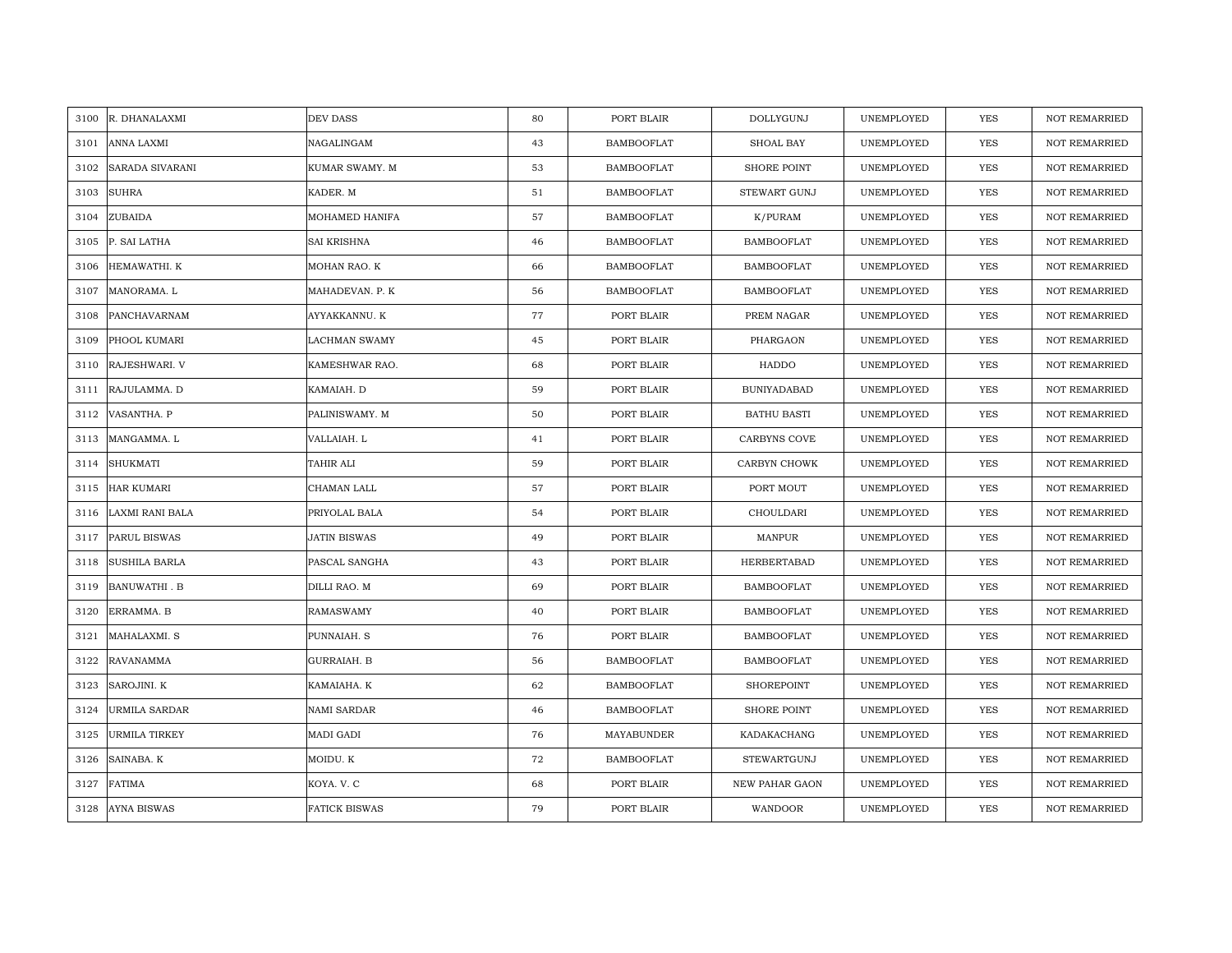| 3100 | R. DHANALAXMI          | DEV DASS             | 80 | PORT BLAIR        | <b>DOLLYGUNJ</b>      | UNEMPLOYED | YES        | <b>NOT REMARRIED</b> |
|------|------------------------|----------------------|----|-------------------|-----------------------|------------|------------|----------------------|
| 3101 | <b>ANNA LAXMI</b>      | NAGALINGAM           | 43 | <b>BAMBOOFLAT</b> | SHOAL BAY             | UNEMPLOYED | YES        | NOT REMARRIED        |
| 3102 | <b>SARADA SIVARANI</b> | KUMAR SWAMY. M       | 53 | <b>BAMBOOFLAT</b> | <b>SHORE POINT</b>    | UNEMPLOYED | <b>YES</b> | <b>NOT REMARRIED</b> |
| 3103 | <b>SUHRA</b>           | KADER. M             | 51 | <b>BAMBOOFLAT</b> | STEWART GUNJ          | UNEMPLOYED | YES        | <b>NOT REMARRIED</b> |
| 3104 | ZUBAIDA                | MOHAMED HANIFA       | 57 | <b>BAMBOOFLAT</b> | K/PURAM               | UNEMPLOYED | YES        | <b>NOT REMARRIED</b> |
| 3105 | P. SAI LATHA           | <b>SAI KRISHNA</b>   | 46 | <b>BAMBOOFLAT</b> | <b>BAMBOOFLAT</b>     | UNEMPLOYED | YES        | <b>NOT REMARRIED</b> |
| 3106 | HEMAWATHI, K           | MOHAN RAO. K         | 66 | <b>BAMBOOFLAT</b> | <b>BAMBOOFLAT</b>     | UNEMPLOYED | <b>YES</b> | <b>NOT REMARRIED</b> |
| 3107 | MANORAMA. L            | MAHADEVAN. P. K      | 56 | <b>BAMBOOFLAT</b> | <b>BAMBOOFLAT</b>     | UNEMPLOYED | YES        | <b>NOT REMARRIED</b> |
| 3108 | PANCHAVARNAM           | AYYAKKANNU. K        | 77 | PORT BLAIR        | PREM NAGAR            | UNEMPLOYED | YES        | NOT REMARRIED        |
| 3109 | PHOOL KUMARI           | <b>LACHMAN SWAMY</b> | 45 | PORT BLAIR        | PHARGAON              | UNEMPLOYED | YES        | NOT REMARRIED        |
| 3110 | RAJESHWARI. V          | KAMESHWAR RAO.       | 68 | PORT BLAIR        | HADDO                 | UNEMPLOYED | <b>YES</b> | <b>NOT REMARRIED</b> |
| 3111 | RAJULAMMA. D           | KAMAIAH. D           | 59 | PORT BLAIR        | <b>BUNIYADABAD</b>    | UNEMPLOYED | <b>YES</b> | <b>NOT REMARRIED</b> |
| 3112 | VASANTHA. P            | PALINISWAMY. M       | 50 | PORT BLAIR        | <b>BATHU BASTI</b>    | UNEMPLOYED | YES        | <b>NOT REMARRIED</b> |
| 3113 | MANGAMMA. L            | VALLAIAH. L          | 41 | PORT BLAIR        | CARBYNS COVE          | UNEMPLOYED | <b>YES</b> | <b>NOT REMARRIED</b> |
| 3114 | SHUKMATI               | TAHIR ALI            | 59 | PORT BLAIR        | CARBYN CHOWK          | UNEMPLOYED | YES        | <b>NOT REMARRIED</b> |
| 3115 | <b>HAR KUMARI</b>      | CHAMAN LALL          | 57 | PORT BLAIR        | PORT MOUT             | UNEMPLOYED | YES        | <b>NOT REMARRIED</b> |
| 3116 | <b>LAXMI RANI BALA</b> | PRIYOLAL BALA        | 54 | PORT BLAIR        | CHOULDARI             | UNEMPLOYED | <b>YES</b> | <b>NOT REMARRIED</b> |
| 3117 | <b>PARUL BISWAS</b>    | <b>JATIN BISWAS</b>  | 49 | PORT BLAIR        | MANPUR                | UNEMPLOYED | <b>YES</b> | <b>NOT REMARRIED</b> |
| 3118 | <b>SUSHILA BARLA</b>   | PASCAL SANGHA        | 43 | PORT BLAIR        | <b>HERBERTABAD</b>    | UNEMPLOYED | <b>YES</b> | <b>NOT REMARRIED</b> |
| 3119 | <b>BANUWATHI . B</b>   | DILLI RAO. M         | 69 | PORT BLAIR        | <b>BAMBOOFLAT</b>     | UNEMPLOYED | YES        | <b>NOT REMARRIED</b> |
| 3120 | ERRAMMA. B             | <b>RAMASWAMY</b>     | 40 | PORT BLAIR        | BAMBOOFLAT            | UNEMPLOYED | YES        | <b>NOT REMARRIED</b> |
| 3121 | MAHALAXMI. S           | PUNNAIAH. S          | 76 | PORT BLAIR        | <b>BAMBOOFLAT</b>     | UNEMPLOYED | YES        | NOT REMARRIED        |
| 3122 | <b>RAVANAMMA</b>       | GURRAIAH. B          | 56 | <b>BAMBOOFLAT</b> | <b>BAMBOOFLAT</b>     | UNEMPLOYED | YES        | <b>NOT REMARRIED</b> |
| 3123 | SAROJINI. K            | KAMAIAHA. K          | 62 | <b>BAMBOOFLAT</b> | SHOREPOINT            | UNEMPLOYED | YES        | NOT REMARRIED        |
| 3124 | <b>URMILA SARDAR</b>   | <b>NAMI SARDAR</b>   | 46 | <b>BAMBOOFLAT</b> | SHORE POINT           | UNEMPLOYED | <b>YES</b> | <b>NOT REMARRIED</b> |
| 3125 | <b>URMILA TIRKEY</b>   | MADI GADI            | 76 | MAYABUNDER        | KADAKACHANG           | UNEMPLOYED | YES        | NOT REMARRIED        |
| 3126 | SAINABA. K             | MOIDU. K             | 72 | <b>BAMBOOFLAT</b> | STEWARTGUNJ           | UNEMPLOYED | YES        | <b>NOT REMARRIED</b> |
| 3127 | <b>FATIMA</b>          | KOYA. V. C           | 68 | PORT BLAIR        | <b>NEW PAHAR GAON</b> | UNEMPLOYED | YES        | <b>NOT REMARRIED</b> |
| 3128 | <b>AYNA BISWAS</b>     | <b>FATICK BISWAS</b> | 79 | PORT BLAIR        | WANDOOR               | UNEMPLOYED | YES        | NOT REMARRIED        |
|      |                        |                      |    |                   |                       |            |            |                      |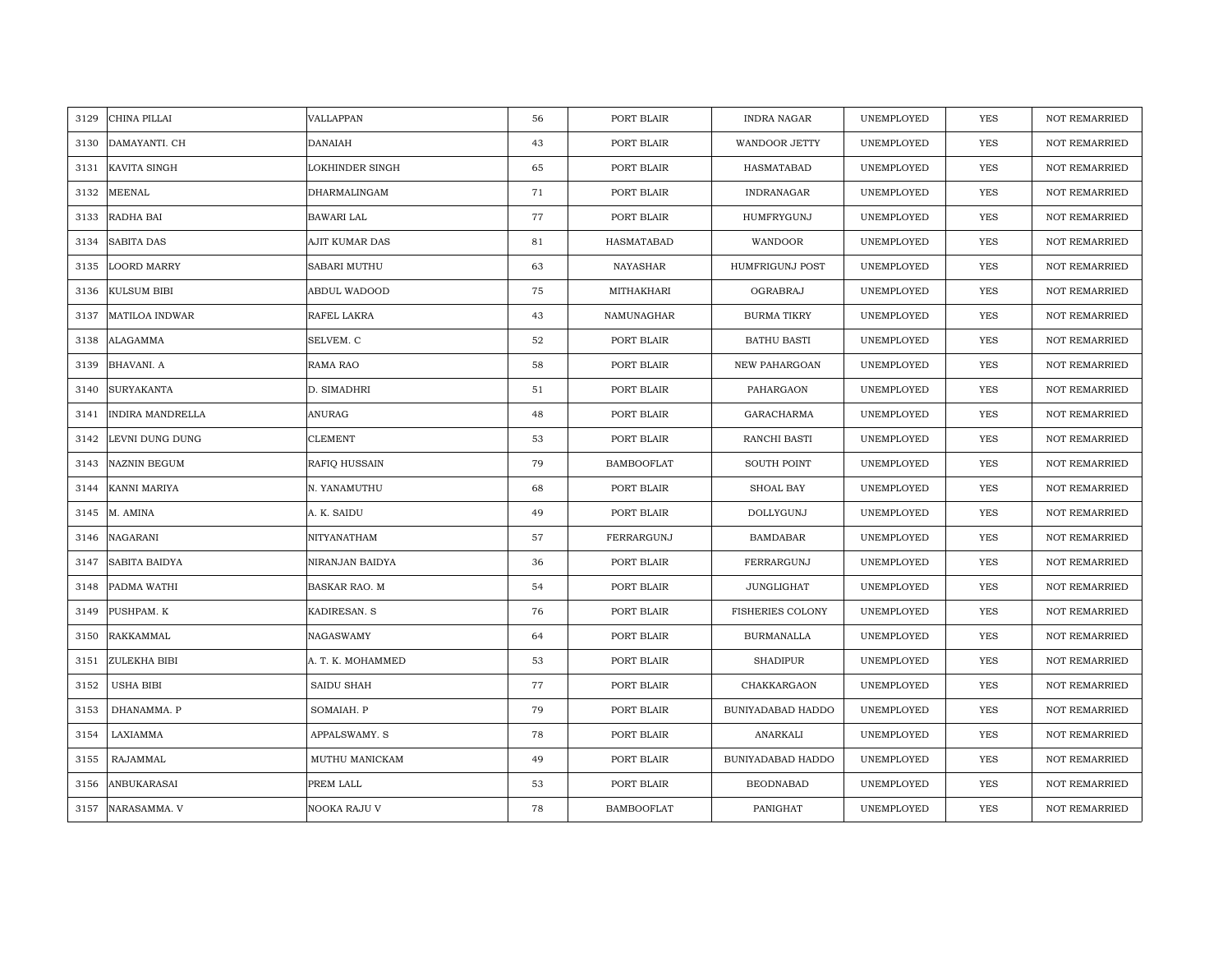| 3129 | CHINA PILLAI            | VALLAPPAN              | 56 | PORT BLAIR        | <b>INDRA NAGAR</b>     | UNEMPLOYED | <b>YES</b> | <b>NOT REMARRIED</b> |
|------|-------------------------|------------------------|----|-------------------|------------------------|------------|------------|----------------------|
| 3130 | DAMAYANTI. CH           | <b>DANAIAH</b>         | 43 | PORT BLAIR        | <b>WANDOOR JETTY</b>   | UNEMPLOYED | <b>YES</b> | NOT REMARRIED        |
| 3131 | KAVITA SINGH            | <b>LOKHINDER SINGH</b> | 65 | PORT BLAIR        | HASMATABAD             | UNEMPLOYED | YES        | <b>NOT REMARRIED</b> |
| 3132 | <b>MEENAL</b>           | DHARMALINGAM           | 71 | PORT BLAIR        | INDRANAGAR             | UNEMPLOYED | <b>YES</b> | <b>NOT REMARRIED</b> |
| 3133 | RADHA BAI               | <b>BAWARI LAL</b>      | 77 | PORT BLAIR        | HUMFRYGUNJ             | UNEMPLOYED | YES        | <b>NOT REMARRIED</b> |
| 3134 | <b>SABITA DAS</b>       | AJIT KUMAR DAS         | 81 | HASMATABAD        | WANDOOR                | UNEMPLOYED | YES        | <b>NOT REMARRIED</b> |
| 3135 | <b>LOORD MARRY</b>      | SABARI MUTHU           | 63 | <b>NAYASHAR</b>   | <b>HUMFRIGUNJ POST</b> | UNEMPLOYED | YES        | <b>NOT REMARRIED</b> |
| 3136 | <b>KULSUM BIBI</b>      | ABDUL WADOOD           | 75 | MITHAKHARI        | OGRABRAJ               | UNEMPLOYED | YES        | NOT REMARRIED        |
| 3137 | MATILOA INDWAR          | RAFEL LAKRA            | 43 | NAMUNAGHAR        | <b>BURMA TIKRY</b>     | UNEMPLOYED | YES        | NOT REMARRIED        |
| 3138 | <b>ALAGAMMA</b>         | SELVEM. C              | 52 | PORT BLAIR        | <b>BATHU BASTI</b>     | UNEMPLOYED | YES        | <b>NOT REMARRIED</b> |
| 3139 | <b>BHAVANI. A</b>       | RAMA RAO               | 58 | PORT BLAIR        | NEW PAHARGOAN          | UNEMPLOYED | YES        | <b>NOT REMARRIED</b> |
| 3140 | <b>SURYAKANTA</b>       | D. SIMADHRI            | 51 | PORT BLAIR        | PAHARGAON              | UNEMPLOYED | YES        | NOT REMARRIED        |
| 3141 | <b>INDIRA MANDRELLA</b> | <b>ANURAG</b>          | 48 | PORT BLAIR        | GARACHARMA             | UNEMPLOYED | YES        | NOT REMARRIED        |
| 3142 | LEVNI DUNG DUNG         | <b>CLEMENT</b>         | 53 | PORT BLAIR        | RANCHI BASTI           | UNEMPLOYED | <b>YES</b> | <b>NOT REMARRIED</b> |
| 3143 | NAZNIN BEGUM            | RAFIQ HUSSAIN          | 79 | <b>BAMBOOFLAT</b> | <b>SOUTH POINT</b>     | UNEMPLOYED | YES        | NOT REMARRIED        |
| 3144 | KANNI MARIYA            | N. YANAMUTHU           | 68 | PORT BLAIR        | SHOAL BAY              | UNEMPLOYED | YES        | <b>NOT REMARRIED</b> |
| 3145 | M. AMINA                | A. K. SAIDU            | 49 | PORT BLAIR        | <b>DOLLYGUNJ</b>       | UNEMPLOYED | YES        | <b>NOT REMARRIED</b> |
| 3146 | <b>NAGARANI</b>         | NITYANATHAM            | 57 | FERRARGUNJ        | <b>BAMDABAR</b>        | UNEMPLOYED | YES        | <b>NOT REMARRIED</b> |
| 3147 | <b>SABITA BAIDYA</b>    | NIRANJAN BAIDYA        | 36 | PORT BLAIR        | FERRARGUNJ             | UNEMPLOYED | <b>YES</b> | NOT REMARRIED        |
| 3148 | PADMA WATHI             | BASKAR RAO. M          | 54 | PORT BLAIR        | JUNGLIGHAT             | UNEMPLOYED | <b>YES</b> | <b>NOT REMARRIED</b> |
| 3149 | PUSHPAM. K              | KADIRESAN. S           | 76 | PORT BLAIR        | FISHERIES COLONY       | UNEMPLOYED | YES        | <b>NOT REMARRIED</b> |
| 3150 | RAKKAMMAL               | NAGASWAMY              | 64 | PORT BLAIR        | <b>BURMANALLA</b>      | UNEMPLOYED | YES        | NOT REMARRIED        |
| 3151 | <b>ZULEKHA BIBI</b>     | A. T. K. MOHAMMED      | 53 | PORT BLAIR        | <b>SHADIPUR</b>        | UNEMPLOYED | <b>YES</b> | <b>NOT REMARRIED</b> |
| 3152 | USHA BIBI               | SAIDU SHAH             | 77 | PORT BLAIR        | CHAKKARGAON            | UNEMPLOYED | YES        | <b>NOT REMARRIED</b> |
| 3153 | DHANAMMA. P             | SOMAIAH. P             | 79 | PORT BLAIR        | BUNIYADABAD HADDO      | UNEMPLOYED | YES        | <b>NOT REMARRIED</b> |
| 3154 | LAXIAMMA                | APPALSWAMY. S          | 78 | PORT BLAIR        | ANARKALI               | UNEMPLOYED | YES        | NOT REMARRIED        |
| 3155 | RAJAMMAL                | MUTHU MANICKAM         | 49 | PORT BLAIR        | BUNIYADABAD HADDO      | UNEMPLOYED | YES        | <b>NOT REMARRIED</b> |
| 3156 | <b>ANBUKARASAI</b>      | PREM LALL              | 53 | PORT BLAIR        | <b>BEODNABAD</b>       | UNEMPLOYED | YES        | <b>NOT REMARRIED</b> |
| 3157 | NARASAMMA. V            | NOOKA RAJU V           | 78 | <b>BAMBOOFLAT</b> | PANIGHAT               | UNEMPLOYED | <b>YES</b> | <b>NOT REMARRIED</b> |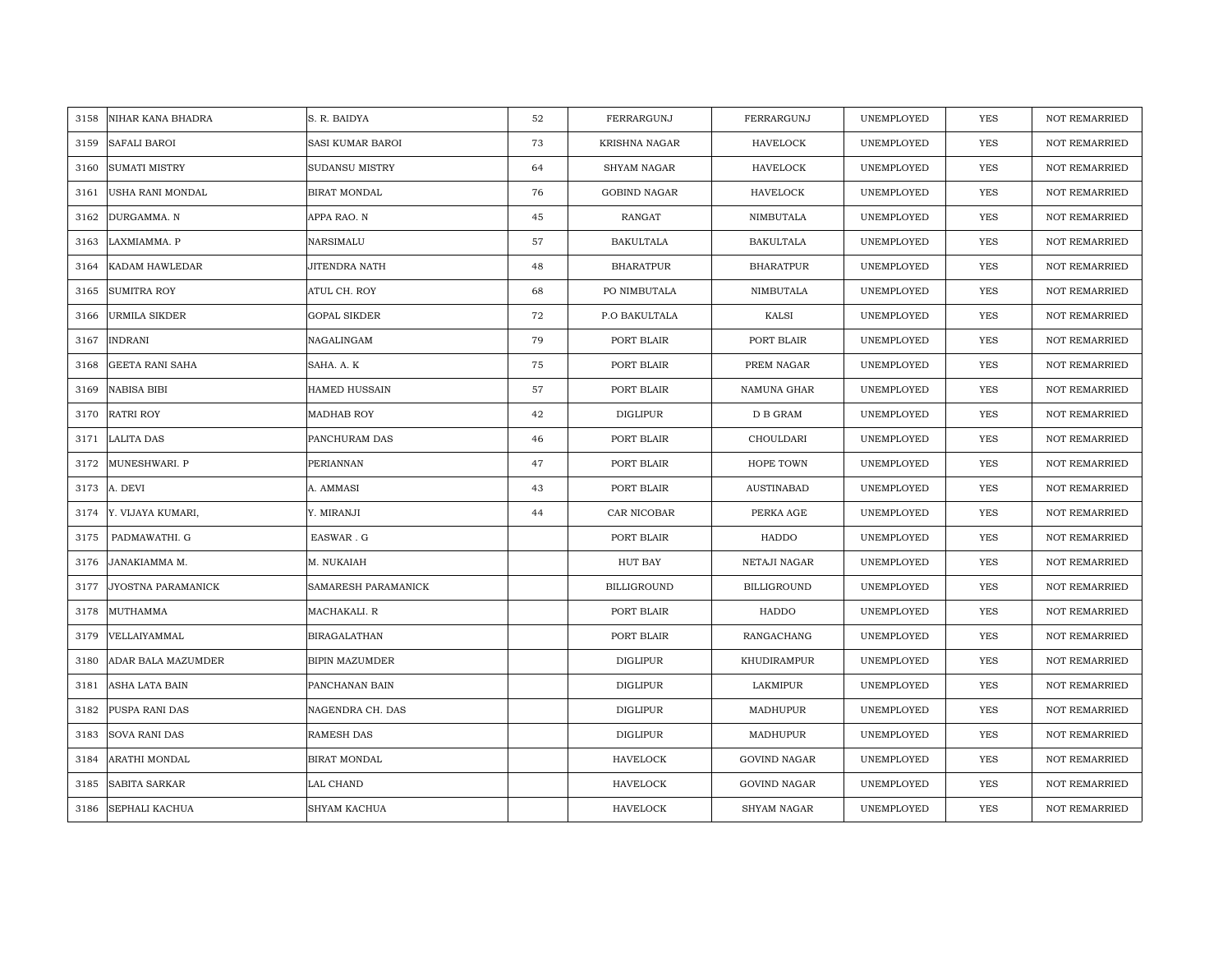| 3158 | NIHAR KANA BHADRA      | S. R. BAIDYA            | 52 | FERRARGUNJ         | FERRARGUNJ          | UNEMPLOYED | <b>YES</b> | <b>NOT REMARRIED</b> |
|------|------------------------|-------------------------|----|--------------------|---------------------|------------|------------|----------------------|
| 3159 | SAFALI BAROI           | <b>SASI KUMAR BAROI</b> | 73 | KRISHNA NAGAR      | HAVELOCK            | UNEMPLOYED | <b>YES</b> | NOT REMARRIED        |
| 3160 | <b>SUMATI MISTRY</b>   | SUDANSU MISTRY          | 64 | <b>SHYAM NAGAR</b> | <b>HAVELOCK</b>     | UNEMPLOYED | <b>YES</b> | <b>NOT REMARRIED</b> |
| 3161 | USHA RANI MONDAL       | <b>BIRAT MONDAL</b>     | 76 | GOBIND NAGAR       | <b>HAVELOCK</b>     | UNEMPLOYED | <b>YES</b> | NOT REMARRIED        |
| 3162 | DURGAMMA. N            | APPA RAO. N             | 45 | RANGAT             | NIMBUTALA           | UNEMPLOYED | <b>YES</b> | <b>NOT REMARRIED</b> |
| 3163 | LAXMIAMMA. P           | NARSIMALU               | 57 | <b>BAKULTALA</b>   | <b>BAKULTALA</b>    | UNEMPLOYED | <b>YES</b> | <b>NOT REMARRIED</b> |
| 3164 | KADAM HAWLEDAR         | <b>JITENDRA NATH</b>    | 48 | <b>BHARATPUR</b>   | <b>BHARATPUR</b>    | UNEMPLOYED | YES        | <b>NOT REMARRIED</b> |
| 3165 | <b>SUMITRA ROY</b>     | ATUL CH. ROY            | 68 | PO NIMBUTALA       | NIMBUTALA           | UNEMPLOYED | YES        | <b>NOT REMARRIED</b> |
| 3166 | URMILA SIKDER          | <b>GOPAL SIKDER</b>     | 72 | P.O BAKULTALA      | KALSI               | UNEMPLOYED | YES        | NOT REMARRIED        |
| 3167 | <b>INDRANI</b>         | NAGALINGAM              | 79 | PORT BLAIR         | PORT BLAIR          | UNEMPLOYED | <b>YES</b> | <b>NOT REMARRIED</b> |
| 3168 | <b>GEETA RANI SAHA</b> | SAHA. A. K              | 75 | PORT BLAIR         | PREM NAGAR          | UNEMPLOYED | YES        | <b>NOT REMARRIED</b> |
| 3169 | <b>NABISA BIBI</b>     | HAMED HUSSAIN           | 57 | PORT BLAIR         | NAMUNA GHAR         | UNEMPLOYED | YES        | <b>NOT REMARRIED</b> |
| 3170 | <b>RATRI ROY</b>       | MADHAB ROY              | 42 | <b>DIGLIPUR</b>    | D B GRAM            | UNEMPLOYED | <b>YES</b> | NOT REMARRIED        |
| 3171 | <b>LALITA DAS</b>      | PANCHURAM DAS           | 46 | PORT BLAIR         | CHOULDARI           | UNEMPLOYED | <b>YES</b> | <b>NOT REMARRIED</b> |
| 3172 | MUNESHWARI. P          | PERIANNAN               | 47 | PORT BLAIR         | HOPE TOWN           | UNEMPLOYED | YES        | NOT REMARRIED        |
| 3173 | A. DEVI                | A. AMMASI               | 43 | PORT BLAIR         | <b>AUSTINABAD</b>   | UNEMPLOYED | YES        | <b>NOT REMARRIED</b> |
| 3174 | Y. VIJAYA KUMARI,      | Y. MIRANJI              | 44 | CAR NICOBAR        | PERKA AGE           | UNEMPLOYED | <b>YES</b> | <b>NOT REMARRIED</b> |
| 3175 | PADMAWATHI. G          | EASWAR.G                |    | PORT BLAIR         | HADDO               | UNEMPLOYED | <b>YES</b> | <b>NOT REMARRIED</b> |
| 3176 | JANAKIAMMA M.          | M. NUKAIAH              |    | HUT BAY            | NETAJI NAGAR        | UNEMPLOYED | <b>YES</b> | <b>NOT REMARRIED</b> |
| 3177 | JYOSTNA PARAMANICK     | SAMARESH PARAMANICK     |    | <b>BILLIGROUND</b> | <b>BILLIGROUND</b>  | UNEMPLOYED | <b>YES</b> | <b>NOT REMARRIED</b> |
| 3178 | MUTHAMMA               | MACHAKALI, R            |    | PORT BLAIR         | HADDO               | UNEMPLOYED | <b>YES</b> | <b>NOT REMARRIED</b> |
| 3179 | VELLAIYAMMAL           | BIRAGALATHAN            |    | PORT BLAIR         | RANGACHANG          | UNEMPLOYED | YES        | NOT REMARRIED        |
| 3180 | ADAR BALA MAZUMDER     | <b>BIPIN MAZUMDER</b>   |    | <b>DIGLIPUR</b>    | KHUDIRAMPUR         | UNEMPLOYED | YES        | <b>NOT REMARRIED</b> |
| 3181 | ASHA LATA BAIN         | PANCHANAN BAIN          |    | <b>DIGLIPUR</b>    | LAKMIPUR            | UNEMPLOYED | YES        | <b>NOT REMARRIED</b> |
| 3182 | PUSPA RANI DAS         | NAGENDRA CH. DAS        |    | <b>DIGLIPUR</b>    | MADHUPUR            | UNEMPLOYED | YES        | <b>NOT REMARRIED</b> |
| 3183 | <b>SOVA RANI DAS</b>   | RAMESH DAS              |    | <b>DIGLIPUR</b>    | MADHUPUR            | UNEMPLOYED | YES        | NOT REMARRIED        |
| 3184 | ARATHI MONDAL          | <b>BIRAT MONDAL</b>     |    | <b>HAVELOCK</b>    | <b>GOVIND NAGAR</b> | UNEMPLOYED | YES        | <b>NOT REMARRIED</b> |
| 3185 | <b>SABITA SARKAR</b>   | LAL CHAND               |    | <b>HAVELOCK</b>    | <b>GOVIND NAGAR</b> | UNEMPLOYED | <b>YES</b> | <b>NOT REMARRIED</b> |
| 3186 | <b>SEPHALI KACHUA</b>  | <b>SHYAM KACHUA</b>     |    | <b>HAVELOCK</b>    | <b>SHYAM NAGAR</b>  | UNEMPLOYED | <b>YES</b> | <b>NOT REMARRIED</b> |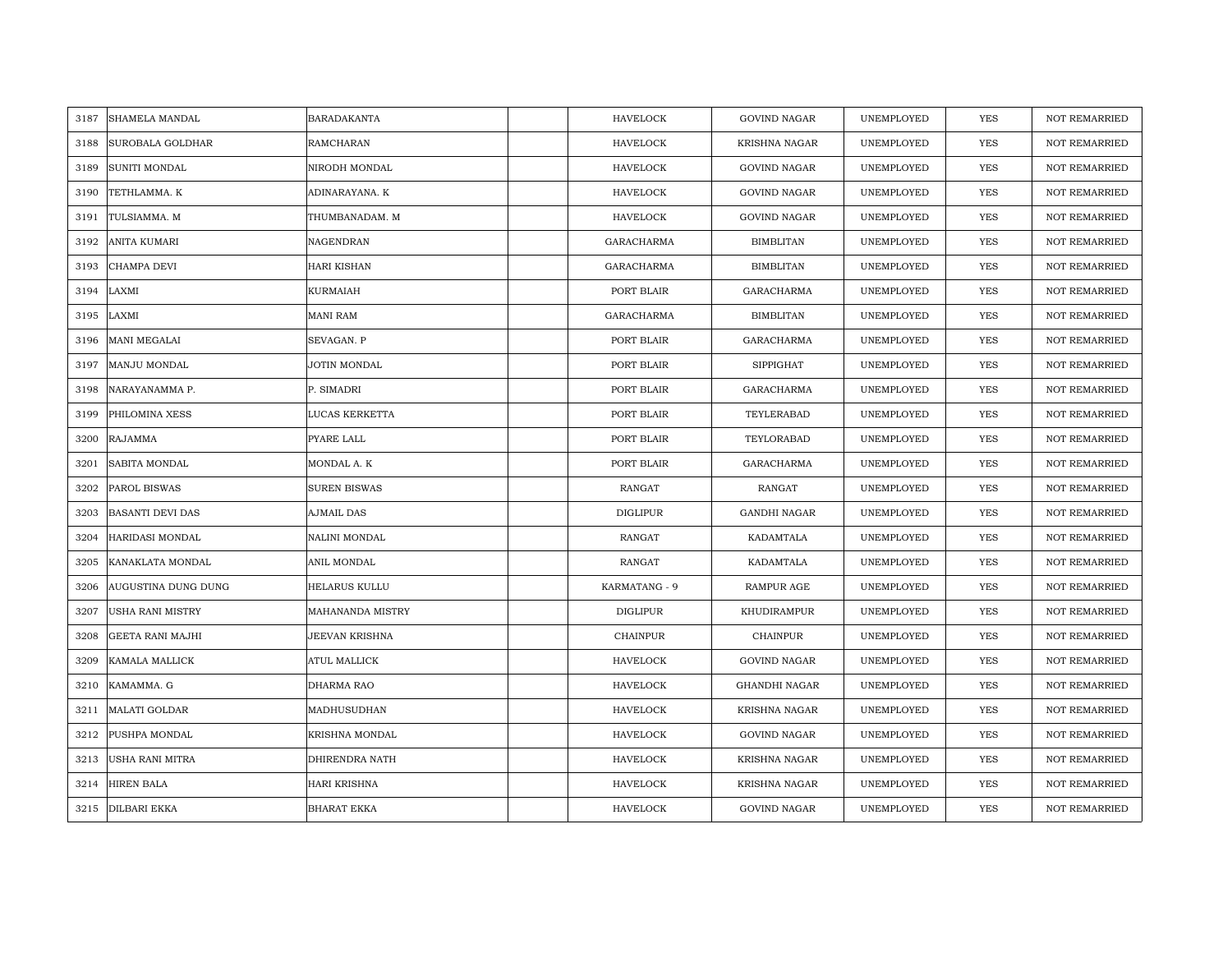| 3187 | SHAMELA MANDAL          | BARADAKANTA         | <b>HAVELOCK</b>   | <b>GOVIND NAGAR</b>  | UNEMPLOYED | YES        | <b>NOT REMARRIED</b> |
|------|-------------------------|---------------------|-------------------|----------------------|------------|------------|----------------------|
| 3188 | SUROBALA GOLDHAR        | RAMCHARAN           | <b>HAVELOCK</b>   | <b>KRISHNA NAGAR</b> | UNEMPLOYED | YES        | <b>NOT REMARRIED</b> |
| 3189 | <b>SUNITI MONDAL</b>    | NIRODH MONDAL       | <b>HAVELOCK</b>   | <b>GOVIND NAGAR</b>  | UNEMPLOYED | <b>YES</b> | <b>NOT REMARRIED</b> |
| 3190 | TETHLAMMA. K            | ADINARAYANA. K      | <b>HAVELOCK</b>   | GOVIND NAGAR         | UNEMPLOYED | <b>YES</b> | <b>NOT REMARRIED</b> |
| 3191 | TULSIAMMA. M            | THUMBANADAM. M      | <b>HAVELOCK</b>   | <b>GOVIND NAGAR</b>  | UNEMPLOYED | <b>YES</b> | <b>NOT REMARRIED</b> |
| 3192 | ANITA KUMARI            | NAGENDRAN           | <b>GARACHARMA</b> | <b>BIMBLITAN</b>     | UNEMPLOYED | <b>YES</b> | <b>NOT REMARRIED</b> |
| 3193 | CHAMPA DEVI             | <b>HARI KISHAN</b>  | <b>GARACHARMA</b> | <b>BIMBLITAN</b>     | UNEMPLOYED | <b>YES</b> | <b>NOT REMARRIED</b> |
| 3194 | LAXMI                   | KURMAIAH            | PORT BLAIR        | GARACHARMA           | UNEMPLOYED | YES        | <b>NOT REMARRIED</b> |
| 3195 | LAXMI                   | <b>MANI RAM</b>     | GARACHARMA        | <b>BIMBLITAN</b>     | UNEMPLOYED | YES        | <b>NOT REMARRIED</b> |
| 3196 | <b>MANI MEGALAI</b>     | SEVAGAN. P          | PORT BLAIR        | GARACHARMA           | UNEMPLOYED | YES        | <b>NOT REMARRIED</b> |
| 3197 | MANJU MONDAL            | JOTIN MONDAL        | PORT BLAIR        | <b>SIPPIGHAT</b>     | UNEMPLOYED | YES        | <b>NOT REMARRIED</b> |
| 3198 | NARAYANAMMA P.          | P. SIMADRI          | PORT BLAIR        | GARACHARMA           | UNEMPLOYED | YES        | <b>NOT REMARRIED</b> |
| 3199 | PHILOMINA XESS          | LUCAS KERKETTA      | PORT BLAIR        | TEYLERABAD           | UNEMPLOYED | YES        | <b>NOT REMARRIED</b> |
| 3200 | <b>RAJAMMA</b>          | PYARE LALL          | PORT BLAIR        | TEYLORABAD           | UNEMPLOYED | <b>YES</b> | <b>NOT REMARRIED</b> |
| 3201 | SABITA MONDAL           | MONDAL A.K          | PORT BLAIR        | GARACHARMA           | UNEMPLOYED | YES        | <b>NOT REMARRIED</b> |
| 3202 | PAROL BISWAS            | <b>SUREN BISWAS</b> | RANGAT            | RANGAT               | UNEMPLOYED | YES        | <b>NOT REMARRIED</b> |
| 3203 | <b>BASANTI DEVI DAS</b> | AJMAIL DAS          | <b>DIGLIPUR</b>   | <b>GANDHI NAGAR</b>  | UNEMPLOYED | YES        | NOT REMARRIED        |
| 3204 | HARIDASI MONDAL         | NALINI MONDAL       | RANGAT            | KADAMTALA            | UNEMPLOYED | YES        | <b>NOT REMARRIED</b> |
| 3205 | KANAKLATA MONDAL        | ANIL MONDAL         | RANGAT            | KADAMTALA            | UNEMPLOYED | <b>YES</b> | <b>NOT REMARRIED</b> |
| 3206 | AUGUSTINA DUNG DUNG     | HELARUS KULLU       | KARMATANG - 9     | <b>RAMPUR AGE</b>    | UNEMPLOYED | YES        | <b>NOT REMARRIED</b> |
| 3207 | USHA RANI MISTRY        | MAHANANDA MISTRY    | <b>DIGLIPUR</b>   | KHUDIRAMPUR          | UNEMPLOYED | YES        | <b>NOT REMARRIED</b> |
| 3208 | GEETA RANI MAJHI        | JEEVAN KRISHNA      | <b>CHAINPUR</b>   | <b>CHAINPUR</b>      | UNEMPLOYED | YES        | <b>NOT REMARRIED</b> |
| 3209 | KAMALA MALLICK          | ATUL MALLICK        | <b>HAVELOCK</b>   | GOVIND NAGAR         | UNEMPLOYED | YES        | <b>NOT REMARRIED</b> |
| 3210 | KAMAMMA. G              | DHARMA RAO          | <b>HAVELOCK</b>   | <b>GHANDHI NAGAR</b> | UNEMPLOYED | YES        | <b>NOT REMARRIED</b> |
| 3211 | MALATI GOLDAR           | MADHUSUDHAN         | <b>HAVELOCK</b>   | <b>KRISHNA NAGAR</b> | UNEMPLOYED | YES        | <b>NOT REMARRIED</b> |
| 3212 | PUSHPA MONDAL           | KRISHNA MONDAL      | <b>HAVELOCK</b>   | GOVIND NAGAR         | UNEMPLOYED | YES        | NOT REMARRIED        |
| 3213 | USHA RANI MITRA         | DHIRENDRA NATH      | <b>HAVELOCK</b>   | KRISHNA NAGAR        | UNEMPLOYED | YES        | <b>NOT REMARRIED</b> |
| 3214 | <b>HIREN BALA</b>       | HARI KRISHNA        | <b>HAVELOCK</b>   | <b>KRISHNA NAGAR</b> | UNEMPLOYED | YES        | <b>NOT REMARRIED</b> |
|      | 3215 DILBARI EKKA       | <b>BHARAT EKKA</b>  | <b>HAVELOCK</b>   | <b>GOVIND NAGAR</b>  | UNEMPLOYED | <b>YES</b> | <b>NOT REMARRIED</b> |
|      |                         |                     |                   |                      |            |            |                      |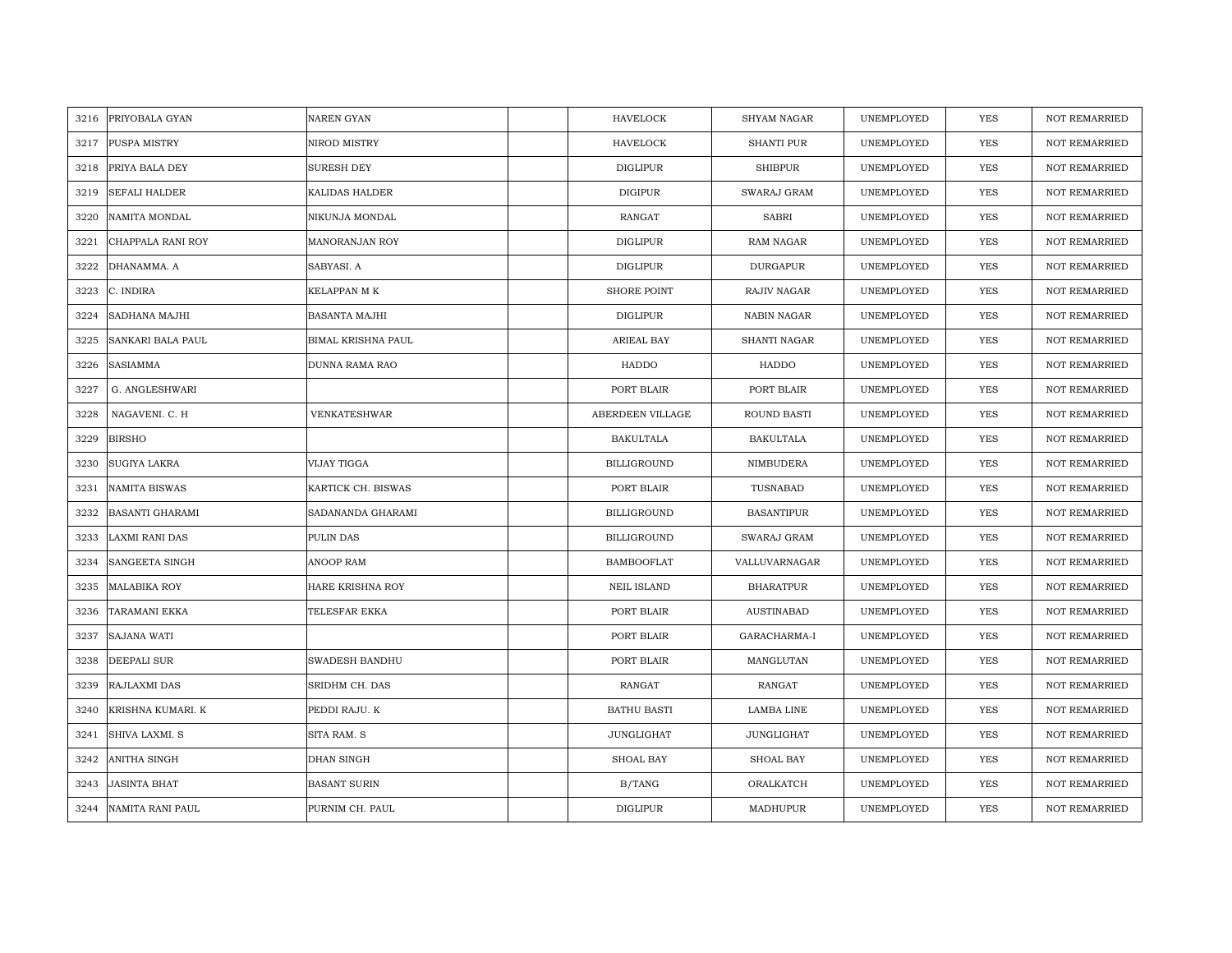| 3216 | PRIYOBALA GYAN         | <b>NAREN GYAN</b>         | <b>HAVELOCK</b>    | <b>SHYAM NAGAR</b> | UNEMPLOYED | YES        | <b>NOT REMARRIED</b> |
|------|------------------------|---------------------------|--------------------|--------------------|------------|------------|----------------------|
| 3217 | PUSPA MISTRY           | NIROD MISTRY              | <b>HAVELOCK</b>    | <b>SHANTI PUR</b>  | UNEMPLOYED | YES        | <b>NOT REMARRIED</b> |
| 3218 | PRIYA BALA DEY         | <b>SURESH DEY</b>         | <b>DIGLIPUR</b>    | <b>SHIBPUR</b>     | UNEMPLOYED | <b>YES</b> | <b>NOT REMARRIED</b> |
| 3219 | <b>SEFALI HALDER</b>   | KALIDAS HALDER            | <b>DIGIPUR</b>     | SWARAJ GRAM        | UNEMPLOYED | <b>YES</b> | <b>NOT REMARRIED</b> |
| 3220 | <b>NAMITA MONDAL</b>   | NIKUNJA MONDAL            | <b>RANGAT</b>      | <b>SABRI</b>       | UNEMPLOYED | <b>YES</b> | <b>NOT REMARRIED</b> |
| 3221 | CHAPPALA RANI ROY      | MANORANJAN ROY            | <b>DIGLIPUR</b>    | <b>RAM NAGAR</b>   | UNEMPLOYED | <b>YES</b> | <b>NOT REMARRIED</b> |
| 3222 | DHANAMMA. A            | SABYASI. A                | <b>DIGLIPUR</b>    | <b>DURGAPUR</b>    | UNEMPLOYED | <b>YES</b> | <b>NOT REMARRIED</b> |
| 3223 | C. INDIRA              | KELAPPAN M K              | SHORE POINT        | RAJIV NAGAR        | UNEMPLOYED | YES        | <b>NOT REMARRIED</b> |
| 3224 | SADHANA MAJHI          | BASANTA MAJHI             | DIGLIPUR           | NABIN NAGAR        | UNEMPLOYED | <b>YES</b> | <b>NOT REMARRIED</b> |
| 3225 | SANKARI BALA PAUL      | <b>BIMAL KRISHNA PAUL</b> | ARIEAL BAY         | SHANTI NAGAR       | UNEMPLOYED | YES        | <b>NOT REMARRIED</b> |
| 3226 | SASIAMMA               | DUNNA RAMA RAO            | HADDO              | HADDO              | UNEMPLOYED | YES        | <b>NOT REMARRIED</b> |
| 3227 | G. ANGLESHWARI         |                           | PORT BLAIR         | PORT BLAIR         | UNEMPLOYED | <b>YES</b> | <b>NOT REMARRIED</b> |
| 3228 | NAGAVENI. C. H         | VENKATESHWAR              | ABERDEEN VILLAGE   | ROUND BASTI        | UNEMPLOYED | YES        | <b>NOT REMARRIED</b> |
| 3229 | <b>BIRSHO</b>          |                           | <b>BAKULTALA</b>   | <b>BAKULTALA</b>   | UNEMPLOYED | <b>YES</b> | <b>NOT REMARRIED</b> |
| 3230 | SUGIYA LAKRA           | VIJAY TIGGA               | <b>BILLIGROUND</b> | NIMBUDERA          | UNEMPLOYED | YES        | <b>NOT REMARRIED</b> |
| 3231 | NAMITA BISWAS          | KARTICK CH. BISWAS        | PORT BLAIR         | TUSNABAD           | UNEMPLOYED | <b>YES</b> | <b>NOT REMARRIED</b> |
| 3232 | <b>BASANTI GHARAMI</b> | SADANANDA GHARAMI         | <b>BILLIGROUND</b> | <b>BASANTIPUR</b>  | UNEMPLOYED | YES        | NOT REMARRIED        |
| 3233 | <b>LAXMI RANI DAS</b>  | PULIN DAS                 | <b>BILLIGROUND</b> | SWARAJ GRAM        | UNEMPLOYED | YES        | <b>NOT REMARRIED</b> |
| 3234 | <b>SANGEETA SINGH</b>  | ANOOP RAM                 | <b>BAMBOOFLAT</b>  | VALLUVARNAGAR      | UNEMPLOYED | <b>YES</b> | NOT REMARRIED        |
| 3235 | <b>MALABIKA ROY</b>    | HARE KRISHNA ROY          | <b>NEIL ISLAND</b> | <b>BHARATPUR</b>   | UNEMPLOYED | YES        | <b>NOT REMARRIED</b> |
| 3236 | TARAMANI EKKA          | TELESFAR EKKA             | PORT BLAIR         | <b>AUSTINABAD</b>  | UNEMPLOYED | YES        | <b>NOT REMARRIED</b> |
| 3237 | <b>SAJANA WATI</b>     |                           | PORT BLAIR         | GARACHARMA-I       | UNEMPLOYED | YES        | <b>NOT REMARRIED</b> |
| 3238 | <b>DEEPALI SUR</b>     | SWADESH BANDHU            | PORT BLAIR         | MANGLUTAN          | UNEMPLOYED | <b>YES</b> | <b>NOT REMARRIED</b> |
| 3239 | RAJLAXMI DAS           | SRIDHM CH. DAS            | <b>RANGAT</b>      | RANGAT             | UNEMPLOYED | YES        | <b>NOT REMARRIED</b> |
| 3240 | KRISHNA KUMARI. K      | PEDDI RAJU. K             | <b>BATHU BASTI</b> | LAMBA LINE         | UNEMPLOYED | <b>YES</b> | <b>NOT REMARRIED</b> |
| 3241 | SHIVA LAXMI. S         | SITA RAM. S               | JUNGLIGHAT         | JUNGLIGHAT         | UNEMPLOYED | YES        | NOT REMARRIED        |
| 3242 | ANITHA SINGH           | DHAN SINGH                | SHOAL BAY          | SHOAL BAY          | UNEMPLOYED | YES        | <b>NOT REMARRIED</b> |
| 3243 | <b>JASINTA BHAT</b>    | <b>BASANT SURIN</b>       | B/TANG             | ORALKATCH          | UNEMPLOYED | YES        | <b>NOT REMARRIED</b> |
| 3244 | NAMITA RANI PAUL       | PURNIM CH. PAUL           | <b>DIGLIPUR</b>    | MADHUPUR           | UNEMPLOYED | <b>YES</b> | <b>NOT REMARRIED</b> |
|      |                        |                           |                    |                    |            |            |                      |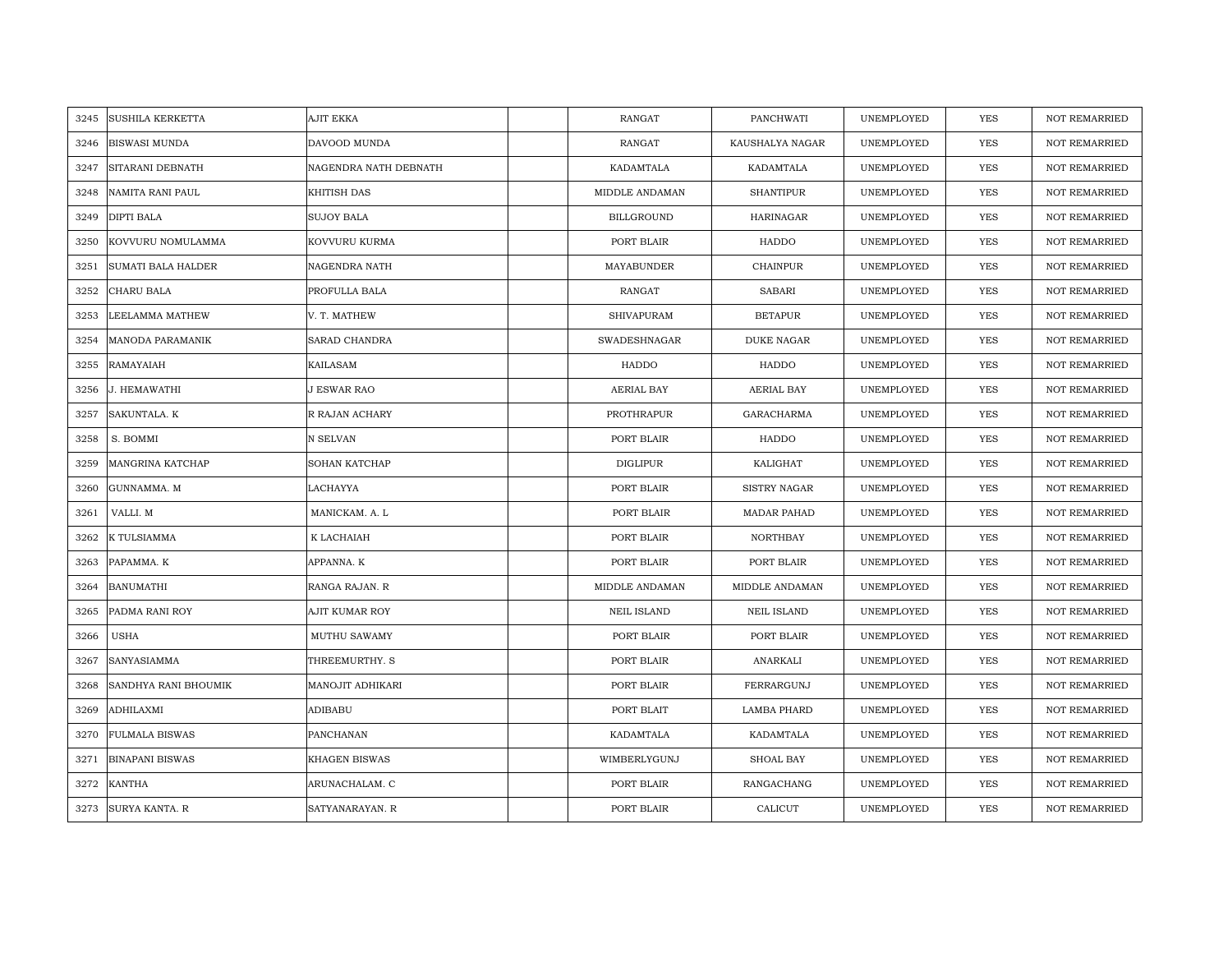| 3245 | <b>SUSHILA KERKETTA</b>   | <b>AJIT EKKA</b>      | <b>RANGAT</b>      | PANCHWATI          | UNEMPLOYED | <b>YES</b> | <b>NOT REMARRIED</b> |
|------|---------------------------|-----------------------|--------------------|--------------------|------------|------------|----------------------|
| 3246 | <b>BISWASI MUNDA</b>      | DAVOOD MUNDA          | RANGAT             | KAUSHALYA NAGAR    | UNEMPLOYED | <b>YES</b> | NOT REMARRIED        |
| 3247 | SITARANI DEBNATH          | NAGENDRA NATH DEBNATH | KADAMTALA          | KADAMTALA          | UNEMPLOYED | <b>YES</b> | <b>NOT REMARRIED</b> |
| 3248 | NAMITA RANI PAUL          | KHITISH DAS           | MIDDLE ANDAMAN     | <b>SHANTIPUR</b>   | UNEMPLOYED | <b>YES</b> | NOT REMARRIED        |
| 3249 | <b>DIPTI BALA</b>         | <b>SUJOY BALA</b>     | BILLGROUND         | <b>HARINAGAR</b>   | UNEMPLOYED | <b>YES</b> | <b>NOT REMARRIED</b> |
| 3250 | KOVVURU NOMULAMMA         | KOVVURU KURMA         | PORT BLAIR         | HADDO              | UNEMPLOYED | <b>YES</b> | <b>NOT REMARRIED</b> |
| 3251 | <b>SUMATI BALA HALDER</b> | NAGENDRA NATH         | MAYABUNDER         | <b>CHAINPUR</b>    | UNEMPLOYED | <b>YES</b> | NOT REMARRIED        |
| 3252 | CHARU BALA                | PROFULLA BALA         | RANGAT             | SABARI             | UNEMPLOYED | YES        | NOT REMARRIED        |
| 3253 | LEELAMMA MATHEW           | V. T. MATHEW          | SHIVAPURAM         | <b>BETAPUR</b>     | UNEMPLOYED | YES        | NOT REMARRIED        |
| 3254 | MANODA PARAMANIK          | SARAD CHANDRA         | SWADESHNAGAR       | <b>DUKE NAGAR</b>  | UNEMPLOYED | <b>YES</b> | <b>NOT REMARRIED</b> |
| 3255 | RAMAYAIAH                 | KAILASAM              | HADDO              | HADDO              | UNEMPLOYED | <b>YES</b> | <b>NOT REMARRIED</b> |
| 3256 | J. HEMAWATHI              | J ESWAR RAO           | AERIAL BAY         | AERIAL BAY         | UNEMPLOYED | YES        | <b>NOT REMARRIED</b> |
| 3257 | SAKUNTALA. K              | R RAJAN ACHARY        | PROTHRAPUR         | GARACHARMA         | UNEMPLOYED | YES        | NOT REMARRIED        |
| 3258 | S. BOMMI                  | N SELVAN              | PORT BLAIR         | HADDO              | UNEMPLOYED | <b>YES</b> | <b>NOT REMARRIED</b> |
| 3259 | MANGRINA KATCHAP          | SOHAN KATCHAP         | <b>DIGLIPUR</b>    | KALIGHAT           | UNEMPLOYED | YES        | NOT REMARRIED        |
| 3260 | GUNNAMMA. M               | LACHAYYA              | PORT BLAIR         | SISTRY NAGAR       | UNEMPLOYED | YES        | <b>NOT REMARRIED</b> |
| 3261 | VALLI. M                  | MANICKAM. A. L        | PORT BLAIR         | <b>MADAR PAHAD</b> | UNEMPLOYED | YES        | <b>NOT REMARRIED</b> |
| 3262 | K TULSIAMMA               | K LACHAIAH            | PORT BLAIR         | <b>NORTHBAY</b>    | UNEMPLOYED | <b>YES</b> | <b>NOT REMARRIED</b> |
| 3263 | PAPAMMA. K                | APPANNA. K            | PORT BLAIR         | PORT BLAIR         | UNEMPLOYED | YES        | <b>NOT REMARRIED</b> |
| 3264 | <b>BANUMATHI</b>          | RANGA RAJAN. R        | MIDDLE ANDAMAN     | MIDDLE ANDAMAN     | UNEMPLOYED | <b>YES</b> | <b>NOT REMARRIED</b> |
| 3265 | PADMA RANI ROY            | AJIT KUMAR ROY        | <b>NEIL ISLAND</b> | <b>NEIL ISLAND</b> | UNEMPLOYED | <b>YES</b> | <b>NOT REMARRIED</b> |
| 3266 | USHA                      | MUTHU SAWAMY          | PORT BLAIR         | PORT BLAIR         | UNEMPLOYED | YES        | NOT REMARRIED        |
| 3267 | SANYASIAMMA               | THREEMURTHY. S        | PORT BLAIR         | ANARKALI           | UNEMPLOYED | YES        | <b>NOT REMARRIED</b> |
| 3268 | SANDHYA RANI BHOUMIK      | MANOJIT ADHIKARI      | PORT BLAIR         | FERRARGUNJ         | UNEMPLOYED | YES        | <b>NOT REMARRIED</b> |
| 3269 | ADHILAXMI                 | ADIBABU               | PORT BLAIT         | LAMBA PHARD        | UNEMPLOYED | YES        | <b>NOT REMARRIED</b> |
| 3270 | <b>FULMALA BISWAS</b>     | PANCHANAN             | KADAMTALA          | KADAMTALA          | UNEMPLOYED | YES        | NOT REMARRIED        |
| 3271 | <b>BINAPANI BISWAS</b>    | KHAGEN BISWAS         | WIMBERLYGUNJ       | <b>SHOAL BAY</b>   | UNEMPLOYED | YES        | <b>NOT REMARRIED</b> |
| 3272 | KANTHA                    | ARUNACHALAM. C        | PORT BLAIR         | RANGACHANG         | UNEMPLOYED | <b>YES</b> | <b>NOT REMARRIED</b> |
| 3273 | <b>SURYA KANTA. R</b>     | SATYANARAYAN. R       | PORT BLAIR         | CALICUT            | UNEMPLOYED | <b>YES</b> | <b>NOT REMARRIED</b> |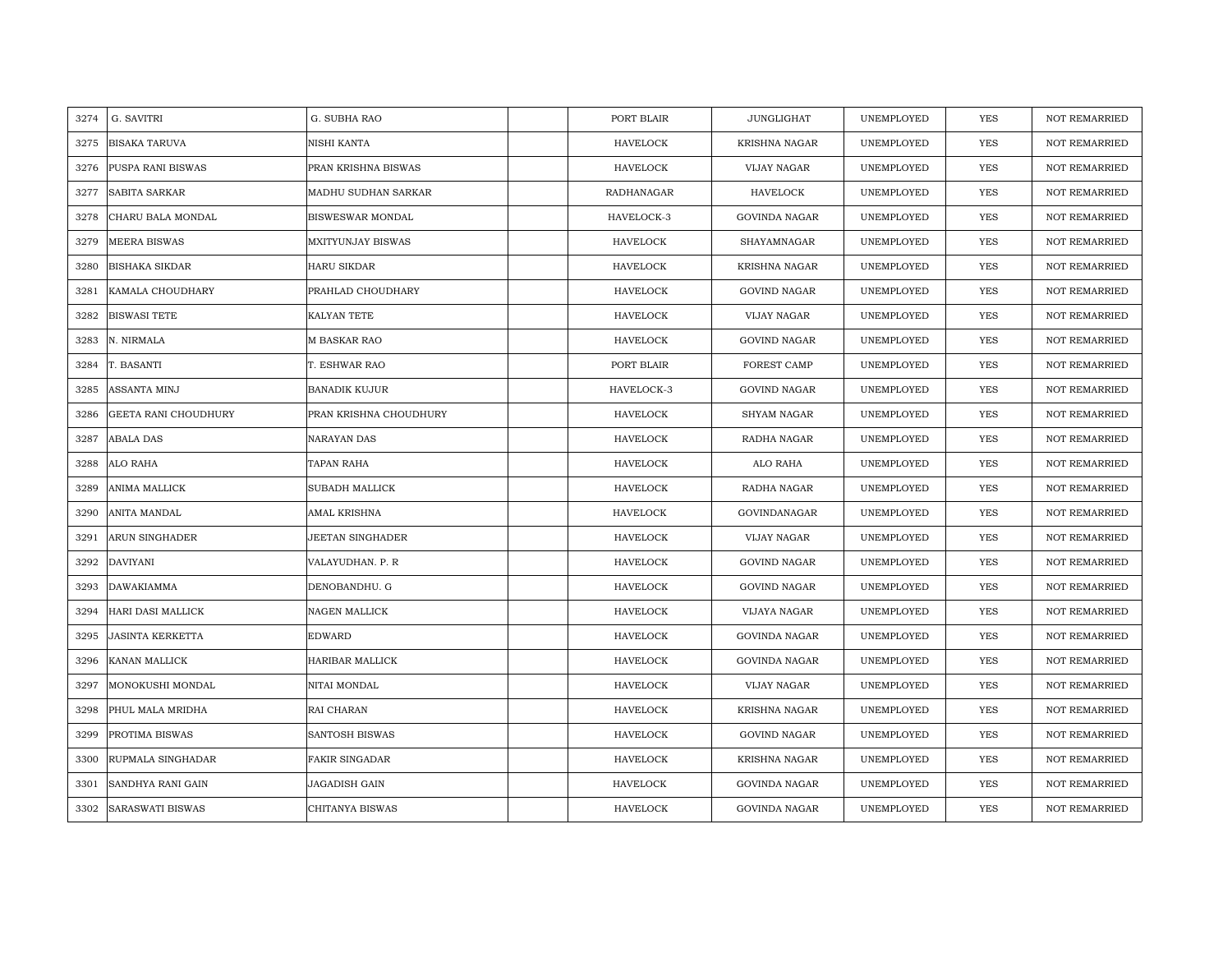| 3274 | G. SAVITRI               | G. SUBHA RAO           | PORT BLAIR      | JUNGLIGHAT           | UNEMPLOYED | YES        | <b>NOT REMARRIED</b> |
|------|--------------------------|------------------------|-----------------|----------------------|------------|------------|----------------------|
| 3275 | <b>BISAKA TARUVA</b>     | NISHI KANTA            | <b>HAVELOCK</b> | <b>KRISHNA NAGAR</b> | UNEMPLOYED | <b>YES</b> | <b>NOT REMARRIED</b> |
| 3276 | PUSPA RANI BISWAS        | PRAN KRISHNA BISWAS    | <b>HAVELOCK</b> | VIJAY NAGAR          | UNEMPLOYED | <b>YES</b> | <b>NOT REMARRIED</b> |
| 3277 | SABITA SARKAR            | MADHU SUDHAN SARKAR    | RADHANAGAR      | HAVELOCK             | UNEMPLOYED | YES        | <b>NOT REMARRIED</b> |
| 3278 | CHARU BALA MONDAL        | BISWESWAR MONDAL       | HAVELOCK-3      | <b>GOVINDA NAGAR</b> | UNEMPLOYED | YES        | <b>NOT REMARRIED</b> |
| 3279 | <b>MEERA BISWAS</b>      | MXITYUNJAY BISWAS      | <b>HAVELOCK</b> | SHAYAMNAGAR          | UNEMPLOYED | YES        | NOT REMARRIED        |
| 3280 | <b>BISHAKA SIKDAR</b>    | <b>HARU SIKDAR</b>     | <b>HAVELOCK</b> | <b>KRISHNA NAGAR</b> | UNEMPLOYED | <b>YES</b> | <b>NOT REMARRIED</b> |
| 3281 | KAMALA CHOUDHARY         | PRAHLAD CHOUDHARY      | <b>HAVELOCK</b> | <b>GOVIND NAGAR</b>  | UNEMPLOYED | YES        | NOT REMARRIED        |
| 3282 | <b>BISWASI TETE</b>      | KALYAN TETE            | HAVELOCK        | VIJAY NAGAR          | UNEMPLOYED | <b>YES</b> | <b>NOT REMARRIED</b> |
| 3283 | N. NIRMALA               | <b>M BASKAR RAO</b>    | <b>HAVELOCK</b> | <b>GOVIND NAGAR</b>  | UNEMPLOYED | YES        | <b>NOT REMARRIED</b> |
| 3284 | T. BASANTI               | T. ESHWAR RAO          | PORT BLAIR      | FOREST CAMP          | UNEMPLOYED | YES        | <b>NOT REMARRIED</b> |
| 3285 | ASSANTA MINJ             | <b>BANADIK KUJUR</b>   | HAVELOCK-3      | <b>GOVIND NAGAR</b>  | UNEMPLOYED | YES        | <b>NOT REMARRIED</b> |
| 3286 | GEETA RANI CHOUDHURY     | PRAN KRISHNA CHOUDHURY | <b>HAVELOCK</b> | SHYAM NAGAR          | UNEMPLOYED | <b>YES</b> | <b>NOT REMARRIED</b> |
| 3287 | <b>ABALA DAS</b>         | NARAYAN DAS            | <b>HAVELOCK</b> | RADHA NAGAR          | UNEMPLOYED | <b>YES</b> | <b>NOT REMARRIED</b> |
| 3288 | ALO RAHA                 | TAPAN RAHA             | HAVELOCK        | ALO RAHA             | UNEMPLOYED | <b>YES</b> | <b>NOT REMARRIED</b> |
| 3289 | ANIMA MALLICK            | SUBADH MALLICK         | <b>HAVELOCK</b> | RADHA NAGAR          | UNEMPLOYED | <b>YES</b> | <b>NOT REMARRIED</b> |
| 3290 | ANITA MANDAL             | AMAL KRISHNA           | <b>HAVELOCK</b> | GOVINDANAGAR         | UNEMPLOYED | <b>YES</b> | <b>NOT REMARRIED</b> |
| 3291 | ARUN SINGHADER           | JEETAN SINGHADER       | <b>HAVELOCK</b> | VIJAY NAGAR          | UNEMPLOYED | <b>YES</b> | <b>NOT REMARRIED</b> |
| 3292 | <b>DAVIYANI</b>          | VALAYUDHAN. P. R       | <b>HAVELOCK</b> | <b>GOVIND NAGAR</b>  | UNEMPLOYED | <b>YES</b> | <b>NOT REMARRIED</b> |
| 3293 | <b>DAWAKIAMMA</b>        | DENOBANDHU. G          | HAVELOCK        | <b>GOVIND NAGAR</b>  | UNEMPLOYED | YES        | <b>NOT REMARRIED</b> |
| 3294 | <b>HARI DASI MALLICK</b> | NAGEN MALLICK          | HAVELOCK        | VIJAYA NAGAR         | UNEMPLOYED | <b>YES</b> | NOT REMARRIED        |
| 3295 | <b>JASINTA KERKETTA</b>  | EDWARD                 | HAVELOCK        | <b>GOVINDA NAGAR</b> | UNEMPLOYED | YES        | NOT REMARRIED        |
| 3296 | KANAN MALLICK            | <b>HARIBAR MALLICK</b> | <b>HAVELOCK</b> | <b>GOVINDA NAGAR</b> | UNEMPLOYED | <b>YES</b> | <b>NOT REMARRIED</b> |
| 3297 | MONOKUSHI MONDAL         | NITAI MONDAL           | <b>HAVELOCK</b> | VIJAY NAGAR          | UNEMPLOYED | <b>YES</b> | <b>NOT REMARRIED</b> |
| 3298 | PHUL MALA MRIDHA         | RAI CHARAN             | HAVELOCK        | <b>KRISHNA NAGAR</b> | UNEMPLOYED | YES        | <b>NOT REMARRIED</b> |
| 3299 | PROTIMA BISWAS           | SANTOSH BISWAS         | HAVELOCK        | GOVIND NAGAR         | UNEMPLOYED | YES        | NOT REMARRIED        |
| 3300 | RUPMALA SINGHADAR        | <b>FAKIR SINGADAR</b>  | <b>HAVELOCK</b> | <b>KRISHNA NAGAR</b> | UNEMPLOYED | YES        | <b>NOT REMARRIED</b> |
| 3301 | SANDHYA RANI GAIN        | JAGADISH GAIN          | <b>HAVELOCK</b> | <b>GOVINDA NAGAR</b> | UNEMPLOYED | <b>YES</b> | <b>NOT REMARRIED</b> |
| 3302 | <b>SARASWATI BISWAS</b>  | CHITANYA BISWAS        | <b>HAVELOCK</b> | <b>GOVINDA NAGAR</b> | UNEMPLOYED | <b>YES</b> | <b>NOT REMARRIED</b> |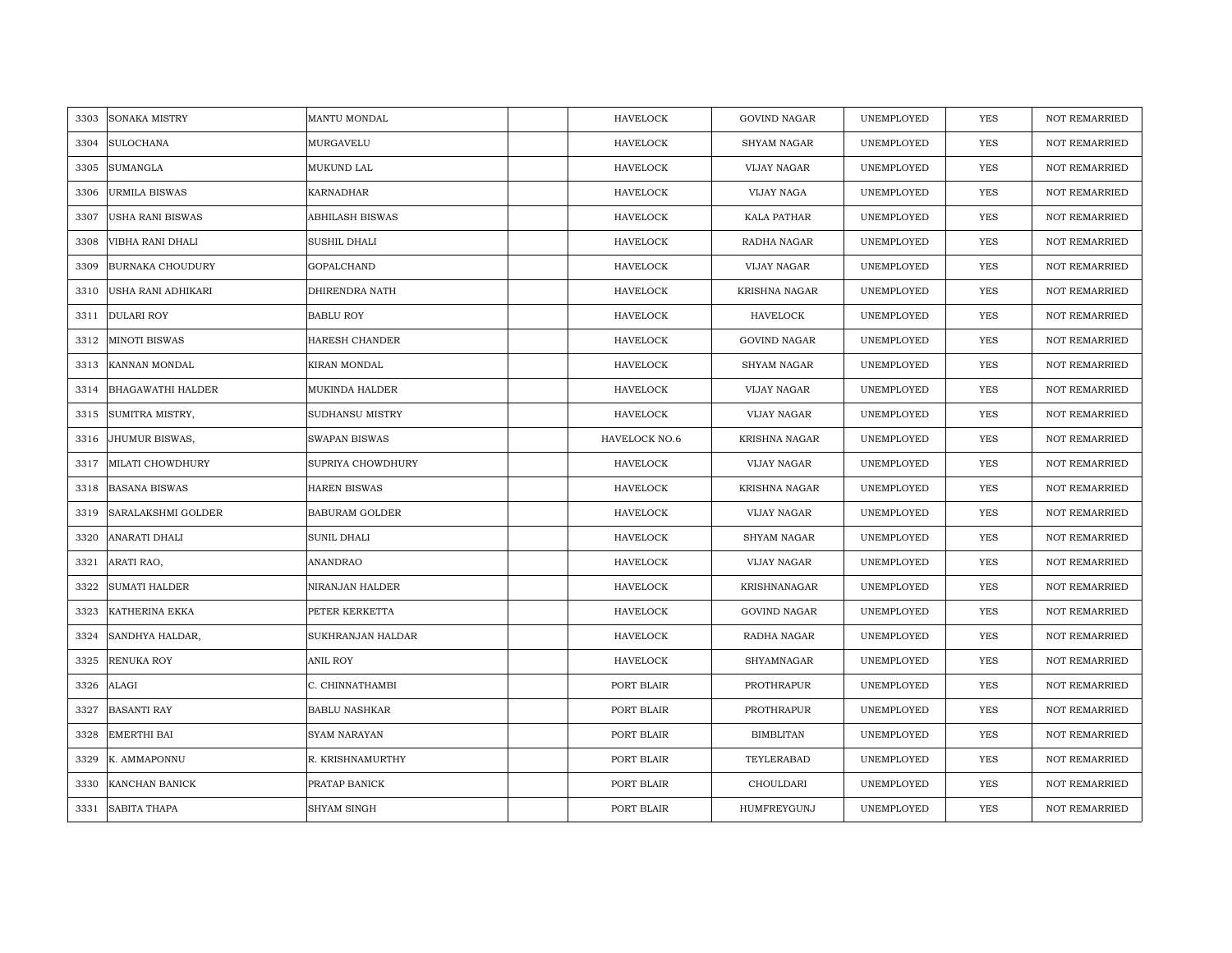| 3303 | <b>SONAKA MISTRY</b>     | MANTU MONDAL          | <b>HAVELOCK</b> | <b>GOVIND NAGAR</b> | UNEMPLOYED | <b>YES</b> | <b>NOT REMARRIED</b> |
|------|--------------------------|-----------------------|-----------------|---------------------|------------|------------|----------------------|
| 3304 | <b>SULOCHANA</b>         | MURGAVELU             | <b>HAVELOCK</b> | <b>SHYAM NAGAR</b>  | UNEMPLOYED | <b>YES</b> | NOT REMARRIED        |
| 3305 | <b>SUMANGLA</b>          | MUKUND LAL            | <b>HAVELOCK</b> | VIJAY NAGAR         | UNEMPLOYED | YES        | <b>NOT REMARRIED</b> |
| 3306 | <b>URMILA BISWAS</b>     | KARNADHAR             | <b>HAVELOCK</b> | VIJAY NAGA          | UNEMPLOYED | YES        | NOT REMARRIED        |
| 3307 | <b>USHA RANI BISWAS</b>  | ABHILASH BISWAS       | <b>HAVELOCK</b> | KALA PATHAR         | UNEMPLOYED | YES        | <b>NOT REMARRIED</b> |
| 3308 | VIBHA RANI DHALI         | SUSHIL DHALI          | <b>HAVELOCK</b> | RADHA NAGAR         | UNEMPLOYED | YES        | <b>NOT REMARRIED</b> |
| 3309 | <b>BURNAKA CHOUDURY</b>  | <b>GOPALCHAND</b>     | <b>HAVELOCK</b> | VIJAY NAGAR         | UNEMPLOYED | YES        | <b>NOT REMARRIED</b> |
| 3310 | USHA RANI ADHIKARI       | DHIRENDRA NATH        | <b>HAVELOCK</b> | KRISHNA NAGAR       | UNEMPLOYED | YES        | NOT REMARRIED        |
| 3311 | <b>DULARI ROY</b>        | <b>BABLU ROY</b>      | <b>HAVELOCK</b> | HAVELOCK            | UNEMPLOYED | YES        | NOT REMARRIED        |
| 3312 | <b>MINOTI BISWAS</b>     | HARESH CHANDER        | <b>HAVELOCK</b> | <b>GOVIND NAGAR</b> | UNEMPLOYED | YES        | <b>NOT REMARRIED</b> |
| 3313 | KANNAN MONDAL            | KIRAN MONDAL          | <b>HAVELOCK</b> | <b>SHYAM NAGAR</b>  | UNEMPLOYED | YES        | <b>NOT REMARRIED</b> |
| 3314 | <b>BHAGAWATHI HALDER</b> | MUKINDA HALDER        | <b>HAVELOCK</b> | VIJAY NAGAR         | UNEMPLOYED | YES        | NOT REMARRIED        |
| 3315 | SUMITRA MISTRY,          | SUDHANSU MISTRY       | <b>HAVELOCK</b> | VIJAY NAGAR         | UNEMPLOYED | <b>YES</b> | NOT REMARRIED        |
| 3316 | JHUMUR BISWAS,           | <b>SWAPAN BISWAS</b>  | HAVELOCK NO.6   | KRISHNA NAGAR       | UNEMPLOYED | <b>YES</b> | <b>NOT REMARRIED</b> |
| 3317 | MILATI CHOWDHURY         | SUPRIYA CHOWDHURY     | HAVELOCK        | VIJAY NAGAR         | UNEMPLOYED | YES        | NOT REMARRIED        |
| 3318 | <b>BASANA BISWAS</b>     | <b>HAREN BISWAS</b>   | <b>HAVELOCK</b> | KRISHNA NAGAR       | UNEMPLOYED | YES        | <b>NOT REMARRIED</b> |
| 3319 | SARALAKSHMI GOLDER       | <b>BABURAM GOLDER</b> | <b>HAVELOCK</b> | VIJAY NAGAR         | UNEMPLOYED | YES        | <b>NOT REMARRIED</b> |
| 3320 | ANARATI DHALI            | SUNIL DHALI           | <b>HAVELOCK</b> | SHYAM NAGAR         | UNEMPLOYED | YES        | <b>NOT REMARRIED</b> |
| 3321 | ARATI RAO,               | ANANDRAO              | <b>HAVELOCK</b> | VIJAY NAGAR         | UNEMPLOYED | <b>YES</b> | NOT REMARRIED        |
| 3322 | <b>SUMATI HALDER</b>     | NIRANJAN HALDER       | <b>HAVELOCK</b> | <b>KRISHNANAGAR</b> | UNEMPLOYED | <b>YES</b> | <b>NOT REMARRIED</b> |
| 3323 | <b>KATHERINA EKKA</b>    | PETER KERKETTA        | <b>HAVELOCK</b> | GOVIND NAGAR        | UNEMPLOYED | YES        | <b>NOT REMARRIED</b> |
| 3324 | SANDHYA HALDAR,          | SUKHRANJAN HALDAR     | HAVELOCK        | RADHA NAGAR         | UNEMPLOYED | YES        | NOT REMARRIED        |
| 3325 | <b>RENUKA ROY</b>        | ANIL ROY              | <b>HAVELOCK</b> | SHYAMNAGAR          | UNEMPLOYED | YES        | <b>NOT REMARRIED</b> |
| 3326 | ALAGI                    | C. CHINNATHAMBI       | PORT BLAIR      | PROTHRAPUR          | UNEMPLOYED | YES        | <b>NOT REMARRIED</b> |
| 3327 | <b>BASANTI RAY</b>       | <b>BABLU NASHKAR</b>  | PORT BLAIR      | PROTHRAPUR          | UNEMPLOYED | YES        | NOT REMARRIED        |
| 3328 | <b>EMERTHI BAI</b>       | SYAM NARAYAN          | PORT BLAIR      | <b>BIMBLITAN</b>    | UNEMPLOYED | YES        | NOT REMARRIED        |
| 3329 | K. AMMAPONNU             | R. KRISHNAMURTHY      | PORT BLAIR      | TEYLERABAD          | UNEMPLOYED | YES        | <b>NOT REMARRIED</b> |
| 3330 | <b>KANCHAN BANICK</b>    | PRATAP BANICK         | PORT BLAIR      | CHOULDARI           | UNEMPLOYED | YES        | <b>NOT REMARRIED</b> |
| 3331 | <b>SABITA THAPA</b>      | SHYAM SINGH           | PORT BLAIR      | HUMFREYGUNJ         | UNEMPLOYED | <b>YES</b> | <b>NOT REMARRIED</b> |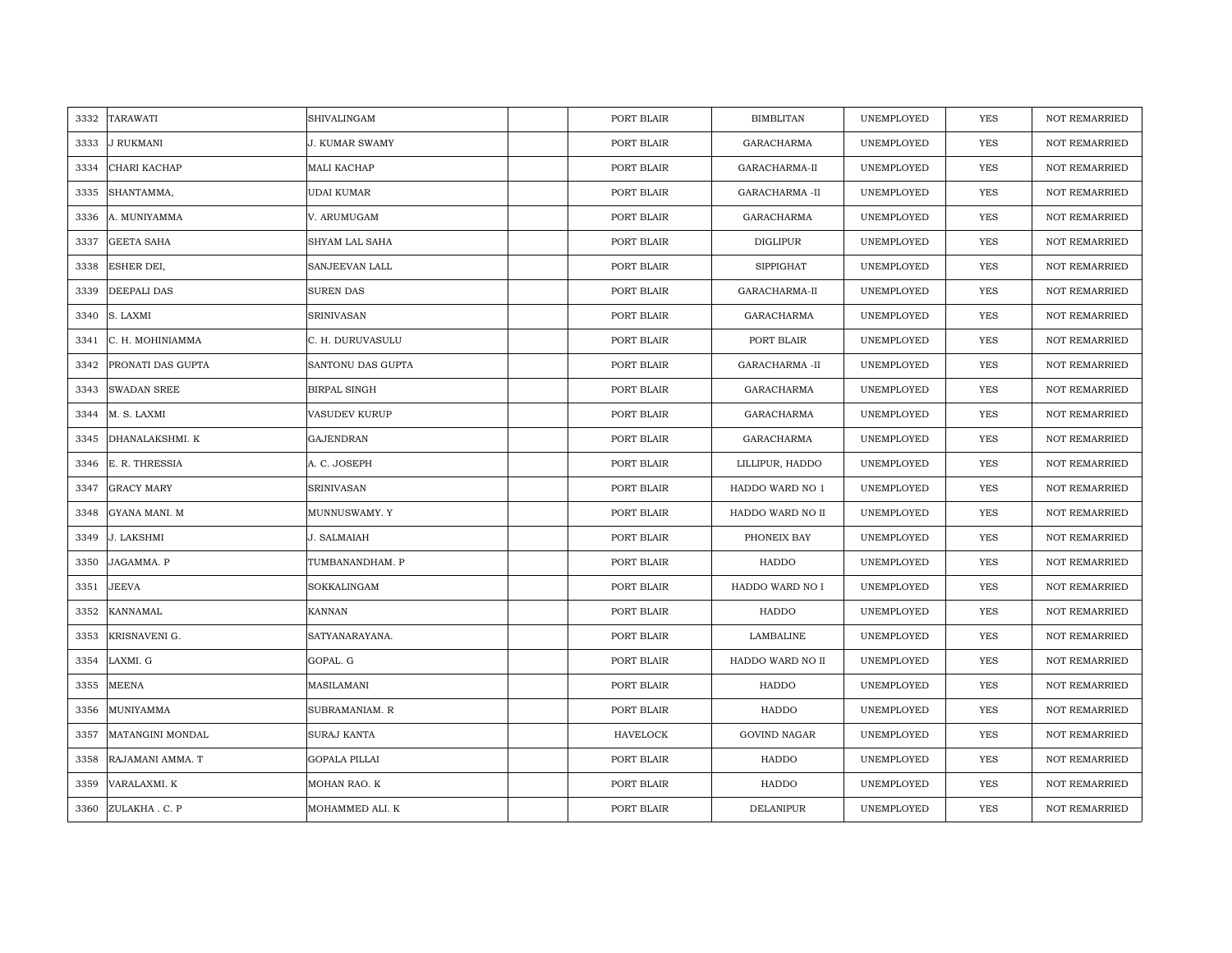| 3332 | <b>TARAWATI</b>    | SHIVALINGAM           | PORT BLAIR | <b>BIMBLITAN</b>      | UNEMPLOYED | <b>YES</b> | <b>NOT REMARRIED</b> |
|------|--------------------|-----------------------|------------|-----------------------|------------|------------|----------------------|
| 3333 | <b>J RUKMANI</b>   | <b>J. KUMAR SWAMY</b> | PORT BLAIR | <b>GARACHARMA</b>     | UNEMPLOYED | <b>YES</b> | <b>NOT REMARRIED</b> |
| 3334 | CHARI KACHAP       | MALI KACHAP           | PORT BLAIR | GARACHARMA-II         | UNEMPLOYED | YES        | <b>NOT REMARRIED</b> |
| 3335 | SHANTAMMA,         | <b>UDAI KUMAR</b>     | PORT BLAIR | GARACHARMA -II        | UNEMPLOYED | YES        | <b>NOT REMARRIED</b> |
| 3336 | A. MUNIYAMMA       | V. ARUMUGAM           | PORT BLAIR | GARACHARMA            | UNEMPLOYED | YES        | <b>NOT REMARRIED</b> |
| 3337 | <b>GEETA SAHA</b>  | SHYAM LAL SAHA        | PORT BLAIR | DIGLIPUR              | UNEMPLOYED | <b>YES</b> | NOT REMARRIED        |
| 3338 | ESHER DEI,         | SANJEEVAN LALL        | PORT BLAIR | <b>SIPPIGHAT</b>      | UNEMPLOYED | <b>YES</b> | NOT REMARRIED        |
| 3339 | DEEPALI DAS        | SUREN DAS             | PORT BLAIR | GARACHARMA-II         | UNEMPLOYED | <b>YES</b> | NOT REMARRIED        |
| 3340 | S. LAXMI           | <b>SRINIVASAN</b>     | PORT BLAIR | GARACHARMA            | UNEMPLOYED | YES        | NOT REMARRIED        |
| 3341 | C. H. MOHINIAMMA   | C. H. DURUVASULU      | PORT BLAIR | PORT BLAIR            | UNEMPLOYED | YES        | <b>NOT REMARRIED</b> |
| 3342 | PRONATI DAS GUPTA  | SANTONU DAS GUPTA     | PORT BLAIR | <b>GARACHARMA -II</b> | UNEMPLOYED | YES        | <b>NOT REMARRIED</b> |
| 3343 | <b>SWADAN SREE</b> | BIRPAL SINGH          | PORT BLAIR | GARACHARMA            | UNEMPLOYED | YES        | NOT REMARRIED        |
| 3344 | M. S. LAXMI        | <b>VASUDEV KURUP</b>  | PORT BLAIR | <b>GARACHARMA</b>     | UNEMPLOYED | YES        | <b>NOT REMARRIED</b> |
| 3345 | DHANALAKSHMI. K    | <b>GAJENDRAN</b>      | PORT BLAIR | GARACHARMA            | UNEMPLOYED | YES        | <b>NOT REMARRIED</b> |
| 3346 | E. R. THRESSIA     | A. C. JOSEPH          | PORT BLAIR | LILLIPUR, HADDO       | UNEMPLOYED | YES        | NOT REMARRIED        |
| 3347 | <b>GRACY MARY</b>  | <b>SRINIVASAN</b>     | PORT BLAIR | HADDO WARD NO 1       | UNEMPLOYED | <b>YES</b> | <b>NOT REMARRIED</b> |
| 3348 | GYANA MANI. M      | MUNNUSWAMY. Y         | PORT BLAIR | HADDO WARD NO II      | UNEMPLOYED | YES        | <b>NOT REMARRIED</b> |
| 3349 | J. LAKSHMI         | J. SALMAIAH           | PORT BLAIR | PHONEIX BAY           | UNEMPLOYED | YES        | <b>NOT REMARRIED</b> |
| 3350 | JAGAMMA. P         | TUMBANANDHAM. P       | PORT BLAIR | HADDO                 | UNEMPLOYED | <b>YES</b> | <b>NOT REMARRIED</b> |
| 3351 | <b>JEEVA</b>       | SOKKALINGAM           | PORT BLAIR | HADDO WARD NO I       | UNEMPLOYED | YES        | <b>NOT REMARRIED</b> |
| 3352 | <b>KANNAMAL</b>    | KANNAN                | PORT BLAIR | HADDO                 | UNEMPLOYED | YES        | NOT REMARRIED        |
| 3353 | KRISNAVENI G.      | SATYANARAYANA.        | PORT BLAIR | LAMBALINE             | UNEMPLOYED | YES        | NOT REMARRIED        |
| 3354 | LAXMI. G           | GOPAL. G              | PORT BLAIR | HADDO WARD NO II      | UNEMPLOYED | <b>YES</b> | <b>NOT REMARRIED</b> |
| 3355 | <b>MEENA</b>       | MASILAMANI            | PORT BLAIR | HADDO                 | UNEMPLOYED | YES        | <b>NOT REMARRIED</b> |
| 3356 | MUNIYAMMA          | SUBRAMANIAM. R        | PORT BLAIR | <b>HADDO</b>          | UNEMPLOYED | <b>YES</b> | <b>NOT REMARRIED</b> |
| 3357 | MATANGINI MONDAL   | SURAJ KANTA           | HAVELOCK   | <b>GOVIND NAGAR</b>   | UNEMPLOYED | YES        | NOT REMARRIED        |
| 3358 | RAJAMANI AMMA. T   | <b>GOPALA PILLAI</b>  | PORT BLAIR | HADDO                 | UNEMPLOYED | YES        | <b>NOT REMARRIED</b> |
| 3359 | VARALAXMI. K       | MOHAN RAO. K          | PORT BLAIR | HADDO                 | UNEMPLOYED | YES        | <b>NOT REMARRIED</b> |
|      | 3360 ZULAKHA.C.P   | MOHAMMED ALI. K       | PORT BLAIR | <b>DELANIPUR</b>      | UNEMPLOYED | <b>YES</b> | <b>NOT REMARRIED</b> |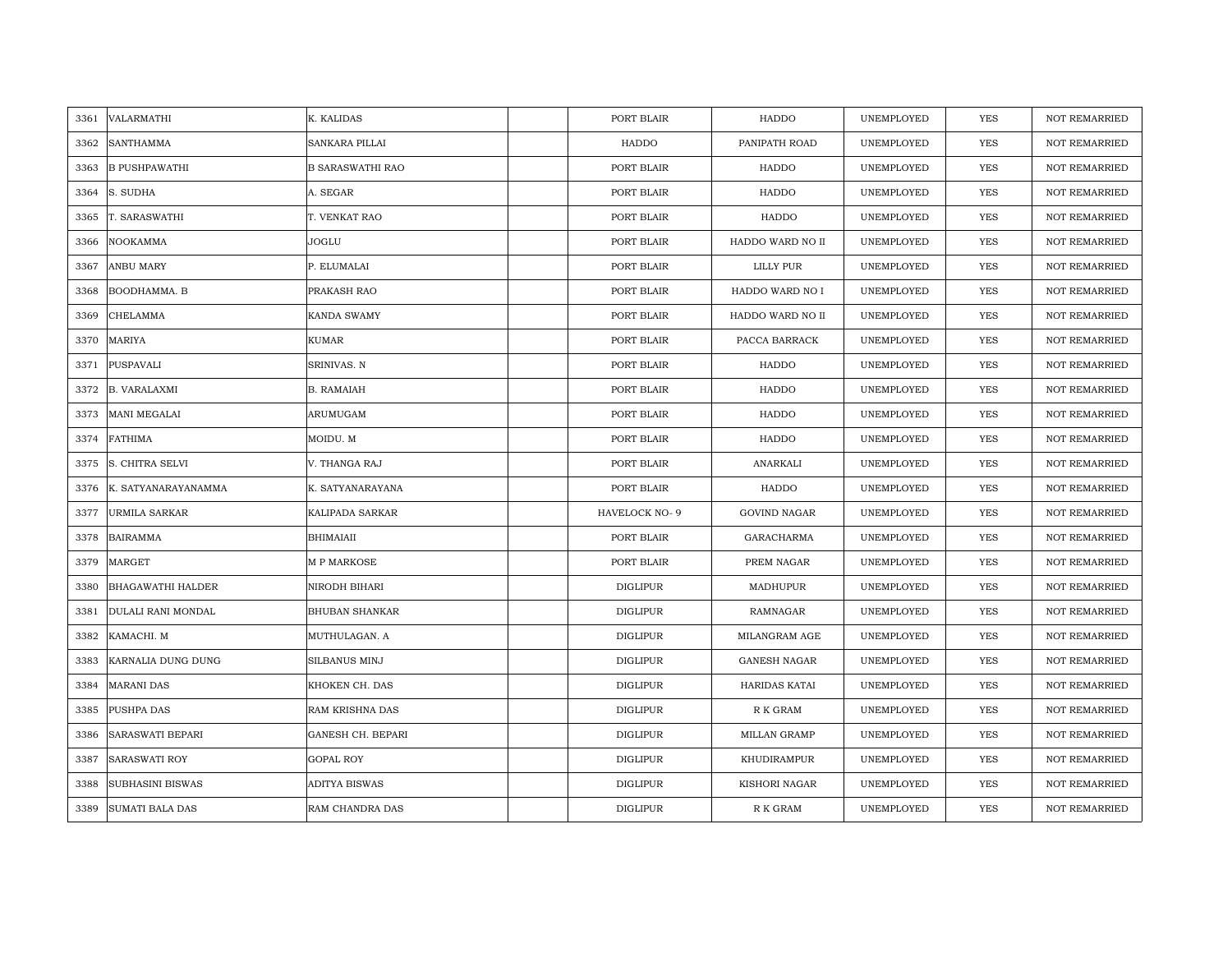| 3361 | VALARMATHI               | K. KALIDAS              | PORT BLAIR      | HADDO               | UNEMPLOYED | <b>YES</b> | <b>NOT REMARRIED</b> |
|------|--------------------------|-------------------------|-----------------|---------------------|------------|------------|----------------------|
| 3362 | <b>SANTHAMMA</b>         | <b>SANKARA PILLAI</b>   | HADDO           | PANIPATH ROAD       | UNEMPLOYED | <b>YES</b> | NOT REMARRIED        |
| 3363 | <b>B PUSHPAWATHI</b>     | <b>B SARASWATHI RAO</b> | PORT BLAIR      | HADDO               | UNEMPLOYED | YES        | <b>NOT REMARRIED</b> |
| 3364 | S. SUDHA                 | A. SEGAR                | PORT BLAIR      | HADDO               | UNEMPLOYED | <b>YES</b> | <b>NOT REMARRIED</b> |
| 3365 | T. SARASWATHI            | T. VENKAT RAO           | PORT BLAIR      | HADDO               | UNEMPLOYED | YES        | <b>NOT REMARRIED</b> |
| 3366 | NOOKAMMA                 | JOGLU                   | PORT BLAIR      | HADDO WARD NO II    | UNEMPLOYED | YES        | <b>NOT REMARRIED</b> |
| 3367 | <b>ANBU MARY</b>         | P. ELUMALAI             | PORT BLAIR      | LILLY PUR           | UNEMPLOYED | YES        | NOT REMARRIED        |
| 3368 | BOODHAMMA, B             | PRAKASH RAO             | PORT BLAIR      | HADDO WARD NO I     | UNEMPLOYED | YES        | <b>NOT REMARRIED</b> |
| 3369 | CHELAMMA                 | KANDA SWAMY             | PORT BLAIR      | HADDO WARD NO II    | UNEMPLOYED | YES        | NOT REMARRIED        |
| 3370 | <b>MARIYA</b>            | <b>KUMAR</b>            | PORT BLAIR      | PACCA BARRACK       | UNEMPLOYED | <b>YES</b> | <b>NOT REMARRIED</b> |
| 3371 | PUSPAVALI                | SRINIVAS. N             | PORT BLAIR      | HADDO               | UNEMPLOYED | YES        | <b>NOT REMARRIED</b> |
| 3372 | <b>B. VARALAXMI</b>      | <b>B. RAMAIAH</b>       | PORT BLAIR      | HADDO               | UNEMPLOYED | YES        | NOT REMARRIED        |
| 3373 | MANI MEGALAI             | ARUMUGAM                | PORT BLAIR      | <b>HADDO</b>        | UNEMPLOYED | <b>YES</b> | NOT REMARRIED        |
| 3374 | <b>FATHIMA</b>           | MOIDU. M                | PORT BLAIR      | HADDO               | UNEMPLOYED | <b>YES</b> | <b>NOT REMARRIED</b> |
| 3375 | S. CHITRA SELVI          | V. THANGA RAJ           | PORT BLAIR      | ANARKALI            | UNEMPLOYED | YES        | NOT REMARRIED        |
| 3376 | K. SATYANARAYANAMMA      | K. SATYANARAYANA        | PORT BLAIR      | HADDO               | UNEMPLOYED | YES        | <b>NOT REMARRIED</b> |
| 3377 | <b>URMILA SARKAR</b>     | KALIPADA SARKAR         | HAVELOCK NO-9   | <b>GOVIND NAGAR</b> | UNEMPLOYED | <b>YES</b> | <b>NOT REMARRIED</b> |
| 3378 | <b>BAIRAMMA</b>          | <b>BHIMAIAII</b>        | PORT BLAIR      | GARACHARMA          | UNEMPLOYED | YES        | <b>NOT REMARRIED</b> |
| 3379 | <b>MARGET</b>            | M P MARKOSE             | PORT BLAIR      | PREM NAGAR          | UNEMPLOYED | <b>YES</b> | NOT REMARRIED        |
| 3380 | <b>BHAGAWATHI HALDER</b> | NIRODH BIHARI           | <b>DIGLIPUR</b> | MADHUPUR            | UNEMPLOYED | <b>YES</b> | <b>NOT REMARRIED</b> |
| 3381 | DULALI RANI MONDAL       | <b>BHUBAN SHANKAR</b>   | <b>DIGLIPUR</b> | RAMNAGAR            | UNEMPLOYED | YES        | <b>NOT REMARRIED</b> |
| 3382 | KAMACHI. M               | MUTHULAGAN. A           | <b>DIGLIPUR</b> | MILANGRAM AGE       | UNEMPLOYED | YES        | NOT REMARRIED        |
| 3383 | KARNALIA DUNG DUNG       | SILBANUS MINJ           | <b>DIGLIPUR</b> | <b>GANESH NAGAR</b> | UNEMPLOYED | YES        | <b>NOT REMARRIED</b> |
| 3384 | <b>MARANI DAS</b>        | KHOKEN CH. DAS          | <b>DIGLIPUR</b> | HARIDAS KATAI       | UNEMPLOYED | YES        | <b>NOT REMARRIED</b> |
| 3385 | PUSHPA DAS               | RAM KRISHNA DAS         | <b>DIGLIPUR</b> | R K GRAM            | UNEMPLOYED | YES        | <b>NOT REMARRIED</b> |
| 3386 | SARASWATI BEPARI         | GANESH CH. BEPARI       | <b>DIGLIPUR</b> | MILLAN GRAMP        | UNEMPLOYED | YES        | NOT REMARRIED        |
| 3387 | SARASWATI ROY            | <b>GOPAL ROY</b>        | <b>DIGLIPUR</b> | KHUDIRAMPUR         | UNEMPLOYED | YES        | <b>NOT REMARRIED</b> |
| 3388 | <b>SUBHASINI BISWAS</b>  | ADITYA BISWAS           | <b>DIGLIPUR</b> | KISHORI NAGAR       | UNEMPLOYED | YES        | <b>NOT REMARRIED</b> |
| 3389 | <b>SUMATI BALA DAS</b>   | RAM CHANDRA DAS         | <b>DIGLIPUR</b> | R K GRAM            | UNEMPLOYED | <b>YES</b> | <b>NOT REMARRIED</b> |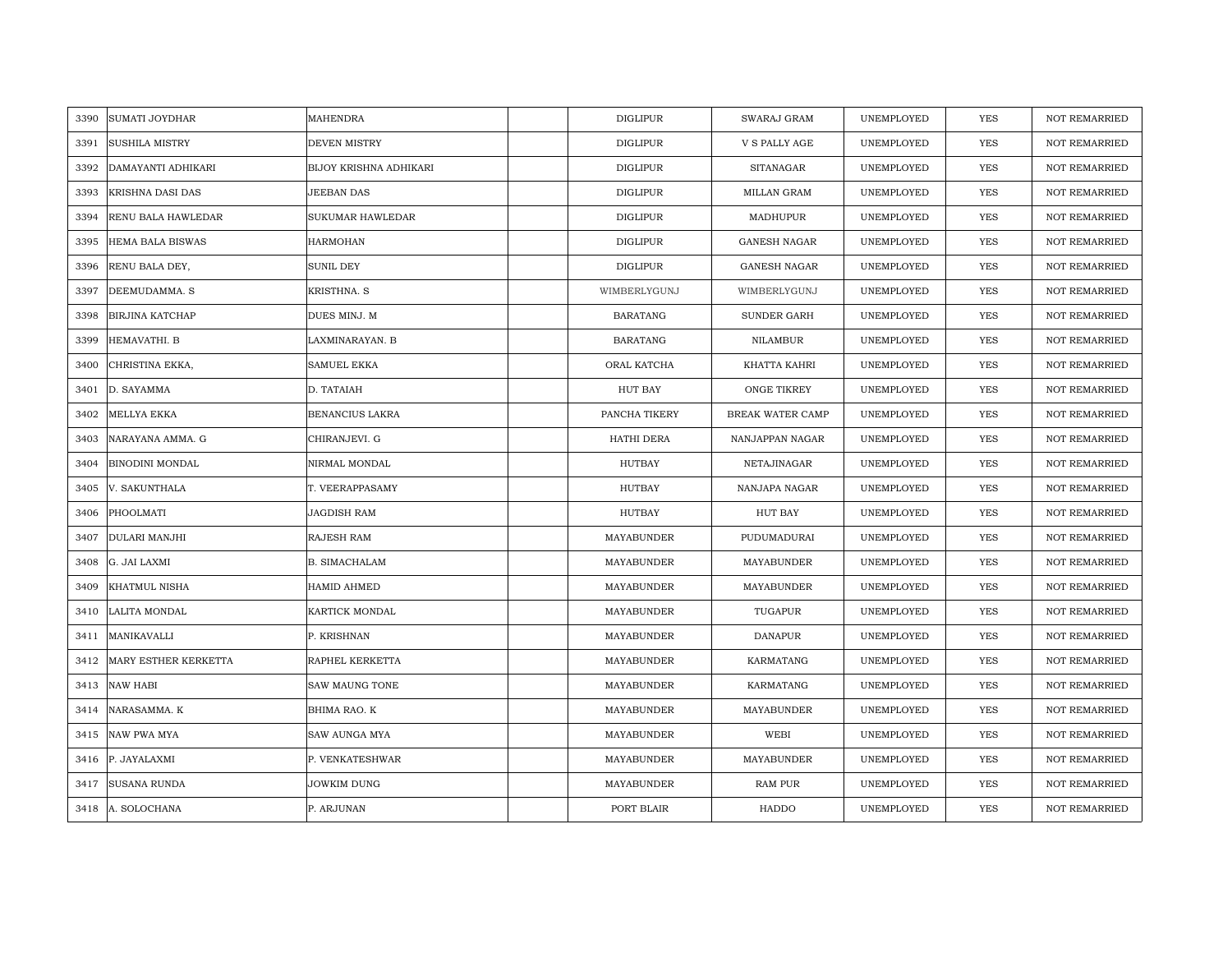| <b>MAHENDRA</b><br>3390<br><b>SUMATI JOYDHAR</b><br><b>DIGLIPUR</b><br>SWARAJ GRAM<br>UNEMPLOYED<br>YES<br>3391<br><b>SUSHILA MISTRY</b><br>DEVEN MISTRY<br><b>DIGLIPUR</b><br>V S PALLY AGE<br><b>YES</b><br>UNEMPLOYED<br><b>DIGLIPUR</b><br>3392<br>DAMAYANTI ADHIKARI<br>BIJOY KRISHNA ADHIKARI<br><b>SITANAGAR</b><br>UNEMPLOYED<br><b>YES</b><br>JEEBAN DAS<br><b>DIGLIPUR</b><br>MILLAN GRAM<br>UNEMPLOYED<br><b>YES</b><br>3393<br>KRISHNA DASI DAS<br>3394<br>RENU BALA HAWLEDAR<br>SUKUMAR HAWLEDAR<br><b>DIGLIPUR</b><br>MADHUPUR<br>UNEMPLOYED<br><b>YES</b><br>3395<br><b>HARMOHAN</b><br><b>DIGLIPUR</b><br><b>GANESH NAGAR</b><br>UNEMPLOYED<br><b>YES</b><br><b>HEMA BALA BISWAS</b><br><b>SUNIL DEY</b><br><b>DIGLIPUR</b><br>UNEMPLOYED<br><b>YES</b><br>3396<br>RENU BALA DEY,<br><b>GANESH NAGAR</b><br>3397<br>DEEMUDAMMA. S<br>KRISTHNA. S<br>WIMBERLYGUNJ<br>WIMBERLYGUNJ<br>UNEMPLOYED<br>YES<br>3398<br><b>BIRJINA KATCHAP</b><br>DUES MINJ. M<br><b>BARATANG</b><br>SUNDER GARH<br>UNEMPLOYED<br><b>YES</b><br>HEMAVATHI. B<br>YES<br>3399<br>LAXMINARAYAN. B<br><b>BARATANG</b><br>NILAMBUR<br>UNEMPLOYED<br>3400<br>CHRISTINA EKKA,<br><b>SAMUEL EKKA</b><br>ORAL KATCHA<br>KHATTA KAHRI<br>UNEMPLOYED<br>YES<br>3401<br>D. SAYAMMA<br>D. TATAIAH<br>HUT BAY<br>ONGE TIKREY<br>UNEMPLOYED<br><b>YES</b><br>YES<br>3402<br>MELLYA EKKA<br>BENANCIUS LAKRA<br>PANCHA TIKERY<br>BREAK WATER CAMP<br>UNEMPLOYED<br>CHIRANJEVI. G<br>HATHI DERA<br>UNEMPLOYED<br><b>YES</b><br>3403<br>NARAYANA AMMA. G<br>NANJAPPAN NAGAR<br><b>HUTBAY</b><br>3404<br><b>BINODINI MONDAL</b><br>NIRMAL MONDAL<br>NETAJINAGAR<br>UNEMPLOYED<br>YES<br>V. SAKUNTHALA<br>T. VEERAPPASAMY<br>HUTBAY<br>NANJAPA NAGAR<br>UNEMPLOYED<br><b>YES</b><br>3405<br>PHOOLMATI<br><b>JAGDISH RAM</b><br><b>HUTBAY</b><br><b>HUT BAY</b><br>YES<br>UNEMPLOYED<br>3406<br>3407<br>DULARI MANJHI<br>RAJESH RAM<br>MAYABUNDER<br>PUDUMADURAI<br>UNEMPLOYED<br>YES<br><b>YES</b><br>3408<br>G. JAI LAXMI<br>B. SIMACHALAM<br>MAYABUNDER<br>MAYABUNDER<br>UNEMPLOYED<br><b>YES</b><br>3409<br>KHATMUL NISHA<br><b>HAMID AHMED</b><br>MAYABUNDER<br>MAYABUNDER<br>UNEMPLOYED<br>3410<br>LALITA MONDAL<br>KARTICK MONDAL<br>MAYABUNDER<br>TUGAPUR<br>UNEMPLOYED<br>YES<br>MAYABUNDER<br><b>DANAPUR</b><br>3411<br>MANIKAVALLI<br>P. KRISHNAN<br>UNEMPLOYED<br>YES<br>3412<br>MARY ESTHER KERKETTA<br>RAPHEL KERKETTA<br>MAYABUNDER<br>KARMATANG<br>UNEMPLOYED<br>YES<br>NAW HABI<br>3413<br><b>SAW MAUNG TONE</b><br>MAYABUNDER<br>KARMATANG<br>UNEMPLOYED<br>YES<br><b>YES</b><br>3414<br>NARASAMMA. K<br>BHIMA RAO. K<br>MAYABUNDER<br>MAYABUNDER<br>UNEMPLOYED<br><b>NAW PWA MYA</b><br>MAYABUNDER<br>WEBI<br><b>YES</b><br>3415<br>SAW AUNGA MYA<br>UNEMPLOYED<br>P. VENKATESHWAR<br>MAYABUNDER<br>MAYABUNDER<br>UNEMPLOYED<br>YES<br>3416<br>P. JAYALAXMI<br><b>SUSANA RUNDA</b><br>JOWKIM DUNG<br>MAYABUNDER<br><b>RAM PUR</b><br>UNEMPLOYED<br><b>YES</b><br>3417<br>HADDO<br>3418 A. SOLOCHANA<br>P. ARJUNAN<br>PORT BLAIR<br>UNEMPLOYED<br><b>YES</b> |  |  |  |  |                      |
|---------------------------------------------------------------------------------------------------------------------------------------------------------------------------------------------------------------------------------------------------------------------------------------------------------------------------------------------------------------------------------------------------------------------------------------------------------------------------------------------------------------------------------------------------------------------------------------------------------------------------------------------------------------------------------------------------------------------------------------------------------------------------------------------------------------------------------------------------------------------------------------------------------------------------------------------------------------------------------------------------------------------------------------------------------------------------------------------------------------------------------------------------------------------------------------------------------------------------------------------------------------------------------------------------------------------------------------------------------------------------------------------------------------------------------------------------------------------------------------------------------------------------------------------------------------------------------------------------------------------------------------------------------------------------------------------------------------------------------------------------------------------------------------------------------------------------------------------------------------------------------------------------------------------------------------------------------------------------------------------------------------------------------------------------------------------------------------------------------------------------------------------------------------------------------------------------------------------------------------------------------------------------------------------------------------------------------------------------------------------------------------------------------------------------------------------------------------------------------------------------------------------------------------------------------------------------------------------------------------------------------------------------------------------------------------------------------------------------------------------------------------------------------------------------------------------------------------------------------------------------------------------------------------------------------------------------------------------------------------------------------------------------------------------------|--|--|--|--|----------------------|
|                                                                                                                                                                                                                                                                                                                                                                                                                                                                                                                                                                                                                                                                                                                                                                                                                                                                                                                                                                                                                                                                                                                                                                                                                                                                                                                                                                                                                                                                                                                                                                                                                                                                                                                                                                                                                                                                                                                                                                                                                                                                                                                                                                                                                                                                                                                                                                                                                                                                                                                                                                                                                                                                                                                                                                                                                                                                                                                                                                                                                                                   |  |  |  |  | <b>NOT REMARRIED</b> |
|                                                                                                                                                                                                                                                                                                                                                                                                                                                                                                                                                                                                                                                                                                                                                                                                                                                                                                                                                                                                                                                                                                                                                                                                                                                                                                                                                                                                                                                                                                                                                                                                                                                                                                                                                                                                                                                                                                                                                                                                                                                                                                                                                                                                                                                                                                                                                                                                                                                                                                                                                                                                                                                                                                                                                                                                                                                                                                                                                                                                                                                   |  |  |  |  | <b>NOT REMARRIED</b> |
|                                                                                                                                                                                                                                                                                                                                                                                                                                                                                                                                                                                                                                                                                                                                                                                                                                                                                                                                                                                                                                                                                                                                                                                                                                                                                                                                                                                                                                                                                                                                                                                                                                                                                                                                                                                                                                                                                                                                                                                                                                                                                                                                                                                                                                                                                                                                                                                                                                                                                                                                                                                                                                                                                                                                                                                                                                                                                                                                                                                                                                                   |  |  |  |  | <b>NOT REMARRIED</b> |
|                                                                                                                                                                                                                                                                                                                                                                                                                                                                                                                                                                                                                                                                                                                                                                                                                                                                                                                                                                                                                                                                                                                                                                                                                                                                                                                                                                                                                                                                                                                                                                                                                                                                                                                                                                                                                                                                                                                                                                                                                                                                                                                                                                                                                                                                                                                                                                                                                                                                                                                                                                                                                                                                                                                                                                                                                                                                                                                                                                                                                                                   |  |  |  |  | NOT REMARRIED        |
|                                                                                                                                                                                                                                                                                                                                                                                                                                                                                                                                                                                                                                                                                                                                                                                                                                                                                                                                                                                                                                                                                                                                                                                                                                                                                                                                                                                                                                                                                                                                                                                                                                                                                                                                                                                                                                                                                                                                                                                                                                                                                                                                                                                                                                                                                                                                                                                                                                                                                                                                                                                                                                                                                                                                                                                                                                                                                                                                                                                                                                                   |  |  |  |  | <b>NOT REMARRIED</b> |
|                                                                                                                                                                                                                                                                                                                                                                                                                                                                                                                                                                                                                                                                                                                                                                                                                                                                                                                                                                                                                                                                                                                                                                                                                                                                                                                                                                                                                                                                                                                                                                                                                                                                                                                                                                                                                                                                                                                                                                                                                                                                                                                                                                                                                                                                                                                                                                                                                                                                                                                                                                                                                                                                                                                                                                                                                                                                                                                                                                                                                                                   |  |  |  |  | <b>NOT REMARRIED</b> |
|                                                                                                                                                                                                                                                                                                                                                                                                                                                                                                                                                                                                                                                                                                                                                                                                                                                                                                                                                                                                                                                                                                                                                                                                                                                                                                                                                                                                                                                                                                                                                                                                                                                                                                                                                                                                                                                                                                                                                                                                                                                                                                                                                                                                                                                                                                                                                                                                                                                                                                                                                                                                                                                                                                                                                                                                                                                                                                                                                                                                                                                   |  |  |  |  | <b>NOT REMARRIED</b> |
|                                                                                                                                                                                                                                                                                                                                                                                                                                                                                                                                                                                                                                                                                                                                                                                                                                                                                                                                                                                                                                                                                                                                                                                                                                                                                                                                                                                                                                                                                                                                                                                                                                                                                                                                                                                                                                                                                                                                                                                                                                                                                                                                                                                                                                                                                                                                                                                                                                                                                                                                                                                                                                                                                                                                                                                                                                                                                                                                                                                                                                                   |  |  |  |  | <b>NOT REMARRIED</b> |
|                                                                                                                                                                                                                                                                                                                                                                                                                                                                                                                                                                                                                                                                                                                                                                                                                                                                                                                                                                                                                                                                                                                                                                                                                                                                                                                                                                                                                                                                                                                                                                                                                                                                                                                                                                                                                                                                                                                                                                                                                                                                                                                                                                                                                                                                                                                                                                                                                                                                                                                                                                                                                                                                                                                                                                                                                                                                                                                                                                                                                                                   |  |  |  |  | <b>NOT REMARRIED</b> |
|                                                                                                                                                                                                                                                                                                                                                                                                                                                                                                                                                                                                                                                                                                                                                                                                                                                                                                                                                                                                                                                                                                                                                                                                                                                                                                                                                                                                                                                                                                                                                                                                                                                                                                                                                                                                                                                                                                                                                                                                                                                                                                                                                                                                                                                                                                                                                                                                                                                                                                                                                                                                                                                                                                                                                                                                                                                                                                                                                                                                                                                   |  |  |  |  | <b>NOT REMARRIED</b> |
|                                                                                                                                                                                                                                                                                                                                                                                                                                                                                                                                                                                                                                                                                                                                                                                                                                                                                                                                                                                                                                                                                                                                                                                                                                                                                                                                                                                                                                                                                                                                                                                                                                                                                                                                                                                                                                                                                                                                                                                                                                                                                                                                                                                                                                                                                                                                                                                                                                                                                                                                                                                                                                                                                                                                                                                                                                                                                                                                                                                                                                                   |  |  |  |  | <b>NOT REMARRIED</b> |
|                                                                                                                                                                                                                                                                                                                                                                                                                                                                                                                                                                                                                                                                                                                                                                                                                                                                                                                                                                                                                                                                                                                                                                                                                                                                                                                                                                                                                                                                                                                                                                                                                                                                                                                                                                                                                                                                                                                                                                                                                                                                                                                                                                                                                                                                                                                                                                                                                                                                                                                                                                                                                                                                                                                                                                                                                                                                                                                                                                                                                                                   |  |  |  |  | <b>NOT REMARRIED</b> |
|                                                                                                                                                                                                                                                                                                                                                                                                                                                                                                                                                                                                                                                                                                                                                                                                                                                                                                                                                                                                                                                                                                                                                                                                                                                                                                                                                                                                                                                                                                                                                                                                                                                                                                                                                                                                                                                                                                                                                                                                                                                                                                                                                                                                                                                                                                                                                                                                                                                                                                                                                                                                                                                                                                                                                                                                                                                                                                                                                                                                                                                   |  |  |  |  | <b>NOT REMARRIED</b> |
|                                                                                                                                                                                                                                                                                                                                                                                                                                                                                                                                                                                                                                                                                                                                                                                                                                                                                                                                                                                                                                                                                                                                                                                                                                                                                                                                                                                                                                                                                                                                                                                                                                                                                                                                                                                                                                                                                                                                                                                                                                                                                                                                                                                                                                                                                                                                                                                                                                                                                                                                                                                                                                                                                                                                                                                                                                                                                                                                                                                                                                                   |  |  |  |  | <b>NOT REMARRIED</b> |
|                                                                                                                                                                                                                                                                                                                                                                                                                                                                                                                                                                                                                                                                                                                                                                                                                                                                                                                                                                                                                                                                                                                                                                                                                                                                                                                                                                                                                                                                                                                                                                                                                                                                                                                                                                                                                                                                                                                                                                                                                                                                                                                                                                                                                                                                                                                                                                                                                                                                                                                                                                                                                                                                                                                                                                                                                                                                                                                                                                                                                                                   |  |  |  |  | <b>NOT REMARRIED</b> |
|                                                                                                                                                                                                                                                                                                                                                                                                                                                                                                                                                                                                                                                                                                                                                                                                                                                                                                                                                                                                                                                                                                                                                                                                                                                                                                                                                                                                                                                                                                                                                                                                                                                                                                                                                                                                                                                                                                                                                                                                                                                                                                                                                                                                                                                                                                                                                                                                                                                                                                                                                                                                                                                                                                                                                                                                                                                                                                                                                                                                                                                   |  |  |  |  | <b>NOT REMARRIED</b> |
|                                                                                                                                                                                                                                                                                                                                                                                                                                                                                                                                                                                                                                                                                                                                                                                                                                                                                                                                                                                                                                                                                                                                                                                                                                                                                                                                                                                                                                                                                                                                                                                                                                                                                                                                                                                                                                                                                                                                                                                                                                                                                                                                                                                                                                                                                                                                                                                                                                                                                                                                                                                                                                                                                                                                                                                                                                                                                                                                                                                                                                                   |  |  |  |  | <b>NOT REMARRIED</b> |
|                                                                                                                                                                                                                                                                                                                                                                                                                                                                                                                                                                                                                                                                                                                                                                                                                                                                                                                                                                                                                                                                                                                                                                                                                                                                                                                                                                                                                                                                                                                                                                                                                                                                                                                                                                                                                                                                                                                                                                                                                                                                                                                                                                                                                                                                                                                                                                                                                                                                                                                                                                                                                                                                                                                                                                                                                                                                                                                                                                                                                                                   |  |  |  |  | <b>NOT REMARRIED</b> |
|                                                                                                                                                                                                                                                                                                                                                                                                                                                                                                                                                                                                                                                                                                                                                                                                                                                                                                                                                                                                                                                                                                                                                                                                                                                                                                                                                                                                                                                                                                                                                                                                                                                                                                                                                                                                                                                                                                                                                                                                                                                                                                                                                                                                                                                                                                                                                                                                                                                                                                                                                                                                                                                                                                                                                                                                                                                                                                                                                                                                                                                   |  |  |  |  | <b>NOT REMARRIED</b> |
|                                                                                                                                                                                                                                                                                                                                                                                                                                                                                                                                                                                                                                                                                                                                                                                                                                                                                                                                                                                                                                                                                                                                                                                                                                                                                                                                                                                                                                                                                                                                                                                                                                                                                                                                                                                                                                                                                                                                                                                                                                                                                                                                                                                                                                                                                                                                                                                                                                                                                                                                                                                                                                                                                                                                                                                                                                                                                                                                                                                                                                                   |  |  |  |  | <b>NOT REMARRIED</b> |
|                                                                                                                                                                                                                                                                                                                                                                                                                                                                                                                                                                                                                                                                                                                                                                                                                                                                                                                                                                                                                                                                                                                                                                                                                                                                                                                                                                                                                                                                                                                                                                                                                                                                                                                                                                                                                                                                                                                                                                                                                                                                                                                                                                                                                                                                                                                                                                                                                                                                                                                                                                                                                                                                                                                                                                                                                                                                                                                                                                                                                                                   |  |  |  |  | <b>NOT REMARRIED</b> |
|                                                                                                                                                                                                                                                                                                                                                                                                                                                                                                                                                                                                                                                                                                                                                                                                                                                                                                                                                                                                                                                                                                                                                                                                                                                                                                                                                                                                                                                                                                                                                                                                                                                                                                                                                                                                                                                                                                                                                                                                                                                                                                                                                                                                                                                                                                                                                                                                                                                                                                                                                                                                                                                                                                                                                                                                                                                                                                                                                                                                                                                   |  |  |  |  | <b>NOT REMARRIED</b> |
|                                                                                                                                                                                                                                                                                                                                                                                                                                                                                                                                                                                                                                                                                                                                                                                                                                                                                                                                                                                                                                                                                                                                                                                                                                                                                                                                                                                                                                                                                                                                                                                                                                                                                                                                                                                                                                                                                                                                                                                                                                                                                                                                                                                                                                                                                                                                                                                                                                                                                                                                                                                                                                                                                                                                                                                                                                                                                                                                                                                                                                                   |  |  |  |  | <b>NOT REMARRIED</b> |
|                                                                                                                                                                                                                                                                                                                                                                                                                                                                                                                                                                                                                                                                                                                                                                                                                                                                                                                                                                                                                                                                                                                                                                                                                                                                                                                                                                                                                                                                                                                                                                                                                                                                                                                                                                                                                                                                                                                                                                                                                                                                                                                                                                                                                                                                                                                                                                                                                                                                                                                                                                                                                                                                                                                                                                                                                                                                                                                                                                                                                                                   |  |  |  |  | <b>NOT REMARRIED</b> |
|                                                                                                                                                                                                                                                                                                                                                                                                                                                                                                                                                                                                                                                                                                                                                                                                                                                                                                                                                                                                                                                                                                                                                                                                                                                                                                                                                                                                                                                                                                                                                                                                                                                                                                                                                                                                                                                                                                                                                                                                                                                                                                                                                                                                                                                                                                                                                                                                                                                                                                                                                                                                                                                                                                                                                                                                                                                                                                                                                                                                                                                   |  |  |  |  | <b>NOT REMARRIED</b> |
|                                                                                                                                                                                                                                                                                                                                                                                                                                                                                                                                                                                                                                                                                                                                                                                                                                                                                                                                                                                                                                                                                                                                                                                                                                                                                                                                                                                                                                                                                                                                                                                                                                                                                                                                                                                                                                                                                                                                                                                                                                                                                                                                                                                                                                                                                                                                                                                                                                                                                                                                                                                                                                                                                                                                                                                                                                                                                                                                                                                                                                                   |  |  |  |  | NOT REMARRIED        |
|                                                                                                                                                                                                                                                                                                                                                                                                                                                                                                                                                                                                                                                                                                                                                                                                                                                                                                                                                                                                                                                                                                                                                                                                                                                                                                                                                                                                                                                                                                                                                                                                                                                                                                                                                                                                                                                                                                                                                                                                                                                                                                                                                                                                                                                                                                                                                                                                                                                                                                                                                                                                                                                                                                                                                                                                                                                                                                                                                                                                                                                   |  |  |  |  | <b>NOT REMARRIED</b> |
|                                                                                                                                                                                                                                                                                                                                                                                                                                                                                                                                                                                                                                                                                                                                                                                                                                                                                                                                                                                                                                                                                                                                                                                                                                                                                                                                                                                                                                                                                                                                                                                                                                                                                                                                                                                                                                                                                                                                                                                                                                                                                                                                                                                                                                                                                                                                                                                                                                                                                                                                                                                                                                                                                                                                                                                                                                                                                                                                                                                                                                                   |  |  |  |  | <b>NOT REMARRIED</b> |
|                                                                                                                                                                                                                                                                                                                                                                                                                                                                                                                                                                                                                                                                                                                                                                                                                                                                                                                                                                                                                                                                                                                                                                                                                                                                                                                                                                                                                                                                                                                                                                                                                                                                                                                                                                                                                                                                                                                                                                                                                                                                                                                                                                                                                                                                                                                                                                                                                                                                                                                                                                                                                                                                                                                                                                                                                                                                                                                                                                                                                                                   |  |  |  |  | <b>NOT REMARRIED</b> |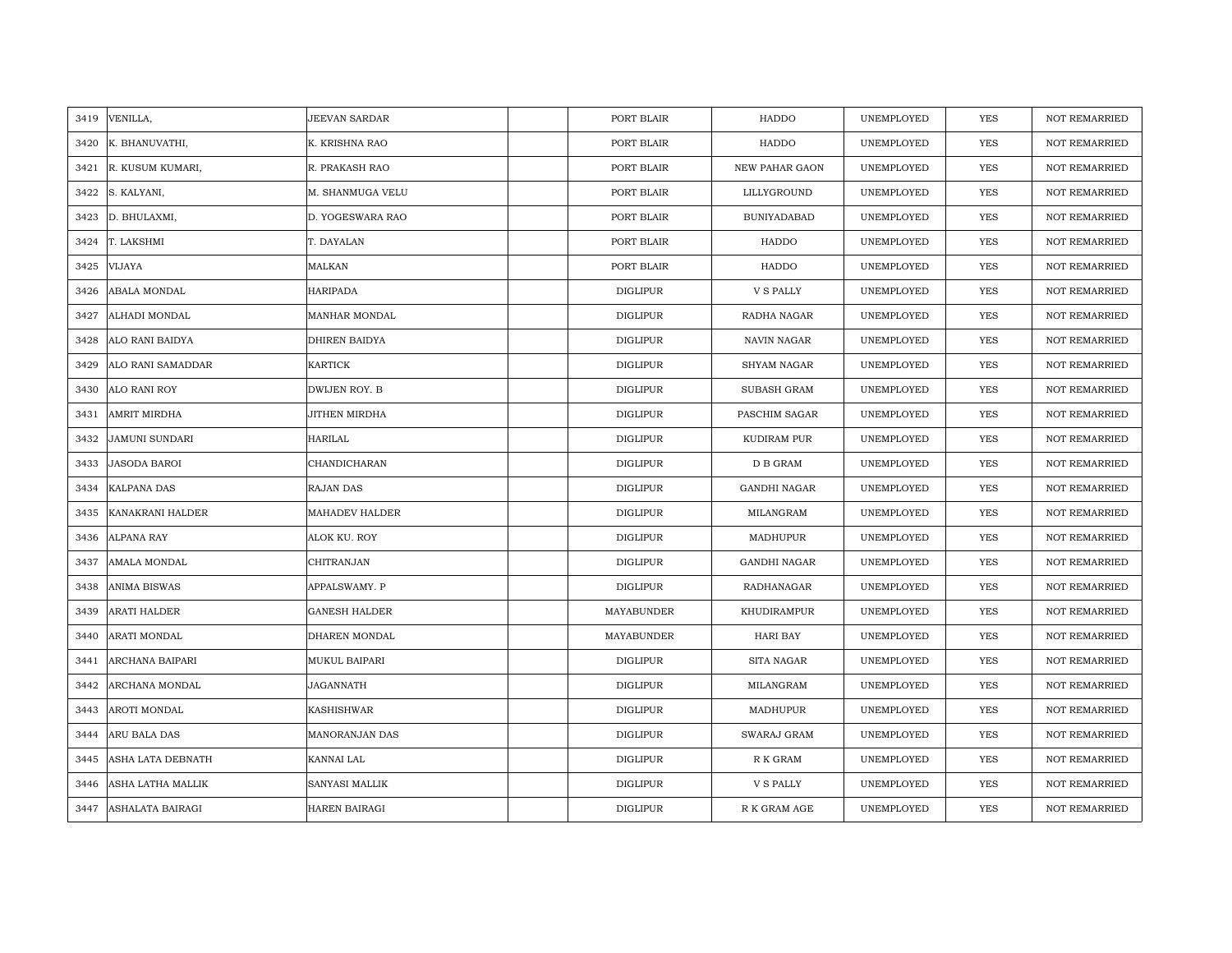| 3419 | VENILLA,              | JEEVAN SARDAR        | PORT BLAIR      | HADDO                  | UNEMPLOYED | YES        | <b>NOT REMARRIED</b> |
|------|-----------------------|----------------------|-----------------|------------------------|------------|------------|----------------------|
| 3420 | K. BHANUVATHI,        | K. KRISHNA RAO       | PORT BLAIR      | HADDO                  | UNEMPLOYED | <b>YES</b> | <b>NOT REMARRIED</b> |
| 3421 | R. KUSUM KUMARI,      | R. PRAKASH RAO       | PORT BLAIR      | <b>NEW PAHAR GAON</b>  | UNEMPLOYED | <b>YES</b> | <b>NOT REMARRIED</b> |
| 3422 | S. KALYANI,           | M. SHANMUGA VELU     | PORT BLAIR      | LILLYGROUND            | UNEMPLOYED | <b>YES</b> | NOT REMARRIED        |
| 3423 | D. BHULAXMI,          | D. YOGESWARA RAO     | PORT BLAIR      | <b>BUNIYADABAD</b>     | UNEMPLOYED | <b>YES</b> | <b>NOT REMARRIED</b> |
| 3424 | T. LAKSHMI            | T. DAYALAN           | PORT BLAIR      | HADDO                  | UNEMPLOYED | <b>YES</b> | <b>NOT REMARRIED</b> |
| 3425 | <b>VIJAYA</b>         | MALKAN               | PORT BLAIR      | HADDO                  | UNEMPLOYED | <b>YES</b> | <b>NOT REMARRIED</b> |
| 3426 | ABALA MONDAL          | HARIPADA             | DIGLIPUR        | V S PALLY              | UNEMPLOYED | YES        | <b>NOT REMARRIED</b> |
| 3427 | ALHADI MONDAL         | MANHAR MONDAL        | <b>DIGLIPUR</b> | RADHA NAGAR            | UNEMPLOYED | YES        | <b>NOT REMARRIED</b> |
| 3428 | ALO RANI BAIDYA       | DHIREN BAIDYA        | <b>DIGLIPUR</b> | NAVIN NAGAR            | UNEMPLOYED | YES        | <b>NOT REMARRIED</b> |
| 3429 | ALO RANI SAMADDAR     | KARTICK              | <b>DIGLIPUR</b> | SHYAM NAGAR            | UNEMPLOYED | YES        | <b>NOT REMARRIED</b> |
| 3430 | ALO RANI ROY          | DWIJEN ROY. B        | <b>DIGLIPUR</b> | SUBASH GRAM            | UNEMPLOYED | YES        | NOT REMARRIED        |
| 3431 | AMRIT MIRDHA          | JITHEN MIRDHA        | <b>DIGLIPUR</b> | PASCHIM SAGAR          | UNEMPLOYED | YES        | <b>NOT REMARRIED</b> |
| 3432 | <b>JAMUNI SUNDARI</b> | HARILAL              | <b>DIGLIPUR</b> | KUDIRAM PUR            | UNEMPLOYED | <b>YES</b> | <b>NOT REMARRIED</b> |
| 3433 | <b>JASODA BAROI</b>   | CHANDICHARAN         | <b>DIGLIPUR</b> | ${\mathcal{D}}$ B GRAM | UNEMPLOYED | YES        | <b>NOT REMARRIED</b> |
| 3434 | <b>KALPANA DAS</b>    | RAJAN DAS            | <b>DIGLIPUR</b> | <b>GANDHI NAGAR</b>    | UNEMPLOYED | <b>YES</b> | <b>NOT REMARRIED</b> |
| 3435 | KANAKRANI HALDER      | MAHADEV HALDER       | <b>DIGLIPUR</b> | MILANGRAM              | UNEMPLOYED | YES        | <b>NOT REMARRIED</b> |
| 3436 | ALPANA RAY            | ALOK KU. ROY         | <b>DIGLIPUR</b> | MADHUPUR               | UNEMPLOYED | YES        | <b>NOT REMARRIED</b> |
| 3437 | AMALA MONDAL          | CHITRANJAN           | <b>DIGLIPUR</b> | <b>GANDHI NAGAR</b>    | UNEMPLOYED | <b>YES</b> | <b>NOT REMARRIED</b> |
| 3438 | ANIMA BISWAS          | APPALSWAMY. P        | <b>DIGLIPUR</b> | RADHANAGAR             | UNEMPLOYED | <b>YES</b> | <b>NOT REMARRIED</b> |
| 3439 | ARATI HALDER          | <b>GANESH HALDER</b> | MAYABUNDER      | KHUDIRAMPUR            | UNEMPLOYED | YES        | <b>NOT REMARRIED</b> |
| 3440 | ARATI MONDAL          | DHAREN MONDAL        | MAYABUNDER      | HARI BAY               | UNEMPLOYED | YES        | <b>NOT REMARRIED</b> |
| 3441 | ARCHANA BAIPARI       | MUKUL BAIPARI        | <b>DIGLIPUR</b> | SITA NAGAR             | UNEMPLOYED | <b>YES</b> | <b>NOT REMARRIED</b> |
| 3442 | ARCHANA MONDAL        | JAGANNATH            | <b>DIGLIPUR</b> | MILANGRAM              | UNEMPLOYED | YES        | <b>NOT REMARRIED</b> |
| 3443 | AROTI MONDAL          | KASHISHWAR           | <b>DIGLIPUR</b> | MADHUPUR               | UNEMPLOYED | YES        | <b>NOT REMARRIED</b> |
| 3444 | ARU BALA DAS          | MANORANJAN DAS       | <b>DIGLIPUR</b> | SWARAJ GRAM            | UNEMPLOYED | YES        | NOT REMARRIED        |
| 3445 | ASHA LATA DEBNATH     | KANNAI LAL           | DIGLIPUR        | R K GRAM               | UNEMPLOYED | YES        | <b>NOT REMARRIED</b> |
| 3446 | ASHA LATHA MALLIK     | SANYASI MALLIK       | <b>DIGLIPUR</b> | V S PALLY              | UNEMPLOYED | <b>YES</b> | <b>NOT REMARRIED</b> |
| 3447 | ASHALATA BAIRAGI      | <b>HAREN BAIRAGI</b> | <b>DIGLIPUR</b> | R K GRAM AGE           | UNEMPLOYED | <b>YES</b> | <b>NOT REMARRIED</b> |
|      |                       |                      |                 |                        |            |            |                      |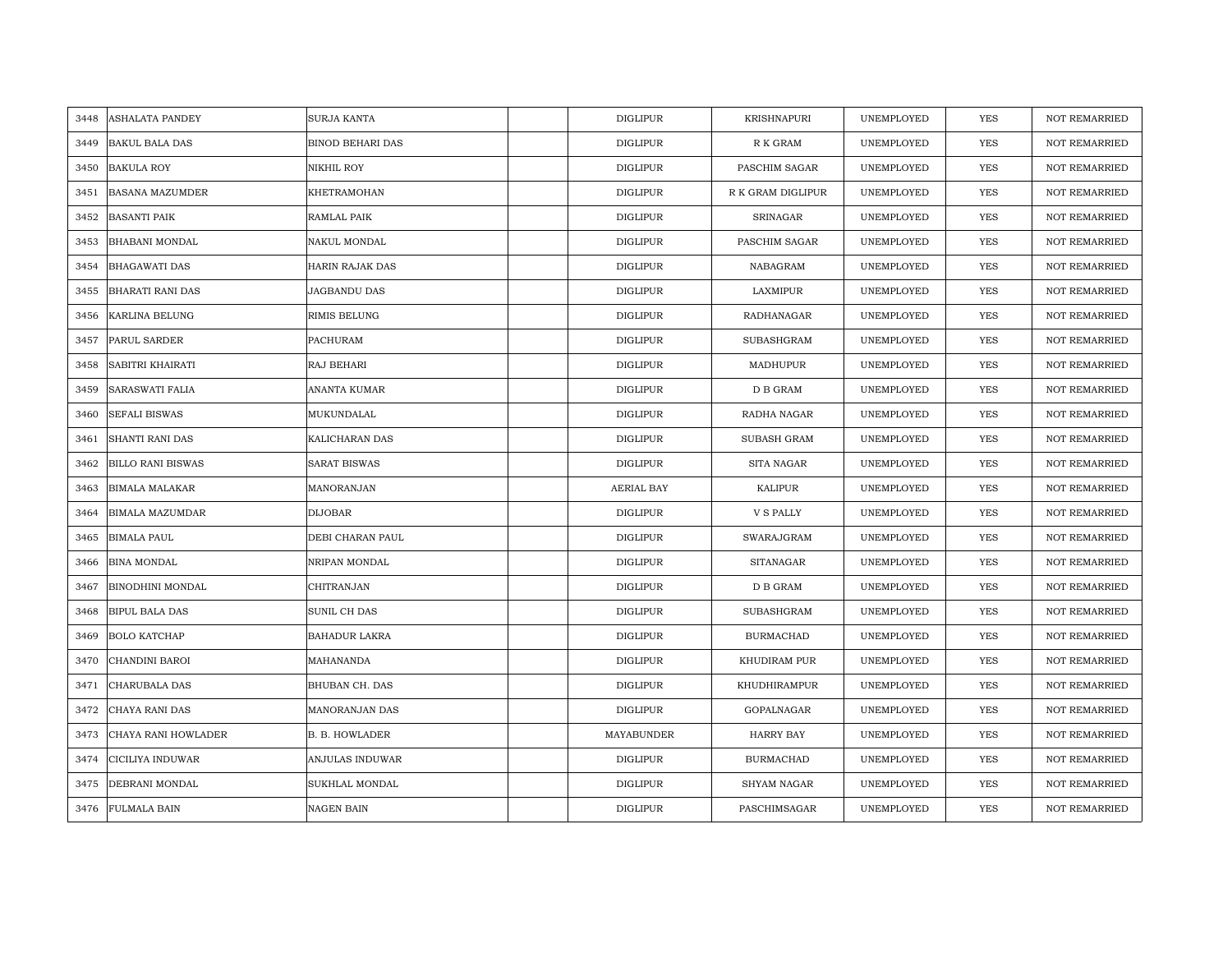| 3448 | ASHALATA PANDEY          | SURJA KANTA             | <b>DIGLIPUR</b> | KRISHNAPURI        | UNEMPLOYED | <b>YES</b> | <b>NOT REMARRIED</b> |
|------|--------------------------|-------------------------|-----------------|--------------------|------------|------------|----------------------|
| 3449 | <b>BAKUL BALA DAS</b>    | <b>BINOD BEHARI DAS</b> | <b>DIGLIPUR</b> | R K GRAM           | UNEMPLOYED | <b>YES</b> | NOT REMARRIED        |
| 3450 | <b>BAKULA ROY</b>        | NIKHIL ROY              | <b>DIGLIPUR</b> | PASCHIM SAGAR      | UNEMPLOYED | YES        | <b>NOT REMARRIED</b> |
| 3451 | <b>BASANA MAZUMDER</b>   | KHETRAMOHAN             | <b>DIGLIPUR</b> | R K GRAM DIGLIPUR  | UNEMPLOYED | YES        | NOT REMARRIED        |
| 3452 | <b>BASANTI PAIK</b>      | RAMLAL PAIK             | <b>DIGLIPUR</b> | <b>SRINAGAR</b>    | UNEMPLOYED | YES        | <b>NOT REMARRIED</b> |
| 3453 | <b>BHABANI MONDAL</b>    | NAKUL MONDAL            | <b>DIGLIPUR</b> | PASCHIM SAGAR      | UNEMPLOYED | YES        | <b>NOT REMARRIED</b> |
| 3454 | <b>BHAGAWATI DAS</b>     | <b>HARIN RAJAK DAS</b>  | <b>DIGLIPUR</b> | NABAGRAM           | UNEMPLOYED | YES        | <b>NOT REMARRIED</b> |
| 3455 | BHARATI RANI DAS         | JAGBANDU DAS            | <b>DIGLIPUR</b> | LAXMIPUR           | UNEMPLOYED | YES        | NOT REMARRIED        |
| 3456 | KARLINA BELUNG           | RIMIS BELUNG            | DIGLIPUR        | RADHANAGAR         | UNEMPLOYED | YES        | NOT REMARRIED        |
| 3457 | PARUL SARDER             | PACHURAM                | <b>DIGLIPUR</b> | SUBASHGRAM         | UNEMPLOYED | YES        | <b>NOT REMARRIED</b> |
| 3458 | SABITRI KHAIRATI         | RAJ BEHARI              | <b>DIGLIPUR</b> | MADHUPUR           | UNEMPLOYED | YES        | <b>NOT REMARRIED</b> |
| 3459 | SARASWATI FALIA          | ANANTA KUMAR            | <b>DIGLIPUR</b> | D B GRAM           | UNEMPLOYED | YES        | NOT REMARRIED        |
| 3460 | <b>SEFALI BISWAS</b>     | MUKUNDALAL              | <b>DIGLIPUR</b> | RADHA NAGAR        | UNEMPLOYED | YES        | NOT REMARRIED        |
| 3461 | <b>SHANTI RANI DAS</b>   | KALICHARAN DAS          | <b>DIGLIPUR</b> | <b>SUBASH GRAM</b> | UNEMPLOYED | <b>YES</b> | <b>NOT REMARRIED</b> |
| 3462 | <b>BILLO RANI BISWAS</b> | <b>SARAT BISWAS</b>     | <b>DIGLIPUR</b> | SITA NAGAR         | UNEMPLOYED | YES        | NOT REMARRIED        |
| 3463 | <b>BIMALA MALAKAR</b>    | MANORANJAN              | AERIAL BAY      | <b>KALIPUR</b>     | UNEMPLOYED | YES        | <b>NOT REMARRIED</b> |
| 3464 | <b>BIMALA MAZUMDAR</b>   | <b>DIJOBAR</b>          | <b>DIGLIPUR</b> | <b>V S PALLY</b>   | UNEMPLOYED | YES        | <b>NOT REMARRIED</b> |
| 3465 | <b>BIMALA PAUL</b>       | DEBI CHARAN PAUL        | <b>DIGLIPUR</b> | SWARAJGRAM         | UNEMPLOYED | YES        | <b>NOT REMARRIED</b> |
| 3466 | <b>BINA MONDAL</b>       | NRIPAN MONDAL           | <b>DIGLIPUR</b> | <b>SITANAGAR</b>   | UNEMPLOYED | YES        | NOT REMARRIED        |
| 3467 | <b>BINODHINI MONDAL</b>  | CHITRANJAN              | <b>DIGLIPUR</b> | D B GRAM           | UNEMPLOYED | <b>YES</b> | <b>NOT REMARRIED</b> |
| 3468 | <b>BIPUL BALA DAS</b>    | SUNIL CH DAS            | <b>DIGLIPUR</b> | <b>SUBASHGRAM</b>  | UNEMPLOYED | YES        | <b>NOT REMARRIED</b> |
| 3469 | <b>BOLO KATCHAP</b>      | <b>BAHADUR LAKRA</b>    | <b>DIGLIPUR</b> | <b>BURMACHAD</b>   | UNEMPLOYED | YES        | NOT REMARRIED        |
| 3470 | CHANDINI BAROI           | MAHANANDA               | <b>DIGLIPUR</b> | KHUDIRAM PUR       | UNEMPLOYED | YES        | <b>NOT REMARRIED</b> |
| 3471 | CHARUBALA DAS            | BHUBAN CH. DAS          | <b>DIGLIPUR</b> | KHUDHIRAMPUR       | UNEMPLOYED | YES        | <b>NOT REMARRIED</b> |
| 3472 | CHAYA RANI DAS           | MANORANJAN DAS          | <b>DIGLIPUR</b> | GOPALNAGAR         | UNEMPLOYED | YES        | <b>NOT REMARRIED</b> |
| 3473 | CHAYA RANI HOWLADER      | <b>B. B. HOWLADER</b>   | MAYABUNDER      | HARRY BAY          | UNEMPLOYED | YES        | NOT REMARRIED        |
| 3474 | CICILIYA INDUWAR         | ANJULAS INDUWAR         | DIGLIPUR        | <b>BURMACHAD</b>   | UNEMPLOYED | YES        | <b>NOT REMARRIED</b> |
| 3475 | DEBRANI MONDAL           | SUKHLAL MONDAL          | <b>DIGLIPUR</b> | <b>SHYAM NAGAR</b> | UNEMPLOYED | YES        | <b>NOT REMARRIED</b> |
|      | 3476 FULMALA BAIN        | <b>NAGEN BAIN</b>       | <b>DIGLIPUR</b> | PASCHIMSAGAR       | UNEMPLOYED | <b>YES</b> | <b>NOT REMARRIED</b> |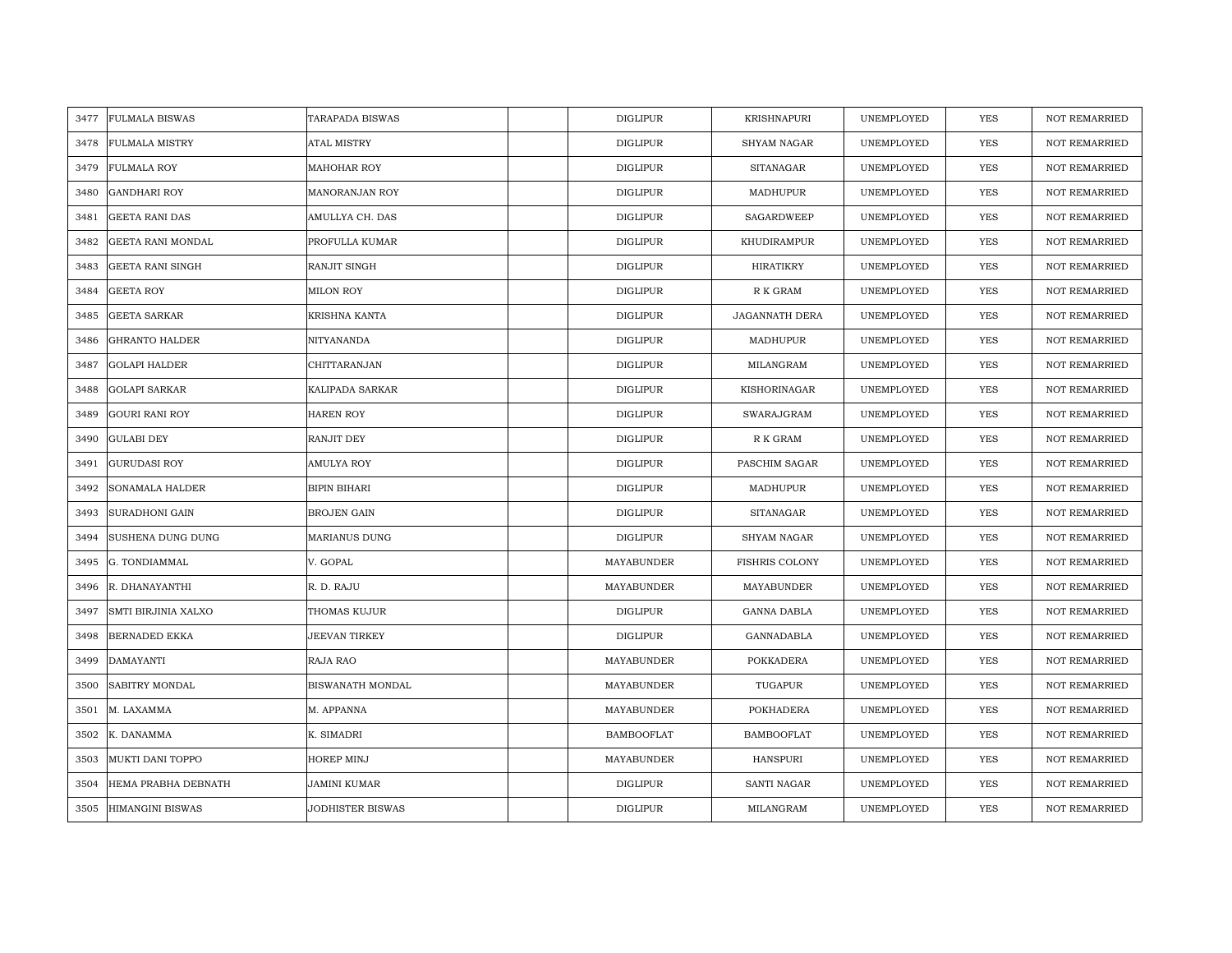| 3477 | <b>FULMALA BISWAS</b>   | <b>TARAPADA BISWAS</b>  | <b>DIGLIPUR</b>   | <b>KRISHNAPURI</b>    | UNEMPLOYED | <b>YES</b> | <b>NOT REMARRIED</b> |
|------|-------------------------|-------------------------|-------------------|-----------------------|------------|------------|----------------------|
| 3478 | <b>FULMALA MISTRY</b>   | <b>ATAL MISTRY</b>      | <b>DIGLIPUR</b>   | <b>SHYAM NAGAR</b>    | UNEMPLOYED | <b>YES</b> | <b>NOT REMARRIED</b> |
| 3479 | <b>FULMALA ROY</b>      | <b>MAHOHAR ROY</b>      | <b>DIGLIPUR</b>   | <b>SITANAGAR</b>      | UNEMPLOYED | YES        | <b>NOT REMARRIED</b> |
| 3480 | <b>GANDHARI ROY</b>     | MANORANJAN ROY          | <b>DIGLIPUR</b>   | MADHUPUR              | UNEMPLOYED | YES        | <b>NOT REMARRIED</b> |
| 3481 | <b>GEETA RANI DAS</b>   | AMULLYA CH. DAS         | <b>DIGLIPUR</b>   | SAGARDWEEP            | UNEMPLOYED | YES        | <b>NOT REMARRIED</b> |
| 3482 | GEETA RANI MONDAL       | PROFULLA KUMAR          | <b>DIGLIPUR</b>   | KHUDIRAMPUR           | UNEMPLOYED | YES        | NOT REMARRIED        |
| 3483 | <b>GEETA RANI SINGH</b> | RANJIT SINGH            | <b>DIGLIPUR</b>   | HIRATIKRY             | UNEMPLOYED | YES        | <b>NOT REMARRIED</b> |
| 3484 | <b>GEETA ROY</b>        | MILON ROY               | <b>DIGLIPUR</b>   | R K GRAM              | UNEMPLOYED | YES        | <b>NOT REMARRIED</b> |
| 3485 | <b>GEETA SARKAR</b>     | <b>KRISHNA KANTA</b>    | <b>DIGLIPUR</b>   | <b>JAGANNATH DERA</b> | UNEMPLOYED | <b>YES</b> | NOT REMARRIED        |
| 3486 | <b>GHRANTO HALDER</b>   | NITYANANDA              | <b>DIGLIPUR</b>   | MADHUPUR              | UNEMPLOYED | YES        | <b>NOT REMARRIED</b> |
| 3487 | <b>GOLAPI HALDER</b>    | CHITTARANJAN            | <b>DIGLIPUR</b>   | MILANGRAM             | UNEMPLOYED | YES        | <b>NOT REMARRIED</b> |
| 3488 | <b>GOLAPI SARKAR</b>    | KALIPADA SARKAR         | <b>DIGLIPUR</b>   | KISHORINAGAR          | UNEMPLOYED | YES        | <b>NOT REMARRIED</b> |
| 3489 | <b>GOURI RANI ROY</b>   | <b>HAREN ROY</b>        | <b>DIGLIPUR</b>   | SWARAJGRAM            | UNEMPLOYED | YES        | NOT REMARRIED        |
| 3490 | <b>GULABI DEY</b>       | RANJIT DEY              | <b>DIGLIPUR</b>   | R K GRAM              | UNEMPLOYED | <b>YES</b> | <b>NOT REMARRIED</b> |
| 3491 | <b>GURUDASI ROY</b>     | AMULYA ROY              | <b>DIGLIPUR</b>   | PASCHIM SAGAR         | UNEMPLOYED | YES        | NOT REMARRIED        |
| 3492 | SONAMALA HALDER         | <b>BIPIN BIHARI</b>     | <b>DIGLIPUR</b>   | MADHUPUR              | UNEMPLOYED | <b>YES</b> | NOT REMARRIED        |
| 3493 | <b>SURADHONI GAIN</b>   | <b>BROJEN GAIN</b>      | <b>DIGLIPUR</b>   | <b>SITANAGAR</b>      | UNEMPLOYED | YES        | <b>NOT REMARRIED</b> |
| 3494 | SUSHENA DUNG DUNG       | <b>MARIANUS DUNG</b>    | <b>DIGLIPUR</b>   | <b>SHYAM NAGAR</b>    | UNEMPLOYED | YES        | <b>NOT REMARRIED</b> |
| 3495 | G. TONDIAMMAL           | V. GOPAL                | MAYABUNDER        | <b>FISHRIS COLONY</b> | UNEMPLOYED | YES        | <b>NOT REMARRIED</b> |
| 3496 | R. DHANAYANTHI          | R. D. RAJU              | MAYABUNDER        | MAYABUNDER            | UNEMPLOYED | YES        | <b>NOT REMARRIED</b> |
| 3497 | SMTI BIRJINIA XALXO     | <b>THOMAS KUJUR</b>     | <b>DIGLIPUR</b>   | <b>GANNA DABLA</b>    | UNEMPLOYED | YES        | <b>NOT REMARRIED</b> |
| 3498 | <b>BERNADED EKKA</b>    | JEEVAN TIRKEY           | DIGLIPUR          | GANNADABLA            | UNEMPLOYED | YES        | <b>NOT REMARRIED</b> |
| 3499 | <b>DAMAYANTI</b>        | RAJA RAO                | MAYABUNDER        | <b>POKKADERA</b>      | UNEMPLOYED | YES        | <b>NOT REMARRIED</b> |
| 3500 | SABITRY MONDAL          | BISWANATH MONDAL        | MAYABUNDER        | TUGAPUR               | UNEMPLOYED | <b>YES</b> | <b>NOT REMARRIED</b> |
| 3501 | M. LAXAMMA              | M. APPANNA              | MAYABUNDER        | POKHADERA             | UNEMPLOYED | YES        | <b>NOT REMARRIED</b> |
| 3502 | K. DANAMMA              | K. SIMADRI              | <b>BAMBOOFLAT</b> | <b>BAMBOOFLAT</b>     | UNEMPLOYED | YES        | NOT REMARRIED        |
| 3503 | MUKTI DANI TOPPO        | HOREP MINJ              | MAYABUNDER        | <b>HANSPURI</b>       | UNEMPLOYED | YES        | <b>NOT REMARRIED</b> |
| 3504 | HEMA PRABHA DEBNATH     | JAMINI KUMAR            | <b>DIGLIPUR</b>   | <b>SANTI NAGAR</b>    | UNEMPLOYED | YES        | <b>NOT REMARRIED</b> |
| 3505 | <b>HIMANGINI BISWAS</b> | <b>JODHISTER BISWAS</b> | <b>DIGLIPUR</b>   | MILANGRAM             | UNEMPLOYED | YES        | NOT REMARRIED        |
|      |                         |                         |                   |                       |            |            |                      |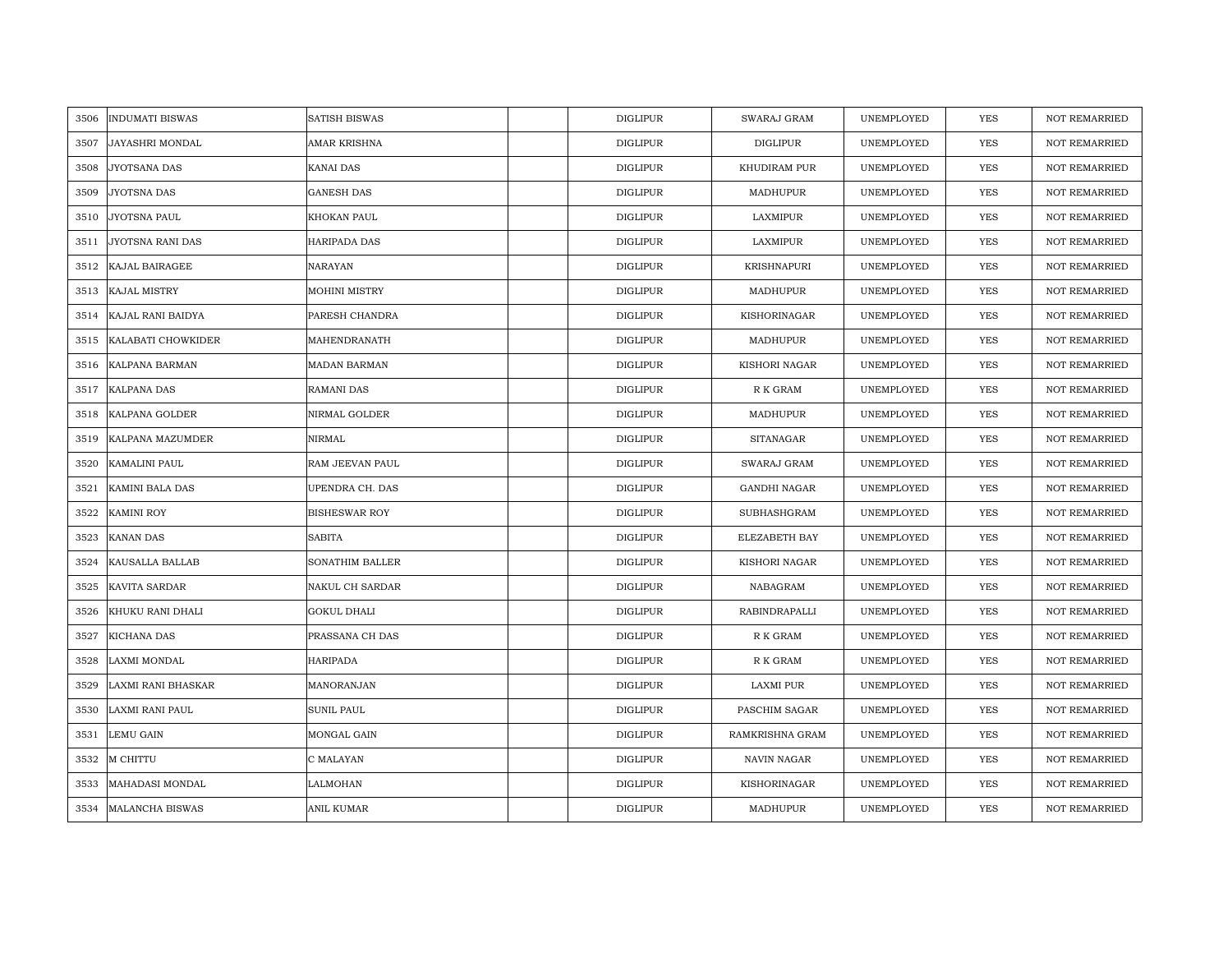| 3506 | <b>INDUMATI BISWAS</b> | <b>SATISH BISWAS</b> | <b>DIGLIPUR</b> | SWARAJ GRAM         | UNEMPLOYED | YES        | <b>NOT REMARRIED</b> |
|------|------------------------|----------------------|-----------------|---------------------|------------|------------|----------------------|
| 3507 | JAYASHRI MONDAL        | AMAR KRISHNA         | <b>DIGLIPUR</b> | <b>DIGLIPUR</b>     | UNEMPLOYED | <b>YES</b> | <b>NOT REMARRIED</b> |
| 3508 | JYOTSANA DAS           | KANAI DAS            | <b>DIGLIPUR</b> | KHUDIRAM PUR        | UNEMPLOYED | YES        | <b>NOT REMARRIED</b> |
| 3509 | JYOTSNA DAS            | <b>GANESH DAS</b>    | <b>DIGLIPUR</b> | MADHUPUR            | UNEMPLOYED | YES        | <b>NOT REMARRIED</b> |
| 3510 | JYOTSNA PAUL           | KHOKAN PAUL          | <b>DIGLIPUR</b> | LAXMIPUR            | UNEMPLOYED | YES        | <b>NOT REMARRIED</b> |
| 3511 | JYOTSNA RANI DAS       | HARIPADA DAS         | <b>DIGLIPUR</b> | LAXMIPUR            | UNEMPLOYED | YES        | NOT REMARRIED        |
| 3512 | KAJAL BAIRAGEE         | NARAYAN              | <b>DIGLIPUR</b> | <b>KRISHNAPURI</b>  | UNEMPLOYED | <b>YES</b> | <b>NOT REMARRIED</b> |
| 3513 | <b>KAJAL MISTRY</b>    | <b>MOHINI MISTRY</b> | <b>DIGLIPUR</b> | MADHUPUR            | UNEMPLOYED | <b>YES</b> | <b>NOT REMARRIED</b> |
| 3514 | KAJAL RANI BAIDYA      | PARESH CHANDRA       | <b>DIGLIPUR</b> | KISHORINAGAR        | UNEMPLOYED | <b>YES</b> | NOT REMARRIED        |
| 3515 | KALABATI CHOWKIDER     | MAHENDRANATH         | <b>DIGLIPUR</b> | MADHUPUR            | UNEMPLOYED | <b>YES</b> | <b>NOT REMARRIED</b> |
| 3516 | KALPANA BARMAN         | <b>MADAN BARMAN</b>  | <b>DIGLIPUR</b> | KISHORI NAGAR       | UNEMPLOYED | <b>YES</b> | <b>NOT REMARRIED</b> |
| 3517 | <b>KALPANA DAS</b>     | <b>RAMANI DAS</b>    | <b>DIGLIPUR</b> | R K GRAM            | UNEMPLOYED | <b>YES</b> | <b>NOT REMARRIED</b> |
| 3518 | KALPANA GOLDER         | NIRMAL GOLDER        | <b>DIGLIPUR</b> | MADHUPUR            | UNEMPLOYED | YES        | NOT REMARRIED        |
| 3519 | KALPANA MAZUMDER       | NIRMAL               | <b>DIGLIPUR</b> | <b>SITANAGAR</b>    | UNEMPLOYED | <b>YES</b> | <b>NOT REMARRIED</b> |
| 3520 | KAMALINI PAUL          | RAM JEEVAN PAUL      | DIGLIPUR        | SWARAJ GRAM         | UNEMPLOYED | YES        | NOT REMARRIED        |
| 3521 | KAMINI BALA DAS        | UPENDRA CH. DAS      | <b>DIGLIPUR</b> | <b>GANDHI NAGAR</b> | UNEMPLOYED | YES        | NOT REMARRIED        |
| 3522 | <b>KAMINI ROY</b>      | <b>BISHESWAR ROY</b> | <b>DIGLIPUR</b> | SUBHASHGRAM         | UNEMPLOYED | YES        | <b>NOT REMARRIED</b> |
| 3523 | <b>KANAN DAS</b>       | <b>SABITA</b>        | <b>DIGLIPUR</b> | ELEZABETH BAY       | UNEMPLOYED | YES        | <b>NOT REMARRIED</b> |
| 3524 | KAUSALLA BALLAB        | SONATHIM BALLER      | <b>DIGLIPUR</b> | KISHORI NAGAR       | UNEMPLOYED | <b>YES</b> | <b>NOT REMARRIED</b> |
| 3525 | <b>KAVITA SARDAR</b>   | NAKUL CH SARDAR      | <b>DIGLIPUR</b> | NABAGRAM            | UNEMPLOYED | <b>YES</b> | <b>NOT REMARRIED</b> |
| 3526 | KHUKU RANI DHALI       | <b>GOKUL DHALI</b>   | <b>DIGLIPUR</b> | RABINDRAPALLI       | UNEMPLOYED | <b>YES</b> | <b>NOT REMARRIED</b> |
| 3527 | KICHANA DAS            | PRASSANA CH DAS      | <b>DIGLIPUR</b> | R K GRAM            | UNEMPLOYED | <b>YES</b> | <b>NOT REMARRIED</b> |
| 3528 | LAXMI MONDAL           | HARIPADA             | <b>DIGLIPUR</b> | R K GRAM            | UNEMPLOYED | <b>YES</b> | <b>NOT REMARRIED</b> |
| 3529 | LAXMI RANI BHASKAR     | MANORANJAN           | <b>DIGLIPUR</b> | <b>LAXMI PUR</b>    | UNEMPLOYED | <b>YES</b> | <b>NOT REMARRIED</b> |
| 3530 | LAXMI RANI PAUL        | <b>SUNIL PAUL</b>    | <b>DIGLIPUR</b> | PASCHIM SAGAR       | UNEMPLOYED | <b>YES</b> | <b>NOT REMARRIED</b> |
| 3531 | <b>LEMU GAIN</b>       | MONGAL GAIN          | <b>DIGLIPUR</b> | RAMKRISHNA GRAM     | UNEMPLOYED | YES        | NOT REMARRIED        |
| 3532 | M CHITTU               | C MALAYAN            | <b>DIGLIPUR</b> | NAVIN NAGAR         | UNEMPLOYED | <b>YES</b> | <b>NOT REMARRIED</b> |
| 3533 | MAHADASI MONDAL        | LALMOHAN             | <b>DIGLIPUR</b> | KISHORINAGAR        | UNEMPLOYED | YES        | <b>NOT REMARRIED</b> |
| 3534 | <b>MALANCHA BISWAS</b> | ANIL KUMAR           | <b>DIGLIPUR</b> | MADHUPUR            | UNEMPLOYED | YES        | NOT REMARRIED        |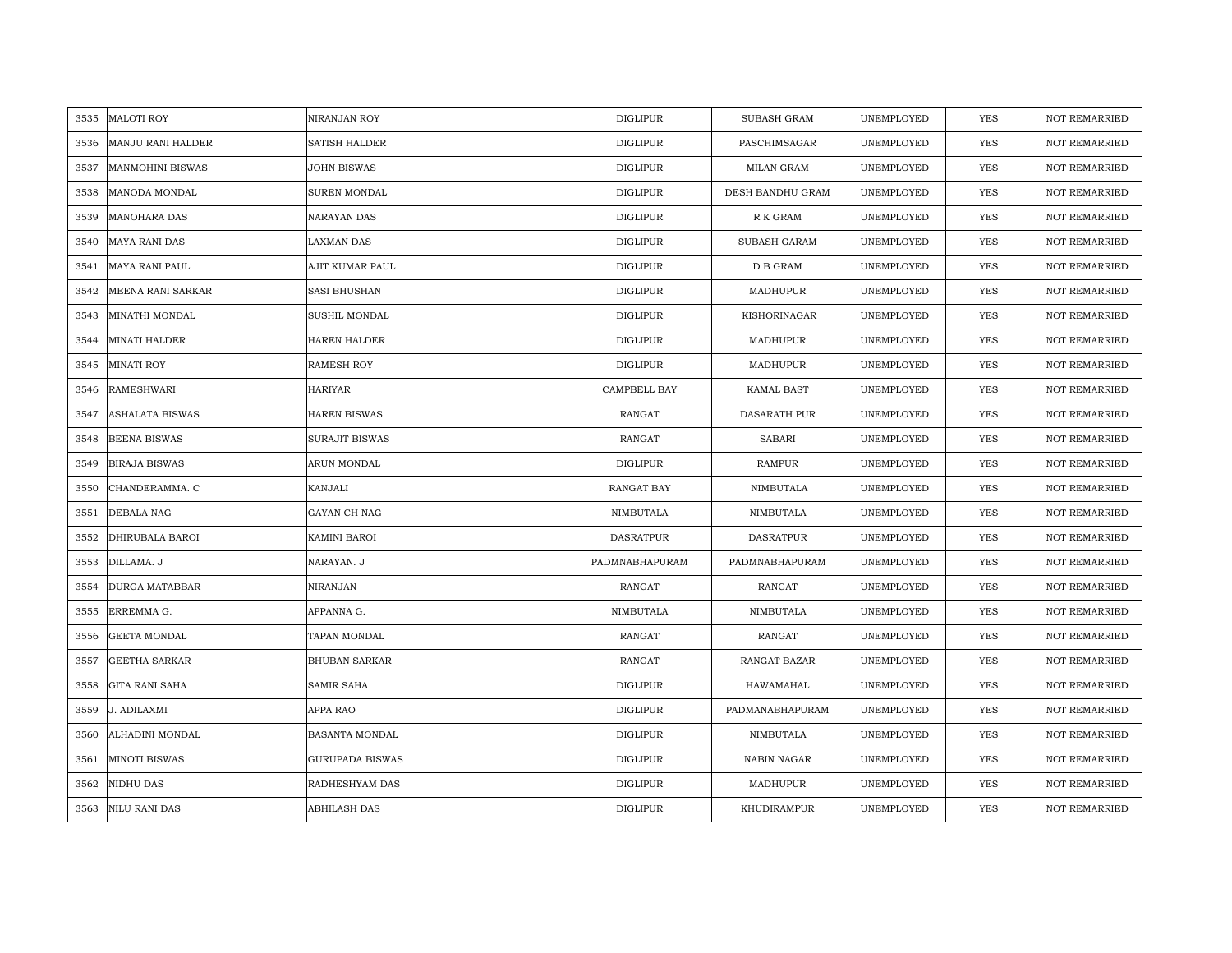| 3535 | <b>MALOTI ROY</b>        | NIRANJAN ROY           | <b>DIGLIPUR</b>  | <b>SUBASH GRAM</b>  | UNEMPLOYED | YES        | <b>NOT REMARRIED</b> |
|------|--------------------------|------------------------|------------------|---------------------|------------|------------|----------------------|
| 3536 | <b>MANJU RANI HALDER</b> | <b>SATISH HALDER</b>   | <b>DIGLIPUR</b>  | PASCHIMSAGAR        | UNEMPLOYED | <b>YES</b> | <b>NOT REMARRIED</b> |
| 3537 | <b>MANMOHINI BISWAS</b>  | JOHN BISWAS            | <b>DIGLIPUR</b>  | <b>MILAN GRAM</b>   | UNEMPLOYED | <b>YES</b> | <b>NOT REMARRIED</b> |
| 3538 | MANODA MONDAL            | SUREN MONDAL           | <b>DIGLIPUR</b>  | DESH BANDHU GRAM    | UNEMPLOYED | YES        | <b>NOT REMARRIED</b> |
| 3539 | <b>MANOHARA DAS</b>      | NARAYAN DAS            | <b>DIGLIPUR</b>  | R K GRAM            | UNEMPLOYED | YES        | <b>NOT REMARRIED</b> |
| 3540 | <b>MAYA RANI DAS</b>     | LAXMAN DAS             | <b>DIGLIPUR</b>  | SUBASH GARAM        | UNEMPLOYED | <b>YES</b> | NOT REMARRIED        |
| 3541 | <b>MAYA RANI PAUL</b>    | AJIT KUMAR PAUL        | <b>DIGLIPUR</b>  | D B GRAM            | UNEMPLOYED | <b>YES</b> | <b>NOT REMARRIED</b> |
| 3542 | MEENA RANI SARKAR        | SASI BHUSHAN           | <b>DIGLIPUR</b>  | MADHUPUR            | UNEMPLOYED | <b>YES</b> | NOT REMARRIED        |
| 3543 | MINATHI MONDAL           | SUSHIL MONDAL          | <b>DIGLIPUR</b>  | KISHORINAGAR        | UNEMPLOYED | YES        | <b>NOT REMARRIED</b> |
| 3544 | <b>MINATI HALDER</b>     | <b>HAREN HALDER</b>    | <b>DIGLIPUR</b>  | MADHUPUR            | UNEMPLOYED | YES        | <b>NOT REMARRIED</b> |
| 3545 | <b>MINATI ROY</b>        | RAMESH ROY             | <b>DIGLIPUR</b>  | MADHUPUR            | UNEMPLOYED | YES        | <b>NOT REMARRIED</b> |
| 3546 | RAMESHWARI               | HARIYAR                | CAMPBELL BAY     | KAMAL BAST          | UNEMPLOYED | YES        | <b>NOT REMARRIED</b> |
| 3547 | ASHALATA BISWAS          | <b>HAREN BISWAS</b>    | RANGAT           | DASARATH PUR        | UNEMPLOYED | <b>YES</b> | <b>NOT REMARRIED</b> |
| 3548 | <b>BEENA BISWAS</b>      | <b>SURAJIT BISWAS</b>  | RANGAT           | <b>SABARI</b>       | UNEMPLOYED | <b>YES</b> | <b>NOT REMARRIED</b> |
| 3549 | <b>BIRAJA BISWAS</b>     | ARUN MONDAL            | <b>DIGLIPUR</b>  | <b>RAMPUR</b>       | UNEMPLOYED | <b>YES</b> | <b>NOT REMARRIED</b> |
| 3550 | CHANDERAMMA. C           | KANJALI                | RANGAT BAY       | NIMBUTALA           | UNEMPLOYED | <b>YES</b> | <b>NOT REMARRIED</b> |
| 3551 | DEBALA NAG               | GAYAN CH NAG           | NIMBUTALA        | NIMBUTALA           | UNEMPLOYED | <b>YES</b> | <b>NOT REMARRIED</b> |
| 3552 | DHIRUBALA BAROI          | KAMINI BAROI           | <b>DASRATPUR</b> | <b>DASRATPUR</b>    | UNEMPLOYED | <b>YES</b> | <b>NOT REMARRIED</b> |
| 3553 | DILLAMA. J               | NARAYAN. J             | PADMNABHAPURAM   | PADMNABHAPURAM      | UNEMPLOYED | <b>YES</b> | <b>NOT REMARRIED</b> |
| 3554 | <b>DURGA MATABBAR</b>    | NIRANJAN               | RANGAT           | RANGAT              | UNEMPLOYED | YES        | <b>NOT REMARRIED</b> |
| 3555 | ERREMMA G.               | APPANNA G.             | NIMBUTALA        | NIMBUTALA           | UNEMPLOYED | <b>YES</b> | NOT REMARRIED        |
| 3556 | GEETA MONDAL             | TAPAN MONDAL           | <b>RANGAT</b>    | RANGAT              | UNEMPLOYED | YES        | NOT REMARRIED        |
| 3557 | <b>GEETHA SARKAR</b>     | <b>BHUBAN SARKAR</b>   | <b>RANGAT</b>    | <b>RANGAT BAZAR</b> | UNEMPLOYED | <b>YES</b> | <b>NOT REMARRIED</b> |
| 3558 | <b>GITA RANI SAHA</b>    | SAMIR SAHA             | <b>DIGLIPUR</b>  | HAWAMAHAL           | UNEMPLOYED | <b>YES</b> | <b>NOT REMARRIED</b> |
| 3559 | J. ADILAXMI              | APPA RAO               | <b>DIGLIPUR</b>  | PADMANABHAPURAM     | UNEMPLOYED | YES        | <b>NOT REMARRIED</b> |
| 3560 | ALHADINI MONDAL          | BASANTA MONDAL         | <b>DIGLIPUR</b>  | NIMBUTALA           | UNEMPLOYED | YES        | NOT REMARRIED        |
| 3561 | <b>MINOTI BISWAS</b>     | <b>GURUPADA BISWAS</b> | <b>DIGLIPUR</b>  | NABIN NAGAR         | UNEMPLOYED | YES        | <b>NOT REMARRIED</b> |
| 3562 | NIDHU DAS                | RADHESHYAM DAS         | <b>DIGLIPUR</b>  | MADHUPUR            | UNEMPLOYED | <b>YES</b> | <b>NOT REMARRIED</b> |
| 3563 | NILU RANI DAS            | <b>ABHILASH DAS</b>    | <b>DIGLIPUR</b>  | KHUDIRAMPUR         | UNEMPLOYED | <b>YES</b> | <b>NOT REMARRIED</b> |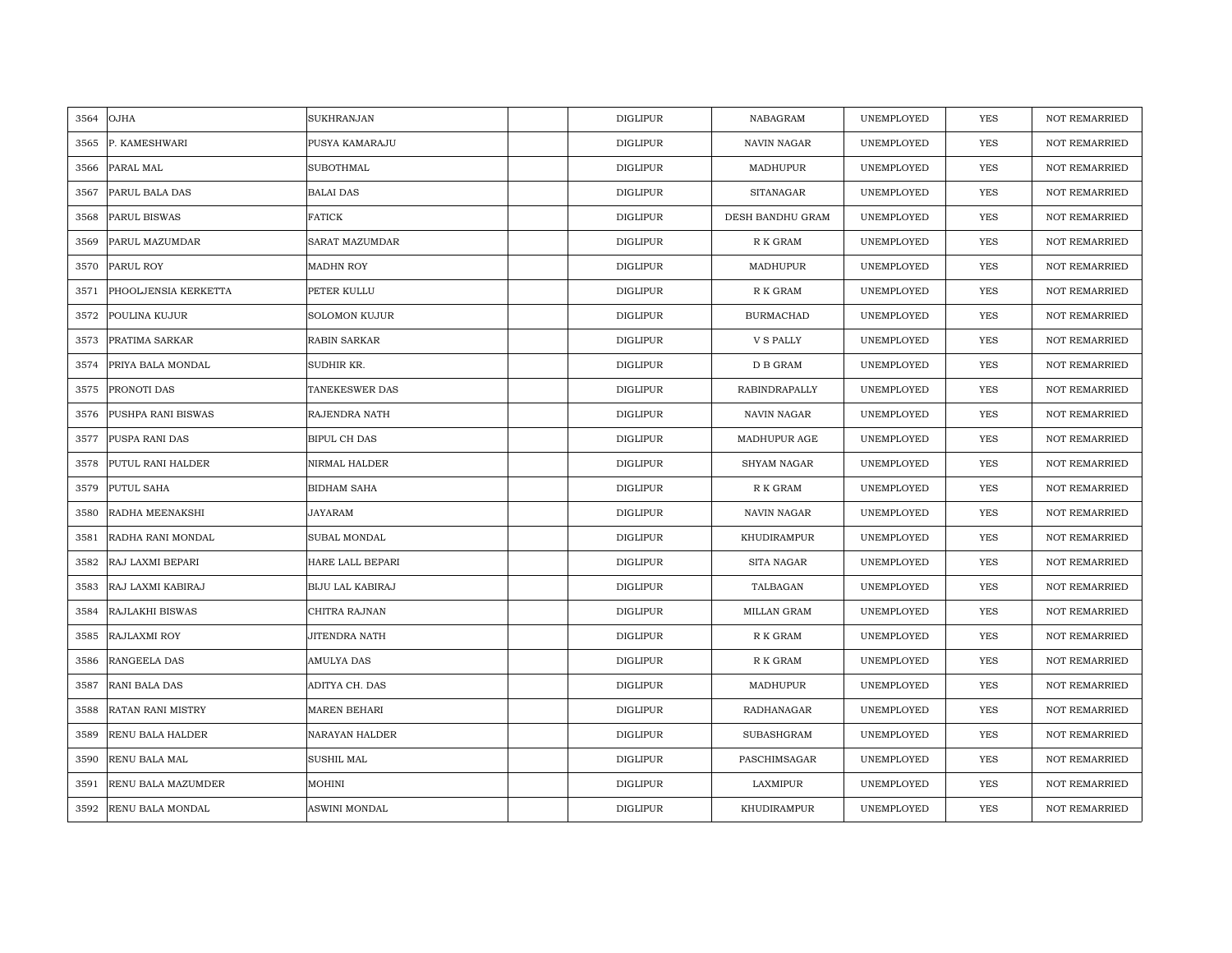| 3564 | OJHA                    | <b>SUKHRANJAN</b>       | <b>DIGLIPUR</b> | NABAGRAM             | UNEMPLOYED | <b>YES</b> | <b>NOT REMARRIED</b> |
|------|-------------------------|-------------------------|-----------------|----------------------|------------|------------|----------------------|
| 3565 | P. KAMESHWARI           | PUSYA KAMARAJU          | <b>DIGLIPUR</b> | <b>NAVIN NAGAR</b>   | UNEMPLOYED | <b>YES</b> | <b>NOT REMARRIED</b> |
| 3566 | PARAL MAL               | <b>SUBOTHMAL</b>        | <b>DIGLIPUR</b> | MADHUPUR             | UNEMPLOYED | YES        | <b>NOT REMARRIED</b> |
| 3567 | PARUL BALA DAS          | <b>BALAI DAS</b>        | <b>DIGLIPUR</b> | <b>SITANAGAR</b>     | UNEMPLOYED | YES        | <b>NOT REMARRIED</b> |
| 3568 | PARUL BISWAS            | <b>FATICK</b>           | <b>DIGLIPUR</b> | DESH BANDHU GRAM     | UNEMPLOYED | YES        | <b>NOT REMARRIED</b> |
| 3569 | PARUL MAZUMDAR          | SARAT MAZUMDAR          | <b>DIGLIPUR</b> | R K GRAM             | UNEMPLOYED | YES        | NOT REMARRIED        |
| 3570 | PARUL ROY               | <b>MADHN ROY</b>        | <b>DIGLIPUR</b> | MADHUPUR             | UNEMPLOYED | <b>YES</b> | NOT REMARRIED        |
| 3571 | PHOOLJENSIA KERKETTA    | PETER KULLU             | <b>DIGLIPUR</b> | ${\mathbb R}$ K GRAM | UNEMPLOYED | YES        | NOT REMARRIED        |
| 3572 | POULINA KUJUR           | <b>SOLOMON KUJUR</b>    | <b>DIGLIPUR</b> | <b>BURMACHAD</b>     | UNEMPLOYED | YES        | NOT REMARRIED        |
| 3573 | PRATIMA SARKAR          | <b>RABIN SARKAR</b>     | <b>DIGLIPUR</b> | <b>V S PALLY</b>     | UNEMPLOYED | YES        | <b>NOT REMARRIED</b> |
| 3574 | PRIYA BALA MONDAL       | SUDHIR KR.              | <b>DIGLIPUR</b> | D B GRAM             | UNEMPLOYED | YES        | <b>NOT REMARRIED</b> |
| 3575 | PRONOTI DAS             | TANEKESWER DAS          | <b>DIGLIPUR</b> | <b>RABINDRAPALLY</b> | UNEMPLOYED | YES        | NOT REMARRIED        |
| 3576 | PUSHPA RANI BISWAS      | RAJENDRA NATH           | <b>DIGLIPUR</b> | NAVIN NAGAR          | UNEMPLOYED | YES        | <b>NOT REMARRIED</b> |
| 3577 | PUSPA RANI DAS          | BIPUL CH DAS            | <b>DIGLIPUR</b> | MADHUPUR AGE         | UNEMPLOYED | YES        | <b>NOT REMARRIED</b> |
| 3578 | PUTUL RANI HALDER       | NIRMAL HALDER           | <b>DIGLIPUR</b> | <b>SHYAM NAGAR</b>   | UNEMPLOYED | YES        | <b>NOT REMARRIED</b> |
| 3579 | PUTUL SAHA              | <b>BIDHAM SAHA</b>      | <b>DIGLIPUR</b> | R K GRAM             | UNEMPLOYED | YES        | <b>NOT REMARRIED</b> |
| 3580 | RADHA MEENAKSHI         | <b>JAYARAM</b>          | <b>DIGLIPUR</b> | <b>NAVIN NAGAR</b>   | UNEMPLOYED | YES        | <b>NOT REMARRIED</b> |
| 3581 | RADHA RANI MONDAL       | SUBAL MONDAL            | <b>DIGLIPUR</b> | KHUDIRAMPUR          | UNEMPLOYED | YES        | <b>NOT REMARRIED</b> |
| 3582 | RAJ LAXMI BEPARI        | HARE LALL BEPARI        | <b>DIGLIPUR</b> | <b>SITA NAGAR</b>    | UNEMPLOYED | <b>YES</b> | <b>NOT REMARRIED</b> |
| 3583 | RAJ LAXMI KABIRAJ       | <b>BIJU LAL KABIRAJ</b> | <b>DIGLIPUR</b> | TALBAGAN             | UNEMPLOYED | YES        | <b>NOT REMARRIED</b> |
| 3584 | RAJLAKHI BISWAS         | CHITRA RAJNAN           | <b>DIGLIPUR</b> | MILLAN GRAM          | UNEMPLOYED | YES        | NOT REMARRIED        |
| 3585 | RAJLAXMI ROY            | JITENDRA NATH           | <b>DIGLIPUR</b> | R K GRAM             | UNEMPLOYED | YES        | NOT REMARRIED        |
| 3586 | RANGEELA DAS            | AMULYA DAS              | <b>DIGLIPUR</b> | R K GRAM             | UNEMPLOYED | <b>YES</b> | <b>NOT REMARRIED</b> |
| 3587 | RANI BALA DAS           | ADITYA CH. DAS          | <b>DIGLIPUR</b> | MADHUPUR             | UNEMPLOYED | YES        | <b>NOT REMARRIED</b> |
| 3588 | RATAN RANI MISTRY       | <b>MAREN BEHARI</b>     | <b>DIGLIPUR</b> | RADHANAGAR           | UNEMPLOYED | YES        | <b>NOT REMARRIED</b> |
| 3589 | RENU BALA HALDER        | NARAYAN HALDER          | <b>DIGLIPUR</b> | SUBASHGRAM           | UNEMPLOYED | YES        | NOT REMARRIED        |
| 3590 | RENU BALA MAL           | SUSHIL MAL              | <b>DIGLIPUR</b> | PASCHIMSAGAR         | UNEMPLOYED | YES        | <b>NOT REMARRIED</b> |
| 3591 | RENU BALA MAZUMDER      | MOHINI                  | <b>DIGLIPUR</b> | LAXMIPUR             | UNEMPLOYED | YES        | <b>NOT REMARRIED</b> |
| 3592 | <b>RENU BALA MONDAL</b> | ASWINI MONDAL           | <b>DIGLIPUR</b> | KHUDIRAMPUR          | UNEMPLOYED | <b>YES</b> | <b>NOT REMARRIED</b> |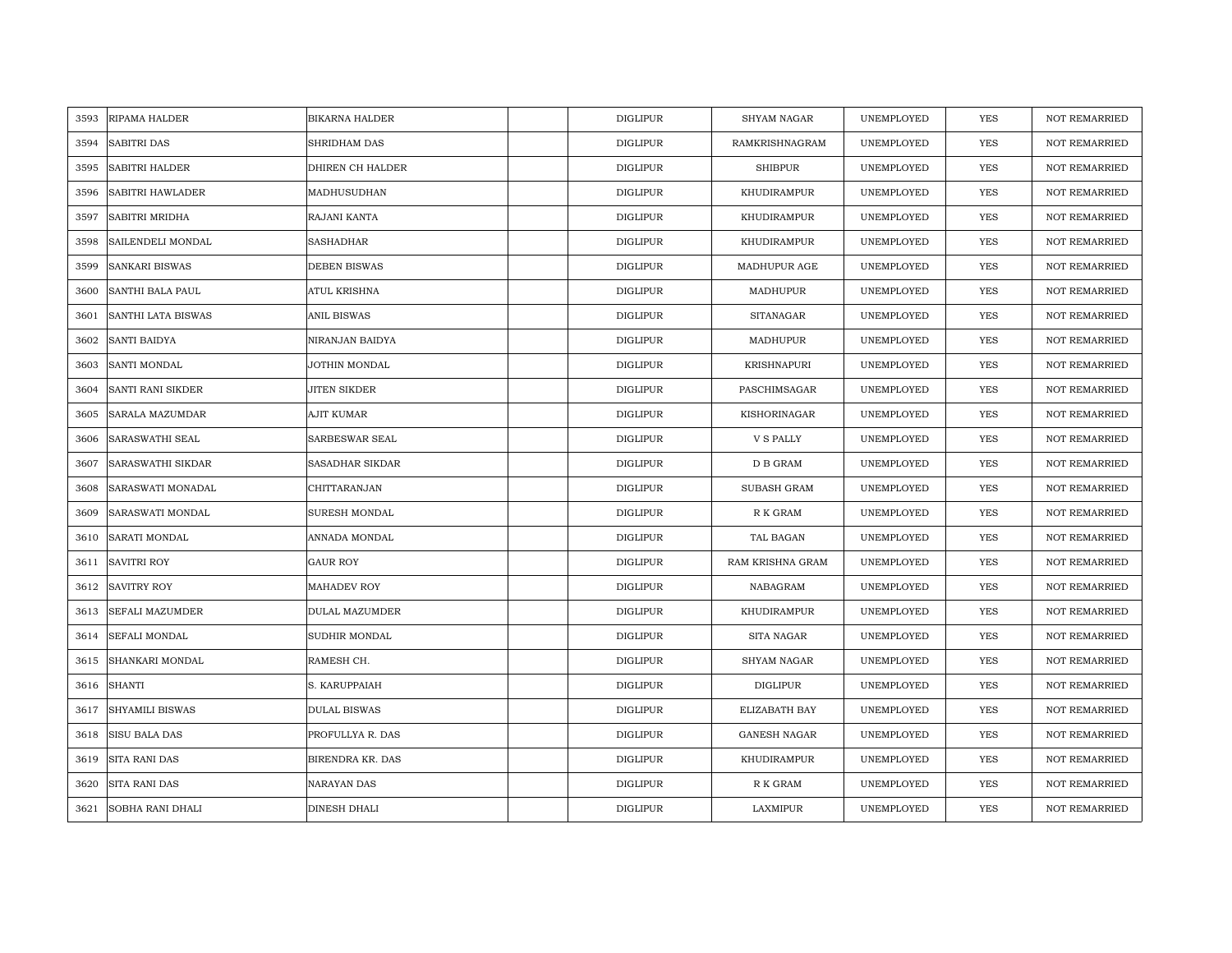| 3593 | RIPAMA HALDER          | <b>BIKARNA HALDER</b> | <b>DIGLIPUR</b> | <b>SHYAM NAGAR</b>  | UNEMPLOYED | <b>YES</b> | <b>NOT REMARRIED</b> |
|------|------------------------|-----------------------|-----------------|---------------------|------------|------------|----------------------|
| 3594 | <b>SABITRI DAS</b>     | SHRIDHAM DAS          | <b>DIGLIPUR</b> | RAMKRISHNAGRAM      | UNEMPLOYED | <b>YES</b> | <b>NOT REMARRIED</b> |
| 3595 | SABITRI HALDER         | DHIREN CH HALDER      | <b>DIGLIPUR</b> | <b>SHIBPUR</b>      | UNEMPLOYED | YES        | <b>NOT REMARRIED</b> |
| 3596 | SABITRI HAWLADER       | MADHUSUDHAN           | <b>DIGLIPUR</b> | KHUDIRAMPUR         | UNEMPLOYED | YES        | <b>NOT REMARRIED</b> |
| 3597 | SABITRI MRIDHA         | RAJANI KANTA          | <b>DIGLIPUR</b> | KHUDIRAMPUR         | UNEMPLOYED | <b>YES</b> | <b>NOT REMARRIED</b> |
| 3598 | SAILENDELI MONDAL      | SASHADHAR             | <b>DIGLIPUR</b> | KHUDIRAMPUR         | UNEMPLOYED | YES        | NOT REMARRIED        |
| 3599 | <b>SANKARI BISWAS</b>  | <b>DEBEN BISWAS</b>   | <b>DIGLIPUR</b> | MADHUPUR AGE        | UNEMPLOYED | <b>YES</b> | <b>NOT REMARRIED</b> |
| 3600 | SANTHI BALA PAUL       | ATUL KRISHNA          | DIGLIPUR        | MADHUPUR            | UNEMPLOYED | <b>YES</b> | <b>NOT REMARRIED</b> |
| 3601 | SANTHI LATA BISWAS     | ANIL BISWAS           | <b>DIGLIPUR</b> | <b>SITANAGAR</b>    | UNEMPLOYED | <b>YES</b> | <b>NOT REMARRIED</b> |
| 3602 | <b>SANTI BAIDYA</b>    | NIRANJAN BAIDYA       | <b>DIGLIPUR</b> | MADHUPUR            | UNEMPLOYED | <b>YES</b> | <b>NOT REMARRIED</b> |
| 3603 | SANTI MONDAL           | JOTHIN MONDAL         | <b>DIGLIPUR</b> | <b>KRISHNAPURI</b>  | UNEMPLOYED | <b>YES</b> | <b>NOT REMARRIED</b> |
| 3604 | SANTI RANI SIKDER      | JITEN SIKDER          | <b>DIGLIPUR</b> | PASCHIMSAGAR        | UNEMPLOYED | <b>YES</b> | <b>NOT REMARRIED</b> |
| 3605 | SARALA MAZUMDAR        | AJIT KUMAR            | <b>DIGLIPUR</b> | KISHORINAGAR        | UNEMPLOYED | YES        | <b>NOT REMARRIED</b> |
| 3606 | <b>SARASWATHI SEAL</b> | <b>SARBESWAR SEAL</b> | <b>DIGLIPUR</b> | V S PALLY           | UNEMPLOYED | <b>YES</b> | <b>NOT REMARRIED</b> |
| 3607 | SARASWATHI SIKDAR      | SASADHAR SIKDAR       | <b>DIGLIPUR</b> | ${\bf D}$ B GRAM    | UNEMPLOYED | YES        | <b>NOT REMARRIED</b> |
| 3608 | SARASWATI MONADAL      | CHITTARANJAN          | <b>DIGLIPUR</b> | SUBASH GRAM         | UNEMPLOYED | <b>YES</b> | <b>NOT REMARRIED</b> |
| 3609 | SARASWATI MONDAL       | <b>SURESH MONDAL</b>  | <b>DIGLIPUR</b> | R K GRAM            | UNEMPLOYED | YES        | <b>NOT REMARRIED</b> |
| 3610 | SARATI MONDAL          | ANNADA MONDAL         | <b>DIGLIPUR</b> | TAL BAGAN           | UNEMPLOYED | <b>YES</b> | <b>NOT REMARRIED</b> |
| 3611 | <b>SAVITRI ROY</b>     | GAUR ROY              | <b>DIGLIPUR</b> | RAM KRISHNA GRAM    | UNEMPLOYED | <b>YES</b> | NOT REMARRIED        |
| 3612 | <b>SAVITRY ROY</b>     | MAHADEV ROY           | <b>DIGLIPUR</b> | NABAGRAM            | UNEMPLOYED | <b>YES</b> | <b>NOT REMARRIED</b> |
| 3613 | <b>SEFALI MAZUMDER</b> | DULAL MAZUMDER        | <b>DIGLIPUR</b> | KHUDIRAMPUR         | UNEMPLOYED | <b>YES</b> | <b>NOT REMARRIED</b> |
| 3614 | <b>SEFALI MONDAL</b>   | SUDHIR MONDAL         | DIGLIPUR        | SITA NAGAR          | UNEMPLOYED | YES        | <b>NOT REMARRIED</b> |
| 3615 | SHANKARI MONDAL        | RAMESH CH.            | <b>DIGLIPUR</b> | <b>SHYAM NAGAR</b>  | UNEMPLOYED | <b>YES</b> | <b>NOT REMARRIED</b> |
| 3616 | <b>SHANTI</b>          | S. KARUPPAIAH         | <b>DIGLIPUR</b> | <b>DIGLIPUR</b>     | UNEMPLOYED | <b>YES</b> | NOT REMARRIED        |
| 3617 | <b>SHYAMILI BISWAS</b> | <b>DULAL BISWAS</b>   | <b>DIGLIPUR</b> | ELIZABATH BAY       | UNEMPLOYED | YES        | <b>NOT REMARRIED</b> |
| 3618 | SISU BALA DAS          | PROFULLYA R. DAS      | <b>DIGLIPUR</b> | <b>GANESH NAGAR</b> | UNEMPLOYED | YES        | NOT REMARRIED        |
| 3619 | SITA RANI DAS          | BIRENDRA KR. DAS      | <b>DIGLIPUR</b> | KHUDIRAMPUR         | UNEMPLOYED | <b>YES</b> | <b>NOT REMARRIED</b> |
| 3620 | SITA RANI DAS          | NARAYAN DAS           | <b>DIGLIPUR</b> | R K GRAM            | UNEMPLOYED | YES        | <b>NOT REMARRIED</b> |
| 3621 | SOBHA RANI DHALI       | DINESH DHALI          | <b>DIGLIPUR</b> | LAXMIPUR            | UNEMPLOYED | YES        | <b>NOT REMARRIED</b> |
|      |                        |                       |                 |                     |            |            |                      |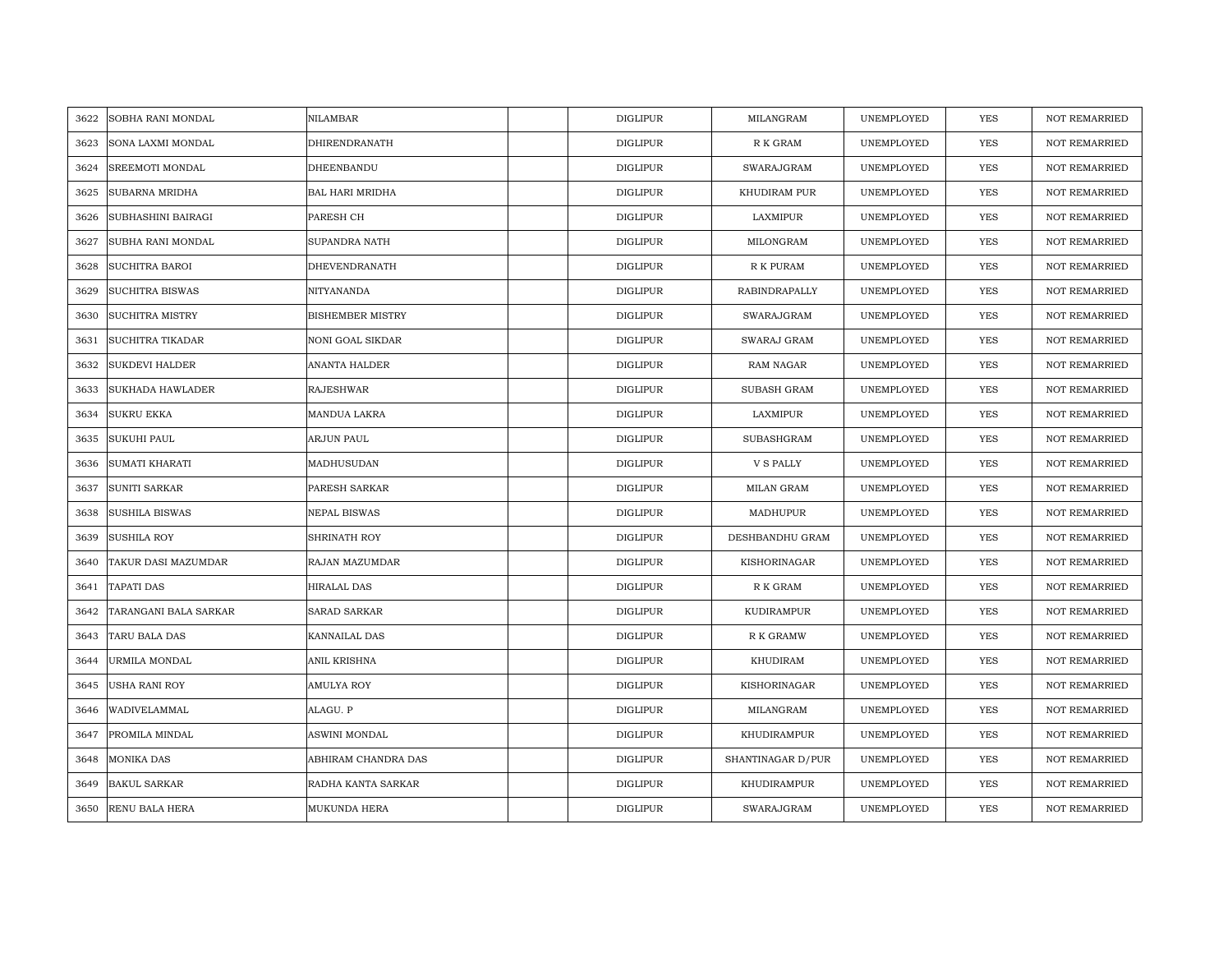| 3622 | SOBHA RANI MONDAL       | NILAMBAR                | <b>DIGLIPUR</b> | MILANGRAM            | UNEMPLOYED | YES        | <b>NOT REMARRIED</b> |
|------|-------------------------|-------------------------|-----------------|----------------------|------------|------------|----------------------|
| 3623 | SONA LAXMI MONDAL       | DHIRENDRANATH           | <b>DIGLIPUR</b> | R K GRAM             | UNEMPLOYED | <b>YES</b> | <b>NOT REMARRIED</b> |
| 3624 | SREEMOTI MONDAL         | DHEENBANDU              | <b>DIGLIPUR</b> | SWARAJGRAM           | UNEMPLOYED | YES        | <b>NOT REMARRIED</b> |
| 3625 | SUBARNA MRIDHA          | <b>BAL HARI MRIDHA</b>  | <b>DIGLIPUR</b> | KHUDIRAM PUR         | UNEMPLOYED | YES        | <b>NOT REMARRIED</b> |
| 3626 | SUBHASHINI BAIRAGI      | PARESH CH               | <b>DIGLIPUR</b> | LAXMIPUR             | UNEMPLOYED | YES        | <b>NOT REMARRIED</b> |
| 3627 | SUBHA RANI MONDAL       | SUPANDRA NATH           | <b>DIGLIPUR</b> | MILONGRAM            | UNEMPLOYED | YES        | NOT REMARRIED        |
| 3628 | <b>SUCHITRA BAROI</b>   | DHEVENDRANATH           | <b>DIGLIPUR</b> | R K PURAM            | UNEMPLOYED | <b>YES</b> | <b>NOT REMARRIED</b> |
| 3629 | <b>SUCHITRA BISWAS</b>  | NITYANANDA              | <b>DIGLIPUR</b> | <b>RABINDRAPALLY</b> | UNEMPLOYED | <b>YES</b> | <b>NOT REMARRIED</b> |
| 3630 | <b>SUCHITRA MISTRY</b>  | <b>BISHEMBER MISTRY</b> | <b>DIGLIPUR</b> | SWARAJGRAM           | UNEMPLOYED | <b>YES</b> | NOT REMARRIED        |
| 3631 | <b>SUCHITRA TIKADAR</b> | <b>NONI GOAL SIKDAR</b> | <b>DIGLIPUR</b> | SWARAJ GRAM          | UNEMPLOYED | <b>YES</b> | <b>NOT REMARRIED</b> |
| 3632 | <b>SUKDEVI HALDER</b>   | ANANTA HALDER           | <b>DIGLIPUR</b> | <b>RAM NAGAR</b>     | UNEMPLOYED | <b>YES</b> | <b>NOT REMARRIED</b> |
| 3633 | <b>SUKHADA HAWLADER</b> | <b>RAJESHWAR</b>        | <b>DIGLIPUR</b> | <b>SUBASH GRAM</b>   | UNEMPLOYED | <b>YES</b> | <b>NOT REMARRIED</b> |
| 3634 | <b>SUKRU EKKA</b>       | MANDUA LAKRA            | <b>DIGLIPUR</b> | LAXMIPUR             | UNEMPLOYED | YES        | <b>NOT REMARRIED</b> |
| 3635 | <b>SUKUHI PAUL</b>      | ARJUN PAUL              | <b>DIGLIPUR</b> | SUBASHGRAM           | UNEMPLOYED | <b>YES</b> | <b>NOT REMARRIED</b> |
| 3636 | <b>SUMATI KHARATI</b>   | MADHUSUDAN              | DIGLIPUR        | <b>V S PALLY</b>     | UNEMPLOYED | YES        | NOT REMARRIED        |
| 3637 | <b>SUNITI SARKAR</b>    | PARESH SARKAR           | <b>DIGLIPUR</b> | MILAN GRAM           | UNEMPLOYED | YES        | <b>NOT REMARRIED</b> |
| 3638 | <b>SUSHILA BISWAS</b>   | <b>NEPAL BISWAS</b>     | <b>DIGLIPUR</b> | MADHUPUR             | UNEMPLOYED | YES        | <b>NOT REMARRIED</b> |
| 3639 | <b>SUSHILA ROY</b>      | SHRINATH ROY            | <b>DIGLIPUR</b> | DESHBANDHU GRAM      | UNEMPLOYED | YES        | <b>NOT REMARRIED</b> |
| 3640 | TAKUR DASI MAZUMDAR     | RAJAN MAZUMDAR          | <b>DIGLIPUR</b> | KISHORINAGAR         | UNEMPLOYED | <b>YES</b> | <b>NOT REMARRIED</b> |
| 3641 | <b>TAPATI DAS</b>       | <b>HIRALAL DAS</b>      | <b>DIGLIPUR</b> | R K GRAM             | UNEMPLOYED | <b>YES</b> | <b>NOT REMARRIED</b> |
| 3642 | TARANGANI BALA SARKAR   | <b>SARAD SARKAR</b>     | <b>DIGLIPUR</b> | KUDIRAMPUR           | UNEMPLOYED | <b>YES</b> | <b>NOT REMARRIED</b> |
| 3643 | TARU BALA DAS           | KANNAILAL DAS           | <b>DIGLIPUR</b> | R K GRAMW            | UNEMPLOYED | <b>YES</b> | <b>NOT REMARRIED</b> |
| 3644 | URMILA MONDAL           | ANIL KRISHNA            | <b>DIGLIPUR</b> | KHUDIRAM             | UNEMPLOYED | YES        | <b>NOT REMARRIED</b> |
| 3645 | <b>USHA RANI ROY</b>    | AMULYA ROY              | <b>DIGLIPUR</b> | KISHORINAGAR         | UNEMPLOYED | YES        | <b>NOT REMARRIED</b> |
| 3646 | WADIVELAMMAL            | ALAGU. P                | <b>DIGLIPUR</b> | MILANGRAM            | UNEMPLOYED | <b>YES</b> | <b>NOT REMARRIED</b> |
| 3647 | PROMILA MINDAL          | ASWINI MONDAL           | <b>DIGLIPUR</b> | KHUDIRAMPUR          | UNEMPLOYED | YES        | NOT REMARRIED        |
| 3648 | MONIKA DAS              | ABHIRAM CHANDRA DAS     | <b>DIGLIPUR</b> | SHANTINAGAR D/PUR    | UNEMPLOYED | <b>YES</b> | <b>NOT REMARRIED</b> |
| 3649 | <b>BAKUL SARKAR</b>     | RADHA KANTA SARKAR      | <b>DIGLIPUR</b> | KHUDIRAMPUR          | UNEMPLOYED | YES        | <b>NOT REMARRIED</b> |
| 3650 | RENU BALA HERA          | MUKUNDA HERA            | <b>DIGLIPUR</b> | SWARAJGRAM           | UNEMPLOYED | YES        | NOT REMARRIED        |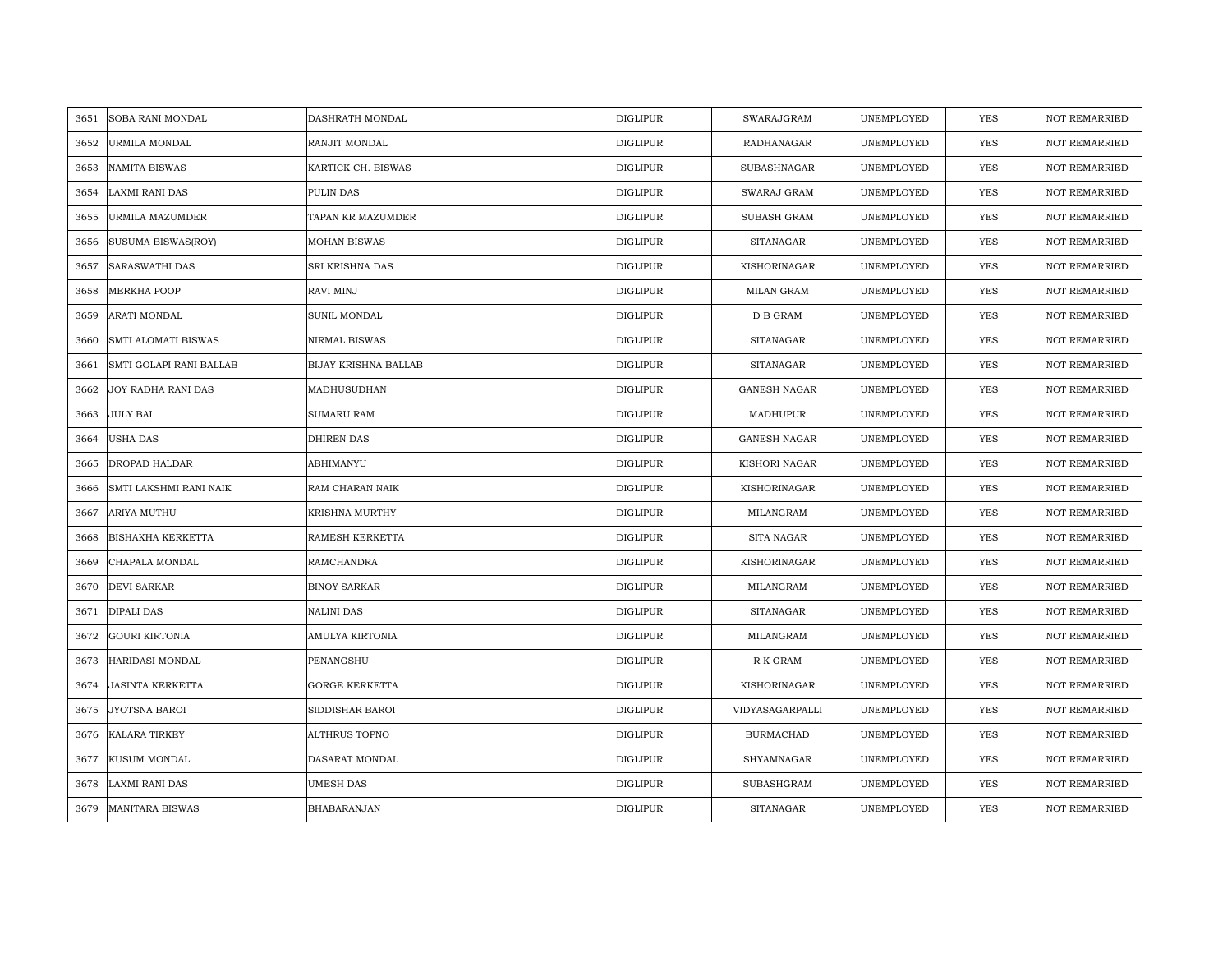| 3651 | SOBA RANI MONDAL         | DASHRATH MONDAL             | <b>DIGLIPUR</b> | SWARAJGRAM          | UNEMPLOYED | <b>YES</b> | <b>NOT REMARRIED</b> |
|------|--------------------------|-----------------------------|-----------------|---------------------|------------|------------|----------------------|
| 3652 | URMILA MONDAL            | RANJIT MONDAL               | <b>DIGLIPUR</b> | RADHANAGAR          | UNEMPLOYED | <b>YES</b> | NOT REMARRIED        |
| 3653 | <b>NAMITA BISWAS</b>     | KARTICK CH. BISWAS          | <b>DIGLIPUR</b> | SUBASHNAGAR         | UNEMPLOYED | <b>YES</b> | <b>NOT REMARRIED</b> |
| 3654 | LAXMI RANI DAS           | PULIN DAS                   | <b>DIGLIPUR</b> | SWARAJ GRAM         | UNEMPLOYED | <b>YES</b> | <b>NOT REMARRIED</b> |
| 3655 | URMILA MAZUMDER          | TAPAN KR MAZUMDER           | <b>DIGLIPUR</b> | <b>SUBASH GRAM</b>  | UNEMPLOYED | <b>YES</b> | <b>NOT REMARRIED</b> |
| 3656 | SUSUMA BISWAS(ROY)       | <b>MOHAN BISWAS</b>         | <b>DIGLIPUR</b> | <b>SITANAGAR</b>    | UNEMPLOYED | <b>YES</b> | <b>NOT REMARRIED</b> |
| 3657 | SARASWATHI DAS           | SRI KRISHNA DAS             | <b>DIGLIPUR</b> | KISHORINAGAR        | UNEMPLOYED | <b>YES</b> | <b>NOT REMARRIED</b> |
| 3658 | MERKHA POOP              | RAVI MINJ                   | DIGLIPUR        | MILAN GRAM          | UNEMPLOYED | YES        | <b>NOT REMARRIED</b> |
| 3659 | ARATI MONDAL             | SUNIL MONDAL                | <b>DIGLIPUR</b> | D B GRAM            | UNEMPLOYED | <b>YES</b> | <b>NOT REMARRIED</b> |
| 3660 | SMTI ALOMATI BISWAS      | NIRMAL BISWAS               | <b>DIGLIPUR</b> | <b>SITANAGAR</b>    | UNEMPLOYED | YES        | <b>NOT REMARRIED</b> |
| 3661 | SMTI GOLAPI RANI BALLAB  | <b>BIJAY KRISHNA BALLAB</b> | <b>DIGLIPUR</b> | <b>SITANAGAR</b>    | UNEMPLOYED | <b>YES</b> | <b>NOT REMARRIED</b> |
| 3662 | JOY RADHA RANI DAS       | MADHUSUDHAN                 | <b>DIGLIPUR</b> | <b>GANESH NAGAR</b> | UNEMPLOYED | <b>YES</b> | <b>NOT REMARRIED</b> |
| 3663 | JULY BAI                 | <b>SUMARU RAM</b>           | <b>DIGLIPUR</b> | MADHUPUR            | UNEMPLOYED | YES        | <b>NOT REMARRIED</b> |
| 3664 | USHA DAS                 | DHIREN DAS                  | <b>DIGLIPUR</b> | <b>GANESH NAGAR</b> | UNEMPLOYED | <b>YES</b> | <b>NOT REMARRIED</b> |
| 3665 | DROPAD HALDAR            | ABHIMANYU                   | <b>DIGLIPUR</b> | KISHORI NAGAR       | UNEMPLOYED | YES        | <b>NOT REMARRIED</b> |
| 3666 | SMTI LAKSHMI RANI NAIK   | RAM CHARAN NAIK             | <b>DIGLIPUR</b> | KISHORINAGAR        | UNEMPLOYED | <b>YES</b> | <b>NOT REMARRIED</b> |
| 3667 | ARIYA MUTHU              | KRISHNA MURTHY              | <b>DIGLIPUR</b> | MILANGRAM           | UNEMPLOYED | YES        | <b>NOT REMARRIED</b> |
| 3668 | <b>BISHAKHA KERKETTA</b> | RAMESH KERKETTA             | <b>DIGLIPUR</b> | SITA NAGAR          | UNEMPLOYED | <b>YES</b> | <b>NOT REMARRIED</b> |
| 3669 | CHAPALA MONDAL           | RAMCHANDRA                  | <b>DIGLIPUR</b> | KISHORINAGAR        | UNEMPLOYED | <b>YES</b> | <b>NOT REMARRIED</b> |
| 3670 | DEVI SARKAR              | <b>BINOY SARKAR</b>         | <b>DIGLIPUR</b> | MILANGRAM           | UNEMPLOYED | <b>YES</b> | NOT REMARRIED        |
| 3671 | DIPALI DAS               | NALINI DAS                  | <b>DIGLIPUR</b> | SITANAGAR           | UNEMPLOYED | <b>YES</b> | <b>NOT REMARRIED</b> |
| 3672 | <b>GOURI KIRTONIA</b>    | AMULYA KIRTONIA             | <b>DIGLIPUR</b> | MILANGRAM           | UNEMPLOYED | YES        | <b>NOT REMARRIED</b> |
| 3673 | HARIDASI MONDAL          | PENANGSHU                   | <b>DIGLIPUR</b> | R K GRAM            | UNEMPLOYED | <b>YES</b> | <b>NOT REMARRIED</b> |
| 3674 | JASINTA KERKETTA         | <b>GORGE KERKETTA</b>       | <b>DIGLIPUR</b> | KISHORINAGAR        | UNEMPLOYED | YES        | <b>NOT REMARRIED</b> |
| 3675 | JYOTSNA BAROI            | SIDDISHAR BAROI             | <b>DIGLIPUR</b> | VIDYASAGARPALLI     | UNEMPLOYED | <b>YES</b> | <b>NOT REMARRIED</b> |
| 3676 | KALARA TIRKEY            | ALTHRUS TOPNO               | <b>DIGLIPUR</b> | <b>BURMACHAD</b>    | UNEMPLOYED | <b>YES</b> | <b>NOT REMARRIED</b> |
| 3677 | KUSUM MONDAL             | DASARAT MONDAL              | <b>DIGLIPUR</b> | SHYAMNAGAR          | UNEMPLOYED | YES        | <b>NOT REMARRIED</b> |
| 3678 | LAXMI RANI DAS           | <b>UMESH DAS</b>            | <b>DIGLIPUR</b> | SUBASHGRAM          | UNEMPLOYED | YES        | <b>NOT REMARRIED</b> |
| 3679 | <b>MANITARA BISWAS</b>   | BHABARANJAN                 | <b>DIGLIPUR</b> | <b>SITANAGAR</b>    | UNEMPLOYED | <b>YES</b> | <b>NOT REMARRIED</b> |
|      |                          |                             |                 |                     |            |            |                      |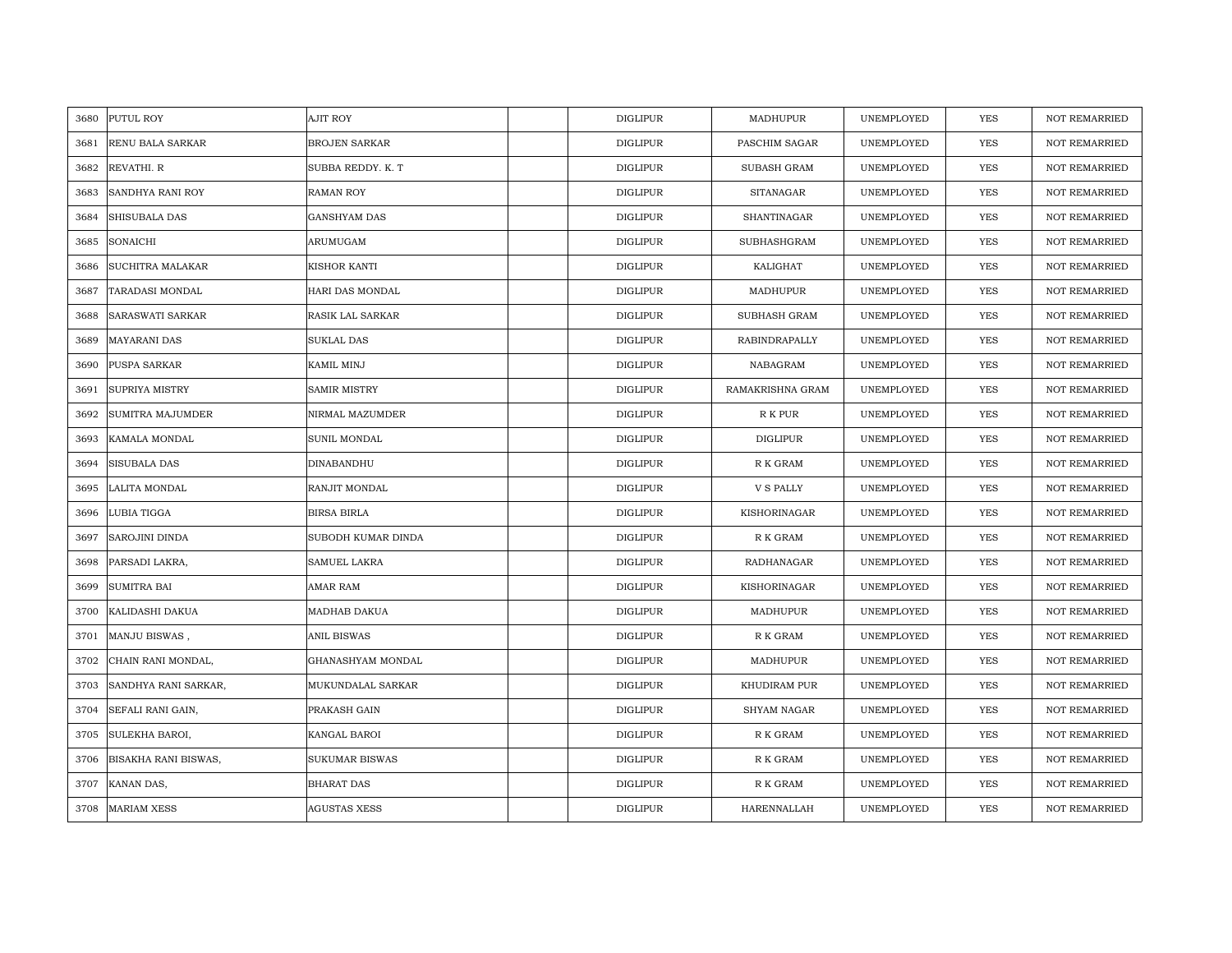| 3680 | PUTUL ROY                   | AJIT ROY             | <b>DIGLIPUR</b> | MADHUPUR           | UNEMPLOYED | <b>YES</b> | <b>NOT REMARRIED</b> |
|------|-----------------------------|----------------------|-----------------|--------------------|------------|------------|----------------------|
| 3681 | <b>RENU BALA SARKAR</b>     | <b>BROJEN SARKAR</b> | <b>DIGLIPUR</b> | PASCHIM SAGAR      | UNEMPLOYED | <b>YES</b> | <b>NOT REMARRIED</b> |
| 3682 | REVATHI. R                  | SUBBA REDDY. K. T    | <b>DIGLIPUR</b> | <b>SUBASH GRAM</b> | UNEMPLOYED | <b>YES</b> | <b>NOT REMARRIED</b> |
| 3683 | SANDHYA RANI ROY            | <b>RAMAN ROY</b>     | <b>DIGLIPUR</b> | <b>SITANAGAR</b>   | UNEMPLOYED | <b>YES</b> | NOT REMARRIED        |
| 3684 | <b>SHISUBALA DAS</b>        | <b>GANSHYAM DAS</b>  | <b>DIGLIPUR</b> | SHANTINAGAR        | UNEMPLOYED | <b>YES</b> | <b>NOT REMARRIED</b> |
| 3685 | SONAICHI                    | ARUMUGAM             | <b>DIGLIPUR</b> | SUBHASHGRAM        | UNEMPLOYED | <b>YES</b> | <b>NOT REMARRIED</b> |
| 3686 | <b>SUCHITRA MALAKAR</b>     | KISHOR KANTI         | <b>DIGLIPUR</b> | KALIGHAT           | UNEMPLOYED | <b>YES</b> | <b>NOT REMARRIED</b> |
| 3687 | TARADASI MONDAL             | HARI DAS MONDAL      | <b>DIGLIPUR</b> | MADHUPUR           | UNEMPLOYED | YES        | <b>NOT REMARRIED</b> |
| 3688 | SARASWATI SARKAR            | RASIK LAL SARKAR     | DIGLIPUR        | SUBHASH GRAM       | UNEMPLOYED | <b>YES</b> | <b>NOT REMARRIED</b> |
| 3689 | MAYARANI DAS                | SUKLAL DAS           | <b>DIGLIPUR</b> | RABINDRAPALLY      | UNEMPLOYED | <b>YES</b> | <b>NOT REMARRIED</b> |
| 3690 | PUSPA SARKAR                | KAMIL MINJ           | <b>DIGLIPUR</b> | NABAGRAM           | UNEMPLOYED | YES        | <b>NOT REMARRIED</b> |
| 3691 | SUPRIYA MISTRY              | <b>SAMIR MISTRY</b>  | <b>DIGLIPUR</b> | RAMAKRISHNA GRAM   | UNEMPLOYED | <b>YES</b> | <b>NOT REMARRIED</b> |
| 3692 | SUMITRA MAJUMDER            | NIRMAL MAZUMDER      | <b>DIGLIPUR</b> | R K PUR            | UNEMPLOYED | <b>YES</b> | <b>NOT REMARRIED</b> |
| 3693 | KAMALA MONDAL               | SUNIL MONDAL         | <b>DIGLIPUR</b> | <b>DIGLIPUR</b>    | UNEMPLOYED | <b>YES</b> | <b>NOT REMARRIED</b> |
| 3694 | SISUBALA DAS                | DINABANDHU           | <b>DIGLIPUR</b> | R K GRAM           | UNEMPLOYED | <b>YES</b> | <b>NOT REMARRIED</b> |
| 3695 | LALITA MONDAL               | RANJIT MONDAL        | <b>DIGLIPUR</b> | <b>V S PALLY</b>   | UNEMPLOYED | <b>YES</b> | <b>NOT REMARRIED</b> |
| 3696 | LUBIA TIGGA                 | <b>BIRSA BIRLA</b>   | <b>DIGLIPUR</b> | KISHORINAGAR       | UNEMPLOYED | <b>YES</b> | <b>NOT REMARRIED</b> |
| 3697 | SAROJINI DINDA              | SUBODH KUMAR DINDA   | <b>DIGLIPUR</b> | R K GRAM           | UNEMPLOYED | <b>YES</b> | <b>NOT REMARRIED</b> |
| 3698 | PARSADI LAKRA,              | SAMUEL LAKRA         | <b>DIGLIPUR</b> | RADHANAGAR         | UNEMPLOYED | <b>YES</b> | <b>NOT REMARRIED</b> |
| 3699 | <b>SUMITRA BAI</b>          | AMAR RAM             | <b>DIGLIPUR</b> | KISHORINAGAR       | UNEMPLOYED | <b>YES</b> | <b>NOT REMARRIED</b> |
| 3700 | KALIDASHI DAKUA             | MADHAB DAKUA         | <b>DIGLIPUR</b> | MADHUPUR           | UNEMPLOYED | <b>YES</b> | <b>NOT REMARRIED</b> |
| 3701 | MANJU BISWAS,               | ANIL BISWAS          | <b>DIGLIPUR</b> | R K GRAM           | UNEMPLOYED | YES        | <b>NOT REMARRIED</b> |
| 3702 | CHAIN RANI MONDAL,          | GHANASHYAM MONDAL    | <b>DIGLIPUR</b> | MADHUPUR           | UNEMPLOYED | <b>YES</b> | <b>NOT REMARRIED</b> |
| 3703 | SANDHYA RANI SARKAR,        | MUKUNDALAL SARKAR    | <b>DIGLIPUR</b> | KHUDIRAM PUR       | UNEMPLOYED | YES        | <b>NOT REMARRIED</b> |
| 3704 | SEFALI RANI GAIN,           | PRAKASH GAIN         | <b>DIGLIPUR</b> | <b>SHYAM NAGAR</b> | UNEMPLOYED | <b>YES</b> | <b>NOT REMARRIED</b> |
| 3705 | SULEKHA BAROI,              | KANGAL BAROI         | <b>DIGLIPUR</b> | R K GRAM           | UNEMPLOYED | <b>YES</b> | <b>NOT REMARRIED</b> |
| 3706 | <b>BISAKHA RANI BISWAS,</b> | SUKUMAR BISWAS       | DIGLIPUR        | R K GRAM           | UNEMPLOYED | <b>YES</b> | <b>NOT REMARRIED</b> |
| 3707 | KANAN DAS,                  | <b>BHARAT DAS</b>    | <b>DIGLIPUR</b> | R K GRAM           | UNEMPLOYED | <b>YES</b> | <b>NOT REMARRIED</b> |
| 3708 | <b>MARIAM XESS</b>          | <b>AGUSTAS XESS</b>  | <b>DIGLIPUR</b> | HARENNALLAH        | UNEMPLOYED | <b>YES</b> | <b>NOT REMARRIED</b> |
|      |                             |                      |                 |                    |            |            |                      |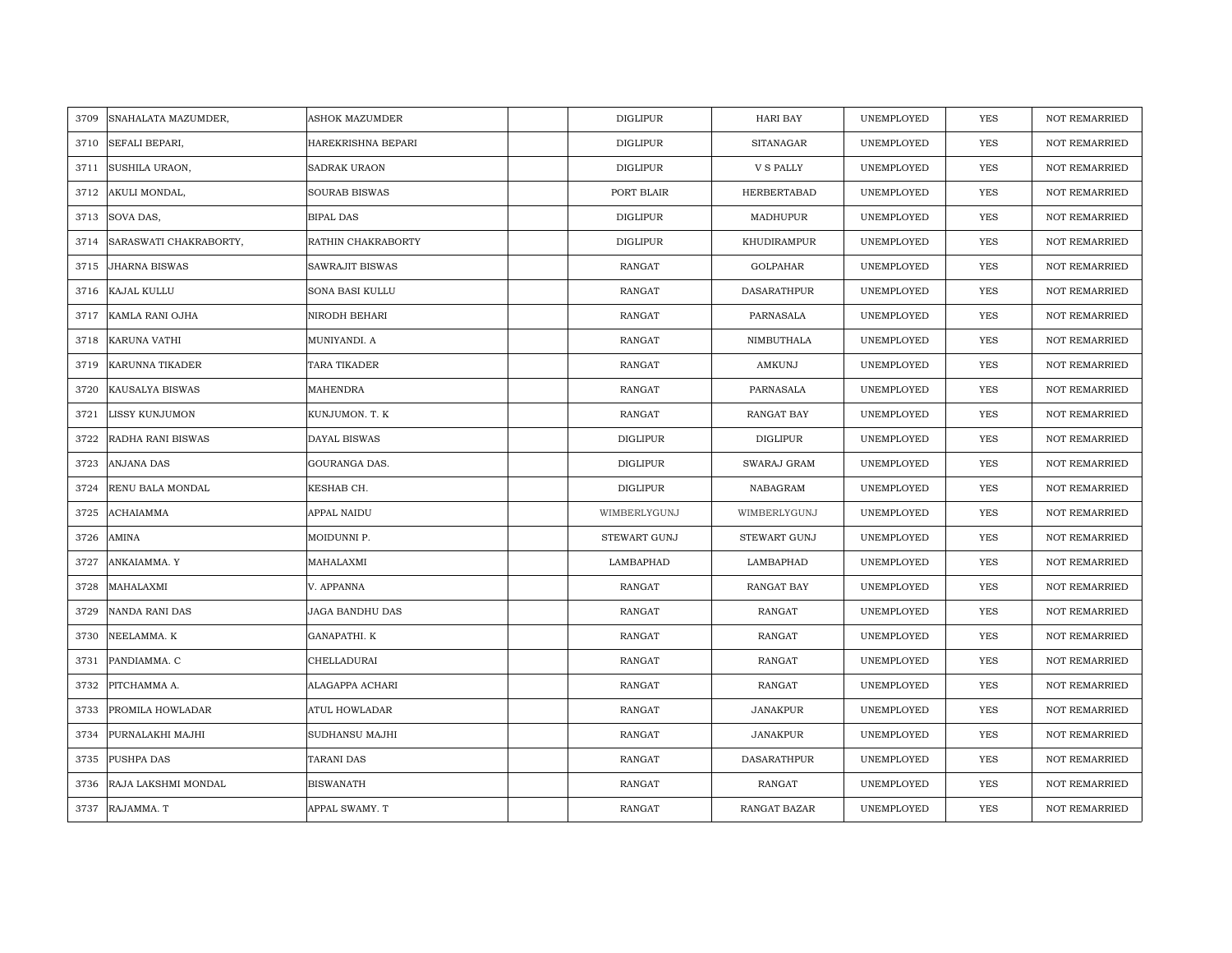| 3709 | SNAHALATA MAZUMDER,    | <b>ASHOK MAZUMDER</b> | <b>DIGLIPUR</b> | HARI BAY            | UNEMPLOYED | YES        | <b>NOT REMARRIED</b> |
|------|------------------------|-----------------------|-----------------|---------------------|------------|------------|----------------------|
| 3710 | SEFALI BEPARI,         | HAREKRISHNA BEPARI    | <b>DIGLIPUR</b> | <b>SITANAGAR</b>    | UNEMPLOYED | <b>YES</b> | <b>NOT REMARRIED</b> |
| 3711 | SUSHILA URAON,         | <b>SADRAK URAON</b>   | <b>DIGLIPUR</b> | <b>V S PALLY</b>    | UNEMPLOYED | <b>YES</b> | <b>NOT REMARRIED</b> |
| 3712 | AKULI MONDAL,          | <b>SOURAB BISWAS</b>  | PORT BLAIR      | HERBERTABAD         | UNEMPLOYED | YES        | <b>NOT REMARRIED</b> |
| 3713 | SOVA DAS,              | <b>BIPAL DAS</b>      | <b>DIGLIPUR</b> | MADHUPUR            | UNEMPLOYED | YES        | <b>NOT REMARRIED</b> |
| 3714 | SARASWATI CHAKRABORTY, | RATHIN CHAKRABORTY    | <b>DIGLIPUR</b> | KHUDIRAMPUR         | UNEMPLOYED | YES        | NOT REMARRIED        |
| 3715 | <b>JHARNA BISWAS</b>   | SAWRAJIT BISWAS       | <b>RANGAT</b>   | GOLPAHAR            | UNEMPLOYED | <b>YES</b> | <b>NOT REMARRIED</b> |
| 3716 | KAJAL KULLU            | SONA BASI KULLU       | <b>RANGAT</b>   | <b>DASARATHPUR</b>  | UNEMPLOYED | YES        | NOT REMARRIED        |
| 3717 | KAMLA RANI OJHA        | NIRODH BEHARI         | <b>RANGAT</b>   | PARNASALA           | UNEMPLOYED | YES        | <b>NOT REMARRIED</b> |
| 3718 | <b>KARUNA VATHI</b>    | MUNIYANDI. A          | <b>RANGAT</b>   | NIMBUTHALA          | UNEMPLOYED | YES        | <b>NOT REMARRIED</b> |
| 3719 | KARUNNA TIKADER        | TARA TIKADER          | RANGAT          | AMKUNJ              | UNEMPLOYED | YES        | <b>NOT REMARRIED</b> |
| 3720 | KAUSALYA BISWAS        | MAHENDRA              | RANGAT          | PARNASALA           | UNEMPLOYED | YES        | NOT REMARRIED        |
| 3721 | <b>LISSY KUNJUMON</b>  | KUNJUMON. T. K        | RANGAT          | RANGAT BAY          | UNEMPLOYED | <b>YES</b> | <b>NOT REMARRIED</b> |
| 3722 | RADHA RANI BISWAS      | DAYAL BISWAS          | DIGLIPUR        | <b>DIGLIPUR</b>     | UNEMPLOYED | <b>YES</b> | <b>NOT REMARRIED</b> |
| 3723 | <b>ANJANA DAS</b>      | GOURANGA DAS.         | DIGLIPUR        | SWARAJ GRAM         | UNEMPLOYED | <b>YES</b> | <b>NOT REMARRIED</b> |
| 3724 | RENU BALA MONDAL       | KESHAB CH.            | <b>DIGLIPUR</b> | NABAGRAM            | UNEMPLOYED | <b>YES</b> | <b>NOT REMARRIED</b> |
| 3725 | ACHAIAMMA              | APPAL NAIDU           | WIMBERLYGUNJ    | WIMBERLYGUNJ        | UNEMPLOYED | <b>YES</b> | <b>NOT REMARRIED</b> |
| 3726 | AMINA                  | MOIDUNNI P.           | STEWART GUNJ    | STEWART GUNJ        | UNEMPLOYED | <b>YES</b> | <b>NOT REMARRIED</b> |
| 3727 | ANKAIAMMA. Y           | MAHALAXMI             | LAMBAPHAD       | LAMBAPHAD           | UNEMPLOYED | <b>YES</b> | <b>NOT REMARRIED</b> |
| 3728 | MAHALAXMI              | V. APPANNA            | RANGAT          | RANGAT BAY          | UNEMPLOYED | YES        | <b>NOT REMARRIED</b> |
| 3729 | <b>NANDA RANI DAS</b>  | JAGA BANDHU DAS       | RANGAT          | RANGAT              | UNEMPLOYED | <b>YES</b> | NOT REMARRIED        |
| 3730 | NEELAMMA. K            | GANAPATHI. K          | <b>RANGAT</b>   | <b>RANGAT</b>       | UNEMPLOYED | YES        | NOT REMARRIED        |
| 3731 | PANDIAMMA. C           | CHELLADURAI           | <b>RANGAT</b>   | RANGAT              | UNEMPLOYED | <b>YES</b> | <b>NOT REMARRIED</b> |
| 3732 | PITCHAMMA A.           | ALAGAPPA ACHARI       | <b>RANGAT</b>   | RANGAT              | UNEMPLOYED | <b>YES</b> | <b>NOT REMARRIED</b> |
| 3733 | PROMILA HOWLADAR       | ATUL HOWLADAR         | <b>RANGAT</b>   | JANAKPUR            | UNEMPLOYED | YES        | <b>NOT REMARRIED</b> |
| 3734 | PURNALAKHI MAJHI       | SUDHANSU MAJHI        | RANGAT          | JANAKPUR            | UNEMPLOYED | YES        | NOT REMARRIED        |
| 3735 | PUSHPA DAS             | TARANI DAS            | RANGAT          | DASARATHPUR         | UNEMPLOYED | YES        | <b>NOT REMARRIED</b> |
| 3736 | RAJA LAKSHMI MONDAL    | <b>BISWANATH</b>      | RANGAT          | RANGAT              | UNEMPLOYED | <b>YES</b> | <b>NOT REMARRIED</b> |
|      | 3737 RAJAMMA. T        | APPAL SWAMY. T        | <b>RANGAT</b>   | <b>RANGAT BAZAR</b> | UNEMPLOYED | <b>YES</b> | <b>NOT REMARRIED</b> |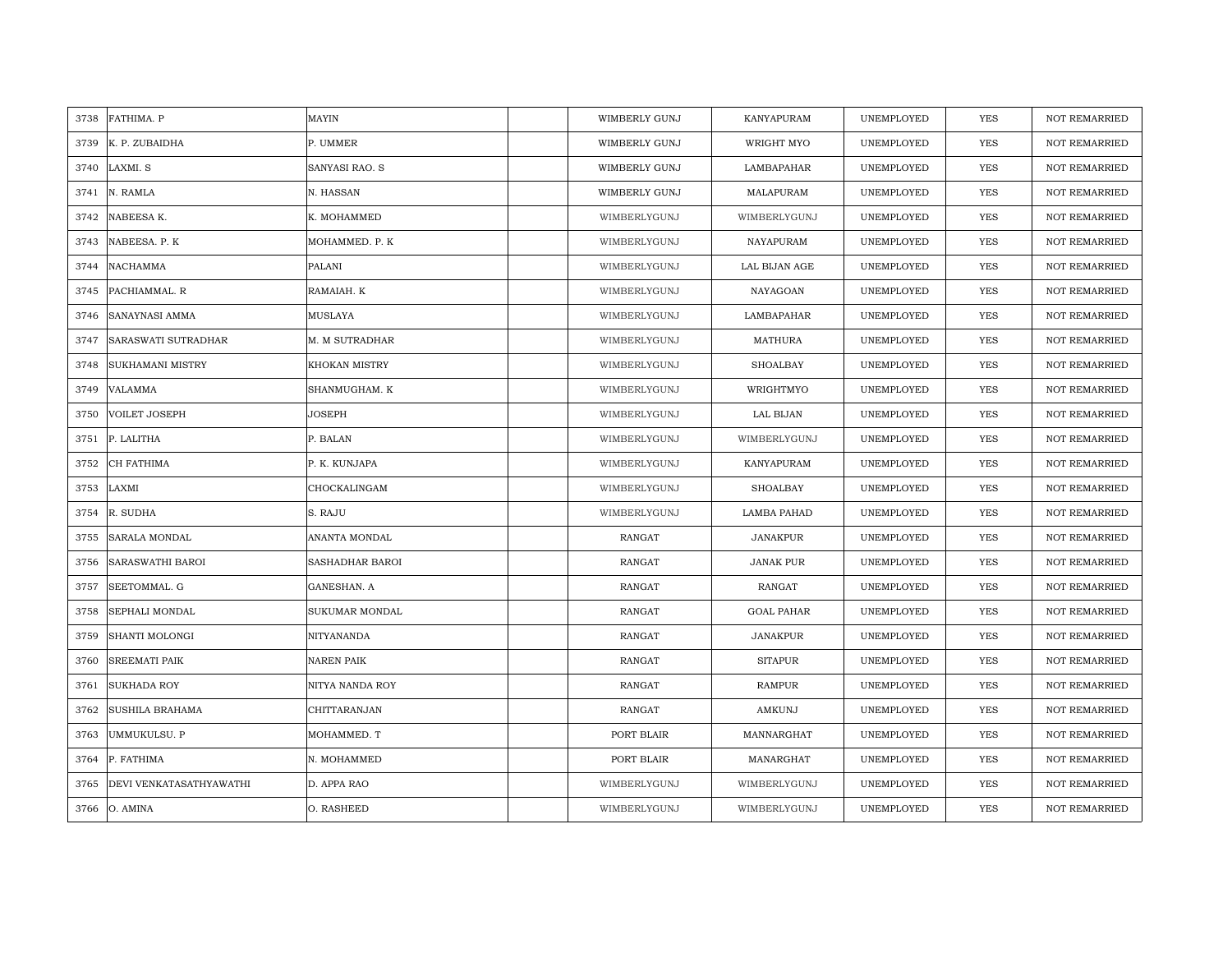| 3738 | FATHIMA. P              | MAYIN                 | WIMBERLY GUNJ        | KANYAPURAM        | UNEMPLOYED | <b>YES</b> | <b>NOT REMARRIED</b> |
|------|-------------------------|-----------------------|----------------------|-------------------|------------|------------|----------------------|
| 3739 | K. P. ZUBAIDHA          | P. UMMER              | WIMBERLY GUNJ        | WRIGHT MYO        | UNEMPLOYED | <b>YES</b> | <b>NOT REMARRIED</b> |
| 3740 | LAXMI. S                | <b>SANYASI RAO. S</b> | <b>WIMBERLY GUNJ</b> | LAMBAPAHAR        | UNEMPLOYED | YES        | <b>NOT REMARRIED</b> |
| 3741 | N. RAMLA                | N. HASSAN             | <b>WIMBERLY GUNJ</b> | MALAPURAM         | UNEMPLOYED | YES        | <b>NOT REMARRIED</b> |
| 3742 | NABEESA K.              | K. MOHAMMED           | WIMBERLYGUNJ         | WIMBERLYGUNJ      | UNEMPLOYED | YES        | <b>NOT REMARRIED</b> |
| 3743 | NABEESA. P. K           | MOHAMMED. P. K        | WIMBERLYGUNJ         | NAYAPURAM         | UNEMPLOYED | <b>YES</b> | <b>NOT REMARRIED</b> |
| 3744 | NACHAMMA                | PALANI                | WIMBERLYGUNJ         | LAL BIJAN AGE     | UNEMPLOYED | YES        | NOT REMARRIED        |
| 3745 | PACHIAMMAL. R           | RAMAIAH. K            | WIMBERLYGUNJ         | NAYAGOAN          | UNEMPLOYED | YES        | NOT REMARRIED        |
| 3746 | SANAYNASI AMMA          | MUSLAYA               | WIMBERLYGUNJ         | LAMBAPAHAR        | UNEMPLOYED | YES        | NOT REMARRIED        |
| 3747 | SARASWATI SUTRADHAR     | M. M SUTRADHAR        | WIMBERLYGUNJ         | <b>MATHURA</b>    | UNEMPLOYED | YES        | <b>NOT REMARRIED</b> |
| 3748 | SUKHAMANI MISTRY        | KHOKAN MISTRY         | WIMBERLYGUNJ         | SHOALBAY          | UNEMPLOYED | YES        | <b>NOT REMARRIED</b> |
| 3749 | <b>VALAMMA</b>          | SHANMUGHAM. K         | WIMBERLYGUNJ         | WRIGHTMYO         | UNEMPLOYED | <b>YES</b> | NOT REMARRIED        |
| 3750 | <b>VOILET JOSEPH</b>    | JOSEPH                | WIMBERLYGUNJ         | LAL BIJAN         | UNEMPLOYED | <b>YES</b> | <b>NOT REMARRIED</b> |
| 3751 | P. LALITHA              | P. BALAN              | WIMBERLYGUNJ         | WIMBERLYGUNJ      | UNEMPLOYED | YES        | <b>NOT REMARRIED</b> |
| 3752 | CH FATHIMA              | P. K. KUNJAPA         | WIMBERLYGUNJ         | KANYAPURAM        | UNEMPLOYED | <b>YES</b> | NOT REMARRIED        |
| 3753 | LAXMI                   | CHOCKALINGAM          | WIMBERLYGUNJ         | SHOALBAY          | UNEMPLOYED | <b>YES</b> | <b>NOT REMARRIED</b> |
| 3754 | R. SUDHA                | S. RAJU               | WIMBERLYGUNJ         | LAMBA PAHAD       | UNEMPLOYED | YES        | <b>NOT REMARRIED</b> |
| 3755 | SARALA MONDAL           | ANANTA MONDAL         | RANGAT               | <b>JANAKPUR</b>   | UNEMPLOYED | <b>YES</b> | <b>NOT REMARRIED</b> |
| 3756 | <b>SARASWATHI BAROI</b> | SASHADHAR BAROI       | RANGAT               | <b>JANAK PUR</b>  | UNEMPLOYED | <b>YES</b> | <b>NOT REMARRIED</b> |
| 3757 | SEETOMMAL. G            | GANESHAN. A           | RANGAT               | RANGAT            | UNEMPLOYED | YES        | NOT REMARRIED        |
| 3758 | SEPHALI MONDAL          | SUKUMAR MONDAL        | RANGAT               | <b>GOAL PAHAR</b> | UNEMPLOYED | YES        | NOT REMARRIED        |
| 3759 | <b>SHANTI MOLONGI</b>   | NITYANANDA            | RANGAT               | <b>JANAKPUR</b>   | UNEMPLOYED | YES        | <b>NOT REMARRIED</b> |
| 3760 | <b>SREEMATI PAIK</b>    | <b>NAREN PAIK</b>     | <b>RANGAT</b>        | <b>SITAPUR</b>    | UNEMPLOYED | YES        | <b>NOT REMARRIED</b> |
| 3761 | <b>SUKHADA ROY</b>      | NITYA NANDA ROY       | <b>RANGAT</b>        | <b>RAMPUR</b>     | UNEMPLOYED | YES        | <b>NOT REMARRIED</b> |
| 3762 | SUSHILA BRAHAMA         | CHITTARANJAN          | RANGAT               | AMKUNJ            | UNEMPLOYED | YES        | NOT REMARRIED        |
| 3763 | UMMUKULSU. P            | MOHAMMED. T           | PORT BLAIR           | MANNARGHAT        | UNEMPLOYED | <b>YES</b> | <b>NOT REMARRIED</b> |
| 3764 | P. FATHIMA              | N. MOHAMMED           | PORT BLAIR           | MANARGHAT         | UNEMPLOYED | YES        | NOT REMARRIED        |
| 3765 | DEVI VENKATASATHYAWATHI | D. APPA RAO           | WIMBERLYGUNJ         | WIMBERLYGUNJ      | UNEMPLOYED | YES        | NOT REMARRIED        |
| 3766 | O. AMINA                | O. RASHEED            | WIMBERLYGUNJ         | WIMBERLYGUNJ      | UNEMPLOYED | <b>YES</b> | <b>NOT REMARRIED</b> |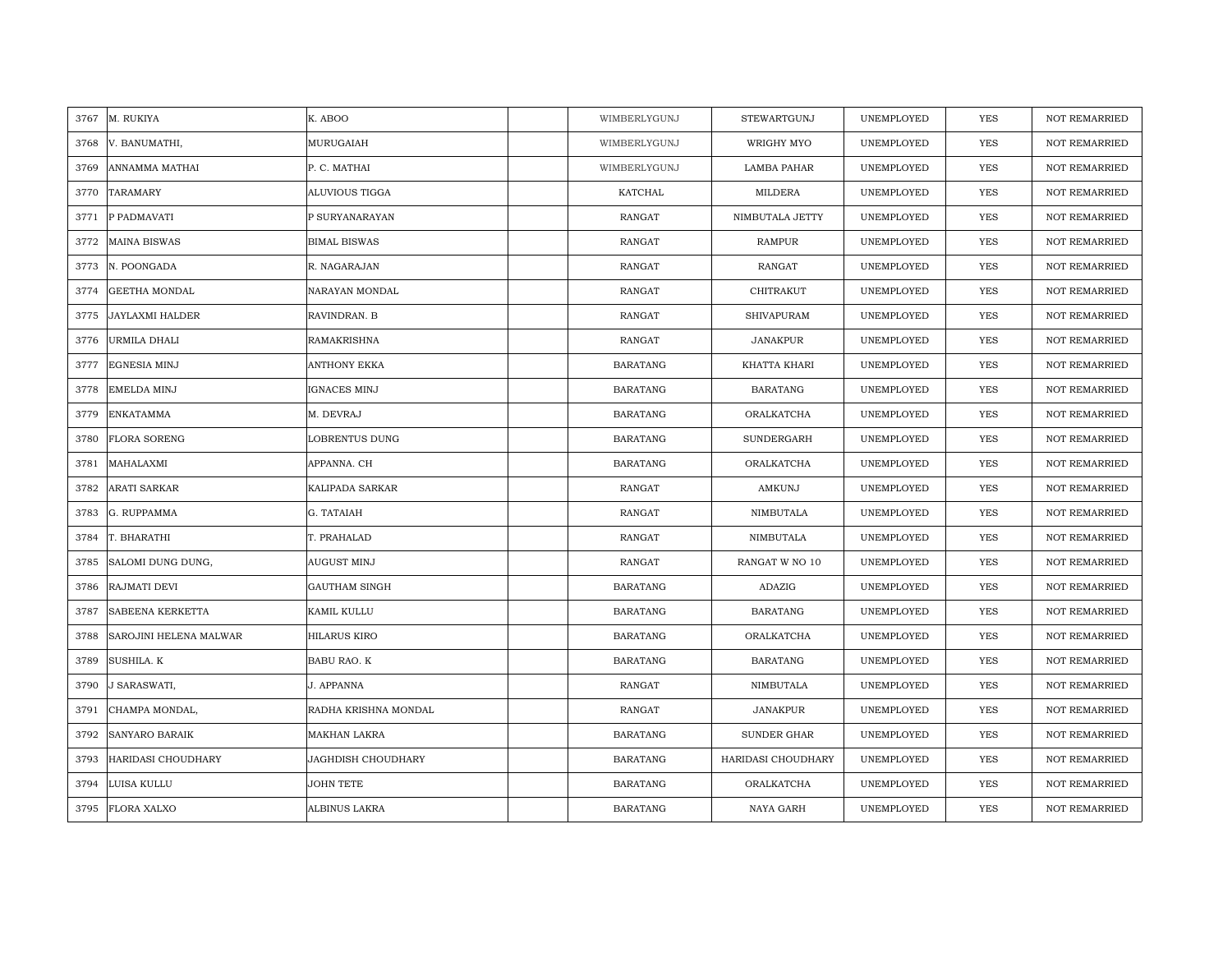| 3767 | M. RUKIYA              | K. ABOO                   | WIMBERLYGUNJ    | STEWARTGUNJ        | UNEMPLOYED | <b>YES</b> | <b>NOT REMARRIED</b> |
|------|------------------------|---------------------------|-----------------|--------------------|------------|------------|----------------------|
| 3768 | V. BANUMATHI,          | MURUGAIAH                 | WIMBERLYGUNJ    | WRIGHY MYO         | UNEMPLOYED | <b>YES</b> | NOT REMARRIED        |
| 3769 | ANNAMMA MATHAI         | P. C. MATHAI              | WIMBERLYGUNJ    | <b>LAMBA PAHAR</b> | UNEMPLOYED | <b>YES</b> | <b>NOT REMARRIED</b> |
| 3770 | TARAMARY               | ALUVIOUS TIGGA            | KATCHAL         | MILDERA            | UNEMPLOYED | <b>YES</b> | <b>NOT REMARRIED</b> |
| 3771 | P PADMAVATI            | P SURYANARAYAN            | <b>RANGAT</b>   | NIMBUTALA JETTY    | UNEMPLOYED | <b>YES</b> | <b>NOT REMARRIED</b> |
| 3772 | <b>MAINA BISWAS</b>    | <b>BIMAL BISWAS</b>       | RANGAT          | RAMPUR             | UNEMPLOYED | <b>YES</b> | <b>NOT REMARRIED</b> |
| 3773 | N. POONGADA            | R. NAGARAJAN              | <b>RANGAT</b>   | <b>RANGAT</b>      | UNEMPLOYED | YES        | <b>NOT REMARRIED</b> |
| 3774 | <b>GEETHA MONDAL</b>   | NARAYAN MONDAL            | RANGAT          | CHITRAKUT          | UNEMPLOYED | YES        | <b>NOT REMARRIED</b> |
| 3775 | JAYLAXMI HALDER        | RAVINDRAN. B              | RANGAT          | <b>SHIVAPURAM</b>  | UNEMPLOYED | YES        | NOT REMARRIED        |
| 3776 | URMILA DHALI           | <b>RAMAKRISHNA</b>        | <b>RANGAT</b>   | <b>JANAKPUR</b>    | UNEMPLOYED | YES        | <b>NOT REMARRIED</b> |
| 3777 | EGNESIA MINJ           | ANTHONY EKKA              | <b>BARATANG</b> | KHATTA KHARI       | UNEMPLOYED | YES        | <b>NOT REMARRIED</b> |
| 3778 | EMELDA MINJ            | IGNACES MINJ              | <b>BARATANG</b> | <b>BARATANG</b>    | UNEMPLOYED | YES        | NOT REMARRIED        |
| 3779 | <b>ENKATAMMA</b>       | M. DEVRAJ                 | <b>BARATANG</b> | ORALKATCHA         | UNEMPLOYED | YES        | NOT REMARRIED        |
| 3780 | <b>FLORA SORENG</b>    | LOBRENTUS DUNG            | <b>BARATANG</b> | SUNDERGARH         | UNEMPLOYED | <b>YES</b> | <b>NOT REMARRIED</b> |
| 3781 | MAHALAXMI              | APPANNA. CH               | <b>BARATANG</b> | ORALKATCHA         | UNEMPLOYED | YES        | NOT REMARRIED        |
| 3782 | ARATI SARKAR           | KALIPADA SARKAR           | RANGAT          | AMKUNJ             | UNEMPLOYED | YES        | <b>NOT REMARRIED</b> |
| 3783 | G. RUPPAMMA            | G. TATAIAH                | <b>RANGAT</b>   | NIMBUTALA          | UNEMPLOYED | YES        | <b>NOT REMARRIED</b> |
| 3784 | T. BHARATHI            | T. PRAHALAD               | RANGAT          | NIMBUTALA          | UNEMPLOYED | <b>YES</b> | <b>NOT REMARRIED</b> |
| 3785 | SALOMI DUNG DUNG,      | AUGUST MINJ               | RANGAT          | RANGAT W NO 10     | UNEMPLOYED | YES        | NOT REMARRIED        |
| 3786 | RAJMATI DEVI           | <b>GAUTHAM SINGH</b>      | <b>BARATANG</b> | ADAZIG             | UNEMPLOYED | <b>YES</b> | <b>NOT REMARRIED</b> |
| 3787 | SABEENA KERKETTA       | KAMIL KULLU               | <b>BARATANG</b> | <b>BARATANG</b>    | UNEMPLOYED | <b>YES</b> | <b>NOT REMARRIED</b> |
| 3788 | SAROJINI HELENA MALWAR | HILARUS KIRO              | <b>BARATANG</b> | ORALKATCHA         | UNEMPLOYED | YES        | NOT REMARRIED        |
| 3789 | SUSHILA. K             | BABU RAO. K               | <b>BARATANG</b> | <b>BARATANG</b>    | UNEMPLOYED | YES        | <b>NOT REMARRIED</b> |
| 3790 | J SARASWATI,           | J. APPANNA                | <b>RANGAT</b>   | NIMBUTALA          | UNEMPLOYED | YES        | <b>NOT REMARRIED</b> |
| 3791 | CHAMPA MONDAL,         | RADHA KRISHNA MONDAL      | RANGAT          | JANAKPUR           | UNEMPLOYED | YES        | <b>NOT REMARRIED</b> |
| 3792 | SANYARO BARAIK         | MAKHAN LAKRA              | <b>BARATANG</b> | <b>SUNDER GHAR</b> | UNEMPLOYED | YES        | NOT REMARRIED        |
| 3793 | HARIDASI CHOUDHARY     | <b>JAGHDISH CHOUDHARY</b> | <b>BARATANG</b> | HARIDASI CHOUDHARY | UNEMPLOYED | YES        | <b>NOT REMARRIED</b> |
| 3794 | LUISA KULLU            | <b>JOHN TETE</b>          | <b>BARATANG</b> | ORALKATCHA         | UNEMPLOYED | <b>YES</b> | <b>NOT REMARRIED</b> |
| 3795 | <b>FLORA XALXO</b>     | ALBINUS LAKRA             | <b>BARATANG</b> | NAYA GARH          | UNEMPLOYED | <b>YES</b> | <b>NOT REMARRIED</b> |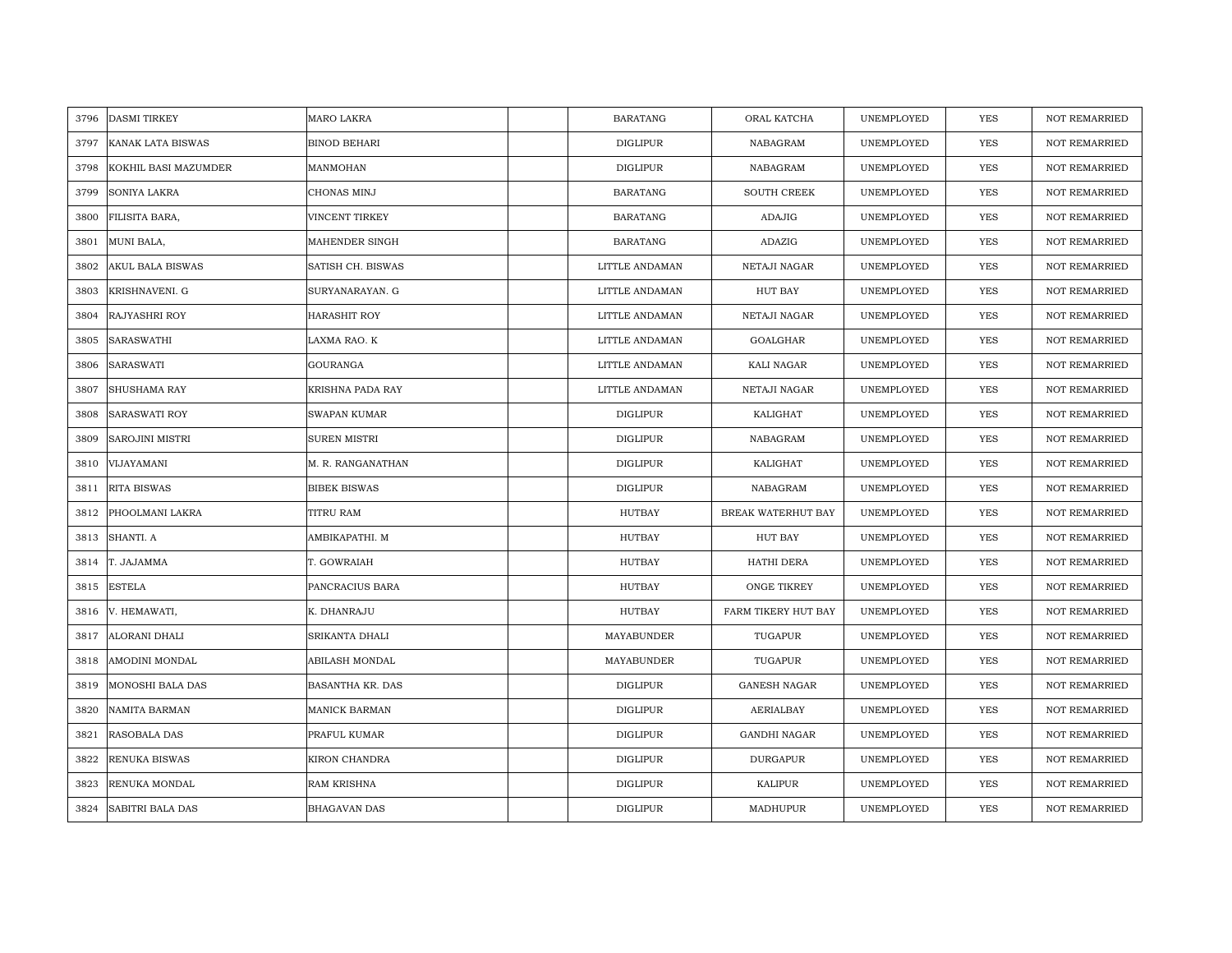| 3796 | <b>DASMI TIRKEY</b>     | MARO LAKRA          | <b>BARATANG</b> | ORAL KATCHA         | UNEMPLOYED | <b>YES</b> | <b>NOT REMARRIED</b> |
|------|-------------------------|---------------------|-----------------|---------------------|------------|------------|----------------------|
| 3797 | KANAK LATA BISWAS       | <b>BINOD BEHARI</b> | <b>DIGLIPUR</b> | NABAGRAM            | UNEMPLOYED | <b>YES</b> | <b>NOT REMARRIED</b> |
| 3798 | KOKHIL BASI MAZUMDER    | MANMOHAN            | <b>DIGLIPUR</b> | NABAGRAM            | UNEMPLOYED | <b>YES</b> | <b>NOT REMARRIED</b> |
| 3799 | SONIYA LAKRA            | CHONAS MINJ         | <b>BARATANG</b> | SOUTH CREEK         | UNEMPLOYED | YES        | <b>NOT REMARRIED</b> |
| 3800 | FILISITA BARA,          | VINCENT TIRKEY      | <b>BARATANG</b> | <b>ADAJIG</b>       | UNEMPLOYED | YES        | <b>NOT REMARRIED</b> |
| 3801 | MUNI BALA,              | MAHENDER SINGH      | <b>BARATANG</b> | ADAZIG              | UNEMPLOYED | <b>YES</b> | NOT REMARRIED        |
| 3802 | <b>AKUL BALA BISWAS</b> | SATISH CH. BISWAS   | LITTLE ANDAMAN  | NETAJI NAGAR        | UNEMPLOYED | YES        | <b>NOT REMARRIED</b> |
| 3803 | KRISHNAVENI. G          | SURYANARAYAN. G     | LITTLE ANDAMAN  | <b>HUT BAY</b>      | UNEMPLOYED | <b>YES</b> | <b>NOT REMARRIED</b> |
| 3804 | RAJYASHRI ROY           | HARASHIT ROY        | LITTLE ANDAMAN  | NETAJI NAGAR        | UNEMPLOYED | YES        | <b>NOT REMARRIED</b> |
| 3805 | SARASWATHI              | LAXMA RAO. K        | LITTLE ANDAMAN  | GOALGHAR            | UNEMPLOYED | <b>YES</b> | <b>NOT REMARRIED</b> |
| 3806 | SARASWATI               | GOURANGA            | LITTLE ANDAMAN  | KALI NAGAR          | UNEMPLOYED | YES        | <b>NOT REMARRIED</b> |
| 3807 | SHUSHAMA RAY            | KRISHNA PADA RAY    | LITTLE ANDAMAN  | NETAJI NAGAR        | UNEMPLOYED | <b>YES</b> | <b>NOT REMARRIED</b> |
| 3808 | SARASWATI ROY           | <b>SWAPAN KUMAR</b> | <b>DIGLIPUR</b> | KALIGHAT            | UNEMPLOYED | <b>YES</b> | <b>NOT REMARRIED</b> |
| 3809 | <b>SAROJINI MISTRI</b>  | SUREN MISTRI        | DIGLIPUR        | NABAGRAM            | UNEMPLOYED | <b>YES</b> | <b>NOT REMARRIED</b> |
| 3810 | VIJAYAMANI              | M. R. RANGANATHAN   | <b>DIGLIPUR</b> | KALIGHAT            | UNEMPLOYED | <b>YES</b> | <b>NOT REMARRIED</b> |
| 3811 | <b>RITA BISWAS</b>      | <b>BIBEK BISWAS</b> | <b>DIGLIPUR</b> | NABAGRAM            | UNEMPLOYED | <b>YES</b> | <b>NOT REMARRIED</b> |
| 3812 | PHOOLMANI LAKRA         | TITRU RAM           | <b>HUTBAY</b>   | BREAK WATERHUT BAY  | UNEMPLOYED | <b>YES</b> | <b>NOT REMARRIED</b> |
| 3813 | SHANTI. A               | AMBIKAPATHI. M      | HUTBAY          | HUT BAY             | UNEMPLOYED | <b>YES</b> | <b>NOT REMARRIED</b> |
| 3814 | T. JAJAMMA              | T. GOWRAIAH         | <b>HUTBAY</b>   | HATHI DERA          | UNEMPLOYED | <b>YES</b> | <b>NOT REMARRIED</b> |
| 3815 | <b>ESTELA</b>           | PANCRACIUS BARA     | <b>HUTBAY</b>   | ONGE TIKREY         | UNEMPLOYED | YES        | <b>NOT REMARRIED</b> |
| 3816 | V. HEMAWATI,            | K. DHANRAJU         | HUTBAY          | FARM TIKERY HUT BAY | UNEMPLOYED | YES        | <b>NOT REMARRIED</b> |
| 3817 | ALORANI DHALI           | SRIKANTA DHALI      | MAYABUNDER      | TUGAPUR             | UNEMPLOYED | YES        | <b>NOT REMARRIED</b> |
| 3818 | AMODINI MONDAL          | ABILASH MONDAL      | MAYABUNDER      | TUGAPUR             | UNEMPLOYED | <b>YES</b> | <b>NOT REMARRIED</b> |
| 3819 | <b>MONOSHI BALA DAS</b> | BASANTHA KR. DAS    | <b>DIGLIPUR</b> | <b>GANESH NAGAR</b> | UNEMPLOYED | <b>YES</b> | <b>NOT REMARRIED</b> |
| 3820 | NAMITA BARMAN           | MANICK BARMAN       | <b>DIGLIPUR</b> | AERIALBAY           | UNEMPLOYED | YES        | <b>NOT REMARRIED</b> |
| 3821 | RASOBALA DAS            | PRAFUL KUMAR        | <b>DIGLIPUR</b> | GANDHI NAGAR        | UNEMPLOYED | YES        | <b>NOT REMARRIED</b> |
| 3822 | RENUKA BISWAS           | KIRON CHANDRA       | DIGLIPUR        | <b>DURGAPUR</b>     | UNEMPLOYED | YES        | <b>NOT REMARRIED</b> |
| 3823 | RENUKA MONDAL           | RAM KRISHNA         | <b>DIGLIPUR</b> | KALIPUR             | UNEMPLOYED | <b>YES</b> | <b>NOT REMARRIED</b> |
| 3824 | <b>SABITRI BALA DAS</b> | <b>BHAGAVAN DAS</b> | <b>DIGLIPUR</b> | MADHUPUR            | UNEMPLOYED | <b>YES</b> | <b>NOT REMARRIED</b> |
|      |                         |                     |                 |                     |            |            |                      |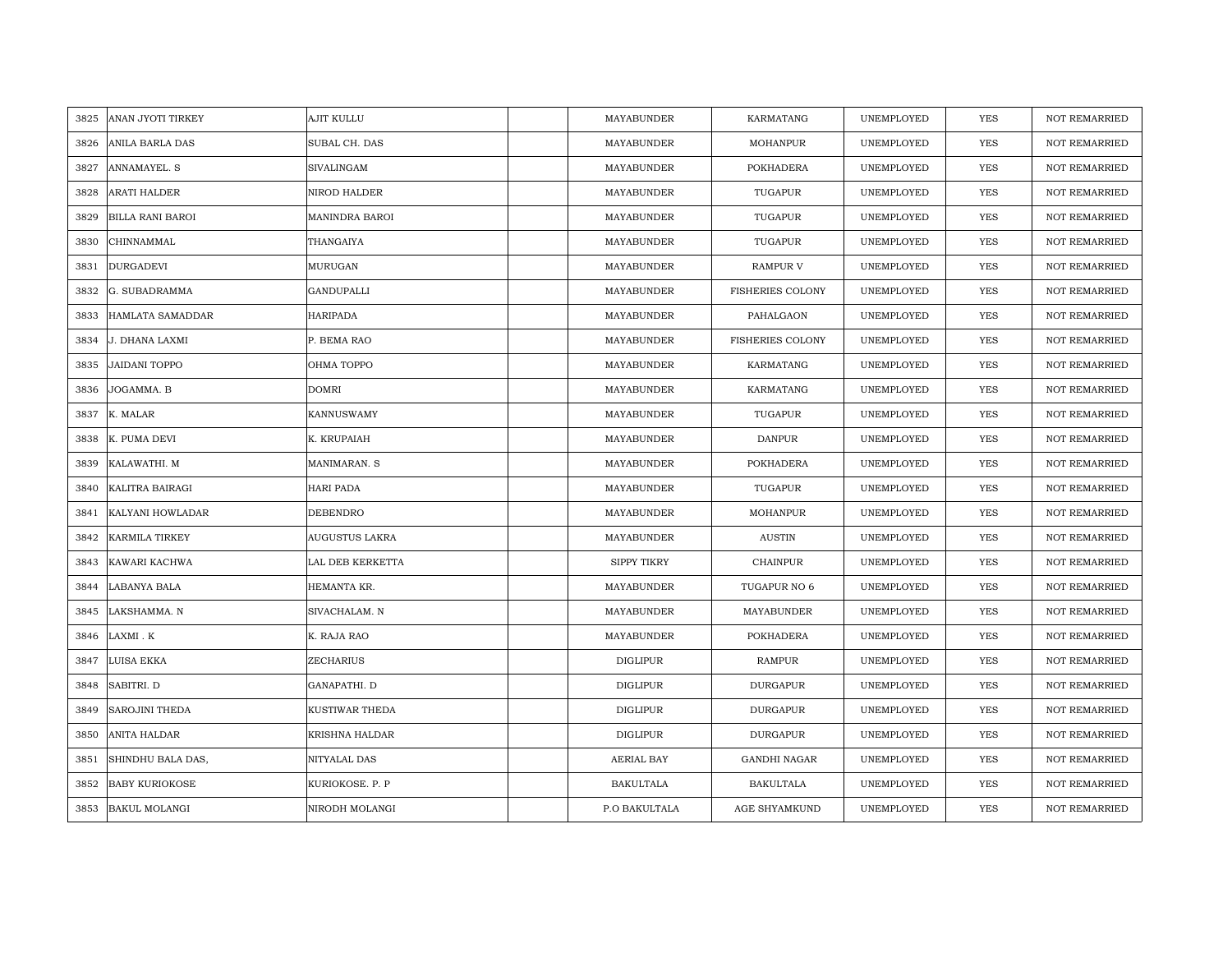| 3825 | ANAN JYOTI TIRKEY       | AJIT KULLU            | MAYABUNDER         | KARMATANG               | UNEMPLOYED | YES        | <b>NOT REMARRIED</b> |
|------|-------------------------|-----------------------|--------------------|-------------------------|------------|------------|----------------------|
| 3826 | ANILA BARLA DAS         | SUBAL CH. DAS         | MAYABUNDER         | <b>MOHANPUR</b>         | UNEMPLOYED | <b>YES</b> | <b>NOT REMARRIED</b> |
| 3827 | <b>ANNAMAYEL, S</b>     | <b>SIVALINGAM</b>     | MAYABUNDER         | <b>POKHADERA</b>        | UNEMPLOYED | YES        | <b>NOT REMARRIED</b> |
| 3828 | ARATI HALDER            | NIROD HALDER          | MAYABUNDER         | TUGAPUR                 | UNEMPLOYED | YES        | NOT REMARRIED        |
| 3829 | <b>BILLA RANI BAROI</b> | MANINDRA BAROI        | MAYABUNDER         | TUGAPUR                 | UNEMPLOYED | YES        | NOT REMARRIED        |
| 3830 | CHINNAMMAL              | THANGAIYA             | MAYABUNDER         | TUGAPUR                 | UNEMPLOYED | YES        | NOT REMARRIED        |
| 3831 | <b>DURGADEVI</b>        | MURUGAN               | MAYABUNDER         | <b>RAMPUR V</b>         | UNEMPLOYED | YES        | NOT REMARRIED        |
| 3832 | G. SUBADRAMMA           | <b>GANDUPALLI</b>     | MAYABUNDER         | <b>FISHERIES COLONY</b> | UNEMPLOYED | YES        | NOT REMARRIED        |
| 3833 | HAMLATA SAMADDAR        | <b>HARIPADA</b>       | MAYABUNDER         | PAHALGAON               | UNEMPLOYED | YES        | NOT REMARRIED        |
| 3834 | J. DHANA LAXMI          | P. BEMA RAO           | MAYABUNDER         | <b>FISHERIES COLONY</b> | UNEMPLOYED | YES        | <b>NOT REMARRIED</b> |
| 3835 | <b>JAIDANI TOPPO</b>    | OHMA TOPPO            | MAYABUNDER         | KARMATANG               | UNEMPLOYED | YES        | <b>NOT REMARRIED</b> |
| 3836 | JOGAMMA. B              | <b>DOMRI</b>          | MAYABUNDER         | KARMATANG               | UNEMPLOYED | YES        | NOT REMARRIED        |
| 3837 | K. MALAR                | <b>KANNUSWAMY</b>     | MAYABUNDER         | TUGAPUR                 | UNEMPLOYED | YES        | <b>NOT REMARRIED</b> |
| 3838 | K. PUMA DEVI            | K. KRUPAIAH           | MAYABUNDER         | <b>DANPUR</b>           | UNEMPLOYED | YES        | <b>NOT REMARRIED</b> |
| 3839 | KALAWATHI. M            | MANIMARAN. S          | MAYABUNDER         | POKHADERA               | UNEMPLOYED | YES        | <b>NOT REMARRIED</b> |
| 3840 | KALITRA BAIRAGI         | <b>HARI PADA</b>      | MAYABUNDER         | TUGAPUR                 | UNEMPLOYED | <b>YES</b> | <b>NOT REMARRIED</b> |
| 3841 | KALYANI HOWLADAR        | <b>DEBENDRO</b>       | MAYABUNDER         | <b>MOHANPUR</b>         | UNEMPLOYED | YES        | <b>NOT REMARRIED</b> |
| 3842 | <b>KARMILA TIRKEY</b>   | <b>AUGUSTUS LAKRA</b> | MAYABUNDER         | <b>AUSTIN</b>           | UNEMPLOYED | YES        | <b>NOT REMARRIED</b> |
| 3843 | KAWARI KACHWA           | LAL DEB KERKETTA      | <b>SIPPY TIKRY</b> | <b>CHAINPUR</b>         | UNEMPLOYED | <b>YES</b> | <b>NOT REMARRIED</b> |
| 3844 | <b>LABANYA BALA</b>     | HEMANTA KR.           | MAYABUNDER         | TUGAPUR NO 6            | UNEMPLOYED | YES        | <b>NOT REMARRIED</b> |
| 3845 | LAKSHAMMA. N            | SIVACHALAM. N         | MAYABUNDER         | MAYABUNDER              | UNEMPLOYED | YES        | NOT REMARRIED        |
| 3846 | LAXMI . K               | K. RAJA RAO           | MAYABUNDER         | POKHADERA               | UNEMPLOYED | YES        | NOT REMARRIED        |
| 3847 | LUISA EKKA              | ZECHARIUS             | <b>DIGLIPUR</b>    | RAMPUR                  | UNEMPLOYED | <b>YES</b> | <b>NOT REMARRIED</b> |
| 3848 | SABITRI. D              | GANAPATHI. D          | <b>DIGLIPUR</b>    | <b>DURGAPUR</b>         | UNEMPLOYED | YES        | <b>NOT REMARRIED</b> |
| 3849 | SAROJINI THEDA          | KUSTIWAR THEDA        | <b>DIGLIPUR</b>    | <b>DURGAPUR</b>         | UNEMPLOYED | YES        | <b>NOT REMARRIED</b> |
| 3850 | ANITA HALDAR            | KRISHNA HALDAR        | <b>DIGLIPUR</b>    | <b>DURGAPUR</b>         | UNEMPLOYED | YES        | <b>NOT REMARRIED</b> |
| 3851 | SHINDHU BALA DAS,       | NITYALAL DAS          | AERIAL BAY         | <b>GANDHI NAGAR</b>     | UNEMPLOYED | YES        | <b>NOT REMARRIED</b> |
| 3852 | <b>BABY KURIOKOSE</b>   | KURIOKOSE. P. P       | <b>BAKULTALA</b>   | <b>BAKULTALA</b>        | UNEMPLOYED | YES        | <b>NOT REMARRIED</b> |
| 3853 | <b>BAKUL MOLANGI</b>    | NIRODH MOLANGI        | P.O BAKULTALA      | AGE SHYAMKUND           | UNEMPLOYED | YES        | <b>NOT REMARRIED</b> |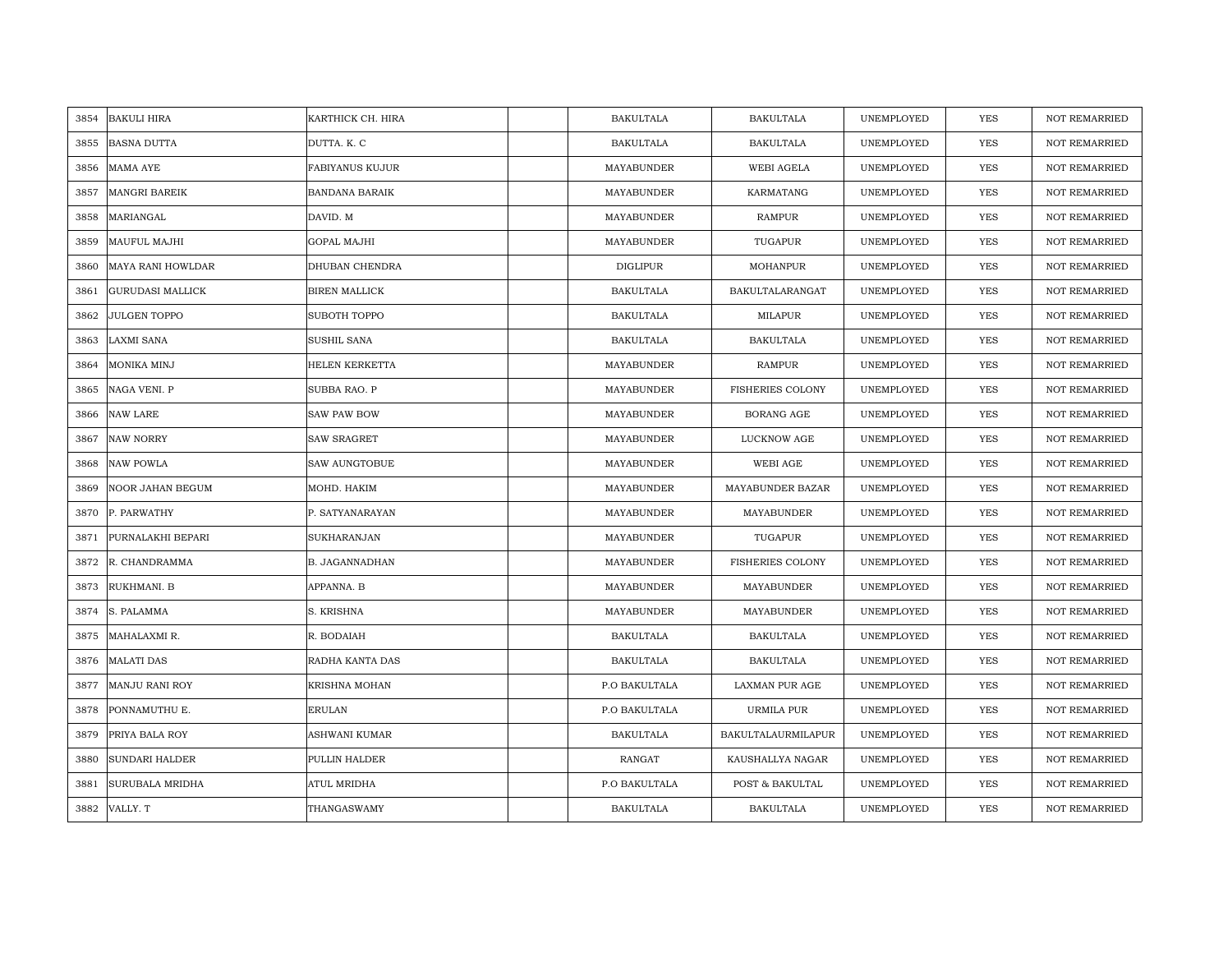| 3854 | <b>BAKULI HIRA</b>       | KARTHICK CH. HIRA      | <b>BAKULTALA</b> | <b>BAKULTALA</b>        | UNEMPLOYED | <b>YES</b> | <b>NOT REMARRIED</b> |
|------|--------------------------|------------------------|------------------|-------------------------|------------|------------|----------------------|
| 3855 | <b>BASNA DUTTA</b>       | DUTTA. K. C            | <b>BAKULTALA</b> | <b>BAKULTALA</b>        | UNEMPLOYED | <b>YES</b> | NOT REMARRIED        |
| 3856 | <b>MAMA AYE</b>          | <b>FABIYANUS KUJUR</b> | MAYABUNDER       | WEBI AGELA              | UNEMPLOYED | YES        | <b>NOT REMARRIED</b> |
| 3857 | <b>MANGRI BAREIK</b>     | <b>BANDANA BARAIK</b>  | MAYABUNDER       | KARMATANG               | UNEMPLOYED | YES        | <b>NOT REMARRIED</b> |
| 3858 | MARIANGAL                | DAVID. M               | MAYABUNDER       | <b>RAMPUR</b>           | UNEMPLOYED | YES        | <b>NOT REMARRIED</b> |
| 3859 | <b>MAUFUL MAJHI</b>      | <b>GOPAL MAJHI</b>     | MAYABUNDER       | TUGAPUR                 | UNEMPLOYED | YES        | <b>NOT REMARRIED</b> |
| 3860 | <b>MAYA RANI HOWLDAR</b> | DHUBAN CHENDRA         | <b>DIGLIPUR</b>  | <b>MOHANPUR</b>         | UNEMPLOYED | YES        | <b>NOT REMARRIED</b> |
| 3861 | <b>GURUDASI MALLICK</b>  | <b>BIREN MALLICK</b>   | <b>BAKULTALA</b> | BAKULTALARANGAT         | UNEMPLOYED | YES        | NOT REMARRIED        |
| 3862 | <b>JULGEN TOPPO</b>      | SUBOTH TOPPO           | <b>BAKULTALA</b> | MILAPUR                 | UNEMPLOYED | YES        | NOT REMARRIED        |
| 3863 | <b>LAXMI SANA</b>        | SUSHIL SANA            | <b>BAKULTALA</b> | <b>BAKULTALA</b>        | UNEMPLOYED | <b>YES</b> | <b>NOT REMARRIED</b> |
| 3864 | MONIKA MINJ              | HELEN KERKETTA         | MAYABUNDER       | <b>RAMPUR</b>           | UNEMPLOYED | YES        | <b>NOT REMARRIED</b> |
| 3865 | NAGA VENI. P             | SUBBA RAO. P           | MAYABUNDER       | <b>FISHERIES COLONY</b> | UNEMPLOYED | YES        | NOT REMARRIED        |
| 3866 | <b>NAW LARE</b>          | <b>SAW PAW BOW</b>     | MAYABUNDER       | <b>BORANG AGE</b>       | UNEMPLOYED | <b>YES</b> | NOT REMARRIED        |
| 3867 | <b>NAW NORRY</b>         | <b>SAW SRAGRET</b>     | MAYABUNDER       | LUCKNOW AGE             | UNEMPLOYED | <b>YES</b> | <b>NOT REMARRIED</b> |
| 3868 | <b>NAW POWLA</b>         | SAW AUNGTOBUE          | MAYABUNDER       | WEBI AGE                | UNEMPLOYED | YES        | NOT REMARRIED        |
| 3869 | NOOR JAHAN BEGUM         | MOHD. HAKIM            | MAYABUNDER       | MAYABUNDER BAZAR        | UNEMPLOYED | YES        | <b>NOT REMARRIED</b> |
| 3870 | P. PARWATHY              | P. SATYANARAYAN        | MAYABUNDER       | MAYABUNDER              | UNEMPLOYED | YES        | <b>NOT REMARRIED</b> |
| 3871 | PURNALAKHI BEPARI        | SUKHARANJAN            | MAYABUNDER       | TUGAPUR                 | UNEMPLOYED | YES        | <b>NOT REMARRIED</b> |
| 3872 | R. CHANDRAMMA            | <b>B. JAGANNADHAN</b>  | MAYABUNDER       | <b>FISHERIES COLONY</b> | UNEMPLOYED | <b>YES</b> | NOT REMARRIED        |
| 3873 | RUKHMANI. B              | APPANNA. B             | MAYABUNDER       | MAYABUNDER              | UNEMPLOYED | <b>YES</b> | <b>NOT REMARRIED</b> |
| 3874 | S. PALAMMA               | S. KRISHNA             | MAYABUNDER       | MAYABUNDER              | UNEMPLOYED | YES        | <b>NOT REMARRIED</b> |
| 3875 | MAHALAXMI R.             | R. BODAIAH             | <b>BAKULTALA</b> | BAKULTALA               | UNEMPLOYED | YES        | NOT REMARRIED        |
| 3876 | <b>MALATI DAS</b>        | RADHA KANTA DAS        | BAKULTALA        | BAKULTALA               | UNEMPLOYED | YES        | <b>NOT REMARRIED</b> |
| 3877 | MANJU RANI ROY           | KRISHNA MOHAN          | P.O BAKULTALA    | LAXMAN PUR AGE          | UNEMPLOYED | YES        | <b>NOT REMARRIED</b> |
| 3878 | PONNAMUTHU E.            | ERULAN                 | P.O BAKULTALA    | URMILA PUR              | UNEMPLOYED | YES        | <b>NOT REMARRIED</b> |
| 3879 | PRIYA BALA ROY           | ASHWANI KUMAR          | BAKULTALA        | BAKULTALAURMILAPUR      | UNEMPLOYED | YES        | NOT REMARRIED        |
| 3880 | <b>SUNDARI HALDER</b>    | PULLIN HALDER          | RANGAT           | KAUSHALLYA NAGAR        | UNEMPLOYED | YES        | <b>NOT REMARRIED</b> |
| 3881 | SURUBALA MRIDHA          | ATUL MRIDHA            | P.O BAKULTALA    | POST & BAKULTAL         | UNEMPLOYED | YES        | <b>NOT REMARRIED</b> |
|      | 3882 VALLY. T            | THANGASWAMY            | <b>BAKULTALA</b> | <b>BAKULTALA</b>        | UNEMPLOYED | <b>YES</b> | <b>NOT REMARRIED</b> |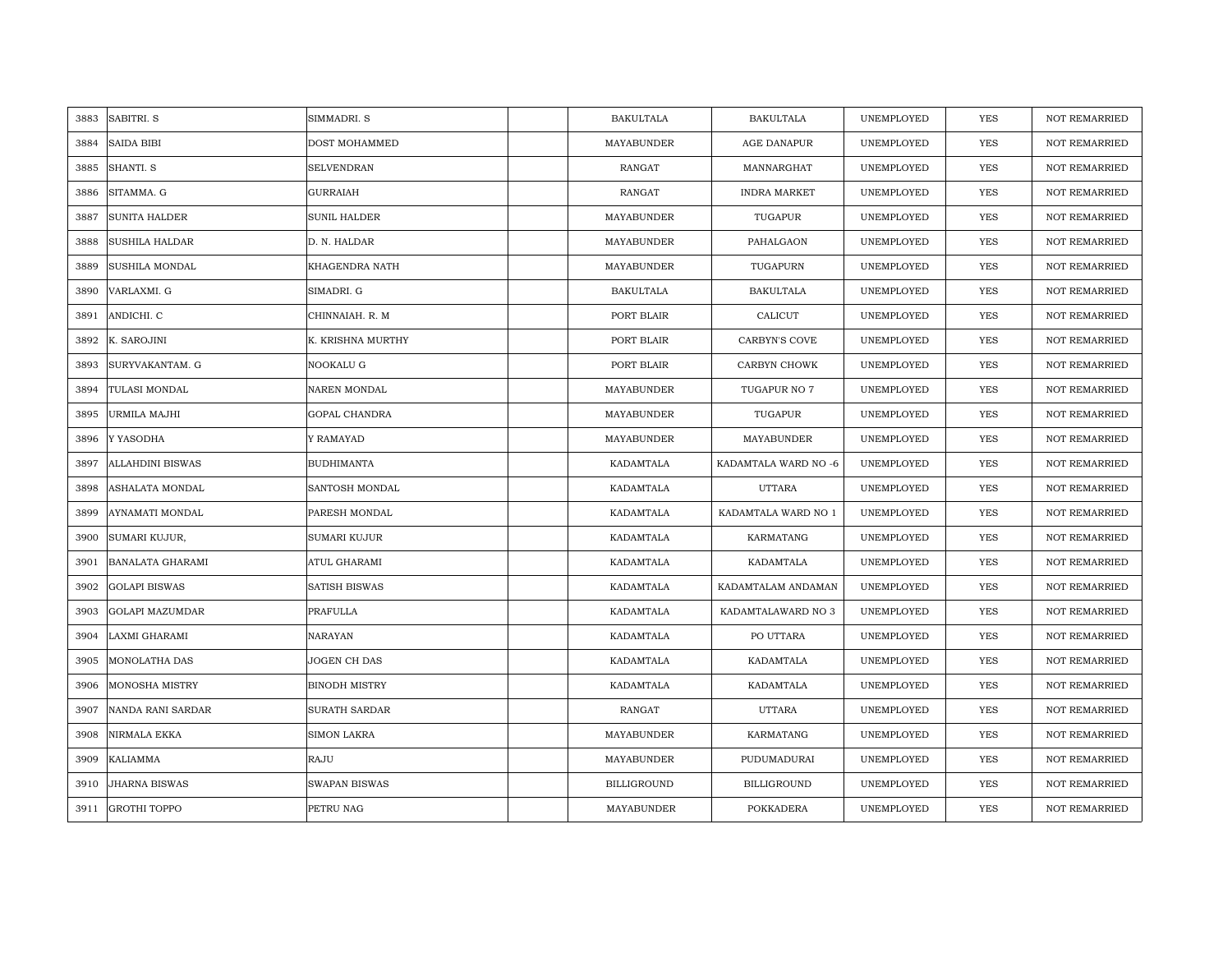| 3883 | SABITRI. S              | SIMMADRI. S          | <b>BAKULTALA</b>   | <b>BAKULTALA</b>     | UNEMPLOYED | YES        | <b>NOT REMARRIED</b> |
|------|-------------------------|----------------------|--------------------|----------------------|------------|------------|----------------------|
| 3884 | <b>SAIDA BIBI</b>       | DOST MOHAMMED        | MAYABUNDER         | AGE DANAPUR          | UNEMPLOYED | <b>YES</b> | <b>NOT REMARRIED</b> |
| 3885 | SHANTI. S               | <b>SELVENDRAN</b>    | <b>RANGAT</b>      | MANNARGHAT           | UNEMPLOYED | <b>YES</b> | <b>NOT REMARRIED</b> |
| 3886 | SITAMMA. G              | <b>GURRAIAH</b>      | <b>RANGAT</b>      | <b>INDRA MARKET</b>  | UNEMPLOYED | <b>YES</b> | <b>NOT REMARRIED</b> |
| 3887 | <b>SUNITA HALDER</b>    | <b>SUNIL HALDER</b>  | MAYABUNDER         | TUGAPUR              | UNEMPLOYED | <b>YES</b> | <b>NOT REMARRIED</b> |
| 3888 | SUSHILA HALDAR          | D. N. HALDAR         | MAYABUNDER         | PAHALGAON            | UNEMPLOYED | <b>YES</b> | <b>NOT REMARRIED</b> |
| 3889 | <b>SUSHILA MONDAL</b>   | KHAGENDRA NATH       | MAYABUNDER         | TUGAPURN             | UNEMPLOYED | <b>YES</b> | <b>NOT REMARRIED</b> |
| 3890 | VARLAXMI. G             | SIMADRI. G           | <b>BAKULTALA</b>   | <b>BAKULTALA</b>     | UNEMPLOYED | YES        | NOT REMARRIED        |
| 3891 | ANDICHI. C              | CHINNAIAH. R. M      | PORT BLAIR         | CALICUT              | UNEMPLOYED | <b>YES</b> | <b>NOT REMARRIED</b> |
| 3892 | K. SAROJINI             | K. KRISHNA MURTHY    | PORT BLAIR         | CARBYN'S COVE        | UNEMPLOYED | YES        | <b>NOT REMARRIED</b> |
| 3893 | SURYVAKANTAM. G         | NOOKALU G            | PORT BLAIR         | CARBYN CHOWK         | UNEMPLOYED | YES        | <b>NOT REMARRIED</b> |
| 3894 | TULASI MONDAL           | NAREN MONDAL         | MAYABUNDER         | TUGAPUR NO 7         | UNEMPLOYED | <b>YES</b> | <b>NOT REMARRIED</b> |
| 3895 | URMILA MAJHI            | GOPAL CHANDRA        | MAYABUNDER         | TUGAPUR              | UNEMPLOYED | YES        | <b>NOT REMARRIED</b> |
| 3896 | Y YASODHA               | Y RAMAYAD            | MAYABUNDER         | MAYABUNDER           | UNEMPLOYED | <b>YES</b> | <b>NOT REMARRIED</b> |
| 3897 | <b>ALLAHDINI BISWAS</b> | <b>BUDHIMANTA</b>    | KADAMTALA          | KADAMTALA WARD NO -6 | UNEMPLOYED | YES        | NOT REMARRIED        |
| 3898 | ASHALATA MONDAL         | SANTOSH MONDAL       | KADAMTALA          | <b>UTTARA</b>        | UNEMPLOYED | <b>YES</b> | <b>NOT REMARRIED</b> |
| 3899 | AYNAMATI MONDAL         | PARESH MONDAL        | KADAMTALA          | KADAMTALA WARD NO 1  | UNEMPLOYED | YES        | NOT REMARRIED        |
| 3900 | SUMARI KUJUR,           | SUMARI KUJUR         | KADAMTALA          | KARMATANG            | UNEMPLOYED | YES        | NOT REMARRIED        |
| 3901 | BANALATA GHARAMI        | ATUL GHARAMI         | KADAMTALA          | KADAMTALA            | UNEMPLOYED | <b>YES</b> | NOT REMARRIED        |
| 3902 | <b>GOLAPI BISWAS</b>    | SATISH BISWAS        | KADAMTALA          | KADAMTALAM ANDAMAN   | UNEMPLOYED | <b>YES</b> | <b>NOT REMARRIED</b> |
| 3903 | GOLAPI MAZUMDAR         | PRAFULLA             | KADAMTALA          | KADAMTALAWARD NO 3   | UNEMPLOYED | YES        | <b>NOT REMARRIED</b> |
| 3904 | LAXMI GHARAMI           | NARAYAN              | KADAMTALA          | PO UTTARA            | UNEMPLOYED | YES        | NOT REMARRIED        |
| 3905 | MONOLATHA DAS           | JOGEN CH DAS         | KADAMTALA          | KADAMTALA            | UNEMPLOYED | YES        | <b>NOT REMARRIED</b> |
| 3906 | <b>MONOSHA MISTRY</b>   | <b>BINODH MISTRY</b> | KADAMTALA          | KADAMTALA            | UNEMPLOYED | YES        | <b>NOT REMARRIED</b> |
| 3907 | NANDA RANI SARDAR       | SURATH SARDAR        | RANGAT             | <b>UTTARA</b>        | UNEMPLOYED | <b>YES</b> | <b>NOT REMARRIED</b> |
| 3908 | NIRMALA EKKA            | <b>SIMON LAKRA</b>   | MAYABUNDER         | KARMATANG            | UNEMPLOYED | YES        | NOT REMARRIED        |
| 3909 | KALIAMMA                | RAJU                 | MAYABUNDER         | PUDUMADURAI          | UNEMPLOYED | YES        | <b>NOT REMARRIED</b> |
| 3910 | <b>JHARNA BISWAS</b>    | <b>SWAPAN BISWAS</b> | <b>BILLIGROUND</b> | BILLIGROUND          | UNEMPLOYED | <b>YES</b> | <b>NOT REMARRIED</b> |
|      | 3911 GROTHI TOPPO       | PETRU NAG            | MAYABUNDER         | <b>POKKADERA</b>     | UNEMPLOYED | <b>YES</b> | <b>NOT REMARRIED</b> |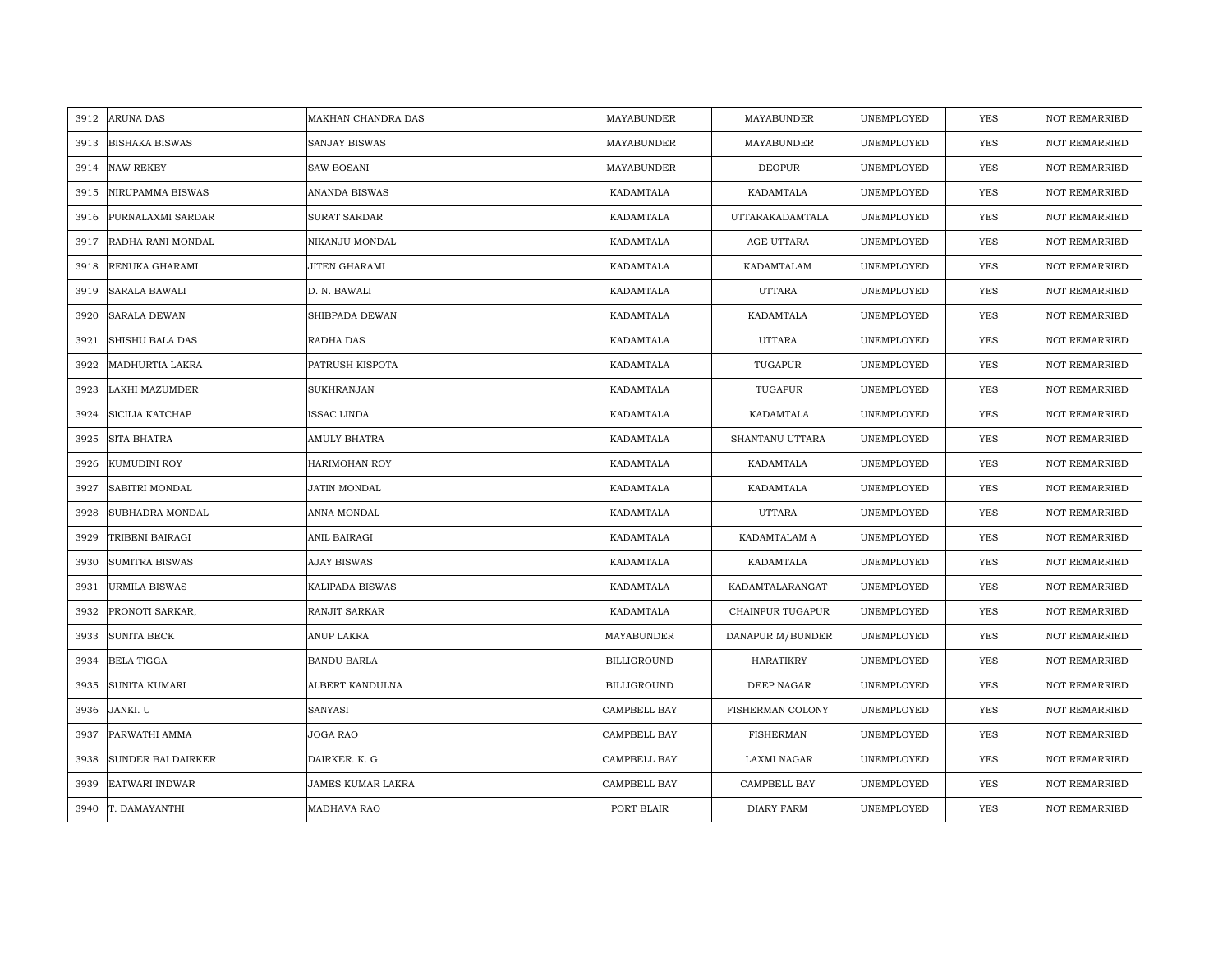| 3912 | <b>ARUNA DAS</b>          | MAKHAN CHANDRA DAS       | MAYABUNDER         | MAYABUNDER        | UNEMPLOYED | YES        | <b>NOT REMARRIED</b> |
|------|---------------------------|--------------------------|--------------------|-------------------|------------|------------|----------------------|
| 3913 | <b>BISHAKA BISWAS</b>     | <b>SANJAY BISWAS</b>     | MAYABUNDER         | MAYABUNDER        | UNEMPLOYED | <b>YES</b> | <b>NOT REMARRIED</b> |
| 3914 | <b>NAW REKEY</b>          | <b>SAW BOSANI</b>        | MAYABUNDER         | <b>DEOPUR</b>     | UNEMPLOYED | YES        | NOT REMARRIED        |
| 3915 | NIRUPAMMA BISWAS          | <b>ANANDA BISWAS</b>     | KADAMTALA          | KADAMTALA         | UNEMPLOYED | YES        | <b>NOT REMARRIED</b> |
| 3916 | PURNALAXMI SARDAR         | <b>SURAT SARDAR</b>      | KADAMTALA          | UTTARAKADAMTALA   | UNEMPLOYED | YES        | <b>NOT REMARRIED</b> |
| 3917 | RADHA RANI MONDAL         | NIKANJU MONDAL           | KADAMTALA          | AGE UTTARA        | UNEMPLOYED | YES        | NOT REMARRIED        |
| 3918 | RENUKA GHARAMI            | JITEN GHARAMI            | KADAMTALA          | KADAMTALAM        | UNEMPLOYED | YES        | <b>NOT REMARRIED</b> |
| 3919 | <b>SARALA BAWALI</b>      | D. N. BAWALI             | KADAMTALA          | UTTARA            | UNEMPLOYED | YES        | <b>NOT REMARRIED</b> |
| 3920 | <b>SARALA DEWAN</b>       | SHIBPADA DEWAN           | KADAMTALA          | KADAMTALA         | UNEMPLOYED | YES        | NOT REMARRIED        |
| 3921 | SHISHU BALA DAS           | RADHA DAS                | KADAMTALA          | <b>UTTARA</b>     | UNEMPLOYED | YES        | <b>NOT REMARRIED</b> |
| 3922 | MADHURTIA LAKRA           | PATRUSH KISPOTA          | KADAMTALA          | TUGAPUR           | UNEMPLOYED | YES        | <b>NOT REMARRIED</b> |
| 3923 | LAKHI MAZUMDER            | SUKHRANJAN               | KADAMTALA          | TUGAPUR           | UNEMPLOYED | YES        | <b>NOT REMARRIED</b> |
| 3924 | SICILIA KATCHAP           | ISSAC LINDA              | KADAMTALA          | KADAMTALA         | UNEMPLOYED | YES        | NOT REMARRIED        |
| 3925 | SITA BHATRA               | AMULY BHATRA             | KADAMTALA          | SHANTANU UTTARA   | UNEMPLOYED | YES        | <b>NOT REMARRIED</b> |
| 3926 | KUMUDINI ROY              | HARIMOHAN ROY            | KADAMTALA          | KADAMTALA         | UNEMPLOYED | YES        | NOT REMARRIED        |
| 3927 | SABITRI MONDAL            | JATIN MONDAL             | KADAMTALA          | KADAMTALA         | UNEMPLOYED | <b>YES</b> | NOT REMARRIED        |
| 3928 | SUBHADRA MONDAL           | ANNA MONDAL              | KADAMTALA          | <b>UTTARA</b>     | UNEMPLOYED | YES        | <b>NOT REMARRIED</b> |
| 3929 | TRIBENI BAIRAGI           | ANIL BAIRAGI             | KADAMTALA          | KADAMTALAM A      | UNEMPLOYED | YES        | <b>NOT REMARRIED</b> |
| 3930 | <b>SUMITRA BISWAS</b>     | <b>AJAY BISWAS</b>       | KADAMTALA          | KADAMTALA         | UNEMPLOYED | YES        | <b>NOT REMARRIED</b> |
| 3931 | <b>URMILA BISWAS</b>      | KALIPADA BISWAS          | KADAMTALA          | KADAMTALARANGAT   | UNEMPLOYED | YES        | <b>NOT REMARRIED</b> |
| 3932 | PRONOTI SARKAR,           | RANJIT SARKAR            | KADAMTALA          | CHAINPUR TUGAPUR  | UNEMPLOYED | YES        | <b>NOT REMARRIED</b> |
| 3933 | <b>SUNITA BECK</b>        | ANUP LAKRA               | MAYABUNDER         | DANAPUR M/BUNDER  | UNEMPLOYED | YES        | <b>NOT REMARRIED</b> |
| 3934 | <b>BELA TIGGA</b>         | <b>BANDU BARLA</b>       | <b>BILLIGROUND</b> | HARATIKRY         | UNEMPLOYED | YES        | <b>NOT REMARRIED</b> |
| 3935 | SUNITA KUMARI             | ALBERT KANDULNA          | <b>BILLIGROUND</b> | DEEP NAGAR        | UNEMPLOYED | YES        | <b>NOT REMARRIED</b> |
| 3936 | JANKI. U                  | <b>SANYASI</b>           | CAMPBELL BAY       | FISHERMAN COLONY  | UNEMPLOYED | YES        | <b>NOT REMARRIED</b> |
| 3937 | PARWATHI AMMA             | JOGA RAO                 | CAMPBELL BAY       | <b>FISHERMAN</b>  | UNEMPLOYED | YES        | NOT REMARRIED        |
| 3938 | <b>SUNDER BAI DAIRKER</b> | DAIRKER. K. G            | CAMPBELL BAY       | LAXMI NAGAR       | UNEMPLOYED | YES        | <b>NOT REMARRIED</b> |
| 3939 | <b>EATWARI INDWAR</b>     | <b>JAMES KUMAR LAKRA</b> | CAMPBELL BAY       | CAMPBELL BAY      | UNEMPLOYED | YES        | <b>NOT REMARRIED</b> |
| 3940 | T. DAMAYANTHI             | MADHAVA RAO              | PORT BLAIR         | <b>DIARY FARM</b> | UNEMPLOYED | YES        | NOT REMARRIED        |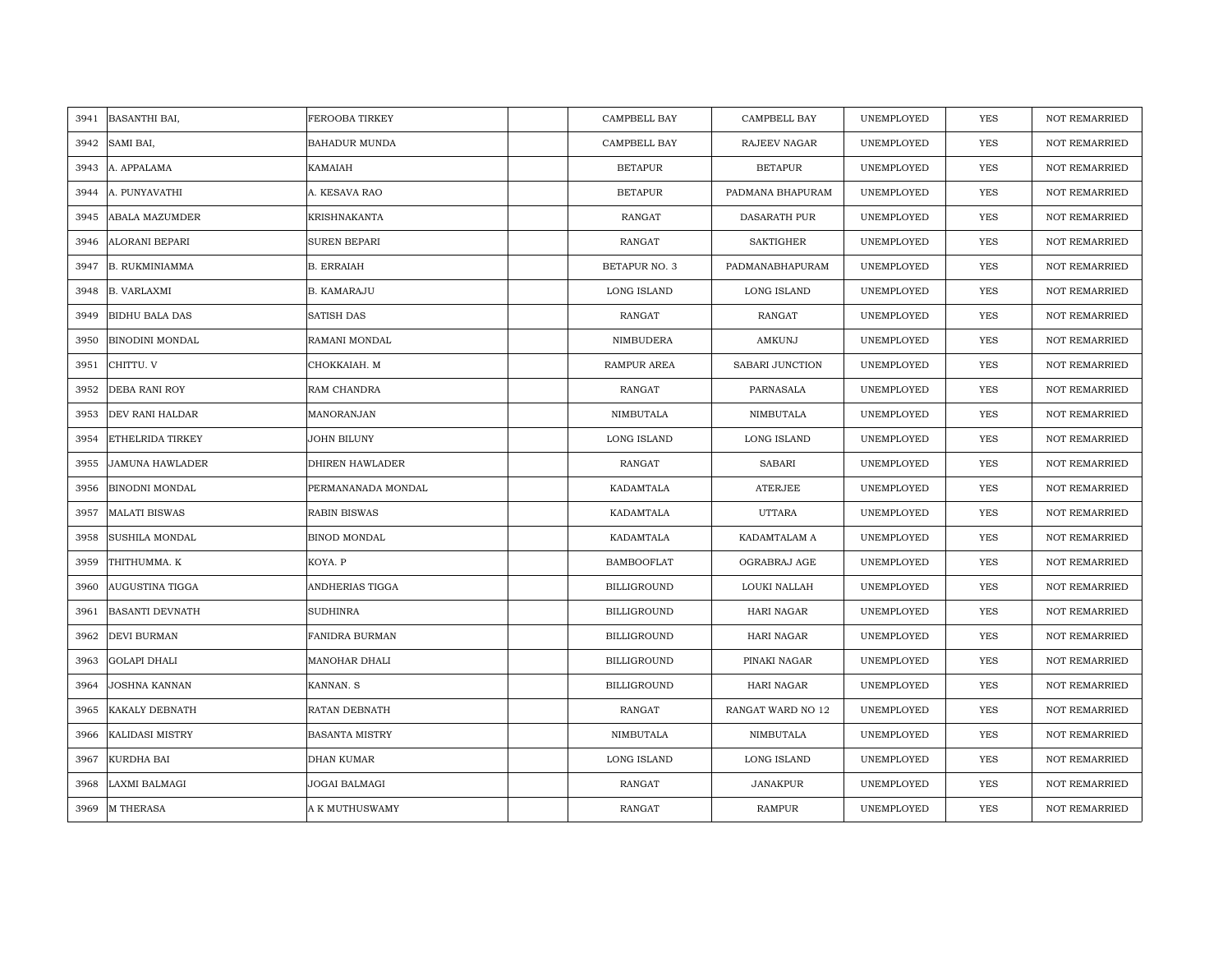| 3941 | BASANTHI BAI,           | FEROOBA TIRKEY        | CAMPBELL BAY         | CAMPBELL BAY        | UNEMPLOYED | <b>YES</b> | <b>NOT REMARRIED</b> |
|------|-------------------------|-----------------------|----------------------|---------------------|------------|------------|----------------------|
| 3942 | SAMI BAI,               | <b>BAHADUR MUNDA</b>  | CAMPBELL BAY         | RAJEEV NAGAR        | UNEMPLOYED | <b>YES</b> | NOT REMARRIED        |
| 3943 | A. APPALAMA             | <b>KAMAIAH</b>        | <b>BETAPUR</b>       | <b>BETAPUR</b>      | UNEMPLOYED | YES        | <b>NOT REMARRIED</b> |
| 3944 | A. PUNYAVATHI           | A. KESAVA RAO         | <b>BETAPUR</b>       | PADMANA BHAPURAM    | UNEMPLOYED | YES        | <b>NOT REMARRIED</b> |
| 3945 | <b>ABALA MAZUMDER</b>   | <b>KRISHNAKANTA</b>   | RANGAT               | <b>DASARATH PUR</b> | UNEMPLOYED | YES        | <b>NOT REMARRIED</b> |
| 3946 | <b>ALORANI BEPARI</b>   | SUREN BEPARI          | <b>RANGAT</b>        | <b>SAKTIGHER</b>    | UNEMPLOYED | YES        | <b>NOT REMARRIED</b> |
| 3947 | <b>B. RUKMINIAMMA</b>   | <b>B. ERRAIAH</b>     | <b>BETAPUR NO. 3</b> | PADMANABHAPURAM     | UNEMPLOYED | YES        | <b>NOT REMARRIED</b> |
| 3948 | <b>B. VARLAXMI</b>      | <b>B. KAMARAJU</b>    | LONG ISLAND          | LONG ISLAND         | UNEMPLOYED | YES        | <b>NOT REMARRIED</b> |
| 3949 | <b>BIDHU BALA DAS</b>   | SATISH DAS            | RANGAT               | RANGAT              | UNEMPLOYED | YES        | NOT REMARRIED        |
| 3950 | <b>BINODINI MONDAL</b>  | RAMANI MONDAL         | NIMBUDERA            | AMKUNJ              | UNEMPLOYED | YES        | <b>NOT REMARRIED</b> |
| 3951 | CHITTU. V               | CHOKKAIAH. M          | RAMPUR AREA          | SABARI JUNCTION     | UNEMPLOYED | YES        | <b>NOT REMARRIED</b> |
| 3952 | <b>DEBA RANI ROY</b>    | RAM CHANDRA           | RANGAT               | PARNASALA           | UNEMPLOYED | YES        | NOT REMARRIED        |
| 3953 | DEV RANI HALDAR         | MANORANJAN            | NIMBUTALA            | NIMBUTALA           | UNEMPLOYED | YES        | NOT REMARRIED        |
| 3954 | <b>ETHELRIDA TIRKEY</b> | JOHN BILUNY           | LONG ISLAND          | LONG ISLAND         | UNEMPLOYED | YES        | <b>NOT REMARRIED</b> |
| 3955 | <b>JAMUNA HAWLADER</b>  | DHIREN HAWLADER       | RANGAT               | <b>SABARI</b>       | UNEMPLOYED | YES        | NOT REMARRIED        |
| 3956 | BINODNI MONDAL          | PERMANANADA MONDAL    | KADAMTALA            | <b>ATERJEE</b>      | UNEMPLOYED | <b>YES</b> | <b>NOT REMARRIED</b> |
| 3957 | <b>MALATI BISWAS</b>    | <b>RABIN BISWAS</b>   | KADAMTALA            | <b>UTTARA</b>       | UNEMPLOYED | YES        | <b>NOT REMARRIED</b> |
| 3958 | SUSHILA MONDAL          | BINOD MONDAL          | KADAMTALA            | KADAMTALAM A        | UNEMPLOYED | YES        | NOT REMARRIED        |
| 3959 | THITHUMMA. K            | KOYA. P               | <b>BAMBOOFLAT</b>    | OGRABRAJ AGE        | UNEMPLOYED | <b>YES</b> | NOT REMARRIED        |
| 3960 | AUGUSTINA TIGGA         | ANDHERIAS TIGGA       | <b>BILLIGROUND</b>   | LOUKI NALLAH        | UNEMPLOYED | YES        | NOT REMARRIED        |
| 3961 | <b>BASANTI DEVNATH</b>  | <b>SUDHINRA</b>       | <b>BILLIGROUND</b>   | HARI NAGAR          | UNEMPLOYED | YES        | <b>NOT REMARRIED</b> |
| 3962 | DEVI BURMAN             | <b>FANIDRA BURMAN</b> | <b>BILLIGROUND</b>   | <b>HARI NAGAR</b>   | UNEMPLOYED | YES        | <b>NOT REMARRIED</b> |
| 3963 | <b>GOLAPI DHALI</b>     | MANOHAR DHALI         | <b>BILLIGROUND</b>   | PINAKI NAGAR        | UNEMPLOYED | YES        | <b>NOT REMARRIED</b> |
| 3964 | <b>JOSHNA KANNAN</b>    | KANNAN. S             | <b>BILLIGROUND</b>   | <b>HARI NAGAR</b>   | UNEMPLOYED | YES        | <b>NOT REMARRIED</b> |
| 3965 | KAKALY DEBNATH          | RATAN DEBNATH         | RANGAT               | RANGAT WARD NO 12   | UNEMPLOYED | <b>YES</b> | <b>NOT REMARRIED</b> |
| 3966 | <b>KALIDASI MISTRY</b>  | <b>BASANTA MISTRY</b> | NIMBUTALA            | NIMBUTALA           | UNEMPLOYED | YES        | <b>NOT REMARRIED</b> |
| 3967 | <b>KURDHA BAI</b>       | DHAN KUMAR            | LONG ISLAND          | LONG ISLAND         | UNEMPLOYED | YES        | NOT REMARRIED        |
| 3968 | LAXMI BALMAGI           | JOGAI BALMAGI         | <b>RANGAT</b>        | <b>JANAKPUR</b>     | UNEMPLOYED | YES        | <b>NOT REMARRIED</b> |
| 3969 | <b>M THERASA</b>        | A K MUTHUSWAMY        | <b>RANGAT</b>        | <b>RAMPUR</b>       | UNEMPLOYED | <b>YES</b> | <b>NOT REMARRIED</b> |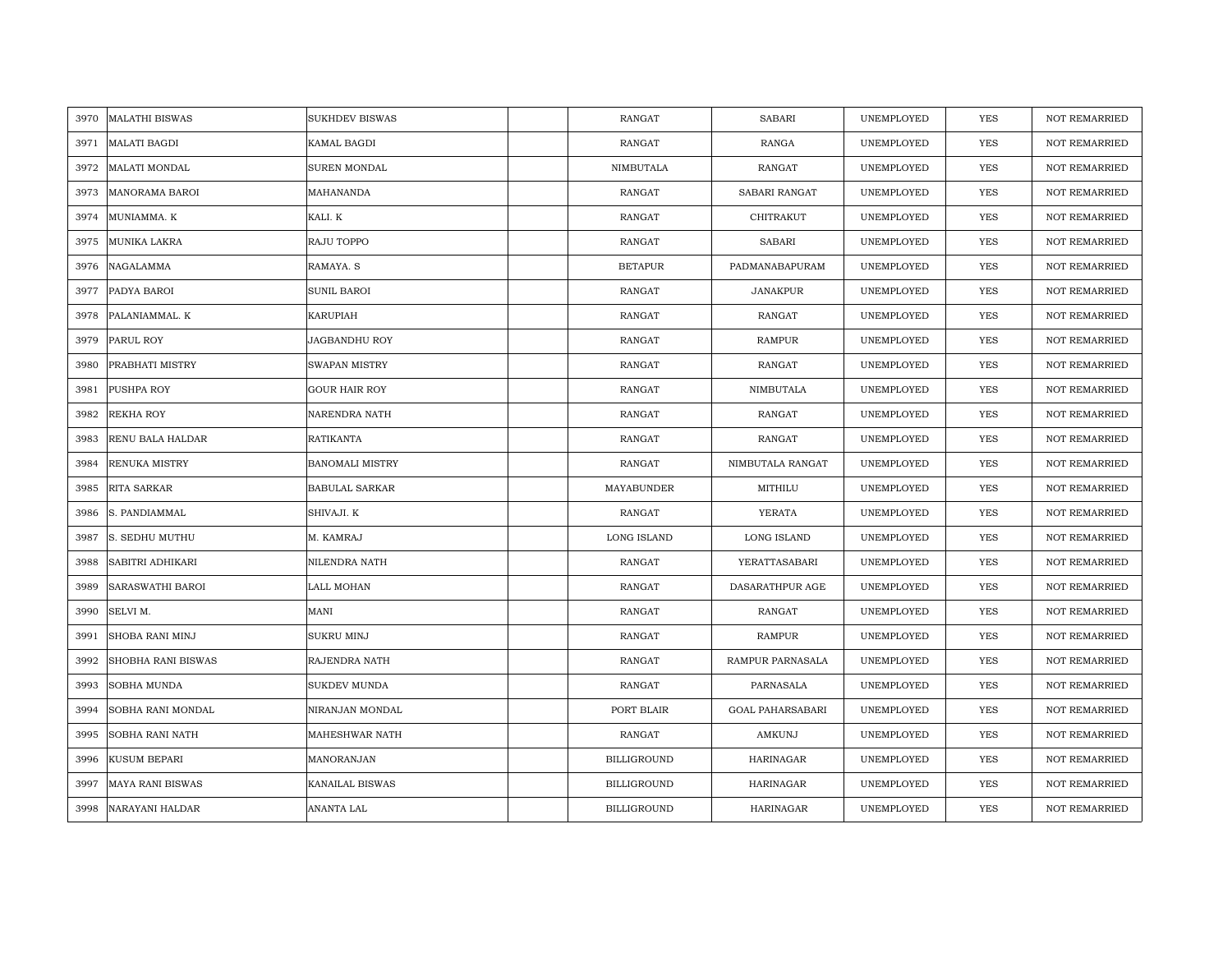| 3970 | <b>MALATHI BISWAS</b>   | <b>SUKHDEV BISWAS</b>  | <b>RANGAT</b>      | <b>SABARI</b>    | UNEMPLOYED | <b>YES</b> | <b>NOT REMARRIED</b> |
|------|-------------------------|------------------------|--------------------|------------------|------------|------------|----------------------|
| 3971 | <b>MALATI BAGDI</b>     | KAMAL BAGDI            | RANGAT             | RANGA            | UNEMPLOYED | <b>YES</b> | NOT REMARRIED        |
| 3972 | <b>MALATI MONDAL</b>    | SUREN MONDAL           | NIMBUTALA          | RANGAT           | UNEMPLOYED | YES        | <b>NOT REMARRIED</b> |
| 3973 | <b>MANORAMA BAROI</b>   | MAHANANDA              | <b>RANGAT</b>      | SABARI RANGAT    | UNEMPLOYED | <b>YES</b> | NOT REMARRIED        |
| 3974 | MUNIAMMA. K             | KALI. K                | <b>RANGAT</b>      | CHITRAKUT        | UNEMPLOYED | YES        | <b>NOT REMARRIED</b> |
| 3975 | MUNIKA LAKRA            | RAJU TOPPO             | <b>RANGAT</b>      | <b>SABARI</b>    | UNEMPLOYED | YES        | <b>NOT REMARRIED</b> |
| 3976 | NAGALAMMA               | RAMAYA, S              | <b>BETAPUR</b>     | PADMANABAPURAM   | UNEMPLOYED | YES        | <b>NOT REMARRIED</b> |
| 3977 | PADYA BAROI             | SUNIL BAROI            | RANGAT             | <b>JANAKPUR</b>  | UNEMPLOYED | YES        | NOT REMARRIED        |
| 3978 | PALANIAMMAL. K          | KARUPIAH               | RANGAT             | RANGAT           | UNEMPLOYED | YES        | NOT REMARRIED        |
| 3979 | PARUL ROY               | JAGBANDHU ROY          | RANGAT             | <b>RAMPUR</b>    | UNEMPLOYED | <b>YES</b> | <b>NOT REMARRIED</b> |
| 3980 | PRABHATI MISTRY         | SWAPAN MISTRY          | RANGAT             | RANGAT           | UNEMPLOYED | YES        | <b>NOT REMARRIED</b> |
| 3981 | PUSHPA ROY              | <b>GOUR HAIR ROY</b>   | RANGAT             | NIMBUTALA        | UNEMPLOYED | YES        | NOT REMARRIED        |
| 3982 | <b>REKHA ROY</b>        | NARENDRA NATH          | RANGAT             | RANGAT           | UNEMPLOYED | <b>YES</b> | NOT REMARRIED        |
| 3983 | RENU BALA HALDAR        | <b>RATIKANTA</b>       | RANGAT             | RANGAT           | UNEMPLOYED | <b>YES</b> | <b>NOT REMARRIED</b> |
| 3984 | RENUKA MISTRY           | <b>BANOMALI MISTRY</b> | RANGAT             | NIMBUTALA RANGAT | UNEMPLOYED | YES        | NOT REMARRIED        |
| 3985 | RITA SARKAR             | <b>BABULAL SARKAR</b>  | MAYABUNDER         | MITHILU          | UNEMPLOYED | YES        | <b>NOT REMARRIED</b> |
| 3986 | S. PANDIAMMAL           | SHIVAJI. K             | <b>RANGAT</b>      | YERATA           | UNEMPLOYED | <b>YES</b> | <b>NOT REMARRIED</b> |
| 3987 | S. SEDHU MUTHU          | M. KAMRAJ              | LONG ISLAND        | LONG ISLAND      | UNEMPLOYED | YES        | <b>NOT REMARRIED</b> |
| 3988 | SABITRI ADHIKARI        | NILENDRA NATH          | <b>RANGAT</b>      | YERATTASABARI    | UNEMPLOYED | <b>YES</b> | NOT REMARRIED        |
| 3989 | <b>SARASWATHI BAROI</b> | LALL MOHAN             | RANGAT             | DASARATHPUR AGE  | UNEMPLOYED | <b>YES</b> | <b>NOT REMARRIED</b> |
| 3990 | SELVI M.                | MANI                   | <b>RANGAT</b>      | RANGAT           | UNEMPLOYED | YES        | <b>NOT REMARRIED</b> |
| 3991 | <b>SHOBA RANI MINJ</b>  | SUKRU MINJ             | RANGAT             | <b>RAMPUR</b>    | UNEMPLOYED | YES        | NOT REMARRIED        |
| 3992 | SHOBHA RANI BISWAS      | RAJENDRA NATH          | RANGAT             | RAMPUR PARNASALA | UNEMPLOYED | YES        | <b>NOT REMARRIED</b> |
| 3993 | SOBHA MUNDA             | <b>SUKDEV MUNDA</b>    | <b>RANGAT</b>      | PARNASALA        | UNEMPLOYED | YES        | <b>NOT REMARRIED</b> |
| 3994 | SOBHA RANI MONDAL       | NIRANJAN MONDAL        | PORT BLAIR         | GOAL PAHARSABARI | UNEMPLOYED | YES        | <b>NOT REMARRIED</b> |
| 3995 | SOBHA RANI NATH         | MAHESHWAR NATH         | RANGAT             | AMKUNJ           | UNEMPLOYED | YES        | NOT REMARRIED        |
| 3996 | KUSUM BEPARI            | MANORANJAN             | <b>BILLIGROUND</b> | HARINAGAR        | UNEMPLOYED | YES        | <b>NOT REMARRIED</b> |
| 3997 | <b>MAYA RANI BISWAS</b> | KANAILAL BISWAS        | <b>BILLIGROUND</b> | <b>HARINAGAR</b> | UNEMPLOYED | YES        | <b>NOT REMARRIED</b> |
| 3998 | NARAYANI HALDAR         | ANANTA LAL             | <b>BILLIGROUND</b> | HARINAGAR        | UNEMPLOYED | <b>YES</b> | <b>NOT REMARRIED</b> |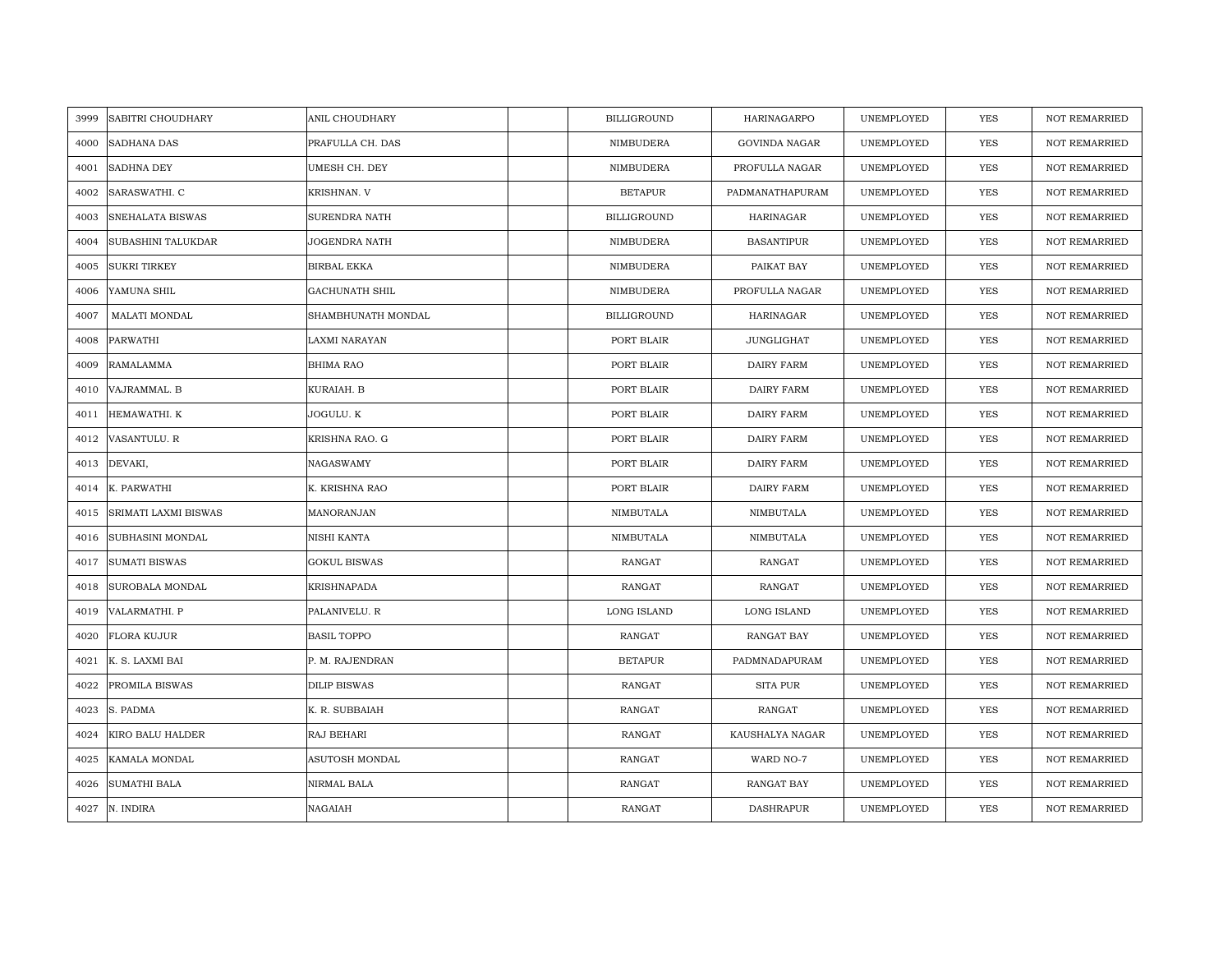| 3999 | SABITRI CHOUDHARY           | ANIL CHOUDHARY        | <b>BILLIGROUND</b> | HARINAGARPO          | UNEMPLOYED | YES        | <b>NOT REMARRIED</b> |
|------|-----------------------------|-----------------------|--------------------|----------------------|------------|------------|----------------------|
| 4000 | SADHANA DAS                 | PRAFULLA CH. DAS      | NIMBUDERA          | <b>GOVINDA NAGAR</b> | UNEMPLOYED | <b>YES</b> | <b>NOT REMARRIED</b> |
| 4001 | <b>SADHNA DEY</b>           | UMESH CH. DEY         | NIMBUDERA          | PROFULLA NAGAR       | UNEMPLOYED | <b>YES</b> | <b>NOT REMARRIED</b> |
| 4002 | SARASWATHI. C               | KRISHNAN. V           | <b>BETAPUR</b>     | PADMANATHAPURAM      | UNEMPLOYED | <b>YES</b> | <b>NOT REMARRIED</b> |
| 4003 | SNEHALATA BISWAS            | SURENDRA NATH         | <b>BILLIGROUND</b> | <b>HARINAGAR</b>     | UNEMPLOYED | <b>YES</b> | <b>NOT REMARRIED</b> |
| 4004 | <b>SUBASHINI TALUKDAR</b>   | JOGENDRA NATH         | NIMBUDERA          | <b>BASANTIPUR</b>    | UNEMPLOYED | <b>YES</b> | <b>NOT REMARRIED</b> |
| 4005 | <b>SUKRI TIRKEY</b>         | <b>BIRBAL EKKA</b>    | NIMBUDERA          | PAIKAT BAY           | UNEMPLOYED | YES        | NOT REMARRIED        |
| 4006 | YAMUNA SHIL                 | <b>GACHUNATH SHIL</b> | NIMBUDERA          | PROFULLA NAGAR       | UNEMPLOYED | YES        | NOT REMARRIED        |
| 4007 | MALATI MONDAL               | SHAMBHUNATH MONDAL    | <b>BILLIGROUND</b> | <b>HARINAGAR</b>     | UNEMPLOYED | YES        | <b>NOT REMARRIED</b> |
| 4008 | PARWATHI                    | LAXMI NARAYAN         | PORT BLAIR         | <b>JUNGLIGHAT</b>    | UNEMPLOYED | YES        | <b>NOT REMARRIED</b> |
| 4009 | RAMALAMMA                   | <b>BHIMA RAO</b>      | PORT BLAIR         | <b>DAIRY FARM</b>    | UNEMPLOYED | YES        | <b>NOT REMARRIED</b> |
| 4010 | VAJRAMMAL. B                | KURAIAH. B            | PORT BLAIR         | DAIRY FARM           | UNEMPLOYED | YES        | <b>NOT REMARRIED</b> |
| 4011 | HEMAWATHI. K                | JOGULU. K             | PORT BLAIR         | DAIRY FARM           | UNEMPLOYED | YES        | <b>NOT REMARRIED</b> |
| 4012 | VASANTULU. R                | KRISHNA RAO. G        | PORT BLAIR         | <b>DAIRY FARM</b>    | UNEMPLOYED | YES        | NOT REMARRIED        |
| 4013 | DEVAKI,                     | NAGASWAMY             | PORT BLAIR         | <b>DAIRY FARM</b>    | UNEMPLOYED | YES        | NOT REMARRIED        |
| 4014 | K. PARWATHI                 | K. KRISHNA RAO        | PORT BLAIR         | DAIRY FARM           | UNEMPLOYED | YES        | <b>NOT REMARRIED</b> |
| 4015 | <b>SRIMATI LAXMI BISWAS</b> | MANORANJAN            | NIMBUTALA          | NIMBUTALA            | UNEMPLOYED | <b>YES</b> | <b>NOT REMARRIED</b> |
| 4016 | SUBHASINI MONDAL            | NISHI KANTA           | NIMBUTALA          | NIMBUTALA            | UNEMPLOYED | YES        | <b>NOT REMARRIED</b> |
| 4017 | <b>SUMATI BISWAS</b>        | <b>GOKUL BISWAS</b>   | RANGAT             | RANGAT               | UNEMPLOYED | <b>YES</b> | <b>NOT REMARRIED</b> |
| 4018 | SUROBALA MONDAL             | KRISHNAPADA           | RANGAT             | RANGAT               | UNEMPLOYED | <b>YES</b> | NOT REMARRIED        |
| 4019 | VALARMATHI. P               | PALANIVELU. R         | LONG ISLAND        | LONG ISLAND          | UNEMPLOYED | YES        | NOT REMARRIED        |
| 4020 | <b>FLORA KUJUR</b>          | <b>BASIL TOPPO</b>    | RANGAT             | RANGAT BAY           | UNEMPLOYED | YES        | NOT REMARRIED        |
| 4021 | K. S. LAXMI BAI             | P. M. RAJENDRAN       | <b>BETAPUR</b>     | PADMNADAPURAM        | UNEMPLOYED | <b>YES</b> | <b>NOT REMARRIED</b> |
| 4022 | PROMILA BISWAS              | <b>DILIP BISWAS</b>   | RANGAT             | <b>SITA PUR</b>      | UNEMPLOYED | <b>YES</b> | <b>NOT REMARRIED</b> |
| 4023 | S. PADMA                    | K. R. SUBBAIAH        | RANGAT             | RANGAT               | UNEMPLOYED | YES        | NOT REMARRIED        |
| 4024 | KIRO BALU HALDER            | RAJ BEHARI            | RANGAT             | KAUSHALYA NAGAR      | UNEMPLOYED | <b>YES</b> | <b>NOT REMARRIED</b> |
| 4025 | KAMALA MONDAL               | ASUTOSH MONDAL        | RANGAT             | WARD NO-7            | UNEMPLOYED | YES        | NOT REMARRIED        |
| 4026 | <b>SUMATHI BALA</b>         | NIRMAL BALA           | RANGAT             | <b>RANGAT BAY</b>    | UNEMPLOYED | YES        | <b>NOT REMARRIED</b> |
| 4027 | N. INDIRA                   | NAGAIAH               | <b>RANGAT</b>      | <b>DASHRAPUR</b>     | UNEMPLOYED | YES        | <b>NOT REMARRIED</b> |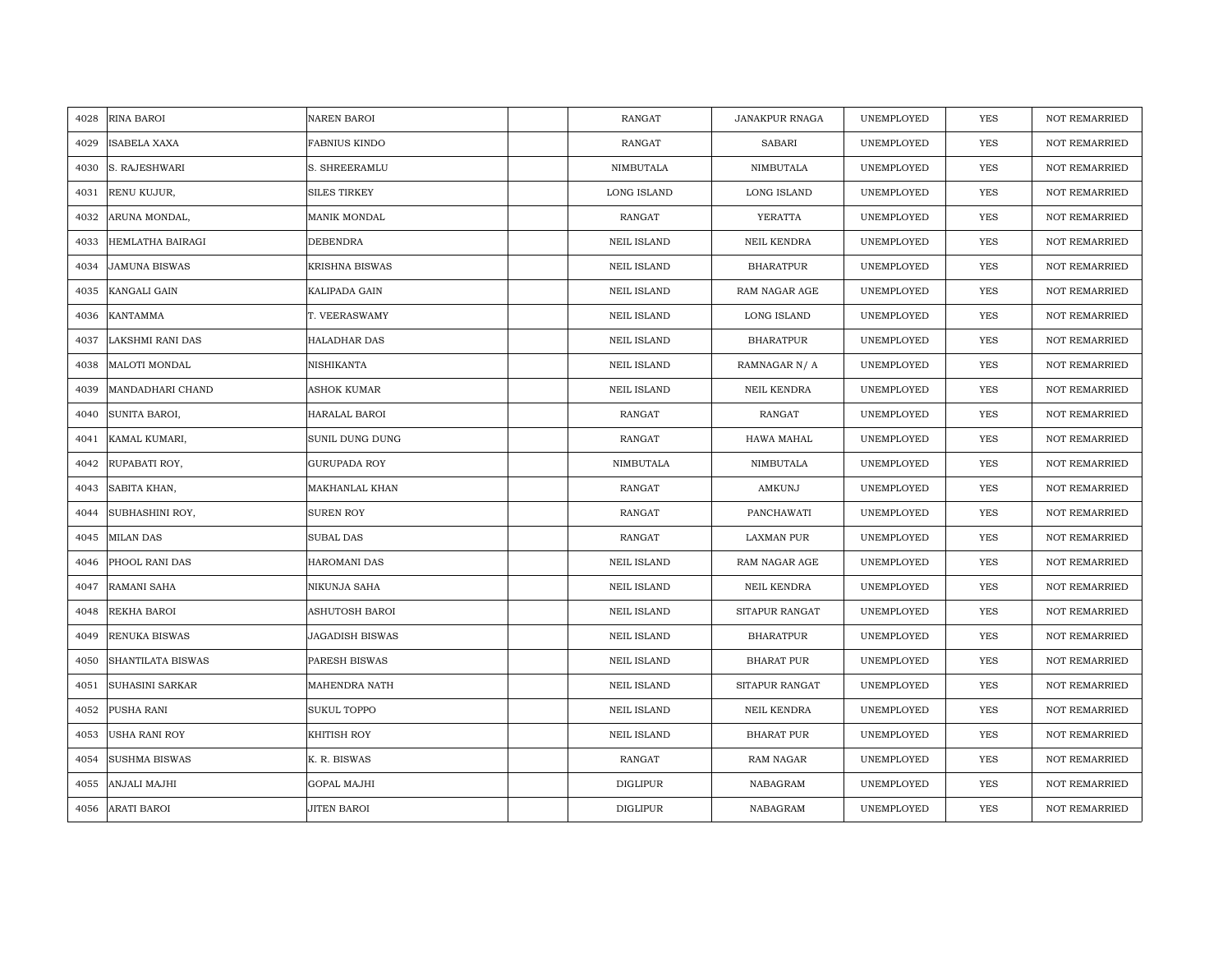| 4028 | RINA BAROI             | <b>NAREN BAROI</b>     | RANGAT             | <b>JANAKPUR RNAGA</b> | UNEMPLOYED | YES        | <b>NOT REMARRIED</b> |
|------|------------------------|------------------------|--------------------|-----------------------|------------|------------|----------------------|
| 4029 | ISABELA XAXA           | FABNIUS KINDO          | RANGAT             | <b>SABARI</b>         | UNEMPLOYED | YES        | <b>NOT REMARRIED</b> |
| 4030 | S. RAJESHWARI          | S. SHREERAMLU          | NIMBUTALA          | NIMBUTALA             | UNEMPLOYED | <b>YES</b> | <b>NOT REMARRIED</b> |
| 4031 | RENU KUJUR,            | <b>SILES TIRKEY</b>    | LONG ISLAND        | LONG ISLAND           | UNEMPLOYED | <b>YES</b> | <b>NOT REMARRIED</b> |
| 4032 | ARUNA MONDAL,          | MANIK MONDAL           | <b>RANGAT</b>      | YERATTA               | UNEMPLOYED | <b>YES</b> | <b>NOT REMARRIED</b> |
| 4033 | HEMLATHA BAIRAGI       | DEBENDRA               | <b>NEIL ISLAND</b> | NEIL KENDRA           | UNEMPLOYED | YES        | <b>NOT REMARRIED</b> |
| 4034 | <b>JAMUNA BISWAS</b>   | <b>KRISHNA BISWAS</b>  | <b>NEIL ISLAND</b> | <b>BHARATPUR</b>      | UNEMPLOYED | <b>YES</b> | <b>NOT REMARRIED</b> |
| 4035 | KANGALI GAIN           | KALIPADA GAIN          | <b>NEIL ISLAND</b> | RAM NAGAR AGE         | UNEMPLOYED | YES        | <b>NOT REMARRIED</b> |
| 4036 | <b>KANTAMMA</b>        | T. VEERASWAMY          | <b>NEIL ISLAND</b> | LONG ISLAND           | UNEMPLOYED | YES        | <b>NOT REMARRIED</b> |
| 4037 | LAKSHMI RANI DAS       | <b>HALADHAR DAS</b>    | <b>NEIL ISLAND</b> | <b>BHARATPUR</b>      | UNEMPLOYED | <b>YES</b> | <b>NOT REMARRIED</b> |
| 4038 | <b>MALOTI MONDAL</b>   | NISHIKANTA             | <b>NEIL ISLAND</b> | RAMNAGAR N/A          | UNEMPLOYED | <b>YES</b> | <b>NOT REMARRIED</b> |
| 4039 | MANDADHARI CHAND       | ASHOK KUMAR            | <b>NEIL ISLAND</b> | NEIL KENDRA           | UNEMPLOYED | <b>YES</b> | <b>NOT REMARRIED</b> |
| 4040 | SUNITA BAROI,          | HARALAL BAROI          | RANGAT             | RANGAT                | UNEMPLOYED | <b>YES</b> | <b>NOT REMARRIED</b> |
| 4041 | KAMAL KUMARI,          | SUNIL DUNG DUNG        | RANGAT             | HAWA MAHAL            | UNEMPLOYED | <b>YES</b> | <b>NOT REMARRIED</b> |
| 4042 | RUPABATI ROY,          | GURUPADA ROY           | NIMBUTALA          | NIMBUTALA             | UNEMPLOYED | YES        | <b>NOT REMARRIED</b> |
| 4043 | SABITA KHAN,           | MAKHANLAL KHAN         | RANGAT             | AMKUNJ                | UNEMPLOYED | <b>YES</b> | <b>NOT REMARRIED</b> |
| 4044 | SUBHASHINI ROY,        | <b>SUREN ROY</b>       | <b>RANGAT</b>      | PANCHAWATI            | UNEMPLOYED | <b>YES</b> | <b>NOT REMARRIED</b> |
| 4045 | <b>MILAN DAS</b>       | SUBAL DAS              | <b>RANGAT</b>      | <b>LAXMAN PUR</b>     | UNEMPLOYED | <b>YES</b> | <b>NOT REMARRIED</b> |
| 4046 | PHOOL RANI DAS         | <b>HAROMANI DAS</b>    | <b>NEIL ISLAND</b> | RAM NAGAR AGE         | UNEMPLOYED | <b>YES</b> | <b>NOT REMARRIED</b> |
| 4047 | RAMANI SAHA            | NIKUNJA SAHA           | <b>NEIL ISLAND</b> | NEIL KENDRA           | UNEMPLOYED | <b>YES</b> | <b>NOT REMARRIED</b> |
| 4048 | REKHA BAROI            | ASHUTOSH BAROI         | <b>NEIL ISLAND</b> | SITAPUR RANGAT        | UNEMPLOYED | YES        | <b>NOT REMARRIED</b> |
| 4049 | <b>RENUKA BISWAS</b>   | <b>JAGADISH BISWAS</b> | <b>NEIL ISLAND</b> | <b>BHARATPUR</b>      | UNEMPLOYED | YES        | <b>NOT REMARRIED</b> |
| 4050 | SHANTILATA BISWAS      | PARESH BISWAS          | <b>NEIL ISLAND</b> | <b>BHARAT PUR</b>     | UNEMPLOYED | <b>YES</b> | <b>NOT REMARRIED</b> |
| 4051 | <b>SUHASINI SARKAR</b> | MAHENDRA NATH          | <b>NEIL ISLAND</b> | SITAPUR RANGAT        | UNEMPLOYED | <b>YES</b> | <b>NOT REMARRIED</b> |
| 4052 | PUSHA RANI             | <b>SUKUL TOPPO</b>     | <b>NEIL ISLAND</b> | NEIL KENDRA           | UNEMPLOYED | YES        | <b>NOT REMARRIED</b> |
| 4053 | <b>USHA RANI ROY</b>   | KHITISH ROY            | <b>NEIL ISLAND</b> | <b>BHARAT PUR</b>     | UNEMPLOYED | <b>YES</b> | <b>NOT REMARRIED</b> |
| 4054 | <b>SUSHMA BISWAS</b>   | K. R. BISWAS           | RANGAT             | RAM NAGAR             | UNEMPLOYED | YES        | <b>NOT REMARRIED</b> |
| 4055 | ANJALI MAJHI           | GOPAL MAJHI            | <b>DIGLIPUR</b>    | NABAGRAM              | UNEMPLOYED | YES        | <b>NOT REMARRIED</b> |
| 4056 | <b>ARATI BAROI</b>     | JITEN BAROI            | <b>DIGLIPUR</b>    | NABAGRAM              | UNEMPLOYED | <b>YES</b> | <b>NOT REMARRIED</b> |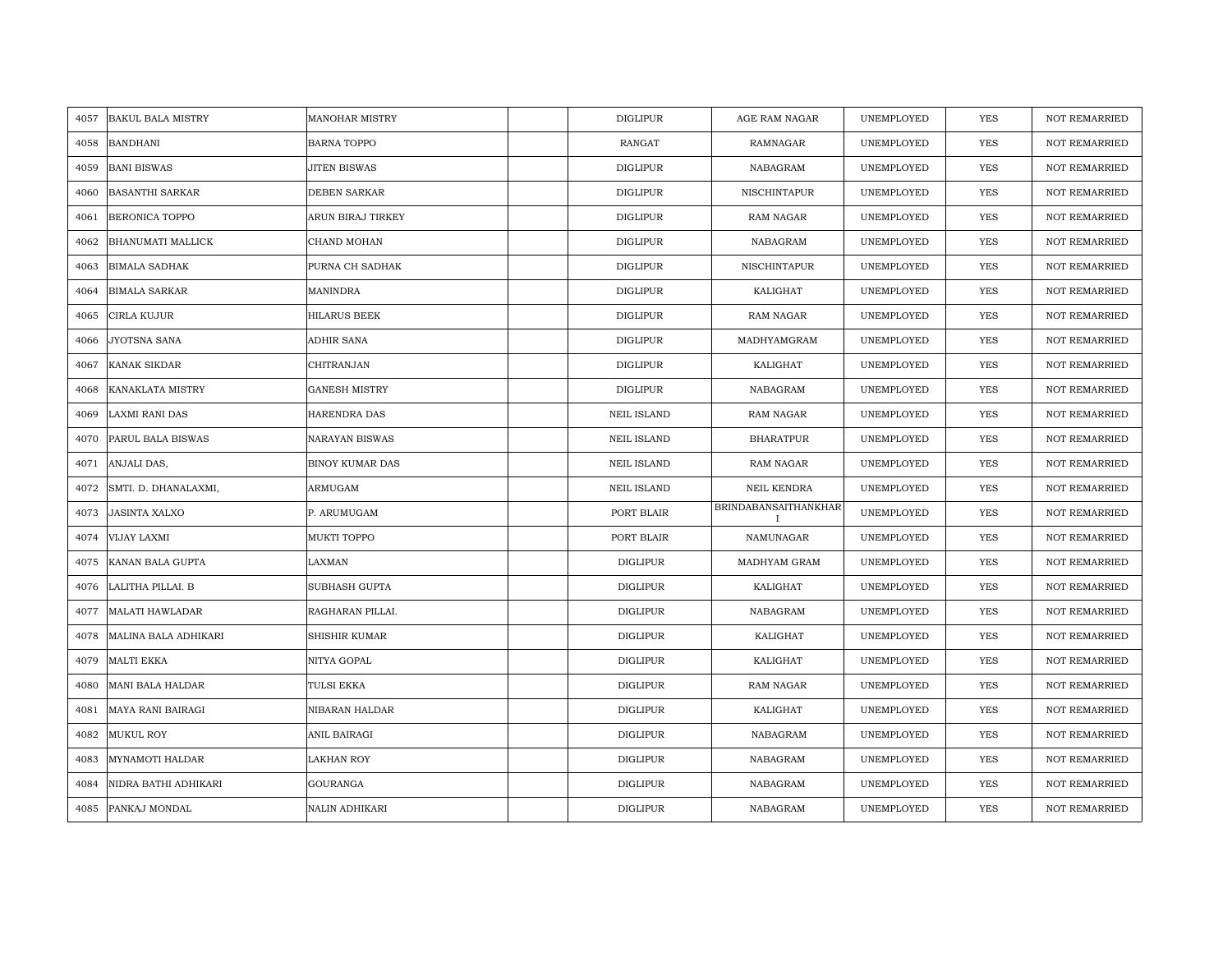| 4057 | <b>BAKUL BALA MISTRY</b> | <b>MANOHAR MISTRY</b>  | <b>DIGLIPUR</b>    | AGE RAM NAGAR                               | UNEMPLOYED | YES        | <b>NOT REMARRIED</b> |
|------|--------------------------|------------------------|--------------------|---------------------------------------------|------------|------------|----------------------|
| 4058 | <b>BANDHANI</b>          | <b>BARNA TOPPO</b>     | RANGAT             | RAMNAGAR                                    | UNEMPLOYED | <b>YES</b> | <b>NOT REMARRIED</b> |
| 4059 | <b>BANI BISWAS</b>       | JITEN BISWAS           | <b>DIGLIPUR</b>    | NABAGRAM                                    | UNEMPLOYED | <b>YES</b> | <b>NOT REMARRIED</b> |
| 4060 | <b>BASANTHI SARKAR</b>   | DEBEN SARKAR           | <b>DIGLIPUR</b>    | NISCHINTAPUR                                | UNEMPLOYED | <b>YES</b> | NOT REMARRIED        |
| 4061 | <b>BERONICA TOPPO</b>    | ARUN BIRAJ TIRKEY      | <b>DIGLIPUR</b>    | RAM NAGAR                                   | UNEMPLOYED | <b>YES</b> | <b>NOT REMARRIED</b> |
| 4062 | <b>BHANUMATI MALLICK</b> | CHAND MOHAN            | <b>DIGLIPUR</b>    | NABAGRAM                                    | UNEMPLOYED | <b>YES</b> | <b>NOT REMARRIED</b> |
| 4063 | <b>BIMALA SADHAK</b>     | PURNA CH SADHAK        | <b>DIGLIPUR</b>    | NISCHINTAPUR                                | UNEMPLOYED | <b>YES</b> | <b>NOT REMARRIED</b> |
| 4064 | <b>BIMALA SARKAR</b>     | <b>MANINDRA</b>        | DIGLIPUR           | KALIGHAT                                    | UNEMPLOYED | YES        | <b>NOT REMARRIED</b> |
| 4065 | CIRLA KUJUR              | <b>HILARUS BEEK</b>    | DIGLIPUR           | RAM NAGAR                                   | UNEMPLOYED | YES        | <b>NOT REMARRIED</b> |
| 4066 | JYOTSNA SANA             | ADHIR SANA             | <b>DIGLIPUR</b>    | MADHYAMGRAM                                 | UNEMPLOYED | <b>YES</b> | <b>NOT REMARRIED</b> |
| 4067 | KANAK SIKDAR             | CHITRANJAN             | <b>DIGLIPUR</b>    | KALIGHAT                                    | UNEMPLOYED | YES        | <b>NOT REMARRIED</b> |
| 4068 | KANAKLATA MISTRY         | <b>GANESH MISTRY</b>   | <b>DIGLIPUR</b>    | NABAGRAM                                    | UNEMPLOYED | YES        | <b>NOT REMARRIED</b> |
| 4069 | <b>LAXMI RANI DAS</b>    | HARENDRA DAS           | <b>NEIL ISLAND</b> | RAM NAGAR                                   | UNEMPLOYED | <b>YES</b> | <b>NOT REMARRIED</b> |
| 4070 | PARUL BALA BISWAS        | <b>NARAYAN BISWAS</b>  | <b>NEIL ISLAND</b> | <b>BHARATPUR</b>                            | UNEMPLOYED | <b>YES</b> | <b>NOT REMARRIED</b> |
| 4071 | ANJALI DAS,              | <b>BINOY KUMAR DAS</b> | NEIL ISLAND        | RAM NAGAR                                   | UNEMPLOYED | YES        | <b>NOT REMARRIED</b> |
| 4072 | SMTI. D. DHANALAXMI,     | ARMUGAM                | <b>NEIL ISLAND</b> | NEIL KENDRA                                 | UNEMPLOYED | YES        | <b>NOT REMARRIED</b> |
| 4073 | <b>JASINTA XALXO</b>     | P. ARUMUGAM            | PORT BLAIR         | <b>BRINDABANSAITHANKHAR</b><br>$\mathbf{I}$ | UNEMPLOYED | <b>YES</b> | <b>NOT REMARRIED</b> |
| 4074 | VIJAY LAXMI              | MUKTI TOPPO            | PORT BLAIR         | NAMUNAGAR                                   | UNEMPLOYED | YES        | <b>NOT REMARRIED</b> |
| 4075 | KANAN BALA GUPTA         | LAXMAN                 | <b>DIGLIPUR</b>    | MADHYAM GRAM                                | UNEMPLOYED | <b>YES</b> | <b>NOT REMARRIED</b> |
| 4076 | LALITHA PILLAI. B        | <b>SUBHASH GUPTA</b>   | DIGLIPUR           | KALIGHAT                                    | UNEMPLOYED | <b>YES</b> | <b>NOT REMARRIED</b> |
| 4077 | <b>MALATI HAWLADAR</b>   | RAGHARAN PILLAI.       | DIGLIPUR           | NABAGRAM                                    | UNEMPLOYED | YES        | <b>NOT REMARRIED</b> |
| 4078 | MALINA BALA ADHIKARI     | SHISHIR KUMAR          | <b>DIGLIPUR</b>    | KALIGHAT                                    | UNEMPLOYED | YES        | NOT REMARRIED        |
| 4079 | MALTI EKKA               | NITYA GOPAL            | DIGLIPUR           | KALIGHAT                                    | UNEMPLOYED | YES        | <b>NOT REMARRIED</b> |
| 4080 | <b>MANI BALA HALDAR</b>  | <b>TULSI EKKA</b>      | <b>DIGLIPUR</b>    | RAM NAGAR                                   | UNEMPLOYED | YES        | <b>NOT REMARRIED</b> |
| 4081 | MAYA RANI BAIRAGI        | NIBARAN HALDAR         | <b>DIGLIPUR</b>    | KALIGHAT                                    | UNEMPLOYED | YES        | <b>NOT REMARRIED</b> |
| 4082 | <b>MUKUL ROY</b>         | ANIL BAIRAGI           | <b>DIGLIPUR</b>    | NABAGRAM                                    | UNEMPLOYED | YES        | <b>NOT REMARRIED</b> |
| 4083 | <b>MYNAMOTI HALDAR</b>   | LAKHAN ROY             | <b>DIGLIPUR</b>    | NABAGRAM                                    | UNEMPLOYED | YES        | <b>NOT REMARRIED</b> |
| 4084 | NIDRA BATHI ADHIKARI     | <b>GOURANGA</b>        | <b>DIGLIPUR</b>    | NABAGRAM                                    | UNEMPLOYED | <b>YES</b> | <b>NOT REMARRIED</b> |
| 4085 | PANKAJ MONDAL            | <b>NALIN ADHIKARI</b>  | <b>DIGLIPUR</b>    | NABAGRAM                                    | UNEMPLOYED | <b>YES</b> | <b>NOT REMARRIED</b> |
|      |                          |                        |                    |                                             |            |            |                      |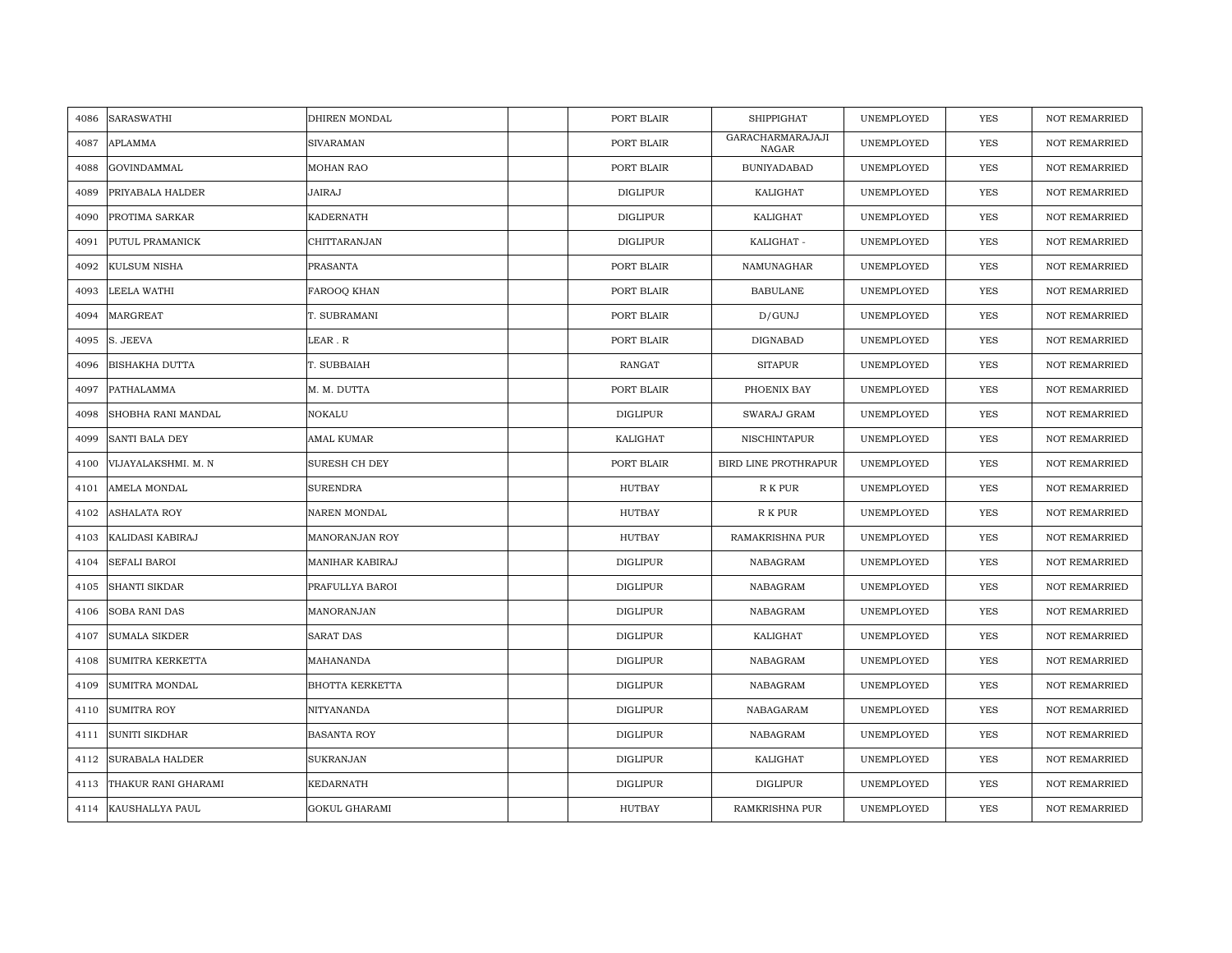| 4086 | SARASWATHI             | DHIREN MONDAL        | PORT BLAIR      | <b>SHIPPIGHAT</b>           | UNEMPLOYED | <b>YES</b> | <b>NOT REMARRIED</b> |
|------|------------------------|----------------------|-----------------|-----------------------------|------------|------------|----------------------|
| 4087 | <b>APLAMMA</b>         | <b>SIVARAMAN</b>     | PORT BLAIR      | GARACHARMARAJAJI<br>NAGAR   | UNEMPLOYED | <b>YES</b> | <b>NOT REMARRIED</b> |
| 4088 | GOVINDAMMAL            | <b>MOHAN RAO</b>     | PORT BLAIR      | <b>BUNIYADABAD</b>          | UNEMPLOYED | YES        | <b>NOT REMARRIED</b> |
| 4089 | PRIYABALA HALDER       | JAIRAJ               | <b>DIGLIPUR</b> | KALIGHAT                    | UNEMPLOYED | YES        | <b>NOT REMARRIED</b> |
| 4090 | PROTIMA SARKAR         | <b>KADERNATH</b>     | DIGLIPUR        | KALIGHAT                    | UNEMPLOYED | YES        | <b>NOT REMARRIED</b> |
| 4091 | PUTUL PRAMANICK        | CHITTARANJAN         | DIGLIPUR        | KALIGHAT -                  | UNEMPLOYED | <b>YES</b> | NOT REMARRIED        |
| 4092 | KULSUM NISHA           | PRASANTA             | PORT BLAIR      | NAMUNAGHAR                  | UNEMPLOYED | <b>YES</b> | <b>NOT REMARRIED</b> |
| 4093 | LEELA WATHI            | FAROOQ KHAN          | PORT BLAIR      | <b>BABULANE</b>             | UNEMPLOYED | <b>YES</b> | <b>NOT REMARRIED</b> |
| 4094 | <b>MARGREAT</b>        | T. SUBRAMANI         | PORT BLAIR      | D/GUNJ                      | UNEMPLOYED | YES        | <b>NOT REMARRIED</b> |
| 4095 | S. JEEVA               | LEAR.R               | PORT BLAIR      | <b>DIGNABAD</b>             | UNEMPLOYED | <b>YES</b> | <b>NOT REMARRIED</b> |
| 4096 | <b>BISHAKHA DUTTA</b>  | T. SUBBAIAH          | RANGAT          | <b>SITAPUR</b>              | UNEMPLOYED | <b>YES</b> | <b>NOT REMARRIED</b> |
| 4097 | PATHALAMMA             | M. M. DUTTA          | PORT BLAIR      | PHOENIX BAY                 | UNEMPLOYED | <b>YES</b> | <b>NOT REMARRIED</b> |
| 4098 | SHOBHA RANI MANDAL     | NOKALU               | <b>DIGLIPUR</b> | SWARAJ GRAM                 | UNEMPLOYED | <b>YES</b> | <b>NOT REMARRIED</b> |
| 4099 | <b>SANTI BALA DEY</b>  | AMAL KUMAR           | KALIGHAT        | NISCHINTAPUR                | UNEMPLOYED | <b>YES</b> | <b>NOT REMARRIED</b> |
| 4100 | VIJAYALAKSHMI. M. N    | SURESH CH DEY        | PORT BLAIR      | <b>BIRD LINE PROTHRAPUR</b> | UNEMPLOYED | <b>YES</b> | <b>NOT REMARRIED</b> |
| 4101 | AMELA MONDAL           | <b>SURENDRA</b>      | <b>HUTBAY</b>   | R K PUR                     | UNEMPLOYED | <b>YES</b> | <b>NOT REMARRIED</b> |
| 4102 | <b>ASHALATA ROY</b>    | NAREN MONDAL         | HUTBAY          | R K PUR                     | UNEMPLOYED | YES        | <b>NOT REMARRIED</b> |
| 4103 | KALIDASI KABIRAJ       | MANORANJAN ROY       | HUTBAY          | <b>RAMAKRISHNA PUR</b>      | UNEMPLOYED | <b>YES</b> | <b>NOT REMARRIED</b> |
| 4104 | <b>SEFALI BAROI</b>    | MANIHAR KABIRAJ      | <b>DIGLIPUR</b> | NABAGRAM                    | UNEMPLOYED | YES        | <b>NOT REMARRIED</b> |
| 4105 | <b>SHANTI SIKDAR</b>   | PRAFULLYA BAROI      | <b>DIGLIPUR</b> | NABAGRAM                    | UNEMPLOYED | <b>YES</b> | <b>NOT REMARRIED</b> |
| 4106 | <b>SOBA RANI DAS</b>   | MANORANJAN           | <b>DIGLIPUR</b> | NABAGRAM                    | UNEMPLOYED | <b>YES</b> | <b>NOT REMARRIED</b> |
| 4107 | <b>SUMALA SIKDER</b>   | SARAT DAS            | <b>DIGLIPUR</b> | KALIGHAT                    | UNEMPLOYED | <b>YES</b> | <b>NOT REMARRIED</b> |
| 4108 | SUMITRA KERKETTA       | MAHANANDA            | <b>DIGLIPUR</b> | NABAGRAM                    | UNEMPLOYED | YES        | <b>NOT REMARRIED</b> |
| 4109 | SUMITRA MONDAL         | BHOTTA KERKETTA      | <b>DIGLIPUR</b> | NABAGRAM                    | UNEMPLOYED | <b>YES</b> | <b>NOT REMARRIED</b> |
| 4110 | <b>SUMITRA ROY</b>     | NITYANANDA           | <b>DIGLIPUR</b> | NABAGARAM                   | UNEMPLOYED | <b>YES</b> | <b>NOT REMARRIED</b> |
| 4111 | SUNITI SIKDHAR         | <b>BASANTA ROY</b>   | <b>DIGLIPUR</b> | NABAGRAM                    | UNEMPLOYED | YES        | NOT REMARRIED        |
| 4112 | <b>SURABALA HALDER</b> | <b>SUKRANJAN</b>     | <b>DIGLIPUR</b> | KALIGHAT                    | UNEMPLOYED | <b>YES</b> | <b>NOT REMARRIED</b> |
| 4113 | THAKUR RANI GHARAMI    | <b>KEDARNATH</b>     | <b>DIGLIPUR</b> | <b>DIGLIPUR</b>             | UNEMPLOYED | YES        | <b>NOT REMARRIED</b> |
| 4114 | KAUSHALLYA PAUL        | <b>GOKUL GHARAMI</b> | HUTBAY          | RAMKRISHNA PUR              | UNEMPLOYED | YES        | <b>NOT REMARRIED</b> |
|      |                        |                      |                 |                             |            |            |                      |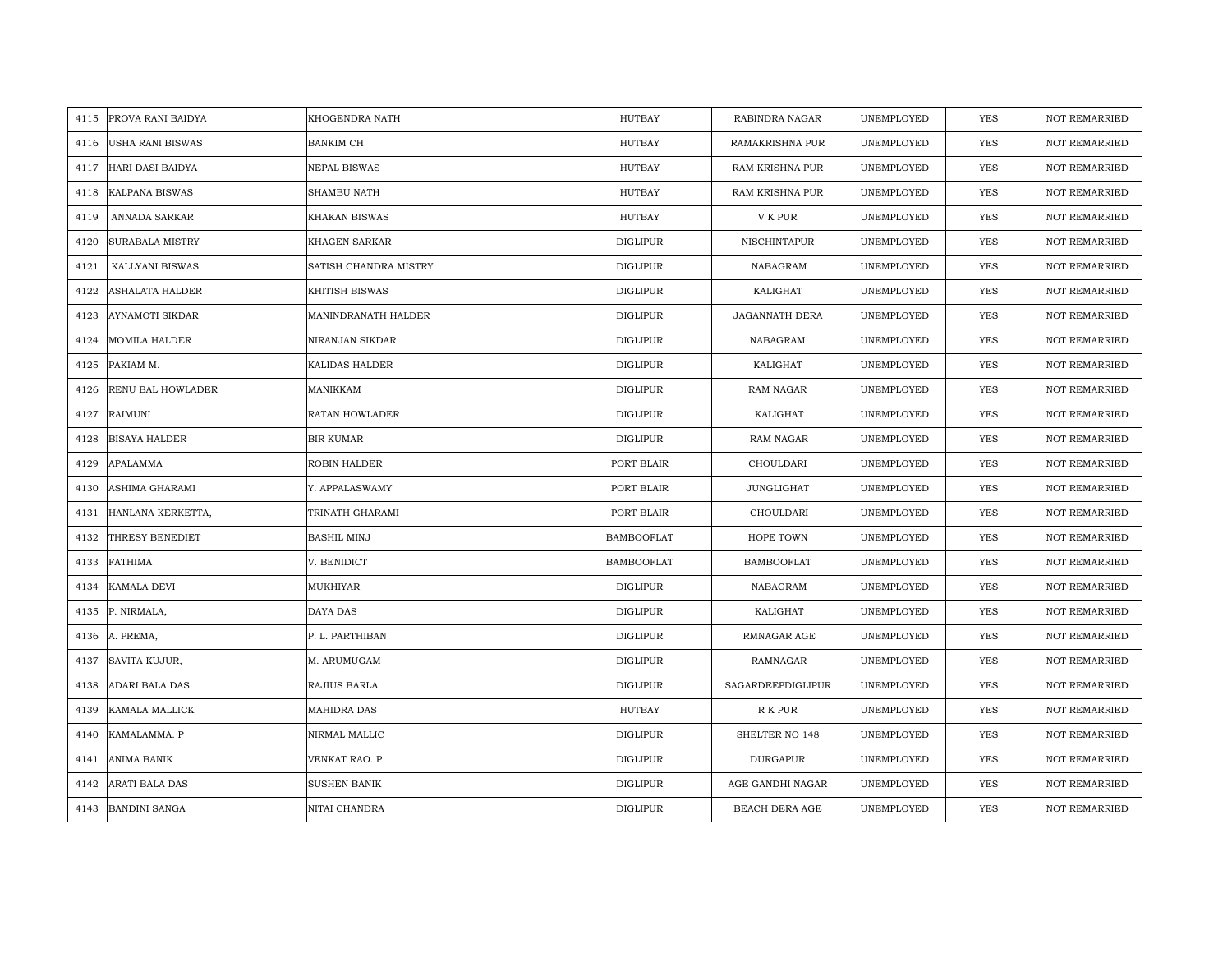| 4115 | <b>PROVA RANI BAIDYA</b> | KHOGENDRA NATH        | HUTBAY            | RABINDRA NAGAR    | UNEMPLOYED | YES        | <b>NOT REMARRIED</b> |
|------|--------------------------|-----------------------|-------------------|-------------------|------------|------------|----------------------|
| 4116 | <b>USHA RANI BISWAS</b>  | <b>BANKIM CH</b>      | HUTBAY            | RAMAKRISHNA PUR   | UNEMPLOYED | <b>YES</b> | <b>NOT REMARRIED</b> |
| 4117 | HARI DASI BAIDYA         | NEPAL BISWAS          | <b>HUTBAY</b>     | RAM KRISHNA PUR   | UNEMPLOYED | <b>YES</b> | <b>NOT REMARRIED</b> |
| 4118 | KALPANA BISWAS           | SHAMBU NATH           | HUTBAY            | RAM KRISHNA PUR   | UNEMPLOYED | YES        | <b>NOT REMARRIED</b> |
| 4119 | ANNADA SARKAR            | <b>KHAKAN BISWAS</b>  | HUTBAY            | V K PUR           | UNEMPLOYED | <b>YES</b> | <b>NOT REMARRIED</b> |
| 4120 | <b>SURABALA MISTRY</b>   | KHAGEN SARKAR         | <b>DIGLIPUR</b>   | NISCHINTAPUR      | UNEMPLOYED | <b>YES</b> | <b>NOT REMARRIED</b> |
| 4121 | KALLYANI BISWAS          | SATISH CHANDRA MISTRY | <b>DIGLIPUR</b>   | NABAGRAM          | UNEMPLOYED | <b>YES</b> | <b>NOT REMARRIED</b> |
| 4122 | <b>ASHALATA HALDER</b>   | KHITISH BISWAS        | <b>DIGLIPUR</b>   | KALIGHAT          | UNEMPLOYED | YES        | <b>NOT REMARRIED</b> |
| 4123 | <b>AYNAMOTI SIKDAR</b>   | MANINDRANATH HALDER   | <b>DIGLIPUR</b>   | JAGANNATH DERA    | UNEMPLOYED | <b>YES</b> | <b>NOT REMARRIED</b> |
| 4124 | <b>MOMILA HALDER</b>     | NIRANJAN SIKDAR       | <b>DIGLIPUR</b>   | NABAGRAM          | UNEMPLOYED | <b>YES</b> | <b>NOT REMARRIED</b> |
| 4125 | PAKIAM M.                | KALIDAS HALDER        | <b>DIGLIPUR</b>   | KALIGHAT          | UNEMPLOYED | YES        | <b>NOT REMARRIED</b> |
| 4126 | RENU BAL HOWLADER        | MANIKKAM              | <b>DIGLIPUR</b>   | RAM NAGAR         | UNEMPLOYED | <b>YES</b> | <b>NOT REMARRIED</b> |
| 4127 | RAIMUNI                  | RATAN HOWLADER        | DIGLIPUR          | KALIGHAT          | UNEMPLOYED | <b>YES</b> | <b>NOT REMARRIED</b> |
| 4128 | <b>BISAYA HALDER</b>     | <b>BIR KUMAR</b>      | DIGLIPUR          | RAM NAGAR         | UNEMPLOYED | YES        | <b>NOT REMARRIED</b> |
| 4129 | APALAMMA                 | ROBIN HALDER          | PORT BLAIR        | CHOULDARI         | UNEMPLOYED | YES        | <b>NOT REMARRIED</b> |
| 4130 | ASHIMA GHARAMI           | Y. APPALASWAMY        | PORT BLAIR        | JUNGLIGHAT        | UNEMPLOYED | <b>YES</b> | <b>NOT REMARRIED</b> |
| 4131 | HANLANA KERKETTA,        | TRINATH GHARAMI       | PORT BLAIR        | CHOULDARI         | UNEMPLOYED | YES        | <b>NOT REMARRIED</b> |
| 4132 | THRESY BENEDIET          | <b>BASHIL MINJ</b>    | <b>BAMBOOFLAT</b> | HOPE TOWN         | UNEMPLOYED | <b>YES</b> | <b>NOT REMARRIED</b> |
| 4133 | <b>FATHIMA</b>           | V. BENIDICT           | <b>BAMBOOFLAT</b> | <b>BAMBOOFLAT</b> | UNEMPLOYED | <b>YES</b> | <b>NOT REMARRIED</b> |
| 4134 | KAMALA DEVI              | MUKHIYAR              | DIGLIPUR          | NABAGRAM          | UNEMPLOYED | <b>YES</b> | <b>NOT REMARRIED</b> |
| 4135 | P. NIRMALA,              | DAYA DAS              | <b>DIGLIPUR</b>   | KALIGHAT          | UNEMPLOYED | <b>YES</b> | <b>NOT REMARRIED</b> |
| 4136 | A. PREMA,                | P. L. PARTHIBAN       | <b>DIGLIPUR</b>   | RMNAGAR AGE       | UNEMPLOYED | YES        | <b>NOT REMARRIED</b> |
| 4137 | SAVITA KUJUR,            | M. ARUMUGAM           | <b>DIGLIPUR</b>   | RAMNAGAR          | UNEMPLOYED | YES        | NOT REMARRIED        |
| 4138 | ADARI BALA DAS           | RAJIUS BARLA          | <b>DIGLIPUR</b>   | SAGARDEEPDIGLIPUR | UNEMPLOYED | YES        | <b>NOT REMARRIED</b> |
| 4139 | KAMALA MALLICK           | <b>MAHIDRA DAS</b>    | HUTBAY            | R K PUR           | UNEMPLOYED | <b>YES</b> | <b>NOT REMARRIED</b> |
| 4140 | KAMALAMMA. P             | NIRMAL MALLIC         | <b>DIGLIPUR</b>   | SHELTER NO 148    | UNEMPLOYED | <b>YES</b> | <b>NOT REMARRIED</b> |
| 4141 | ANIMA BANIK              | VENKAT RAO. P         | <b>DIGLIPUR</b>   | <b>DURGAPUR</b>   | UNEMPLOYED | YES        | <b>NOT REMARRIED</b> |
| 4142 | ARATI BALA DAS           | <b>SUSHEN BANIK</b>   | <b>DIGLIPUR</b>   | AGE GANDHI NAGAR  | UNEMPLOYED | <b>YES</b> | <b>NOT REMARRIED</b> |
|      | 4143 BANDINI SANGA       | NITAI CHANDRA         | <b>DIGLIPUR</b>   | BEACH DERA AGE    | UNEMPLOYED | <b>YES</b> | <b>NOT REMARRIED</b> |
|      |                          |                       |                   |                   |            |            |                      |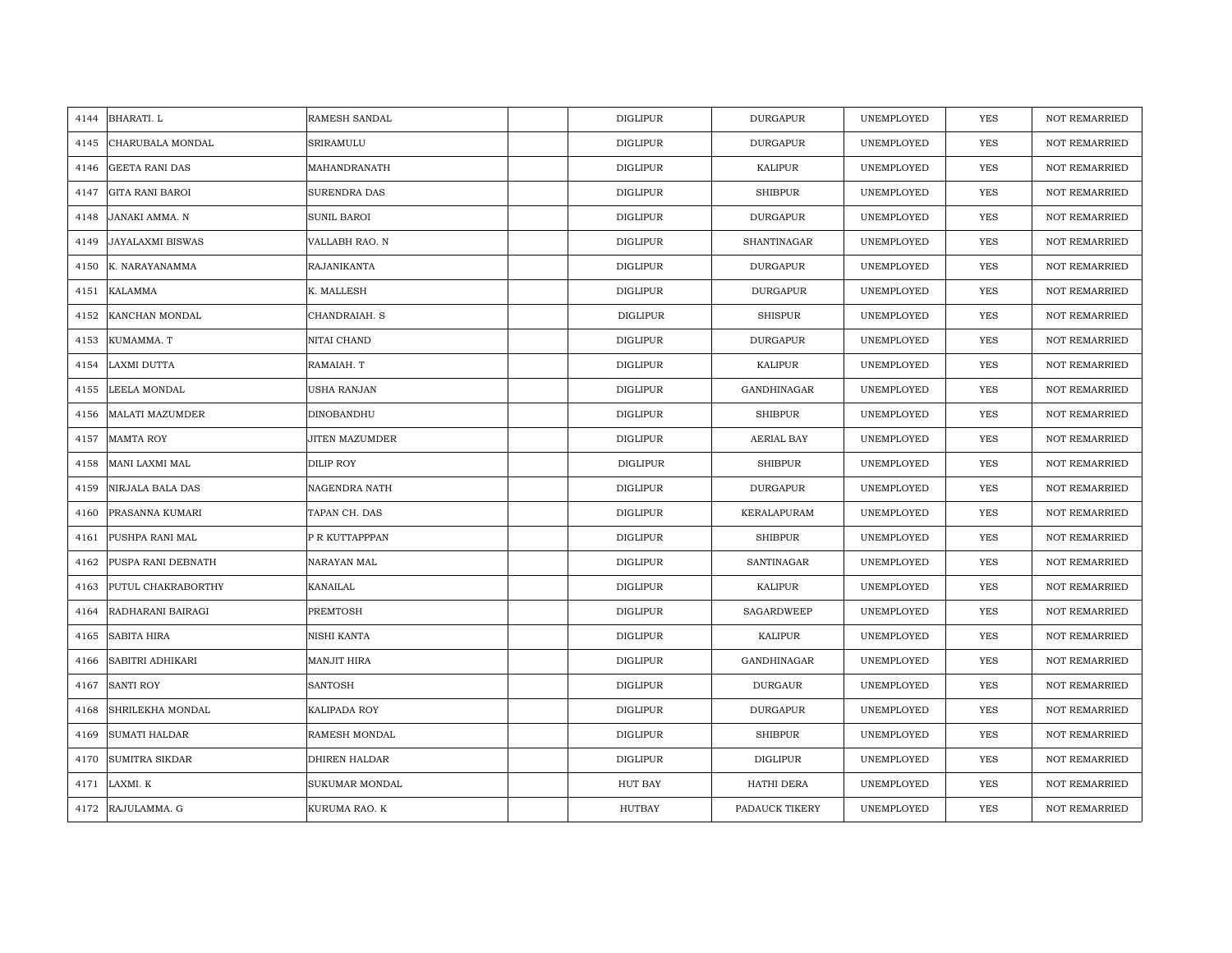| 4144 | BHARATI. L              | RAMESH SANDAL         | <b>DIGLIPUR</b> | <b>DURGAPUR</b> | UNEMPLOYED | YES        | <b>NOT REMARRIED</b> |
|------|-------------------------|-----------------------|-----------------|-----------------|------------|------------|----------------------|
| 4145 | CHARUBALA MONDAL        | SRIRAMULU             | <b>DIGLIPUR</b> | <b>DURGAPUR</b> | UNEMPLOYED | YES        | <b>NOT REMARRIED</b> |
| 4146 | <b>GEETA RANI DAS</b>   | MAHANDRANATH          | <b>DIGLIPUR</b> | KALIPUR         | UNEMPLOYED | <b>YES</b> | <b>NOT REMARRIED</b> |
| 4147 | <b>GITA RANI BAROI</b>  | <b>SURENDRA DAS</b>   | <b>DIGLIPUR</b> | <b>SHIBPUR</b>  | UNEMPLOYED | <b>YES</b> | NOT REMARRIED        |
| 4148 | JANAKI AMMA. N          | <b>SUNIL BAROI</b>    | <b>DIGLIPUR</b> | <b>DURGAPUR</b> | UNEMPLOYED | <b>YES</b> | <b>NOT REMARRIED</b> |
| 4149 | <b>JAYALAXMI BISWAS</b> | VALLABH RAO. N        | <b>DIGLIPUR</b> | SHANTINAGAR     | UNEMPLOYED | <b>YES</b> | <b>NOT REMARRIED</b> |
| 4150 | K. NARAYANAMMA          | RAJANIKANTA           | <b>DIGLIPUR</b> | <b>DURGAPUR</b> | UNEMPLOYED | <b>YES</b> | <b>NOT REMARRIED</b> |
| 4151 | KALAMMA                 | K. MALLESH            | DIGLIPUR        | <b>DURGAPUR</b> | UNEMPLOYED | YES        | <b>NOT REMARRIED</b> |
| 4152 | KANCHAN MONDAL          | CHANDRAIAH. S         | <b>DIGLIPUR</b> | <b>SHISPUR</b>  | UNEMPLOYED | YES        | <b>NOT REMARRIED</b> |
| 4153 | KUMAMMA. T              | NITAI CHAND           | <b>DIGLIPUR</b> | <b>DURGAPUR</b> | UNEMPLOYED | <b>YES</b> | <b>NOT REMARRIED</b> |
| 4154 | LAXMI DUTTA             | RAMAIAH. T            | <b>DIGLIPUR</b> | KALIPUR         | UNEMPLOYED | YES        | <b>NOT REMARRIED</b> |
| 4155 | LEELA MONDAL            | USHA RANJAN           | <b>DIGLIPUR</b> | GANDHINAGAR     | UNEMPLOYED | YES        | <b>NOT REMARRIED</b> |
| 4156 | <b>MALATI MAZUMDER</b>  | DINOBANDHU            | <b>DIGLIPUR</b> | <b>SHIBPUR</b>  | UNEMPLOYED | YES        | <b>NOT REMARRIED</b> |
| 4157 | <b>MAMTA ROY</b>        | <b>JITEN MAZUMDER</b> | <b>DIGLIPUR</b> | AERIAL BAY      | UNEMPLOYED | <b>YES</b> | <b>NOT REMARRIED</b> |
| 4158 | MANI LAXMI MAL          | DILIP ROY             | DIGLIPUR        | <b>SHIBPUR</b>  | UNEMPLOYED | YES        | <b>NOT REMARRIED</b> |
| 4159 | NIRJALA BALA DAS        | NAGENDRA NATH         | <b>DIGLIPUR</b> | <b>DURGAPUR</b> | UNEMPLOYED | YES        | <b>NOT REMARRIED</b> |
| 4160 | PRASANNA KUMARI         | TAPAN CH. DAS         | <b>DIGLIPUR</b> | KERALAPURAM     | UNEMPLOYED | YES        | <b>NOT REMARRIED</b> |
| 4161 | PUSHPA RANI MAL         | P R KUTTAPPPAN        | <b>DIGLIPUR</b> | <b>SHIBPUR</b>  | UNEMPLOYED | YES        | <b>NOT REMARRIED</b> |
| 4162 | PUSPA RANI DEBNATH      | NARAYAN MAL           | <b>DIGLIPUR</b> | SANTINAGAR      | UNEMPLOYED | <b>YES</b> | <b>NOT REMARRIED</b> |
| 4163 | PUTUL CHAKRABORTHY      | KANAILAL              | <b>DIGLIPUR</b> | <b>KALIPUR</b>  | UNEMPLOYED | YES        | <b>NOT REMARRIED</b> |
| 4164 | RADHARANI BAIRAGI       | PREMTOSH              | <b>DIGLIPUR</b> | SAGARDWEEP      | UNEMPLOYED | <b>YES</b> | <b>NOT REMARRIED</b> |
| 4165 | SABITA HIRA             | NISHI KANTA           | <b>DIGLIPUR</b> | KALIPUR         | UNEMPLOYED | YES        | NOT REMARRIED        |
| 4166 | SABITRI ADHIKARI        | <b>MANJIT HIRA</b>    | <b>DIGLIPUR</b> | GANDHINAGAR     | UNEMPLOYED | <b>YES</b> | <b>NOT REMARRIED</b> |
| 4167 | <b>SANTI ROY</b>        | <b>SANTOSH</b>        | <b>DIGLIPUR</b> | <b>DURGAUR</b>  | UNEMPLOYED | YES        | <b>NOT REMARRIED</b> |
| 4168 | SHRILEKHA MONDAL        | KALIPADA ROY          | <b>DIGLIPUR</b> | <b>DURGAPUR</b> | UNEMPLOYED | <b>YES</b> | <b>NOT REMARRIED</b> |
| 4169 | <b>SUMATI HALDAR</b>    | RAMESH MONDAL         | <b>DIGLIPUR</b> | <b>SHIBPUR</b>  | UNEMPLOYED | YES        | NOT REMARRIED        |
| 4170 | <b>SUMITRA SIKDAR</b>   | DHIREN HALDAR         | DIGLIPUR        | DIGLIPUR        | UNEMPLOYED | YES        | <b>NOT REMARRIED</b> |
| 4171 | LAXMI. K                | SUKUMAR MONDAL        | <b>HUT BAY</b>  | HATHI DERA      | UNEMPLOYED | <b>YES</b> | <b>NOT REMARRIED</b> |
|      | 4172 RAJULAMMA. G       | KURUMA RAO. K         | <b>HUTBAY</b>   | PADAUCK TIKERY  | UNEMPLOYED | <b>YES</b> | <b>NOT REMARRIED</b> |
|      |                         |                       |                 |                 |            |            |                      |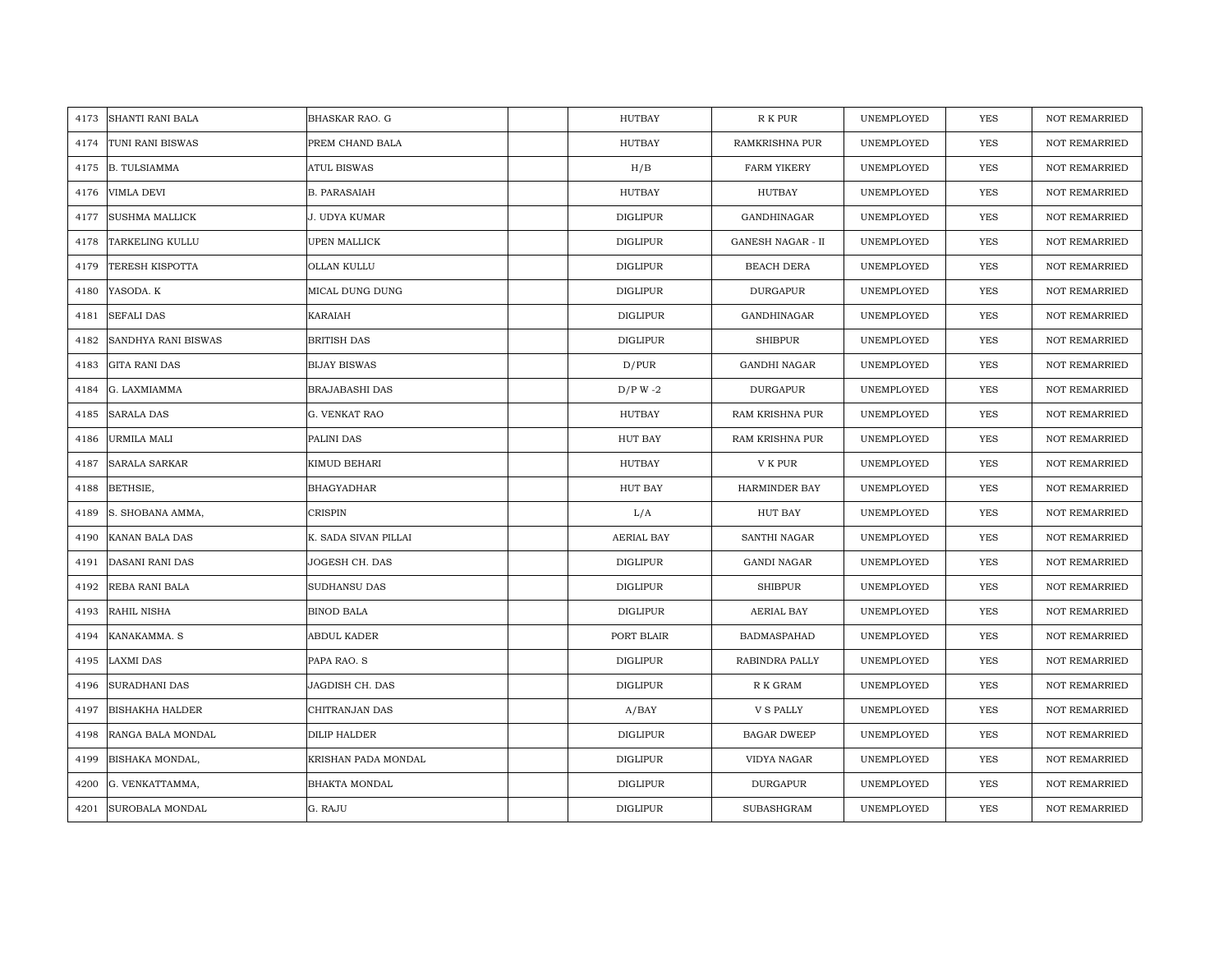| 4173 | <b>SHANTI RANI BALA</b> | <b>BHASKAR RAO. G</b> | <b>HUTBAY</b>   | R K PUR                  | UNEMPLOYED | <b>YES</b> | <b>NOT REMARRIED</b> |
|------|-------------------------|-----------------------|-----------------|--------------------------|------------|------------|----------------------|
| 4174 | TUNI RANI BISWAS        | PREM CHAND BALA       | <b>HUTBAY</b>   | <b>RAMKRISHNA PUR</b>    | UNEMPLOYED | <b>YES</b> | NOT REMARRIED        |
| 4175 | <b>B. TULSIAMMA</b>     | <b>ATUL BISWAS</b>    | H/B             | <b>FARM YIKERY</b>       | UNEMPLOYED | YES        | <b>NOT REMARRIED</b> |
| 4176 | <b>VIMLA DEVI</b>       | <b>B. PARASAIAH</b>   | <b>HUTBAY</b>   | HUTBAY                   | UNEMPLOYED | YES        | NOT REMARRIED        |
| 4177 | <b>SUSHMA MALLICK</b>   | J. UDYA KUMAR         | <b>DIGLIPUR</b> | GANDHINAGAR              | UNEMPLOYED | YES        | <b>NOT REMARRIED</b> |
| 4178 | TARKELING KULLU         | UPEN MALLICK          | <b>DIGLIPUR</b> | <b>GANESH NAGAR - II</b> | UNEMPLOYED | YES        | NOT REMARRIED        |
| 4179 | <b>TERESH KISPOTTA</b>  | OLLAN KULLU           | <b>DIGLIPUR</b> | BEACH DERA               | UNEMPLOYED | <b>YES</b> | <b>NOT REMARRIED</b> |
| 4180 | YASODA. K               | MICAL DUNG DUNG       | <b>DIGLIPUR</b> | DURGAPUR                 | UNEMPLOYED | YES        | <b>NOT REMARRIED</b> |
| 4181 | <b>SEFALI DAS</b>       | KARAIAH               | <b>DIGLIPUR</b> | GANDHINAGAR              | UNEMPLOYED | YES        | NOT REMARRIED        |
| 4182 | SANDHYA RANI BISWAS     | <b>BRITISH DAS</b>    | DIGLIPUR        | <b>SHIBPUR</b>           | UNEMPLOYED | <b>YES</b> | NOT REMARRIED        |
| 4183 | <b>GITA RANI DAS</b>    | <b>BIJAY BISWAS</b>   | D/PUR           | GANDHI NAGAR             | UNEMPLOYED | YES        | <b>NOT REMARRIED</b> |
| 4184 | G. LAXMIAMMA            | BRAJABASHI DAS        | $D/P W -2$      | <b>DURGAPUR</b>          | UNEMPLOYED | YES        | <b>NOT REMARRIED</b> |
| 4185 | <b>SARALA DAS</b>       | G. VENKAT RAO         | HUTBAY          | RAM KRISHNA PUR          | UNEMPLOYED | YES        | NOT REMARRIED        |
| 4186 | <b>URMILA MALI</b>      | PALINI DAS            | HUT BAY         | RAM KRISHNA PUR          | UNEMPLOYED | <b>YES</b> | <b>NOT REMARRIED</b> |
| 4187 | <b>SARALA SARKAR</b>    | KIMUD BEHARI          | HUTBAY          | V K PUR                  | UNEMPLOYED | YES        | <b>NOT REMARRIED</b> |
| 4188 | BETHSIE,                | BHAGYADHAR            | HUT BAY         | HARMINDER BAY            | UNEMPLOYED | <b>YES</b> | <b>NOT REMARRIED</b> |
| 4189 | S. SHOBANA AMMA,        | <b>CRISPIN</b>        | L/A             | <b>HUT BAY</b>           | UNEMPLOYED | YES        | <b>NOT REMARRIED</b> |
| 4190 | KANAN BALA DAS          | K. SADA SIVAN PILLAI  | AERIAL BAY      | SANTHI NAGAR             | UNEMPLOYED | <b>YES</b> | <b>NOT REMARRIED</b> |
| 4191 | <b>DASANI RANI DAS</b>  | JOGESH CH. DAS        | <b>DIGLIPUR</b> | <b>GANDI NAGAR</b>       | UNEMPLOYED | YES        | <b>NOT REMARRIED</b> |
| 4192 | REBA RANI BALA          | SUDHANSU DAS          | <b>DIGLIPUR</b> | <b>SHIBPUR</b>           | UNEMPLOYED | <b>YES</b> | <b>NOT REMARRIED</b> |
| 4193 | RAHIL NISHA             | <b>BINOD BALA</b>     | <b>DIGLIPUR</b> | AERIAL BAY               | UNEMPLOYED | <b>YES</b> | <b>NOT REMARRIED</b> |
| 4194 | KANAKAMMA. S            | ABDUL KADER           | PORT BLAIR      | BADMASPAHAD              | UNEMPLOYED | YES        | NOT REMARRIED        |
| 4195 | <b>LAXMI DAS</b>        | PAPA RAO. S           | <b>DIGLIPUR</b> | RABINDRA PALLY           | UNEMPLOYED | <b>YES</b> | NOT REMARRIED        |
| 4196 | <b>SURADHANI DAS</b>    | JAGDISH CH. DAS       | <b>DIGLIPUR</b> | ${\mathbb R}$ K GRAM     | UNEMPLOYED | YES        | <b>NOT REMARRIED</b> |
| 4197 | <b>BISHAKHA HALDER</b>  | CHITRANJAN DAS        | A/BAY           | <b>V S PALLY</b>         | UNEMPLOYED | YES        | <b>NOT REMARRIED</b> |
| 4198 | RANGA BALA MONDAL       | DILIP HALDER          | <b>DIGLIPUR</b> | <b>BAGAR DWEEP</b>       | UNEMPLOYED | YES        | NOT REMARRIED        |
| 4199 | BISHAKA MONDAL,         | KRISHAN PADA MONDAL   | <b>DIGLIPUR</b> | VIDYA NAGAR              | UNEMPLOYED | YES        | <b>NOT REMARRIED</b> |
| 4200 | G. VENKATTAMMA,         | <b>BHAKTA MONDAL</b>  | DIGLIPUR        | DURGAPUR                 | UNEMPLOYED | YES        | <b>NOT REMARRIED</b> |
| 4201 | SUROBALA MONDAL         | G. RAJU               | <b>DIGLIPUR</b> | SUBASHGRAM               | UNEMPLOYED | YES        | NOT REMARRIED        |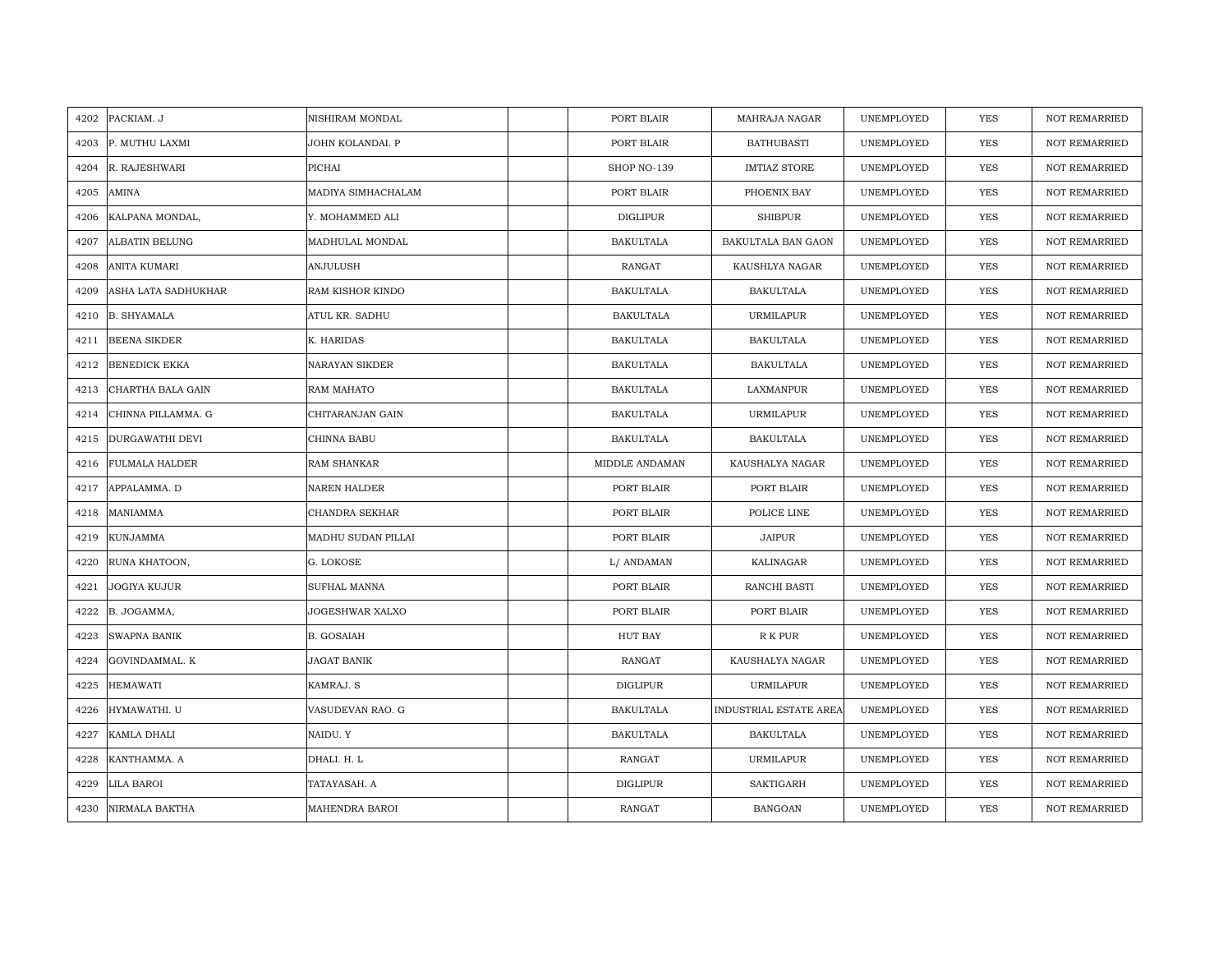| 4202 | PACKIAM. J            | NISHIRAM MONDAL       | PORT BLAIR       | MAHRAJA NAGAR          | UNEMPLOYED | <b>YES</b> | <b>NOT REMARRIED</b> |
|------|-----------------------|-----------------------|------------------|------------------------|------------|------------|----------------------|
| 4203 | P. MUTHU LAXMI        | JOHN KOLANDAI. P      | PORT BLAIR       | <b>BATHUBASTI</b>      | UNEMPLOYED | <b>YES</b> | <b>NOT REMARRIED</b> |
| 4204 | R. RAJESHWARI         | PICHAI                | SHOP NO-139      | <b>IMTIAZ STORE</b>    | UNEMPLOYED | <b>YES</b> | <b>NOT REMARRIED</b> |
| 4205 | AMINA                 | MADIYA SIMHACHALAM    | PORT BLAIR       | PHOENIX BAY            | UNEMPLOYED | YES        | <b>NOT REMARRIED</b> |
| 4206 | KALPANA MONDAL,       | Y. MOHAMMED ALI       | <b>DIGLIPUR</b>  | <b>SHIBPUR</b>         | UNEMPLOYED | YES        | <b>NOT REMARRIED</b> |
| 4207 | <b>ALBATIN BELUNG</b> | MADHULAL MONDAL       | <b>BAKULTALA</b> | BAKULTALA BAN GAON     | UNEMPLOYED | <b>YES</b> | NOT REMARRIED        |
| 4208 | <b>ANITA KUMARI</b>   | <b>ANJULUSH</b>       | RANGAT           | KAUSHLYA NAGAR         | UNEMPLOYED | YES        | NOT REMARRIED        |
| 4209 | ASHA LATA SADHUKHAR   | RAM KISHOR KINDO      | <b>BAKULTALA</b> | <b>BAKULTALA</b>       | UNEMPLOYED | YES        | NOT REMARRIED        |
| 4210 | <b>B. SHYAMALA</b>    | ATUL KR. SADHU        | <b>BAKULTALA</b> | <b>URMILAPUR</b>       | UNEMPLOYED | YES        | NOT REMARRIED        |
| 4211 | <b>BEENA SIKDER</b>   | K. HARIDAS            | <b>BAKULTALA</b> | <b>BAKULTALA</b>       | UNEMPLOYED | YES        | <b>NOT REMARRIED</b> |
| 4212 | <b>BENEDICK EKKA</b>  | <b>NARAYAN SIKDER</b> | <b>BAKULTALA</b> | <b>BAKULTALA</b>       | UNEMPLOYED | YES        | <b>NOT REMARRIED</b> |
| 4213 | CHARTHA BALA GAIN     | RAM MAHATO            | <b>BAKULTALA</b> | LAXMANPUR              | UNEMPLOYED | YES        | NOT REMARRIED        |
| 4214 | CHINNA PILLAMMA. G    | CHITARANJAN GAIN      | <b>BAKULTALA</b> | URMILAPUR              | UNEMPLOYED | YES        | <b>NOT REMARRIED</b> |
| 4215 | DURGAWATHI DEVI       | CHINNA BABU           | BAKULTALA        | BAKULTALA              | UNEMPLOYED | YES        | <b>NOT REMARRIED</b> |
| 4216 | <b>FULMALA HALDER</b> | RAM SHANKAR           | MIDDLE ANDAMAN   | KAUSHALYA NAGAR        | UNEMPLOYED | YES        | NOT REMARRIED        |
| 4217 | APPALAMMA. D          | <b>NAREN HALDER</b>   | PORT BLAIR       | PORT BLAIR             | UNEMPLOYED | <b>YES</b> | <b>NOT REMARRIED</b> |
| 4218 | MANIAMMA              | CHANDRA SEKHAR        | PORT BLAIR       | POLICE LINE            | UNEMPLOYED | YES        | <b>NOT REMARRIED</b> |
| 4219 | <b>KUNJAMMA</b>       | MADHU SUDAN PILLAI    | PORT BLAIR       | JAIPUR                 | UNEMPLOYED | YES        | <b>NOT REMARRIED</b> |
| 4220 | RUNA KHATOON,         | G. LOKOSE             | L/ ANDAMAN       | <b>KALINAGAR</b>       | UNEMPLOYED | <b>YES</b> | <b>NOT REMARRIED</b> |
| 4221 | <b>JOGIYA KUJUR</b>   | SUFHAL MANNA          | PORT BLAIR       | RANCHI BASTI           | UNEMPLOYED | YES        | <b>NOT REMARRIED</b> |
| 4222 | B. JOGAMMA,           | JOGESHWAR XALXO       | PORT BLAIR       | PORT BLAIR             | UNEMPLOYED | YES        | NOT REMARRIED        |
| 4223 | SWAPNA BANIK          | <b>B. GOSAIAH</b>     | HUT BAY          | R K PUR                | UNEMPLOYED | YES        | NOT REMARRIED        |
| 4224 | GOVINDAMMAL. K        | <b>JAGAT BANIK</b>    | RANGAT           | KAUSHALYA NAGAR        | UNEMPLOYED | <b>YES</b> | NOT REMARRIED        |
| 4225 | <b>HEMAWATI</b>       | KAMRAJ. S             | <b>DIGLIPUR</b>  | URMILAPUR              | UNEMPLOYED | YES        | <b>NOT REMARRIED</b> |
| 4226 | HYMAWATHI. U          | VASUDEVAN RAO. G      | BAKULTALA        | INDUSTRIAL ESTATE AREA | UNEMPLOYED | YES        | <b>NOT REMARRIED</b> |
| 4227 | KAMLA DHALI           | NAIDU. Y              | <b>BAKULTALA</b> | BAKULTALA              | UNEMPLOYED | YES        | NOT REMARRIED        |
| 4228 | KANTHAMMA. A          | DHALI. H. L           | RANGAT           | <b>URMILAPUR</b>       | UNEMPLOYED | YES        | <b>NOT REMARRIED</b> |
| 4229 | <b>LILA BAROI</b>     | TATAYASAH. A          | <b>DIGLIPUR</b>  | SAKTIGARH              | UNEMPLOYED | YES        | <b>NOT REMARRIED</b> |
| 4230 | NIRMALA BAKTHA        | MAHENDRA BAROI        | <b>RANGAT</b>    | <b>BANGOAN</b>         | UNEMPLOYED | <b>YES</b> | <b>NOT REMARRIED</b> |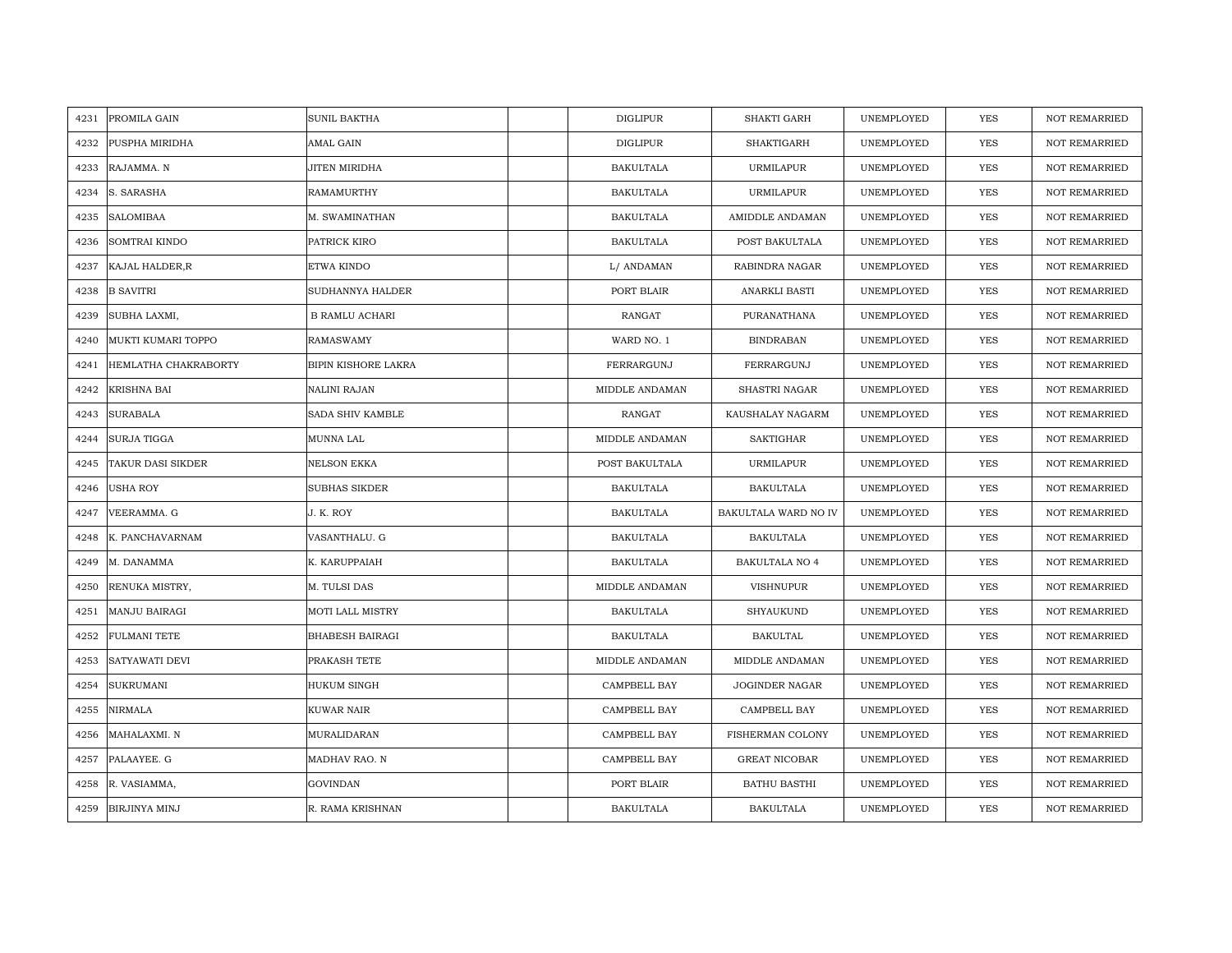| 4231 | PROMILA GAIN         | <b>SUNIL BAKTHA</b>    | <b>DIGLIPUR</b>  | <b>SHAKTI GARH</b>    | UNEMPLOYED | <b>YES</b> | <b>NOT REMARRIED</b> |
|------|----------------------|------------------------|------------------|-----------------------|------------|------------|----------------------|
| 4232 | PUSPHA MIRIDHA       | AMAL GAIN              | <b>DIGLIPUR</b>  | SHAKTIGARH            | UNEMPLOYED | <b>YES</b> | <b>NOT REMARRIED</b> |
| 4233 | RAJAMMA. N           | JITEN MIRIDHA          | <b>BAKULTALA</b> | <b>URMILAPUR</b>      | UNEMPLOYED | YES        | <b>NOT REMARRIED</b> |
| 4234 | S. SARASHA           | RAMAMURTHY             | <b>BAKULTALA</b> | <b>URMILAPUR</b>      | UNEMPLOYED | YES        | <b>NOT REMARRIED</b> |
| 4235 | <b>SALOMIBAA</b>     | M. SWAMINATHAN         | <b>BAKULTALA</b> | AMIDDLE ANDAMAN       | UNEMPLOYED | YES        | <b>NOT REMARRIED</b> |
| 4236 | <b>SOMTRAI KINDO</b> | PATRICK KIRO           | <b>BAKULTALA</b> | POST BAKULTALA        | UNEMPLOYED | <b>YES</b> | <b>NOT REMARRIED</b> |
| 4237 | KAJAL HALDER, R      | ETWA KINDO             | L/ ANDAMAN       | RABINDRA NAGAR        | UNEMPLOYED | YES        | NOT REMARRIED        |
| 4238 | <b>B SAVITRI</b>     | SUDHANNYA HALDER       | PORT BLAIR       | ANARKLI BASTI         | UNEMPLOYED | YES        | NOT REMARRIED        |
| 4239 | SUBHA LAXMI,         | <b>B RAMLU ACHARI</b>  | RANGAT           | PURANATHANA           | UNEMPLOYED | YES        | <b>NOT REMARRIED</b> |
| 4240 | MUKTI KUMARI TOPPO   | <b>RAMASWAMY</b>       | WARD NO. 1       | <b>BINDRABAN</b>      | UNEMPLOYED | YES        | <b>NOT REMARRIED</b> |
| 4241 | HEMLATHA CHAKRABORTY | BIPIN KISHORE LAKRA    | FERRARGUNJ       | FERRARGUNJ            | UNEMPLOYED | YES        | <b>NOT REMARRIED</b> |
| 4242 | KRISHNA BAI          | NALINI RAJAN           | MIDDLE ANDAMAN   | SHASTRI NAGAR         | UNEMPLOYED | YES        | <b>NOT REMARRIED</b> |
| 4243 | <b>SURABALA</b>      | SADA SHIV KAMBLE       | RANGAT           | KAUSHALAY NAGARM      | UNEMPLOYED | <b>YES</b> | <b>NOT REMARRIED</b> |
| 4244 | <b>SURJA TIGGA</b>   | MUNNA LAL              | MIDDLE ANDAMAN   | <b>SAKTIGHAR</b>      | UNEMPLOYED | YES        | NOT REMARRIED        |
| 4245 | TAKUR DASI SIKDER    | NELSON EKKA            | POST BAKULTALA   | <b>URMILAPUR</b>      | UNEMPLOYED | <b>YES</b> | <b>NOT REMARRIED</b> |
| 4246 | <b>USHA ROY</b>      | <b>SUBHAS SIKDER</b>   | <b>BAKULTALA</b> | <b>BAKULTALA</b>      | UNEMPLOYED | <b>YES</b> | <b>NOT REMARRIED</b> |
| 4247 | VEERAMMA. G          | J. K. ROY              | <b>BAKULTALA</b> | BAKULTALA WARD NO IV  | UNEMPLOYED | YES        | <b>NOT REMARRIED</b> |
| 4248 | K. PANCHAVARNAM      | VASANTHALU. G          | <b>BAKULTALA</b> | <b>BAKULTALA</b>      | UNEMPLOYED | YES        | <b>NOT REMARRIED</b> |
| 4249 | M. DANAMMA           | K. KARUPPAIAH          | BAKULTALA        | BAKULTALA NO 4        | UNEMPLOYED | YES        | <b>NOT REMARRIED</b> |
| 4250 | RENUKA MISTRY,       | M. TULSI DAS           | MIDDLE ANDAMAN   | VISHNUPUR             | UNEMPLOYED | YES        | NOT REMARRIED        |
| 4251 | <b>MANJU BAIRAGI</b> | MOTI LALL MISTRY       | <b>BAKULTALA</b> | SHYAUKUND             | UNEMPLOYED | YES        | NOT REMARRIED        |
| 4252 | <b>FULMANI TETE</b>  | <b>BHABESH BAIRAGI</b> | BAKULTALA        | <b>BAKULTAL</b>       | UNEMPLOYED | YES        | NOT REMARRIED        |
| 4253 | SATYAWATI DEVI       | PRAKASH TETE           | MIDDLE ANDAMAN   | MIDDLE ANDAMAN        | UNEMPLOYED | YES        | <b>NOT REMARRIED</b> |
| 4254 | <b>SUKRUMANI</b>     | HUKUM SINGH            | CAMPBELL BAY     | <b>JOGINDER NAGAR</b> | UNEMPLOYED | YES        | <b>NOT REMARRIED</b> |
| 4255 | NIRMALA              | KUWAR NAIR             | CAMPBELL BAY     | CAMPBELL BAY          | UNEMPLOYED | YES        | NOT REMARRIED        |
| 4256 | MAHALAXMI. N         | MURALIDARAN            | CAMPBELL BAY     | FISHERMAN COLONY      | UNEMPLOYED | <b>YES</b> | <b>NOT REMARRIED</b> |
| 4257 | PALAAYEE. G          | MADHAV RAO. N          | CAMPBELL BAY     | <b>GREAT NICOBAR</b>  | UNEMPLOYED | YES        | NOT REMARRIED        |
| 4258 | R. VASIAMMA,         | <b>GOVINDAN</b>        | PORT BLAIR       | <b>BATHU BASTHI</b>   | UNEMPLOYED | YES        | NOT REMARRIED        |
| 4259 | <b>BIRJINYA MINJ</b> | R. RAMA KRISHNAN       | <b>BAKULTALA</b> | <b>BAKULTALA</b>      | UNEMPLOYED | <b>YES</b> | <b>NOT REMARRIED</b> |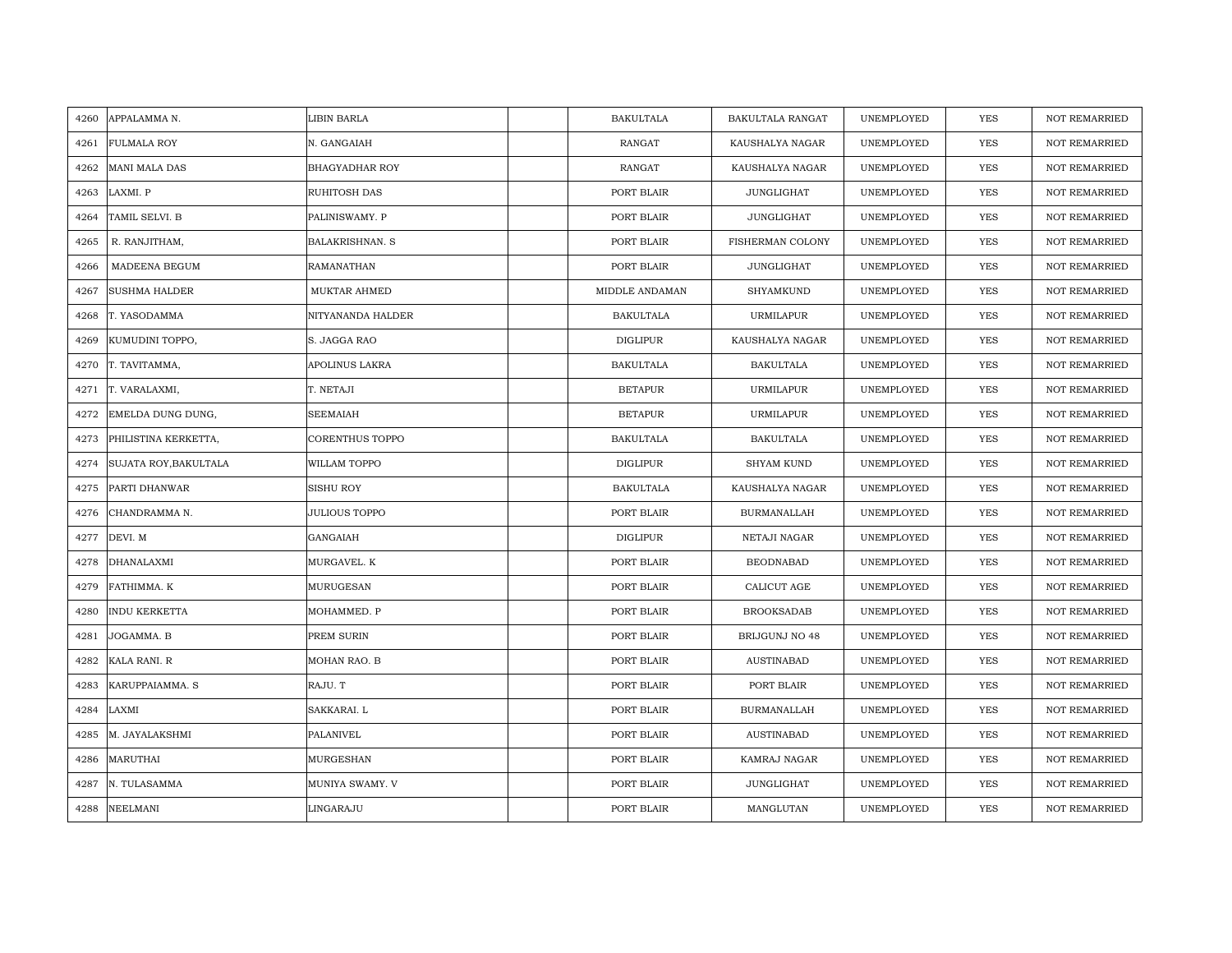| 4260             | APPALAMMA N.          | LIBIN BARLA            | <b>BAKULTALA</b> | <b>BAKULTALA RANGAT</b> | UNEMPLOYED | <b>YES</b> | <b>NOT REMARRIED</b> |
|------------------|-----------------------|------------------------|------------------|-------------------------|------------|------------|----------------------|
| 4261             | <b>FULMALA ROY</b>    | N. GANGAIAH            | RANGAT           | KAUSHALYA NAGAR         | UNEMPLOYED | <b>YES</b> | <b>NOT REMARRIED</b> |
| 4262             | <b>MANI MALA DAS</b>  | <b>BHAGYADHAR ROY</b>  | RANGAT           | KAUSHALYA NAGAR         | UNEMPLOYED | YES        | <b>NOT REMARRIED</b> |
| 4263<br>LAXMI. P |                       | RUHITOSH DAS           | PORT BLAIR       | JUNGLIGHAT              | UNEMPLOYED | YES        | <b>NOT REMARRIED</b> |
| 4264             | TAMIL SELVI. B        | PALINISWAMY. P         | PORT BLAIR       | JUNGLIGHAT              | UNEMPLOYED | YES        | <b>NOT REMARRIED</b> |
| 4265             | R. RANJITHAM,         | <b>BALAKRISHNAN. S</b> | PORT BLAIR       | FISHERMAN COLONY        | UNEMPLOYED | <b>YES</b> | NOT REMARRIED        |
| 4266             | MADEENA BEGUM         | RAMANATHAN             | PORT BLAIR       | JUNGLIGHAT              | UNEMPLOYED | YES        | <b>NOT REMARRIED</b> |
| 4267             | <b>SUSHMA HALDER</b>  | MUKTAR AHMED           | MIDDLE ANDAMAN   | SHYAMKUND               | UNEMPLOYED | YES        | <b>NOT REMARRIED</b> |
| 4268             | T. YASODAMMA          | NITYANANDA HALDER      | <b>BAKULTALA</b> | URMILAPUR               | UNEMPLOYED | <b>YES</b> | NOT REMARRIED        |
| 4269             | KUMUDINI TOPPO,       | S. JAGGA RAO           | <b>DIGLIPUR</b>  | KAUSHALYA NAGAR         | UNEMPLOYED | YES        | <b>NOT REMARRIED</b> |
| 4270             | T. TAVITAMMA,         | APOLINUS LAKRA         | <b>BAKULTALA</b> | <b>BAKULTALA</b>        | UNEMPLOYED | YES        | <b>NOT REMARRIED</b> |
| 4271             | T. VARALAXMI,         | T. NETAJI              | <b>BETAPUR</b>   | URMILAPUR               | UNEMPLOYED | YES        | NOT REMARRIED        |
| 4272             | EMELDA DUNG DUNG,     | <b>SEEMAIAH</b>        | <b>BETAPUR</b>   | URMILAPUR               | UNEMPLOYED | <b>YES</b> | NOT REMARRIED        |
| 4273             | PHILISTINA KERKETTA,  | CORENTHUS TOPPO        | <b>BAKULTALA</b> | <b>BAKULTALA</b>        | UNEMPLOYED | <b>YES</b> | <b>NOT REMARRIED</b> |
| 4274             | SUJATA ROY, BAKULTALA | WILLAM TOPPO           | <b>DIGLIPUR</b>  | <b>SHYAM KUND</b>       | UNEMPLOYED | YES        | NOT REMARRIED        |
| 4275             | PARTI DHANWAR         | SISHU ROY              | <b>BAKULTALA</b> | KAUSHALYA NAGAR         | UNEMPLOYED | <b>YES</b> | NOT REMARRIED        |
| 4276             | CHANDRAMMA N.         | <b>JULIOUS TOPPO</b>   | PORT BLAIR       | <b>BURMANALLAH</b>      | UNEMPLOYED | YES        | <b>NOT REMARRIED</b> |
| 4277<br>DEVI. M  |                       | GANGAIAH               | DIGLIPUR         | NETAJI NAGAR            | UNEMPLOYED | YES        | <b>NOT REMARRIED</b> |
| 4278             | <b>DHANALAXMI</b>     | MURGAVEL. K            | PORT BLAIR       | <b>BEODNABAD</b>        | UNEMPLOYED | YES        | NOT REMARRIED        |
| 4279             | FATHIMMA. K           | MURUGESAN              | PORT BLAIR       | CALICUT AGE             | UNEMPLOYED | YES        | <b>NOT REMARRIED</b> |
| 4280             | <b>INDU KERKETTA</b>  | MOHAMMED. P            | PORT BLAIR       | <b>BROOKSADAB</b>       | UNEMPLOYED | YES        | <b>NOT REMARRIED</b> |
| 4281             | JOGAMMA. B            | PREM SURIN             | PORT BLAIR       | BRIJGUNJ NO 48          | UNEMPLOYED | YES        | <b>NOT REMARRIED</b> |
| 4282             | KALA RANI. R          | MOHAN RAO. B           | PORT BLAIR       | AUSTINABAD              | UNEMPLOYED | YES        | <b>NOT REMARRIED</b> |
| 4283             | KARUPPAIAMMA. S       | RAJU. T                | PORT BLAIR       | PORT BLAIR              | UNEMPLOYED | <b>YES</b> | <b>NOT REMARRIED</b> |
| LAXMI<br>4284    |                       | SAKKARAI. L            | PORT BLAIR       | <b>BURMANALLAH</b>      | UNEMPLOYED | YES        | <b>NOT REMARRIED</b> |
| 4285             | M. JAYALAKSHMI        | PALANIVEL              | PORT BLAIR       | AUSTINABAD              | UNEMPLOYED | YES        | NOT REMARRIED        |
| 4286             | MARUTHAI              | MURGESHAN              | PORT BLAIR       | KAMRAJ NAGAR            | UNEMPLOYED | YES        | <b>NOT REMARRIED</b> |
| 4287             | N. TULASAMMA          | MUNIYA SWAMY. V        | PORT BLAIR       | JUNGLIGHAT              | UNEMPLOYED | YES        | <b>NOT REMARRIED</b> |
| 4288             | <b>NEELMANI</b>       | LINGARAJU              | PORT BLAIR       | MANGLUTAN               | UNEMPLOYED | YES        | NOT REMARRIED        |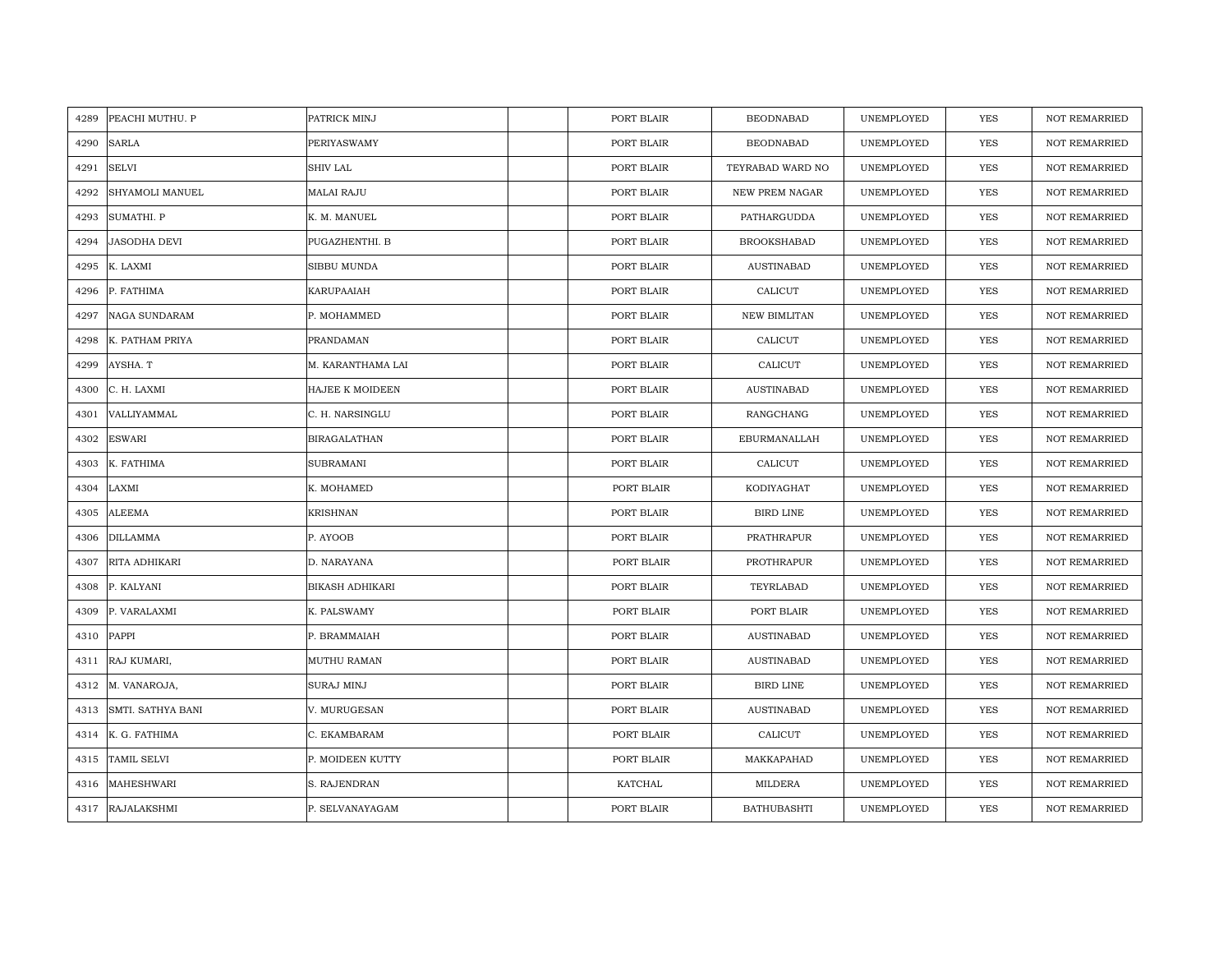| 4289 | PEACHI MUTHU. P     | PATRICK MINJ           | PORT BLAIR | <b>BEODNABAD</b>   | UNEMPLOYED | <b>YES</b> | <b>NOT REMARRIED</b> |
|------|---------------------|------------------------|------------|--------------------|------------|------------|----------------------|
| 4290 | <b>SARLA</b>        | PERIYASWAMY            | PORT BLAIR | <b>BEODNABAD</b>   | UNEMPLOYED | <b>YES</b> | NOT REMARRIED        |
| 4291 | <b>SELVI</b>        | SHIV LAL               | PORT BLAIR | TEYRABAD WARD NO   | UNEMPLOYED | YES        | <b>NOT REMARRIED</b> |
| 4292 | SHYAMOLI MANUEL     | <b>MALAI RAJU</b>      | PORT BLAIR | NEW PREM NAGAR     | UNEMPLOYED | YES        | NOT REMARRIED        |
| 4293 | <b>SUMATHI. P</b>   | K. M. MANUEL           | PORT BLAIR | PATHARGUDDA        | UNEMPLOYED | YES        | <b>NOT REMARRIED</b> |
| 4294 | <b>JASODHA DEVI</b> | PUGAZHENTHI. B         | PORT BLAIR | <b>BROOKSHABAD</b> | UNEMPLOYED | YES        | <b>NOT REMARRIED</b> |
| 4295 | K. LAXMI            | SIBBU MUNDA            | PORT BLAIR | <b>AUSTINABAD</b>  | UNEMPLOYED | YES        | <b>NOT REMARRIED</b> |
| 4296 | P. FATHIMA          | KARUPAAIAH             | PORT BLAIR | CALICUT            | UNEMPLOYED | YES        | NOT REMARRIED        |
| 4297 | NAGA SUNDARAM       | P. MOHAMMED            | PORT BLAIR | NEW BIMLITAN       | UNEMPLOYED | YES        | NOT REMARRIED        |
| 4298 | K. PATHAM PRIYA     | PRANDAMAN              | PORT BLAIR | CALICUT            | UNEMPLOYED | YES        | <b>NOT REMARRIED</b> |
| 4299 | AYSHA. T            | M. KARANTHAMA LAI      | PORT BLAIR | CALICUT            | UNEMPLOYED | YES        | <b>NOT REMARRIED</b> |
| 4300 | C. H. LAXMI         | HAJEE K MOIDEEN        | PORT BLAIR | <b>AUSTINABAD</b>  | UNEMPLOYED | YES        | NOT REMARRIED        |
| 4301 | VALLIYAMMAL         | C. H. NARSINGLU        | PORT BLAIR | RANGCHANG          | UNEMPLOYED | YES        | NOT REMARRIED        |
| 4302 | <b>ESWARI</b>       | BIRAGALATHAN           | PORT BLAIR | EBURMANALLAH       | UNEMPLOYED | <b>YES</b> | <b>NOT REMARRIED</b> |
| 4303 | K. FATHIMA          | <b>SUBRAMANI</b>       | PORT BLAIR | CALICUT            | UNEMPLOYED | YES        | NOT REMARRIED        |
| 4304 | LAXMI               | K. MOHAMED             | PORT BLAIR | KODIYAGHAT         | UNEMPLOYED | YES        | <b>NOT REMARRIED</b> |
| 4305 | <b>ALEEMA</b>       | <b>KRISHNAN</b>        | PORT BLAIR | BIRD LINE          | UNEMPLOYED | YES        | <b>NOT REMARRIED</b> |
| 4306 | <b>DILLAMMA</b>     | P. AYOOB               | PORT BLAIR | PRATHRAPUR         | UNEMPLOYED | YES        | <b>NOT REMARRIED</b> |
| 4307 | RITA ADHIKARI       | D. NARAYANA            | PORT BLAIR | PROTHRAPUR         | UNEMPLOYED | YES        | NOT REMARRIED        |
| 4308 | P. KALYANI          | <b>BIKASH ADHIKARI</b> | PORT BLAIR | TEYRLABAD          | UNEMPLOYED | <b>YES</b> | <b>NOT REMARRIED</b> |
| 4309 | P. VARALAXMI        | K. PALSWAMY            | PORT BLAIR | PORT BLAIR         | UNEMPLOYED | YES        | <b>NOT REMARRIED</b> |
| 4310 | PAPPI               | P. BRAMMAIAH           | PORT BLAIR | <b>AUSTINABAD</b>  | UNEMPLOYED | YES        | NOT REMARRIED        |
| 4311 | RAJ KUMARI,         | MUTHU RAMAN            | PORT BLAIR | <b>AUSTINABAD</b>  | UNEMPLOYED | YES        | <b>NOT REMARRIED</b> |
|      | 4312 M. VANAROJA,   | <b>SURAJ MINJ</b>      | PORT BLAIR | <b>BIRD LINE</b>   | UNEMPLOYED | YES        | <b>NOT REMARRIED</b> |
| 4313 | SMTI. SATHYA BANI   | V. MURUGESAN           | PORT BLAIR | <b>AUSTINABAD</b>  | UNEMPLOYED | YES        | <b>NOT REMARRIED</b> |
| 4314 | K. G. FATHIMA       | C. EKAMBARAM           | PORT BLAIR | CALICUT            | UNEMPLOYED | YES        | NOT REMARRIED        |
| 4315 | <b>TAMIL SELVI</b>  | P. MOIDEEN KUTTY       | PORT BLAIR | MAKKAPAHAD         | UNEMPLOYED | YES        | <b>NOT REMARRIED</b> |
| 4316 | MAHESHWARI          | S. RAJENDRAN           | KATCHAL    | MILDERA            | UNEMPLOYED | YES        | <b>NOT REMARRIED</b> |
|      | 4317 RAJALAKSHMI    | P. SELVANAYAGAM        | PORT BLAIR | <b>BATHUBASHTI</b> | UNEMPLOYED | <b>YES</b> | <b>NOT REMARRIED</b> |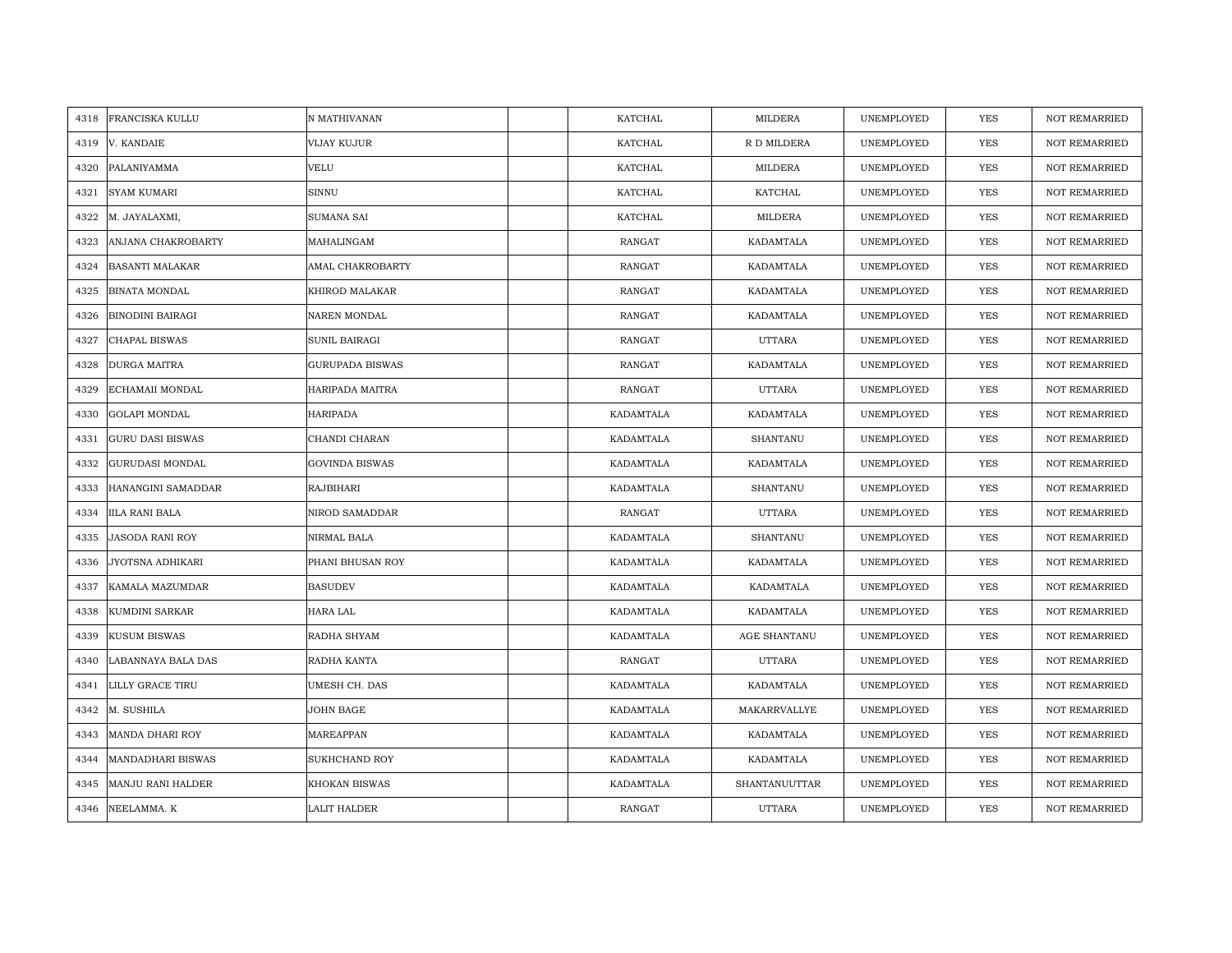| 4318 | <b>FRANCISKA KULLU</b>    | N MATHIVANAN           | KATCHAL        | MILDERA       | UNEMPLOYED | <b>YES</b> | <b>NOT REMARRIED</b> |
|------|---------------------------|------------------------|----------------|---------------|------------|------------|----------------------|
| 4319 | V. KANDAIE                | VIJAY KUJUR            | KATCHAL        | R D MILDERA   | UNEMPLOYED | <b>YES</b> | NOT REMARRIED        |
| 4320 | PALANIYAMMA               | <b>VELU</b>            | <b>KATCHAL</b> | MILDERA       | UNEMPLOYED | YES        | <b>NOT REMARRIED</b> |
| 4321 | <b>SYAM KUMARI</b>        | SINNU                  | KATCHAL        | KATCHAL       | UNEMPLOYED | <b>YES</b> | NOT REMARRIED        |
| 4322 | M. JAYALAXMI,             | <b>SUMANA SAI</b>      | KATCHAL        | MILDERA       | UNEMPLOYED | YES        | <b>NOT REMARRIED</b> |
| 4323 | <b>ANJANA CHAKROBARTY</b> | MAHALINGAM             | <b>RANGAT</b>  | KADAMTALA     | UNEMPLOYED | YES        | <b>NOT REMARRIED</b> |
| 4324 | <b>BASANTI MALAKAR</b>    | AMAL CHAKROBARTY       | <b>RANGAT</b>  | KADAMTALA     | UNEMPLOYED | YES        | <b>NOT REMARRIED</b> |
| 4325 | <b>BINATA MONDAL</b>      | KHIROD MALAKAR         | RANGAT         | KADAMTALA     | UNEMPLOYED | YES        | NOT REMARRIED        |
| 4326 | <b>BINODINI BAIRAGI</b>   | NAREN MONDAL           | RANGAT         | KADAMTALA     | UNEMPLOYED | YES        | NOT REMARRIED        |
| 4327 | CHAPAL BISWAS             | SUNIL BAIRAGI          | RANGAT         | <b>UTTARA</b> | UNEMPLOYED | YES        | <b>NOT REMARRIED</b> |
| 4328 | DURGA MAITRA              | <b>GURUPADA BISWAS</b> | RANGAT         | KADAMTALA     | UNEMPLOYED | YES        | <b>NOT REMARRIED</b> |
| 4329 | ECHAMAII MONDAL           | HARIPADA MAITRA        | RANGAT         | UTTARA        | UNEMPLOYED | YES        | NOT REMARRIED        |
| 4330 | <b>GOLAPI MONDAL</b>      | HARIPADA               | KADAMTALA      | KADAMTALA     | UNEMPLOYED | <b>YES</b> | NOT REMARRIED        |
| 4331 | <b>GURU DASI BISWAS</b>   | CHANDI CHARAN          | KADAMTALA      | SHANTANU      | UNEMPLOYED | <b>YES</b> | <b>NOT REMARRIED</b> |
| 4332 | <b>GURUDASI MONDAL</b>    | <b>GOVINDA BISWAS</b>  | KADAMTALA      | KADAMTALA     | UNEMPLOYED | YES        | NOT REMARRIED        |
| 4333 | HANANGINI SAMADDAR        | <b>RAJBIHARI</b>       | KADAMTALA      | SHANTANU      | UNEMPLOYED | YES        | <b>NOT REMARRIED</b> |
| 4334 | <b>IILA RANI BALA</b>     | NIROD SAMADDAR         | <b>RANGAT</b>  | <b>UTTARA</b> | UNEMPLOYED | YES        | <b>NOT REMARRIED</b> |
| 4335 | <b>JASODA RANI ROY</b>    | NIRMAL BALA            | KADAMTALA      | SHANTANU      | UNEMPLOYED | YES        | <b>NOT REMARRIED</b> |
| 4336 | JYOTSNA ADHIKARI          | PHANI BHUSAN ROY       | KADAMTALA      | KADAMTALA     | UNEMPLOYED | <b>YES</b> | <b>NOT REMARRIED</b> |
| 4337 | KAMALA MAZUMDAR           | <b>BASUDEV</b>         | KADAMTALA      | KADAMTALA     | UNEMPLOYED | <b>YES</b> | <b>NOT REMARRIED</b> |
| 4338 | KUMDINI SARKAR            | HARA LAL               | KADAMTALA      | KADAMTALA     | UNEMPLOYED | YES        | <b>NOT REMARRIED</b> |
| 4339 | KUSUM BISWAS              | RADHA SHYAM            | KADAMTALA      | AGE SHANTANU  | UNEMPLOYED | YES        | NOT REMARRIED        |
| 4340 | LABANNAYA BALA DAS        | RADHA KANTA            | RANGAT         | UTTARA        | UNEMPLOYED | YES        | <b>NOT REMARRIED</b> |
| 4341 | LILLY GRACE TIRU          | UMESH CH. DAS          | KADAMTALA      | KADAMTALA     | UNEMPLOYED | YES        | <b>NOT REMARRIED</b> |
| 4342 | M. SUSHILA                | JOHN BAGE              | KADAMTALA      | MAKARRVALLYE  | UNEMPLOYED | YES        | <b>NOT REMARRIED</b> |
| 4343 | MANDA DHARI ROY           | MAREAPPAN              | KADAMTALA      | KADAMTALA     | UNEMPLOYED | YES        | NOT REMARRIED        |
| 4344 | <b>MANDADHARI BISWAS</b>  | SUKHCHAND ROY          | KADAMTALA      | KADAMTALA     | UNEMPLOYED | YES        | <b>NOT REMARRIED</b> |
| 4345 | MANJU RANI HALDER         | KHOKAN BISWAS          | KADAMTALA      | SHANTANUUTTAR | UNEMPLOYED | YES        | <b>NOT REMARRIED</b> |
| 4346 | NEELAMMA. K               | <b>LALIT HALDER</b>    | RANGAT         | <b>UTTARA</b> | UNEMPLOYED | <b>YES</b> | <b>NOT REMARRIED</b> |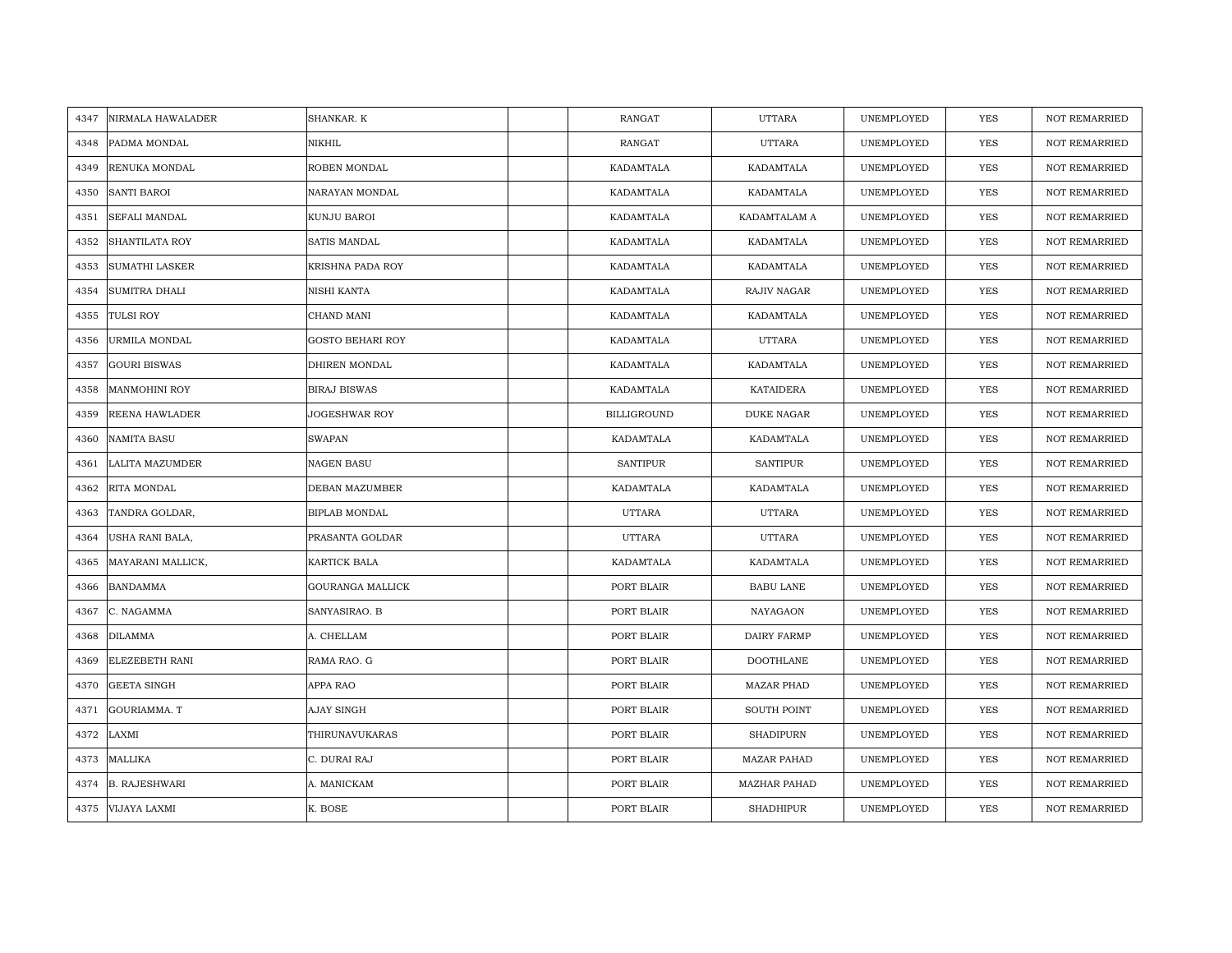| 4347 | NIRMALA HAWALADER     | SHANKAR. K              | <b>RANGAT</b>      | <b>UTTARA</b>       | UNEMPLOYED | <b>YES</b> | <b>NOT REMARRIED</b> |
|------|-----------------------|-------------------------|--------------------|---------------------|------------|------------|----------------------|
| 4348 | PADMA MONDAL          | NIKHIL                  | RANGAT             | <b>UTTARA</b>       | UNEMPLOYED | <b>YES</b> | NOT REMARRIED        |
| 4349 | RENUKA MONDAL         | ROBEN MONDAL            | KADAMTALA          | KADAMTALA           | UNEMPLOYED | <b>YES</b> | NOT REMARRIED        |
| 4350 | <b>SANTI BAROI</b>    | NARAYAN MONDAL          | KADAMTALA          | KADAMTALA           | UNEMPLOYED | <b>YES</b> | <b>NOT REMARRIED</b> |
| 4351 | SEFALI MANDAL         | <b>KUNJU BAROI</b>      | KADAMTALA          | KADAMTALAM A        | UNEMPLOYED | YES        | <b>NOT REMARRIED</b> |
| 4352 | <b>SHANTILATA ROY</b> | SATIS MANDAL            | KADAMTALA          | KADAMTALA           | UNEMPLOYED | YES        | <b>NOT REMARRIED</b> |
| 4353 | <b>SUMATHI LASKER</b> | KRISHNA PADA ROY        | KADAMTALA          | KADAMTALA           | UNEMPLOYED | <b>YES</b> | NOT REMARRIED        |
| 4354 | SUMITRA DHALI         | NISHI KANTA             | KADAMTALA          | RAJIV NAGAR         | UNEMPLOYED | YES        | NOT REMARRIED        |
| 4355 | <b>TULSI ROY</b>      | CHAND MANI              | KADAMTALA          | KADAMTALA           | UNEMPLOYED | YES        | NOT REMARRIED        |
| 4356 | URMILA MONDAL         | <b>GOSTO BEHARI ROY</b> | KADAMTALA          | <b>UTTARA</b>       | UNEMPLOYED | YES        | <b>NOT REMARRIED</b> |
| 4357 | <b>GOURI BISWAS</b>   | <b>DHIREN MONDAL</b>    | KADAMTALA          | KADAMTALA           | UNEMPLOYED | <b>YES</b> | <b>NOT REMARRIED</b> |
| 4358 | <b>MANMOHINI ROY</b>  | <b>BIRAJ BISWAS</b>     | KADAMTALA          | <b>KATAIDERA</b>    | UNEMPLOYED | <b>YES</b> | <b>NOT REMARRIED</b> |
| 4359 | <b>REENA HAWLADER</b> | <b>JOGESHWAR ROY</b>    | <b>BILLIGROUND</b> | <b>DUKE NAGAR</b>   | UNEMPLOYED | <b>YES</b> | <b>NOT REMARRIED</b> |
| 4360 | <b>NAMITA BASU</b>    | <b>SWAPAN</b>           | KADAMTALA          | KADAMTALA           | UNEMPLOYED | YES        | <b>NOT REMARRIED</b> |
| 4361 | LALITA MAZUMDER       | <b>NAGEN BASU</b>       | <b>SANTIPUR</b>    | SANTIPUR            | UNEMPLOYED | YES        | <b>NOT REMARRIED</b> |
| 4362 | RITA MONDAL           | DEBAN MAZUMBER          | KADAMTALA          | KADAMTALA           | UNEMPLOYED | <b>YES</b> | <b>NOT REMARRIED</b> |
| 4363 | TANDRA GOLDAR,        | <b>BIPLAB MONDAL</b>    | <b>UTTARA</b>      | <b>UTTARA</b>       | UNEMPLOYED | <b>YES</b> | <b>NOT REMARRIED</b> |
| 4364 | USHA RANI BALA,       | PRASANTA GOLDAR         | UTTARA             | <b>UTTARA</b>       | UNEMPLOYED | YES        | NOT REMARRIED        |
| 4365 | MAYARANI MALLICK,     | <b>KARTICK BALA</b>     | KADAMTALA          | KADAMTALA           | UNEMPLOYED | <b>YES</b> | <b>NOT REMARRIED</b> |
| 4366 | <b>BANDAMMA</b>       | <b>GOURANGA MALLICK</b> | PORT BLAIR         | <b>BABU LANE</b>    | UNEMPLOYED | YES        | <b>NOT REMARRIED</b> |
| 4367 | C. NAGAMMA            | SANYASIRAO. B           | PORT BLAIR         | NAYAGAON            | UNEMPLOYED | YES        | <b>NOT REMARRIED</b> |
| 4368 | <b>DILAMMA</b>        | A. CHELLAM              | PORT BLAIR         | DAIRY FARMP         | UNEMPLOYED | YES        | <b>NOT REMARRIED</b> |
| 4369 | ELEZEBETH RANI        | RAMA RAO. G             | PORT BLAIR         | <b>DOOTHLANE</b>    | UNEMPLOYED | YES        | <b>NOT REMARRIED</b> |
| 4370 | <b>GEETA SINGH</b>    | APPA RAO                | PORT BLAIR         | <b>MAZAR PHAD</b>   | UNEMPLOYED | YES        | <b>NOT REMARRIED</b> |
| 4371 | GOURIAMMA. T          | <b>AJAY SINGH</b>       | PORT BLAIR         | <b>SOUTH POINT</b>  | UNEMPLOYED | <b>YES</b> | <b>NOT REMARRIED</b> |
| 4372 | LAXMI                 | THIRUNAVUKARAS          | PORT BLAIR         | <b>SHADIPURN</b>    | UNEMPLOYED | <b>YES</b> | <b>NOT REMARRIED</b> |
| 4373 | <b>MALLIKA</b>        | C. DURAI RAJ            | PORT BLAIR         | <b>MAZAR PAHAD</b>  | UNEMPLOYED | YES        | <b>NOT REMARRIED</b> |
| 4374 | <b>B. RAJESHWARI</b>  | A. MANICKAM             | PORT BLAIR         | <b>MAZHAR PAHAD</b> | UNEMPLOYED | <b>YES</b> | <b>NOT REMARRIED</b> |
| 4375 | VIJAYA LAXMI          | K. BOSE                 | PORT BLAIR         | <b>SHADHIPUR</b>    | UNEMPLOYED | <b>YES</b> | <b>NOT REMARRIED</b> |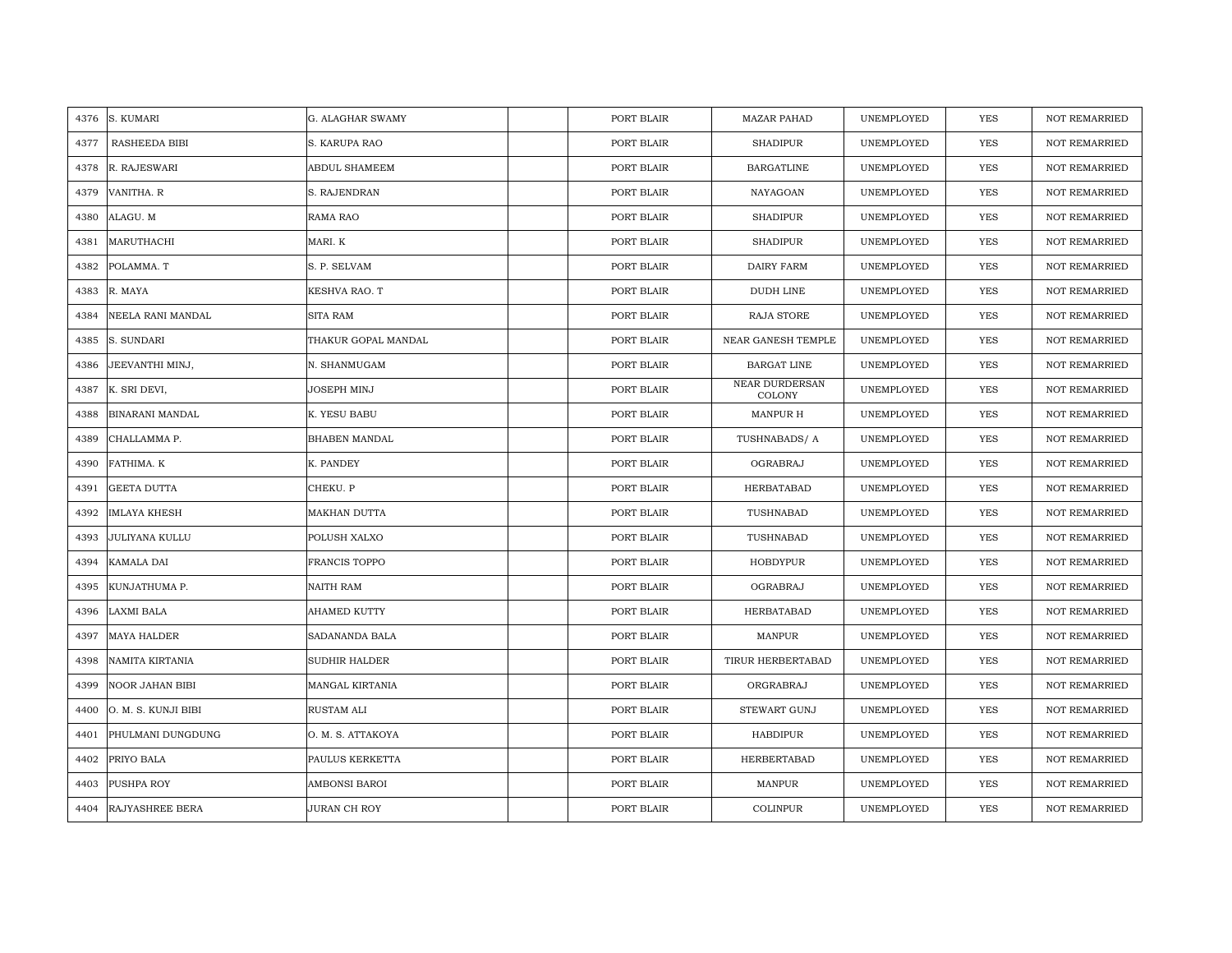| 4376 | S. KUMARI              | G. ALAGHAR SWAMY     | PORT BLAIR | <b>MAZAR PAHAD</b>              | UNEMPLOYED | <b>YES</b> | <b>NOT REMARRIED</b> |
|------|------------------------|----------------------|------------|---------------------------------|------------|------------|----------------------|
| 4377 | RASHEEDA BIBI          | S. KARUPA RAO        | PORT BLAIR | <b>SHADIPUR</b>                 | UNEMPLOYED | <b>YES</b> | <b>NOT REMARRIED</b> |
| 4378 | R. RAJESWARI           | <b>ABDUL SHAMEEM</b> | PORT BLAIR | <b>BARGATLINE</b>               | UNEMPLOYED | <b>YES</b> | <b>NOT REMARRIED</b> |
| 4379 | VANITHA. R             | S. RAJENDRAN         | PORT BLAIR | NAYAGOAN                        | UNEMPLOYED | YES        | <b>NOT REMARRIED</b> |
| 4380 | ALAGU. M               | RAMA RAO             | PORT BLAIR | <b>SHADIPUR</b>                 | UNEMPLOYED | YES        | <b>NOT REMARRIED</b> |
| 4381 | MARUTHACHI             | MARI. K              | PORT BLAIR | <b>SHADIPUR</b>                 | UNEMPLOYED | <b>YES</b> | NOT REMARRIED        |
| 4382 | POLAMMA. T             | S. P. SELVAM         | PORT BLAIR | <b>DAIRY FARM</b>               | UNEMPLOYED | YES        | NOT REMARRIED        |
| 4383 | R. MAYA                | KESHVA RAO. T        | PORT BLAIR | DUDH LINE                       | UNEMPLOYED | <b>YES</b> | NOT REMARRIED        |
| 4384 | NEELA RANI MANDAL      | <b>SITA RAM</b>      | PORT BLAIR | RAJA STORE                      | UNEMPLOYED | YES        | NOT REMARRIED        |
| 4385 | S. SUNDARI             | THAKUR GOPAL MANDAL  | PORT BLAIR | NEAR GANESH TEMPLE              | UNEMPLOYED | YES        | <b>NOT REMARRIED</b> |
| 4386 | JEEVANTHI MINJ,        | N. SHANMUGAM         | PORT BLAIR | <b>BARGAT LINE</b>              | UNEMPLOYED | YES        | <b>NOT REMARRIED</b> |
| 4387 | K. SRI DEVI,           | JOSEPH MINJ          | PORT BLAIR | NEAR DURDERSAN<br><b>COLONY</b> | UNEMPLOYED | <b>YES</b> | NOT REMARRIED        |
| 4388 | <b>BINARANI MANDAL</b> | K. YESU BABU         | PORT BLAIR | MANPUR H                        | UNEMPLOYED | YES        | <b>NOT REMARRIED</b> |
| 4389 | CHALLAMMA P.           | <b>BHABEN MANDAL</b> | PORT BLAIR | TUSHNABADS/A                    | UNEMPLOYED | YES        | <b>NOT REMARRIED</b> |
| 4390 | FATHIMA. K             | K. PANDEY            | PORT BLAIR | OGRABRAJ                        | UNEMPLOYED | YES        | <b>NOT REMARRIED</b> |
| 4391 | <b>GEETA DUTTA</b>     | CHEKU. P             | PORT BLAIR | HERBATABAD                      | UNEMPLOYED | <b>YES</b> | <b>NOT REMARRIED</b> |
| 4392 | <b>IMLAYA KHESH</b>    | <b>MAKHAN DUTTA</b>  | PORT BLAIR | TUSHNABAD                       | UNEMPLOYED | YES        | <b>NOT REMARRIED</b> |
| 4393 | <b>JULIYANA KULLU</b>  | POLUSH XALXO         | PORT BLAIR | TUSHNABAD                       | UNEMPLOYED | YES        | <b>NOT REMARRIED</b> |
| 4394 | <b>KAMALA DAI</b>      | <b>FRANCIS TOPPO</b> | PORT BLAIR | <b>HOBDYPUR</b>                 | UNEMPLOYED | <b>YES</b> | <b>NOT REMARRIED</b> |
| 4395 | KUNJATHUMA P.          | NAITH RAM            | PORT BLAIR | OGRABRAJ                        | UNEMPLOYED | YES        | <b>NOT REMARRIED</b> |
| 4396 | LAXMI BALA             | <b>AHAMED KUTTY</b>  | PORT BLAIR | HERBATABAD                      | UNEMPLOYED | YES        | NOT REMARRIED        |
| 4397 | <b>MAYA HALDER</b>     | SADANANDA BALA       | PORT BLAIR | <b>MANPUR</b>                   | UNEMPLOYED | YES        | NOT REMARRIED        |
| 4398 | NAMITA KIRTANIA        | <b>SUDHIR HALDER</b> | PORT BLAIR | TIRUR HERBERTABAD               | UNEMPLOYED | <b>YES</b> | <b>NOT REMARRIED</b> |
| 4399 | <b>NOOR JAHAN BIBI</b> | MANGAL KIRTANIA      | PORT BLAIR | ORGRABRAJ                       | UNEMPLOYED | YES        | <b>NOT REMARRIED</b> |
| 4400 | O. M. S. KUNJI BIBI    | RUSTAM ALI           | PORT BLAIR | STEWART GUNJ                    | UNEMPLOYED | YES        | <b>NOT REMARRIED</b> |
| 4401 | PHULMANI DUNGDUNG      | O. M. S. ATTAKOYA    | PORT BLAIR | HABDIPUR                        | UNEMPLOYED | YES        | NOT REMARRIED        |
| 4402 | PRIYO BALA             | PAULUS KERKETTA      | PORT BLAIR | HERBERTABAD                     | UNEMPLOYED | YES        | <b>NOT REMARRIED</b> |
| 4403 | PUSHPA ROY             | AMBONSI BAROI        | PORT BLAIR | <b>MANPUR</b>                   | UNEMPLOYED | YES        | <b>NOT REMARRIED</b> |
| 4404 | <b>RAJYASHREE BERA</b> | JURAN CH ROY         | PORT BLAIR | COLINPUR                        | UNEMPLOYED | <b>YES</b> | <b>NOT REMARRIED</b> |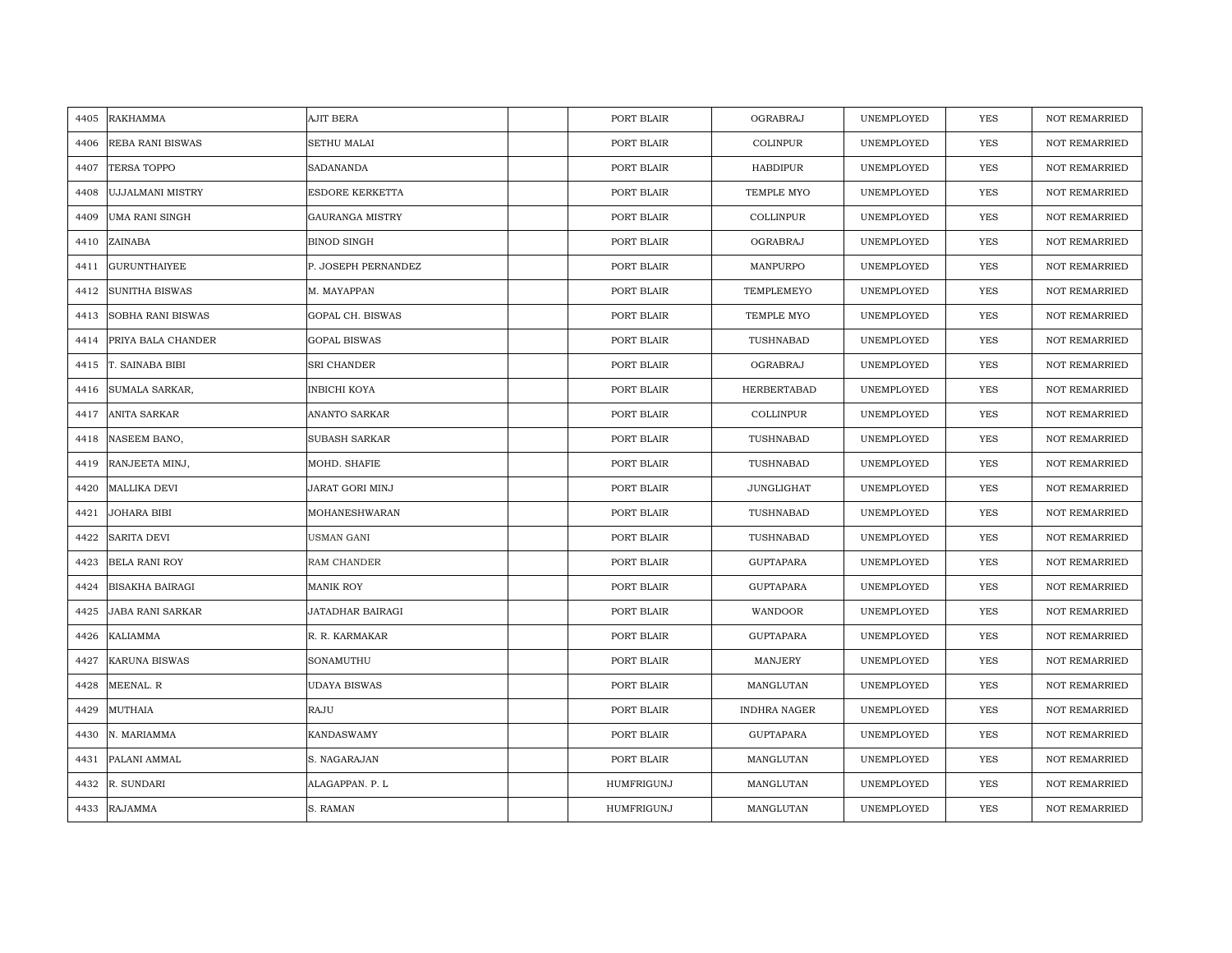| 4405 | <b>RAKHAMMA</b>         | AJIT BERA              | PORT BLAIR | OGRABRAJ            | UNEMPLOYED | <b>YES</b> | <b>NOT REMARRIED</b> |
|------|-------------------------|------------------------|------------|---------------------|------------|------------|----------------------|
| 4406 | <b>REBA RANI BISWAS</b> | <b>SETHU MALAI</b>     | PORT BLAIR | COLINPUR            | UNEMPLOYED | <b>YES</b> | <b>NOT REMARRIED</b> |
| 4407 | <b>TERSA TOPPO</b>      | <b>SADANANDA</b>       | PORT BLAIR | <b>HABDIPUR</b>     | UNEMPLOYED | YES        | <b>NOT REMARRIED</b> |
| 4408 | <b>UJJALMANI MISTRY</b> | ESDORE KERKETTA        | PORT BLAIR | TEMPLE MYO          | UNEMPLOYED | YES        | <b>NOT REMARRIED</b> |
| 4409 | <b>UMA RANI SINGH</b>   | <b>GAURANGA MISTRY</b> | PORT BLAIR | COLLINPUR           | UNEMPLOYED | YES        | <b>NOT REMARRIED</b> |
| 4410 | ZAINABA                 | <b>BINOD SINGH</b>     | PORT BLAIR | OGRABRAJ            | UNEMPLOYED | <b>YES</b> | <b>NOT REMARRIED</b> |
| 4411 | <b>GURUNTHAIYEE</b>     | P. JOSEPH PERNANDEZ    | PORT BLAIR | MANPURPO            | UNEMPLOYED | YES        | <b>NOT REMARRIED</b> |
| 4412 | <b>SUNITHA BISWAS</b>   | M. MAYAPPAN            | PORT BLAIR | TEMPLEMEYO          | UNEMPLOYED | YES        | NOT REMARRIED        |
| 4413 | SOBHA RANI BISWAS       | GOPAL CH. BISWAS       | PORT BLAIR | TEMPLE MYO          | UNEMPLOYED | YES        | <b>NOT REMARRIED</b> |
| 4414 | PRIYA BALA CHANDER      | <b>GOPAL BISWAS</b>    | PORT BLAIR | TUSHNABAD           | UNEMPLOYED | YES        | <b>NOT REMARRIED</b> |
| 4415 | T. SAINABA BIBI         | SRI CHANDER            | PORT BLAIR | OGRABRAJ            | UNEMPLOYED | YES        | <b>NOT REMARRIED</b> |
| 4416 | SUMALA SARKAR,          | INBICHI KOYA           | PORT BLAIR | HERBERTABAD         | UNEMPLOYED | YES        | <b>NOT REMARRIED</b> |
| 4417 | <b>ANITA SARKAR</b>     | ANANTO SARKAR          | PORT BLAIR | COLLINPUR           | UNEMPLOYED | YES        | <b>NOT REMARRIED</b> |
| 4418 | NASEEM BANO,            | SUBASH SARKAR          | PORT BLAIR | TUSHNABAD           | UNEMPLOYED | YES        | NOT REMARRIED        |
| 4419 | RANJEETA MINJ,          | MOHD. SHAFIE           | PORT BLAIR | TUSHNABAD           | UNEMPLOYED | YES        | NOT REMARRIED        |
| 4420 | <b>MALLIKA DEVI</b>     | <b>JARAT GORI MINJ</b> | PORT BLAIR | <b>JUNGLIGHAT</b>   | UNEMPLOYED | YES        | <b>NOT REMARRIED</b> |
| 4421 | JOHARA BIBI             | MOHANESHWARAN          | PORT BLAIR | TUSHNABAD           | UNEMPLOYED | YES        | <b>NOT REMARRIED</b> |
| 4422 | SARITA DEVI             | USMAN GANI             | PORT BLAIR | TUSHNABAD           | UNEMPLOYED | YES        | <b>NOT REMARRIED</b> |
| 4423 | <b>BELA RANI ROY</b>    | RAM CHANDER            | PORT BLAIR | <b>GUPTAPARA</b>    | UNEMPLOYED | YES        | NOT REMARRIED        |
| 4424 | <b>BISAKHA BAIRAGI</b>  | MANIK ROY              | PORT BLAIR | GUPTAPARA           | UNEMPLOYED | YES        | NOT REMARRIED        |
| 4425 | <b>JABA RANI SARKAR</b> | JATADHAR BAIRAGI       | PORT BLAIR | WANDOOR             | UNEMPLOYED | YES        | NOT REMARRIED        |
| 4426 | KALIAMMA                | R. R. KARMAKAR         | PORT BLAIR | <b>GUPTAPARA</b>    | UNEMPLOYED | YES        | NOT REMARRIED        |
| 4427 | <b>KARUNA BISWAS</b>    | SONAMUTHU              | PORT BLAIR | MANJERY             | UNEMPLOYED | YES        | <b>NOT REMARRIED</b> |
| 4428 | MEENAL. R               | <b>UDAYA BISWAS</b>    | PORT BLAIR | MANGLUTAN           | UNEMPLOYED | YES        | <b>NOT REMARRIED</b> |
| 4429 | MUTHAIA                 | RAJU                   | PORT BLAIR | <b>INDHRA NAGER</b> | UNEMPLOYED | YES        | NOT REMARRIED        |
| 4430 | N. MARIAMMA             | <b>KANDASWAMY</b>      | PORT BLAIR | <b>GUPTAPARA</b>    | UNEMPLOYED | <b>YES</b> | <b>NOT REMARRIED</b> |
| 4431 | PALANI AMMAL            | S. NAGARAJAN           | PORT BLAIR | MANGLUTAN           | UNEMPLOYED | YES        | NOT REMARRIED        |
| 4432 | R. SUNDARI              | ALAGAPPAN. P. L        | HUMFRIGUNJ | MANGLUTAN           | UNEMPLOYED | YES        | NOT REMARRIED        |
| 4433 | <b>RAJAMMA</b>          | S. RAMAN               | HUMFRIGUNJ | MANGLUTAN           | UNEMPLOYED | YES        | <b>NOT REMARRIED</b> |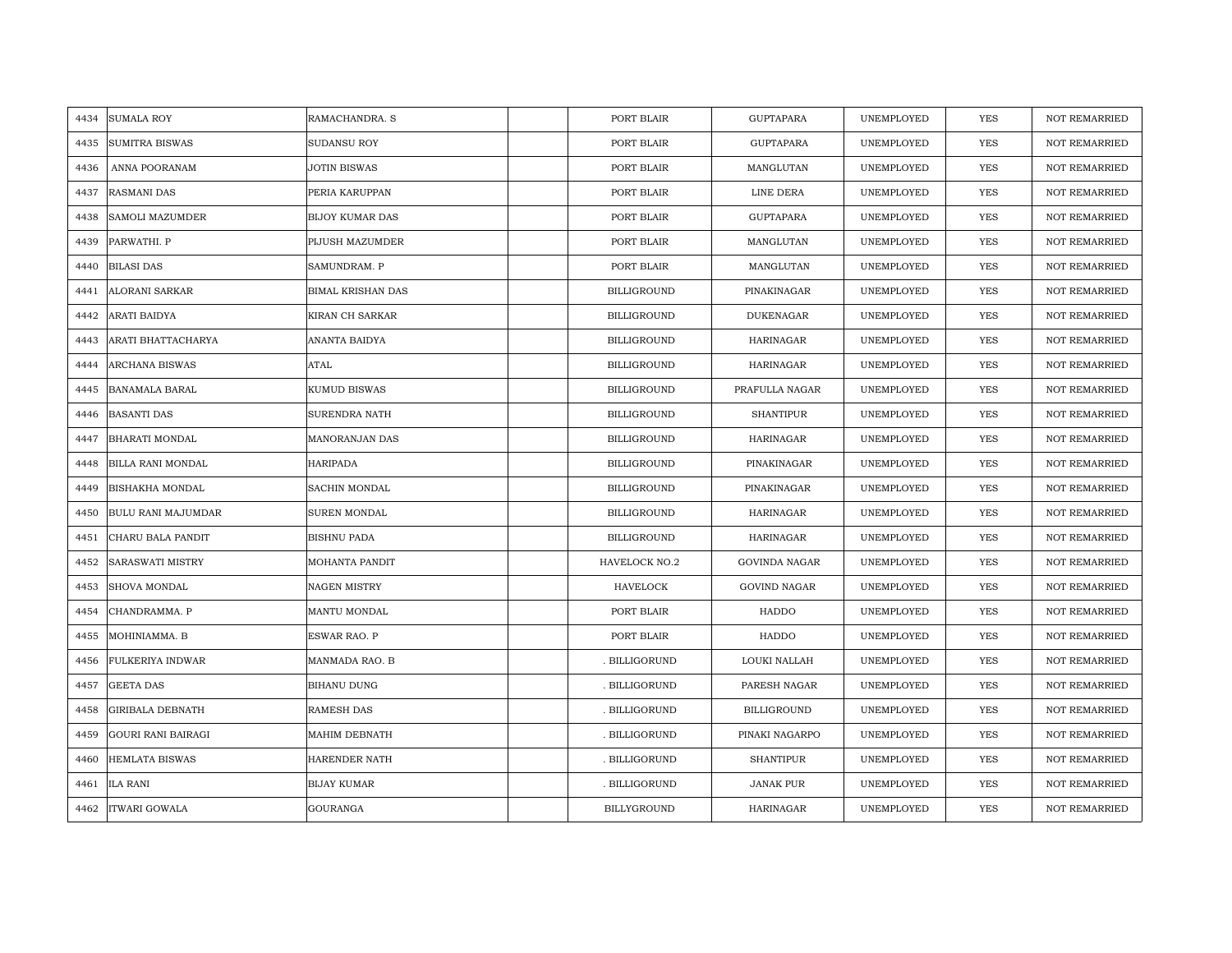| <b>SUMALA ROY</b><br>RAMACHANDRA. S<br>PORT BLAIR<br><b>GUPTAPARA</b><br>4434               | UNEMPLOYED | <b>YES</b> | <b>NOT REMARRIED</b> |
|---------------------------------------------------------------------------------------------|------------|------------|----------------------|
|                                                                                             |            |            |                      |
| <b>SUMITRA BISWAS</b><br>SUDANSU ROY<br>PORT BLAIR<br><b>GUPTAPARA</b><br>4435              | UNEMPLOYED | <b>YES</b> | <b>NOT REMARRIED</b> |
| ANNA POORANAM<br><b>JOTIN BISWAS</b><br>PORT BLAIR<br>MANGLUTAN<br>4436                     | UNEMPLOYED | YES        | <b>NOT REMARRIED</b> |
| <b>RASMANI DAS</b><br>PERIA KARUPPAN<br>PORT BLAIR<br>LINE DERA<br>4437                     | UNEMPLOYED | YES        | <b>NOT REMARRIED</b> |
| 4438<br><b>SAMOLI MAZUMDER</b><br><b>BIJOY KUMAR DAS</b><br>PORT BLAIR<br><b>GUPTAPARA</b>  | UNEMPLOYED | YES        | <b>NOT REMARRIED</b> |
| PARWATHI. P<br>PIJUSH MAZUMDER<br>PORT BLAIR<br>MANGLUTAN<br>4439                           | UNEMPLOYED | <b>YES</b> | <b>NOT REMARRIED</b> |
| <b>BILASI DAS</b><br>SAMUNDRAM. P<br>PORT BLAIR<br>MANGLUTAN<br>4440                        | UNEMPLOYED | YES        | NOT REMARRIED        |
| <b>BILLIGROUND</b><br>ALORANI SARKAR<br><b>BIMAL KRISHAN DAS</b><br>PINAKINAGAR<br>4441     | UNEMPLOYED | YES        | NOT REMARRIED        |
| ARATI BAIDYA<br>KIRAN CH SARKAR<br>BILLIGROUND<br><b>DUKENAGAR</b><br>4442                  | UNEMPLOYED | YES        | <b>NOT REMARRIED</b> |
| ARATI BHATTACHARYA<br>ANANTA BAIDYA<br><b>BILLIGROUND</b><br><b>HARINAGAR</b><br>4443       | UNEMPLOYED | YES        | <b>NOT REMARRIED</b> |
| ATAL<br>ARCHANA BISWAS<br>BILLIGROUND<br>HARINAGAR<br>4444                                  | UNEMPLOYED | YES        | <b>NOT REMARRIED</b> |
| KUMUD BISWAS<br><b>BANAMALA BARAL</b><br><b>BILLIGROUND</b><br>PRAFULLA NAGAR<br>4445       | UNEMPLOYED | <b>YES</b> | <b>NOT REMARRIED</b> |
| <b>BASANTI DAS</b><br>SURENDRA NATH<br>BILLIGROUND<br><b>SHANTIPUR</b><br>4446              | UNEMPLOYED | <b>YES</b> | <b>NOT REMARRIED</b> |
| <b>BHARATI MONDAL</b><br>MANORANJAN DAS<br><b>BILLIGROUND</b><br>HARINAGAR<br>4447          | UNEMPLOYED | YES        | <b>NOT REMARRIED</b> |
| <b>HARIPADA</b><br><b>BILLIGROUND</b><br>PINAKINAGAR<br>BILLA RANI MONDAL<br>4448           | UNEMPLOYED | <b>YES</b> | NOT REMARRIED        |
| <b>BISHAKHA MONDAL</b><br>SACHIN MONDAL<br><b>BILLIGROUND</b><br>PINAKINAGAR<br>4449        | UNEMPLOYED | <b>YES</b> | <b>NOT REMARRIED</b> |
| <b>BULU RANI MAJUMDAR</b><br>SUREN MONDAL<br><b>BILLIGROUND</b><br><b>HARINAGAR</b><br>4450 | UNEMPLOYED | YES        | <b>NOT REMARRIED</b> |
| 4451<br>CHARU BALA PANDIT<br><b>BISHNU PADA</b><br>BILLIGROUND<br>HARINAGAR                 | UNEMPLOYED | YES        | <b>NOT REMARRIED</b> |
| <b>SARASWATI MISTRY</b><br><b>MOHANTA PANDIT</b><br>HAVELOCK NO.2<br>GOVINDA NAGAR<br>4452  | UNEMPLOYED | YES        | <b>NOT REMARRIED</b> |
| 4453<br><b>SHOVA MONDAL</b><br><b>NAGEN MISTRY</b><br>HAVELOCK<br><b>GOVIND NAGAR</b>       | UNEMPLOYED | YES        | NOT REMARRIED        |
| HADDO<br>CHANDRAMMA. P<br>MANTU MONDAL<br>PORT BLAIR<br>4454                                | UNEMPLOYED | YES        | NOT REMARRIED        |
| MOHINIAMMA. B<br>ESWAR RAO. P<br>PORT BLAIR<br>HADDO<br>4455                                | UNEMPLOYED | YES        | <b>NOT REMARRIED</b> |
| 4456<br>FULKERIYA INDWAR<br>MANMADA RAO. B<br>. BILLIGORUND<br>LOUKI NALLAH                 | UNEMPLOYED | YES        | <b>NOT REMARRIED</b> |
| <b>GEETA DAS</b><br><b>BIHANU DUNG</b><br>. BILLIGORUND<br>PARESH NAGAR<br>4457             | UNEMPLOYED | YES        | <b>NOT REMARRIED</b> |
| <b>GIRIBALA DEBNATH</b><br>RAMESH DAS<br>. BILLIGORUND<br>BILLIGROUND<br>4458               | UNEMPLOYED | YES        | NOT REMARRIED        |
| MAHIM DEBNATH<br><b>GOURI RANI BAIRAGI</b><br>. BILLIGORUND<br>PINAKI NAGARPO<br>4459       | UNEMPLOYED | <b>YES</b> | <b>NOT REMARRIED</b> |
| <b>HEMLATA BISWAS</b><br>HARENDER NATH<br>. BILLIGORUND<br><b>SHANTIPUR</b><br>4460         | UNEMPLOYED | YES        | NOT REMARRIED        |
| <b>ILA RANI</b><br><b>BIJAY KUMAR</b><br>. BILLIGORUND<br>JANAK PUR<br>4461                 | UNEMPLOYED | YES        | <b>NOT REMARRIED</b> |
| <b>ITWARI GOWALA</b><br><b>GOURANGA</b><br>BILLYGROUND<br><b>HARINAGAR</b><br>4462          | UNEMPLOYED | <b>YES</b> | <b>NOT REMARRIED</b> |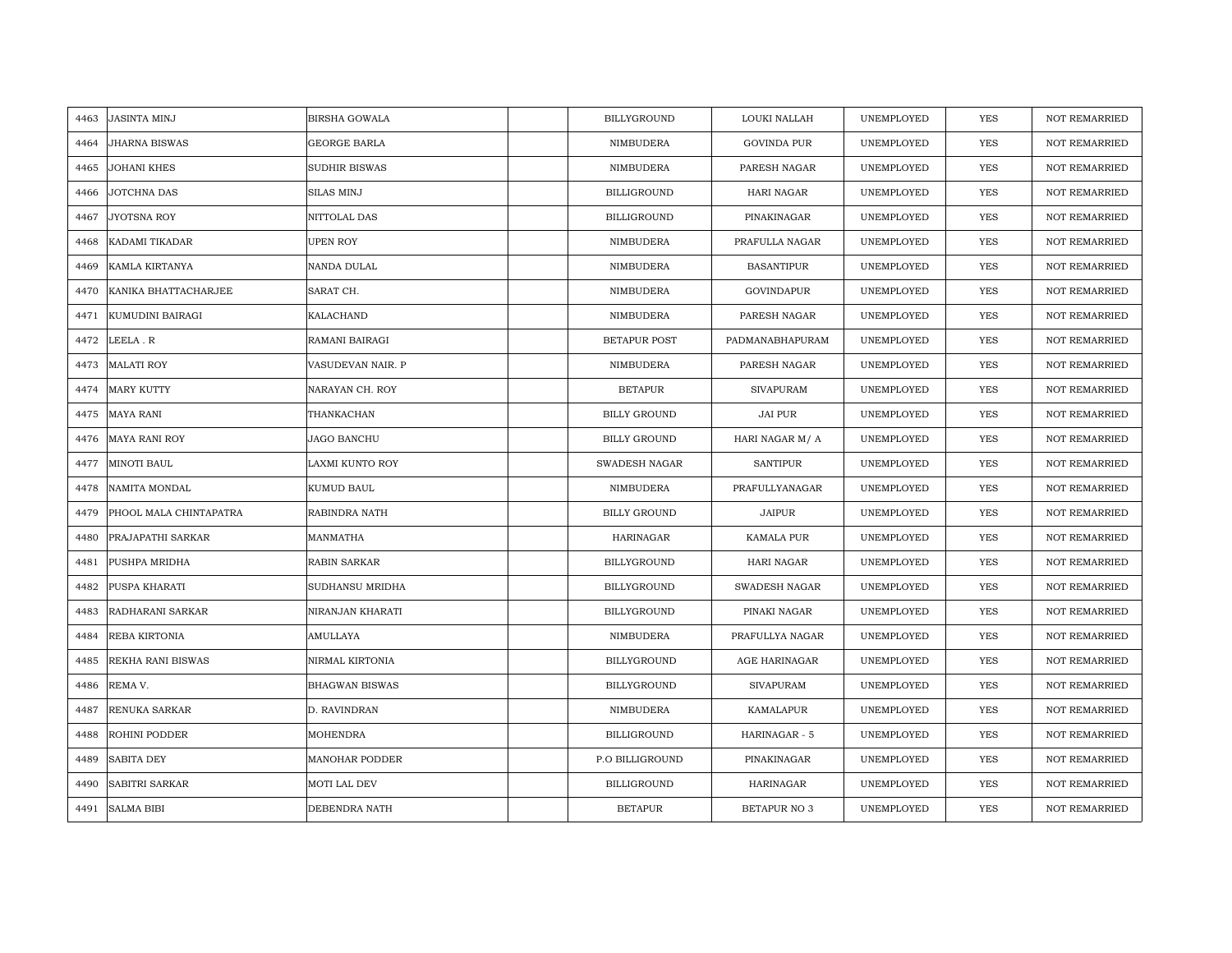| 4463 | <b>JASINTA MINJ</b>    | <b>BIRSHA GOWALA</b>  | <b>BILLYGROUND</b>  | LOUKI NALLAH         | UNEMPLOYED | <b>YES</b> | <b>NOT REMARRIED</b> |
|------|------------------------|-----------------------|---------------------|----------------------|------------|------------|----------------------|
| 4464 | <b>JHARNA BISWAS</b>   | <b>GEORGE BARLA</b>   | NIMBUDERA           | <b>GOVINDA PUR</b>   | UNEMPLOYED | <b>YES</b> | <b>NOT REMARRIED</b> |
| 4465 | <b>JOHANI KHES</b>     | <b>SUDHIR BISWAS</b>  | NIMBUDERA           | PARESH NAGAR         | UNEMPLOYED | YES        | <b>NOT REMARRIED</b> |
| 4466 | JOTCHNA DAS            | <b>SILAS MINJ</b>     | <b>BILLIGROUND</b>  | <b>HARI NAGAR</b>    | UNEMPLOYED | YES        | <b>NOT REMARRIED</b> |
| 4467 | JYOTSNA ROY            | NITTOLAL DAS          | <b>BILLIGROUND</b>  | PINAKINAGAR          | UNEMPLOYED | YES        | <b>NOT REMARRIED</b> |
| 4468 | KADAMI TIKADAR         | <b>UPEN ROY</b>       | NIMBUDERA           | PRAFULLA NAGAR       | UNEMPLOYED | <b>YES</b> | <b>NOT REMARRIED</b> |
| 4469 | KAMLA KIRTANYA         | NANDA DULAL           | NIMBUDERA           | <b>BASANTIPUR</b>    | UNEMPLOYED | YES        | <b>NOT REMARRIED</b> |
| 4470 | KANIKA BHATTACHARJEE   | SARAT CH.             | NIMBUDERA           | <b>GOVINDAPUR</b>    | UNEMPLOYED | YES        | NOT REMARRIED        |
| 4471 | KUMUDINI BAIRAGI       | KALACHAND             | NIMBUDERA           | PARESH NAGAR         | UNEMPLOYED | YES        | <b>NOT REMARRIED</b> |
| 4472 | LEELA.R                | RAMANI BAIRAGI        | <b>BETAPUR POST</b> | PADMANABHAPURAM      | UNEMPLOYED | YES        | <b>NOT REMARRIED</b> |
| 4473 | <b>MALATI ROY</b>      | VASUDEVAN NAIR. P     | NIMBUDERA           | PARESH NAGAR         | UNEMPLOYED | YES        | <b>NOT REMARRIED</b> |
| 4474 | <b>MARY KUTTY</b>      | NARAYAN CH. ROY       | <b>BETAPUR</b>      | <b>SIVAPURAM</b>     | UNEMPLOYED | YES        | <b>NOT REMARRIED</b> |
| 4475 | <b>MAYA RANI</b>       | THANKACHAN            | <b>BILLY GROUND</b> | JAI PUR              | UNEMPLOYED | YES        | <b>NOT REMARRIED</b> |
| 4476 | <b>MAYA RANI ROY</b>   | <b>JAGO BANCHU</b>    | <b>BILLY GROUND</b> | HARI NAGAR M/ A      | UNEMPLOYED | YES        | NOT REMARRIED        |
| 4477 | MINOTI BAUL            | LAXMI KUNTO ROY       | SWADESH NAGAR       | <b>SANTIPUR</b>      | UNEMPLOYED | YES        | NOT REMARRIED        |
| 4478 | <b>NAMITA MONDAL</b>   | KUMUD BAUL            | NIMBUDERA           | PRAFULLYANAGAR       | UNEMPLOYED | YES        | <b>NOT REMARRIED</b> |
| 4479 | PHOOL MALA CHINTAPATRA | RABINDRA NATH         | <b>BILLY GROUND</b> | <b>JAIPUR</b>        | UNEMPLOYED | YES        | <b>NOT REMARRIED</b> |
| 4480 | PRAJAPATHI SARKAR      | MANMATHA              | <b>HARINAGAR</b>    | KAMALA PUR           | UNEMPLOYED | <b>YES</b> | <b>NOT REMARRIED</b> |
| 4481 | PUSHPA MRIDHA          | <b>RABIN SARKAR</b>   | BILLYGROUND         | HARI NAGAR           | UNEMPLOYED | YES        | <b>NOT REMARRIED</b> |
| 4482 | PUSPA KHARATI          | SUDHANSU MRIDHA       | BILLYGROUND         | <b>SWADESH NAGAR</b> | UNEMPLOYED | YES        | NOT REMARRIED        |
| 4483 | RADHARANI SARKAR       | NIRANJAN KHARATI      | BILLYGROUND         | PINAKI NAGAR         | UNEMPLOYED | YES        | NOT REMARRIED        |
| 4484 | REBA KIRTONIA          | AMULLAYA              | NIMBUDERA           | PRAFULLYA NAGAR      | UNEMPLOYED | YES        | NOT REMARRIED        |
| 4485 | REKHA RANI BISWAS      | NIRMAL KIRTONIA       | <b>BILLYGROUND</b>  | AGE HARINAGAR        | UNEMPLOYED | YES        | <b>NOT REMARRIED</b> |
| 4486 | REMA V.                | <b>BHAGWAN BISWAS</b> | <b>BILLYGROUND</b>  | <b>SIVAPURAM</b>     | UNEMPLOYED | YES        | <b>NOT REMARRIED</b> |
| 4487 | RENUKA SARKAR          | D. RAVINDRAN          | NIMBUDERA           | KAMALAPUR            | UNEMPLOYED | YES        | NOT REMARRIED        |
| 4488 | ROHINI PODDER          | MOHENDRA              | <b>BILLIGROUND</b>  | HARINAGAR - 5        | UNEMPLOYED | <b>YES</b> | <b>NOT REMARRIED</b> |
| 4489 | <b>SABITA DEY</b>      | MANOHAR PODDER        | P.O BILLIGROUND     | PINAKINAGAR          | UNEMPLOYED | YES        | NOT REMARRIED        |
| 4490 | SABITRI SARKAR         | MOTI LAL DEV          | <b>BILLIGROUND</b>  | HARINAGAR            | UNEMPLOYED | YES        | <b>NOT REMARRIED</b> |
| 4491 | <b>SALMA BIBI</b>      | DEBENDRA NATH         | <b>BETAPUR</b>      | <b>BETAPUR NO 3</b>  | UNEMPLOYED | <b>YES</b> | <b>NOT REMARRIED</b> |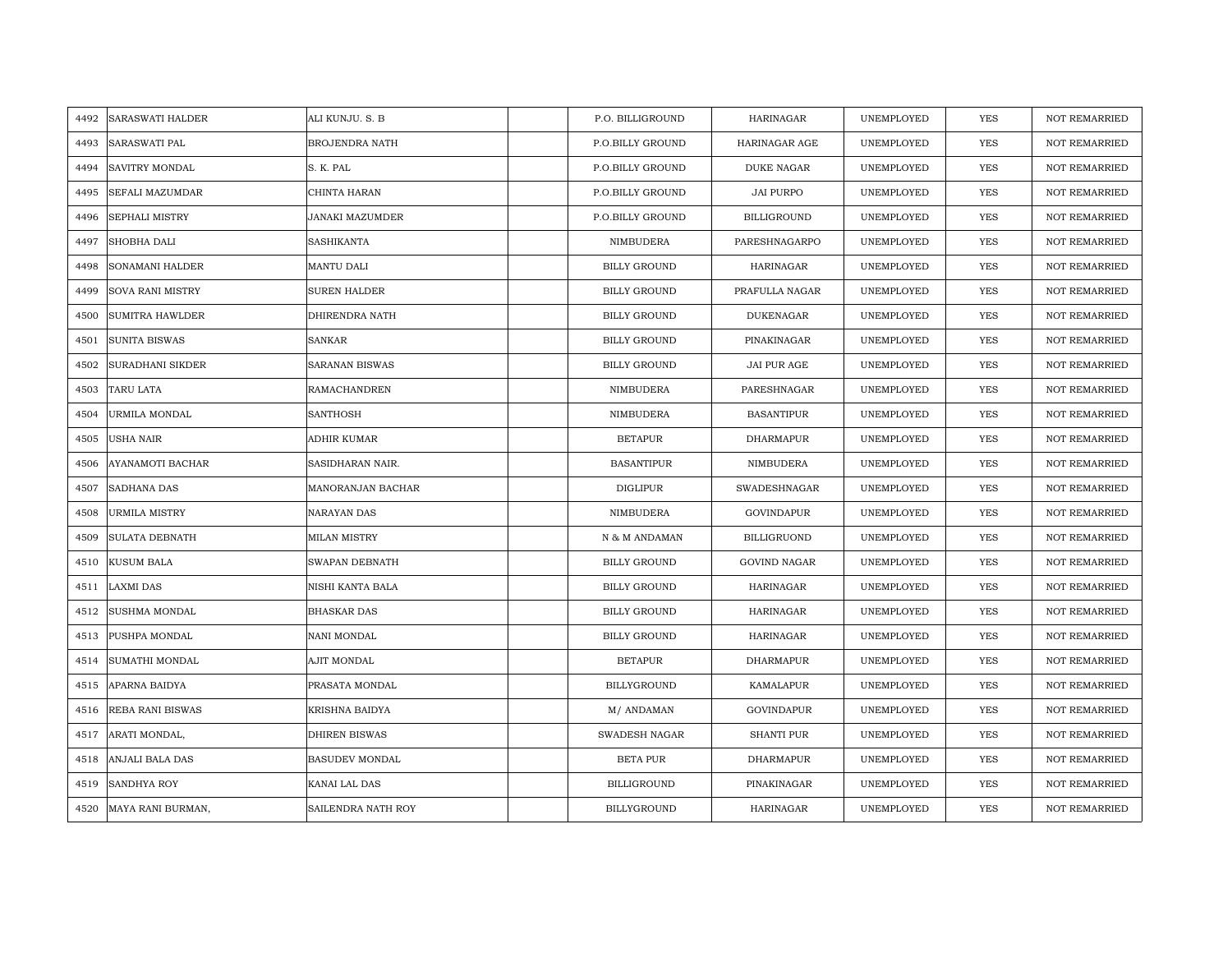| 4492 | <b>SARASWATI HALDER</b> | ALI KUNJU. S. B       | P.O. BILLIGROUND    | <b>HARINAGAR</b>    | UNEMPLOYED | YES        | <b>NOT REMARRIED</b> |
|------|-------------------------|-----------------------|---------------------|---------------------|------------|------------|----------------------|
| 4493 | <b>SARASWATI PAL</b>    | <b>BROJENDRA NATH</b> | P.O.BILLY GROUND    | HARINAGAR AGE       | UNEMPLOYED | <b>YES</b> | <b>NOT REMARRIED</b> |
| 4494 | <b>SAVITRY MONDAL</b>   | S. K. PAL             | P.O.BILLY GROUND    | <b>DUKE NAGAR</b>   | UNEMPLOYED | <b>YES</b> | <b>NOT REMARRIED</b> |
| 4495 | SEFALI MAZUMDAR         | CHINTA HARAN          | P.O.BILLY GROUND    | <b>JAI PURPO</b>    | UNEMPLOYED | YES        | <b>NOT REMARRIED</b> |
| 4496 | SEPHALI MISTRY          | JANAKI MAZUMDER       | P.O.BILLY GROUND    | <b>BILLIGROUND</b>  | UNEMPLOYED | YES        | NOT REMARRIED        |
| 4497 | SHOBHA DALI             | SASHIKANTA            | NIMBUDERA           | PARESHNAGARPO       | UNEMPLOYED | YES        | NOT REMARRIED        |
| 4498 | <b>SONAMANI HALDER</b>  | MANTU DALI            | <b>BILLY GROUND</b> | HARINAGAR           | UNEMPLOYED | <b>YES</b> | <b>NOT REMARRIED</b> |
| 4499 | <b>SOVA RANI MISTRY</b> | <b>SUREN HALDER</b>   | <b>BILLY GROUND</b> | PRAFULLA NAGAR      | UNEMPLOYED | <b>YES</b> | NOT REMARRIED        |
| 4500 | <b>SUMITRA HAWLDER</b>  | DHIRENDRA NATH        | <b>BILLY GROUND</b> | <b>DUKENAGAR</b>    | UNEMPLOYED | <b>YES</b> | NOT REMARRIED        |
| 4501 | <b>SUNITA BISWAS</b>    | <b>SANKAR</b>         | <b>BILLY GROUND</b> | PINAKINAGAR         | UNEMPLOYED | <b>YES</b> | <b>NOT REMARRIED</b> |
| 4502 | SURADHANI SIKDER        | SARANAN BISWAS        | <b>BILLY GROUND</b> | JAI PUR AGE         | UNEMPLOYED | YES        | <b>NOT REMARRIED</b> |
| 4503 | TARU LATA               | RAMACHANDREN          | NIMBUDERA           | PARESHNAGAR         | UNEMPLOYED | YES        | NOT REMARRIED        |
| 4504 | URMILA MONDAL           | <b>SANTHOSH</b>       | NIMBUDERA           | <b>BASANTIPUR</b>   | UNEMPLOYED | <b>YES</b> | <b>NOT REMARRIED</b> |
| 4505 | <b>USHA NAIR</b>        | ADHIR KUMAR           | <b>BETAPUR</b>      | <b>DHARMAPUR</b>    | UNEMPLOYED | <b>YES</b> | <b>NOT REMARRIED</b> |
| 4506 | <b>AYANAMOTI BACHAR</b> | SASIDHARAN NAIR.      | <b>BASANTIPUR</b>   | NIMBUDERA           | UNEMPLOYED | <b>YES</b> | <b>NOT REMARRIED</b> |
| 4507 | SADHANA DAS             | MANORANJAN BACHAR     | <b>DIGLIPUR</b>     | SWADESHNAGAR        | UNEMPLOYED | <b>YES</b> | <b>NOT REMARRIED</b> |
| 4508 | <b>URMILA MISTRY</b>    | NARAYAN DAS           | NIMBUDERA           | GOVINDAPUR          | UNEMPLOYED | <b>YES</b> | <b>NOT REMARRIED</b> |
| 4509 | <b>SULATA DEBNATH</b>   | <b>MILAN MISTRY</b>   | N & M ANDAMAN       | <b>BILLIGRUOND</b>  | UNEMPLOYED | <b>YES</b> | <b>NOT REMARRIED</b> |
| 4510 | <b>KUSUM BALA</b>       | SWAPAN DEBNATH        | <b>BILLY GROUND</b> | <b>GOVIND NAGAR</b> | UNEMPLOYED | <b>YES</b> | <b>NOT REMARRIED</b> |
| 4511 | <b>LAXMI DAS</b>        | NISHI KANTA BALA      | <b>BILLY GROUND</b> | <b>HARINAGAR</b>    | UNEMPLOYED | <b>YES</b> | <b>NOT REMARRIED</b> |
| 4512 | <b>SUSHMA MONDAL</b>    | <b>BHASKAR DAS</b>    | <b>BILLY GROUND</b> | <b>HARINAGAR</b>    | UNEMPLOYED | <b>YES</b> | NOT REMARRIED        |
| 4513 | PUSHPA MONDAL           | NANI MONDAL           | <b>BILLY GROUND</b> | <b>HARINAGAR</b>    | UNEMPLOYED | YES        | NOT REMARRIED        |
| 4514 | SUMATHI MONDAL          | AJIT MONDAL           | <b>BETAPUR</b>      | DHARMAPUR           | UNEMPLOYED | <b>YES</b> | <b>NOT REMARRIED</b> |
| 4515 | <b>APARNA BAIDYA</b>    | PRASATA MONDAL        | <b>BILLYGROUND</b>  | KAMALAPUR           | UNEMPLOYED | <b>YES</b> | <b>NOT REMARRIED</b> |
| 4516 | REBA RANI BISWAS        | KRISHNA BAIDYA        | M/ ANDAMAN          | <b>GOVINDAPUR</b>   | UNEMPLOYED | YES        | <b>NOT REMARRIED</b> |
| 4517 | ARATI MONDAL,           | DHIREN BISWAS         | SWADESH NAGAR       | SHANTI PUR          | UNEMPLOYED | YES        | NOT REMARRIED        |
| 4518 | ANJALI BALA DAS         | <b>BASUDEV MONDAL</b> | BETA PUR            | <b>DHARMAPUR</b>    | UNEMPLOYED | YES        | <b>NOT REMARRIED</b> |
| 4519 | <b>SANDHYA ROY</b>      | KANAI LAL DAS         | <b>BILLIGROUND</b>  | PINAKINAGAR         | UNEMPLOYED | <b>YES</b> | <b>NOT REMARRIED</b> |
|      | 4520 MAYA RANI BURMAN,  | SAILENDRA NATH ROY    | <b>BILLYGROUND</b>  | <b>HARINAGAR</b>    | UNEMPLOYED | <b>YES</b> | <b>NOT REMARRIED</b> |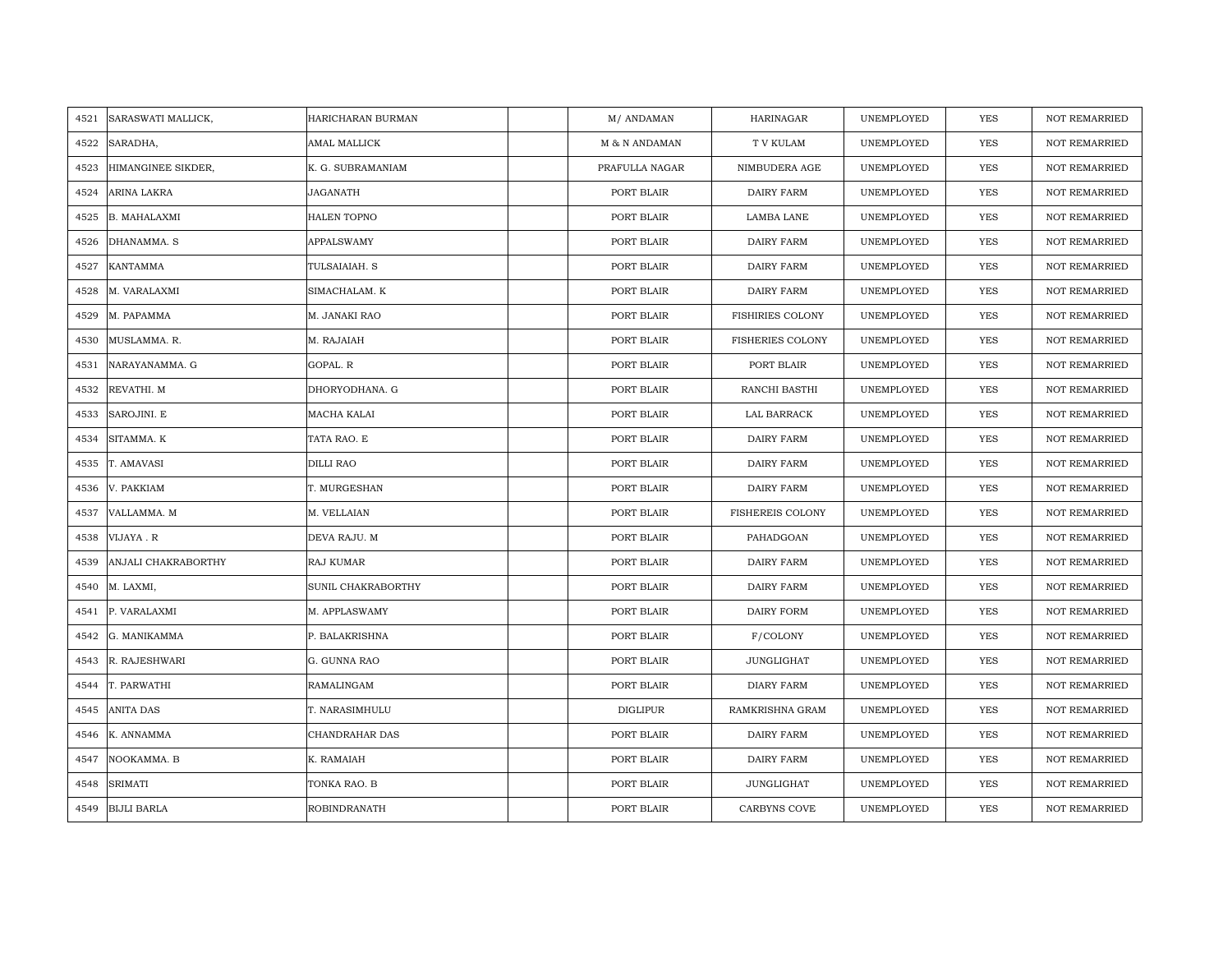| 4521 | SARASWATI MALLICK,  | HARICHARAN BURMAN   | M/ANDAMAN       | HARINAGAR               | UNEMPLOYED | <b>YES</b> | <b>NOT REMARRIED</b> |
|------|---------------------|---------------------|-----------------|-------------------------|------------|------------|----------------------|
| 4522 | SARADHA,            | AMAL MALLICK        | M & N ANDAMAN   | T V KULAM               | UNEMPLOYED | YES        | NOT REMARRIED        |
| 4523 | HIMANGINEE SIKDER,  | K. G. SUBRAMANIAM   | PRAFULLA NAGAR  | NIMBUDERA AGE           | UNEMPLOYED | YES        | <b>NOT REMARRIED</b> |
| 4524 | ARINA LAKRA         | JAGANATH            | PORT BLAIR      | DAIRY FARM              | UNEMPLOYED | YES        | <b>NOT REMARRIED</b> |
| 4525 | B. MAHALAXMI        | HALEN TOPNO         | PORT BLAIR      | LAMBA LANE              | UNEMPLOYED | YES        | NOT REMARRIED        |
| 4526 | DHANAMMA. S         | APPALSWAMY          | PORT BLAIR      | DAIRY FARM              | UNEMPLOYED | YES        | NOT REMARRIED        |
| 4527 | KANTAMMA            | TULSAIAIAH. S       | PORT BLAIR      | DAIRY FARM              | UNEMPLOYED | YES        | <b>NOT REMARRIED</b> |
| 4528 | M. VARALAXMI        | SIMACHALAM. K       | PORT BLAIR      | DAIRY FARM              | UNEMPLOYED | YES        | NOT REMARRIED        |
| 4529 | M. PAPAMMA          | M. JANAKI RAO       | PORT BLAIR      | FISHIRIES COLONY        | UNEMPLOYED | YES        | NOT REMARRIED        |
| 4530 | MUSLAMMA. R.        | M. RAJAIAH          | PORT BLAIR      | <b>FISHERIES COLONY</b> | UNEMPLOYED | YES        | NOT REMARRIED        |
| 4531 | NARAYANAMMA. G      | GOPAL. R            | PORT BLAIR      | PORT BLAIR              | UNEMPLOYED | YES        | <b>NOT REMARRIED</b> |
| 4532 | REVATHI. M          | DHORYODHANA. G      | PORT BLAIR      | RANCHI BASTHI           | UNEMPLOYED | <b>YES</b> | NOT REMARRIED        |
| 4533 | SAROJINI. E         | MACHA KALAI         | PORT BLAIR      | LAL BARRACK             | UNEMPLOYED | <b>YES</b> | NOT REMARRIED        |
| 4534 | SITAMMA. K          | TATA RAO. E         | PORT BLAIR      | DAIRY FARM              | UNEMPLOYED | YES        | NOT REMARRIED        |
| 4535 | T. AMAVASI          | <b>DILLI RAO</b>    | PORT BLAIR      | DAIRY FARM              | UNEMPLOYED | YES        | NOT REMARRIED        |
| 4536 | V. PAKKIAM          | T. MURGESHAN        | PORT BLAIR      | DAIRY FARM              | UNEMPLOYED | YES        | <b>NOT REMARRIED</b> |
| 4537 | VALLAMMA. M         | M. VELLAIAN         | PORT BLAIR      | <b>FISHEREIS COLONY</b> | UNEMPLOYED | YES        | <b>NOT REMARRIED</b> |
| 4538 | VIJAYA.R            | DEVA RAJU. M        | PORT BLAIR      | PAHADGOAN               | UNEMPLOYED | YES        | NOT REMARRIED        |
| 4539 | ANJALI CHAKRABORTHY | RAJ KUMAR           | PORT BLAIR      | DAIRY FARM              | UNEMPLOYED | <b>YES</b> | NOT REMARRIED        |
| 4540 | M. LAXMI,           | SUNIL CHAKRABORTHY  | PORT BLAIR      | DAIRY FARM              | UNEMPLOYED | YES        | NOT REMARRIED        |
| 4541 | P. VARALAXMI        | M. APPLASWAMY       | PORT BLAIR      | DAIRY FORM              | UNEMPLOYED | YES        | NOT REMARRIED        |
| 4542 | G. MANIKAMMA        | P. BALAKRISHNA      | PORT BLAIR      | F/COLONY                | UNEMPLOYED | <b>YES</b> | <b>NOT REMARRIED</b> |
| 4543 | R. RAJESHWARI       | G. GUNNA RAO        | PORT BLAIR      | <b>JUNGLIGHAT</b>       | UNEMPLOYED | YES        | NOT REMARRIED        |
| 4544 | T. PARWATHI         | RAMALINGAM          | PORT BLAIR      | <b>DIARY FARM</b>       | UNEMPLOYED | YES        | NOT REMARRIED        |
| 4545 | <b>ANITA DAS</b>    | T. NARASIMHULU      | <b>DIGLIPUR</b> | RAMKRISHNA GRAM         | UNEMPLOYED | <b>YES</b> | <b>NOT REMARRIED</b> |
| 4546 | K. ANNAMMA          | CHANDRAHAR DAS      | PORT BLAIR      | DAIRY FARM              | UNEMPLOYED | YES        | <b>NOT REMARRIED</b> |
| 4547 | NOOKAMMA. B         | K. RAMAIAH          | PORT BLAIR      | DAIRY FARM              | UNEMPLOYED | YES        | NOT REMARRIED        |
| 4548 | <b>SRIMATI</b>      | TONKA RAO. B        | PORT BLAIR      | JUNGLIGHAT              | UNEMPLOYED | YES        | <b>NOT REMARRIED</b> |
| 4549 | <b>BIJLI BARLA</b>  | <b>ROBINDRANATH</b> | PORT BLAIR      | <b>CARBYNS COVE</b>     | UNEMPLOYED | <b>YES</b> | <b>NOT REMARRIED</b> |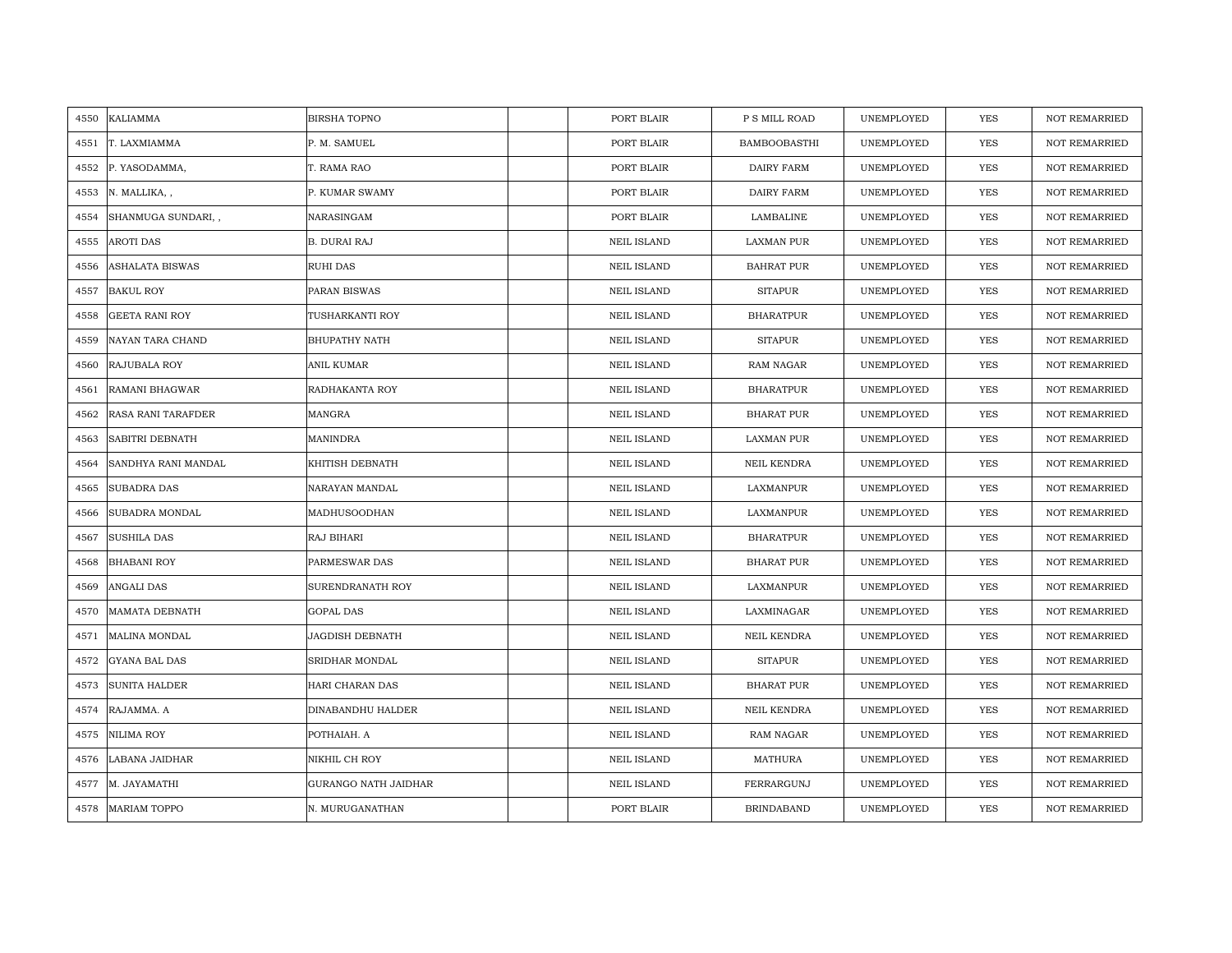| 4550 | <b>KALIAMMA</b>           | <b>BIRSHA TOPNO</b>    | PORT BLAIR         | P S MILL ROAD       | UNEMPLOYED | <b>YES</b> | <b>NOT REMARRIED</b> |
|------|---------------------------|------------------------|--------------------|---------------------|------------|------------|----------------------|
|      |                           |                        |                    |                     |            |            |                      |
| 4551 | T. LAXMIAMMA              | P. M. SAMUEL           | PORT BLAIR         | <b>BAMBOOBASTHI</b> | UNEMPLOYED | <b>YES</b> | <b>NOT REMARRIED</b> |
| 4552 | P. YASODAMMA,             | T. RAMA RAO            | PORT BLAIR         | DAIRY FARM          | UNEMPLOYED | YES        | <b>NOT REMARRIED</b> |
| 4553 | N. MALLIKA, ,             | P. KUMAR SWAMY         | PORT BLAIR         | DAIRY FARM          | UNEMPLOYED | YES        | <b>NOT REMARRIED</b> |
| 4554 | SHANMUGA SUNDARI,,        | NARASINGAM             | PORT BLAIR         | LAMBALINE           | UNEMPLOYED | YES        | <b>NOT REMARRIED</b> |
| 4555 | <b>AROTI DAS</b>          | <b>B. DURAI RAJ</b>    | <b>NEIL ISLAND</b> | <b>LAXMAN PUR</b>   | UNEMPLOYED | YES        | NOT REMARRIED        |
| 4556 | <b>ASHALATA BISWAS</b>    | RUHI DAS               | <b>NEIL ISLAND</b> | <b>BAHRAT PUR</b>   | UNEMPLOYED | <b>YES</b> | NOT REMARRIED        |
| 4557 | <b>BAKUL ROY</b>          | PARAN BISWAS           | <b>NEIL ISLAND</b> | <b>SITAPUR</b>      | UNEMPLOYED | YES        | NOT REMARRIED        |
| 4558 | <b>GEETA RANI ROY</b>     | TUSHARKANTI ROY        | <b>NEIL ISLAND</b> | <b>BHARATPUR</b>    | UNEMPLOYED | YES        | NOT REMARRIED        |
| 4559 | NAYAN TARA CHAND          | <b>BHUPATHY NATH</b>   | <b>NEIL ISLAND</b> | <b>SITAPUR</b>      | UNEMPLOYED | YES        | <b>NOT REMARRIED</b> |
| 4560 | RAJUBALA ROY              | ANIL KUMAR             | <b>NEIL ISLAND</b> | RAM NAGAR           | UNEMPLOYED | YES        | <b>NOT REMARRIED</b> |
| 4561 | RAMANI BHAGWAR            | RADHAKANTA ROY         | <b>NEIL ISLAND</b> | <b>BHARATPUR</b>    | UNEMPLOYED | YES        | NOT REMARRIED        |
| 4562 | <b>RASA RANI TARAFDER</b> | MANGRA                 | <b>NEIL ISLAND</b> | BHARAT PUR          | UNEMPLOYED | YES        | <b>NOT REMARRIED</b> |
| 4563 | SABITRI DEBNATH           | <b>MANINDRA</b>        | <b>NEIL ISLAND</b> | LAXMAN PUR          | UNEMPLOYED | YES        | <b>NOT REMARRIED</b> |
| 4564 | SANDHYA RANI MANDAL       | KHITISH DEBNATH        | <b>NEIL ISLAND</b> | NEIL KENDRA         | UNEMPLOYED | YES        | NOT REMARRIED        |
| 4565 | <b>SUBADRA DAS</b>        | NARAYAN MANDAL         | <b>NEIL ISLAND</b> | LAXMANPUR           | UNEMPLOYED | <b>YES</b> | <b>NOT REMARRIED</b> |
| 4566 | SUBADRA MONDAL            | MADHUSOODHAN           | <b>NEIL ISLAND</b> | LAXMANPUR           | UNEMPLOYED | YES        | <b>NOT REMARRIED</b> |
| 4567 | <b>SUSHILA DAS</b>        | RAJ BIHARI             | <b>NEIL ISLAND</b> | <b>BHARATPUR</b>    | UNEMPLOYED | YES        | <b>NOT REMARRIED</b> |
| 4568 | <b>BHABANI ROY</b>        | PARMESWAR DAS          | <b>NEIL ISLAND</b> | <b>BHARAT PUR</b>   | UNEMPLOYED | <b>YES</b> | <b>NOT REMARRIED</b> |
| 4569 | ANGALI DAS                | SURENDRANATH ROY       | <b>NEIL ISLAND</b> | LAXMANPUR           | UNEMPLOYED | YES        | <b>NOT REMARRIED</b> |
| 4570 | MAMATA DEBNATH            | <b>GOPAL DAS</b>       | <b>NEIL ISLAND</b> | LAXMINAGAR          | UNEMPLOYED | YES        | NOT REMARRIED        |
| 4571 | MALINA MONDAL             | <b>JAGDISH DEBNATH</b> | <b>NEIL ISLAND</b> | NEIL KENDRA         | UNEMPLOYED | YES        | NOT REMARRIED        |
| 4572 | GYANA BAL DAS             | SRIDHAR MONDAL         | <b>NEIL ISLAND</b> | <b>SITAPUR</b>      | UNEMPLOYED | <b>YES</b> | <b>NOT REMARRIED</b> |
| 4573 | <b>SUNITA HALDER</b>      | HARI CHARAN DAS        | <b>NEIL ISLAND</b> | <b>BHARAT PUR</b>   | UNEMPLOYED | YES        | <b>NOT REMARRIED</b> |
| 4574 | RAJAMMA. A                | DINABANDHU HALDER      | <b>NEIL ISLAND</b> | NEIL KENDRA         | UNEMPLOYED | <b>YES</b> | <b>NOT REMARRIED</b> |
| 4575 | NILIMA ROY                | POTHAIAH. A            | <b>NEIL ISLAND</b> | RAM NAGAR           | UNEMPLOYED | YES        | NOT REMARRIED        |
| 4576 | LABANA JAIDHAR            | NIKHIL CH ROY          | <b>NEIL ISLAND</b> | MATHURA             | UNEMPLOYED | YES        | <b>NOT REMARRIED</b> |
| 4577 | M. JAYAMATHI              | GURANGO NATH JAIDHAR   | <b>NEIL ISLAND</b> | FERRARGUNJ          | UNEMPLOYED | YES        | <b>NOT REMARRIED</b> |
| 4578 | <b>MARIAM TOPPO</b>       | N. MURUGANATHAN        | PORT BLAIR         | <b>BRINDABAND</b>   | UNEMPLOYED | <b>YES</b> | <b>NOT REMARRIED</b> |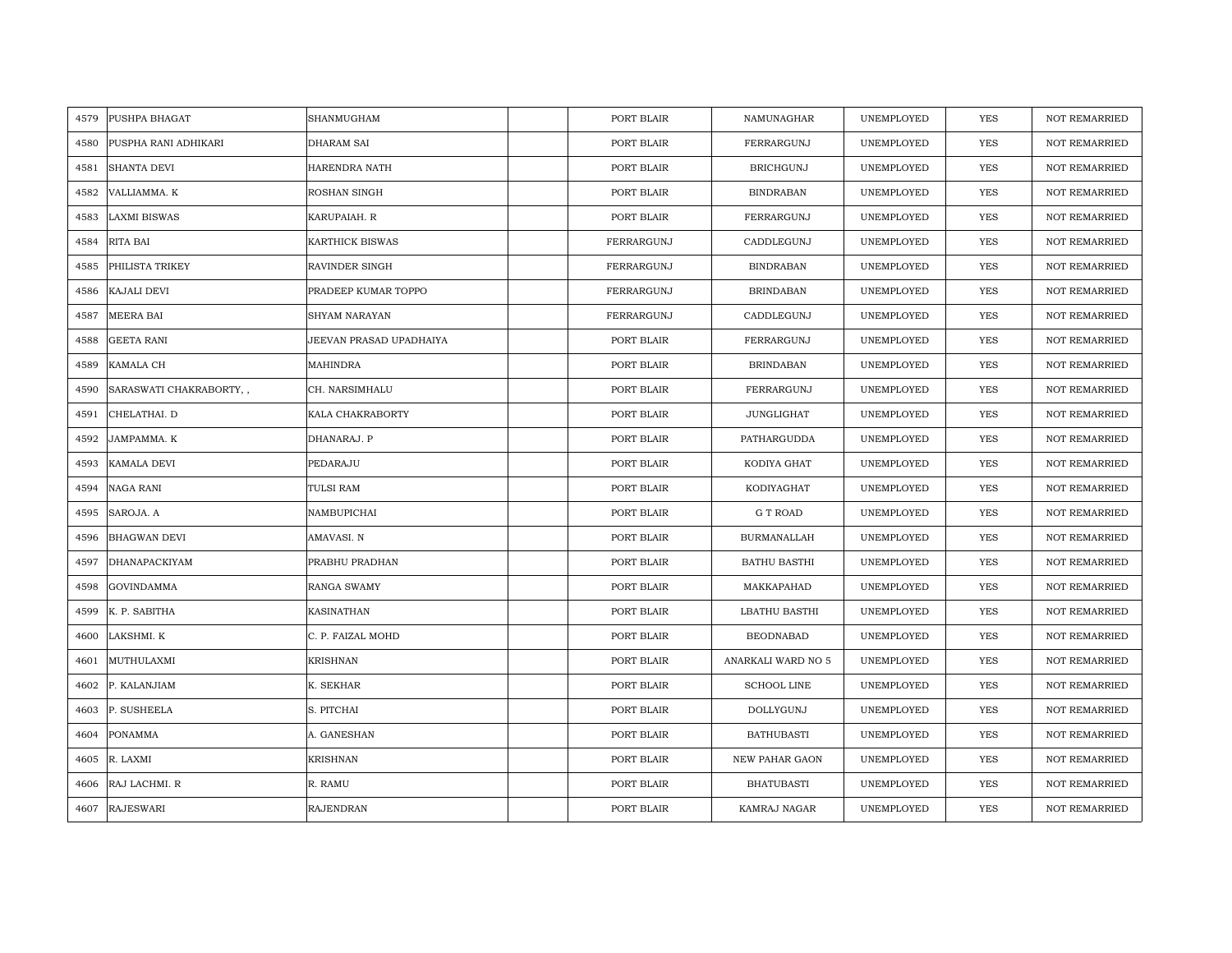| 4579 | PUSHPA BHAGAT           | SHANMUGHAM              | PORT BLAIR | NAMUNAGHAR          | UNEMPLOYED | YES        | <b>NOT REMARRIED</b> |
|------|-------------------------|-------------------------|------------|---------------------|------------|------------|----------------------|
| 4580 | PUSPHA RANI ADHIKARI    | <b>DHARAM SAI</b>       | PORT BLAIR | FERRARGUNJ          | UNEMPLOYED | <b>YES</b> | <b>NOT REMARRIED</b> |
| 4581 | <b>SHANTA DEVI</b>      | HARENDRA NATH           | PORT BLAIR | <b>BRICHGUNJ</b>    | UNEMPLOYED | <b>YES</b> | <b>NOT REMARRIED</b> |
| 4582 | VALLIAMMA. K            | ROSHAN SINGH            | PORT BLAIR | <b>BINDRABAN</b>    | UNEMPLOYED | YES        | <b>NOT REMARRIED</b> |
| 4583 | <b>LAXMI BISWAS</b>     | KARUPAIAH. R            | PORT BLAIR | FERRARGUNJ          | UNEMPLOYED | YES        | NOT REMARRIED        |
| 4584 | RITA BAI                | <b>KARTHICK BISWAS</b>  | FERRARGUNJ | CADDLEGUNJ          | UNEMPLOYED | <b>YES</b> | <b>NOT REMARRIED</b> |
| 4585 | PHILISTA TRIKEY         | <b>RAVINDER SINGH</b>   | FERRARGUNJ | <b>BINDRABAN</b>    | UNEMPLOYED | <b>YES</b> | <b>NOT REMARRIED</b> |
| 4586 | KAJALI DEVI             | PRADEEP KUMAR TOPPO     | FERRARGUNJ | <b>BRINDABAN</b>    | UNEMPLOYED | <b>YES</b> | <b>NOT REMARRIED</b> |
| 4587 | <b>MEERA BAI</b>        | <b>SHYAM NARAYAN</b>    | FERRARGUNJ | CADDLEGUNJ          | UNEMPLOYED | <b>YES</b> | <b>NOT REMARRIED</b> |
| 4588 | <b>GEETA RANI</b>       | JEEVAN PRASAD UPADHAIYA | PORT BLAIR | FERRARGUNJ          | UNEMPLOYED | <b>YES</b> | <b>NOT REMARRIED</b> |
| 4589 | KAMALA CH               | <b>MAHINDRA</b>         | PORT BLAIR | <b>BRINDABAN</b>    | UNEMPLOYED | <b>YES</b> | <b>NOT REMARRIED</b> |
| 4590 | SARASWATI CHAKRABORTY,, | CH. NARSIMHALU          | PORT BLAIR | FERRARGUNJ          | UNEMPLOYED | <b>YES</b> | <b>NOT REMARRIED</b> |
| 4591 | CHELATHAI. D            | KALA CHAKRABORTY        | PORT BLAIR | <b>JUNGLIGHAT</b>   | UNEMPLOYED | YES        | <b>NOT REMARRIED</b> |
| 4592 | JAMPAMMA. K             | DHANARAJ. P             | PORT BLAIR | PATHARGUDDA         | UNEMPLOYED | YES        | <b>NOT REMARRIED</b> |
| 4593 | KAMALA DEVI             | PEDARAJU                | PORT BLAIR | KODIYA GHAT         | UNEMPLOYED | YES        | <b>NOT REMARRIED</b> |
| 4594 | NAGA RANI               | TULSI RAM               | PORT BLAIR | KODIYAGHAT          | UNEMPLOYED | <b>YES</b> | <b>NOT REMARRIED</b> |
| 4595 | SAROJA. A               | NAMBUPICHAI             | PORT BLAIR | <b>G T ROAD</b>     | UNEMPLOYED | <b>YES</b> | <b>NOT REMARRIED</b> |
| 4596 | <b>BHAGWAN DEVI</b>     | AMAVASI. N              | PORT BLAIR | <b>BURMANALLAH</b>  | UNEMPLOYED | <b>YES</b> | <b>NOT REMARRIED</b> |
| 4597 | DHANAPACKIYAM           | PRABHU PRADHAN          | PORT BLAIR | <b>BATHU BASTHI</b> | UNEMPLOYED | <b>YES</b> | <b>NOT REMARRIED</b> |
| 4598 | <b>GOVINDAMMA</b>       | <b>RANGA SWAMY</b>      | PORT BLAIR | MAKKAPAHAD          | UNEMPLOYED | <b>YES</b> | <b>NOT REMARRIED</b> |
| 4599 | K. P. SABITHA           | <b>KASINATHAN</b>       | PORT BLAIR | LBATHU BASTHI       | UNEMPLOYED | YES        | <b>NOT REMARRIED</b> |
| 4600 | LAKSHMI. K              | C. P. FAIZAL MOHD       | PORT BLAIR | <b>BEODNABAD</b>    | UNEMPLOYED | YES        | <b>NOT REMARRIED</b> |
| 4601 | MUTHULAXMI              | <b>KRISHNAN</b>         | PORT BLAIR | ANARKALI WARD NO 5  | UNEMPLOYED | <b>YES</b> | <b>NOT REMARRIED</b> |
| 4602 | P. KALANJIAM            | K. SEKHAR               | PORT BLAIR | <b>SCHOOL LINE</b>  | UNEMPLOYED | YES        | <b>NOT REMARRIED</b> |
| 4603 | P. SUSHEELA             | S. PITCHAI              | PORT BLAIR | DOLLYGUNJ           | UNEMPLOYED | <b>YES</b> | <b>NOT REMARRIED</b> |
| 4604 | <b>PONAMMA</b>          | A. GANESHAN             | PORT BLAIR | <b>BATHUBASTI</b>   | UNEMPLOYED | YES        | <b>NOT REMARRIED</b> |
| 4605 | R. LAXMI                | <b>KRISHNAN</b>         | PORT BLAIR | NEW PAHAR GAON      | UNEMPLOYED | YES        | <b>NOT REMARRIED</b> |
| 4606 | RAJ LACHMI. R           | R. RAMU                 | PORT BLAIR | <b>BHATUBASTI</b>   | UNEMPLOYED | <b>YES</b> | <b>NOT REMARRIED</b> |
| 4607 | <b>RAJESWARI</b>        | <b>RAJENDRAN</b>        | PORT BLAIR | KAMRAJ NAGAR        | UNEMPLOYED | <b>YES</b> | <b>NOT REMARRIED</b> |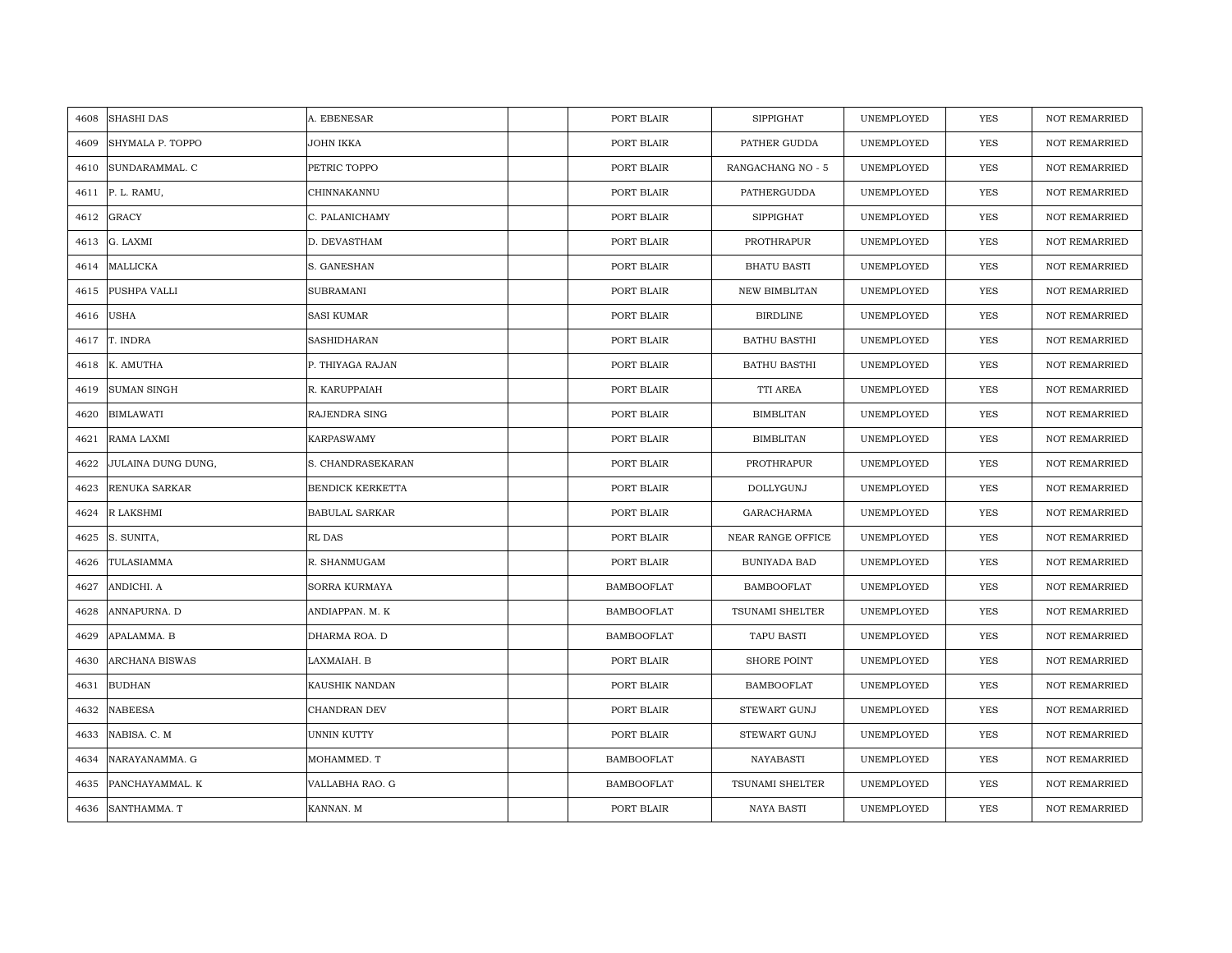| 4608 | <b>SHASHI DAS</b>  | A. EBENESAR             | PORT BLAIR        | <b>SIPPIGHAT</b>     | UNEMPLOYED | <b>YES</b> | <b>NOT REMARRIED</b> |
|------|--------------------|-------------------------|-------------------|----------------------|------------|------------|----------------------|
| 4609 | SHYMALA P. TOPPO   | JOHN IKKA               | PORT BLAIR        | PATHER GUDDA         | UNEMPLOYED | <b>YES</b> | <b>NOT REMARRIED</b> |
| 4610 | SUNDARAMMAL. C     | PETRIC TOPPO            | PORT BLAIR        | RANGACHANG NO - 5    | UNEMPLOYED | YES        | <b>NOT REMARRIED</b> |
| 4611 | P. L. RAMU,        | CHINNAKANNU             | PORT BLAIR        | PATHERGUDDA          | UNEMPLOYED | YES        | <b>NOT REMARRIED</b> |
| 4612 | <b>GRACY</b>       | C. PALANICHAMY          | PORT BLAIR        | <b>SIPPIGHAT</b>     | UNEMPLOYED | YES        | <b>NOT REMARRIED</b> |
| 4613 | G. LAXMI           | D. DEVASTHAM            | PORT BLAIR        | PROTHRAPUR           | UNEMPLOYED | YES        | NOT REMARRIED        |
| 4614 | MALLICKA           | S. GANESHAN             | PORT BLAIR        | <b>BHATU BASTI</b>   | UNEMPLOYED | YES        | <b>NOT REMARRIED</b> |
| 4615 | PUSHPA VALLI       | <b>SUBRAMANI</b>        | PORT BLAIR        | <b>NEW BIMBLITAN</b> | UNEMPLOYED | YES        | <b>NOT REMARRIED</b> |
| 4616 | <b>USHA</b>        | <b>SASI KUMAR</b>       | PORT BLAIR        | <b>BIRDLINE</b>      | UNEMPLOYED | <b>YES</b> | NOT REMARRIED        |
| 4617 | T. INDRA           | <b>SASHIDHARAN</b>      | PORT BLAIR        | <b>BATHU BASTHI</b>  | UNEMPLOYED | YES        | <b>NOT REMARRIED</b> |
| 4618 | K. AMUTHA          | P. THIYAGA RAJAN        | PORT BLAIR        | <b>BATHU BASTHI</b>  | UNEMPLOYED | YES        | <b>NOT REMARRIED</b> |
| 4619 | <b>SUMAN SINGH</b> | R. KARUPPAIAH           | PORT BLAIR        | TTI AREA             | UNEMPLOYED | YES        | <b>NOT REMARRIED</b> |
| 4620 | <b>BIMLAWATI</b>   | RAJENDRA SING           | PORT BLAIR        | <b>BIMBLITAN</b>     | UNEMPLOYED | YES        | NOT REMARRIED        |
| 4621 | RAMA LAXMI         | <b>KARPASWAMY</b>       | PORT BLAIR        | <b>BIMBLITAN</b>     | UNEMPLOYED | <b>YES</b> | <b>NOT REMARRIED</b> |
| 4622 | JULAINA DUNG DUNG, | S. CHANDRASEKARAN       | PORT BLAIR        | PROTHRAPUR           | UNEMPLOYED | YES        | NOT REMARRIED        |
| 4623 | RENUKA SARKAR      | <b>BENDICK KERKETTA</b> | PORT BLAIR        | DOLLYGUNJ            | UNEMPLOYED | YES        | NOT REMARRIED        |
| 4624 | R LAKSHMI          | <b>BABULAL SARKAR</b>   | PORT BLAIR        | GARACHARMA           | UNEMPLOYED | YES        | <b>NOT REMARRIED</b> |
| 4625 | S. SUNITA,         | RL DAS                  | PORT BLAIR        | NEAR RANGE OFFICE    | UNEMPLOYED | YES        | <b>NOT REMARRIED</b> |
| 4626 | TULASIAMMA         | R. SHANMUGAM            | PORT BLAIR        | BUNIYADA BAD         | UNEMPLOYED | YES        | <b>NOT REMARRIED</b> |
| 4627 | ANDICHI. A         | <b>SORRA KURMAYA</b>    | <b>BAMBOOFLAT</b> | <b>BAMBOOFLAT</b>    | UNEMPLOYED | YES        | <b>NOT REMARRIED</b> |
| 4628 | ANNAPURNA. D       | ANDIAPPAN. M. K         | <b>BAMBOOFLAT</b> | TSUNAMI SHELTER      | UNEMPLOYED | YES        | <b>NOT REMARRIED</b> |
| 4629 | APALAMMA. B        | DHARMA ROA. D           | <b>BAMBOOFLAT</b> | TAPU BASTI           | UNEMPLOYED | YES        | <b>NOT REMARRIED</b> |
| 4630 | ARCHANA BISWAS     | LAXMAIAH. B             | PORT BLAIR        | <b>SHORE POINT</b>   | UNEMPLOYED | YES        | <b>NOT REMARRIED</b> |
| 4631 | <b>BUDHAN</b>      | KAUSHIK NANDAN          | PORT BLAIR        | <b>BAMBOOFLAT</b>    | UNEMPLOYED | YES        | <b>NOT REMARRIED</b> |
| 4632 | <b>NABEESA</b>     | CHANDRAN DEV            | PORT BLAIR        | <b>STEWART GUNJ</b>  | UNEMPLOYED | YES        | <b>NOT REMARRIED</b> |
| 4633 | NABISA. C. M       | UNNIN KUTTY             | PORT BLAIR        | STEWART GUNJ         | UNEMPLOYED | YES        | NOT REMARRIED        |
| 4634 | NARAYANAMMA. G     | MOHAMMED. T             | <b>BAMBOOFLAT</b> | NAYABASTI            | UNEMPLOYED | YES        | NOT REMARRIED        |
| 4635 | PANCHAYAMMAL. K    | VALLABHA RAO. G         | <b>BAMBOOFLAT</b> | TSUNAMI SHELTER      | UNEMPLOYED | YES        | <b>NOT REMARRIED</b> |
| 4636 | SANTHAMMA. T       | KANNAN. M               | PORT BLAIR        | NAYA BASTI           | UNEMPLOYED | YES        | NOT REMARRIED        |
|      |                    |                         |                   |                      |            |            |                      |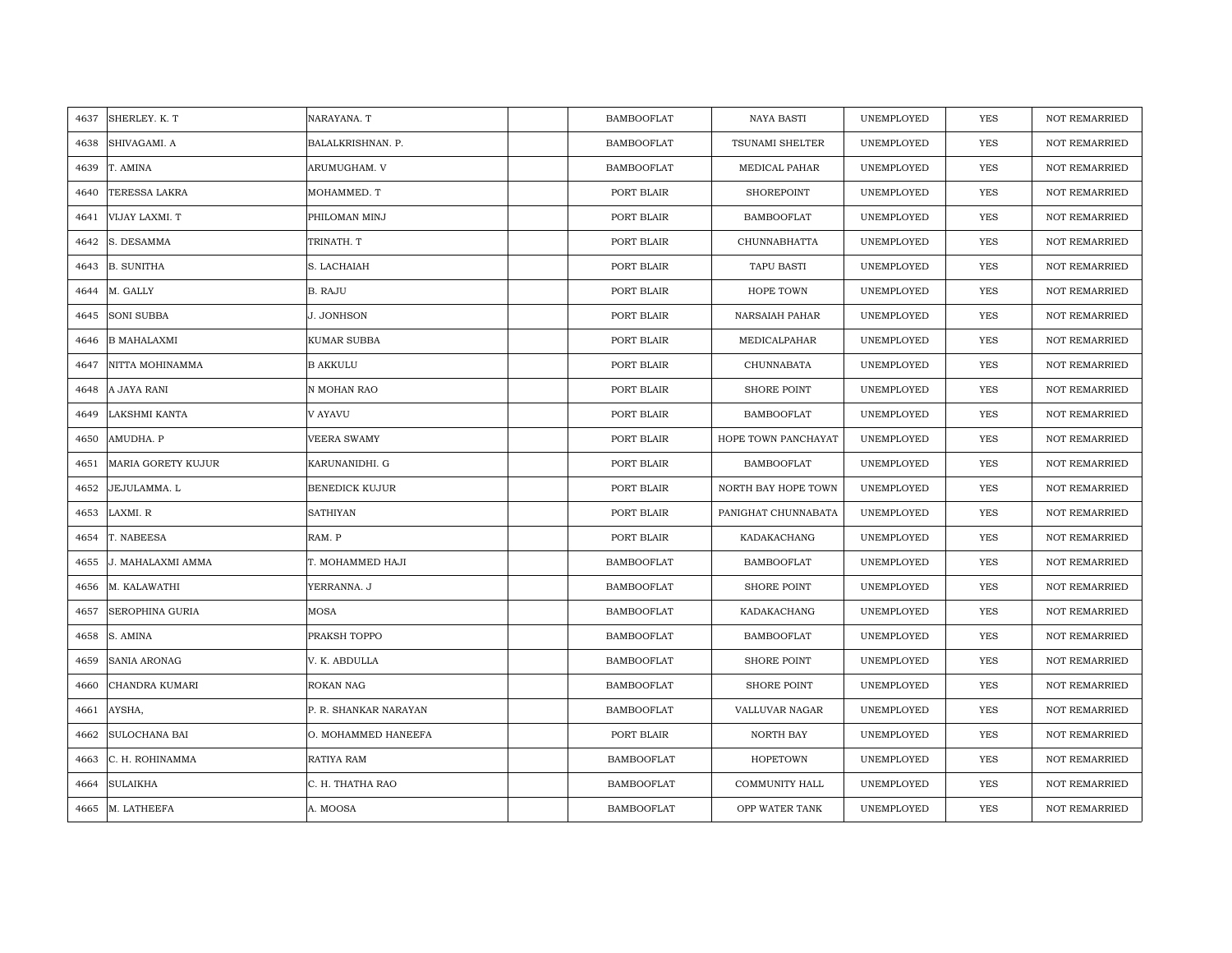| SHERLEY. K. T<br>4637      | NARAYANA. T           | <b>BAMBOOFLAT</b> | <b>NAYA BASTI</b>      | UNEMPLOYED | <b>YES</b> | <b>NOT REMARRIED</b> |
|----------------------------|-----------------------|-------------------|------------------------|------------|------------|----------------------|
| SHIVAGAMI. A<br>4638       | BALALKRISHNAN. P.     | <b>BAMBOOFLAT</b> | <b>TSUNAMI SHELTER</b> | UNEMPLOYED | <b>YES</b> | NOT REMARRIED        |
| T. AMINA<br>4639           | ARUMUGHAM. V          | <b>BAMBOOFLAT</b> | MEDICAL PAHAR          | UNEMPLOYED | <b>YES</b> | <b>NOT REMARRIED</b> |
| TERESSA LAKRA<br>4640      | MOHAMMED. T           | PORT BLAIR        | <b>SHOREPOINT</b>      | UNEMPLOYED | <b>YES</b> | <b>NOT REMARRIED</b> |
| VIJAY LAXMI. T<br>4641     | PHILOMAN MINJ         | PORT BLAIR        | <b>BAMBOOFLAT</b>      | UNEMPLOYED | <b>YES</b> | <b>NOT REMARRIED</b> |
| S. DESAMMA<br>4642         | TRINATH. T            | PORT BLAIR        | CHUNNABHATTA           | UNEMPLOYED | YES        | <b>NOT REMARRIED</b> |
| <b>B. SUNITHA</b><br>4643  | S. LACHAIAH           | PORT BLAIR        | <b>TAPU BASTI</b>      | UNEMPLOYED | <b>YES</b> | <b>NOT REMARRIED</b> |
| M. GALLY<br>4644           | B. RAJU               | PORT BLAIR        | HOPE TOWN              | UNEMPLOYED | YES        | NOT REMARRIED        |
| <b>SONI SUBBA</b><br>4645  | J. JONHSON            | PORT BLAIR        | NARSAIAH PAHAR         | UNEMPLOYED | YES        | NOT REMARRIED        |
| <b>B MAHALAXMI</b><br>4646 | KUMAR SUBBA           | PORT BLAIR        | MEDICALPAHAR           | UNEMPLOYED | YES        | <b>NOT REMARRIED</b> |
| NITTA MOHINAMMA<br>4647    | <b>B AKKULU</b>       | PORT BLAIR        | CHUNNABATA             | UNEMPLOYED | <b>YES</b> | <b>NOT REMARRIED</b> |
| A JAYA RANI<br>4648        | N MOHAN RAO           | PORT BLAIR        | <b>SHORE POINT</b>     | UNEMPLOYED | YES        | <b>NOT REMARRIED</b> |
| LAKSHMI KANTA<br>4649      | V AYAVU               | PORT BLAIR        | <b>BAMBOOFLAT</b>      | UNEMPLOYED | <b>YES</b> | NOT REMARRIED        |
| AMUDHA. P<br>4650          | <b>VEERA SWAMY</b>    | PORT BLAIR        | HOPE TOWN PANCHAYAT    | UNEMPLOYED | <b>YES</b> | <b>NOT REMARRIED</b> |
| MARIA GORETY KUJUR<br>4651 | KARUNANIDHI. G        | PORT BLAIR        | <b>BAMBOOFLAT</b>      | UNEMPLOYED | YES        | NOT REMARRIED        |
| JEJULAMMA. L<br>4652       | <b>BENEDICK KUJUR</b> | PORT BLAIR        | NORTH BAY HOPE TOWN    | UNEMPLOYED | <b>YES</b> | NOT REMARRIED        |
| LAXMI. R<br>4653           | <b>SATHIYAN</b>       | PORT BLAIR        | PANIGHAT CHUNNABATA    | UNEMPLOYED | YES        | <b>NOT REMARRIED</b> |
| T. NABEESA<br>4654         | RAM. P                | PORT BLAIR        | KADAKACHANG            | UNEMPLOYED | <b>YES</b> | <b>NOT REMARRIED</b> |
| J. MAHALAXMI AMMA<br>4655  | T. MOHAMMED HAJI      | <b>BAMBOOFLAT</b> | <b>BAMBOOFLAT</b>      | UNEMPLOYED | <b>YES</b> | NOT REMARRIED        |
| M. KALAWATHI<br>4656       | YERRANNA. J           | BAMBOOFLAT        | <b>SHORE POINT</b>     | UNEMPLOYED | YES        | <b>NOT REMARRIED</b> |
| SEROPHINA GURIA<br>4657    | MOSA                  | <b>BAMBOOFLAT</b> | KADAKACHANG            | UNEMPLOYED | YES        | <b>NOT REMARRIED</b> |
| 4658<br>S. AMINA           | PRAKSH TOPPO          | BAMBOOFLAT        | <b>BAMBOOFLAT</b>      | UNEMPLOYED | YES        | NOT REMARRIED        |
| SANIA ARONAG<br>4659       | V. K. ABDULLA         | <b>BAMBOOFLAT</b> | <b>SHORE POINT</b>     | UNEMPLOYED | YES        | <b>NOT REMARRIED</b> |
| 4660<br>CHANDRA KUMARI     | ROKAN NAG             | <b>BAMBOOFLAT</b> | <b>SHORE POINT</b>     | UNEMPLOYED | YES        | <b>NOT REMARRIED</b> |
| 4661<br>AYSHA,             | P. R. SHANKAR NARAYAN | BAMBOOFLAT        | VALLUVAR NAGAR         | UNEMPLOYED | YES        | <b>NOT REMARRIED</b> |
| SULOCHANA BAI<br>4662      | O. MOHAMMED HANEEFA   | PORT BLAIR        | NORTH BAY              | UNEMPLOYED | <b>YES</b> | NOT REMARRIED        |
| 4663<br>C. H. ROHINAMMA    | RATIYA RAM            | <b>BAMBOOFLAT</b> | <b>HOPETOWN</b>        | UNEMPLOYED | <b>YES</b> | <b>NOT REMARRIED</b> |
| <b>SULAIKHA</b><br>4664    | C. H. THATHA RAO      | <b>BAMBOOFLAT</b> | COMMUNITY HALL         | UNEMPLOYED | <b>YES</b> | <b>NOT REMARRIED</b> |
| M. LATHEEFA<br>4665        | A. MOOSA              | <b>BAMBOOFLAT</b> | OPP WATER TANK         | UNEMPLOYED | <b>YES</b> | <b>NOT REMARRIED</b> |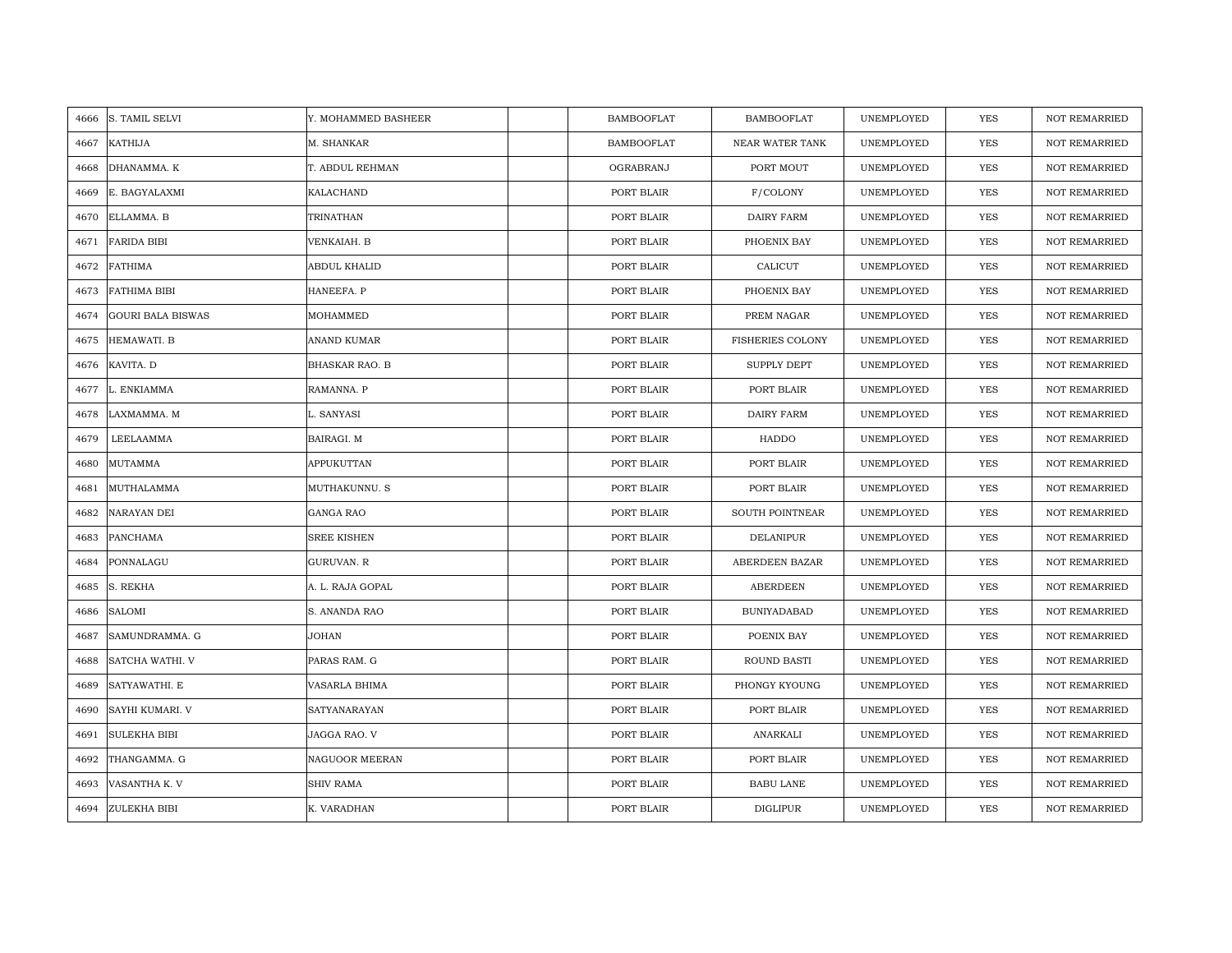| 4666 | S. TAMIL SELVI           | Y. MOHAMMED BASHEER   | <b>BAMBOOFLAT</b> | <b>BAMBOOFLAT</b>       | UNEMPLOYED | <b>YES</b> | <b>NOT REMARRIED</b> |
|------|--------------------------|-----------------------|-------------------|-------------------------|------------|------------|----------------------|
| 4667 | <b>KATHIJA</b>           | M. SHANKAR            | <b>BAMBOOFLAT</b> | NEAR WATER TANK         | UNEMPLOYED | YES        | NOT REMARRIED        |
| 4668 | DHANAMMA. K              | T. ABDUL REHMAN       | OGRABRANJ         | PORT MOUT               | UNEMPLOYED | YES        | <b>NOT REMARRIED</b> |
| 4669 | E. BAGYALAXMI            | KALACHAND             | PORT BLAIR        | F/COLONY                | UNEMPLOYED | YES        | <b>NOT REMARRIED</b> |
| 4670 | ELLAMMA. B               | TRINATHAN             | PORT BLAIR        | DAIRY FARM              | UNEMPLOYED | YES        | <b>NOT REMARRIED</b> |
| 4671 | <b>FARIDA BIBI</b>       | VENKAIAH. B           | PORT BLAIR        | PHOENIX BAY             | UNEMPLOYED | YES        | NOT REMARRIED        |
| 4672 | <b>FATHIMA</b>           | ABDUL KHALID          | PORT BLAIR        | CALICUT                 | UNEMPLOYED | YES        | <b>NOT REMARRIED</b> |
| 4673 | <b>FATHIMA BIBI</b>      | HANEEFA. P            | PORT BLAIR        | PHOENIX BAY             | UNEMPLOYED | YES        | <b>NOT REMARRIED</b> |
| 4674 | <b>GOURI BALA BISWAS</b> | MOHAMMED              | PORT BLAIR        | PREM NAGAR              | UNEMPLOYED | YES        | NOT REMARRIED        |
| 4675 | HEMAWATI. B              | ANAND KUMAR           | PORT BLAIR        | <b>FISHERIES COLONY</b> | UNEMPLOYED | YES        | <b>NOT REMARRIED</b> |
| 4676 | KAVITA. D                | <b>BHASKAR RAO. B</b> | PORT BLAIR        | SUPPLY DEPT             | UNEMPLOYED | YES        | <b>NOT REMARRIED</b> |
| 4677 | L. ENKIAMMA              | RAMANNA. P            | PORT BLAIR        | PORT BLAIR              | UNEMPLOYED | YES        | NOT REMARRIED        |
| 4678 | LAXMAMMA. M              | L. SANYASI            | PORT BLAIR        | DAIRY FARM              | UNEMPLOYED | YES        | <b>NOT REMARRIED</b> |
| 4679 | LEELAAMMA                | BAIRAGI. M            | PORT BLAIR        | HADDO                   | UNEMPLOYED | YES        | <b>NOT REMARRIED</b> |
| 4680 | MUTAMMA                  | APPUKUTTAN            | PORT BLAIR        | PORT BLAIR              | UNEMPLOYED | YES        | <b>NOT REMARRIED</b> |
| 4681 | MUTHALAMMA               | MUTHAKUNNU. S         | PORT BLAIR        | PORT BLAIR              | UNEMPLOYED | <b>YES</b> | <b>NOT REMARRIED</b> |
| 4682 | NARAYAN DEI              | <b>GANGA RAO</b>      | PORT BLAIR        | SOUTH POINTNEAR         | UNEMPLOYED | YES        | <b>NOT REMARRIED</b> |
| 4683 | PANCHAMA                 | <b>SREE KISHEN</b>    | PORT BLAIR        | DELANIPUR               | UNEMPLOYED | YES        | <b>NOT REMARRIED</b> |
| 4684 | PONNALAGU                | GURUVAN. R            | PORT BLAIR        | ABERDEEN BAZAR          | UNEMPLOYED | <b>YES</b> | <b>NOT REMARRIED</b> |
| 4685 | S. REKHA                 | A. L. RAJA GOPAL      | PORT BLAIR        | ABERDEEN                | UNEMPLOYED | YES        | <b>NOT REMARRIED</b> |
| 4686 | <b>SALOMI</b>            | S. ANANDA RAO         | PORT BLAIR        | <b>BUNIYADABAD</b>      | UNEMPLOYED | YES        | NOT REMARRIED        |
| 4687 | SAMUNDRAMMA. G           | JOHAN                 | PORT BLAIR        | POENIX BAY              | UNEMPLOYED | YES        | <b>NOT REMARRIED</b> |
| 4688 | SATCHA WATHI. V          | PARAS RAM. G          | PORT BLAIR        | ROUND BASTI             | UNEMPLOYED | YES        | <b>NOT REMARRIED</b> |
| 4689 | SATYAWATHI. E            | VASARLA BHIMA         | PORT BLAIR        | PHONGY KYOUNG           | UNEMPLOYED | YES        | <b>NOT REMARRIED</b> |
| 4690 | SAYHI KUMARI. V          | SATYANARAYAN          | PORT BLAIR        | PORT BLAIR              | UNEMPLOYED | YES        | NOT REMARRIED        |
| 4691 | <b>SULEKHA BIBI</b>      | JAGGA RAO. V          | PORT BLAIR        | ANARKALI                | UNEMPLOYED | <b>YES</b> | <b>NOT REMARRIED</b> |
| 4692 | THANGAMMA. G             | NAGUOOR MEERAN        | PORT BLAIR        | PORT BLAIR              | UNEMPLOYED | YES        | NOT REMARRIED        |
| 4693 | VASANTHA K. V            | <b>SHIV RAMA</b>      | PORT BLAIR        | <b>BABU LANE</b>        | UNEMPLOYED | YES        | NOT REMARRIED        |
| 4694 | ZULEKHA BIBI             | K. VARADHAN           | PORT BLAIR        | <b>DIGLIPUR</b>         | UNEMPLOYED | YES        | <b>NOT REMARRIED</b> |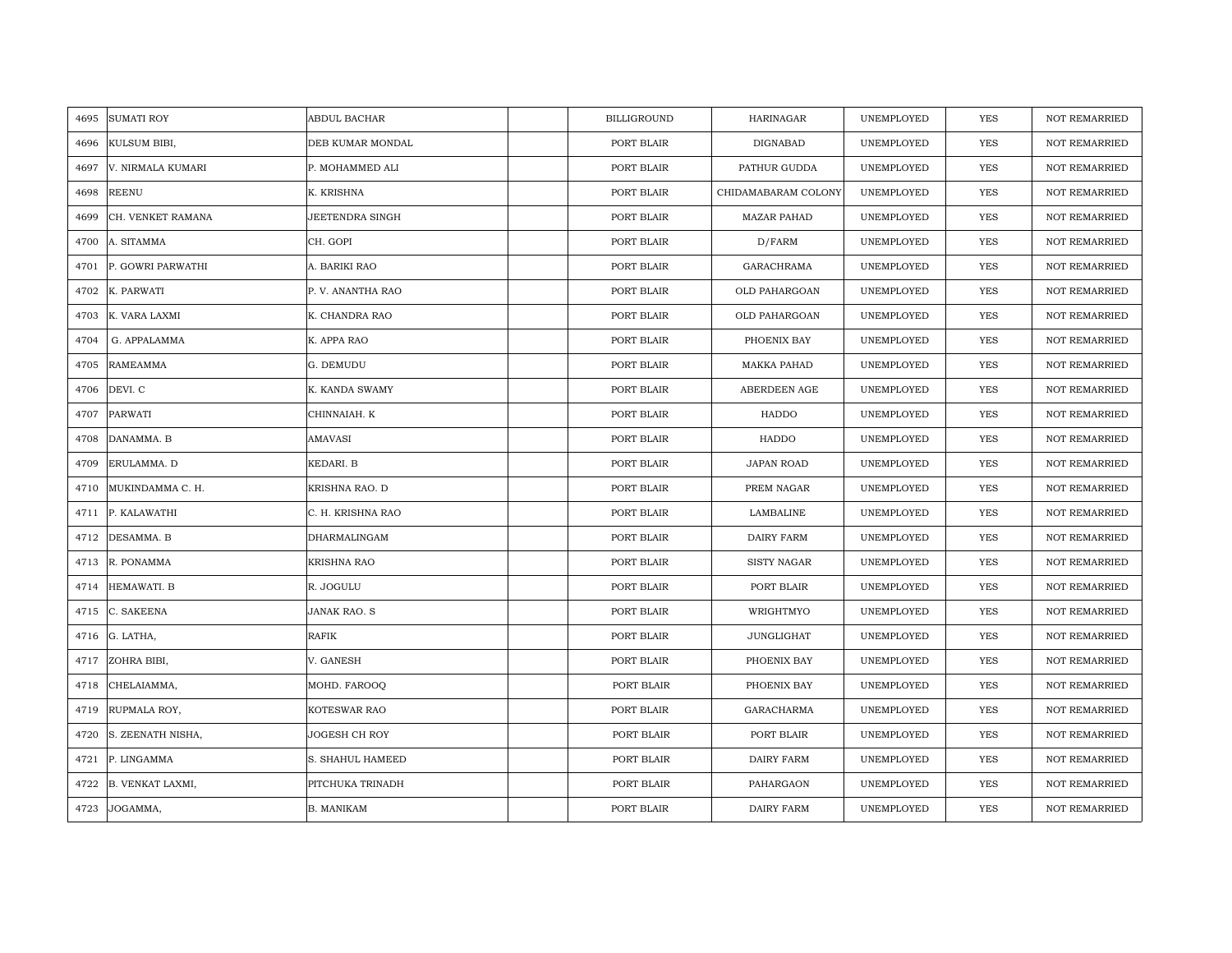| 4695 | <b>SUMATI ROY</b> | <b>ABDUL BACHAR</b> | <b>BILLIGROUND</b> | <b>HARINAGAR</b>    | UNEMPLOYED | <b>YES</b> | <b>NOT REMARRIED</b> |
|------|-------------------|---------------------|--------------------|---------------------|------------|------------|----------------------|
| 4696 | KULSUM BIBI,      | DEB KUMAR MONDAL    | PORT BLAIR         | DIGNABAD            | UNEMPLOYED | <b>YES</b> | <b>NOT REMARRIED</b> |
| 4697 | V. NIRMALA KUMARI | P. MOHAMMED ALI     | PORT BLAIR         | PATHUR GUDDA        | UNEMPLOYED | YES        | <b>NOT REMARRIED</b> |
| 4698 | <b>REENU</b>      | K. KRISHNA          | PORT BLAIR         | CHIDAMABARAM COLONY | UNEMPLOYED | YES        | <b>NOT REMARRIED</b> |
| 4699 | CH. VENKET RAMANA | JEETENDRA SINGH     | PORT BLAIR         | <b>MAZAR PAHAD</b>  | UNEMPLOYED | YES        | NOT REMARRIED        |
| 4700 | A. SITAMMA        | CH. GOPI            | PORT BLAIR         | D/FARM              | UNEMPLOYED | <b>YES</b> | NOT REMARRIED        |
| 4701 | P. GOWRI PARWATHI | A. BARIKI RAO       | PORT BLAIR         | GARACHRAMA          | UNEMPLOYED | <b>YES</b> | NOT REMARRIED        |
| 4702 | K. PARWATI        | P. V. ANANTHA RAO   | PORT BLAIR         | OLD PAHARGOAN       | UNEMPLOYED | YES        | NOT REMARRIED        |
| 4703 | K. VARA LAXMI     | K. CHANDRA RAO      | PORT BLAIR         | OLD PAHARGOAN       | UNEMPLOYED | YES        | NOT REMARRIED        |
| 4704 | G. APPALAMMA      | K. APPA RAO         | PORT BLAIR         | PHOENIX BAY         | UNEMPLOYED | YES        | <b>NOT REMARRIED</b> |
| 4705 | <b>RAMEAMMA</b>   | G. DEMUDU           | PORT BLAIR         | <b>MAKKA PAHAD</b>  | UNEMPLOYED | YES        | <b>NOT REMARRIED</b> |
| 4706 | DEVI. C           | K. KANDA SWAMY      | PORT BLAIR         | ABERDEEN AGE        | UNEMPLOYED | YES        | NOT REMARRIED        |
| 4707 | <b>PARWATI</b>    | CHINNAIAH. K        | PORT BLAIR         | HADDO               | UNEMPLOYED | YES        | <b>NOT REMARRIED</b> |
| 4708 | DANAMMA. B        | AMAVASI             | PORT BLAIR         | HADDO               | UNEMPLOYED | YES        | <b>NOT REMARRIED</b> |
| 4709 | ERULAMMA. D       | KEDARI. B           | PORT BLAIR         | <b>JAPAN ROAD</b>   | UNEMPLOYED | YES        | NOT REMARRIED        |
| 4710 | MUKINDAMMA C. H.  | KRISHNA RAO. D      | PORT BLAIR         | PREM NAGAR          | UNEMPLOYED | <b>YES</b> | <b>NOT REMARRIED</b> |
| 4711 | P. KALAWATHI      | C. H. KRISHNA RAO   | PORT BLAIR         | LAMBALINE           | UNEMPLOYED | YES        | <b>NOT REMARRIED</b> |
| 4712 | DESAMMA. B        | DHARMALINGAM        | PORT BLAIR         | DAIRY FARM          | UNEMPLOYED | YES        | <b>NOT REMARRIED</b> |
| 4713 | R. PONAMMA        | <b>KRISHNA RAO</b>  | PORT BLAIR         | <b>SISTY NAGAR</b>  | UNEMPLOYED | <b>YES</b> | <b>NOT REMARRIED</b> |
| 4714 | HEMAWATI. B       | R. JOGULU           | PORT BLAIR         | PORT BLAIR          | UNEMPLOYED | YES        | <b>NOT REMARRIED</b> |
| 4715 | C. SAKEENA        | <b>JANAK RAO. S</b> | PORT BLAIR         | WRIGHTMYO           | UNEMPLOYED | YES        | NOT REMARRIED        |
| 4716 | G. LATHA,         | RAFIK               | PORT BLAIR         | JUNGLIGHAT          | UNEMPLOYED | YES        | NOT REMARRIED        |
| 4717 | ZOHRA BIBI,       | V. GANESH           | PORT BLAIR         | PHOENIX BAY         | UNEMPLOYED | <b>YES</b> | <b>NOT REMARRIED</b> |
| 4718 | CHELAIAMMA,       | MOHD. FAROOQ        | PORT BLAIR         | PHOENIX BAY         | UNEMPLOYED | <b>YES</b> | <b>NOT REMARRIED</b> |
| 4719 | RUPMALA ROY,      | KOTESWAR RAO        | PORT BLAIR         | GARACHARMA          | UNEMPLOYED | <b>YES</b> | <b>NOT REMARRIED</b> |
| 4720 | S. ZEENATH NISHA, | JOGESH CH ROY       | PORT BLAIR         | PORT BLAIR          | UNEMPLOYED | YES        | NOT REMARRIED        |
| 4721 | P. LINGAMMA       | S. SHAHUL HAMEED    | PORT BLAIR         | DAIRY FARM          | UNEMPLOYED | YES        | NOT REMARRIED        |
| 4722 | B. VENKAT LAXMI,  | PITCHUKA TRINADH    | PORT BLAIR         | PAHARGAON           | UNEMPLOYED | YES        | <b>NOT REMARRIED</b> |
| 4723 | JOGAMMA,          | <b>B. MANIKAM</b>   | PORT BLAIR         | DAIRY FARM          | UNEMPLOYED | <b>YES</b> | <b>NOT REMARRIED</b> |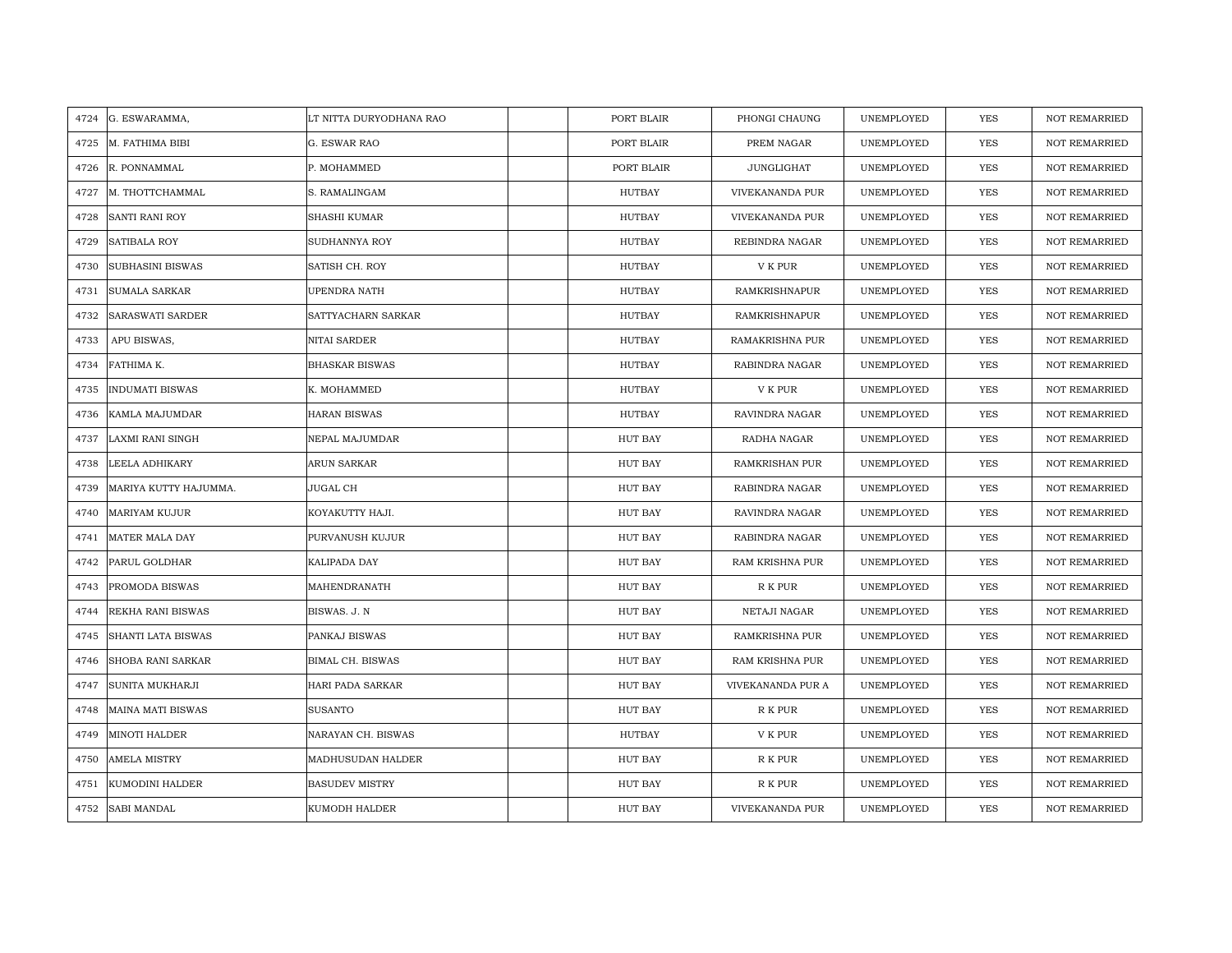| 4724 | G. ESWARAMMA,            | LT NITTA DURYODHANA RAO | PORT BLAIR     | PHONGI CHAUNG        | UNEMPLOYED | YES        | <b>NOT REMARRIED</b> |
|------|--------------------------|-------------------------|----------------|----------------------|------------|------------|----------------------|
| 4725 | M. FATHIMA BIBI          | G. ESWAR RAO            | PORT BLAIR     | PREM NAGAR           | UNEMPLOYED | <b>YES</b> | <b>NOT REMARRIED</b> |
| 4726 | R. PONNAMMAL             | P. MOHAMMED             | PORT BLAIR     | <b>JUNGLIGHAT</b>    | UNEMPLOYED | <b>YES</b> | <b>NOT REMARRIED</b> |
| 4727 | M. THOTTCHAMMAL          | S. RAMALINGAM           | HUTBAY         | VIVEKANANDA PUR      | UNEMPLOYED | <b>YES</b> | <b>NOT REMARRIED</b> |
| 4728 | <b>SANTI RANI ROY</b>    | <b>SHASHI KUMAR</b>     | <b>HUTBAY</b>  | VIVEKANANDA PUR      | UNEMPLOYED | <b>YES</b> | <b>NOT REMARRIED</b> |
| 4729 | SATIBALA ROY             | SUDHANNYA ROY           | <b>HUTBAY</b>  | REBINDRA NAGAR       | UNEMPLOYED | <b>YES</b> | <b>NOT REMARRIED</b> |
| 4730 | SUBHASINI BISWAS         | SATISH CH. ROY          | HUTBAY         | V K PUR              | UNEMPLOYED | YES        | <b>NOT REMARRIED</b> |
| 4731 | <b>SUMALA SARKAR</b>     | UPENDRA NATH            | <b>HUTBAY</b>  | <b>RAMKRISHNAPUR</b> | UNEMPLOYED | YES        | <b>NOT REMARRIED</b> |
| 4732 | SARASWATI SARDER         | SATTYACHARN SARKAR      | HUTBAY         | RAMKRISHNAPUR        | UNEMPLOYED | YES        | <b>NOT REMARRIED</b> |
| 4733 | APU BISWAS,              | NITAI SARDER            | <b>HUTBAY</b>  | RAMAKRISHNA PUR      | UNEMPLOYED | YES        | <b>NOT REMARRIED</b> |
| 4734 | FATHIMA K.               | <b>BHASKAR BISWAS</b>   | HUTBAY         | RABINDRA NAGAR       | UNEMPLOYED | YES        | <b>NOT REMARRIED</b> |
| 4735 | <b>INDUMATI BISWAS</b>   | K. MOHAMMED             | <b>HUTBAY</b>  | V K PUR              | UNEMPLOYED | <b>YES</b> | <b>NOT REMARRIED</b> |
| 4736 | KAMLA MAJUMDAR           | HARAN BISWAS            | HUTBAY         | RAVINDRA NAGAR       | UNEMPLOYED | <b>YES</b> | <b>NOT REMARRIED</b> |
| 4737 | <b>LAXMI RANI SINGH</b>  | NEPAL MAJUMDAR          | HUT BAY        | RADHA NAGAR          | UNEMPLOYED | YES        | <b>NOT REMARRIED</b> |
| 4738 | LEELA ADHIKARY           | ARUN SARKAR             | HUT BAY        | RAMKRISHAN PUR       | UNEMPLOYED | <b>YES</b> | NOT REMARRIED        |
| 4739 | MARIYA KUTTY HAJUMMA.    | JUGAL CH                | HUT BAY        | RABINDRA NAGAR       | UNEMPLOYED | <b>YES</b> | <b>NOT REMARRIED</b> |
| 4740 | <b>MARIYAM KUJUR</b>     | KOYAKUTTY HAJI.         | HUT BAY        | RAVINDRA NAGAR       | UNEMPLOYED | <b>YES</b> | <b>NOT REMARRIED</b> |
| 4741 | MATER MALA DAY           | PURVANUSH KUJUR         | HUT BAY        | RABINDRA NAGAR       | UNEMPLOYED | YES        | <b>NOT REMARRIED</b> |
| 4742 | PARUL GOLDHAR            | KALIPADA DAY            | HUT BAY        | RAM KRISHNA PUR      | UNEMPLOYED | YES        | <b>NOT REMARRIED</b> |
| 4743 | PROMODA BISWAS           | MAHENDRANATH            | HUT BAY        | R K PUR              | UNEMPLOYED | YES        | NOT REMARRIED        |
| 4744 | REKHA RANI BISWAS        | BISWAS. J. N            | HUT BAY        | NETAJI NAGAR         | UNEMPLOYED | YES        | <b>NOT REMARRIED</b> |
| 4745 | SHANTI LATA BISWAS       | PANKAJ BISWAS           | HUT BAY        | RAMKRISHNA PUR       | UNEMPLOYED | YES        | <b>NOT REMARRIED</b> |
| 4746 | SHOBA RANI SARKAR        | BIMAL CH. BISWAS        | HUT BAY        | RAM KRISHNA PUR      | UNEMPLOYED | <b>YES</b> | <b>NOT REMARRIED</b> |
| 4747 | <b>SUNITA MUKHARJI</b>   | HARI PADA SARKAR        | HUT BAY        | VIVEKANANDA PUR A    | UNEMPLOYED | <b>YES</b> | <b>NOT REMARRIED</b> |
| 4748 | <b>MAINA MATI BISWAS</b> | <b>SUSANTO</b>          | HUT BAY        | R K PUR              | UNEMPLOYED | YES        | <b>NOT REMARRIED</b> |
| 4749 | <b>MINOTI HALDER</b>     | NARAYAN CH. BISWAS      | HUTBAY         | V K PUR              | UNEMPLOYED | <b>YES</b> | <b>NOT REMARRIED</b> |
| 4750 | <b>AMELA MISTRY</b>      | MADHUSUDAN HALDER       | HUT BAY        | R K PUR              | UNEMPLOYED | YES        | <b>NOT REMARRIED</b> |
| 4751 | KUMODINI HALDER          | <b>BASUDEV MISTRY</b>   | HUT BAY        | R K PUR              | UNEMPLOYED | YES        | <b>NOT REMARRIED</b> |
| 4752 | <b>SABI MANDAL</b>       | KUMODH HALDER           | <b>HUT BAY</b> | VIVEKANANDA PUR      | UNEMPLOYED | YES        | <b>NOT REMARRIED</b> |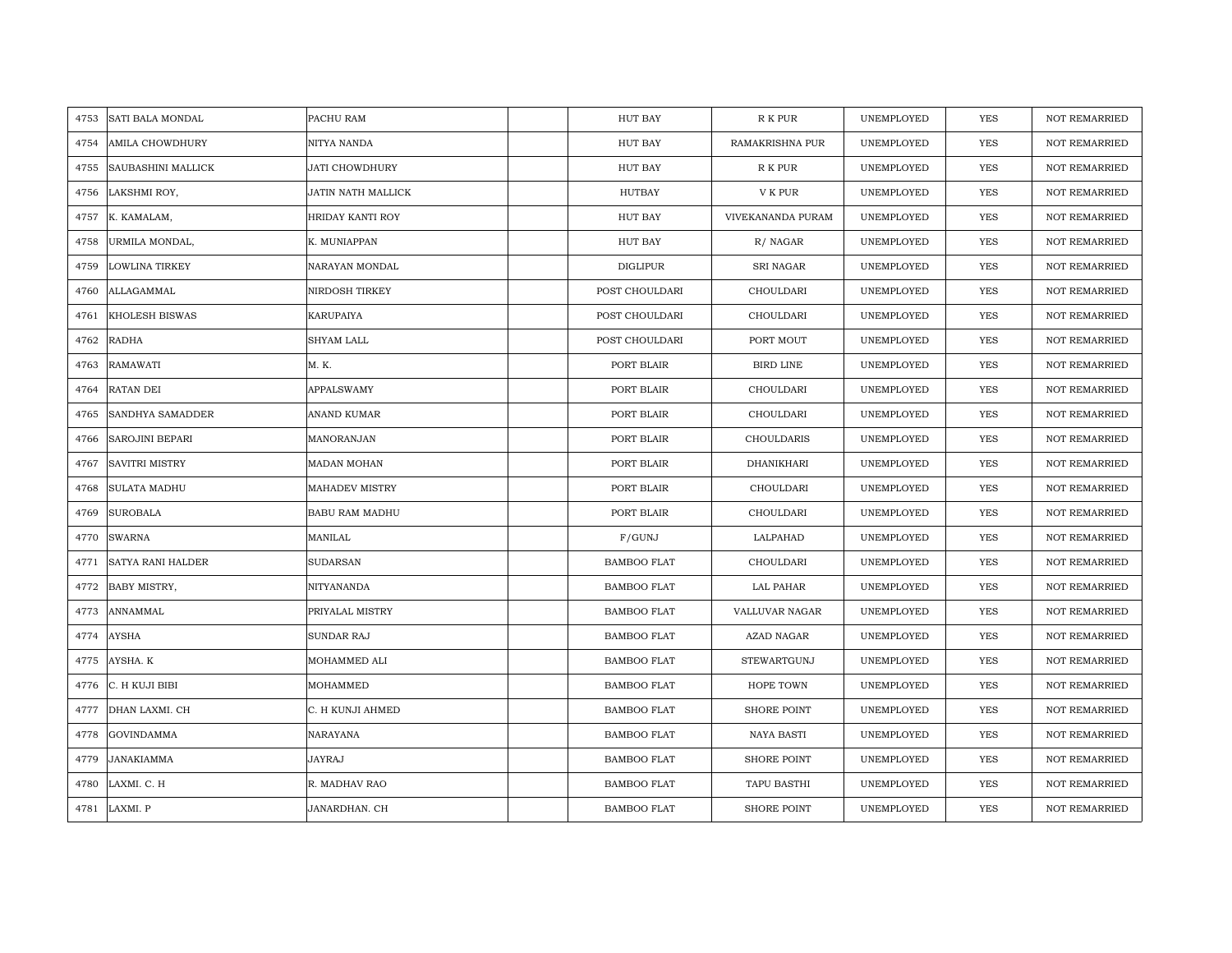| 4753 | <b>SATI BALA MONDAL</b> | PACHU RAM             | HUT BAY            | R K PUR            | UNEMPLOYED | YES        | <b>NOT REMARRIED</b> |
|------|-------------------------|-----------------------|--------------------|--------------------|------------|------------|----------------------|
| 4754 | <b>AMILA CHOWDHURY</b>  | NITYA NANDA           | HUT BAY            | RAMAKRISHNA PUR    | UNEMPLOYED | YES        | <b>NOT REMARRIED</b> |
| 4755 | SAUBASHINI MALLICK      | <b>JATI CHOWDHURY</b> | HUT BAY            | R K PUR            | UNEMPLOYED | <b>YES</b> | <b>NOT REMARRIED</b> |
| 4756 | LAKSHMI ROY,            | JATIN NATH MALLICK    | HUTBAY             | V K PUR            | UNEMPLOYED | <b>YES</b> | <b>NOT REMARRIED</b> |
| 4757 | K. KAMALAM,             | HRIDAY KANTI ROY      | HUT BAY            | VIVEKANANDA PURAM  | UNEMPLOYED | <b>YES</b> | <b>NOT REMARRIED</b> |
| 4758 | URMILA MONDAL,          | K. MUNIAPPAN          | HUT BAY            | R/NAGAR            | UNEMPLOYED | <b>YES</b> | <b>NOT REMARRIED</b> |
| 4759 | <b>LOWLINA TIRKEY</b>   | NARAYAN MONDAL        | <b>DIGLIPUR</b>    | <b>SRI NAGAR</b>   | UNEMPLOYED | <b>YES</b> | <b>NOT REMARRIED</b> |
| 4760 | ALLAGAMMAL              | NIRDOSH TIRKEY        | POST CHOULDARI     | CHOULDARI          | UNEMPLOYED | YES        | <b>NOT REMARRIED</b> |
| 4761 | KHOLESH BISWAS          | KARUPAIYA             | POST CHOULDARI     | CHOULDARI          | UNEMPLOYED | YES        | NOT REMARRIED        |
| 4762 | <b>RADHA</b>            | SHYAM LALL            | POST CHOULDARI     | PORT MOUT          | UNEMPLOYED | YES        | <b>NOT REMARRIED</b> |
| 4763 | RAMAWATI                | M. K.                 | PORT BLAIR         | BIRD LINE          | UNEMPLOYED | YES        | <b>NOT REMARRIED</b> |
| 4764 | RATAN DEI               | <b>APPALSWAMY</b>     | PORT BLAIR         | CHOULDARI          | UNEMPLOYED | YES        | <b>NOT REMARRIED</b> |
| 4765 | SANDHYA SAMADDER        | ANAND KUMAR           | PORT BLAIR         | CHOULDARI          | UNEMPLOYED | YES        | <b>NOT REMARRIED</b> |
| 4766 | <b>SAROJINI BEPARI</b>  | MANORANJAN            | PORT BLAIR         | CHOULDARIS         | UNEMPLOYED | <b>YES</b> | <b>NOT REMARRIED</b> |
| 4767 | <b>SAVITRI MISTRY</b>   | MADAN MOHAN           | PORT BLAIR         | DHANIKHARI         | UNEMPLOYED | YES        | <b>NOT REMARRIED</b> |
| 4768 | <b>SULATA MADHU</b>     | MAHADEV MISTRY        | PORT BLAIR         | CHOULDARI          | UNEMPLOYED | YES        | <b>NOT REMARRIED</b> |
| 4769 | <b>SUROBALA</b>         | BABU RAM MADHU        | PORT BLAIR         | CHOULDARI          | UNEMPLOYED | YES        | NOT REMARRIED        |
| 4770 | <b>SWARNA</b>           | MANILAL               | F/GUNJ             | LALPAHAD           | UNEMPLOYED | YES        | <b>NOT REMARRIED</b> |
| 4771 | SATYA RANI HALDER       | <b>SUDARSAN</b>       | BAMBOO FLAT        | CHOULDARI          | UNEMPLOYED | <b>YES</b> | <b>NOT REMARRIED</b> |
| 4772 | BABY MISTRY,            | NITYANANDA            | <b>BAMBOO FLAT</b> | LAL PAHAR          | UNEMPLOYED | <b>YES</b> | <b>NOT REMARRIED</b> |
| 4773 | ANNAMMAL                | PRIYALAL MISTRY       | <b>BAMBOO FLAT</b> | VALLUVAR NAGAR     | UNEMPLOYED | <b>YES</b> | <b>NOT REMARRIED</b> |
| 4774 | <b>AYSHA</b>            | SUNDAR RAJ            | <b>BAMBOO FLAT</b> | AZAD NAGAR         | UNEMPLOYED | YES        | <b>NOT REMARRIED</b> |
| 4775 | AYSHA. K                | MOHAMMED ALI          | <b>BAMBOO FLAT</b> | STEWARTGUNJ        | UNEMPLOYED | <b>YES</b> | <b>NOT REMARRIED</b> |
| 4776 | C. H KUJI BIBI          | MOHAMMED              | <b>BAMBOO FLAT</b> | <b>HOPE TOWN</b>   | UNEMPLOYED | YES        | <b>NOT REMARRIED</b> |
| 4777 | DHAN LAXMI. CH          | C. H KUNJI AHMED      | <b>BAMBOO FLAT</b> | <b>SHORE POINT</b> | UNEMPLOYED | YES        | <b>NOT REMARRIED</b> |
| 4778 | <b>GOVINDAMMA</b>       | NARAYANA              | BAMBOO FLAT        | NAYA BASTI         | UNEMPLOYED | YES        | NOT REMARRIED        |
| 4779 | JANAKIAMMA              | JAYRAJ                | <b>BAMBOO FLAT</b> | <b>SHORE POINT</b> | UNEMPLOYED | YES        | <b>NOT REMARRIED</b> |
| 4780 | LAXMI. C. H             | R. MADHAV RAO         | <b>BAMBOO FLAT</b> | TAPU BASTHI        | UNEMPLOYED | <b>YES</b> | <b>NOT REMARRIED</b> |
|      | 4781 LAXMI. P           | JANARDHAN. CH         | <b>BAMBOO FLAT</b> | <b>SHORE POINT</b> | UNEMPLOYED | <b>YES</b> | <b>NOT REMARRIED</b> |
|      |                         |                       |                    |                    |            |            |                      |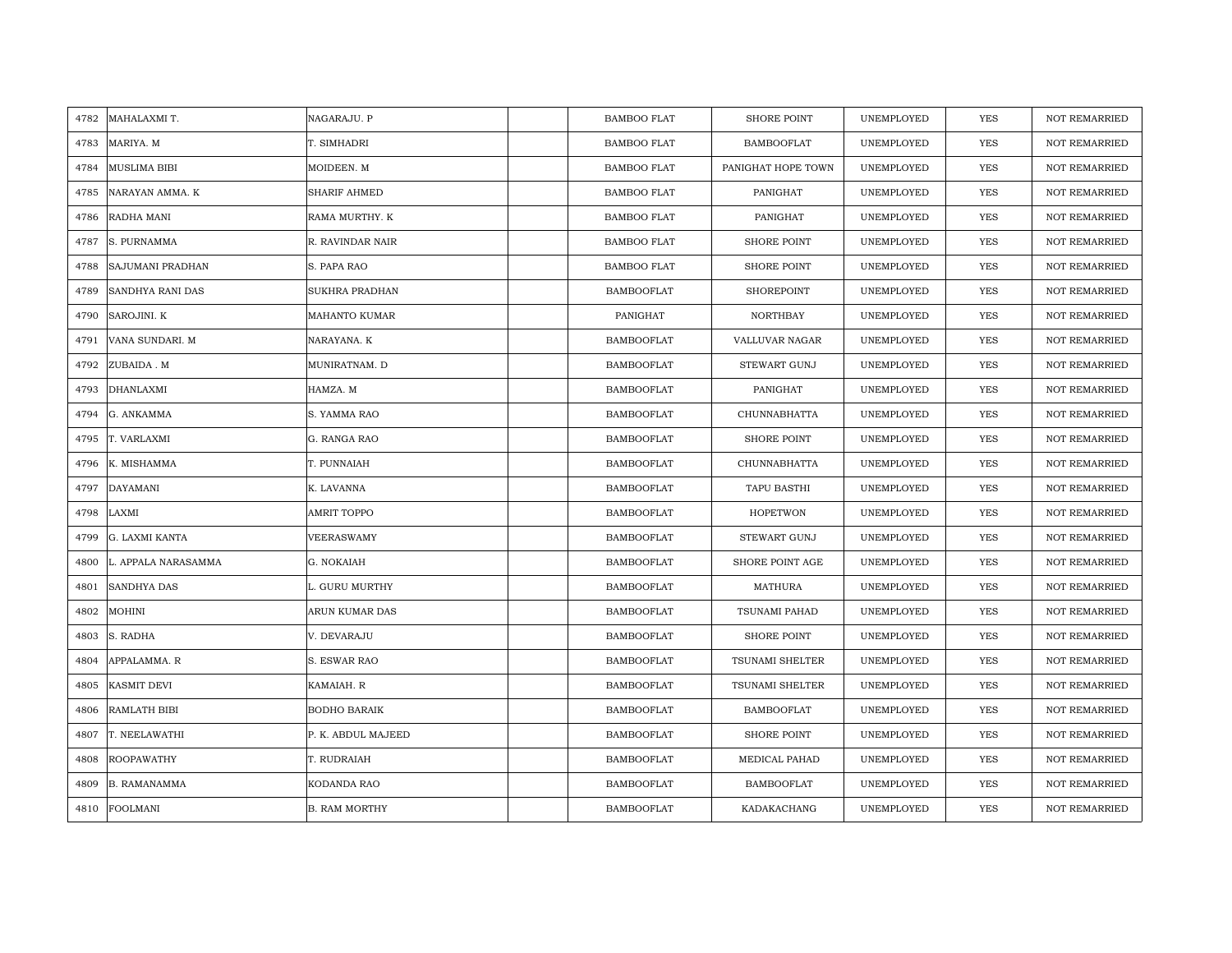| 4782 | MAHALAXMI T.            | NAGARAJU. P           | <b>BAMBOO FLAT</b> | <b>SHORE POINT</b>     | UNEMPLOYED | YES        | <b>NOT REMARRIED</b> |
|------|-------------------------|-----------------------|--------------------|------------------------|------------|------------|----------------------|
| 4783 | MARIYA. M               | T. SIMHADRI           | <b>BAMBOO FLAT</b> | <b>BAMBOOFLAT</b>      | UNEMPLOYED | <b>YES</b> | <b>NOT REMARRIED</b> |
| 4784 | <b>MUSLIMA BIBI</b>     | MOIDEEN. M            | <b>BAMBOO FLAT</b> | PANIGHAT HOPE TOWN     | UNEMPLOYED | <b>YES</b> | <b>NOT REMARRIED</b> |
| 4785 | NARAYAN AMMA. K         | <b>SHARIF AHMED</b>   | <b>BAMBOO FLAT</b> | PANIGHAT               | UNEMPLOYED | <b>YES</b> | <b>NOT REMARRIED</b> |
| 4786 | RADHA MANI              | RAMA MURTHY. K        | <b>BAMBOO FLAT</b> | PANIGHAT               | UNEMPLOYED | <b>YES</b> | <b>NOT REMARRIED</b> |
| 4787 | S. PURNAMMA             | R. RAVINDAR NAIR      | <b>BAMBOO FLAT</b> | <b>SHORE POINT</b>     | UNEMPLOYED | <b>YES</b> | <b>NOT REMARRIED</b> |
| 4788 | <b>SAJUMANI PRADHAN</b> | S. PAPA RAO           | <b>BAMBOO FLAT</b> | <b>SHORE POINT</b>     | UNEMPLOYED | YES        | <b>NOT REMARRIED</b> |
| 4789 | SANDHYA RANI DAS        | <b>SUKHRA PRADHAN</b> | <b>BAMBOOFLAT</b>  | SHOREPOINT             | UNEMPLOYED | <b>YES</b> | <b>NOT REMARRIED</b> |
| 4790 | SAROJINI. K             | <b>MAHANTO KUMAR</b>  | PANIGHAT           | NORTHBAY               | UNEMPLOYED | <b>YES</b> | <b>NOT REMARRIED</b> |
| 4791 | VANA SUNDARI. M         | NARAYANA. K           | <b>BAMBOOFLAT</b>  | VALLUVAR NAGAR         | UNEMPLOYED | <b>YES</b> | <b>NOT REMARRIED</b> |
| 4792 | ZUBAIDA. M              | MUNIRATNAM. D         | <b>BAMBOOFLAT</b>  | <b>STEWART GUNJ</b>    | UNEMPLOYED | <b>YES</b> | <b>NOT REMARRIED</b> |
| 4793 | <b>DHANLAXMI</b>        | HAMZA. M              | <b>BAMBOOFLAT</b>  | PANIGHAT               | UNEMPLOYED | <b>YES</b> | <b>NOT REMARRIED</b> |
| 4794 | G. ANKAMMA              | S. YAMMA RAO          | <b>BAMBOOFLAT</b>  | <b>CHUNNABHATTA</b>    | UNEMPLOYED | YES        | <b>NOT REMARRIED</b> |
| 4795 | T. VARLAXMI             | G. RANGA RAO          | BAMBOOFLAT         | <b>SHORE POINT</b>     | UNEMPLOYED | YES        | <b>NOT REMARRIED</b> |
| 4796 | K. MISHAMMA             | T. PUNNAIAH           | <b>BAMBOOFLAT</b>  | CHUNNABHATTA           | UNEMPLOYED | YES        | <b>NOT REMARRIED</b> |
| 4797 | <b>DAYAMANI</b>         | K. LAVANNA            | <b>BAMBOOFLAT</b>  | TAPU BASTHI            | UNEMPLOYED | <b>YES</b> | <b>NOT REMARRIED</b> |
| 4798 | LAXMI                   | <b>AMRIT TOPPO</b>    | <b>BAMBOOFLAT</b>  | <b>HOPETWON</b>        | UNEMPLOYED | <b>YES</b> | <b>NOT REMARRIED</b> |
| 4799 | G. LAXMI KANTA          | VEERASWAMY            | <b>BAMBOOFLAT</b>  | <b>STEWART GUNJ</b>    | UNEMPLOYED | <b>YES</b> | <b>NOT REMARRIED</b> |
| 4800 | L. APPALA NARASAMMA     | G. NOKAIAH            | <b>BAMBOOFLAT</b>  | SHORE POINT AGE        | UNEMPLOYED | <b>YES</b> | <b>NOT REMARRIED</b> |
| 4801 | <b>SANDHYA DAS</b>      | L. GURU MURTHY        | <b>BAMBOOFLAT</b>  | MATHURA                | UNEMPLOYED | <b>YES</b> | <b>NOT REMARRIED</b> |
| 4802 | MOHINI                  | ARUN KUMAR DAS        | <b>BAMBOOFLAT</b>  | TSUNAMI PAHAD          | UNEMPLOYED | YES        | <b>NOT REMARRIED</b> |
| 4803 | S. RADHA                | V. DEVARAJU           | <b>BAMBOOFLAT</b>  | <b>SHORE POINT</b>     | UNEMPLOYED | YES        | <b>NOT REMARRIED</b> |
| 4804 | APPALAMMA. R            | S. ESWAR RAO          | <b>BAMBOOFLAT</b>  | <b>TSUNAMI SHELTER</b> | UNEMPLOYED | <b>YES</b> | <b>NOT REMARRIED</b> |
| 4805 | <b>KASMIT DEVI</b>      | KAMAIAH. R            | <b>BAMBOOFLAT</b>  | TSUNAMI SHELTER        | UNEMPLOYED | <b>YES</b> | <b>NOT REMARRIED</b> |
| 4806 | <b>RAMLATH BIBI</b>     | <b>BODHO BARAIK</b>   | <b>BAMBOOFLAT</b>  | <b>BAMBOOFLAT</b>      | UNEMPLOYED | <b>YES</b> | <b>NOT REMARRIED</b> |
| 4807 | T. NEELAWATHI           | P. K. ABDUL MAJEED    | <b>BAMBOOFLAT</b>  | SHORE POINT            | UNEMPLOYED | YES        | <b>NOT REMARRIED</b> |
| 4808 | <b>ROOPAWATHY</b>       | T. RUDRAIAH           | <b>BAMBOOFLAT</b>  | MEDICAL PAHAD          | UNEMPLOYED | YES        | <b>NOT REMARRIED</b> |
| 4809 | <b>B. RAMANAMMA</b>     | KODANDA RAO           | <b>BAMBOOFLAT</b>  | <b>BAMBOOFLAT</b>      | UNEMPLOYED | <b>YES</b> | <b>NOT REMARRIED</b> |
|      | 4810 FOOLMANI           | <b>B. RAM MORTHY</b>  | <b>BAMBOOFLAT</b>  | KADAKACHANG            | UNEMPLOYED | <b>YES</b> | <b>NOT REMARRIED</b> |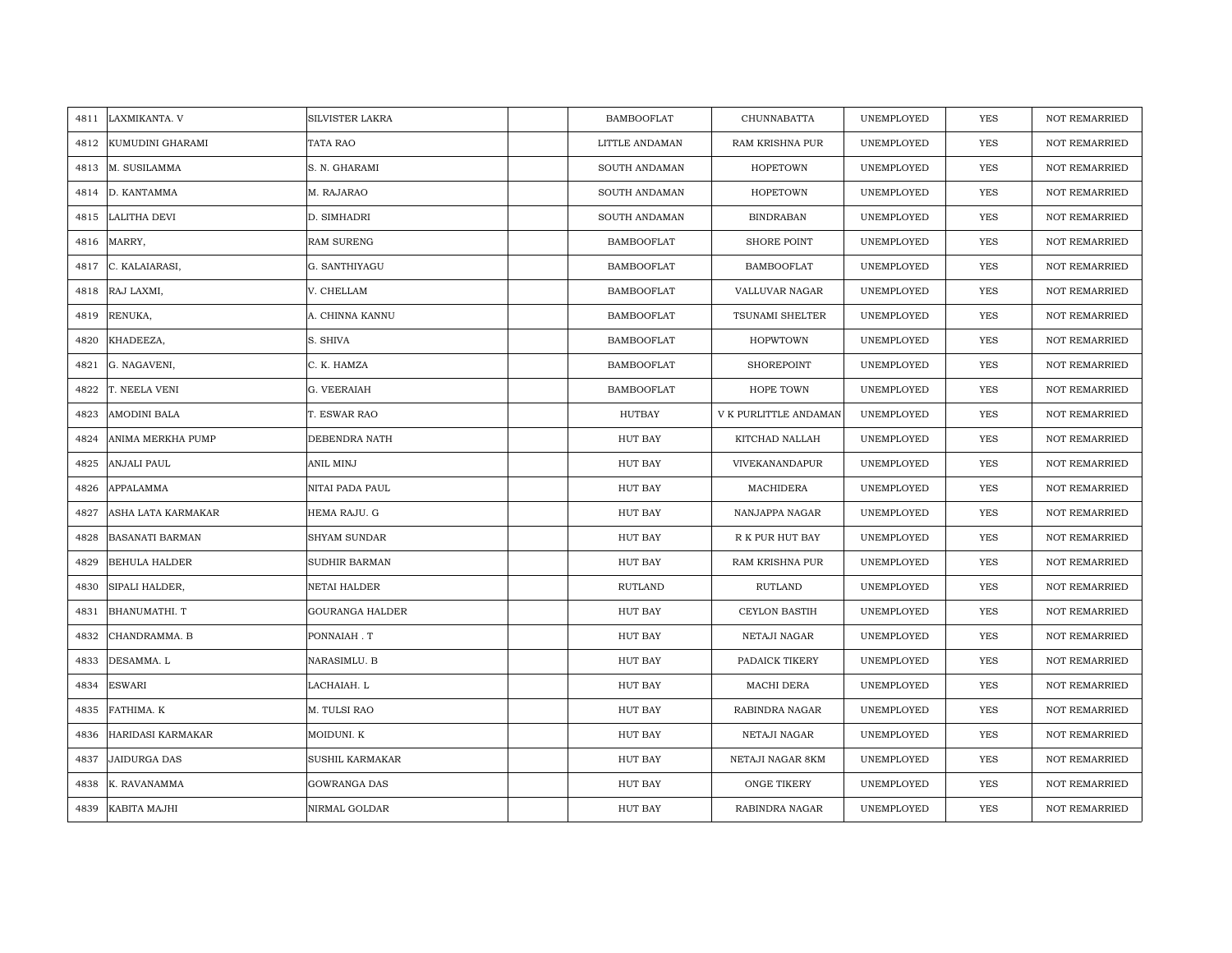| 4811 | LAXMIKANTA. V          | SILVISTER LAKRA      | <b>BAMBOOFLAT</b> | CHUNNABATTA           | UNEMPLOYED | <b>YES</b> | <b>NOT REMARRIED</b> |
|------|------------------------|----------------------|-------------------|-----------------------|------------|------------|----------------------|
| 4812 | KUMUDINI GHARAMI       | TATA RAO             | LITTLE ANDAMAN    | RAM KRISHNA PUR       | UNEMPLOYED | <b>YES</b> | <b>NOT REMARRIED</b> |
| 4813 | M. SUSILAMMA           | S. N. GHARAMI        | SOUTH ANDAMAN     | <b>HOPETOWN</b>       | UNEMPLOYED | YES        | <b>NOT REMARRIED</b> |
| 4814 | D. KANTAMMA            | M. RAJARAO           | SOUTH ANDAMAN     | <b>HOPETOWN</b>       | UNEMPLOYED | YES        | <b>NOT REMARRIED</b> |
| 4815 | LALITHA DEVI           | D. SIMHADRI          | SOUTH ANDAMAN     | <b>BINDRABAN</b>      | UNEMPLOYED | YES        | NOT REMARRIED        |
| 4816 | MARRY,                 | <b>RAM SURENG</b>    | <b>BAMBOOFLAT</b> | SHORE POINT           | UNEMPLOYED | <b>YES</b> | NOT REMARRIED        |
| 4817 | C. KALAIARASI,         | G. SANTHIYAGU        | <b>BAMBOOFLAT</b> | <b>BAMBOOFLAT</b>     | UNEMPLOYED | YES        | NOT REMARRIED        |
| 4818 | RAJ LAXMI,             | V. CHELLAM           | <b>BAMBOOFLAT</b> | VALLUVAR NAGAR        | UNEMPLOYED | YES        | NOT REMARRIED        |
| 4819 | RENUKA,                | A. CHINNA KANNU      | <b>BAMBOOFLAT</b> | TSUNAMI SHELTER       | UNEMPLOYED | YES        | NOT REMARRIED        |
| 4820 | KHADEEZA,              | S. SHIVA             | BAMBOOFLAT        | <b>HOPWTOWN</b>       | UNEMPLOYED | YES        | <b>NOT REMARRIED</b> |
| 4821 | G. NAGAVENI,           | C. K. HAMZA          | BAMBOOFLAT        | SHOREPOINT            | UNEMPLOYED | YES        | <b>NOT REMARRIED</b> |
| 4822 | T. NEELA VENI          | G. VEERAIAH          | <b>BAMBOOFLAT</b> | HOPE TOWN             | UNEMPLOYED | YES        | NOT REMARRIED        |
| 4823 | <b>AMODINI BALA</b>    | T. ESWAR RAO         | HUTBAY            | V K PURLITTLE ANDAMAN | UNEMPLOYED | YES        | <b>NOT REMARRIED</b> |
| 4824 | ANIMA MERKHA PUMP      | DEBENDRA NATH        | HUT BAY           | KITCHAD NALLAH        | UNEMPLOYED | YES        | <b>NOT REMARRIED</b> |
| 4825 | <b>ANJALI PAUL</b>     | ANIL MINJ            | HUT BAY           | VIVEKANANDAPUR        | UNEMPLOYED | YES        | NOT REMARRIED        |
| 4826 | APPALAMMA              | NITAI PADA PAUL      | HUT BAY           | MACHIDERA             | UNEMPLOYED | YES        | <b>NOT REMARRIED</b> |
| 4827 | ASHA LATA KARMAKAR     | HEMA RAJU. G         | HUT BAY           | NANJAPPA NAGAR        | UNEMPLOYED | YES        | <b>NOT REMARRIED</b> |
| 4828 | <b>BASANATI BARMAN</b> | <b>SHYAM SUNDAR</b>  | HUT BAY           | R K PUR HUT BAY       | UNEMPLOYED | YES        | <b>NOT REMARRIED</b> |
| 4829 | <b>BEHULA HALDER</b>   | <b>SUDHIR BARMAN</b> | HUT BAY           | RAM KRISHNA PUR       | UNEMPLOYED | <b>YES</b> | <b>NOT REMARRIED</b> |
| 4830 | SIPALI HALDER,         | NETAI HALDER         | <b>RUTLAND</b>    | <b>RUTLAND</b>        | UNEMPLOYED | YES        | NOT REMARRIED        |
| 4831 | <b>BHANUMATHI. T</b>   | GOURANGA HALDER      | HUT BAY           | CEYLON BASTIH         | UNEMPLOYED | YES        | NOT REMARRIED        |
| 4832 | CHANDRAMMA. B          | PONNAIAH.T           | HUT BAY           | NETAJI NAGAR          | UNEMPLOYED | YES        | NOT REMARRIED        |
| 4833 | DESAMMA. L             | NARASIMLU. B         | HUT BAY           | PADAICK TIKERY        | UNEMPLOYED | <b>YES</b> | <b>NOT REMARRIED</b> |
| 4834 | <b>ESWARI</b>          | LACHAIAH. L          | HUT BAY           | MACHI DERA            | UNEMPLOYED | YES        | <b>NOT REMARRIED</b> |
| 4835 | FATHIMA. K             | M. TULSI RAO         | HUT BAY           | RABINDRA NAGAR        | UNEMPLOYED | YES        | <b>NOT REMARRIED</b> |
| 4836 | HARIDASI KARMAKAR      | MOIDUNI. K           | HUT BAY           | NETAJI NAGAR          | UNEMPLOYED | YES        | NOT REMARRIED        |
| 4837 | <b>JAIDURGA DAS</b>    | SUSHIL KARMAKAR      | HUT BAY           | NETAJI NAGAR 8KM      | UNEMPLOYED | YES        | <b>NOT REMARRIED</b> |
| 4838 | K. RAVANAMMA           | <b>GOWRANGA DAS</b>  | HUT BAY           | <b>ONGE TIKERY</b>    | UNEMPLOYED | YES        | <b>NOT REMARRIED</b> |
| 4839 | KABITA MAJHI           | NIRMAL GOLDAR        | HUT BAY           | RABINDRA NAGAR        | UNEMPLOYED | <b>YES</b> | <b>NOT REMARRIED</b> |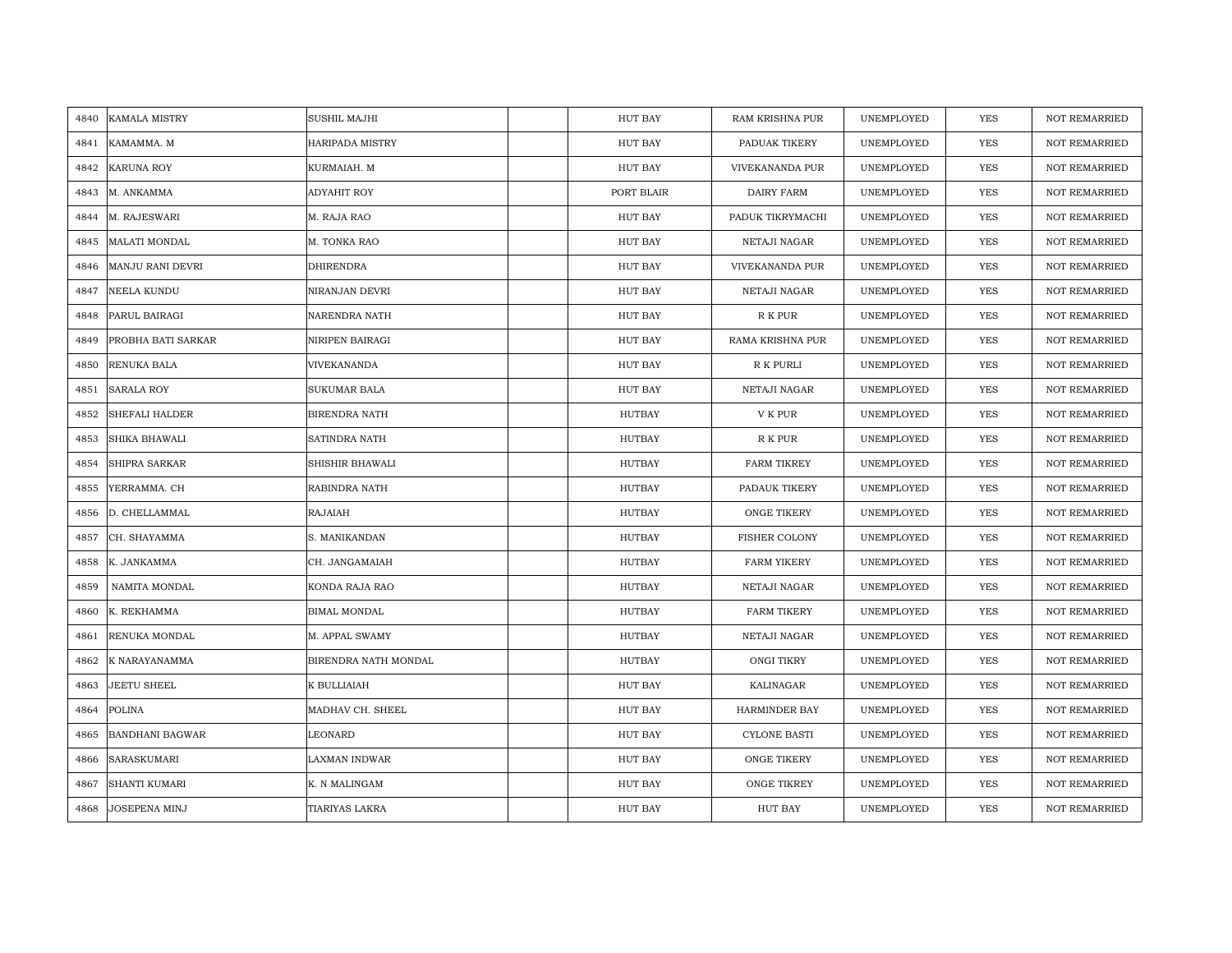| 4840 | <b>KAMALA MISTRY</b>   | SUSHIL MAJHI           | HUT BAY       | RAM KRISHNA PUR      | UNEMPLOYED | <b>YES</b> | <b>NOT REMARRIED</b> |
|------|------------------------|------------------------|---------------|----------------------|------------|------------|----------------------|
| 4841 | KAMAMMA. M             | <b>HARIPADA MISTRY</b> | HUT BAY       | PADUAK TIKERY        | UNEMPLOYED | <b>YES</b> | <b>NOT REMARRIED</b> |
| 4842 | <b>KARUNA ROY</b>      | KURMAIAH. M            | HUT BAY       | VIVEKANANDA PUR      | UNEMPLOYED | YES        | <b>NOT REMARRIED</b> |
| 4843 | M. ANKAMMA             | ADYAHIT ROY            | PORT BLAIR    | DAIRY FARM           | UNEMPLOYED | YES        | <b>NOT REMARRIED</b> |
| 4844 | M. RAJESWARI           | M. RAJA RAO            | HUT BAY       | PADUK TIKRYMACHI     | UNEMPLOYED | YES        | <b>NOT REMARRIED</b> |
| 4845 | <b>MALATI MONDAL</b>   | M. TONKA RAO           | HUT BAY       | NETAJI NAGAR         | UNEMPLOYED | YES        | NOT REMARRIED        |
| 4846 | MANJU RANI DEVRI       | DHIRENDRA              | HUT BAY       | VIVEKANANDA PUR      | UNEMPLOYED | YES        | <b>NOT REMARRIED</b> |
| 4847 | NEELA KUNDU            | NIRANJAN DEVRI         | HUT BAY       | NETAJI NAGAR         | UNEMPLOYED | YES        | <b>NOT REMARRIED</b> |
| 4848 | PARUL BAIRAGI          | NARENDRA NATH          | HUT BAY       | R K PUR              | UNEMPLOYED | YES        | NOT REMARRIED        |
| 4849 | PROBHA BATI SARKAR     | NIRIPEN BAIRAGI        | HUT BAY       | RAMA KRISHNA PUR     | UNEMPLOYED | YES        | <b>NOT REMARRIED</b> |
| 4850 | RENUKA BALA            | VIVEKANANDA            | HUT BAY       | R K PURLI            | UNEMPLOYED | YES        | <b>NOT REMARRIED</b> |
| 4851 | <b>SARALA ROY</b>      | <b>SUKUMAR BALA</b>    | HUT BAY       | NETAJI NAGAR         | UNEMPLOYED | YES        | <b>NOT REMARRIED</b> |
| 4852 | <b>SHEFALI HALDER</b>  | BIRENDRA NATH          | HUTBAY        | V K PUR              | UNEMPLOYED | <b>YES</b> | NOT REMARRIED        |
| 4853 | <b>SHIKA BHAWALI</b>   | SATINDRA NATH          | <b>HUTBAY</b> | R K PUR              | UNEMPLOYED | <b>YES</b> | <b>NOT REMARRIED</b> |
| 4854 | SHIPRA SARKAR          | SHISHIR BHAWALI        | HUTBAY        | <b>FARM TIKREY</b>   | UNEMPLOYED | YES        | NOT REMARRIED        |
| 4855 | YERRAMMA. CH           | RABINDRA NATH          | <b>HUTBAY</b> | PADAUK TIKERY        | UNEMPLOYED | <b>YES</b> | NOT REMARRIED        |
| 4856 | D. CHELLAMMAL          | <b>RAJAIAH</b>         | <b>HUTBAY</b> | <b>ONGE TIKERY</b>   | UNEMPLOYED | YES        | <b>NOT REMARRIED</b> |
| 4857 | CH. SHAYAMMA           | S. MANIKANDAN          | HUTBAY        | <b>FISHER COLONY</b> | UNEMPLOYED | YES        | <b>NOT REMARRIED</b> |
| 4858 | K. JANKAMMA            | CH. JANGAMAIAH         | HUTBAY        | <b>FARM YIKERY</b>   | UNEMPLOYED | YES        | <b>NOT REMARRIED</b> |
| 4859 | NAMITA MONDAL          | KONDA RAJA RAO         | HUTBAY        | NETAJI NAGAR         | UNEMPLOYED | YES        | <b>NOT REMARRIED</b> |
| 4860 | K. REKHAMMA            | <b>BIMAL MONDAL</b>    | <b>HUTBAY</b> | <b>FARM TIKERY</b>   | UNEMPLOYED | YES        | <b>NOT REMARRIED</b> |
| 4861 | RENUKA MONDAL          | M. APPAL SWAMY         | HUTBAY        | NETAJI NAGAR         | UNEMPLOYED | YES        | <b>NOT REMARRIED</b> |
| 4862 | K NARAYANAMMA          | BIRENDRA NATH MONDAL   | HUTBAY        | ONGI TIKRY           | UNEMPLOYED | YES        | <b>NOT REMARRIED</b> |
| 4863 | <b>JEETU SHEEL</b>     | K BULLIAIAH            | HUT BAY       | KALINAGAR            | UNEMPLOYED | YES        | <b>NOT REMARRIED</b> |
| 4864 | <b>POLINA</b>          | MADHAV CH. SHEEL       | HUT BAY       | <b>HARMINDER BAY</b> | UNEMPLOYED | YES        | <b>NOT REMARRIED</b> |
| 4865 | <b>BANDHANI BAGWAR</b> | LEONARD                | HUT BAY       | <b>CYLONE BASTI</b>  | UNEMPLOYED | YES        | NOT REMARRIED        |
| 4866 | SARASKUMARI            | LAXMAN INDWAR          | HUT BAY       | <b>ONGE TIKERY</b>   | UNEMPLOYED | YES        | NOT REMARRIED        |
| 4867 | <b>SHANTI KUMARI</b>   | K. N MALINGAM          | HUT BAY       | ONGE TIKREY          | UNEMPLOYED | YES        | <b>NOT REMARRIED</b> |
| 4868 | JOSEPENA MINJ          | TIARIYAS LAKRA         | HUT BAY       | <b>HUT BAY</b>       | UNEMPLOYED | YES        | NOT REMARRIED        |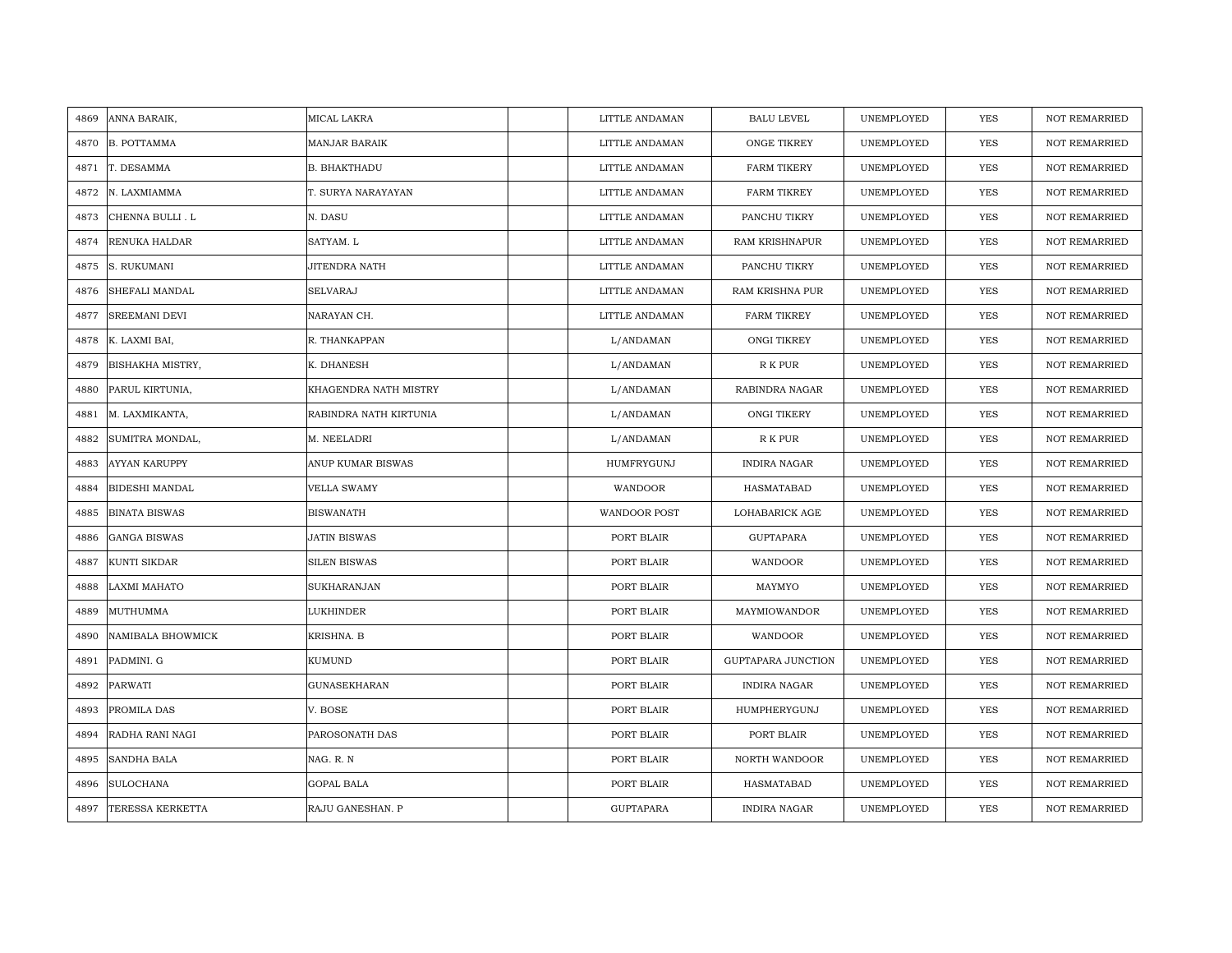| 4869 | ANNA BARAIK,            | MICAL LAKRA            | LITTLE ANDAMAN      | <b>BALU LEVEL</b>    | UNEMPLOYED | <b>YES</b> | <b>NOT REMARRIED</b> |
|------|-------------------------|------------------------|---------------------|----------------------|------------|------------|----------------------|
| 4870 | <b>B. POTTAMMA</b>      | <b>MANJAR BARAIK</b>   | LITTLE ANDAMAN      | ONGE TIKREY          | UNEMPLOYED | <b>YES</b> | <b>NOT REMARRIED</b> |
| 4871 | T. DESAMMA              | <b>B. BHAKTHADU</b>    | LITTLE ANDAMAN      | <b>FARM TIKERY</b>   | UNEMPLOYED | YES        | <b>NOT REMARRIED</b> |
| 4872 | N. LAXMIAMMA            | T. SURYA NARAYAYAN     | LITTLE ANDAMAN      | <b>FARM TIKREY</b>   | UNEMPLOYED | YES        | <b>NOT REMARRIED</b> |
| 4873 | CHENNA BULLI. L         | N. DASU                | LITTLE ANDAMAN      | PANCHU TIKRY         | UNEMPLOYED | YES        | <b>NOT REMARRIED</b> |
| 4874 | RENUKA HALDAR           | SATYAM. L              | LITTLE ANDAMAN      | RAM KRISHNAPUR       | UNEMPLOYED | <b>YES</b> | NOT REMARRIED        |
| 4875 | S. RUKUMANI             | JITENDRA NATH          | LITTLE ANDAMAN      | PANCHU TIKRY         | UNEMPLOYED | YES        | NOT REMARRIED        |
| 4876 | SHEFALI MANDAL          | <b>SELVARAJ</b>        | LITTLE ANDAMAN      | RAM KRISHNA PUR      | UNEMPLOYED | YES        | NOT REMARRIED        |
| 4877 | <b>SREEMANI DEVI</b>    | NARAYAN CH.            | LITTLE ANDAMAN      | <b>FARM TIKREY</b>   | UNEMPLOYED | YES        | NOT REMARRIED        |
| 4878 | K. LAXMI BAI,           | R. THANKAPPAN          | L/ANDAMAN           | ONGI TIKREY          | UNEMPLOYED | YES        | <b>NOT REMARRIED</b> |
| 4879 | <b>BISHAKHA MISTRY,</b> | K. DHANESH             | L/ANDAMAN           | R K PUR              | UNEMPLOYED | YES        | <b>NOT REMARRIED</b> |
| 4880 | PARUL KIRTUNIA,         | KHAGENDRA NATH MISTRY  | L/ANDAMAN           | RABINDRA NAGAR       | UNEMPLOYED | YES        | NOT REMARRIED        |
| 4881 | M. LAXMIKANTA,          | RABINDRA NATH KIRTUNIA | L/ANDAMAN           | ONGI TIKERY          | UNEMPLOYED | YES        | <b>NOT REMARRIED</b> |
| 4882 | SUMITRA MONDAL,         | M. NEELADRI            | L/ANDAMAN           | R K PUR              | UNEMPLOYED | YES        | <b>NOT REMARRIED</b> |
| 4883 | <b>AYYAN KARUPPY</b>    | ANUP KUMAR BISWAS      | HUMFRYGUNJ          | <b>INDIRA NAGAR</b>  | UNEMPLOYED | YES        | NOT REMARRIED        |
| 4884 | <b>BIDESHI MANDAL</b>   | <b>VELLA SWAMY</b>     | WANDOOR             | HASMATABAD           | UNEMPLOYED | <b>YES</b> | <b>NOT REMARRIED</b> |
| 4885 | <b>BINATA BISWAS</b>    | <b>BISWANATH</b>       | <b>WANDOOR POST</b> | LOHABARICK AGE       | UNEMPLOYED | YES        | <b>NOT REMARRIED</b> |
| 4886 | <b>GANGA BISWAS</b>     | JATIN BISWAS           | PORT BLAIR          | <b>GUPTAPARA</b>     | UNEMPLOYED | YES        | <b>NOT REMARRIED</b> |
| 4887 | <b>KUNTI SIKDAR</b>     | <b>SILEN BISWAS</b>    | PORT BLAIR          | WANDOOR              | UNEMPLOYED | <b>YES</b> | <b>NOT REMARRIED</b> |
| 4888 | <b>LAXMI MAHATO</b>     | SUKHARANJAN            | PORT BLAIR          | MAYMYO               | UNEMPLOYED | YES        | <b>NOT REMARRIED</b> |
| 4889 | MUTHUMMA                | LUKHINDER              | PORT BLAIR          | MAYMIOWANDOR         | UNEMPLOYED | YES        | NOT REMARRIED        |
| 4890 | NAMIBALA BHOWMICK       | KRISHNA. B             | PORT BLAIR          | WANDOOR              | UNEMPLOYED | YES        | NOT REMARRIED        |
| 4891 | PADMINI. G              | KUMUND                 | PORT BLAIR          | GUPTAPARA JUNCTION   | UNEMPLOYED | <b>YES</b> | <b>NOT REMARRIED</b> |
| 4892 | <b>PARWATI</b>          | <b>GUNASEKHARAN</b>    | PORT BLAIR          | <b>INDIRA NAGAR</b>  | UNEMPLOYED | YES        | <b>NOT REMARRIED</b> |
| 4893 | PROMILA DAS             | V. BOSE                | PORT BLAIR          | HUMPHERYGUNJ         | UNEMPLOYED | YES        | <b>NOT REMARRIED</b> |
| 4894 | RADHA RANI NAGI         | PAROSONATH DAS         | PORT BLAIR          | PORT BLAIR           | UNEMPLOYED | YES        | NOT REMARRIED        |
| 4895 | <b>SANDHA BALA</b>      | NAG. R. N              | PORT BLAIR          | <b>NORTH WANDOOR</b> | UNEMPLOYED | YES        | <b>NOT REMARRIED</b> |
| 4896 | <b>SULOCHANA</b>        | <b>GOPAL BALA</b>      | PORT BLAIR          | HASMATABAD           | UNEMPLOYED | YES        | <b>NOT REMARRIED</b> |
| 4897 | <b>TERESSA KERKETTA</b> | RAJU GANESHAN. P       | GUPTAPARA           | <b>INDIRA NAGAR</b>  | UNEMPLOYED | <b>YES</b> | <b>NOT REMARRIED</b> |
|      |                         |                        |                     |                      |            |            |                      |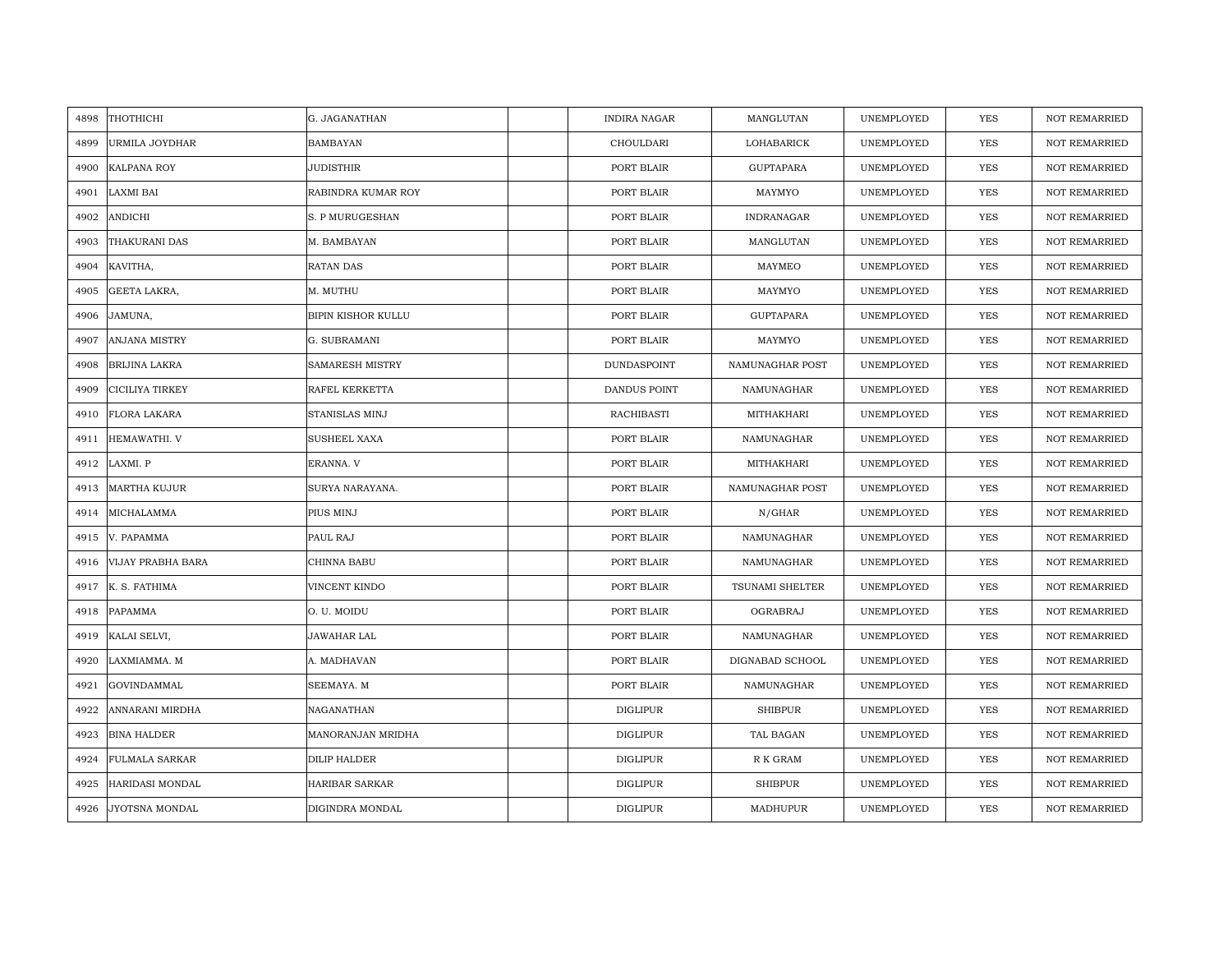| 4898 | THOTHICHI                | G. JAGANATHAN       | <b>INDIRA NAGAR</b> | MANGLUTAN        | UNEMPLOYED | <b>YES</b> | <b>NOT REMARRIED</b> |
|------|--------------------------|---------------------|---------------------|------------------|------------|------------|----------------------|
| 4899 | URMILA JOYDHAR           | <b>BAMBAYAN</b>     | CHOULDARI           | LOHABARICK       | UNEMPLOYED | <b>YES</b> | <b>NOT REMARRIED</b> |
| 4900 | <b>KALPANA ROY</b>       | <b>JUDISTHIR</b>    | PORT BLAIR          | <b>GUPTAPARA</b> | UNEMPLOYED | <b>YES</b> | <b>NOT REMARRIED</b> |
| 4901 | LAXMI BAI                | RABINDRA KUMAR ROY  | PORT BLAIR          | MAYMYO           | UNEMPLOYED | YES        | <b>NOT REMARRIED</b> |
| 4902 | ANDICHI                  | S. P MURUGESHAN     | PORT BLAIR          | INDRANAGAR       | UNEMPLOYED | YES        | <b>NOT REMARRIED</b> |
| 4903 | THAKURANI DAS            | M. BAMBAYAN         | PORT BLAIR          | MANGLUTAN        | UNEMPLOYED | YES        | NOT REMARRIED        |
| 4904 | KAVITHA,                 | <b>RATAN DAS</b>    | PORT BLAIR          | MAYMEO           | UNEMPLOYED | <b>YES</b> | <b>NOT REMARRIED</b> |
| 4905 | GEETA LAKRA,             | M. MUTHU            | PORT BLAIR          | MAYMYO           | UNEMPLOYED | YES        | NOT REMARRIED        |
| 4906 | JAMUNA,                  | BIPIN KISHOR KULLU  | PORT BLAIR          | GUPTAPARA        | UNEMPLOYED | YES        | NOT REMARRIED        |
| 4907 | ANJANA MISTRY            | G. SUBRAMANI        | PORT BLAIR          | MAYMYO           | UNEMPLOYED | YES        | <b>NOT REMARRIED</b> |
| 4908 | <b>BRIJINA LAKRA</b>     | SAMARESH MISTRY     | DUNDASPOINT         | NAMUNAGHAR POST  | UNEMPLOYED | YES        | <b>NOT REMARRIED</b> |
| 4909 | CICILIYA TIRKEY          | RAFEL KERKETTA      | DANDUS POINT        | NAMUNAGHAR       | UNEMPLOYED | YES        | <b>NOT REMARRIED</b> |
| 4910 | <b>FLORA LAKARA</b>      | STANISLAS MINJ      | RACHIBASTI          | MITHAKHARI       | UNEMPLOYED | <b>YES</b> | <b>NOT REMARRIED</b> |
|      | 4911 HEMAWATHI. V        | <b>SUSHEEL XAXA</b> | PORT BLAIR          | NAMUNAGHAR       | UNEMPLOYED | <b>YES</b> | <b>NOT REMARRIED</b> |
| 4912 | LAXMI. P                 | ERANNA. V           | PORT BLAIR          | MITHAKHARI       | UNEMPLOYED | <b>YES</b> | <b>NOT REMARRIED</b> |
| 4913 | <b>MARTHA KUJUR</b>      | SURYA NARAYANA.     | PORT BLAIR          | NAMUNAGHAR POST  | UNEMPLOYED | <b>YES</b> | <b>NOT REMARRIED</b> |
| 4914 | MICHALAMMA               | PIUS MINJ           | PORT BLAIR          | N/GHAR           | UNEMPLOYED | <b>YES</b> | <b>NOT REMARRIED</b> |
| 4915 | V. PAPAMMA               | PAUL RAJ            | PORT BLAIR          | NAMUNAGHAR       | UNEMPLOYED | <b>YES</b> | <b>NOT REMARRIED</b> |
| 4916 | <b>VIJAY PRABHA BARA</b> | CHINNA BABU         | PORT BLAIR          | NAMUNAGHAR       | UNEMPLOYED | <b>YES</b> | <b>NOT REMARRIED</b> |
| 4917 | K. S. FATHIMA            | VINCENT KINDO       | PORT BLAIR          | TSUNAMI SHELTER  | UNEMPLOYED | <b>YES</b> | NOT REMARRIED        |
| 4918 | PAPAMMA                  | O. U. MOIDU         | PORT BLAIR          | OGRABRAJ         | UNEMPLOYED | YES        | <b>NOT REMARRIED</b> |
| 4919 | KALAI SELVI,             | JAWAHAR LAL         | PORT BLAIR          | NAMUNAGHAR       | UNEMPLOYED | YES        | <b>NOT REMARRIED</b> |
| 4920 | LAXMIAMMA. M             | A. MADHAVAN         | PORT BLAIR          | DIGNABAD SCHOOL  | UNEMPLOYED | <b>YES</b> | <b>NOT REMARRIED</b> |
| 4921 | GOVINDAMMAL              | SEEMAYA. M          | PORT BLAIR          | NAMUNAGHAR       | UNEMPLOYED | <b>YES</b> | <b>NOT REMARRIED</b> |
| 4922 | ANNARANI MIRDHA          | NAGANATHAN          | <b>DIGLIPUR</b>     | <b>SHIBPUR</b>   | UNEMPLOYED | <b>YES</b> | <b>NOT REMARRIED</b> |
| 4923 | <b>BINA HALDER</b>       | MANORANJAN MRIDHA   | <b>DIGLIPUR</b>     | TAL BAGAN        | UNEMPLOYED | YES        | NOT REMARRIED        |
| 4924 | FULMALA SARKAR           | DILIP HALDER        | DIGLIPUR            | R K GRAM         | UNEMPLOYED | YES        | <b>NOT REMARRIED</b> |
| 4925 | HARIDASI MONDAL          | HARIBAR SARKAR      | <b>DIGLIPUR</b>     | <b>SHIBPUR</b>   | UNEMPLOYED | YES        | <b>NOT REMARRIED</b> |
| 4926 | JYOTSNA MONDAL           | DIGINDRA MONDAL     | <b>DIGLIPUR</b>     | MADHUPUR         | UNEMPLOYED | <b>YES</b> | <b>NOT REMARRIED</b> |
|      |                          |                     |                     |                  |            |            |                      |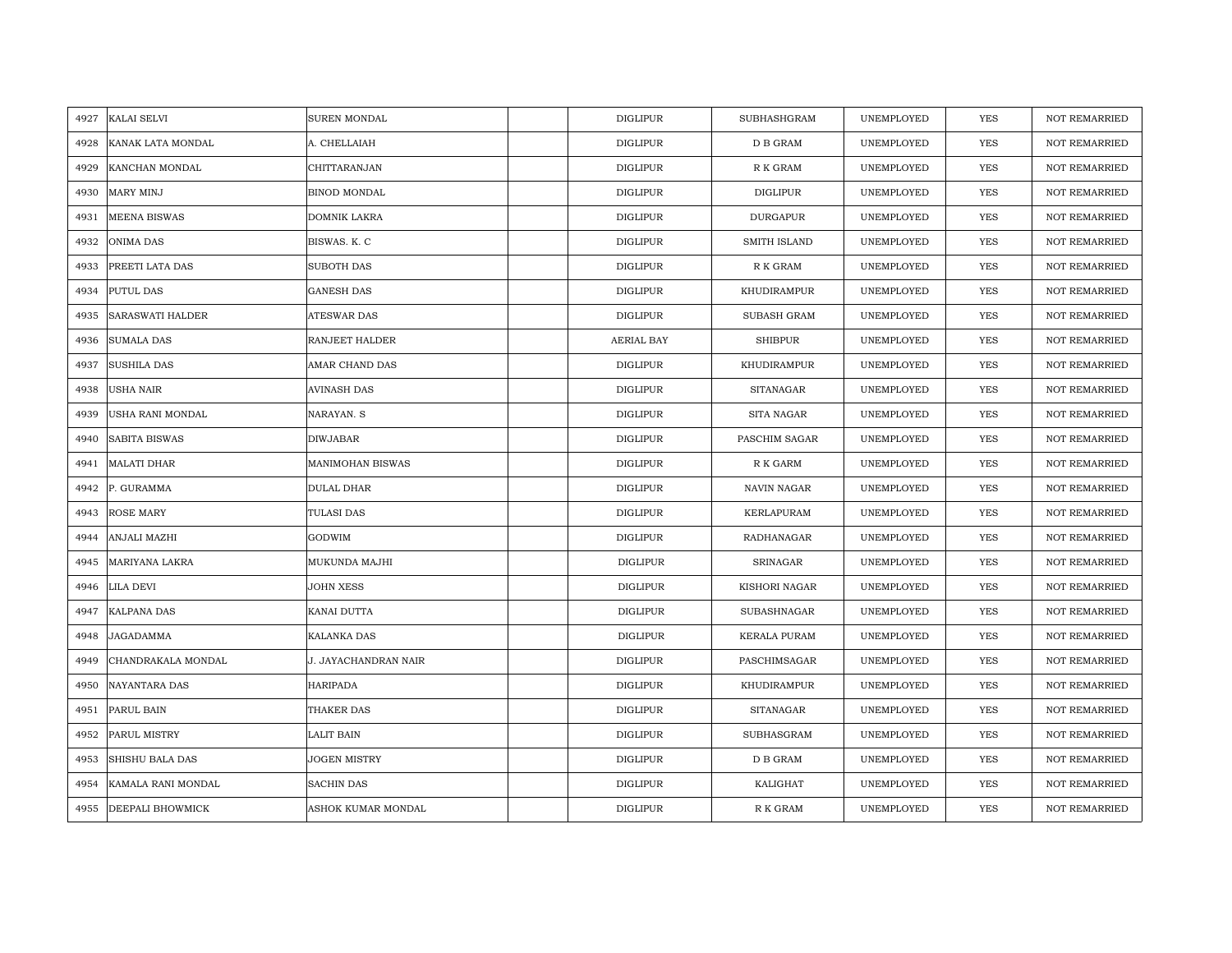| 4927 | KALAI SELVI          | <b>SUREN MONDAL</b>  | <b>DIGLIPUR</b> | <b>SUBHASHGRAM</b>   | UNEMPLOYED | <b>YES</b> | <b>NOT REMARRIED</b> |
|------|----------------------|----------------------|-----------------|----------------------|------------|------------|----------------------|
| 4928 | KANAK LATA MONDAL    | A. CHELLAIAH         | <b>DIGLIPUR</b> | D B GRAM             | UNEMPLOYED | <b>YES</b> | <b>NOT REMARRIED</b> |
| 4929 | KANCHAN MONDAL       | CHITTARANJAN         | <b>DIGLIPUR</b> | ${\mathbb R}$ K GRAM | UNEMPLOYED | YES        | <b>NOT REMARRIED</b> |
| 4930 | MARY MINJ            | BINOD MONDAL         | <b>DIGLIPUR</b> | DIGLIPUR             | UNEMPLOYED | YES        | <b>NOT REMARRIED</b> |
| 4931 | <b>MEENA BISWAS</b>  | <b>DOMNIK LAKRA</b>  | <b>DIGLIPUR</b> | <b>DURGAPUR</b>      | UNEMPLOYED | YES        | <b>NOT REMARRIED</b> |
| 4932 | ONIMA DAS            | BISWAS. K. C         | <b>DIGLIPUR</b> | SMITH ISLAND         | UNEMPLOYED | <b>YES</b> | NOT REMARRIED        |
| 4933 | PREETI LATA DAS      | SUBOTH DAS           | <b>DIGLIPUR</b> | R K GRAM             | UNEMPLOYED | <b>YES</b> | <b>NOT REMARRIED</b> |
| 4934 | PUTUL DAS            | <b>GANESH DAS</b>    | <b>DIGLIPUR</b> | KHUDIRAMPUR          | UNEMPLOYED | YES        | <b>NOT REMARRIED</b> |
| 4935 | SARASWATI HALDER     | <b>ATESWAR DAS</b>   | <b>DIGLIPUR</b> | SUBASH GRAM          | UNEMPLOYED | YES        | <b>NOT REMARRIED</b> |
| 4936 | <b>SUMALA DAS</b>    | RANJEET HALDER       | AERIAL BAY      | <b>SHIBPUR</b>       | UNEMPLOYED | YES        | <b>NOT REMARRIED</b> |
| 4937 | <b>SUSHILA DAS</b>   | AMAR CHAND DAS       | <b>DIGLIPUR</b> | KHUDIRAMPUR          | UNEMPLOYED | YES        | <b>NOT REMARRIED</b> |
| 4938 | <b>USHA NAIR</b>     | <b>AVINASH DAS</b>   | <b>DIGLIPUR</b> | <b>SITANAGAR</b>     | UNEMPLOYED | <b>YES</b> | <b>NOT REMARRIED</b> |
| 4939 | USHA RANI MONDAL     | NARAYAN. S           | <b>DIGLIPUR</b> | SITA NAGAR           | UNEMPLOYED | <b>YES</b> | <b>NOT REMARRIED</b> |
| 4940 | <b>SABITA BISWAS</b> | <b>DIWJABAR</b>      | <b>DIGLIPUR</b> | PASCHIM SAGAR        | UNEMPLOYED | YES        | <b>NOT REMARRIED</b> |
| 4941 | <b>MALATI DHAR</b>   | MANIMOHAN BISWAS     | <b>DIGLIPUR</b> | ${\mathbb R}$ K GARM | UNEMPLOYED | <b>YES</b> | <b>NOT REMARRIED</b> |
| 4942 | P. GURAMMA           | DULAL DHAR           | <b>DIGLIPUR</b> | NAVIN NAGAR          | UNEMPLOYED | <b>YES</b> | <b>NOT REMARRIED</b> |
| 4943 | <b>ROSE MARY</b>     | <b>TULASI DAS</b>    | <b>DIGLIPUR</b> | KERLAPURAM           | UNEMPLOYED | YES        | <b>NOT REMARRIED</b> |
| 4944 | ANJALI MAZHI         | <b>GODWIM</b>        | <b>DIGLIPUR</b> | RADHANAGAR           | UNEMPLOYED | <b>YES</b> | <b>NOT REMARRIED</b> |
| 4945 | MARIYANA LAKRA       | MUKUNDA MAJHI        | <b>DIGLIPUR</b> | SRINAGAR             | UNEMPLOYED | YES        | <b>NOT REMARRIED</b> |
| 4946 | LILA DEVI            | JOHN XESS            | <b>DIGLIPUR</b> | KISHORI NAGAR        | UNEMPLOYED | <b>YES</b> | <b>NOT REMARRIED</b> |
| 4947 | <b>KALPANA DAS</b>   | KANAI DUTTA          | <b>DIGLIPUR</b> | SUBASHNAGAR          | UNEMPLOYED | <b>YES</b> | <b>NOT REMARRIED</b> |
| 4948 | JAGADAMMA            | KALANKA DAS          | DIGLIPUR        | <b>KERALA PURAM</b>  | UNEMPLOYED | YES        | <b>NOT REMARRIED</b> |
| 4949 | CHANDRAKALA MONDAL   | J. JAYACHANDRAN NAIR | <b>DIGLIPUR</b> | PASCHIMSAGAR         | UNEMPLOYED | YES        | <b>NOT REMARRIED</b> |
| 4950 | NAYANTARA DAS        | <b>HARIPADA</b>      | <b>DIGLIPUR</b> | KHUDIRAMPUR          | UNEMPLOYED | YES        | NOT REMARRIED        |
| 4951 | PARUL BAIN           | THAKER DAS           | <b>DIGLIPUR</b> | <b>SITANAGAR</b>     | UNEMPLOYED | YES        | <b>NOT REMARRIED</b> |
| 4952 | PARUL MISTRY         | <b>LALIT BAIN</b>    | <b>DIGLIPUR</b> | SUBHASGRAM           | UNEMPLOYED | YES        | NOT REMARRIED        |
| 4953 | SHISHU BALA DAS      | JOGEN MISTRY         | <b>DIGLIPUR</b> | D B GRAM             | UNEMPLOYED | YES        | <b>NOT REMARRIED</b> |
| 4954 | KAMALA RANI MONDAL   | <b>SACHIN DAS</b>    | <b>DIGLIPUR</b> | KALIGHAT             | UNEMPLOYED | YES        | <b>NOT REMARRIED</b> |
| 4955 | DEEPALI BHOWMICK     | ASHOK KUMAR MONDAL   | <b>DIGLIPUR</b> | R K GRAM             | UNEMPLOYED | YES        | <b>NOT REMARRIED</b> |
|      |                      |                      |                 |                      |            |            |                      |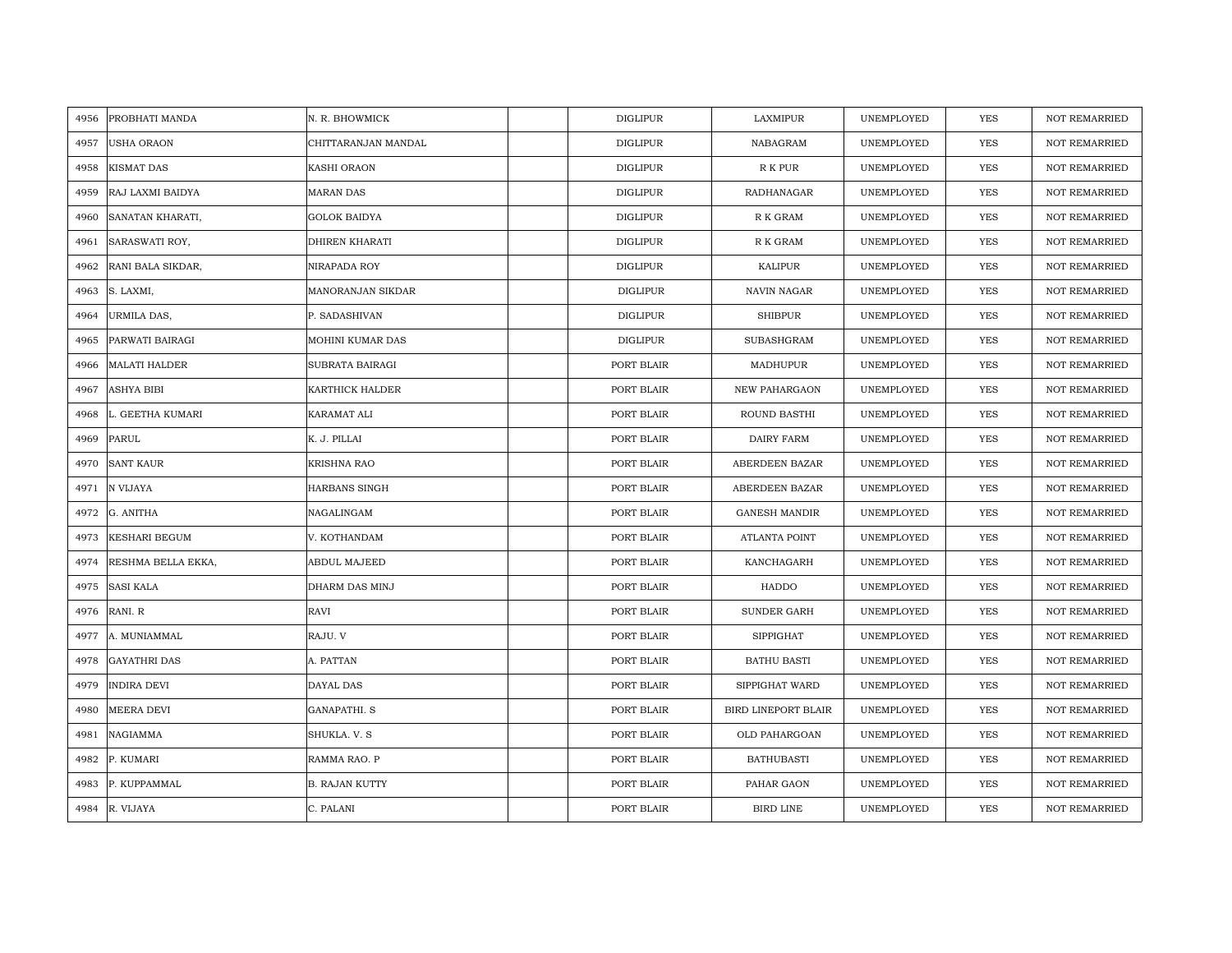| 4956 | PROBHATI MANDA       | N. R. BHOWMICK        | <b>DIGLIPUR</b> | LAXMIPUR             | UNEMPLOYED | YES        | <b>NOT REMARRIED</b> |
|------|----------------------|-----------------------|-----------------|----------------------|------------|------------|----------------------|
| 4957 | <b>USHA ORAON</b>    | CHITTARANJAN MANDAL   | <b>DIGLIPUR</b> | NABAGRAM             | UNEMPLOYED | YES        | NOT REMARRIED        |
| 4958 | <b>KISMAT DAS</b>    | KASHI ORAON           | <b>DIGLIPUR</b> | R K PUR              | UNEMPLOYED | <b>YES</b> | <b>NOT REMARRIED</b> |
| 4959 | RAJ LAXMI BAIDYA     | <b>MARAN DAS</b>      | DIGLIPUR        | RADHANAGAR           | UNEMPLOYED | <b>YES</b> | <b>NOT REMARRIED</b> |
| 4960 | SANATAN KHARATI,     | <b>GOLOK BAIDYA</b>   | <b>DIGLIPUR</b> | R K GRAM             | UNEMPLOYED | <b>YES</b> | <b>NOT REMARRIED</b> |
| 4961 | SARASWATI ROY,       | DHIREN KHARATI        | <b>DIGLIPUR</b> | R K GRAM             | UNEMPLOYED | <b>YES</b> | <b>NOT REMARRIED</b> |
| 4962 | RANI BALA SIKDAR,    | NIRAPADA ROY          | <b>DIGLIPUR</b> | KALIPUR              | UNEMPLOYED | <b>YES</b> | <b>NOT REMARRIED</b> |
| 4963 | S. LAXMI,            | MANORANJAN SIKDAR     | <b>DIGLIPUR</b> | NAVIN NAGAR          | UNEMPLOYED | YES        | NOT REMARRIED        |
| 4964 | URMILA DAS,          | P. SADASHIVAN         | DIGLIPUR        | SHIBPUR              | UNEMPLOYED | YES        | <b>NOT REMARRIED</b> |
| 4965 | PARWATI BAIRAGI      | MOHINI KUMAR DAS      | DIGLIPUR        | SUBASHGRAM           | UNEMPLOYED | YES        | <b>NOT REMARRIED</b> |
| 4966 | <b>MALATI HALDER</b> | SUBRATA BAIRAGI       | PORT BLAIR      | MADHUPUR             | UNEMPLOYED | YES        | <b>NOT REMARRIED</b> |
| 4967 | <b>ASHYA BIBI</b>    | KARTHICK HALDER       | PORT BLAIR      | NEW PAHARGAON        | UNEMPLOYED | YES        | NOT REMARRIED        |
| 4968 | L. GEETHA KUMARI     | KARAMAT ALI           | PORT BLAIR      | ROUND BASTHI         | UNEMPLOYED | YES        | <b>NOT REMARRIED</b> |
| 4969 | <b>PARUL</b>         | K. J. PILLAI          | PORT BLAIR      | DAIRY FARM           | UNEMPLOYED | <b>YES</b> | <b>NOT REMARRIED</b> |
| 4970 | <b>SANT KAUR</b>     | KRISHNA RAO           | PORT BLAIR      | ABERDEEN BAZAR       | UNEMPLOYED | YES        | NOT REMARRIED        |
| 4971 | N VIJAYA             | HARBANS SINGH         | PORT BLAIR      | ABERDEEN BAZAR       | UNEMPLOYED | YES        | NOT REMARRIED        |
| 4972 | G. ANITHA            | NAGALINGAM            | PORT BLAIR      | <b>GANESH MANDIR</b> | UNEMPLOYED | YES        | NOT REMARRIED        |
| 4973 | <b>KESHARI BEGUM</b> | V. KOTHANDAM          | PORT BLAIR      | ATLANTA POINT        | UNEMPLOYED | YES        | <b>NOT REMARRIED</b> |
| 4974 | RESHMA BELLA EKKA,   | ABDUL MAJEED          | PORT BLAIR      | KANCHAGARH           | UNEMPLOYED | YES        | <b>NOT REMARRIED</b> |
| 4975 | <b>SASI KALA</b>     | DHARM DAS MINJ        | PORT BLAIR      | HADDO                | UNEMPLOYED | YES        | <b>NOT REMARRIED</b> |
| 4976 | RANI. R              | RAVI                  | PORT BLAIR      | <b>SUNDER GARH</b>   | UNEMPLOYED | YES        | <b>NOT REMARRIED</b> |
| 4977 | A. MUNIAMMAL         | RAJU. V               | PORT BLAIR      | SIPPIGHAT            | UNEMPLOYED | YES        | <b>NOT REMARRIED</b> |
| 4978 | <b>GAYATHRI DAS</b>  | A. PATTAN             | PORT BLAIR      | <b>BATHU BASTI</b>   | UNEMPLOYED | <b>YES</b> | <b>NOT REMARRIED</b> |
| 4979 | <b>INDIRA DEVI</b>   | DAYAL DAS             | PORT BLAIR      | SIPPIGHAT WARD       | UNEMPLOYED | YES        | <b>NOT REMARRIED</b> |
| 4980 | MEERA DEVI           | GANAPATHI. S          | PORT BLAIR      | BIRD LINEPORT BLAIR  | UNEMPLOYED | YES        | <b>NOT REMARRIED</b> |
| 4981 | NAGIAMMA             | SHUKLA. V. S          | PORT BLAIR      | OLD PAHARGOAN        | UNEMPLOYED | YES        | NOT REMARRIED        |
| 4982 | P. KUMARI            | RAMMA RAO. P          | PORT BLAIR      | <b>BATHUBASTI</b>    | UNEMPLOYED | YES        | <b>NOT REMARRIED</b> |
| 4983 | P. KUPPAMMAL         | <b>B. RAJAN KUTTY</b> | PORT BLAIR      | PAHAR GAON           | UNEMPLOYED | YES        | <b>NOT REMARRIED</b> |
|      | 4984 R. VIJAYA       | C. PALANI             | PORT BLAIR      | <b>BIRD LINE</b>     | UNEMPLOYED | <b>YES</b> | <b>NOT REMARRIED</b> |
|      |                      |                       |                 |                      |            |            |                      |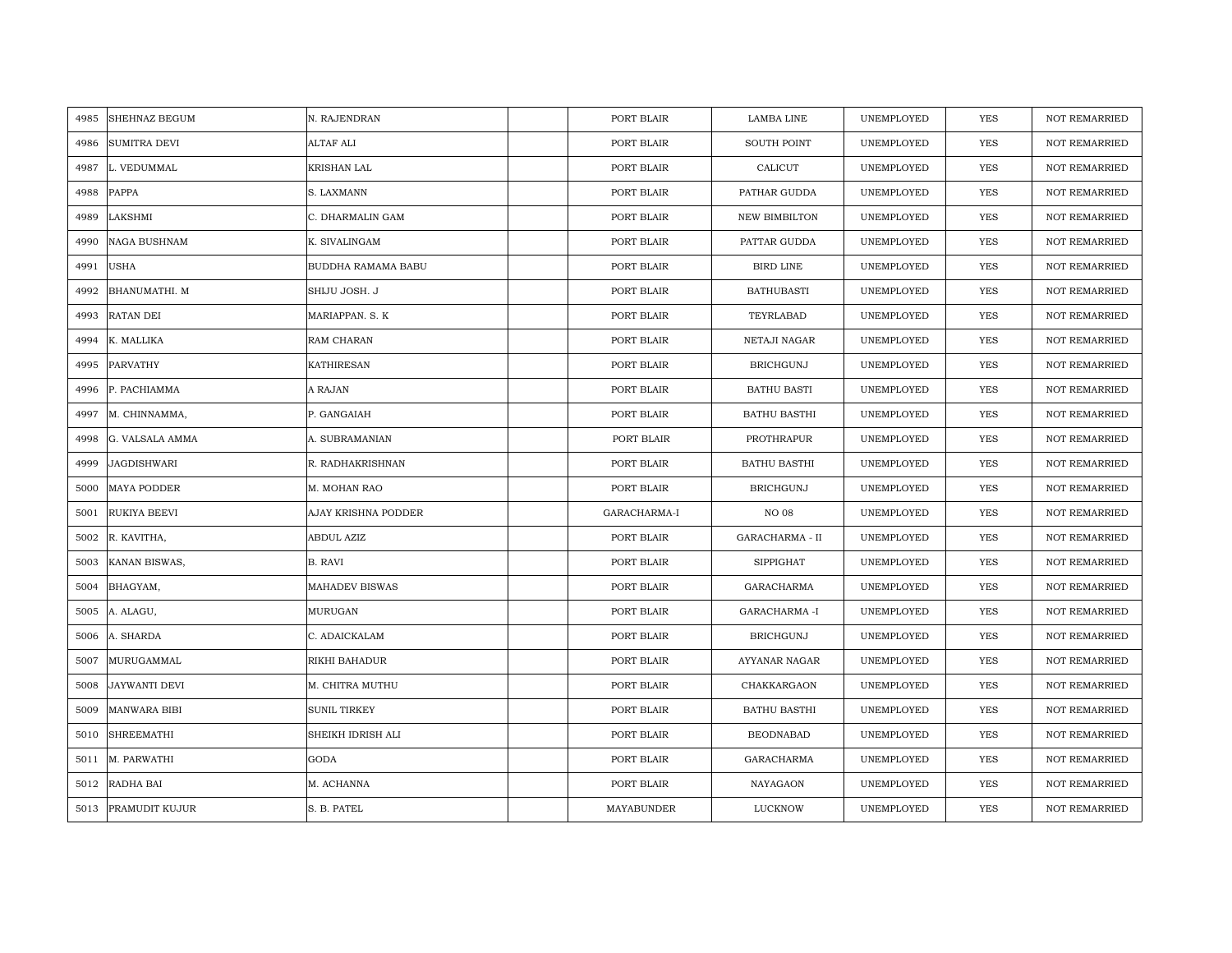| 4985 | <b>SHEHNAZ BEGUM</b> | N. RAJENDRAN          | PORT BLAIR   | LAMBA LINE           | UNEMPLOYED | YES        | <b>NOT REMARRIED</b> |
|------|----------------------|-----------------------|--------------|----------------------|------------|------------|----------------------|
| 4986 | <b>SUMITRA DEVI</b>  | ALTAF ALI             | PORT BLAIR   | <b>SOUTH POINT</b>   | UNEMPLOYED | YES        | NOT REMARRIED        |
| 4987 | L. VEDUMMAL          | <b>KRISHAN LAL</b>    | PORT BLAIR   | CALICUT              | UNEMPLOYED | <b>YES</b> | <b>NOT REMARRIED</b> |
| 4988 | PAPPA                | S. LAXMANN            | PORT BLAIR   | PATHAR GUDDA         | UNEMPLOYED | <b>YES</b> | <b>NOT REMARRIED</b> |
| 4989 | LAKSHMI              | C. DHARMALIN GAM      | PORT BLAIR   | <b>NEW BIMBILTON</b> | UNEMPLOYED | <b>YES</b> | <b>NOT REMARRIED</b> |
| 4990 | <b>NAGA BUSHNAM</b>  | K. SIVALINGAM         | PORT BLAIR   | PATTAR GUDDA         | UNEMPLOYED | <b>YES</b> | <b>NOT REMARRIED</b> |
| 4991 | <b>USHA</b>          | BUDDHA RAMAMA BABU    | PORT BLAIR   | <b>BIRD LINE</b>     | UNEMPLOYED | <b>YES</b> | <b>NOT REMARRIED</b> |
| 4992 | BHANUMATHI. M        | SHIJU JOSH. J         | PORT BLAIR   | <b>BATHUBASTI</b>    | UNEMPLOYED | YES        | <b>NOT REMARRIED</b> |
| 4993 | RATAN DEI            | MARIAPPAN. S. K       | PORT BLAIR   | TEYRLABAD            | UNEMPLOYED | YES        | NOT REMARRIED        |
| 4994 | K. MALLIKA           | RAM CHARAN            | PORT BLAIR   | NETAJI NAGAR         | UNEMPLOYED | YES        | <b>NOT REMARRIED</b> |
| 4995 | PARVATHY             | <b>KATHIRESAN</b>     | PORT BLAIR   | <b>BRICHGUNJ</b>     | UNEMPLOYED | YES        | <b>NOT REMARRIED</b> |
| 4996 | P. PACHIAMMA         | A RAJAN               | PORT BLAIR   | <b>BATHU BASTI</b>   | UNEMPLOYED | YES        | <b>NOT REMARRIED</b> |
| 4997 | M. CHINNAMMA,        | P. GANGAIAH           | PORT BLAIR   | <b>BATHU BASTHI</b>  | UNEMPLOYED | YES        | <b>NOT REMARRIED</b> |
| 4998 | G. VALSALA AMMA      | A. SUBRAMANIAN        | PORT BLAIR   | PROTHRAPUR           | UNEMPLOYED | <b>YES</b> | <b>NOT REMARRIED</b> |
| 4999 | <b>JAGDISHWARI</b>   | R. RADHAKRISHNAN      | PORT BLAIR   | <b>BATHU BASTHI</b>  | UNEMPLOYED | YES        | <b>NOT REMARRIED</b> |
| 5000 | <b>MAYA PODDER</b>   | M. MOHAN RAO          | PORT BLAIR   | <b>BRICHGUNJ</b>     | UNEMPLOYED | YES        | <b>NOT REMARRIED</b> |
| 5001 | RUKIYA BEEVI         | AJAY KRISHNA PODDER   | GARACHARMA-I | <b>NO 08</b>         | UNEMPLOYED | YES        | NOT REMARRIED        |
| 5002 | R. KAVITHA,          | ABDUL AZIZ            | PORT BLAIR   | GARACHARMA - II      | UNEMPLOYED | YES        | <b>NOT REMARRIED</b> |
| 5003 | KANAN BISWAS,        | <b>B. RAVI</b>        | PORT BLAIR   | <b>SIPPIGHAT</b>     | UNEMPLOYED | YES        | <b>NOT REMARRIED</b> |
| 5004 | BHAGYAM,             | <b>MAHADEV BISWAS</b> | PORT BLAIR   | <b>GARACHARMA</b>    | UNEMPLOYED | YES        | <b>NOT REMARRIED</b> |
| 5005 | A. ALAGU,            | <b>MURUGAN</b>        | PORT BLAIR   | <b>GARACHARMA -I</b> | UNEMPLOYED | YES        | <b>NOT REMARRIED</b> |
| 5006 | A. SHARDA            | C. ADAICKALAM         | PORT BLAIR   | <b>BRICHGUNJ</b>     | UNEMPLOYED | YES        | <b>NOT REMARRIED</b> |
| 5007 | MURUGAMMAL           | RIKHI BAHADUR         | PORT BLAIR   | AYYANAR NAGAR        | UNEMPLOYED | <b>YES</b> | <b>NOT REMARRIED</b> |
| 5008 | <b>JAYWANTI DEVI</b> | M. CHITRA MUTHU       | PORT BLAIR   | CHAKKARGAON          | UNEMPLOYED | YES        | <b>NOT REMARRIED</b> |
| 5009 | <b>MANWARA BIBI</b>  | <b>SUNIL TIRKEY</b>   | PORT BLAIR   | <b>BATHU BASTHI</b>  | UNEMPLOYED | YES        | <b>NOT REMARRIED</b> |
| 5010 | <b>SHREEMATHI</b>    | SHEIKH IDRISH ALI     | PORT BLAIR   | <b>BEODNABAD</b>     | UNEMPLOYED | YES        | NOT REMARRIED        |
| 5011 | M. PARWATHI          | <b>GODA</b>           | PORT BLAIR   | <b>GARACHARMA</b>    | UNEMPLOYED | YES        | <b>NOT REMARRIED</b> |
| 5012 | RADHA BAI            | M. ACHANNA            | PORT BLAIR   | NAYAGAON             | UNEMPLOYED | YES        | <b>NOT REMARRIED</b> |
|      | 5013 PRAMUDIT KUJUR  | S. B. PATEL           | MAYABUNDER   | LUCKNOW              | UNEMPLOYED | <b>YES</b> | <b>NOT REMARRIED</b> |
|      |                      |                       |              |                      |            |            |                      |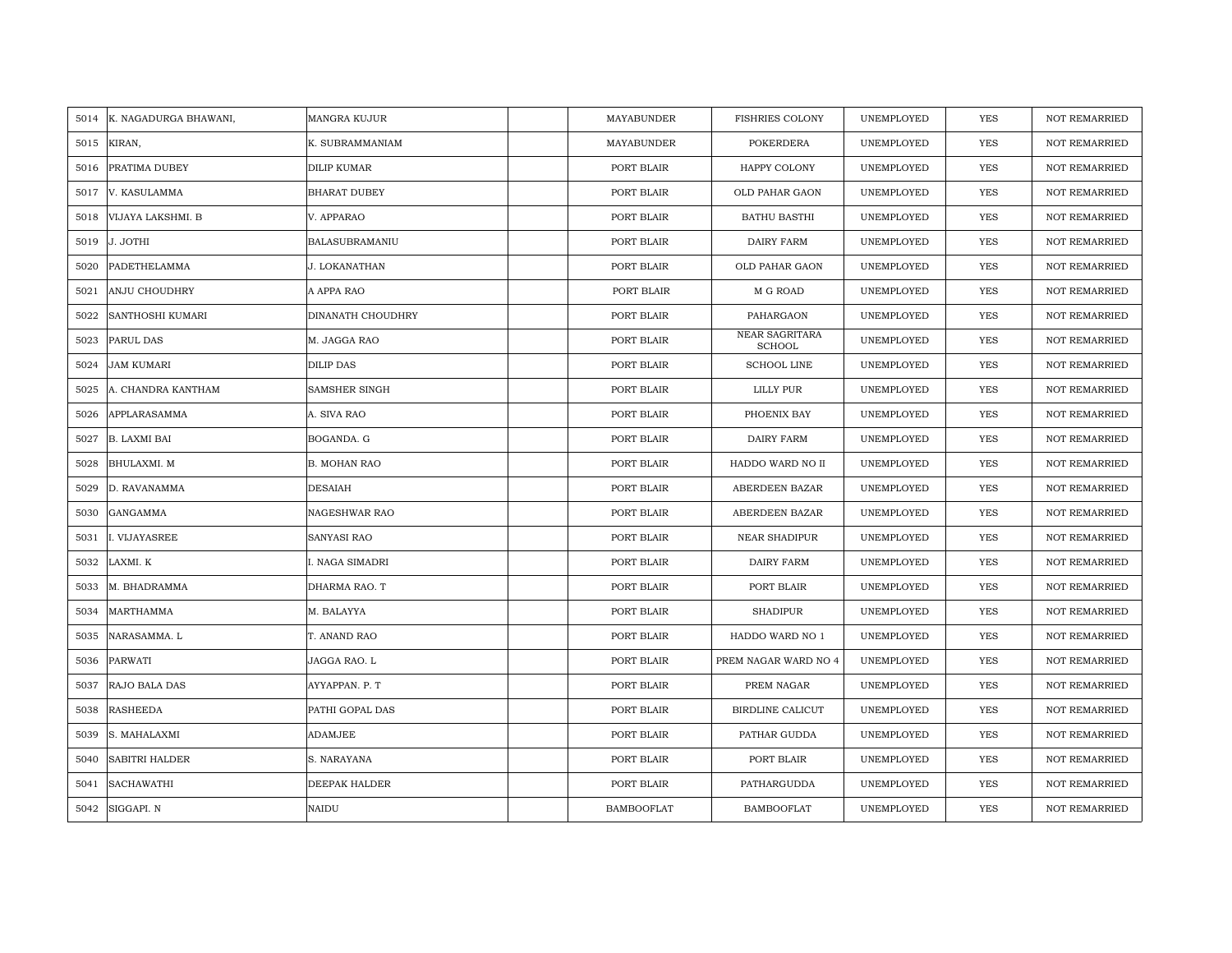|      | 5014 K. NAGADURGA BHAWANI, | <b>MANGRA KUJUR</b>   | MAYABUNDER        | <b>FISHRIES COLONY</b>          | UNEMPLOYED | YES        | <b>NOT REMARRIED</b> |
|------|----------------------------|-----------------------|-------------------|---------------------------------|------------|------------|----------------------|
| 5015 | KIRAN,                     | K. SUBRAMMANIAM       | MAYABUNDER        | <b>POKERDERA</b>                | UNEMPLOYED | <b>YES</b> | <b>NOT REMARRIED</b> |
| 5016 | PRATIMA DUBEY              | <b>DILIP KUMAR</b>    | PORT BLAIR        | HAPPY COLONY                    | UNEMPLOYED | <b>YES</b> | <b>NOT REMARRIED</b> |
| 5017 | V. KASULAMMA               | <b>BHARAT DUBEY</b>   | PORT BLAIR        | OLD PAHAR GAON                  | UNEMPLOYED | <b>YES</b> | <b>NOT REMARRIED</b> |
| 5018 | VIJAYA LAKSHMI. B          | V. APPARAO            | PORT BLAIR        | <b>BATHU BASTHI</b>             | UNEMPLOYED | <b>YES</b> | <b>NOT REMARRIED</b> |
| 5019 | J. JOTHI                   | <b>BALASUBRAMANIU</b> | PORT BLAIR        | DAIRY FARM                      | UNEMPLOYED | <b>YES</b> | <b>NOT REMARRIED</b> |
| 5020 | <b>PADETHELAMMA</b>        | J. LOKANATHAN         | PORT BLAIR        | OLD PAHAR GAON                  | UNEMPLOYED | YES        | <b>NOT REMARRIED</b> |
| 5021 | ANJU CHOUDHRY              | A APPA RAO            | PORT BLAIR        | M G ROAD                        | UNEMPLOYED | YES        | <b>NOT REMARRIED</b> |
| 5022 | SANTHOSHI KUMARI           | DINANATH CHOUDHRY     | PORT BLAIR        | PAHARGAON                       | UNEMPLOYED | YES        | <b>NOT REMARRIED</b> |
| 5023 | PARUL DAS                  | M. JAGGA RAO          | PORT BLAIR        | NEAR SAGRITARA<br><b>SCHOOL</b> | UNEMPLOYED | YES        | <b>NOT REMARRIED</b> |
| 5024 | <b>JAM KUMARI</b>          | <b>DILIP DAS</b>      | PORT BLAIR        | <b>SCHOOL LINE</b>              | UNEMPLOYED | YES        | <b>NOT REMARRIED</b> |
| 5025 | A. CHANDRA KANTHAM         | SAMSHER SINGH         | PORT BLAIR        | LILLY PUR                       | UNEMPLOYED | <b>YES</b> | <b>NOT REMARRIED</b> |
| 5026 | APPLARASAMMA               | A. SIVA RAO           | PORT BLAIR        | PHOENIX BAY                     | UNEMPLOYED | <b>YES</b> | <b>NOT REMARRIED</b> |
| 5027 | <b>B. LAXMI BAI</b>        | BOGANDA. G            | PORT BLAIR        | <b>DAIRY FARM</b>               | UNEMPLOYED | YES        | <b>NOT REMARRIED</b> |
| 5028 | BHULAXMI. M                | <b>B. MOHAN RAO</b>   | PORT BLAIR        | HADDO WARD NO II                | UNEMPLOYED | <b>YES</b> | NOT REMARRIED        |
| 5029 | D. RAVANAMMA               | <b>DESAIAH</b>        | PORT BLAIR        | ABERDEEN BAZAR                  | UNEMPLOYED | <b>YES</b> | <b>NOT REMARRIED</b> |
| 5030 | <b>GANGAMMA</b>            | <b>NAGESHWAR RAO</b>  | PORT BLAIR        | ABERDEEN BAZAR                  | UNEMPLOYED | <b>YES</b> | <b>NOT REMARRIED</b> |
| 5031 | I. VIJAYASREE              | SANYASI RAO           | PORT BLAIR        | <b>NEAR SHADIPUR</b>            | UNEMPLOYED | YES        | <b>NOT REMARRIED</b> |
| 5032 | LAXMI. K                   | I. NAGA SIMADRI       | PORT BLAIR        | DAIRY FARM                      | UNEMPLOYED | YES        | <b>NOT REMARRIED</b> |
| 5033 | M. BHADRAMMA               | DHARMA RAO. T         | PORT BLAIR        | PORT BLAIR                      | UNEMPLOYED | YES        | <b>NOT REMARRIED</b> |
| 5034 | MARTHAMMA                  | M. BALAYYA            | PORT BLAIR        | <b>SHADIPUR</b>                 | UNEMPLOYED | YES        | <b>NOT REMARRIED</b> |
| 5035 | NARASAMMA. L               | T. ANAND RAO          | PORT BLAIR        | HADDO WARD NO 1                 | UNEMPLOYED | YES        | <b>NOT REMARRIED</b> |
| 5036 | <b>PARWATI</b>             | JAGGA RAO. L          | PORT BLAIR        | PREM NAGAR WARD NO 4            | UNEMPLOYED | <b>YES</b> | <b>NOT REMARRIED</b> |
| 5037 | RAJO BALA DAS              | AYYAPPAN. P. T        | PORT BLAIR        | PREM NAGAR                      | UNEMPLOYED | <b>YES</b> | <b>NOT REMARRIED</b> |
| 5038 | <b>RASHEEDA</b>            | PATHI GOPAL DAS       | PORT BLAIR        | <b>BIRDLINE CALICUT</b>         | UNEMPLOYED | YES        | <b>NOT REMARRIED</b> |
| 5039 | S. MAHALAXMI               | ADAMJEE               | PORT BLAIR        | PATHAR GUDDA                    | UNEMPLOYED | <b>YES</b> | <b>NOT REMARRIED</b> |
| 5040 | <b>SABITRI HALDER</b>      | S. NARAYANA           | PORT BLAIR        | PORT BLAIR                      | UNEMPLOYED | YES        | <b>NOT REMARRIED</b> |
| 5041 | SACHAWATHI                 | DEEPAK HALDER         | PORT BLAIR        | PATHARGUDDA                     | UNEMPLOYED | YES        | <b>NOT REMARRIED</b> |
| 5042 | SIGGAPI. N                 | <b>NAIDU</b>          | <b>BAMBOOFLAT</b> | <b>BAMBOOFLAT</b>               | UNEMPLOYED | <b>YES</b> | <b>NOT REMARRIED</b> |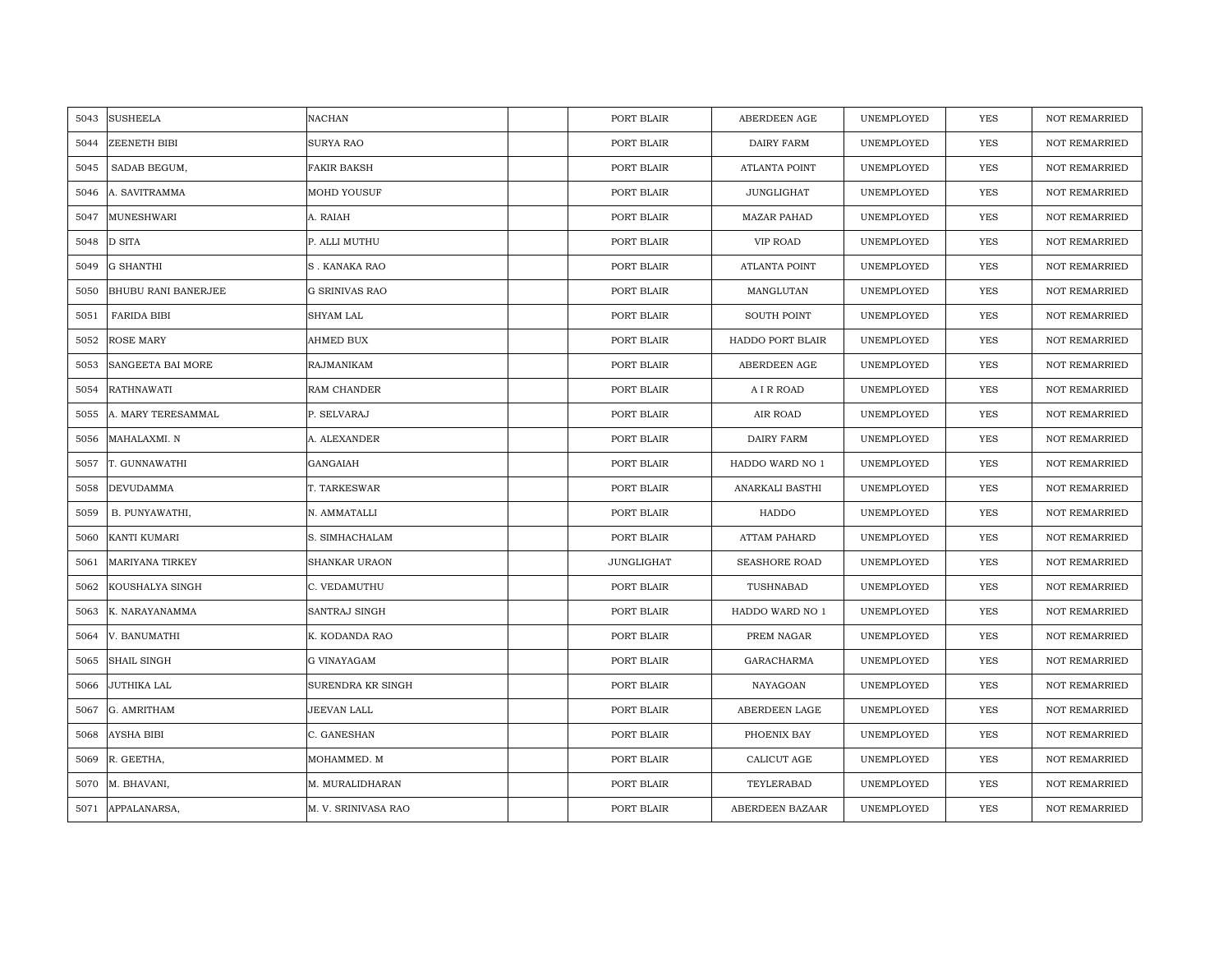| 5043 | <b>SUSHEELA</b>            | <b>NACHAN</b>         | PORT BLAIR | ABERDEEN AGE         | UNEMPLOYED | <b>YES</b> | <b>NOT REMARRIED</b> |
|------|----------------------------|-----------------------|------------|----------------------|------------|------------|----------------------|
| 5044 | ZEENETH BIBI               | <b>SURYA RAO</b>      | PORT BLAIR | DAIRY FARM           | UNEMPLOYED | <b>YES</b> | <b>NOT REMARRIED</b> |
| 5045 | SADAB BEGUM,               | <b>FAKIR BAKSH</b>    | PORT BLAIR | <b>ATLANTA POINT</b> | UNEMPLOYED | <b>YES</b> | <b>NOT REMARRIED</b> |
| 5046 | A. SAVITRAMMA              | MOHD YOUSUF           | PORT BLAIR | <b>JUNGLIGHAT</b>    | UNEMPLOYED | YES        | <b>NOT REMARRIED</b> |
| 5047 | MUNESHWARI                 | A. RAIAH              | PORT BLAIR | <b>MAZAR PAHAD</b>   | UNEMPLOYED | YES        | NOT REMARRIED        |
| 5048 | D SITA                     | P. ALLI MUTHU         | PORT BLAIR | VIP ROAD             | UNEMPLOYED | <b>YES</b> | NOT REMARRIED        |
| 5049 | <b>G SHANTHI</b>           | <b>S. KANAKA RAO</b>  | PORT BLAIR | <b>ATLANTA POINT</b> | UNEMPLOYED | <b>YES</b> | NOT REMARRIED        |
| 5050 | <b>BHUBU RANI BANERJEE</b> | <b>G SRINIVAS RAO</b> | PORT BLAIR | MANGLUTAN            | UNEMPLOYED | <b>YES</b> | NOT REMARRIED        |
| 5051 | <b>FARIDA BIBI</b>         | SHYAM LAL             | PORT BLAIR | <b>SOUTH POINT</b>   | UNEMPLOYED | <b>YES</b> | <b>NOT REMARRIED</b> |
| 5052 | <b>ROSE MARY</b>           | AHMED BUX             | PORT BLAIR | HADDO PORT BLAIR     | UNEMPLOYED | YES        | <b>NOT REMARRIED</b> |
| 5053 | SANGEETA BAI MORE          | RAJMANIKAM            | PORT BLAIR | ABERDEEN AGE         | UNEMPLOYED | <b>YES</b> | <b>NOT REMARRIED</b> |
| 5054 | RATHNAWATI                 | RAM CHANDER           | PORT BLAIR | A I R ROAD           | UNEMPLOYED | YES        | NOT REMARRIED        |
| 5055 | A. MARY TERESAMMAL         | P. SELVARAJ           | PORT BLAIR | AIR ROAD             | UNEMPLOYED | <b>YES</b> | <b>NOT REMARRIED</b> |
| 5056 | MAHALAXMI. N               | A. ALEXANDER          | PORT BLAIR | DAIRY FARM           | UNEMPLOYED | <b>YES</b> | <b>NOT REMARRIED</b> |
| 5057 | T. GUNNAWATHI              | GANGAIAH              | PORT BLAIR | HADDO WARD NO 1      | UNEMPLOYED | YES        | <b>NOT REMARRIED</b> |
| 5058 | <b>DEVUDAMMA</b>           | T. TARKESWAR          | PORT BLAIR | ANARKALI BASTHI      | UNEMPLOYED | <b>YES</b> | <b>NOT REMARRIED</b> |
| 5059 | B. PUNYAWATHI,             | N. AMMATALLI          | PORT BLAIR | HADDO                | UNEMPLOYED | <b>YES</b> | <b>NOT REMARRIED</b> |
| 5060 | <b>KANTI KUMARI</b>        | S. SIMHACHALAM        | PORT BLAIR | <b>ATTAM PAHARD</b>  | UNEMPLOYED | <b>YES</b> | <b>NOT REMARRIED</b> |
| 5061 | <b>MARIYANA TIRKEY</b>     | <b>SHANKAR URAON</b>  | JUNGLIGHAT | <b>SEASHORE ROAD</b> | UNEMPLOYED | <b>YES</b> | <b>NOT REMARRIED</b> |
| 5062 | KOUSHALYA SINGH            | C. VEDAMUTHU          | PORT BLAIR | TUSHNABAD            | UNEMPLOYED | YES        | NOT REMARRIED        |
| 5063 | K. NARAYANAMMA             | SANTRAJ SINGH         | PORT BLAIR | HADDO WARD NO 1      | UNEMPLOYED | <b>YES</b> | <b>NOT REMARRIED</b> |
| 5064 | V. BANUMATHI               | K. KODANDA RAO        | PORT BLAIR | PREM NAGAR           | UNEMPLOYED | YES        | NOT REMARRIED        |
| 5065 | <b>SHAIL SINGH</b>         | <b>G VINAYAGAM</b>    | PORT BLAIR | GARACHARMA           | UNEMPLOYED | <b>YES</b> | <b>NOT REMARRIED</b> |
| 5066 | JUTHIKA LAL                | SURENDRA KR SINGH     | PORT BLAIR | NAYAGOAN             | UNEMPLOYED | YES        | <b>NOT REMARRIED</b> |
| 5067 | G. AMRITHAM                | JEEVAN LALL           | PORT BLAIR | ABERDEEN LAGE        | UNEMPLOYED | <b>YES</b> | <b>NOT REMARRIED</b> |
| 5068 | <b>AYSHA BIBI</b>          | C. GANESHAN           | PORT BLAIR | PHOENIX BAY          | UNEMPLOYED | YES        | NOT REMARRIED        |
| 5069 | R. GEETHA,                 | MOHAMMED. M           | PORT BLAIR | CALICUT AGE          | UNEMPLOYED | YES        | <b>NOT REMARRIED</b> |
| 5070 | M. BHAVANI,                | M. MURALIDHARAN       | PORT BLAIR | TEYLERABAD           | UNEMPLOYED | <b>YES</b> | <b>NOT REMARRIED</b> |
|      | 5071 APPALANARSA,          | M. V. SRINIVASA RAO   | PORT BLAIR | ABERDEEN BAZAAR      | UNEMPLOYED | <b>YES</b> | <b>NOT REMARRIED</b> |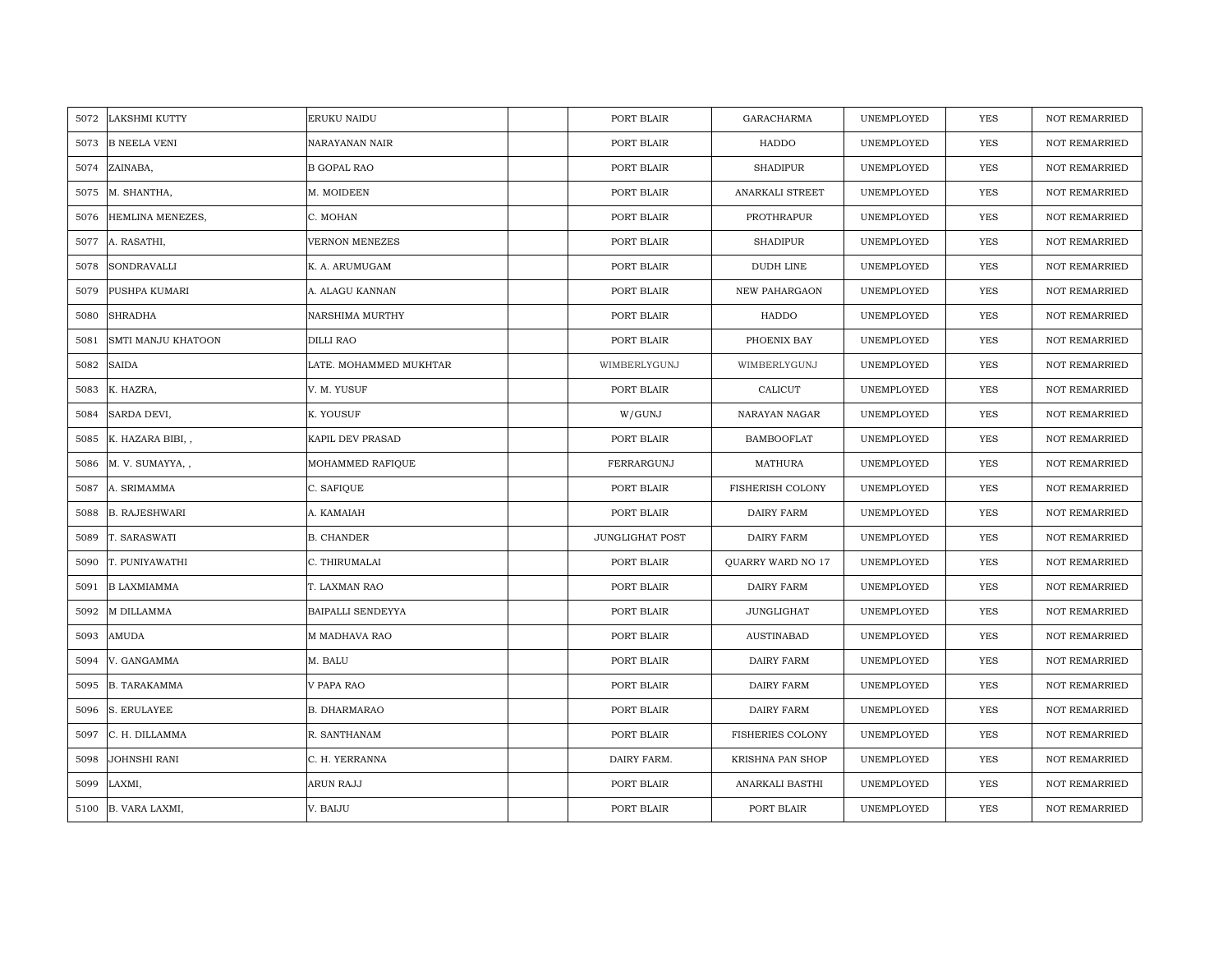| 5072 | <b>LAKSHMI KUTTY</b> | <b>ERUKU NAIDU</b>     | PORT BLAIR             | <b>GARACHARMA</b>       | UNEMPLOYED | YES        | <b>NOT REMARRIED</b> |
|------|----------------------|------------------------|------------------------|-------------------------|------------|------------|----------------------|
| 5073 | <b>B NEELA VENI</b>  | NARAYANAN NAIR         | PORT BLAIR             | HADDO                   | UNEMPLOYED | <b>YES</b> | <b>NOT REMARRIED</b> |
| 5074 | ZAINABA,             | <b>B GOPAL RAO</b>     | PORT BLAIR             | <b>SHADIPUR</b>         | UNEMPLOYED | YES        | <b>NOT REMARRIED</b> |
| 5075 | M. SHANTHA,          | M. MOIDEEN             | PORT BLAIR             | ANARKALI STREET         | UNEMPLOYED | YES        | <b>NOT REMARRIED</b> |
| 5076 | HEMLINA MENEZES,     | C. MOHAN               | PORT BLAIR             | PROTHRAPUR              | UNEMPLOYED | YES        | NOT REMARRIED        |
| 5077 | A. RASATHI,          | VERNON MENEZES         | PORT BLAIR             | <b>SHADIPUR</b>         | UNEMPLOYED | YES        | NOT REMARRIED        |
| 5078 | <b>SONDRAVALLI</b>   | K. A. ARUMUGAM         | PORT BLAIR             | <b>DUDH LINE</b>        | UNEMPLOYED | <b>YES</b> | <b>NOT REMARRIED</b> |
| 5079 | PUSHPA KUMARI        | A. ALAGU KANNAN        | PORT BLAIR             | NEW PAHARGAON           | UNEMPLOYED | YES        | <b>NOT REMARRIED</b> |
| 5080 | <b>SHRADHA</b>       | <b>NARSHIMA MURTHY</b> | PORT BLAIR             | HADDO                   | UNEMPLOYED | <b>YES</b> | <b>NOT REMARRIED</b> |
| 5081 | SMTI MANJU KHATOON   | <b>DILLI RAO</b>       | PORT BLAIR             | PHOENIX BAY             | UNEMPLOYED | <b>YES</b> | <b>NOT REMARRIED</b> |
| 5082 | <b>SAIDA</b>         | LATE. MOHAMMED MUKHTAR | WIMBERLYGUNJ           | WIMBERLYGUNJ            | UNEMPLOYED | <b>YES</b> | <b>NOT REMARRIED</b> |
| 5083 | K. HAZRA,            | V. M. YUSUF            | PORT BLAIR             | CALICUT                 | UNEMPLOYED | <b>YES</b> | <b>NOT REMARRIED</b> |
| 5084 | SARDA DEVI,          | K. YOUSUF              | W/GUNJ                 | NARAYAN NAGAR           | UNEMPLOYED | YES        | <b>NOT REMARRIED</b> |
| 5085 | K. HAZARA BIBI,,     | KAPIL DEV PRASAD       | PORT BLAIR             | <b>BAMBOOFLAT</b>       | UNEMPLOYED | <b>YES</b> | NOT REMARRIED        |
| 5086 | M. V. SUMAYYA, ,     | MOHAMMED RAFIQUE       | FERRARGUNJ             | <b>MATHURA</b>          | UNEMPLOYED | YES        | NOT REMARRIED        |
| 5087 | A. SRIMAMMA          | C. SAFIQUE             | PORT BLAIR             | FISHERISH COLONY        | UNEMPLOYED | YES        | <b>NOT REMARRIED</b> |
| 5088 | <b>B. RAJESHWARI</b> | A. KAMAIAH             | PORT BLAIR             | <b>DAIRY FARM</b>       | UNEMPLOYED | YES        | <b>NOT REMARRIED</b> |
| 5089 | T. SARASWATI         | <b>B. CHANDER</b>      | <b>JUNGLIGHAT POST</b> | DAIRY FARM              | UNEMPLOYED | <b>YES</b> | <b>NOT REMARRIED</b> |
| 5090 | T. PUNIYAWATHI       | C. THIRUMALAI          | PORT BLAIR             | QUARRY WARD NO 17       | UNEMPLOYED | YES        | NOT REMARRIED        |
| 5091 | <b>B LAXMIAMMA</b>   | T. LAXMAN RAO          | PORT BLAIR             | DAIRY FARM              | UNEMPLOYED | <b>YES</b> | <b>NOT REMARRIED</b> |
| 5092 | M DILLAMMA           | BAIPALLI SENDEYYA      | PORT BLAIR             | <b>JUNGLIGHAT</b>       | UNEMPLOYED | <b>YES</b> | <b>NOT REMARRIED</b> |
| 5093 | AMUDA                | M MADHAVA RAO          | PORT BLAIR             | <b>AUSTINABAD</b>       | UNEMPLOYED | <b>YES</b> | <b>NOT REMARRIED</b> |
| 5094 | V. GANGAMMA          | M. BALU                | PORT BLAIR             | DAIRY FARM              | UNEMPLOYED | <b>YES</b> | NOT REMARRIED        |
| 5095 | <b>B. TARAKAMMA</b>  | V PAPA RAO             | PORT BLAIR             | DAIRY FARM              | UNEMPLOYED | <b>YES</b> | NOT REMARRIED        |
| 5096 | S. ERULAYEE          | <b>B. DHARMARAO</b>    | PORT BLAIR             | DAIRY FARM              | UNEMPLOYED | <b>YES</b> | <b>NOT REMARRIED</b> |
| 5097 | C. H. DILLAMMA       | R. SANTHANAM           | PORT BLAIR             | <b>FISHERIES COLONY</b> | UNEMPLOYED | YES        | NOT REMARRIED        |
| 5098 | <b>JOHNSHI RANI</b>  | C. H. YERRANNA         | DAIRY FARM.            | KRISHNA PAN SHOP        | UNEMPLOYED | <b>YES</b> | <b>NOT REMARRIED</b> |
| 5099 | LAXMI,               | ARUN RAJJ              | PORT BLAIR             | ANARKALI BASTHI         | UNEMPLOYED | YES        | <b>NOT REMARRIED</b> |
| 5100 | B. VARA LAXMI,       | V. BAIJU               | PORT BLAIR             | PORT BLAIR              | UNEMPLOYED | YES        | NOT REMARRIED        |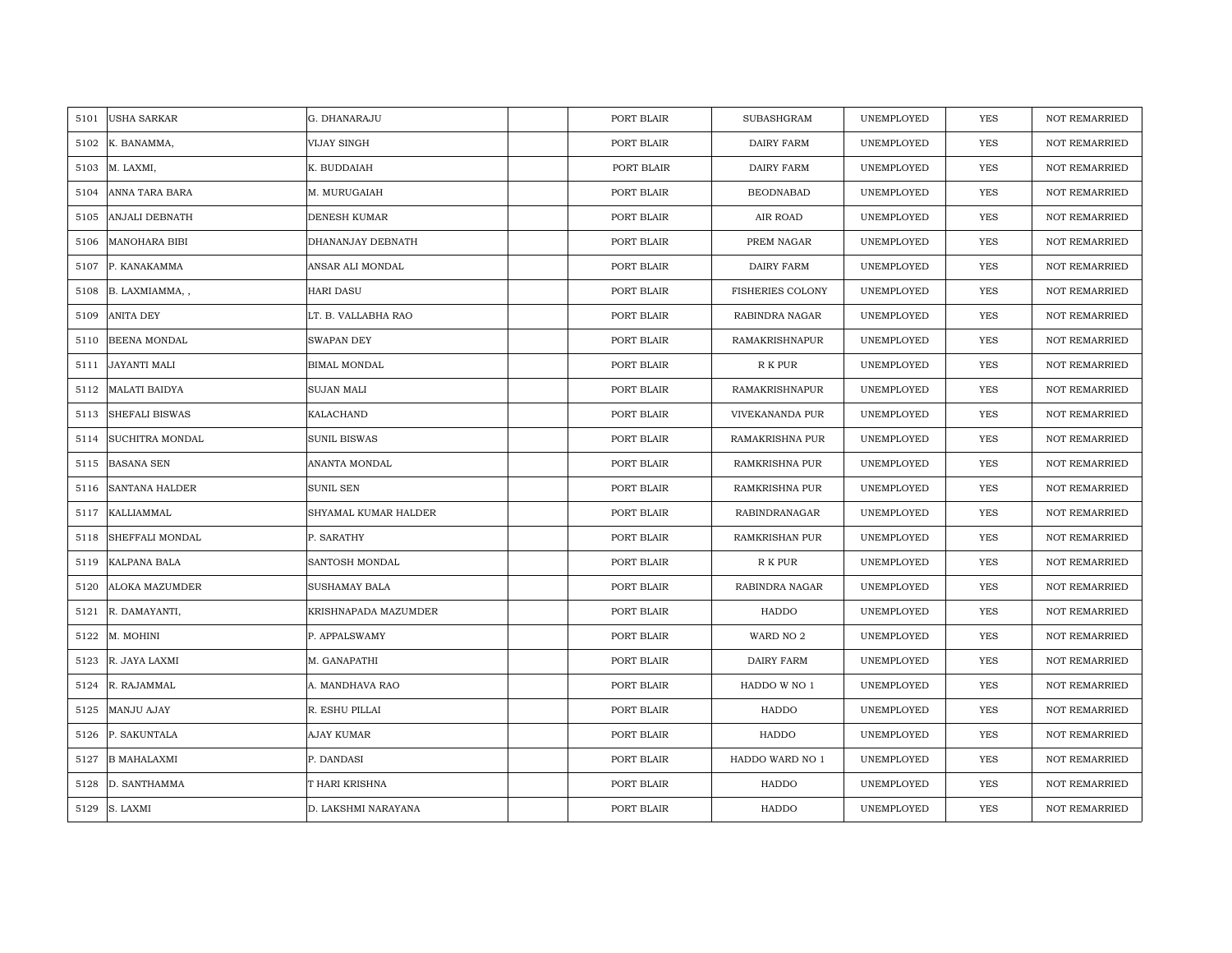| 5101 | <b>USHA SARKAR</b>     | G. DHANARAJU         | PORT BLAIR | SUBASHGRAM              | UNEMPLOYED | <b>YES</b> | <b>NOT REMARRIED</b> |
|------|------------------------|----------------------|------------|-------------------------|------------|------------|----------------------|
| 5102 | K. BANAMMA,            | VIJAY SINGH          | PORT BLAIR | DAIRY FARM              | UNEMPLOYED | <b>YES</b> | <b>NOT REMARRIED</b> |
| 5103 | M. LAXMI,              | K. BUDDAIAH          | PORT BLAIR | DAIRY FARM              | UNEMPLOYED | YES        | <b>NOT REMARRIED</b> |
| 5104 | ANNA TARA BARA         | M. MURUGAIAH         | PORT BLAIR | <b>BEODNABAD</b>        | UNEMPLOYED | YES        | <b>NOT REMARRIED</b> |
| 5105 | <b>ANJALI DEBNATH</b>  | <b>DENESH KUMAR</b>  | PORT BLAIR | AIR ROAD                | UNEMPLOYED | YES        | <b>NOT REMARRIED</b> |
| 5106 | <b>MANOHARA BIBI</b>   | DHANANJAY DEBNATH    | PORT BLAIR | PREM NAGAR              | UNEMPLOYED | <b>YES</b> | <b>NOT REMARRIED</b> |
| 5107 | P. KANAKAMMA           | ANSAR ALI MONDAL     | PORT BLAIR | DAIRY FARM              | UNEMPLOYED | YES        | NOT REMARRIED        |
| 5108 | B. LAXMIAMMA, ,        | <b>HARI DASU</b>     | PORT BLAIR | <b>FISHERIES COLONY</b> | UNEMPLOYED | YES        | NOT REMARRIED        |
| 5109 | <b>ANITA DEY</b>       | LT. B. VALLABHA RAO  | PORT BLAIR | RABINDRA NAGAR          | UNEMPLOYED | YES        | <b>NOT REMARRIED</b> |
| 5110 | BEENA MONDAL           | <b>SWAPAN DEY</b>    | PORT BLAIR | RAMAKRISHNAPUR          | UNEMPLOYED | YES        | <b>NOT REMARRIED</b> |
| 5111 | JAYANTI MALI           | BIMAL MONDAL         | PORT BLAIR | R K PUR                 | UNEMPLOYED | <b>YES</b> | <b>NOT REMARRIED</b> |
| 5112 | <b>MALATI BAIDYA</b>   | <b>SUJAN MALI</b>    | PORT BLAIR | RAMAKRISHNAPUR          | UNEMPLOYED | <b>YES</b> | NOT REMARRIED        |
| 5113 | <b>SHEFALI BISWAS</b>  | KALACHAND            | PORT BLAIR | VIVEKANANDA PUR         | UNEMPLOYED | <b>YES</b> | <b>NOT REMARRIED</b> |
| 5114 | <b>SUCHITRA MONDAL</b> | <b>SUNIL BISWAS</b>  | PORT BLAIR | RAMAKRISHNA PUR         | UNEMPLOYED | YES        | <b>NOT REMARRIED</b> |
| 5115 | <b>BASANA SEN</b>      | ANANTA MONDAL        | PORT BLAIR | RAMKRISHNA PUR          | UNEMPLOYED | <b>YES</b> | NOT REMARRIED        |
| 5116 | <b>SANTANA HALDER</b>  | <b>SUNIL SEN</b>     | PORT BLAIR | RAMKRISHNA PUR          | UNEMPLOYED | <b>YES</b> | <b>NOT REMARRIED</b> |
| 5117 | KALLIAMMAL             | SHYAMAL KUMAR HALDER | PORT BLAIR | <b>RABINDRANAGAR</b>    | UNEMPLOYED | YES        | <b>NOT REMARRIED</b> |
| 5118 | SHEFFALI MONDAL        | P. SARATHY           | PORT BLAIR | RAMKRISHAN PUR          | UNEMPLOYED | <b>YES</b> | NOT REMARRIED        |
| 5119 | KALPANA BALA           | SANTOSH MONDAL       | PORT BLAIR | R K PUR                 | UNEMPLOYED | <b>YES</b> | <b>NOT REMARRIED</b> |
| 5120 | ALOKA MAZUMDER         | SUSHAMAY BALA        | PORT BLAIR | RABINDRA NAGAR          | UNEMPLOYED | YES        | NOT REMARRIED        |
| 5121 | R. DAMAYANTI,          | KRISHNAPADA MAZUMDER | PORT BLAIR | HADDO                   | UNEMPLOYED | YES        | NOT REMARRIED        |
| 5122 | M. MOHINI              | P. APPALSWAMY        | PORT BLAIR | WARD NO 2               | UNEMPLOYED | YES        | NOT REMARRIED        |
| 5123 | R. JAYA LAXMI          | M. GANAPATHI         | PORT BLAIR | DAIRY FARM              | UNEMPLOYED | YES        | <b>NOT REMARRIED</b> |
| 5124 | R. RAJAMMAL            | A. MANDHAVA RAO      | PORT BLAIR | HADDO W NO 1            | UNEMPLOYED | YES        | NOT REMARRIED        |
| 5125 | MANJU AJAY             | R. ESHU PILLAI       | PORT BLAIR | HADDO                   | UNEMPLOYED | YES        | NOT REMARRIED        |
| 5126 | P. SAKUNTALA           | AJAY KUMAR           | PORT BLAIR | HADDO                   | UNEMPLOYED | <b>YES</b> | <b>NOT REMARRIED</b> |
| 5127 | <b>B MAHALAXMI</b>     | P. DANDASI           | PORT BLAIR | HADDO WARD NO 1         | UNEMPLOYED | YES        | NOT REMARRIED        |
| 5128 | D. SANTHAMMA           | T HARI KRISHNA       | PORT BLAIR | HADDO                   | UNEMPLOYED | YES        | NOT REMARRIED        |
|      | 5129 S. LAXMI          | D. LAKSHMI NARAYANA  | PORT BLAIR | HADDO                   | UNEMPLOYED | <b>YES</b> | <b>NOT REMARRIED</b> |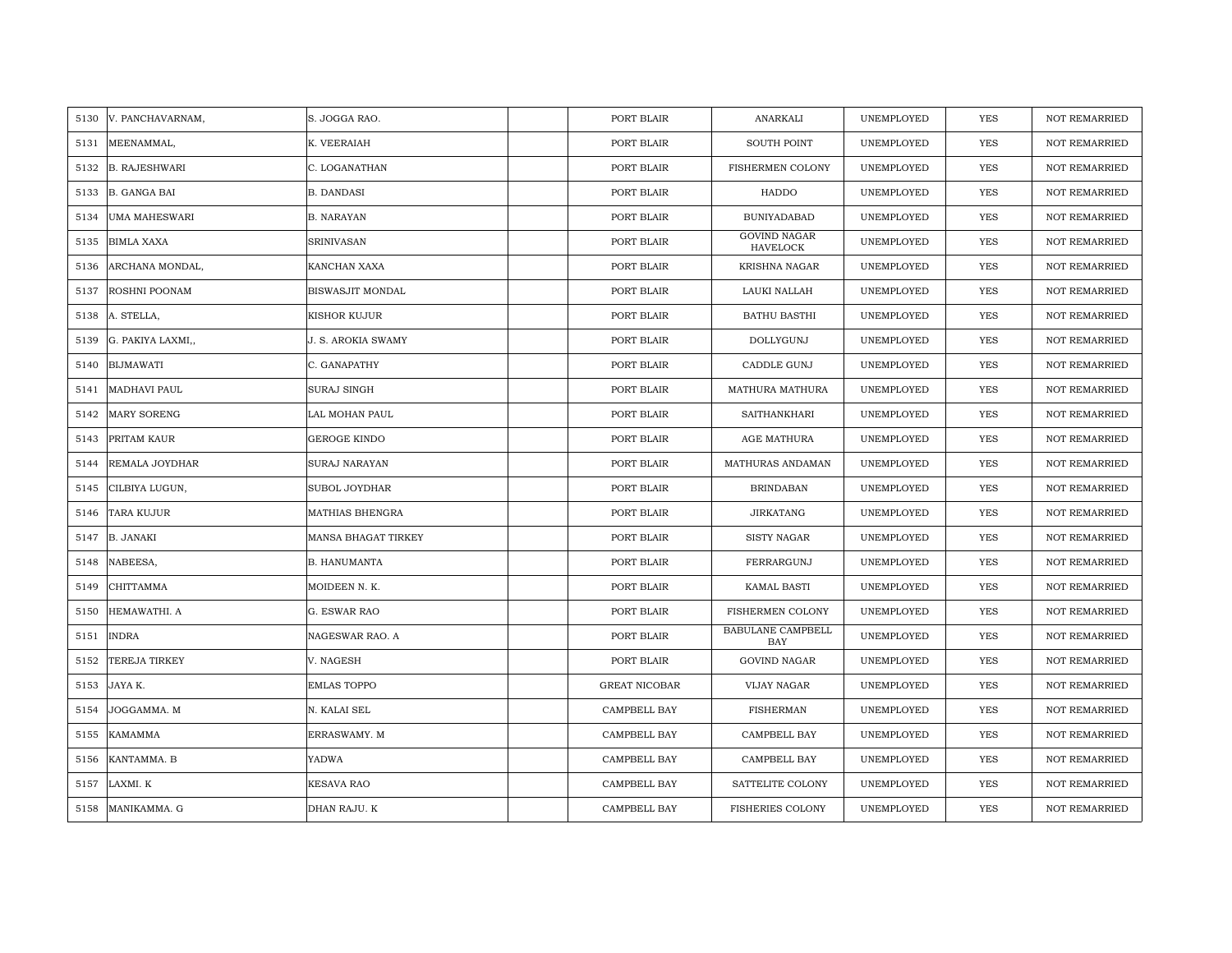| 5130 | V. PANCHAVARNAM,     | S. JOGGA RAO.             | PORT BLAIR           | ANARKALI                               | UNEMPLOYED | <b>YES</b> | <b>NOT REMARRIED</b> |
|------|----------------------|---------------------------|----------------------|----------------------------------------|------------|------------|----------------------|
| 5131 | MEENAMMAL,           | K. VEERAIAH               | PORT BLAIR           | <b>SOUTH POINT</b>                     | UNEMPLOYED | <b>YES</b> | <b>NOT REMARRIED</b> |
| 5132 | <b>B. RAJESHWARI</b> | C. LOGANATHAN             | PORT BLAIR           | FISHERMEN COLONY                       | UNEMPLOYED | <b>YES</b> | <b>NOT REMARRIED</b> |
| 5133 | <b>B. GANGA BAI</b>  | <b>B. DANDASI</b>         | PORT BLAIR           | HADDO                                  | UNEMPLOYED | <b>YES</b> | <b>NOT REMARRIED</b> |
| 5134 | <b>UMA MAHESWARI</b> | <b>B. NARAYAN</b>         | PORT BLAIR           | <b>BUNIYADABAD</b>                     | UNEMPLOYED | <b>YES</b> | <b>NOT REMARRIED</b> |
| 5135 | <b>BIMLA XAXA</b>    | <b>SRINIVASAN</b>         | PORT BLAIR           | <b>GOVIND NAGAR</b><br><b>HAVELOCK</b> | UNEMPLOYED | <b>YES</b> | <b>NOT REMARRIED</b> |
| 5136 | ARCHANA MONDAL,      | <b>KANCHAN XAXA</b>       | PORT BLAIR           | KRISHNA NAGAR                          | UNEMPLOYED | YES        | <b>NOT REMARRIED</b> |
| 5137 | ROSHNI POONAM        | BISWASJIT MONDAL          | PORT BLAIR           | LAUKI NALLAH                           | UNEMPLOYED | YES        | <b>NOT REMARRIED</b> |
| 5138 | A. STELLA,           | KISHOR KUJUR              | PORT BLAIR           | <b>BATHU BASTHI</b>                    | UNEMPLOYED | YES        | <b>NOT REMARRIED</b> |
| 5139 | G. PAKIYA LAXMI,,    | <b>J. S. AROKIA SWAMY</b> | PORT BLAIR           | DOLLYGUNJ                              | UNEMPLOYED | YES        | <b>NOT REMARRIED</b> |
| 5140 | <b>BIJMAWATI</b>     | C. GANAPATHY              | PORT BLAIR           | CADDLE GUNJ                            | UNEMPLOYED | YES        | <b>NOT REMARRIED</b> |
| 5141 | MADHAVI PAUL         | <b>SURAJ SINGH</b>        | PORT BLAIR           | MATHURA MATHURA                        | UNEMPLOYED | YES        | <b>NOT REMARRIED</b> |
| 5142 | <b>MARY SORENG</b>   | LAL MOHAN PAUL            | PORT BLAIR           | SAITHANKHARI                           | UNEMPLOYED | YES        | <b>NOT REMARRIED</b> |
| 5143 | PRITAM KAUR          | <b>GEROGE KINDO</b>       | PORT BLAIR           | AGE MATHURA                            | UNEMPLOYED | YES        | <b>NOT REMARRIED</b> |
| 5144 | REMALA JOYDHAR       | SURAJ NARAYAN             | PORT BLAIR           | MATHURAS ANDAMAN                       | UNEMPLOYED | YES        | NOT REMARRIED        |
| 5145 | CILBIYA LUGUN,       | <b>SUBOL JOYDHAR</b>      | PORT BLAIR           | <b>BRINDABAN</b>                       | UNEMPLOYED | <b>YES</b> | <b>NOT REMARRIED</b> |
| 5146 | TARA KUJUR           | <b>MATHIAS BHENGRA</b>    | PORT BLAIR           | <b>JIRKATANG</b>                       | UNEMPLOYED | <b>YES</b> | <b>NOT REMARRIED</b> |
| 5147 | <b>B. JANAKI</b>     | MANSA BHAGAT TIRKEY       | PORT BLAIR           | <b>SISTY NAGAR</b>                     | UNEMPLOYED | YES        | <b>NOT REMARRIED</b> |
| 5148 | NABEESA,             | <b>B. HANUMANTA</b>       | PORT BLAIR           | FERRARGUNJ                             | UNEMPLOYED | <b>YES</b> | <b>NOT REMARRIED</b> |
| 5149 | CHITTAMMA            | MOIDEEN N. K.             | PORT BLAIR           | <b>KAMAL BASTI</b>                     | UNEMPLOYED | YES        | <b>NOT REMARRIED</b> |
| 5150 | HEMAWATHI. A         | G. ESWAR RAO              | PORT BLAIR           | FISHERMEN COLONY                       | UNEMPLOYED | YES        | <b>NOT REMARRIED</b> |
| 5151 | <b>INDRA</b>         | NAGESWAR RAO. A           | PORT BLAIR           | BABULANE CAMPBELL<br>BAY               | UNEMPLOYED | YES        | <b>NOT REMARRIED</b> |
| 5152 | TEREJA TIRKEY        | V. NAGESH                 | PORT BLAIR           | <b>GOVIND NAGAR</b>                    | UNEMPLOYED | <b>YES</b> | <b>NOT REMARRIED</b> |
| 5153 | JAYA K.              | <b>EMLAS TOPPO</b>        | <b>GREAT NICOBAR</b> | <b>VIJAY NAGAR</b>                     | UNEMPLOYED | <b>YES</b> | <b>NOT REMARRIED</b> |
| 5154 | JOGGAMMA. M          | N. KALAI SEL              | CAMPBELL BAY         | <b>FISHERMAN</b>                       | UNEMPLOYED | YES        | <b>NOT REMARRIED</b> |
| 5155 | <b>KAMAMMA</b>       | ERRASWAMY. M              | CAMPBELL BAY         | CAMPBELL BAY                           | UNEMPLOYED | <b>YES</b> | <b>NOT REMARRIED</b> |
| 5156 | KANTAMMA. B          | YADWA                     | CAMPBELL BAY         | CAMPBELL BAY                           | UNEMPLOYED | YES        | <b>NOT REMARRIED</b> |
| 5157 | LAXMI. K             | <b>KESAVA RAO</b>         | CAMPBELL BAY         | SATTELITE COLONY                       | UNEMPLOYED | YES        | <b>NOT REMARRIED</b> |
| 5158 | MANIKAMMA. G         | DHAN RAJU. K              | CAMPBELL BAY         | <b>FISHERIES COLONY</b>                | UNEMPLOYED | <b>YES</b> | <b>NOT REMARRIED</b> |
|      |                      |                           |                      |                                        |            |            |                      |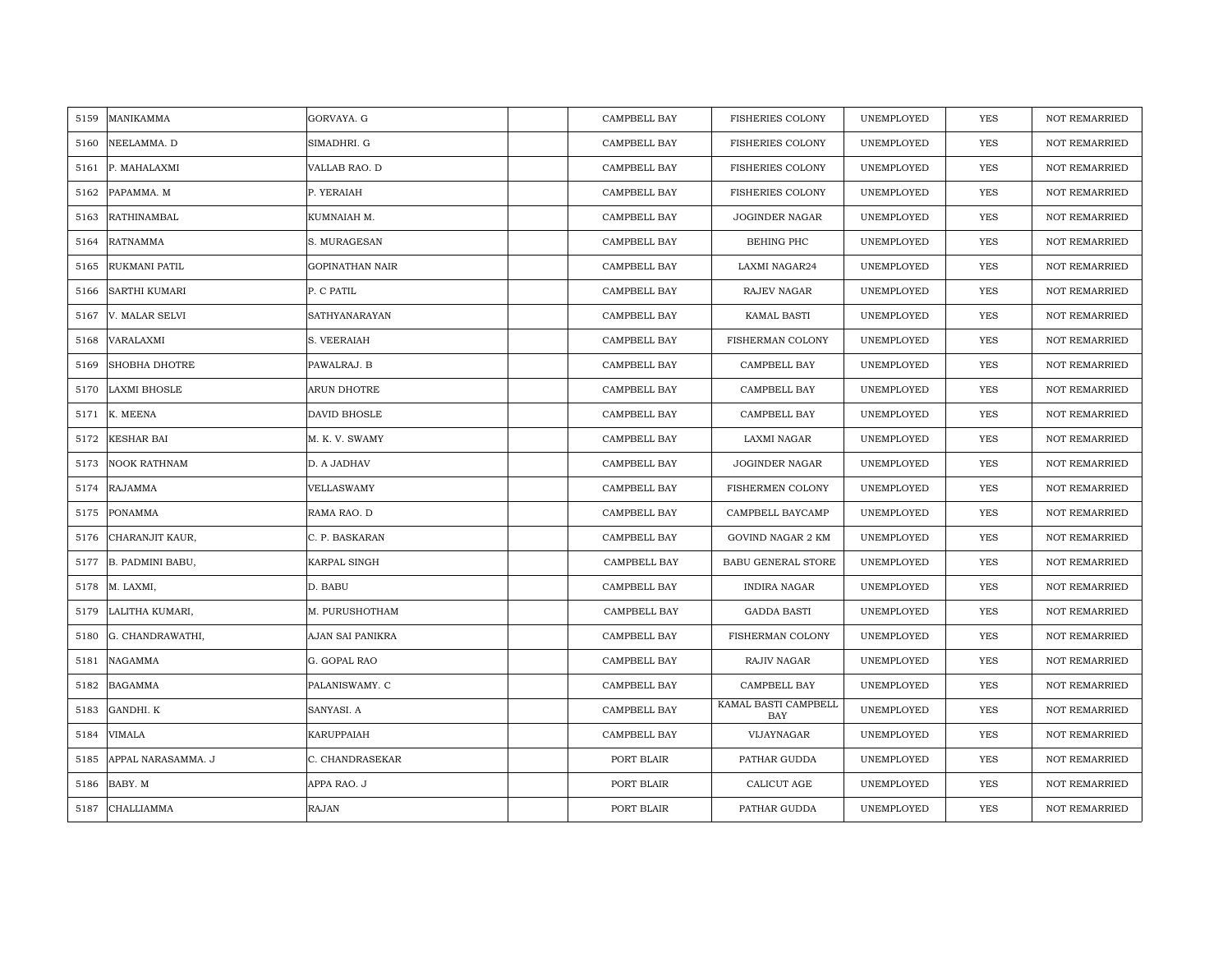| 5159 | MANIKAMMA            | GORVAYA. G       | CAMPBELL BAY | <b>FISHERIES COLONY</b>     | UNEMPLOYED | <b>YES</b> | <b>NOT REMARRIED</b> |
|------|----------------------|------------------|--------------|-----------------------------|------------|------------|----------------------|
| 5160 | NEELAMMA. D          | SIMADHRI. G      | CAMPBELL BAY | <b>FISHERIES COLONY</b>     | UNEMPLOYED | <b>YES</b> | <b>NOT REMARRIED</b> |
| 5161 | P. MAHALAXMI         | VALLAB RAO. D    | CAMPBELL BAY | <b>FISHERIES COLONY</b>     | UNEMPLOYED | YES        | <b>NOT REMARRIED</b> |
| 5162 | PAPAMMA. M           | P. YERAIAH       | CAMPBELL BAY | <b>FISHERIES COLONY</b>     | UNEMPLOYED | YES        | <b>NOT REMARRIED</b> |
| 5163 | RATHINAMBAL          | KUMNAIAH M.      | CAMPBELL BAY | <b>JOGINDER NAGAR</b>       | UNEMPLOYED | YES        | <b>NOT REMARRIED</b> |
| 5164 | <b>RATNAMMA</b>      | S. MURAGESAN     | CAMPBELL BAY | BEHING PHC                  | UNEMPLOYED | <b>YES</b> | <b>NOT REMARRIED</b> |
| 5165 | RUKMANI PATIL        | GOPINATHAN NAIR  | CAMPBELL BAY | LAXMI NAGAR24               | UNEMPLOYED | YES        | NOT REMARRIED        |
| 5166 | SARTHI KUMARI        | P. C PATIL       | CAMPBELL BAY | RAJEV NAGAR                 | UNEMPLOYED | YES        | NOT REMARRIED        |
| 5167 | V. MALAR SELVI       | SATHYANARAYAN    | CAMPBELL BAY | KAMAL BASTI                 | UNEMPLOYED | YES        | NOT REMARRIED        |
| 5168 | VARALAXMI            | S. VEERAIAH      | CAMPBELL BAY | FISHERMAN COLONY            | UNEMPLOYED | YES        | <b>NOT REMARRIED</b> |
| 5169 | <b>SHOBHA DHOTRE</b> | PAWALRAJ. B      | CAMPBELL BAY | CAMPBELL BAY                | UNEMPLOYED | YES        | NOT REMARRIED        |
| 5170 | <b>LAXMI BHOSLE</b>  | ARUN DHOTRE      | CAMPBELL BAY | CAMPBELL BAY                | UNEMPLOYED | <b>YES</b> | NOT REMARRIED        |
|      | 5171 K. MEENA        | DAVID BHOSLE     | CAMPBELL BAY | CAMPBELL BAY                | UNEMPLOYED | YES        | <b>NOT REMARRIED</b> |
| 5172 | <b>KESHAR BAI</b>    | M. K. V. SWAMY   | CAMPBELL BAY | LAXMI NAGAR                 | UNEMPLOYED | YES        | <b>NOT REMARRIED</b> |
| 5173 | <b>NOOK RATHNAM</b>  | D. A JADHAV      | CAMPBELL BAY | JOGINDER NAGAR              | UNEMPLOYED | YES        | NOT REMARRIED        |
| 5174 | <b>RAJAMMA</b>       | VELLASWAMY       | CAMPBELL BAY | FISHERMEN COLONY            | UNEMPLOYED | <b>YES</b> | <b>NOT REMARRIED</b> |
| 5175 | <b>PONAMMA</b>       | RAMA RAO. D      | CAMPBELL BAY | CAMPBELL BAYCAMP            | UNEMPLOYED | YES        | <b>NOT REMARRIED</b> |
| 5176 | CHARANJIT KAUR,      | C. P. BASKARAN   | CAMPBELL BAY | GOVIND NAGAR 2 KM           | UNEMPLOYED | YES        | NOT REMARRIED        |
| 5177 | B. PADMINI BABU,     | KARPAL SINGH     | CAMPBELL BAY | <b>BABU GENERAL STORE</b>   | UNEMPLOYED | YES        | <b>NOT REMARRIED</b> |
|      | 5178 M. LAXMI,       | D. BABU          | CAMPBELL BAY | INDIRA NAGAR                | UNEMPLOYED | YES        | NOT REMARRIED        |
| 5179 | LALITHA KUMARI,      | M. PURUSHOTHAM   | CAMPBELL BAY | <b>GADDA BASTI</b>          | UNEMPLOYED | YES        | NOT REMARRIED        |
| 5180 | G. CHANDRAWATHI,     | AJAN SAI PANIKRA | CAMPBELL BAY | FISHERMAN COLONY            | UNEMPLOYED | YES        | <b>NOT REMARRIED</b> |
| 5181 | NAGAMMA              | G. GOPAL RAO     | CAMPBELL BAY | RAJIV NAGAR                 | UNEMPLOYED | YES        | <b>NOT REMARRIED</b> |
| 5182 | <b>BAGAMMA</b>       | PALANISWAMY. C   | CAMPBELL BAY | CAMPBELL BAY                | UNEMPLOYED | YES        | NOT REMARRIED        |
| 5183 | GANDHI. K            | SANYASI. A       | CAMPBELL BAY | KAMAL BASTI CAMPBELL<br>BAY | UNEMPLOYED | YES        | NOT REMARRIED        |
| 5184 | <b>VIMALA</b>        | KARUPPAIAH       | CAMPBELL BAY | VIJAYNAGAR                  | UNEMPLOYED | <b>YES</b> | <b>NOT REMARRIED</b> |
| 5185 | APPAL NARASAMMA. J   | C. CHANDRASEKAR  | PORT BLAIR   | PATHAR GUDDA                | UNEMPLOYED | YES        | NOT REMARRIED        |
| 5186 | BABY. M              | APPA RAO. J      | PORT BLAIR   | CALICUT AGE                 | UNEMPLOYED | YES        | NOT REMARRIED        |
| 5187 | CHALLIAMMA           | <b>RAJAN</b>     | PORT BLAIR   | PATHAR GUDDA                | UNEMPLOYED | <b>YES</b> | <b>NOT REMARRIED</b> |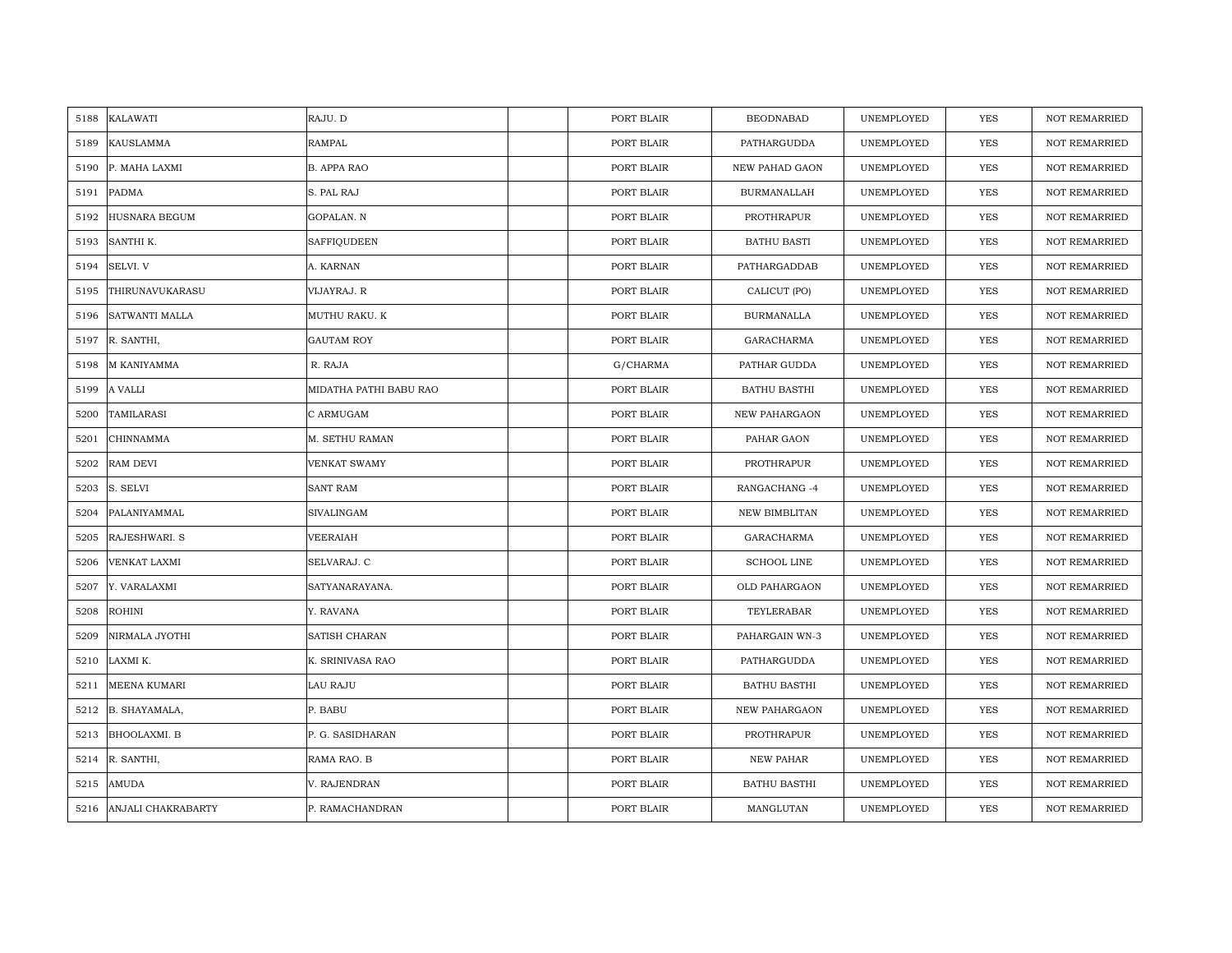| KALAWATI<br>5188           | RAJU. D                | PORT BLAIR | <b>BEODNABAD</b>      | UNEMPLOYED | <b>YES</b> | <b>NOT REMARRIED</b> |
|----------------------------|------------------------|------------|-----------------------|------------|------------|----------------------|
| 5189<br>KAUSLAMMA          | RAMPAL                 | PORT BLAIR | PATHARGUDDA           | UNEMPLOYED | <b>YES</b> | <b>NOT REMARRIED</b> |
| 5190<br>P. MAHA LAXMI      | <b>B. APPA RAO</b>     | PORT BLAIR | <b>NEW PAHAD GAON</b> | UNEMPLOYED | YES        | <b>NOT REMARRIED</b> |
| 5191<br>PADMA              | S. PAL RAJ             | PORT BLAIR | <b>BURMANALLAH</b>    | UNEMPLOYED | YES        | <b>NOT REMARRIED</b> |
| HUSNARA BEGUM<br>5192      | GOPALAN. N             | PORT BLAIR | PROTHRAPUR            | UNEMPLOYED | <b>YES</b> | <b>NOT REMARRIED</b> |
| 5193<br>SANTHI K.          | SAFFIQUDEEN            | PORT BLAIR | <b>BATHU BASTI</b>    | UNEMPLOYED | YES        | NOT REMARRIED        |
| SELVI. V<br>5194           | A. KARNAN              | PORT BLAIR | PATHARGADDAB          | UNEMPLOYED | YES        | <b>NOT REMARRIED</b> |
| THIRUNAVUKARASU<br>5195    | VIJAYRAJ. R            | PORT BLAIR | CALICUT (PO)          | UNEMPLOYED | YES        | NOT REMARRIED        |
| SATWANTI MALLA<br>5196     | MUTHU RAKU. K          | PORT BLAIR | <b>BURMANALLA</b>     | UNEMPLOYED | YES        | NOT REMARRIED        |
| R. SANTHI,<br>5197         | <b>GAUTAM ROY</b>      | PORT BLAIR | <b>GARACHARMA</b>     | UNEMPLOYED | <b>YES</b> | <b>NOT REMARRIED</b> |
| M KANIYAMMA<br>5198        | R. RAJA                | G/CHARMA   | PATHAR GUDDA          | UNEMPLOYED | <b>YES</b> | <b>NOT REMARRIED</b> |
| A VALLI<br>5199            | MIDATHA PATHI BABU RAO | PORT BLAIR | <b>BATHU BASTHI</b>   | UNEMPLOYED | <b>YES</b> | <b>NOT REMARRIED</b> |
| 5200<br>TAMILARASI         | C ARMUGAM              | PORT BLAIR | NEW PAHARGAON         | UNEMPLOYED | YES        | NOT REMARRIED        |
| CHINNAMMA<br>5201          | M. SETHU RAMAN         | PORT BLAIR | PAHAR GAON            | UNEMPLOYED | <b>YES</b> | <b>NOT REMARRIED</b> |
| RAM DEVI<br>5202           | VENKAT SWAMY           | PORT BLAIR | PROTHRAPUR            | UNEMPLOYED | YES        | NOT REMARRIED        |
| 5203<br>S. SELVI           | <b>SANT RAM</b>        | PORT BLAIR | RANGACHANG-4          | UNEMPLOYED | <b>YES</b> | <b>NOT REMARRIED</b> |
| PALANIYAMMAL<br>5204       | <b>SIVALINGAM</b>      | PORT BLAIR | <b>NEW BIMBLITAN</b>  | UNEMPLOYED | YES        | NOT REMARRIED        |
| 5205<br>RAJESHWARI. S      | VEERAIAH               | PORT BLAIR | GARACHARMA            | UNEMPLOYED | <b>YES</b> | <b>NOT REMARRIED</b> |
| VENKAT LAXMI<br>5206       | SELVARAJ. C            | PORT BLAIR | <b>SCHOOL LINE</b>    | UNEMPLOYED | YES        | <b>NOT REMARRIED</b> |
| 5207<br>Y. VARALAXMI       | SATYANARAYANA.         | PORT BLAIR | OLD PAHARGAON         | UNEMPLOYED | <b>YES</b> | <b>NOT REMARRIED</b> |
| <b>ROHINI</b><br>5208      | Y. RAVANA              | PORT BLAIR | TEYLERABAR            | UNEMPLOYED | <b>YES</b> | <b>NOT REMARRIED</b> |
| 5209<br>NIRMALA JYOTHI     | SATISH CHARAN          | PORT BLAIR | PAHARGAIN WN-3        | UNEMPLOYED | <b>YES</b> | <b>NOT REMARRIED</b> |
| LAXMI K.<br>5210           | K. SRINIVASA RAO       | PORT BLAIR | PATHARGUDDA           | UNEMPLOYED | <b>YES</b> | <b>NOT REMARRIED</b> |
| 5211<br>MEENA KUMARI       | LAU RAJU               | PORT BLAIR | <b>BATHU BASTHI</b>   | UNEMPLOYED | <b>YES</b> | <b>NOT REMARRIED</b> |
| 5212<br>B. SHAYAMALA,      | P. BABU                | PORT BLAIR | <b>NEW PAHARGAON</b>  | UNEMPLOYED | <b>YES</b> | <b>NOT REMARRIED</b> |
| 5213<br>BHOOLAXMI. B       | P. G. SASIDHARAN       | PORT BLAIR | PROTHRAPUR            | UNEMPLOYED | YES        | NOT REMARRIED        |
| 5214<br>R. SANTHI,         | RAMA RAO. B            | PORT BLAIR | NEW PAHAR             | UNEMPLOYED | <b>YES</b> | <b>NOT REMARRIED</b> |
| AMUDA<br>5215              | V. RAJENDRAN           | PORT BLAIR | <b>BATHU BASTHI</b>   | UNEMPLOYED | YES        | <b>NOT REMARRIED</b> |
| ANJALI CHAKRABARTY<br>5216 | P. RAMACHANDRAN        | PORT BLAIR | MANGLUTAN             | UNEMPLOYED | YES        | NOT REMARRIED        |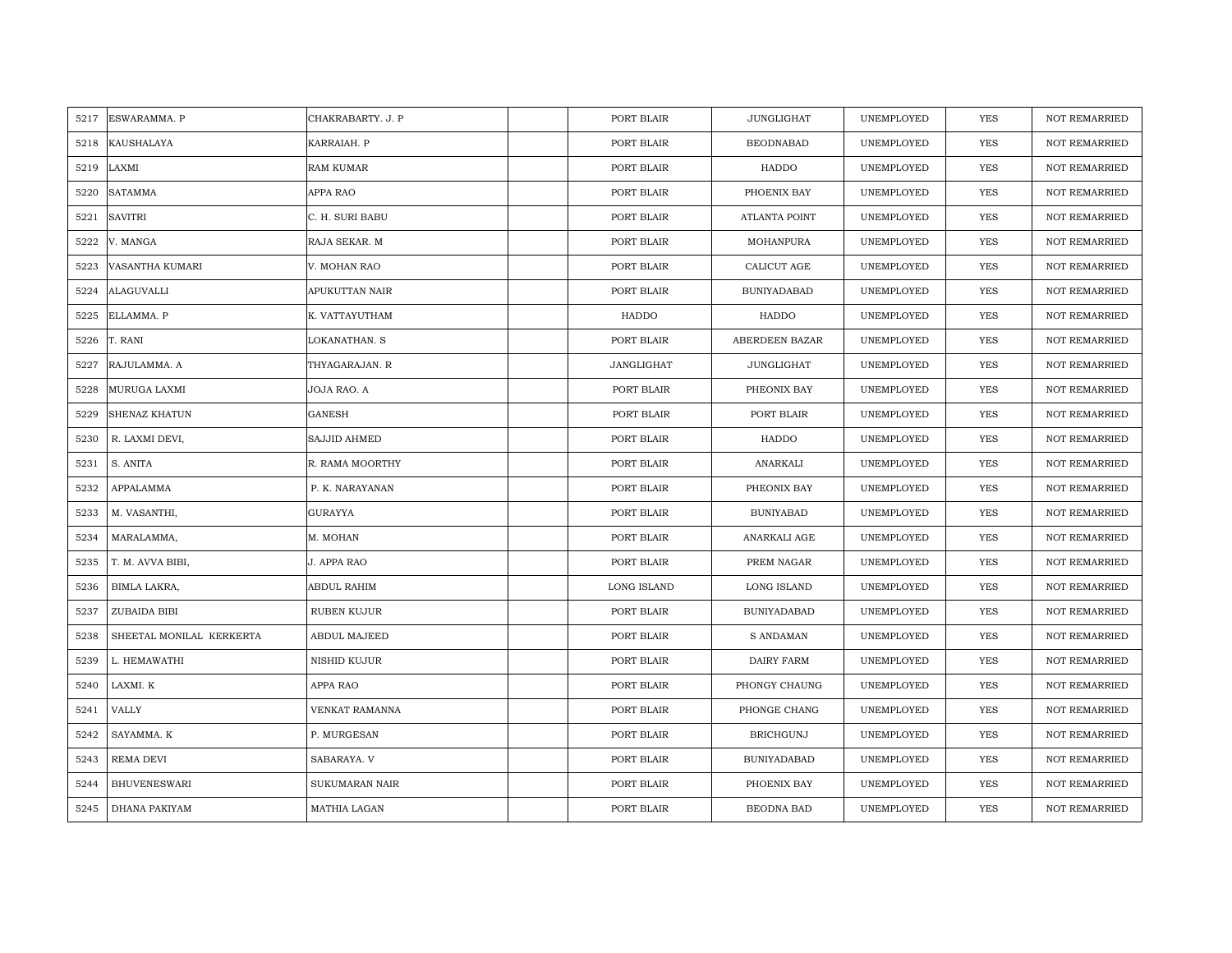| 5217 | <b>ESWARAMMA, P</b>      | CHAKRABARTY, J. P   | PORT BLAIR         | JUNGLIGHAT         | UNEMPLOYED | YES        | <b>NOT REMARRIED</b> |
|------|--------------------------|---------------------|--------------------|--------------------|------------|------------|----------------------|
|      |                          |                     |                    |                    |            |            |                      |
| 5218 | <b>KAUSHALAYA</b>        | KARRAIAH. P         | PORT BLAIR         | <b>BEODNABAD</b>   | UNEMPLOYED | <b>YES</b> | <b>NOT REMARRIED</b> |
| 5219 | LAXMI                    | <b>RAM KUMAR</b>    | PORT BLAIR         | HADDO              | UNEMPLOYED | YES        | <b>NOT REMARRIED</b> |
| 5220 | <b>SATAMMA</b>           | APPA RAO            | PORT BLAIR         | PHOENIX BAY        | UNEMPLOYED | YES        | <b>NOT REMARRIED</b> |
| 5221 | <b>SAVITRI</b>           | C. H. SURI BABU     | PORT BLAIR         | ATLANTA POINT      | UNEMPLOYED | YES        | <b>NOT REMARRIED</b> |
| 5222 | V. MANGA                 | RAJA SEKAR. M       | PORT BLAIR         | MOHANPURA          | UNEMPLOYED | <b>YES</b> | NOT REMARRIED        |
| 5223 | VASANTHA KUMARI          | V. MOHAN RAO        | PORT BLAIR         | CALICUT AGE        | UNEMPLOYED | YES        | <b>NOT REMARRIED</b> |
| 5224 | <b>ALAGUVALLI</b>        | APUKUTTAN NAIR      | PORT BLAIR         | <b>BUNIYADABAD</b> | UNEMPLOYED | YES        | <b>NOT REMARRIED</b> |
| 5225 | ELLAMMA. P               | K. VATTAYUTHAM      | HADDO              | HADDO              | UNEMPLOYED | <b>YES</b> | NOT REMARRIED        |
| 5226 | T. RANI                  | LOKANATHAN. S       | PORT BLAIR         | ABERDEEN BAZAR     | UNEMPLOYED | YES        | <b>NOT REMARRIED</b> |
| 5227 | RAJULAMMA. A             | THYAGARAJAN. R      | JANGLIGHAT         | JUNGLIGHAT         | UNEMPLOYED | YES        | <b>NOT REMARRIED</b> |
| 5228 | MURUGA LAXMI             | JOJA RAO. A         | PORT BLAIR         | PHEONIX BAY        | UNEMPLOYED | YES        | <b>NOT REMARRIED</b> |
| 5229 | <b>SHENAZ KHATUN</b>     | GANESH              | PORT BLAIR         | PORT BLAIR         | UNEMPLOYED | <b>YES</b> | NOT REMARRIED        |
| 5230 | R. LAXMI DEVI,           | SAJJID AHMED        | PORT BLAIR         | HADDO              | UNEMPLOYED | <b>YES</b> | <b>NOT REMARRIED</b> |
| 5231 | S. ANITA                 | R. RAMA MOORTHY     | PORT BLAIR         | ANARKALI           | UNEMPLOYED | YES        | NOT REMARRIED        |
| 5232 | APPALAMMA                | P. K. NARAYANAN     | PORT BLAIR         | PHEONIX BAY        | UNEMPLOYED | <b>YES</b> | NOT REMARRIED        |
| 5233 | M. VASANTHI,             | <b>GURAYYA</b>      | PORT BLAIR         | <b>BUNIYABAD</b>   | UNEMPLOYED | YES        | <b>NOT REMARRIED</b> |
| 5234 | MARALAMMA,               | M. MOHAN            | PORT BLAIR         | ANARKALI AGE       | UNEMPLOYED | YES        | <b>NOT REMARRIED</b> |
| 5235 | T. M. AVVA BIBI,         | J. APPA RAO         | PORT BLAIR         | PREM NAGAR         | UNEMPLOYED | YES        | <b>NOT REMARRIED</b> |
| 5236 | BIMLA LAKRA,             | ABDUL RAHIM         | <b>LONG ISLAND</b> | LONG ISLAND        | UNEMPLOYED | YES        | <b>NOT REMARRIED</b> |
| 5237 | ZUBAIDA BIBI             | <b>RUBEN KUJUR</b>  | PORT BLAIR         | <b>BUNIYADABAD</b> | UNEMPLOYED | YES        | <b>NOT REMARRIED</b> |
| 5238 | SHEETAL MONILAL KERKERTA | <b>ABDUL MAJEED</b> | PORT BLAIR         | <b>S ANDAMAN</b>   | UNEMPLOYED | YES        | <b>NOT REMARRIED</b> |
| 5239 | L. HEMAWATHI             | NISHID KUJUR        | PORT BLAIR         | DAIRY FARM         | UNEMPLOYED | YES        | <b>NOT REMARRIED</b> |
| 5240 | LAXMI. K                 | APPA RAO            | PORT BLAIR         | PHONGY CHAUNG      | UNEMPLOYED | YES        | <b>NOT REMARRIED</b> |
| 5241 | <b>VALLY</b>             | VENKAT RAMANNA      | PORT BLAIR         | PHONGE CHANG       | UNEMPLOYED | YES        | <b>NOT REMARRIED</b> |
| 5242 | SAYAMMA. K               | P. MURGESAN         | PORT BLAIR         | <b>BRICHGUNJ</b>   | UNEMPLOYED | YES        | NOT REMARRIED        |
| 5243 | REMA DEVI                | SABARAYA. V         | PORT BLAIR         | <b>BUNIYADABAD</b> | UNEMPLOYED | YES        | <b>NOT REMARRIED</b> |
| 5244 | <b>BHUVENESWARI</b>      | SUKUMARAN NAIR      | PORT BLAIR         | PHOENIX BAY        | UNEMPLOYED | YES        | <b>NOT REMARRIED</b> |
| 5245 | DHANA PAKIYAM            | MATHIA LAGAN        | PORT BLAIR         | BEODNA BAD         | UNEMPLOYED | YES        | NOT REMARRIED        |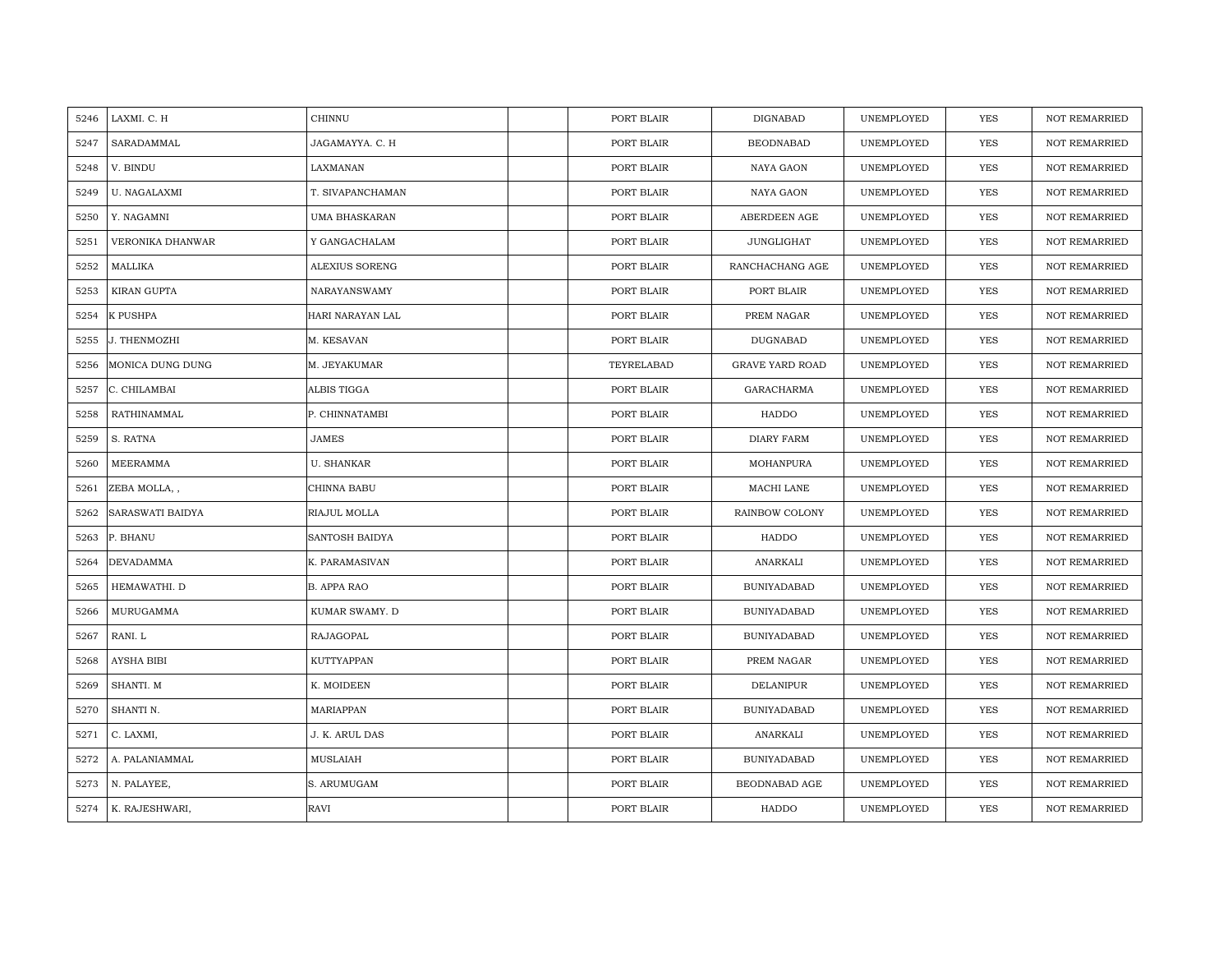| LAXMI. C. H<br>5246       | CHINNU             | PORT BLAIR | DIGNABAD               | UNEMPLOYED | <b>YES</b> | <b>NOT REMARRIED</b> |
|---------------------------|--------------------|------------|------------------------|------------|------------|----------------------|
| SARADAMMAL<br>5247        | JAGAMAYYA. C. H    | PORT BLAIR | <b>BEODNABAD</b>       | UNEMPLOYED | <b>YES</b> | <b>NOT REMARRIED</b> |
| V. BINDU<br>5248          | LAXMANAN           | PORT BLAIR | NAYA GAON              | UNEMPLOYED | <b>YES</b> | <b>NOT REMARRIED</b> |
| U. NAGALAXMI<br>5249      | T. SIVAPANCHAMAN   | PORT BLAIR | NAYA GAON              | UNEMPLOYED | YES        | <b>NOT REMARRIED</b> |
| 5250<br>Y. NAGAMNI        | UMA BHASKARAN      | PORT BLAIR | ABERDEEN AGE           | UNEMPLOYED | YES        | <b>NOT REMARRIED</b> |
| 5251<br>VERONIKA DHANWAR  | Y GANGACHALAM      | PORT BLAIR | JUNGLIGHAT             | UNEMPLOYED | YES        | <b>NOT REMARRIED</b> |
| 5252<br>MALLIKA           | ALEXIUS SORENG     | PORT BLAIR | RANCHACHANG AGE        | UNEMPLOYED | YES        | <b>NOT REMARRIED</b> |
| KIRAN GUPTA<br>5253       | NARAYANSWAMY       | PORT BLAIR | PORT BLAIR             | UNEMPLOYED | YES        | <b>NOT REMARRIED</b> |
| K PUSHPA<br>5254          | HARI NARAYAN LAL   | PORT BLAIR | PREM NAGAR             | UNEMPLOYED | <b>YES</b> | NOT REMARRIED        |
| 5255<br>J. THENMOZHI      | M. KESAVAN         | PORT BLAIR | <b>DUGNABAD</b>        | UNEMPLOYED | YES        | <b>NOT REMARRIED</b> |
| 5256<br>MONICA DUNG DUNG  | M. JEYAKUMAR       | TEYRELABAD | <b>GRAVE YARD ROAD</b> | UNEMPLOYED | <b>YES</b> | <b>NOT REMARRIED</b> |
| 5257<br>C. CHILAMBAI      | ALBIS TIGGA        | PORT BLAIR | GARACHARMA             | UNEMPLOYED | YES        | <b>NOT REMARRIED</b> |
| 5258<br>RATHINAMMAL       | P. CHINNATAMBI     | PORT BLAIR | HADDO                  | UNEMPLOYED | <b>YES</b> | <b>NOT REMARRIED</b> |
| S. RATNA<br>5259          | <b>JAMES</b>       | PORT BLAIR | DIARY FARM             | UNEMPLOYED | <b>YES</b> | <b>NOT REMARRIED</b> |
| MEERAMMA<br>5260          | <b>U. SHANKAR</b>  | PORT BLAIR | MOHANPURA              | UNEMPLOYED | YES        | <b>NOT REMARRIED</b> |
| 5261<br>ZEBA MOLLA,,      | CHINNA BABU        | PORT BLAIR | MACHI LANE             | UNEMPLOYED | <b>YES</b> | <b>NOT REMARRIED</b> |
| SARASWATI BAIDYA<br>5262  | RIAJUL MOLLA       | PORT BLAIR | RAINBOW COLONY         | UNEMPLOYED | <b>YES</b> | <b>NOT REMARRIED</b> |
| P. BHANU<br>5263          | SANTOSH BAIDYA     | PORT BLAIR | HADDO                  | UNEMPLOYED | <b>YES</b> | <b>NOT REMARRIED</b> |
| DEVADAMMA<br>5264         | K. PARAMASIVAN     | PORT BLAIR | ANARKALI               | UNEMPLOYED | <b>YES</b> | <b>NOT REMARRIED</b> |
| 5265<br>HEMAWATHI. D      | <b>B. APPA RAO</b> | PORT BLAIR | <b>BUNIYADABAD</b>     | UNEMPLOYED | YES        | <b>NOT REMARRIED</b> |
| MURUGAMMA<br>5266         | KUMAR SWAMY. D     | PORT BLAIR | <b>BUNIYADABAD</b>     | UNEMPLOYED | YES        | <b>NOT REMARRIED</b> |
| 5267<br>RANI. L           | RAJAGOPAL          | PORT BLAIR | <b>BUNIYADABAD</b>     | UNEMPLOYED | YES        | NOT REMARRIED        |
| <b>AYSHA BIBI</b><br>5268 | KUTTYAPPAN         | PORT BLAIR | PREM NAGAR             | UNEMPLOYED | <b>YES</b> | <b>NOT REMARRIED</b> |
| 5269<br>SHANTI. M         | K. MOIDEEN         | PORT BLAIR | DELANIPUR              | UNEMPLOYED | YES        | <b>NOT REMARRIED</b> |
| 5270<br>SHANTI N.         | MARIAPPAN          | PORT BLAIR | <b>BUNIYADABAD</b>     | UNEMPLOYED | <b>YES</b> | <b>NOT REMARRIED</b> |
| C. LAXMI,<br>5271         | J. K. ARUL DAS     | PORT BLAIR | ANARKALI               | UNEMPLOYED | YES        | NOT REMARRIED        |
| 5272<br>A. PALANIAMMAL    | MUSLAIAH           | PORT BLAIR | <b>BUNIYADABAD</b>     | UNEMPLOYED | <b>YES</b> | <b>NOT REMARRIED</b> |
| N. PALAYEE,<br>5273       | S. ARUMUGAM        | PORT BLAIR | BEODNABAD AGE          | UNEMPLOYED | <b>YES</b> | <b>NOT REMARRIED</b> |
| 5274<br>K. RAJESHWARI,    | <b>RAVI</b>        | PORT BLAIR | <b>HADDO</b>           | UNEMPLOYED | <b>YES</b> | <b>NOT REMARRIED</b> |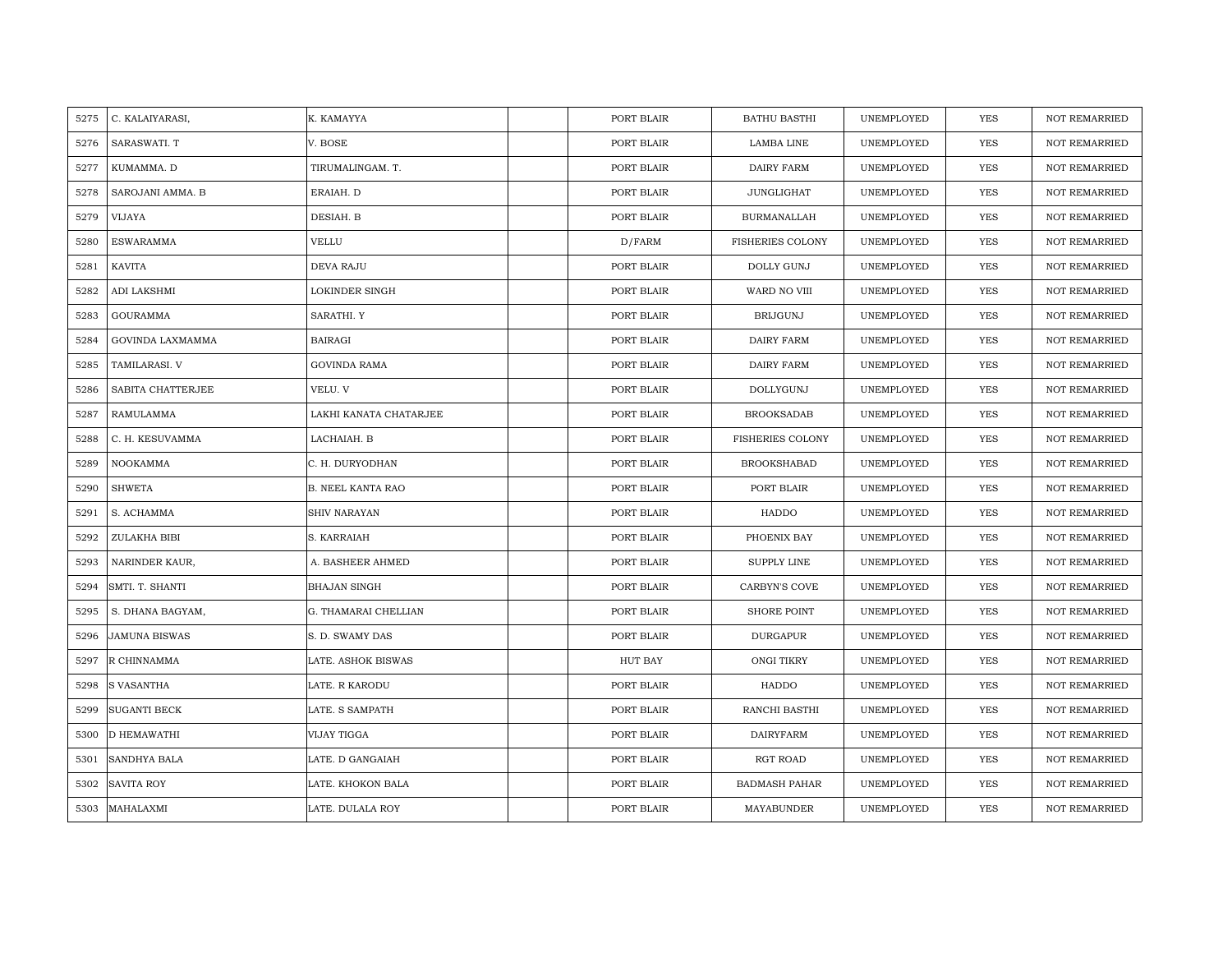| 5275 | C. KALAIYARASI,      | K. KAMAYYA               | PORT BLAIR | <b>BATHU BASTHI</b>     | UNEMPLOYED | <b>YES</b> | <b>NOT REMARRIED</b> |
|------|----------------------|--------------------------|------------|-------------------------|------------|------------|----------------------|
| 5276 | SARASWATI. T         | V. BOSE                  | PORT BLAIR | LAMBA LINE              | UNEMPLOYED | <b>YES</b> | <b>NOT REMARRIED</b> |
| 5277 | KUMAMMA. D           | TIRUMALINGAM. T.         | PORT BLAIR | DAIRY FARM              | UNEMPLOYED | YES        | <b>NOT REMARRIED</b> |
| 5278 | SAROJANI AMMA. B     | ERAIAH. D                | PORT BLAIR | JUNGLIGHAT              | UNEMPLOYED | YES        | <b>NOT REMARRIED</b> |
| 5279 | VIJAYA               | DESIAH. B                | PORT BLAIR | <b>BURMANALLAH</b>      | UNEMPLOYED | YES        | <b>NOT REMARRIED</b> |
| 5280 | <b>ESWARAMMA</b>     | VELLU                    | D/FARM     | <b>FISHERIES COLONY</b> | UNEMPLOYED | <b>YES</b> | <b>NOT REMARRIED</b> |
| 5281 | <b>KAVITA</b>        | DEVA RAJU                | PORT BLAIR | DOLLY GUNJ              | UNEMPLOYED | YES        | <b>NOT REMARRIED</b> |
| 5282 | ADI LAKSHMI          | LOKINDER SINGH           | PORT BLAIR | WARD NO VIII            | UNEMPLOYED | YES        | NOT REMARRIED        |
| 5283 | <b>GOURAMMA</b>      | SARATHI. Y               | PORT BLAIR | <b>BRIJGUNJ</b>         | UNEMPLOYED | YES        | <b>NOT REMARRIED</b> |
| 5284 | GOVINDA LAXMAMMA     | <b>BAIRAGI</b>           | PORT BLAIR | DAIRY FARM              | UNEMPLOYED | YES        | <b>NOT REMARRIED</b> |
| 5285 | TAMILARASI. V        | <b>GOVINDA RAMA</b>      | PORT BLAIR | DAIRY FARM              | UNEMPLOYED | YES        | <b>NOT REMARRIED</b> |
| 5286 | SABITA CHATTERJEE    | VELU. V                  | PORT BLAIR | DOLLYGUNJ               | UNEMPLOYED | <b>YES</b> | <b>NOT REMARRIED</b> |
| 5287 | RAMULAMMA            | LAKHI KANATA CHATARJEE   | PORT BLAIR | <b>BROOKSADAB</b>       | UNEMPLOYED | <b>YES</b> | <b>NOT REMARRIED</b> |
| 5288 | C. H. KESUVAMMA      | LACHAIAH. B              | PORT BLAIR | <b>FISHERIES COLONY</b> | UNEMPLOYED | YES        | <b>NOT REMARRIED</b> |
| 5289 | NOOKAMMA             | C. H. DURYODHAN          | PORT BLAIR | <b>BROOKSHABAD</b>      | UNEMPLOYED | <b>YES</b> | NOT REMARRIED        |
| 5290 | <b>SHWETA</b>        | <b>B. NEEL KANTA RAO</b> | PORT BLAIR | PORT BLAIR              | UNEMPLOYED | <b>YES</b> | <b>NOT REMARRIED</b> |
| 5291 | S. ACHAMMA           | SHIV NARAYAN             | PORT BLAIR | HADDO                   | UNEMPLOYED | YES        | <b>NOT REMARRIED</b> |
| 5292 | ZULAKHA BIBI         | S. KARRAIAH              | PORT BLAIR | PHOENIX BAY             | UNEMPLOYED | <b>YES</b> | <b>NOT REMARRIED</b> |
| 5293 | NARINDER KAUR,       | A. BASHEER AHMED         | PORT BLAIR | <b>SUPPLY LINE</b>      | UNEMPLOYED | YES        | <b>NOT REMARRIED</b> |
| 5294 | SMTI. T. SHANTI      | <b>BHAJAN SINGH</b>      | PORT BLAIR | <b>CARBYN'S COVE</b>    | UNEMPLOYED | YES        | NOT REMARRIED        |
| 5295 | S. DHANA BAGYAM,     | G. THAMARAI CHELLIAN     | PORT BLAIR | <b>SHORE POINT</b>      | UNEMPLOYED | YES        | <b>NOT REMARRIED</b> |
| 5296 | <b>JAMUNA BISWAS</b> | S. D. SWAMY DAS          | PORT BLAIR | <b>DURGAPUR</b>         | UNEMPLOYED | YES        | NOT REMARRIED        |
| 5297 | R CHINNAMMA          | LATE. ASHOK BISWAS       | HUT BAY    | <b>ONGI TIKRY</b>       | UNEMPLOYED | YES        | <b>NOT REMARRIED</b> |
| 5298 | <b>S VASANTHA</b>    | LATE. R KARODU           | PORT BLAIR | HADDO                   | UNEMPLOYED | YES        | <b>NOT REMARRIED</b> |
| 5299 | <b>SUGANTI BECK</b>  | LATE. S SAMPATH          | PORT BLAIR | RANCHI BASTHI           | UNEMPLOYED | YES        | NOT REMARRIED        |
| 5300 | D HEMAWATHI          | VIJAY TIGGA              | PORT BLAIR | DAIRYFARM               | UNEMPLOYED | <b>YES</b> | <b>NOT REMARRIED</b> |
| 5301 | <b>SANDHYA BALA</b>  | LATE. D GANGAIAH         | PORT BLAIR | RGT ROAD                | UNEMPLOYED | YES        | NOT REMARRIED        |
| 5302 | <b>SAVITA ROY</b>    | LATE. KHOKON BALA        | PORT BLAIR | <b>BADMASH PAHAR</b>    | UNEMPLOYED | YES        | <b>NOT REMARRIED</b> |
| 5303 | MAHALAXMI            | LATE. DULALA ROY         | PORT BLAIR | MAYABUNDER              | UNEMPLOYED | <b>YES</b> | <b>NOT REMARRIED</b> |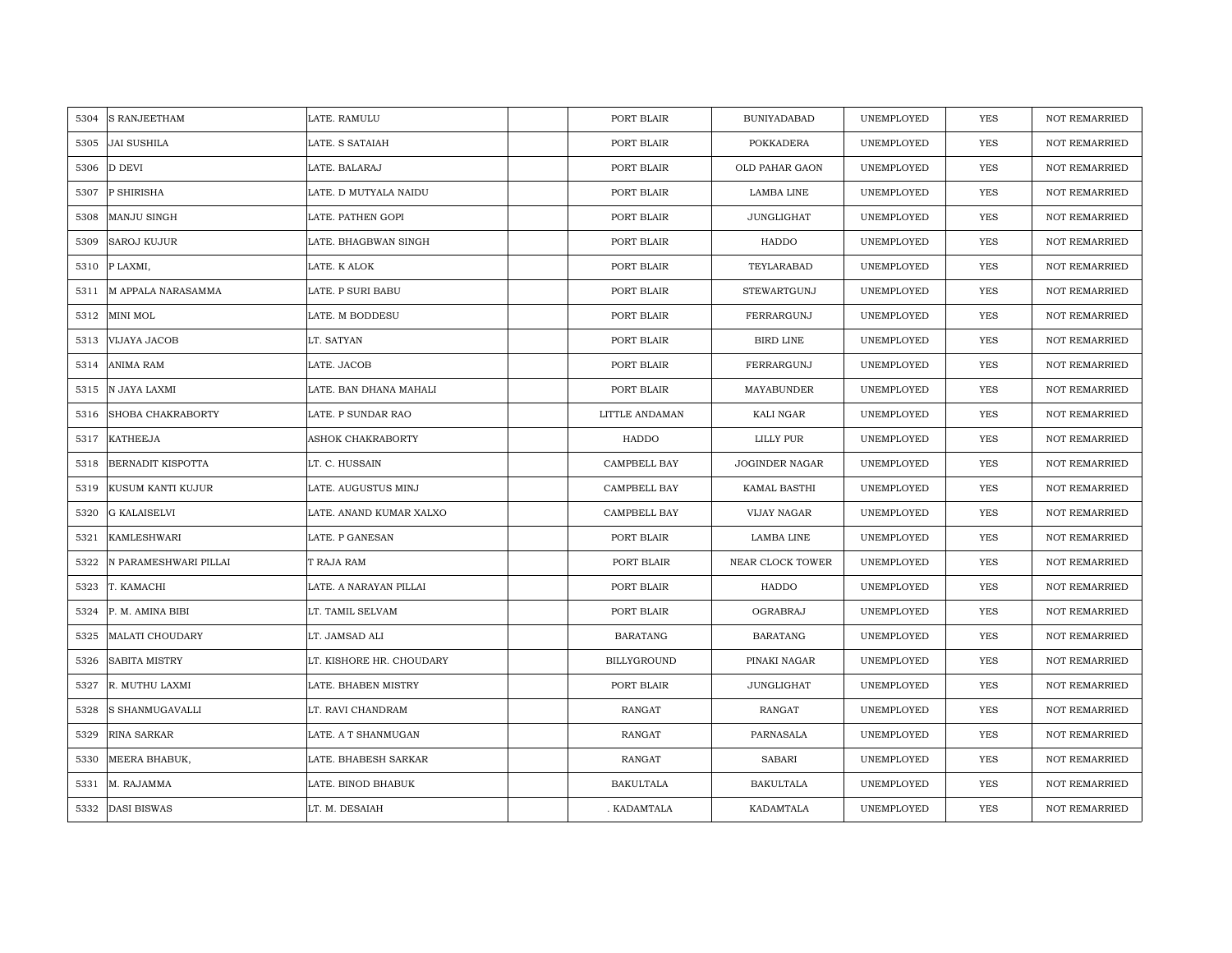| 5304 | <b>S RANJEETHAM</b>      | LATE. RAMULU             | PORT BLAIR         | <b>BUNIYADABAD</b>    | UNEMPLOYED | YES        | <b>NOT REMARRIED</b> |
|------|--------------------------|--------------------------|--------------------|-----------------------|------------|------------|----------------------|
| 5305 | <b>JAI SUSHILA</b>       | LATE. S SATAIAH          | PORT BLAIR         | POKKADERA             | UNEMPLOYED | <b>YES</b> | <b>NOT REMARRIED</b> |
| 5306 | <b>D DEVI</b>            | LATE. BALARAJ            | PORT BLAIR         | OLD PAHAR GAON        | UNEMPLOYED | <b>YES</b> | <b>NOT REMARRIED</b> |
| 5307 | P SHIRISHA               | LATE. D MUTYALA NAIDU    | PORT BLAIR         | LAMBA LINE            | UNEMPLOYED | <b>YES</b> | NOT REMARRIED        |
| 5308 | MANJU SINGH              | LATE. PATHEN GOPI        | PORT BLAIR         | JUNGLIGHAT            | UNEMPLOYED | <b>YES</b> | <b>NOT REMARRIED</b> |
| 5309 | <b>SAROJ KUJUR</b>       | LATE. BHAGBWAN SINGH     | PORT BLAIR         | HADDO                 | UNEMPLOYED | <b>YES</b> | <b>NOT REMARRIED</b> |
| 5310 | P LAXMI,                 | LATE. K ALOK             | PORT BLAIR         | TEYLARABAD            | UNEMPLOYED | <b>YES</b> | <b>NOT REMARRIED</b> |
| 5311 | M APPALA NARASAMMA       | LATE. P SURI BABU        | PORT BLAIR         | STEWARTGUNJ           | UNEMPLOYED | YES        | <b>NOT REMARRIED</b> |
| 5312 | MINI MOL                 | LATE. M BODDESU          | PORT BLAIR         | FERRARGUNJ            | UNEMPLOYED | YES        | NOT REMARRIED        |
| 5313 | VIJAYA JACOB             | LT. SATYAN               | PORT BLAIR         | BIRD LINE             | UNEMPLOYED | YES        | <b>NOT REMARRIED</b> |
| 5314 | <b>ANIMA RAM</b>         | LATE. JACOB              | PORT BLAIR         | FERRARGUNJ            | UNEMPLOYED | YES        | NOT REMARRIED        |
| 5315 | N JAYA LAXMI             | LATE. BAN DHANA MAHALI   | PORT BLAIR         | MAYABUNDER            | UNEMPLOYED | YES        | NOT REMARRIED        |
| 5316 | SHOBA CHAKRABORTY        | LATE. P SUNDAR RAO       | LITTLE ANDAMAN     | KALI NGAR             | UNEMPLOYED | YES        | <b>NOT REMARRIED</b> |
| 5317 | <b>KATHEEJA</b>          | <b>ASHOK CHAKRABORTY</b> | <b>HADDO</b>       | LILLY PUR             | UNEMPLOYED | <b>YES</b> | <b>NOT REMARRIED</b> |
| 5318 | <b>BERNADIT KISPOTTA</b> | LT. C. HUSSAIN           | CAMPBELL BAY       | <b>JOGINDER NAGAR</b> | UNEMPLOYED | YES        | <b>NOT REMARRIED</b> |
| 5319 | KUSUM KANTI KUJUR        | LATE. AUGUSTUS MINJ      | CAMPBELL BAY       | KAMAL BASTHI          | UNEMPLOYED | YES        | <b>NOT REMARRIED</b> |
| 5320 | <b>G KALAISELVI</b>      | LATE. ANAND KUMAR XALXO  | CAMPBELL BAY       | VIJAY NAGAR           | UNEMPLOYED | <b>YES</b> | <b>NOT REMARRIED</b> |
| 5321 | KAMLESHWARI              | LATE. P GANESAN          | PORT BLAIR         | LAMBA LINE            | UNEMPLOYED | <b>YES</b> | <b>NOT REMARRIED</b> |
| 5322 | N PARAMESHWARI PILLAI    | T RAJA RAM               | PORT BLAIR         | NEAR CLOCK TOWER      | UNEMPLOYED | YES        | <b>NOT REMARRIED</b> |
| 5323 | T. KAMACHI               | LATE. A NARAYAN PILLAI   | PORT BLAIR         | HADDO                 | UNEMPLOYED | <b>YES</b> | <b>NOT REMARRIED</b> |
| 5324 | P. M. AMINA BIBI         | LT. TAMIL SELVAM         | PORT BLAIR         | OGRABRAJ              | UNEMPLOYED | YES        | <b>NOT REMARRIED</b> |
| 5325 | <b>MALATI CHOUDARY</b>   | LT. JAMSAD ALI           | <b>BARATANG</b>    | <b>BARATANG</b>       | UNEMPLOYED | YES        | NOT REMARRIED        |
| 5326 | <b>SABITA MISTRY</b>     | LT. KISHORE HR. CHOUDARY | <b>BILLYGROUND</b> | PINAKI NAGAR          | UNEMPLOYED | YES        | <b>NOT REMARRIED</b> |
| 5327 | R. MUTHU LAXMI           | LATE. BHABEN MISTRY      | PORT BLAIR         | <b>JUNGLIGHAT</b>     | UNEMPLOYED | YES        | <b>NOT REMARRIED</b> |
| 5328 | S SHANMUGAVALLI          | LT. RAVI CHANDRAM        | RANGAT             | RANGAT                | UNEMPLOYED | <b>YES</b> | <b>NOT REMARRIED</b> |
| 5329 | RINA SARKAR              | LATE. A T SHANMUGAN      | RANGAT             | PARNASALA             | UNEMPLOYED | YES        | NOT REMARRIED        |
| 5330 | MEERA BHABUK,            | LATE. BHABESH SARKAR     | RANGAT             | <b>SABARI</b>         | UNEMPLOYED | YES        | <b>NOT REMARRIED</b> |
| 5331 | M. RAJAMMA               | LATE. BINOD BHABUK       | <b>BAKULTALA</b>   | <b>BAKULTALA</b>      | UNEMPLOYED | <b>YES</b> | <b>NOT REMARRIED</b> |
|      | 5332 DASI BISWAS         | LT. M. DESAIAH           | . KADAMTALA        | KADAMTALA             | UNEMPLOYED | <b>YES</b> | <b>NOT REMARRIED</b> |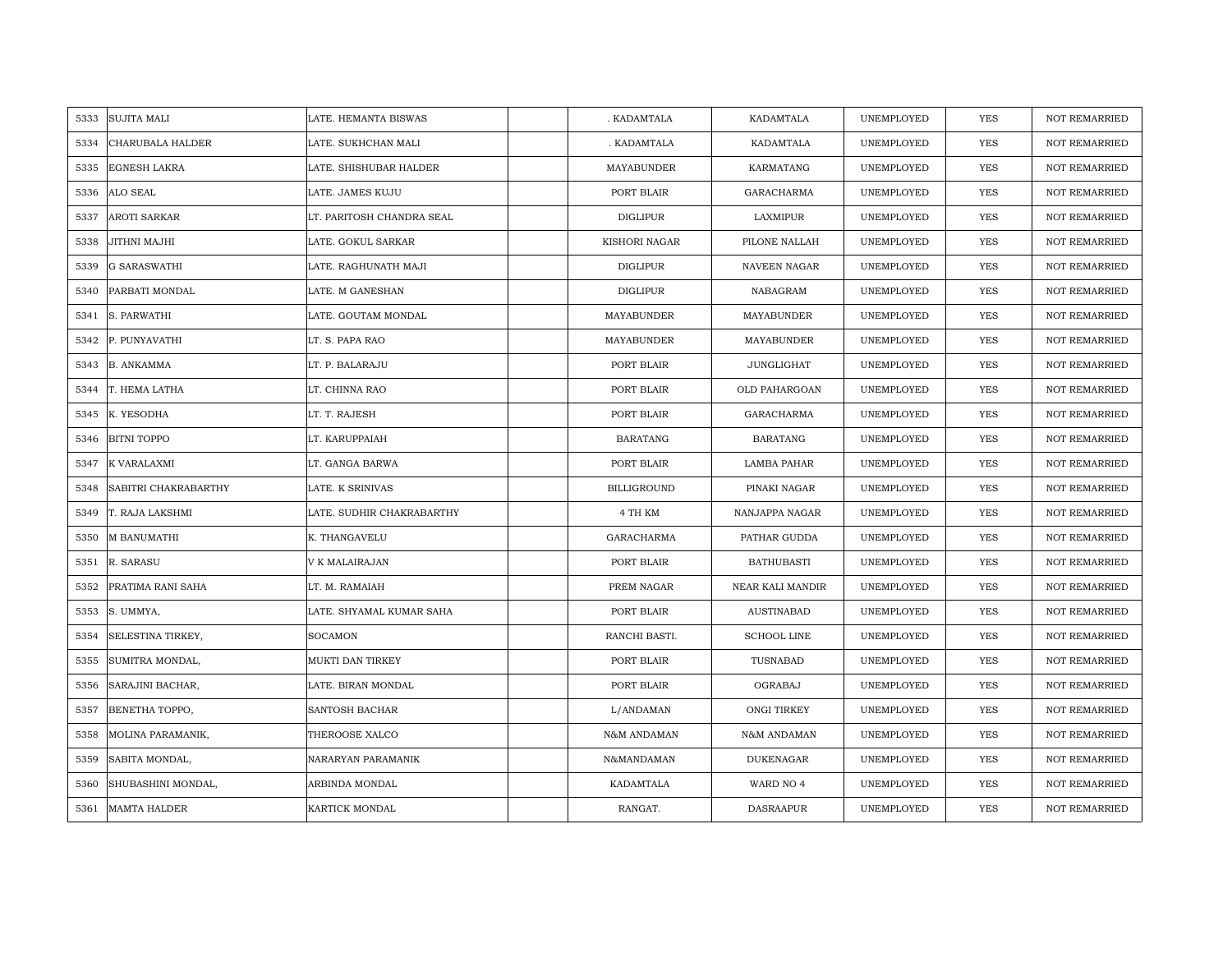| 5333 | <b>SUJITA MALI</b>   | LATE. HEMANTA BISWAS      | . KADAMTALA        | KADAMTALA          | UNEMPLOYED | <b>YES</b> | <b>NOT REMARRIED</b> |
|------|----------------------|---------------------------|--------------------|--------------------|------------|------------|----------------------|
| 5334 | CHARUBALA HALDER     | LATE. SUKHCHAN MALI       | . KADAMTALA        | KADAMTALA          | UNEMPLOYED | <b>YES</b> | <b>NOT REMARRIED</b> |
| 5335 | <b>EGNESH LAKRA</b>  | LATE. SHISHUBAR HALDER    | MAYABUNDER         | KARMATANG          | UNEMPLOYED | YES        | <b>NOT REMARRIED</b> |
| 5336 | ALO SEAL             | LATE. JAMES KUJU          | PORT BLAIR         | GARACHARMA         | UNEMPLOYED | YES        | <b>NOT REMARRIED</b> |
| 5337 | <b>AROTI SARKAR</b>  | LT. PARITOSH CHANDRA SEAL | DIGLIPUR           | LAXMIPUR           | UNEMPLOYED | YES        | <b>NOT REMARRIED</b> |
| 5338 | JITHNI MAJHI         | LATE. GOKUL SARKAR        | KISHORI NAGAR      | PILONE NALLAH      | UNEMPLOYED | <b>YES</b> | NOT REMARRIED        |
| 5339 | <b>G SARASWATHI</b>  | LATE. RAGHUNATH MAJI      | <b>DIGLIPUR</b>    | NAVEEN NAGAR       | UNEMPLOYED | YES        | <b>NOT REMARRIED</b> |
| 5340 | PARBATI MONDAL       | LATE. M GANESHAN          | <b>DIGLIPUR</b>    | NABAGRAM           | UNEMPLOYED | YES        | <b>NOT REMARRIED</b> |
| 5341 | S. PARWATHI          | LATE. GOUTAM MONDAL       | MAYABUNDER         | MAYABUNDER         | UNEMPLOYED | <b>YES</b> | NOT REMARRIED        |
| 5342 | P. PUNYAVATHI        | LT. S. PAPA RAO           | MAYABUNDER         | MAYABUNDER         | UNEMPLOYED | YES        | <b>NOT REMARRIED</b> |
| 5343 | B. ANKAMMA           | LT. P. BALARAJU           | PORT BLAIR         | JUNGLIGHAT         | UNEMPLOYED | YES        | <b>NOT REMARRIED</b> |
| 5344 | T. HEMA LATHA        | LT. CHINNA RAO            | PORT BLAIR         | OLD PAHARGOAN      | UNEMPLOYED | YES        | <b>NOT REMARRIED</b> |
| 5345 | K. YESODHA           | LT. T. RAJESH             | PORT BLAIR         | GARACHARMA         | UNEMPLOYED | <b>YES</b> | NOT REMARRIED        |
| 5346 | <b>BITNI TOPPO</b>   | LT. KARUPPAIAH            | <b>BARATANG</b>    | <b>BARATANG</b>    | UNEMPLOYED | <b>YES</b> | <b>NOT REMARRIED</b> |
| 5347 | K VARALAXMI          | LT. GANGA BARWA           | PORT BLAIR         | LAMBA PAHAR        | UNEMPLOYED | YES        | NOT REMARRIED        |
| 5348 | SABITRI CHAKRABARTHY | LATE. K SRINIVAS          | <b>BILLIGROUND</b> | PINAKI NAGAR       | UNEMPLOYED | <b>YES</b> | NOT REMARRIED        |
| 5349 | T. RAJA LAKSHMI      | LATE. SUDHIR CHAKRABARTHY | 4 TH KM            | NANJAPPA NAGAR     | UNEMPLOYED | YES        | <b>NOT REMARRIED</b> |
| 5350 | <b>M BANUMATHI</b>   | K. THANGAVELU             | GARACHARMA         | PATHAR GUDDA       | UNEMPLOYED | YES        | <b>NOT REMARRIED</b> |
| 5351 | R. SARASU            | V K MALAIRAJAN            | PORT BLAIR         | <b>BATHUBASTI</b>  | UNEMPLOYED | YES        | <b>NOT REMARRIED</b> |
| 5352 | PRATIMA RANI SAHA    | LT. M. RAMAIAH            | PREM NAGAR         | NEAR KALI MANDIR   | UNEMPLOYED | YES        | <b>NOT REMARRIED</b> |
| 5353 | S. UMMYA,            | LATE. SHYAMAL KUMAR SAHA  | PORT BLAIR         | <b>AUSTINABAD</b>  | UNEMPLOYED | YES        | <b>NOT REMARRIED</b> |
| 5354 | SELESTINA TIRKEY,    | <b>SOCAMON</b>            | RANCHI BASTI.      | <b>SCHOOL LINE</b> | UNEMPLOYED | YES        | <b>NOT REMARRIED</b> |
| 5355 | SUMITRA MONDAL,      | MUKTI DAN TIRKEY          | PORT BLAIR         | TUSNABAD           | UNEMPLOYED | YES        | <b>NOT REMARRIED</b> |
| 5356 | SARAJINI BACHAR,     | LATE. BIRAN MONDAL        | PORT BLAIR         | OGRABAJ            | UNEMPLOYED | YES        | <b>NOT REMARRIED</b> |
| 5357 | BENETHA TOPPO,       | SANTOSH BACHAR            | L/ANDAMAN          | ONGI TIRKEY        | UNEMPLOYED | YES        | <b>NOT REMARRIED</b> |
| 5358 | MOLINA PARAMANIK,    | THEROOSE XALCO            | N&M ANDAMAN        | N&M ANDAMAN        | UNEMPLOYED | YES        | NOT REMARRIED        |
| 5359 | SABITA MONDAL,       | NARARYAN PARAMANIK        | N&MANDAMAN         | <b>DUKENAGAR</b>   | UNEMPLOYED | YES        | <b>NOT REMARRIED</b> |
| 5360 | SHUBASHINI MONDAL,   | ARBINDA MONDAL            | KADAMTALA          | WARD NO 4          | UNEMPLOYED | YES        | <b>NOT REMARRIED</b> |
| 5361 | <b>MAMTA HALDER</b>  | KARTICK MONDAL            | RANGAT.            | <b>DASRAAPUR</b>   | UNEMPLOYED | YES        | NOT REMARRIED        |
|      |                      |                           |                    |                    |            |            |                      |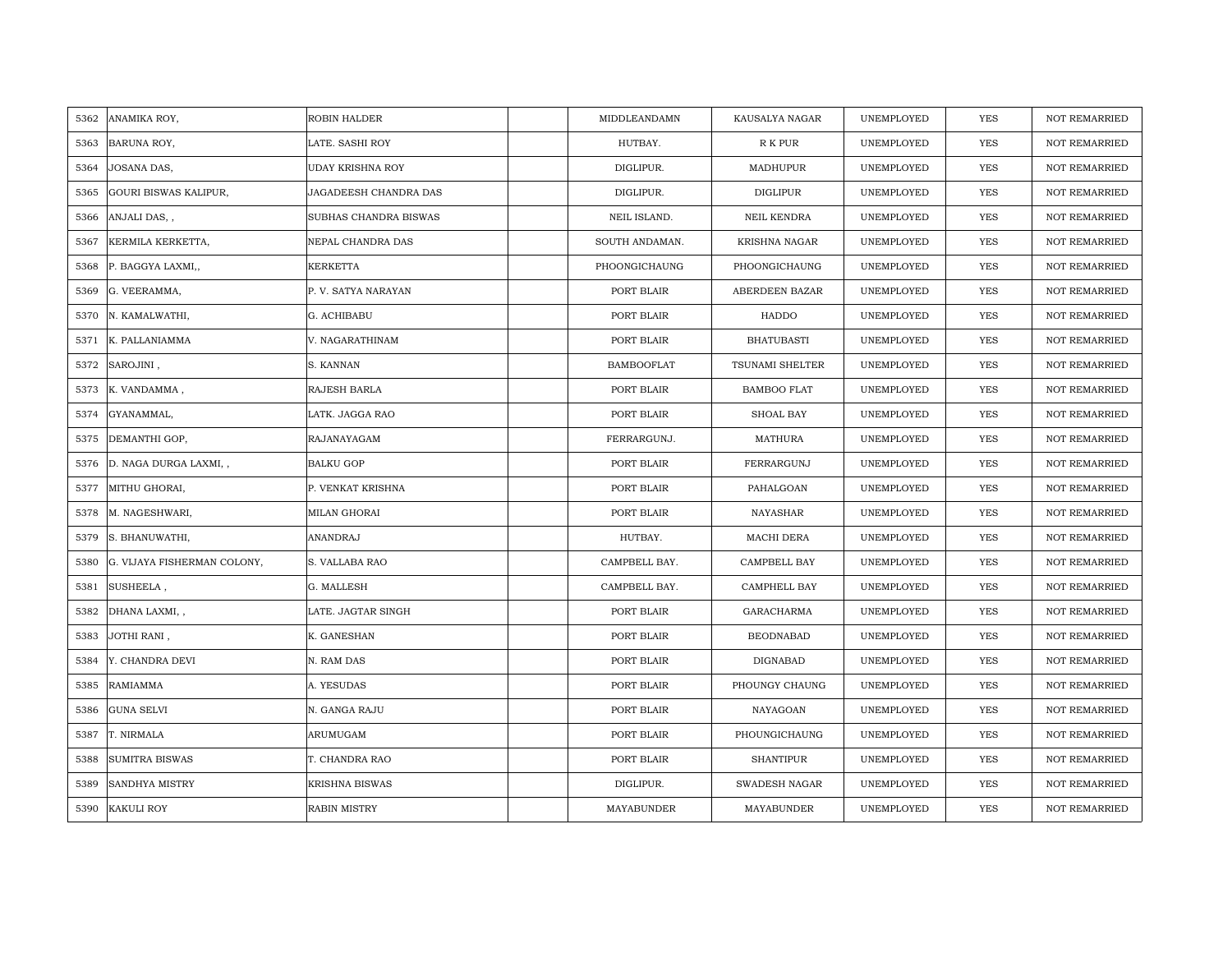| 5362 | ANAMIKA ROY,                 | ROBIN HALDER            | MIDDLEANDAMN      | KAUSALYA NAGAR       | UNEMPLOYED | <b>YES</b> | <b>NOT REMARRIED</b> |
|------|------------------------------|-------------------------|-------------------|----------------------|------------|------------|----------------------|
| 5363 | BARUNA ROY,                  | LATE. SASHI ROY         | HUTBAY.           | R K PUR              | UNEMPLOYED | <b>YES</b> | NOT REMARRIED        |
| 5364 | JOSANA DAS,                  | <b>UDAY KRISHNA ROY</b> | DIGLIPUR.         | MADHUPUR             | UNEMPLOYED | YES        | <b>NOT REMARRIED</b> |
| 5365 | <b>GOURI BISWAS KALIPUR,</b> | JAGADEESH CHANDRA DAS   | DIGLIPUR.         | DIGLIPUR             | UNEMPLOYED | <b>YES</b> | NOT REMARRIED        |
| 5366 | ANJALI DAS,,                 | SUBHAS CHANDRA BISWAS   | NEIL ISLAND.      | NEIL KENDRA          | UNEMPLOYED | YES        | <b>NOT REMARRIED</b> |
| 5367 | KERMILA KERKETTA,            | NEPAL CHANDRA DAS       | SOUTH ANDAMAN.    | <b>KRISHNA NAGAR</b> | UNEMPLOYED | YES        | <b>NOT REMARRIED</b> |
| 5368 | P. BAGGYA LAXMI,,            | <b>KERKETTA</b>         | PHOONGICHAUNG     | PHOONGICHAUNG        | UNEMPLOYED | <b>YES</b> | <b>NOT REMARRIED</b> |
| 5369 | G. VEERAMMA,                 | P. V. SATYA NARAYAN     | PORT BLAIR        | ABERDEEN BAZAR       | UNEMPLOYED | YES        | NOT REMARRIED        |
| 5370 | N. KAMALWATHI,               | G. ACHIBABU             | PORT BLAIR        | HADDO                | UNEMPLOYED | YES        | NOT REMARRIED        |
| 5371 | K. PALLANIAMMA               | V. NAGARATHINAM         | PORT BLAIR        | <b>BHATUBASTI</b>    | UNEMPLOYED | <b>YES</b> | <b>NOT REMARRIED</b> |
| 5372 | SAROJINI,                    | S. KANNAN               | <b>BAMBOOFLAT</b> | TSUNAMI SHELTER      | UNEMPLOYED | YES        | <b>NOT REMARRIED</b> |
| 5373 | K. VANDAMMA,                 | RAJESH BARLA            | PORT BLAIR        | <b>BAMBOO FLAT</b>   | UNEMPLOYED | YES        | NOT REMARRIED        |
| 5374 | GYANAMMAL,                   | LATK. JAGGA RAO         | PORT BLAIR        | SHOAL BAY            | UNEMPLOYED | <b>YES</b> | NOT REMARRIED        |
| 5375 | DEMANTHI GOP,                | RAJANAYAGAM             | FERRARGUNJ.       | MATHURA              | UNEMPLOYED | <b>YES</b> | <b>NOT REMARRIED</b> |
| 5376 | D. NAGA DURGA LAXMI, ,       | <b>BALKU GOP</b>        | PORT BLAIR        | FERRARGUNJ           | UNEMPLOYED | YES        | NOT REMARRIED        |
| 5377 | MITHU GHORAI,                | P. VENKAT KRISHNA       | PORT BLAIR        | PAHALGOAN            | UNEMPLOYED | YES        | <b>NOT REMARRIED</b> |
| 5378 | M. NAGESHWARI,               | MILAN GHORAI            | PORT BLAIR        | NAYASHAR             | UNEMPLOYED | <b>YES</b> | <b>NOT REMARRIED</b> |
| 5379 | S. BHANUWATHI,               | ANANDRAJ                | HUTBAY.           | MACHI DERA           | UNEMPLOYED | YES        | <b>NOT REMARRIED</b> |
| 5380 | G. VIJAYA FISHERMAN COLONY,  | S. VALLABA RAO          | CAMPBELL BAY.     | CAMPBELL BAY         | UNEMPLOYED | <b>YES</b> | NOT REMARRIED        |
| 5381 | SUSHEELA,                    | G. MALLESH              | CAMPBELL BAY.     | CAMPHELL BAY         | UNEMPLOYED | <b>YES</b> | <b>NOT REMARRIED</b> |
| 5382 | DHANA LAXMI,,                | LATE. JAGTAR SINGH      | PORT BLAIR        | GARACHARMA           | UNEMPLOYED | YES        | <b>NOT REMARRIED</b> |
| 5383 | JOTHI RANI,                  | K. GANESHAN             | PORT BLAIR        | <b>BEODNABAD</b>     | UNEMPLOYED | YES        | NOT REMARRIED        |
| 5384 | Y. CHANDRA DEVI              | N. RAM DAS              | PORT BLAIR        | DIGNABAD             | UNEMPLOYED | YES        | <b>NOT REMARRIED</b> |
| 5385 | <b>RAMIAMMA</b>              | A. YESUDAS              | PORT BLAIR        | PHOUNGY CHAUNG       | UNEMPLOYED | YES        | <b>NOT REMARRIED</b> |
| 5386 | <b>GUNA SELVI</b>            | N. GANGA RAJU           | PORT BLAIR        | NAYAGOAN             | UNEMPLOYED | YES        | <b>NOT REMARRIED</b> |
| 5387 | T. NIRMALA                   | ARUMUGAM                | PORT BLAIR        | PHOUNGICHAUNG        | UNEMPLOYED | YES        | NOT REMARRIED        |
| 5388 | <b>SUMITRA BISWAS</b>        | T. CHANDRA RAO          | PORT BLAIR        | <b>SHANTIPUR</b>     | UNEMPLOYED | YES        | <b>NOT REMARRIED</b> |
| 5389 | <b>SANDHYA MISTRY</b>        | KRISHNA BISWAS          | DIGLIPUR.         | <b>SWADESH NAGAR</b> | UNEMPLOYED | YES        | <b>NOT REMARRIED</b> |
| 5390 | KAKULI ROY                   | RABIN MISTRY            | MAYABUNDER        | MAYABUNDER           | UNEMPLOYED | <b>YES</b> | <b>NOT REMARRIED</b> |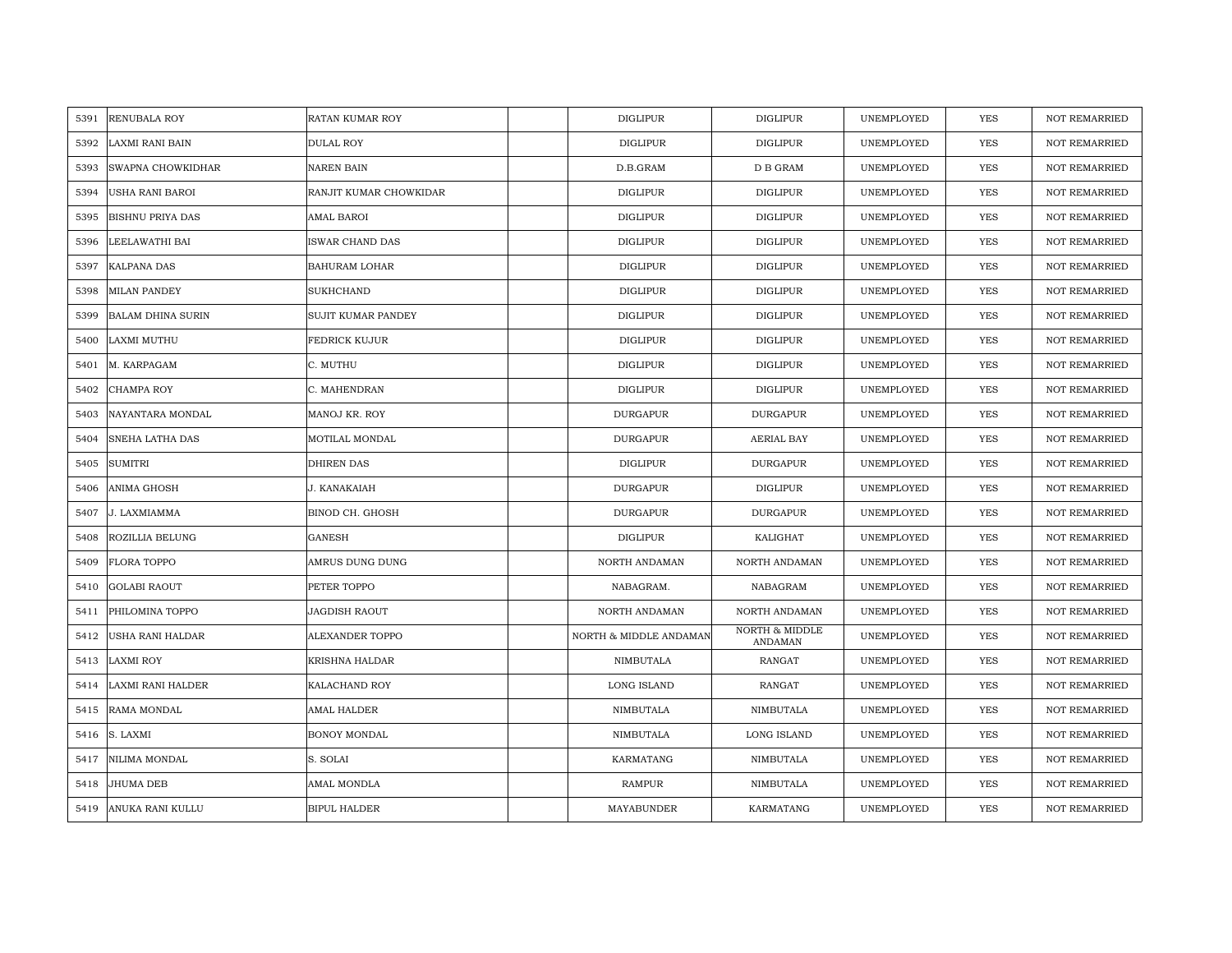| 5391 | <b>RENUBALA ROY</b>      | RATAN KUMAR ROY        | <b>DIGLIPUR</b>        | <b>DIGLIPUR</b>                      | UNEMPLOYED | YES        | <b>NOT REMARRIED</b> |
|------|--------------------------|------------------------|------------------------|--------------------------------------|------------|------------|----------------------|
| 5392 | <b>LAXMI RANI BAIN</b>   | <b>DULAL ROY</b>       | <b>DIGLIPUR</b>        | <b>DIGLIPUR</b>                      | UNEMPLOYED | <b>YES</b> | <b>NOT REMARRIED</b> |
| 5393 | SWAPNA CHOWKIDHAR        | <b>NAREN BAIN</b>      | D.B.GRAM               | D B GRAM                             | UNEMPLOYED | <b>YES</b> | <b>NOT REMARRIED</b> |
| 5394 | USHA RANI BAROI          | RANJIT KUMAR CHOWKIDAR | <b>DIGLIPUR</b>        | <b>DIGLIPUR</b>                      | UNEMPLOYED | <b>YES</b> | <b>NOT REMARRIED</b> |
| 5395 | <b>BISHNU PRIYA DAS</b>  | AMAL BAROI             | <b>DIGLIPUR</b>        | <b>DIGLIPUR</b>                      | UNEMPLOYED | <b>YES</b> | <b>NOT REMARRIED</b> |
| 5396 | LEELAWATHI BAI           | ISWAR CHAND DAS        | <b>DIGLIPUR</b>        | <b>DIGLIPUR</b>                      | UNEMPLOYED | <b>YES</b> | <b>NOT REMARRIED</b> |
| 5397 | <b>KALPANA DAS</b>       | BAHURAM LOHAR          | <b>DIGLIPUR</b>        | <b>DIGLIPUR</b>                      | UNEMPLOYED | <b>YES</b> | <b>NOT REMARRIED</b> |
| 5398 | <b>MILAN PANDEY</b>      | SUKHCHAND              | <b>DIGLIPUR</b>        | <b>DIGLIPUR</b>                      | UNEMPLOYED | YES        | <b>NOT REMARRIED</b> |
| 5399 | <b>BALAM DHINA SURIN</b> | SUJIT KUMAR PANDEY     | <b>DIGLIPUR</b>        | <b>DIGLIPUR</b>                      | UNEMPLOYED | <b>YES</b> | <b>NOT REMARRIED</b> |
| 5400 | <b>LAXMI MUTHU</b>       | FEDRICK KUJUR          | <b>DIGLIPUR</b>        | <b>DIGLIPUR</b>                      | UNEMPLOYED | <b>YES</b> | <b>NOT REMARRIED</b> |
| 5401 | M. KARPAGAM              | C. MUTHU               | <b>DIGLIPUR</b>        | <b>DIGLIPUR</b>                      | UNEMPLOYED | YES        | <b>NOT REMARRIED</b> |
| 5402 | CHAMPA ROY               | C. MAHENDRAN           | DIGLIPUR               | <b>DIGLIPUR</b>                      | UNEMPLOYED | YES        | <b>NOT REMARRIED</b> |
| 5403 | NAYANTARA MONDAL         | MANOJ KR. ROY          | <b>DURGAPUR</b>        | <b>DURGAPUR</b>                      | UNEMPLOYED | <b>YES</b> | <b>NOT REMARRIED</b> |
| 5404 | SNEHA LATHA DAS          | MOTILAL MONDAL         | <b>DURGAPUR</b>        | AERIAL BAY                           | UNEMPLOYED | <b>YES</b> | <b>NOT REMARRIED</b> |
| 5405 | <b>SUMITRI</b>           | DHIREN DAS             | <b>DIGLIPUR</b>        | <b>DURGAPUR</b>                      | UNEMPLOYED | YES        | <b>NOT REMARRIED</b> |
| 5406 | ANIMA GHOSH              | J. KANAKAIAH           | <b>DURGAPUR</b>        | <b>DIGLIPUR</b>                      | UNEMPLOYED | YES        | <b>NOT REMARRIED</b> |
| 5407 | J. LAXMIAMMA             | BINOD CH. GHOSH        | <b>DURGAPUR</b>        | <b>DURGAPUR</b>                      | UNEMPLOYED | <b>YES</b> | <b>NOT REMARRIED</b> |
| 5408 | ROZILLIA BELUNG          | <b>GANESH</b>          | <b>DIGLIPUR</b>        | KALIGHAT                             | UNEMPLOYED | <b>YES</b> | <b>NOT REMARRIED</b> |
| 5409 | FLORA TOPPO              | AMRUS DUNG DUNG        | NORTH ANDAMAN          | NORTH ANDAMAN                        | UNEMPLOYED | <b>YES</b> | <b>NOT REMARRIED</b> |
| 5410 | <b>GOLABI RAOUT</b>      | PETER TOPPO            | NABAGRAM.              | NABAGRAM                             | UNEMPLOYED | <b>YES</b> | <b>NOT REMARRIED</b> |
| 5411 | PHILOMINA TOPPO          | JAGDISH RAOUT          | NORTH ANDAMAN          | NORTH ANDAMAN                        | UNEMPLOYED | <b>YES</b> | <b>NOT REMARRIED</b> |
| 5412 | USHA RANI HALDAR         | ALEXANDER TOPPO        | NORTH & MIDDLE ANDAMAN | <b>NORTH &amp; MIDDLE</b><br>ANDAMAN | UNEMPLOYED | YES        | NOT REMARRIED        |
| 5413 | <b>LAXMI ROY</b>         | KRISHNA HALDAR         | NIMBUTALA              | RANGAT                               | UNEMPLOYED | <b>YES</b> | <b>NOT REMARRIED</b> |
| 5414 | LAXMI RANI HALDER        | KALACHAND ROY          | LONG ISLAND            | <b>RANGAT</b>                        | UNEMPLOYED | YES        | <b>NOT REMARRIED</b> |
| 5415 | RAMA MONDAL              | AMAL HALDER            | NIMBUTALA              | NIMBUTALA                            | UNEMPLOYED | YES        | <b>NOT REMARRIED</b> |
| 5416 | S. LAXMI                 | BONOY MONDAL           | NIMBUTALA              | LONG ISLAND                          | UNEMPLOYED | YES        | NOT REMARRIED        |
| 5417 | NILIMA MONDAL            | S. SOLAI               | KARMATANG              | NIMBUTALA                            | UNEMPLOYED | YES        | <b>NOT REMARRIED</b> |
| 5418 | JHUMA DEB                | AMAL MONDLA            | RAMPUR                 | NIMBUTALA                            | UNEMPLOYED | <b>YES</b> | <b>NOT REMARRIED</b> |
| 5419 | ANUKA RANI KULLU         | <b>BIPUL HALDER</b>    | MAYABUNDER             | KARMATANG                            | UNEMPLOYED | <b>YES</b> | <b>NOT REMARRIED</b> |
|      |                          |                        |                        |                                      |            |            |                      |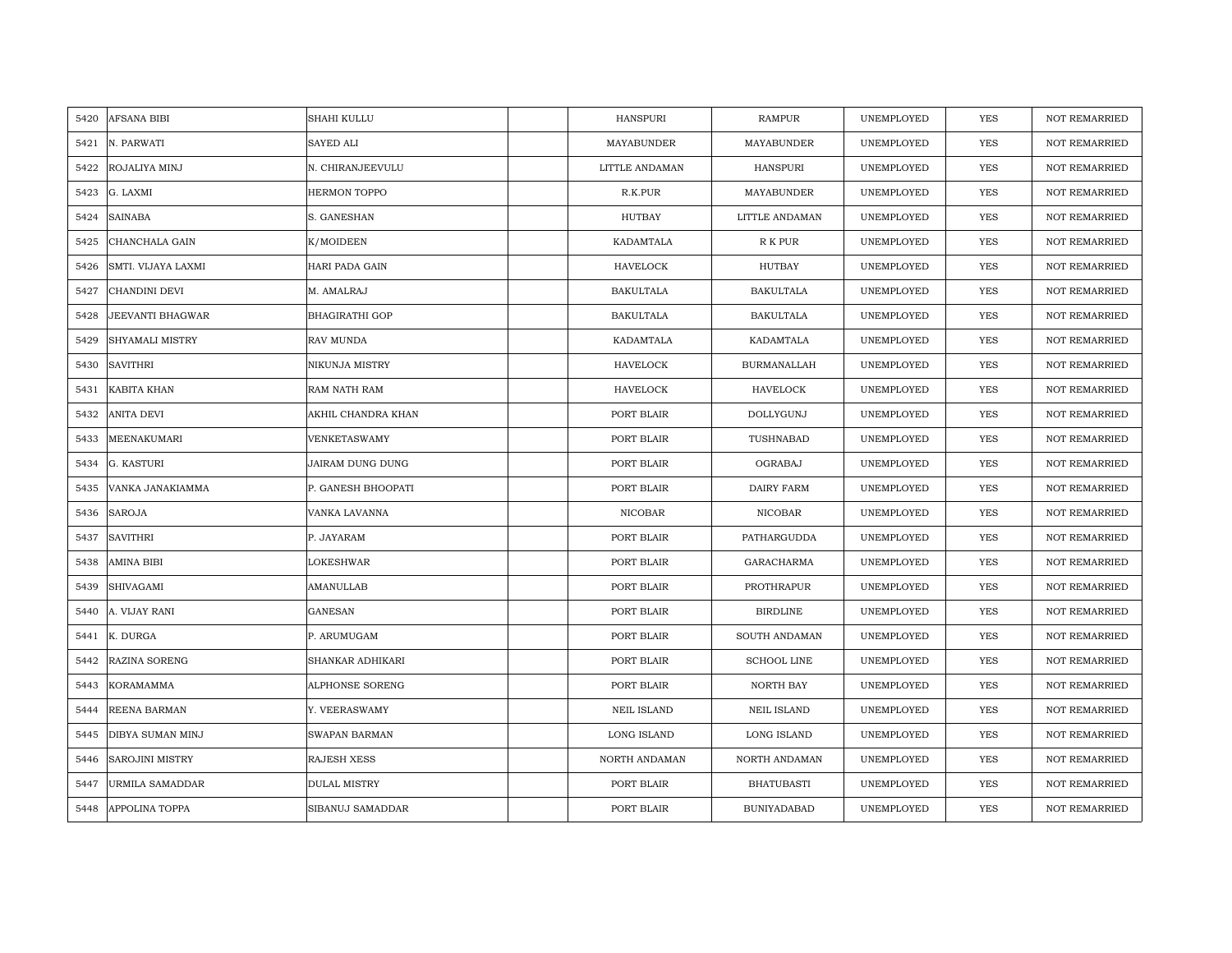| AFSANA BIBI<br>5420        | SHAHI KULLU           | HANSPURI           | <b>RAMPUR</b>      | UNEMPLOYED | <b>YES</b> | <b>NOT REMARRIED</b> |
|----------------------------|-----------------------|--------------------|--------------------|------------|------------|----------------------|
| N. PARWATI<br>5421         | SAYED ALI             | MAYABUNDER         | <b>MAYABUNDER</b>  | UNEMPLOYED | <b>YES</b> | <b>NOT REMARRIED</b> |
| ROJALIYA MINJ<br>5422      | N. CHIRANJEEVULU      | LITTLE ANDAMAN     | <b>HANSPURI</b>    | UNEMPLOYED | YES        | <b>NOT REMARRIED</b> |
| 5423<br>G. LAXMI           | <b>HERMON TOPPO</b>   | R.K.PUR            | MAYABUNDER         | UNEMPLOYED | YES        | <b>NOT REMARRIED</b> |
| <b>SAINABA</b><br>5424     | S. GANESHAN           | HUTBAY             | LITTLE ANDAMAN     | UNEMPLOYED | YES        | <b>NOT REMARRIED</b> |
| 5425<br>CHANCHALA GAIN     | K/MOIDEEN             | KADAMTALA          | R K PUR            | UNEMPLOYED | YES        | <b>NOT REMARRIED</b> |
| SMTI. VIJAYA LAXMI<br>5426 | HARI PADA GAIN        | HAVELOCK           | HUTBAY             | UNEMPLOYED | YES        | <b>NOT REMARRIED</b> |
| CHANDINI DEVI<br>5427      | M. AMALRAJ            | <b>BAKULTALA</b>   | <b>BAKULTALA</b>   | UNEMPLOYED | YES        | NOT REMARRIED        |
| JEEVANTI BHAGWAR<br>5428   | <b>BHAGIRATHI GOP</b> | <b>BAKULTALA</b>   | <b>BAKULTALA</b>   | UNEMPLOYED | <b>YES</b> | NOT REMARRIED        |
| SHYAMALI MISTRY<br>5429    | RAV MUNDA             | KADAMTALA          | KADAMTALA          | UNEMPLOYED | <b>YES</b> | <b>NOT REMARRIED</b> |
| <b>SAVITHRI</b><br>5430    | NIKUNJA MISTRY        | <b>HAVELOCK</b>    | <b>BURMANALLAH</b> | UNEMPLOYED | <b>YES</b> | <b>NOT REMARRIED</b> |
| KABITA KHAN<br>5431        | RAM NATH RAM          | HAVELOCK           | <b>HAVELOCK</b>    | UNEMPLOYED | <b>YES</b> | <b>NOT REMARRIED</b> |
| 5432<br>ANITA DEVI         | AKHIL CHANDRA KHAN    | PORT BLAIR         | DOLLYGUNJ          | UNEMPLOYED | YES        | <b>NOT REMARRIED</b> |
| MEENAKUMARI<br>5433        | <b>VENKETASWAMY</b>   | PORT BLAIR         | TUSHNABAD          | UNEMPLOYED | <b>YES</b> | <b>NOT REMARRIED</b> |
| 5434<br>G. KASTURI         | JAIRAM DUNG DUNG      | PORT BLAIR         | OGRABAJ            | UNEMPLOYED | YES        | NOT REMARRIED        |
| VANKA JANAKIAMMA<br>5435   | P. GANESH BHOOPATI    | PORT BLAIR         | DAIRY FARM         | UNEMPLOYED | <b>YES</b> | <b>NOT REMARRIED</b> |
| <b>SAROJA</b><br>5436      | VANKA LAVANNA         | <b>NICOBAR</b>     | <b>NICOBAR</b>     | UNEMPLOYED | YES        | <b>NOT REMARRIED</b> |
| 5437<br>SAVITHRI           | P. JAYARAM            | PORT BLAIR         | PATHARGUDDA        | UNEMPLOYED | <b>YES</b> | <b>NOT REMARRIED</b> |
| AMINA BIBI<br>5438         | LOKESHWAR             | PORT BLAIR         | GARACHARMA         | UNEMPLOYED | YES        | <b>NOT REMARRIED</b> |
| 5439<br>SHIVAGAMI          | AMANULLAB             | PORT BLAIR         | PROTHRAPUR         | UNEMPLOYED | <b>YES</b> | <b>NOT REMARRIED</b> |
| 5440<br>A. VIJAY RANI      | GANESAN               | PORT BLAIR         | <b>BIRDLINE</b>    | UNEMPLOYED | <b>YES</b> | <b>NOT REMARRIED</b> |
| K. DURGA<br>5441           | P. ARUMUGAM           | PORT BLAIR         | SOUTH ANDAMAN      | UNEMPLOYED | YES        | <b>NOT REMARRIED</b> |
| RAZINA SORENG<br>5442      | SHANKAR ADHIKARI      | PORT BLAIR         | <b>SCHOOL LINE</b> | UNEMPLOYED | <b>YES</b> | <b>NOT REMARRIED</b> |
| KORAMAMMA<br>5443          | ALPHONSE SORENG       | PORT BLAIR         | <b>NORTH BAY</b>   | UNEMPLOYED | YES        | <b>NOT REMARRIED</b> |
| REENA BARMAN<br>5444       | Y. VEERASWAMY         | <b>NEIL ISLAND</b> | <b>NEIL ISLAND</b> | UNEMPLOYED | <b>YES</b> | <b>NOT REMARRIED</b> |
| DIBYA SUMAN MINJ<br>5445   | SWAPAN BARMAN         | LONG ISLAND        | LONG ISLAND        | UNEMPLOYED | YES        | NOT REMARRIED        |
| SAROJINI MISTRY<br>5446    | <b>RAJESH XESS</b>    | NORTH ANDAMAN      | NORTH ANDAMAN      | UNEMPLOYED | <b>YES</b> | <b>NOT REMARRIED</b> |
| URMILA SAMADDAR<br>5447    | <b>DULAL MISTRY</b>   | PORT BLAIR         | <b>BHATUBASTI</b>  | UNEMPLOYED | YES        | <b>NOT REMARRIED</b> |
| APPOLINA TOPPA<br>5448     | SIBANUJ SAMADDAR      | PORT BLAIR         | <b>BUNIYADABAD</b> | UNEMPLOYED | YES        | NOT REMARRIED        |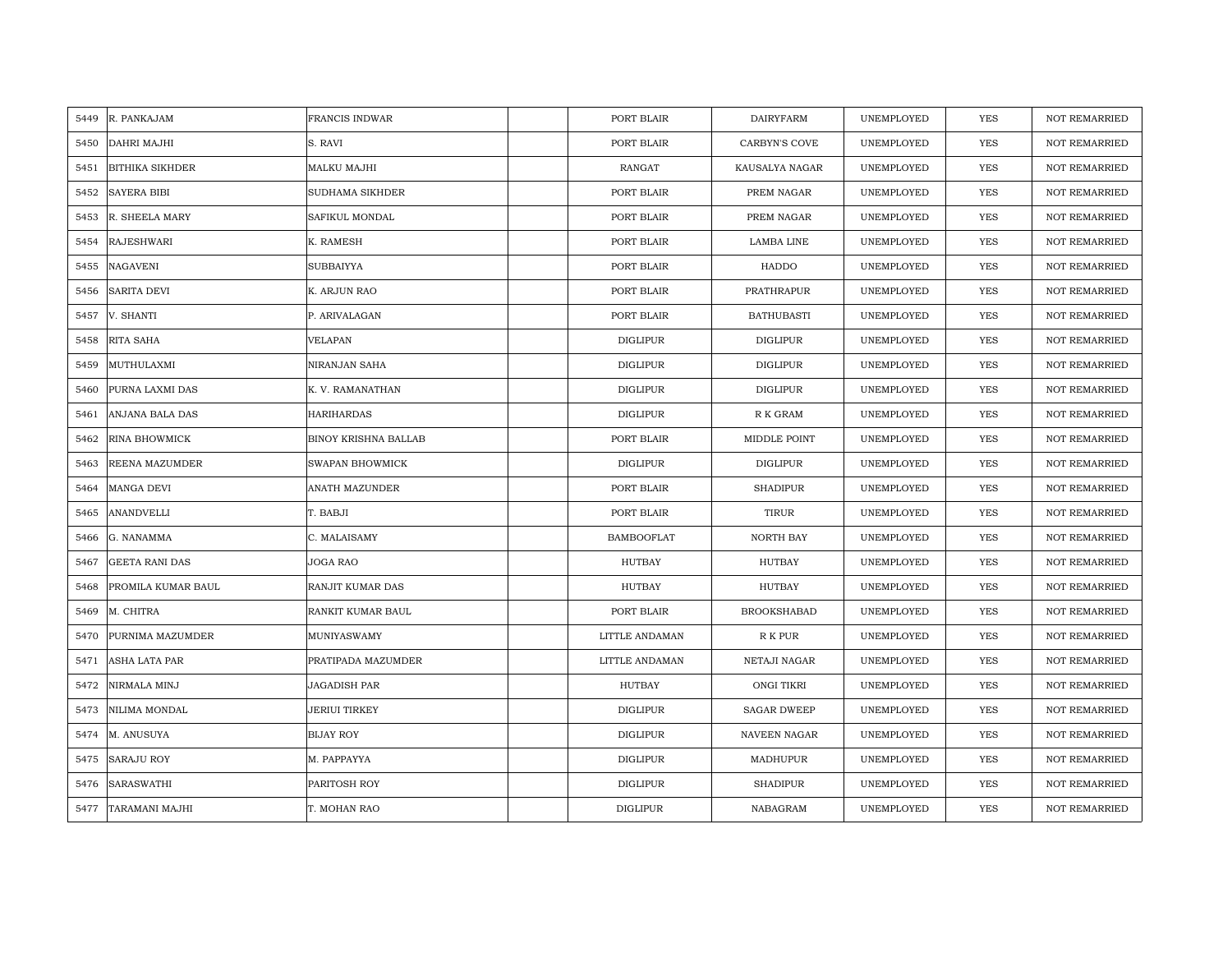| 5449 | R. PANKAJAM            | <b>FRANCIS INDWAR</b>       | PORT BLAIR        | <b>DAIRYFARM</b>     | UNEMPLOYED | YES        | <b>NOT REMARRIED</b> |
|------|------------------------|-----------------------------|-------------------|----------------------|------------|------------|----------------------|
| 5450 | <b>DAHRI MAJHI</b>     | S. RAVI                     | PORT BLAIR        | <b>CARBYN'S COVE</b> | UNEMPLOYED | <b>YES</b> | NOT REMARRIED        |
| 5451 | <b>BITHIKA SIKHDER</b> | MALKU MAJHI                 | <b>RANGAT</b>     | KAUSALYA NAGAR       | UNEMPLOYED | <b>YES</b> | <b>NOT REMARRIED</b> |
| 5452 | <b>SAYERA BIBI</b>     | <b>SUDHAMA SIKHDER</b>      | PORT BLAIR        | PREM NAGAR           | UNEMPLOYED | <b>YES</b> | NOT REMARRIED        |
| 5453 | R. SHEELA MARY         | <b>SAFIKUL MONDAL</b>       | PORT BLAIR        | PREM NAGAR           | UNEMPLOYED | <b>YES</b> | <b>NOT REMARRIED</b> |
| 5454 | <b>RAJESHWARI</b>      | K. RAMESH                   | PORT BLAIR        | LAMBA LINE           | UNEMPLOYED | <b>YES</b> | <b>NOT REMARRIED</b> |
| 5455 | <b>NAGAVENI</b>        | <b>SUBBAIYYA</b>            | PORT BLAIR        | HADDO                | UNEMPLOYED | <b>YES</b> | <b>NOT REMARRIED</b> |
| 5456 | SARITA DEVI            | K. ARJUN RAO                | PORT BLAIR        | PRATHRAPUR           | UNEMPLOYED | YES        | <b>NOT REMARRIED</b> |
| 5457 | V. SHANTI              | P. ARIVALAGAN               | PORT BLAIR        | <b>BATHUBASTI</b>    | UNEMPLOYED | YES        | <b>NOT REMARRIED</b> |
| 5458 | RITA SAHA              | <b>VELAPAN</b>              | DIGLIPUR          | <b>DIGLIPUR</b>      | UNEMPLOYED | <b>YES</b> | <b>NOT REMARRIED</b> |
| 5459 | MUTHULAXMI             | NIRANJAN SAHA               | <b>DIGLIPUR</b>   | <b>DIGLIPUR</b>      | UNEMPLOYED | YES        | <b>NOT REMARRIED</b> |
| 5460 | PURNA LAXMI DAS        | K. V. RAMANATHAN            | <b>DIGLIPUR</b>   | <b>DIGLIPUR</b>      | UNEMPLOYED | YES        | <b>NOT REMARRIED</b> |
| 5461 | ANJANA BALA DAS        | <b>HARIHARDAS</b>           | DIGLIPUR          | R K GRAM             | UNEMPLOYED | <b>YES</b> | <b>NOT REMARRIED</b> |
| 5462 | <b>RINA BHOWMICK</b>   | <b>BINOY KRISHNA BALLAB</b> | PORT BLAIR        | MIDDLE POINT         | UNEMPLOYED | <b>YES</b> | <b>NOT REMARRIED</b> |
| 5463 | REENA MAZUMDER         | <b>SWAPAN BHOWMICK</b>      | DIGLIPUR          | <b>DIGLIPUR</b>      | UNEMPLOYED | YES        | <b>NOT REMARRIED</b> |
| 5464 | MANGA DEVI             | ANATH MAZUNDER              | PORT BLAIR        | <b>SHADIPUR</b>      | UNEMPLOYED | YES        | <b>NOT REMARRIED</b> |
| 5465 | <b>ANANDVELLI</b>      | T. BABJI                    | PORT BLAIR        | <b>TIRUR</b>         | UNEMPLOYED | <b>YES</b> | <b>NOT REMARRIED</b> |
| 5466 | G. NANAMMA             | C. MALAISAMY                | <b>BAMBOOFLAT</b> | NORTH BAY            | UNEMPLOYED | YES        | <b>NOT REMARRIED</b> |
| 5467 | <b>GEETA RANI DAS</b>  | JOGA RAO                    | HUTBAY            | HUTBAY               | UNEMPLOYED | YES        | <b>NOT REMARRIED</b> |
| 5468 | PROMILA KUMAR BAUL     | RANJIT KUMAR DAS            | HUTBAY            | HUTBAY               | UNEMPLOYED | <b>YES</b> | <b>NOT REMARRIED</b> |
| 5469 | M. CHITRA              | RANKIT KUMAR BAUL           | PORT BLAIR        | <b>BROOKSHABAD</b>   | UNEMPLOYED | YES        | <b>NOT REMARRIED</b> |
| 5470 | PURNIMA MAZUMDER       | MUNIYASWAMY                 | LITTLE ANDAMAN    | R K PUR              | UNEMPLOYED | YES        | NOT REMARRIED        |
| 5471 | ASHA LATA PAR          | PRATIPADA MAZUMDER          | LITTLE ANDAMAN    | NETAJI NAGAR         | UNEMPLOYED | <b>YES</b> | <b>NOT REMARRIED</b> |
| 5472 | NIRMALA MINJ           | <b>JAGADISH PAR</b>         | HUTBAY            | ONGI TIKRI           | UNEMPLOYED | YES        | <b>NOT REMARRIED</b> |
| 5473 | NILIMA MONDAL          | JERIUI TIRKEY               | DIGLIPUR          | <b>SAGAR DWEEP</b>   | UNEMPLOYED | YES        | <b>NOT REMARRIED</b> |
| 5474 | M. ANUSUYA             | <b>BIJAY ROY</b>            | <b>DIGLIPUR</b>   | NAVEEN NAGAR         | UNEMPLOYED | YES        | NOT REMARRIED        |
| 5475 | <b>SARAJU ROY</b>      | M. PAPPAYYA                 | <b>DIGLIPUR</b>   | MADHUPUR             | UNEMPLOYED | YES        | <b>NOT REMARRIED</b> |
| 5476 | <b>SARASWATHI</b>      | PARITOSH ROY                | <b>DIGLIPUR</b>   | <b>SHADIPUR</b>      | UNEMPLOYED | <b>YES</b> | <b>NOT REMARRIED</b> |
| 5477 | TARAMANI MAJHI         | T. MOHAN RAO                | <b>DIGLIPUR</b>   | NABAGRAM             | UNEMPLOYED | <b>YES</b> | <b>NOT REMARRIED</b> |
|      |                        |                             |                   |                      |            |            |                      |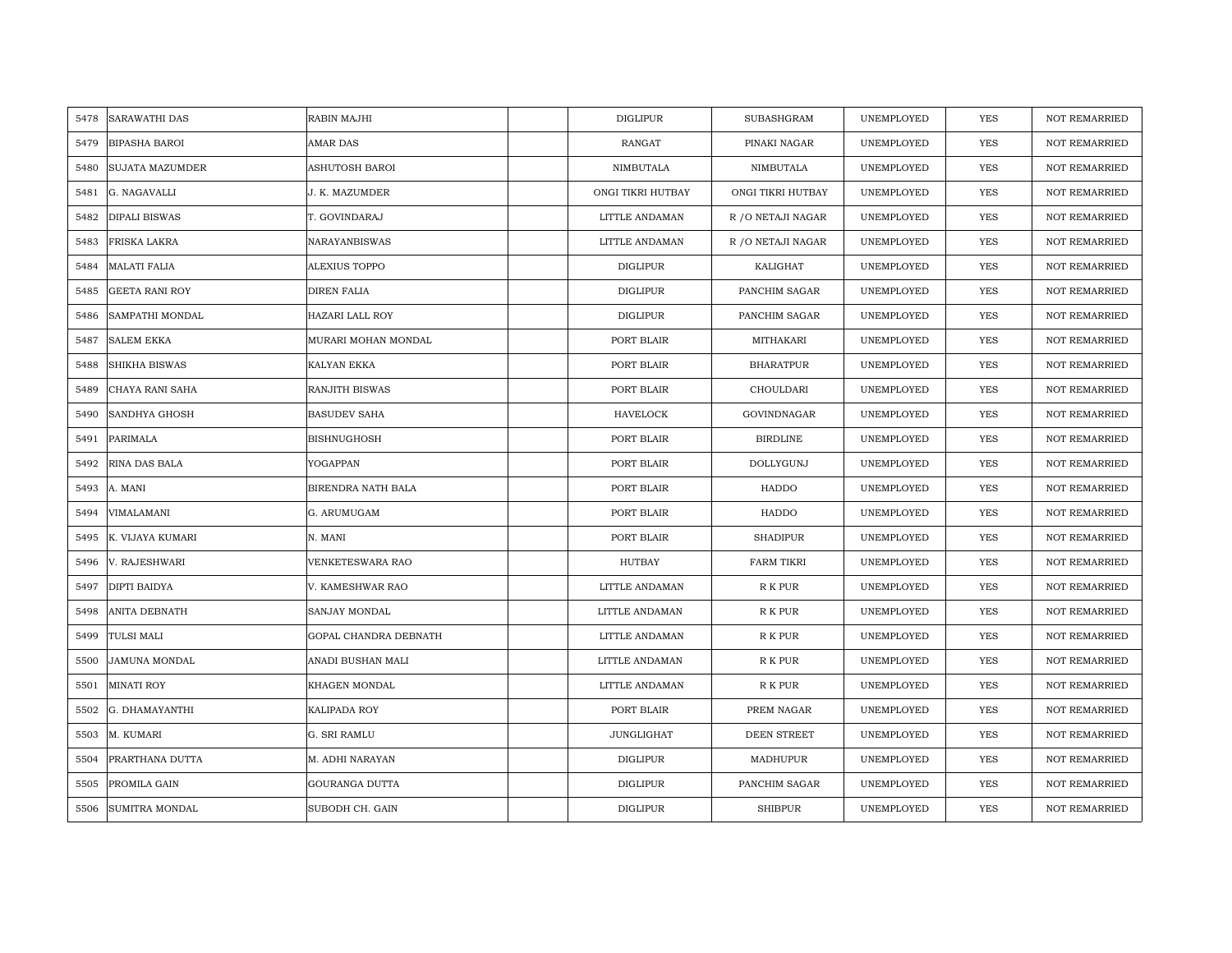| 5478 | <b>SARAWATHI DAS</b>   | RABIN MAJHI            | DIGLIPUR          | SUBASHGRAM         | UNEMPLOYED | YES        | <b>NOT REMARRIED</b> |
|------|------------------------|------------------------|-------------------|--------------------|------------|------------|----------------------|
| 5479 | <b>BIPASHA BAROI</b>   | <b>AMAR DAS</b>        | RANGAT            | PINAKI NAGAR       | UNEMPLOYED | <b>YES</b> | NOT REMARRIED        |
| 5480 | <b>SUJATA MAZUMDER</b> | <b>ASHUTOSH BAROI</b>  | NIMBUTALA         | NIMBUTALA          | UNEMPLOYED | <b>YES</b> | <b>NOT REMARRIED</b> |
| 5481 | G. NAGAVALLI           | J. K. MAZUMDER         | ONGI TIKRI HUTBAY | ONGI TIKRI HUTBAY  | UNEMPLOYED | <b>YES</b> | <b>NOT REMARRIED</b> |
| 5482 | <b>DIPALI BISWAS</b>   | T. GOVINDARAJ          | LITTLE ANDAMAN    | R / O NETAJI NAGAR | UNEMPLOYED | <b>YES</b> | <b>NOT REMARRIED</b> |
| 5483 | FRISKA LAKRA           | <b>NARAYANBISWAS</b>   | LITTLE ANDAMAN    | R / O NETAJI NAGAR | UNEMPLOYED | <b>YES</b> | <b>NOT REMARRIED</b> |
| 5484 | <b>MALATI FALIA</b>    | <b>ALEXIUS TOPPO</b>   | <b>DIGLIPUR</b>   | KALIGHAT           | UNEMPLOYED | <b>YES</b> | <b>NOT REMARRIED</b> |
| 5485 | <b>GEETA RANI ROY</b>  | <b>DIREN FALIA</b>     | <b>DIGLIPUR</b>   | PANCHIM SAGAR      | UNEMPLOYED | YES        | <b>NOT REMARRIED</b> |
| 5486 | SAMPATHI MONDAL        | <b>HAZARI LALL ROY</b> | <b>DIGLIPUR</b>   | PANCHIM SAGAR      | UNEMPLOYED | YES        | <b>NOT REMARRIED</b> |
| 5487 | <b>SALEM EKKA</b>      | MURARI MOHAN MONDAL    | PORT BLAIR        | MITHAKARI          | UNEMPLOYED | <b>YES</b> | <b>NOT REMARRIED</b> |
| 5488 | <b>SHIKHA BISWAS</b>   | KALYAN EKKA            | PORT BLAIR        | <b>BHARATPUR</b>   | UNEMPLOYED | YES        | <b>NOT REMARRIED</b> |
| 5489 | CHAYA RANI SAHA        | <b>RANJITH BISWAS</b>  | PORT BLAIR        | CHOULDARI          | UNEMPLOYED | YES        | <b>NOT REMARRIED</b> |
| 5490 | SANDHYA GHOSH          | <b>BASUDEV SAHA</b>    | <b>HAVELOCK</b>   | GOVINDNAGAR        | UNEMPLOYED | <b>YES</b> | <b>NOT REMARRIED</b> |
| 5491 | PARIMALA               | <b>BISHNUGHOSH</b>     | PORT BLAIR        | <b>BIRDLINE</b>    | UNEMPLOYED | <b>YES</b> | <b>NOT REMARRIED</b> |
| 5492 | RINA DAS BALA          | YOGAPPAN               | PORT BLAIR        | <b>DOLLYGUNJ</b>   | UNEMPLOYED | <b>YES</b> | <b>NOT REMARRIED</b> |
| 5493 | A. MANI                | BIRENDRA NATH BALA     | PORT BLAIR        | <b>HADDO</b>       | UNEMPLOYED | <b>YES</b> | <b>NOT REMARRIED</b> |
| 5494 | VIMALAMANI             | G. ARUMUGAM            | PORT BLAIR        | <b>HADDO</b>       | UNEMPLOYED | <b>YES</b> | NOT REMARRIED        |
| 5495 | K. VIJAYA KUMARI       | N. MANI                | PORT BLAIR        | <b>SHADIPUR</b>    | UNEMPLOYED | YES        | <b>NOT REMARRIED</b> |
| 5496 | V. RAJESHWARI          | VENKETESWARA RAO       | HUTBAY            | <b>FARM TIKRI</b>  | UNEMPLOYED | <b>YES</b> | <b>NOT REMARRIED</b> |
| 5497 | DIPTI BAIDYA           | V. KAMESHWAR RAO       | LITTLE ANDAMAN    | R K PUR            | UNEMPLOYED | <b>YES</b> | <b>NOT REMARRIED</b> |
| 5498 | <b>ANITA DEBNATH</b>   | <b>SANJAY MONDAL</b>   | LITTLE ANDAMAN    | R K PUR            | UNEMPLOYED | <b>YES</b> | <b>NOT REMARRIED</b> |
| 5499 | <b>TULSI MALI</b>      | GOPAL CHANDRA DEBNATH  | LITTLE ANDAMAN    | R K PUR            | UNEMPLOYED | YES        | <b>NOT REMARRIED</b> |
| 5500 | JAMUNA MONDAL          | ANADI BUSHAN MALI      | LITTLE ANDAMAN    | R K PUR            | UNEMPLOYED | <b>YES</b> | <b>NOT REMARRIED</b> |
| 5501 | <b>MINATI ROY</b>      | <b>KHAGEN MONDAL</b>   | LITTLE ANDAMAN    | R K PUR            | UNEMPLOYED | YES        | <b>NOT REMARRIED</b> |
| 5502 | G. DHAMAYANTHI         | KALIPADA ROY           | PORT BLAIR        | PREM NAGAR         | UNEMPLOYED | YES        | <b>NOT REMARRIED</b> |
| 5503 | M. KUMARI              | G. SRI RAMLU           | <b>JUNGLIGHAT</b> | DEEN STREET        | UNEMPLOYED | YES        | NOT REMARRIED        |
| 5504 | PRARTHANA DUTTA        | M. ADHI NARAYAN        | <b>DIGLIPUR</b>   | MADHUPUR           | UNEMPLOYED | YES        | <b>NOT REMARRIED</b> |
| 5505 | PROMILA GAIN           | <b>GOURANGA DUTTA</b>  | <b>DIGLIPUR</b>   | PANCHIM SAGAR      | UNEMPLOYED | <b>YES</b> | <b>NOT REMARRIED</b> |
| 5506 | <b>SUMITRA MONDAL</b>  | SUBODH CH. GAIN        | <b>DIGLIPUR</b>   | <b>SHIBPUR</b>     | UNEMPLOYED | <b>YES</b> | <b>NOT REMARRIED</b> |
|      |                        |                        |                   |                    |            |            |                      |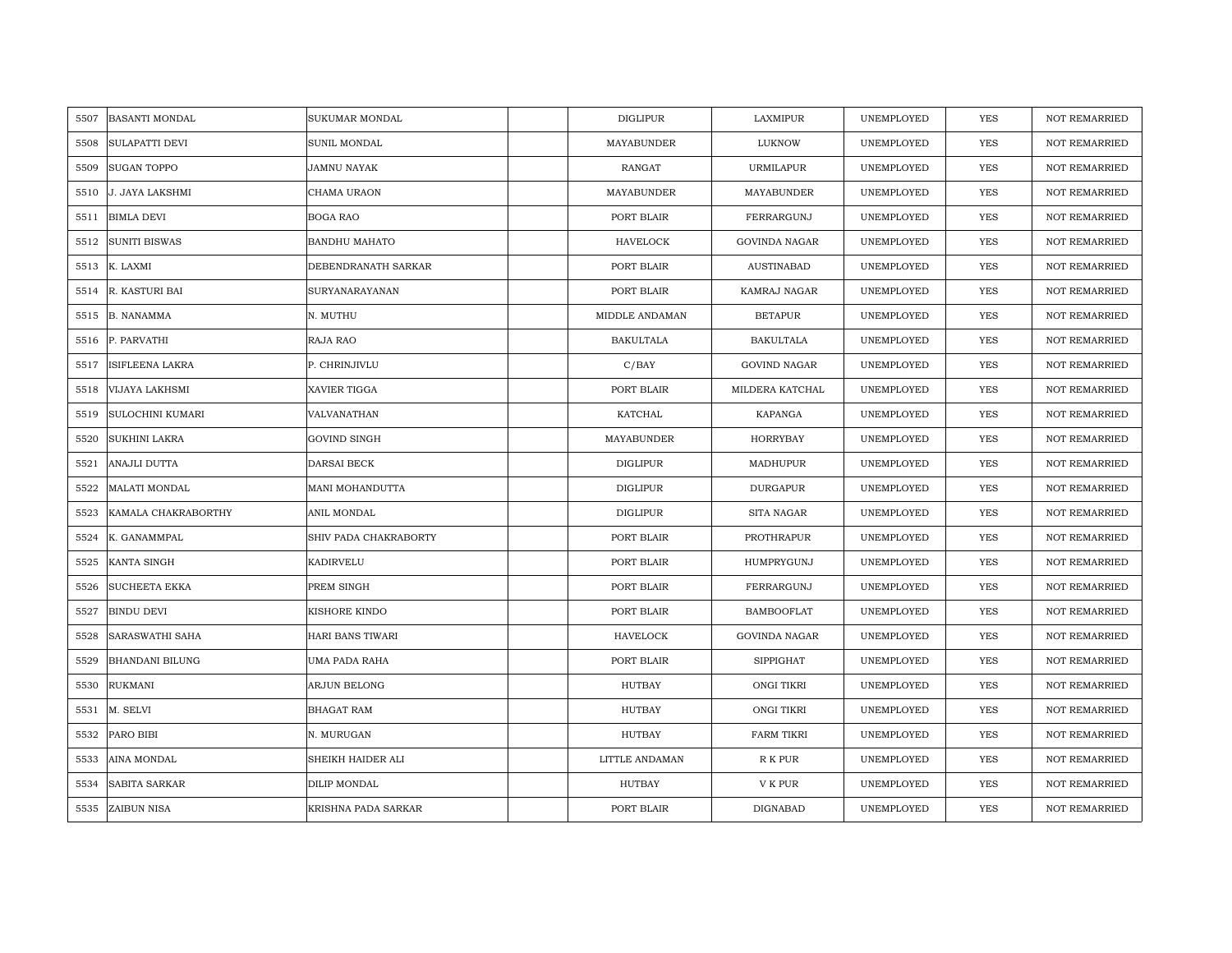| <b>BASANTI MONDAL</b><br>5507 | SUKUMAR MONDAL        | <b>DIGLIPUR</b>  | LAXMIPUR             | UNEMPLOYED | <b>YES</b> | <b>NOT REMARRIED</b> |
|-------------------------------|-----------------------|------------------|----------------------|------------|------------|----------------------|
| <b>SULAPATTI DEVI</b><br>5508 | SUNIL MONDAL          | MAYABUNDER       | LUKNOW               | UNEMPLOYED | <b>YES</b> | <b>NOT REMARRIED</b> |
| <b>SUGAN TOPPO</b><br>5509    | <b>JAMNU NAYAK</b>    | RANGAT           | <b>URMILAPUR</b>     | UNEMPLOYED | YES        | <b>NOT REMARRIED</b> |
| 5510<br>J. JAYA LAKSHMI       | CHAMA URAON           | MAYABUNDER       | MAYABUNDER           | UNEMPLOYED | <b>YES</b> | <b>NOT REMARRIED</b> |
| <b>BIMLA DEVI</b><br>5511     | <b>BOGA RAO</b>       | PORT BLAIR       | FERRARGUNJ           | UNEMPLOYED | <b>YES</b> | <b>NOT REMARRIED</b> |
| 5512<br><b>SUNITI BISWAS</b>  | <b>BANDHU MAHATO</b>  | <b>HAVELOCK</b>  | <b>GOVINDA NAGAR</b> | UNEMPLOYED | YES        | <b>NOT REMARRIED</b> |
| K. LAXMI<br>5513              | DEBENDRANATH SARKAR   | PORT BLAIR       | <b>AUSTINABAD</b>    | UNEMPLOYED | <b>YES</b> | <b>NOT REMARRIED</b> |
| R. KASTURI BAI<br>5514        | SURYANARAYANAN        | PORT BLAIR       | KAMRAJ NAGAR         | UNEMPLOYED | YES        | NOT REMARRIED        |
| <b>B. NANAMMA</b><br>5515     | N. MUTHU              | MIDDLE ANDAMAN   | <b>BETAPUR</b>       | UNEMPLOYED | YES        | NOT REMARRIED        |
| P. PARVATHI<br>5516           | RAJA RAO              | <b>BAKULTALA</b> | <b>BAKULTALA</b>     | UNEMPLOYED | YES        | <b>NOT REMARRIED</b> |
| ISIFLEENA LAKRA<br>5517       | P. CHRINJIVLU         | C/BAY            | <b>GOVIND NAGAR</b>  | UNEMPLOYED | <b>YES</b> | <b>NOT REMARRIED</b> |
| VIJAYA LAKHSMI<br>5518        | XAVIER TIGGA          | PORT BLAIR       | MILDERA KATCHAL      | UNEMPLOYED | YES        | <b>NOT REMARRIED</b> |
| 5519<br>SULOCHINI KUMARI      | VALVANATHAN           | KATCHAL          | KAPANGA              | UNEMPLOYED | YES        | NOT REMARRIED        |
| <b>SUKHINI LAKRA</b><br>5520  | <b>GOVIND SINGH</b>   | MAYABUNDER       | HORRYBAY             | UNEMPLOYED | <b>YES</b> | <b>NOT REMARRIED</b> |
| 5521<br>ANAJLI DUTTA          | DARSAI BECK           | <b>DIGLIPUR</b>  | MADHUPUR             | UNEMPLOYED | YES        | NOT REMARRIED        |
| MALATI MONDAL<br>5522         | MANI MOHANDUTTA       | <b>DIGLIPUR</b>  | <b>DURGAPUR</b>      | UNEMPLOYED | <b>YES</b> | NOT REMARRIED        |
| KAMALA CHAKRABORTHY<br>5523   | ANIL MONDAL           | <b>DIGLIPUR</b>  | <b>SITA NAGAR</b>    | UNEMPLOYED | YES        | <b>NOT REMARRIED</b> |
| K. GANAMMPAL<br>5524          | SHIV PADA CHAKRABORTY | PORT BLAIR       | PROTHRAPUR           | UNEMPLOYED | <b>YES</b> | <b>NOT REMARRIED</b> |
| 5525<br>KANTA SINGH           | KADIRVELU             | PORT BLAIR       | HUMPRYGUNJ           | UNEMPLOYED | <b>YES</b> | NOT REMARRIED        |
| 5526<br>SUCHEETA EKKA         | PREM SINGH            | PORT BLAIR       | FERRARGUNJ           | UNEMPLOYED | YES        | <b>NOT REMARRIED</b> |
| <b>BINDU DEVI</b><br>5527     | KISHORE KINDO         | PORT BLAIR       | <b>BAMBOOFLAT</b>    | UNEMPLOYED | YES        | <b>NOT REMARRIED</b> |
| 5528<br>SARASWATHI SAHA       | HARI BANS TIWARI      | HAVELOCK         | GOVINDA NAGAR        | UNEMPLOYED | YES        | NOT REMARRIED        |
| BHANDANI BILUNG<br>5529       | UMA PADA RAHA         | PORT BLAIR       | <b>SIPPIGHAT</b>     | UNEMPLOYED | YES        | <b>NOT REMARRIED</b> |
| 5530<br>RUKMANI               | ARJUN BELONG          | HUTBAY           | <b>ONGI TIKRI</b>    | UNEMPLOYED | YES        | <b>NOT REMARRIED</b> |
| 5531<br>M. SELVI              | BHAGAT RAM            | HUTBAY           | <b>ONGI TIKRI</b>    | UNEMPLOYED | YES        | <b>NOT REMARRIED</b> |
| PARO BIBI<br>5532             | N. MURUGAN            | HUTBAY           | <b>FARM TIKRI</b>    | UNEMPLOYED | YES        | <b>NOT REMARRIED</b> |
| AINA MONDAL<br>5533           | SHEIKH HAIDER ALI     | LITTLE ANDAMAN   | R K PUR              | UNEMPLOYED | <b>YES</b> | <b>NOT REMARRIED</b> |
| SABITA SARKAR<br>5534         | DILIP MONDAL          | <b>HUTBAY</b>    | V K PUR              | UNEMPLOYED | <b>YES</b> | <b>NOT REMARRIED</b> |
| ZAIBUN NISA<br>5535           | KRISHNA PADA SARKAR   | PORT BLAIR       | <b>DIGNABAD</b>      | UNEMPLOYED | <b>YES</b> | <b>NOT REMARRIED</b> |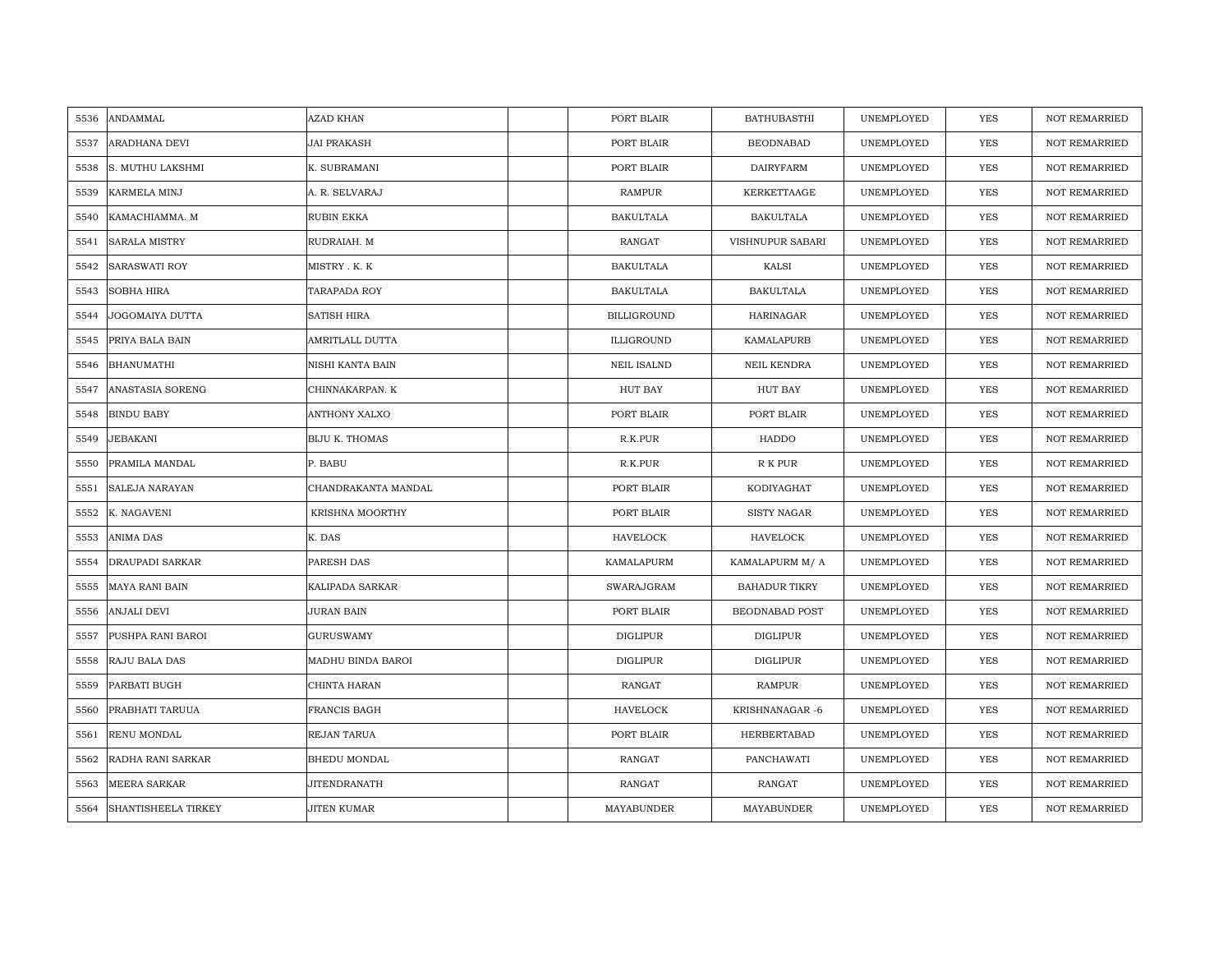| 5536 | ANDAMMAL                   | AZAD KHAN             | PORT BLAIR         | <b>BATHUBASTHI</b>   | UNEMPLOYED | <b>YES</b> | <b>NOT REMARRIED</b> |
|------|----------------------------|-----------------------|--------------------|----------------------|------------|------------|----------------------|
| 5537 | ARADHANA DEVI              | JAI PRAKASH           | PORT BLAIR         | <b>BEODNABAD</b>     | UNEMPLOYED | <b>YES</b> | <b>NOT REMARRIED</b> |
| 5538 | S. MUTHU LAKSHMI           | K. SUBRAMANI          | PORT BLAIR         | <b>DAIRYFARM</b>     | UNEMPLOYED | <b>YES</b> | <b>NOT REMARRIED</b> |
| 5539 | KARMELA MINJ               | A. R. SELVARAJ        | <b>RAMPUR</b>      | KERKETTAAGE          | UNEMPLOYED | YES        | NOT REMARRIED        |
| 5540 | KAMACHIAMMA. M             | RUBIN EKKA            | <b>BAKULTALA</b>   | <b>BAKULTALA</b>     | UNEMPLOYED | YES        | NOT REMARRIED        |
| 5541 | <b>SARALA MISTRY</b>       | RUDRAIAH. M           | RANGAT             | VISHNUPUR SABARI     | UNEMPLOYED | <b>YES</b> | NOT REMARRIED        |
| 5542 | <b>SARASWATI ROY</b>       | MISTRY . K. K         | <b>BAKULTALA</b>   | KALSI                | UNEMPLOYED | YES        | <b>NOT REMARRIED</b> |
| 5543 | SOBHA HIRA                 | TARAPADA ROY          | <b>BAKULTALA</b>   | <b>BAKULTALA</b>     | UNEMPLOYED | <b>YES</b> | NOT REMARRIED        |
| 5544 | JOGOMAIYA DUTTA            | SATISH HIRA           | <b>BILLIGROUND</b> | HARINAGAR            | UNEMPLOYED | <b>YES</b> | <b>NOT REMARRIED</b> |
| 5545 | PRIYA BALA BAIN            | AMRITLALL DUTTA       | ILLIGROUND         | KAMALAPURB           | UNEMPLOYED | <b>YES</b> | <b>NOT REMARRIED</b> |
| 5546 | <b>BHANUMATHI</b>          | NISHI KANTA BAIN      | <b>NEIL ISALND</b> | NEIL KENDRA          | UNEMPLOYED | YES        | <b>NOT REMARRIED</b> |
| 5547 | ANASTASIA SORENG           | CHINNAKARPAN. K       | HUT BAY            | HUT BAY              | UNEMPLOYED | YES        | <b>NOT REMARRIED</b> |
| 5548 | <b>BINDU BABY</b>          | ANTHONY XALXO         | PORT BLAIR         | PORT BLAIR           | UNEMPLOYED | <b>YES</b> | <b>NOT REMARRIED</b> |
| 5549 | JEBAKANI                   | <b>BIJU K. THOMAS</b> | R.K.PUR            | HADDO                | UNEMPLOYED | <b>YES</b> | <b>NOT REMARRIED</b> |
| 5550 | PRAMILA MANDAL             | P. BABU               | R.K.PUR            | R K PUR              | UNEMPLOYED | <b>YES</b> | <b>NOT REMARRIED</b> |
| 5551 | SALEJA NARAYAN             | CHANDRAKANTA MANDAL   | PORT BLAIR         | KODIYAGHAT           | UNEMPLOYED | <b>YES</b> | <b>NOT REMARRIED</b> |
| 5552 | K. NAGAVENI                | KRISHNA MOORTHY       | PORT BLAIR         | <b>SISTY NAGAR</b>   | UNEMPLOYED | <b>YES</b> | <b>NOT REMARRIED</b> |
| 5553 | <b>ANIMA DAS</b>           | K. DAS                | <b>HAVELOCK</b>    | <b>HAVELOCK</b>      | UNEMPLOYED | <b>YES</b> | <b>NOT REMARRIED</b> |
| 5554 | DRAUPADI SARKAR            | PARESH DAS            | KAMALAPURM         | KAMALAPURM M/A       | UNEMPLOYED | <b>YES</b> | <b>NOT REMARRIED</b> |
| 5555 | <b>MAYA RANI BAIN</b>      | KALIPADA SARKAR       | SWARAJGRAM         | <b>BAHADUR TIKRY</b> | UNEMPLOYED | YES        | NOT REMARRIED        |
| 5556 | <b>ANJALI DEVI</b>         | JURAN BAIN            | PORT BLAIR         | BEODNABAD POST       | UNEMPLOYED | YES        | <b>NOT REMARRIED</b> |
| 5557 | PUSHPA RANI BAROI          | <b>GURUSWAMY</b>      | <b>DIGLIPUR</b>    | DIGLIPUR             | UNEMPLOYED | YES        | <b>NOT REMARRIED</b> |
| 5558 | RAJU BALA DAS              | MADHU BINDA BAROI     | <b>DIGLIPUR</b>    | <b>DIGLIPUR</b>      | UNEMPLOYED | <b>YES</b> | <b>NOT REMARRIED</b> |
| 5559 | PARBATI BUGH               | CHINTA HARAN          | RANGAT             | <b>RAMPUR</b>        | UNEMPLOYED | <b>YES</b> | <b>NOT REMARRIED</b> |
| 5560 | PRABHATI TARUUA            | FRANCIS BAGH          | <b>HAVELOCK</b>    | KRISHNANAGAR -6      | UNEMPLOYED | YES        | <b>NOT REMARRIED</b> |
| 5561 | RENU MONDAL                | REJAN TARUA           | PORT BLAIR         | HERBERTABAD          | UNEMPLOYED | YES        | NOT REMARRIED        |
| 5562 | RADHA RANI SARKAR          | BHEDU MONDAL          | RANGAT             | PANCHAWATI           | UNEMPLOYED | YES        | <b>NOT REMARRIED</b> |
| 5563 | <b>MEERA SARKAR</b>        | <b>JITENDRANATH</b>   | RANGAT             | RANGAT               | UNEMPLOYED | <b>YES</b> | <b>NOT REMARRIED</b> |
| 5564 | <b>SHANTISHEELA TIRKEY</b> | JITEN KUMAR           | MAYABUNDER         | MAYABUNDER           | UNEMPLOYED | <b>YES</b> | <b>NOT REMARRIED</b> |
|      |                            |                       |                    |                      |            |            |                      |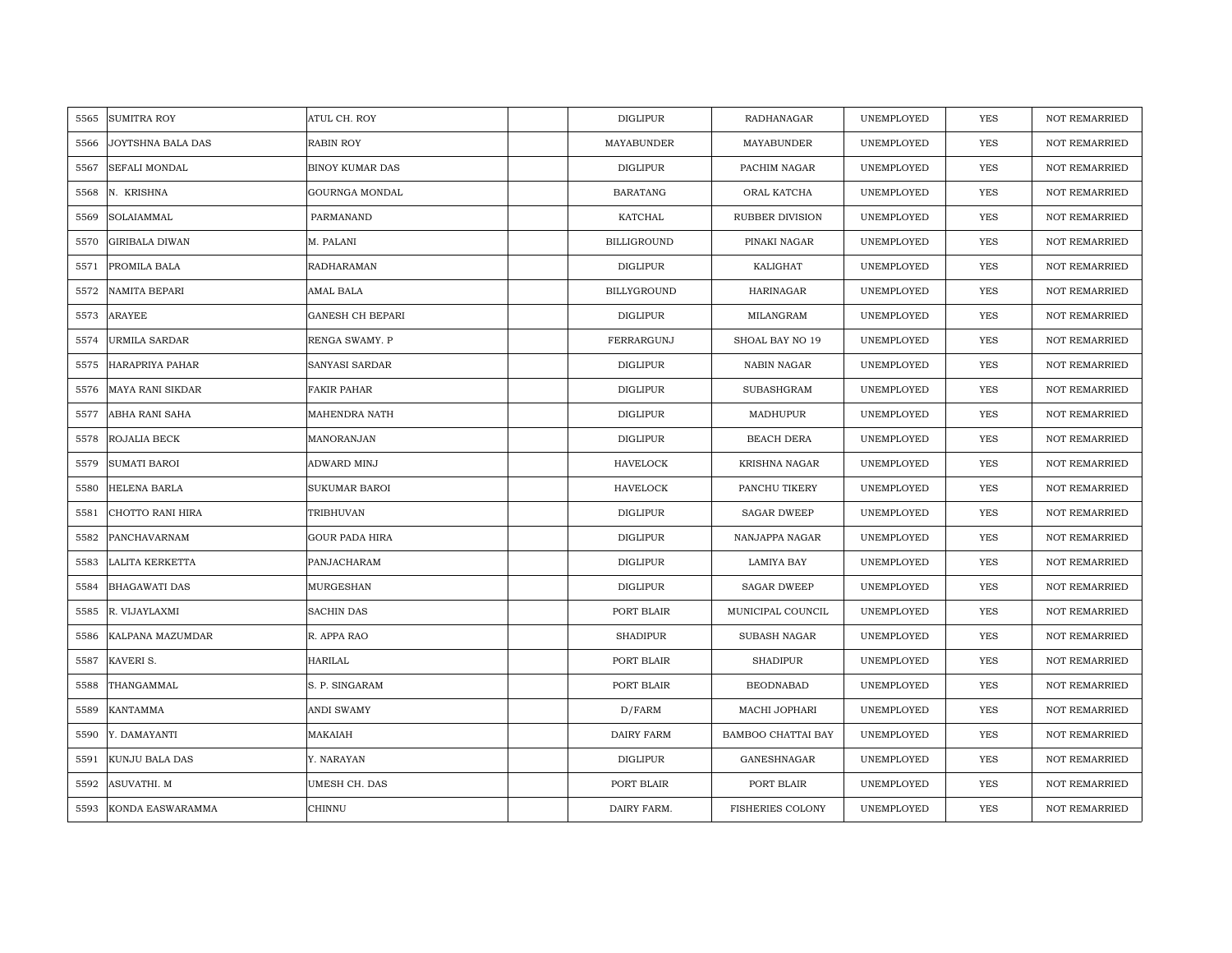| 5565 | <b>SUMITRA ROY</b>      | ATUL CH. ROY            | <b>DIGLIPUR</b>    | RADHANAGAR              | UNEMPLOYED | <b>YES</b> | <b>NOT REMARRIED</b> |
|------|-------------------------|-------------------------|--------------------|-------------------------|------------|------------|----------------------|
| 5566 | JOYTSHNA BALA DAS       | <b>RABIN ROY</b>        | MAYABUNDER         | MAYABUNDER              | UNEMPLOYED | <b>YES</b> | <b>NOT REMARRIED</b> |
| 5567 | SEFALI MONDAL           | <b>BINOY KUMAR DAS</b>  | DIGLIPUR           | PACHIM NAGAR            | UNEMPLOYED | YES        | <b>NOT REMARRIED</b> |
| 5568 | N. KRISHNA              | GOURNGA MONDAL          | <b>BARATANG</b>    | ORAL KATCHA             | UNEMPLOYED | YES        | <b>NOT REMARRIED</b> |
| 5569 | SOLAIAMMAL              | PARMANAND               | KATCHAL            | RUBBER DIVISION         | UNEMPLOYED | YES        | <b>NOT REMARRIED</b> |
| 5570 | <b>GIRIBALA DIWAN</b>   | M. PALANI               | <b>BILLIGROUND</b> | PINAKI NAGAR            | UNEMPLOYED | <b>YES</b> | NOT REMARRIED        |
| 5571 | PROMILA BALA            | RADHARAMAN              | <b>DIGLIPUR</b>    | KALIGHAT                | UNEMPLOYED | YES        | <b>NOT REMARRIED</b> |
| 5572 | <b>NAMITA BEPARI</b>    | AMAL BALA               | BILLYGROUND        | <b>HARINAGAR</b>        | UNEMPLOYED | YES        | <b>NOT REMARRIED</b> |
| 5573 | ARAYEE                  | <b>GANESH CH BEPARI</b> | <b>DIGLIPUR</b>    | MILANGRAM               | UNEMPLOYED | <b>YES</b> | NOT REMARRIED        |
| 5574 | URMILA SARDAR           | RENGA SWAMY. P          | FERRARGUNJ         | SHOAL BAY NO 19         | UNEMPLOYED | YES        | <b>NOT REMARRIED</b> |
| 5575 | <b>HARAPRIYA PAHAR</b>  | SANYASI SARDAR          | <b>DIGLIPUR</b>    | <b>NABIN NAGAR</b>      | UNEMPLOYED | YES        | <b>NOT REMARRIED</b> |
| 5576 | <b>MAYA RANI SIKDAR</b> | <b>FAKIR PAHAR</b>      | <b>DIGLIPUR</b>    | SUBASHGRAM              | UNEMPLOYED | YES        | <b>NOT REMARRIED</b> |
| 5577 | ABHA RANI SAHA          | MAHENDRA NATH           | DIGLIPUR           | MADHUPUR                | UNEMPLOYED | <b>YES</b> | NOT REMARRIED        |
| 5578 | ROJALIA BECK            | MANORANJAN              | <b>DIGLIPUR</b>    | BEACH DERA              | UNEMPLOYED | <b>YES</b> | <b>NOT REMARRIED</b> |
| 5579 | <b>SUMATI BAROI</b>     | ADWARD MINJ             | <b>HAVELOCK</b>    | KRISHNA NAGAR           | UNEMPLOYED | YES        | NOT REMARRIED        |
| 5580 | HELENA BARLA            | SUKUMAR BAROI           | <b>HAVELOCK</b>    | PANCHU TIKERY           | UNEMPLOYED | <b>YES</b> | NOT REMARRIED        |
| 5581 | CHOTTO RANI HIRA        | TRIBHUVAN               | <b>DIGLIPUR</b>    | <b>SAGAR DWEEP</b>      | UNEMPLOYED | YES        | <b>NOT REMARRIED</b> |
| 5582 | PANCHAVARNAM            | <b>GOUR PADA HIRA</b>   | DIGLIPUR           | NANJAPPA NAGAR          | UNEMPLOYED | YES        | <b>NOT REMARRIED</b> |
| 5583 | LALITA KERKETTA         | PANJACHARAM             | <b>DIGLIPUR</b>    | <b>LAMIYA BAY</b>       | UNEMPLOYED | YES        | <b>NOT REMARRIED</b> |
| 5584 | <b>BHAGAWATI DAS</b>    | MURGESHAN               | <b>DIGLIPUR</b>    | <b>SAGAR DWEEP</b>      | UNEMPLOYED | YES        | <b>NOT REMARRIED</b> |
| 5585 | R. VIJAYLAXMI           | <b>SACHIN DAS</b>       | PORT BLAIR         | MUNICIPAL COUNCIL       | UNEMPLOYED | YES        | <b>NOT REMARRIED</b> |
| 5586 | KALPANA MAZUMDAR        | R. APPA RAO             | <b>SHADIPUR</b>    | SUBASH NAGAR            | UNEMPLOYED | YES        | <b>NOT REMARRIED</b> |
| 5587 | KAVERI S.               | <b>HARILAL</b>          | PORT BLAIR         | <b>SHADIPUR</b>         | UNEMPLOYED | <b>YES</b> | <b>NOT REMARRIED</b> |
| 5588 | THANGAMMAL              | S. P. SINGARAM          | PORT BLAIR         | <b>BEODNABAD</b>        | UNEMPLOYED | <b>YES</b> | <b>NOT REMARRIED</b> |
| 5589 | <b>KANTAMMA</b>         | <b>ANDI SWAMY</b>       | D/FARM             | MACHI JOPHARI           | UNEMPLOYED | YES        | <b>NOT REMARRIED</b> |
| 5590 | Y. DAMAYANTI            | MAKAIAH                 | <b>DAIRY FARM</b>  | BAMBOO CHATTAI BAY      | UNEMPLOYED | YES        | NOT REMARRIED        |
| 5591 | KUNJU BALA DAS          | Y. NARAYAN              | <b>DIGLIPUR</b>    | GANESHNAGAR             | UNEMPLOYED | YES        | <b>NOT REMARRIED</b> |
| 5592 | ASUVATHI. M             | UMESH CH. DAS           | PORT BLAIR         | PORT BLAIR              | UNEMPLOYED | YES        | <b>NOT REMARRIED</b> |
| 5593 | KONDA EASWARAMMA        | CHINNU                  | DAIRY FARM.        | <b>FISHERIES COLONY</b> | UNEMPLOYED | YES        | NOT REMARRIED        |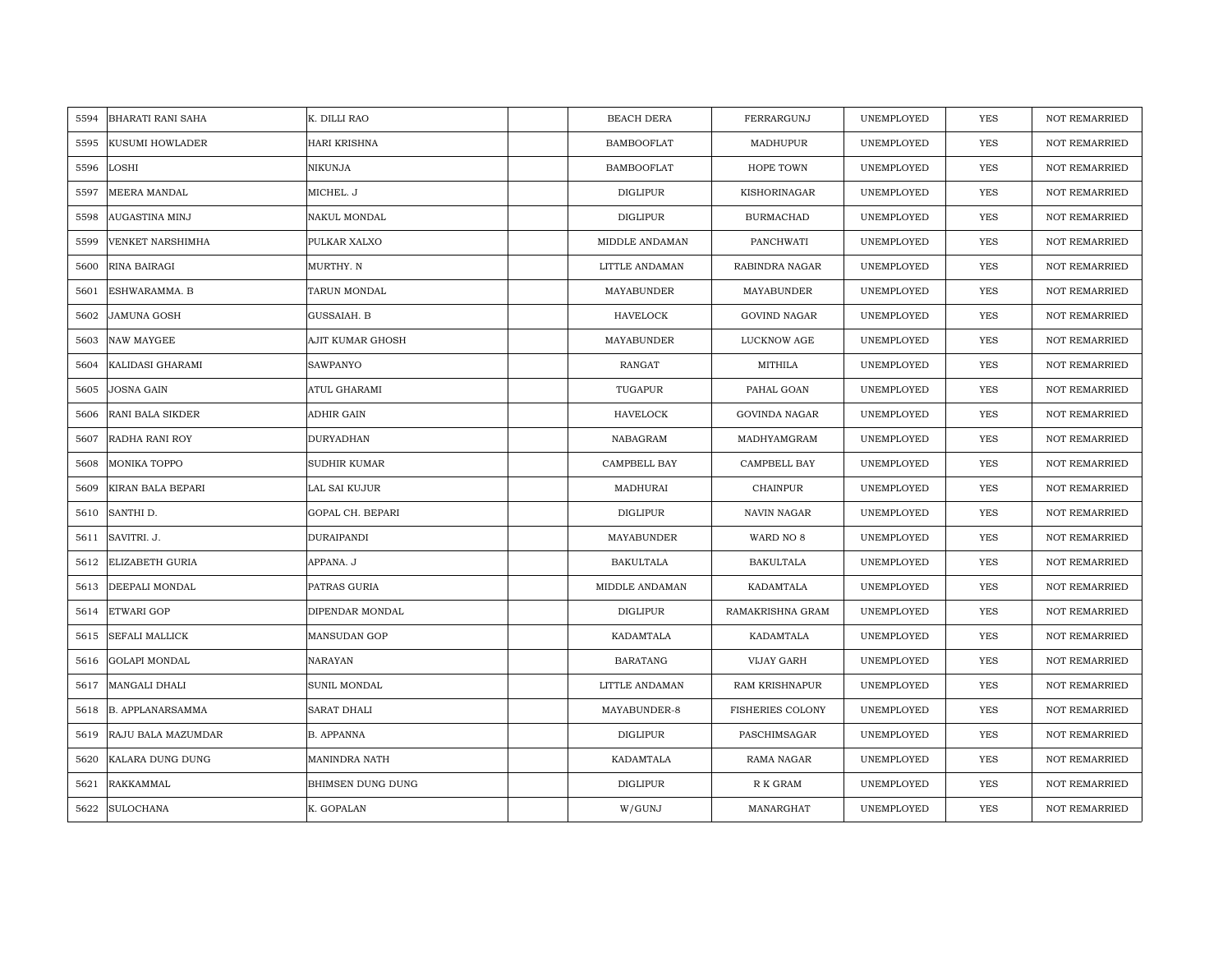| 5594 | <b>BHARATI RANI SAHA</b> | K. DILLI RAO        | <b>BEACH DERA</b> | FERRARGUNJ              | UNEMPLOYED | <b>YES</b> | <b>NOT REMARRIED</b> |
|------|--------------------------|---------------------|-------------------|-------------------------|------------|------------|----------------------|
| 5595 | <b>KUSUMI HOWLADER</b>   | <b>HARI KRISHNA</b> | <b>BAMBOOFLAT</b> | MADHUPUR                | UNEMPLOYED | <b>YES</b> | <b>NOT REMARRIED</b> |
| 5596 | LOSHI                    | NIKUNJA             | <b>BAMBOOFLAT</b> | HOPE TOWN               | UNEMPLOYED | YES        | <b>NOT REMARRIED</b> |
| 5597 | MEERA MANDAL             | MICHEL. J           | <b>DIGLIPUR</b>   | KISHORINAGAR            | UNEMPLOYED | YES        | <b>NOT REMARRIED</b> |
| 5598 | AUGASTINA MINJ           | NAKUL MONDAL        | DIGLIPUR          | <b>BURMACHAD</b>        | UNEMPLOYED | YES        | <b>NOT REMARRIED</b> |
| 5599 | VENKET NARSHIMHA         | PULKAR XALXO        | MIDDLE ANDAMAN    | PANCHWATI               | UNEMPLOYED | <b>YES</b> | NOT REMARRIED        |
| 5600 | RINA BAIRAGI             | MURTHY. N           | LITTLE ANDAMAN    | RABINDRA NAGAR          | UNEMPLOYED | YES        | <b>NOT REMARRIED</b> |
| 5601 | ESHWARAMMA. B            | TARUN MONDAL        | MAYABUNDER        | MAYABUNDER              | UNEMPLOYED | YES        | <b>NOT REMARRIED</b> |
| 5602 | <b>JAMUNA GOSH</b>       | GUSSAIAH. B         | HAVELOCK          | <b>GOVIND NAGAR</b>     | UNEMPLOYED | <b>YES</b> | NOT REMARRIED        |
| 5603 | <b>NAW MAYGEE</b>        | AJIT KUMAR GHOSH    | MAYABUNDER        | LUCKNOW AGE             | UNEMPLOYED | YES        | <b>NOT REMARRIED</b> |
| 5604 | KALIDASI GHARAMI         | <b>SAWPANYO</b>     | <b>RANGAT</b>     | MITHILA                 | UNEMPLOYED | YES        | <b>NOT REMARRIED</b> |
| 5605 | <b>JOSNA GAIN</b>        | ATUL GHARAMI        | TUGAPUR           | PAHAL GOAN              | UNEMPLOYED | YES        | <b>NOT REMARRIED</b> |
| 5606 | RANI BALA SIKDER         | ADHIR GAIN          | <b>HAVELOCK</b>   | <b>GOVINDA NAGAR</b>    | UNEMPLOYED | <b>YES</b> | <b>NOT REMARRIED</b> |
| 5607 | RADHA RANI ROY           | DURYADHAN           | NABAGRAM          | MADHYAMGRAM             | UNEMPLOYED | <b>YES</b> | <b>NOT REMARRIED</b> |
| 5608 | MONIKA TOPPO             | SUDHIR KUMAR        | CAMPBELL BAY      | CAMPBELL BAY            | UNEMPLOYED | YES        | NOT REMARRIED        |
| 5609 | KIRAN BALA BEPARI        | LAL SAI KUJUR       | MADHURAI          | <b>CHAINPUR</b>         | UNEMPLOYED | <b>YES</b> | NOT REMARRIED        |
| 5610 | SANTHI D.                | GOPAL CH. BEPARI    | <b>DIGLIPUR</b>   | <b>NAVIN NAGAR</b>      | UNEMPLOYED | YES        | <b>NOT REMARRIED</b> |
| 5611 | SAVITRI. J.              | DURAIPANDI          | MAYABUNDER        | WARD NO 8               | UNEMPLOYED | YES        | <b>NOT REMARRIED</b> |
| 5612 | <b>ELIZABETH GURIA</b>   | APPANA. J           | <b>BAKULTALA</b>  | <b>BAKULTALA</b>        | UNEMPLOYED | YES        | <b>NOT REMARRIED</b> |
| 5613 | DEEPALI MONDAL           | PATRAS GURIA        | MIDDLE ANDAMAN    | KADAMTALA               | UNEMPLOYED | YES        | <b>NOT REMARRIED</b> |
| 5614 | <b>ETWARI GOP</b>        | DIPENDAR MONDAL     | <b>DIGLIPUR</b>   | RAMAKRISHNA GRAM        | UNEMPLOYED | YES        | <b>NOT REMARRIED</b> |
| 5615 | <b>SEFALI MALLICK</b>    | <b>MANSUDAN GOP</b> | KADAMTALA         | KADAMTALA               | UNEMPLOYED | YES        | <b>NOT REMARRIED</b> |
| 5616 | <b>GOLAPI MONDAL</b>     | NARAYAN             | <b>BARATANG</b>   | VIJAY GARH              | UNEMPLOYED | YES        | <b>NOT REMARRIED</b> |
| 5617 | MANGALI DHALI            | SUNIL MONDAL        | LITTLE ANDAMAN    | <b>RAM KRISHNAPUR</b>   | UNEMPLOYED | <b>YES</b> | <b>NOT REMARRIED</b> |
| 5618 | <b>B. APPLANARSAMMA</b>  | <b>SARAT DHALI</b>  | MAYABUNDER-8      | <b>FISHERIES COLONY</b> | UNEMPLOYED | YES        | <b>NOT REMARRIED</b> |
| 5619 | RAJU BALA MAZUMDAR       | <b>B. APPANNA</b>   | <b>DIGLIPUR</b>   | PASCHIMSAGAR            | UNEMPLOYED | YES        | NOT REMARRIED        |
| 5620 | KALARA DUNG DUNG         | MANINDRA NATH       | KADAMTALA         | RAMA NAGAR              | UNEMPLOYED | YES        | <b>NOT REMARRIED</b> |
| 5621 | RAKKAMMAL                | BHIMSEN DUNG DUNG   | DIGLIPUR          | R K GRAM                | UNEMPLOYED | YES        | <b>NOT REMARRIED</b> |
| 5622 | <b>SULOCHANA</b>         | K. GOPALAN          | W/GUNJ            | MANARGHAT               | UNEMPLOYED | YES        | NOT REMARRIED        |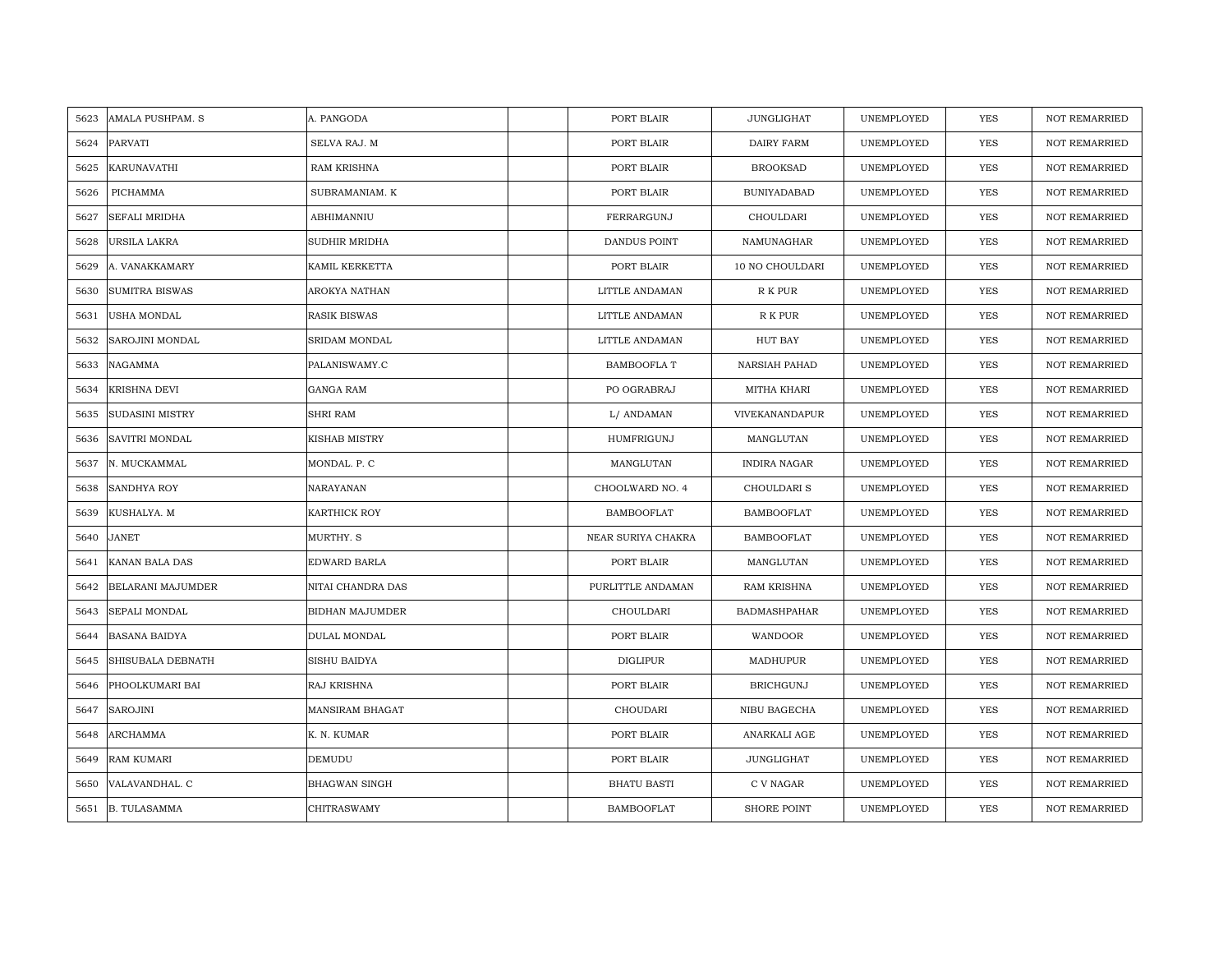| 5623 | AMALA PUSHPAM. S       | A. PANGODA             | PORT BLAIR         | <b>JUNGLIGHAT</b>   | UNEMPLOYED | YES        | <b>NOT REMARRIED</b> |
|------|------------------------|------------------------|--------------------|---------------------|------------|------------|----------------------|
| 5624 | PARVATI                | SELVA RAJ. M           | PORT BLAIR         | DAIRY FARM          | UNEMPLOYED | <b>YES</b> | <b>NOT REMARRIED</b> |
| 5625 | <b>KARUNAVATHI</b>     | <b>RAM KRISHNA</b>     | PORT BLAIR         | <b>BROOKSAD</b>     | UNEMPLOYED | <b>YES</b> | <b>NOT REMARRIED</b> |
| 5626 | PICHAMMA               | SUBRAMANIAM. K         | PORT BLAIR         | <b>BUNIYADABAD</b>  | UNEMPLOYED | YES        | <b>NOT REMARRIED</b> |
| 5627 | SEFALI MRIDHA          | ABHIMANNIU             | FERRARGUNJ         | CHOULDARI           | UNEMPLOYED | YES        | <b>NOT REMARRIED</b> |
| 5628 | URSILA LAKRA           | SUDHIR MRIDHA          | DANDUS POINT       | NAMUNAGHAR          | UNEMPLOYED | YES        | NOT REMARRIED        |
| 5629 | A. VANAKKAMARY         | KAMIL KERKETTA         | PORT BLAIR         | 10 NO CHOULDARI     | UNEMPLOYED | YES        | <b>NOT REMARRIED</b> |
| 5630 | <b>SUMITRA BISWAS</b>  | AROKYA NATHAN          | LITTLE ANDAMAN     | R K PUR             | UNEMPLOYED | YES        | NOT REMARRIED        |
| 5631 | USHA MONDAL            | <b>RASIK BISWAS</b>    | LITTLE ANDAMAN     | R K PUR             | UNEMPLOYED | YES        | <b>NOT REMARRIED</b> |
| 5632 | SAROJINI MONDAL        | SRIDAM MONDAL          | LITTLE ANDAMAN     | <b>HUT BAY</b>      | UNEMPLOYED | <b>YES</b> | <b>NOT REMARRIED</b> |
| 5633 | NAGAMMA                | PALANISWAMY.C          | BAMBOOFLA T        | NARSIAH PAHAD       | UNEMPLOYED | YES        | <b>NOT REMARRIED</b> |
| 5634 | <b>KRISHNA DEVI</b>    | <b>GANGA RAM</b>       | PO OGRABRAJ        | MITHA KHARI         | UNEMPLOYED | YES        | <b>NOT REMARRIED</b> |
| 5635 | <b>SUDASINI MISTRY</b> | <b>SHRI RAM</b>        | L/ ANDAMAN         | VIVEKANANDAPUR      | UNEMPLOYED | <b>YES</b> | <b>NOT REMARRIED</b> |
| 5636 | <b>SAVITRI MONDAL</b>  | KISHAB MISTRY          | HUMFRIGUNJ         | MANGLUTAN           | UNEMPLOYED | <b>YES</b> | <b>NOT REMARRIED</b> |
| 5637 | N. MUCKAMMAL           | MONDAL. P. C           | MANGLUTAN          | <b>INDIRA NAGAR</b> | UNEMPLOYED | <b>YES</b> | <b>NOT REMARRIED</b> |
| 5638 | <b>SANDHYA ROY</b>     | NARAYANAN              | CHOOLWARD NO. 4    | CHOULDARI S         | UNEMPLOYED | <b>YES</b> | <b>NOT REMARRIED</b> |
| 5639 | KUSHALYA. M            | <b>KARTHICK ROY</b>    | <b>BAMBOOFLAT</b>  | <b>BAMBOOFLAT</b>   | UNEMPLOYED | <b>YES</b> | <b>NOT REMARRIED</b> |
| 5640 | <b>JANET</b>           | MURTHY. S              | NEAR SURIYA CHAKRA | <b>BAMBOOFLAT</b>   | UNEMPLOYED | <b>YES</b> | <b>NOT REMARRIED</b> |
| 5641 | <b>KANAN BALA DAS</b>  | <b>EDWARD BARLA</b>    | PORT BLAIR         | MANGLUTAN           | UNEMPLOYED | <b>YES</b> | <b>NOT REMARRIED</b> |
| 5642 | BELARANI MAJUMDER      | NITAI CHANDRA DAS      | PURLITTLE ANDAMAN  | RAM KRISHNA         | UNEMPLOYED | YES        | <b>NOT REMARRIED</b> |
| 5643 | <b>SEPALI MONDAL</b>   | <b>BIDHAN MAJUMDER</b> | CHOULDARI          | <b>BADMASHPAHAR</b> | UNEMPLOYED | YES        | <b>NOT REMARRIED</b> |
| 5644 | <b>BASANA BAIDYA</b>   | DULAL MONDAL           | PORT BLAIR         | WANDOOR             | UNEMPLOYED | YES        | <b>NOT REMARRIED</b> |
| 5645 | SHISUBALA DEBNATH      | <b>SISHU BAIDYA</b>    | <b>DIGLIPUR</b>    | MADHUPUR            | UNEMPLOYED | <b>YES</b> | <b>NOT REMARRIED</b> |
| 5646 | PHOOLKUMARI BAI        | RAJ KRISHNA            | PORT BLAIR         | <b>BRICHGUNJ</b>    | UNEMPLOYED | <b>YES</b> | <b>NOT REMARRIED</b> |
| 5647 | SAROJINI               | <b>MANSIRAM BHAGAT</b> | CHOUDARI           | NIBU BAGECHA        | UNEMPLOYED | <b>YES</b> | <b>NOT REMARRIED</b> |
| 5648 | ARCHAMMA               | K. N. KUMAR            | PORT BLAIR         | ANARKALI AGE        | UNEMPLOYED | YES        | NOT REMARRIED        |
| 5649 | <b>RAM KUMARI</b>      | DEMUDU                 | PORT BLAIR         | JUNGLIGHAT          | UNEMPLOYED | YES        | <b>NOT REMARRIED</b> |
| 5650 | VALAVANDHAL. C         | <b>BHAGWAN SINGH</b>   | <b>BHATU BASTI</b> | C V NAGAR           | UNEMPLOYED | <b>YES</b> | <b>NOT REMARRIED</b> |
|      | 5651 B. TULASAMMA      | <b>CHITRASWAMY</b>     | <b>BAMBOOFLAT</b>  | <b>SHORE POINT</b>  | UNEMPLOYED | <b>YES</b> | <b>NOT REMARRIED</b> |
|      |                        |                        |                    |                     |            |            |                      |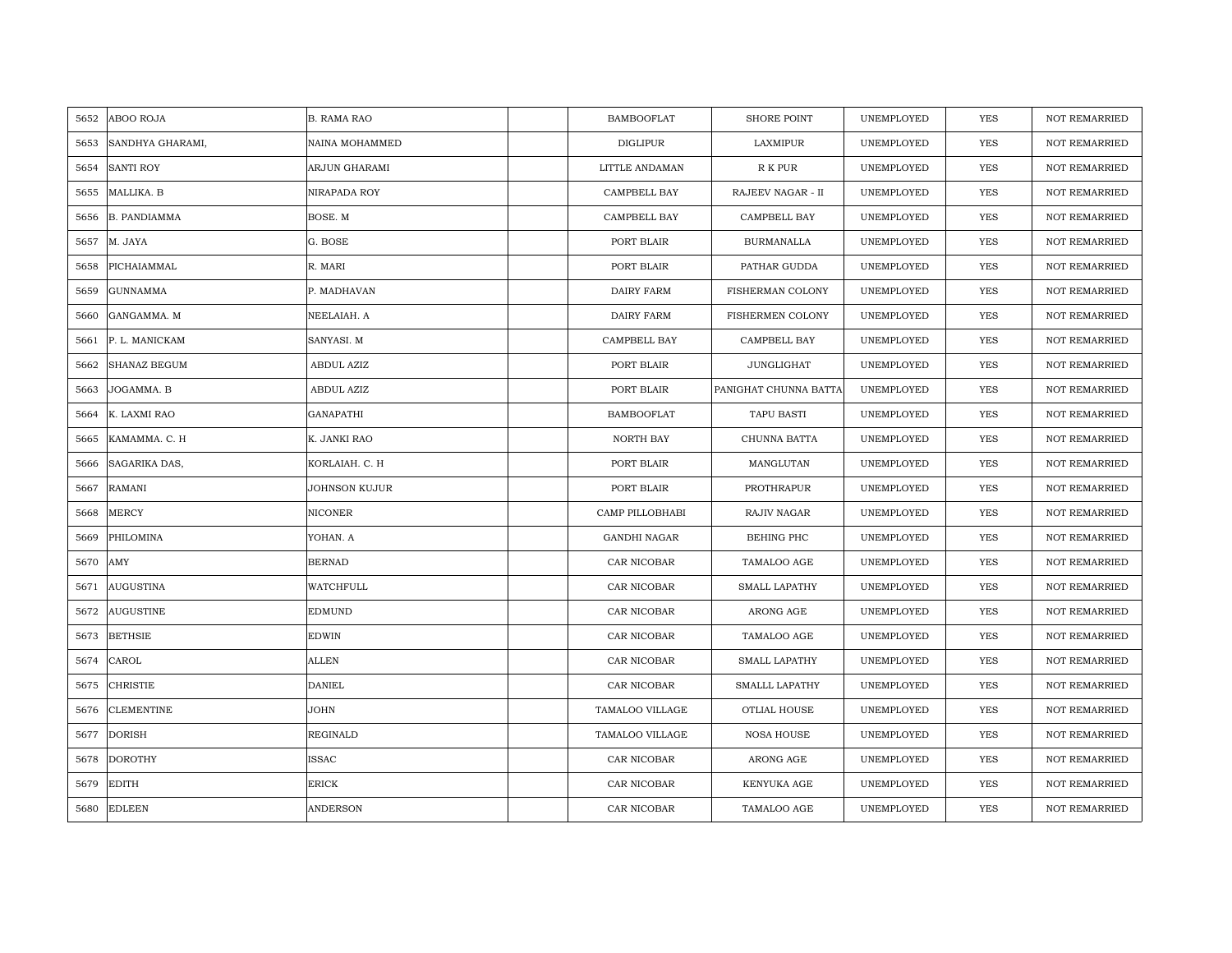| 5652 | <b>ABOO ROJA</b>    | <b>B. RAMA RAO</b> | <b>BAMBOOFLAT</b>   | <b>SHORE POINT</b>    | UNEMPLOYED | <b>YES</b> | <b>NOT REMARRIED</b> |
|------|---------------------|--------------------|---------------------|-----------------------|------------|------------|----------------------|
| 5653 | SANDHYA GHARAMI,    | NAINA MOHAMMED     | <b>DIGLIPUR</b>     | LAXMIPUR              | UNEMPLOYED | <b>YES</b> | <b>NOT REMARRIED</b> |
| 5654 | <b>SANTI ROY</b>    | ARJUN GHARAMI      | LITTLE ANDAMAN      | R K PUR               | UNEMPLOYED | YES        | <b>NOT REMARRIED</b> |
| 5655 | MALLIKA. B          | NIRAPADA ROY       | CAMPBELL BAY        | RAJEEV NAGAR - II     | UNEMPLOYED | YES        | <b>NOT REMARRIED</b> |
| 5656 | <b>B. PANDIAMMA</b> | BOSE. M            | CAMPBELL BAY        | CAMPBELL BAY          | UNEMPLOYED | YES        | NOT REMARRIED        |
| 5657 | M. JAYA             | G. BOSE            | PORT BLAIR          | <b>BURMANALLA</b>     | UNEMPLOYED | <b>YES</b> | NOT REMARRIED        |
| 5658 | PICHAIAMMAL         | R. MARI            | PORT BLAIR          | PATHAR GUDDA          | UNEMPLOYED | YES        | NOT REMARRIED        |
| 5659 | <b>GUNNAMMA</b>     | P. MADHAVAN        | <b>DAIRY FARM</b>   | FISHERMAN COLONY      | UNEMPLOYED | YES        | NOT REMARRIED        |
| 5660 | GANGAMMA. M         | NEELAIAH. A        | DAIRY FARM          | FISHERMEN COLONY      | UNEMPLOYED | YES        | NOT REMARRIED        |
| 5661 | P. L. MANICKAM      | SANYASI. M         | CAMPBELL BAY        | CAMPBELL BAY          | UNEMPLOYED | YES        | <b>NOT REMARRIED</b> |
| 5662 | <b>SHANAZ BEGUM</b> | ABDUL AZIZ         | PORT BLAIR          | JUNGLIGHAT            | UNEMPLOYED | YES        | <b>NOT REMARRIED</b> |
| 5663 | JOGAMMA. B          | ABDUL AZIZ         | PORT BLAIR          | PANIGHAT CHUNNA BATTA | UNEMPLOYED | YES        | NOT REMARRIED        |
| 5664 | K. LAXMI RAO        | <b>GANAPATHI</b>   | <b>BAMBOOFLAT</b>   | TAPU BASTI            | UNEMPLOYED | YES        | <b>NOT REMARRIED</b> |
| 5665 | KAMAMMA, C. H       | K. JANKI RAO       | NORTH BAY           | CHUNNA BATTA          | UNEMPLOYED | YES        | <b>NOT REMARRIED</b> |
| 5666 | SAGARIKA DAS,       | KORLAIAH. C. H     | PORT BLAIR          | MANGLUTAN             | UNEMPLOYED | YES        | NOT REMARRIED        |
| 5667 | <b>RAMANI</b>       | JOHNSON KUJUR      | PORT BLAIR          | PROTHRAPUR            | UNEMPLOYED | <b>YES</b> | <b>NOT REMARRIED</b> |
| 5668 | <b>MERCY</b>        | <b>NICONER</b>     | CAMP PILLOBHABI     | RAJIV NAGAR           | UNEMPLOYED | YES        | <b>NOT REMARRIED</b> |
| 5669 | PHILOMINA           | YOHAN. A           | <b>GANDHI NAGAR</b> | BEHING PHC            | UNEMPLOYED | YES        | <b>NOT REMARRIED</b> |
| 5670 | AMY                 | <b>BERNAD</b>      | CAR NICOBAR         | TAMALOO AGE           | UNEMPLOYED | <b>YES</b> | <b>NOT REMARRIED</b> |
| 5671 | <b>AUGUSTINA</b>    | WATCHFULL          | CAR NICOBAR         | <b>SMALL LAPATHY</b>  | UNEMPLOYED | YES        | <b>NOT REMARRIED</b> |
| 5672 | <b>AUGUSTINE</b>    | <b>EDMUND</b>      | CAR NICOBAR         | ARONG AGE             | UNEMPLOYED | YES        | NOT REMARRIED        |
| 5673 | <b>BETHSIE</b>      | EDWIN              | CAR NICOBAR         | TAMALOO AGE           | UNEMPLOYED | YES        | NOT REMARRIED        |
| 5674 | CAROL               | <b>ALLEN</b>       | CAR NICOBAR         | SMALL LAPATHY         | UNEMPLOYED | <b>YES</b> | NOT REMARRIED        |
| 5675 | <b>CHRISTIE</b>     | <b>DANIEL</b>      | CAR NICOBAR         | SMALLL LAPATHY        | UNEMPLOYED | <b>YES</b> | <b>NOT REMARRIED</b> |
| 5676 | <b>CLEMENTINE</b>   | JOHN               | TAMALOO VILLAGE     | OTLIAL HOUSE          | UNEMPLOYED | <b>YES</b> | <b>NOT REMARRIED</b> |
| 5677 | <b>DORISH</b>       | REGINALD           | TAMALOO VILLAGE     | <b>NOSA HOUSE</b>     | UNEMPLOYED | YES        | NOT REMARRIED        |
| 5678 | <b>DOROTHY</b>      | <b>ISSAC</b>       | CAR NICOBAR         | $\rm ARONG$ $\rm AGE$ | UNEMPLOYED | YES        | <b>NOT REMARRIED</b> |
| 5679 | <b>EDITH</b>        | <b>ERICK</b>       | CAR NICOBAR         | KENYUKA AGE           | UNEMPLOYED | YES        | <b>NOT REMARRIED</b> |
| 5680 | <b>EDLEEN</b>       | <b>ANDERSON</b>    | CAR NICOBAR         | TAMALOO AGE           | UNEMPLOYED | <b>YES</b> | <b>NOT REMARRIED</b> |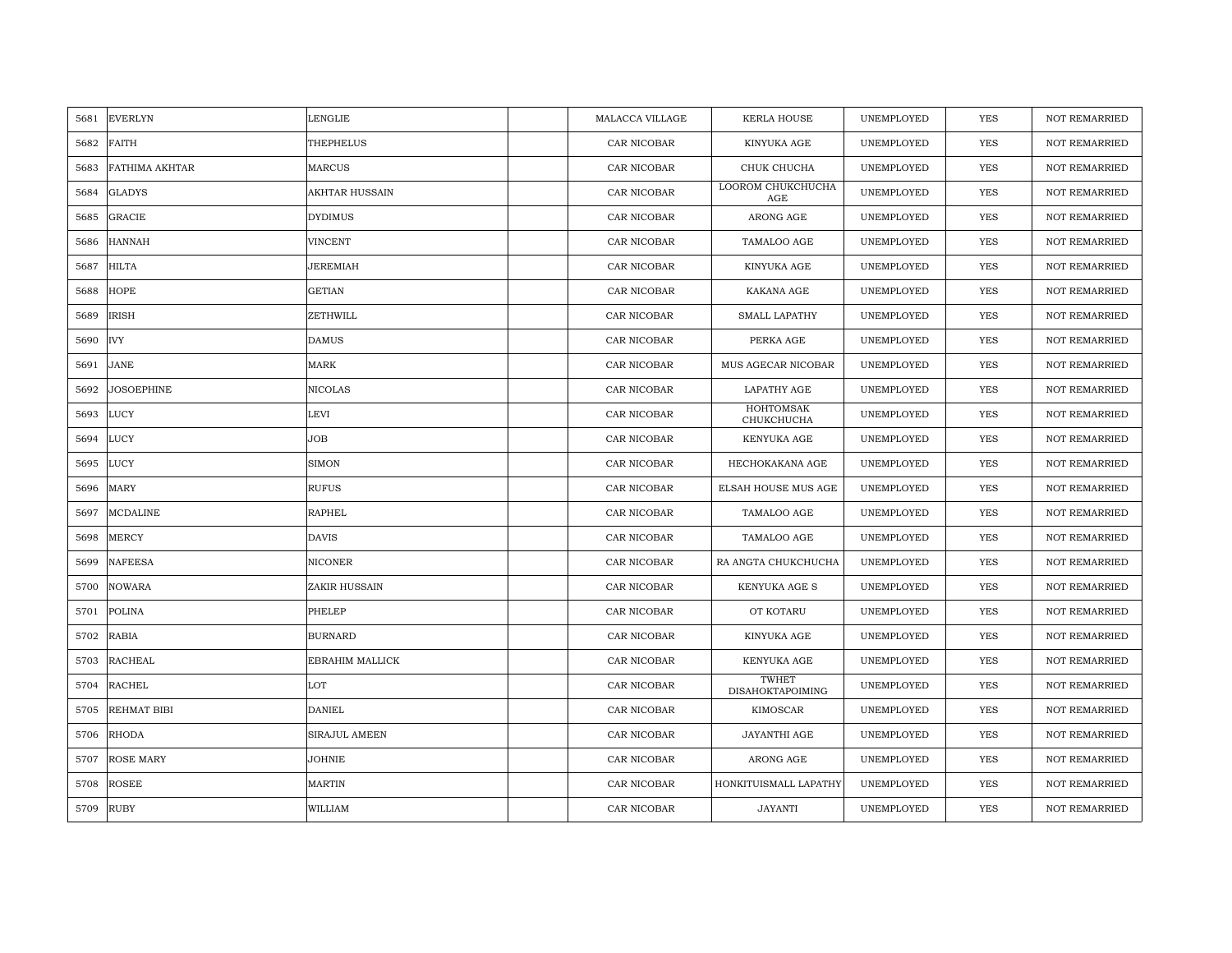| 5681 | <b>EVERLYN</b>        | <b>LENGLIE</b>        | MALACCA VILLAGE | <b>KERLA HOUSE</b>               | UNEMPLOYED | <b>YES</b> | <b>NOT REMARRIED</b> |
|------|-----------------------|-----------------------|-----------------|----------------------------------|------------|------------|----------------------|
| 5682 | <b>FAITH</b>          | THEPHELUS             | CAR NICOBAR     | KINYUKA AGE                      | UNEMPLOYED | <b>YES</b> | <b>NOT REMARRIED</b> |
| 5683 | <b>FATHIMA AKHTAR</b> | <b>MARCUS</b>         | CAR NICOBAR     | CHUK CHUCHA                      | UNEMPLOYED | YES        | <b>NOT REMARRIED</b> |
| 5684 | <b>GLADYS</b>         | <b>AKHTAR HUSSAIN</b> | CAR NICOBAR     | LOOROM CHUKCHUCHA<br>AGE         | UNEMPLOYED | YES        | <b>NOT REMARRIED</b> |
| 5685 | GRACIE                | <b>DYDIMUS</b>        | CAR NICOBAR     | ARONG AGE                        | UNEMPLOYED | YES        | <b>NOT REMARRIED</b> |
| 5686 | <b>HANNAH</b>         | <b>VINCENT</b>        | CAR NICOBAR     | TAMALOO AGE                      | UNEMPLOYED | YES        | <b>NOT REMARRIED</b> |
| 5687 | <b>HILTA</b>          | JEREMIAH              | CAR NICOBAR     | KINYUKA AGE                      | UNEMPLOYED | YES        | <b>NOT REMARRIED</b> |
| 5688 | <b>HOPE</b>           | <b>GETIAN</b>         | CAR NICOBAR     | KAKANA AGE                       | UNEMPLOYED | YES        | <b>NOT REMARRIED</b> |
| 5689 | <b>IRISH</b>          | ZETHWILL              | CAR NICOBAR     | <b>SMALL LAPATHY</b>             | UNEMPLOYED | YES        | <b>NOT REMARRIED</b> |
| 5690 | <b>IVY</b>            | <b>DAMUS</b>          | CAR NICOBAR     | PERKA AGE                        | UNEMPLOYED | YES        | <b>NOT REMARRIED</b> |
| 5691 | <b>JANE</b>           | <b>MARK</b>           | CAR NICOBAR     | MUS AGECAR NICOBAR               | UNEMPLOYED | YES        | <b>NOT REMARRIED</b> |
| 5692 | <b>JOSOEPHINE</b>     | <b>NICOLAS</b>        | CAR NICOBAR     | LAPATHY AGE                      | UNEMPLOYED | YES        | <b>NOT REMARRIED</b> |
| 5693 | <b>LUCY</b>           | LEVI                  | CAR NICOBAR     | HOHTOMSAK<br>CHUKCHUCHA          | UNEMPLOYED | YES        | <b>NOT REMARRIED</b> |
| 5694 | <b>LUCY</b>           | <b>JOB</b>            | CAR NICOBAR     | KENYUKA AGE                      | UNEMPLOYED | YES        | <b>NOT REMARRIED</b> |
| 5695 | <b>LUCY</b>           | <b>SIMON</b>          | CAR NICOBAR     | HECHOKAKANA AGE                  | UNEMPLOYED | YES        | <b>NOT REMARRIED</b> |
| 5696 | MARY                  | <b>RUFUS</b>          | CAR NICOBAR     | ELSAH HOUSE MUS AGE              | UNEMPLOYED | YES        | <b>NOT REMARRIED</b> |
| 5697 | <b>MCDALINE</b>       | <b>RAPHEL</b>         | CAR NICOBAR     | TAMALOO AGE                      | UNEMPLOYED | YES        | <b>NOT REMARRIED</b> |
| 5698 | MERCY                 | <b>DAVIS</b>          | CAR NICOBAR     | TAMALOO AGE                      | UNEMPLOYED | YES        | <b>NOT REMARRIED</b> |
| 5699 | <b>NAFEESA</b>        | <b>NICONER</b>        | CAR NICOBAR     | RA ANGTA CHUKCHUCHA              | UNEMPLOYED | <b>YES</b> | <b>NOT REMARRIED</b> |
| 5700 | <b>NOWARA</b>         | ZAKIR HUSSAIN         | CAR NICOBAR     | KENYUKA AGE S                    | UNEMPLOYED | YES        | <b>NOT REMARRIED</b> |
| 5701 | <b>POLINA</b>         | PHELEP                | CAR NICOBAR     | OT KOTARU                        | UNEMPLOYED | YES        | <b>NOT REMARRIED</b> |
| 5702 | <b>RABIA</b>          | <b>BURNARD</b>        | CAR NICOBAR     | KINYUKA AGE                      | UNEMPLOYED | YES        | <b>NOT REMARRIED</b> |
| 5703 | <b>RACHEAL</b>        | EBRAHIM MALLICK       | CAR NICOBAR     | KENYUKA AGE                      | UNEMPLOYED | YES        | NOT REMARRIED        |
| 5704 | <b>RACHEL</b>         | LOT                   | CAR NICOBAR     | TWHET<br><b>DISAHOKTAPOIMING</b> | UNEMPLOYED | YES        | <b>NOT REMARRIED</b> |
| 5705 | REHMAT BIBI           | <b>DANIEL</b>         | CAR NICOBAR     | KIMOSCAR                         | UNEMPLOYED | YES        | <b>NOT REMARRIED</b> |
| 5706 | <b>RHODA</b>          | <b>SIRAJUL AMEEN</b>  | CAR NICOBAR     | JAYANTHI AGE                     | UNEMPLOYED | <b>YES</b> | <b>NOT REMARRIED</b> |
| 5707 | <b>ROSE MARY</b>      | JOHNIE                | CAR NICOBAR     | ARONG AGE                        | UNEMPLOYED | YES        | NOT REMARRIED        |
| 5708 | <b>ROSEE</b>          | <b>MARTIN</b>         | CAR NICOBAR     | HONKITUISMALL LAPATHY            | UNEMPLOYED | YES        | <b>NOT REMARRIED</b> |
| 5709 | <b>RUBY</b>           | WILLIAM               | CAR NICOBAR     | <b>JAYANTI</b>                   | UNEMPLOYED | <b>YES</b> | <b>NOT REMARRIED</b> |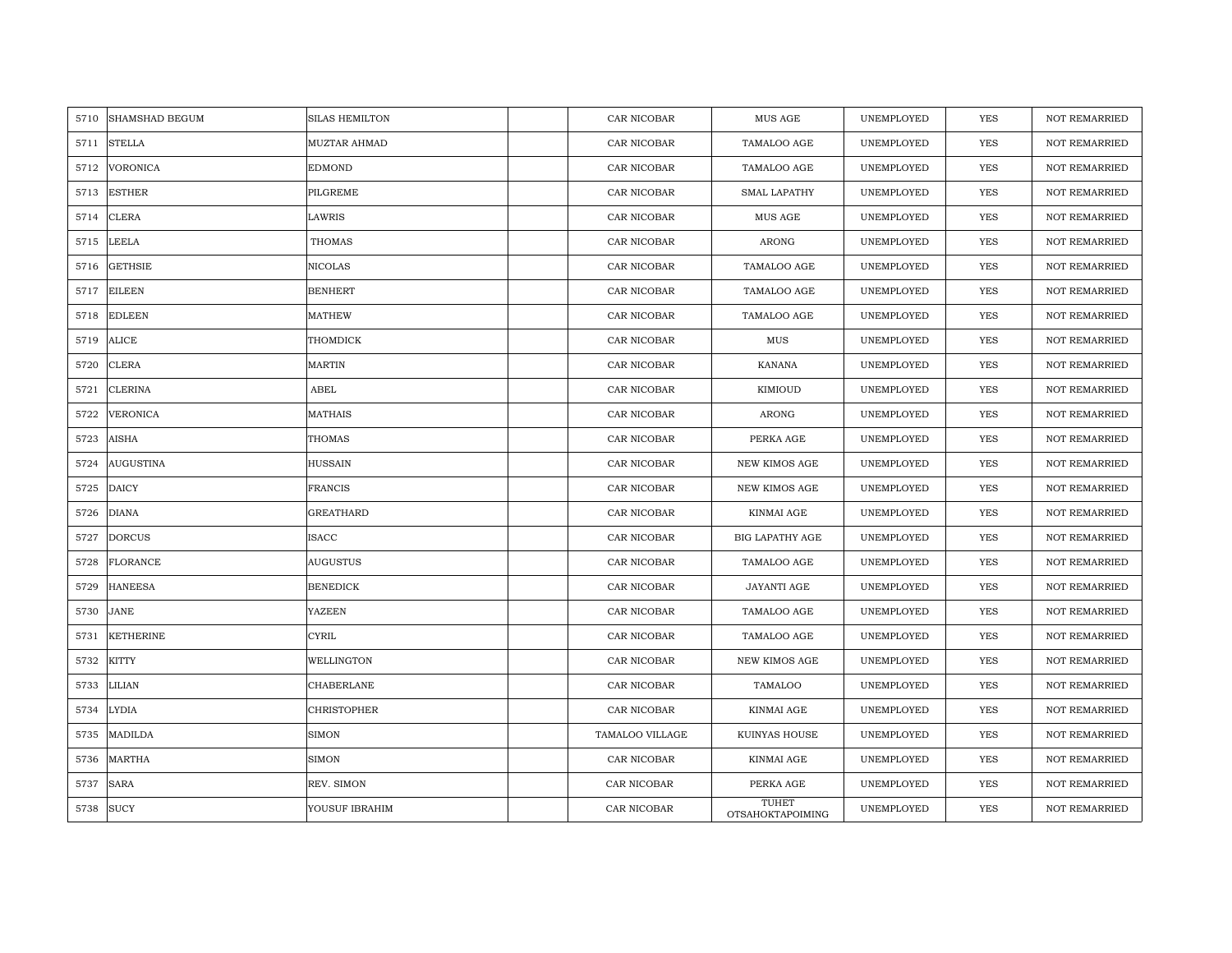| 5710 | <b>SHAMSHAD BEGUM</b> | <b>SILAS HEMILTON</b> | CAR NICOBAR     | MUS AGE                          | UNEMPLOYED | <b>YES</b> | <b>NOT REMARRIED</b> |
|------|-----------------------|-----------------------|-----------------|----------------------------------|------------|------------|----------------------|
| 5711 | <b>STELLA</b>         | MUZTAR AHMAD          | CAR NICOBAR     | TAMALOO AGE                      | UNEMPLOYED | YES        | <b>NOT REMARRIED</b> |
| 5712 | <b>VORONICA</b>       | <b>EDMOND</b>         | CAR NICOBAR     | TAMALOO AGE                      | UNEMPLOYED | <b>YES</b> | NOT REMARRIED        |
| 5713 | <b>ESTHER</b>         | PILGREME              | CAR NICOBAR     | <b>SMAL LAPATHY</b>              | UNEMPLOYED | <b>YES</b> | <b>NOT REMARRIED</b> |
| 5714 | <b>CLERA</b>          | LAWRIS                | CAR NICOBAR     | <b>MUS AGE</b>                   | UNEMPLOYED | <b>YES</b> | <b>NOT REMARRIED</b> |
| 5715 | <b>LEELA</b>          | <b>THOMAS</b>         | CAR NICOBAR     | ARONG                            | UNEMPLOYED | YES        | <b>NOT REMARRIED</b> |
| 5716 | <b>GETHSIE</b>        | <b>NICOLAS</b>        | CAR NICOBAR     | TAMALOO AGE                      | UNEMPLOYED | <b>YES</b> | NOT REMARRIED        |
| 5717 | <b>EILEEN</b>         | <b>BENHERT</b>        | CAR NICOBAR     | TAMALOO AGE                      | UNEMPLOYED | <b>YES</b> | <b>NOT REMARRIED</b> |
| 5718 | <b>EDLEEN</b>         | <b>MATHEW</b>         | CAR NICOBAR     | TAMALOO AGE                      | UNEMPLOYED | YES        | <b>NOT REMARRIED</b> |
| 5719 | <b>ALICE</b>          | THOMDICK              | CAR NICOBAR     | MUS                              | UNEMPLOYED | YES        | <b>NOT REMARRIED</b> |
| 5720 | <b>CLERA</b>          | <b>MARTIN</b>         | CAR NICOBAR     | <b>KANANA</b>                    | UNEMPLOYED | YES        | <b>NOT REMARRIED</b> |
| 5721 | <b>CLERINA</b>        | ABEL                  | CAR NICOBAR     | KIMIOUD                          | UNEMPLOYED | YES        | <b>NOT REMARRIED</b> |
| 5722 | VERONICA              | MATHAIS               | CAR NICOBAR     | ARONG                            | UNEMPLOYED | <b>YES</b> | <b>NOT REMARRIED</b> |
| 5723 | <b>AISHA</b>          | <b>THOMAS</b>         | CAR NICOBAR     | PERKA AGE                        | UNEMPLOYED | <b>YES</b> | <b>NOT REMARRIED</b> |
| 5724 | <b>AUGUSTINA</b>      | <b>HUSSAIN</b>        | CAR NICOBAR     | <b>NEW KIMOS AGE</b>             | UNEMPLOYED | <b>YES</b> | NOT REMARRIED        |
| 5725 | <b>DAICY</b>          | <b>FRANCIS</b>        | CAR NICOBAR     | <b>NEW KIMOS AGE</b>             | UNEMPLOYED | <b>YES</b> | <b>NOT REMARRIED</b> |
| 5726 | <b>DIANA</b>          | <b>GREATHARD</b>      | CAR NICOBAR     | KINMAI AGE                       | UNEMPLOYED | <b>YES</b> | <b>NOT REMARRIED</b> |
| 5727 | <b>DORCUS</b>         | <b>ISACC</b>          | CAR NICOBAR     | <b>BIG LAPATHY AGE</b>           | UNEMPLOYED | <b>YES</b> | <b>NOT REMARRIED</b> |
| 5728 | <b>FLORANCE</b>       | <b>AUGUSTUS</b>       | CAR NICOBAR     | TAMALOO AGE                      | UNEMPLOYED | YES        | NOT REMARRIED        |
| 5729 | <b>HANEESA</b>        | <b>BENEDICK</b>       | CAR NICOBAR     | JAYANTI AGE                      | UNEMPLOYED | <b>YES</b> | <b>NOT REMARRIED</b> |
| 5730 | JANE                  | YAZEEN                | CAR NICOBAR     | TAMALOO AGE                      | UNEMPLOYED | YES        | <b>NOT REMARRIED</b> |
| 5731 | <b>KETHERINE</b>      | <b>CYRIL</b>          | CAR NICOBAR     | TAMALOO AGE                      | UNEMPLOYED | YES        | <b>NOT REMARRIED</b> |
| 5732 | <b>KITTY</b>          | WELLINGTON            | CAR NICOBAR     | <b>NEW KIMOS AGE</b>             | UNEMPLOYED | YES        | <b>NOT REMARRIED</b> |
| 5733 | LILIAN                | CHABERLANE            | CAR NICOBAR     | TAMALOO                          | UNEMPLOYED | <b>YES</b> | NOT REMARRIED        |
| 5734 | <b>LYDIA</b>          | <b>CHRISTOPHER</b>    | CAR NICOBAR     | KINMAI AGE                       | UNEMPLOYED | <b>YES</b> | <b>NOT REMARRIED</b> |
| 5735 | MADILDA               | <b>SIMON</b>          | TAMALOO VILLAGE | KUINYAS HOUSE                    | UNEMPLOYED | <b>YES</b> | <b>NOT REMARRIED</b> |
| 5736 | <b>MARTHA</b>         | SIMON                 | CAR NICOBAR     | KINMAI AGE                       | UNEMPLOYED | <b>YES</b> | <b>NOT REMARRIED</b> |
| 5737 | <b>SARA</b>           | REV. SIMON            | CAR NICOBAR     | PERKA AGE                        | UNEMPLOYED | YES        | NOT REMARRIED        |
| 5738 | <b>SUCY</b>           | YOUSUF IBRAHIM        | CAR NICOBAR     | TUHET<br><b>OTSAHOKTAPOIMING</b> | UNEMPLOYED | <b>YES</b> | <b>NOT REMARRIED</b> |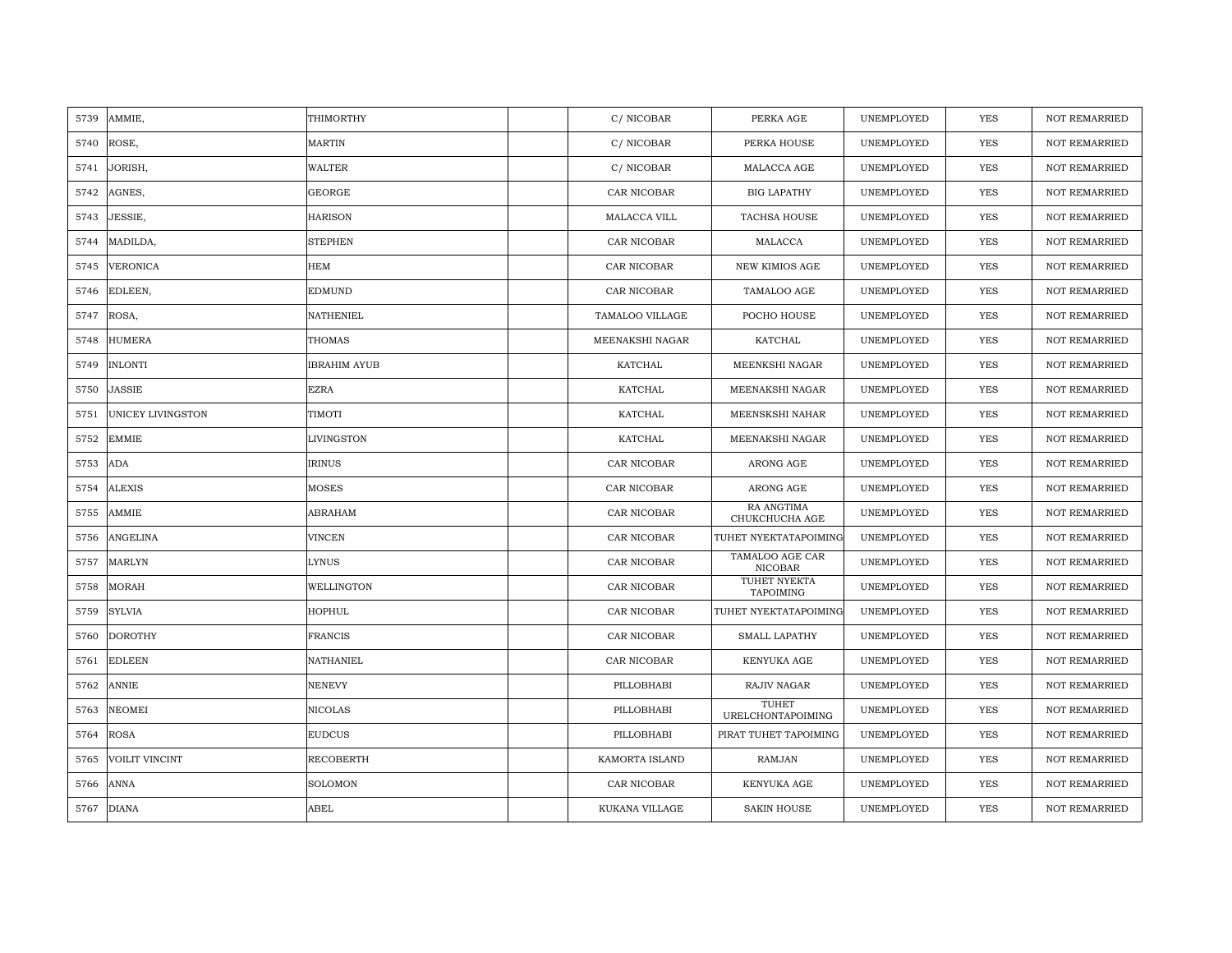| 5739 | AMMIE,                   | THIMORTHY           | C/NICOBAR       | PERKA AGE                         | UNEMPLOYED | <b>YES</b> | <b>NOT REMARRIED</b> |
|------|--------------------------|---------------------|-----------------|-----------------------------------|------------|------------|----------------------|
| 5740 | ROSE,                    | <b>MARTIN</b>       | C/NICOBAR       | PERKA HOUSE                       | UNEMPLOYED | <b>YES</b> | <b>NOT REMARRIED</b> |
| 5741 | JORISH,                  | <b>WALTER</b>       | C/NICOBAR       | MALACCA AGE                       | UNEMPLOYED | YES        | <b>NOT REMARRIED</b> |
| 5742 | AGNES,                   | <b>GEORGE</b>       | CAR NICOBAR     | <b>BIG LAPATHY</b>                | UNEMPLOYED | YES        | <b>NOT REMARRIED</b> |
| 5743 | JESSIE,                  | <b>HARISON</b>      | MALACCA VILL    | TACHSA HOUSE                      | UNEMPLOYED | YES        | <b>NOT REMARRIED</b> |
| 5744 | MADILDA,                 | <b>STEPHEN</b>      | CAR NICOBAR     | MALACCA                           | UNEMPLOYED | <b>YES</b> | <b>NOT REMARRIED</b> |
| 5745 | <b>VERONICA</b>          | <b>HEM</b>          | CAR NICOBAR     | <b>NEW KIMIOS AGE</b>             | UNEMPLOYED | <b>YES</b> | <b>NOT REMARRIED</b> |
| 5746 | EDLEEN,                  | <b>EDMUND</b>       | CAR NICOBAR     | TAMALOO AGE                       | UNEMPLOYED | <b>YES</b> | <b>NOT REMARRIED</b> |
| 5747 | ROSA,                    | <b>NATHENIEL</b>    | TAMALOO VILLAGE | POCHO HOUSE                       | UNEMPLOYED | <b>YES</b> | <b>NOT REMARRIED</b> |
| 5748 | <b>HUMERA</b>            | <b>THOMAS</b>       | MEENAKSHI NAGAR | KATCHAL                           | UNEMPLOYED | YES        | <b>NOT REMARRIED</b> |
| 5749 | <b>INLONTI</b>           | <b>IBRAHIM AYUB</b> | KATCHAL         | MEENKSHI NAGAR                    | UNEMPLOYED | YES        | <b>NOT REMARRIED</b> |
| 5750 | <b>JASSIE</b>            | <b>EZRA</b>         | KATCHAL         | MEENAKSHI NAGAR                   | UNEMPLOYED | YES        | <b>NOT REMARRIED</b> |
| 5751 | <b>UNICEY LIVINGSTON</b> | <b>TIMOTI</b>       | KATCHAL         | MEENSKSHI NAHAR                   | UNEMPLOYED | YES        | <b>NOT REMARRIED</b> |
| 5752 | <b>EMMIE</b>             | LIVINGSTON          | KATCHAL         | MEENAKSHI NAGAR                   | UNEMPLOYED | YES        | <b>NOT REMARRIED</b> |
| 5753 | <b>ADA</b>               | <b>IRINUS</b>       | CAR NICOBAR     | ARONG AGE                         | UNEMPLOYED | YES        | <b>NOT REMARRIED</b> |
| 5754 | <b>ALEXIS</b>            | <b>MOSES</b>        | CAR NICOBAR     | ARONG AGE                         | UNEMPLOYED | YES        | <b>NOT REMARRIED</b> |
| 5755 | AMMIE                    | ABRAHAM             | CAR NICOBAR     | RA ANGTIMA<br>CHUKCHUCHA AGE      | UNEMPLOYED | YES        | <b>NOT REMARRIED</b> |
| 5756 | <b>ANGELINA</b>          | <b>VINCEN</b>       | CAR NICOBAR     | TUHET NYEKTATAPOIMING             | UNEMPLOYED | YES        | <b>NOT REMARRIED</b> |
| 5757 | <b>MARLYN</b>            | <b>LYNUS</b>        | CAR NICOBAR     | TAMALOO AGE CAR<br><b>NICOBAR</b> | UNEMPLOYED | <b>YES</b> | <b>NOT REMARRIED</b> |
| 5758 | <b>MORAH</b>             | WELLINGTON          | CAR NICOBAR     | TUHET NYEKTA<br><b>TAPOIMING</b>  | UNEMPLOYED | YES        | <b>NOT REMARRIED</b> |
| 5759 | <b>SYLVIA</b>            | HOPHUL              | CAR NICOBAR     | TUHET NYEKTATAPOIMING             | UNEMPLOYED | YES        | <b>NOT REMARRIED</b> |
| 5760 | <b>DOROTHY</b>           | <b>FRANCIS</b>      | CAR NICOBAR     | SMALL LAPATHY                     | UNEMPLOYED | YES        | <b>NOT REMARRIED</b> |
| 5761 | <b>EDLEEN</b>            | NATHANIEL           | CAR NICOBAR     | KENYUKA AGE                       | UNEMPLOYED | <b>YES</b> | <b>NOT REMARRIED</b> |
| 5762 | <b>ANNIE</b>             | <b>NENEVY</b>       | PILLOBHABI      | RAJIV NAGAR                       | UNEMPLOYED | YES        | <b>NOT REMARRIED</b> |
| 5763 | <b>NEOMEI</b>            | <b>NICOLAS</b>      | PILLOBHABI      | TUHET<br><b>URELCHONTAPOIMING</b> | UNEMPLOYED | <b>YES</b> | <b>NOT REMARRIED</b> |
| 5764 | <b>ROSA</b>              | <b>EUDCUS</b>       | PILLOBHABI      | PIRAT TUHET TAPOIMING             | UNEMPLOYED | YES        | <b>NOT REMARRIED</b> |
| 5765 | VOILIT VINCINT           | RECOBERTH           | KAMORTA ISLAND  | RAMJAN                            | UNEMPLOYED | YES        | <b>NOT REMARRIED</b> |
| 5766 | ANNA                     | <b>SOLOMON</b>      | CAR NICOBAR     | KENYUKA AGE                       | UNEMPLOYED | YES        | <b>NOT REMARRIED</b> |
| 5767 | <b>DIANA</b>             | ABEL                | KUKANA VILLAGE  | <b>SAKIN HOUSE</b>                | UNEMPLOYED | <b>YES</b> | <b>NOT REMARRIED</b> |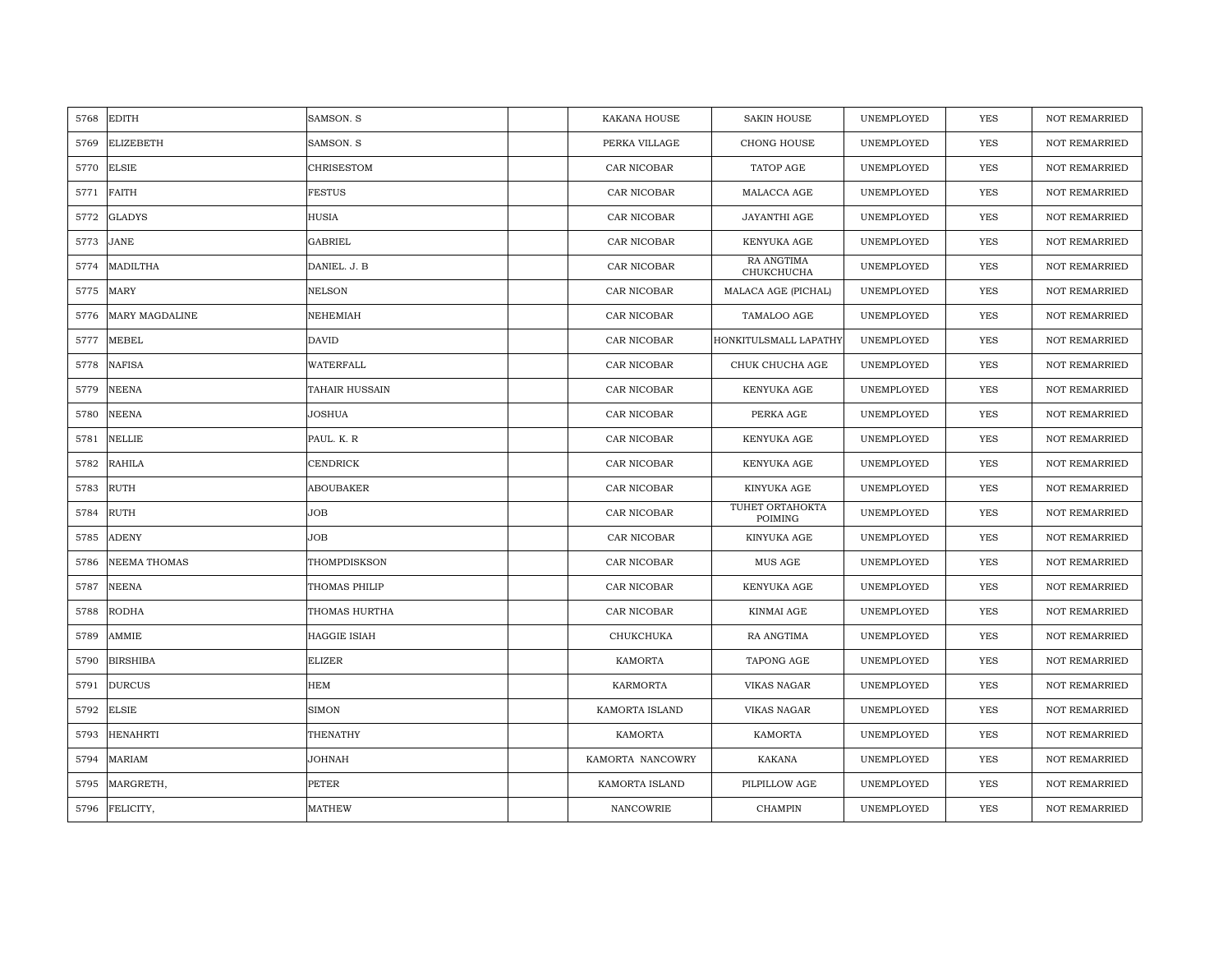| 5768 | <b>EDITH</b>        | SAMSON. S             | <b>KAKANA HOUSE</b> | <b>SAKIN HOUSE</b>         | UNEMPLOYED | <b>YES</b> | <b>NOT REMARRIED</b> |
|------|---------------------|-----------------------|---------------------|----------------------------|------------|------------|----------------------|
| 5769 | <b>ELIZEBETH</b>    | SAMSON. S             | PERKA VILLAGE       | CHONG HOUSE                | UNEMPLOYED | <b>YES</b> | <b>NOT REMARRIED</b> |
| 5770 | <b>ELSIE</b>        | CHRISESTOM            | CAR NICOBAR         | TATOP AGE                  | UNEMPLOYED | YES        | NOT REMARRIED        |
| 5771 | <b>FAITH</b>        | <b>FESTUS</b>         | CAR NICOBAR         | MALACCA AGE                | UNEMPLOYED | YES        | <b>NOT REMARRIED</b> |
| 5772 | <b>GLADYS</b>       | <b>HUSIA</b>          | CAR NICOBAR         | JAYANTHI AGE               | UNEMPLOYED | YES        | <b>NOT REMARRIED</b> |
| 5773 | <b>JANE</b>         | <b>GABRIEL</b>        | CAR NICOBAR         | KENYUKA AGE                | UNEMPLOYED | YES        | <b>NOT REMARRIED</b> |
| 5774 | <b>MADILTHA</b>     | DANIEL. J. B          | CAR NICOBAR         | RA ANGTIMA<br>СНИКСНИСНА   | UNEMPLOYED | YES        | <b>NOT REMARRIED</b> |
| 5775 | <b>MARY</b>         | <b>NELSON</b>         | CAR NICOBAR         | MALACA AGE (PICHAL)        | UNEMPLOYED | YES        | <b>NOT REMARRIED</b> |
| 5776 | MARY MAGDALINE      | NEHEMIAH              | CAR NICOBAR         | TAMALOO AGE                | UNEMPLOYED | <b>YES</b> | <b>NOT REMARRIED</b> |
| 5777 | <b>MEBEL</b>        | <b>DAVID</b>          | CAR NICOBAR         | HONKITULSMALL LAPATHY      | UNEMPLOYED | YES        | <b>NOT REMARRIED</b> |
| 5778 | <b>NAFISA</b>       | WATERFALL             | CAR NICOBAR         | CHUK CHUCHA AGE            | UNEMPLOYED | YES        | <b>NOT REMARRIED</b> |
| 5779 | <b>NEENA</b>        | <b>TAHAIR HUSSAIN</b> | CAR NICOBAR         | KENYUKA AGE                | UNEMPLOYED | YES        | <b>NOT REMARRIED</b> |
| 5780 | <b>NEENA</b>        | JOSHUA                | CAR NICOBAR         | PERKA AGE                  | UNEMPLOYED | YES        | <b>NOT REMARRIED</b> |
| 5781 | <b>NELLIE</b>       | PAUL. K. R            | CAR NICOBAR         | KENYUKA AGE                | UNEMPLOYED | YES        | <b>NOT REMARRIED</b> |
| 5782 | <b>RAHILA</b>       | <b>CENDRICK</b>       | CAR NICOBAR         | KENYUKA AGE                | UNEMPLOYED | YES        | <b>NOT REMARRIED</b> |
| 5783 | <b>RUTH</b>         | <b>ABOUBAKER</b>      | CAR NICOBAR         | KINYUKA AGE                | UNEMPLOYED | YES        | NOT REMARRIED        |
| 5784 | <b>RUTH</b>         | <b>JOB</b>            | CAR NICOBAR         | TUHET ORTAHOKTA<br>POIMING | UNEMPLOYED | YES        | <b>NOT REMARRIED</b> |
| 5785 | <b>ADENY</b>        | JOB                   | CAR NICOBAR         | KINYUKA AGE                | UNEMPLOYED | YES        | <b>NOT REMARRIED</b> |
| 5786 | <b>NEEMA THOMAS</b> | THOMPDISKSON          | CAR NICOBAR         | MUS AGE                    | UNEMPLOYED | YES        | <b>NOT REMARRIED</b> |
| 5787 | NEENA               | THOMAS PHILIP         | CAR NICOBAR         | KENYUKA AGE                | UNEMPLOYED | YES        | <b>NOT REMARRIED</b> |
| 5788 | <b>RODHA</b>        | THOMAS HURTHA         | CAR NICOBAR         | KINMAI AGE                 | UNEMPLOYED | YES        | <b>NOT REMARRIED</b> |
| 5789 | AMMIE               | <b>HAGGIE ISIAH</b>   | CHUKCHUKA           | RA ANGTIMA                 | UNEMPLOYED | YES        | <b>NOT REMARRIED</b> |
| 5790 | <b>BIRSHIBA</b>     | <b>ELIZER</b>         | KAMORTA             | TAPONG AGE                 | UNEMPLOYED | YES        | <b>NOT REMARRIED</b> |
| 5791 | <b>DURCUS</b>       | HEM                   | <b>KARMORTA</b>     | <b>VIKAS NAGAR</b>         | UNEMPLOYED | YES        | <b>NOT REMARRIED</b> |
| 5792 | <b>ELSIE</b>        | SIMON                 | KAMORTA ISLAND      | <b>VIKAS NAGAR</b>         | UNEMPLOYED | YES        | <b>NOT REMARRIED</b> |
| 5793 | <b>HENAHRTI</b>     | THENATHY              | KAMORTA             | KAMORTA                    | UNEMPLOYED | YES        | <b>NOT REMARRIED</b> |
| 5794 | <b>MARIAM</b>       | <b>JOHNAH</b>         | KAMORTA NANCOWRY    | KAKANA                     | UNEMPLOYED | YES        | <b>NOT REMARRIED</b> |
| 5795 | MARGRETH,           | <b>PETER</b>          | KAMORTA ISLAND      | PILPILLOW AGE              | UNEMPLOYED | <b>YES</b> | <b>NOT REMARRIED</b> |
| 5796 | FELICITY,           | <b>MATHEW</b>         | <b>NANCOWRIE</b>    | <b>CHAMPIN</b>             | UNEMPLOYED | <b>YES</b> | <b>NOT REMARRIED</b> |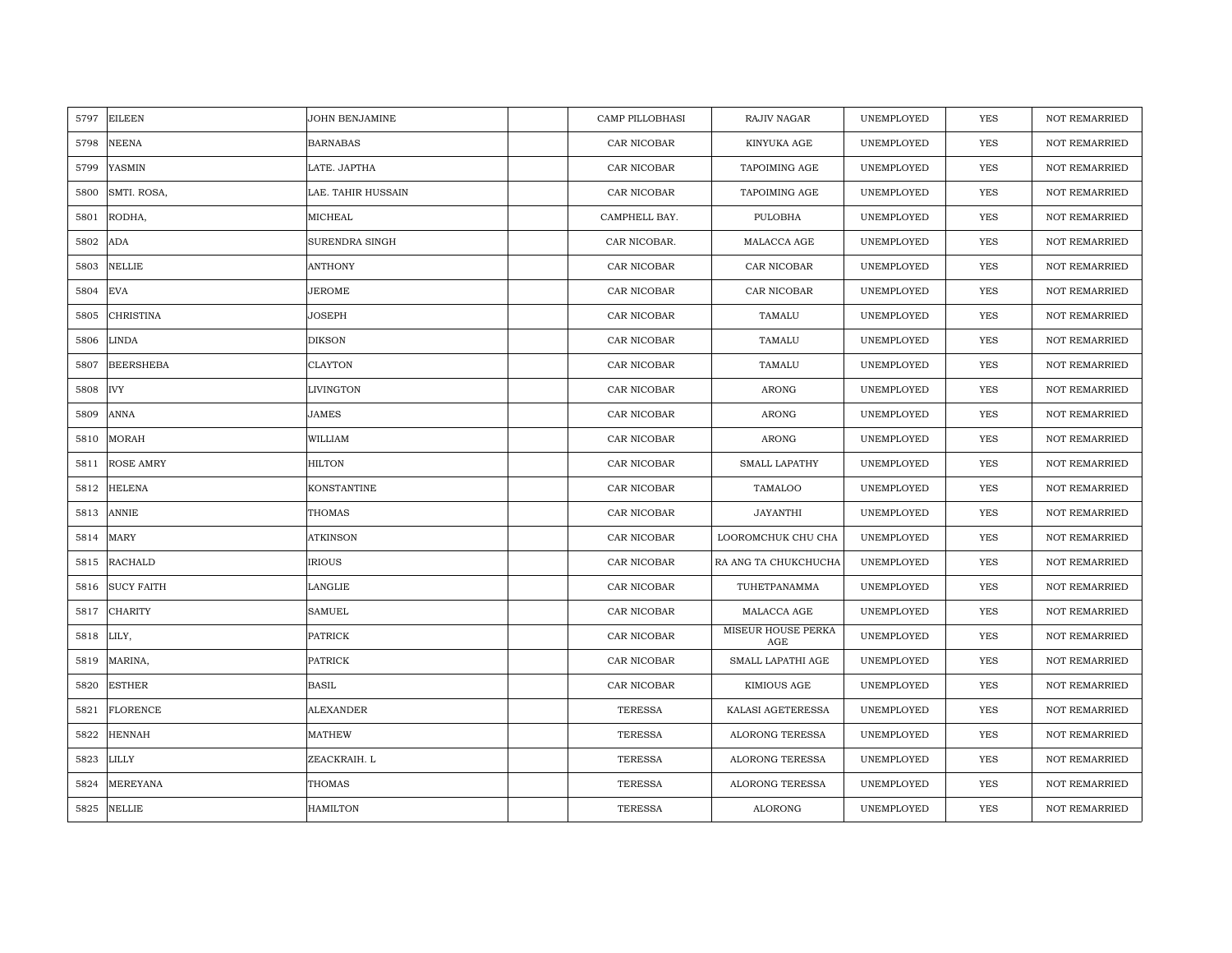| 5797 | <b>EILEEN</b>     | JOHN BENJAMINE        | <b>CAMP PILLOBHASI</b> | RAJIV NAGAR               | UNEMPLOYED | <b>YES</b> | <b>NOT REMARRIED</b> |
|------|-------------------|-----------------------|------------------------|---------------------------|------------|------------|----------------------|
| 5798 | <b>NEENA</b>      | <b>BARNABAS</b>       | CAR NICOBAR            | KINYUKA AGE               | UNEMPLOYED | <b>YES</b> | NOT REMARRIED        |
| 5799 | YASMIN            | LATE. JAPTHA          | CAR NICOBAR            | <b>TAPOIMING AGE</b>      | UNEMPLOYED | YES        | <b>NOT REMARRIED</b> |
| 5800 | SMTI. ROSA,       | LAE. TAHIR HUSSAIN    | CAR NICOBAR            | TAPOIMING AGE             | UNEMPLOYED | YES        | <b>NOT REMARRIED</b> |
| 5801 | RODHA,            | MICHEAL               | CAMPHELL BAY.          | PULOBHA                   | UNEMPLOYED | YES        | <b>NOT REMARRIED</b> |
| 5802 | <b>ADA</b>        | <b>SURENDRA SINGH</b> | CAR NICOBAR.           | MALACCA AGE               | UNEMPLOYED | YES        | <b>NOT REMARRIED</b> |
| 5803 | <b>NELLIE</b>     | <b>ANTHONY</b>        | CAR NICOBAR            | CAR NICOBAR               | UNEMPLOYED | YES        | <b>NOT REMARRIED</b> |
| 5804 | <b>EVA</b>        | JEROME                | CAR NICOBAR            | CAR NICOBAR               | UNEMPLOYED | YES        | NOT REMARRIED        |
| 5805 | <b>CHRISTINA</b>  | JOSEPH                | CAR NICOBAR            | TAMALU                    | UNEMPLOYED | YES        | NOT REMARRIED        |
| 5806 | <b>LINDA</b>      | <b>DIKSON</b>         | CAR NICOBAR            | TAMALU                    | UNEMPLOYED | <b>YES</b> | <b>NOT REMARRIED</b> |
| 5807 | <b>BEERSHEBA</b>  | <b>CLAYTON</b>        | CAR NICOBAR            | TAMALU                    | UNEMPLOYED | YES        | <b>NOT REMARRIED</b> |
| 5808 | <b>IVY</b>        | <b>LIVINGTON</b>      | CAR NICOBAR            | ARONG                     | UNEMPLOYED | YES        | NOT REMARRIED        |
| 5809 | <b>ANNA</b>       | <b>JAMES</b>          | CAR NICOBAR            | <b>ARONG</b>              | UNEMPLOYED | <b>YES</b> | NOT REMARRIED        |
| 5810 | <b>MORAH</b>      | WILLIAM               | CAR NICOBAR            | ARONG                     | UNEMPLOYED | YES        | <b>NOT REMARRIED</b> |
| 5811 | <b>ROSE AMRY</b>  | <b>HILTON</b>         | CAR NICOBAR            | <b>SMALL LAPATHY</b>      | UNEMPLOYED | YES        | NOT REMARRIED        |
| 5812 | <b>HELENA</b>     | KONSTANTINE           | CAR NICOBAR            | TAMALOO                   | UNEMPLOYED | <b>YES</b> | NOT REMARRIED        |
| 5813 | <b>ANNIE</b>      | <b>THOMAS</b>         | CAR NICOBAR            | <b>JAYANTHI</b>           | UNEMPLOYED | <b>YES</b> | NOT REMARRIED        |
| 5814 | <b>MARY</b>       | <b>ATKINSON</b>       | CAR NICOBAR            | LOOROMCHUK CHU CHA        | UNEMPLOYED | YES        | NOT REMARRIED        |
| 5815 | <b>RACHALD</b>    | <b>IRIOUS</b>         | CAR NICOBAR            | RA ANG TA CHUKCHUCHA      | UNEMPLOYED | <b>YES</b> | NOT REMARRIED        |
| 5816 | <b>SUCY FAITH</b> | LANGLIE               | CAR NICOBAR            | TUHETPANAMMA              | UNEMPLOYED | <b>YES</b> | <b>NOT REMARRIED</b> |
| 5817 | <b>CHARITY</b>    | <b>SAMUEL</b>         | CAR NICOBAR            | MALACCA AGE               | UNEMPLOYED | YES        | <b>NOT REMARRIED</b> |
| 5818 | LILY,             | <b>PATRICK</b>        | CAR NICOBAR            | MISEUR HOUSE PERKA<br>AGE | UNEMPLOYED | YES        | NOT REMARRIED        |
| 5819 | MARINA,           | <b>PATRICK</b>        | CAR NICOBAR            | SMALL LAPATHI AGE         | UNEMPLOYED | YES        | <b>NOT REMARRIED</b> |
| 5820 | <b>ESTHER</b>     | <b>BASIL</b>          | CAR NICOBAR            | KIMIOUS AGE               | UNEMPLOYED | YES        | <b>NOT REMARRIED</b> |
| 5821 | <b>FLORENCE</b>   | <b>ALEXANDER</b>      | <b>TERESSA</b>         | KALASI AGETERESSA         | UNEMPLOYED | YES        | NOT REMARRIED        |
| 5822 | <b>HENNAH</b>     | <b>MATHEW</b>         | <b>TERESSA</b>         | ALORONG TERESSA           | UNEMPLOYED | YES        | NOT REMARRIED        |
| 5823 | LILLY             | ZEACKRAIH. L          | <b>TERESSA</b>         | <b>ALORONG TERESSA</b>    | UNEMPLOYED | YES        | <b>NOT REMARRIED</b> |
| 5824 | <b>MEREYANA</b>   | THOMAS                | <b>TERESSA</b>         | <b>ALORONG TERESSA</b>    | UNEMPLOYED | YES        | <b>NOT REMARRIED</b> |
| 5825 | <b>NELLIE</b>     | <b>HAMILTON</b>       | <b>TERESSA</b>         | <b>ALORONG</b>            | UNEMPLOYED | <b>YES</b> | <b>NOT REMARRIED</b> |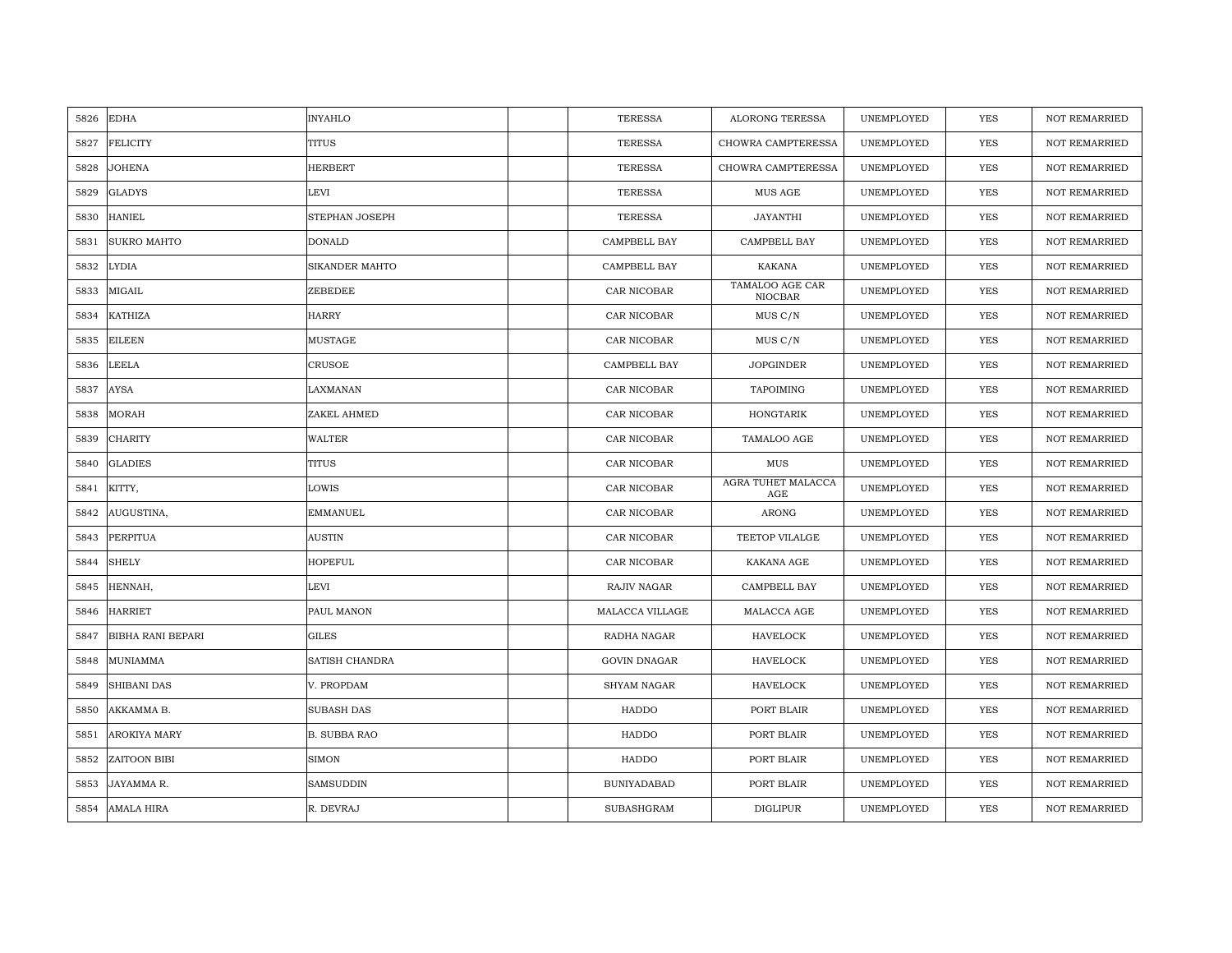| 5826 | <b>EDHA</b>              | <b>INYAHLO</b>      | <b>TERESSA</b>      | <b>ALORONG TERESSA</b>     | UNEMPLOYED | YES        | <b>NOT REMARRIED</b> |
|------|--------------------------|---------------------|---------------------|----------------------------|------------|------------|----------------------|
| 5827 | <b>FELICITY</b>          | <b>TITUS</b>        | <b>TERESSA</b>      | CHOWRA CAMPTERESSA         | UNEMPLOYED | <b>YES</b> | <b>NOT REMARRIED</b> |
| 5828 | <b>JOHENA</b>            | <b>HERBERT</b>      | <b>TERESSA</b>      | CHOWRA CAMPTERESSA         | UNEMPLOYED | YES        | <b>NOT REMARRIED</b> |
| 5829 | <b>GLADYS</b>            | LEVI                | <b>TERESSA</b>      | MUS AGE                    | UNEMPLOYED | YES        | <b>NOT REMARRIED</b> |
| 5830 | <b>HANIEL</b>            | STEPHAN JOSEPH      | <b>TERESSA</b>      | JAYANTHI                   | UNEMPLOYED | <b>YES</b> | NOT REMARRIED        |
| 5831 | <b>SUKRO MAHTO</b>       | <b>DONALD</b>       | CAMPBELL BAY        | CAMPBELL BAY               | UNEMPLOYED | <b>YES</b> | NOT REMARRIED        |
| 5832 | <b>LYDIA</b>             | SIKANDER MAHTO      | CAMPBELL BAY        | <b>KAKANA</b>              | UNEMPLOYED | <b>YES</b> | <b>NOT REMARRIED</b> |
| 5833 | MIGAIL                   | ZEBEDEE             | CAR NICOBAR         | TAMALOO AGE CAR<br>NIOCBAR | UNEMPLOYED | YES        | <b>NOT REMARRIED</b> |
| 5834 | <b>KATHIZA</b>           | <b>HARRY</b>        | CAR NICOBAR         | MUS C/N                    | UNEMPLOYED | <b>YES</b> | <b>NOT REMARRIED</b> |
| 5835 | <b>EILEEN</b>            | <b>MUSTAGE</b>      | CAR NICOBAR         | MUS C/N                    | UNEMPLOYED | <b>YES</b> | <b>NOT REMARRIED</b> |
| 5836 | <b>LEELA</b>             | CRUSOE              | CAMPBELL BAY        | <b>JOPGINDER</b>           | UNEMPLOYED | <b>YES</b> | <b>NOT REMARRIED</b> |
| 5837 | <b>AYSA</b>              | LAXMANAN            | CAR NICOBAR         | <b>TAPOIMING</b>           | UNEMPLOYED | <b>YES</b> | <b>NOT REMARRIED</b> |
| 5838 | <b>MORAH</b>             | ZAKEL AHMED         | CAR NICOBAR         | HONGTARIK                  | UNEMPLOYED | YES        | <b>NOT REMARRIED</b> |
| 5839 | <b>CHARITY</b>           | <b>WALTER</b>       | CAR NICOBAR         | TAMALOO AGE                | UNEMPLOYED | <b>YES</b> | <b>NOT REMARRIED</b> |
| 5840 | <b>GLADIES</b>           | <b>TITUS</b>        | CAR NICOBAR         | $_{\rm MUS}$               | UNEMPLOYED | YES        | NOT REMARRIED        |
| 5841 | KITTY,                   | LOWIS               | CAR NICOBAR         | AGRA TUHET MALACCA<br>AGE  | UNEMPLOYED | YES        | NOT REMARRIED        |
| 5842 | AUGUSTINA,               | <b>EMMANUEL</b>     | CAR NICOBAR         | <b>ARONG</b>               | UNEMPLOYED | YES        | <b>NOT REMARRIED</b> |
| 5843 | <b>PERPITUA</b>          | <b>AUSTIN</b>       | CAR NICOBAR         | TEETOP VILALGE             | UNEMPLOYED | <b>YES</b> | <b>NOT REMARRIED</b> |
| 5844 | <b>SHELY</b>             | <b>HOPEFUL</b>      | CAR NICOBAR         | KAKANA AGE                 | UNEMPLOYED | YES        | NOT REMARRIED        |
| 5845 | HENNAH,                  | LEVI                | RAJIV NAGAR         | CAMPBELL BAY               | UNEMPLOYED | <b>YES</b> | <b>NOT REMARRIED</b> |
| 5846 | <b>HARRIET</b>           | PAUL MANON          | MALACCA VILLAGE     | MALACCA AGE                | UNEMPLOYED | <b>YES</b> | <b>NOT REMARRIED</b> |
| 5847 | <b>BIBHA RANI BEPARI</b> | <b>GILES</b>        | RADHA NAGAR         | HAVELOCK                   | UNEMPLOYED | <b>YES</b> | <b>NOT REMARRIED</b> |
| 5848 | MUNIAMMA                 | SATISH CHANDRA      | <b>GOVIN DNAGAR</b> | HAVELOCK                   | UNEMPLOYED | YES        | <b>NOT REMARRIED</b> |
| 5849 | SHIBANI DAS              | V. PROPDAM          | <b>SHYAM NAGAR</b>  | <b>HAVELOCK</b>            | UNEMPLOYED | YES        | NOT REMARRIED        |
| 5850 | AKKAMMA B.               | <b>SUBASH DAS</b>   | HADDO               | PORT BLAIR                 | UNEMPLOYED | <b>YES</b> | <b>NOT REMARRIED</b> |
| 5851 | AROKIYA MARY             | <b>B. SUBBA RAO</b> | <b>HADDO</b>        | PORT BLAIR                 | UNEMPLOYED | YES        | NOT REMARRIED        |
| 5852 | ZAITOON BIBI             | <b>SIMON</b>        | HADDO               | PORT BLAIR                 | UNEMPLOYED | <b>YES</b> | <b>NOT REMARRIED</b> |
| 5853 | JAYAMMA R.               | SAMSUDDIN           | <b>BUNIYADABAD</b>  | PORT BLAIR                 | UNEMPLOYED | YES        | <b>NOT REMARRIED</b> |
| 5854 | <b>AMALA HIRA</b>        | R. DEVRAJ           | SUBASHGRAM          | <b>DIGLIPUR</b>            | UNEMPLOYED | YES        | NOT REMARRIED        |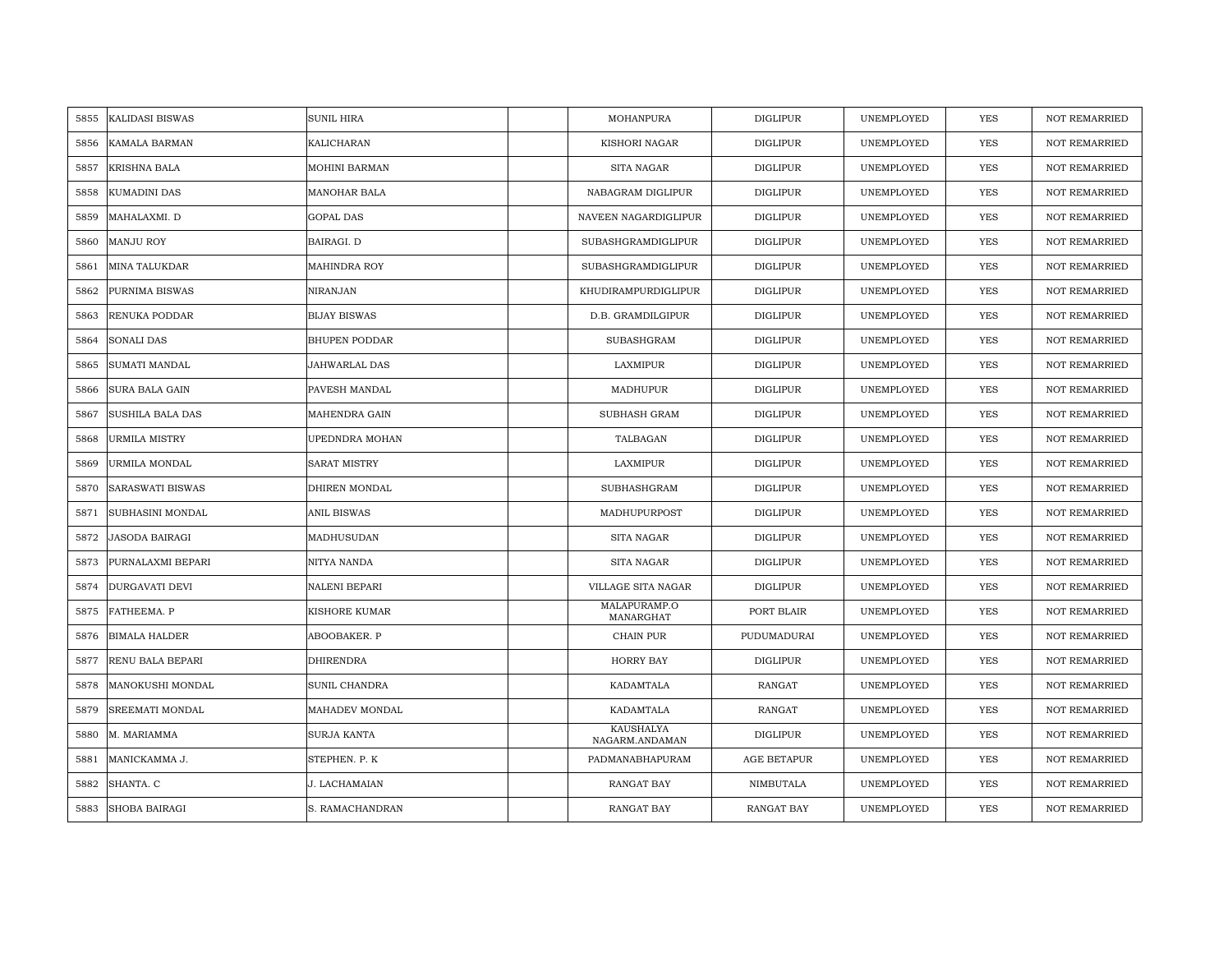| 5855 | <b>KALIDASI BISWAS</b>  | <b>SUNIL HIRA</b>    | MOHANPURA                   | <b>DIGLIPUR</b>    | UNEMPLOYED        | <b>YES</b> | <b>NOT REMARRIED</b> |
|------|-------------------------|----------------------|-----------------------------|--------------------|-------------------|------------|----------------------|
| 5856 | KAMALA BARMAN           | KALICHARAN           | KISHORI NAGAR               | <b>DIGLIPUR</b>    | UNEMPLOYED        | <b>YES</b> | <b>NOT REMARRIED</b> |
| 5857 | <b>KRISHNA BALA</b>     | <b>MOHINI BARMAN</b> | <b>SITA NAGAR</b>           | <b>DIGLIPUR</b>    | UNEMPLOYED        | <b>YES</b> | <b>NOT REMARRIED</b> |
| 5858 | KUMADINI DAS            | <b>MANOHAR BALA</b>  | NABAGRAM DIGLIPUR           | <b>DIGLIPUR</b>    | UNEMPLOYED        | <b>YES</b> | <b>NOT REMARRIED</b> |
| 5859 | MAHALAXMI. D            | <b>GOPAL DAS</b>     | NAVEEN NAGARDIGLIPUR        | <b>DIGLIPUR</b>    | UNEMPLOYED        | <b>YES</b> | <b>NOT REMARRIED</b> |
| 5860 | MANJU ROY               | BAIRAGI. D           | SUBASHGRAMDIGLIPUR          | <b>DIGLIPUR</b>    | UNEMPLOYED        | <b>YES</b> | <b>NOT REMARRIED</b> |
| 5861 | <b>MINA TALUKDAR</b>    | <b>MAHINDRA ROY</b>  | SUBASHGRAMDIGLIPUR          | DIGLIPUR           | <b>UNEMPLOYED</b> | <b>YES</b> | <b>NOT REMARRIED</b> |
| 5862 | <b>PURNIMA BISWAS</b>   | NIRANJAN             | KHUDIRAMPURDIGLIPUR         | <b>DIGLIPUR</b>    | UNEMPLOYED        | YES        | <b>NOT REMARRIED</b> |
| 5863 | RENUKA PODDAR           | <b>BIJAY BISWAS</b>  | D.B. GRAMDILGIPUR           | DIGLIPUR           | UNEMPLOYED        | YES        | <b>NOT REMARRIED</b> |
| 5864 | SONALI DAS              | <b>BHUPEN PODDAR</b> | SUBASHGRAM                  | <b>DIGLIPUR</b>    | UNEMPLOYED        | <b>YES</b> | <b>NOT REMARRIED</b> |
| 5865 | <b>SUMATI MANDAL</b>    | <b>JAHWARLAL DAS</b> | LAXMIPUR                    | <b>DIGLIPUR</b>    | UNEMPLOYED        | <b>YES</b> | <b>NOT REMARRIED</b> |
| 5866 | <b>SURA BALA GAIN</b>   | PAVESH MANDAL        | MADHUPUR                    | DIGLIPUR           | UNEMPLOYED        | YES        | <b>NOT REMARRIED</b> |
| 5867 | <b>SUSHILA BALA DAS</b> | MAHENDRA GAIN        | SUBHASH GRAM                | DIGLIPUR           | UNEMPLOYED        | YES        | <b>NOT REMARRIED</b> |
| 5868 | <b>URMILA MISTRY</b>    | UPEDNDRA MOHAN       | TALBAGAN                    | <b>DIGLIPUR</b>    | UNEMPLOYED        | <b>YES</b> | <b>NOT REMARRIED</b> |
| 5869 | URMILA MONDAL           | <b>SARAT MISTRY</b>  | LAXMIPUR                    | DIGLIPUR           | UNEMPLOYED        | <b>YES</b> | <b>NOT REMARRIED</b> |
| 5870 | SARASWATI BISWAS        | DHIREN MONDAL        | SUBHASHGRAM                 | <b>DIGLIPUR</b>    | UNEMPLOYED        | YES        | <b>NOT REMARRIED</b> |
| 5871 | SUBHASINI MONDAL        | <b>ANIL BISWAS</b>   | MADHUPURPOST                | <b>DIGLIPUR</b>    | UNEMPLOYED        | <b>YES</b> | <b>NOT REMARRIED</b> |
| 5872 | <b>JASODA BAIRAGI</b>   | MADHUSUDAN           | <b>SITA NAGAR</b>           | <b>DIGLIPUR</b>    | UNEMPLOYED        | <b>YES</b> | <b>NOT REMARRIED</b> |
| 5873 | PURNALAXMI BEPARI       | NITYA NANDA          | SITA NAGAR                  | <b>DIGLIPUR</b>    | UNEMPLOYED        | <b>YES</b> | <b>NOT REMARRIED</b> |
| 5874 | <b>DURGAVATI DEVI</b>   | <b>NALENI BEPARI</b> | VILLAGE SITA NAGAR          | DIGLIPUR           | UNEMPLOYED        | <b>YES</b> | <b>NOT REMARRIED</b> |
| 5875 | FATHEEMA. P             | KISHORE KUMAR        | MALAPURAMP.O<br>MANARGHAT   | PORT BLAIR         | UNEMPLOYED        | YES        | <b>NOT REMARRIED</b> |
| 5876 | <b>BIMALA HALDER</b>    | ABOOBAKER. P         | CHAIN PUR                   | PUDUMADURAI        | UNEMPLOYED        | YES        | <b>NOT REMARRIED</b> |
| 5877 | RENU BALA BEPARI        | <b>DHIRENDRA</b>     | <b>HORRY BAY</b>            | <b>DIGLIPUR</b>    | UNEMPLOYED        | YES        | <b>NOT REMARRIED</b> |
| 5878 | MANOKUSHI MONDAL        | <b>SUNIL CHANDRA</b> | KADAMTALA                   | RANGAT             | UNEMPLOYED        | YES        | <b>NOT REMARRIED</b> |
| 5879 | SREEMATI MONDAL         | MAHADEV MONDAL       | KADAMTALA                   | RANGAT             | UNEMPLOYED        | <b>YES</b> | <b>NOT REMARRIED</b> |
| 5880 | M. MARIAMMA             | <b>SURJA KANTA</b>   | KAUSHALYA<br>NAGARM.ANDAMAN | <b>DIGLIPUR</b>    | UNEMPLOYED        | <b>YES</b> | <b>NOT REMARRIED</b> |
| 5881 | MANICKAMMA J.           | STEPHEN. P. K        | PADMANABHAPURAM             | <b>AGE BETAPUR</b> | UNEMPLOYED        | YES        | <b>NOT REMARRIED</b> |
| 5882 | SHANTA. C               | J. LACHAMAIAN        | <b>RANGAT BAY</b>           | NIMBUTALA          | UNEMPLOYED        | <b>YES</b> | <b>NOT REMARRIED</b> |
| 5883 | <b>SHOBA BAIRAGI</b>    | S. RAMACHANDRAN      | RANGAT BAY                  | RANGAT BAY         | UNEMPLOYED        | <b>YES</b> | <b>NOT REMARRIED</b> |
|      |                         |                      |                             |                    |                   |            |                      |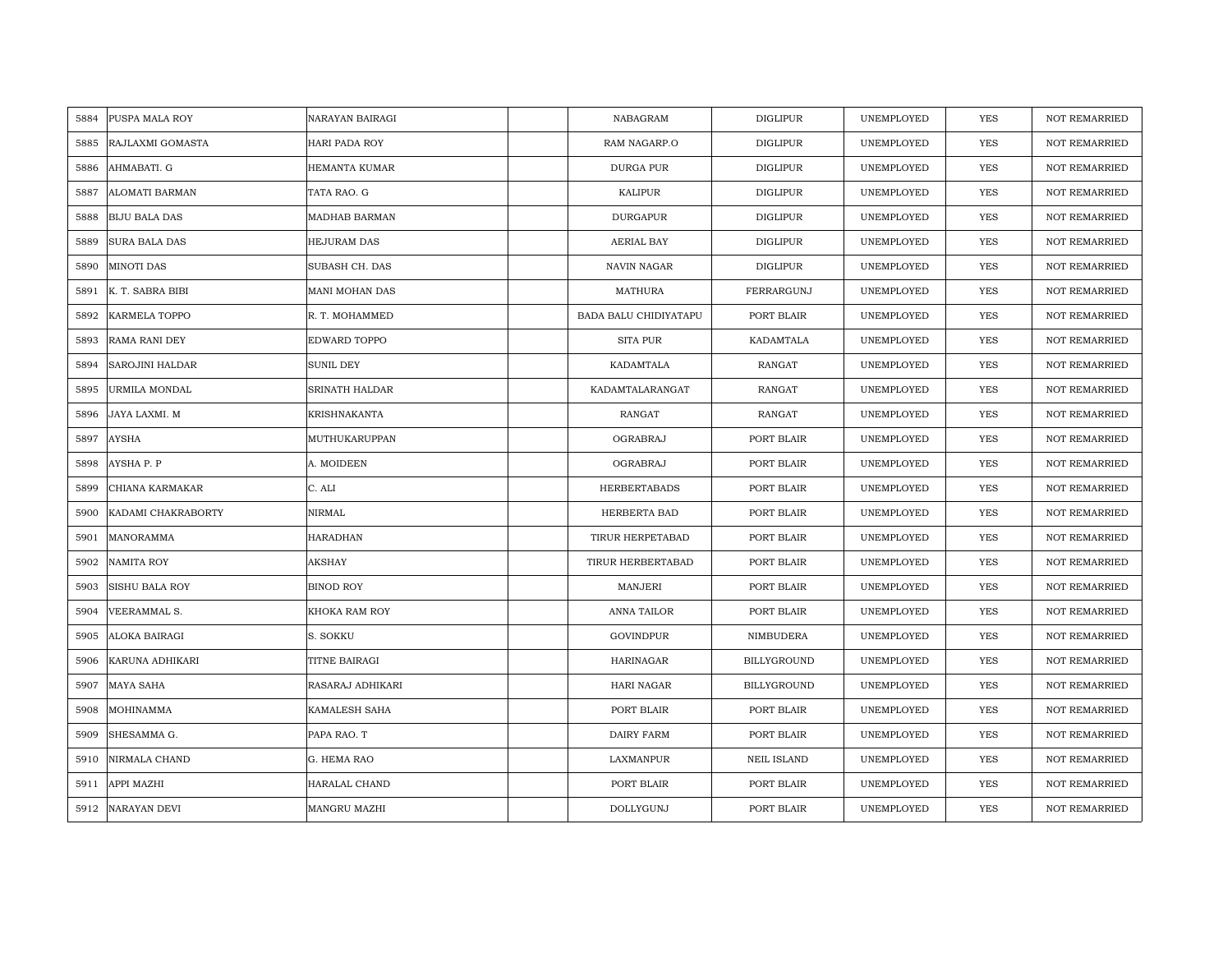| PUSPA MALA ROY<br>5884       | NARAYAN BAIRAGI      | NABAGRAM              | <b>DIGLIPUR</b>    | UNEMPLOYED | <b>YES</b> | <b>NOT REMARRIED</b> |
|------------------------------|----------------------|-----------------------|--------------------|------------|------------|----------------------|
| RAJLAXMI GOMASTA<br>5885     | HARI PADA ROY        | RAM NAGARP.O          | <b>DIGLIPUR</b>    | UNEMPLOYED | <b>YES</b> | <b>NOT REMARRIED</b> |
| AHMABATI. G<br>5886          | <b>HEMANTA KUMAR</b> | <b>DURGA PUR</b>      | <b>DIGLIPUR</b>    | UNEMPLOYED | <b>YES</b> | <b>NOT REMARRIED</b> |
| ALOMATI BARMAN<br>5887       | TATA RAO. G          | KALIPUR               | <b>DIGLIPUR</b>    | UNEMPLOYED | YES        | <b>NOT REMARRIED</b> |
| 5888<br><b>BIJU BALA DAS</b> | MADHAB BARMAN        | <b>DURGAPUR</b>       | <b>DIGLIPUR</b>    | UNEMPLOYED | YES        | <b>NOT REMARRIED</b> |
| 5889<br>SURA BALA DAS        | <b>HEJURAM DAS</b>   | AERIAL BAY            | <b>DIGLIPUR</b>    | UNEMPLOYED | YES        | NOT REMARRIED        |
| <b>MINOTI DAS</b><br>5890    | SUBASH CH. DAS       | NAVIN NAGAR           | <b>DIGLIPUR</b>    | UNEMPLOYED | YES        | NOT REMARRIED        |
| 5891<br>K. T. SABRA BIBI     | MANI MOHAN DAS       | <b>MATHURA</b>        | FERRARGUNJ         | UNEMPLOYED | YES        | NOT REMARRIED        |
| KARMELA TOPPO<br>5892        | R. T. MOHAMMED       | BADA BALU CHIDIYATAPU | PORT BLAIR         | UNEMPLOYED | <b>YES</b> | NOT REMARRIED        |
| 5893<br>RAMA RANI DEY        | EDWARD TOPPO         | <b>SITA PUR</b>       | KADAMTALA          | UNEMPLOYED | YES        | <b>NOT REMARRIED</b> |
| 5894<br>SAROJINI HALDAR      | SUNIL DEY            | KADAMTALA             | RANGAT             | UNEMPLOYED | <b>YES</b> | <b>NOT REMARRIED</b> |
| 5895<br>URMILA MONDAL        | SRINATH HALDAR       | KADAMTALARANGAT       | RANGAT             | UNEMPLOYED | YES        | NOT REMARRIED        |
| 5896<br>JAYA LAXMI. M        | KRISHNAKANTA         | RANGAT                | RANGAT             | UNEMPLOYED | <b>YES</b> | <b>NOT REMARRIED</b> |
| AYSHA<br>5897                | MUTHUKARUPPAN        | OGRABRAJ              | PORT BLAIR         | UNEMPLOYED | <b>YES</b> | <b>NOT REMARRIED</b> |
| AYSHA P. P<br>5898           | A. MOIDEEN           | OGRABRAJ              | PORT BLAIR         | UNEMPLOYED | YES        | <b>NOT REMARRIED</b> |
| 5899<br>CHIANA KARMAKAR      | C. ALI               | <b>HERBERTABADS</b>   | PORT BLAIR         | UNEMPLOYED | <b>YES</b> | <b>NOT REMARRIED</b> |
| KADAMI CHAKRABORTY<br>5900   | NIRMAL               | HERBERTA BAD          | PORT BLAIR         | UNEMPLOYED | <b>YES</b> | <b>NOT REMARRIED</b> |
| MANORAMMA<br>5901            | HARADHAN             | TIRUR HERPETABAD      | PORT BLAIR         | UNEMPLOYED | <b>YES</b> | <b>NOT REMARRIED</b> |
| 5902<br>NAMITA ROY           | AKSHAY               | TIRUR HERBERTABAD     | PORT BLAIR         | UNEMPLOYED | <b>YES</b> | <b>NOT REMARRIED</b> |
| 5903<br>SISHU BALA ROY       | <b>BINOD ROY</b>     | MANJERI               | PORT BLAIR         | UNEMPLOYED | YES        | <b>NOT REMARRIED</b> |
| VEERAMMAL S.<br>5904         | KHOKA RAM ROY        | ANNA TAILOR           | PORT BLAIR         | UNEMPLOYED | YES        | NOT REMARRIED        |
| ALOKA BAIRAGI<br>5905        | S. SOKKU             | GOVINDPUR             | NIMBUDERA          | UNEMPLOYED | YES        | NOT REMARRIED        |
| 5906<br>KARUNA ADHIKARI      | TITNE BAIRAGI        | HARINAGAR             | BILLYGROUND        | UNEMPLOYED | <b>YES</b> | <b>NOT REMARRIED</b> |
| MAYA SAHA<br>5907            | RASARAJ ADHIKARI     | HARI NAGAR            | <b>BILLYGROUND</b> | UNEMPLOYED | YES        | <b>NOT REMARRIED</b> |
| 5908<br>MOHINAMMA            | KAMALESH SAHA        | PORT BLAIR            | PORT BLAIR         | UNEMPLOYED | YES        | <b>NOT REMARRIED</b> |
| SHESAMMA G.<br>5909          | PAPA RAO. T          | DAIRY FARM            | PORT BLAIR         | UNEMPLOYED | YES        | NOT REMARRIED        |
| 5910<br>NIRMALA CHAND        | G. HEMA RAO          | LAXMANPUR             | NEIL ISLAND        | UNEMPLOYED | <b>YES</b> | <b>NOT REMARRIED</b> |
| APPI MAZHI<br>5911           | HARALAL CHAND        | PORT BLAIR            | PORT BLAIR         | UNEMPLOYED | <b>YES</b> | <b>NOT REMARRIED</b> |
| 5912<br>NARAYAN DEVI         | MANGRU MAZHI         | DOLLYGUNJ             | PORT BLAIR         | UNEMPLOYED | <b>YES</b> | <b>NOT REMARRIED</b> |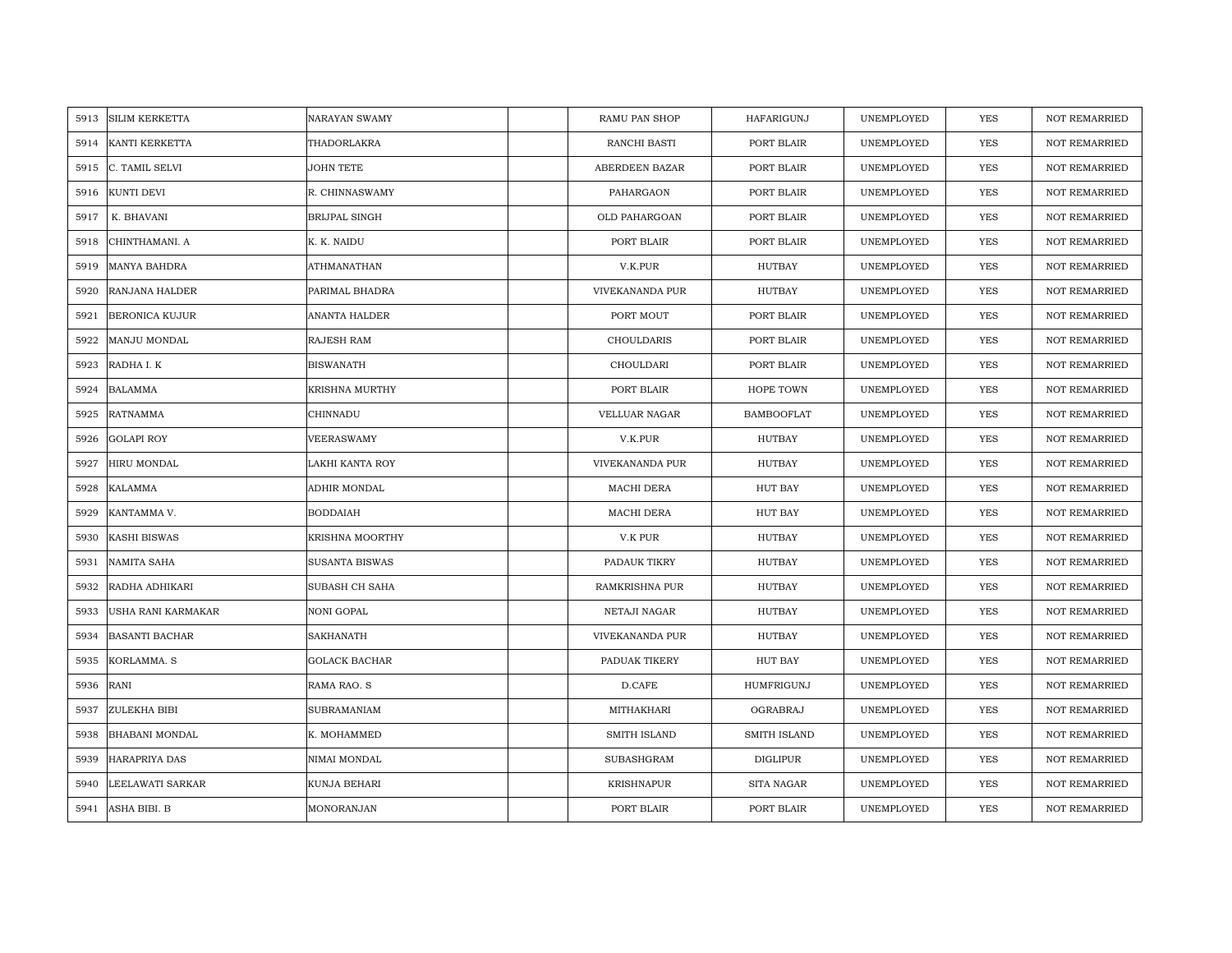| 5913 | <b>SILIM KERKETTA</b> | <b>NARAYAN SWAMY</b>  | RAMU PAN SHOP         | HAFARIGUNJ        | UNEMPLOYED | YES        | <b>NOT REMARRIED</b> |
|------|-----------------------|-----------------------|-----------------------|-------------------|------------|------------|----------------------|
| 5914 | <b>KANTI KERKETTA</b> | THADORLAKRA           | RANCHI BASTI          | PORT BLAIR        | UNEMPLOYED | <b>YES</b> | <b>NOT REMARRIED</b> |
| 5915 | C. TAMIL SELVI        | <b>JOHN TETE</b>      | ABERDEEN BAZAR        | PORT BLAIR        | UNEMPLOYED | YES        | <b>NOT REMARRIED</b> |
| 5916 | KUNTI DEVI            | R. CHINNASWAMY        | PAHARGAON             | PORT BLAIR        | UNEMPLOYED | YES        | <b>NOT REMARRIED</b> |
| 5917 | K. BHAVANI            | <b>BRIJPAL SINGH</b>  | OLD PAHARGOAN         | PORT BLAIR        | UNEMPLOYED | YES        | <b>NOT REMARRIED</b> |
| 5918 | CHINTHAMANI. A        | K. K. NAIDU           | PORT BLAIR            | PORT BLAIR        | UNEMPLOYED | YES        | NOT REMARRIED        |
| 5919 | <b>MANYA BAHDRA</b>   | <b>ATHMANATHAN</b>    | V.K.PUR               | <b>HUTBAY</b>     | UNEMPLOYED | YES        | <b>NOT REMARRIED</b> |
| 5920 | RANJANA HALDER        | PARIMAL BHADRA        | VIVEKANANDA PUR       | HUTBAY            | UNEMPLOYED | YES        | <b>NOT REMARRIED</b> |
| 5921 | <b>BERONICA KUJUR</b> | ANANTA HALDER         | PORT MOUT             | PORT BLAIR        | UNEMPLOYED | <b>YES</b> | NOT REMARRIED        |
| 5922 | MANJU MONDAL          | <b>RAJESH RAM</b>     | CHOULDARIS            | PORT BLAIR        | UNEMPLOYED | YES        | <b>NOT REMARRIED</b> |
| 5923 | RADHA I. K            | <b>BISWANATH</b>      | CHOULDARI             | PORT BLAIR        | UNEMPLOYED | YES        | <b>NOT REMARRIED</b> |
| 5924 | <b>BALAMMA</b>        | <b>KRISHNA MURTHY</b> | PORT BLAIR            | HOPE TOWN         | UNEMPLOYED | YES        | <b>NOT REMARRIED</b> |
| 5925 | <b>RATNAMMA</b>       | CHINNADU              | VELLUAR NAGAR         | <b>BAMBOOFLAT</b> | UNEMPLOYED | YES        | NOT REMARRIED        |
| 5926 | <b>GOLAPI ROY</b>     | VEERASWAMY            | V.K.PUR               | HUTBAY            | UNEMPLOYED | <b>YES</b> | <b>NOT REMARRIED</b> |
| 5927 | HIRU MONDAL           | LAKHI KANTA ROY       | VIVEKANANDA PUR       | HUTBAY            | UNEMPLOYED | YES        | NOT REMARRIED        |
| 5928 | KALAMMA               | ADHIR MONDAL          | MACHI DERA            | <b>HUT BAY</b>    | UNEMPLOYED | YES        | NOT REMARRIED        |
| 5929 | KANTAMMA V.           | <b>BODDAIAH</b>       | MACHI DERA            | <b>HUT BAY</b>    | UNEMPLOYED | YES        | <b>NOT REMARRIED</b> |
| 5930 | <b>KASHI BISWAS</b>   | KRISHNA MOORTHY       | V.K PUR               | <b>HUTBAY</b>     | UNEMPLOYED | YES        | <b>NOT REMARRIED</b> |
| 5931 | <b>NAMITA SAHA</b>    | <b>SUSANTA BISWAS</b> | PADAUK TIKRY          | HUTBAY            | UNEMPLOYED | YES        | <b>NOT REMARRIED</b> |
| 5932 | RADHA ADHIKARI        | SUBASH CH SAHA        | <b>RAMKRISHNA PUR</b> | HUTBAY            | UNEMPLOYED | YES        | <b>NOT REMARRIED</b> |
| 5933 | USHA RANI KARMAKAR    | NONI GOPAL            | NETAJI NAGAR          | <b>HUTBAY</b>     | UNEMPLOYED | YES        | <b>NOT REMARRIED</b> |
| 5934 | <b>BASANTI BACHAR</b> | SAKHANATH             | VIVEKANANDA PUR       | HUTBAY            | UNEMPLOYED | YES        | <b>NOT REMARRIED</b> |
| 5935 | KORLAMMA. S           | <b>GOLACK BACHAR</b>  | PADUAK TIKERY         | <b>HUT BAY</b>    | UNEMPLOYED | YES        | <b>NOT REMARRIED</b> |
| 5936 | RANI                  | RAMA RAO. S           | D.CAFE                | HUMFRIGUNJ        | UNEMPLOYED | <b>YES</b> | <b>NOT REMARRIED</b> |
| 5937 | ZULEKHA BIBI          | <b>SUBRAMANIAM</b>    | MITHAKHARI            | OGRABRAJ          | UNEMPLOYED | YES        | <b>NOT REMARRIED</b> |
| 5938 | <b>BHABANI MONDAL</b> | K. MOHAMMED           | SMITH ISLAND          | SMITH ISLAND      | UNEMPLOYED | YES        | NOT REMARRIED        |
| 5939 | <b>HARAPRIYA DAS</b>  | NIMAI MONDAL          | SUBASHGRAM            | DIGLIPUR          | UNEMPLOYED | YES        | <b>NOT REMARRIED</b> |
| 5940 | LEELAWATI SARKAR      | KUNJA BEHARI          | KRISHNAPUR            | SITA NAGAR        | UNEMPLOYED | YES        | <b>NOT REMARRIED</b> |
| 5941 | ASHA BIBI. B          | MONORANJAN            | PORT BLAIR            | PORT BLAIR        | UNEMPLOYED | YES        | NOT REMARRIED        |